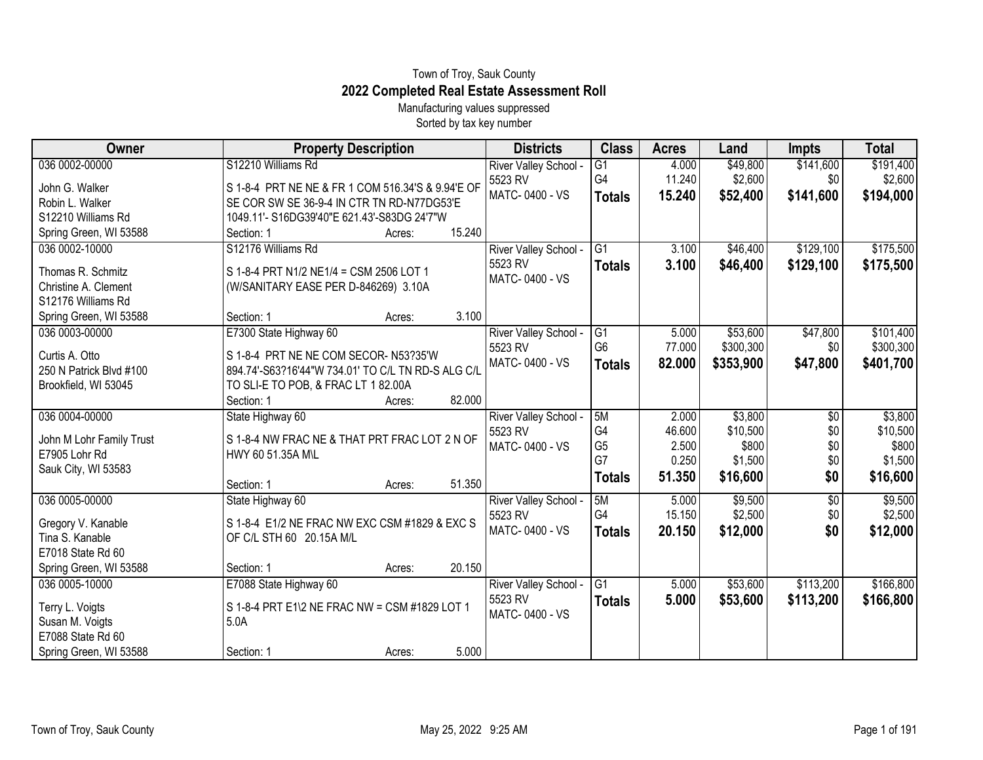## Town of Troy, Sauk County **2022 Completed Real Estate Assessment Roll**

Manufacturing values suppressed Sorted by tax key number

| Owner                    | <b>Property Description</b>                        | <b>Districts</b>      | <b>Class</b>    | <b>Acres</b> | Land      | <b>Impts</b> | <b>Total</b> |
|--------------------------|----------------------------------------------------|-----------------------|-----------------|--------------|-----------|--------------|--------------|
| 036 0002-00000           | S12210 Williams Rd                                 | River Valley School - | $\overline{G1}$ | 4.000        | \$49,800  | \$141,600    | \$191,400    |
| John G. Walker           | S 1-8-4 PRT NE NE & FR 1 COM 516.34'S & 9.94'E OF  | 5523 RV               | G4              | 11.240       | \$2,600   | \$0          | \$2,600      |
| Robin L. Walker          | SE COR SW SE 36-9-4 IN CTR TN RD-N77DG53'E         | MATC-0400 - VS        | <b>Totals</b>   | 15.240       | \$52,400  | \$141,600    | \$194,000    |
| S12210 Williams Rd       | 1049.11'- S16DG39'40"E 621.43'-S83DG 24'7"W        |                       |                 |              |           |              |              |
| Spring Green, WI 53588   | 15.240<br>Section: 1<br>Acres:                     |                       |                 |              |           |              |              |
| 036 0002-10000           | S12176 Williams Rd                                 | River Valley School - | $\overline{G1}$ | 3.100        | \$46,400  | \$129,100    | \$175,500    |
| Thomas R. Schmitz        | S 1-8-4 PRT N1/2 NE1/4 = CSM 2506 LOT 1            | 5523 RV               | <b>Totals</b>   | 3.100        | \$46,400  | \$129,100    | \$175,500    |
| Christine A. Clement     | (W/SANITARY EASE PER D-846269) 3.10A               | MATC-0400 - VS        |                 |              |           |              |              |
| S12176 Williams Rd       |                                                    |                       |                 |              |           |              |              |
| Spring Green, WI 53588   | 3.100<br>Section: 1<br>Acres:                      |                       |                 |              |           |              |              |
| 036 0003-00000           | E7300 State Highway 60                             | River Valley School - | G1              | 5.000        | \$53,600  | \$47,800     | \$101,400    |
| Curtis A. Otto           | S 1-8-4 PRT NE NE COM SECOR-N53?35'W               | 5523 RV               | G <sub>6</sub>  | 77.000       | \$300,300 | \$0          | \$300,300    |
| 250 N Patrick Blvd #100  | 894.74'-S63?16'44"W 734.01' TO C/L TN RD-S ALG C/L | MATC-0400 - VS        | <b>Totals</b>   | 82.000       | \$353,900 | \$47,800     | \$401,700    |
| Brookfield, WI 53045     | TO SLI-E TO POB, & FRAC LT 1 82.00A                |                       |                 |              |           |              |              |
|                          | 82.000<br>Section: 1<br>Acres:                     |                       |                 |              |           |              |              |
| 036 0004-00000           | State Highway 60                                   | River Valley School - | 5M              | 2.000        | \$3,800   | \$0          | \$3,800      |
| John M Lohr Family Trust | S 1-8-4 NW FRAC NE & THAT PRT FRAC LOT 2 N OF      | 5523 RV               | G <sub>4</sub>  | 46.600       | \$10,500  | \$0          | \$10,500     |
| E7905 Lohr Rd            | HWY 60 51.35A M\L                                  | MATC-0400 - VS        | G <sub>5</sub>  | 2.500        | \$800     | \$0          | \$800        |
| Sauk City, WI 53583      |                                                    |                       | G7              | 0.250        | \$1,500   | \$0          | \$1,500      |
|                          | 51.350<br>Section: 1<br>Acres:                     |                       | <b>Totals</b>   | 51.350       | \$16,600  | \$0          | \$16,600     |
| 036 0005-00000           | State Highway 60                                   | River Valley School - | 5M              | 5.000        | \$9,500   | \$0          | \$9,500      |
| Gregory V. Kanable       | S 1-8-4 E1/2 NE FRAC NW EXC CSM #1829 & EXC S      | 5523 RV               | G4              | 15.150       | \$2,500   | \$0          | \$2,500      |
| Tina S. Kanable          | OF C/L STH 60 20.15A M/L                           | MATC-0400 - VS        | <b>Totals</b>   | 20.150       | \$12,000  | \$0          | \$12,000     |
| E7018 State Rd 60        |                                                    |                       |                 |              |           |              |              |
| Spring Green, WI 53588   | 20.150<br>Section: 1<br>Acres:                     |                       |                 |              |           |              |              |
| 036 0005-10000           | E7088 State Highway 60                             | River Valley School - | $\overline{G1}$ | 5.000        | \$53,600  | \$113,200    | \$166,800    |
| Terry L. Voigts          | S 1-8-4 PRT E1\2 NE FRAC NW = CSM #1829 LOT 1      | 5523 RV               | <b>Totals</b>   | 5.000        | \$53,600  | \$113,200    | \$166,800    |
| Susan M. Voigts          | 5.0A                                               | MATC-0400 - VS        |                 |              |           |              |              |
| E7088 State Rd 60        |                                                    |                       |                 |              |           |              |              |
| Spring Green, WI 53588   | 5.000<br>Section: 1<br>Acres:                      |                       |                 |              |           |              |              |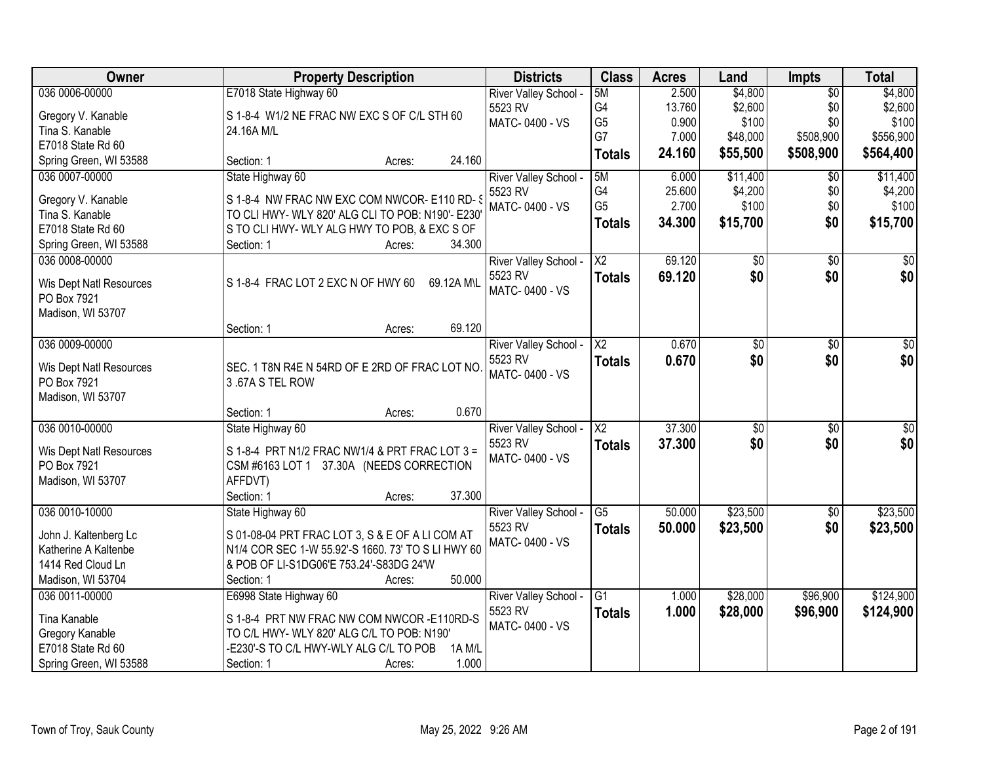| Owner                   | <b>Property Description</b>                        | <b>Districts</b>      | <b>Class</b>           | <b>Acres</b> | Land            | Impts           | <b>Total</b> |
|-------------------------|----------------------------------------------------|-----------------------|------------------------|--------------|-----------------|-----------------|--------------|
| 036 0006-00000          | E7018 State Highway 60                             | River Valley School - | 5M                     | 2.500        | \$4,800         | $\overline{50}$ | \$4,800      |
| Gregory V. Kanable      | S 1-8-4 W1/2 NE FRAC NW EXC S OF C/L STH 60        | 5523 RV               | G4                     | 13.760       | \$2,600         | \$0             | \$2,600      |
| Tina S. Kanable         | 24.16A M/L                                         | MATC-0400 - VS        | G <sub>5</sub>         | 0.900        | \$100           | \$0             | \$100        |
| E7018 State Rd 60       |                                                    |                       | G7                     | 7.000        | \$48,000        | \$508,900       | \$556,900    |
| Spring Green, WI 53588  | 24.160<br>Section: 1<br>Acres:                     |                       | <b>Totals</b>          | 24.160       | \$55,500        | \$508,900       | \$564,400    |
| 036 0007-00000          | State Highway 60                                   | River Valley School - | 5M                     | 6.000        | \$11,400        | \$0             | \$11,400     |
|                         |                                                    | 5523 RV               | G4                     | 25.600       | \$4,200         | \$0             | \$4,200      |
| Gregory V. Kanable      | S 1-8-4 NW FRAC NW EXC COM NWCOR- E110 RD- S       | MATC-0400 - VS        | G <sub>5</sub>         | 2.700        | \$100           | \$0             | \$100        |
| Tina S. Kanable         | TO CLI HWY- WLY 820' ALG CLI TO POB: N190'- E230'  |                       | <b>Totals</b>          | 34.300       | \$15,700        | \$0             | \$15,700     |
| E7018 State Rd 60       | S TO CLI HWY- WLY ALG HWY TO POB, & EXC S OF       |                       |                        |              |                 |                 |              |
| Spring Green, WI 53588  | 34.300<br>Section: 1<br>Acres:                     |                       |                        |              |                 |                 |              |
| 036 0008-00000          |                                                    | River Valley School - | X2                     | 69.120       | \$0             | \$0             | \$0          |
| Wis Dept Natl Resources | S 1-8-4 FRAC LOT 2 EXC N OF HWY 60<br>69.12A M\L   | 5523 RV               | <b>Totals</b>          | 69.120       | \$0             | \$0             | \$0          |
| PO Box 7921             |                                                    | MATC-0400 - VS        |                        |              |                 |                 |              |
| Madison, WI 53707       |                                                    |                       |                        |              |                 |                 |              |
|                         | 69.120<br>Section: 1<br>Acres:                     |                       |                        |              |                 |                 |              |
| 036 0009-00000          |                                                    | River Valley School - | X2                     | 0.670        | \$0             | \$0             | \$0          |
|                         |                                                    | 5523 RV               | <b>Totals</b>          | 0.670        | \$0             | \$0             | \$0          |
| Wis Dept Natl Resources | SEC. 1 T8N R4E N 54RD OF E 2RD OF FRAC LOT NO      | MATC-0400 - VS        |                        |              |                 |                 |              |
| PO Box 7921             | 3.67A S TEL ROW                                    |                       |                        |              |                 |                 |              |
| Madison, WI 53707       |                                                    |                       |                        |              |                 |                 |              |
|                         | 0.670<br>Section: 1<br>Acres:                      |                       |                        |              |                 |                 |              |
| 036 0010-00000          | State Highway 60                                   | River Valley School - | $\overline{\text{X2}}$ | 37.300       | $\overline{50}$ | $\overline{50}$ | \$0          |
| Wis Dept Natl Resources | S 1-8-4 PRT N1/2 FRAC NW1/4 & PRT FRAC LOT 3 =     | 5523 RV               | <b>Totals</b>          | 37.300       | \$0             | \$0             | \$0          |
| PO Box 7921             | CSM #6163 LOT 1 37.30A (NEEDS CORRECTION           | MATC-0400 - VS        |                        |              |                 |                 |              |
| Madison, WI 53707       | AFFDVT)                                            |                       |                        |              |                 |                 |              |
|                         | Section: 1<br>37.300<br>Acres:                     |                       |                        |              |                 |                 |              |
| 036 0010-10000          | State Highway 60                                   | River Valley School - | G <sub>5</sub>         | 50.000       | \$23,500        | $\overline{50}$ | \$23,500     |
| John J. Kaltenberg Lc   | S 01-08-04 PRT FRAC LOT 3, S & E OF A LI COM AT    | 5523 RV               | <b>Totals</b>          | 50.000       | \$23,500        | \$0             | \$23,500     |
| Katherine A Kaltenbe    | N1/4 COR SEC 1-W 55.92'-S 1660. 73' TO S LI HWY 60 | MATC-0400 - VS        |                        |              |                 |                 |              |
| 1414 Red Cloud Ln       | & POB OF LI-S1DG06'E 753.24'-S83DG 24'W            |                       |                        |              |                 |                 |              |
| Madison, WI 53704       | 50.000<br>Section: 1<br>Acres:                     |                       |                        |              |                 |                 |              |
| 036 0011-00000          | E6998 State Highway 60                             | River Valley School - | $\overline{G1}$        | 1.000        | \$28,000        | \$96,900        | \$124,900    |
|                         |                                                    | 5523 RV               | <b>Totals</b>          | 1.000        | \$28,000        | \$96,900        | \$124,900    |
| Tina Kanable            | S 1-8-4 PRT NW FRAC NW COM NWCOR -E110RD-S         | MATC-0400 - VS        |                        |              |                 |                 |              |
| Gregory Kanable         | TO C/L HWY- WLY 820' ALG C/L TO POB: N190'         |                       |                        |              |                 |                 |              |
| E7018 State Rd 60       | -E230'-S TO C/L HWY-WLY ALG C/L TO POB<br>1A M/L   |                       |                        |              |                 |                 |              |
| Spring Green, WI 53588  | 1.000<br>Section: 1<br>Acres:                      |                       |                        |              |                 |                 |              |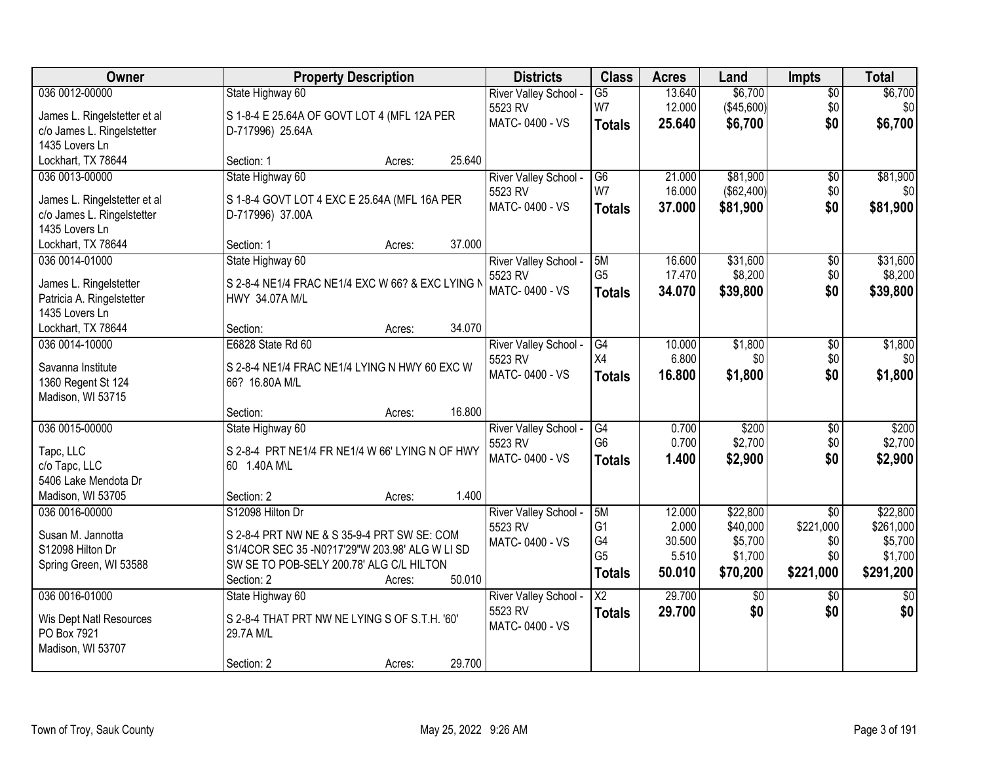| Owner                        | <b>Property Description</b>                      | <b>Districts</b>                 | <b>Class</b>           | <b>Acres</b> | Land            | <b>Impts</b>    | <b>Total</b>    |
|------------------------------|--------------------------------------------------|----------------------------------|------------------------|--------------|-----------------|-----------------|-----------------|
| 036 0012-00000               | State Highway 60                                 | River Valley School -            | $\overline{G5}$        | 13.640       | \$6,700         | $\overline{50}$ | \$6,700         |
| James L. Ringelstetter et al | S 1-8-4 E 25.64A OF GOVT LOT 4 (MFL 12A PER      | 5523 RV                          | W7                     | 12.000       | (\$45,600)      | \$0             | \$0             |
| c/o James L. Ringelstetter   | D-717996) 25.64A                                 | MATC-0400 - VS                   | <b>Totals</b>          | 25.640       | \$6,700         | \$0             | \$6,700         |
| 1435 Lovers Ln               |                                                  |                                  |                        |              |                 |                 |                 |
| Lockhart, TX 78644           | 25.640<br>Section: 1<br>Acres:                   |                                  |                        |              |                 |                 |                 |
| 036 0013-00000               | State Highway 60                                 | River Valley School -            | $\overline{G6}$        | 21.000       | \$81,900        | $\overline{50}$ | \$81,900        |
|                              |                                                  | 5523 RV                          | W7                     | 16.000       | (\$62,400)      | \$0             | \$0             |
| James L. Ringelstetter et al | S 1-8-4 GOVT LOT 4 EXC E 25.64A (MFL 16A PER     | MATC-0400 - VS                   | <b>Totals</b>          | 37.000       | \$81,900        | \$0             | \$81,900        |
| c/o James L. Ringelstetter   | D-717996) 37.00A                                 |                                  |                        |              |                 |                 |                 |
| 1435 Lovers Ln               |                                                  |                                  |                        |              |                 |                 |                 |
| Lockhart, TX 78644           | 37.000<br>Section: 1<br>Acres:                   |                                  |                        |              |                 |                 |                 |
| 036 0014-01000               | State Highway 60                                 | River Valley School -            | 5M                     | 16.600       | \$31,600        | \$0             | \$31,600        |
| James L. Ringelstetter       | S 2-8-4 NE1/4 FRAC NE1/4 EXC W 66? & EXC LYING N | 5523 RV                          | G <sub>5</sub>         | 17.470       | \$8,200         | \$0             | \$8,200         |
| Patricia A. Ringelstetter    | HWY 34.07A M/L                                   | MATC-0400 - VS                   | <b>Totals</b>          | 34.070       | \$39,800        | \$0             | \$39,800        |
| 1435 Lovers Ln               |                                                  |                                  |                        |              |                 |                 |                 |
| Lockhart, TX 78644           | 34.070<br>Section:<br>Acres:                     |                                  |                        |              |                 |                 |                 |
| 036 0014-10000               | E6828 State Rd 60                                | River Valley School -            | $\overline{G4}$        | 10.000       | \$1,800         | \$0             | \$1,800         |
|                              |                                                  | 5523 RV                          | X4                     | 6.800        | \$0             | \$0             | \$0             |
| Savanna Institute            | S 2-8-4 NE1/4 FRAC NE1/4 LYING N HWY 60 EXC W    | MATC-0400 - VS                   | <b>Totals</b>          | 16.800       | \$1,800         | \$0             | \$1,800         |
| 1360 Regent St 124           | 66? 16.80A M/L                                   |                                  |                        |              |                 |                 |                 |
| Madison, WI 53715            | 16.800<br>Section:                               |                                  |                        |              |                 |                 |                 |
| 036 0015-00000               | Acres:                                           |                                  | $\overline{G4}$        | 0.700        | \$200           | $\overline{30}$ | \$200           |
|                              | State Highway 60                                 | River Valley School -<br>5523 RV | G <sub>6</sub>         | 0.700        | \$2,700         | \$0             | \$2,700         |
| Tapc, LLC                    | S 2-8-4 PRT NE1/4 FR NE1/4 W 66' LYING N OF HWY  | MATC-0400 - VS                   |                        |              |                 |                 |                 |
| c/o Tapc, LLC                | 60 1.40A M\L                                     |                                  | <b>Totals</b>          | 1.400        | \$2,900         | \$0             | \$2,900         |
| 5406 Lake Mendota Dr         |                                                  |                                  |                        |              |                 |                 |                 |
| Madison, WI 53705            | 1.400<br>Section: 2<br>Acres:                    |                                  |                        |              |                 |                 |                 |
| 036 0016-00000               | S12098 Hilton Dr                                 | River Valley School -            | 5M                     | 12.000       | \$22,800        | $\overline{50}$ | \$22,800        |
| Susan M. Jannotta            | S 2-8-4 PRT NW NE & S 35-9-4 PRT SW SE: COM      | 5523 RV                          | G <sub>1</sub>         | 2.000        | \$40,000        | \$221,000       | \$261,000       |
| S12098 Hilton Dr             | S1/4COR SEC 35 -N0?17'29"W 203.98' ALG W LI SD   | MATC-0400 - VS                   | G4                     | 30.500       | \$5,700         | \$0             | \$5,700         |
| Spring Green, WI 53588       | SW SE TO POB-SELY 200.78' ALG C/L HILTON         |                                  | G <sub>5</sub>         | 5.510        | \$1,700         | \$0             | \$1,700         |
|                              | 50.010<br>Section: 2<br>Acres:                   |                                  | <b>Totals</b>          | 50.010       | \$70,200        | \$221,000       | \$291,200       |
| 036 0016-01000               | State Highway 60                                 | River Valley School -            | $\overline{\text{X2}}$ | 29.700       | $\overline{50}$ | $\overline{50}$ | $\overline{50}$ |
|                              |                                                  | 5523 RV                          | <b>Totals</b>          | 29.700       | \$0             | \$0             | \$0             |
| Wis Dept Natl Resources      | S 2-8-4 THAT PRT NW NE LYING S OF S.T.H. '60'    | MATC-0400 - VS                   |                        |              |                 |                 |                 |
| PO Box 7921                  | 29.7A M/L                                        |                                  |                        |              |                 |                 |                 |
| Madison, WI 53707            |                                                  |                                  |                        |              |                 |                 |                 |
|                              | 29.700<br>Section: 2<br>Acres:                   |                                  |                        |              |                 |                 |                 |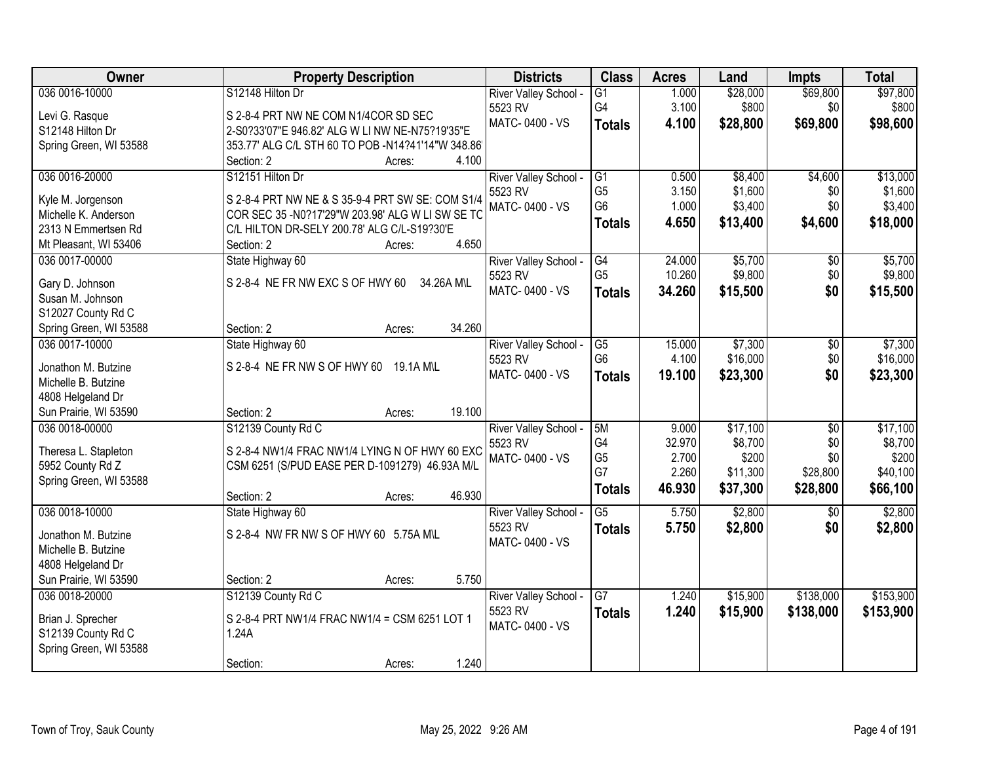| Owner                  | <b>Property Description</b>                                                                      | <b>Districts</b>          | <b>Class</b>         | <b>Acres</b>     | Land               | <b>Impts</b>    | <b>Total</b>       |
|------------------------|--------------------------------------------------------------------------------------------------|---------------------------|----------------------|------------------|--------------------|-----------------|--------------------|
| 036 0016-10000         | S12148 Hilton Dr                                                                                 | River Valley School -     | $\overline{G1}$      | 1.000            | \$28,000           | \$69,800        | \$97,800           |
| Levi G. Rasque         | S 2-8-4 PRT NW NE COM N1/4COR SD SEC                                                             | 5523 RV                   | G4                   | 3.100            | \$800              | \$0             | \$800              |
| S12148 Hilton Dr       | 2-S0?33'07"E 946.82' ALG W LI NW NE-N75?19'35"E                                                  | MATC-0400 - VS            | <b>Totals</b>        | 4.100            | \$28,800           | \$69,800        | \$98,600           |
| Spring Green, WI 53588 | 353.77' ALG C/L STH 60 TO POB -N14?41'14"W 348.86'                                               |                           |                      |                  |                    |                 |                    |
|                        | 4.100<br>Section: 2<br>Acres:                                                                    |                           |                      |                  |                    |                 |                    |
| 036 0016-20000         | S12151 Hilton Dr                                                                                 | River Valley School -     | $\overline{G1}$      | 0.500            | \$8,400            | \$4,600         | \$13,000           |
|                        |                                                                                                  | 5523 RV                   | G <sub>5</sub>       | 3.150            | \$1,600            | \$0             | \$1,600            |
| Kyle M. Jorgenson      | S 2-8-4 PRT NW NE & S 35-9-4 PRT SW SE: COM S1/4                                                 | MATC-0400 - VS            | G <sub>6</sub>       | 1.000            | \$3,400            | \$0             | \$3,400            |
| Michelle K. Anderson   | COR SEC 35 - N0?17'29"W 203.98' ALG W LI SW SE TC<br>C/L HILTON DR-SELY 200.78' ALG C/L-S19?30'E |                           | <b>Totals</b>        | 4.650            | \$13,400           | \$4,600         | \$18,000           |
| 2313 N Emmertsen Rd    | 4.650<br>Section: 2                                                                              |                           |                      |                  |                    |                 |                    |
| Mt Pleasant, WI 53406  | Acres:                                                                                           |                           |                      |                  |                    |                 |                    |
| 036 0017-00000         | State Highway 60                                                                                 | River Valley School -     | G4<br>G <sub>5</sub> | 24.000<br>10.260 | \$5,700<br>\$9,800 | \$0<br>\$0      | \$5,700<br>\$9,800 |
| Gary D. Johnson        | S 2-8-4 NE FR NW EXC S OF HWY 60<br>34.26A M\L                                                   | 5523 RV<br>MATC-0400 - VS |                      |                  |                    |                 |                    |
| Susan M. Johnson       |                                                                                                  |                           | <b>Totals</b>        | 34.260           | \$15,500           | \$0             | \$15,500           |
| S12027 County Rd C     |                                                                                                  |                           |                      |                  |                    |                 |                    |
| Spring Green, WI 53588 | 34.260<br>Section: 2<br>Acres:                                                                   |                           |                      |                  |                    |                 |                    |
| 036 0017-10000         | State Highway 60                                                                                 | River Valley School -     | $\overline{G5}$      | 15.000           | \$7,300            | \$0             | \$7,300            |
| Jonathon M. Butzine    | S 2-8-4 NE FR NW S OF HWY 60 19.1A M\L                                                           | 5523 RV                   | G <sub>6</sub>       | 4.100            | \$16,000           | \$0             | \$16,000           |
| Michelle B. Butzine    |                                                                                                  | MATC-0400 - VS            | <b>Totals</b>        | 19.100           | \$23,300           | \$0             | \$23,300           |
| 4808 Helgeland Dr      |                                                                                                  |                           |                      |                  |                    |                 |                    |
| Sun Prairie, WI 53590  | Section: 2<br>19.100<br>Acres:                                                                   |                           |                      |                  |                    |                 |                    |
| 036 0018-00000         | S12139 County Rd C                                                                               | River Valley School -     | 5M                   | 9.000            | \$17,100           | $\overline{50}$ | \$17,100           |
|                        |                                                                                                  | 5523 RV                   | G4                   | 32.970           | \$8,700            | \$0             | \$8,700            |
| Theresa L. Stapleton   | S 2-8-4 NW1/4 FRAC NW1/4 LYING N OF HWY 60 EXC                                                   | MATC-0400 - VS            | G <sub>5</sub>       | 2.700            | \$200              | \$0             | \$200              |
| 5952 County Rd Z       | CSM 6251 (S/PUD EASE PER D-1091279) 46.93A M/L                                                   |                           | G7                   | 2.260            | \$11,300           | \$28,800        | \$40,100           |
| Spring Green, WI 53588 |                                                                                                  |                           | <b>Totals</b>        | 46.930           | \$37,300           | \$28,800        | \$66,100           |
|                        | 46.930<br>Section: 2<br>Acres:                                                                   |                           |                      |                  |                    |                 |                    |
| 036 0018-10000         | State Highway 60                                                                                 | River Valley School -     | $\overline{G5}$      | 5.750            | \$2,800            | \$0             | \$2,800            |
| Jonathon M. Butzine    | S 2-8-4 NW FR NW S OF HWY 60 5.75A M\L                                                           | 5523 RV                   | <b>Totals</b>        | 5.750            | \$2,800            | \$0             | \$2,800            |
| Michelle B. Butzine    |                                                                                                  | MATC-0400 - VS            |                      |                  |                    |                 |                    |
| 4808 Helgeland Dr      |                                                                                                  |                           |                      |                  |                    |                 |                    |
| Sun Prairie, WI 53590  | 5.750<br>Section: 2<br>Acres:                                                                    |                           |                      |                  |                    |                 |                    |
| 036 0018-20000         | S12139 County Rd C                                                                               | River Valley School -     | $\overline{G7}$      | 1.240            | \$15,900           | \$138,000       | \$153,900          |
|                        |                                                                                                  | 5523 RV                   | <b>Totals</b>        | 1.240            | \$15,900           | \$138,000       | \$153,900          |
| Brian J. Sprecher      | S 2-8-4 PRT NW1/4 FRAC NW1/4 = CSM 6251 LOT 1                                                    | MATC-0400 - VS            |                      |                  |                    |                 |                    |
| S12139 County Rd C     | 1.24A                                                                                            |                           |                      |                  |                    |                 |                    |
| Spring Green, WI 53588 |                                                                                                  |                           |                      |                  |                    |                 |                    |
|                        | 1.240<br>Section:<br>Acres:                                                                      |                           |                      |                  |                    |                 |                    |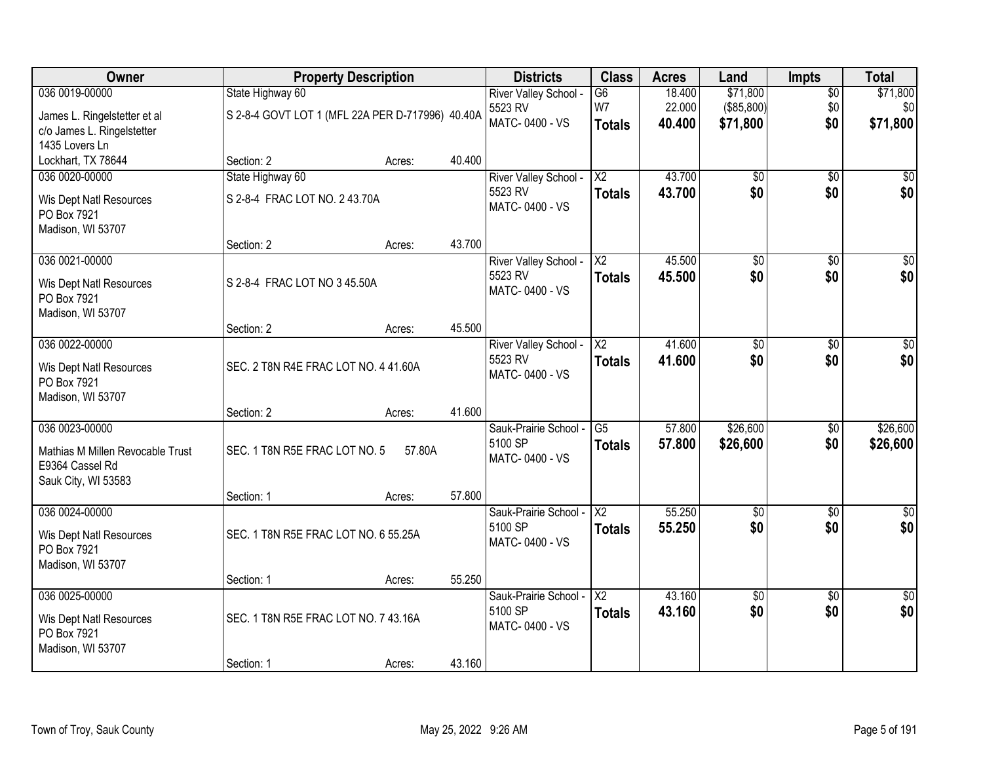| Owner                                               | <b>Property Description</b>                      |        |        | <b>Districts</b>                 | <b>Class</b>             | <b>Acres</b>     | Land                   | <b>Impts</b>           | <b>Total</b>           |
|-----------------------------------------------------|--------------------------------------------------|--------|--------|----------------------------------|--------------------------|------------------|------------------------|------------------------|------------------------|
| 036 0019-00000                                      | State Highway 60                                 |        |        | River Valley School -            | $\overline{G6}$          | 18.400           | \$71,800               | $\overline{50}$        | \$71,800               |
| James L. Ringelstetter et al                        | S 2-8-4 GOVT LOT 1 (MFL 22A PER D-717996) 40.40A |        |        | 5523 RV<br>MATC-0400 - VS        | W7                       | 22.000           | (\$85,800)             | \$0                    | \$0                    |
| c/o James L. Ringelstetter                          |                                                  |        |        |                                  | <b>Totals</b>            | 40.400           | \$71,800               | \$0                    | \$71,800               |
| 1435 Lovers Ln                                      |                                                  |        |        |                                  |                          |                  |                        |                        |                        |
| Lockhart, TX 78644<br>036 0020-00000                | Section: 2                                       | Acres: | 40.400 |                                  | $\overline{\text{X2}}$   | 43.700           |                        | $\overline{50}$        |                        |
|                                                     | State Highway 60                                 |        |        | River Valley School -<br>5523 RV | <b>Totals</b>            | 43.700           | \$0<br>\$0             | \$0                    | \$0<br>\$0             |
| Wis Dept Natl Resources                             | S 2-8-4 FRAC LOT NO. 2 43.70A                    |        |        | MATC-0400 - VS                   |                          |                  |                        |                        |                        |
| PO Box 7921<br>Madison, WI 53707                    |                                                  |        |        |                                  |                          |                  |                        |                        |                        |
|                                                     | Section: 2                                       | Acres: | 43.700 |                                  |                          |                  |                        |                        |                        |
| 036 0021-00000                                      |                                                  |        |        | River Valley School -            | $\overline{X2}$          | 45.500           | \$0                    | $\overline{50}$        | $\sqrt{50}$            |
| Wis Dept Natl Resources                             | S 2-8-4 FRAC LOT NO 3 45.50A                     |        |        | 5523 RV                          | <b>Totals</b>            | 45.500           | \$0                    | \$0                    | \$0                    |
| PO Box 7921                                         |                                                  |        |        | MATC-0400 - VS                   |                          |                  |                        |                        |                        |
| Madison, WI 53707                                   |                                                  |        |        |                                  |                          |                  |                        |                        |                        |
|                                                     | Section: 2                                       | Acres: | 45.500 |                                  |                          |                  |                        |                        |                        |
| 036 0022-00000                                      |                                                  |        |        | River Valley School -            | $\overline{\text{X2}}$   | 41.600           | \$0                    | \$0                    | \$0                    |
| Wis Dept Natl Resources                             | SEC. 2 T8N R4E FRAC LOT NO. 4 41.60A             |        |        | 5523 RV<br>MATC-0400 - VS        | <b>Totals</b>            | 41.600           | \$0                    | \$0                    | \$0                    |
| PO Box 7921                                         |                                                  |        |        |                                  |                          |                  |                        |                        |                        |
| Madison, WI 53707                                   |                                                  |        | 41.600 |                                  |                          |                  |                        |                        |                        |
| 036 0023-00000                                      | Section: 2                                       | Acres: |        | Sauk-Prairie School -            | $\overline{G5}$          | 57.800           | \$26,600               | \$0                    | \$26,600               |
|                                                     |                                                  |        |        | 5100 SP                          | <b>Totals</b>            | 57,800           | \$26,600               | \$0                    | \$26,600               |
| Mathias M Millen Revocable Trust<br>E9364 Cassel Rd | SEC. 1 T8N R5E FRAC LOT NO. 5                    | 57.80A |        | MATC-0400 - VS                   |                          |                  |                        |                        |                        |
| Sauk City, WI 53583                                 |                                                  |        |        |                                  |                          |                  |                        |                        |                        |
|                                                     | Section: 1                                       | Acres: | 57.800 |                                  |                          |                  |                        |                        |                        |
| 036 0024-00000                                      |                                                  |        |        | Sauk-Prairie School -            | $\overline{X2}$          | 55.250           | \$0                    | $\overline{50}$        | \$0                    |
| Wis Dept Natl Resources                             | SEC. 1 T8N R5E FRAC LOT NO. 6 55.25A             |        |        | 5100 SP                          | <b>Totals</b>            | 55.250           | \$0                    | \$0                    | \$0                    |
| PO Box 7921                                         |                                                  |        |        | MATC-0400 - VS                   |                          |                  |                        |                        |                        |
| Madison, WI 53707                                   |                                                  |        |        |                                  |                          |                  |                        |                        |                        |
|                                                     | Section: 1                                       | Acres: | 55.250 |                                  |                          |                  |                        |                        |                        |
| 036 0025-00000                                      |                                                  |        |        | Sauk-Prairie School -<br>5100 SP | $\overline{\mathsf{X2}}$ | 43.160<br>43.160 | $\overline{60}$<br>\$0 | $\overline{30}$<br>\$0 | $\overline{50}$<br>\$0 |
| Wis Dept Natl Resources                             | SEC. 1 T8N R5E FRAC LOT NO. 7 43.16A             |        |        | MATC-0400 - VS                   | <b>Totals</b>            |                  |                        |                        |                        |
| PO Box 7921                                         |                                                  |        |        |                                  |                          |                  |                        |                        |                        |
| Madison, WI 53707                                   | Section: 1                                       | Acres: | 43.160 |                                  |                          |                  |                        |                        |                        |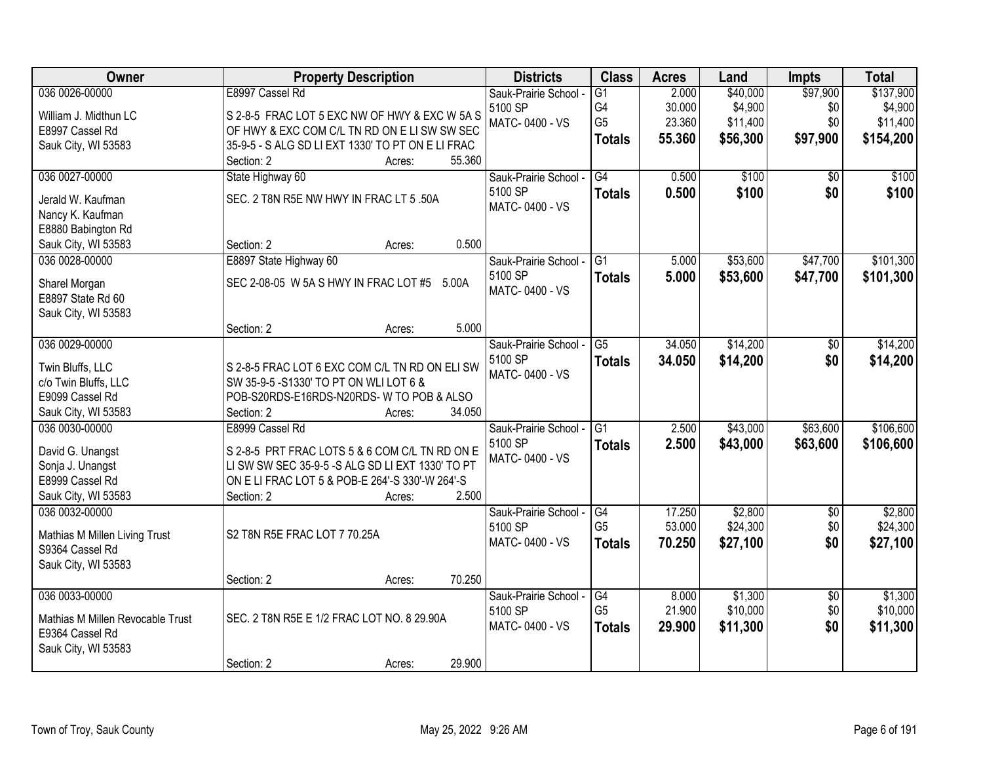| <b>Owner</b>                         | <b>Property Description</b>                                                                        | <b>Districts</b>                 | <b>Class</b>         | <b>Acres</b>    | Land                | <b>Impts</b>           | <b>Total</b>        |
|--------------------------------------|----------------------------------------------------------------------------------------------------|----------------------------------|----------------------|-----------------|---------------------|------------------------|---------------------|
| 036 0026-00000                       | E8997 Cassel Rd                                                                                    | Sauk-Prairie School -            | $\overline{G1}$      | 2.000           | \$40,000            | \$97,900               | \$137,900           |
| William J. Midthun LC                | S 2-8-5 FRAC LOT 5 EXC NW OF HWY & EXC W 5A S                                                      | 5100 SP                          | G4                   | 30.000          | \$4,900             | \$0                    | \$4,900             |
| E8997 Cassel Rd                      | OF HWY & EXC COM C/L TN RD ON E LI SW SW SEC                                                       | MATC-0400 - VS                   | G <sub>5</sub>       | 23.360          | \$11,400            | \$0                    | \$11,400            |
| Sauk City, WI 53583                  | 35-9-5 - S ALG SD LI EXT 1330' TO PT ON E LI FRAC                                                  |                                  | <b>Totals</b>        | 55.360          | \$56,300            | \$97,900               | \$154,200           |
|                                      | 55.360<br>Section: 2<br>Acres:                                                                     |                                  |                      |                 |                     |                        |                     |
| 036 0027-00000                       | State Highway 60                                                                                   | Sauk-Prairie School -            | G4                   | 0.500           | \$100               | \$0                    | \$100               |
| Jerald W. Kaufman                    | SEC. 2 T8N R5E NW HWY IN FRAC LT 5 .50A                                                            | 5100 SP                          | <b>Totals</b>        | 0.500           | \$100               | \$0                    | \$100               |
| Nancy K. Kaufman                     |                                                                                                    | MATC-0400 - VS                   |                      |                 |                     |                        |                     |
| E8880 Babington Rd                   |                                                                                                    |                                  |                      |                 |                     |                        |                     |
| Sauk City, WI 53583                  | 0.500<br>Section: 2<br>Acres:                                                                      |                                  |                      |                 |                     |                        |                     |
| 036 0028-00000                       | E8897 State Highway 60                                                                             | Sauk-Prairie School -            | G1                   | 5.000           | \$53,600            | \$47,700               | \$101,300           |
| Sharel Morgan                        | SEC 2-08-05 W 5A S HWY IN FRAC LOT #5 5.00A                                                        | 5100 SP                          | <b>Totals</b>        | 5.000           | \$53,600            | \$47,700               | \$101,300           |
| E8897 State Rd 60                    |                                                                                                    | MATC-0400 - VS                   |                      |                 |                     |                        |                     |
| Sauk City, WI 53583                  |                                                                                                    |                                  |                      |                 |                     |                        |                     |
|                                      | 5.000<br>Section: 2<br>Acres:                                                                      |                                  |                      |                 |                     |                        |                     |
| 036 0029-00000                       |                                                                                                    | Sauk-Prairie School -            | G5                   | 34.050          | \$14,200            | \$0                    | \$14,200            |
| Twin Bluffs, LLC                     | S 2-8-5 FRAC LOT 6 EXC COM C/L TN RD ON ELI SW                                                     | 5100 SP                          | <b>Totals</b>        | 34.050          | \$14,200            | \$0                    | \$14,200            |
| c/o Twin Bluffs, LLC                 | SW 35-9-5 -S1330' TO PT ON WLI LOT 6 &                                                             | MATC-0400 - VS                   |                      |                 |                     |                        |                     |
| E9099 Cassel Rd                      | POB-S20RDS-E16RDS-N20RDS-W TO POB & ALSO                                                           |                                  |                      |                 |                     |                        |                     |
| Sauk City, WI 53583                  | 34.050<br>Section: 2<br>Acres:                                                                     |                                  |                      |                 |                     |                        |                     |
| 036 0030-00000                       | E8999 Cassel Rd                                                                                    | Sauk-Prairie School -            | $\overline{G1}$      | 2.500           | \$43,000            | \$63,600               | \$106,600           |
|                                      |                                                                                                    | 5100 SP                          | <b>Totals</b>        | 2.500           | \$43,000            | \$63,600               | \$106,600           |
| David G. Unangst<br>Sonja J. Unangst | S 2-8-5 PRT FRAC LOTS 5 & 6 COM C/L TN RD ON E<br>LI SW SW SEC 35-9-5 -S ALG SD LI EXT 1330' TO PT | MATC-0400 - VS                   |                      |                 |                     |                        |                     |
| E8999 Cassel Rd                      | ON E LI FRAC LOT 5 & POB-E 264'-S 330'-W 264'-S                                                    |                                  |                      |                 |                     |                        |                     |
| Sauk City, WI 53583                  | 2.500<br>Section: 2<br>Acres:                                                                      |                                  |                      |                 |                     |                        |                     |
| 036 0032-00000                       |                                                                                                    | Sauk-Prairie School -            | G4                   | 17.250          | \$2,800             | $\overline{50}$        | \$2,800             |
|                                      |                                                                                                    | 5100 SP                          | G <sub>5</sub>       | 53.000          | \$24,300            | \$0                    | \$24,300            |
| Mathias M Millen Living Trust        | S2 T8N R5E FRAC LOT 7 70.25A                                                                       | MATC-0400 - VS                   | <b>Totals</b>        | 70.250          | \$27,100            | \$0                    | \$27,100            |
| S9364 Cassel Rd                      |                                                                                                    |                                  |                      |                 |                     |                        |                     |
| Sauk City, WI 53583                  |                                                                                                    |                                  |                      |                 |                     |                        |                     |
|                                      | 70.250<br>Section: 2<br>Acres:                                                                     |                                  |                      |                 |                     |                        |                     |
| 036 0033-00000                       |                                                                                                    | Sauk-Prairie School -<br>5100 SP | G4<br>G <sub>5</sub> | 8.000<br>21.900 | \$1,300<br>\$10,000 | $\overline{50}$<br>\$0 | \$1,300<br>\$10,000 |
| Mathias M Millen Revocable Trust     | SEC. 2 T8N R5E E 1/2 FRAC LOT NO. 8 29.90A                                                         | MATC-0400 - VS                   |                      | 29.900          | \$11,300            | \$0                    |                     |
| E9364 Cassel Rd                      |                                                                                                    |                                  | <b>Totals</b>        |                 |                     |                        | \$11,300            |
| Sauk City, WI 53583                  |                                                                                                    |                                  |                      |                 |                     |                        |                     |
|                                      | 29.900<br>Section: 2<br>Acres:                                                                     |                                  |                      |                 |                     |                        |                     |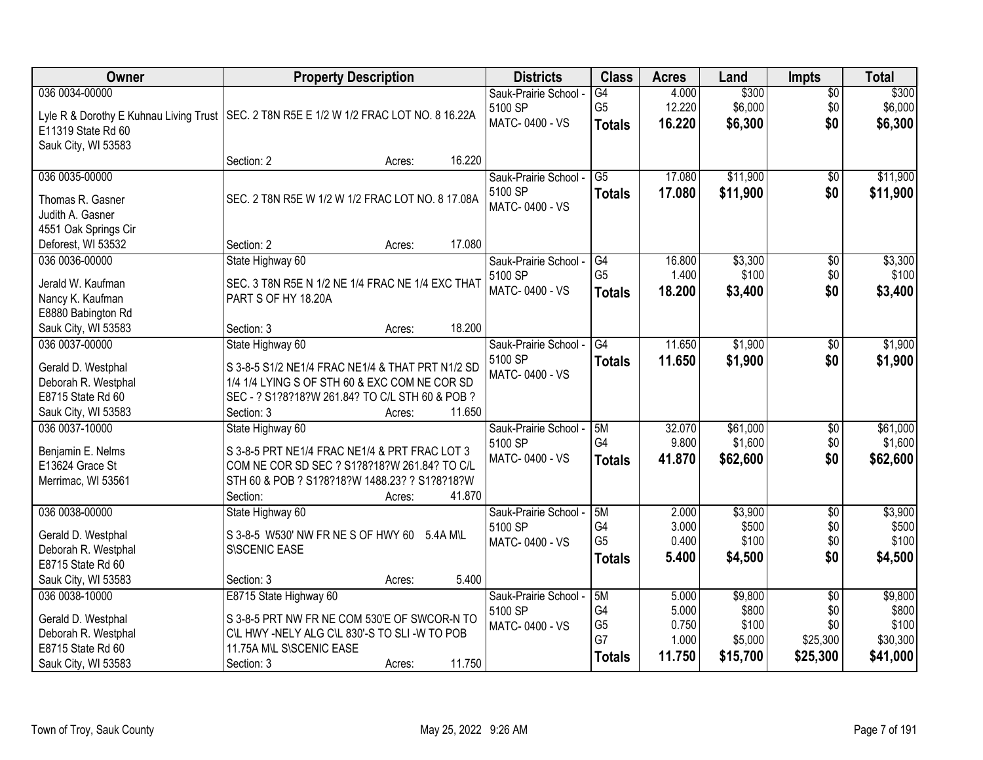| Owner                                    | <b>Property Description</b>                                                                   | <b>Districts</b>      | <b>Class</b>    | <b>Acres</b> | Land     | <b>Impts</b>    | <b>Total</b> |
|------------------------------------------|-----------------------------------------------------------------------------------------------|-----------------------|-----------------|--------------|----------|-----------------|--------------|
| 036 0034-00000                           |                                                                                               | Sauk-Prairie School - | $\overline{G4}$ | 4.000        | \$300    | \$0             | \$300        |
|                                          | Lyle R & Dorothy E Kuhnau Living Trust   SEC. 2 T8N R5E E 1/2 W 1/2 FRAC LOT NO. 8 16.22A     | 5100 SP               | G <sub>5</sub>  | 12.220       | \$6,000  | \$0             | \$6,000      |
| E11319 State Rd 60                       |                                                                                               | MATC-0400 - VS        | <b>Totals</b>   | 16.220       | \$6,300  | \$0             | \$6,300      |
| Sauk City, WI 53583                      |                                                                                               |                       |                 |              |          |                 |              |
|                                          | 16.220<br>Section: 2<br>Acres:                                                                |                       |                 |              |          |                 |              |
| 036 0035-00000                           |                                                                                               | Sauk-Prairie School - | $\overline{G5}$ | 17.080       | \$11,900 | \$0             | \$11,900     |
| Thomas R. Gasner                         | SEC. 2 T8N R5E W 1/2 W 1/2 FRAC LOT NO. 8 17.08A                                              | 5100 SP               | <b>Totals</b>   | 17.080       | \$11,900 | \$0             | \$11,900     |
| Judith A. Gasner                         |                                                                                               | MATC-0400 - VS        |                 |              |          |                 |              |
| 4551 Oak Springs Cir                     |                                                                                               |                       |                 |              |          |                 |              |
| Deforest, WI 53532                       | 17.080<br>Section: 2<br>Acres:                                                                |                       |                 |              |          |                 |              |
| 036 0036-00000                           | State Highway 60                                                                              | Sauk-Prairie School - | G4              | 16.800       | \$3,300  | \$0             | \$3,300      |
|                                          |                                                                                               | 5100 SP               | G <sub>5</sub>  | 1.400        | \$100    | \$0             | \$100        |
| Jerald W. Kaufman                        | SEC. 3 T8N R5E N 1/2 NE 1/4 FRAC NE 1/4 EXC THAT<br>PART S OF HY 18.20A                       | MATC-0400 - VS        | <b>Totals</b>   | 18.200       | \$3,400  | \$0             | \$3,400      |
| Nancy K. Kaufman<br>E8880 Babington Rd   |                                                                                               |                       |                 |              |          |                 |              |
| Sauk City, WI 53583                      | 18.200<br>Section: 3<br>Acres:                                                                |                       |                 |              |          |                 |              |
| 036 0037-00000                           | State Highway 60                                                                              | Sauk-Prairie School - | G4              | 11.650       | \$1,900  | $\sqrt[6]{}$    | \$1,900      |
|                                          |                                                                                               | 5100 SP               | <b>Totals</b>   | 11.650       | \$1,900  | \$0             | \$1,900      |
| Gerald D. Westphal                       | S 3-8-5 S1/2 NE1/4 FRAC NE1/4 & THAT PRT N1/2 SD                                              | MATC-0400 - VS        |                 |              |          |                 |              |
| Deborah R. Westphal                      | 1/4 1/4 LYING S OF STH 60 & EXC COM NE COR SD                                                 |                       |                 |              |          |                 |              |
| E8715 State Rd 60                        | SEC - ? S1?8?18?W 261.84? TO C/L STH 60 & POB ?                                               |                       |                 |              |          |                 |              |
| Sauk City, WI 53583                      | 11.650<br>Section: 3<br>Acres:                                                                |                       |                 |              |          |                 |              |
| 036 0037-10000                           | State Highway 60                                                                              | Sauk-Prairie School - | 5M              | 32.070       | \$61,000 | $\overline{50}$ | \$61,000     |
| Benjamin E. Nelms                        | S 3-8-5 PRT NE1/4 FRAC NE1/4 & PRT FRAC LOT 3                                                 | 5100 SP               | G4              | 9.800        | \$1,600  | \$0             | \$1,600      |
| E13624 Grace St                          | COM NE COR SD SEC ? S1?8?18?W 261.84? TO C/L                                                  | MATC-0400 - VS        | <b>Totals</b>   | 41.870       | \$62,600 | \$0             | \$62,600     |
| Merrimac, WI 53561                       | STH 60 & POB ? S1?8?18?W 1488.23? ? S1?8?18?W                                                 |                       |                 |              |          |                 |              |
|                                          | 41.870<br>Section:<br>Acres:                                                                  |                       |                 |              |          |                 |              |
| 036 0038-00000                           | State Highway 60                                                                              | Sauk-Prairie School - | 5M              | 2.000        | \$3,900  | $\overline{60}$ | \$3,900      |
| Gerald D. Westphal                       | S 3-8-5 W530' NW FR NE S OF HWY 60 5.4A M\L                                                   | 5100 SP               | G4              | 3.000        | \$500    | \$0             | \$500        |
| Deborah R. Westphal                      | S\SCENIC EASE                                                                                 | MATC-0400 - VS        | G <sub>5</sub>  | 0.400        | \$100    | \$0             | \$100        |
| E8715 State Rd 60                        |                                                                                               |                       | <b>Totals</b>   | 5.400        | \$4,500  | \$0             | \$4,500      |
| Sauk City, WI 53583                      | 5.400<br>Section: 3<br>Acres:                                                                 |                       |                 |              |          |                 |              |
| 036 0038-10000                           | E8715 State Highway 60                                                                        | Sauk-Prairie School - | 5M              | 5.000        | \$9,800  | $\overline{60}$ | \$9,800      |
|                                          |                                                                                               | 5100 SP               | G4              | 5.000        | \$800    | \$0             | \$800        |
| Gerald D. Westphal                       | S 3-8-5 PRT NW FR NE COM 530'E OF SWCOR-N TO<br>C\L HWY -NELY ALG C\L 830'-S TO SLI -W TO POB | MATC-0400 - VS        | G <sub>5</sub>  | 0.750        | \$100    | \$0             | \$100        |
| Deborah R. Westphal<br>E8715 State Rd 60 | 11.75A M\L S\SCENIC EASE                                                                      |                       | G7              | 1.000        | \$5,000  | \$25,300        | \$30,300     |
| Sauk City, WI 53583                      | 11.750<br>Section: 3<br>Acres:                                                                |                       | <b>Totals</b>   | 11.750       | \$15,700 | \$25,300        | \$41,000     |
|                                          |                                                                                               |                       |                 |              |          |                 |              |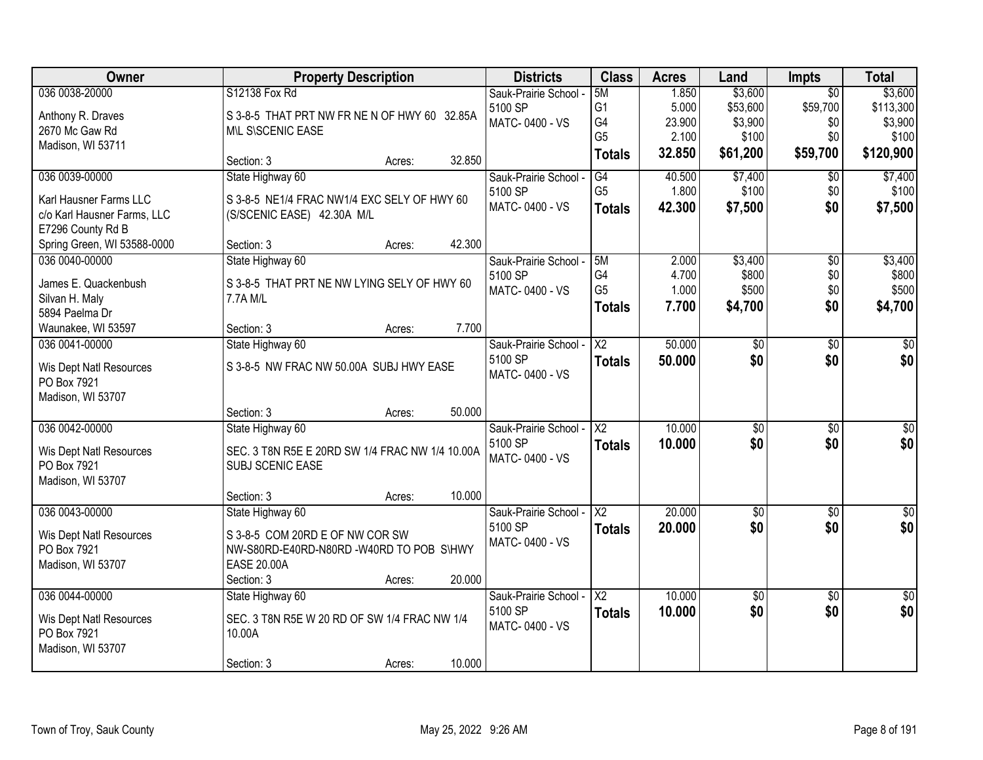| Owner                                  |                                                 | <b>Property Description</b> |        | <b>Districts</b>      | <b>Class</b>             | <b>Acres</b> | Land            | <b>Impts</b>    | <b>Total</b>  |
|----------------------------------------|-------------------------------------------------|-----------------------------|--------|-----------------------|--------------------------|--------------|-----------------|-----------------|---------------|
| 036 0038-20000                         | S12138 Fox Rd                                   |                             |        | Sauk-Prairie School - | 5M                       | 1.850        | \$3,600         | $\overline{50}$ | \$3,600       |
| Anthony R. Draves                      | S 3-8-5 THAT PRT NW FR NE N OF HWY 60 32.85A    |                             |        | 5100 SP               | G <sub>1</sub>           | 5.000        | \$53,600        | \$59,700        | \$113,300     |
| 2670 Mc Gaw Rd                         | MIL SISCENIC EASE                               |                             |        | MATC-0400 - VS        | G4                       | 23.900       | \$3,900         | \$0             | \$3,900       |
| Madison, WI 53711                      |                                                 |                             |        |                       | G <sub>5</sub>           | 2.100        | \$100           | \$0             | \$100         |
|                                        | Section: 3                                      | Acres:                      | 32.850 |                       | <b>Totals</b>            | 32.850       | \$61,200        | \$59,700        | \$120,900     |
| 036 0039-00000                         | State Highway 60                                |                             |        | Sauk-Prairie School - | G4                       | 40.500       | \$7,400         | \$0             | \$7,400       |
| Karl Hausner Farms LLC                 | S 3-8-5 NE1/4 FRAC NW1/4 EXC SELY OF HWY 60     |                             |        | 5100 SP               | G <sub>5</sub>           | 1.800        | \$100           | \$0             | \$100         |
| c/o Karl Hausner Farms, LLC            | (S/SCENIC EASE) 42.30A M/L                      |                             |        | MATC-0400 - VS        | <b>Totals</b>            | 42.300       | \$7,500         | \$0             | \$7,500       |
| E7296 County Rd B                      |                                                 |                             |        |                       |                          |              |                 |                 |               |
| Spring Green, WI 53588-0000            | Section: 3                                      | Acres:                      | 42.300 |                       |                          |              |                 |                 |               |
| 036 0040-00000                         | State Highway 60                                |                             |        | Sauk-Prairie School - | 15M                      | 2.000        | \$3,400         | $\overline{50}$ | \$3,400       |
| James E. Quackenbush                   | S 3-8-5 THAT PRT NE NW LYING SELY OF HWY 60     |                             |        | 5100 SP               | G4                       | 4.700        | \$800           | \$0             | \$800         |
| Silvan H. Maly                         | 7.7A M/L                                        |                             |        | MATC-0400 - VS        | G <sub>5</sub>           | 1.000        | \$500           | \$0             | \$500         |
| 5894 Paelma Dr                         |                                                 |                             |        |                       | <b>Totals</b>            | 7.700        | \$4,700         | \$0             | \$4,700       |
| Waunakee, WI 53597                     | Section: 3                                      | Acres:                      | 7.700  |                       |                          |              |                 |                 |               |
| 036 0041-00000                         | State Highway 60                                |                             |        | Sauk-Prairie School - | X <sub>2</sub>           | 50.000       | \$0             | \$0             | \$0           |
|                                        | S 3-8-5 NW FRAC NW 50.00A SUBJ HWY EASE         |                             |        | 5100 SP               | <b>Totals</b>            | 50.000       | \$0             | \$0             | \$0           |
| Wis Dept Natl Resources<br>PO Box 7921 |                                                 |                             |        | MATC-0400 - VS        |                          |              |                 |                 |               |
| Madison, WI 53707                      |                                                 |                             |        |                       |                          |              |                 |                 |               |
|                                        | Section: 3                                      | Acres:                      | 50.000 |                       |                          |              |                 |                 |               |
| 036 0042-00000                         | State Highway 60                                |                             |        | Sauk-Prairie School - | $\overline{\text{X2}}$   | 10.000       | $\overline{50}$ | $\overline{50}$ | \$0           |
|                                        | SEC. 3 T8N R5E E 20RD SW 1/4 FRAC NW 1/4 10.00A |                             |        | 5100 SP               | <b>Totals</b>            | 10.000       | \$0             | \$0             | \$0           |
| Wis Dept Natl Resources<br>PO Box 7921 | SUBJ SCENIC EASE                                |                             |        | MATC-0400 - VS        |                          |              |                 |                 |               |
| Madison, WI 53707                      |                                                 |                             |        |                       |                          |              |                 |                 |               |
|                                        | Section: 3                                      | Acres:                      | 10.000 |                       |                          |              |                 |                 |               |
| 036 0043-00000                         | State Highway 60                                |                             |        | Sauk-Prairie School - | $\overline{X^2}$         | 20.000       | $\sqrt{$0}$     | $\sqrt{6}$      | $\frac{6}{3}$ |
| Wis Dept Natl Resources                | S 3-8-5 COM 20RD E OF NW COR SW                 |                             |        | 5100 SP               | <b>Totals</b>            | 20.000       | \$0             | \$0             | \$0           |
| PO Box 7921                            | NW-S80RD-E40RD-N80RD -W40RD TO POB S\HWY        |                             |        | MATC-0400 - VS        |                          |              |                 |                 |               |
| Madison, WI 53707                      | <b>EASE 20.00A</b>                              |                             |        |                       |                          |              |                 |                 |               |
|                                        | Section: 3                                      | Acres:                      | 20.000 |                       |                          |              |                 |                 |               |
| 036 0044-00000                         | State Highway 60                                |                             |        | Sauk-Prairie School - | $\overline{\mathsf{X2}}$ | 10.000       | $\sqrt{$0}$     | $\overline{30}$ | $\sqrt{50}$   |
| Wis Dept Natl Resources                | SEC. 3 T8N R5E W 20 RD OF SW 1/4 FRAC NW 1/4    |                             |        | 5100 SP               | <b>Totals</b>            | 10.000       | \$0             | \$0             | \$0           |
| PO Box 7921                            | 10.00A                                          |                             |        | MATC-0400 - VS        |                          |              |                 |                 |               |
| Madison, WI 53707                      |                                                 |                             |        |                       |                          |              |                 |                 |               |
|                                        | Section: 3                                      | Acres:                      | 10.000 |                       |                          |              |                 |                 |               |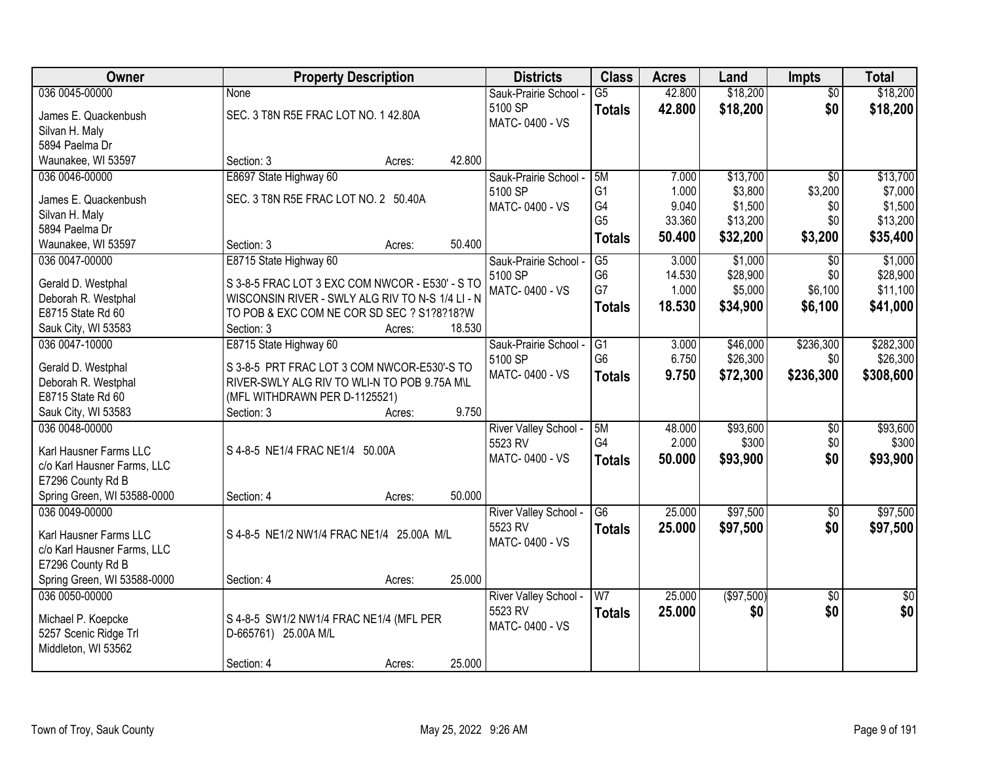| Owner                                     | <b>Property Description</b>                      | <b>Districts</b>          | <b>Class</b>    | <b>Acres</b>    | Land                | <b>Impts</b>    | <b>Total</b>    |
|-------------------------------------------|--------------------------------------------------|---------------------------|-----------------|-----------------|---------------------|-----------------|-----------------|
| 036 0045-00000                            | None                                             | Sauk-Prairie School -     | $\overline{G5}$ | 42.800          | \$18,200            | $\overline{50}$ | \$18,200        |
| James E. Quackenbush                      | SEC. 3 T8N R5E FRAC LOT NO. 1 42.80A             | 5100 SP                   | <b>Totals</b>   | 42.800          | \$18,200            | \$0             | \$18,200        |
| Silvan H. Maly                            |                                                  | MATC-0400 - VS            |                 |                 |                     |                 |                 |
| 5894 Paelma Dr                            |                                                  |                           |                 |                 |                     |                 |                 |
| Waunakee, WI 53597                        | 42.800<br>Section: 3<br>Acres:                   |                           |                 |                 |                     |                 |                 |
| 036 0046-00000                            | E8697 State Highway 60                           | Sauk-Prairie School -     | 5M              | 7.000           | \$13,700            | $\overline{50}$ | \$13,700        |
|                                           |                                                  | 5100 SP                   | G <sub>1</sub>  | 1.000           | \$3,800             | \$3,200         | \$7,000         |
| James E. Quackenbush                      | SEC. 3 T8N R5E FRAC LOT NO. 2 50.40A             | MATC-0400 - VS            | G4              | 9.040           | \$1,500             | \$0             | \$1,500         |
| Silvan H. Maly                            |                                                  |                           | G <sub>5</sub>  | 33.360          | \$13,200            | \$0             | \$13,200        |
| 5894 Paelma Dr                            | 50.400<br>Section: 3                             |                           | <b>Totals</b>   | 50.400          | \$32,200            | \$3,200         | \$35,400        |
| Waunakee, WI 53597<br>036 0047-00000      | Acres:                                           |                           | $\overline{G5}$ | 3.000           | \$1,000             |                 | \$1,000         |
|                                           | E8715 State Highway 60                           | Sauk-Prairie School -     | G <sub>6</sub>  |                 |                     | \$0<br>\$0      | \$28,900        |
| Gerald D. Westphal                        | S 3-8-5 FRAC LOT 3 EXC COM NWCOR - E530' - S TO  | 5100 SP<br>MATC-0400 - VS | G7              | 14.530<br>1.000 | \$28,900<br>\$5,000 | \$6,100         | \$11,100        |
| Deborah R. Westphal                       | WISCONSIN RIVER - SWLY ALG RIV TO N-S 1/4 LI - N |                           |                 |                 |                     |                 |                 |
| E8715 State Rd 60                         | TO POB & EXC COM NE COR SD SEC ? S1?8?18?W       |                           | <b>Totals</b>   | 18.530          | \$34,900            | \$6,100         | \$41,000        |
| Sauk City, WI 53583                       | 18.530<br>Section: 3<br>Acres:                   |                           |                 |                 |                     |                 |                 |
| 036 0047-10000                            | E8715 State Highway 60                           | Sauk-Prairie School -     | G1              | 3.000           | \$46,000            | \$236,300       | \$282,300       |
|                                           | S 3-8-5 PRT FRAC LOT 3 COM NWCOR-E530'-S TO      | 5100 SP                   | G <sub>6</sub>  | 6.750           | \$26,300            | \$0             | \$26,300        |
| Gerald D. Westphal<br>Deborah R. Westphal | RIVER-SWLY ALG RIV TO WLI-N TO POB 9.75A M\L     | MATC-0400 - VS            | <b>Totals</b>   | 9.750           | \$72,300            | \$236,300       | \$308,600       |
| E8715 State Rd 60                         | (MFL WITHDRAWN PER D-1125521)                    |                           |                 |                 |                     |                 |                 |
| Sauk City, WI 53583                       | 9.750<br>Section: 3<br>Acres:                    |                           |                 |                 |                     |                 |                 |
| 036 0048-00000                            |                                                  | River Valley School -     | 5M              | 48.000          | \$93,600            | $\overline{50}$ | \$93,600        |
|                                           |                                                  | 5523 RV                   | G4              | 2.000           | \$300               | \$0             | \$300           |
| Karl Hausner Farms LLC                    | S 4-8-5 NE1/4 FRAC NE1/4 50.00A                  | MATC-0400 - VS            |                 | 50.000          |                     | \$0             | \$93,900        |
| c/o Karl Hausner Farms, LLC               |                                                  |                           | <b>Totals</b>   |                 | \$93,900            |                 |                 |
| E7296 County Rd B                         |                                                  |                           |                 |                 |                     |                 |                 |
| Spring Green, WI 53588-0000               | 50.000<br>Section: 4<br>Acres:                   |                           |                 |                 |                     |                 |                 |
| 036 0049-00000                            |                                                  | River Valley School -     | G6              | 25.000          | \$97,500            | \$0             | \$97,500        |
| Karl Hausner Farms LLC                    | S 4-8-5 NE1/2 NW1/4 FRAC NE1/4 25.00A M/L        | 5523 RV                   | <b>Totals</b>   | 25.000          | \$97,500            | \$0             | \$97,500        |
| c/o Karl Hausner Farms, LLC               |                                                  | MATC-0400 - VS            |                 |                 |                     |                 |                 |
| E7296 County Rd B                         |                                                  |                           |                 |                 |                     |                 |                 |
| Spring Green, WI 53588-0000               | 25.000<br>Section: 4<br>Acres:                   |                           |                 |                 |                     |                 |                 |
| 036 0050-00000                            |                                                  | River Valley School -     | W <sub>7</sub>  | 25.000          | (\$97,500)          | $\overline{30}$ | $\overline{50}$ |
|                                           |                                                  | 5523 RV                   | <b>Totals</b>   | 25.000          | \$0                 | \$0             | \$0             |
| Michael P. Koepcke                        | S 4-8-5 SW1/2 NW1/4 FRAC NE1/4 (MFL PER          | MATC-0400 - VS            |                 |                 |                     |                 |                 |
| 5257 Scenic Ridge Trl                     | D-665761) 25.00A M/L                             |                           |                 |                 |                     |                 |                 |
| Middleton, WI 53562                       |                                                  |                           |                 |                 |                     |                 |                 |
|                                           | 25.000<br>Section: 4<br>Acres:                   |                           |                 |                 |                     |                 |                 |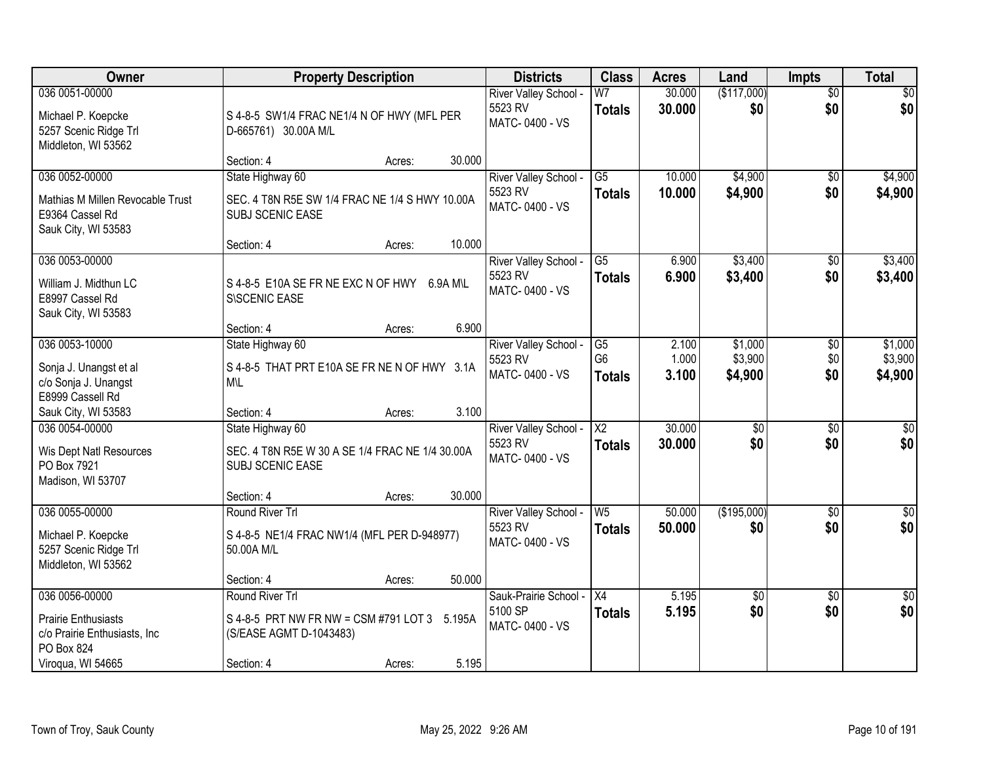| <b>Owner</b>                                                                                                    | <b>Property Description</b>                                                                                                 | <b>Districts</b>                                   | <b>Class</b>                                       | <b>Acres</b>            | Land                          | <b>Impts</b>                | <b>Total</b>                  |
|-----------------------------------------------------------------------------------------------------------------|-----------------------------------------------------------------------------------------------------------------------------|----------------------------------------------------|----------------------------------------------------|-------------------------|-------------------------------|-----------------------------|-------------------------------|
| 036 0051-00000<br>Michael P. Koepcke<br>5257 Scenic Ridge Trl<br>Middleton, WI 53562                            | S 4-8-5 SW1/4 FRAC NE1/4 N OF HWY (MFL PER<br>D-665761) 30.00A M/L                                                          | River Valley School -<br>5523 RV<br>MATC-0400 - VS | W <sub>7</sub><br><b>Totals</b>                    | 30.000<br>30.000        | (\$117,000)<br>\$0            | $\overline{50}$<br>\$0      | \$0<br>\$0                    |
|                                                                                                                 | 30.000<br>Section: 4<br>Acres:                                                                                              |                                                    |                                                    |                         |                               |                             |                               |
| 036 0052-00000<br>Mathias M Millen Revocable Trust<br>E9364 Cassel Rd<br>Sauk City, WI 53583                    | State Highway 60<br>SEC. 4 T8N R5E SW 1/4 FRAC NE 1/4 S HWY 10.00A<br><b>SUBJ SCENIC EASE</b>                               | River Valley School -<br>5523 RV<br>MATC-0400 - VS | $\overline{G5}$<br><b>Totals</b>                   | 10.000<br>10.000        | \$4,900<br>\$4,900            | \$0<br>\$0                  | \$4,900<br>\$4,900            |
|                                                                                                                 | 10.000<br>Section: 4<br>Acres:                                                                                              |                                                    |                                                    |                         |                               |                             |                               |
| 036 0053-00000<br>William J. Midthun LC<br>E8997 Cassel Rd<br>Sauk City, WI 53583                               | S 4-8-5 E10A SE FR NE EXC N OF HWY 6.9A M\L<br>S\SCENIC EASE                                                                | River Valley School -<br>5523 RV<br>MATC-0400 - VS | G5<br><b>Totals</b>                                | 6.900<br>6.900          | \$3,400<br>\$3,400            | $\sqrt[6]{3}$<br>\$0        | \$3,400<br>\$3,400            |
|                                                                                                                 | 6.900<br>Section: 4<br>Acres:                                                                                               |                                                    |                                                    |                         |                               |                             |                               |
| 036 0053-10000<br>Sonja J. Unangst et al<br>c/o Sonja J. Unangst<br>E8999 Cassell Rd                            | State Highway 60<br>S 4-8-5 THAT PRT E10A SE FR NE N OF HWY 3.1A<br>M\L                                                     | River Valley School -<br>5523 RV<br>MATC-0400 - VS | $\overline{G5}$<br>G <sub>6</sub><br><b>Totals</b> | 2.100<br>1.000<br>3.100 | \$1,000<br>\$3,900<br>\$4,900 | $\sqrt[6]{3}$<br>\$0<br>\$0 | \$1,000<br>\$3,900<br>\$4,900 |
| Sauk City, WI 53583                                                                                             | 3.100<br>Section: 4<br>Acres:                                                                                               |                                                    |                                                    |                         |                               |                             |                               |
| 036 0054-00000<br>Wis Dept Natl Resources<br>PO Box 7921<br>Madison, WI 53707                                   | State Highway 60<br>SEC. 4 T8N R5E W 30 A SE 1/4 FRAC NE 1/4 30.00A<br><b>SUBJ SCENIC EASE</b>                              | River Valley School -<br>5523 RV<br>MATC-0400 - VS | $\overline{\text{X2}}$<br>Totals                   | 30.000<br>30.000        | $\overline{50}$<br>\$0        | \$0<br>\$0                  | $\sqrt{50}$<br>\$0            |
|                                                                                                                 | 30.000<br>Section: 4<br>Acres:                                                                                              |                                                    |                                                    |                         |                               |                             |                               |
| 036 0055-00000<br>Michael P. Koepcke<br>5257 Scenic Ridge Trl<br>Middleton, WI 53562                            | Round River Trl<br>S 4-8-5 NE1/4 FRAC NW1/4 (MFL PER D-948977)<br>50.00A M/L                                                | River Valley School -<br>5523 RV<br>MATC-0400 - VS | W <sub>5</sub><br><b>Totals</b>                    | 50.000<br>50.000        | (\$195,000)<br>\$0            | \$0<br>\$0                  | $\overline{\$0}$<br>\$0       |
|                                                                                                                 | 50.000<br>Section: 4<br>Acres:                                                                                              |                                                    |                                                    |                         |                               |                             |                               |
| 036 0056-00000<br><b>Prairie Enthusiasts</b><br>c/o Prairie Enthusiasts, Inc<br>PO Box 824<br>Viroqua, WI 54665 | Round River Trl<br>S 4-8-5 PRT NW FR NW = CSM #791 LOT 3 5.195A<br>(S/EASE AGMT D-1043483)<br>5.195<br>Section: 4<br>Acres: | Sauk-Prairie School -<br>5100 SP<br>MATC-0400 - VS | $\overline{X4}$<br><b>Totals</b>                   | 5.195<br>5.195          | $\overline{50}$<br>\$0        | $\overline{30}$<br>\$0      | $\sqrt{50}$<br>\$0            |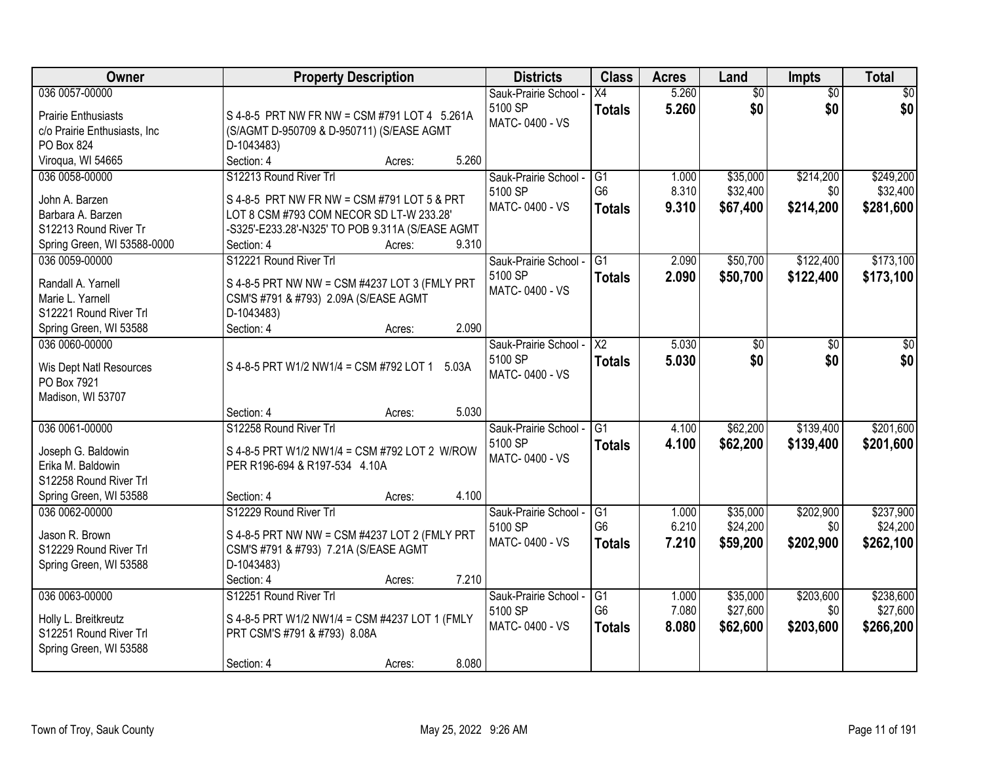| Owner                         | <b>Property Description</b>                      | <b>Districts</b>                 | <b>Class</b>    | <b>Acres</b> | Land            | <b>Impts</b>    | <b>Total</b>    |
|-------------------------------|--------------------------------------------------|----------------------------------|-----------------|--------------|-----------------|-----------------|-----------------|
| 036 0057-00000                |                                                  | Sauk-Prairie School -            | X4              | 5.260        | $\overline{50}$ | $\overline{50}$ | $\overline{30}$ |
| <b>Prairie Enthusiasts</b>    | S 4-8-5 PRT NW FR NW = CSM #791 LOT 4 5.261A     | 5100 SP                          | <b>Totals</b>   | 5.260        | \$0             | \$0             | \$0             |
| c/o Prairie Enthusiasts, Inc. | (S/AGMT D-950709 & D-950711) (S/EASE AGMT        | MATC-0400 - VS                   |                 |              |                 |                 |                 |
| PO Box 824                    | D-1043483)                                       |                                  |                 |              |                 |                 |                 |
| Viroqua, WI 54665             | 5.260<br>Section: 4<br>Acres:                    |                                  |                 |              |                 |                 |                 |
| 036 0058-00000                | S12213 Round River Trl                           | Sauk-Prairie School -            | G <sub>1</sub>  | 1.000        | \$35,000        | \$214,200       | \$249,200       |
| John A. Barzen                | S 4-8-5 PRT NW FR NW = CSM #791 LOT 5 & PRT      | 5100 SP                          | G <sub>6</sub>  | 8.310        | \$32,400        | \$0             | \$32,400        |
| Barbara A. Barzen             | LOT 8 CSM #793 COM NECOR SD LT-W 233.28'         | MATC-0400 - VS                   | <b>Totals</b>   | 9.310        | \$67,400        | \$214,200       | \$281,600       |
| S12213 Round River Tr         | -S325'-E233.28'-N325' TO POB 9.311A (S/EASE AGMT |                                  |                 |              |                 |                 |                 |
| Spring Green, WI 53588-0000   | 9.310<br>Section: 4<br>Acres:                    |                                  |                 |              |                 |                 |                 |
| 036 0059-00000                | S12221 Round River Trl                           | Sauk-Prairie School -            | G <sub>1</sub>  | 2.090        | \$50,700        | \$122,400       | \$173,100       |
|                               |                                                  | 5100 SP                          | <b>Totals</b>   | 2.090        | \$50,700        | \$122,400       | \$173,100       |
| Randall A. Yarnell            | S 4-8-5 PRT NW NW = CSM #4237 LOT 3 (FMLY PRT    | MATC-0400 - VS                   |                 |              |                 |                 |                 |
| Marie L. Yarnell              | CSM'S #791 & #793) 2.09A (S/EASE AGMT            |                                  |                 |              |                 |                 |                 |
| S12221 Round River Trl        | D-1043483)<br>2.090                              |                                  |                 |              |                 |                 |                 |
| Spring Green, WI 53588        | Section: 4<br>Acres:                             |                                  |                 |              |                 |                 |                 |
| 036 0060-00000                |                                                  | Sauk-Prairie School -<br>5100 SP | X2              | 5.030        | \$0             | \$0             | \$0             |
| Wis Dept Natl Resources       | S 4-8-5 PRT W1/2 NW1/4 = CSM #792 LOT 1<br>5.03A | MATC-0400 - VS                   | <b>Totals</b>   | 5.030        | \$0             | \$0             | \$0             |
| PO Box 7921                   |                                                  |                                  |                 |              |                 |                 |                 |
| Madison, WI 53707             |                                                  |                                  |                 |              |                 |                 |                 |
|                               | 5.030<br>Section: 4<br>Acres:                    |                                  |                 |              |                 |                 |                 |
| 036 0061-00000                | S12258 Round River Trl                           | Sauk-Prairie School -            | $\overline{G1}$ | 4.100        | \$62,200        | \$139,400       | \$201,600       |
| Joseph G. Baldowin            | S 4-8-5 PRT W1/2 NW1/4 = CSM #792 LOT 2 W/ROW    | 5100 SP                          | Totals          | 4.100        | \$62,200        | \$139,400       | \$201,600       |
| Erika M. Baldowin             | PER R196-694 & R197-534 4.10A                    | MATC-0400 - VS                   |                 |              |                 |                 |                 |
| S12258 Round River Trl        |                                                  |                                  |                 |              |                 |                 |                 |
| Spring Green, WI 53588        | 4.100<br>Section: 4<br>Acres:                    |                                  |                 |              |                 |                 |                 |
| 036 0062-00000                | S12229 Round River Trl                           | Sauk-Prairie School -            | G1              | 1.000        | \$35,000        | \$202,900       | \$237,900       |
|                               |                                                  | 5100 SP                          | G <sub>6</sub>  | 6.210        | \$24,200        | \$0             | \$24,200        |
| Jason R. Brown                | S 4-8-5 PRT NW NW = CSM #4237 LOT 2 (FMLY PRT    | MATC-0400 - VS                   | <b>Totals</b>   | 7.210        | \$59,200        | \$202,900       | \$262,100       |
| S12229 Round River Trl        | CSM'S #791 & #793) 7.21A (S/EASE AGMT            |                                  |                 |              |                 |                 |                 |
| Spring Green, WI 53588        | D-1043483)<br>7.210                              |                                  |                 |              |                 |                 |                 |
| 036 0063-00000                | Section: 4<br>Acres:<br>S12251 Round River Trl   | Sauk-Prairie School -            | G1              | 1.000        | \$35,000        | \$203,600       | \$238,600       |
|                               |                                                  | 5100 SP                          | G <sub>6</sub>  | 7.080        | \$27,600        | \$0             | \$27,600        |
| Holly L. Breitkreutz          | S 4-8-5 PRT W1/2 NW1/4 = CSM #4237 LOT 1 (FMLY   | MATC-0400 - VS                   |                 |              |                 |                 |                 |
| S12251 Round River Trl        | PRT CSM'S #791 & #793) 8.08A                     |                                  | <b>Totals</b>   | 8.080        | \$62,600        | \$203,600       | \$266,200       |
| Spring Green, WI 53588        |                                                  |                                  |                 |              |                 |                 |                 |
|                               | 8.080<br>Section: 4<br>Acres:                    |                                  |                 |              |                 |                 |                 |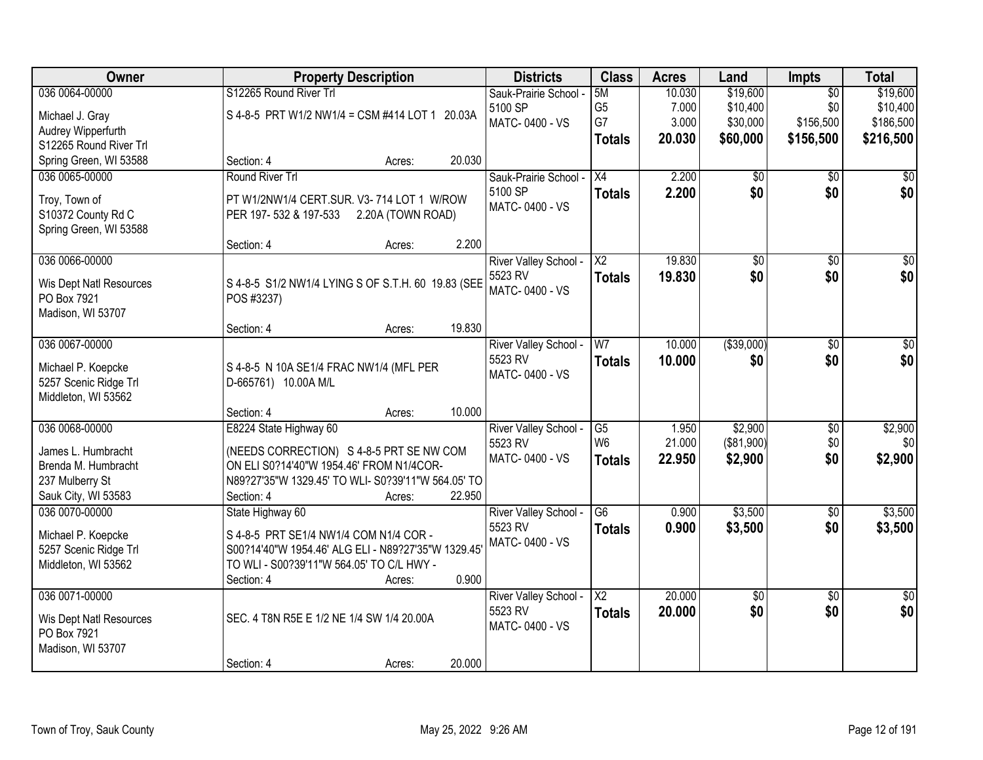| Owner                                        |                                                     | <b>Property Description</b> |        | <b>Districts</b>      | <b>Class</b>             | <b>Acres</b> | Land            | <b>Impts</b>    | <b>Total</b>    |
|----------------------------------------------|-----------------------------------------------------|-----------------------------|--------|-----------------------|--------------------------|--------------|-----------------|-----------------|-----------------|
| 036 0064-00000                               | S12265 Round River Trl                              |                             |        | Sauk-Prairie School - | 5M                       | 10.030       | \$19,600        | $\overline{50}$ | \$19,600        |
| Michael J. Gray                              | S 4-8-5 PRT W1/2 NW1/4 = CSM #414 LOT 1 20.03A      |                             |        | 5100 SP               | G <sub>5</sub>           | 7.000        | \$10,400        | \$0             | \$10,400        |
| Audrey Wipperfurth                           |                                                     |                             |        | MATC-0400 - VS        | G7                       | 3.000        | \$30,000        | \$156,500       | \$186,500       |
| S12265 Round River Trl                       |                                                     |                             |        |                       | <b>Totals</b>            | 20.030       | \$60,000        | \$156,500       | \$216,500       |
| Spring Green, WI 53588                       | Section: 4                                          | Acres:                      | 20.030 |                       |                          |              |                 |                 |                 |
| 036 0065-00000                               | Round River Trl                                     |                             |        | Sauk-Prairie School - | $\overline{X4}$          | 2.200        | $\overline{50}$ | $\overline{50}$ | $\overline{50}$ |
| Troy, Town of                                | PT W1/2NW1/4 CERT.SUR. V3-714 LOT 1 W/ROW           |                             |        | 5100 SP               | <b>Totals</b>            | 2.200        | \$0             | \$0             | \$0             |
| S10372 County Rd C                           | PER 197-532 & 197-533                               | 2.20A (TOWN ROAD)           |        | MATC-0400 - VS        |                          |              |                 |                 |                 |
| Spring Green, WI 53588                       |                                                     |                             |        |                       |                          |              |                 |                 |                 |
|                                              | Section: 4                                          | Acres:                      | 2.200  |                       |                          |              |                 |                 |                 |
| 036 0066-00000                               |                                                     |                             |        | River Valley School - | $\overline{\text{X2}}$   | 19.830       | \$0             | \$0             | \$0             |
|                                              | S 4-8-5 S1/2 NW1/4 LYING S OF S.T.H. 60 19.83 (SEE  |                             |        | 5523 RV               | <b>Totals</b>            | 19.830       | \$0             | \$0             | \$0             |
| Wis Dept Natl Resources<br>PO Box 7921       | POS #3237)                                          |                             |        | MATC-0400 - VS        |                          |              |                 |                 |                 |
| Madison, WI 53707                            |                                                     |                             |        |                       |                          |              |                 |                 |                 |
|                                              | Section: 4                                          | Acres:                      | 19.830 |                       |                          |              |                 |                 |                 |
| 036 0067-00000                               |                                                     |                             |        | River Valley School - | W7                       | 10.000       | ( \$39,000)     | \$0             | \$0             |
|                                              |                                                     |                             |        | 5523 RV               | <b>Totals</b>            | 10.000       | \$0             | \$0             | \$0             |
| Michael P. Koepcke                           | S 4-8-5 N 10A SE1/4 FRAC NW1/4 (MFL PER             |                             |        | MATC-0400 - VS        |                          |              |                 |                 |                 |
| 5257 Scenic Ridge Trl<br>Middleton, WI 53562 | D-665761) 10.00A M/L                                |                             |        |                       |                          |              |                 |                 |                 |
|                                              | Section: 4                                          | Acres:                      | 10.000 |                       |                          |              |                 |                 |                 |
| 036 0068-00000                               | E8224 State Highway 60                              |                             |        | River Valley School - | $\overline{G5}$          | 1.950        | \$2,900         | $\overline{50}$ | \$2,900         |
|                                              |                                                     |                             |        | 5523 RV               | W <sub>6</sub>           | 21.000       | (\$81,900)      | \$0             | 30              |
| James L. Humbracht                           | (NEEDS CORRECTION) S 4-8-5 PRT SE NW COM            |                             |        | MATC-0400 - VS        | <b>Totals</b>            | 22.950       | \$2,900         | \$0             | \$2,900         |
| Brenda M. Humbracht                          | ON ELI S0?14'40"W 1954.46' FROM N1/4COR-            |                             |        |                       |                          |              |                 |                 |                 |
| 237 Mulberry St                              | N89?27'35"W 1329.45' TO WLI- S0?39'11"W 564.05' TO  |                             |        |                       |                          |              |                 |                 |                 |
| Sauk City, WI 53583                          | Section: 4                                          | Acres:                      | 22.950 |                       |                          |              |                 |                 |                 |
| 036 0070-00000                               | State Highway 60                                    |                             |        | River Valley School - | G <sub>6</sub>           | 0.900        | \$3,500         | $\overline{50}$ | \$3,500         |
| Michael P. Koepcke                           | S 4-8-5 PRT SE1/4 NW1/4 COM N1/4 COR -              |                             |        | 5523 RV               | <b>Totals</b>            | 0.900        | \$3,500         | \$0             | \$3,500         |
| 5257 Scenic Ridge Trl                        | S00?14'40"W 1954.46' ALG ELI - N89?27'35"W 1329.45' |                             |        | MATC-0400 - VS        |                          |              |                 |                 |                 |
| Middleton, WI 53562                          | TO WLI - S00?39'11"W 564.05' TO C/L HWY -           |                             |        |                       |                          |              |                 |                 |                 |
|                                              | Section: 4                                          | Acres:                      | 0.900  |                       |                          |              |                 |                 |                 |
| 036 0071-00000                               |                                                     |                             |        | River Valley School - | $\overline{\mathsf{X2}}$ | 20.000       | $\sqrt{50}$     | $\overline{50}$ | $\overline{50}$ |
| Wis Dept Natl Resources                      | SEC. 4 T8N R5E E 1/2 NE 1/4 SW 1/4 20.00A           |                             |        | 5523 RV               | <b>Totals</b>            | 20.000       | \$0             | \$0             | \$0             |
| PO Box 7921                                  |                                                     |                             |        | MATC-0400 - VS        |                          |              |                 |                 |                 |
| Madison, WI 53707                            |                                                     |                             |        |                       |                          |              |                 |                 |                 |
|                                              | Section: 4                                          | Acres:                      | 20.000 |                       |                          |              |                 |                 |                 |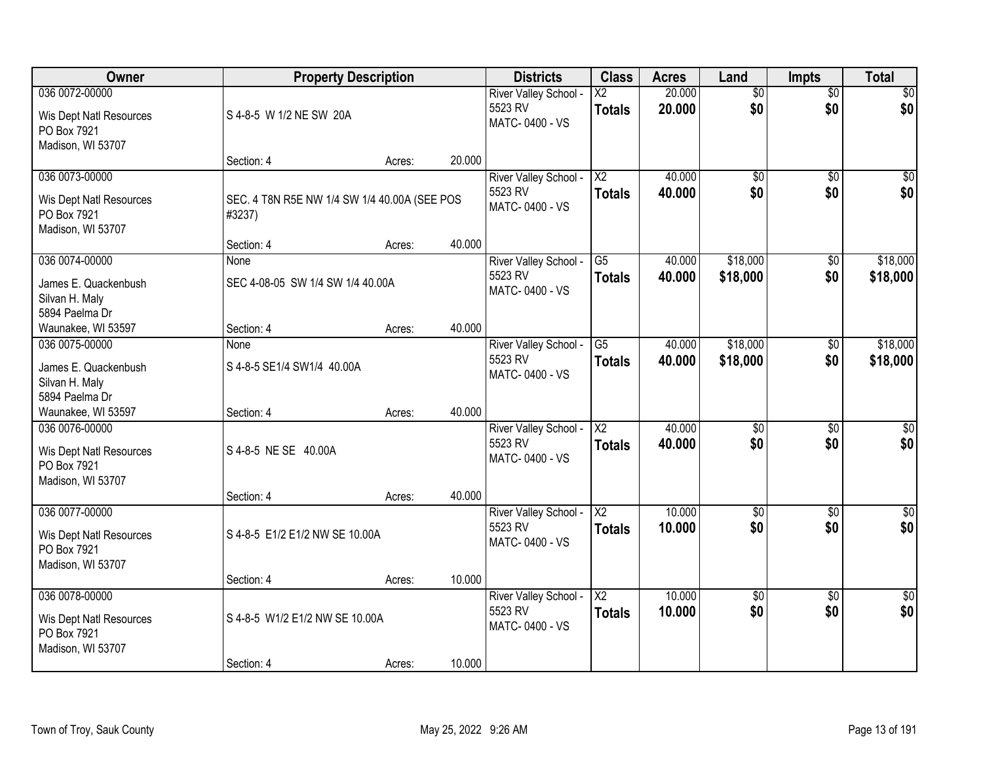| Owner                                                                         |                                                        | <b>Property Description</b> |        | <b>Districts</b>                                   | <b>Class</b>                            | <b>Acres</b>     | Land                   | <b>Impts</b>           | <b>Total</b>           |
|-------------------------------------------------------------------------------|--------------------------------------------------------|-----------------------------|--------|----------------------------------------------------|-----------------------------------------|------------------|------------------------|------------------------|------------------------|
| 036 0072-00000<br>Wis Dept Natl Resources<br>PO Box 7921<br>Madison, WI 53707 | S 4-8-5 W 1/2 NE SW 20A                                |                             |        | River Valley School -<br>5523 RV<br>MATC-0400 - VS | $\overline{\text{X2}}$<br><b>Totals</b> | 20.000<br>20.000 | $\overline{50}$<br>\$0 | $\overline{50}$<br>\$0 | \$0<br>\$0             |
|                                                                               | Section: 4                                             | Acres:                      | 20.000 |                                                    |                                         |                  |                        |                        |                        |
| 036 0073-00000<br>Wis Dept Natl Resources<br>PO Box 7921<br>Madison, WI 53707 | SEC. 4 T8N R5E NW 1/4 SW 1/4 40.00A (SEE POS<br>#3237) |                             |        | River Valley School -<br>5523 RV<br>MATC-0400 - VS | $\overline{\text{X2}}$<br><b>Totals</b> | 40.000<br>40.000 | $\overline{50}$<br>\$0 | $\overline{50}$<br>\$0 | \$0<br>\$0             |
| 036 0074-00000                                                                | Section: 4<br>None                                     | Acres:                      | 40.000 | River Valley School -                              | G5                                      | 40.000           | \$18,000               | $\sqrt[6]{3}$          | \$18,000               |
| James E. Quackenbush<br>Silvan H. Maly<br>5894 Paelma Dr                      | SEC 4-08-05 SW 1/4 SW 1/4 40.00A                       |                             |        | 5523 RV<br>MATC-0400 - VS                          | <b>Totals</b>                           | 40.000           | \$18,000               | \$0                    | \$18,000               |
| Waunakee, WI 53597                                                            | Section: 4                                             | Acres:                      | 40.000 |                                                    |                                         |                  |                        |                        |                        |
| 036 0075-00000<br>James E. Quackenbush<br>Silvan H. Maly<br>5894 Paelma Dr    | None<br>S 4-8-5 SE1/4 SW1/4 40.00A                     |                             |        | River Valley School -<br>5523 RV<br>MATC-0400 - VS | G5<br><b>Totals</b>                     | 40.000<br>40.000 | \$18,000<br>\$18,000   | $\sqrt[6]{3}$<br>\$0   | \$18,000<br>\$18,000   |
| Waunakee, WI 53597                                                            | Section: 4                                             | Acres:                      | 40.000 |                                                    |                                         |                  |                        |                        |                        |
| 036 0076-00000<br>Wis Dept Natl Resources<br>PO Box 7921<br>Madison, WI 53707 | S 4-8-5 NE SE 40.00A<br>Section: 4                     | Acres:                      | 40.000 | River Valley School -<br>5523 RV<br>MATC-0400 - VS | $\overline{\text{X2}}$<br><b>Totals</b> | 40.000<br>40.000 | $\overline{50}$<br>\$0 | $\overline{50}$<br>\$0 | $\overline{50}$<br>\$0 |
| 036 0077-00000                                                                |                                                        |                             |        | River Valley School -                              | $\overline{X2}$                         | 10.000           | $\overline{50}$        | $\overline{30}$        | $\overline{\$0}$       |
| Wis Dept Natl Resources<br>PO Box 7921<br>Madison, WI 53707                   | S 4-8-5 E1/2 E1/2 NW SE 10.00A                         |                             |        | 5523 RV<br>MATC-0400 - VS                          | <b>Totals</b>                           | 10.000           | \$0                    | \$0                    | \$0                    |
|                                                                               | Section: 4                                             | Acres:                      | 10.000 |                                                    |                                         |                  |                        |                        |                        |
| 036 0078-00000<br>Wis Dept Natl Resources<br>PO Box 7921<br>Madison, WI 53707 | S 4-8-5 W1/2 E1/2 NW SE 10.00A                         |                             | 10.000 | River Valley School -<br>5523 RV<br>MATC-0400 - VS | $\overline{X2}$<br><b>Totals</b>        | 10.000<br>10.000 | $\overline{50}$<br>\$0 | $\overline{50}$<br>\$0 | $\overline{30}$<br>\$0 |
|                                                                               | Section: 4                                             | Acres:                      |        |                                                    |                                         |                  |                        |                        |                        |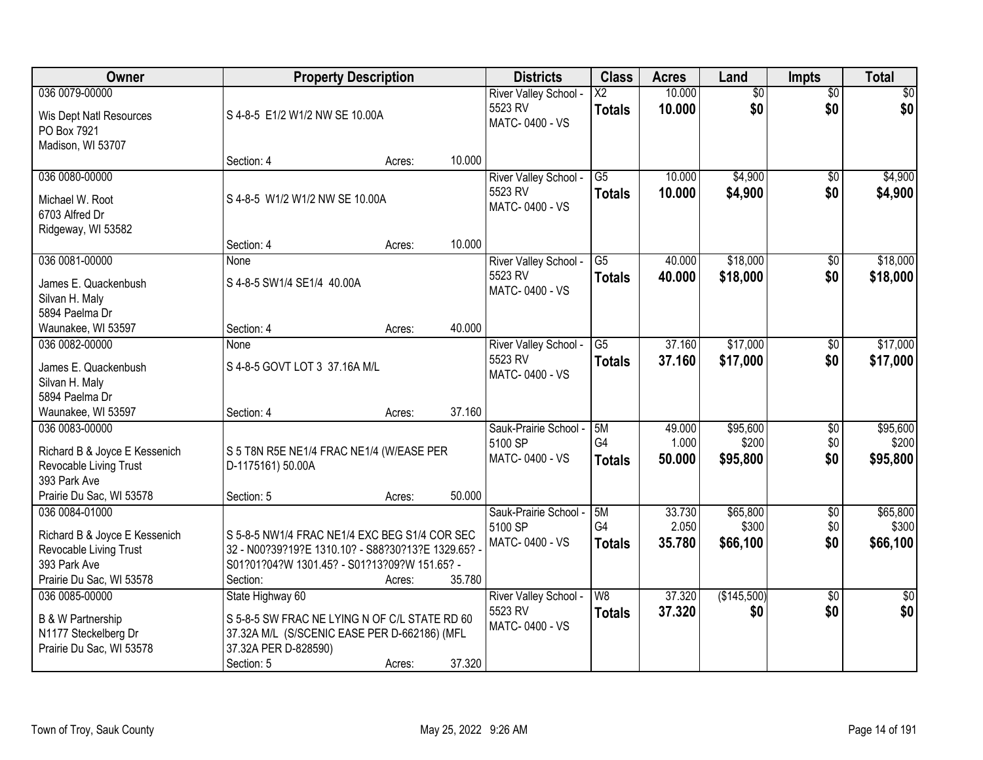| Owner                                                                                                                 | <b>Property Description</b>                                                                                                                                     |        |        | <b>Districts</b>                                   | <b>Class</b>                              | <b>Acres</b>              | Land                          | Impts                         | <b>Total</b>                  |
|-----------------------------------------------------------------------------------------------------------------------|-----------------------------------------------------------------------------------------------------------------------------------------------------------------|--------|--------|----------------------------------------------------|-------------------------------------------|---------------------------|-------------------------------|-------------------------------|-------------------------------|
| 036 0079-00000<br>Wis Dept Natl Resources<br>PO Box 7921<br>Madison, WI 53707                                         | S 4-8-5 E1/2 W1/2 NW SE 10.00A                                                                                                                                  |        |        | River Valley School -<br>5523 RV<br>MATC-0400 - VS | $\overline{X2}$<br><b>Totals</b>          | 10.000<br>10.000          | $\overline{50}$<br>\$0        | $\overline{50}$<br>\$0        | \$0<br>\$0                    |
|                                                                                                                       | Section: 4                                                                                                                                                      | Acres: | 10.000 |                                                    |                                           |                           |                               |                               |                               |
| 036 0080-00000<br>Michael W. Root<br>6703 Alfred Dr<br>Ridgeway, WI 53582                                             | S 4-8-5 W1/2 W1/2 NW SE 10.00A                                                                                                                                  |        |        | River Valley School -<br>5523 RV<br>MATC-0400 - VS | G <sub>5</sub><br><b>Totals</b>           | 10.000<br>10.000          | \$4,900<br>\$4,900            | $\overline{50}$<br>\$0        | \$4,900<br>\$4,900            |
| 036 0081-00000                                                                                                        | Section: 4<br>None                                                                                                                                              | Acres: | 10.000 | River Valley School -                              | $\overline{G5}$                           | 40.000                    | \$18,000                      | \$0                           | \$18,000                      |
| James E. Quackenbush<br>Silvan H. Maly<br>5894 Paelma Dr                                                              | S 4-8-5 SW1/4 SE1/4 40.00A                                                                                                                                      |        |        | 5523 RV<br>MATC-0400 - VS                          | <b>Totals</b>                             | 40.000                    | \$18,000                      | \$0                           | \$18,000                      |
| Waunakee, WI 53597                                                                                                    | Section: 4                                                                                                                                                      | Acres: | 40.000 |                                                    |                                           |                           |                               |                               |                               |
| 036 0082-00000<br>James E. Quackenbush<br>Silvan H. Maly<br>5894 Paelma Dr                                            | None<br>S 4-8-5 GOVT LOT 3 37.16A M/L                                                                                                                           |        |        | River Valley School -<br>5523 RV<br>MATC-0400 - VS | G5<br><b>Totals</b>                       | 37.160<br>37.160          | \$17,000<br>\$17,000          | \$0<br>\$0                    | \$17,000<br>\$17,000          |
| Waunakee, WI 53597                                                                                                    | Section: 4                                                                                                                                                      | Acres: | 37.160 |                                                    |                                           |                           |                               |                               |                               |
| 036 0083-00000<br>Richard B & Joyce E Kessenich<br>Revocable Living Trust<br>393 Park Ave                             | S 5 T8N R5E NE1/4 FRAC NE1/4 (W/EASE PER<br>D-1175161) 50.00A                                                                                                   |        |        | Sauk-Prairie School -<br>5100 SP<br>MATC-0400 - VS | 5M<br>G <sub>4</sub><br><b>Totals</b>     | 49.000<br>1.000<br>50.000 | \$95,600<br>\$200<br>\$95,800 | $\overline{50}$<br>\$0<br>\$0 | \$95,600<br>\$200<br>\$95,800 |
| Prairie Du Sac, WI 53578                                                                                              | Section: 5                                                                                                                                                      | Acres: | 50.000 |                                                    |                                           |                           |                               |                               |                               |
| 036 0084-01000<br>Richard B & Joyce E Kessenich<br>Revocable Living Trust<br>393 Park Ave<br>Prairie Du Sac, WI 53578 | S 5-8-5 NW1/4 FRAC NE1/4 EXC BEG S1/4 COR SEC<br>32 - N00?39?19?E 1310.10? - S88?30?13?E 1329.65? -<br>S01?01?04?W 1301.45? - S01?13?09?W 151.65? -<br>Section: | Acres: | 35.780 | Sauk-Prairie School -<br>5100 SP<br>MATC-0400 - VS | 5M<br>G <sub>4</sub><br><b>Totals</b>     | 33.730<br>2.050<br>35,780 | \$65,800<br>\$300<br>\$66,100 | $\overline{50}$<br>\$0<br>\$0 | \$65,800<br>\$300<br>\$66,100 |
| 036 0085-00000<br><b>B &amp; W Partnership</b><br>N1177 Steckelberg Dr<br>Prairie Du Sac, WI 53578                    | State Highway 60<br>S 5-8-5 SW FRAC NE LYING N OF C/L STATE RD 60<br>37.32A M/L (S/SCENIC EASE PER D-662186) (MFL<br>37.32A PER D-828590)<br>Section: 5         | Acres: | 37.320 | River Valley School -<br>5523 RV<br>MATC-0400 - VS | $\overline{\mathsf{W}8}$<br><b>Totals</b> | 37.320<br>37.320          | (\$145,500)<br>\$0            | $\overline{50}$<br>\$0        | $\overline{50}$<br>\$0        |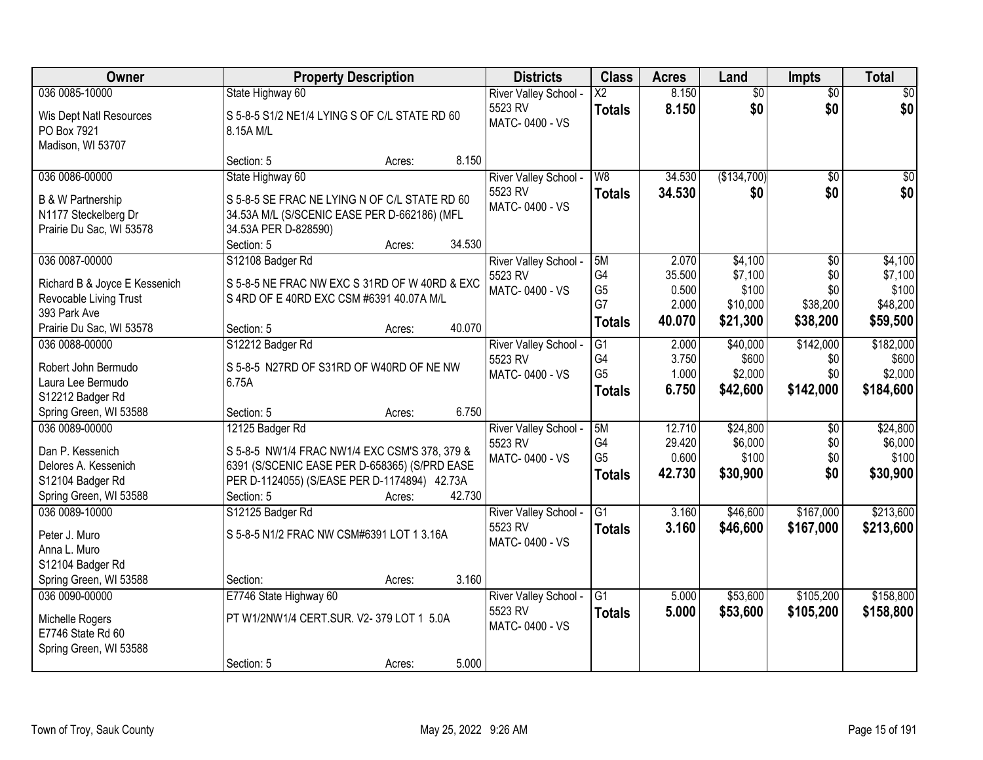| Owner                                                                                                    | <b>Property Description</b>                                                                                                                                                                         | <b>Districts</b>                                   | <b>Class</b>                                            | <b>Acres</b>                        | Land                                     | <b>Impts</b>                         | <b>Total</b>                               |
|----------------------------------------------------------------------------------------------------------|-----------------------------------------------------------------------------------------------------------------------------------------------------------------------------------------------------|----------------------------------------------------|---------------------------------------------------------|-------------------------------------|------------------------------------------|--------------------------------------|--------------------------------------------|
| 036 0085-10000                                                                                           | State Highway 60                                                                                                                                                                                    | River Valley School -                              | $\overline{\text{X2}}$                                  | 8.150                               | $\overline{50}$                          | $\overline{50}$                      | \$0                                        |
| Wis Dept Natl Resources<br>PO Box 7921<br>Madison, WI 53707                                              | S 5-8-5 S1/2 NE1/4 LYING S OF C/L STATE RD 60<br>8.15A M/L                                                                                                                                          | 5523 RV<br>MATC-0400 - VS                          | <b>Totals</b>                                           | 8.150                               | \$0                                      | \$0                                  | \$0                                        |
|                                                                                                          | 8.150<br>Section: 5<br>Acres:                                                                                                                                                                       |                                                    |                                                         |                                     |                                          |                                      |                                            |
| 036 0086-00000                                                                                           | State Highway 60                                                                                                                                                                                    | River Valley School -                              | W8                                                      | 34.530                              | (\$134,700)                              | $\overline{50}$                      | \$0                                        |
| <b>B &amp; W Partnership</b><br>N1177 Steckelberg Dr<br>Prairie Du Sac, WI 53578                         | S 5-8-5 SE FRAC NE LYING N OF C/L STATE RD 60<br>34.53A M/L (S/SCENIC EASE PER D-662186) (MFL<br>34.53A PER D-828590)<br>34.530<br>Section: 5<br>Acres:                                             | 5523 RV<br>MATC-0400 - VS                          | <b>Totals</b>                                           | 34.530                              | \$0                                      | \$0                                  | \$0                                        |
| 036 0087-00000                                                                                           | S12108 Badger Rd                                                                                                                                                                                    | River Valley School -                              | 5M                                                      | 2.070                               | \$4,100                                  | \$0                                  | \$4,100                                    |
| Richard B & Joyce E Kessenich<br>Revocable Living Trust<br>393 Park Ave                                  | S 5-8-5 NE FRAC NW EXC S 31RD OF W 40RD & EXC<br>S 4RD OF E 40RD EXC CSM #6391 40.07A M/L                                                                                                           | 5523 RV<br>MATC-0400 - VS                          | G4<br>G <sub>5</sub><br>G7                              | 35.500<br>0.500<br>2.000            | \$7,100<br>\$100<br>\$10,000             | \$0<br>\$0<br>\$38,200               | \$7,100<br>\$100<br>\$48,200               |
| Prairie Du Sac, WI 53578                                                                                 | 40.070<br>Section: 5<br>Acres:                                                                                                                                                                      |                                                    | <b>Totals</b>                                           | 40.070                              | \$21,300                                 | \$38,200                             | \$59,500                                   |
| 036 0088-00000<br>Robert John Bermudo<br>Laura Lee Bermudo<br>S12212 Badger Rd                           | S12212 Badger Rd<br>S 5-8-5 N27RD OF S31RD OF W40RD OF NE NW<br>6.75A                                                                                                                               | River Valley School -<br>5523 RV<br>MATC-0400 - VS | G1<br>G4<br>G <sub>5</sub><br><b>Totals</b>             | 2.000<br>3.750<br>1.000<br>6.750    | \$40,000<br>\$600<br>\$2,000<br>\$42,600 | \$142,000<br>\$0<br>\$0<br>\$142,000 | \$182,000<br>\$600<br>\$2,000<br>\$184,600 |
| Spring Green, WI 53588                                                                                   | 6.750<br>Section: 5<br>Acres:                                                                                                                                                                       |                                                    |                                                         |                                     |                                          |                                      |                                            |
| 036 0089-00000<br>Dan P. Kessenich<br>Delores A. Kessenich<br>S12104 Badger Rd<br>Spring Green, WI 53588 | 12125 Badger Rd<br>S 5-8-5 NW1/4 FRAC NW1/4 EXC CSM'S 378, 379 &<br>6391 (S/SCENIC EASE PER D-658365) (S/PRD EASE<br>PER D-1124055) (S/EASE PER D-1174894) 42.73A<br>42.730<br>Section: 5<br>Acres: | River Valley School -<br>5523 RV<br>MATC-0400 - VS | 5M<br>G <sub>4</sub><br>G <sub>5</sub><br><b>Totals</b> | 12.710<br>29.420<br>0.600<br>42.730 | \$24,800<br>\$6,000<br>\$100<br>\$30,900 | $\overline{50}$<br>\$0<br>\$0<br>\$0 | \$24,800<br>\$6,000<br>\$100<br>\$30,900   |
| 036 0089-10000                                                                                           | S12125 Badger Rd                                                                                                                                                                                    | River Valley School -                              | G1                                                      | 3.160                               | \$46,600                                 | \$167,000                            | \$213,600                                  |
| Peter J. Muro<br>Anna L. Muro<br>S12104 Badger Rd<br>Spring Green, WI 53588                              | S 5-8-5 N1/2 FRAC NW CSM#6391 LOT 1 3.16A<br>3.160<br>Section:<br>Acres:                                                                                                                            | 5523 RV<br>MATC-0400 - VS                          | <b>Totals</b>                                           | 3.160                               | \$46,600                                 | \$167,000                            | \$213,600                                  |
| 036 0090-00000                                                                                           | E7746 State Highway 60                                                                                                                                                                              | River Valley School -                              | G1                                                      | 5.000                               | \$53,600                                 | \$105,200                            | \$158,800                                  |
| Michelle Rogers<br>E7746 State Rd 60<br>Spring Green, WI 53588                                           | PT W1/2NW1/4 CERT.SUR. V2-379 LOT 1 5.0A                                                                                                                                                            | 5523 RV<br>MATC-0400 - VS                          | <b>Totals</b>                                           | 5.000                               | \$53,600                                 | \$105,200                            | \$158,800                                  |
|                                                                                                          | 5.000<br>Section: 5<br>Acres:                                                                                                                                                                       |                                                    |                                                         |                                     |                                          |                                      |                                            |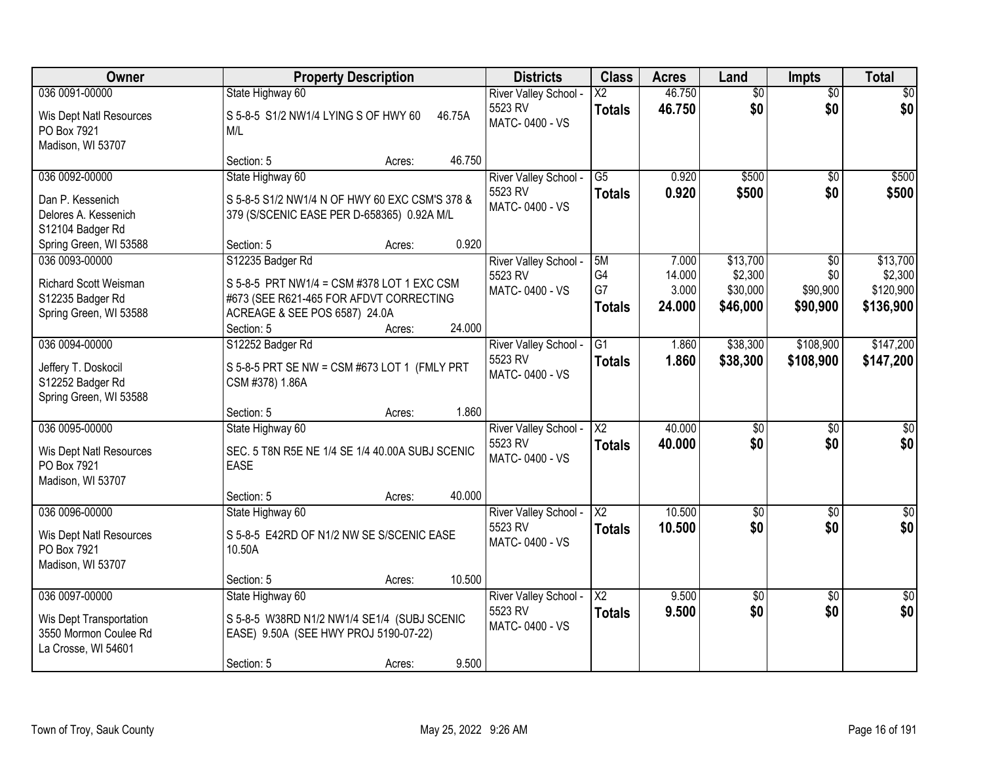| Owner                                                                                        | <b>Property Description</b>                                                                                                                              |        |        | <b>Districts</b>                                   | <b>Class</b>                              | <b>Acres</b>                       | Land                                        | <b>Impts</b>                       | <b>Total</b>                                  |
|----------------------------------------------------------------------------------------------|----------------------------------------------------------------------------------------------------------------------------------------------------------|--------|--------|----------------------------------------------------|-------------------------------------------|------------------------------------|---------------------------------------------|------------------------------------|-----------------------------------------------|
| 036 0091-00000                                                                               | State Highway 60                                                                                                                                         |        |        | River Valley School -                              | $\overline{\text{X2}}$                    | 46.750                             | $\overline{50}$                             | $\overline{50}$                    | $\overline{30}$                               |
| Wis Dept Natl Resources<br>PO Box 7921<br>Madison, WI 53707                                  | S 5-8-5 S1/2 NW1/4 LYING S OF HWY 60<br>M/L                                                                                                              |        | 46.75A | 5523 RV<br>MATC-0400 - VS                          | <b>Totals</b>                             | 46.750                             | \$0                                         | \$0                                | \$0                                           |
|                                                                                              | Section: 5                                                                                                                                               | Acres: | 46.750 |                                                    |                                           |                                    |                                             |                                    |                                               |
| 036 0092-00000                                                                               | State Highway 60                                                                                                                                         |        |        | River Valley School -                              | $\overline{G5}$                           | 0.920                              | \$500                                       | $\overline{50}$                    | \$500                                         |
| Dan P. Kessenich<br>Delores A. Kessenich<br>S12104 Badger Rd                                 | S 5-8-5 S1/2 NW1/4 N OF HWY 60 EXC CSM'S 378 &<br>379 (S/SCENIC EASE PER D-658365) 0.92A M/L                                                             |        |        | 5523 RV<br>MATC-0400 - VS                          | <b>Totals</b>                             | 0.920                              | \$500                                       | \$0                                | \$500                                         |
| Spring Green, WI 53588                                                                       | Section: 5                                                                                                                                               | Acres: | 0.920  |                                                    |                                           |                                    |                                             |                                    |                                               |
| 036 0093-00000<br><b>Richard Scott Weisman</b><br>S12235 Badger Rd<br>Spring Green, WI 53588 | S12235 Badger Rd<br>S 5-8-5 PRT NW1/4 = CSM #378 LOT 1 EXC CSM<br>#673 (SEE R621-465 FOR AFDVT CORRECTING<br>ACREAGE & SEE POS 6587) 24.0A<br>Section: 5 | Acres: | 24.000 | River Valley School -<br>5523 RV<br>MATC-0400 - VS | 5M<br>G4<br>G7<br><b>Totals</b>           | 7.000<br>14.000<br>3.000<br>24.000 | \$13,700<br>\$2,300<br>\$30,000<br>\$46,000 | \$0<br>\$0<br>\$90,900<br>\$90,900 | \$13,700<br>\$2,300<br>\$120,900<br>\$136,900 |
| 036 0094-00000                                                                               | S12252 Badger Rd                                                                                                                                         |        |        | River Valley School -                              | $\overline{G1}$                           | 1.860                              | \$38,300                                    | \$108,900                          | \$147,200                                     |
| Jeffery T. Doskocil<br>S12252 Badger Rd<br>Spring Green, WI 53588                            | S 5-8-5 PRT SE NW = CSM #673 LOT 1 (FMLY PRT<br>CSM #378) 1.86A                                                                                          |        |        | 5523 RV<br>MATC-0400 - VS                          | <b>Totals</b>                             | 1.860                              | \$38,300                                    | \$108,900                          | \$147,200                                     |
|                                                                                              | Section: 5                                                                                                                                               | Acres: | 1.860  |                                                    |                                           |                                    |                                             |                                    |                                               |
| 036 0095-00000<br>Wis Dept Natl Resources<br>PO Box 7921<br>Madison, WI 53707                | State Highway 60<br>SEC. 5 T8N R5E NE 1/4 SE 1/4 40.00A SUBJ SCENIC<br><b>EASE</b>                                                                       |        |        | River Valley School -<br>5523 RV<br>MATC-0400 - VS | $\overline{\text{X2}}$<br><b>Totals</b>   | 40.000<br>40.000                   | \$0<br>\$0                                  | $\overline{50}$<br>\$0             | \$0<br>\$0                                    |
|                                                                                              | Section: 5                                                                                                                                               | Acres: | 40.000 |                                                    |                                           |                                    |                                             |                                    |                                               |
| 036 0096-00000<br>Wis Dept Natl Resources<br>PO Box 7921<br>Madison, WI 53707                | State Highway 60<br>S 5-8-5 E42RD OF N1/2 NW SE S/SCENIC EASE<br>10.50A                                                                                  |        |        | River Valley School -<br>5523 RV<br>MATC-0400 - VS | $\overline{X2}$<br><b>Totals</b>          | 10.500<br>10.500                   | $\overline{50}$<br>\$0                      | $\overline{50}$<br>\$0             | $\sqrt{50}$<br>\$0                            |
|                                                                                              | Section: 5                                                                                                                                               | Acres: | 10.500 |                                                    |                                           |                                    |                                             |                                    |                                               |
| 036 0097-00000<br>Wis Dept Transportation<br>3550 Mormon Coulee Rd<br>La Crosse, WI 54601    | State Highway 60<br>S 5-8-5 W38RD N1/2 NW1/4 SE1/4 (SUBJ SCENIC<br>EASE) 9.50A (SEE HWY PROJ 5190-07-22)<br>Section: 5                                   | Acres: | 9.500  | River Valley School -<br>5523 RV<br>MATC-0400 - VS | $\overline{\mathsf{X2}}$<br><b>Totals</b> | 9.500<br>9.500                     | $\overline{50}$<br>\$0                      | $\overline{30}$<br>\$0             | $\overline{\$0}$<br>\$0                       |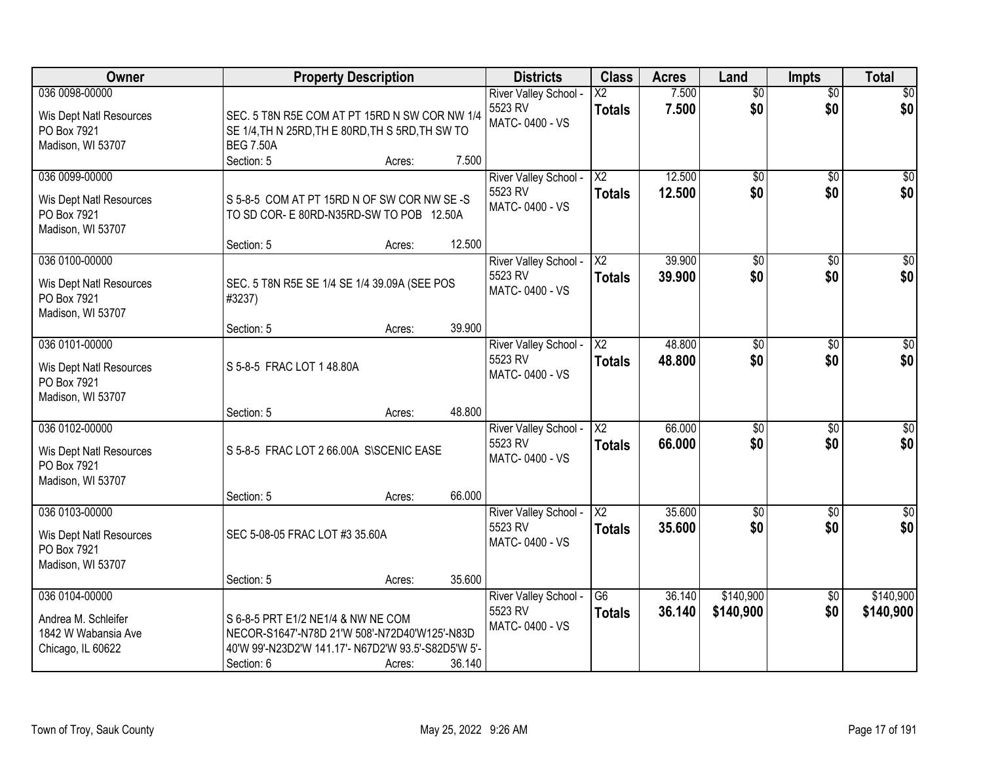| Owner                                                                             | <b>Property Description</b>                                                                                                                              |        |        | <b>Districts</b>                                   | <b>Class</b>                              | <b>Acres</b>     | Land                   | <b>Impts</b>           | <b>Total</b>            |
|-----------------------------------------------------------------------------------|----------------------------------------------------------------------------------------------------------------------------------------------------------|--------|--------|----------------------------------------------------|-------------------------------------------|------------------|------------------------|------------------------|-------------------------|
| 036 0098-00000<br>Wis Dept Natl Resources<br>PO Box 7921<br>Madison, WI 53707     | SEC. 5 T8N R5E COM AT PT 15RD N SW COR NW 1/4<br>SE 1/4, TH N 25RD, TH E 80RD, TH S 5RD, TH SW TO<br><b>BEG 7.50A</b><br>Section: 5                      | Acres: | 7.500  | River Valley School -<br>5523 RV<br>MATC-0400 - VS | $\overline{\text{X2}}$<br><b>Totals</b>   | 7.500<br>7.500   | $\overline{50}$<br>\$0 | $\overline{50}$<br>\$0 | \$0<br>\$0              |
| 036 0099-00000<br>Wis Dept Natl Resources<br>PO Box 7921<br>Madison, WI 53707     | S 5-8-5 COM AT PT 15RD N OF SW COR NW SE-S<br>TO SD COR- E 80RD-N35RD-SW TO POB 12.50A<br>Section: 5                                                     | Acres: | 12.500 | River Valley School -<br>5523 RV<br>MATC-0400 - VS | $\overline{\text{X2}}$<br><b>Totals</b>   | 12.500<br>12.500 | \$0<br>\$0             | $\overline{50}$<br>\$0 | \$0<br>\$0              |
| 036 0100-00000<br>Wis Dept Natl Resources<br>PO Box 7921<br>Madison, WI 53707     | SEC. 5 T8N R5E SE 1/4 SE 1/4 39.09A (SEE POS<br>#3237)<br>Section: 5                                                                                     | Acres: | 39.900 | River Valley School -<br>5523 RV<br>MATC-0400 - VS | $\overline{\mathsf{X2}}$<br><b>Totals</b> | 39.900<br>39.900 | $\overline{50}$<br>\$0 | \$0<br>\$0             | $\overline{\$0}$<br>\$0 |
| 036 0101-00000<br>Wis Dept Natl Resources<br>PO Box 7921<br>Madison, WI 53707     | S 5-8-5 FRAC LOT 1 48.80A<br>Section: 5                                                                                                                  | Acres: | 48.800 | River Valley School -<br>5523 RV<br>MATC-0400 - VS | $\overline{\text{X2}}$<br>Totals          | 48.800<br>48.800 | \$0<br>\$0             | \$0<br>\$0             | $\sqrt{50}$<br>\$0      |
| 036 0102-00000<br>Wis Dept Natl Resources<br>PO Box 7921<br>Madison, WI 53707     | S 5-8-5 FRAC LOT 2 66.00A S\SCENIC EASE<br>Section: 5                                                                                                    | Acres: | 66.000 | River Valley School -<br>5523 RV<br>MATC-0400 - VS | $\overline{X2}$<br>Totals                 | 66.000<br>66,000 | $\overline{50}$<br>\$0 | $\overline{50}$<br>\$0 | $\overline{\$0}$<br>\$0 |
| 036 0103-00000<br>Wis Dept Natl Resources<br>PO Box 7921<br>Madison, WI 53707     | SEC 5-08-05 FRAC LOT #3 35.60A<br>Section: 5                                                                                                             | Acres: | 35.600 | River Valley School -<br>5523 RV<br>MATC-0400 - VS | $\overline{X2}$<br><b>Totals</b>          | 35.600<br>35.600 | $\sqrt{6}$<br>\$0      | \$0<br>\$0             | \$0<br>\$0              |
| 036 0104-00000<br>Andrea M. Schleifer<br>1842 W Wabansia Ave<br>Chicago, IL 60622 | S 6-8-5 PRT E1/2 NE1/4 & NW NE COM<br>NECOR-S1647'-N78D 21'W 508'-N72D40'W125'-N83D<br>40'W 99'-N23D2'W 141.17'- N67D2'W 93.5'-S82D5'W 5'-<br>Section: 6 | Acres: | 36.140 | River Valley School -<br>5523 RV<br>MATC-0400 - VS | $\overline{G6}$<br><b>Totals</b>          | 36.140<br>36.140 | \$140,900<br>\$140,900 | $\overline{30}$<br>\$0 | \$140,900<br>\$140,900  |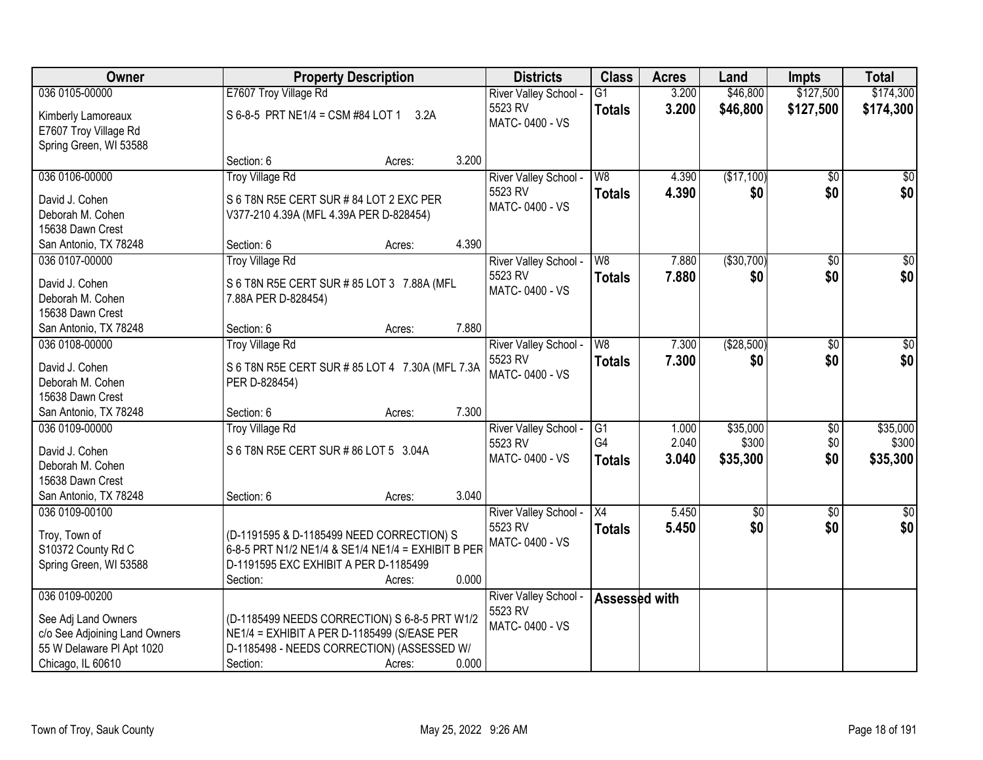| <b>Owner</b>                                                                                           |                                                                                                                                                        | <b>Property Description</b> |       |                                  | <b>Class</b>          | <b>Acres</b>   | Land              | <b>Impts</b>    | <b>Total</b>      |
|--------------------------------------------------------------------------------------------------------|--------------------------------------------------------------------------------------------------------------------------------------------------------|-----------------------------|-------|----------------------------------|-----------------------|----------------|-------------------|-----------------|-------------------|
| 036 0105-00000                                                                                         | E7607 Troy Village Rd                                                                                                                                  |                             |       | River Valley School -            | $\overline{G1}$       | 3.200          | \$46,800          | \$127,500       | \$174,300         |
| Kimberly Lamoreaux<br>E7607 Troy Village Rd<br>Spring Green, WI 53588                                  | S 6-8-5 PRT NE1/4 = CSM #84 LOT 1                                                                                                                      | 3.2A                        |       | 5523 RV<br>MATC-0400 - VS        | <b>Totals</b>         | 3.200          | \$46,800          | \$127,500       | \$174,300         |
|                                                                                                        | Section: 6                                                                                                                                             | Acres:                      | 3.200 |                                  |                       |                |                   |                 |                   |
| 036 0106-00000                                                                                         | <b>Troy Village Rd</b>                                                                                                                                 |                             |       | River Valley School -            | W8                    | 4.390          | (\$17,100)        | $\overline{50}$ | \$0               |
| David J. Cohen<br>Deborah M. Cohen<br>15638 Dawn Crest                                                 | S 6 T8N R5E CERT SUR # 84 LOT 2 EXC PER<br>V377-210 4.39A (MFL 4.39A PER D-828454)                                                                     |                             |       | 5523 RV<br>MATC-0400 - VS        | <b>Totals</b>         | 4.390          | \$0               | \$0             | \$0               |
| San Antonio, TX 78248                                                                                  | Section: 6                                                                                                                                             | Acres:                      | 4.390 |                                  |                       |                |                   |                 |                   |
| 036 0107-00000                                                                                         | <b>Troy Village Rd</b>                                                                                                                                 |                             |       | River Valley School -            | W8                    | 7.880          | ( \$30,700)       | \$0             | \$0               |
| David J. Cohen<br>Deborah M. Cohen<br>15638 Dawn Crest                                                 | S 6 T8N R5E CERT SUR # 85 LOT 3 7.88A (MFL<br>7.88A PER D-828454)                                                                                      |                             |       | 5523 RV<br>MATC-0400 - VS        | <b>Totals</b>         | 7.880          | \$0               | \$0             | \$0               |
| San Antonio, TX 78248                                                                                  | Section: 6                                                                                                                                             | Acres:                      | 7.880 |                                  |                       |                |                   |                 |                   |
| 036 0108-00000                                                                                         | Troy Village Rd                                                                                                                                        |                             |       | River Valley School -<br>5523 RV | W8<br><b>Totals</b>   | 7.300<br>7.300 | (\$28,500)<br>\$0 | \$0<br>\$0      | \$0<br>\$0        |
| David J. Cohen<br>Deborah M. Cohen<br>15638 Dawn Crest                                                 | S 6 T8N R5E CERT SUR # 85 LOT 4 7.30A (MFL 7.3A<br>PER D-828454)                                                                                       |                             |       | MATC-0400 - VS                   |                       |                |                   |                 |                   |
| San Antonio, TX 78248                                                                                  | Section: 6                                                                                                                                             | Acres:                      | 7.300 |                                  |                       |                |                   |                 |                   |
| 036 0109-00000                                                                                         | <b>Troy Village Rd</b>                                                                                                                                 |                             |       | River Valley School -<br>5523 RV | $\overline{G1}$<br>G4 | 1.000<br>2.040 | \$35,000<br>\$300 | \$0<br>\$0      | \$35,000<br>\$300 |
| David J. Cohen<br>Deborah M. Cohen                                                                     | S 6 T8N R5E CERT SUR # 86 LOT 5 3.04A                                                                                                                  |                             |       | MATC-0400 - VS                   | <b>Totals</b>         | 3.040          | \$35,300          | \$0             | \$35,300          |
| 15638 Dawn Crest                                                                                       |                                                                                                                                                        |                             |       |                                  |                       |                |                   |                 |                   |
| San Antonio, TX 78248                                                                                  | Section: 6                                                                                                                                             | Acres:                      | 3.040 |                                  |                       |                |                   |                 |                   |
| 036 0109-00100                                                                                         |                                                                                                                                                        |                             |       | River Valley School -            | $\overline{X4}$       | 5.450          | $\overline{60}$   | $\overline{60}$ | $\sqrt{50}$       |
| Troy, Town of<br>S10372 County Rd C<br>Spring Green, WI 53588                                          | (D-1191595 & D-1185499 NEED CORRECTION) S<br>6-8-5 PRT N1/2 NE1/4 & SE1/4 NE1/4 = EXHIBIT B PER<br>D-1191595 EXC EXHIBIT A PER D-1185499<br>Section:   | Acres:                      | 0.000 | 5523 RV<br>MATC-0400 - VS        | <b>Totals</b>         | 5.450          | \$0               | \$0             | \$0               |
| 036 0109-00200                                                                                         |                                                                                                                                                        |                             |       | <b>River Valley School</b>       | Assessed with         |                |                   |                 |                   |
| See Adj Land Owners<br>c/o See Adjoining Land Owners<br>55 W Delaware PI Apt 1020<br>Chicago, IL 60610 | (D-1185499 NEEDS CORRECTION) S 6-8-5 PRT W1/2<br>NE1/4 = EXHIBIT A PER D-1185499 (S/EASE PER<br>D-1185498 - NEEDS CORRECTION) (ASSESSED W/<br>Section: | Acres:                      | 0.000 | 5523 RV<br>MATC-0400 - VS        |                       |                |                   |                 |                   |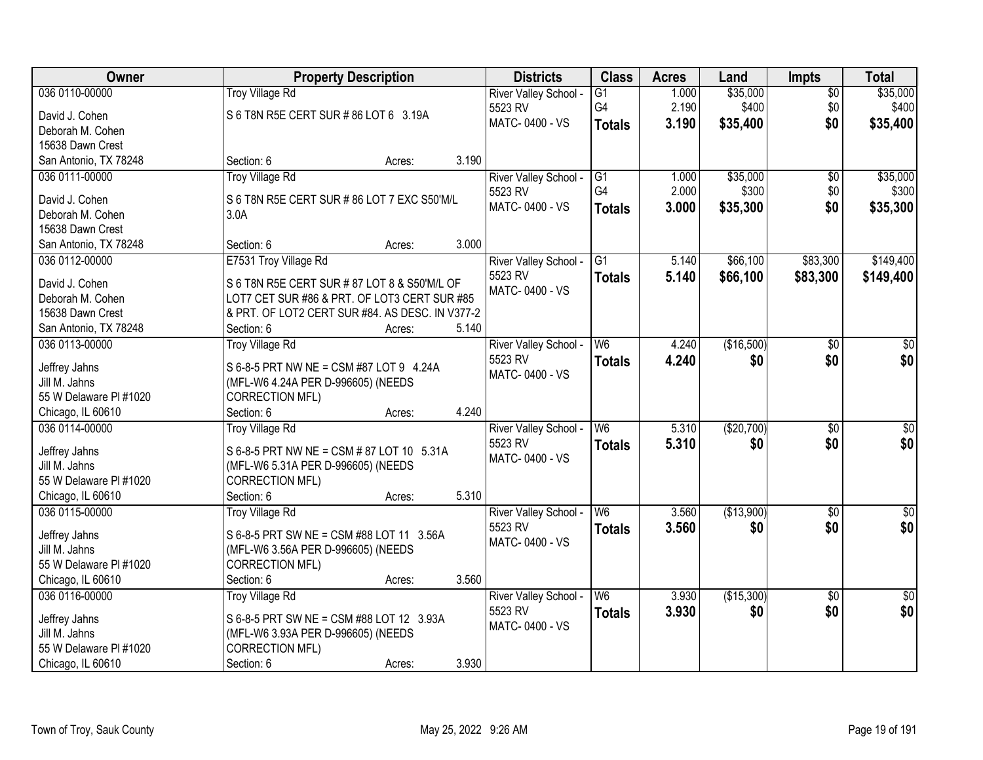| Owner                  | <b>Property Description</b>                     | <b>Districts</b> | <b>Class</b>          | <b>Acres</b>    | Land  | <b>Impts</b> | <b>Total</b>    |                 |
|------------------------|-------------------------------------------------|------------------|-----------------------|-----------------|-------|--------------|-----------------|-----------------|
| 036 0110-00000         | <b>Troy Village Rd</b>                          |                  | River Valley School - | G1              | 1.000 | \$35,000     | $\overline{30}$ | \$35,000        |
| David J. Cohen         | S 6 T8N R5E CERT SUR # 86 LOT 6 3.19A           |                  | 5523 RV               | G4              | 2.190 | \$400        | \$0             | \$400           |
| Deborah M. Cohen       |                                                 |                  | MATC-0400 - VS        | <b>Totals</b>   | 3.190 | \$35,400     | \$0             | \$35,400        |
| 15638 Dawn Crest       |                                                 |                  |                       |                 |       |              |                 |                 |
| San Antonio, TX 78248  | Section: 6<br>Acres:                            | 3.190            |                       |                 |       |              |                 |                 |
| 036 0111-00000         | <b>Troy Village Rd</b>                          |                  | River Valley School - | $\overline{G1}$ | 1.000 | \$35,000     | $\overline{50}$ | \$35,000        |
|                        |                                                 |                  | 5523 RV               | G4              | 2.000 | \$300        | \$0             | \$300           |
| David J. Cohen         | S 6 T8N R5E CERT SUR # 86 LOT 7 EXC S50'M/L     |                  | MATC-0400 - VS        | <b>Totals</b>   | 3.000 | \$35,300     | \$0             | \$35,300        |
| Deborah M. Cohen       | 3.0A                                            |                  |                       |                 |       |              |                 |                 |
| 15638 Dawn Crest       |                                                 |                  |                       |                 |       |              |                 |                 |
| San Antonio, TX 78248  | Section: 6<br>Acres:                            | 3.000            |                       |                 |       |              |                 |                 |
| 036 0112-00000         | E7531 Troy Village Rd                           |                  | River Valley School - | G1              | 5.140 | \$66,100     | \$83,300        | \$149,400       |
| David J. Cohen         | S 6 T8N R5E CERT SUR # 87 LOT 8 & S50'M/L OF    |                  | 5523 RV               | Totals          | 5.140 | \$66,100     | \$83,300        | \$149,400       |
| Deborah M. Cohen       | LOT7 CET SUR #86 & PRT. OF LOT3 CERT SUR #85    |                  | MATC-0400 - VS        |                 |       |              |                 |                 |
| 15638 Dawn Crest       | & PRT. OF LOT2 CERT SUR #84. AS DESC. IN V377-2 |                  |                       |                 |       |              |                 |                 |
| San Antonio, TX 78248  | Section: 6<br>Acres:                            | 5.140            |                       |                 |       |              |                 |                 |
| 036 0113-00000         | <b>Troy Village Rd</b>                          |                  | River Valley School - | W <sub>6</sub>  | 4.240 | (\$16,500)   | \$0             | \$0             |
|                        |                                                 |                  | 5523 RV               | <b>Totals</b>   | 4.240 | \$0          | \$0             | \$0             |
| Jeffrey Jahns          | S 6-8-5 PRT NW NE = CSM #87 LOT 9 4.24A         |                  | MATC-0400 - VS        |                 |       |              |                 |                 |
| Jill M. Jahns          | (MFL-W6 4.24A PER D-996605) (NEEDS              |                  |                       |                 |       |              |                 |                 |
| 55 W Delaware PI #1020 | <b>CORRECTION MFL)</b>                          |                  |                       |                 |       |              |                 |                 |
| Chicago, IL 60610      | Section: 6<br>Acres:                            | 4.240            |                       |                 |       |              |                 |                 |
| 036 0114-00000         | <b>Troy Village Rd</b>                          |                  | River Valley School - | W6              | 5.310 | (\$20,700)   | $\overline{30}$ | $\overline{50}$ |
| Jeffrey Jahns          | S 6-8-5 PRT NW NE = CSM # 87 LOT 10 5.31A       |                  | 5523 RV               | Totals          | 5.310 | \$0          | \$0             | \$0             |
| Jill M. Jahns          | (MFL-W6 5.31A PER D-996605) (NEEDS              |                  | MATC-0400 - VS        |                 |       |              |                 |                 |
| 55 W Delaware PI #1020 | CORRECTION MFL)                                 |                  |                       |                 |       |              |                 |                 |
| Chicago, IL 60610      | Section: 6<br>Acres:                            | 5.310            |                       |                 |       |              |                 |                 |
| 036 0115-00000         | <b>Troy Village Rd</b>                          |                  | River Valley School - | W <sub>6</sub>  | 3.560 | (\$13,900)   | $\sqrt{6}$      | $\sqrt{50}$     |
|                        |                                                 |                  | 5523 RV               | <b>Totals</b>   | 3.560 | \$0          | \$0             | \$0             |
| Jeffrey Jahns          | S 6-8-5 PRT SW NE = CSM #88 LOT 11 3.56A        |                  | MATC-0400 - VS        |                 |       |              |                 |                 |
| Jill M. Jahns          | (MFL-W6 3.56A PER D-996605) (NEEDS              |                  |                       |                 |       |              |                 |                 |
| 55 W Delaware PI #1020 | <b>CORRECTION MFL)</b>                          |                  |                       |                 |       |              |                 |                 |
| Chicago, IL 60610      | Section: 6<br>Acres:                            | 3.560            |                       |                 |       |              |                 |                 |
| 036 0116-00000         | <b>Troy Village Rd</b>                          |                  | River Valley School - | W <sub>6</sub>  | 3.930 | (\$15,300)   | $\overline{30}$ | $\frac{1}{2}$   |
| Jeffrey Jahns          | S 6-8-5 PRT SW NE = CSM #88 LOT 12 3.93A        |                  | 5523 RV               | <b>Totals</b>   | 3.930 | \$0          | \$0             | \$0             |
| Jill M. Jahns          | (MFL-W6 3.93A PER D-996605) (NEEDS              |                  | MATC-0400 - VS        |                 |       |              |                 |                 |
| 55 W Delaware PI #1020 | CORRECTION MFL)                                 |                  |                       |                 |       |              |                 |                 |
| Chicago, IL 60610      | Section: 6<br>Acres:                            | 3.930            |                       |                 |       |              |                 |                 |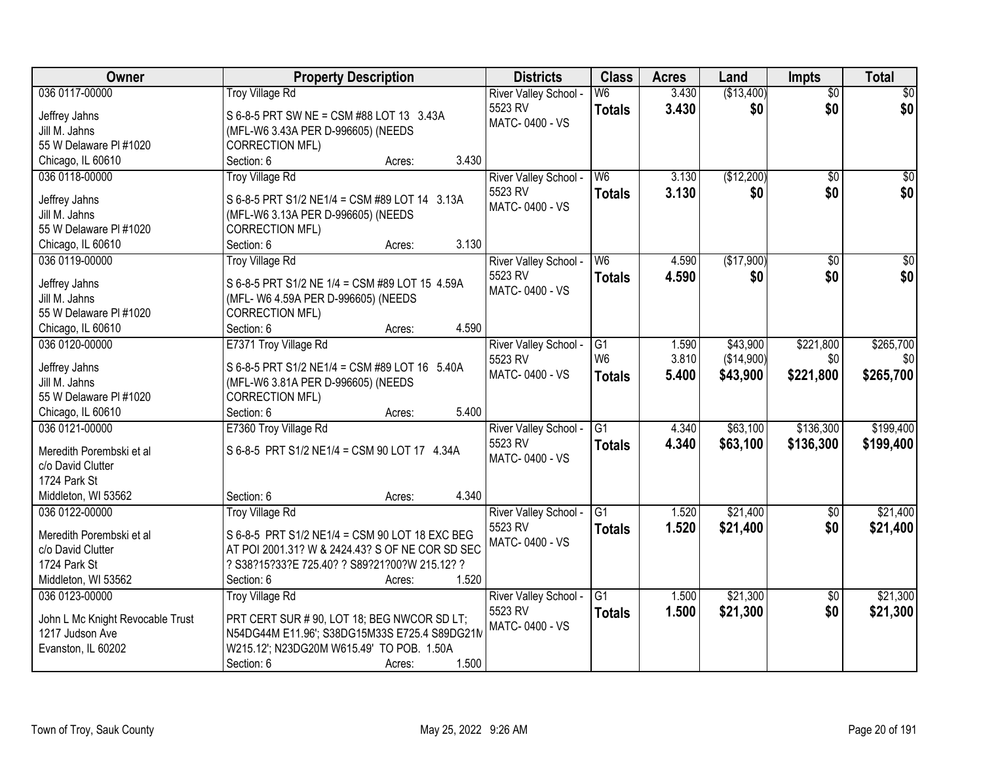| Owner                            | <b>Property Description</b>                     | <b>Districts</b>                 | <b>Class</b>    | <b>Acres</b> | Land       | <b>Impts</b>    | <b>Total</b>     |
|----------------------------------|-------------------------------------------------|----------------------------------|-----------------|--------------|------------|-----------------|------------------|
| 036 0117-00000                   | <b>Troy Village Rd</b>                          | River Valley School -            | W <sub>6</sub>  | 3.430        | (\$13,400) | $\overline{50}$ | $\sqrt{30}$      |
| Jeffrey Jahns                    | S 6-8-5 PRT SW NE = CSM #88 LOT 13 3.43A        | 5523 RV                          | <b>Totals</b>   | 3.430        | \$0        | \$0             | \$0              |
| Jill M. Jahns                    | (MFL-W6 3.43A PER D-996605) (NEEDS              | MATC-0400 - VS                   |                 |              |            |                 |                  |
| 55 W Delaware PI #1020           | <b>CORRECTION MFL)</b>                          |                                  |                 |              |            |                 |                  |
| Chicago, IL 60610                | 3.430<br>Section: 6<br>Acres:                   |                                  |                 |              |            |                 |                  |
| 036 0118-00000                   | <b>Troy Village Rd</b>                          | River Valley School -            | W <sub>6</sub>  | 3.130        | (\$12,200) | $\overline{50}$ | $\sqrt{50}$      |
|                                  |                                                 | 5523 RV                          | <b>Totals</b>   | 3.130        | \$0        | \$0             | \$0              |
| Jeffrey Jahns                    | S 6-8-5 PRT S1/2 NE1/4 = CSM #89 LOT 14 3.13A   | MATC-0400 - VS                   |                 |              |            |                 |                  |
| Jill M. Jahns                    | (MFL-W6 3.13A PER D-996605) (NEEDS              |                                  |                 |              |            |                 |                  |
| 55 W Delaware PI #1020           | CORRECTION MFL)                                 |                                  |                 |              |            |                 |                  |
| Chicago, IL 60610                | 3.130<br>Section: 6<br>Acres:                   |                                  |                 |              |            |                 |                  |
| 036 0119-00000                   | <b>Troy Village Rd</b>                          | River Valley School -            | W <sub>6</sub>  | 4.590        | (\$17,900) | $\overline{50}$ | $\overline{\$0}$ |
| Jeffrey Jahns                    | S 6-8-5 PRT S1/2 NE 1/4 = CSM #89 LOT 15 4.59A  | 5523 RV                          | <b>Totals</b>   | 4.590        | \$0        | \$0             | \$0              |
| Jill M. Jahns                    | (MFL- W6 4.59A PER D-996605) (NEEDS             | MATC-0400 - VS                   |                 |              |            |                 |                  |
| 55 W Delaware PI #1020           | <b>CORRECTION MFL)</b>                          |                                  |                 |              |            |                 |                  |
| Chicago, IL 60610                | 4.590<br>Section: 6<br>Acres:                   |                                  |                 |              |            |                 |                  |
| 036 0120-00000                   | E7371 Troy Village Rd                           | River Valley School -            | G1              | 1.590        | \$43,900   | \$221,800       | \$265,700        |
|                                  |                                                 | 5523 RV                          | W <sub>6</sub>  | 3.810        | (\$14,900) | \$0             | \$0              |
| Jeffrey Jahns                    | S 6-8-5 PRT S1/2 NE1/4 = CSM #89 LOT 16 5.40A   | MATC-0400 - VS                   | <b>Totals</b>   | 5.400        | \$43,900   | \$221,800       | \$265,700        |
| Jill M. Jahns                    | (MFL-W6 3.81A PER D-996605) (NEEDS              |                                  |                 |              |            |                 |                  |
| 55 W Delaware PI #1020           | <b>CORRECTION MFL)</b>                          |                                  |                 |              |            |                 |                  |
| Chicago, IL 60610                | 5.400<br>Section: 6<br>Acres:                   |                                  |                 |              |            |                 |                  |
| 036 0121-00000                   | E7360 Troy Village Rd                           | River Valley School -            | $\overline{G1}$ | 4.340        | \$63,100   | \$136,300       | \$199,400        |
| Meredith Porembski et al         | S 6-8-5 PRT S1/2 NE1/4 = CSM 90 LOT 17 4.34A    | 5523 RV                          | Totals          | 4.340        | \$63,100   | \$136,300       | \$199,400        |
| c/o David Clutter                |                                                 | MATC-0400 - VS                   |                 |              |            |                 |                  |
| 1724 Park St                     |                                                 |                                  |                 |              |            |                 |                  |
| Middleton, WI 53562              | 4.340<br>Section: 6<br>Acres:                   |                                  |                 |              |            |                 |                  |
| 036 0122-00000                   |                                                 |                                  | G <sub>1</sub>  | 1.520        | \$21,400   |                 | \$21,400         |
|                                  | <b>Troy Village Rd</b>                          | River Valley School -<br>5523 RV |                 |              |            | \$0<br>\$0      |                  |
| Meredith Porembski et al         | S 6-8-5 PRT S1/2 NE1/4 = CSM 90 LOT 18 EXC BEG  | MATC-0400 - VS                   | <b>Totals</b>   | 1.520        | \$21,400   |                 | \$21,400         |
| c/o David Clutter                | AT POI 2001.31? W & 2424.43? S OF NE COR SD SEC |                                  |                 |              |            |                 |                  |
| 1724 Park St                     | ? S38?15?33?E 725.40? ? S89?21?00?W 215.12? ?   |                                  |                 |              |            |                 |                  |
| Middleton, WI 53562              | 1.520<br>Section: 6<br>Acres:                   |                                  |                 |              |            |                 |                  |
| 036 0123-00000                   | <b>Troy Village Rd</b>                          | River Valley School -            | $\overline{G1}$ | 1.500        | \$21,300   | $\overline{30}$ | \$21,300         |
|                                  |                                                 | 5523 RV                          | <b>Totals</b>   | 1.500        | \$21,300   | \$0             | \$21,300         |
| John L Mc Knight Revocable Trust | PRT CERT SUR # 90, LOT 18; BEG NWCOR SD LT;     | MATC-0400 - VS                   |                 |              |            |                 |                  |
| 1217 Judson Ave                  | N54DG44M E11.96'; S38DG15M33S E725.4 S89DG21N   |                                  |                 |              |            |                 |                  |
| Evanston, IL 60202               | W215.12'; N23DG20M W615.49' TO POB. 1.50A       |                                  |                 |              |            |                 |                  |
|                                  | 1.500<br>Section: 6<br>Acres:                   |                                  |                 |              |            |                 |                  |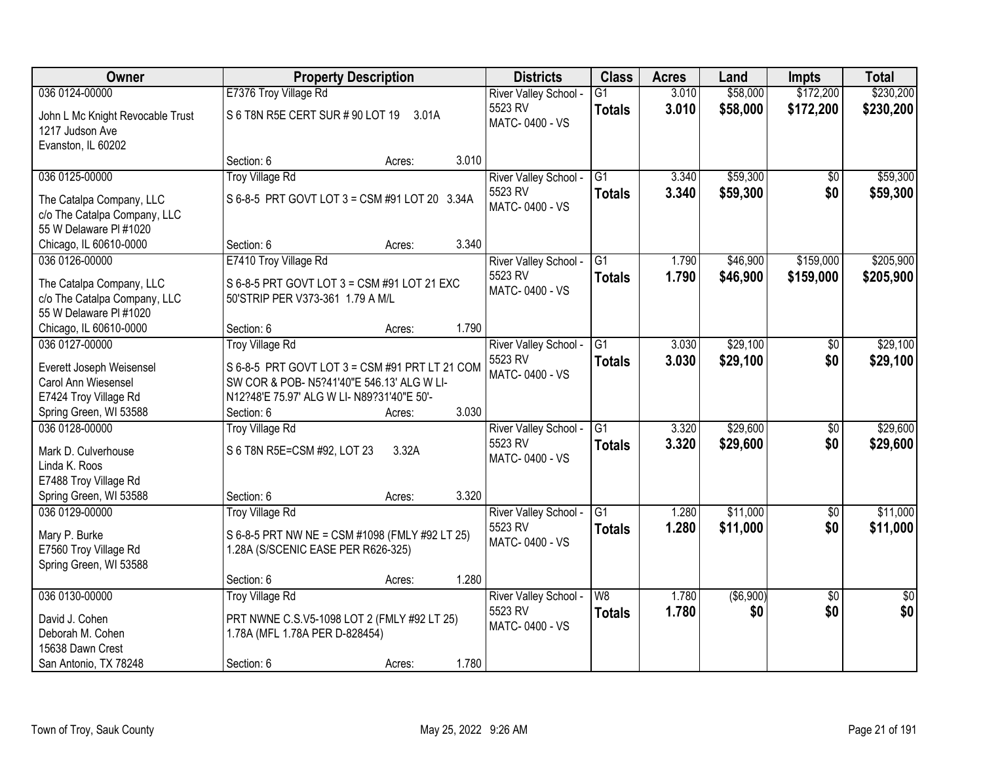| <b>Owner</b>                                                                       |                                                                                                                                            | <b>Property Description</b> |       | <b>Districts</b>                                   | <b>Class</b>              | <b>Acres</b>   | Land                 | <b>Impts</b>           | <b>Total</b>         |
|------------------------------------------------------------------------------------|--------------------------------------------------------------------------------------------------------------------------------------------|-----------------------------|-------|----------------------------------------------------|---------------------------|----------------|----------------------|------------------------|----------------------|
| 036 0124-00000                                                                     | E7376 Troy Village Rd                                                                                                                      |                             |       | River Valley School -                              | $\overline{G1}$           | 3.010          | \$58,000             | \$172,200              | \$230,200            |
| John L Mc Knight Revocable Trust<br>1217 Judson Ave<br>Evanston, IL 60202          | S 6 T8N R5E CERT SUR # 90 LOT 19                                                                                                           | 3.01A                       |       | 5523 RV<br>MATC-0400 - VS                          | <b>Totals</b>             | 3.010          | \$58,000             | \$172,200              | \$230,200            |
|                                                                                    | Section: 6                                                                                                                                 | Acres:                      | 3.010 |                                                    |                           |                |                      |                        |                      |
| 036 0125-00000                                                                     | <b>Troy Village Rd</b>                                                                                                                     |                             |       | River Valley School -                              | $\overline{G1}$           | 3.340          | \$59,300             | $\overline{50}$        | \$59,300             |
| The Catalpa Company, LLC<br>c/o The Catalpa Company, LLC<br>55 W Delaware PI #1020 | S 6-8-5 PRT GOVT LOT 3 = CSM #91 LOT 20 3.34A                                                                                              |                             |       | 5523 RV<br>MATC-0400 - VS                          | <b>Totals</b>             | 3.340          | \$59,300             | \$0                    | \$59,300             |
| Chicago, IL 60610-0000                                                             | Section: 6                                                                                                                                 | Acres:                      | 3.340 |                                                    |                           |                |                      |                        |                      |
| 036 0126-00000                                                                     | E7410 Troy Village Rd                                                                                                                      |                             |       | River Valley School -                              | G <sub>1</sub>            | 1.790          | \$46,900             | \$159,000              | \$205,900            |
| The Catalpa Company, LLC<br>c/o The Catalpa Company, LLC<br>55 W Delaware PI #1020 | S 6-8-5 PRT GOVT LOT 3 = CSM #91 LOT 21 EXC<br>50'STRIP PER V373-361 1.79 A M/L                                                            |                             |       | 5523 RV<br>MATC-0400 - VS                          | <b>Totals</b>             | 1.790          | \$46,900             | \$159,000              | \$205,900            |
| Chicago, IL 60610-0000                                                             | Section: 6                                                                                                                                 | Acres:                      | 1.790 |                                                    |                           |                |                      |                        |                      |
| 036 0127-00000                                                                     | <b>Troy Village Rd</b>                                                                                                                     |                             |       | River Valley School -                              | G1                        | 3.030          | \$29,100             | \$0                    | \$29,100             |
| Everett Joseph Weisensel<br>Carol Ann Wiesensel<br>E7424 Troy Village Rd           | S 6-8-5 PRT GOVT LOT 3 = CSM #91 PRT LT 21 COM<br>SW COR & POB- N5?41'40"E 546.13' ALG W LI-<br>N12?48'E 75.97' ALG W LI- N89?31'40"E 50'- |                             |       | 5523 RV<br>MATC-0400 - VS                          | <b>Totals</b>             | 3.030          | \$29,100             | \$0                    | \$29,100             |
| Spring Green, WI 53588                                                             | Section: 6                                                                                                                                 | Acres:                      | 3.030 |                                                    |                           |                |                      |                        |                      |
| 036 0128-00000<br>Mark D. Culverhouse<br>Linda K. Roos                             | <b>Troy Village Rd</b><br>S 6 T8N R5E=CSM #92, LOT 23                                                                                      | 3.32A                       |       | River Valley School -<br>5523 RV<br>MATC-0400 - VS | $\overline{G1}$<br>Totals | 3.320<br>3.320 | \$29,600<br>\$29,600 | $\overline{30}$<br>\$0 | \$29,600<br>\$29,600 |
| E7488 Troy Village Rd                                                              |                                                                                                                                            |                             |       |                                                    |                           |                |                      |                        |                      |
| Spring Green, WI 53588                                                             | Section: 6                                                                                                                                 | Acres:                      | 3.320 |                                                    |                           |                |                      |                        |                      |
| 036 0129-00000                                                                     | <b>Troy Village Rd</b>                                                                                                                     |                             |       | River Valley School -                              | G1                        | 1.280          | \$11,000             | $\sqrt{6}$             | \$11,000             |
| Mary P. Burke<br>E7560 Troy Village Rd<br>Spring Green, WI 53588                   | S 6-8-5 PRT NW NE = CSM #1098 (FMLY #92 LT 25)<br>1.28A (S/SCENIC EASE PER R626-325)                                                       |                             |       | 5523 RV<br>MATC-0400 - VS                          | <b>Totals</b>             | 1.280          | \$11,000             | \$0                    | \$11,000             |
|                                                                                    | Section: 6                                                                                                                                 | Acres:                      | 1.280 |                                                    |                           |                |                      |                        |                      |
| 036 0130-00000                                                                     | <b>Troy Village Rd</b>                                                                                                                     |                             |       | River Valley School -                              | W8                        | 1.780          | ( \$6, 900)          | $\overline{30}$        | $\overline{50}$      |
| David J. Cohen<br>Deborah M. Cohen<br>15638 Dawn Crest                             | PRT NWNE C.S.V5-1098 LOT 2 (FMLY #92 LT 25)<br>1.78A (MFL 1.78A PER D-828454)                                                              |                             |       | 5523 RV<br>MATC-0400 - VS                          | <b>Totals</b>             | 1.780          | \$0                  | \$0                    | \$0                  |
| San Antonio, TX 78248                                                              | Section: 6                                                                                                                                 | Acres:                      | 1.780 |                                                    |                           |                |                      |                        |                      |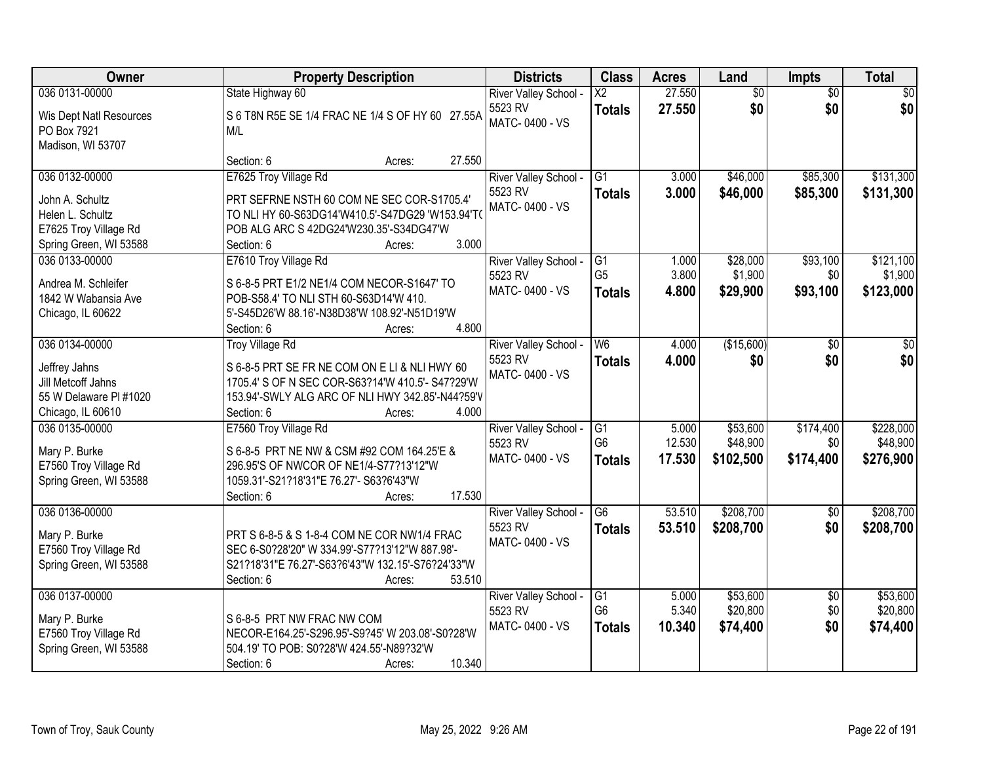| Owner                                           | <b>Property Description</b>                                                       | <b>Districts</b>                 | <b>Class</b>           | <b>Acres</b> | Land            | Impts                  | <b>Total</b>    |
|-------------------------------------------------|-----------------------------------------------------------------------------------|----------------------------------|------------------------|--------------|-----------------|------------------------|-----------------|
| 036 0131-00000                                  | State Highway 60                                                                  | River Valley School -            | $\overline{\text{X2}}$ | 27.550       | $\overline{60}$ | $\overline{50}$        | $\overline{50}$ |
| Wis Dept Natl Resources                         | S 6 T8N R5E SE 1/4 FRAC NE 1/4 S OF HY 60 27.55A                                  | 5523 RV<br>MATC-0400 - VS        | <b>Totals</b>          | 27.550       | \$0             | \$0                    | \$0             |
| PO Box 7921                                     | M/L                                                                               |                                  |                        |              |                 |                        |                 |
| Madison, WI 53707                               |                                                                                   |                                  |                        |              |                 |                        |                 |
|                                                 | Section: 6<br>27.550<br>Acres:                                                    |                                  |                        |              |                 |                        |                 |
| 036 0132-00000                                  | E7625 Troy Village Rd                                                             | River Valley School -            | $\overline{G1}$        | 3.000        | \$46,000        | \$85,300               | \$131,300       |
| John A. Schultz                                 | PRT SEFRNE NSTH 60 COM NE SEC COR-S1705.4'                                        | 5523 RV                          | <b>Totals</b>          | 3.000        | \$46,000        | \$85,300               | \$131,300       |
| Helen L. Schultz                                | TO NLI HY 60-S63DG14'W410.5'-S47DG29 'W153.94'TO                                  | MATC-0400 - VS                   |                        |              |                 |                        |                 |
| E7625 Troy Village Rd                           | POB ALG ARC S 42DG24'W230.35'-S34DG47'W                                           |                                  |                        |              |                 |                        |                 |
| Spring Green, WI 53588                          | 3.000<br>Section: 6<br>Acres:                                                     |                                  |                        |              |                 |                        |                 |
| 036 0133-00000                                  | E7610 Troy Village Rd                                                             | River Valley School -            | G1                     | 1.000        | \$28,000        | \$93,100               | \$121,100       |
| Andrea M. Schleifer                             | S 6-8-5 PRT E1/2 NE1/4 COM NECOR-S1647' TO                                        | 5523 RV                          | G <sub>5</sub>         | 3.800        | \$1,900         | \$0                    | \$1,900         |
| 1842 W Wabansia Ave                             | POB-S58.4' TO NLI STH 60-S63D14'W 410.                                            | MATC-0400 - VS                   | <b>Totals</b>          | 4.800        | \$29,900        | \$93,100               | \$123,000       |
| Chicago, IL 60622                               | 5'-S45D26'W 88.16'-N38D38'W 108.92'-N51D19'W                                      |                                  |                        |              |                 |                        |                 |
|                                                 | 4.800<br>Section: 6<br>Acres:                                                     |                                  |                        |              |                 |                        |                 |
| 036 0134-00000                                  | <b>Troy Village Rd</b>                                                            | River Valley School -            | W <sub>6</sub>         | 4.000        | (\$15,600)      | \$0                    | \$0             |
|                                                 | S 6-8-5 PRT SE FR NE COM ON E LI & NLI HWY 60                                     | 5523 RV                          | <b>Totals</b>          | 4.000        | \$0             | \$0                    | \$0             |
| Jeffrey Jahns<br>Jill Metcoff Jahns             | 1705.4' S OF N SEC COR-S63?14'W 410.5'- S47?29'W                                  | MATC-0400 - VS                   |                        |              |                 |                        |                 |
| 55 W Delaware PI #1020                          | 153.94'-SWLY ALG ARC OF NLI HWY 342.85'-N44?59'V                                  |                                  |                        |              |                 |                        |                 |
| Chicago, IL 60610                               | Section: 6<br>4.000<br>Acres:                                                     |                                  |                        |              |                 |                        |                 |
| 036 0135-00000                                  | E7560 Troy Village Rd                                                             | River Valley School -            | $\overline{G1}$        | 5.000        | \$53,600        | \$174,400              | \$228,000       |
|                                                 |                                                                                   | 5523 RV                          | G <sub>6</sub>         | 12.530       | \$48,900        | \$0                    | \$48,900        |
| Mary P. Burke                                   | S 6-8-5 PRT NE NW & CSM #92 COM 164.25'E &                                        | MATC-0400 - VS                   | <b>Totals</b>          | 17.530       | \$102,500       | \$174,400              | \$276,900       |
| E7560 Troy Village Rd<br>Spring Green, WI 53588 | 296.95'S OF NWCOR OF NE1/4-S77?13'12"W<br>1059.31'-S21?18'31"E 76.27'- S63?6'43"W |                                  |                        |              |                 |                        |                 |
|                                                 | 17.530<br>Section: 6<br>Acres:                                                    |                                  |                        |              |                 |                        |                 |
| 036 0136-00000                                  |                                                                                   | River Valley School -            | G <sub>6</sub>         | 53.510       | \$208,700       | $\overline{50}$        | \$208,700       |
|                                                 |                                                                                   | 5523 RV                          | <b>Totals</b>          | 53.510       | \$208,700       | \$0                    | \$208,700       |
| Mary P. Burke                                   | PRT S 6-8-5 & S 1-8-4 COM NE COR NW1/4 FRAC                                       | MATC-0400 - VS                   |                        |              |                 |                        |                 |
| E7560 Troy Village Rd                           | SEC 6-S0?28'20" W 334.99'-S77?13'12"W 887.98'-                                    |                                  |                        |              |                 |                        |                 |
| Spring Green, WI 53588                          | S21?18'31"E 76.27'-S63?6'43"W 132.15'-S76?24'33"W                                 |                                  |                        |              |                 |                        |                 |
| 036 0137-00000                                  | Section: 6<br>53.510<br>Acres:                                                    |                                  | G1                     | 5.000        | \$53,600        |                        | \$53,600        |
|                                                 |                                                                                   | River Valley School -<br>5523 RV | G <sub>6</sub>         | 5.340        | \$20,800        | $\overline{30}$<br>\$0 | \$20,800        |
| Mary P. Burke                                   | S 6-8-5 PRT NW FRAC NW COM                                                        | MATC-0400 - VS                   | <b>Totals</b>          | 10.340       | \$74,400        | \$0                    | \$74,400        |
| E7560 Troy Village Rd                           | NECOR-E164.25'-S296.95'-S9?45' W 203.08'-S0?28'W                                  |                                  |                        |              |                 |                        |                 |
| Spring Green, WI 53588                          | 504.19' TO POB: S0?28'W 424.55'-N89?32'W                                          |                                  |                        |              |                 |                        |                 |
|                                                 | 10.340<br>Section: 6<br>Acres:                                                    |                                  |                        |              |                 |                        |                 |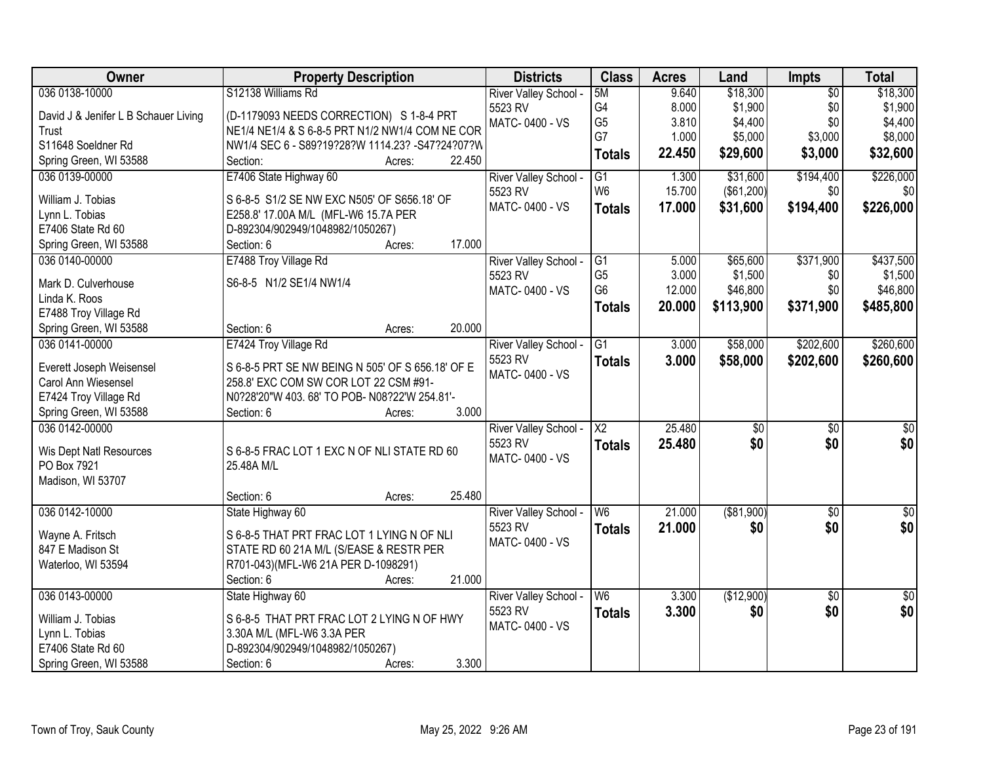| Owner                                | <b>Property Description</b>                      | <b>Districts</b>          | <b>Class</b>             | <b>Acres</b> | Land              | <b>Impts</b>    | <b>Total</b>    |
|--------------------------------------|--------------------------------------------------|---------------------------|--------------------------|--------------|-------------------|-----------------|-----------------|
| 036 0138-10000                       | S12138 Williams Rd                               | River Valley School -     | 5M                       | 9.640        | \$18,300          | $\overline{50}$ | \$18,300        |
| David J & Jenifer L B Schauer Living | (D-1179093 NEEDS CORRECTION) S 1-8-4 PRT         | 5523 RV                   | G4                       | 8.000        | \$1,900           | \$0             | \$1,900         |
| Trust                                | NE1/4 NE1/4 & S 6-8-5 PRT N1/2 NW1/4 COM NE COR  | MATC-0400 - VS            | G <sub>5</sub>           | 3.810        | \$4,400           | \$0             | \$4,400         |
| S11648 Soeldner Rd                   | NW1/4 SEC 6 - S89?19?28?W 1114.23? -S47?24?07?W  |                           | G7                       | 1.000        | \$5,000           | \$3,000         | \$8,000         |
| Spring Green, WI 53588               | 22.450<br>Section:<br>Acres:                     |                           | <b>Totals</b>            | 22.450       | \$29,600          | \$3,000         | \$32,600        |
| 036 0139-00000                       | E7406 State Highway 60                           | River Valley School -     | $\overline{G1}$          | 1.300        | \$31,600          | \$194,400       | \$226,000       |
|                                      |                                                  | 5523 RV                   | W <sub>6</sub>           | 15.700       | $($ \$61,200) $ $ | \$0             | \$0             |
| William J. Tobias                    | S 6-8-5 S1/2 SE NW EXC N505' OF S656.18' OF      | MATC-0400 - VS            | <b>Totals</b>            | 17.000       | \$31,600          | \$194,400       | \$226,000       |
| Lynn L. Tobias                       | E258.8' 17.00A M/L (MFL-W6 15.7A PER             |                           |                          |              |                   |                 |                 |
| E7406 State Rd 60                    | D-892304/902949/1048982/1050267)                 |                           |                          |              |                   |                 |                 |
| Spring Green, WI 53588               | 17.000<br>Section: 6<br>Acres:                   |                           |                          |              |                   |                 |                 |
| 036 0140-00000                       | E7488 Troy Village Rd                            | River Valley School -     | G1                       | 5.000        | \$65,600          | \$371,900       | \$437,500       |
| Mark D. Culverhouse                  | S6-8-5 N1/2 SE1/4 NW1/4                          | 5523 RV                   | G <sub>5</sub>           | 3.000        | \$1,500           | \$0             | \$1,500         |
| Linda K. Roos                        |                                                  | MATC-0400 - VS            | G <sub>6</sub>           | 12.000       | \$46,800          | \$0             | \$46,800        |
| E7488 Troy Village Rd                |                                                  |                           | <b>Totals</b>            | 20.000       | \$113,900         | \$371,900       | \$485,800       |
| Spring Green, WI 53588               | 20.000<br>Section: 6<br>Acres:                   |                           |                          |              |                   |                 |                 |
| 036 0141-00000                       | E7424 Troy Village Rd                            | River Valley School -     | G1                       | 3.000        | \$58,000          | \$202,600       | \$260,600       |
|                                      |                                                  | 5523 RV                   | <b>Totals</b>            | 3.000        | \$58,000          | \$202,600       | \$260,600       |
| Everett Joseph Weisensel             | S 6-8-5 PRT SE NW BEING N 505' OF S 656.18' OF E | MATC-0400 - VS            |                          |              |                   |                 |                 |
| Carol Ann Wiesensel                  | 258.8' EXC COM SW COR LOT 22 CSM #91-            |                           |                          |              |                   |                 |                 |
| E7424 Troy Village Rd                | N0?28'20"W 403.68' TO POB- N08?22'W 254.81'-     |                           |                          |              |                   |                 |                 |
| Spring Green, WI 53588               | 3.000<br>Section: 6<br>Acres:                    |                           |                          |              |                   |                 |                 |
| 036 0142-00000                       |                                                  | River Valley School -     | $\overline{\text{X2}}$   | 25.480       | $\overline{50}$   | $\overline{50}$ | $\overline{50}$ |
| Wis Dept Natl Resources              | S 6-8-5 FRAC LOT 1 EXC N OF NLI STATE RD 60      | 5523 RV                   | <b>Totals</b>            | 25.480       | \$0               | \$0             | \$0             |
| PO Box 7921                          | 25.48A M/L                                       | MATC-0400 - VS            |                          |              |                   |                 |                 |
| Madison, WI 53707                    |                                                  |                           |                          |              |                   |                 |                 |
|                                      | 25.480<br>Section: 6<br>Acres:                   |                           |                          |              |                   |                 |                 |
| 036 0142-10000                       | State Highway 60                                 | River Valley School -     | W6                       | 21.000       | ( \$81,900)       | $\sqrt{6}$      | $\sqrt{30}$     |
| Wayne A. Fritsch                     | S 6-8-5 THAT PRT FRAC LOT 1 LYING N OF NLI       | 5523 RV                   | <b>Totals</b>            | 21.000       | \$0               | \$0             | \$0             |
| 847 E Madison St                     | STATE RD 60 21A M/L (S/EASE & RESTR PER          | MATC-0400 - VS            |                          |              |                   |                 |                 |
| Waterloo, WI 53594                   | R701-043)(MFL-W6 21A PER D-1098291)              |                           |                          |              |                   |                 |                 |
|                                      | 21.000<br>Section: 6<br>Acres:                   |                           |                          |              |                   |                 |                 |
| 036 0143-00000                       |                                                  |                           | $\overline{\mathsf{W6}}$ | 3.300        | (\$12,900)        | $\overline{50}$ | $\overline{50}$ |
|                                      | State Highway 60                                 | River Valley School -     |                          |              |                   |                 |                 |
| William J. Tobias                    | S 6-8-5 THAT PRT FRAC LOT 2 LYING N OF HWY       | 5523 RV<br>MATC-0400 - VS | <b>Totals</b>            | 3.300        | \$0               | \$0             | \$0             |
| Lynn L. Tobias                       | 3.30A M/L (MFL-W6 3.3A PER                       |                           |                          |              |                   |                 |                 |
| E7406 State Rd 60                    | D-892304/902949/1048982/1050267)                 |                           |                          |              |                   |                 |                 |
| Spring Green, WI 53588               | 3.300<br>Section: 6<br>Acres:                    |                           |                          |              |                   |                 |                 |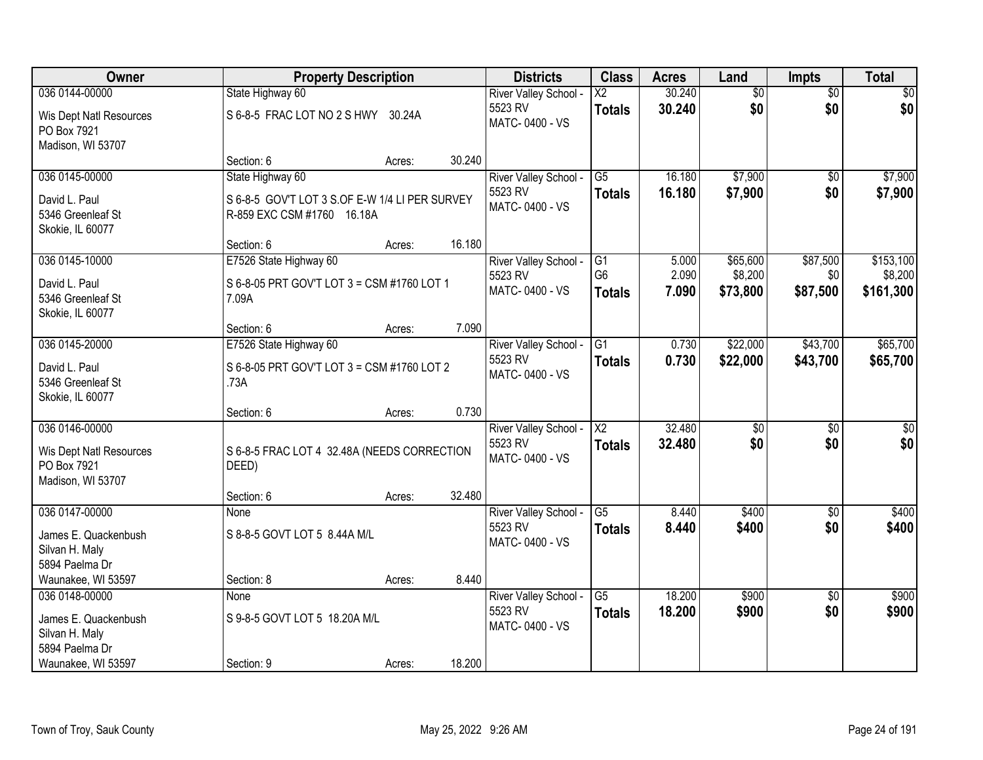| Owner                                                       |                                                                              | <b>Property Description</b> |        | <b>Districts</b>                                   | <b>Class</b>                     | <b>Acres</b>     | Land                | <b>Impts</b>           | <b>Total</b>         |
|-------------------------------------------------------------|------------------------------------------------------------------------------|-----------------------------|--------|----------------------------------------------------|----------------------------------|------------------|---------------------|------------------------|----------------------|
| 036 0144-00000                                              | State Highway 60                                                             |                             |        | River Valley School -                              | $\overline{X2}$                  | 30.240           | $\overline{50}$     | $\overline{50}$        | $\sqrt{50}$          |
| Wis Dept Natl Resources<br>PO Box 7921<br>Madison, WI 53707 | S 6-8-5 FRAC LOT NO 2 S HWY 30.24A                                           |                             |        | 5523 RV<br>MATC-0400 - VS                          | <b>Totals</b>                    | 30.240           | \$0                 | \$0                    | \$0                  |
|                                                             | Section: 6                                                                   | Acres:                      | 30.240 |                                                    |                                  |                  |                     |                        |                      |
| 036 0145-00000                                              | State Highway 60                                                             |                             |        | River Valley School -                              | $\overline{G5}$                  | 16.180           | \$7,900             | $\overline{30}$        | \$7,900              |
| David L. Paul<br>5346 Greenleaf St<br>Skokie, IL 60077      | S 6-8-5 GOV'T LOT 3 S.OF E-W 1/4 LI PER SURVEY<br>R-859 EXC CSM #1760 16.18A |                             |        | 5523 RV<br>MATC-0400 - VS                          | <b>Totals</b>                    | 16.180           | \$7,900             | \$0                    | \$7,900              |
|                                                             | Section: 6                                                                   | Acres:                      | 16.180 |                                                    |                                  |                  |                     |                        |                      |
| 036 0145-10000                                              | E7526 State Highway 60                                                       |                             |        | River Valley School -                              | G1                               | 5.000            | \$65,600            | \$87,500               | \$153,100            |
| David L. Paul<br>5346 Greenleaf St<br>Skokie, IL 60077      | S 6-8-05 PRT GOV'T LOT 3 = CSM #1760 LOT 1<br>7.09A                          |                             |        | 5523 RV<br>MATC-0400 - VS                          | G <sub>6</sub><br><b>Totals</b>  | 2.090<br>7.090   | \$8,200<br>\$73,800 | \$0<br>\$87,500        | \$8,200<br>\$161,300 |
|                                                             | Section: 6                                                                   | Acres:                      | 7.090  |                                                    |                                  |                  |                     |                        |                      |
| 036 0145-20000                                              | E7526 State Highway 60                                                       |                             |        | River Valley School -                              | $\overline{G1}$                  | 0.730            | \$22,000            | \$43,700               | \$65,700             |
| David L. Paul<br>5346 Greenleaf St<br>Skokie, IL 60077      | S 6-8-05 PRT GOV'T LOT 3 = CSM #1760 LOT 2<br>.73A                           |                             |        | 5523 RV<br>MATC-0400 - VS                          | <b>Totals</b>                    | 0.730            | \$22,000            | \$43,700               | \$65,700             |
|                                                             | Section: 6                                                                   | Acres:                      | 0.730  |                                                    |                                  |                  |                     |                        |                      |
| 036 0146-00000<br>Wis Dept Natl Resources                   | S 6-8-5 FRAC LOT 4 32.48A (NEEDS CORRECTION                                  |                             |        | River Valley School -<br>5523 RV<br>MATC-0400 - VS | $\overline{X2}$<br><b>Totals</b> | 32.480<br>32.480 | \$0<br>\$0          | $\overline{50}$<br>\$0 | \$0<br>\$0           |
| PO Box 7921                                                 | DEED)                                                                        |                             |        |                                                    |                                  |                  |                     |                        |                      |
| Madison, WI 53707                                           |                                                                              |                             |        |                                                    |                                  |                  |                     |                        |                      |
| 036 0147-00000                                              | Section: 6<br>None                                                           | Acres:                      | 32.480 | River Valley School -                              | $\overline{G5}$                  | 8.440            | \$400               | $\sqrt{6}$             | \$400                |
| James E. Quackenbush<br>Silvan H. Maly<br>5894 Paelma Dr    | S 8-8-5 GOVT LOT 5 8.44A M/L                                                 |                             |        | 5523 RV<br>MATC-0400 - VS                          | <b>Totals</b>                    | 8.440            | \$400               | \$0                    | \$400                |
| Waunakee, WI 53597                                          | Section: 8                                                                   | Acres:                      | 8.440  |                                                    |                                  |                  |                     |                        |                      |
| 036 0148-00000                                              | None                                                                         |                             |        | River Valley School -                              | $\overline{G5}$                  | 18.200           | \$900               | $\overline{30}$        | \$900                |
| James E. Quackenbush<br>Silvan H. Maly<br>5894 Paelma Dr    | S 9-8-5 GOVT LOT 5 18.20A M/L                                                |                             |        | 5523 RV<br>MATC-0400 - VS                          | <b>Totals</b>                    | 18.200           | \$900               | \$0                    | \$900                |
| Waunakee, WI 53597                                          | Section: 9                                                                   | Acres:                      | 18.200 |                                                    |                                  |                  |                     |                        |                      |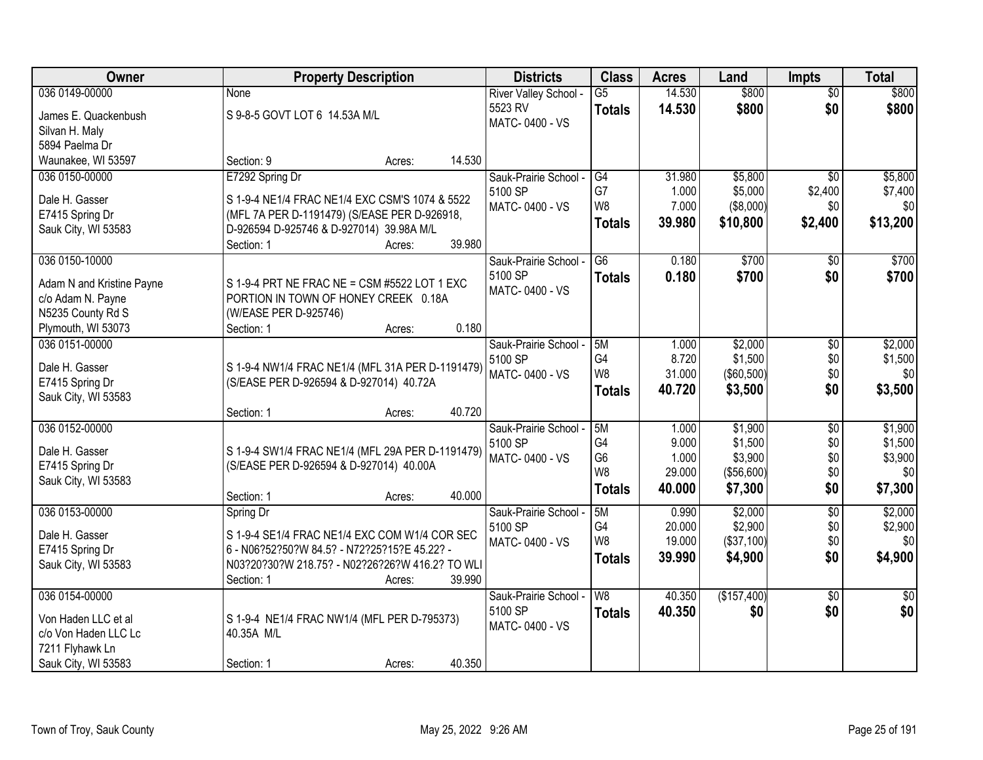| Owner                     | <b>Property Description</b>                                                                 |                  | <b>Districts</b>      | <b>Class</b>    | <b>Acres</b> | Land        | <b>Impts</b>    | <b>Total</b>    |
|---------------------------|---------------------------------------------------------------------------------------------|------------------|-----------------------|-----------------|--------------|-------------|-----------------|-----------------|
| 036 0149-00000            | None                                                                                        |                  | River Valley School - | $\overline{G5}$ | 14.530       | \$800       | $\overline{50}$ | \$800           |
| James E. Quackenbush      | S 9-8-5 GOVT LOT 6 14.53A M/L                                                               |                  | 5523 RV               | <b>Totals</b>   | 14.530       | \$800       | \$0             | \$800           |
| Silvan H. Maly            |                                                                                             |                  | MATC-0400 - VS        |                 |              |             |                 |                 |
| 5894 Paelma Dr            |                                                                                             |                  |                       |                 |              |             |                 |                 |
| Waunakee, WI 53597        | Section: 9                                                                                  | 14.530<br>Acres: |                       |                 |              |             |                 |                 |
| 036 0150-00000            | E7292 Spring Dr                                                                             |                  | Sauk-Prairie School - | G4              | 31.980       | \$5,800     | \$0             | \$5,800         |
| Dale H. Gasser            | S 1-9-4 NE1/4 FRAC NE1/4 EXC CSM'S 1074 & 5522                                              |                  | 5100 SP               | G7              | 1.000        | \$5,000     | \$2,400         | \$7,400         |
| E7415 Spring Dr           | (MFL 7A PER D-1191479) (S/EASE PER D-926918,                                                |                  | MATC-0400 - VS        | W <sub>8</sub>  | 7.000        | (\$8,000)   | \$0             | \$0             |
| Sauk City, WI 53583       | D-926594 D-925746 & D-927014) 39.98A M/L                                                    |                  |                       | <b>Totals</b>   | 39.980       | \$10,800    | \$2,400         | \$13,200        |
|                           | Section: 1                                                                                  | 39.980<br>Acres: |                       |                 |              |             |                 |                 |
| 036 0150-10000            |                                                                                             |                  | Sauk-Prairie School - | G6              | 0.180        | \$700       | \$0             | \$700           |
| Adam N and Kristine Payne | S 1-9-4 PRT NE FRAC NE = CSM #5522 LOT 1 EXC                                                |                  | 5100 SP               | <b>Totals</b>   | 0.180        | \$700       | \$0             | \$700           |
| c/o Adam N. Payne         | PORTION IN TOWN OF HONEY CREEK 0.18A                                                        |                  | MATC-0400 - VS        |                 |              |             |                 |                 |
| N5235 County Rd S         | (W/EASE PER D-925746)                                                                       |                  |                       |                 |              |             |                 |                 |
| Plymouth, WI 53073        | Section: 1                                                                                  | 0.180<br>Acres:  |                       |                 |              |             |                 |                 |
| 036 0151-00000            |                                                                                             |                  | Sauk-Prairie School - | 5M              | 1.000        | \$2,000     | $\sqrt[6]{3}$   | \$2,000         |
| Dale H. Gasser            | S 1-9-4 NW1/4 FRAC NE1/4 (MFL 31A PER D-1191479)                                            |                  | 5100 SP               | G4              | 8.720        | \$1,500     | \$0             | \$1,500         |
| E7415 Spring Dr           | (S/EASE PER D-926594 & D-927014) 40.72A                                                     |                  | MATC-0400 - VS        | W8              | 31.000       | (\$60,500)  | \$0             | \$0             |
| Sauk City, WI 53583       |                                                                                             |                  |                       | <b>Totals</b>   | 40.720       | \$3,500     | \$0             | \$3,500         |
|                           | Section: 1                                                                                  | 40.720<br>Acres: |                       |                 |              |             |                 |                 |
| 036 0152-00000            |                                                                                             |                  | Sauk-Prairie School - | 5M              | 1.000        | \$1,900     | $\overline{50}$ | \$1,900         |
| Dale H. Gasser            |                                                                                             |                  | 5100 SP               | G <sub>4</sub>  | 9.000        | \$1,500     | \$0             | \$1,500         |
| E7415 Spring Dr           | S 1-9-4 SW1/4 FRAC NE1/4 (MFL 29A PER D-1191479)<br>(S/EASE PER D-926594 & D-927014) 40.00A |                  | MATC-0400 - VS        | G <sub>6</sub>  | 1.000        | \$3,900     | \$0             | \$3,900         |
| Sauk City, WI 53583       |                                                                                             |                  |                       | W8              | 29.000       | (\$56,600)  | \$0             | \$0             |
|                           | Section: 1                                                                                  | 40.000<br>Acres: |                       | <b>Totals</b>   | 40.000       | \$7,300     | \$0             | \$7,300         |
| 036 0153-00000            | Spring Dr                                                                                   |                  | Sauk-Prairie School - | 5M              | 0.990        | \$2,000     | $\overline{60}$ | \$2,000         |
| Dale H. Gasser            | S 1-9-4 SE1/4 FRAC NE1/4 EXC COM W1/4 COR SEC                                               |                  | 5100 SP               | G4              | 20.000       | \$2,900     | \$0             | \$2,900         |
| E7415 Spring Dr           | 6 - N06?52?50?W 84.5? - N72?25?15?E 45.22? -                                                |                  | MATC-0400 - VS        | W <sub>8</sub>  | 19.000       | (\$37,100)  | \$0             | \$0             |
| Sauk City, WI 53583       | N03?20?30?W 218.75? - N02?26?26?W 416.2? TO WLI                                             |                  |                       | <b>Totals</b>   | 39,990       | \$4,900     | \$0             | \$4,900         |
|                           | Section: 1                                                                                  | 39.990<br>Acres: |                       |                 |              |             |                 |                 |
| 036 0154-00000            |                                                                                             |                  | Sauk-Prairie School - | W8              | 40.350       | (\$157,400) | $\overline{50}$ | $\overline{50}$ |
| Von Haden LLC et al       | S 1-9-4 NE1/4 FRAC NW1/4 (MFL PER D-795373)                                                 |                  | 5100 SP               | <b>Totals</b>   | 40.350       | \$0         | \$0             | \$0             |
| c/o Von Haden LLC Lc      | 40.35A M/L                                                                                  |                  | MATC-0400 - VS        |                 |              |             |                 |                 |
| 7211 Flyhawk Ln           |                                                                                             |                  |                       |                 |              |             |                 |                 |
| Sauk City, WI 53583       | Section: 1                                                                                  | 40.350<br>Acres: |                       |                 |              |             |                 |                 |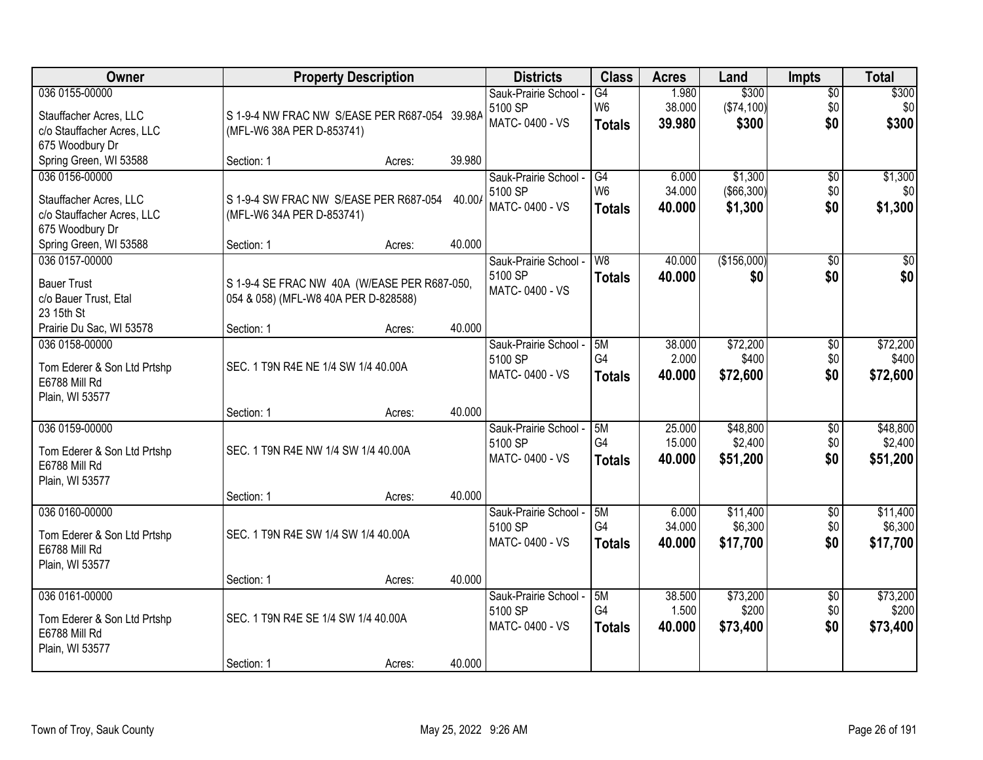| Owner                       |                                               | <b>Property Description</b> |        | <b>Districts</b>          | <b>Class</b>   | <b>Acres</b> | Land              | <b>Impts</b>    | <b>Total</b> |
|-----------------------------|-----------------------------------------------|-----------------------------|--------|---------------------------|----------------|--------------|-------------------|-----------------|--------------|
| 036 0155-00000              |                                               |                             |        | Sauk-Prairie School -     | G4             | 1.980        | \$300             | $\sqrt{$0}$     | \$300        |
| Stauffacher Acres, LLC      | S 1-9-4 NW FRAC NW S/EASE PER R687-054 39.98A |                             |        | 5100 SP<br>MATC-0400 - VS | W <sub>6</sub> | 38.000       | (\$74,100)        | \$0<br>\$0      | \$0          |
| c/o Stauffacher Acres, LLC  | (MFL-W6 38A PER D-853741)                     |                             |        |                           | <b>Totals</b>  | 39.980       | \$300             |                 | \$300        |
| 675 Woodbury Dr             |                                               |                             |        |                           |                |              |                   |                 |              |
| Spring Green, WI 53588      | Section: 1                                    | Acres:                      | 39.980 |                           |                |              |                   |                 |              |
| 036 0156-00000              |                                               |                             |        | Sauk-Prairie School -     | G4             | 6.000        | \$1,300           | \$0             | \$1,300      |
| Stauffacher Acres, LLC      | S 1-9-4 SW FRAC NW S/EASE PER R687-054        |                             | 40.00/ | 5100 SP                   | W <sub>6</sub> | 34.000       | $($ \$66,300) $ $ | \$0             | \$0          |
| c/o Stauffacher Acres, LLC  | (MFL-W6 34A PER D-853741)                     |                             |        | MATC-0400 - VS            | <b>Totals</b>  | 40.000       | \$1,300           | \$0             | \$1,300      |
| 675 Woodbury Dr             |                                               |                             |        |                           |                |              |                   |                 |              |
| Spring Green, WI 53588      | Section: 1                                    | Acres:                      | 40.000 |                           |                |              |                   |                 |              |
| 036 0157-00000              |                                               |                             |        | Sauk-Prairie School -     | W <sub>8</sub> | 40.000       | (\$156,000)       | \$0             | $\sqrt{50}$  |
| <b>Bauer Trust</b>          | S 1-9-4 SE FRAC NW 40A (W/EASE PER R687-050,  |                             |        | 5100 SP                   | <b>Totals</b>  | 40.000       | \$0               | \$0             | \$0          |
| c/o Bauer Trust, Etal       | 054 & 058) (MFL-W8 40A PER D-828588)          |                             |        | MATC-0400 - VS            |                |              |                   |                 |              |
| 23 15th St                  |                                               |                             |        |                           |                |              |                   |                 |              |
| Prairie Du Sac, WI 53578    | Section: 1                                    | Acres:                      | 40.000 |                           |                |              |                   |                 |              |
| 036 0158-00000              |                                               |                             |        | Sauk-Prairie School -     | 5M             | 38.000       | \$72,200          | \$0             | \$72,200     |
|                             |                                               |                             |        | 5100 SP                   | G4             | 2.000        | \$400             | \$0             | \$400        |
| Tom Ederer & Son Ltd Prtshp | SEC. 1 T9N R4E NE 1/4 SW 1/4 40.00A           |                             |        | MATC-0400 - VS            | <b>Totals</b>  | 40.000       | \$72,600          | \$0             | \$72,600     |
| E6788 Mill Rd               |                                               |                             |        |                           |                |              |                   |                 |              |
| Plain, WI 53577             | Section: 1                                    | Acres:                      | 40.000 |                           |                |              |                   |                 |              |
| 036 0159-00000              |                                               |                             |        | Sauk-Prairie School -     | 5M             | 25.000       | \$48,800          | $\overline{50}$ | \$48,800     |
|                             |                                               |                             |        | 5100 SP                   | G4             | 15.000       | \$2,400           | \$0             | \$2,400      |
| Tom Ederer & Son Ltd Prtshp | SEC. 1 T9N R4E NW 1/4 SW 1/4 40.00A           |                             |        | MATC-0400 - VS            | <b>Totals</b>  | 40,000       | \$51,200          | \$0             | \$51,200     |
| E6788 Mill Rd               |                                               |                             |        |                           |                |              |                   |                 |              |
| Plain, WI 53577             |                                               |                             |        |                           |                |              |                   |                 |              |
|                             | Section: 1                                    | Acres:                      | 40.000 |                           |                |              |                   |                 |              |
| 036 0160-00000              |                                               |                             |        | Sauk-Prairie School -     | 5M             | 6.000        | \$11,400          | $\sqrt{6}$      | \$11,400     |
| Tom Ederer & Son Ltd Prtshp | SEC. 1 T9N R4E SW 1/4 SW 1/4 40.00A           |                             |        | 5100 SP                   | G4             | 34.000       | \$6,300           | \$0             | \$6,300      |
| E6788 Mill Rd               |                                               |                             |        | MATC-0400 - VS            | <b>Totals</b>  | 40.000       | \$17,700          | \$0             | \$17,700     |
| Plain, WI 53577             |                                               |                             |        |                           |                |              |                   |                 |              |
|                             | Section: 1                                    | Acres:                      | 40.000 |                           |                |              |                   |                 |              |
| 036 0161-00000              |                                               |                             |        | Sauk-Prairie School -     | 5M             | 38.500       | \$73,200          | $\overline{50}$ | \$73,200     |
| Tom Ederer & Son Ltd Prtshp | SEC. 1 T9N R4E SE 1/4 SW 1/4 40.00A           |                             |        | 5100 SP                   | G4             | 1.500        | \$200             | \$0             | \$200        |
| E6788 Mill Rd               |                                               |                             |        | MATC-0400 - VS            | <b>Totals</b>  | 40.000       | \$73,400          | \$0             | \$73,400     |
| Plain, WI 53577             |                                               |                             |        |                           |                |              |                   |                 |              |
|                             | Section: 1                                    | Acres:                      | 40.000 |                           |                |              |                   |                 |              |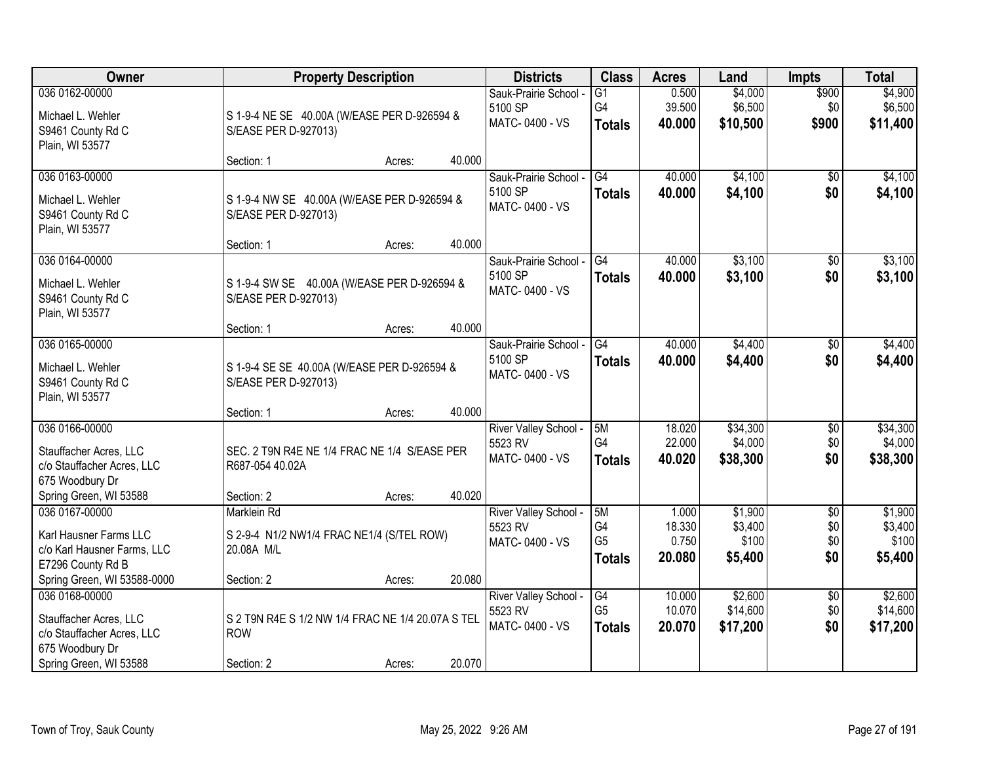| Owner                                                                                        |                                                                        | <b>Property Description</b> |        | <b>Districts</b>                                   | <b>Class</b>                                | <b>Acres</b>                       | Land                                   | <b>Impts</b>                         | <b>Total</b>                           |
|----------------------------------------------------------------------------------------------|------------------------------------------------------------------------|-----------------------------|--------|----------------------------------------------------|---------------------------------------------|------------------------------------|----------------------------------------|--------------------------------------|----------------------------------------|
| 036 0162-00000<br>Michael L. Wehler<br>S9461 County Rd C<br>Plain, WI 53577                  | S 1-9-4 NE SE 40.00A (W/EASE PER D-926594 &<br>S/EASE PER D-927013)    |                             |        | Sauk-Prairie School -<br>5100 SP<br>MATC-0400 - VS | G1<br>G4<br><b>Totals</b>                   | 0.500<br>39.500<br>40.000          | \$4,000<br>\$6,500<br>\$10,500         | \$900<br>\$0<br>\$900                | \$4,900<br>\$6,500<br>\$11,400         |
|                                                                                              | Section: 1                                                             | Acres:                      | 40.000 |                                                    |                                             |                                    |                                        |                                      |                                        |
| 036 0163-00000<br>Michael L. Wehler<br>S9461 County Rd C<br>Plain, WI 53577                  | S 1-9-4 NW SE 40.00A (W/EASE PER D-926594 &<br>S/EASE PER D-927013)    |                             |        | Sauk-Prairie School -<br>5100 SP<br>MATC-0400 - VS | G4<br><b>Totals</b>                         | 40.000<br>40.000                   | \$4,100<br>\$4,100                     | $\overline{50}$<br>\$0               | \$4,100<br>\$4,100                     |
|                                                                                              | Section: 1                                                             | Acres:                      | 40.000 |                                                    |                                             |                                    |                                        |                                      |                                        |
| 036 0164-00000<br>Michael L. Wehler<br>S9461 County Rd C<br>Plain, WI 53577                  | S 1-9-4 SW SE 40.00A (W/EASE PER D-926594 &<br>S/EASE PER D-927013)    |                             |        | Sauk-Prairie School -<br>5100 SP<br>MATC-0400 - VS | G4<br><b>Totals</b>                         | 40.000<br>40.000                   | \$3,100<br>\$3,100                     | $\sqrt[6]{3}$<br>\$0                 | \$3,100<br>\$3,100                     |
|                                                                                              | Section: 1                                                             | Acres:                      | 40.000 |                                                    |                                             |                                    |                                        |                                      |                                        |
| 036 0165-00000<br>Michael L. Wehler<br>S9461 County Rd C<br>Plain, WI 53577                  | S 1-9-4 SE SE 40.00A (W/EASE PER D-926594 &<br>S/EASE PER D-927013)    |                             |        | Sauk-Prairie School -<br>5100 SP<br>MATC-0400 - VS | G4<br><b>Totals</b>                         | 40.000<br>40.000                   | \$4,400<br>\$4,400                     | $\frac{1}{20}$<br>\$0                | \$4,400<br>\$4,400                     |
|                                                                                              | Section: 1                                                             | Acres:                      | 40.000 |                                                    |                                             |                                    |                                        |                                      |                                        |
| 036 0166-00000<br>Stauffacher Acres, LLC<br>c/o Stauffacher Acres, LLC<br>675 Woodbury Dr    | SEC. 2 T9N R4E NE 1/4 FRAC NE 1/4 S/EASE PER<br>R687-054 40.02A        |                             |        | River Valley School -<br>5523 RV<br>MATC-0400 - VS | 5M<br>G4<br><b>Totals</b>                   | 18.020<br>22.000<br>40.020         | \$34,300<br>\$4,000<br>\$38,300        | \$0<br>\$0<br>\$0                    | \$34,300<br>\$4,000<br>\$38,300        |
| Spring Green, WI 53588                                                                       | Section: 2                                                             | Acres:                      | 40.020 |                                                    |                                             |                                    |                                        |                                      |                                        |
| 036 0167-00000<br>Karl Hausner Farms LLC<br>c/o Karl Hausner Farms, LLC<br>E7296 County Rd B | Marklein Rd<br>S 2-9-4 N1/2 NW1/4 FRAC NE1/4 (S/TEL ROW)<br>20.08A M/L |                             |        | River Valley School -<br>5523 RV<br>MATC-0400 - VS | 5M<br>G4<br>G <sub>5</sub><br><b>Totals</b> | 1.000<br>18.330<br>0.750<br>20.080 | \$1,900<br>\$3,400<br>\$100<br>\$5,400 | $\overline{$0}$<br>\$0<br>\$0<br>\$0 | \$1,900<br>\$3,400<br>\$100<br>\$5,400 |
| Spring Green, WI 53588-0000<br>036 0168-00000                                                | Section: 2                                                             | Acres:                      | 20.080 |                                                    |                                             |                                    |                                        |                                      |                                        |
| Stauffacher Acres, LLC<br>c/o Stauffacher Acres, LLC<br>675 Woodbury Dr                      | S 2 T9N R4E S 1/2 NW 1/4 FRAC NE 1/4 20.07A S TEL<br><b>ROW</b>        |                             |        | River Valley School -<br>5523 RV<br>MATC-0400 - VS | G4<br>G <sub>5</sub><br><b>Totals</b>       | 10.000<br>10.070<br>20.070         | \$2,600<br>\$14,600<br>\$17,200        | $\sqrt{6}$<br>\$0<br>\$0             | \$2,600<br>\$14,600<br>\$17,200        |
| Spring Green, WI 53588                                                                       | Section: 2                                                             | Acres:                      | 20.070 |                                                    |                                             |                                    |                                        |                                      |                                        |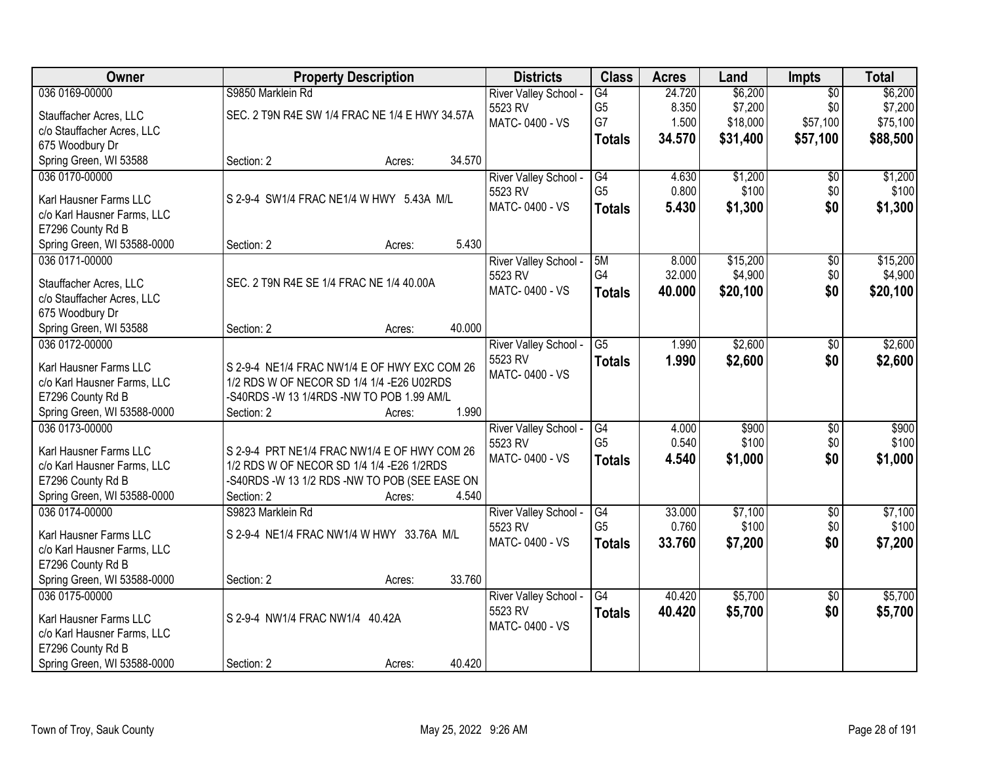| Owner                       | <b>Property Description</b>                    | <b>Districts</b>      | <b>Class</b>         | <b>Acres</b> | Land     | <b>Impts</b>    | <b>Total</b> |
|-----------------------------|------------------------------------------------|-----------------------|----------------------|--------------|----------|-----------------|--------------|
| 036 0169-00000              | S9850 Marklein Rd                              | River Valley School - | $\overline{G4}$      | 24.720       | \$6,200  | $\overline{50}$ | \$6,200      |
| Stauffacher Acres, LLC      | SEC. 2 T9N R4E SW 1/4 FRAC NE 1/4 E HWY 34.57A | 5523 RV               | G <sub>5</sub>       | 8.350        | \$7,200  | \$0             | \$7,200      |
| c/o Stauffacher Acres, LLC  |                                                | MATC-0400 - VS        | G7                   | 1.500        | \$18,000 | \$57,100        | \$75,100     |
| 675 Woodbury Dr             |                                                |                       | <b>Totals</b>        | 34.570       | \$31,400 | \$57,100        | \$88,500     |
| Spring Green, WI 53588      | 34.570<br>Section: 2<br>Acres:                 |                       |                      |              |          |                 |              |
| 036 0170-00000              |                                                | River Valley School - | $\overline{G4}$      | 4.630        | \$1,200  | \$0             | \$1,200      |
|                             |                                                | 5523 RV               | G <sub>5</sub>       | 0.800        | \$100    | \$0             | \$100        |
| Karl Hausner Farms LLC      | S 2-9-4 SW1/4 FRAC NE1/4 W HWY 5.43A M/L       | MATC-0400 - VS        | <b>Totals</b>        | 5.430        | \$1,300  | \$0             | \$1,300      |
| c/o Karl Hausner Farms, LLC |                                                |                       |                      |              |          |                 |              |
| E7296 County Rd B           |                                                |                       |                      |              |          |                 |              |
| Spring Green, WI 53588-0000 | 5.430<br>Section: 2<br>Acres:                  |                       |                      |              |          |                 |              |
| 036 0171-00000              |                                                | River Valley School - | 5M                   | 8.000        | \$15,200 | \$0             | \$15,200     |
| Stauffacher Acres, LLC      | SEC. 2 T9N R4E SE 1/4 FRAC NE 1/4 40.00A       | 5523 RV               | G4                   | 32.000       | \$4,900  | \$0             | \$4,900      |
| c/o Stauffacher Acres, LLC  |                                                | MATC-0400 - VS        | <b>Totals</b>        | 40.000       | \$20,100 | \$0             | \$20,100     |
| 675 Woodbury Dr             |                                                |                       |                      |              |          |                 |              |
| Spring Green, WI 53588      | 40.000<br>Section: 2<br>Acres:                 |                       |                      |              |          |                 |              |
| 036 0172-00000              |                                                | River Valley School - | $\overline{G5}$      | 1.990        | \$2,600  | \$0             | \$2,600      |
|                             |                                                | 5523 RV               | <b>Totals</b>        | 1.990        | \$2,600  | \$0             | \$2,600      |
| Karl Hausner Farms LLC      | S 2-9-4 NE1/4 FRAC NW1/4 E OF HWY EXC COM 26   | MATC-0400 - VS        |                      |              |          |                 |              |
| c/o Karl Hausner Farms, LLC | 1/2 RDS W OF NECOR SD 1/4 1/4 - E26 U02RDS     |                       |                      |              |          |                 |              |
| E7296 County Rd B           | -S40RDS -W 13 1/4RDS -NW TO POB 1.99 AM/L      |                       |                      |              |          |                 |              |
| Spring Green, WI 53588-0000 | 1.990<br>Section: 2<br>Acres:                  |                       |                      |              |          |                 |              |
| 036 0173-00000              |                                                | River Valley School - | G4<br>G <sub>5</sub> | 4.000        | \$900    | \$0             | \$900        |
| Karl Hausner Farms LLC      | S 2-9-4 PRT NE1/4 FRAC NW1/4 E OF HWY COM 26   | 5523 RV               |                      | 0.540        | \$100    | \$0             | \$100        |
| c/o Karl Hausner Farms, LLC | 1/2 RDS W OF NECOR SD 1/4 1/4 - E26 1/2RDS     | MATC-0400 - VS        | <b>Totals</b>        | 4.540        | \$1,000  | \$0             | \$1,000      |
| E7296 County Rd B           | -S40RDS -W 13 1/2 RDS -NW TO POB (SEE EASE ON  |                       |                      |              |          |                 |              |
| Spring Green, WI 53588-0000 | Section: 2<br>4.540<br>Acres:                  |                       |                      |              |          |                 |              |
| 036 0174-00000              | S9823 Marklein Rd                              | River Valley School - | $\overline{G4}$      | 33.000       | \$7,100  | $\overline{50}$ | \$7,100      |
| Karl Hausner Farms LLC      | S 2-9-4 NE1/4 FRAC NW1/4 W HWY 33.76A M/L      | 5523 RV               | G <sub>5</sub>       | 0.760        | \$100    | \$0             | \$100        |
| c/o Karl Hausner Farms, LLC |                                                | MATC-0400 - VS        | <b>Totals</b>        | 33.760       | \$7,200  | \$0             | \$7,200      |
| E7296 County Rd B           |                                                |                       |                      |              |          |                 |              |
| Spring Green, WI 53588-0000 | 33.760<br>Section: 2<br>Acres:                 |                       |                      |              |          |                 |              |
| 036 0175-00000              |                                                | River Valley School - | $\overline{G4}$      | 40.420       | \$5,700  | $\overline{30}$ | \$5,700      |
|                             |                                                | 5523 RV               | <b>Totals</b>        | 40.420       | \$5,700  | \$0             | \$5,700      |
| Karl Hausner Farms LLC      | S 2-9-4 NW1/4 FRAC NW1/4 40.42A                | MATC-0400 - VS        |                      |              |          |                 |              |
| c/o Karl Hausner Farms, LLC |                                                |                       |                      |              |          |                 |              |
| E7296 County Rd B           |                                                |                       |                      |              |          |                 |              |
| Spring Green, WI 53588-0000 | 40.420<br>Section: 2<br>Acres:                 |                       |                      |              |          |                 |              |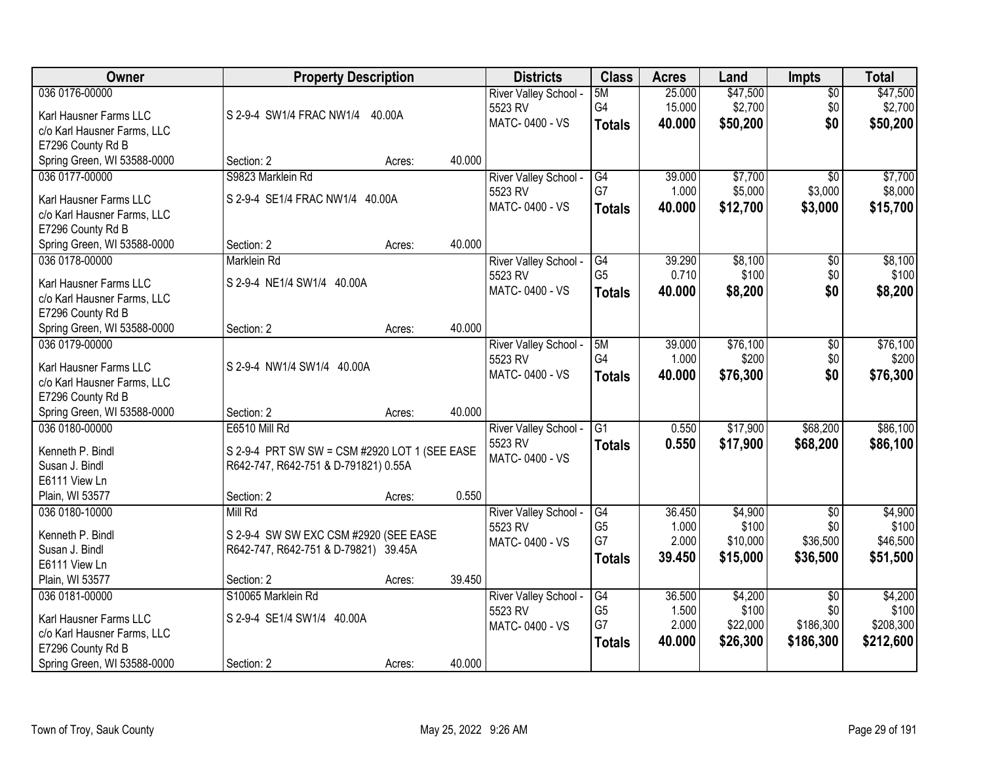| 036 0176-00000<br>5M<br>\$47,500<br>25.000                                                                                    |           |
|-------------------------------------------------------------------------------------------------------------------------------|-----------|
| $\sqrt{$0}$<br>River Valley School -                                                                                          | \$47,500  |
| G4<br>\$2,700<br>15.000<br>\$0<br>5523 RV<br>Karl Hausner Farms LLC<br>S 2-9-4 SW1/4 FRAC NW1/4<br>40.00A                     | \$2,700   |
| MATC-0400 - VS<br>\$50,200<br>\$0<br>40.000<br><b>Totals</b><br>c/o Karl Hausner Farms, LLC                                   | \$50,200  |
| E7296 County Rd B                                                                                                             |           |
| 40.000<br>Spring Green, WI 53588-0000<br>Section: 2<br>Acres:                                                                 |           |
| \$7,700<br>036 0177-00000<br>S9823 Marklein Rd<br>39.000<br>River Valley School -<br>G4<br>$\overline{50}$                    | \$7,700   |
| G7<br>1.000<br>\$5,000<br>\$3,000<br>5523 RV<br>Karl Hausner Farms LLC<br>S 2-9-4 SE1/4 FRAC NW1/4 40.00A                     | \$8,000   |
| MATC-0400 - VS<br>40.000<br>\$12,700<br>\$3,000<br><b>Totals</b><br>c/o Karl Hausner Farms, LLC                               | \$15,700  |
| E7296 County Rd B                                                                                                             |           |
| 40.000<br>Spring Green, WI 53588-0000<br>Section: 2<br>Acres:                                                                 |           |
| \$8,100<br>036 0178-00000<br>G4<br>39.290<br><b>Marklein Rd</b><br>River Valley School -<br>\$0                               | \$8,100   |
| G <sub>5</sub><br>0.710<br>\$100<br>\$0<br>5523 RV                                                                            | \$100     |
| S 2-9-4 NE1/4 SW1/4 40.00A<br>Karl Hausner Farms LLC<br>MATC-0400 - VS<br>40.000<br>\$8,200<br>\$0<br><b>Totals</b>           | \$8,200   |
| c/o Karl Hausner Farms, LLC                                                                                                   |           |
| E7296 County Rd B<br>40.000<br>Section: 2                                                                                     |           |
| Spring Green, WI 53588-0000<br>Acres:<br>036 0179-00000<br>\$76,100<br>River Valley School -<br>5M<br>39.000                  | \$76,100  |
| \$0<br>G4<br>\$200<br>\$0<br>1.000<br>5523 RV                                                                                 | \$200     |
| S 2-9-4 NW1/4 SW1/4 40.00A<br>Karl Hausner Farms LLC<br>\$0<br>MATC-0400 - VS<br>40.000<br>\$76,300<br><b>Totals</b>          | \$76,300  |
| c/o Karl Hausner Farms, LLC                                                                                                   |           |
| E7296 County Rd B                                                                                                             |           |
| 40.000<br>Spring Green, WI 53588-0000<br>Section: 2<br>Acres:                                                                 |           |
| $\overline{G1}$<br>\$17,900<br>\$68,200<br>036 0180-00000<br><b>E6510 Mill Rd</b><br>0.550<br>River Valley School -           | \$86,100  |
| 5523 RV<br>0.550<br>\$17,900<br>\$68,200<br>Totals<br>Kenneth P. Bindl<br>S 2-9-4 PRT SW SW = CSM #2920 LOT 1 (SEE EASE       | \$86,100  |
| MATC-0400 - VS<br>Susan J. Bindl<br>R642-747, R642-751 & D-791821) 0.55A                                                      |           |
| E6111 View Ln                                                                                                                 |           |
| 0.550<br>Plain, WI 53577<br>Section: 2<br>Acres:                                                                              |           |
| G4<br>036 0180-10000<br>Mill Rd<br>36.450<br>\$4,900<br>$\overline{50}$<br>River Valley School -                              | \$4,900   |
| G <sub>5</sub><br>1.000<br>\$100<br>\$0<br>5523 RV<br>Kenneth P. Bindl<br>S 2-9-4 SW SW EXC CSM #2920 (SEE EASE               | \$100     |
| G7<br>\$10,000<br>\$36,500<br>2.000<br>MATC-0400 - VS<br>Susan J. Bindl<br>R642-747, R642-751 & D-79821) 39.45A               | \$46,500  |
| 39,450<br>\$15,000<br>\$36,500<br><b>Totals</b><br>E6111 View Ln                                                              | \$51,500  |
| Plain, WI 53577<br>39.450<br>Section: 2<br>Acres:                                                                             |           |
| S10065 Marklein Rd<br>36.500<br>\$4,200<br>036 0181-00000<br><b>River Valley School</b><br>$\overline{G4}$<br>$\overline{30}$ | \$4,200   |
| G <sub>5</sub><br>1.500<br>\$100<br>\$0<br>5523 RV<br>Karl Hausner Farms LLC<br>S 2-9-4 SE1/4 SW1/4 40.00A                    | \$100     |
| G7<br>2.000<br>\$22,000<br>\$186,300<br>MATC-0400 - VS<br>c/o Karl Hausner Farms, LLC                                         | \$208,300 |
| \$26,300<br>40.000<br>\$186,300<br><b>Totals</b><br>E7296 County Rd B                                                         | \$212,600 |
| 40.000<br>Spring Green, WI 53588-0000<br>Section: 2<br>Acres:                                                                 |           |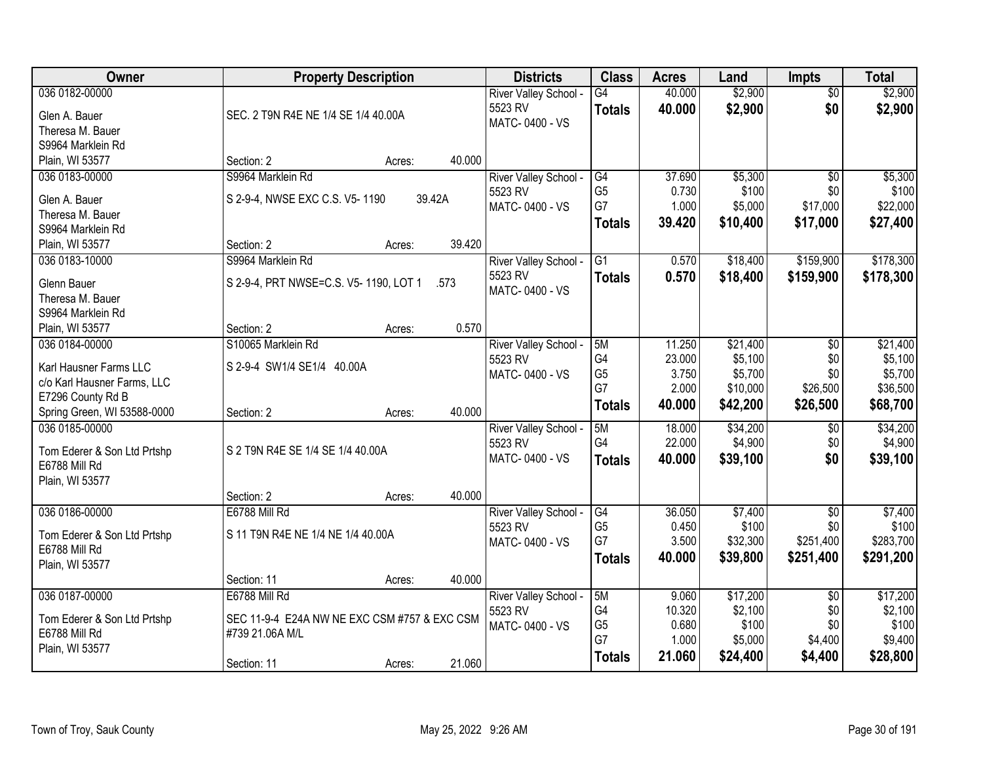| Owner                                 | <b>Property Description</b>                  |        |        | <b>Districts</b>                 | <b>Class</b>    | <b>Acres</b> | Land     | <b>Impts</b>    | <b>Total</b> |
|---------------------------------------|----------------------------------------------|--------|--------|----------------------------------|-----------------|--------------|----------|-----------------|--------------|
| 036 0182-00000                        |                                              |        |        | River Valley School -            | $\overline{G4}$ | 40.000       | \$2,900  | $\overline{50}$ | \$2,900      |
| Glen A. Bauer                         | SEC. 2 T9N R4E NE 1/4 SE 1/4 40.00A          |        |        | 5523 RV                          | <b>Totals</b>   | 40.000       | \$2,900  | \$0             | \$2,900      |
| Theresa M. Bauer                      |                                              |        |        | MATC-0400 - VS                   |                 |              |          |                 |              |
| S9964 Marklein Rd                     |                                              |        |        |                                  |                 |              |          |                 |              |
| Plain, WI 53577                       | Section: 2                                   | Acres: | 40.000 |                                  |                 |              |          |                 |              |
| 036 0183-00000                        | S9964 Marklein Rd                            |        |        | River Valley School -            | G4              | 37.690       | \$5,300  | $\overline{50}$ | \$5,300      |
|                                       |                                              |        | 39.42A | 5523 RV                          | G <sub>5</sub>  | 0.730        | \$100    | \$0             | \$100        |
| Glen A. Bauer                         | S 2-9-4, NWSE EXC C.S. V5-1190               |        |        | MATC-0400 - VS                   | G7              | 1.000        | \$5,000  | \$17,000        | \$22,000     |
| Theresa M. Bauer<br>S9964 Marklein Rd |                                              |        |        |                                  | <b>Totals</b>   | 39.420       | \$10,400 | \$17,000        | \$27,400     |
| Plain, WI 53577                       | Section: 2                                   | Acres: | 39.420 |                                  |                 |              |          |                 |              |
| 036 0183-10000                        | S9964 Marklein Rd                            |        |        | River Valley School -            | G1              | 0.570        | \$18,400 | \$159,900       | \$178,300    |
|                                       |                                              |        |        | 5523 RV                          |                 |              |          |                 |              |
| Glenn Bauer                           | S 2-9-4, PRT NWSE=C.S. V5-1190, LOT 1        |        | .573   | MATC-0400 - VS                   | <b>Totals</b>   | 0.570        | \$18,400 | \$159,900       | \$178,300    |
| Theresa M. Bauer                      |                                              |        |        |                                  |                 |              |          |                 |              |
| S9964 Marklein Rd                     |                                              |        |        |                                  |                 |              |          |                 |              |
| Plain, WI 53577                       | Section: 2                                   | Acres: | 0.570  |                                  |                 |              |          |                 |              |
| 036 0184-00000                        | S10065 Marklein Rd                           |        |        | River Valley School -            | 5M              | 11.250       | \$21,400 | \$0             | \$21,400     |
| Karl Hausner Farms LLC                | S 2-9-4 SW1/4 SE1/4 40.00A                   |        |        | 5523 RV                          | G4              | 23.000       | \$5,100  | \$0             | \$5,100      |
| c/o Karl Hausner Farms, LLC           |                                              |        |        | MATC-0400 - VS                   | G <sub>5</sub>  | 3.750        | \$5,700  | \$0             | \$5,700      |
| E7296 County Rd B                     |                                              |        |        |                                  | G7              | 2.000        | \$10,000 | \$26,500        | \$36,500     |
| Spring Green, WI 53588-0000           | Section: 2                                   | Acres: | 40.000 |                                  | <b>Totals</b>   | 40.000       | \$42,200 | \$26,500        | \$68,700     |
| 036 0185-00000                        |                                              |        |        | River Valley School -            | 5M              | 18.000       | \$34,200 | \$0             | \$34,200     |
|                                       |                                              |        |        | 5523 RV                          | G <sub>4</sub>  | 22.000       | \$4,900  | \$0             | \$4,900      |
| Tom Ederer & Son Ltd Prtshp           | S 2 T9N R4E SE 1/4 SE 1/4 40.00A             |        |        | MATC-0400 - VS                   | <b>Totals</b>   | 40.000       | \$39,100 | \$0             | \$39,100     |
| E6788 Mill Rd                         |                                              |        |        |                                  |                 |              |          |                 |              |
| Plain, WI 53577                       | Section: 2                                   | Acres: | 40.000 |                                  |                 |              |          |                 |              |
| 036 0186-00000                        | E6788 Mill Rd                                |        |        |                                  | G4              | 36.050       | \$7,400  | $\sqrt{$0}$     | \$7,400      |
|                                       |                                              |        |        | River Valley School -<br>5523 RV | G <sub>5</sub>  | 0.450        | \$100    | \$0             | \$100        |
| Tom Ederer & Son Ltd Prtshp           | S 11 T9N R4E NE 1/4 NE 1/4 40.00A            |        |        | MATC-0400 - VS                   | G7              | 3.500        | \$32,300 | \$251,400       | \$283,700    |
| E6788 Mill Rd                         |                                              |        |        |                                  | <b>Totals</b>   | 40.000       | \$39,800 | \$251,400       | \$291,200    |
| Plain, WI 53577                       |                                              |        |        |                                  |                 |              |          |                 |              |
|                                       | Section: 11                                  | Acres: | 40.000 |                                  |                 |              |          |                 |              |
| 036 0187-00000                        | E6788 Mill Rd                                |        |        | River Valley School -            | 5M              | 9.060        | \$17,200 | $\overline{50}$ | \$17,200     |
| Tom Ederer & Son Ltd Prtshp           | SEC 11-9-4 E24A NW NE EXC CSM #757 & EXC CSM |        |        | 5523 RV                          | G4              | 10.320       | \$2,100  | \$0             | \$2,100      |
| E6788 Mill Rd                         | #739 21.06A M/L                              |        |        | MATC-0400 - VS                   | G <sub>5</sub>  | 0.680        | \$100    | \$0             | \$100        |
| Plain, WI 53577                       |                                              |        |        |                                  | G7              | 1.000        | \$5,000  | \$4,400         | \$9,400      |
|                                       | Section: 11                                  | Acres: | 21.060 |                                  | <b>Totals</b>   | 21.060       | \$24,400 | \$4,400         | \$28,800     |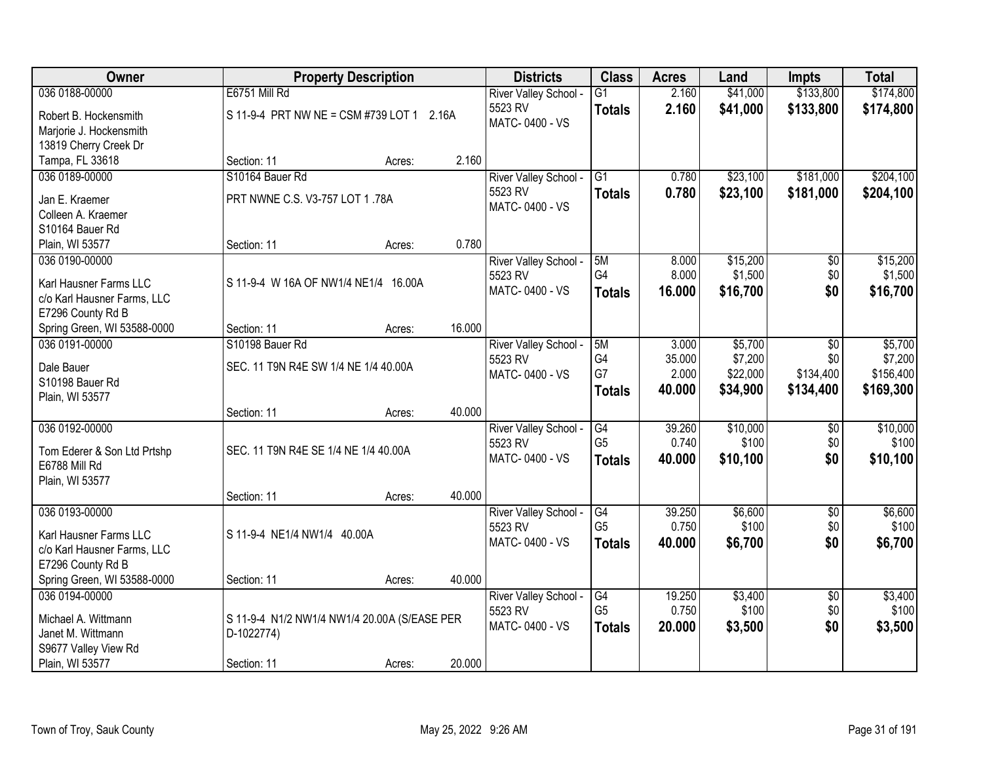| <b>Owner</b>                |                                              | <b>Property Description</b> |        | <b>Districts</b>      | <b>Class</b>    | <b>Acres</b> | Land     | <b>Impts</b>    | <b>Total</b> |
|-----------------------------|----------------------------------------------|-----------------------------|--------|-----------------------|-----------------|--------------|----------|-----------------|--------------|
| 036 0188-00000              | E6751 Mill Rd                                |                             |        | River Valley School - | $\overline{G1}$ | 2.160        | \$41,000 | \$133,800       | \$174,800    |
| Robert B. Hockensmith       | S 11-9-4 PRT NW NE = CSM #739 LOT 1 2.16A    |                             |        | 5523 RV               | <b>Totals</b>   | 2.160        | \$41,000 | \$133,800       | \$174,800    |
| Marjorie J. Hockensmith     |                                              |                             |        | MATC-0400 - VS        |                 |              |          |                 |              |
| 13819 Cherry Creek Dr       |                                              |                             |        |                       |                 |              |          |                 |              |
| Tampa, FL 33618             | Section: 11                                  | Acres:                      | 2.160  |                       |                 |              |          |                 |              |
| 036 0189-00000              | S10164 Bauer Rd                              |                             |        | River Valley School - | $\overline{G1}$ | 0.780        | \$23,100 | \$181,000       | \$204,100    |
| Jan E. Kraemer              | PRT NWNE C.S. V3-757 LOT 1.78A               |                             |        | 5523 RV               | <b>Totals</b>   | 0.780        | \$23,100 | \$181,000       | \$204,100    |
| Colleen A. Kraemer          |                                              |                             |        | MATC-0400 - VS        |                 |              |          |                 |              |
| S10164 Bauer Rd             |                                              |                             |        |                       |                 |              |          |                 |              |
| Plain, WI 53577             | Section: 11                                  | Acres:                      | 0.780  |                       |                 |              |          |                 |              |
| 036 0190-00000              |                                              |                             |        | River Valley School - | 5M              | 8.000        | \$15,200 | $\overline{50}$ | \$15,200     |
| Karl Hausner Farms LLC      | S 11-9-4 W 16A OF NW1/4 NE1/4 16.00A         |                             |        | 5523 RV               | G <sub>4</sub>  | 8.000        | \$1,500  | \$0             | \$1,500      |
| c/o Karl Hausner Farms, LLC |                                              |                             |        | MATC-0400 - VS        | <b>Totals</b>   | 16.000       | \$16,700 | \$0             | \$16,700     |
| E7296 County Rd B           |                                              |                             |        |                       |                 |              |          |                 |              |
| Spring Green, WI 53588-0000 | Section: 11                                  | Acres:                      | 16.000 |                       |                 |              |          |                 |              |
| 036 0191-00000              | S10198 Bauer Rd                              |                             |        | River Valley School - | 5M              | 3.000        | \$5,700  | \$0             | \$5,700      |
| Dale Bauer                  | SEC. 11 T9N R4E SW 1/4 NE 1/4 40.00A         |                             |        | 5523 RV               | G4              | 35.000       | \$7,200  | \$0             | \$7,200      |
| S10198 Bauer Rd             |                                              |                             |        | MATC-0400 - VS        | G7              | 2.000        | \$22,000 | \$134,400       | \$156,400    |
| Plain, WI 53577             |                                              |                             |        |                       | <b>Totals</b>   | 40.000       | \$34,900 | \$134,400       | \$169,300    |
|                             | Section: 11                                  | Acres:                      | 40.000 |                       |                 |              |          |                 |              |
| 036 0192-00000              |                                              |                             |        | River Valley School - | $\overline{G4}$ | 39.260       | \$10,000 | $\overline{50}$ | \$10,000     |
| Tom Ederer & Son Ltd Prtshp | SEC. 11 T9N R4E SE 1/4 NE 1/4 40.00A         |                             |        | 5523 RV               | G <sub>5</sub>  | 0.740        | \$100    | \$0             | \$100        |
| E6788 Mill Rd               |                                              |                             |        | MATC-0400 - VS        | <b>Totals</b>   | 40.000       | \$10,100 | \$0             | \$10,100     |
| Plain, WI 53577             |                                              |                             |        |                       |                 |              |          |                 |              |
|                             | Section: 11                                  | Acres:                      | 40.000 |                       |                 |              |          |                 |              |
| 036 0193-00000              |                                              |                             |        | River Valley School - | G4              | 39.250       | \$6,600  | $\overline{60}$ | \$6,600      |
| Karl Hausner Farms LLC      | S 11-9-4 NE1/4 NW1/4 40.00A                  |                             |        | 5523 RV               | G <sub>5</sub>  | 0.750        | \$100    | \$0             | \$100        |
| c/o Karl Hausner Farms, LLC |                                              |                             |        | MATC-0400 - VS        | <b>Totals</b>   | 40.000       | \$6,700  | \$0             | \$6,700      |
| E7296 County Rd B           |                                              |                             |        |                       |                 |              |          |                 |              |
| Spring Green, WI 53588-0000 | Section: 11                                  | Acres:                      | 40.000 |                       |                 |              |          |                 |              |
| 036 0194-00000              |                                              |                             |        | River Valley School - | G4              | 19.250       | \$3,400  | $\overline{50}$ | \$3,400      |
| Michael A. Wittmann         | S 11-9-4 N1/2 NW1/4 NW1/4 20.00A (S/EASE PER |                             |        | 5523 RV               | G <sub>5</sub>  | 0.750        | \$100    | \$0             | \$100        |
| Janet M. Wittmann           | D-1022774)                                   |                             |        | MATC-0400 - VS        | <b>Totals</b>   | 20.000       | \$3,500  | \$0             | \$3,500      |
| S9677 Valley View Rd        |                                              |                             |        |                       |                 |              |          |                 |              |
| Plain, WI 53577             | Section: 11                                  | Acres:                      | 20.000 |                       |                 |              |          |                 |              |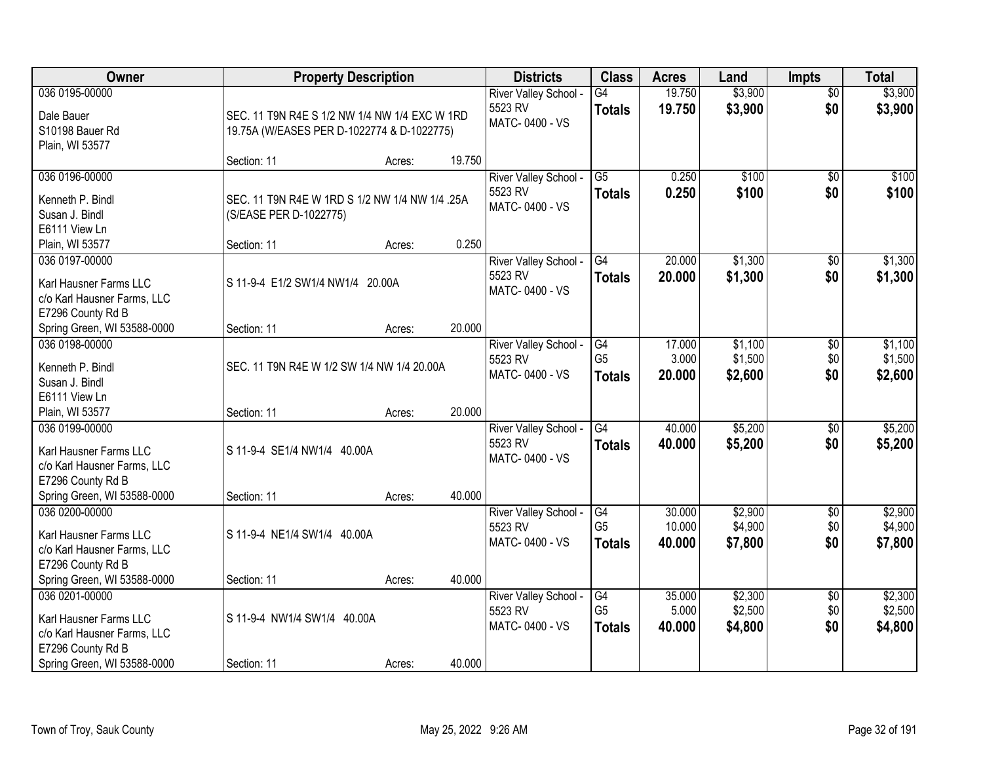| Owner                                                                                                                       | <b>Property Description</b>                                                                 |        |        | <b>Districts</b>                                   | <b>Class</b>                                       | <b>Acres</b>               | Land                          | <b>Impts</b>                  | <b>Total</b>                  |
|-----------------------------------------------------------------------------------------------------------------------------|---------------------------------------------------------------------------------------------|--------|--------|----------------------------------------------------|----------------------------------------------------|----------------------------|-------------------------------|-------------------------------|-------------------------------|
| 036 0195-00000<br>Dale Bauer<br>S10198 Bauer Rd<br>Plain, WI 53577                                                          | SEC. 11 T9N R4E S 1/2 NW 1/4 NW 1/4 EXC W 1RD<br>19.75A (W/EASES PER D-1022774 & D-1022775) |        |        | River Valley School -<br>5523 RV<br>MATC-0400 - VS | $\overline{G4}$<br><b>Totals</b>                   | 19.750<br>19.750           | \$3,900<br>\$3,900            | $\overline{50}$<br>\$0        | \$3,900<br>\$3,900            |
|                                                                                                                             | Section: 11                                                                                 | Acres: | 19.750 |                                                    |                                                    |                            |                               |                               |                               |
| 036 0196-00000<br>Kenneth P. Bindl<br>Susan J. Bindl<br>E6111 View Ln                                                       | SEC. 11 T9N R4E W 1RD S 1/2 NW 1/4 NW 1/4.25A<br>(S/EASE PER D-1022775)                     |        |        | River Valley School -<br>5523 RV<br>MATC-0400 - VS | $\overline{G5}$<br><b>Totals</b>                   | 0.250<br>0.250             | \$100<br>\$100                | $\overline{50}$<br>\$0        | \$100<br>\$100                |
| Plain, WI 53577                                                                                                             | Section: 11                                                                                 | Acres: | 0.250  |                                                    |                                                    |                            |                               |                               |                               |
| 036 0197-00000<br>Karl Hausner Farms LLC<br>c/o Karl Hausner Farms, LLC<br>E7296 County Rd B                                | S 11-9-4 E1/2 SW1/4 NW1/4 20.00A                                                            |        |        | River Valley School -<br>5523 RV<br>MATC-0400 - VS | G4<br><b>Totals</b>                                | 20.000<br>20.000           | \$1,300<br>\$1,300            | $\sqrt[6]{}$<br>\$0           | \$1,300<br>\$1,300            |
| Spring Green, WI 53588-0000                                                                                                 | Section: 11                                                                                 | Acres: | 20.000 |                                                    |                                                    |                            |                               |                               |                               |
| 036 0198-00000<br>Kenneth P. Bindl<br>Susan J. Bindl<br>E6111 View Ln                                                       | SEC. 11 T9N R4E W 1/2 SW 1/4 NW 1/4 20.00A                                                  |        |        | River Valley School -<br>5523 RV<br>MATC-0400 - VS | $\overline{G4}$<br>G <sub>5</sub><br><b>Totals</b> | 17.000<br>3.000<br>20.000  | \$1,100<br>\$1,500<br>\$2,600 | \$0<br>\$0<br>\$0             | \$1,100<br>\$1,500<br>\$2,600 |
| Plain, WI 53577                                                                                                             | Section: 11                                                                                 | Acres: | 20.000 |                                                    |                                                    |                            |                               |                               |                               |
| 036 0199-00000<br>Karl Hausner Farms LLC<br>c/o Karl Hausner Farms, LLC<br>E7296 County Rd B<br>Spring Green, WI 53588-0000 | S 11-9-4 SE1/4 NW1/4 40.00A<br>Section: 11                                                  | Acres: | 40.000 | River Valley School -<br>5523 RV<br>MATC-0400 - VS | $\overline{G4}$<br>Totals                          | 40.000<br>40.000           | \$5,200<br>\$5,200            | \$0<br>\$0                    | \$5,200<br>\$5,200            |
| 036 0200-00000<br>Karl Hausner Farms LLC<br>c/o Karl Hausner Farms, LLC<br>E7296 County Rd B                                | S 11-9-4 NE1/4 SW1/4 40.00A                                                                 |        | 40.000 | River Valley School -<br>5523 RV<br>MATC-0400 - VS | G4<br>G <sub>5</sub><br><b>Totals</b>              | 30.000<br>10.000<br>40.000 | \$2,900<br>\$4,900<br>\$7,800 | $\overline{$0}$<br>\$0<br>\$0 | \$2,900<br>\$4,900<br>\$7,800 |
| Spring Green, WI 53588-0000<br>036 0201-00000                                                                               | Section: 11                                                                                 | Acres: |        | River Valley School -                              | G4                                                 | 35.000                     | \$2,300                       | $\overline{60}$               | \$2,300                       |
| Karl Hausner Farms LLC<br>c/o Karl Hausner Farms, LLC<br>E7296 County Rd B                                                  | S 11-9-4 NW1/4 SW1/4 40.00A                                                                 |        |        | 5523 RV<br>MATC-0400 - VS                          | G <sub>5</sub><br><b>Totals</b>                    | 5.000<br>40.000            | \$2,500<br>\$4,800            | \$0<br>\$0                    | \$2,500<br>\$4,800            |
| Spring Green, WI 53588-0000                                                                                                 | Section: 11                                                                                 | Acres: | 40.000 |                                                    |                                                    |                            |                               |                               |                               |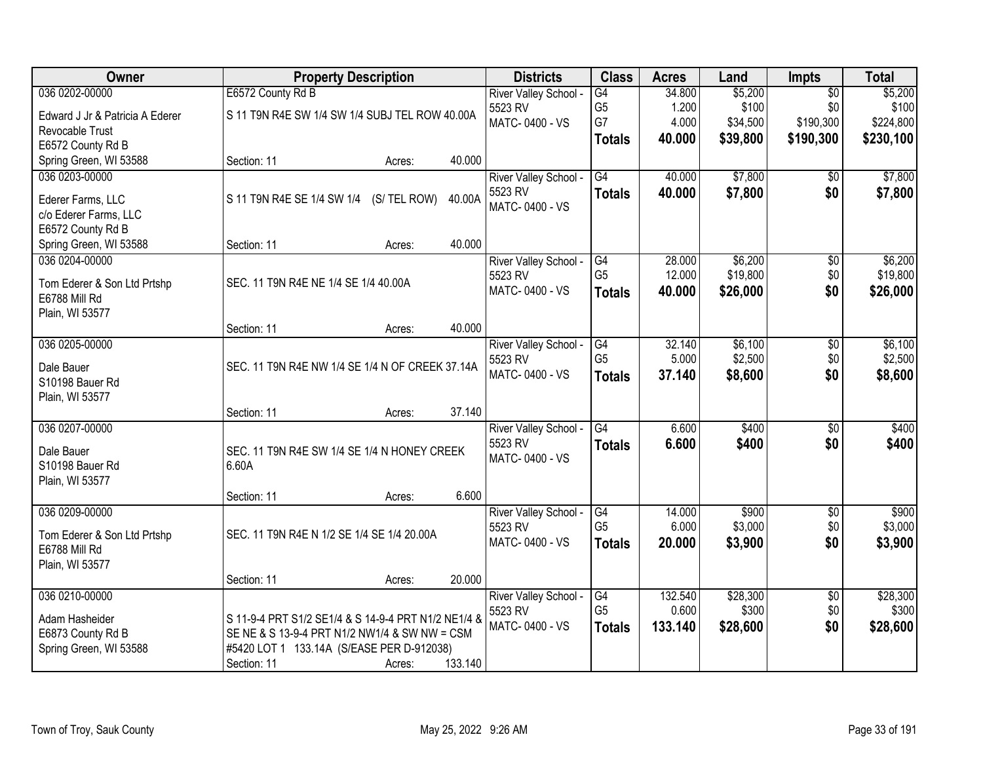| <b>Owner</b>                    | <b>Property Description</b>                         |              |         | <b>Districts</b>      | <b>Class</b>    | <b>Acres</b> | Land     | <b>Impts</b>    | <b>Total</b> |
|---------------------------------|-----------------------------------------------------|--------------|---------|-----------------------|-----------------|--------------|----------|-----------------|--------------|
| 036 0202-00000                  | E6572 County Rd B                                   |              |         | River Valley School - | $\overline{G4}$ | 34.800       | \$5,200  | $\overline{50}$ | \$5,200      |
| Edward J Jr & Patricia A Ederer | S 11 T9N R4E SW 1/4 SW 1/4 SUBJ TEL ROW 40.00A      |              |         | 5523 RV               | G <sub>5</sub>  | 1.200        | \$100    | \$0             | \$100        |
| Revocable Trust                 |                                                     |              |         | MATC-0400 - VS        | G7              | 4.000        | \$34,500 | \$190,300       | \$224,800    |
| E6572 County Rd B               |                                                     |              |         |                       | <b>Totals</b>   | 40.000       | \$39,800 | \$190,300       | \$230,100    |
| Spring Green, WI 53588          | Section: 11                                         | Acres:       | 40.000  |                       |                 |              |          |                 |              |
| 036 0203-00000                  |                                                     |              |         | River Valley School - | G4              | 40.000       | \$7,800  | \$0             | \$7,800      |
| Ederer Farms, LLC               | S 11 T9N R4E SE 1/4 SW 1/4                          | (S/ TEL ROW) | 40.00A  | 5523 RV               | <b>Totals</b>   | 40.000       | \$7,800  | \$0             | \$7,800      |
| c/o Ederer Farms, LLC           |                                                     |              |         | MATC-0400 - VS        |                 |              |          |                 |              |
| E6572 County Rd B               |                                                     |              |         |                       |                 |              |          |                 |              |
| Spring Green, WI 53588          | Section: 11                                         | Acres:       | 40.000  |                       |                 |              |          |                 |              |
| 036 0204-00000                  |                                                     |              |         | River Valley School - | G4              | 28.000       | \$6,200  | \$0             | \$6,200      |
| Tom Ederer & Son Ltd Prtshp     | SEC. 11 T9N R4E NE 1/4 SE 1/4 40.00A                |              |         | 5523 RV               | G <sub>5</sub>  | 12.000       | \$19,800 | \$0             | \$19,800     |
| E6788 Mill Rd                   |                                                     |              |         | MATC-0400 - VS        | <b>Totals</b>   | 40.000       | \$26,000 | \$0             | \$26,000     |
| Plain, WI 53577                 |                                                     |              |         |                       |                 |              |          |                 |              |
|                                 | Section: 11                                         | Acres:       | 40.000  |                       |                 |              |          |                 |              |
| 036 0205-00000                  |                                                     |              |         | River Valley School - | G4              | 32.140       | \$6,100  | \$0             | \$6,100      |
| Dale Bauer                      | SEC. 11 T9N R4E NW 1/4 SE 1/4 N OF CREEK 37.14A     |              |         | 5523 RV               | G <sub>5</sub>  | 5.000        | \$2,500  | \$0             | \$2,500      |
| S10198 Bauer Rd                 |                                                     |              |         | MATC-0400 - VS        | <b>Totals</b>   | 37.140       | \$8,600  | \$0             | \$8,600      |
| Plain, WI 53577                 |                                                     |              |         |                       |                 |              |          |                 |              |
|                                 | Section: 11                                         | Acres:       | 37.140  |                       |                 |              |          |                 |              |
| 036 0207-00000                  |                                                     |              |         | River Valley School - | G4              | 6.600        | \$400    | $\overline{50}$ | \$400        |
| Dale Bauer                      | SEC. 11 T9N R4E SW 1/4 SE 1/4 N HONEY CREEK         |              |         | 5523 RV               | <b>Totals</b>   | 6.600        | \$400    | \$0             | \$400        |
| S10198 Bauer Rd                 | 6.60A                                               |              |         | MATC-0400 - VS        |                 |              |          |                 |              |
| Plain, WI 53577                 |                                                     |              |         |                       |                 |              |          |                 |              |
|                                 | Section: 11                                         | Acres:       | 6.600   |                       |                 |              |          |                 |              |
| 036 0209-00000                  |                                                     |              |         | River Valley School - | G4              | 14.000       | \$900    | $\overline{60}$ | \$900        |
| Tom Ederer & Son Ltd Prtshp     | SEC. 11 T9N R4E N 1/2 SE 1/4 SE 1/4 20.00A          |              |         | 5523 RV               | G <sub>5</sub>  | 6.000        | \$3,000  | \$0             | \$3,000      |
| E6788 Mill Rd                   |                                                     |              |         | MATC-0400 - VS        | <b>Totals</b>   | 20.000       | \$3,900  | \$0             | \$3,900      |
| Plain, WI 53577                 |                                                     |              |         |                       |                 |              |          |                 |              |
|                                 | Section: 11                                         | Acres:       | 20.000  |                       |                 |              |          |                 |              |
| 036 0210-00000                  |                                                     |              |         | River Valley School - | G4              | 132.540      | \$28,300 | $\overline{50}$ | \$28,300     |
| Adam Hasheider                  | S 11-9-4 PRT S1/2 SE1/4 & S 14-9-4 PRT N1/2 NE1/4 & |              |         | 5523 RV               | G <sub>5</sub>  | 0.600        | \$300    | \$0             | \$300        |
| E6873 County Rd B               | SE NE & S 13-9-4 PRT N1/2 NW1/4 & SW NW = CSM       |              |         | MATC-0400 - VS        | <b>Totals</b>   | 133.140      | \$28,600 | \$0             | \$28,600     |
| Spring Green, WI 53588          | #5420 LOT 1 133.14A (S/EASE PER D-912038)           |              |         |                       |                 |              |          |                 |              |
|                                 | Section: 11                                         | Acres:       | 133.140 |                       |                 |              |          |                 |              |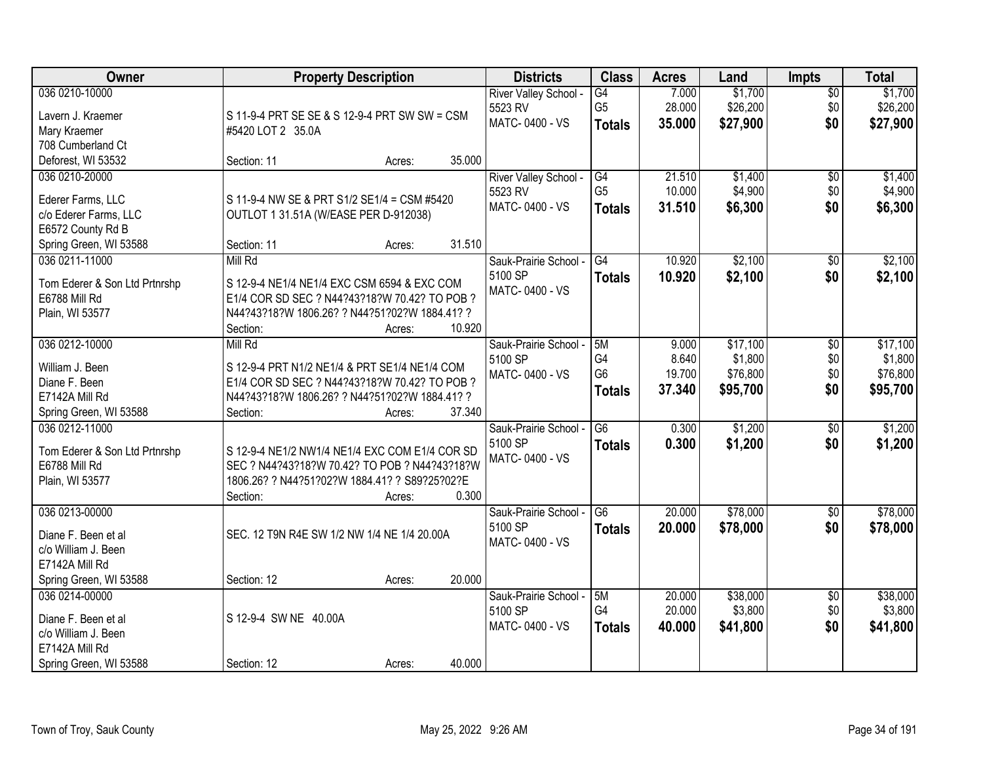| Owner                               | <b>Property Description</b>                    |        |        | <b>Districts</b>                 | <b>Class</b>                      | <b>Acres</b>    | Land                | <b>Impts</b>           | <b>Total</b>        |
|-------------------------------------|------------------------------------------------|--------|--------|----------------------------------|-----------------------------------|-----------------|---------------------|------------------------|---------------------|
| 036 0210-10000<br>Lavern J. Kraemer | S 11-9-4 PRT SE SE & S 12-9-4 PRT SW SW = CSM  |        |        | River Valley School -<br>5523 RV | $\overline{G4}$<br>G <sub>5</sub> | 7.000<br>28.000 | \$1,700<br>\$26,200 | $\overline{50}$<br>\$0 | \$1,700<br>\$26,200 |
| Mary Kraemer                        | #5420 LOT 2 35.0A                              |        |        | MATC-0400 - VS                   | <b>Totals</b>                     | 35.000          | \$27,900            | \$0                    | \$27,900            |
| 708 Cumberland Ct                   |                                                |        |        |                                  |                                   |                 |                     |                        |                     |
| Deforest, WI 53532                  | Section: 11                                    | Acres: | 35.000 |                                  |                                   |                 |                     |                        |                     |
| 036 0210-20000                      |                                                |        |        | River Valley School -            | G4                                | 21.510          | \$1,400             | $\overline{50}$        | \$1,400             |
|                                     |                                                |        |        | 5523 RV                          | G <sub>5</sub>                    | 10.000          | \$4,900             | \$0                    | \$4,900             |
| Ederer Farms, LLC                   | S 11-9-4 NW SE & PRT S1/2 SE1/4 = CSM #5420    |        |        | MATC-0400 - VS                   |                                   | 31.510          | \$6,300             | \$0                    | \$6,300             |
| c/o Ederer Farms, LLC               | OUTLOT 1 31.51A (W/EASE PER D-912038)          |        |        |                                  | <b>Totals</b>                     |                 |                     |                        |                     |
| E6572 County Rd B                   |                                                |        |        |                                  |                                   |                 |                     |                        |                     |
| Spring Green, WI 53588              | Section: 11                                    | Acres: | 31.510 |                                  |                                   |                 |                     |                        |                     |
| 036 0211-11000                      | Mill Rd                                        |        |        | Sauk-Prairie School -            | G4                                | 10.920          | \$2,100             | \$0                    | \$2,100             |
| Tom Ederer & Son Ltd Prtnrshp       | S 12-9-4 NE1/4 NE1/4 EXC CSM 6594 & EXC COM    |        |        | 5100 SP                          | <b>Totals</b>                     | 10.920          | \$2,100             | \$0                    | \$2,100             |
| E6788 Mill Rd                       | E1/4 COR SD SEC ? N44?43?18?W 70.42? TO POB ?  |        |        | MATC-0400 - VS                   |                                   |                 |                     |                        |                     |
| Plain, WI 53577                     | N44?43?18?W 1806.26? ? N44?51?02?W 1884.41? ?  |        |        |                                  |                                   |                 |                     |                        |                     |
|                                     | Section:                                       | Acres: | 10.920 |                                  |                                   |                 |                     |                        |                     |
| 036 0212-10000                      | Mill Rd                                        |        |        | Sauk-Prairie School -            | 5M                                | 9.000           | \$17,100            | \$0                    | \$17,100            |
|                                     |                                                |        |        | 5100 SP                          | G4                                | 8.640           | \$1,800             | \$0                    | \$1,800             |
| William J. Been                     | S 12-9-4 PRT N1/2 NE1/4 & PRT SE1/4 NE1/4 COM  |        |        | MATC-0400 - VS                   | G <sub>6</sub>                    | 19.700          | \$76,800            | \$0                    | \$76,800            |
| Diane F. Been                       | E1/4 COR SD SEC ? N44?43?18?W 70.42? TO POB ?  |        |        |                                  | <b>Totals</b>                     | 37.340          | \$95,700            | \$0                    | \$95,700            |
| E7142A Mill Rd                      | N44?43?18?W 1806.26? ? N44?51?02?W 1884.41? ?  |        |        |                                  |                                   |                 |                     |                        |                     |
| Spring Green, WI 53588              | Section:                                       | Acres: | 37.340 |                                  |                                   |                 |                     |                        |                     |
| 036 0212-11000                      |                                                |        |        | Sauk-Prairie School -            | $\overline{G6}$                   | 0.300           | \$1,200             | $\overline{50}$        | \$1,200             |
| Tom Ederer & Son Ltd Prtnrshp       | S 12-9-4 NE1/2 NW1/4 NE1/4 EXC COM E1/4 COR SD |        |        | 5100 SP                          | <b>Totals</b>                     | 0.300           | \$1,200             | \$0                    | \$1,200             |
| E6788 Mill Rd                       | SEC ? N44?43?18?W 70.42? TO POB ? N44?43?18?W  |        |        | MATC-0400 - VS                   |                                   |                 |                     |                        |                     |
| Plain, WI 53577                     | 1806.26? ? N44?51?02?W 1884.41? ? S89?25?02?E  |        |        |                                  |                                   |                 |                     |                        |                     |
|                                     | Section:                                       | Acres: | 0.300  |                                  |                                   |                 |                     |                        |                     |
| 036 0213-00000                      |                                                |        |        | Sauk-Prairie School -            | G6                                | 20.000          | \$78,000            | $\sqrt{$0}$            | \$78,000            |
|                                     |                                                |        |        | 5100 SP                          | <b>Totals</b>                     | 20.000          | \$78,000            | \$0                    | \$78,000            |
| Diane F. Been et al                 | SEC. 12 T9N R4E SW 1/2 NW 1/4 NE 1/4 20.00A    |        |        | MATC-0400 - VS                   |                                   |                 |                     |                        |                     |
| c/o William J. Been                 |                                                |        |        |                                  |                                   |                 |                     |                        |                     |
| E7142A Mill Rd                      |                                                |        |        |                                  |                                   |                 |                     |                        |                     |
| Spring Green, WI 53588              | Section: 12                                    | Acres: | 20.000 |                                  |                                   |                 |                     |                        |                     |
| 036 0214-00000                      |                                                |        |        | Sauk-Prairie School -            | 5M                                | 20.000          | \$38,000            | $\overline{50}$        | \$38,000            |
| Diane F. Been et al                 | S 12-9-4 SW NE 40.00A                          |        |        | 5100 SP                          | G4                                | 20.000          | \$3,800             | \$0                    | \$3,800             |
| c/o William J. Been                 |                                                |        |        | MATC-0400 - VS                   | <b>Totals</b>                     | 40.000          | \$41,800            | \$0                    | \$41,800            |
| E7142A Mill Rd                      |                                                |        |        |                                  |                                   |                 |                     |                        |                     |
| Spring Green, WI 53588              | Section: 12                                    | Acres: | 40.000 |                                  |                                   |                 |                     |                        |                     |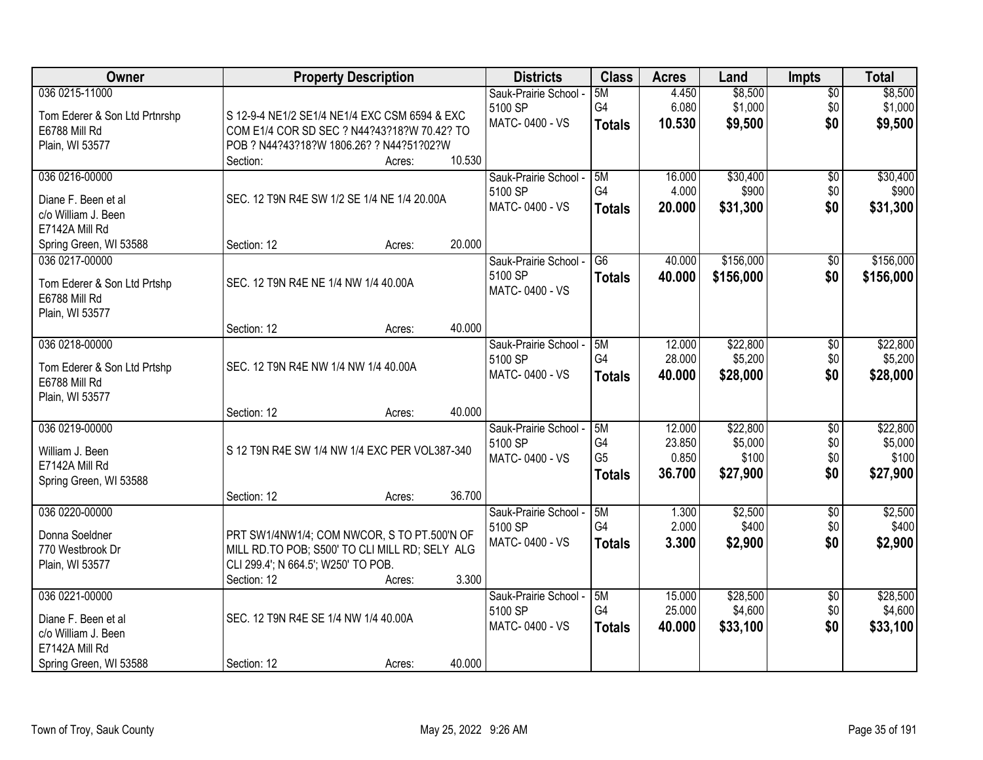| Owner                                                                             | <b>Property Description</b>                                                                                                          | <b>Districts</b>                                   | <b>Class</b>                                | <b>Acres</b>                        | Land                                     | Impts                                | <b>Total</b>                             |
|-----------------------------------------------------------------------------------|--------------------------------------------------------------------------------------------------------------------------------------|----------------------------------------------------|---------------------------------------------|-------------------------------------|------------------------------------------|--------------------------------------|------------------------------------------|
| 036 0215-11000<br>Tom Ederer & Son Ltd Prtnrshp<br>E6788 Mill Rd                  | S 12-9-4 NE1/2 SE1/4 NE1/4 EXC CSM 6594 & EXC<br>COM E1/4 COR SD SEC ? N44?43?18?W 70.42? TO                                         | Sauk-Prairie School -<br>5100 SP<br>MATC-0400 - VS | 5M<br>G4<br><b>Totals</b>                   | 4.450<br>6.080<br>10.530            | \$8,500<br>\$1,000<br>\$9,500            | $\overline{50}$<br>\$0<br>\$0        | \$8,500<br>\$1,000<br>\$9,500            |
| Plain, WI 53577                                                                   | POB ? N44?43?18?W 1806.26? ? N44?51?02?W<br>10.530<br>Section:<br>Acres:                                                             |                                                    |                                             |                                     |                                          |                                      |                                          |
| 036 0216-00000<br>Diane F. Been et al                                             | SEC. 12 T9N R4E SW 1/2 SE 1/4 NE 1/4 20.00A                                                                                          | Sauk-Prairie School -<br>5100 SP<br>MATC-0400 - VS | 5M<br>G4<br><b>Totals</b>                   | 16.000<br>4.000<br>20,000           | \$30,400<br>\$900<br>\$31,300            | $\overline{50}$<br>\$0<br>\$0        | \$30,400<br>\$900<br>\$31,300            |
| c/o William J. Been<br>E7142A Mill Rd<br>Spring Green, WI 53588                   | 20.000<br>Section: 12<br>Acres:                                                                                                      |                                                    |                                             |                                     |                                          |                                      |                                          |
| 036 0217-00000<br>Tom Ederer & Son Ltd Prtshp<br>E6788 Mill Rd<br>Plain, WI 53577 | SEC. 12 T9N R4E NE 1/4 NW 1/4 40.00A                                                                                                 | Sauk-Prairie School -<br>5100 SP<br>MATC-0400 - VS | G <sub>6</sub><br><b>Totals</b>             | 40.000<br>40.000                    | \$156,000<br>\$156,000                   | \$0<br>\$0                           | \$156,000<br>\$156,000                   |
|                                                                                   | 40.000<br>Section: 12<br>Acres:                                                                                                      |                                                    |                                             |                                     |                                          |                                      |                                          |
| 036 0218-00000<br>Tom Ederer & Son Ltd Prtshp<br>E6788 Mill Rd<br>Plain, WI 53577 | SEC. 12 T9N R4E NW 1/4 NW 1/4 40.00A                                                                                                 | Sauk-Prairie School -<br>5100 SP<br>MATC-0400 - VS | 5M<br>G4<br><b>Totals</b>                   | 12.000<br>28.000<br>40.000          | \$22,800<br>\$5,200<br>\$28,000          | \$0<br>\$0<br>\$0                    | \$22,800<br>\$5,200<br>\$28,000          |
|                                                                                   | 40.000<br>Section: 12<br>Acres:                                                                                                      |                                                    |                                             |                                     |                                          |                                      |                                          |
| 036 0219-00000<br>William J. Been<br>E7142A Mill Rd<br>Spring Green, WI 53588     | S 12 T9N R4E SW 1/4 NW 1/4 EXC PER VOL387-340                                                                                        | Sauk-Prairie School -<br>5100 SP<br>MATC-0400 - VS | 5M<br>G4<br>G <sub>5</sub><br><b>Totals</b> | 12.000<br>23.850<br>0.850<br>36.700 | \$22,800<br>\$5,000<br>\$100<br>\$27,900 | $\overline{50}$<br>\$0<br>\$0<br>\$0 | \$22,800<br>\$5,000<br>\$100<br>\$27,900 |
|                                                                                   | 36.700<br>Section: 12<br>Acres:                                                                                                      |                                                    |                                             |                                     |                                          |                                      |                                          |
| 036 0220-00000<br>Donna Soeldner<br>770 Westbrook Dr<br>Plain, WI 53577           | PRT SW1/4NW1/4; COM NWCOR, S TO PT.500'N OF<br>MILL RD.TO POB; S500' TO CLI MILL RD; SELY ALG<br>CLI 299.4'; N 664.5'; W250' TO POB. | Sauk-Prairie School -<br>5100 SP<br>MATC-0400 - VS | 5M<br>G4<br><b>Totals</b>                   | 1.300<br>2.000<br>3.300             | \$2,500<br>\$400<br>\$2,900              | $\overline{50}$<br>\$0<br>\$0        | \$2,500<br>\$400<br>\$2,900              |
| 036 0221-00000                                                                    | 3.300<br>Section: 12<br>Acres:                                                                                                       |                                                    | 5M                                          | 15,000                              | \$28,500                                 |                                      | \$28,500                                 |
| Diane F. Been et al<br>c/o William J. Been<br>E7142A Mill Rd                      | SEC. 12 T9N R4E SE 1/4 NW 1/4 40.00A                                                                                                 | Sauk-Prairie School -<br>5100 SP<br>MATC-0400 - VS | G4<br><b>Totals</b>                         | 25.000<br>40.000                    | \$4,600<br>\$33,100                      | $\overline{50}$<br>\$0<br>\$0        | \$4,600<br>\$33,100                      |
| Spring Green, WI 53588                                                            | 40.000<br>Section: 12<br>Acres:                                                                                                      |                                                    |                                             |                                     |                                          |                                      |                                          |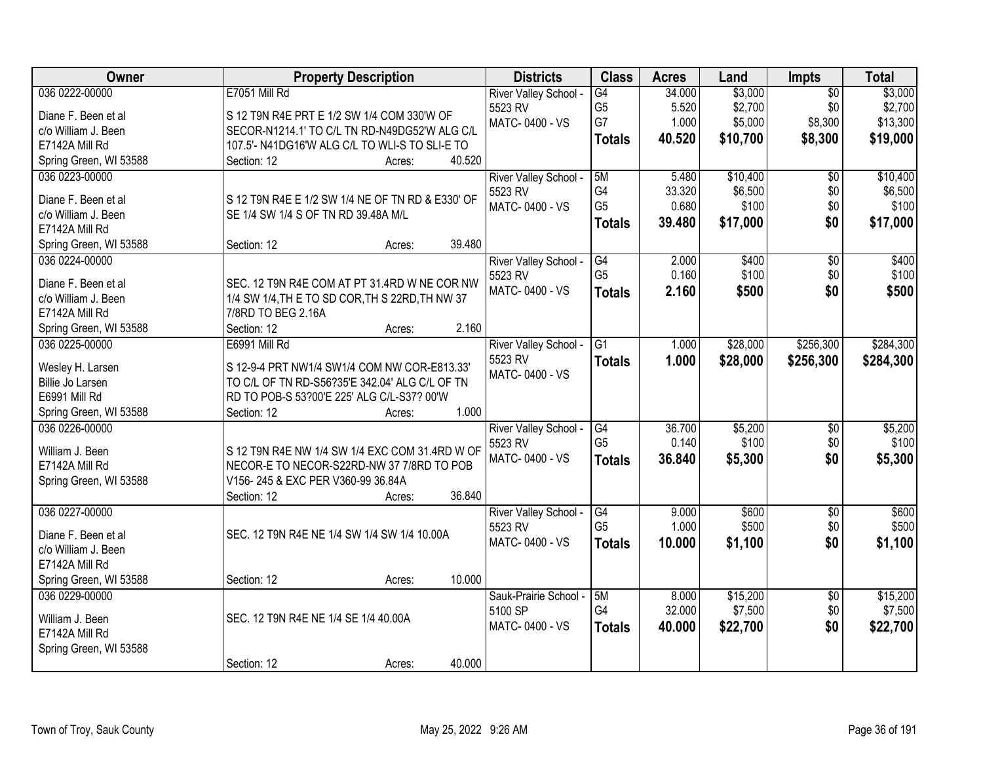| Owner                                | <b>Property Description</b>                                                                    | <b>Districts</b>      | <b>Class</b>    | <b>Acres</b> | Land     | Impts           | <b>Total</b> |
|--------------------------------------|------------------------------------------------------------------------------------------------|-----------------------|-----------------|--------------|----------|-----------------|--------------|
| 036 0222-00000                       | E7051 Mill Rd                                                                                  | River Valley School - | G4              | 34.000       | \$3,000  | $\overline{50}$ | \$3,000      |
| Diane F. Been et al                  | S 12 T9N R4E PRT E 1/2 SW 1/4 COM 330'W OF                                                     | 5523 RV               | G <sub>5</sub>  | 5.520        | \$2,700  | \$0             | \$2,700      |
| c/o William J. Been                  | SECOR-N1214.1' TO C/L TN RD-N49DG52'W ALG C/L                                                  | MATC-0400 - VS        | G7              | 1.000        | \$5,000  | \$8,300         | \$13,300     |
| E7142A Mill Rd                       | 107.5'- N41DG16'W ALG C/L TO WLI-S TO SLI-E TO                                                 |                       | <b>Totals</b>   | 40.520       | \$10,700 | \$8,300         | \$19,000     |
| Spring Green, WI 53588               | 40.520<br>Section: 12<br>Acres:                                                                |                       |                 |              |          |                 |              |
| 036 0223-00000                       |                                                                                                | River Valley School - | 5M              | 5.480        | \$10,400 | $\overline{50}$ | \$10,400     |
|                                      |                                                                                                | 5523 RV               | G4              | 33.320       | \$6,500  | \$0             | \$6,500      |
| Diane F. Been et al                  | S 12 T9N R4E E 1/2 SW 1/4 NE OF TN RD & E330' OF                                               | MATC-0400 - VS        | G <sub>5</sub>  | 0.680        | \$100    | \$0             | \$100        |
| c/o William J. Been                  | SE 1/4 SW 1/4 S OF TN RD 39.48A M/L                                                            |                       | <b>Totals</b>   | 39.480       | \$17,000 | \$0             | \$17,000     |
| E7142A Mill Rd                       |                                                                                                |                       |                 |              |          |                 |              |
| Spring Green, WI 53588               | 39.480<br>Section: 12<br>Acres:                                                                |                       |                 |              |          |                 |              |
| 036 0224-00000                       |                                                                                                | River Valley School - | G4              | 2.000        | \$400    | \$0             | \$400        |
| Diane F. Been et al                  | SEC. 12 T9N R4E COM AT PT 31.4RD W NE COR NW                                                   | 5523 RV               | G <sub>5</sub>  | 0.160        | \$100    | \$0             | \$100        |
| c/o William J. Been                  | 1/4 SW 1/4, TH E TO SD COR, TH S 22RD, TH NW 37                                                | MATC-0400 - VS        | <b>Totals</b>   | 2.160        | \$500    | \$0             | \$500        |
| E7142A Mill Rd                       | 7/8RD TO BEG 2.16A                                                                             |                       |                 |              |          |                 |              |
| Spring Green, WI 53588               | 2.160<br>Section: 12<br>Acres:                                                                 |                       |                 |              |          |                 |              |
| 036 0225-00000                       | E6991 Mill Rd                                                                                  | River Valley School - | $\overline{G1}$ | 1.000        | \$28,000 | \$256,300       | \$284,300    |
|                                      |                                                                                                | 5523 RV               | <b>Totals</b>   | 1.000        | \$28,000 | \$256,300       | \$284,300    |
| Wesley H. Larsen<br>Billie Jo Larsen | S 12-9-4 PRT NW1/4 SW1/4 COM NW COR-E813.33'<br>TO C/L OF TN RD-S56?35'E 342.04' ALG C/L OF TN | MATC-0400 - VS        |                 |              |          |                 |              |
| E6991 Mill Rd                        | RD TO POB-S 53?00'E 225' ALG C/L-S37? 00'W                                                     |                       |                 |              |          |                 |              |
| Spring Green, WI 53588               | 1.000<br>Section: 12<br>Acres:                                                                 |                       |                 |              |          |                 |              |
| 036 0226-00000                       |                                                                                                | River Valley School - | G4              | 36.700       | \$5,200  | $\overline{50}$ | \$5,200      |
|                                      |                                                                                                | 5523 RV               | G <sub>5</sub>  | 0.140        | \$100    | \$0             | \$100        |
| William J. Been                      | S 12 T9N R4E NW 1/4 SW 1/4 EXC COM 31.4RD W OF                                                 | MATC-0400 - VS        | <b>Totals</b>   | 36.840       | \$5,300  | \$0             | \$5,300      |
| E7142A Mill Rd                       | NECOR-E TO NECOR-S22RD-NW 37 7/8RD TO POB                                                      |                       |                 |              |          |                 |              |
| Spring Green, WI 53588               | V156-245 & EXC PER V360-99 36.84A                                                              |                       |                 |              |          |                 |              |
|                                      | 36.840<br>Section: 12<br>Acres:                                                                |                       |                 |              |          |                 |              |
| 036 0227-00000                       |                                                                                                | River Valley School - | G4              | 9.000        | \$600    | $\overline{50}$ | \$600        |
| Diane F. Been et al                  | SEC. 12 T9N R4E NE 1/4 SW 1/4 SW 1/4 10.00A                                                    | 5523 RV               | G <sub>5</sub>  | 1.000        | \$500    | \$0             | \$500        |
| c/o William J. Been                  |                                                                                                | MATC-0400 - VS        | <b>Totals</b>   | 10.000       | \$1,100  | \$0             | \$1,100      |
| E7142A Mill Rd                       |                                                                                                |                       |                 |              |          |                 |              |
| Spring Green, WI 53588               | 10.000<br>Section: 12<br>Acres:                                                                |                       |                 |              |          |                 |              |
| 036 0229-00000                       |                                                                                                | Sauk-Prairie School - | 5M              | 8.000        | \$15,200 | $\overline{50}$ | \$15,200     |
|                                      |                                                                                                | 5100 SP               | G4              | 32.000       | \$7,500  | \$0             | \$7,500      |
| William J. Been                      | SEC. 12 T9N R4E NE 1/4 SE 1/4 40.00A                                                           | MATC-0400 - VS        | <b>Totals</b>   | 40.000       | \$22,700 | \$0             | \$22,700     |
| E7142A Mill Rd                       |                                                                                                |                       |                 |              |          |                 |              |
| Spring Green, WI 53588               |                                                                                                |                       |                 |              |          |                 |              |
|                                      | 40.000<br>Section: 12<br>Acres:                                                                |                       |                 |              |          |                 |              |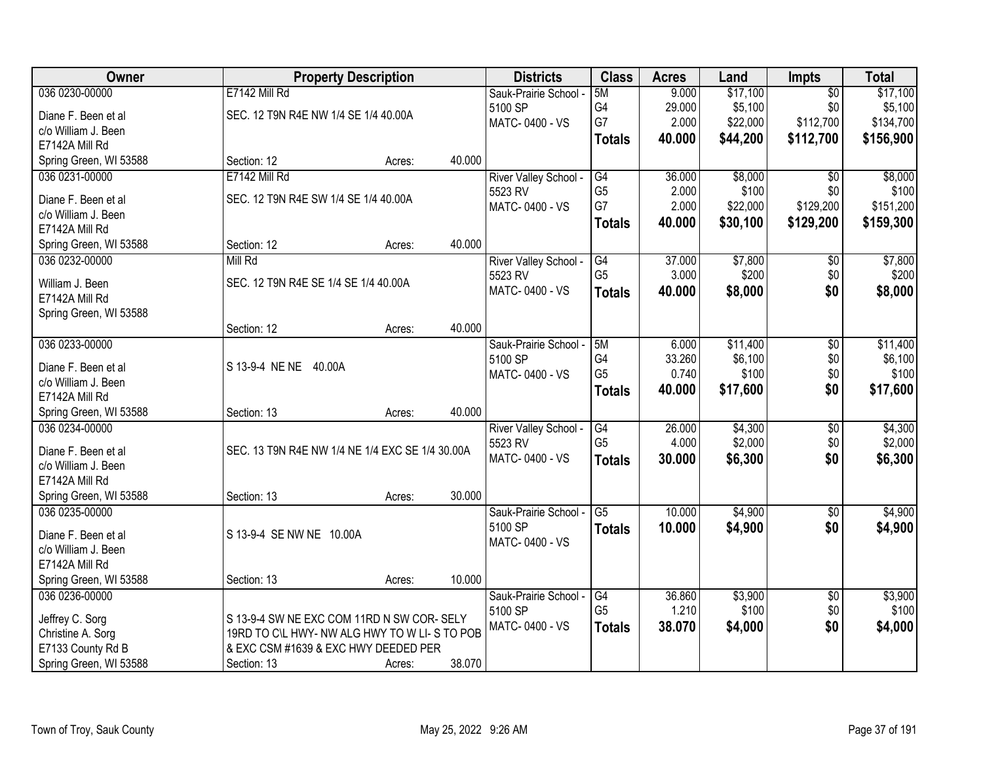| E7142 Mill Rd<br>5M<br>9.000<br>\$17,100<br>$\overline{50}$<br>Sauk-Prairie School -<br>G4<br>\$5,100<br>29.000<br>\$0<br>\$5,100<br>5100 SP<br>SEC. 12 T9N R4E NW 1/4 SE 1/4 40.00A<br>Diane F. Been et al<br>G7<br>\$112,700<br>\$22,000<br>2.000<br>MATC-0400 - VS<br>c/o William J. Been<br>\$44,200<br>40.000<br>\$112,700<br>\$156,900<br><b>Totals</b><br>E7142A Mill Rd<br>Spring Green, WI 53588<br>40.000<br>Section: 12<br>Acres:<br>E7142 Mill Rd<br>\$8,000<br>\$8,000<br>036 0231-00000<br>$\overline{G4}$<br>36.000<br>River Valley School -<br>$\overline{50}$<br>G <sub>5</sub><br>2.000<br>\$100<br>5523 RV<br>\$0<br>SEC. 12 T9N R4E SW 1/4 SE 1/4 40.00A<br>Diane F. Been et al<br>G7<br>2.000<br>\$129,200<br>\$22,000<br>MATC-0400 - VS<br>c/o William J. Been<br>40.000<br>\$30,100<br>\$129,200<br>\$159,300<br><b>Totals</b><br>E7142A Mill Rd<br>40.000<br>Section: 12<br>Spring Green, WI 53588<br>Acres:<br>Mill Rd<br>\$7,800<br>036 0232-00000<br>River Valley School -<br>G4<br>37.000<br>\$0<br>G <sub>5</sub><br>3.000<br>\$200<br>\$0<br>5523 RV<br>SEC. 12 T9N R4E SE 1/4 SE 1/4 40.00A<br>William J. Been<br>\$8,000<br>\$0<br>MATC-0400 - VS<br>40.000<br>\$8,000<br><b>Totals</b><br>E7142A Mill Rd<br>Spring Green, WI 53588<br>40.000<br>Section: 12<br>Acres:<br>036 0233-00000<br>5M<br>\$11,400<br>Sauk-Prairie School -<br>6.000<br>$\sqrt{6}$<br>G4<br>\$6,100<br>\$0<br>33.260<br>5100 SP<br>S 13-9-4 NE NE 40.00A<br>Diane F. Been et al<br>G <sub>5</sub><br>0.740<br>\$100<br>\$0<br>MATC-0400 - VS<br>c/o William J. Been<br>\$0<br>40.000<br>\$17,600<br>\$17,600<br><b>Totals</b><br>E7142A Mill Rd<br>40.000<br>Spring Green, WI 53588<br>Section: 13<br>Acres:<br>26.000<br>\$4,300<br>\$4,300<br>036 0234-00000<br>$\overline{G4}$<br>$\overline{30}$<br>River Valley School -<br>G <sub>5</sub><br>\$2,000<br>\$0<br>4.000<br>5523 RV<br>SEC. 13 T9N R4E NW 1/4 NE 1/4 EXC SE 1/4 30.00A<br>Diane F. Been et al<br>\$0<br>MATC-0400 - VS<br>30.000<br>\$6,300<br>\$6,300<br><b>Totals</b><br>c/o William J. Been<br>E7142A Mill Rd<br>30.000<br>Spring Green, WI 53588<br>Section: 13<br>Acres:<br>$\overline{\text{G5}}$<br>036 0235-00000<br>10.000<br>\$4,900<br>$\overline{60}$<br>Sauk-Prairie School -<br>5100 SP<br>\$4,900<br>\$0<br>10.000<br><b>Totals</b><br>S 13-9-4 SE NW NE 10.00A<br>Diane F. Been et al<br>MATC-0400 - VS<br>c/o William J. Been<br>E7142A Mill Rd<br>10.000<br>Spring Green, WI 53588<br>Section: 13<br>Acres:<br>036 0236-00000<br>Sauk-Prairie School -<br>G4<br>36.860<br>\$3,900<br>\$0 | Owner                  | <b>Property Description</b> |                  | <b>Districts</b> | <b>Class</b>   | <b>Acres</b> | Land  | <b>Impts</b> | <b>Total</b> |
|--------------------------------------------------------------------------------------------------------------------------------------------------------------------------------------------------------------------------------------------------------------------------------------------------------------------------------------------------------------------------------------------------------------------------------------------------------------------------------------------------------------------------------------------------------------------------------------------------------------------------------------------------------------------------------------------------------------------------------------------------------------------------------------------------------------------------------------------------------------------------------------------------------------------------------------------------------------------------------------------------------------------------------------------------------------------------------------------------------------------------------------------------------------------------------------------------------------------------------------------------------------------------------------------------------------------------------------------------------------------------------------------------------------------------------------------------------------------------------------------------------------------------------------------------------------------------------------------------------------------------------------------------------------------------------------------------------------------------------------------------------------------------------------------------------------------------------------------------------------------------------------------------------------------------------------------------------------------------------------------------------------------------------------------------------------------------------------------------------------------------------------------------------------------------------------------------------------------------------------------------------------------------------------------------------------------------------------------------------------------------------------------------------------------------------------------------------------------------------------------------------------------------------------------------------------------------------------|------------------------|-----------------------------|------------------|------------------|----------------|--------------|-------|--------------|--------------|
| \$134,700<br>\$100<br>\$151,200<br>\$7,800<br>\$200<br>\$11,400<br>\$6,100<br>\$100<br>\$2,000<br>\$4,900<br>\$4,900<br>\$3,900                                                                                                                                                                                                                                                                                                                                                                                                                                                                                                                                                                                                                                                                                                                                                                                                                                                                                                                                                                                                                                                                                                                                                                                                                                                                                                                                                                                                                                                                                                                                                                                                                                                                                                                                                                                                                                                                                                                                                                                                                                                                                                                                                                                                                                                                                                                                                                                                                                                      | 036 0230-00000         |                             |                  |                  |                |              |       |              | \$17,100     |
|                                                                                                                                                                                                                                                                                                                                                                                                                                                                                                                                                                                                                                                                                                                                                                                                                                                                                                                                                                                                                                                                                                                                                                                                                                                                                                                                                                                                                                                                                                                                                                                                                                                                                                                                                                                                                                                                                                                                                                                                                                                                                                                                                                                                                                                                                                                                                                                                                                                                                                                                                                                      |                        |                             |                  |                  |                |              |       |              |              |
|                                                                                                                                                                                                                                                                                                                                                                                                                                                                                                                                                                                                                                                                                                                                                                                                                                                                                                                                                                                                                                                                                                                                                                                                                                                                                                                                                                                                                                                                                                                                                                                                                                                                                                                                                                                                                                                                                                                                                                                                                                                                                                                                                                                                                                                                                                                                                                                                                                                                                                                                                                                      |                        |                             |                  |                  |                |              |       |              |              |
|                                                                                                                                                                                                                                                                                                                                                                                                                                                                                                                                                                                                                                                                                                                                                                                                                                                                                                                                                                                                                                                                                                                                                                                                                                                                                                                                                                                                                                                                                                                                                                                                                                                                                                                                                                                                                                                                                                                                                                                                                                                                                                                                                                                                                                                                                                                                                                                                                                                                                                                                                                                      |                        |                             |                  |                  |                |              |       |              |              |
|                                                                                                                                                                                                                                                                                                                                                                                                                                                                                                                                                                                                                                                                                                                                                                                                                                                                                                                                                                                                                                                                                                                                                                                                                                                                                                                                                                                                                                                                                                                                                                                                                                                                                                                                                                                                                                                                                                                                                                                                                                                                                                                                                                                                                                                                                                                                                                                                                                                                                                                                                                                      |                        |                             |                  |                  |                |              |       |              |              |
|                                                                                                                                                                                                                                                                                                                                                                                                                                                                                                                                                                                                                                                                                                                                                                                                                                                                                                                                                                                                                                                                                                                                                                                                                                                                                                                                                                                                                                                                                                                                                                                                                                                                                                                                                                                                                                                                                                                                                                                                                                                                                                                                                                                                                                                                                                                                                                                                                                                                                                                                                                                      |                        |                             |                  |                  |                |              |       |              |              |
|                                                                                                                                                                                                                                                                                                                                                                                                                                                                                                                                                                                                                                                                                                                                                                                                                                                                                                                                                                                                                                                                                                                                                                                                                                                                                                                                                                                                                                                                                                                                                                                                                                                                                                                                                                                                                                                                                                                                                                                                                                                                                                                                                                                                                                                                                                                                                                                                                                                                                                                                                                                      |                        |                             |                  |                  |                |              |       |              |              |
|                                                                                                                                                                                                                                                                                                                                                                                                                                                                                                                                                                                                                                                                                                                                                                                                                                                                                                                                                                                                                                                                                                                                                                                                                                                                                                                                                                                                                                                                                                                                                                                                                                                                                                                                                                                                                                                                                                                                                                                                                                                                                                                                                                                                                                                                                                                                                                                                                                                                                                                                                                                      |                        |                             |                  |                  |                |              |       |              |              |
|                                                                                                                                                                                                                                                                                                                                                                                                                                                                                                                                                                                                                                                                                                                                                                                                                                                                                                                                                                                                                                                                                                                                                                                                                                                                                                                                                                                                                                                                                                                                                                                                                                                                                                                                                                                                                                                                                                                                                                                                                                                                                                                                                                                                                                                                                                                                                                                                                                                                                                                                                                                      |                        |                             |                  |                  |                |              |       |              |              |
|                                                                                                                                                                                                                                                                                                                                                                                                                                                                                                                                                                                                                                                                                                                                                                                                                                                                                                                                                                                                                                                                                                                                                                                                                                                                                                                                                                                                                                                                                                                                                                                                                                                                                                                                                                                                                                                                                                                                                                                                                                                                                                                                                                                                                                                                                                                                                                                                                                                                                                                                                                                      |                        |                             |                  |                  |                |              |       |              |              |
|                                                                                                                                                                                                                                                                                                                                                                                                                                                                                                                                                                                                                                                                                                                                                                                                                                                                                                                                                                                                                                                                                                                                                                                                                                                                                                                                                                                                                                                                                                                                                                                                                                                                                                                                                                                                                                                                                                                                                                                                                                                                                                                                                                                                                                                                                                                                                                                                                                                                                                                                                                                      |                        |                             |                  |                  |                |              |       |              |              |
|                                                                                                                                                                                                                                                                                                                                                                                                                                                                                                                                                                                                                                                                                                                                                                                                                                                                                                                                                                                                                                                                                                                                                                                                                                                                                                                                                                                                                                                                                                                                                                                                                                                                                                                                                                                                                                                                                                                                                                                                                                                                                                                                                                                                                                                                                                                                                                                                                                                                                                                                                                                      |                        |                             |                  |                  |                |              |       |              |              |
|                                                                                                                                                                                                                                                                                                                                                                                                                                                                                                                                                                                                                                                                                                                                                                                                                                                                                                                                                                                                                                                                                                                                                                                                                                                                                                                                                                                                                                                                                                                                                                                                                                                                                                                                                                                                                                                                                                                                                                                                                                                                                                                                                                                                                                                                                                                                                                                                                                                                                                                                                                                      |                        |                             |                  |                  |                |              |       |              |              |
|                                                                                                                                                                                                                                                                                                                                                                                                                                                                                                                                                                                                                                                                                                                                                                                                                                                                                                                                                                                                                                                                                                                                                                                                                                                                                                                                                                                                                                                                                                                                                                                                                                                                                                                                                                                                                                                                                                                                                                                                                                                                                                                                                                                                                                                                                                                                                                                                                                                                                                                                                                                      |                        |                             |                  |                  |                |              |       |              |              |
|                                                                                                                                                                                                                                                                                                                                                                                                                                                                                                                                                                                                                                                                                                                                                                                                                                                                                                                                                                                                                                                                                                                                                                                                                                                                                                                                                                                                                                                                                                                                                                                                                                                                                                                                                                                                                                                                                                                                                                                                                                                                                                                                                                                                                                                                                                                                                                                                                                                                                                                                                                                      |                        |                             |                  |                  |                |              |       |              |              |
|                                                                                                                                                                                                                                                                                                                                                                                                                                                                                                                                                                                                                                                                                                                                                                                                                                                                                                                                                                                                                                                                                                                                                                                                                                                                                                                                                                                                                                                                                                                                                                                                                                                                                                                                                                                                                                                                                                                                                                                                                                                                                                                                                                                                                                                                                                                                                                                                                                                                                                                                                                                      |                        |                             |                  |                  |                |              |       |              |              |
|                                                                                                                                                                                                                                                                                                                                                                                                                                                                                                                                                                                                                                                                                                                                                                                                                                                                                                                                                                                                                                                                                                                                                                                                                                                                                                                                                                                                                                                                                                                                                                                                                                                                                                                                                                                                                                                                                                                                                                                                                                                                                                                                                                                                                                                                                                                                                                                                                                                                                                                                                                                      |                        |                             |                  |                  |                |              |       |              |              |
|                                                                                                                                                                                                                                                                                                                                                                                                                                                                                                                                                                                                                                                                                                                                                                                                                                                                                                                                                                                                                                                                                                                                                                                                                                                                                                                                                                                                                                                                                                                                                                                                                                                                                                                                                                                                                                                                                                                                                                                                                                                                                                                                                                                                                                                                                                                                                                                                                                                                                                                                                                                      |                        |                             |                  |                  |                |              |       |              |              |
|                                                                                                                                                                                                                                                                                                                                                                                                                                                                                                                                                                                                                                                                                                                                                                                                                                                                                                                                                                                                                                                                                                                                                                                                                                                                                                                                                                                                                                                                                                                                                                                                                                                                                                                                                                                                                                                                                                                                                                                                                                                                                                                                                                                                                                                                                                                                                                                                                                                                                                                                                                                      |                        |                             |                  |                  |                |              |       |              |              |
|                                                                                                                                                                                                                                                                                                                                                                                                                                                                                                                                                                                                                                                                                                                                                                                                                                                                                                                                                                                                                                                                                                                                                                                                                                                                                                                                                                                                                                                                                                                                                                                                                                                                                                                                                                                                                                                                                                                                                                                                                                                                                                                                                                                                                                                                                                                                                                                                                                                                                                                                                                                      |                        |                             |                  |                  |                |              |       |              |              |
|                                                                                                                                                                                                                                                                                                                                                                                                                                                                                                                                                                                                                                                                                                                                                                                                                                                                                                                                                                                                                                                                                                                                                                                                                                                                                                                                                                                                                                                                                                                                                                                                                                                                                                                                                                                                                                                                                                                                                                                                                                                                                                                                                                                                                                                                                                                                                                                                                                                                                                                                                                                      |                        |                             |                  |                  |                |              |       |              |              |
|                                                                                                                                                                                                                                                                                                                                                                                                                                                                                                                                                                                                                                                                                                                                                                                                                                                                                                                                                                                                                                                                                                                                                                                                                                                                                                                                                                                                                                                                                                                                                                                                                                                                                                                                                                                                                                                                                                                                                                                                                                                                                                                                                                                                                                                                                                                                                                                                                                                                                                                                                                                      |                        |                             |                  |                  |                |              |       |              |              |
|                                                                                                                                                                                                                                                                                                                                                                                                                                                                                                                                                                                                                                                                                                                                                                                                                                                                                                                                                                                                                                                                                                                                                                                                                                                                                                                                                                                                                                                                                                                                                                                                                                                                                                                                                                                                                                                                                                                                                                                                                                                                                                                                                                                                                                                                                                                                                                                                                                                                                                                                                                                      |                        |                             |                  |                  |                |              |       |              |              |
|                                                                                                                                                                                                                                                                                                                                                                                                                                                                                                                                                                                                                                                                                                                                                                                                                                                                                                                                                                                                                                                                                                                                                                                                                                                                                                                                                                                                                                                                                                                                                                                                                                                                                                                                                                                                                                                                                                                                                                                                                                                                                                                                                                                                                                                                                                                                                                                                                                                                                                                                                                                      |                        |                             |                  |                  |                |              |       |              |              |
|                                                                                                                                                                                                                                                                                                                                                                                                                                                                                                                                                                                                                                                                                                                                                                                                                                                                                                                                                                                                                                                                                                                                                                                                                                                                                                                                                                                                                                                                                                                                                                                                                                                                                                                                                                                                                                                                                                                                                                                                                                                                                                                                                                                                                                                                                                                                                                                                                                                                                                                                                                                      |                        |                             |                  |                  |                |              |       |              |              |
|                                                                                                                                                                                                                                                                                                                                                                                                                                                                                                                                                                                                                                                                                                                                                                                                                                                                                                                                                                                                                                                                                                                                                                                                                                                                                                                                                                                                                                                                                                                                                                                                                                                                                                                                                                                                                                                                                                                                                                                                                                                                                                                                                                                                                                                                                                                                                                                                                                                                                                                                                                                      |                        |                             |                  |                  |                |              |       |              |              |
|                                                                                                                                                                                                                                                                                                                                                                                                                                                                                                                                                                                                                                                                                                                                                                                                                                                                                                                                                                                                                                                                                                                                                                                                                                                                                                                                                                                                                                                                                                                                                                                                                                                                                                                                                                                                                                                                                                                                                                                                                                                                                                                                                                                                                                                                                                                                                                                                                                                                                                                                                                                      |                        |                             |                  |                  |                |              |       |              |              |
|                                                                                                                                                                                                                                                                                                                                                                                                                                                                                                                                                                                                                                                                                                                                                                                                                                                                                                                                                                                                                                                                                                                                                                                                                                                                                                                                                                                                                                                                                                                                                                                                                                                                                                                                                                                                                                                                                                                                                                                                                                                                                                                                                                                                                                                                                                                                                                                                                                                                                                                                                                                      |                        |                             |                  |                  |                |              |       |              |              |
|                                                                                                                                                                                                                                                                                                                                                                                                                                                                                                                                                                                                                                                                                                                                                                                                                                                                                                                                                                                                                                                                                                                                                                                                                                                                                                                                                                                                                                                                                                                                                                                                                                                                                                                                                                                                                                                                                                                                                                                                                                                                                                                                                                                                                                                                                                                                                                                                                                                                                                                                                                                      |                        |                             |                  |                  |                |              |       |              |              |
|                                                                                                                                                                                                                                                                                                                                                                                                                                                                                                                                                                                                                                                                                                                                                                                                                                                                                                                                                                                                                                                                                                                                                                                                                                                                                                                                                                                                                                                                                                                                                                                                                                                                                                                                                                                                                                                                                                                                                                                                                                                                                                                                                                                                                                                                                                                                                                                                                                                                                                                                                                                      |                        |                             |                  |                  |                |              |       |              |              |
|                                                                                                                                                                                                                                                                                                                                                                                                                                                                                                                                                                                                                                                                                                                                                                                                                                                                                                                                                                                                                                                                                                                                                                                                                                                                                                                                                                                                                                                                                                                                                                                                                                                                                                                                                                                                                                                                                                                                                                                                                                                                                                                                                                                                                                                                                                                                                                                                                                                                                                                                                                                      |                        |                             |                  |                  |                |              |       |              |              |
|                                                                                                                                                                                                                                                                                                                                                                                                                                                                                                                                                                                                                                                                                                                                                                                                                                                                                                                                                                                                                                                                                                                                                                                                                                                                                                                                                                                                                                                                                                                                                                                                                                                                                                                                                                                                                                                                                                                                                                                                                                                                                                                                                                                                                                                                                                                                                                                                                                                                                                                                                                                      |                        |                             |                  |                  |                |              |       |              |              |
|                                                                                                                                                                                                                                                                                                                                                                                                                                                                                                                                                                                                                                                                                                                                                                                                                                                                                                                                                                                                                                                                                                                                                                                                                                                                                                                                                                                                                                                                                                                                                                                                                                                                                                                                                                                                                                                                                                                                                                                                                                                                                                                                                                                                                                                                                                                                                                                                                                                                                                                                                                                      |                        |                             |                  |                  |                |              |       |              |              |
| Jeffrey C. Sorg<br>S 13-9-4 SW NE EXC COM 11RD N SW COR- SELY                                                                                                                                                                                                                                                                                                                                                                                                                                                                                                                                                                                                                                                                                                                                                                                                                                                                                                                                                                                                                                                                                                                                                                                                                                                                                                                                                                                                                                                                                                                                                                                                                                                                                                                                                                                                                                                                                                                                                                                                                                                                                                                                                                                                                                                                                                                                                                                                                                                                                                                        |                        |                             |                  | 5100 SP          | G <sub>5</sub> | 1.210        | \$100 | \$0          | \$100        |
| MATC-0400 - VS<br>\$0<br>38.070<br>\$4,000<br>\$4,000<br><b>Totals</b><br>Christine A. Sorg<br>19RD TO C\L HWY- NW ALG HWY TO W LI-S TO POB                                                                                                                                                                                                                                                                                                                                                                                                                                                                                                                                                                                                                                                                                                                                                                                                                                                                                                                                                                                                                                                                                                                                                                                                                                                                                                                                                                                                                                                                                                                                                                                                                                                                                                                                                                                                                                                                                                                                                                                                                                                                                                                                                                                                                                                                                                                                                                                                                                          |                        |                             |                  |                  |                |              |       |              |              |
| & EXC CSM #1639 & EXC HWY DEEDED PER<br>E7133 County Rd B                                                                                                                                                                                                                                                                                                                                                                                                                                                                                                                                                                                                                                                                                                                                                                                                                                                                                                                                                                                                                                                                                                                                                                                                                                                                                                                                                                                                                                                                                                                                                                                                                                                                                                                                                                                                                                                                                                                                                                                                                                                                                                                                                                                                                                                                                                                                                                                                                                                                                                                            |                        |                             |                  |                  |                |              |       |              |              |
|                                                                                                                                                                                                                                                                                                                                                                                                                                                                                                                                                                                                                                                                                                                                                                                                                                                                                                                                                                                                                                                                                                                                                                                                                                                                                                                                                                                                                                                                                                                                                                                                                                                                                                                                                                                                                                                                                                                                                                                                                                                                                                                                                                                                                                                                                                                                                                                                                                                                                                                                                                                      | Spring Green, WI 53588 | Section: 13                 | 38.070<br>Acres: |                  |                |              |       |              |              |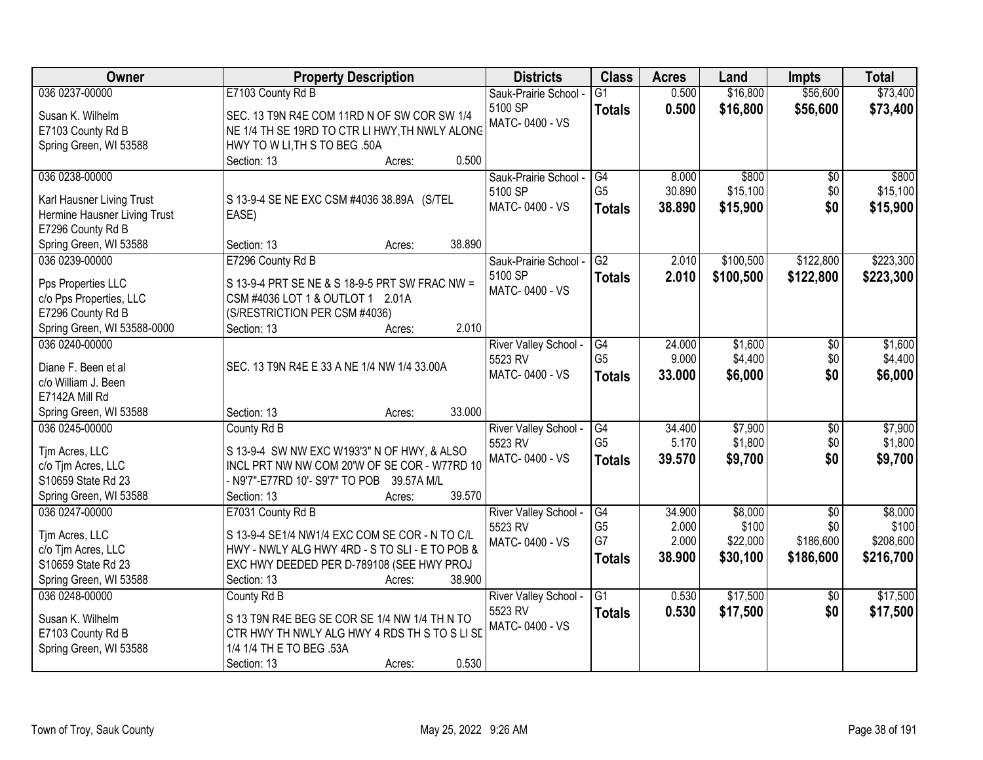| Owner                                             | <b>Property Description</b>                    | <b>Districts</b>                 | <b>Class</b>    | <b>Acres</b> | Land      | <b>Impts</b>    | <b>Total</b> |
|---------------------------------------------------|------------------------------------------------|----------------------------------|-----------------|--------------|-----------|-----------------|--------------|
| 036 0237-00000                                    | E7103 County Rd B                              | Sauk-Prairie School -            | $\overline{G1}$ | 0.500        | \$16,800  | \$56,600        | \$73,400     |
| Susan K. Wilhelm                                  | SEC. 13 T9N R4E COM 11RD N OF SW COR SW 1/4    | 5100 SP                          | <b>Totals</b>   | 0.500        | \$16,800  | \$56,600        | \$73,400     |
| E7103 County Rd B                                 | NE 1/4 TH SE 19RD TO CTR LI HWY, TH NWLY ALONG | MATC-0400 - VS                   |                 |              |           |                 |              |
| Spring Green, WI 53588                            | HWY TO W LI, TH S TO BEG .50A                  |                                  |                 |              |           |                 |              |
|                                                   | 0.500<br>Section: 13<br>Acres:                 |                                  |                 |              |           |                 |              |
| 036 0238-00000                                    |                                                | Sauk-Prairie School -            | G4              | 8.000        | \$800     | $\overline{50}$ | \$800        |
|                                                   |                                                | 5100 SP                          | G <sub>5</sub>  | 30.890       | \$15,100  | \$0             | \$15,100     |
| Karl Hausner Living Trust                         | S 13-9-4 SE NE EXC CSM #4036 38.89A (S/TEL     | MATC-0400 - VS                   | <b>Totals</b>   | 38.890       | \$15,900  | \$0             | \$15,900     |
| Hermine Hausner Living Trust<br>E7296 County Rd B | EASE)                                          |                                  |                 |              |           |                 |              |
|                                                   | 38.890<br>Section: 13                          |                                  |                 |              |           |                 |              |
| Spring Green, WI 53588<br>036 0239-00000          | Acres:                                         |                                  | G2              | 2.010        |           | \$122,800       | \$223,300    |
|                                                   | E7296 County Rd B                              | Sauk-Prairie School -<br>5100 SP |                 |              | \$100,500 |                 |              |
| Pps Properties LLC                                | S 13-9-4 PRT SE NE & S 18-9-5 PRT SW FRAC NW = | MATC-0400 - VS                   | <b>Totals</b>   | 2.010        | \$100,500 | \$122,800       | \$223,300    |
| c/o Pps Properties, LLC                           | CSM #4036 LOT 1 & OUTLOT 1 2.01A               |                                  |                 |              |           |                 |              |
| E7296 County Rd B                                 | (S/RESTRICTION PER CSM #4036)                  |                                  |                 |              |           |                 |              |
| Spring Green, WI 53588-0000                       | 2.010<br>Section: 13<br>Acres:                 |                                  |                 |              |           |                 |              |
| 036 0240-00000                                    |                                                | River Valley School -            | G4              | 24.000       | \$1,600   | \$0             | \$1,600      |
| Diane F. Been et al                               | SEC. 13 T9N R4E E 33 A NE 1/4 NW 1/4 33.00A    | 5523 RV                          | G <sub>5</sub>  | 9.000        | \$4,400   | \$0             | \$4,400      |
| c/o William J. Been                               |                                                | MATC-0400 - VS                   | <b>Totals</b>   | 33.000       | \$6,000   | \$0             | \$6,000      |
| E7142A Mill Rd                                    |                                                |                                  |                 |              |           |                 |              |
|                                                   | 33.000<br>Section: 13                          |                                  |                 |              |           |                 |              |
| Spring Green, WI 53588<br>036 0245-00000          | Acres:<br>County Rd B                          |                                  | G4              | 34.400       | \$7,900   | $\overline{30}$ | \$7,900      |
|                                                   |                                                | River Valley School -<br>5523 RV | G <sub>5</sub>  | 5.170        | \$1,800   | \$0             | \$1,800      |
| Tjm Acres, LLC                                    | S 13-9-4 SW NW EXC W193'3" N OF HWY, & ALSO    | MATC-0400 - VS                   |                 | 39.570       | \$9,700   | \$0             | \$9,700      |
| c/o Tjm Acres, LLC                                | INCL PRT NW NW COM 20'W OF SE COR - W77RD 10   |                                  | <b>Totals</b>   |              |           |                 |              |
| S10659 State Rd 23                                | - N9'7"-E77RD 10'- S9'7" TO POB 39.57A M/L     |                                  |                 |              |           |                 |              |
| Spring Green, WI 53588                            | 39.570<br>Section: 13<br>Acres:                |                                  |                 |              |           |                 |              |
| 036 0247-00000                                    | E7031 County Rd B                              | River Valley School -            | G4              | 34.900       | \$8,000   | $\overline{30}$ | \$8,000      |
| Tim Acres, LLC                                    | S 13-9-4 SE1/4 NW1/4 EXC COM SE COR - N TO C/L | 5523 RV                          | G <sub>5</sub>  | 2.000        | \$100     | \$0             | \$100        |
| c/o Tjm Acres, LLC                                | HWY - NWLY ALG HWY 4RD - S TO SLI - E TO POB & | MATC-0400 - VS                   | G7              | 2.000        | \$22,000  | \$186,600       | \$208,600    |
| S10659 State Rd 23                                | EXC HWY DEEDED PER D-789108 (SEE HWY PROJ      |                                  | <b>Totals</b>   | 38.900       | \$30,100  | \$186,600       | \$216,700    |
| Spring Green, WI 53588                            | 38.900<br>Section: 13<br>Acres:                |                                  |                 |              |           |                 |              |
| 036 0248-00000                                    | County Rd B                                    | River Valley School -            | $\overline{G1}$ | 0.530        | \$17,500  | $\overline{30}$ | \$17,500     |
|                                                   |                                                | 5523 RV                          |                 | 0.530        | \$17,500  | \$0             |              |
| Susan K. Wilhelm                                  | S 13 T9N R4E BEG SE COR SE 1/4 NW 1/4 TH N TO  | MATC-0400 - VS                   | <b>Totals</b>   |              |           |                 | \$17,500     |
| E7103 County Rd B                                 | CTR HWY TH NWLY ALG HWY 4 RDS TH S TO S LISE   |                                  |                 |              |           |                 |              |
| Spring Green, WI 53588                            | 1/4 1/4 TH E TO BEG .53A                       |                                  |                 |              |           |                 |              |
|                                                   | 0.530<br>Section: 13<br>Acres:                 |                                  |                 |              |           |                 |              |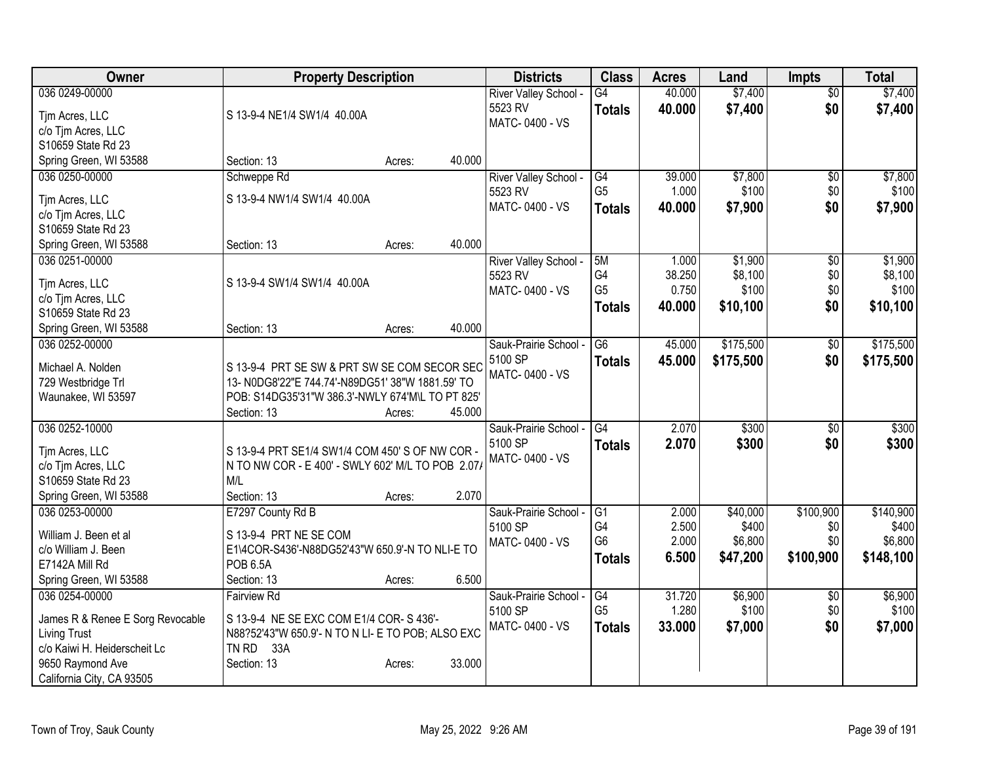| Owner                                                                            | <b>Property Description</b>                                                                                         |                  | <b>Districts</b>                                        | <b>Class</b>                                | <b>Acres</b>                     | Land                                     | Impts                                | <b>Total</b>                               |
|----------------------------------------------------------------------------------|---------------------------------------------------------------------------------------------------------------------|------------------|---------------------------------------------------------|---------------------------------------------|----------------------------------|------------------------------------------|--------------------------------------|--------------------------------------------|
| 036 0249-00000<br>Tim Acres, LLC<br>c/o Tjm Acres, LLC                           | S 13-9-4 NE1/4 SW1/4 40.00A                                                                                         |                  | River Valley School -<br>5523 RV<br>MATC-0400 - VS      | $\overline{G4}$<br><b>Totals</b>            | 40.000<br>40.000                 | \$7,400<br>\$7,400                       | $\overline{50}$<br>\$0               | \$7,400<br>\$7,400                         |
| S10659 State Rd 23<br>Spring Green, WI 53588                                     | Section: 13                                                                                                         | 40.000<br>Acres: |                                                         |                                             |                                  |                                          |                                      |                                            |
| 036 0250-00000<br>Tjm Acres, LLC                                                 | Schweppe Rd<br>S 13-9-4 NW1/4 SW1/4 40.00A                                                                          |                  | River Valley School -<br>5523 RV                        | G4<br>G <sub>5</sub>                        | 39.000<br>1.000                  | \$7,800<br>\$100                         | \$0<br>\$0                           | \$7,800<br>\$100                           |
| c/o Tjm Acres, LLC<br>S10659 State Rd 23                                         |                                                                                                                     |                  | MATC-0400 - VS                                          | <b>Totals</b>                               | 40.000                           | \$7,900                                  | \$0                                  | \$7,900                                    |
| Spring Green, WI 53588                                                           | Section: 13                                                                                                         | 40.000<br>Acres: |                                                         |                                             |                                  |                                          |                                      |                                            |
| 036 0251-00000<br>Tjm Acres, LLC<br>c/o Tjm Acres, LLC                           | S 13-9-4 SW1/4 SW1/4 40.00A                                                                                         |                  | <b>River Valley School</b><br>5523 RV<br>MATC-0400 - VS | 5M<br>G4<br>G <sub>5</sub>                  | 1.000<br>38.250<br>0.750         | \$1,900<br>\$8,100<br>\$100              | \$0<br>\$0<br>\$0                    | \$1,900<br>\$8,100<br>\$100                |
| S10659 State Rd 23<br>Spring Green, WI 53588                                     | Section: 13                                                                                                         | 40.000<br>Acres: |                                                         | <b>Totals</b>                               | 40.000                           | \$10,100                                 | \$0                                  | \$10,100                                   |
| 036 0252-00000<br>Michael A. Nolden                                              | S 13-9-4 PRT SE SW & PRT SW SE COM SECOR SEC                                                                        |                  | Sauk-Prairie School -<br>5100 SP                        | $\overline{G6}$<br><b>Totals</b>            | 45.000<br>45.000                 | \$175,500<br>\$175,500                   | \$0<br>\$0                           | \$175,500<br>\$175,500                     |
| 729 Westbridge Trl<br>Waunakee, WI 53597                                         | 13- N0DG8'22"E 744.74'-N89DG51' 38"W 1881.59' TO<br>POB: S14DG35'31"W 386.3'-NWLY 674'M\L TO PT 825'<br>Section: 13 | 45.000<br>Acres: | MATC-0400 - VS                                          |                                             |                                  |                                          |                                      |                                            |
| 036 0252-10000                                                                   |                                                                                                                     |                  | Sauk-Prairie School -                                   | G4                                          | 2.070                            | \$300                                    | \$0                                  | \$300                                      |
| Tim Acres, LLC<br>c/o Tjm Acres, LLC<br>S10659 State Rd 23                       | S 13-9-4 PRT SE1/4 SW1/4 COM 450' S OF NW COR -<br>N TO NW COR - E 400' - SWLY 602' M/L TO POB 2.07/<br>M/L         |                  | 5100 SP<br>MATC-0400 - VS                               | <b>Totals</b>                               | 2.070                            | \$300                                    | \$0                                  | \$300                                      |
| Spring Green, WI 53588                                                           | Section: 13                                                                                                         | 2.070<br>Acres:  |                                                         |                                             |                                  |                                          |                                      |                                            |
| 036 0253-00000<br>William J. Been et al<br>c/o William J. Been<br>E7142A Mill Rd | E7297 County Rd B<br>S 13-9-4 PRT NE SE COM<br>E1\4COR-S436'-N88DG52'43"W 650.9'-N TO NLI-E TO<br><b>POB 6.5A</b>   |                  | Sauk-Prairie School -<br>5100 SP<br>MATC-0400 - VS      | G1<br>G4<br>G <sub>6</sub><br><b>Totals</b> | 2.000<br>2.500<br>2.000<br>6.500 | \$40,000<br>\$400<br>\$6,800<br>\$47,200 | \$100,900<br>\$0<br>\$0<br>\$100,900 | \$140,900<br>\$400<br>\$6,800<br>\$148,100 |
| Spring Green, WI 53588                                                           | Section: 13                                                                                                         | 6.500<br>Acres:  |                                                         |                                             |                                  |                                          |                                      |                                            |
| 036 0254-00000<br>James R & Renee E Sorg Revocable                               | <b>Fairview Rd</b><br>S 13-9-4 NE SE EXC COM E1/4 COR- S 436'-                                                      |                  | Sauk-Prairie School -<br>5100 SP                        | G4<br>G <sub>5</sub>                        | 31.720<br>1.280                  | \$6,900<br>\$100                         | $\overline{50}$<br>\$0               | \$6,900<br>\$100                           |
| <b>Living Trust</b><br>c/o Kaiwi H. Heiderscheit Lc                              | N88?52'43"W 650.9'- N TO N LI- E TO POB; ALSO EXC<br>TN RD 33A                                                      |                  | MATC-0400 - VS                                          | <b>Totals</b>                               | 33.000                           | \$7,000                                  | \$0                                  | \$7,000                                    |
| 9650 Raymond Ave<br>California City, CA 93505                                    | Section: 13                                                                                                         | 33.000<br>Acres: |                                                         |                                             |                                  |                                          |                                      |                                            |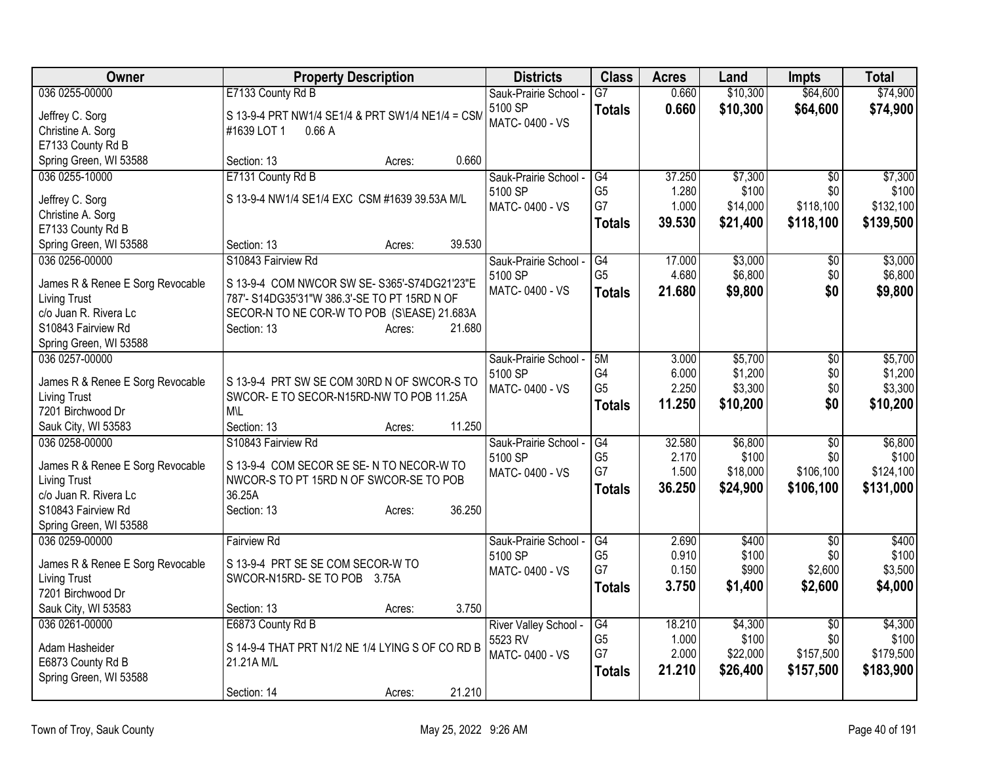| Owner                                        | <b>Property Description</b>                                                    | <b>Districts</b>                 | <b>Class</b>         | <b>Acres</b>    | Land             | <b>Impts</b>    | <b>Total</b>     |
|----------------------------------------------|--------------------------------------------------------------------------------|----------------------------------|----------------------|-----------------|------------------|-----------------|------------------|
| 036 0255-00000                               | E7133 County Rd B                                                              | Sauk-Prairie School -            | $\overline{G7}$      | 0.660           | \$10,300         | \$64,600        | \$74,900         |
| Jeffrey C. Sorg                              | S 13-9-4 PRT NW1/4 SE1/4 & PRT SW1/4 NE1/4 = CSM                               | 5100 SP                          | <b>Totals</b>        | 0.660           | \$10,300         | \$64,600        | \$74,900         |
| Christine A. Sorg                            | #1639 LOT 1<br>0.66A                                                           | MATC-0400 - VS                   |                      |                 |                  |                 |                  |
| E7133 County Rd B                            |                                                                                |                                  |                      |                 |                  |                 |                  |
| Spring Green, WI 53588                       | 0.660<br>Section: 13<br>Acres:                                                 |                                  |                      |                 |                  |                 |                  |
| 036 0255-10000                               | E7131 County Rd B                                                              | Sauk-Prairie School -            | G4                   | 37.250          | \$7,300          | $\overline{50}$ | \$7,300          |
| Jeffrey C. Sorg                              | S 13-9-4 NW1/4 SE1/4 EXC CSM #1639 39.53A M/L                                  | 5100 SP                          | G <sub>5</sub>       | 1.280           | \$100            | \$0             | \$100            |
| Christine A. Sorg                            |                                                                                | MATC-0400 - VS                   | G7                   | 1.000           | \$14,000         | \$118,100       | \$132,100        |
| E7133 County Rd B                            |                                                                                |                                  | <b>Totals</b>        | 39.530          | \$21,400         | \$118,100       | \$139,500        |
| Spring Green, WI 53588                       | 39.530<br>Section: 13<br>Acres:                                                |                                  |                      |                 |                  |                 |                  |
| 036 0256-00000                               | S10843 Fairview Rd                                                             | Sauk-Prairie School -            | G4                   | 17.000          | \$3,000          | \$0             | \$3,000          |
|                                              |                                                                                | 5100 SP                          | G <sub>5</sub>       | 4.680           | \$6,800          | \$0             | \$6,800          |
| James R & Renee E Sorg Revocable             | S 13-9-4 COM NWCOR SW SE- S365'-S74DG21'23"E                                   | MATC-0400 - VS                   | <b>Totals</b>        | 21.680          | \$9,800          | \$0             | \$9,800          |
| <b>Living Trust</b><br>c/o Juan R. Rivera Lc | 787'- S14DG35'31"W 386.3'-SE TO PT 15RD N OF                                   |                                  |                      |                 |                  |                 |                  |
| S10843 Fairview Rd                           | SECOR-N TO NE COR-W TO POB (S\EASE) 21.683A<br>21.680<br>Section: 13<br>Acres: |                                  |                      |                 |                  |                 |                  |
| Spring Green, WI 53588                       |                                                                                |                                  |                      |                 |                  |                 |                  |
| 036 0257-00000                               |                                                                                | Sauk-Prairie School -            | 5M                   | 3.000           | \$5,700          | \$0             | \$5,700          |
|                                              |                                                                                | 5100 SP                          | G4                   | 6.000           | \$1,200          | \$0             | \$1,200          |
| James R & Renee E Sorg Revocable             | S 13-9-4 PRT SW SE COM 30RD N OF SWCOR-S TO                                    | MATC-0400 - VS                   | G <sub>5</sub>       | 2.250           | \$3,300          | \$0             | \$3,300          |
| <b>Living Trust</b>                          | SWCOR- E TO SECOR-N15RD-NW TO POB 11.25A                                       |                                  | Totals               | 11.250          | \$10,200         | \$0             | \$10,200         |
| 7201 Birchwood Dr                            | <b>M</b> \L                                                                    |                                  |                      |                 |                  |                 |                  |
| Sauk City, WI 53583                          | 11.250<br>Section: 13<br>Acres:                                                |                                  |                      |                 |                  |                 |                  |
| 036 0258-00000                               | S10843 Fairview Rd                                                             | Sauk-Prairie School -<br>5100 SP | G4<br>G <sub>5</sub> | 32.580<br>2.170 | \$6,800<br>\$100 | \$0<br>\$0      | \$6,800<br>\$100 |
| James R & Renee E Sorg Revocable             | S 13-9-4 COM SECOR SE SE-N TO NECOR-W TO                                       | MATC-0400 - VS                   | G7                   | 1.500           | \$18,000         | \$106,100       | \$124,100        |
| <b>Living Trust</b>                          | NWCOR-S TO PT 15RD N OF SWCOR-SE TO POB                                        |                                  | <b>Totals</b>        | 36.250          | \$24,900         | \$106,100       | \$131,000        |
| c/o Juan R. Rivera Lc                        | 36.25A                                                                         |                                  |                      |                 |                  |                 |                  |
| S10843 Fairview Rd                           | 36.250<br>Section: 13<br>Acres:                                                |                                  |                      |                 |                  |                 |                  |
| Spring Green, WI 53588                       |                                                                                |                                  |                      |                 |                  |                 |                  |
| 036 0259-00000                               | <b>Fairview Rd</b>                                                             | Sauk-Prairie School -            | G4                   | 2.690           | \$400            | $\overline{50}$ | \$400            |
| James R & Renee E Sorg Revocable             | S 13-9-4 PRT SE SE COM SECOR-W TO                                              | 5100 SP                          | G <sub>5</sub><br>G7 | 0.910<br>0.150  | \$100            | \$0<br>\$2,600  | \$100<br>\$3,500 |
| <b>Living Trust</b>                          | SWCOR-N15RD-SE TO POB 3.75A                                                    | MATC-0400 - VS                   |                      | 3.750           | \$900            | \$2,600         |                  |
| 7201 Birchwood Dr                            |                                                                                |                                  | <b>Totals</b>        |                 | \$1,400          |                 | \$4,000          |
| Sauk City, WI 53583                          | 3.750<br>Section: 13<br>Acres:                                                 |                                  |                      |                 |                  |                 |                  |
| 036 0261-00000                               | E6873 County Rd B                                                              | River Valley School -            | G4                   | 18.210          | \$4,300          | $\overline{30}$ | \$4,300          |
| Adam Hasheider                               | S 14-9-4 THAT PRT N1/2 NE 1/4 LYING S OF CO RD B                               | 5523 RV                          | G <sub>5</sub>       | 1.000           | \$100            | \$0             | \$100            |
| E6873 County Rd B                            | 21.21A M/L                                                                     | MATC-0400 - VS                   | G7                   | 2.000           | \$22,000         | \$157,500       | \$179,500        |
| Spring Green, WI 53588                       |                                                                                |                                  | <b>Totals</b>        | 21.210          | \$26,400         | \$157,500       | \$183,900        |
|                                              | 21.210<br>Section: 14<br>Acres:                                                |                                  |                      |                 |                  |                 |                  |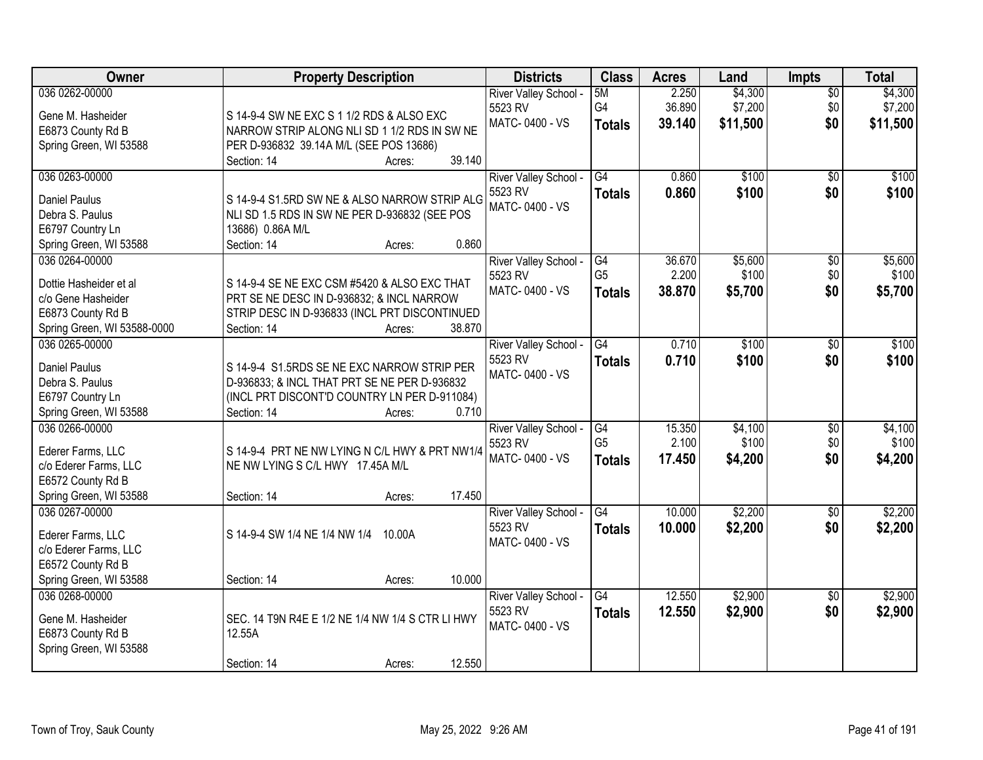| Owner                       | <b>Property Description</b>                      | <b>Districts</b>      | <b>Class</b>    | <b>Acres</b> | Land     | <b>Impts</b>    | <b>Total</b> |
|-----------------------------|--------------------------------------------------|-----------------------|-----------------|--------------|----------|-----------------|--------------|
| 036 0262-00000              |                                                  | River Valley School - | 5M              | 2.250        | \$4,300  | $\overline{50}$ | \$4,300      |
| Gene M. Hasheider           | S 14-9-4 SW NE EXC S 1 1/2 RDS & ALSO EXC        | 5523 RV               | G4              | 36.890       | \$7,200  | \$0             | \$7,200      |
| E6873 County Rd B           | NARROW STRIP ALONG NLI SD 1 1/2 RDS IN SW NE     | MATC-0400 - VS        | <b>Totals</b>   | 39.140       | \$11,500 | \$0             | \$11,500     |
| Spring Green, WI 53588      | PER D-936832 39.14A M/L (SEE POS 13686)          |                       |                 |              |          |                 |              |
|                             | 39.140<br>Section: 14<br>Acres:                  |                       |                 |              |          |                 |              |
| 036 0263-00000              |                                                  | River Valley School - | G4              | 0.860        | \$100    | $\overline{30}$ | \$100        |
|                             |                                                  | 5523 RV               | <b>Totals</b>   | 0.860        | \$100    | \$0             | \$100        |
| <b>Daniel Paulus</b>        | S 14-9-4 S1.5RD SW NE & ALSO NARROW STRIP ALG    | MATC-0400 - VS        |                 |              |          |                 |              |
| Debra S. Paulus             | NLI SD 1.5 RDS IN SW NE PER D-936832 (SEE POS    |                       |                 |              |          |                 |              |
| E6797 Country Ln            | 13686) 0.86A M/L                                 |                       |                 |              |          |                 |              |
| Spring Green, WI 53588      | 0.860<br>Section: 14<br>Acres:                   |                       |                 |              |          |                 |              |
| 036 0264-00000              |                                                  | River Valley School - | G4              | 36.670       | \$5,600  | \$0             | \$5,600      |
| Dottie Hasheider et al      | S 14-9-4 SE NE EXC CSM #5420 & ALSO EXC THAT     | 5523 RV               | G <sub>5</sub>  | 2.200        | \$100    | \$0             | \$100        |
| c/o Gene Hasheider          | PRT SE NE DESC IN D-936832; & INCL NARROW        | MATC-0400 - VS        | <b>Totals</b>   | 38.870       | \$5,700  | \$0             | \$5,700      |
| E6873 County Rd B           | STRIP DESC IN D-936833 (INCL PRT DISCONTINUED    |                       |                 |              |          |                 |              |
| Spring Green, WI 53588-0000 | 38.870<br>Section: 14<br>Acres:                  |                       |                 |              |          |                 |              |
| 036 0265-00000              |                                                  |                       | G4              | 0.710        | \$100    | \$0             | \$100        |
|                             |                                                  | River Valley School - |                 |              |          |                 |              |
| <b>Daniel Paulus</b>        | S 14-9-4 S1.5RDS SE NE EXC NARROW STRIP PER      | 5523 RV               | <b>Totals</b>   | 0.710        | \$100    | \$0             | \$100        |
| Debra S. Paulus             | D-936833; & INCL THAT PRT SE NE PER D-936832     | MATC-0400 - VS        |                 |              |          |                 |              |
| E6797 Country Ln            | (INCL PRT DISCONT'D COUNTRY LN PER D-911084)     |                       |                 |              |          |                 |              |
| Spring Green, WI 53588      | 0.710<br>Section: 14<br>Acres:                   |                       |                 |              |          |                 |              |
| 036 0266-00000              |                                                  | River Valley School - | G4              | 15.350       | \$4,100  | $\overline{50}$ | \$4,100      |
|                             |                                                  | 5523 RV               | G <sub>5</sub>  | 2.100        | \$100    | \$0             | \$100        |
| Ederer Farms, LLC           | S 14-9-4 PRT NE NW LYING N C/L HWY & PRT NW1/4   | MATC-0400 - VS        | <b>Totals</b>   | 17.450       | \$4,200  | \$0             | \$4,200      |
| c/o Ederer Farms, LLC       | NE NW LYING S C/L HWY 17.45A M/L                 |                       |                 |              |          |                 |              |
| E6572 County Rd B           |                                                  |                       |                 |              |          |                 |              |
| Spring Green, WI 53588      | 17.450<br>Section: 14<br>Acres:                  |                       |                 |              |          |                 |              |
| 036 0267-00000              |                                                  | River Valley School - | G4              | 10.000       | \$2,200  | $\sqrt{$0}$     | \$2,200      |
| Ederer Farms, LLC           | S 14-9-4 SW 1/4 NE 1/4 NW 1/4<br>10.00A          | 5523 RV               | <b>Totals</b>   | 10.000       | \$2,200  | \$0             | \$2,200      |
| c/o Ederer Farms, LLC       |                                                  | MATC-0400 - VS        |                 |              |          |                 |              |
| E6572 County Rd B           |                                                  |                       |                 |              |          |                 |              |
| Spring Green, WI 53588      | 10.000<br>Section: 14<br>Acres:                  |                       |                 |              |          |                 |              |
| 036 0268-00000              |                                                  | River Valley School - | $\overline{G4}$ | 12.550       | \$2,900  | $\overline{50}$ | \$2,900      |
|                             |                                                  | 5523 RV               |                 |              |          | \$0             |              |
| Gene M. Hasheider           | SEC. 14 T9N R4E E 1/2 NE 1/4 NW 1/4 S CTR LI HWY | MATC-0400 - VS        | <b>Totals</b>   | 12.550       | \$2,900  |                 | \$2,900      |
| E6873 County Rd B           | 12.55A                                           |                       |                 |              |          |                 |              |
| Spring Green, WI 53588      |                                                  |                       |                 |              |          |                 |              |
|                             | 12.550<br>Section: 14<br>Acres:                  |                       |                 |              |          |                 |              |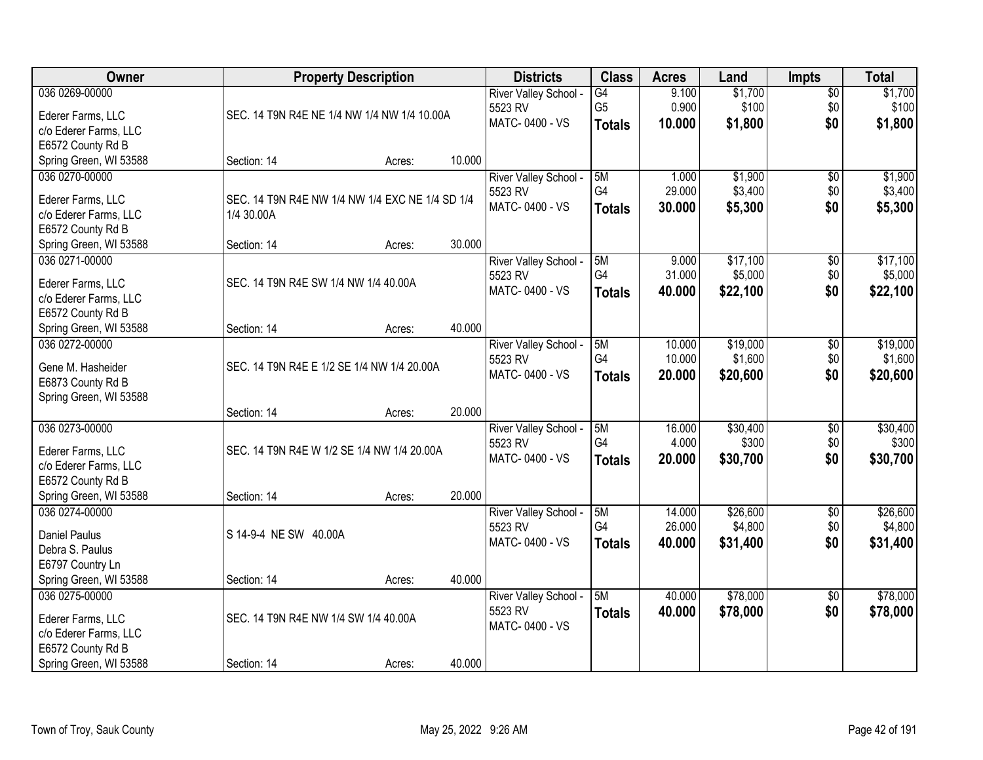| Owner                  |                                                 | <b>Property Description</b> |        | <b>Districts</b>           | <b>Class</b>   | <b>Acres</b> | Land     | <b>Impts</b>    | <b>Total</b> |
|------------------------|-------------------------------------------------|-----------------------------|--------|----------------------------|----------------|--------------|----------|-----------------|--------------|
| 036 0269-00000         |                                                 |                             |        | River Valley School -      | G4             | 9.100        | \$1,700  | $\sqrt{$0}$     | \$1,700      |
| Ederer Farms, LLC      | SEC. 14 T9N R4E NE 1/4 NW 1/4 NW 1/4 10.00A     |                             |        | 5523 RV                    | G <sub>5</sub> | 0.900        | \$100    | \$0             | \$100        |
| c/o Ederer Farms, LLC  |                                                 |                             |        | MATC-0400 - VS             | <b>Totals</b>  | 10.000       | \$1,800  | \$0             | \$1,800      |
| E6572 County Rd B      |                                                 |                             |        |                            |                |              |          |                 |              |
| Spring Green, WI 53588 | Section: 14                                     | Acres:                      | 10.000 |                            |                |              |          |                 |              |
| 036 0270-00000         |                                                 |                             |        | River Valley School -      | 5M             | 1.000        | \$1,900  | \$0             | \$1,900      |
|                        |                                                 |                             |        | 5523 RV                    | G <sub>4</sub> | 29.000       | \$3,400  | \$0             | \$3,400      |
| Ederer Farms, LLC      | SEC. 14 T9N R4E NW 1/4 NW 1/4 EXC NE 1/4 SD 1/4 |                             |        | MATC-0400 - VS             | <b>Totals</b>  | 30.000       | \$5,300  | \$0             | \$5,300      |
| c/o Ederer Farms, LLC  | 1/4 30.00A                                      |                             |        |                            |                |              |          |                 |              |
| E6572 County Rd B      |                                                 |                             |        |                            |                |              |          |                 |              |
| Spring Green, WI 53588 | Section: 14                                     | Acres:                      | 30.000 |                            |                |              |          |                 |              |
| 036 0271-00000         |                                                 |                             |        | River Valley School -      | 5M             | 9.000        | \$17,100 | \$0             | \$17,100     |
| Ederer Farms, LLC      | SEC. 14 T9N R4E SW 1/4 NW 1/4 40.00A            |                             |        | 5523 RV                    | G4             | 31.000       | \$5,000  | \$0             | \$5,000      |
| c/o Ederer Farms, LLC  |                                                 |                             |        | MATC-0400 - VS             | <b>Totals</b>  | 40.000       | \$22,100 | \$0             | \$22,100     |
| E6572 County Rd B      |                                                 |                             |        |                            |                |              |          |                 |              |
| Spring Green, WI 53588 | Section: 14                                     | Acres:                      | 40.000 |                            |                |              |          |                 |              |
| 036 0272-00000         |                                                 |                             |        | River Valley School -      | 5M             | 10.000       | \$19,000 | \$0             | \$19,000     |
|                        |                                                 |                             |        | 5523 RV                    | G4             | 10.000       | \$1,600  | \$0             | \$1,600      |
| Gene M. Hasheider      | SEC. 14 T9N R4E E 1/2 SE 1/4 NW 1/4 20.00A      |                             |        | MATC-0400 - VS             | <b>Totals</b>  | 20.000       | \$20,600 | \$0             | \$20,600     |
| E6873 County Rd B      |                                                 |                             |        |                            |                |              |          |                 |              |
| Spring Green, WI 53588 |                                                 |                             |        |                            |                |              |          |                 |              |
|                        | Section: 14                                     | Acres:                      | 20.000 |                            |                |              |          |                 |              |
| 036 0273-00000         |                                                 |                             |        | River Valley School -      | 5M             | 16.000       | \$30,400 | $\overline{50}$ | \$30,400     |
| Ederer Farms, LLC      | SEC. 14 T9N R4E W 1/2 SE 1/4 NW 1/4 20.00A      |                             |        | 5523 RV                    | G <sub>4</sub> | 4.000        | \$300    | \$0             | \$300        |
| c/o Ederer Farms, LLC  |                                                 |                             |        | MATC-0400 - VS             | <b>Totals</b>  | 20.000       | \$30,700 | \$0             | \$30,700     |
| E6572 County Rd B      |                                                 |                             |        |                            |                |              |          |                 |              |
| Spring Green, WI 53588 | Section: 14                                     | Acres:                      | 20.000 |                            |                |              |          |                 |              |
| 036 0274-00000         |                                                 |                             |        | River Valley School -      | 5M             | 14.000       | \$26,600 | $\sqrt{6}$      | \$26,600     |
|                        |                                                 |                             |        | 5523 RV                    | G4             | 26.000       | \$4,800  | \$0             | \$4,800      |
| <b>Daniel Paulus</b>   | S 14-9-4 NE SW 40.00A                           |                             |        | MATC-0400 - VS             | <b>Totals</b>  | 40.000       | \$31,400 | \$0             | \$31,400     |
| Debra S. Paulus        |                                                 |                             |        |                            |                |              |          |                 |              |
| E6797 Country Ln       |                                                 |                             |        |                            |                |              |          |                 |              |
| Spring Green, WI 53588 | Section: 14                                     | Acres:                      | 40.000 |                            |                |              |          |                 |              |
| 036 0275-00000         |                                                 |                             |        | <b>River Valley School</b> | 5M             | 40.000       | \$78,000 | $\overline{50}$ | \$78,000     |
| Ederer Farms, LLC      | SEC. 14 T9N R4E NW 1/4 SW 1/4 40.00A            |                             |        | 5523 RV                    | <b>Totals</b>  | 40.000       | \$78,000 | \$0             | \$78,000     |
| c/o Ederer Farms, LLC  |                                                 |                             |        | MATC-0400 - VS             |                |              |          |                 |              |
| E6572 County Rd B      |                                                 |                             |        |                            |                |              |          |                 |              |
| Spring Green, WI 53588 | Section: 14                                     | Acres:                      | 40.000 |                            |                |              |          |                 |              |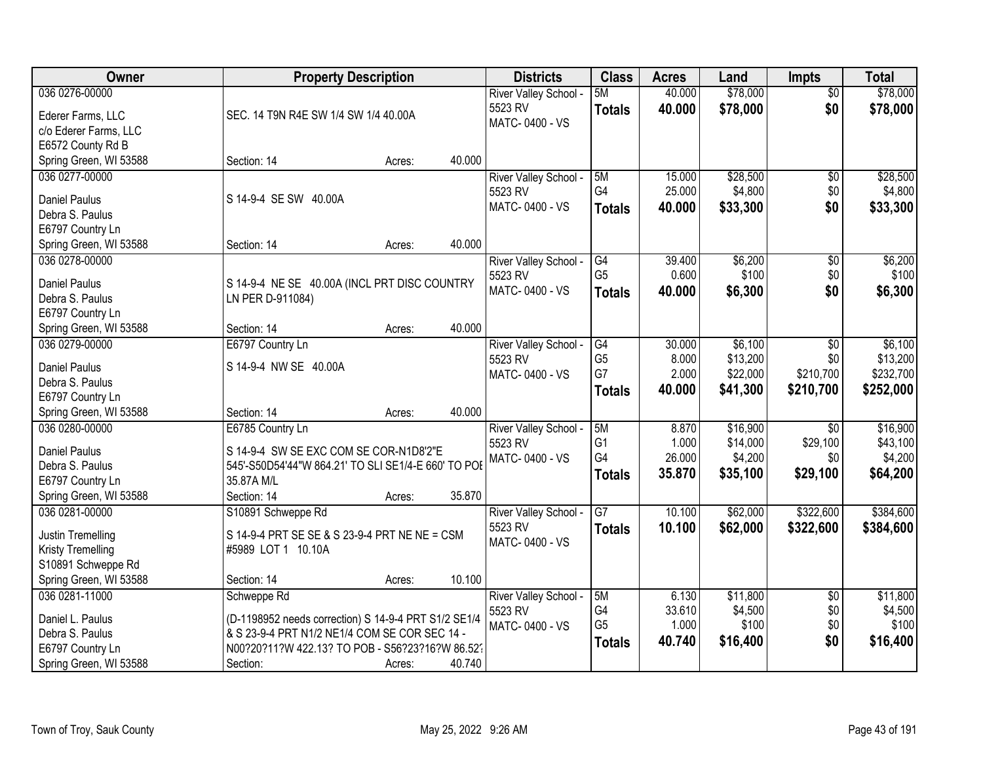| <b>Owner</b>             | <b>Property Description</b>                          |        | <b>Districts</b>          | <b>Class</b>         | <b>Acres</b> | Land     | <b>Impts</b>    | <b>Total</b> |
|--------------------------|------------------------------------------------------|--------|---------------------------|----------------------|--------------|----------|-----------------|--------------|
| 036 0276-00000           |                                                      |        | River Valley School -     | 5M                   | 40.000       | \$78,000 | \$0             | \$78,000     |
| Ederer Farms, LLC        | SEC. 14 T9N R4E SW 1/4 SW 1/4 40.00A                 |        | 5523 RV                   | <b>Totals</b>        | 40.000       | \$78,000 | \$0             | \$78,000     |
| c/o Ederer Farms, LLC    |                                                      |        | MATC-0400 - VS            |                      |              |          |                 |              |
| E6572 County Rd B        |                                                      |        |                           |                      |              |          |                 |              |
| Spring Green, WI 53588   | Section: 14                                          | Acres: | 40.000                    |                      |              |          |                 |              |
| 036 0277-00000           |                                                      |        | River Valley School -     | 5M                   | 15.000       | \$28,500 | $\overline{50}$ | \$28,500     |
|                          |                                                      |        | 5523 RV                   | G4                   | 25.000       | \$4,800  | \$0             | \$4,800      |
| <b>Daniel Paulus</b>     | S 14-9-4 SE SW 40.00A                                |        | MATC-0400 - VS            | <b>Totals</b>        | 40.000       | \$33,300 | \$0             | \$33,300     |
| Debra S. Paulus          |                                                      |        |                           |                      |              |          |                 |              |
| E6797 Country Ln         |                                                      |        | 40.000                    |                      |              |          |                 |              |
| Spring Green, WI 53588   | Section: 14                                          | Acres: |                           |                      |              |          |                 |              |
| 036 0278-00000           |                                                      |        | River Valley School -     | G4<br>G <sub>5</sub> | 39.400       | \$6,200  | \$0             | \$6,200      |
| <b>Daniel Paulus</b>     | S 14-9-4 NE SE 40.00A (INCL PRT DISC COUNTRY         |        | 5523 RV<br>MATC-0400 - VS |                      | 0.600        | \$100    | \$0             | \$100        |
| Debra S. Paulus          | LN PER D-911084)                                     |        |                           | <b>Totals</b>        | 40.000       | \$6,300  | \$0             | \$6,300      |
| E6797 Country Ln         |                                                      |        |                           |                      |              |          |                 |              |
| Spring Green, WI 53588   | Section: 14                                          | Acres: | 40.000                    |                      |              |          |                 |              |
| 036 0279-00000           | E6797 Country Ln                                     |        | River Valley School -     | G4                   | 30.000       | \$6,100  | \$0             | \$6,100      |
| <b>Daniel Paulus</b>     | S 14-9-4 NW SE 40.00A                                |        | 5523 RV                   | G <sub>5</sub>       | 8.000        | \$13,200 | \$0             | \$13,200     |
| Debra S. Paulus          |                                                      |        | MATC-0400 - VS            | G7                   | 2.000        | \$22,000 | \$210,700       | \$232,700    |
| E6797 Country Ln         |                                                      |        |                           | <b>Totals</b>        | 40.000       | \$41,300 | \$210,700       | \$252,000    |
| Spring Green, WI 53588   | Section: 14                                          | Acres: | 40.000                    |                      |              |          |                 |              |
| 036 0280-00000           | E6785 Country Ln                                     |        | River Valley School -     | 5M                   | 8.870        | \$16,900 | $\overline{50}$ | \$16,900     |
|                          |                                                      |        | 5523 RV                   | G <sub>1</sub>       | 1.000        | \$14,000 | \$29,100        | \$43,100     |
| <b>Daniel Paulus</b>     | S 14-9-4 SW SE EXC COM SE COR-N1D8'2"E               |        | MATC-0400 - VS            | G4                   | 26.000       | \$4,200  | \$0             | \$4,200      |
| Debra S. Paulus          | 545'-S50D54'44"W 864.21' TO SLI SE1/4-E 660' TO POE  |        |                           | <b>Totals</b>        | 35.870       | \$35,100 | \$29,100        | \$64,200     |
| E6797 Country Ln         | 35.87A M/L                                           |        |                           |                      |              |          |                 |              |
| Spring Green, WI 53588   | Section: 14                                          | Acres: | 35.870                    |                      |              |          |                 |              |
| 036 0281-00000           | S10891 Schweppe Rd                                   |        | River Valley School -     | $\overline{G7}$      | 10.100       | \$62,000 | \$322,600       | \$384,600    |
| Justin Tremelling        | S 14-9-4 PRT SE SE & S 23-9-4 PRT NE NE = CSM        |        | 5523 RV                   | <b>Totals</b>        | 10.100       | \$62,000 | \$322,600       | \$384,600    |
| <b>Kristy Tremelling</b> | #5989 LOT 1 10.10A                                   |        | MATC-0400 - VS            |                      |              |          |                 |              |
| S10891 Schweppe Rd       |                                                      |        |                           |                      |              |          |                 |              |
| Spring Green, WI 53588   | Section: 14                                          | Acres: | 10.100                    |                      |              |          |                 |              |
| 036 0281-11000           | Schweppe Rd                                          |        | River Valley School -     | 5M                   | 6.130        | \$11,800 | $\overline{60}$ | \$11,800     |
|                          |                                                      |        | 5523 RV                   | G4                   | 33.610       | \$4,500  | \$0             | \$4,500      |
| Daniel L. Paulus         | (D-1198952 needs correction) S 14-9-4 PRT S1/2 SE1/4 |        | MATC-0400 - VS            | G <sub>5</sub>       | 1.000        | \$100    | \$0             | \$100        |
| Debra S. Paulus          | & S 23-9-4 PRT N1/2 NE1/4 COM SE COR SEC 14 -        |        |                           | <b>Totals</b>        | 40.740       | \$16,400 | \$0             | \$16,400     |
| E6797 Country Ln         | N00?20?11?W 422.13? TO POB - S56?23?16?W 86.52?      |        |                           |                      |              |          |                 |              |
| Spring Green, WI 53588   | Section:                                             | Acres: | 40.740                    |                      |              |          |                 |              |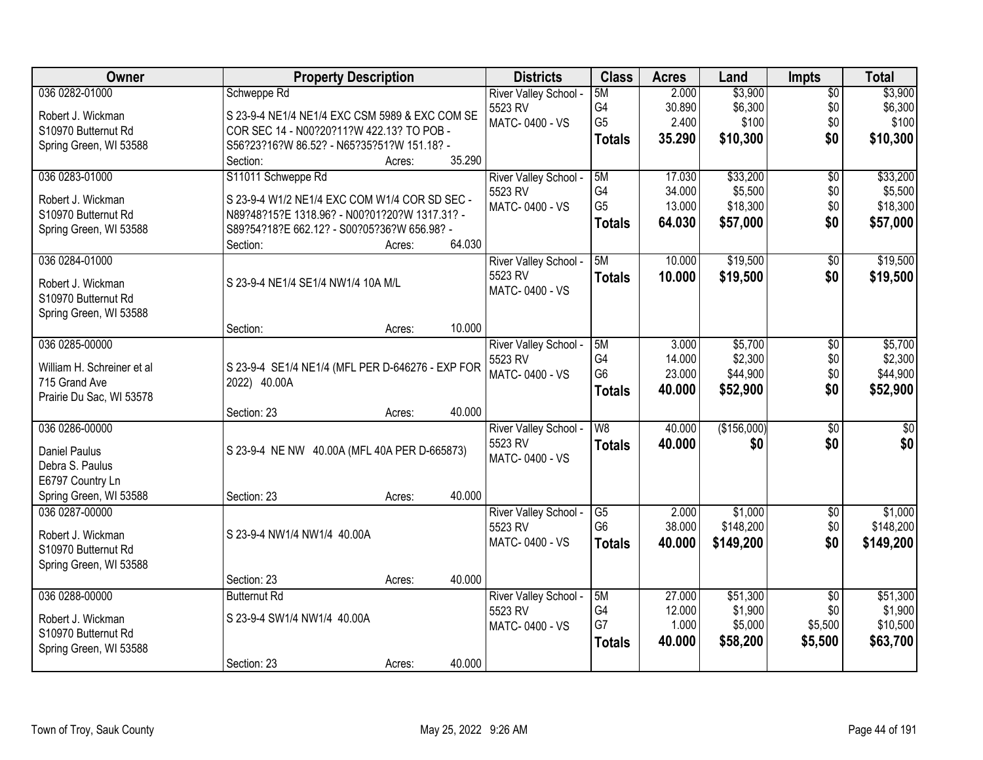| Owner                                   | <b>Property Description</b>                                      |                  | <b>Districts</b>                 | <b>Class</b>           | <b>Acres</b> | Land        | Impts                  | <b>Total</b>    |
|-----------------------------------------|------------------------------------------------------------------|------------------|----------------------------------|------------------------|--------------|-------------|------------------------|-----------------|
| 036 0282-01000                          | Schweppe Rd                                                      |                  | River Valley School -            | 5M                     | 2.000        | \$3,900     | $\overline{50}$        | \$3,900         |
| Robert J. Wickman                       | S 23-9-4 NE1/4 NE1/4 EXC CSM 5989 & EXC COM SE                   |                  | 5523 RV                          | G4                     | 30.890       | \$6,300     | \$0                    | \$6,300         |
| S10970 Butternut Rd                     | COR SEC 14 - N00?20?11?W 422.13? TO POB -                        |                  | MATC-0400 - VS                   | G <sub>5</sub>         | 2.400        | \$100       | \$0                    | \$100           |
| Spring Green, WI 53588                  | S56?23?16?W 86.52? - N65?35?51?W 151.18? -                       |                  |                                  | <b>Totals</b>          | 35.290       | \$10,300    | \$0                    | \$10,300        |
|                                         | Section:                                                         | 35.290<br>Acres: |                                  |                        |              |             |                        |                 |
| 036 0283-01000                          | S11011 Schweppe Rd                                               |                  | River Valley School -            | 5M                     | 17.030       | \$33,200    | $\overline{50}$        | \$33,200        |
| Robert J. Wickman                       | S 23-9-4 W1/2 NE1/4 EXC COM W1/4 COR SD SEC -                    |                  | 5523 RV                          | G <sub>4</sub>         | 34.000       | \$5,500     | \$0                    | \$5,500         |
| S10970 Butternut Rd                     | N89?48?15?E 1318.96? - N00?01?20?W 1317.31? -                    |                  | MATC-0400 - VS                   | G <sub>5</sub>         | 13.000       | \$18,300    | \$0                    | \$18,300        |
| Spring Green, WI 53588                  | S89?54?18?E 662.12? - S00?05?36?W 656.98? -                      |                  |                                  | <b>Totals</b>          | 64.030       | \$57,000    | \$0                    | \$57,000        |
|                                         | Section:                                                         | 64.030<br>Acres: |                                  |                        |              |             |                        |                 |
| 036 0284-01000                          |                                                                  |                  | River Valley School -            | 5M                     | 10.000       | \$19,500    | \$0                    | \$19,500        |
| Robert J. Wickman                       | S 23-9-4 NE1/4 SE1/4 NW1/4 10A M/L                               |                  | 5523 RV                          | <b>Totals</b>          | 10.000       | \$19,500    | \$0                    | \$19,500        |
| S10970 Butternut Rd                     |                                                                  |                  | MATC-0400 - VS                   |                        |              |             |                        |                 |
| Spring Green, WI 53588                  |                                                                  |                  |                                  |                        |              |             |                        |                 |
|                                         | Section:                                                         | 10.000<br>Acres: |                                  |                        |              |             |                        |                 |
| 036 0285-00000                          |                                                                  |                  | River Valley School -            | 5M                     | 3.000        | \$5,700     | \$0                    | \$5,700         |
| William H. Schreiner et al              |                                                                  |                  | 5523 RV                          | G <sub>4</sub>         | 14.000       | \$2,300     | \$0                    | \$2,300         |
| 715 Grand Ave                           | S 23-9-4 SE1/4 NE1/4 (MFL PER D-646276 - EXP FOR<br>2022) 40.00A |                  | MATC-0400 - VS                   | G <sub>6</sub>         | 23.000       | \$44,900    | \$0                    | \$44,900        |
| Prairie Du Sac, WI 53578                |                                                                  |                  |                                  | <b>Totals</b>          | 40.000       | \$52,900    | \$0                    | \$52,900        |
|                                         | Section: 23                                                      | 40.000<br>Acres: |                                  |                        |              |             |                        |                 |
| 036 0286-00000                          |                                                                  |                  | River Valley School -            | $\overline{W8}$        | 40.000       | (\$156,000) | $\overline{50}$        | $\overline{50}$ |
|                                         |                                                                  |                  | 5523 RV                          | <b>Totals</b>          | 40.000       | \$0         | \$0                    | \$0             |
| <b>Daniel Paulus</b><br>Debra S. Paulus | S 23-9-4 NE NW 40.00A (MFL 40A PER D-665873)                     |                  | MATC-0400 - VS                   |                        |              |             |                        |                 |
| E6797 Country Ln                        |                                                                  |                  |                                  |                        |              |             |                        |                 |
| Spring Green, WI 53588                  | Section: 23                                                      | 40.000<br>Acres: |                                  |                        |              |             |                        |                 |
| 036 0287-00000                          |                                                                  |                  | River Valley School -            | $\overline{\text{G5}}$ | 2.000        | \$1,000     | $\overline{50}$        | \$1,000         |
|                                         |                                                                  |                  | 5523 RV                          | G <sub>6</sub>         | 38.000       | \$148,200   | \$0                    | \$148,200       |
| Robert J. Wickman                       | S 23-9-4 NW1/4 NW1/4 40.00A                                      |                  | MATC-0400 - VS                   | <b>Totals</b>          | 40.000       | \$149,200   | \$0                    | \$149,200       |
| S10970 Butternut Rd                     |                                                                  |                  |                                  |                        |              |             |                        |                 |
| Spring Green, WI 53588                  |                                                                  |                  |                                  |                        |              |             |                        |                 |
| 036 0288-00000                          | Section: 23<br><b>Butternut Rd</b>                               | 40.000<br>Acres: |                                  | 5M                     | 27,000       | \$51,300    |                        | \$51,300        |
|                                         |                                                                  |                  | River Valley School -<br>5523 RV | G4                     | 12.000       | \$1,900     | $\overline{50}$<br>\$0 | \$1,900         |
| Robert J. Wickman                       | S 23-9-4 SW1/4 NW1/4 40.00A                                      |                  | MATC-0400 - VS                   | G7                     | 1.000        | \$5,000     | \$5,500                | \$10,500        |
| S10970 Butternut Rd                     |                                                                  |                  |                                  | <b>Totals</b>          | 40.000       | \$58,200    | \$5,500                | \$63,700        |
| Spring Green, WI 53588                  |                                                                  |                  |                                  |                        |              |             |                        |                 |
|                                         | Section: 23                                                      | 40.000<br>Acres: |                                  |                        |              |             |                        |                 |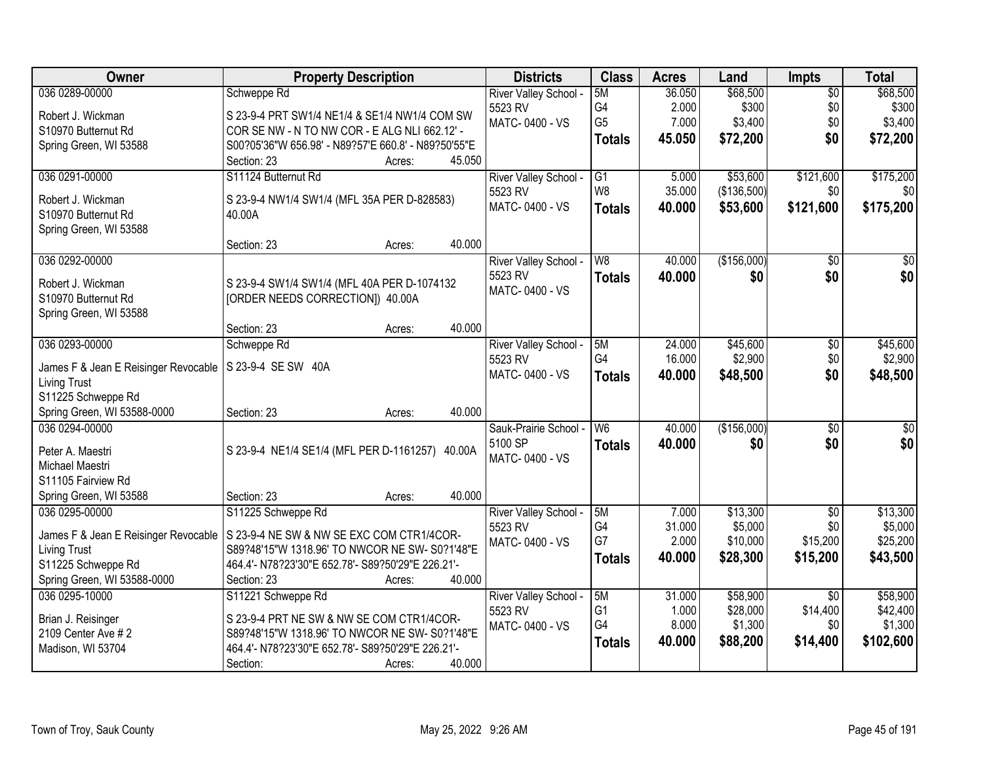| Owner                                | <b>Property Description</b>                         | <b>Districts</b>      | <b>Class</b>    | <b>Acres</b> | Land        | Impts           | <b>Total</b>    |
|--------------------------------------|-----------------------------------------------------|-----------------------|-----------------|--------------|-------------|-----------------|-----------------|
| 036 0289-00000                       | Schweppe Rd                                         | River Valley School - | 5M              | 36.050       | \$68,500    | $\overline{50}$ | \$68,500        |
| Robert J. Wickman                    | S 23-9-4 PRT SW1/4 NE1/4 & SE1/4 NW1/4 COM SW       | 5523 RV               | G4              | 2.000        | \$300       | \$0             | \$300           |
| S10970 Butternut Rd                  | COR SE NW - N TO NW COR - E ALG NLI 662.12' -       | MATC-0400 - VS        | G <sub>5</sub>  | 7.000        | \$3,400     | \$0             | \$3,400         |
| Spring Green, WI 53588               | S00?05'36"W 656.98' - N89?57'E 660.8' - N89?50'55"E |                       | <b>Totals</b>   | 45.050       | \$72,200    | \$0             | \$72,200        |
|                                      | 45.050<br>Section: 23<br>Acres:                     |                       |                 |              |             |                 |                 |
| 036 0291-00000                       | S11124 Butternut Rd                                 | River Valley School - | $\overline{G1}$ | 5.000        | \$53,600    | \$121,600       | \$175,200       |
| Robert J. Wickman                    | S 23-9-4 NW1/4 SW1/4 (MFL 35A PER D-828583)         | 5523 RV               | W <sub>8</sub>  | 35.000       | (\$136,500) | \$0             | \$0             |
| S10970 Butternut Rd                  | 40.00A                                              | MATC-0400 - VS        | <b>Totals</b>   | 40.000       | \$53,600    | \$121,600       | \$175,200       |
| Spring Green, WI 53588               |                                                     |                       |                 |              |             |                 |                 |
|                                      | 40.000<br>Section: 23<br>Acres:                     |                       |                 |              |             |                 |                 |
| 036 0292-00000                       |                                                     | River Valley School - | W8              | 40.000       | (\$156,000) | $\overline{50}$ | $\overline{50}$ |
| Robert J. Wickman                    | S 23-9-4 SW1/4 SW1/4 (MFL 40A PER D-1074132         | 5523 RV               | <b>Totals</b>   | 40.000       | \$0         | \$0             | \$0             |
| S10970 Butternut Rd                  | [ORDER NEEDS CORRECTION]) 40.00A                    | MATC-0400 - VS        |                 |              |             |                 |                 |
| Spring Green, WI 53588               |                                                     |                       |                 |              |             |                 |                 |
|                                      | 40.000<br>Section: 23<br>Acres:                     |                       |                 |              |             |                 |                 |
| 036 0293-00000                       | Schweppe Rd                                         | River Valley School - | 5M              | 24.000       | \$45,600    | \$0             | \$45,600        |
| James F & Jean E Reisinger Revocable | S 23-9-4 SE SW 40A                                  | 5523 RV               | G4              | 16.000       | \$2,900     | \$0             | \$2,900         |
| <b>Living Trust</b>                  |                                                     | MATC-0400 - VS        | <b>Totals</b>   | 40.000       | \$48,500    | \$0             | \$48,500        |
| S11225 Schweppe Rd                   |                                                     |                       |                 |              |             |                 |                 |
| Spring Green, WI 53588-0000          | 40.000<br>Section: 23<br>Acres:                     |                       |                 |              |             |                 |                 |
| 036 0294-00000                       |                                                     | Sauk-Prairie School - | $\overline{W6}$ | 40.000       | (\$156,000) | $\overline{50}$ | $\overline{50}$ |
| Peter A. Maestri                     | S 23-9-4 NE1/4 SE1/4 (MFL PER D-1161257) 40.00A     | 5100 SP               | <b>Totals</b>   | 40.000       | \$0         | \$0             | \$0             |
| Michael Maestri                      |                                                     | MATC-0400 - VS        |                 |              |             |                 |                 |
| S11105 Fairview Rd                   |                                                     |                       |                 |              |             |                 |                 |
| Spring Green, WI 53588               | 40.000<br>Section: 23<br>Acres:                     |                       |                 |              |             |                 |                 |
| 036 0295-00000                       | S11225 Schweppe Rd                                  | River Valley School - | 5M              | 7.000        | \$13,300    | $\overline{50}$ | \$13,300        |
| James F & Jean E Reisinger Revocable | S 23-9-4 NE SW & NW SE EXC COM CTR1/4COR-           | 5523 RV               | G4              | 31.000       | \$5,000     | \$0             | \$5,000         |
| <b>Living Trust</b>                  | S89?48'15"W 1318.96' TO NWCOR NE SW- S0?1'48"E      | MATC-0400 - VS        | G7              | 2.000        | \$10,000    | \$15,200        | \$25,200        |
| S11225 Schweppe Rd                   | 464.4'- N78?23'30"E 652.78'- S89?50'29"E 226.21'-   |                       | <b>Totals</b>   | 40.000       | \$28,300    | \$15,200        | \$43,500        |
| Spring Green, WI 53588-0000          | 40.000<br>Section: 23<br>Acres:                     |                       |                 |              |             |                 |                 |
| 036 0295-10000                       | S11221 Schweppe Rd                                  | River Valley School - | 5M              | 31.000       | \$58,900    | $\overline{50}$ | \$58,900        |
| Brian J. Reisinger                   | S 23-9-4 PRT NE SW & NW SE COM CTR1/4COR-           | 5523 RV               | G1              | 1.000        | \$28,000    | \$14,400        | \$42,400        |
| 2109 Center Ave # 2                  | S89?48'15"W 1318.96' TO NWCOR NE SW- S0?1'48"E      | MATC-0400 - VS        | G4              | 8.000        | \$1,300     | \$0             | \$1,300         |
| Madison, WI 53704                    | 464.4'- N78?23'30"E 652.78'- S89?50'29"E 226.21'-   |                       | <b>Totals</b>   | 40.000       | \$88,200    | \$14,400        | \$102,600       |
|                                      | 40.000<br>Section:<br>Acres:                        |                       |                 |              |             |                 |                 |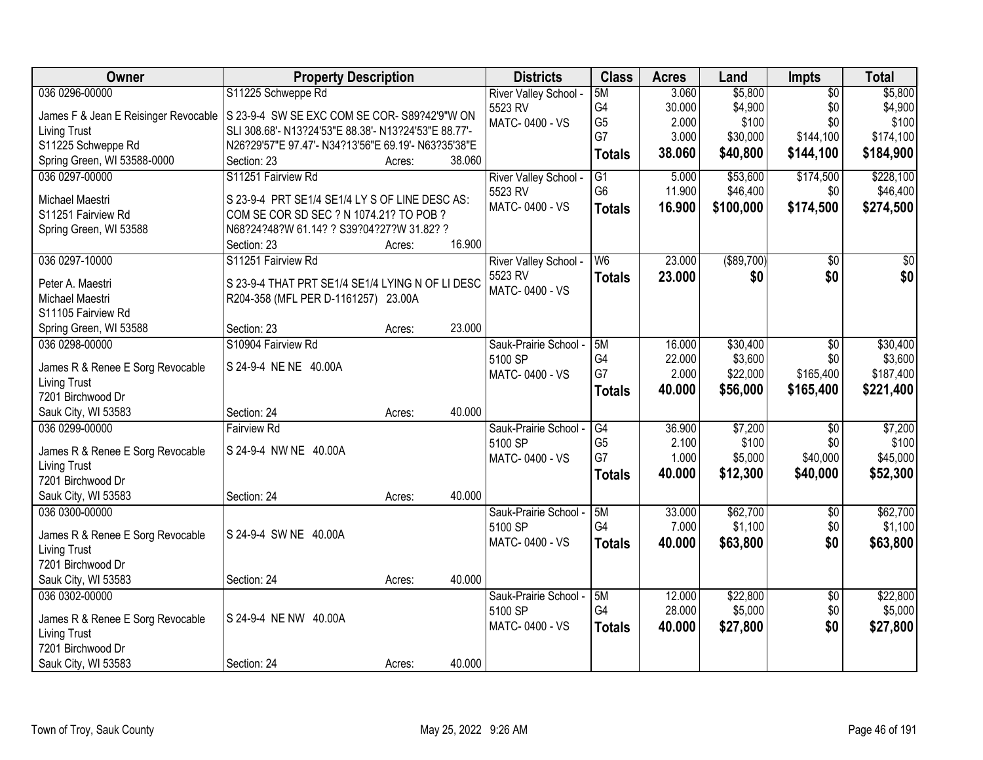| Owner                                | <b>Property Description</b>                          |                  | <b>Districts</b>      | <b>Class</b>    | <b>Acres</b> | Land              | <b>Impts</b>    | <b>Total</b>    |
|--------------------------------------|------------------------------------------------------|------------------|-----------------------|-----------------|--------------|-------------------|-----------------|-----------------|
| 036 0296-00000                       | S11225 Schweppe Rd                                   |                  | River Valley School - | 5M              | 3.060        | \$5,800           | $\overline{50}$ | \$5,800         |
| James F & Jean E Reisinger Revocable | S 23-9-4 SW SE EXC COM SE COR-S89?42'9"W ON          |                  | 5523 RV               | G4              | 30.000       | \$4,900           | \$0             | \$4,900         |
| <b>Living Trust</b>                  | SLI 308.68'- N13?24'53"E 88.38'- N13?24'53"E 88.77'- |                  | MATC-0400 - VS        | G <sub>5</sub>  | 2.000        | \$100             | \$0             | \$100           |
| S11225 Schweppe Rd                   | N26?29'57"E 97.47'- N34?13'56"E 69.19'- N63?35'38"E  |                  |                       | G7              | 3.000        | \$30,000          | \$144,100       | \$174,100       |
| Spring Green, WI 53588-0000          | Section: 23                                          | 38.060<br>Acres: |                       | <b>Totals</b>   | 38.060       | \$40,800          | \$144,100       | \$184,900       |
| 036 0297-00000                       | S11251 Fairview Rd                                   |                  | River Valley School - | $\overline{G1}$ | 5.000        | \$53,600          | \$174,500       | \$228,100       |
|                                      |                                                      |                  | 5523 RV               | G <sub>6</sub>  | 11.900       | \$46,400          | \$0             | \$46,400        |
| Michael Maestri                      | S 23-9-4 PRT SE1/4 SE1/4 LY S OF LINE DESC AS:       |                  | MATC-0400 - VS        | <b>Totals</b>   | 16.900       | \$100,000         | \$174,500       | \$274,500       |
| S11251 Fairview Rd                   | COM SE COR SD SEC ? N 1074.21? TO POB ?              |                  |                       |                 |              |                   |                 |                 |
| Spring Green, WI 53588               | N68?24?48?W 61.14? ? S39?04?27?W 31.82? ?            |                  |                       |                 |              |                   |                 |                 |
|                                      | Section: 23                                          | 16.900<br>Acres: |                       |                 |              |                   |                 |                 |
| 036 0297-10000                       | S11251 Fairview Rd                                   |                  | River Valley School - | W <sub>6</sub>  | 23.000       | $($ \$89,700) $ $ | \$0             | $\overline{50}$ |
| Peter A. Maestri                     | S 23-9-4 THAT PRT SE1/4 SE1/4 LYING N OF LI DESC     |                  | 5523 RV               | <b>Totals</b>   | 23.000       | \$0               | \$0             | \$0             |
| Michael Maestri                      | R204-358 (MFL PER D-1161257) 23.00A                  |                  | MATC-0400 - VS        |                 |              |                   |                 |                 |
| S11105 Fairview Rd                   |                                                      |                  |                       |                 |              |                   |                 |                 |
| Spring Green, WI 53588               | Section: 23                                          | 23.000<br>Acres: |                       |                 |              |                   |                 |                 |
| 036 0298-00000                       | S10904 Fairview Rd                                   |                  | Sauk-Prairie School - | 5M              | 16.000       | \$30,400          | \$0             | \$30,400        |
|                                      |                                                      |                  | 5100 SP               | G4              | 22.000       | \$3,600           | \$0             | \$3,600         |
| James R & Renee E Sorg Revocable     | S 24-9-4 NE NE 40.00A                                |                  | MATC-0400 - VS        | G7              | 2.000        | \$22,000          | \$165,400       | \$187,400       |
| <b>Living Trust</b>                  |                                                      |                  |                       | <b>Totals</b>   | 40.000       | \$56,000          | \$165,400       | \$221,400       |
| 7201 Birchwood Dr                    |                                                      |                  |                       |                 |              |                   |                 |                 |
| Sauk City, WI 53583                  | Section: 24                                          | 40.000<br>Acres: |                       |                 |              |                   |                 |                 |
| 036 0299-00000                       | <b>Fairview Rd</b>                                   |                  | Sauk-Prairie School - | G4              | 36.900       | \$7,200           | $\overline{50}$ | \$7,200         |
| James R & Renee E Sorg Revocable     | S 24-9-4 NW NE 40.00A                                |                  | 5100 SP               | G <sub>5</sub>  | 2.100        | \$100             | \$0             | \$100           |
| <b>Living Trust</b>                  |                                                      |                  | MATC-0400 - VS        | G7              | 1.000        | \$5,000           | \$40,000        | \$45,000        |
| 7201 Birchwood Dr                    |                                                      |                  |                       | <b>Totals</b>   | 40.000       | \$12,300          | \$40,000        | \$52,300        |
| Sauk City, WI 53583                  | Section: 24                                          | 40.000<br>Acres: |                       |                 |              |                   |                 |                 |
| 036 0300-00000                       |                                                      |                  | Sauk-Prairie School - | 5M              | 33.000       | \$62,700          | $\sqrt{$0}$     | \$62,700        |
|                                      |                                                      |                  | 5100 SP               | G <sub>4</sub>  | 7.000        | \$1,100           | \$0             | \$1,100         |
| James R & Renee E Sorg Revocable     | S 24-9-4 SW NE 40.00A                                |                  | MATC-0400 - VS        | <b>Totals</b>   | 40.000       | \$63,800          | \$0             | \$63,800        |
| <b>Living Trust</b>                  |                                                      |                  |                       |                 |              |                   |                 |                 |
| 7201 Birchwood Dr                    |                                                      |                  |                       |                 |              |                   |                 |                 |
| Sauk City, WI 53583                  | Section: 24                                          | 40.000<br>Acres: |                       |                 |              |                   |                 |                 |
| 036 0302-00000                       |                                                      |                  | Sauk-Prairie School - | 5M              | 12.000       | \$22,800          | $\sqrt{$0}$     | \$22,800        |
| James R & Renee E Sorg Revocable     | S 24-9-4 NE NW 40.00A                                |                  | 5100 SP               | G4              | 28.000       | \$5,000           | \$0             | \$5,000         |
| <b>Living Trust</b>                  |                                                      |                  | MATC-0400 - VS        | <b>Totals</b>   | 40.000       | \$27,800          | \$0             | \$27,800        |
| 7201 Birchwood Dr                    |                                                      |                  |                       |                 |              |                   |                 |                 |
| Sauk City, WI 53583                  | Section: 24                                          | 40.000<br>Acres: |                       |                 |              |                   |                 |                 |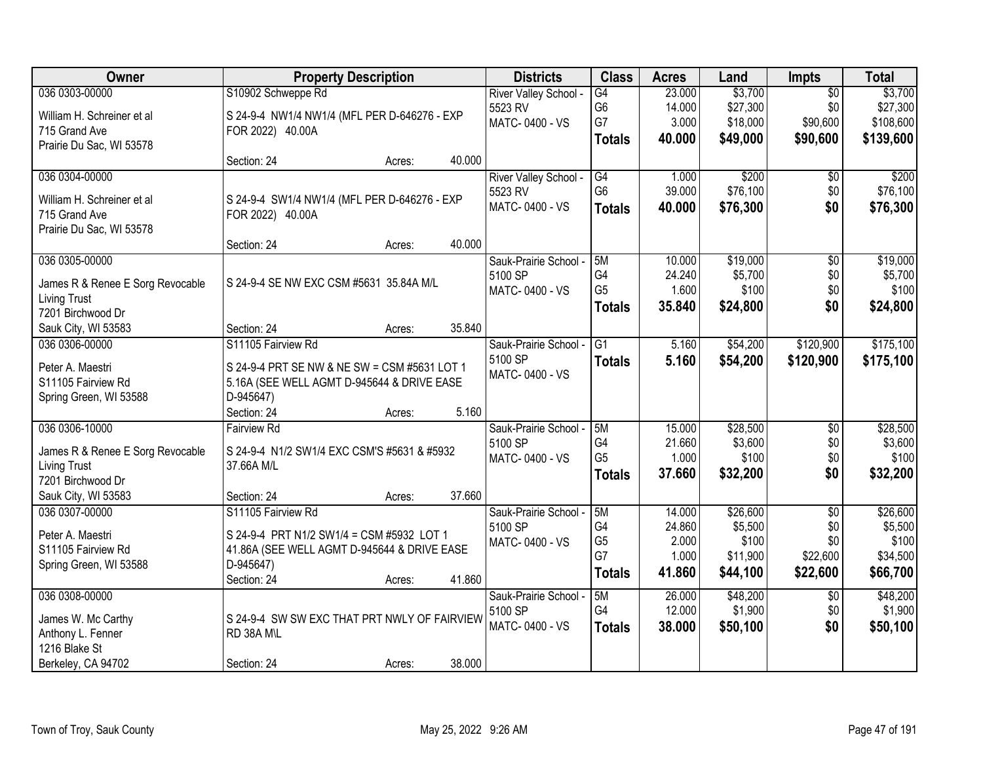| Owner                                                   | <b>Property Description</b>                                      |        | <b>Districts</b>      | <b>Class</b>   | <b>Acres</b> | Land     | Impts           | <b>Total</b> |
|---------------------------------------------------------|------------------------------------------------------------------|--------|-----------------------|----------------|--------------|----------|-----------------|--------------|
| 036 0303-00000                                          | S10902 Schweppe Rd                                               |        | River Valley School - | G4             | 23.000       | \$3,700  | $\overline{50}$ | \$3,700      |
| William H. Schreiner et al                              | S 24-9-4 NW1/4 NW1/4 (MFL PER D-646276 - EXP                     |        | 5523 RV               | G <sub>6</sub> | 14.000       | \$27,300 | \$0             | \$27,300     |
| 715 Grand Ave                                           | FOR 2022) 40.00A                                                 |        | MATC-0400 - VS        | G7             | 3.000        | \$18,000 | \$90,600        | \$108,600    |
| Prairie Du Sac, WI 53578                                |                                                                  |        |                       | <b>Totals</b>  | 40.000       | \$49,000 | \$90,600        | \$139,600    |
|                                                         | Section: 24<br>Acres:                                            | 40.000 |                       |                |              |          |                 |              |
| 036 0304-00000                                          |                                                                  |        | River Valley School - | G4             | 1.000        | \$200    | \$0             | \$200        |
| William H. Schreiner et al                              |                                                                  |        | 5523 RV               | G <sub>6</sub> | 39.000       | \$76,100 | \$0             | \$76,100     |
| 715 Grand Ave                                           | S 24-9-4 SW1/4 NW1/4 (MFL PER D-646276 - EXP<br>FOR 2022) 40.00A |        | MATC-0400 - VS        | <b>Totals</b>  | 40.000       | \$76,300 | \$0             | \$76,300     |
| Prairie Du Sac, WI 53578                                |                                                                  |        |                       |                |              |          |                 |              |
|                                                         | Section: 24<br>Acres:                                            | 40.000 |                       |                |              |          |                 |              |
| 036 0305-00000                                          |                                                                  |        | Sauk-Prairie School - | 5M             | 10.000       | \$19,000 | $\overline{50}$ | \$19,000     |
|                                                         | S 24-9-4 SE NW EXC CSM #5631 35.84A M/L                          |        | 5100 SP               | G4             | 24.240       | \$5,700  | \$0             | \$5,700      |
| James R & Renee E Sorg Revocable<br><b>Living Trust</b> |                                                                  |        | MATC-0400 - VS        | G <sub>5</sub> | 1.600        | \$100    | \$0             | \$100        |
| 7201 Birchwood Dr                                       |                                                                  |        |                       | <b>Totals</b>  | 35.840       | \$24,800 | \$0             | \$24,800     |
| Sauk City, WI 53583                                     | Section: 24<br>Acres:                                            | 35.840 |                       |                |              |          |                 |              |
| 036 0306-00000                                          | S11105 Fairview Rd                                               |        | Sauk-Prairie School - | G1             | 5.160        | \$54,200 | \$120,900       | \$175,100    |
|                                                         |                                                                  |        | 5100 SP               | <b>Totals</b>  | 5.160        | \$54,200 | \$120,900       | \$175,100    |
| Peter A. Maestri                                        | S 24-9-4 PRT SE NW & NE SW = CSM #5631 LOT 1                     |        | MATC-0400 - VS        |                |              |          |                 |              |
| S11105 Fairview Rd                                      | 5.16A (SEE WELL AGMT D-945644 & DRIVE EASE                       |        |                       |                |              |          |                 |              |
| Spring Green, WI 53588                                  | D-945647)                                                        |        |                       |                |              |          |                 |              |
|                                                         | Section: 24<br>Acres:                                            | 5.160  |                       |                |              |          |                 |              |
| 036 0306-10000                                          | <b>Fairview Rd</b>                                               |        | Sauk-Prairie School - | 5M             | 15.000       | \$28,500 | $\overline{50}$ | \$28,500     |
| James R & Renee E Sorg Revocable                        | S 24-9-4 N1/2 SW1/4 EXC CSM'S #5631 & #5932                      |        | 5100 SP               | G <sub>4</sub> | 21.660       | \$3,600  | \$0             | \$3,600      |
| <b>Living Trust</b>                                     | 37.66A M/L                                                       |        | MATC-0400 - VS        | G <sub>5</sub> | 1.000        | \$100    | \$0             | \$100        |
| 7201 Birchwood Dr                                       |                                                                  |        |                       | <b>Totals</b>  | 37.660       | \$32,200 | \$0             | \$32,200     |
| Sauk City, WI 53583                                     | Section: 24<br>Acres:                                            | 37.660 |                       |                |              |          |                 |              |
| 036 0307-00000                                          | S11105 Fairview Rd                                               |        | Sauk-Prairie School - | 5M             | 14.000       | \$26,600 | $\overline{50}$ | \$26,600     |
| Peter A. Maestri                                        | S 24-9-4 PRT N1/2 SW1/4 = CSM #5932 LOT 1                        |        | 5100 SP               | G4             | 24.860       | \$5,500  | \$0             | \$5,500      |
| S11105 Fairview Rd                                      | 41.86A (SEE WELL AGMT D-945644 & DRIVE EASE                      |        | MATC-0400 - VS        | G <sub>5</sub> | 2.000        | \$100    | \$0             | \$100        |
| Spring Green, WI 53588                                  | D-945647)                                                        |        |                       | G7             | 1.000        | \$11,900 | \$22,600        | \$34,500     |
|                                                         | Section: 24<br>Acres:                                            | 41.860 |                       | <b>Totals</b>  | 41.860       | \$44,100 | \$22,600        | \$66,700     |
| 036 0308-00000                                          |                                                                  |        | Sauk-Prairie School - | 5M             | 26.000       | \$48,200 | $\overline{60}$ | \$48,200     |
|                                                         |                                                                  |        | 5100 SP               | G4             | 12.000       | \$1,900  | \$0             | \$1,900      |
| James W. Mc Carthy                                      | S 24-9-4 SW SW EXC THAT PRT NWLY OF FAIRVIEW                     |        | MATC-0400 - VS        | <b>Totals</b>  | 38.000       | \$50,100 | \$0             | \$50,100     |
| Anthony L. Fenner                                       | RD 38A M\L                                                       |        |                       |                |              |          |                 |              |
| 1216 Blake St                                           |                                                                  |        |                       |                |              |          |                 |              |
| Berkeley, CA 94702                                      | Section: 24<br>Acres:                                            | 38.000 |                       |                |              |          |                 |              |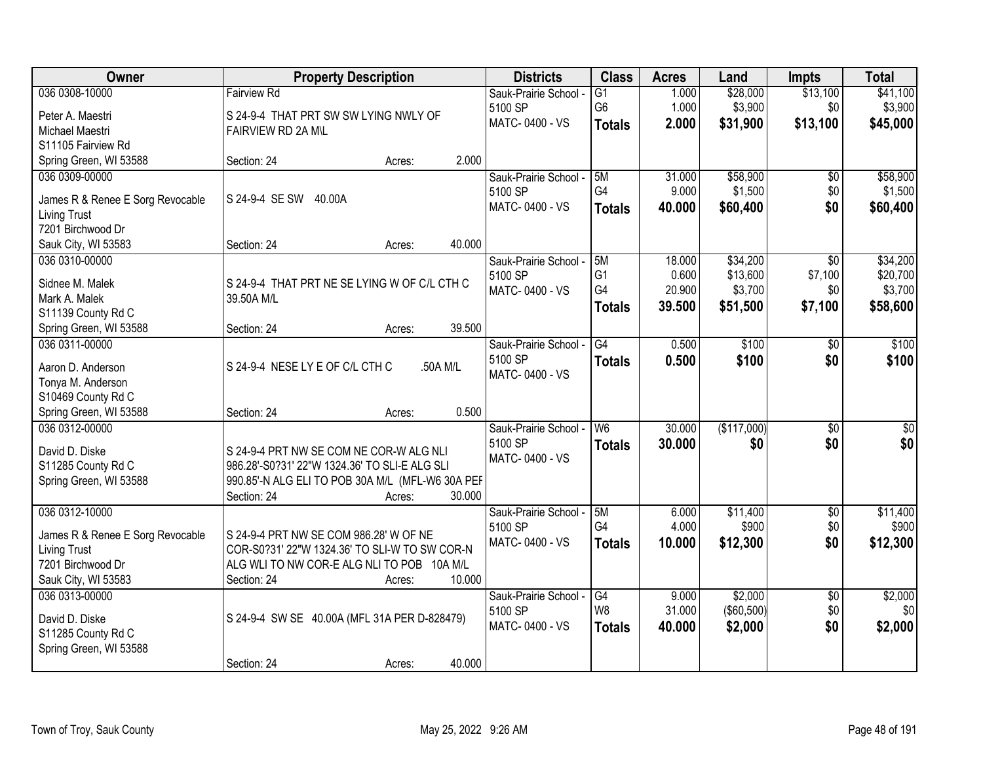| Owner                                                   | <b>Property Description</b>                                                                 | <b>Districts</b>          | <b>Class</b>    | <b>Acres</b> | Land        | <b>Impts</b>    | <b>Total</b>     |
|---------------------------------------------------------|---------------------------------------------------------------------------------------------|---------------------------|-----------------|--------------|-------------|-----------------|------------------|
| 036 0308-10000                                          | <b>Fairview Rd</b>                                                                          | Sauk-Prairie School -     | $\overline{G1}$ | 1.000        | \$28,000    | \$13,100        | \$41,100         |
| Peter A. Maestri                                        | S 24-9-4 THAT PRT SW SW LYING NWLY OF                                                       | 5100 SP                   | G <sub>6</sub>  | 1.000        | \$3,900     | \$0             | \$3,900          |
| Michael Maestri                                         | FAIRVIEW RD 2A M\L                                                                          | MATC-0400 - VS            | <b>Totals</b>   | 2.000        | \$31,900    | \$13,100        | \$45,000         |
| S11105 Fairview Rd                                      |                                                                                             |                           |                 |              |             |                 |                  |
| Spring Green, WI 53588                                  | 2.000<br>Section: 24<br>Acres:                                                              |                           |                 |              |             |                 |                  |
| 036 0309-00000                                          |                                                                                             | Sauk-Prairie School -     | 5M              | 31.000       | \$58,900    | $\overline{50}$ | \$58,900         |
|                                                         | S 24-9-4 SE SW 40.00A                                                                       | 5100 SP                   | G4              | 9.000        | \$1,500     | \$0             | \$1,500          |
| James R & Renee E Sorg Revocable<br><b>Living Trust</b> |                                                                                             | MATC-0400 - VS            | <b>Totals</b>   | 40.000       | \$60,400    | \$0             | \$60,400         |
| 7201 Birchwood Dr                                       |                                                                                             |                           |                 |              |             |                 |                  |
| Sauk City, WI 53583                                     | 40.000<br>Section: 24<br>Acres:                                                             |                           |                 |              |             |                 |                  |
| 036 0310-00000                                          |                                                                                             | Sauk-Prairie School -     | 5M              | 18.000       | \$34,200    | \$0             | \$34,200         |
|                                                         |                                                                                             | 5100 SP                   | G <sub>1</sub>  | 0.600        | \$13,600    | \$7,100         | \$20,700         |
| Sidnee M. Malek                                         | S 24-9-4 THAT PRT NE SE LYING W OF C/L CTH C                                                | MATC-0400 - VS            | G4              | 20.900       | \$3,700     | \$0             | \$3,700          |
| Mark A. Malek                                           | 39.50A M/L                                                                                  |                           | Totals          | 39,500       | \$51,500    | \$7,100         | \$58,600         |
| S11139 County Rd C                                      |                                                                                             |                           |                 |              |             |                 |                  |
| Spring Green, WI 53588                                  | 39.500<br>Section: 24<br>Acres:                                                             |                           |                 |              |             |                 |                  |
| 036 0311-00000                                          |                                                                                             | Sauk-Prairie School -     | G4              | 0.500        | \$100       | \$0             | \$100            |
| Aaron D. Anderson                                       | S 24-9-4 NESE LY E OF C/L CTH C<br>.50A M/L                                                 | 5100 SP<br>MATC-0400 - VS | <b>Totals</b>   | 0.500        | \$100       | \$0             | \$100            |
| Tonya M. Anderson                                       |                                                                                             |                           |                 |              |             |                 |                  |
| S10469 County Rd C                                      |                                                                                             |                           |                 |              |             |                 |                  |
| Spring Green, WI 53588                                  | 0.500<br>Section: 24<br>Acres:                                                              |                           |                 |              |             |                 |                  |
| 036 0312-00000                                          |                                                                                             | Sauk-Prairie School -     | W <sub>6</sub>  | 30.000       | (\$117,000) | $\overline{30}$ | $\overline{\$0}$ |
| David D. Diske                                          | S 24-9-4 PRT NW SE COM NE COR-W ALG NLI                                                     | 5100 SP                   | Totals          | 30.000       | \$0         | \$0             | \$0              |
| S11285 County Rd C                                      | 986.28'-S0?31' 22"W 1324.36' TO SLI-E ALG SLI                                               | MATC-0400 - VS            |                 |              |             |                 |                  |
| Spring Green, WI 53588                                  | 990.85'-N ALG ELI TO POB 30A M/L (MFL-W6 30A PEF                                            |                           |                 |              |             |                 |                  |
|                                                         | Section: 24<br>30.000<br>Acres:                                                             |                           |                 |              |             |                 |                  |
| 036 0312-10000                                          |                                                                                             | Sauk-Prairie School -     | 5M              | 6.000        | \$11,400    | $\overline{50}$ | \$11,400         |
|                                                         |                                                                                             | 5100 SP                   | G4              | 4.000        | \$900       | \$0             | \$900            |
| James R & Renee E Sorg Revocable                        | S 24-9-4 PRT NW SE COM 986.28' W OF NE                                                      | MATC-0400 - VS            | <b>Totals</b>   | 10.000       | \$12,300    | \$0             | \$12,300         |
| <b>Living Trust</b><br>7201 Birchwood Dr                | COR-S0?31' 22"W 1324.36' TO SLI-W TO SW COR-N<br>ALG WLI TO NW COR-E ALG NLI TO POB 10A M/L |                           |                 |              |             |                 |                  |
| Sauk City, WI 53583                                     | 10.000<br>Section: 24                                                                       |                           |                 |              |             |                 |                  |
| 036 0313-00000                                          | Acres:                                                                                      | Sauk-Prairie School -     | G4              | 9.000        | \$2,000     | $\overline{50}$ | \$2,000          |
|                                                         |                                                                                             | 5100 SP                   | W <sub>8</sub>  | 31.000       | (\$60,500)  | \$0             | \$0              |
| David D. Diske                                          | S 24-9-4 SW SE 40.00A (MFL 31A PER D-828479)                                                | MATC-0400 - VS            |                 | 40.000       | \$2,000     | \$0             | \$2,000          |
| S11285 County Rd C                                      |                                                                                             |                           | <b>Totals</b>   |              |             |                 |                  |
| Spring Green, WI 53588                                  |                                                                                             |                           |                 |              |             |                 |                  |
|                                                         | 40.000<br>Section: 24<br>Acres:                                                             |                           |                 |              |             |                 |                  |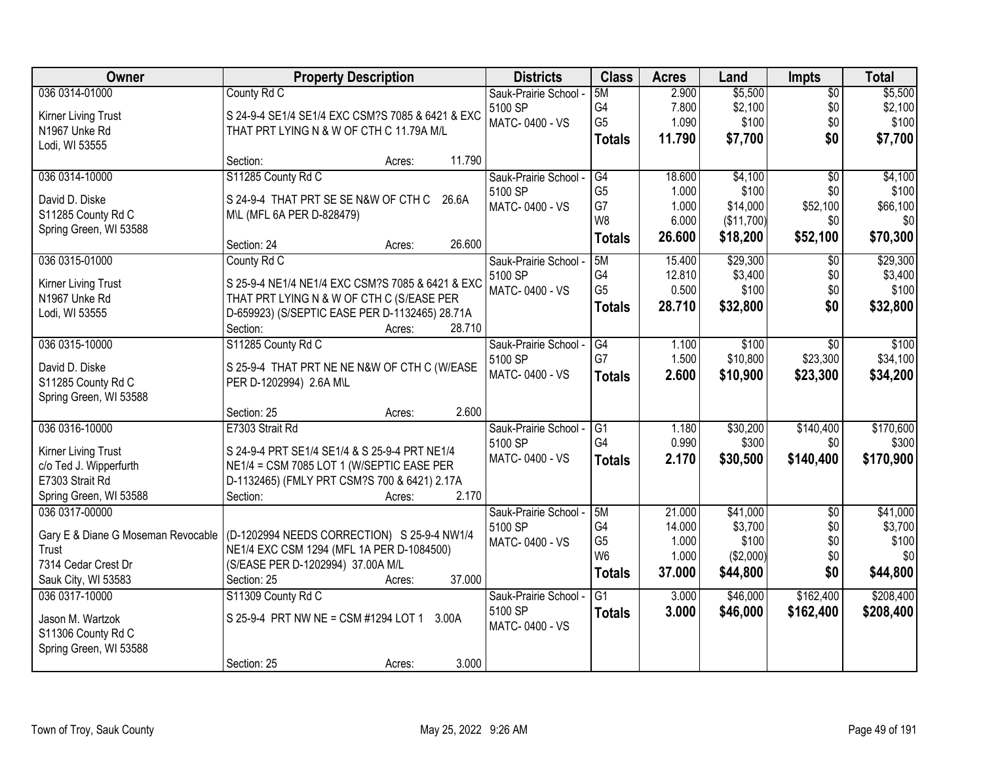| Owner                                    | <b>Property Description</b>                                       | <b>Districts</b>      | <b>Class</b>    | <b>Acres</b> | Land       | <b>Impts</b>    | <b>Total</b> |
|------------------------------------------|-------------------------------------------------------------------|-----------------------|-----------------|--------------|------------|-----------------|--------------|
| 036 0314-01000                           | County Rd C                                                       | Sauk-Prairie School - | 5M              | 2.900        | \$5,500    | $\overline{50}$ | \$5,500      |
| Kirner Living Trust                      | S 24-9-4 SE1/4 SE1/4 EXC CSM?S 7085 & 6421 & EXC                  | 5100 SP               | G4              | 7.800        | \$2,100    | \$0             | \$2,100      |
| N1967 Unke Rd                            | THAT PRT LYING N & W OF CTH C 11.79A M/L                          | MATC-0400 - VS        | G <sub>5</sub>  | 1.090        | \$100      | \$0             | \$100        |
| Lodi, WI 53555                           |                                                                   |                       | <b>Totals</b>   | 11.790       | \$7,700    | \$0             | \$7,700      |
|                                          | 11.790<br>Section:<br>Acres:                                      |                       |                 |              |            |                 |              |
| 036 0314-10000                           | S11285 County Rd C                                                | Sauk-Prairie School - | G4              | 18.600       | \$4,100    | $\overline{50}$ | \$4,100      |
| David D. Diske                           | S 24-9-4 THAT PRT SE SE N&W OF CTH C<br>26.6A                     | 5100 SP               | G <sub>5</sub>  | 1.000        | \$100      | \$0             | \$100        |
| S11285 County Rd C                       | M\L (MFL 6A PER D-828479)                                         | MATC-0400 - VS        | G7              | 1.000        | \$14,000   | \$52,100        | \$66,100     |
| Spring Green, WI 53588                   |                                                                   |                       | W8              | 6.000        | (\$11,700) | \$0             | \$0          |
|                                          | 26.600<br>Section: 24<br>Acres:                                   |                       | <b>Totals</b>   | 26.600       | \$18,200   | \$52,100        | \$70,300     |
| 036 0315-01000                           | County Rd C                                                       | Sauk-Prairie School - | 5M              | 15.400       | \$29,300   | $\sqrt{50}$     | \$29,300     |
| Kirner Living Trust                      | S 25-9-4 NE1/4 NE1/4 EXC CSM?S 7085 & 6421 & EXC                  | 5100 SP               | G4              | 12.810       | \$3,400    | \$0             | \$3,400      |
| N1967 Unke Rd                            | THAT PRT LYING N & W OF CTH C (S/EASE PER                         | MATC-0400 - VS        | G <sub>5</sub>  | 0.500        | \$100      | \$0             | \$100        |
| Lodi, WI 53555                           | D-659923) (S/SEPTIC EASE PER D-1132465) 28.71A                    |                       | <b>Totals</b>   | 28.710       | \$32,800   | \$0             | \$32,800     |
|                                          | 28.710<br>Section:<br>Acres:                                      |                       |                 |              |            |                 |              |
| 036 0315-10000                           | S11285 County Rd C                                                | Sauk-Prairie School - | G4              | 1.100        | \$100      | $\sqrt{6}$      | \$100        |
| David D. Diske                           | S 25-9-4 THAT PRT NE NE N&W OF CTH C (W/EASE                      | 5100 SP               | G7              | 1.500        | \$10,800   | \$23,300        | \$34,100     |
| S11285 County Rd C                       | PER D-1202994) 2.6A M\L                                           | MATC-0400 - VS        | <b>Totals</b>   | 2.600        | \$10,900   | \$23,300        | \$34,200     |
| Spring Green, WI 53588                   |                                                                   |                       |                 |              |            |                 |              |
|                                          | 2.600<br>Section: 25<br>Acres:                                    |                       |                 |              |            |                 |              |
| 036 0316-10000                           | E7303 Strait Rd                                                   | Sauk-Prairie School - | $\overline{G1}$ | 1.180        | \$30,200   | \$140,400       | \$170,600    |
|                                          |                                                                   | 5100 SP               | G <sub>4</sub>  | 0.990        | \$300      | \$0             | \$300        |
| Kirner Living Trust                      | S 24-9-4 PRT SE1/4 SE1/4 & S 25-9-4 PRT NE1/4                     | MATC-0400 - VS        | <b>Totals</b>   | 2.170        | \$30,500   | \$140,400       | \$170,900    |
| c/o Ted J. Wipperfurth                   | NE1/4 = CSM 7085 LOT 1 (W/SEPTIC EASE PER                         |                       |                 |              |            |                 |              |
| E7303 Strait Rd                          | D-1132465) (FMLY PRT CSM?S 700 & 6421) 2.17A<br>2.170<br>Section: |                       |                 |              |            |                 |              |
| Spring Green, WI 53588<br>036 0317-00000 | Acres:                                                            | Sauk-Prairie School - | 5M              | 21.000       | \$41,000   | $\overline{50}$ | \$41,000     |
|                                          |                                                                   | 5100 SP               | G4              | 14.000       | \$3,700    | \$0             | \$3,700      |
| Gary E & Diane G Moseman Revocable       | (D-1202994 NEEDS CORRECTION) S 25-9-4 NW1/4                       | MATC-0400 - VS        | G <sub>5</sub>  | 1.000        | \$100      | \$0             | \$100        |
| Trust                                    | NE1/4 EXC CSM 1294 (MFL 1A PER D-1084500)                         |                       | W <sub>6</sub>  | 1.000        | (\$2,000)  | \$0             | \$0          |
| 7314 Cedar Crest Dr                      | (S/EASE PER D-1202994) 37.00A M/L                                 |                       | Totals          | 37.000       | \$44,800   | \$0             | \$44,800     |
| Sauk City, WI 53583                      | 37.000<br>Section: 25<br>Acres:                                   |                       |                 |              |            |                 |              |
| 036 0317-10000                           | S11309 County Rd C                                                | Sauk-Prairie School - | $\overline{G1}$ | 3.000        | \$46,000   | \$162,400       | \$208,400    |
| Jason M. Wartzok                         | S 25-9-4 PRT NW NE = CSM #1294 LOT 1 3.00A                        | 5100 SP               | <b>Totals</b>   | 3.000        | \$46,000   | \$162,400       | \$208,400    |
| S11306 County Rd C                       |                                                                   | MATC-0400 - VS        |                 |              |            |                 |              |
| Spring Green, WI 53588                   |                                                                   |                       |                 |              |            |                 |              |
|                                          | 3.000<br>Section: 25<br>Acres:                                    |                       |                 |              |            |                 |              |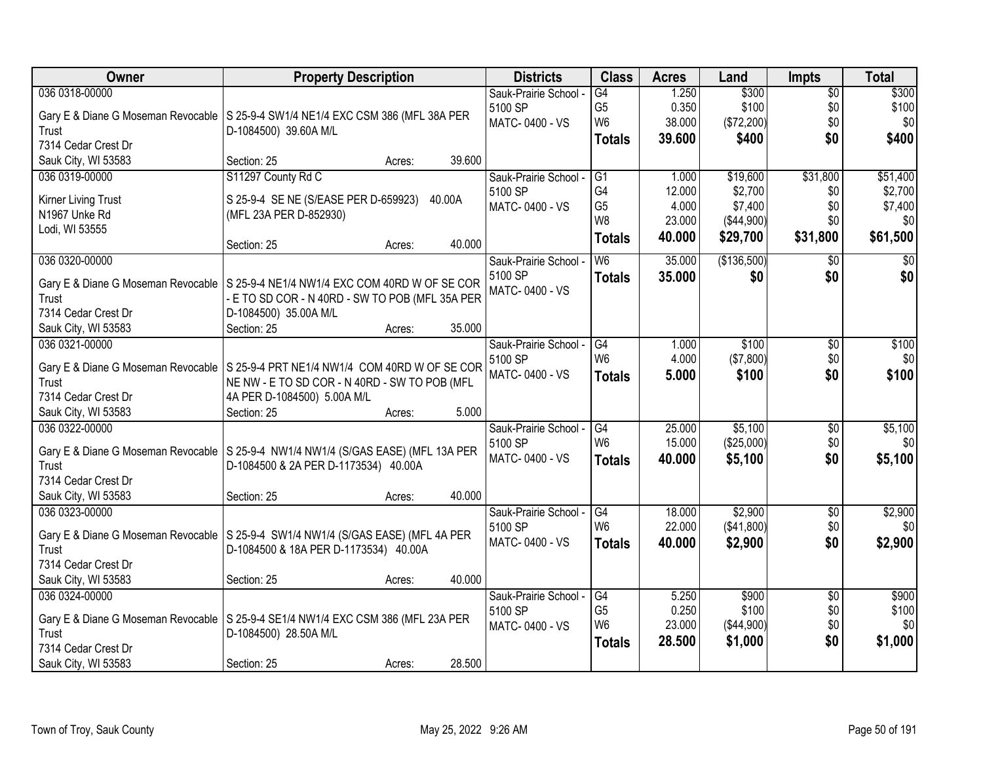| Owner               | <b>Property Description</b>                                                         | <b>Districts</b>      | <b>Class</b>    | <b>Acres</b> | Land        | <b>Impts</b>    | <b>Total</b>    |
|---------------------|-------------------------------------------------------------------------------------|-----------------------|-----------------|--------------|-------------|-----------------|-----------------|
| 036 0318-00000      |                                                                                     | Sauk-Prairie School - | $\overline{G4}$ | 1.250        | \$300       | $\overline{50}$ | \$300           |
|                     | Gary E & Diane G Moseman Revocable   S 25-9-4 SW1/4 NE1/4 EXC CSM 386 (MFL 38A PER  | 5100 SP               | G5              | 0.350        | \$100       | \$0             | \$100           |
| Trust               | D-1084500) 39.60A M/L                                                               | MATC-0400 - VS        | W <sub>6</sub>  | 38.000       | (\$72,200)  | \$0             | \$0             |
| 7314 Cedar Crest Dr |                                                                                     |                       | <b>Totals</b>   | 39.600       | \$400       | \$0             | \$400           |
| Sauk City, WI 53583 | 39.600<br>Section: 25<br>Acres:                                                     |                       |                 |              |             |                 |                 |
| 036 0319-00000      | S11297 County Rd C                                                                  | Sauk-Prairie School - | G1              | 1.000        | \$19,600    | \$31,800        | \$51,400        |
|                     |                                                                                     | 5100 SP               | G4              | 12.000       | \$2,700     | \$0             | \$2,700         |
| Kirner Living Trust | S 25-9-4 SE NE (S/EASE PER D-659923) 40.00A                                         | MATC-0400 - VS        | G <sub>5</sub>  | 4.000        | \$7,400     | \$0             | \$7,400         |
| N1967 Unke Rd       | (MFL 23A PER D-852930)                                                              |                       | W8              | 23.000       | (\$44,900)  | \$0             | \$0             |
| Lodi, WI 53555      | 40.000                                                                              |                       | <b>Totals</b>   | 40.000       | \$29,700    | \$31,800        | \$61,500        |
| 036 0320-00000      | Section: 25<br>Acres:                                                               | Sauk-Prairie School   | W <sub>6</sub>  | 35.000       | (\$136,500) | $\sqrt[6]{}$    | $\overline{30}$ |
|                     |                                                                                     | 5100 SP               |                 |              |             |                 |                 |
|                     | Gary E & Diane G Moseman Revocable   S 25-9-4 NE1/4 NW1/4 EXC COM 40RD W OF SE COR  | MATC-0400 - VS        | <b>Totals</b>   | 35.000       | \$0         | \$0             | \$0             |
| Trust               | - E TO SD COR - N 40RD - SW TO POB (MFL 35A PER                                     |                       |                 |              |             |                 |                 |
| 7314 Cedar Crest Dr | D-1084500) 35.00A M/L                                                               |                       |                 |              |             |                 |                 |
| Sauk City, WI 53583 | 35.000<br>Section: 25<br>Acres:                                                     |                       |                 |              |             |                 |                 |
| 036 0321-00000      |                                                                                     | Sauk-Prairie School - | G4              | 1.000        | \$100       | \$0             | \$100           |
|                     | Gary E & Diane G Moseman Revocable   S 25-9-4 PRT NE1/4 NW1/4 COM 40RD W OF SE COR  | 5100 SP               | W <sub>6</sub>  | 4.000        | (\$7,800)   | \$0             | \$0             |
| Trust               | NE NW - E TO SD COR - N 40RD - SW TO POB (MFL                                       | MATC-0400 - VS        | <b>Totals</b>   | 5.000        | \$100       | \$0             | \$100           |
| 7314 Cedar Crest Dr | 4A PER D-1084500) 5.00A M/L                                                         |                       |                 |              |             |                 |                 |
| Sauk City, WI 53583 | 5.000<br>Section: 25<br>Acres:                                                      |                       |                 |              |             |                 |                 |
| 036 0322-00000      |                                                                                     | Sauk-Prairie School   | $\overline{G4}$ | 25.000       | \$5,100     | \$0             | \$5,100         |
|                     |                                                                                     | 5100 SP               | W <sub>6</sub>  | 15.000       | (\$25,000)  | \$0             | \$0             |
|                     | Gary E & Diane G Moseman Revocable   S 25-9-4 NW1/4 NW1/4 (S/GAS EASE) (MFL 13A PER | MATC-0400 - VS        |                 | 40.000       | \$5,100     | \$0             | \$5,100         |
| Trust               | D-1084500 & 2A PER D-1173534) 40.00A                                                |                       | <b>Totals</b>   |              |             |                 |                 |
| 7314 Cedar Crest Dr |                                                                                     |                       |                 |              |             |                 |                 |
| Sauk City, WI 53583 | 40.000<br>Section: 25<br>Acres:                                                     |                       |                 |              |             |                 |                 |
| 036 0323-00000      |                                                                                     | Sauk-Prairie School - | $\overline{G4}$ | 18.000       | \$2,900     | $\overline{60}$ | \$2,900         |
|                     | Gary E & Diane G Moseman Revocable   S 25-9-4 SW1/4 NW1/4 (S/GAS EASE) (MFL 4A PER  | 5100 SP               | W <sub>6</sub>  | 22.000       | (\$41,800)  | \$0             | \$0             |
| Trust               | D-1084500 & 18A PER D-1173534) 40.00A                                               | MATC-0400 - VS        | <b>Totals</b>   | 40.000       | \$2,900     | \$0             | \$2,900         |
| 7314 Cedar Crest Dr |                                                                                     |                       |                 |              |             |                 |                 |
| Sauk City, WI 53583 | 40.000<br>Section: 25<br>Acres:                                                     |                       |                 |              |             |                 |                 |
| 036 0324-00000      |                                                                                     | Sauk-Prairie School - | G4              | 5.250        | \$900       | $\overline{50}$ | \$900           |
|                     |                                                                                     | 5100 SP               | G <sub>5</sub>  | 0.250        | \$100       | \$0             | \$100           |
|                     | Gary E & Diane G Moseman Revocable   S 25-9-4 SE1/4 NW1/4 EXC CSM 386 (MFL 23A PER  | MATC-0400 - VS        | W <sub>6</sub>  | 23.000       | (\$44,900)  | \$0             | \$0             |
| Trust               | D-1084500) 28.50A M/L                                                               |                       | <b>Totals</b>   | 28.500       | \$1,000     | \$0             | \$1,000         |
| 7314 Cedar Crest Dr |                                                                                     |                       |                 |              |             |                 |                 |
| Sauk City, WI 53583 | 28.500<br>Section: 25<br>Acres:                                                     |                       |                 |              |             |                 |                 |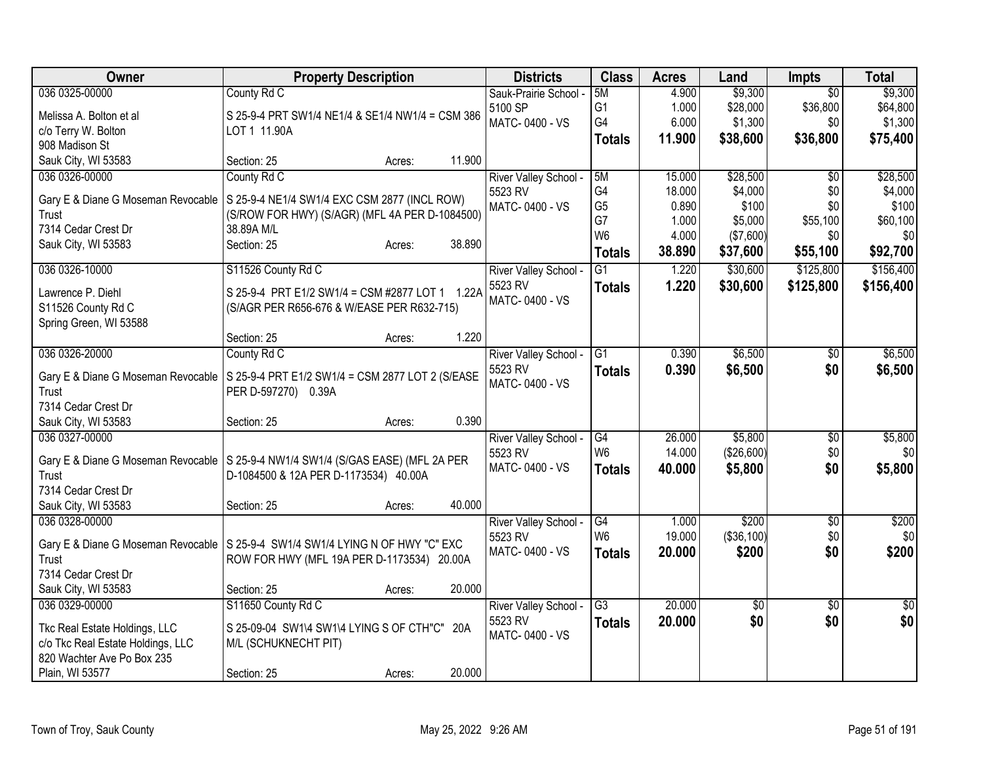| Owner                                                                              | <b>Property Description</b>                                                                    |        |        | <b>Districts</b>                      | <b>Class</b>    | <b>Acres</b> | Land       | <b>Impts</b>    | <b>Total</b> |
|------------------------------------------------------------------------------------|------------------------------------------------------------------------------------------------|--------|--------|---------------------------------------|-----------------|--------------|------------|-----------------|--------------|
| 036 0325-00000                                                                     | County Rd C                                                                                    |        |        | Sauk-Prairie School -                 | 5M              | 4.900        | \$9,300    | $\overline{30}$ | \$9,300      |
| Melissa A. Bolton et al                                                            | S 25-9-4 PRT SW1/4 NE1/4 & SE1/4 NW1/4 = CSM 386                                               |        |        | 5100 SP                               | G <sub>1</sub>  | 1.000        | \$28,000   | \$36,800        | \$64,800     |
| c/o Terry W. Bolton                                                                | LOT 1 11.90A                                                                                   |        |        | MATC-0400 - VS                        | G4              | 6.000        | \$1,300    | \$0             | \$1,300      |
| 908 Madison St                                                                     |                                                                                                |        |        |                                       | <b>Totals</b>   | 11.900       | \$38,600   | \$36,800        | \$75,400     |
| Sauk City, WI 53583                                                                | Section: 25                                                                                    | Acres: | 11.900 |                                       |                 |              |            |                 |              |
| 036 0326-00000                                                                     | County Rd C                                                                                    |        |        | <b>River Valley School</b>            | 5M              | 15.000       | \$28,500   | $\overline{50}$ | \$28,500     |
|                                                                                    |                                                                                                |        |        | 5523 RV                               | G4              | 18.000       | \$4,000    | \$0             | \$4,000      |
| Gary E & Diane G Moseman Revocable<br>Trust                                        | S 25-9-4 NE1/4 SW1/4 EXC CSM 2877 (INCL ROW)<br>(S/ROW FOR HWY) (S/AGR) (MFL 4A PER D-1084500) |        |        | MATC-0400 - VS                        | G <sub>5</sub>  | 0.890        | \$100      | \$0             | \$100        |
| 7314 Cedar Crest Dr                                                                | 38.89A M/L                                                                                     |        |        |                                       | G7              | 1.000        | \$5,000    | \$55,100        | \$60,100     |
| Sauk City, WI 53583                                                                | Section: 25                                                                                    | Acres: | 38.890 |                                       | W <sub>6</sub>  | 4.000        | (\$7,600)  | \$0             | \$0          |
|                                                                                    |                                                                                                |        |        |                                       | <b>Totals</b>   | 38.890       | \$37,600   | \$55,100        | \$92,700     |
| 036 0326-10000                                                                     | S11526 County Rd C                                                                             |        |        | River Valley School -                 | $\overline{G1}$ | 1.220        | \$30,600   | \$125,800       | \$156,400    |
| Lawrence P. Diehl                                                                  | S 25-9-4 PRT E1/2 SW1/4 = CSM #2877 LOT 1 1.22A                                                |        |        | 5523 RV                               | <b>Totals</b>   | 1.220        | \$30,600   | \$125,800       | \$156,400    |
| S11526 County Rd C                                                                 | (S/AGR PER R656-676 & W/EASE PER R632-715)                                                     |        |        | MATC-0400 - VS                        |                 |              |            |                 |              |
| Spring Green, WI 53588                                                             |                                                                                                |        |        |                                       |                 |              |            |                 |              |
|                                                                                    | Section: 25                                                                                    | Acres: | 1.220  |                                       |                 |              |            |                 |              |
| 036 0326-20000                                                                     | County Rd C                                                                                    |        |        | River Valley School -                 | G1              | 0.390        | \$6,500    | $\sqrt{$0}$     | \$6,500      |
|                                                                                    |                                                                                                |        |        | 5523 RV                               | <b>Totals</b>   | 0.390        | \$6,500    | \$0             | \$6,500      |
| Gary E & Diane G Moseman Revocable                                                 | S 25-9-4 PRT E1/2 SW1/4 = CSM 2877 LOT 2 (S/EASE                                               |        |        | MATC-0400 - VS                        |                 |              |            |                 |              |
| Trust                                                                              | PER D-597270) 0.39A                                                                            |        |        |                                       |                 |              |            |                 |              |
| 7314 Cedar Crest Dr                                                                |                                                                                                |        |        |                                       |                 |              |            |                 |              |
| Sauk City, WI 53583                                                                | Section: 25                                                                                    | Acres: | 0.390  |                                       |                 |              |            |                 |              |
| 036 0327-00000                                                                     |                                                                                                |        |        | River Valley School -                 | G4              | 26.000       | \$5,800    | $\overline{60}$ | \$5,800      |
| Gary E & Diane G Moseman Revocable   S 25-9-4 NW1/4 SW1/4 (S/GAS EASE) (MFL 2A PER |                                                                                                |        |        | 5523 RV                               | W <sub>6</sub>  | 14.000       | (\$26,600) | \$0             | \$0          |
| Trust                                                                              | D-1084500 & 12A PER D-1173534) 40.00A                                                          |        |        | MATC-0400 - VS                        | <b>Totals</b>   | 40.000       | \$5,800    | \$0             | \$5,800      |
| 7314 Cedar Crest Dr                                                                |                                                                                                |        |        |                                       |                 |              |            |                 |              |
| Sauk City, WI 53583                                                                | Section: 25                                                                                    | Acres: | 40.000 |                                       |                 |              |            |                 |              |
| 036 0328-00000                                                                     |                                                                                                |        |        | River Valley School -                 | G4              | 1.000        | \$200      | \$0             | \$200        |
|                                                                                    |                                                                                                |        |        | 5523 RV                               | W <sub>6</sub>  | 19.000       | (\$36,100) | \$0             | \$0          |
| Gary E & Diane G Moseman Revocable   S 25-9-4 SW1/4 SW1/4 LYING N OF HWY "C" EXC   |                                                                                                |        |        | MATC-0400 - VS                        | <b>Totals</b>   | 20,000       | \$200      | \$0             | \$200        |
| Trust                                                                              | ROW FOR HWY (MFL 19A PER D-1173534) 20.00A                                                     |        |        |                                       |                 |              |            |                 |              |
| 7314 Cedar Crest Dr                                                                |                                                                                                |        | 20.000 |                                       |                 |              |            |                 |              |
| Sauk City, WI 53583                                                                | Section: 25                                                                                    | Acres: |        |                                       |                 |              |            |                 |              |
| 036 0329-00000                                                                     | S11650 County Rd C                                                                             |        |        | <b>River Valley School</b><br>5523 RV | $\overline{G3}$ | 20.000       | \$0        | $\sqrt[6]{}$    | \$0          |
| Tkc Real Estate Holdings, LLC                                                      | S 25-09-04 SW1\4 SW1\4 LYING S OF CTH"C" 20A                                                   |        |        | MATC-0400 - VS                        | <b>Totals</b>   | 20.000       | \$0        | \$0             | \$0          |
| c/o Tkc Real Estate Holdings, LLC                                                  | M/L (SCHUKNECHT PIT)                                                                           |        |        |                                       |                 |              |            |                 |              |
| 820 Wachter Ave Po Box 235                                                         |                                                                                                |        |        |                                       |                 |              |            |                 |              |
| Plain, WI 53577                                                                    | Section: 25                                                                                    | Acres: | 20.000 |                                       |                 |              |            |                 |              |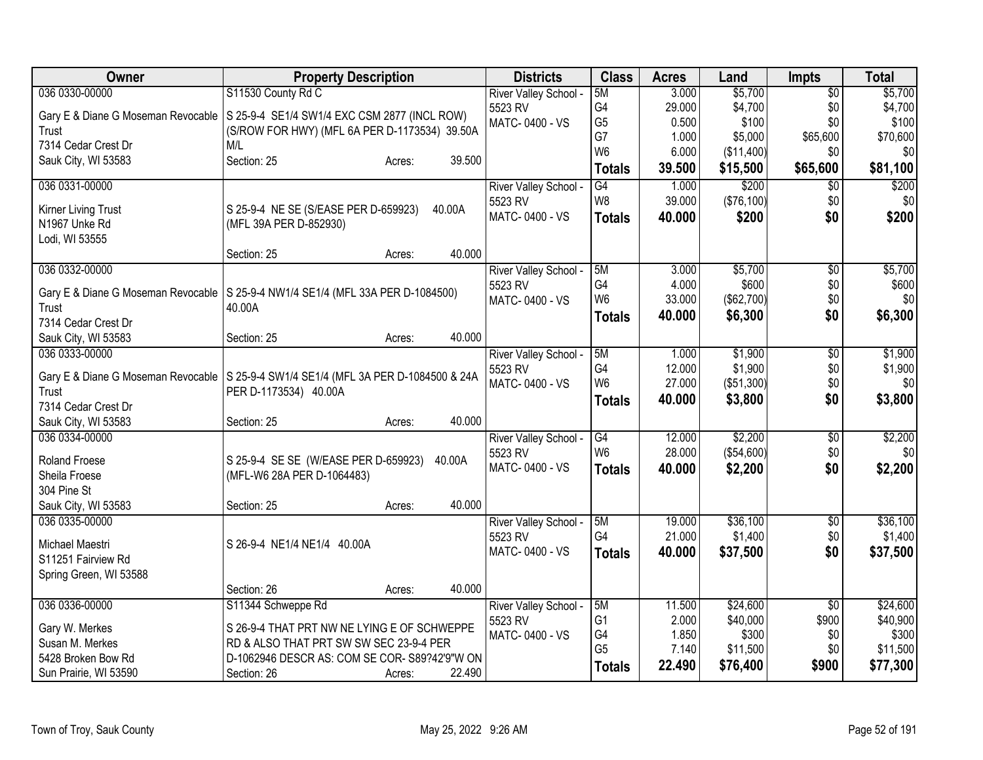| Owner                                                                                 | <b>Property Description</b>                   |                  | <b>Districts</b>      | <b>Class</b>    | <b>Acres</b> | Land       | <b>Impts</b>    | <b>Total</b> |
|---------------------------------------------------------------------------------------|-----------------------------------------------|------------------|-----------------------|-----------------|--------------|------------|-----------------|--------------|
| 036 0330-00000                                                                        | S11530 County Rd C                            |                  | River Valley School - | 5M              | 3.000        | \$5,700    | $\overline{50}$ | \$5,700      |
| Gary E & Diane G Moseman Revocable   S 25-9-4 SE1/4 SW1/4 EXC CSM 2877 (INCL ROW)     |                                               |                  | 5523 RV               | G4              | 29.000       | \$4,700    | \$0             | \$4,700      |
| Trust                                                                                 | (S/ROW FOR HWY) (MFL 6A PER D-1173534) 39.50A |                  | MATC-0400 - VS        | G <sub>5</sub>  | 0.500        | \$100      | \$0             | \$100        |
| 7314 Cedar Crest Dr                                                                   | M/L                                           |                  |                       | G7              | 1.000        | \$5,000    | \$65,600        | \$70,600     |
| Sauk City, WI 53583                                                                   | Section: 25                                   | 39.500<br>Acres: |                       | W <sub>6</sub>  | 6.000        | (\$11,400) | \$0             | \$0          |
|                                                                                       |                                               |                  |                       | <b>Totals</b>   | 39.500       | \$15,500   | \$65,600        | \$81,100     |
| 036 0331-00000                                                                        |                                               |                  | River Valley School - | $\overline{G4}$ | 1.000        | \$200      | $\overline{50}$ | \$200        |
| Kirner Living Trust                                                                   | S 25-9-4 NE SE (S/EASE PER D-659923)          | 40.00A           | 5523 RV               | W8              | 39.000       | (\$76,100) | \$0             | \$0          |
| N1967 Unke Rd                                                                         | (MFL 39A PER D-852930)                        |                  | MATC-0400 - VS        | <b>Totals</b>   | 40.000       | \$200      | \$0             | \$200        |
| Lodi, WI 53555                                                                        |                                               |                  |                       |                 |              |            |                 |              |
|                                                                                       | Section: 25                                   | 40.000<br>Acres: |                       |                 |              |            |                 |              |
| 036 0332-00000                                                                        |                                               |                  | River Valley School - | 5M              | 3.000        | \$5,700    | $\overline{50}$ | \$5,700      |
| Gary E & Diane G Moseman Revocable   S 25-9-4 NW1/4 SE1/4 (MFL 33A PER D-1084500)     |                                               |                  | 5523 RV               | G4              | 4.000        | \$600      | \$0             | \$600        |
| Trust                                                                                 | 40.00A                                        |                  | MATC-0400 - VS        | W <sub>6</sub>  | 33.000       | (\$62,700) | \$0             | \$0          |
| 7314 Cedar Crest Dr                                                                   |                                               |                  |                       | <b>Totals</b>   | 40.000       | \$6,300    | \$0             | \$6,300      |
| Sauk City, WI 53583                                                                   | Section: 25                                   | 40.000<br>Acres: |                       |                 |              |            |                 |              |
| 036 0333-00000                                                                        |                                               |                  | River Valley School - | 5M              | 1.000        | \$1,900    | $\overline{50}$ | \$1,900      |
|                                                                                       |                                               |                  | 5523 RV               | G4              | 12.000       | \$1,900    | \$0             | \$1,900      |
| Gary E & Diane G Moseman Revocable   S 25-9-4 SW1/4 SE1/4 (MFL 3A PER D-1084500 & 24A |                                               |                  | MATC-0400 - VS        | W <sub>6</sub>  | 27.000       | (\$51,300) | \$0             | \$0          |
| Trust<br>7314 Cedar Crest Dr                                                          | PER D-1173534) 40.00A                         |                  |                       | <b>Totals</b>   | 40.000       | \$3,800    | \$0             | \$3,800      |
| Sauk City, WI 53583                                                                   | Section: 25                                   | 40.000<br>Acres: |                       |                 |              |            |                 |              |
| 036 0334-00000                                                                        |                                               |                  | River Valley School - | G4              | 12.000       | \$2,200    | $\overline{60}$ | \$2,200      |
|                                                                                       |                                               |                  | 5523 RV               | W <sub>6</sub>  | 28.000       | (\$54,600) | \$0             | \$0          |
| Roland Froese                                                                         | S 25-9-4 SE SE (W/EASE PER D-659923)          | 40.00A           | MATC-0400 - VS        | <b>Totals</b>   | 40.000       | \$2,200    | \$0             | \$2,200      |
| Sheila Froese                                                                         | (MFL-W6 28A PER D-1064483)                    |                  |                       |                 |              |            |                 |              |
| 304 Pine St                                                                           |                                               |                  |                       |                 |              |            |                 |              |
| Sauk City, WI 53583                                                                   | Section: 25                                   | 40.000<br>Acres: |                       |                 |              |            |                 |              |
| 036 0335-00000                                                                        |                                               |                  | River Valley School - | 5M              | 19.000       | \$36,100   | $\sqrt[6]{}$    | \$36,100     |
| Michael Maestri                                                                       | S 26-9-4 NE1/4 NE1/4 40.00A                   |                  | 5523 RV               | G <sub>4</sub>  | 21.000       | \$1,400    | \$0             | \$1,400      |
| S11251 Fairview Rd                                                                    |                                               |                  | MATC-0400 - VS        | <b>Totals</b>   | 40.000       | \$37,500   | \$0             | \$37,500     |
| Spring Green, WI 53588                                                                |                                               |                  |                       |                 |              |            |                 |              |
|                                                                                       | Section: 26                                   | 40.000<br>Acres: |                       |                 |              |            |                 |              |
| 036 0336-00000                                                                        | S11344 Schweppe Rd                            |                  | River Valley School - | 5M              | 11.500       | \$24,600   | \$0             | \$24,600     |
| Gary W. Merkes                                                                        | S 26-9-4 THAT PRT NW NE LYING E OF SCHWEPPE   |                  | 5523 RV               | G <sub>1</sub>  | 2.000        | \$40,000   | \$900           | \$40,900     |
| Susan M. Merkes                                                                       | RD & ALSO THAT PRT SW SW SEC 23-9-4 PER       |                  | MATC-0400 - VS        | G4              | 1.850        | \$300      | \$0             | \$300        |
| 5428 Broken Bow Rd                                                                    | D-1062946 DESCR AS: COM SE COR- S89?42'9"W ON |                  |                       | G <sub>5</sub>  | 7.140        | \$11,500   | \$0             | \$11,500     |
| Sun Prairie, WI 53590                                                                 | Section: 26                                   | 22.490<br>Acres: |                       | <b>Totals</b>   | 22.490       | \$76,400   | \$900           | \$77,300     |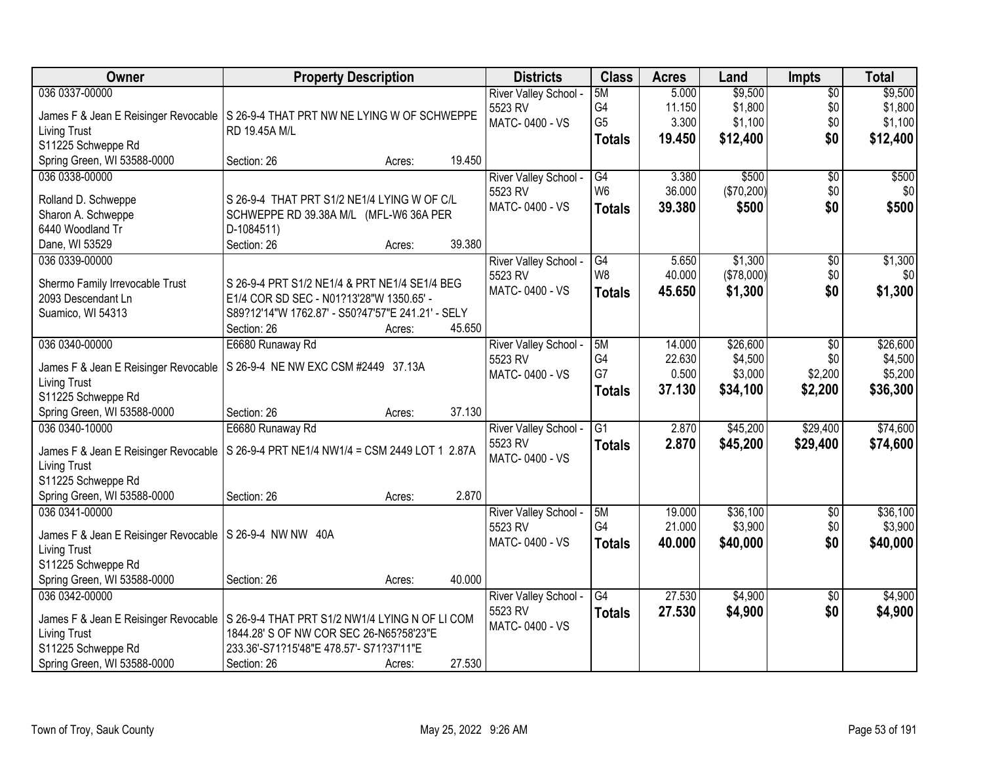| <b>Owner</b>                                              | <b>Property Description</b>                       |        |        | <b>Districts</b>           | <b>Class</b>    | <b>Acres</b> | Land       | <b>Impts</b>    | <b>Total</b> |
|-----------------------------------------------------------|---------------------------------------------------|--------|--------|----------------------------|-----------------|--------------|------------|-----------------|--------------|
| 036 0337-00000                                            |                                                   |        |        | River Valley School -      | 5M              | 5.000        | \$9,500    | $\sqrt{$0}$     | \$9,500      |
| James F & Jean E Reisinger Revocable                      | S 26-9-4 THAT PRT NW NE LYING W OF SCHWEPPE       |        |        | 5523 RV                    | G4              | 11.150       | \$1,800    | \$0             | \$1,800      |
| <b>Living Trust</b>                                       | RD 19.45A M/L                                     |        |        | MATC-0400 - VS             | G <sub>5</sub>  | 3.300        | \$1,100    | \$0             | \$1,100      |
| S11225 Schweppe Rd                                        |                                                   |        |        |                            | <b>Totals</b>   | 19.450       | \$12,400   | \$0             | \$12,400     |
| Spring Green, WI 53588-0000                               | Section: 26                                       | Acres: | 19.450 |                            |                 |              |            |                 |              |
| 036 0338-00000                                            |                                                   |        |        | River Valley School -      | $\overline{G4}$ | 3.380        | \$500      | $\overline{50}$ | \$500        |
|                                                           |                                                   |        |        | 5523 RV                    | W <sub>6</sub>  | 36.000       | (\$70,200) | \$0             | \$0          |
| Rolland D. Schweppe                                       | S 26-9-4 THAT PRT S1/2 NE1/4 LYING W OF C/L       |        |        | MATC-0400 - VS             | <b>Totals</b>   | 39.380       | \$500      | \$0             | \$500        |
| Sharon A. Schweppe                                        | SCHWEPPE RD 39.38A M/L (MFL-W6 36A PER            |        |        |                            |                 |              |            |                 |              |
| 6440 Woodland Tr                                          | D-1084511)                                        |        |        |                            |                 |              |            |                 |              |
| Dane, WI 53529                                            | Section: 26                                       | Acres: | 39.380 |                            |                 |              |            |                 |              |
| 036 0339-00000                                            |                                                   |        |        | River Valley School -      | $\overline{G4}$ | 5.650        | \$1,300    | \$0             | \$1,300      |
| Shermo Family Irrevocable Trust                           | S 26-9-4 PRT S1/2 NE1/4 & PRT NE1/4 SE1/4 BEG     |        |        | 5523 RV                    | W <sub>8</sub>  | 40.000       | (\$78,000) | \$0             | \$0          |
| 2093 Descendant Ln                                        | E1/4 COR SD SEC - N01?13'28"W 1350.65' -          |        |        | MATC-0400 - VS             | <b>Totals</b>   | 45.650       | \$1,300    | \$0             | \$1,300      |
| Suamico, WI 54313                                         | S89?12'14"W 1762.87' - S50?47'57"E 241.21' - SELY |        |        |                            |                 |              |            |                 |              |
|                                                           | Section: 26                                       | Acres: | 45.650 |                            |                 |              |            |                 |              |
| 036 0340-00000                                            | E6680 Runaway Rd                                  |        |        | River Valley School -      | 5M              | 14.000       | \$26,600   | $\sqrt{6}$      | \$26,600     |
|                                                           |                                                   |        |        | 5523 RV                    | G4              | 22.630       | \$4,500    | \$0             | \$4,500      |
| James F & Jean E Reisinger Revocable                      | S 26-9-4 NE NW EXC CSM #2449 37.13A               |        |        | MATC-0400 - VS             | G7              | 0.500        | \$3,000    | \$2,200         | \$5,200      |
| <b>Living Trust</b>                                       |                                                   |        |        |                            | <b>Totals</b>   | 37.130       | \$34,100   | \$2,200         | \$36,300     |
| S11225 Schweppe Rd                                        |                                                   |        |        |                            |                 |              |            |                 |              |
| Spring Green, WI 53588-0000                               | Section: 26                                       | Acres: | 37.130 |                            |                 |              |            |                 |              |
| 036 0340-10000                                            | E6680 Runaway Rd                                  |        |        | River Valley School -      | $\overline{G1}$ | 2.870        | \$45,200   | \$29,400        | \$74,600     |
| James F & Jean E Reisinger Revocable                      | S 26-9-4 PRT NE1/4 NW1/4 = CSM 2449 LOT 1 2.87A   |        |        | 5523 RV                    | <b>Totals</b>   | 2.870        | \$45,200   | \$29,400        | \$74,600     |
| <b>Living Trust</b>                                       |                                                   |        |        | MATC-0400 - VS             |                 |              |            |                 |              |
| S11225 Schweppe Rd                                        |                                                   |        |        |                            |                 |              |            |                 |              |
| Spring Green, WI 53588-0000                               | Section: 26                                       | Acres: | 2.870  |                            |                 |              |            |                 |              |
| 036 0341-00000                                            |                                                   |        |        | River Valley School -      | 5M              | 19.000       | \$36,100   | $\overline{$0}$ | \$36,100     |
|                                                           |                                                   |        |        | 5523 RV                    | G <sub>4</sub>  | 21.000       | \$3,900    | \$0             | \$3,900      |
| James F & Jean E Reisinger Revocable   S 26-9-4 NW NW 40A |                                                   |        |        | MATC-0400 - VS             | <b>Totals</b>   | 40,000       | \$40,000   | \$0             | \$40,000     |
| <b>Living Trust</b>                                       |                                                   |        |        |                            |                 |              |            |                 |              |
| S11225 Schweppe Rd                                        |                                                   |        | 40.000 |                            |                 |              |            |                 |              |
| Spring Green, WI 53588-0000                               | Section: 26                                       | Acres: |        |                            |                 |              |            |                 |              |
| 036 0342-00000                                            |                                                   |        |        | <b>River Valley School</b> | G4              | 27.530       | \$4,900    | $\overline{50}$ | \$4,900      |
| James F & Jean E Reisinger Revocable                      | S 26-9-4 THAT PRT S1/2 NW1/4 LYING N OF LI COM    |        |        | 5523 RV                    | <b>Totals</b>   | 27.530       | \$4,900    | \$0             | \$4,900      |
| <b>Living Trust</b>                                       | 1844.28' S OF NW COR SEC 26-N65?58'23"E           |        |        | MATC-0400 - VS             |                 |              |            |                 |              |
| S11225 Schweppe Rd                                        | 233.36'-S71?15'48"E 478.57'- S71?37'11"E          |        |        |                            |                 |              |            |                 |              |
| Spring Green, WI 53588-0000                               | Section: 26                                       | Acres: | 27.530 |                            |                 |              |            |                 |              |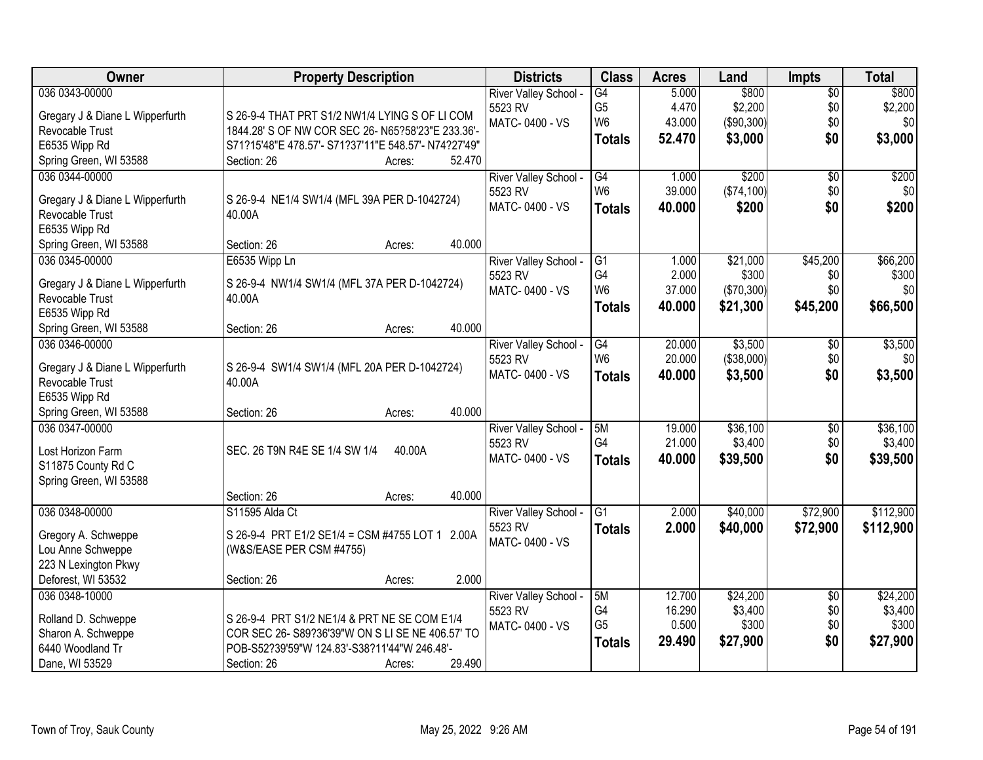| Owner                                     | <b>Property Description</b>                                                                      | <b>Districts</b>          | <b>Class</b>         | <b>Acres</b>    | Land                | <b>Impts</b>    | <b>Total</b> |
|-------------------------------------------|--------------------------------------------------------------------------------------------------|---------------------------|----------------------|-----------------|---------------------|-----------------|--------------|
| 036 0343-00000                            |                                                                                                  | River Valley School -     | $\overline{G4}$      | 5.000           | \$800               | $\overline{50}$ | \$800        |
| Gregary J & Diane L Wipperfurth           | S 26-9-4 THAT PRT S1/2 NW1/4 LYING S OF LI COM                                                   | 5523 RV                   | G <sub>5</sub>       | 4.470           | \$2,200             | \$0             | \$2,200      |
| Revocable Trust                           | 1844.28' S OF NW COR SEC 26- N65?58'23"E 233.36'-                                                | MATC-0400 - VS            | W <sub>6</sub>       | 43.000          | (\$90,300)          | \$0             | \$0          |
| E6535 Wipp Rd                             | S71?15'48"E 478.57'- S71?37'11"E 548.57'- N74?27'49"                                             |                           | <b>Totals</b>        | 52.470          | \$3,000             | \$0             | \$3,000      |
| Spring Green, WI 53588                    | 52.470<br>Section: 26<br>Acres:                                                                  |                           |                      |                 |                     |                 |              |
| 036 0344-00000                            |                                                                                                  | River Valley School -     | G4                   | 1.000           | \$200               | $\overline{50}$ | \$200        |
|                                           |                                                                                                  | 5523 RV                   | W <sub>6</sub>       | 39.000          | (\$74,100)          | \$0             | \$0          |
| Gregary J & Diane L Wipperfurth           | S 26-9-4 NE1/4 SW1/4 (MFL 39A PER D-1042724)                                                     | MATC-0400 - VS            | <b>Totals</b>        | 40.000          | \$200               | \$0             | \$200        |
| Revocable Trust                           | 40.00A                                                                                           |                           |                      |                 |                     |                 |              |
| E6535 Wipp Rd                             |                                                                                                  |                           |                      |                 |                     |                 |              |
| Spring Green, WI 53588                    | 40.000<br>Section: 26<br>Acres:                                                                  |                           |                      |                 |                     |                 |              |
| 036 0345-00000                            | E6535 Wipp Ln                                                                                    | River Valley School -     | G <sub>1</sub><br>G4 | 1.000           | \$21,000            | \$45,200        | \$66,200     |
| Gregary J & Diane L Wipperfurth           | S 26-9-4 NW1/4 SW1/4 (MFL 37A PER D-1042724)                                                     | 5523 RV<br>MATC-0400 - VS | W <sub>6</sub>       | 2.000<br>37.000 | \$300<br>(\$70,300) | \$0<br>\$0      | \$300<br>\$0 |
| Revocable Trust                           | 40.00A                                                                                           |                           |                      |                 |                     |                 |              |
| E6535 Wipp Rd                             |                                                                                                  |                           | <b>Totals</b>        | 40.000          | \$21,300            | \$45,200        | \$66,500     |
| Spring Green, WI 53588                    | 40.000<br>Section: 26<br>Acres:                                                                  |                           |                      |                 |                     |                 |              |
| 036 0346-00000                            |                                                                                                  | River Valley School -     | G4                   | 20.000          | \$3,500             | \$0             | \$3,500      |
| Gregary J & Diane L Wipperfurth           | S 26-9-4 SW1/4 SW1/4 (MFL 20A PER D-1042724)                                                     | 5523 RV                   | W <sub>6</sub>       | 20.000          | (\$38,000)          | \$0             | \$0          |
| Revocable Trust                           | 40.00A                                                                                           | MATC-0400 - VS            | <b>Totals</b>        | 40.000          | \$3,500             | \$0             | \$3,500      |
| E6535 Wipp Rd                             |                                                                                                  |                           |                      |                 |                     |                 |              |
| Spring Green, WI 53588                    | 40.000<br>Section: 26<br>Acres:                                                                  |                           |                      |                 |                     |                 |              |
| 036 0347-00000                            |                                                                                                  | River Valley School -     | 5M                   | 19.000          | \$36,100            | \$0             | \$36,100     |
|                                           |                                                                                                  | 5523 RV                   | G4                   | 21.000          | \$3,400             | \$0             | \$3,400      |
| Lost Horizon Farm                         | SEC. 26 T9N R4E SE 1/4 SW 1/4<br>40.00A                                                          | MATC-0400 - VS            | <b>Totals</b>        | 40.000          | \$39,500            | \$0             | \$39,500     |
| S11875 County Rd C                        |                                                                                                  |                           |                      |                 |                     |                 |              |
| Spring Green, WI 53588                    |                                                                                                  |                           |                      |                 |                     |                 |              |
|                                           | 40.000<br>Section: 26<br>Acres:                                                                  |                           |                      |                 |                     |                 |              |
| 036 0348-00000                            | S11595 Alda Ct                                                                                   | River Valley School -     | G <sub>1</sub>       | 2.000           | \$40,000            | \$72,900        | \$112,900    |
| Gregory A. Schweppe                       | S 26-9-4 PRT E1/2 SE1/4 = CSM #4755 LOT 1 2.00A                                                  | 5523 RV                   | <b>Totals</b>        | 2.000           | \$40,000            | \$72,900        | \$112,900    |
| Lou Anne Schweppe                         | (W&S/EASE PER CSM #4755)                                                                         | MATC-0400 - VS            |                      |                 |                     |                 |              |
| 223 N Lexington Pkwy                      |                                                                                                  |                           |                      |                 |                     |                 |              |
| Deforest, WI 53532                        | 2.000<br>Section: 26<br>Acres:                                                                   |                           |                      |                 |                     |                 |              |
| 036 0348-10000                            |                                                                                                  | River Valley School -     | 5M                   | 12.700          | \$24,200            | $\overline{50}$ | \$24,200     |
|                                           |                                                                                                  | 5523 RV                   | G4                   | 16.290          | \$3,400             | \$0             | \$3,400      |
| Rolland D. Schweppe<br>Sharon A. Schweppe | S 26-9-4 PRT S1/2 NE1/4 & PRT NE SE COM E1/4<br>COR SEC 26- S89?36'39"W ON S LI SE NE 406.57' TO | MATC-0400 - VS            | G <sub>5</sub>       | 0.500           | \$300               | \$0             | \$300        |
| 6440 Woodland Tr                          | POB-S52?39'59"W 124.83'-S38?11'44"W 246.48'-                                                     |                           | <b>Totals</b>        | 29.490          | \$27,900            | \$0             | \$27,900     |
| Dane, WI 53529                            | 29.490<br>Section: 26<br>Acres:                                                                  |                           |                      |                 |                     |                 |              |
|                                           |                                                                                                  |                           |                      |                 |                     |                 |              |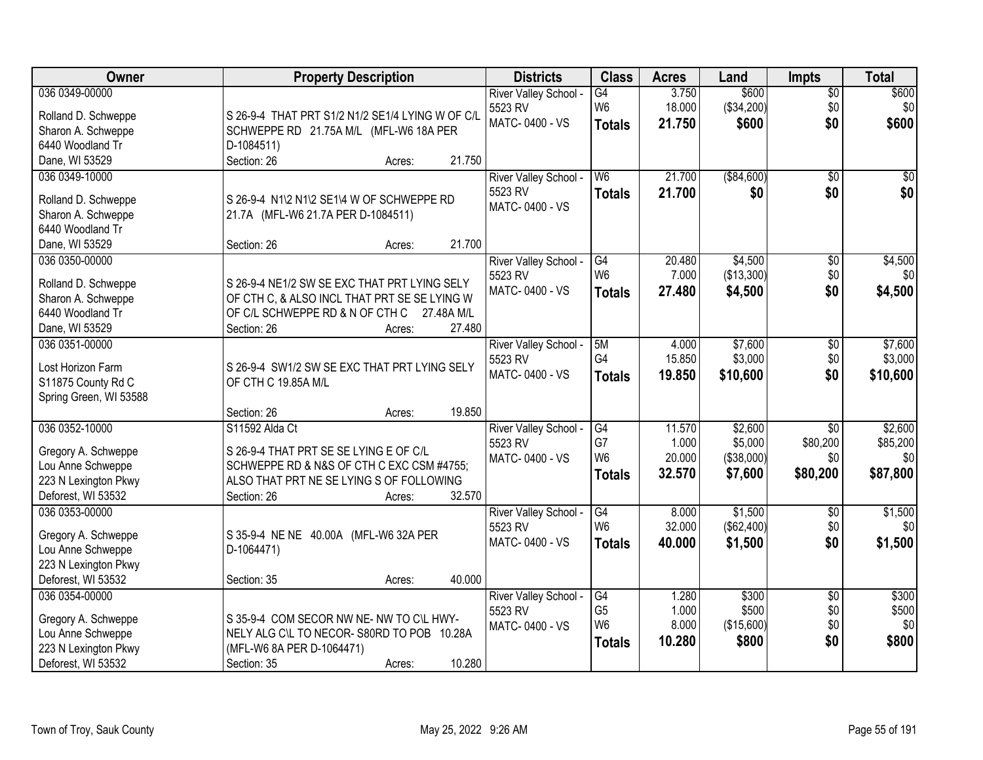| Owner                                  | <b>Property Description</b>                      | <b>Districts</b>                 | <b>Class</b>   | <b>Acres</b> | Land        | <b>Impts</b>    | <b>Total</b> |
|----------------------------------------|--------------------------------------------------|----------------------------------|----------------|--------------|-------------|-----------------|--------------|
| 036 0349-00000                         |                                                  | River Valley School -            | G4             | 3.750        | \$600       | $\sqrt{$0}$     | \$600        |
| Rolland D. Schweppe                    | S 26-9-4 THAT PRT S1/2 N1/2 SE1/4 LYING W OF C/L | 5523 RV                          | W <sub>6</sub> | 18.000       | (\$34,200)  | \$0             | \$0          |
| Sharon A. Schweppe                     | SCHWEPPE RD 21.75A M/L (MFL-W6 18A PER           | MATC-0400 - VS                   | <b>Totals</b>  | 21.750       | \$600       | \$0             | \$600        |
| 6440 Woodland Tr                       | D-1084511)                                       |                                  |                |              |             |                 |              |
| Dane, WI 53529                         | 21.750<br>Section: 26<br>Acres:                  |                                  |                |              |             |                 |              |
| 036 0349-10000                         |                                                  | River Valley School -            | W <sub>6</sub> | 21.700       | ( \$84,600) | $\overline{50}$ | \$0          |
|                                        |                                                  | 5523 RV                          | <b>Totals</b>  | 21.700       | \$0         | \$0             | \$0          |
| Rolland D. Schweppe                    | S 26-9-4 N1\2 N1\2 SE1\4 W OF SCHWEPPE RD        | MATC-0400 - VS                   |                |              |             |                 |              |
| Sharon A. Schweppe<br>6440 Woodland Tr | 21.7A (MFL-W6 21.7A PER D-1084511)               |                                  |                |              |             |                 |              |
| Dane, WI 53529                         | 21.700<br>Section: 26<br>Acres:                  |                                  |                |              |             |                 |              |
| 036 0350-00000                         |                                                  |                                  | G4             | 20.480       | \$4,500     | $\overline{50}$ | \$4,500      |
|                                        |                                                  | River Valley School -<br>5523 RV | W <sub>6</sub> | 7.000        | (\$13,300)  | \$0             | \$0          |
| Rolland D. Schweppe                    | S 26-9-4 NE1/2 SW SE EXC THAT PRT LYING SELY     | MATC-0400 - VS                   |                | 27.480       | \$4,500     | \$0             |              |
| Sharon A. Schweppe                     | OF CTH C, & ALSO INCL THAT PRT SE SE LYING W     |                                  | <b>Totals</b>  |              |             |                 | \$4,500      |
| 6440 Woodland Tr                       | OF C/L SCHWEPPE RD & N OF CTH C 27.48A M/L       |                                  |                |              |             |                 |              |
| Dane, WI 53529                         | Section: 26<br>27.480<br>Acres:                  |                                  |                |              |             |                 |              |
| 036 0351-00000                         |                                                  | River Valley School -            | 5M             | 4.000        | \$7,600     | \$0             | \$7,600      |
| Lost Horizon Farm                      | S 26-9-4 SW1/2 SW SE EXC THAT PRT LYING SELY     | 5523 RV                          | G4             | 15.850       | \$3,000     | \$0             | \$3,000      |
| S11875 County Rd C                     | OF CTH C 19.85A M/L                              | MATC-0400 - VS                   | <b>Totals</b>  | 19.850       | \$10,600    | \$0             | \$10,600     |
| Spring Green, WI 53588                 |                                                  |                                  |                |              |             |                 |              |
|                                        | 19.850<br>Section: 26<br>Acres:                  |                                  |                |              |             |                 |              |
| 036 0352-10000                         | S11592 Alda Ct                                   | River Valley School -            | G4             | 11.570       | \$2,600     | \$0             | \$2,600      |
|                                        |                                                  | 5523 RV                          | G7             | 1.000        | \$5,000     | \$80,200        | \$85,200     |
| Gregory A. Schweppe                    | S 26-9-4 THAT PRT SE SE LYING E OF C/L           | MATC-0400 - VS                   | W <sub>6</sub> | 20.000       | (\$38,000)  | \$0             | \$0          |
| Lou Anne Schweppe                      | SCHWEPPE RD & N&S OF CTH C EXC CSM #4755;        |                                  | <b>Totals</b>  | 32.570       | \$7,600     | \$80,200        | \$87,800     |
| 223 N Lexington Pkwy                   | ALSO THAT PRT NE SE LYING S OF FOLLOWING         |                                  |                |              |             |                 |              |
| Deforest, WI 53532                     | 32.570<br>Section: 26<br>Acres:                  |                                  |                |              |             |                 |              |
| 036 0353-00000                         |                                                  | River Valley School -            | G4             | 8.000        | \$1,500     | $\overline{$0}$ | \$1,500      |
| Gregory A. Schweppe                    | S 35-9-4 NE NE 40.00A (MFL-W6 32A PER            | 5523 RV                          | W <sub>6</sub> | 32.000       | (\$62,400)  | \$0             | \$0          |
| Lou Anne Schweppe                      | D-1064471)                                       | MATC-0400 - VS                   | <b>Totals</b>  | 40.000       | \$1,500     | \$0             | \$1,500      |
| 223 N Lexington Pkwy                   |                                                  |                                  |                |              |             |                 |              |
| Deforest, WI 53532                     | 40.000<br>Section: 35<br>Acres:                  |                                  |                |              |             |                 |              |
| 036 0354-00000                         |                                                  | River Valley School -            | G4             | 1.280        | \$300       | $\overline{50}$ | \$300        |
|                                        |                                                  | 5523 RV                          | G <sub>5</sub> | 1.000        | \$500       | \$0             | \$500        |
| Gregory A. Schweppe                    | S 35-9-4 COM SECOR NW NE- NW TO C\L HWY-         | MATC-0400 - VS                   | W <sub>6</sub> | 8.000        | (\$15,600)  | \$0             | \$0          |
| Lou Anne Schweppe                      | NELY ALG C\L TO NECOR-S80RD TO POB 10.28A        |                                  | <b>Totals</b>  | 10.280       | \$800       | \$0             | \$800        |
| 223 N Lexington Pkwy                   | (MFL-W6 8A PER D-1064471)                        |                                  |                |              |             |                 |              |
| Deforest, WI 53532                     | 10.280<br>Section: 35<br>Acres:                  |                                  |                |              |             |                 |              |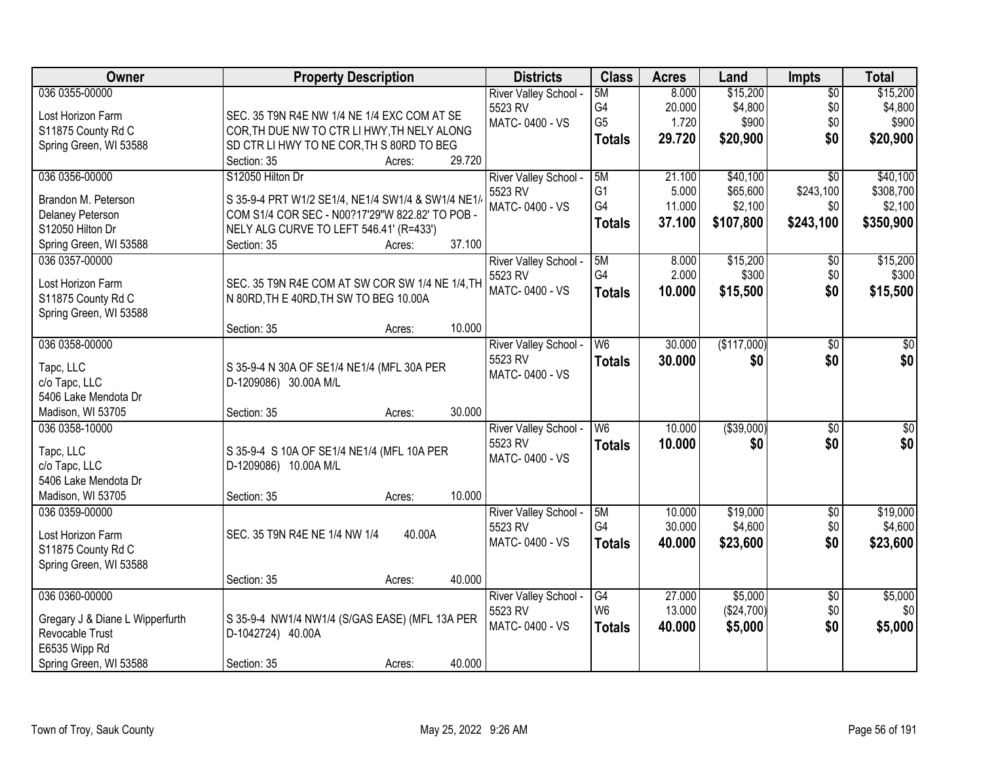| Owner                           | <b>Property Description</b>                       | <b>Districts</b>                 | <b>Class</b>             | <b>Acres</b> | Land        | <b>Impts</b>    | <b>Total</b>    |
|---------------------------------|---------------------------------------------------|----------------------------------|--------------------------|--------------|-------------|-----------------|-----------------|
| 036 0355-00000                  |                                                   | River Valley School -            | 5M                       | 8.000        | \$15,200    | $\overline{50}$ | \$15,200        |
| Lost Horizon Farm               | SEC. 35 T9N R4E NW 1/4 NE 1/4 EXC COM AT SE       | 5523 RV                          | G4                       | 20.000       | \$4,800     | \$0             | \$4,800         |
| S11875 County Rd C              | COR, TH DUE NW TO CTR LI HWY, TH NELY ALONG       | MATC-0400 - VS                   | G <sub>5</sub>           | 1.720        | \$900       | \$0             | \$900           |
| Spring Green, WI 53588          | SD CTR LI HWY TO NE COR, TH S 80RD TO BEG         |                                  | <b>Totals</b>            | 29.720       | \$20,900    | \$0             | \$20,900        |
|                                 | 29.720<br>Section: 35<br>Acres:                   |                                  |                          |              |             |                 |                 |
| 036 0356-00000                  | S12050 Hilton Dr                                  | River Valley School -            | 5M                       | 21.100       | \$40,100    | $\overline{30}$ | \$40,100        |
| Brandon M. Peterson             | S 35-9-4 PRT W1/2 SE1/4, NE1/4 SW1/4 & SW1/4 NE1/ | 5523 RV                          | G <sub>1</sub>           | 5.000        | \$65,600    | \$243,100       | \$308,700       |
| <b>Delaney Peterson</b>         | COM S1/4 COR SEC - N00?17'29"W 822.82' TO POB -   | MATC-0400 - VS                   | G4                       | 11.000       | \$2,100     | \$0             | \$2,100         |
| S12050 Hilton Dr                | NELY ALG CURVE TO LEFT 546.41' (R=433')           |                                  | <b>Totals</b>            | 37.100       | \$107,800   | \$243,100       | \$350,900       |
| Spring Green, WI 53588          | 37.100<br>Section: 35<br>Acres:                   |                                  |                          |              |             |                 |                 |
| 036 0357-00000                  |                                                   | River Valley School -            | 5M                       | 8.000        | \$15,200    | $\sqrt[6]{}$    | \$15,200        |
|                                 |                                                   | 5523 RV                          | G4                       | 2.000        | \$300       | \$0             | \$300           |
| Lost Horizon Farm               | SEC. 35 T9N R4E COM AT SW COR SW 1/4 NE 1/4, TH   | MATC-0400 - VS                   | <b>Totals</b>            | 10.000       | \$15,500    | \$0             | \$15,500        |
| S11875 County Rd C              | N 80RD, TH E 40RD, TH SW TO BEG 10.00A            |                                  |                          |              |             |                 |                 |
| Spring Green, WI 53588          | 10.000<br>Section: 35                             |                                  |                          |              |             |                 |                 |
| 036 0358-00000                  | Acres:                                            |                                  | W <sub>6</sub>           | 30.000       | (\$117,000) | \$0             | \$0             |
|                                 |                                                   | River Valley School -<br>5523 RV |                          |              |             | \$0             | \$0             |
| Tapc, LLC                       | S 35-9-4 N 30A OF SE1/4 NE1/4 (MFL 30A PER        | MATC-0400 - VS                   | <b>Totals</b>            | 30.000       | \$0         |                 |                 |
| c/o Tapc, LLC                   | D-1209086) 30.00A M/L                             |                                  |                          |              |             |                 |                 |
| 5406 Lake Mendota Dr            |                                                   |                                  |                          |              |             |                 |                 |
| Madison, WI 53705               | 30.000<br>Section: 35<br>Acres:                   |                                  |                          |              |             |                 |                 |
| 036 0358-10000                  |                                                   | River Valley School -            | $\overline{\mathsf{W6}}$ | 10.000       | ( \$39,000) | $\overline{50}$ | $\overline{50}$ |
| Tapc, LLC                       | S 35-9-4 S 10A OF SE1/4 NE1/4 (MFL 10A PER        | 5523 RV                          | <b>Totals</b>            | 10.000       | \$0         | \$0             | \$0             |
| c/o Tapc, LLC                   | D-1209086) 10.00A M/L                             | MATC-0400 - VS                   |                          |              |             |                 |                 |
| 5406 Lake Mendota Dr            |                                                   |                                  |                          |              |             |                 |                 |
| Madison, WI 53705               | 10.000<br>Section: 35<br>Acres:                   |                                  |                          |              |             |                 |                 |
| 036 0359-00000                  |                                                   | River Valley School -            | 5M                       | 10.000       | \$19,000    | $\overline{60}$ | \$19,000        |
| Lost Horizon Farm               | 40.00A<br>SEC. 35 T9N R4E NE 1/4 NW 1/4           | 5523 RV                          | G4                       | 30.000       | \$4,600     | \$0             | \$4,600         |
| S11875 County Rd C              |                                                   | MATC-0400 - VS                   | <b>Totals</b>            | 40.000       | \$23,600    | \$0             | \$23,600        |
| Spring Green, WI 53588          |                                                   |                                  |                          |              |             |                 |                 |
|                                 | 40.000<br>Section: 35<br>Acres:                   |                                  |                          |              |             |                 |                 |
| 036 0360-00000                  |                                                   | River Valley School -            | G4                       | 27.000       | \$5,000     | $\overline{50}$ | \$5,000         |
|                                 |                                                   | 5523 RV                          | W <sub>6</sub>           | 13.000       | (\$24,700)  | \$0             | \$0             |
| Gregary J & Diane L Wipperfurth | S 35-9-4 NW1/4 NW1/4 (S/GAS EASE) (MFL 13A PER    | MATC-0400 - VS                   | <b>Totals</b>            | 40.000       | \$5,000     | \$0             | \$5,000         |
| Revocable Trust                 | D-1042724) 40.00A                                 |                                  |                          |              |             |                 |                 |
| E6535 Wipp Rd                   |                                                   |                                  |                          |              |             |                 |                 |
| Spring Green, WI 53588          | 40.000<br>Section: 35<br>Acres:                   |                                  |                          |              |             |                 |                 |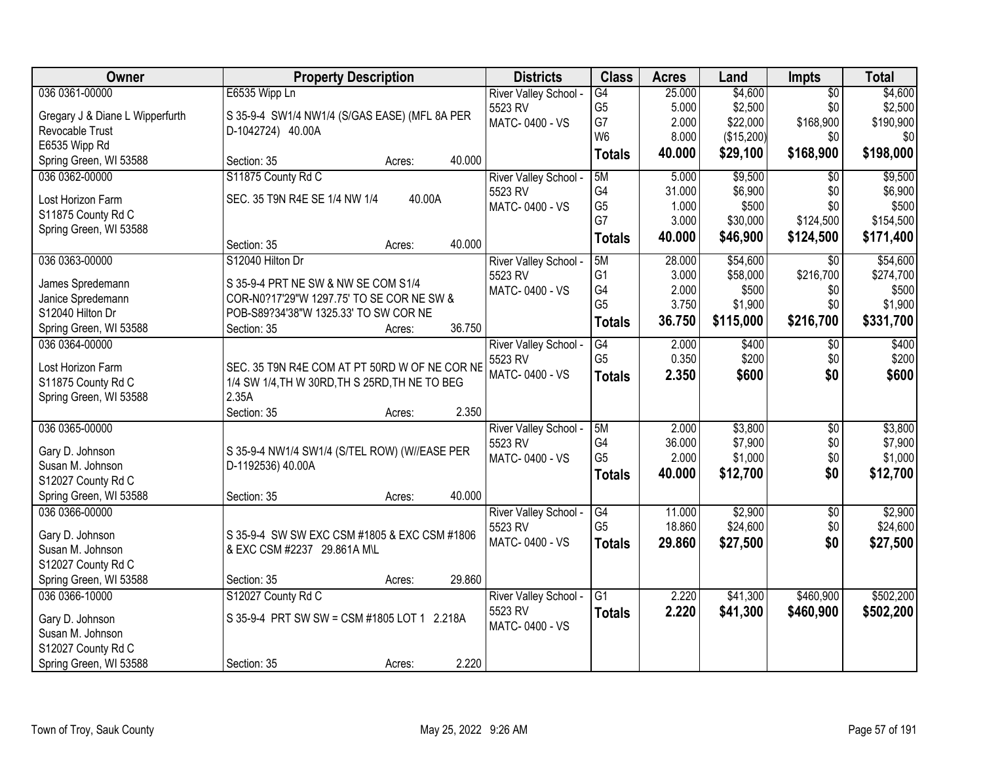| Owner                           | <b>Property Description</b>                    | <b>Districts</b>      | <b>Class</b>    | <b>Acres</b> | Land       | <b>Impts</b>    | <b>Total</b> |
|---------------------------------|------------------------------------------------|-----------------------|-----------------|--------------|------------|-----------------|--------------|
| 036 0361-00000                  | E6535 Wipp Ln                                  | River Valley School - | $\overline{G4}$ | 25.000       | \$4,600    | $\overline{50}$ | \$4,600      |
| Gregary J & Diane L Wipperfurth | S 35-9-4 SW1/4 NW1/4 (S/GAS EASE) (MFL 8A PER  | 5523 RV               | G <sub>5</sub>  | 5.000        | \$2,500    | \$0             | \$2,500      |
| Revocable Trust                 | D-1042724) 40.00A                              | MATC-0400 - VS        | G7              | 2.000        | \$22,000   | \$168,900       | \$190,900    |
| E6535 Wipp Rd                   |                                                |                       | W <sub>6</sub>  | 8.000        | (\$15,200) | \$0             | \$0          |
| Spring Green, WI 53588          | 40.000<br>Section: 35<br>Acres:                |                       | <b>Totals</b>   | 40.000       | \$29,100   | \$168,900       | \$198,000    |
| 036 0362-00000                  | S11875 County Rd C                             | River Valley School - | 5M              | 5.000        | \$9,500    | $\overline{50}$ | \$9,500      |
|                                 |                                                | 5523 RV               | G4              | 31.000       | \$6,900    | \$0             | \$6,900      |
| Lost Horizon Farm               | 40.00A<br>SEC. 35 T9N R4E SE 1/4 NW 1/4        | MATC-0400 - VS        | G <sub>5</sub>  | 1.000        | \$500      | \$0             | \$500        |
| S11875 County Rd C              |                                                |                       | G7              | 3.000        | \$30,000   | \$124,500       | \$154,500    |
| Spring Green, WI 53588          | 40.000<br>Section: 35<br>Acres:                |                       | <b>Totals</b>   | 40.000       | \$46,900   | \$124,500       | \$171,400    |
| 036 0363-00000                  | S12040 Hilton Dr                               | River Valley School - | 5M              | 28.000       | \$54,600   | \$0             | \$54,600     |
|                                 |                                                | 5523 RV               | G <sub>1</sub>  | 3.000        | \$58,000   | \$216,700       | \$274,700    |
| James Spredemann                | S 35-9-4 PRT NE SW & NW SE COM S1/4            | MATC-0400 - VS        | G4              | 2.000        | \$500      | \$0             | \$500        |
| Janice Spredemann               | COR-N0?17'29"W 1297.75' TO SE COR NE SW &      |                       | G <sub>5</sub>  | 3.750        | \$1,900    | \$0             | \$1,900      |
| S12040 Hilton Dr                | POB-S89?34'38"W 1325.33' TO SW COR NE          |                       | <b>Totals</b>   | 36.750       | \$115,000  | \$216,700       | \$331,700    |
| Spring Green, WI 53588          | 36.750<br>Section: 35<br>Acres:                |                       |                 |              |            |                 |              |
| 036 0364-00000                  |                                                | River Valley School - | G4              | 2.000        | \$400      | \$0             | \$400        |
| Lost Horizon Farm               | SEC. 35 T9N R4E COM AT PT 50RD W OF NE COR NE  | 5523 RV               | G <sub>5</sub>  | 0.350        | \$200      | \$0             | \$200        |
| S11875 County Rd C              | 1/4 SW 1/4, TH W 30RD, TH S 25RD, TH NE TO BEG | MATC-0400 - VS        | <b>Totals</b>   | 2.350        | \$600      | \$0             | \$600        |
| Spring Green, WI 53588          | 2.35A                                          |                       |                 |              |            |                 |              |
|                                 | 2.350<br>Section: 35<br>Acres:                 |                       |                 |              |            |                 |              |
| 036 0365-00000                  |                                                | River Valley School - | 5M              | 2.000        | \$3,800    | \$0             | \$3,800      |
|                                 |                                                | 5523 RV               | G4              | 36.000       | \$7,900    | \$0             | \$7,900      |
| Gary D. Johnson                 | S 35-9-4 NW1/4 SW1/4 (S/TEL ROW) (W//EASE PER  | MATC-0400 - VS        | G <sub>5</sub>  | 2.000        | \$1,000    | \$0             | \$1,000      |
| Susan M. Johnson                | D-1192536) 40.00A                              |                       | <b>Totals</b>   | 40.000       | \$12,700   | \$0             | \$12,700     |
| S12027 County Rd C              |                                                |                       |                 |              |            |                 |              |
| Spring Green, WI 53588          | 40.000<br>Section: 35<br>Acres:                |                       |                 |              |            |                 |              |
| 036 0366-00000                  |                                                | River Valley School - | G4              | 11.000       | \$2,900    | $\sqrt{6}$      | \$2,900      |
| Gary D. Johnson                 | S 35-9-4 SW SW EXC CSM #1805 & EXC CSM #1806   | 5523 RV               | G <sub>5</sub>  | 18.860       | \$24,600   | \$0             | \$24,600     |
| Susan M. Johnson                | & EXC CSM #2237 29.861A M\L                    | MATC-0400 - VS        | <b>Totals</b>   | 29,860       | \$27,500   | \$0             | \$27,500     |
| S12027 County Rd C              |                                                |                       |                 |              |            |                 |              |
| Spring Green, WI 53588          | 29.860<br>Section: 35<br>Acres:                |                       |                 |              |            |                 |              |
| 036 0366-10000                  | S12027 County Rd C                             | River Valley School - | $\overline{G1}$ | 2.220        | \$41,300   | \$460,900       | \$502,200    |
|                                 |                                                | 5523 RV               | <b>Totals</b>   | 2.220        | \$41,300   | \$460,900       | \$502,200    |
| Gary D. Johnson                 | S 35-9-4 PRT SW SW = CSM #1805 LOT 1 2.218A    | MATC-0400 - VS        |                 |              |            |                 |              |
| Susan M. Johnson                |                                                |                       |                 |              |            |                 |              |
| S12027 County Rd C              |                                                |                       |                 |              |            |                 |              |
| Spring Green, WI 53588          | 2.220<br>Section: 35<br>Acres:                 |                       |                 |              |            |                 |              |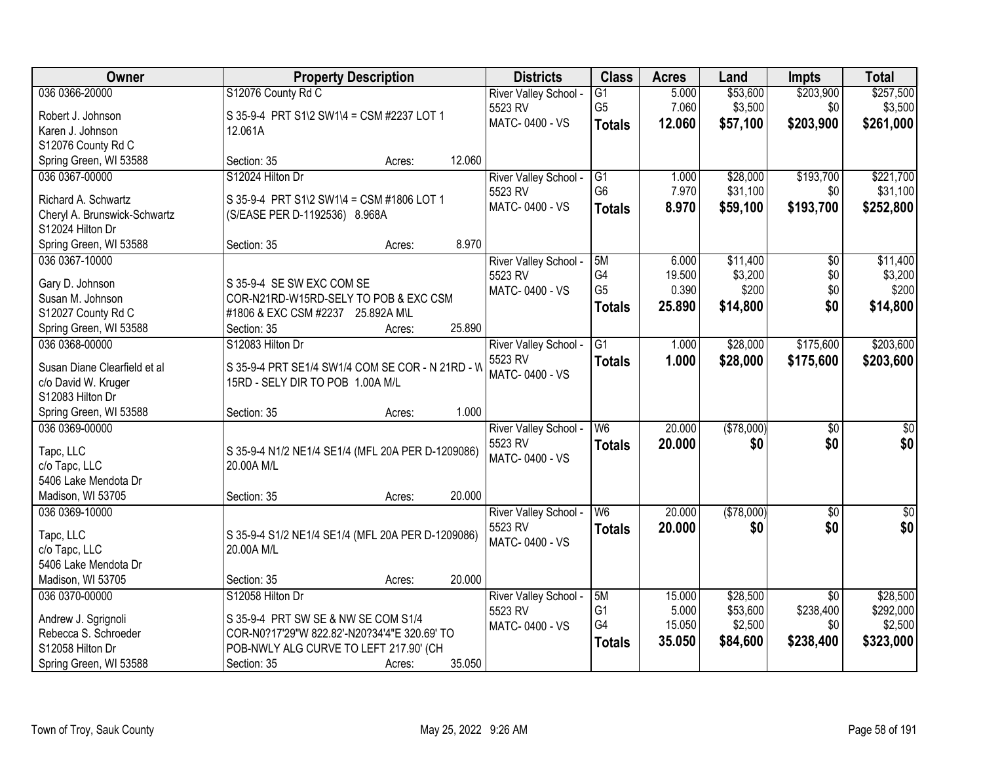| Owner                                            | <b>Property Description</b>                                     |        | <b>Districts</b>      | <b>Class</b>         | <b>Acres</b>    | Land                | <b>Impts</b>                 | <b>Total</b>         |
|--------------------------------------------------|-----------------------------------------------------------------|--------|-----------------------|----------------------|-----------------|---------------------|------------------------------|----------------------|
| 036 0366-20000                                   | S12076 County Rd C                                              |        | River Valley School - | $\overline{G1}$      | 5.000           | \$53,600            | \$203,900                    | \$257,500            |
| Robert J. Johnson                                | S 35-9-4 PRT S1\2 SW1\4 = CSM #2237 LOT 1                       |        | 5523 RV               | G <sub>5</sub>       | 7.060           | \$3,500             | \$0                          | \$3,500              |
| Karen J. Johnson                                 | 12.061A                                                         |        | MATC-0400 - VS        | <b>Totals</b>        | 12.060          | \$57,100            | \$203,900                    | \$261,000            |
| S12076 County Rd C                               |                                                                 |        |                       |                      |                 |                     |                              |                      |
| Spring Green, WI 53588                           | Section: 35<br>Acres:                                           | 12.060 |                       |                      |                 |                     |                              |                      |
| 036 0367-00000                                   | S12024 Hilton Dr                                                |        | River Valley School - | $\overline{G1}$      | 1.000           | \$28,000            | \$193,700                    | \$221,700            |
|                                                  |                                                                 |        | 5523 RV               | G <sub>6</sub>       | 7.970           | \$31,100            | \$0                          | \$31,100             |
| Richard A. Schwartz                              | S 35-9-4 PRT S1\2 SW1\4 = CSM #1806 LOT 1                       |        | MATC-0400 - VS        | <b>Totals</b>        | 8.970           | \$59,100            | \$193,700                    | \$252,800            |
| Cheryl A. Brunswick-Schwartz<br>S12024 Hilton Dr | (S/EASE PER D-1192536) 8.968A                                   |        |                       |                      |                 |                     |                              |                      |
| Spring Green, WI 53588                           | Section: 35<br>Acres:                                           | 8.970  |                       |                      |                 |                     |                              |                      |
| 036 0367-10000                                   |                                                                 |        | River Valley School - | 5M                   | 6.000           | \$11,400            | $\overline{50}$              | \$11,400             |
|                                                  |                                                                 |        | 5523 RV               | G4                   | 19.500          | \$3,200             | \$0                          | \$3,200              |
| Gary D. Johnson                                  | S 35-9-4 SE SW EXC COM SE                                       |        | MATC-0400 - VS        | G <sub>5</sub>       | 0.390           | \$200               | \$0                          | \$200                |
| Susan M. Johnson                                 | COR-N21RD-W15RD-SELY TO POB & EXC CSM                           |        |                       | <b>Totals</b>        | 25.890          | \$14,800            | \$0                          | \$14,800             |
| S12027 County Rd C                               | #1806 & EXC CSM #2237 25.892A M\L                               |        |                       |                      |                 |                     |                              |                      |
| Spring Green, WI 53588                           | Section: 35<br>Acres:                                           | 25.890 |                       |                      |                 |                     |                              |                      |
| 036 0368-00000                                   | S12083 Hilton Dr                                                |        | River Valley School - | $\overline{G1}$      | 1.000           | \$28,000            | \$175,600                    | \$203,600            |
| Susan Diane Clearfield et al                     | S 35-9-4 PRT SE1/4 SW1/4 COM SE COR - N 21RD - W                |        | 5523 RV               | <b>Totals</b>        | 1.000           | \$28,000            | \$175,600                    | \$203,600            |
| c/o David W. Kruger                              | 15RD - SELY DIR TO POB 1.00A M/L                                |        | MATC-0400 - VS        |                      |                 |                     |                              |                      |
| S12083 Hilton Dr                                 |                                                                 |        |                       |                      |                 |                     |                              |                      |
| Spring Green, WI 53588                           | Section: 35<br>Acres:                                           | 1.000  |                       |                      |                 |                     |                              |                      |
| 036 0369-00000                                   |                                                                 |        | River Valley School - | $\overline{W6}$      | 20.000          | (\$78,000)          | $\overline{50}$              | $\overline{\$0}$     |
|                                                  |                                                                 |        | 5523 RV               | <b>Totals</b>        | 20,000          | \$0                 | \$0                          | \$0                  |
| Tapc, LLC<br>c/o Tapc, LLC                       | S 35-9-4 N1/2 NE1/4 SE1/4 (MFL 20A PER D-1209086)<br>20.00A M/L |        | MATC-0400 - VS        |                      |                 |                     |                              |                      |
| 5406 Lake Mendota Dr                             |                                                                 |        |                       |                      |                 |                     |                              |                      |
| Madison, WI 53705                                | Section: 35<br>Acres:                                           | 20.000 |                       |                      |                 |                     |                              |                      |
| 036 0369-10000                                   |                                                                 |        | River Valley School - | W6                   | 20.000          | (\$78,000)          | $\overline{50}$              | $\overline{50}$      |
|                                                  |                                                                 |        | 5523 RV               | <b>Totals</b>        | 20.000          | \$0                 | \$0                          | \$0                  |
| Tapc, LLC                                        | S 35-9-4 S1/2 NE1/4 SE1/4 (MFL 20A PER D-1209086)               |        | MATC-0400 - VS        |                      |                 |                     |                              |                      |
| c/o Tapc, LLC                                    | 20.00A M/L                                                      |        |                       |                      |                 |                     |                              |                      |
| 5406 Lake Mendota Dr                             |                                                                 |        |                       |                      |                 |                     |                              |                      |
| Madison, WI 53705                                | Section: 35<br>Acres:                                           | 20.000 |                       |                      |                 |                     |                              |                      |
| 036 0370-00000                                   | S12058 Hilton Dr                                                |        | River Valley School - | 5M<br>G <sub>1</sub> | 15.000          | \$28,500            | $\overline{50}$<br>\$238,400 | \$28,500             |
| Andrew J. Sgrignoli                              | S 35-9-4 PRT SW SE & NW SE COM S1/4                             |        | 5523 RV               | G4                   | 5.000<br>15.050 | \$53,600<br>\$2,500 | \$0                          | \$292,000<br>\$2,500 |
| Rebecca S. Schroeder                             | COR-N0?17'29"W 822.82'-N20?34'4"E 320.69' TO                    |        | MATC-0400 - VS        |                      |                 |                     |                              |                      |
| S12058 Hilton Dr                                 | POB-NWLY ALG CURVE TO LEFT 217.90' (CH                          |        |                       | <b>Totals</b>        | 35.050          | \$84,600            | \$238,400                    | \$323,000            |
| Spring Green, WI 53588                           | Section: 35<br>Acres:                                           | 35.050 |                       |                      |                 |                     |                              |                      |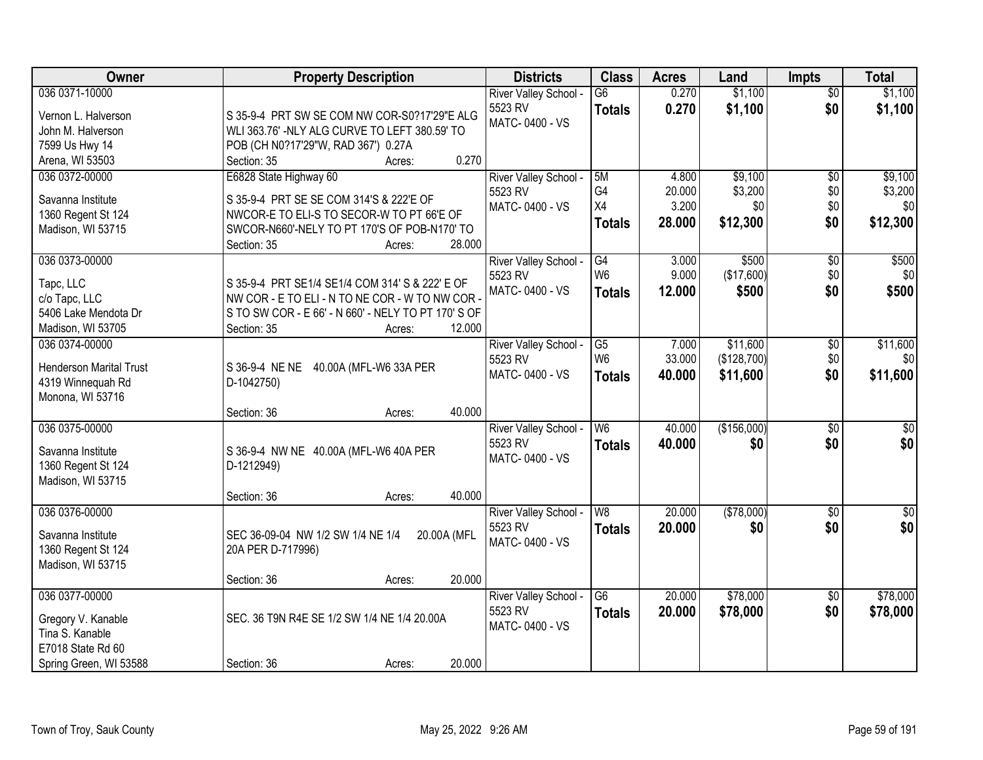| Owner                          | <b>Property Description</b>                                                               | <b>Districts</b>      | <b>Class</b>    | <b>Acres</b> | Land        | <b>Impts</b>    | <b>Total</b>     |
|--------------------------------|-------------------------------------------------------------------------------------------|-----------------------|-----------------|--------------|-------------|-----------------|------------------|
| 036 0371-10000                 |                                                                                           | River Valley School - | $\overline{G6}$ | 0.270        | \$1,100     | $\overline{30}$ | \$1,100          |
| Vernon L. Halverson            | S 35-9-4 PRT SW SE COM NW COR-S0?17'29"E ALG                                              | 5523 RV               | <b>Totals</b>   | 0.270        | \$1,100     | \$0             | \$1,100          |
| John M. Halverson              | WLI 363.76' -NLY ALG CURVE TO LEFT 380.59' TO                                             | MATC-0400 - VS        |                 |              |             |                 |                  |
| 7599 Us Hwy 14                 | POB (CH N0?17'29"W, RAD 367') 0.27A                                                       |                       |                 |              |             |                 |                  |
| Arena, WI 53503                | 0.270<br>Section: 35<br>Acres:                                                            |                       |                 |              |             |                 |                  |
| 036 0372-00000                 | E6828 State Highway 60                                                                    | River Valley School - | 5M              | 4.800        | \$9,100     | $\overline{50}$ | \$9,100          |
|                                |                                                                                           | 5523 RV               | G4              | 20.000       | \$3,200     | \$0             | \$3,200          |
| Savanna Institute              | S 35-9-4 PRT SE SE COM 314'S & 222'E OF                                                   | MATC-0400 - VS        | X4              | 3.200        | \$0         | \$0             | \$0              |
| 1360 Regent St 124             | NWCOR-E TO ELI-S TO SECOR-W TO PT 66'E OF<br>SWCOR-N660'-NELY TO PT 170'S OF POB-N170' TO |                       | <b>Totals</b>   | 28.000       | \$12,300    | \$0             | \$12,300         |
| Madison, WI 53715              | 28.000<br>Section: 35                                                                     |                       |                 |              |             |                 |                  |
| 036 0373-00000                 | Acres:                                                                                    | River Valley School - | G4              | 3.000        | \$500       | \$0             | \$500            |
|                                |                                                                                           | 5523 RV               | W <sub>6</sub>  | 9.000        | (\$17,600)  | \$0             | \$0              |
| Tapc, LLC                      | S 35-9-4 PRT SE1/4 SE1/4 COM 314' S & 222' E OF                                           | MATC-0400 - VS        | <b>Totals</b>   | 12.000       | \$500       | \$0             | \$500            |
| c/o Tapc, LLC                  | NW COR - E TO ELI - N TO NE COR - W TO NW COR -                                           |                       |                 |              |             |                 |                  |
| 5406 Lake Mendota Dr           | S TO SW COR - E 66' - N 660' - NELY TO PT 170' S OF                                       |                       |                 |              |             |                 |                  |
| Madison, WI 53705              | Section: 35<br>12.000<br>Acres:                                                           |                       |                 |              |             |                 |                  |
| 036 0374-00000                 |                                                                                           | River Valley School - | G5              | 7.000        | \$11,600    | \$0             | \$11,600         |
| <b>Henderson Marital Trust</b> | S 36-9-4 NE NE 40.00A (MFL-W6 33A PER                                                     | 5523 RV               | W <sub>6</sub>  | 33.000       | (\$128,700) | \$0             | \$0              |
| 4319 Winnequah Rd              | D-1042750)                                                                                | MATC-0400 - VS        | <b>Totals</b>   | 40.000       | \$11,600    | \$0             | \$11,600         |
| Monona, WI 53716               |                                                                                           |                       |                 |              |             |                 |                  |
|                                | 40.000<br>Section: 36<br>Acres:                                                           |                       |                 |              |             |                 |                  |
| 036 0375-00000                 |                                                                                           | River Valley School - | $\overline{W6}$ | 40.000       | (\$156,000) | $\overline{30}$ | $\overline{\$0}$ |
| Savanna Institute              | S 36-9-4 NW NE 40.00A (MFL-W6 40A PER                                                     | 5523 RV               | <b>Totals</b>   | 40.000       | \$0         | \$0             | \$0              |
| 1360 Regent St 124             | D-1212949)                                                                                | MATC-0400 - VS        |                 |              |             |                 |                  |
| Madison, WI 53715              |                                                                                           |                       |                 |              |             |                 |                  |
|                                | 40.000<br>Section: 36<br>Acres:                                                           |                       |                 |              |             |                 |                  |
| 036 0376-00000                 |                                                                                           | River Valley School - | W <sub>8</sub>  | 20.000       | (\$78,000)  | $\overline{50}$ | $\overline{50}$  |
|                                |                                                                                           | 5523 RV               | <b>Totals</b>   | 20.000       | \$0         | \$0             | \$0              |
| Savanna Institute              | SEC 36-09-04 NW 1/2 SW 1/4 NE 1/4<br>20.00A (MFL                                          | MATC-0400 - VS        |                 |              |             |                 |                  |
| 1360 Regent St 124             | 20A PER D-717996)                                                                         |                       |                 |              |             |                 |                  |
| Madison, WI 53715              |                                                                                           |                       |                 |              |             |                 |                  |
|                                | 20.000<br>Section: 36<br>Acres:                                                           |                       |                 |              |             |                 |                  |
| 036 0377-00000                 |                                                                                           | River Valley School - | $\overline{G6}$ | 20.000       | \$78,000    | $\overline{50}$ | \$78,000         |
| Gregory V. Kanable             | SEC. 36 T9N R4E SE 1/2 SW 1/4 NE 1/4 20.00A                                               | 5523 RV               | <b>Totals</b>   | 20.000       | \$78,000    | \$0             | \$78,000         |
| Tina S. Kanable                |                                                                                           | MATC-0400 - VS        |                 |              |             |                 |                  |
| E7018 State Rd 60              |                                                                                           |                       |                 |              |             |                 |                  |
| Spring Green, WI 53588         | 20.000<br>Section: 36<br>Acres:                                                           |                       |                 |              |             |                 |                  |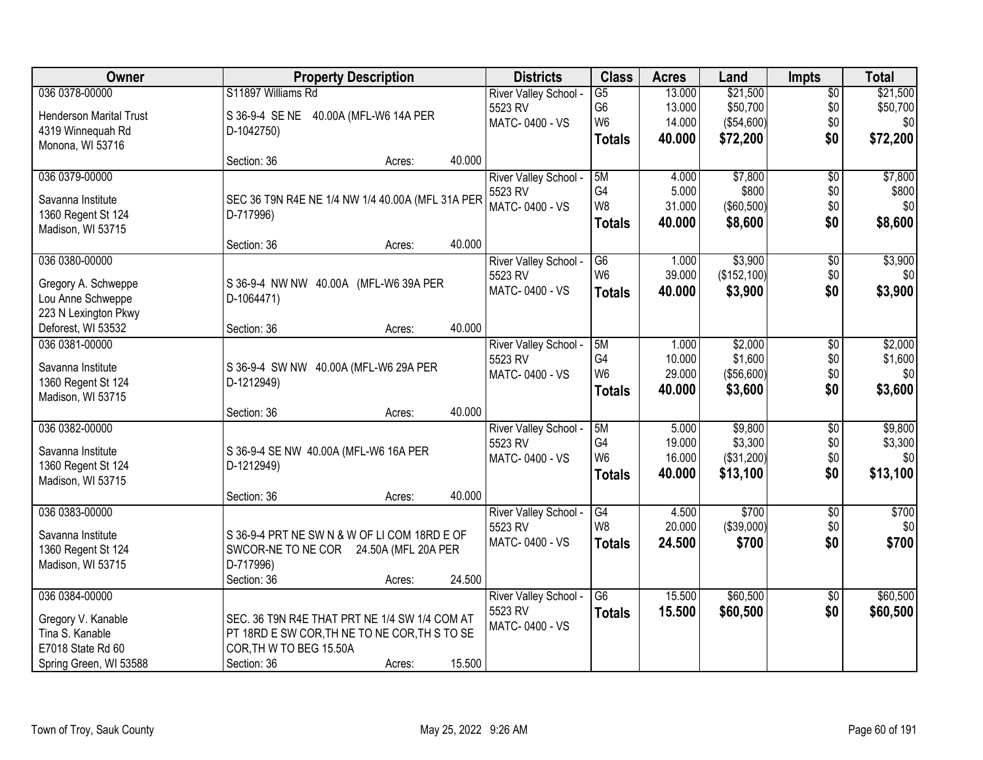| Owner                                   | <b>Property Description</b>                      | <b>Districts</b>                 | <b>Class</b>    | <b>Acres</b> | Land         | <b>Impts</b>      | <b>Total</b> |
|-----------------------------------------|--------------------------------------------------|----------------------------------|-----------------|--------------|--------------|-------------------|--------------|
| 036 0378-00000                          | S11897 Williams Rd                               | River Valley School -            | $\overline{G5}$ | 13.000       | \$21,500     | $\overline{50}$   | \$21,500     |
| <b>Henderson Marital Trust</b>          | S 36-9-4 SE NE 40.00A (MFL-W6 14A PER            | 5523 RV                          | G6              | 13.000       | \$50,700     | \$0               | \$50,700     |
| 4319 Winnequah Rd                       | D-1042750)                                       | MATC-0400 - VS                   | W <sub>6</sub>  | 14.000       | (\$54,600)   | \$0               | \$0          |
| Monona, WI 53716                        |                                                  |                                  | <b>Totals</b>   | 40.000       | \$72,200     | \$0               | \$72,200     |
|                                         | 40.000<br>Section: 36<br>Acres:                  |                                  |                 |              |              |                   |              |
| 036 0379-00000                          |                                                  | River Valley School -            | 5M              | 4.000        | \$7,800      | $\overline{50}$   | \$7,800      |
|                                         |                                                  | 5523 RV                          | G4              | 5.000        | \$800        | \$0               | \$800        |
| Savanna Institute                       | SEC 36 T9N R4E NE 1/4 NW 1/4 40.00A (MFL 31A PER | MATC-0400 - VS                   | W <sub>8</sub>  | 31.000       | (\$60,500)   | \$0               | \$0          |
| 1360 Regent St 124                      | D-717996)                                        |                                  | <b>Totals</b>   | 40.000       | \$8,600      | \$0               | \$8,600      |
| Madison, WI 53715                       |                                                  |                                  |                 |              |              |                   |              |
|                                         | 40.000<br>Section: 36<br>Acres:                  |                                  |                 |              |              |                   |              |
| 036 0380-00000                          |                                                  | River Valley School -            | G6              | 1.000        | \$3,900      | $\overline{50}$   | \$3,900      |
| Gregory A. Schweppe                     | S 36-9-4 NW NW 40.00A (MFL-W6 39A PER            | 5523 RV                          | W <sub>6</sub>  | 39.000       | (\$152, 100) | \$0               | \$0          |
| Lou Anne Schweppe                       | D-1064471)                                       | MATC-0400 - VS                   | <b>Totals</b>   | 40.000       | \$3,900      | \$0               | \$3,900      |
| 223 N Lexington Pkwy                    |                                                  |                                  |                 |              |              |                   |              |
| Deforest, WI 53532                      | 40.000<br>Section: 36<br>Acres:                  |                                  |                 |              |              |                   |              |
| 036 0381-00000                          |                                                  | River Valley School -            | 5M              | 1.000        | \$2,000      | \$0               | \$2,000      |
|                                         |                                                  | 5523 RV                          | G4              | 10.000       | \$1,600      | \$0               | \$1,600      |
| Savanna Institute                       | S 36-9-4 SW NW 40.00A (MFL-W6 29A PER            | MATC-0400 - VS                   | W <sub>6</sub>  | 29.000       | (\$56,600)   | \$0               | \$0          |
| 1360 Regent St 124                      | D-1212949)                                       |                                  |                 | 40.000       | \$3,600      | \$0               | \$3,600      |
| Madison, WI 53715                       |                                                  |                                  | <b>Totals</b>   |              |              |                   |              |
|                                         | 40.000<br>Section: 36<br>Acres:                  |                                  |                 |              |              |                   |              |
| 036 0382-00000                          |                                                  | River Valley School -            | 5M              | 5.000        | \$9,800      | $\overline{30}$   | \$9,800      |
| Savanna Institute                       |                                                  | 5523 RV                          | G <sub>4</sub>  | 19.000       | \$3,300      | \$0               | \$3,300      |
|                                         | S 36-9-4 SE NW 40.00A (MFL-W6 16A PER            | MATC-0400 - VS                   | W <sub>6</sub>  | 16.000       | (\$31,200)   | \$0               | \$0          |
| 1360 Regent St 124<br>Madison, WI 53715 | D-1212949)                                       |                                  | <b>Totals</b>   | 40.000       | \$13,100     | \$0               | \$13,100     |
|                                         | 40.000<br>Section: 36<br>Acres:                  |                                  |                 |              |              |                   |              |
| 036 0383-00000                          |                                                  |                                  | G4              | 4.500        | \$700        |                   | \$700        |
|                                         |                                                  | River Valley School -<br>5523 RV | W <sub>8</sub>  | 20.000       | (\$39,000)   | $\sqrt{6}$<br>\$0 | \$0          |
| Savanna Institute                       | S 36-9-4 PRT NE SW N & W OF LI COM 18RD E OF     |                                  |                 |              |              |                   |              |
| 1360 Regent St 124                      | SWCOR-NE TO NE COR 24.50A (MFL 20A PER           | MATC-0400 - VS                   | <b>Totals</b>   | 24.500       | \$700        | \$0               | \$700        |
| Madison, WI 53715                       | D-717996)                                        |                                  |                 |              |              |                   |              |
|                                         | 24.500<br>Section: 36<br>Acres:                  |                                  |                 |              |              |                   |              |
| 036 0384-00000                          |                                                  | River Valley School -            | $\overline{G6}$ | 15.500       | \$60,500     | $\overline{30}$   | \$60,500     |
|                                         | SEC. 36 T9N R4E THAT PRT NE 1/4 SW 1/4 COM AT    | 5523 RV                          | <b>Totals</b>   | 15.500       | \$60,500     | \$0               | \$60,500     |
| Gregory V. Kanable                      |                                                  | MATC-0400 - VS                   |                 |              |              |                   |              |
| Tina S. Kanable                         | PT 18RD E SW COR, TH NE TO NE COR, TH S TO SE    |                                  |                 |              |              |                   |              |
| E7018 State Rd 60                       | COR, TH W TO BEG 15.50A                          |                                  |                 |              |              |                   |              |
| Spring Green, WI 53588                  | 15.500<br>Section: 36<br>Acres:                  |                                  |                 |              |              |                   |              |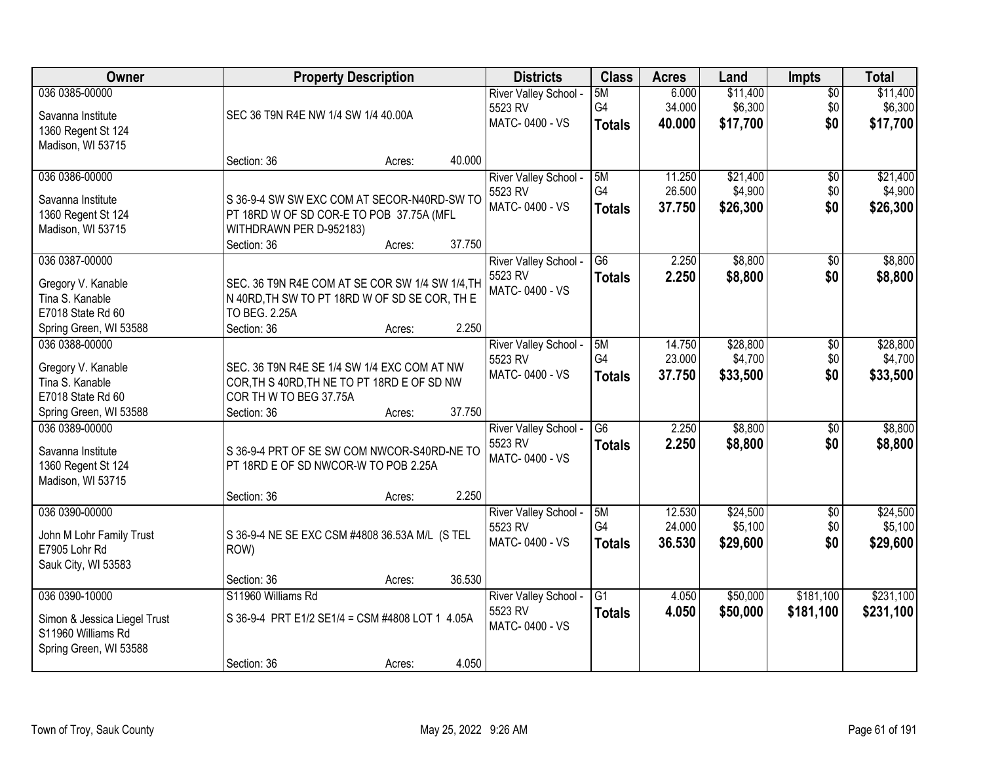| Owner                                 |                                                                                            | <b>Property Description</b> |        | <b>Districts</b>      | <b>Class</b>    | <b>Acres</b> | Land     | Impts           | <b>Total</b> |
|---------------------------------------|--------------------------------------------------------------------------------------------|-----------------------------|--------|-----------------------|-----------------|--------------|----------|-----------------|--------------|
| 036 0385-00000                        |                                                                                            |                             |        | River Valley School - | 5M              | 6.000        | \$11,400 | $\overline{50}$ | \$11,400     |
| Savanna Institute                     | SEC 36 T9N R4E NW 1/4 SW 1/4 40.00A                                                        |                             |        | 5523 RV               | G4              | 34.000       | \$6,300  | \$0             | \$6,300      |
| 1360 Regent St 124                    |                                                                                            |                             |        | MATC-0400 - VS        | <b>Totals</b>   | 40.000       | \$17,700 | \$0             | \$17,700     |
| Madison, WI 53715                     |                                                                                            |                             |        |                       |                 |              |          |                 |              |
|                                       | Section: 36                                                                                | Acres:                      | 40.000 |                       |                 |              |          |                 |              |
| 036 0386-00000                        |                                                                                            |                             |        | River Valley School - | 5M              | 11.250       | \$21,400 | \$0             | \$21,400     |
| Savanna Institute                     | S 36-9-4 SW SW EXC COM AT SECOR-N40RD-SW TO                                                |                             |        | 5523 RV               | G <sub>4</sub>  | 26.500       | \$4,900  | \$0             | \$4,900      |
| 1360 Regent St 124                    | PT 18RD W OF SD COR-E TO POB 37.75A (MFL                                                   |                             |        | MATC-0400 - VS        | <b>Totals</b>   | 37.750       | \$26,300 | \$0             | \$26,300     |
| Madison, WI 53715                     | WITHDRAWN PER D-952183)                                                                    |                             |        |                       |                 |              |          |                 |              |
|                                       | Section: 36                                                                                | Acres:                      | 37.750 |                       |                 |              |          |                 |              |
| 036 0387-00000                        |                                                                                            |                             |        | River Valley School - | G <sub>6</sub>  | 2.250        | \$8,800  | \$0             | \$8,800      |
| Gregory V. Kanable                    | SEC. 36 T9N R4E COM AT SE COR SW 1/4 SW 1/4, TH                                            |                             |        | 5523 RV               | <b>Totals</b>   | 2.250        | \$8,800  | \$0             | \$8,800      |
| Tina S. Kanable                       | N 40RD, TH SW TO PT 18RD W OF SD SE COR, TH E                                              |                             |        | MATC-0400 - VS        |                 |              |          |                 |              |
| E7018 State Rd 60                     | TO BEG. 2.25A                                                                              |                             |        |                       |                 |              |          |                 |              |
| Spring Green, WI 53588                | Section: 36                                                                                | Acres:                      | 2.250  |                       |                 |              |          |                 |              |
| 036 0388-00000                        |                                                                                            |                             |        | River Valley School - | 5M              | 14.750       | \$28,800 | \$0             | \$28,800     |
|                                       |                                                                                            |                             |        | 5523 RV               | G4              | 23.000       | \$4,700  | \$0             | \$4,700      |
| Gregory V. Kanable<br>Tina S. Kanable | SEC. 36 T9N R4E SE 1/4 SW 1/4 EXC COM AT NW<br>COR, TH S 40RD, TH NE TO PT 18RD E OF SD NW |                             |        | MATC-0400 - VS        | <b>Totals</b>   | 37.750       | \$33,500 | \$0             | \$33,500     |
| E7018 State Rd 60                     | COR TH W TO BEG 37.75A                                                                     |                             |        |                       |                 |              |          |                 |              |
| Spring Green, WI 53588                | Section: 36                                                                                | Acres:                      | 37.750 |                       |                 |              |          |                 |              |
| 036 0389-00000                        |                                                                                            |                             |        | River Valley School - | $\overline{G6}$ | 2.250        | \$8,800  | $\overline{50}$ | \$8,800      |
|                                       |                                                                                            |                             |        | 5523 RV               | <b>Totals</b>   | 2.250        | \$8,800  | \$0             | \$8,800      |
| Savanna Institute                     | S 36-9-4 PRT OF SE SW COM NWCOR-S40RD-NE TO                                                |                             |        | MATC-0400 - VS        |                 |              |          |                 |              |
| 1360 Regent St 124                    | PT 18RD E OF SD NWCOR-W TO POB 2.25A                                                       |                             |        |                       |                 |              |          |                 |              |
| Madison, WI 53715                     | Section: 36                                                                                | Acres:                      | 2.250  |                       |                 |              |          |                 |              |
| 036 0390-00000                        |                                                                                            |                             |        | River Valley School - | 5M              | 12.530       | \$24,500 | $\sqrt{6}$      | \$24,500     |
|                                       |                                                                                            |                             |        | 5523 RV               | G4              | 24.000       | \$5,100  | \$0             | \$5,100      |
| John M Lohr Family Trust              | S 36-9-4 NE SE EXC CSM #4808 36.53A M/L (S TEL                                             |                             |        | MATC-0400 - VS        | <b>Totals</b>   | 36.530       | \$29,600 | \$0             | \$29,600     |
| E7905 Lohr Rd                         | ROW)                                                                                       |                             |        |                       |                 |              |          |                 |              |
| Sauk City, WI 53583                   | Section: 36                                                                                | Acres:                      | 36.530 |                       |                 |              |          |                 |              |
| 036 0390-10000                        | S11960 Williams Rd                                                                         |                             |        | River Valley School - | $\overline{G1}$ | 4.050        | \$50,000 | \$181,100       | \$231,100    |
|                                       |                                                                                            |                             |        | 5523 RV               | <b>Totals</b>   | 4.050        | \$50,000 | \$181,100       | \$231,100    |
| Simon & Jessica Liegel Trust          | S 36-9-4 PRT E1/2 SE1/4 = CSM #4808 LOT 1 4.05A                                            |                             |        | MATC-0400 - VS        |                 |              |          |                 |              |
| S11960 Williams Rd                    |                                                                                            |                             |        |                       |                 |              |          |                 |              |
| Spring Green, WI 53588                |                                                                                            |                             |        |                       |                 |              |          |                 |              |
|                                       | Section: 36                                                                                | Acres:                      | 4.050  |                       |                 |              |          |                 |              |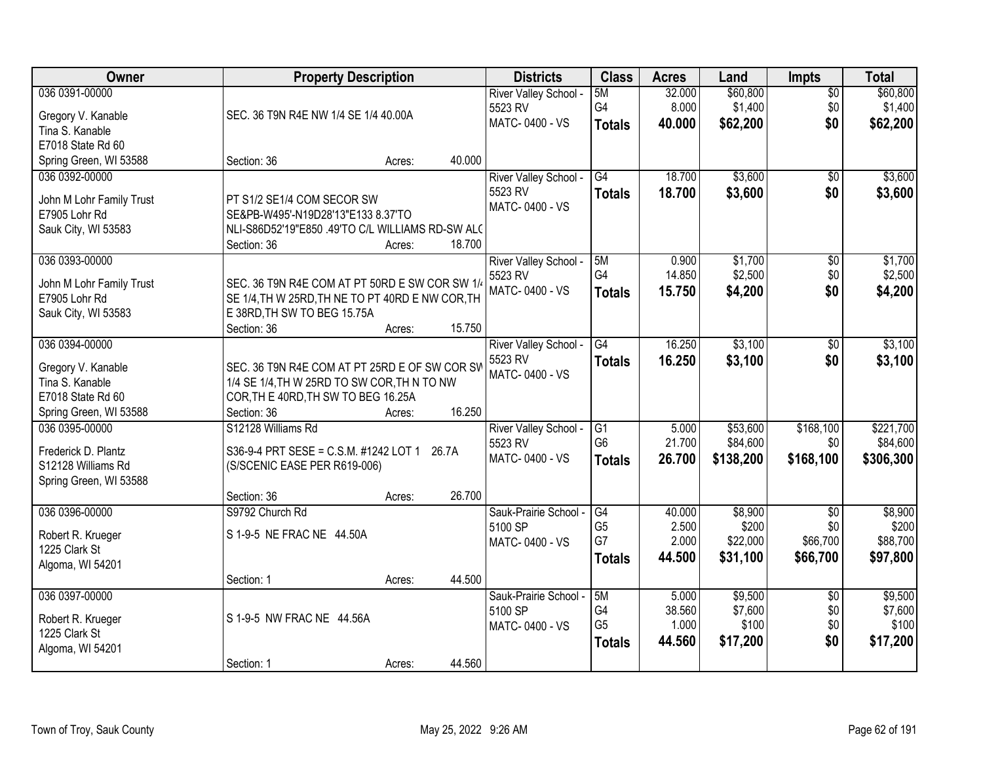| Owner                                     | <b>Property Description</b>                                                                        |        |        | <b>Districts</b>          | <b>Class</b>         | <b>Acres</b> | Land      | <b>Impts</b>    | <b>Total</b> |
|-------------------------------------------|----------------------------------------------------------------------------------------------------|--------|--------|---------------------------|----------------------|--------------|-----------|-----------------|--------------|
| 036 0391-00000                            |                                                                                                    |        |        | River Valley School -     | 5M                   | 32.000       | \$60,800  | $\overline{50}$ | \$60,800     |
| Gregory V. Kanable                        | SEC. 36 T9N R4E NW 1/4 SE 1/4 40.00A                                                               |        |        | 5523 RV                   | G4                   | 8.000        | \$1,400   | \$0             | \$1,400      |
| Tina S. Kanable                           |                                                                                                    |        |        | MATC-0400 - VS            | <b>Totals</b>        | 40.000       | \$62,200  | \$0             | \$62,200     |
| E7018 State Rd 60                         |                                                                                                    |        |        |                           |                      |              |           |                 |              |
| Spring Green, WI 53588                    | Section: 36                                                                                        | Acres: | 40.000 |                           |                      |              |           |                 |              |
| 036 0392-00000                            |                                                                                                    |        |        | River Valley School -     | G4                   | 18.700       | \$3,600   | $\overline{50}$ | \$3,600      |
| John M Lohr Family Trust                  | PT S1/2 SE1/4 COM SECOR SW                                                                         |        |        | 5523 RV                   | Totals               | 18.700       | \$3,600   | \$0             | \$3,600      |
| E7905 Lohr Rd                             | SE&PB-W495'-N19D28'13"E133 8.37'TO                                                                 |        |        | MATC-0400 - VS            |                      |              |           |                 |              |
| Sauk City, WI 53583                       | NLI-S86D52'19"E850 .49'TO C/L WILLIAMS RD-SW ALC                                                   |        |        |                           |                      |              |           |                 |              |
|                                           | Section: 36                                                                                        | Acres: | 18.700 |                           |                      |              |           |                 |              |
| 036 0393-00000                            |                                                                                                    |        |        | River Valley School -     | 5M                   | 0.900        | \$1,700   | \$0             | \$1,700      |
|                                           |                                                                                                    |        |        | 5523 RV                   | G4                   | 14.850       | \$2,500   | \$0             | \$2,500      |
| John M Lohr Family Trust<br>E7905 Lohr Rd | SEC. 36 T9N R4E COM AT PT 50RD E SW COR SW 1/4<br>SE 1/4, TH W 25RD, TH NE TO PT 40RD E NW COR, TH |        |        | MATC-0400 - VS            | Totals               | 15.750       | \$4,200   | \$0             | \$4,200      |
| Sauk City, WI 53583                       | E 38RD, TH SW TO BEG 15.75A                                                                        |        |        |                           |                      |              |           |                 |              |
|                                           | Section: 36                                                                                        | Acres: | 15.750 |                           |                      |              |           |                 |              |
| 036 0394-00000                            |                                                                                                    |        |        | River Valley School -     | G4                   | 16.250       | \$3,100   | \$0             | \$3,100      |
|                                           |                                                                                                    |        |        | 5523 RV                   | <b>Totals</b>        | 16.250       | \$3,100   | \$0             | \$3,100      |
| Gregory V. Kanable                        | SEC. 36 T9N R4E COM AT PT 25RD E OF SW COR SW                                                      |        |        | MATC-0400 - VS            |                      |              |           |                 |              |
| Tina S. Kanable                           | 1/4 SE 1/4, TH W 25RD TO SW COR, TH N TO NW                                                        |        |        |                           |                      |              |           |                 |              |
| E7018 State Rd 60                         | COR, TH E 40RD, TH SW TO BEG 16.25A                                                                |        |        |                           |                      |              |           |                 |              |
| Spring Green, WI 53588                    | Section: 36                                                                                        | Acres: | 16.250 |                           |                      |              |           |                 |              |
| 036 0395-00000                            | S12128 Williams Rd                                                                                 |        |        | River Valley School -     | G1<br>G <sub>6</sub> | 5.000        | \$53,600  | \$168,100       | \$221,700    |
| Frederick D. Plantz                       | S36-9-4 PRT SESE = C.S.M. #1242 LOT 1 26.7A                                                        |        |        | 5523 RV<br>MATC-0400 - VS |                      | 21.700       | \$84,600  | \$0             | \$84,600     |
| S12128 Williams Rd                        | (S/SCENIC EASE PER R619-006)                                                                       |        |        |                           | <b>Totals</b>        | 26.700       | \$138,200 | \$168,100       | \$306,300    |
| Spring Green, WI 53588                    |                                                                                                    |        |        |                           |                      |              |           |                 |              |
|                                           | Section: 36                                                                                        | Acres: | 26.700 |                           |                      |              |           |                 |              |
| 036 0396-00000                            | S9792 Church Rd                                                                                    |        |        | Sauk-Prairie School -     | G4                   | 40.000       | \$8,900   | $\overline{50}$ | \$8,900      |
| Robert R. Krueger                         | S 1-9-5 NE FRAC NE 44.50A                                                                          |        |        | 5100 SP                   | G <sub>5</sub>       | 2.500        | \$200     | \$0             | \$200        |
| 1225 Clark St                             |                                                                                                    |        |        | MATC-0400 - VS            | G7                   | 2.000        | \$22,000  | \$66,700        | \$88,700     |
| Algoma, WI 54201                          |                                                                                                    |        |        |                           | <b>Totals</b>        | 44.500       | \$31,100  | \$66,700        | \$97,800     |
|                                           | Section: 1                                                                                         | Acres: | 44.500 |                           |                      |              |           |                 |              |
| 036 0397-00000                            |                                                                                                    |        |        | Sauk-Prairie School -     | 5M                   | 5.000        | \$9,500   | $\overline{50}$ | \$9,500      |
| Robert R. Krueger                         | S 1-9-5 NW FRAC NE 44.56A                                                                          |        |        | 5100 SP                   | G4                   | 38.560       | \$7,600   | \$0             | \$7,600      |
| 1225 Clark St                             |                                                                                                    |        |        | MATC-0400 - VS            | G <sub>5</sub>       | 1.000        | \$100     | \$0             | \$100        |
| Algoma, WI 54201                          |                                                                                                    |        |        |                           | <b>Totals</b>        | 44.560       | \$17,200  | \$0             | \$17,200     |
|                                           | Section: 1                                                                                         | Acres: | 44.560 |                           |                      |              |           |                 |              |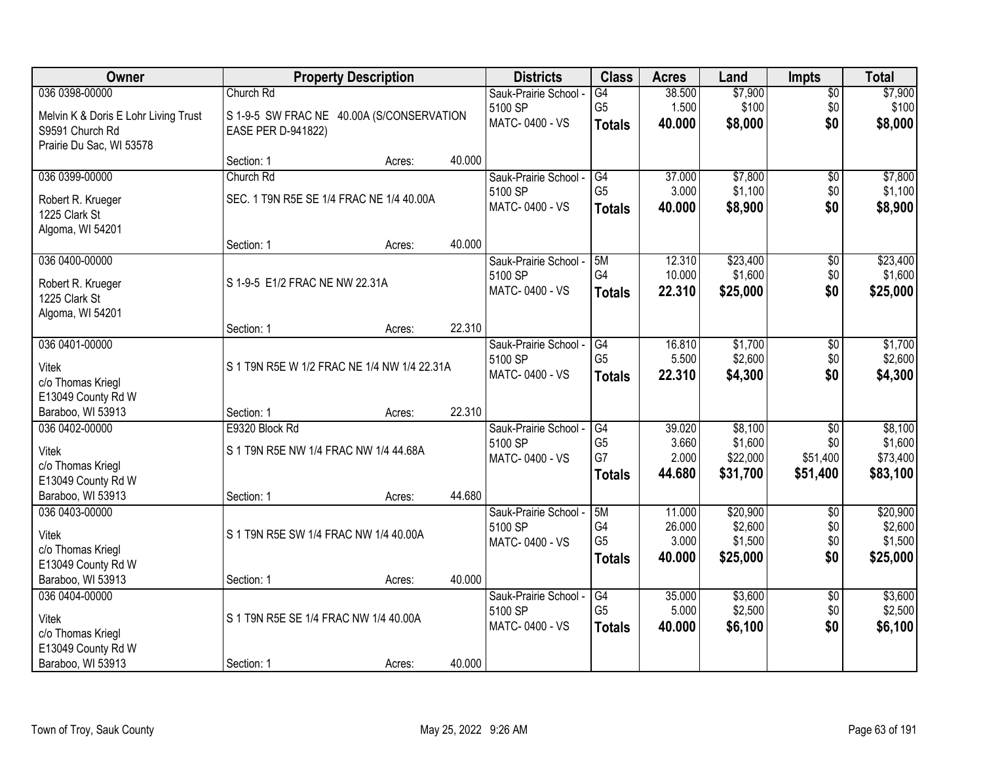| Owner                                |                                             | <b>Property Description</b> |        | <b>Districts</b>                 | <b>Class</b>         | <b>Acres</b>     | Land                | <b>Impts</b>           | <b>Total</b>        |
|--------------------------------------|---------------------------------------------|-----------------------------|--------|----------------------------------|----------------------|------------------|---------------------|------------------------|---------------------|
| 036 0398-00000                       | Church Rd                                   |                             |        | Sauk-Prairie School -            | G4                   | 38.500           | \$7,900             | $\overline{50}$        | \$7,900             |
| Melvin K & Doris E Lohr Living Trust | S 1-9-5 SW FRAC NE 40.00A (S/CONSERVATION   |                             |        | 5100 SP                          | G <sub>5</sub>       | 1.500            | \$100               | \$0                    | \$100               |
| S9591 Church Rd                      | EASE PER D-941822)                          |                             |        | MATC-0400 - VS                   | <b>Totals</b>        | 40,000           | \$8,000             | \$0                    | \$8,000             |
| Prairie Du Sac, WI 53578             |                                             |                             |        |                                  |                      |                  |                     |                        |                     |
|                                      | Section: 1                                  | Acres:                      | 40.000 |                                  |                      |                  |                     |                        |                     |
| 036 0399-00000                       | Church Rd                                   |                             |        | Sauk-Prairie School -            | G4                   | 37.000           | \$7,800             | \$0                    | \$7,800             |
| Robert R. Krueger                    | SEC. 1 T9N R5E SE 1/4 FRAC NE 1/4 40.00A    |                             |        | 5100 SP                          | G <sub>5</sub>       | 3.000            | \$1,100             | \$0                    | \$1,100             |
| 1225 Clark St                        |                                             |                             |        | MATC-0400 - VS                   | <b>Totals</b>        | 40.000           | \$8,900             | \$0                    | \$8,900             |
| Algoma, WI 54201                     |                                             |                             |        |                                  |                      |                  |                     |                        |                     |
|                                      | Section: 1                                  | Acres:                      | 40.000 |                                  |                      |                  |                     |                        |                     |
| 036 0400-00000                       |                                             |                             |        | Sauk-Prairie School -            | 5M                   | 12.310           | \$23,400            | $\overline{50}$        | \$23,400            |
| Robert R. Krueger                    | S 1-9-5 E1/2 FRAC NE NW 22.31A              |                             |        | 5100 SP<br>MATC-0400 - VS        | G4                   | 10.000<br>22.310 | \$1,600<br>\$25,000 | \$0<br>\$0             | \$1,600             |
| 1225 Clark St                        |                                             |                             |        |                                  | <b>Totals</b>        |                  |                     |                        | \$25,000            |
| Algoma, WI 54201                     |                                             |                             |        |                                  |                      |                  |                     |                        |                     |
|                                      | Section: 1                                  | Acres:                      | 22.310 |                                  |                      |                  |                     |                        |                     |
| 036 0401-00000                       |                                             |                             |        | Sauk-Prairie School -            | G4                   | 16.810           | \$1,700             | \$0                    | \$1,700             |
| <b>Vitek</b>                         | S 1 T9N R5E W 1/2 FRAC NE 1/4 NW 1/4 22.31A |                             |        | 5100 SP<br>MATC-0400 - VS        | G <sub>5</sub>       | 5.500<br>22.310  | \$2,600<br>\$4,300  | \$0<br>\$0             | \$2,600<br>\$4,300  |
| c/o Thomas Kriegl                    |                                             |                             |        |                                  | <b>Totals</b>        |                  |                     |                        |                     |
| E13049 County Rd W                   |                                             |                             |        |                                  |                      |                  |                     |                        |                     |
| Baraboo, WI 53913                    | Section: 1                                  | Acres:                      | 22.310 |                                  |                      |                  |                     |                        |                     |
| 036 0402-00000                       | E9320 Block Rd                              |                             |        | Sauk-Prairie School -            | G4<br>G <sub>5</sub> | 39.020           | \$8,100             | $\overline{30}$        | \$8,100             |
| Vitek                                | S 1 T9N R5E NW 1/4 FRAC NW 1/4 44.68A       |                             |        | 5100 SP<br>MATC-0400 - VS        | G7                   | 3.660<br>2.000   | \$1,600<br>\$22,000 | \$0<br>\$51,400        | \$1,600<br>\$73,400 |
| c/o Thomas Kriegl                    |                                             |                             |        |                                  | <b>Totals</b>        | 44.680           | \$31,700            | \$51,400               | \$83,100            |
| E13049 County Rd W                   |                                             |                             |        |                                  |                      |                  |                     |                        |                     |
| Baraboo, WI 53913                    | Section: 1                                  | Acres:                      | 44.680 |                                  |                      |                  |                     |                        |                     |
| 036 0403-00000                       |                                             |                             |        | Sauk-Prairie School -<br>5100 SP | 5M<br>G4             | 11.000<br>26.000 | \$20,900<br>\$2,600 | $\overline{50}$<br>\$0 | \$20,900<br>\$2,600 |
| <b>Vitek</b>                         | S 1 T9N R5E SW 1/4 FRAC NW 1/4 40.00A       |                             |        | MATC-0400 - VS                   | G <sub>5</sub>       | 3.000            | \$1,500             | \$0                    | \$1,500             |
| c/o Thomas Kriegl                    |                                             |                             |        |                                  | <b>Totals</b>        | 40,000           | \$25,000            | \$0                    | \$25,000            |
| E13049 County Rd W                   |                                             |                             |        |                                  |                      |                  |                     |                        |                     |
| Baraboo, WI 53913                    | Section: 1                                  | Acres:                      | 40.000 |                                  |                      |                  |                     |                        |                     |
| 036 0404-00000                       |                                             |                             |        | Sauk-Prairie School -<br>5100 SP | G4<br>G <sub>5</sub> | 35.000<br>5.000  | \$3,600<br>\$2,500  | $\overline{30}$<br>\$0 | \$3,600<br>\$2,500  |
| Vitek                                | S 1 T9N R5E SE 1/4 FRAC NW 1/4 40.00A       |                             |        | MATC-0400 - VS                   | <b>Totals</b>        | 40.000           | \$6,100             | \$0                    | \$6,100             |
| c/o Thomas Kriegl                    |                                             |                             |        |                                  |                      |                  |                     |                        |                     |
| E13049 County Rd W                   |                                             |                             |        |                                  |                      |                  |                     |                        |                     |
| Baraboo, WI 53913                    | Section: 1                                  | Acres:                      | 40.000 |                                  |                      |                  |                     |                        |                     |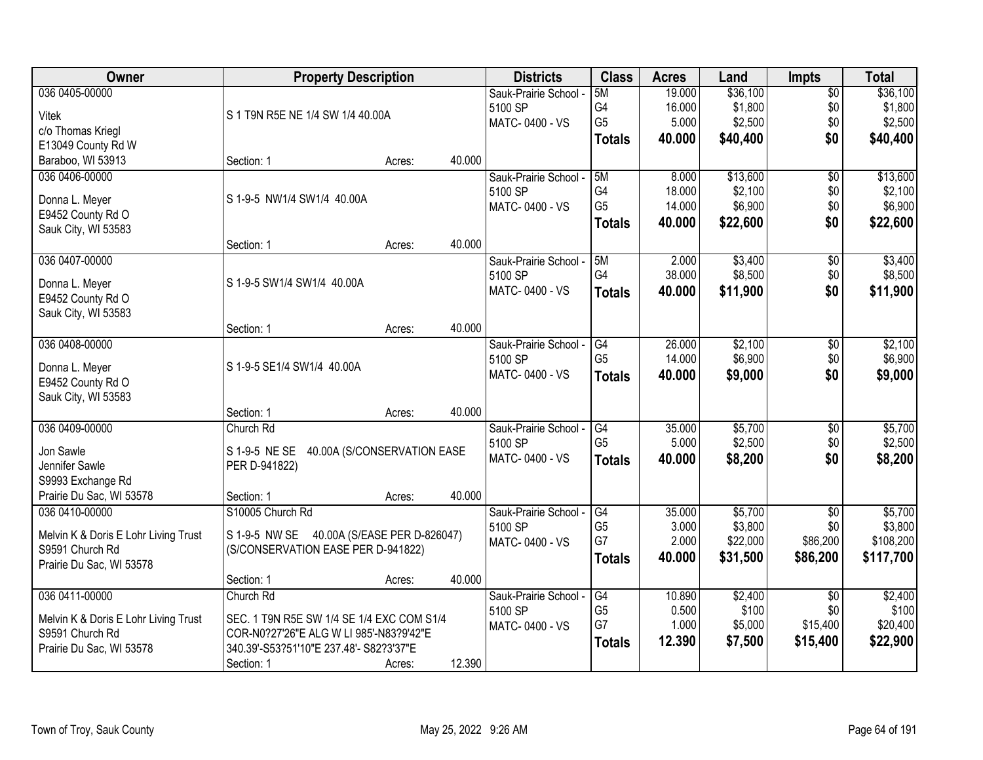| Owner                                    | <b>Property Description</b>                |        |        | <b>Districts</b>      | <b>Class</b>         | <b>Acres</b>    | Land             | <b>Impts</b>    | <b>Total</b>     |
|------------------------------------------|--------------------------------------------|--------|--------|-----------------------|----------------------|-----------------|------------------|-----------------|------------------|
| 036 0405-00000                           |                                            |        |        | Sauk-Prairie School - | 5M                   | 19.000          | \$36,100         | $\overline{60}$ | \$36,100         |
| <b>Vitek</b>                             | S 1 T9N R5E NE 1/4 SW 1/4 40.00A           |        |        | 5100 SP               | G4                   | 16.000          | \$1,800          | \$0             | \$1,800          |
| c/o Thomas Kriegl                        |                                            |        |        | MATC-0400 - VS        | G <sub>5</sub>       | 5.000           | \$2,500          | \$0             | \$2,500          |
| E13049 County Rd W                       |                                            |        |        |                       | <b>Totals</b>        | 40.000          | \$40,400         | \$0             | \$40,400         |
| Baraboo, WI 53913                        | Section: 1                                 | Acres: | 40.000 |                       |                      |                 |                  |                 |                  |
| 036 0406-00000                           |                                            |        |        | Sauk-Prairie School - | 5M                   | 8.000           | \$13,600         | $\overline{50}$ | \$13,600         |
|                                          | S 1-9-5 NW1/4 SW1/4 40.00A                 |        |        | 5100 SP               | G4                   | 18.000          | \$2,100          | \$0             | \$2,100          |
| Donna L. Meyer                           |                                            |        |        | MATC-0400 - VS        | G <sub>5</sub>       | 14.000          | \$6,900          | \$0             | \$6,900          |
| E9452 County Rd O<br>Sauk City, WI 53583 |                                            |        |        |                       | <b>Totals</b>        | 40.000          | \$22,600         | \$0             | \$22,600         |
|                                          | Section: 1                                 | Acres: | 40.000 |                       |                      |                 |                  |                 |                  |
| 036 0407-00000                           |                                            |        |        | Sauk-Prairie School - | 5M                   | 2.000           | \$3,400          | $\overline{50}$ | \$3,400          |
|                                          |                                            |        |        | 5100 SP               | G4                   | 38.000          | \$8,500          | \$0             | \$8,500          |
| Donna L. Meyer                           | S 1-9-5 SW1/4 SW1/4 40.00A                 |        |        | MATC-0400 - VS        | <b>Totals</b>        | 40.000          | \$11,900         | \$0             | \$11,900         |
| E9452 County Rd O                        |                                            |        |        |                       |                      |                 |                  |                 |                  |
| Sauk City, WI 53583                      |                                            |        |        |                       |                      |                 |                  |                 |                  |
|                                          | Section: 1                                 | Acres: | 40.000 |                       |                      |                 |                  |                 |                  |
| 036 0408-00000                           |                                            |        |        | Sauk-Prairie School - | G4                   | 26.000          | \$2,100          | \$0             | \$2,100          |
| Donna L. Meyer                           | S 1-9-5 SE1/4 SW1/4 40.00A                 |        |        | 5100 SP               | G <sub>5</sub>       | 14.000          | \$6,900          | \$0             | \$6,900          |
| E9452 County Rd O                        |                                            |        |        | MATC-0400 - VS        | <b>Totals</b>        | 40.000          | \$9,000          | \$0             | \$9,000          |
| Sauk City, WI 53583                      |                                            |        |        |                       |                      |                 |                  |                 |                  |
|                                          | Section: 1                                 | Acres: | 40.000 |                       |                      |                 |                  |                 |                  |
| 036 0409-00000                           | Church Rd                                  |        |        | Sauk-Prairie School - | $\overline{G4}$      | 35.000          | \$5,700          | \$0             | \$5,700          |
| Jon Sawle                                | S 1-9-5 NE SE 40.00A (S/CONSERVATION EASE  |        |        | 5100 SP               | G <sub>5</sub>       | 5.000           | \$2,500          | \$0             | \$2,500          |
| Jennifer Sawle                           | PER D-941822)                              |        |        | MATC-0400 - VS        | <b>Totals</b>        | 40.000          | \$8,200          | \$0             | \$8,200          |
| S9993 Exchange Rd                        |                                            |        |        |                       |                      |                 |                  |                 |                  |
| Prairie Du Sac, WI 53578                 | Section: 1                                 | Acres: | 40.000 |                       |                      |                 |                  |                 |                  |
| 036 0410-00000                           | S10005 Church Rd                           |        |        | Sauk-Prairie School - | G4                   | 35.000          | \$5,700          | $\overline{50}$ | \$5,700          |
|                                          |                                            |        |        | 5100 SP               | G <sub>5</sub>       | 3.000           | \$3,800          | \$0             | \$3,800          |
| Melvin K & Doris E Lohr Living Trust     | S 1-9-5 NW SE 40.00A (S/EASE PER D-826047) |        |        | MATC-0400 - VS        | G7                   | 2.000           | \$22,000         | \$86,200        | \$108,200        |
| S9591 Church Rd                          | (S/CONSERVATION EASE PER D-941822)         |        |        |                       | <b>Totals</b>        | 40.000          | \$31,500         | \$86,200        | \$117,700        |
| Prairie Du Sac, WI 53578                 |                                            |        |        |                       |                      |                 |                  |                 |                  |
|                                          | Section: 1                                 | Acres: | 40.000 |                       |                      |                 |                  |                 |                  |
| 036 0411-00000                           | Church Rd                                  |        |        | Sauk-Prairie School - | G4<br>G <sub>5</sub> | 10.890<br>0.500 | \$2,400<br>\$100 | $\overline{50}$ | \$2,400<br>\$100 |
| Melvin K & Doris E Lohr Living Trust     | SEC. 1 T9N R5E SW 1/4 SE 1/4 EXC COM S1/4  |        |        | 5100 SP               | G7                   | 1.000           | \$5,000          | \$0<br>\$15,400 | \$20,400         |
| S9591 Church Rd                          | COR-N0?27'26"E ALG W LI 985'-N83?9'42"E    |        |        | MATC-0400 - VS        |                      | 12.390          |                  |                 |                  |
| Prairie Du Sac, WI 53578                 | 340.39'-S53?51'10"E 237.48'- S82?3'37"E    |        |        |                       | <b>Totals</b>        |                 | \$7,500          | \$15,400        | \$22,900         |
|                                          | Section: 1                                 | Acres: | 12.390 |                       |                      |                 |                  |                 |                  |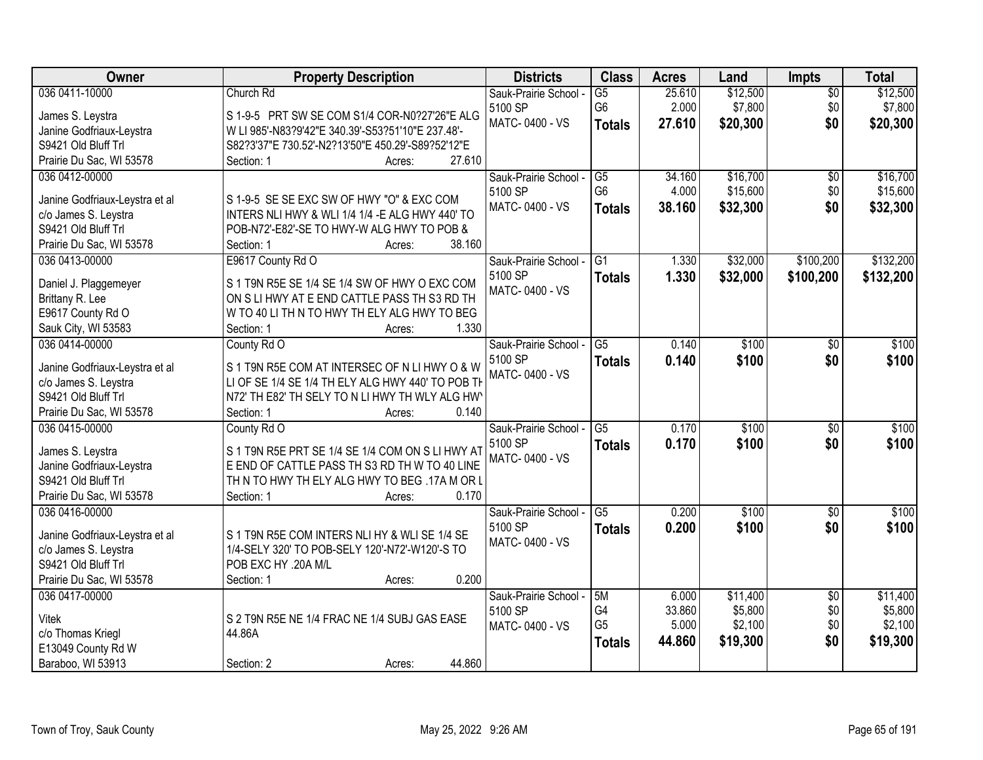| Owner                          | <b>Property Description</b>                       | <b>Districts</b>      | <b>Class</b>    | <b>Acres</b> | Land     | <b>Impts</b>    | <b>Total</b> |
|--------------------------------|---------------------------------------------------|-----------------------|-----------------|--------------|----------|-----------------|--------------|
| 036 0411-10000                 | Church Rd                                         | Sauk-Prairie School - | $\overline{G5}$ | 25.610       | \$12,500 | $\overline{50}$ | \$12,500     |
| James S. Leystra               | S 1-9-5 PRT SW SE COM S1/4 COR-N0?27'26"E ALG     | 5100 SP               | G <sub>6</sub>  | 2.000        | \$7,800  | \$0             | \$7,800      |
| Janine Godfriaux-Leystra       | W LI 985'-N83?9'42"E 340.39'-S53?51'10"E 237.48'- | MATC-0400 - VS        | <b>Totals</b>   | 27.610       | \$20,300 | \$0             | \$20,300     |
| S9421 Old Bluff Trl            | S82?3'37"E 730.52'-N2?13'50"E 450.29'-S89?52'12"E |                       |                 |              |          |                 |              |
| Prairie Du Sac, WI 53578       | 27.610<br>Section: 1<br>Acres:                    |                       |                 |              |          |                 |              |
| 036 0412-00000                 |                                                   | Sauk-Prairie School - | $\overline{G5}$ | 34.160       | \$16,700 | $\overline{50}$ | \$16,700     |
|                                |                                                   | 5100 SP               | G <sub>6</sub>  | 4.000        | \$15,600 | \$0             | \$15,600     |
| Janine Godfriaux-Leystra et al | S 1-9-5 SE SE EXC SW OF HWY "O" & EXC COM         | MATC-0400 - VS        | <b>Totals</b>   | 38.160       | \$32,300 | \$0             | \$32,300     |
| c/o James S. Leystra           | INTERS NLI HWY & WLI 1/4 1/4 - E ALG HWY 440' TO  |                       |                 |              |          |                 |              |
| S9421 Old Bluff Trl            | POB-N72'-E82'-SE TO HWY-W ALG HWY TO POB &        |                       |                 |              |          |                 |              |
| Prairie Du Sac, WI 53578       | 38.160<br>Section: 1<br>Acres:                    |                       |                 |              |          |                 |              |
| 036 0413-00000                 | E9617 County Rd O                                 | Sauk-Prairie School - | G1              | 1.330        | \$32,000 | \$100,200       | \$132,200    |
| Daniel J. Plaggemeyer          | S 1 T9N R5E SE 1/4 SE 1/4 SW OF HWY O EXC COM     | 5100 SP               | <b>Totals</b>   | 1.330        | \$32,000 | \$100,200       | \$132,200    |
| Brittany R. Lee                | ON S LI HWY AT E END CATTLE PASS TH S3 RD TH      | MATC-0400 - VS        |                 |              |          |                 |              |
| E9617 County Rd O              | W TO 40 LI TH N TO HWY TH ELY ALG HWY TO BEG      |                       |                 |              |          |                 |              |
| Sauk City, WI 53583            | 1.330<br>Section: 1<br>Acres:                     |                       |                 |              |          |                 |              |
| 036 0414-00000                 | County Rd O                                       | Sauk-Prairie School - | $\overline{G5}$ | 0.140        | \$100    | \$0             | \$100        |
|                                |                                                   | 5100 SP               |                 | 0.140        | \$100    | \$0             | \$100        |
| Janine Godfriaux-Leystra et al | S 1 T9N R5E COM AT INTERSEC OF N LI HWY O & W     | MATC-0400 - VS        | <b>Totals</b>   |              |          |                 |              |
| c/o James S. Leystra           | LI OF SE 1/4 SE 1/4 TH ELY ALG HWY 440' TO POB TH |                       |                 |              |          |                 |              |
| S9421 Old Bluff Trl            | N72' TH E82' TH SELY TO N LI HWY TH WLY ALG HW    |                       |                 |              |          |                 |              |
| Prairie Du Sac, WI 53578       | 0.140<br>Section: 1<br>Acres:                     |                       |                 |              |          |                 |              |
| 036 0415-00000                 | County Rd O                                       | Sauk-Prairie School - | $\overline{G5}$ | 0.170        | \$100    | $\overline{50}$ | \$100        |
| James S. Leystra               | S 1 T9N R5E PRT SE 1/4 SE 1/4 COM ON S LI HWY AT  | 5100 SP               | <b>Totals</b>   | 0.170        | \$100    | \$0             | \$100        |
| Janine Godfriaux-Leystra       | E END OF CATTLE PASS TH S3 RD TH W TO 40 LINE     | MATC-0400 - VS        |                 |              |          |                 |              |
| S9421 Old Bluff Trl            | TH N TO HWY TH ELY ALG HWY TO BEG .17A M OR L     |                       |                 |              |          |                 |              |
| Prairie Du Sac, WI 53578       | 0.170<br>Section: 1<br>Acres:                     |                       |                 |              |          |                 |              |
| 036 0416-00000                 |                                                   | Sauk-Prairie School - | G5              | 0.200        | \$100    | $\sqrt{6}$      | \$100        |
|                                |                                                   | 5100 SP               |                 |              |          | \$0             |              |
| Janine Godfriaux-Leystra et al | S 1 T9N R5E COM INTERS NLI HY & WLI SE 1/4 SE     | MATC-0400 - VS        | <b>Totals</b>   | 0.200        | \$100    |                 | \$100        |
| c/o James S. Leystra           | 1/4-SELY 320' TO POB-SELY 120'-N72'-W120'-S TO    |                       |                 |              |          |                 |              |
| S9421 Old Bluff Trl            | POB EXC HY .20A M/L                               |                       |                 |              |          |                 |              |
| Prairie Du Sac, WI 53578       | 0.200<br>Section: 1<br>Acres:                     |                       |                 |              |          |                 |              |
| 036 0417-00000                 |                                                   | Sauk-Prairie School - | 5M              | 6.000        | \$11,400 | $\overline{50}$ | \$11,400     |
| <b>Vitek</b>                   | S 2 T9N R5E NE 1/4 FRAC NE 1/4 SUBJ GAS EASE      | 5100 SP               | G4              | 33.860       | \$5,800  | \$0             | \$5,800      |
| c/o Thomas Kriegl              | 44.86A                                            | MATC-0400 - VS        | G <sub>5</sub>  | 5.000        | \$2,100  | \$0             | \$2,100      |
| E13049 County Rd W             |                                                   |                       | <b>Totals</b>   | 44.860       | \$19,300 | \$0             | \$19,300     |
| Baraboo, WI 53913              | 44.860<br>Section: 2                              |                       |                 |              |          |                 |              |
|                                | Acres:                                            |                       |                 |              |          |                 |              |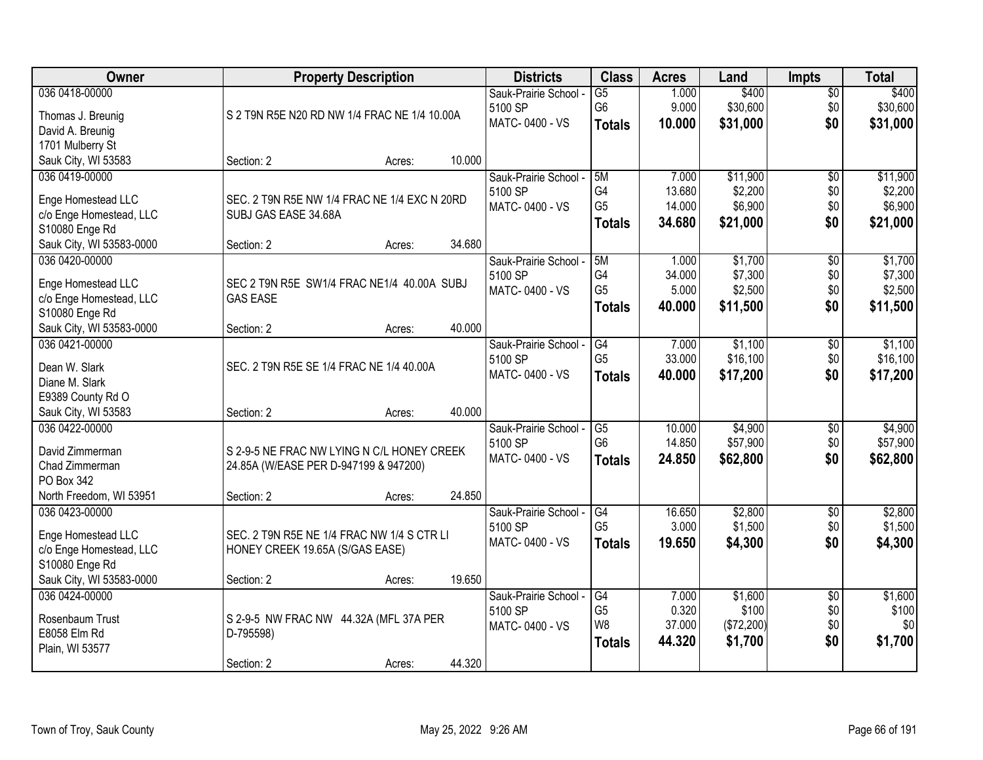| Owner                                      | <b>Property Description</b>                         |        |        | <b>Districts</b>      | <b>Class</b>    | <b>Acres</b> | Land       | <b>Impts</b>    | <b>Total</b> |
|--------------------------------------------|-----------------------------------------------------|--------|--------|-----------------------|-----------------|--------------|------------|-----------------|--------------|
| 036 0418-00000                             |                                                     |        |        | Sauk-Prairie School - | $\overline{G5}$ | 1.000        | \$400      | $\sqrt{$0}$     | \$400        |
| Thomas J. Breunig                          | S 2 T9N R5E N20 RD NW 1/4 FRAC NE 1/4 10.00A        |        |        | 5100 SP               | G <sub>6</sub>  | 9.000        | \$30,600   | \$0             | \$30,600     |
| David A. Breunig                           |                                                     |        |        | MATC-0400 - VS        | <b>Totals</b>   | 10.000       | \$31,000   | \$0             | \$31,000     |
| 1701 Mulberry St                           |                                                     |        |        |                       |                 |              |            |                 |              |
| Sauk City, WI 53583                        | Section: 2                                          | Acres: | 10.000 |                       |                 |              |            |                 |              |
| 036 0419-00000                             |                                                     |        |        | Sauk-Prairie School - | 5M              | 7.000        | \$11,900   | \$0             | \$11,900     |
| Enge Homestead LLC                         | SEC. 2 T9N R5E NW 1/4 FRAC NE 1/4 EXC N 20RD        |        |        | 5100 SP               | G4              | 13.680       | \$2,200    | \$0             | \$2,200      |
| c/o Enge Homestead, LLC                    | SUBJ GAS EASE 34.68A                                |        |        | MATC-0400 - VS        | G <sub>5</sub>  | 14.000       | \$6,900    | \$0             | \$6,900      |
| S10080 Enge Rd                             |                                                     |        |        |                       | <b>Totals</b>   | 34.680       | \$21,000   | \$0             | \$21,000     |
| Sauk City, WI 53583-0000                   | Section: 2                                          | Acres: | 34.680 |                       |                 |              |            |                 |              |
| 036 0420-00000                             |                                                     |        |        | Sauk-Prairie School - | 5M              | 1.000        | \$1,700    | \$0             | \$1,700      |
|                                            |                                                     |        |        | 5100 SP               | G4              | 34.000       | \$7,300    | \$0             | \$7,300      |
| Enge Homestead LLC                         | SEC 2 T9N R5E SW1/4 FRAC NE1/4 40.00A SUBJ          |        |        | MATC-0400 - VS        | G <sub>5</sub>  | 5.000        | \$2,500    | \$0             | \$2,500      |
| c/o Enge Homestead, LLC                    | <b>GAS EASE</b>                                     |        |        |                       | <b>Totals</b>   | 40.000       | \$11,500   | \$0             | \$11,500     |
| S10080 Enge Rd                             | Section: 2                                          |        | 40.000 |                       |                 |              |            |                 |              |
| Sauk City, WI 53583-0000<br>036 0421-00000 |                                                     | Acres: |        | Sauk-Prairie School - | G4              | 7.000        | \$1,100    | $\sqrt[6]{3}$   | \$1,100      |
|                                            |                                                     |        |        | 5100 SP               | G <sub>5</sub>  | 33.000       | \$16,100   | \$0             | \$16,100     |
| Dean W. Slark                              | SEC. 2 T9N R5E SE 1/4 FRAC NE 1/4 40.00A            |        |        | MATC-0400 - VS        | <b>Totals</b>   | 40.000       | \$17,200   | \$0             | \$17,200     |
| Diane M. Slark                             |                                                     |        |        |                       |                 |              |            |                 |              |
| E9389 County Rd O                          |                                                     |        |        |                       |                 |              |            |                 |              |
| Sauk City, WI 53583                        | Section: 2                                          | Acres: | 40.000 |                       |                 |              |            |                 |              |
| 036 0422-00000                             |                                                     |        |        | Sauk-Prairie School - | $\overline{G5}$ | 10.000       | \$4,900    | \$0             | \$4,900      |
| David Zimmerman                            | S 2-9-5 NE FRAC NW LYING N C/L HONEY CREEK          |        |        | 5100 SP               | G <sub>6</sub>  | 14.850       | \$57,900   | \$0             | \$57,900     |
| Chad Zimmerman                             | 24.85A (W/EASE PER D-947199 & 947200)               |        |        | MATC-0400 - VS        | <b>Totals</b>   | 24.850       | \$62,800   | \$0             | \$62,800     |
| PO Box 342                                 |                                                     |        |        |                       |                 |              |            |                 |              |
| North Freedom, WI 53951                    | Section: 2                                          | Acres: | 24.850 |                       |                 |              |            |                 |              |
| 036 0423-00000                             |                                                     |        |        | Sauk-Prairie School - | G4              | 16.650       | \$2,800    | $\sqrt{6}$      | \$2,800      |
| Enge Homestead LLC                         | SEC. 2 T9N R5E NE 1/4 FRAC NW 1/4 S CTR LI          |        |        | 5100 SP               | G <sub>5</sub>  | 3.000        | \$1,500    | \$0             | \$1,500      |
| c/o Enge Homestead, LLC                    | HONEY CREEK 19.65A (S/GAS EASE)                     |        |        | MATC-0400 - VS        | <b>Totals</b>   | 19.650       | \$4,300    | \$0             | \$4,300      |
| S10080 Enge Rd                             |                                                     |        |        |                       |                 |              |            |                 |              |
| Sauk City, WI 53583-0000                   | Section: 2                                          | Acres: | 19.650 |                       |                 |              |            |                 |              |
| 036 0424-00000                             |                                                     |        |        | Sauk-Prairie School - | G4              | 7.000        | \$1,600    | $\overline{50}$ | \$1,600      |
| Rosenbaum Trust                            |                                                     |        |        | 5100 SP               | G <sub>5</sub>  | 0.320        | \$100      | \$0             | \$100        |
| E8058 Elm Rd                               | S 2-9-5 NW FRAC NW 44.32A (MFL 37A PER<br>D-795598) |        |        | MATC-0400 - VS        | W8              | 37.000       | (\$72,200) | \$0             | \$0          |
| Plain, WI 53577                            |                                                     |        |        |                       | <b>Totals</b>   | 44.320       | \$1,700    | \$0             | \$1,700      |
|                                            | Section: 2                                          | Acres: | 44.320 |                       |                 |              |            |                 |              |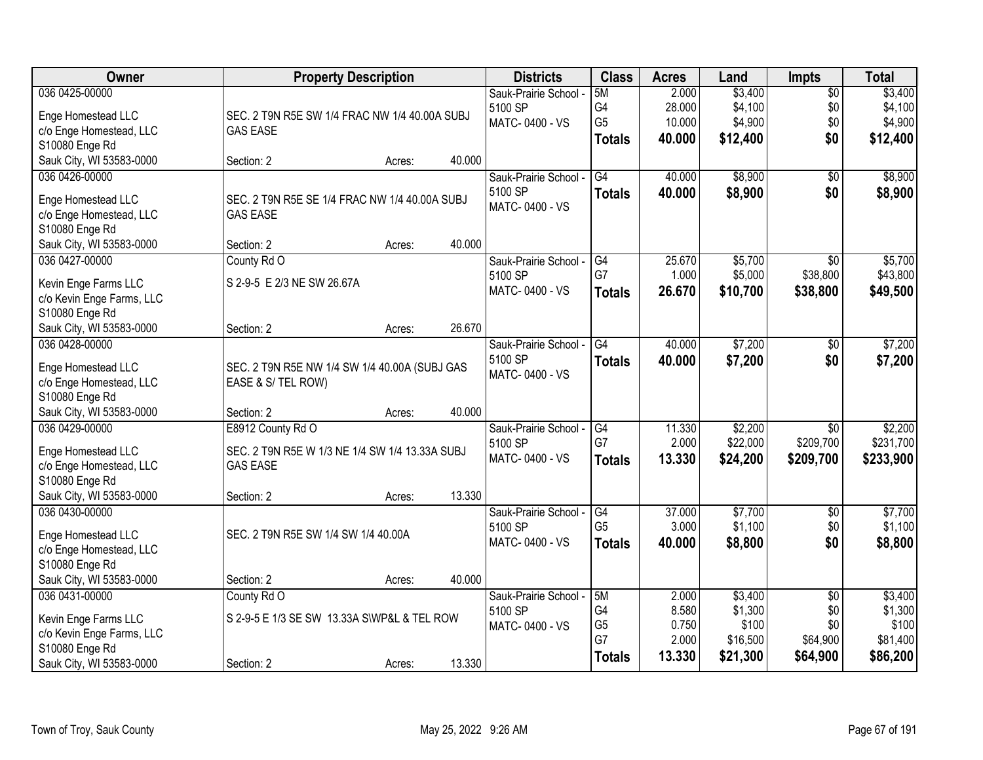| <b>Owner</b>              |                                                | <b>Property Description</b> |        | <b>Districts</b>      | <b>Class</b>    | <b>Acres</b> | Land     | <b>Impts</b>    | <b>Total</b> |
|---------------------------|------------------------------------------------|-----------------------------|--------|-----------------------|-----------------|--------------|----------|-----------------|--------------|
| 036 0425-00000            |                                                |                             |        | Sauk-Prairie School - | 5M              | 2.000        | \$3,400  | $\overline{50}$ | \$3,400      |
| Enge Homestead LLC        | SEC. 2 T9N R5E SW 1/4 FRAC NW 1/4 40.00A SUBJ  |                             |        | 5100 SP               | G4              | 28.000       | \$4,100  | \$0             | \$4,100      |
| c/o Enge Homestead, LLC   | <b>GAS EASE</b>                                |                             |        | MATC-0400 - VS        | G <sub>5</sub>  | 10.000       | \$4,900  | \$0             | \$4,900      |
| S10080 Enge Rd            |                                                |                             |        |                       | <b>Totals</b>   | 40.000       | \$12,400 | \$0             | \$12,400     |
| Sauk City, WI 53583-0000  | Section: 2                                     | Acres:                      | 40.000 |                       |                 |              |          |                 |              |
| 036 0426-00000            |                                                |                             |        | Sauk-Prairie School - | $\overline{G4}$ | 40.000       | \$8,900  | \$0             | \$8,900      |
| Enge Homestead LLC        | SEC. 2 T9N R5E SE 1/4 FRAC NW 1/4 40.00A SUBJ  |                             |        | 5100 SP               | <b>Totals</b>   | 40.000       | \$8,900  | \$0             | \$8,900      |
| c/o Enge Homestead, LLC   | <b>GAS EASE</b>                                |                             |        | MATC-0400 - VS        |                 |              |          |                 |              |
| S10080 Enge Rd            |                                                |                             |        |                       |                 |              |          |                 |              |
| Sauk City, WI 53583-0000  | Section: 2                                     | Acres:                      | 40.000 |                       |                 |              |          |                 |              |
| 036 0427-00000            | County Rd O                                    |                             |        | Sauk-Prairie School - | G4              | 25.670       | \$5,700  | $\overline{50}$ | \$5,700      |
| Kevin Enge Farms LLC      | S 2-9-5 E 2/3 NE SW 26.67A                     |                             |        | 5100 SP               | G7              | 1.000        | \$5,000  | \$38,800        | \$43,800     |
| c/o Kevin Enge Farms, LLC |                                                |                             |        | MATC-0400 - VS        | <b>Totals</b>   | 26.670       | \$10,700 | \$38,800        | \$49,500     |
| S10080 Enge Rd            |                                                |                             |        |                       |                 |              |          |                 |              |
| Sauk City, WI 53583-0000  | Section: 2                                     | Acres:                      | 26.670 |                       |                 |              |          |                 |              |
| 036 0428-00000            |                                                |                             |        | Sauk-Prairie School - | G4              | 40.000       | \$7,200  | $\sqrt[6]{}$    | \$7,200      |
| Enge Homestead LLC        | SEC. 2 T9N R5E NW 1/4 SW 1/4 40.00A (SUBJ GAS  |                             |        | 5100 SP               | <b>Totals</b>   | 40.000       | \$7,200  | \$0             | \$7,200      |
| c/o Enge Homestead, LLC   | EASE & S/ TEL ROW)                             |                             |        | MATC-0400 - VS        |                 |              |          |                 |              |
| S10080 Enge Rd            |                                                |                             |        |                       |                 |              |          |                 |              |
| Sauk City, WI 53583-0000  | Section: 2                                     | Acres:                      | 40.000 |                       |                 |              |          |                 |              |
| 036 0429-00000            | E8912 County Rd O                              |                             |        | Sauk-Prairie School - | G4              | 11.330       | \$2,200  | $\overline{30}$ | \$2,200      |
| Enge Homestead LLC        | SEC. 2 T9N R5E W 1/3 NE 1/4 SW 1/4 13.33A SUBJ |                             |        | 5100 SP               | G7              | 2.000        | \$22,000 | \$209,700       | \$231,700    |
| c/o Enge Homestead, LLC   | <b>GAS EASE</b>                                |                             |        | MATC-0400 - VS        | <b>Totals</b>   | 13.330       | \$24,200 | \$209,700       | \$233,900    |
| S10080 Enge Rd            |                                                |                             |        |                       |                 |              |          |                 |              |
| Sauk City, WI 53583-0000  | Section: 2                                     | Acres:                      | 13.330 |                       |                 |              |          |                 |              |
| 036 0430-00000            |                                                |                             |        | Sauk-Prairie School - | G4              | 37.000       | \$7,700  | $\overline{50}$ | \$7,700      |
| Enge Homestead LLC        | SEC. 2 T9N R5E SW 1/4 SW 1/4 40.00A            |                             |        | 5100 SP               | G <sub>5</sub>  | 3.000        | \$1,100  | \$0             | \$1,100      |
| c/o Enge Homestead, LLC   |                                                |                             |        | MATC-0400 - VS        | <b>Totals</b>   | 40.000       | \$8,800  | \$0             | \$8,800      |
| S10080 Enge Rd            |                                                |                             |        |                       |                 |              |          |                 |              |
| Sauk City, WI 53583-0000  | Section: 2                                     | Acres:                      | 40.000 |                       |                 |              |          |                 |              |
| 036 0431-00000            | County Rd O                                    |                             |        | Sauk-Prairie School - | 5M              | 2.000        | \$3,400  | $\overline{50}$ | \$3,400      |
| Kevin Enge Farms LLC      | S 2-9-5 E 1/3 SE SW 13.33A S\WP&L & TEL ROW    |                             |        | 5100 SP               | G4              | 8.580        | \$1,300  | \$0             | \$1,300      |
| c/o Kevin Enge Farms, LLC |                                                |                             |        | MATC-0400 - VS        | G <sub>5</sub>  | 0.750        | \$100    | \$0             | \$100        |
| S10080 Enge Rd            |                                                |                             |        |                       | G7              | 2.000        | \$16,500 | \$64,900        | \$81,400     |
| Sauk City, WI 53583-0000  | Section: 2                                     | Acres:                      | 13.330 |                       | <b>Totals</b>   | 13.330       | \$21,300 | \$64,900        | \$86,200     |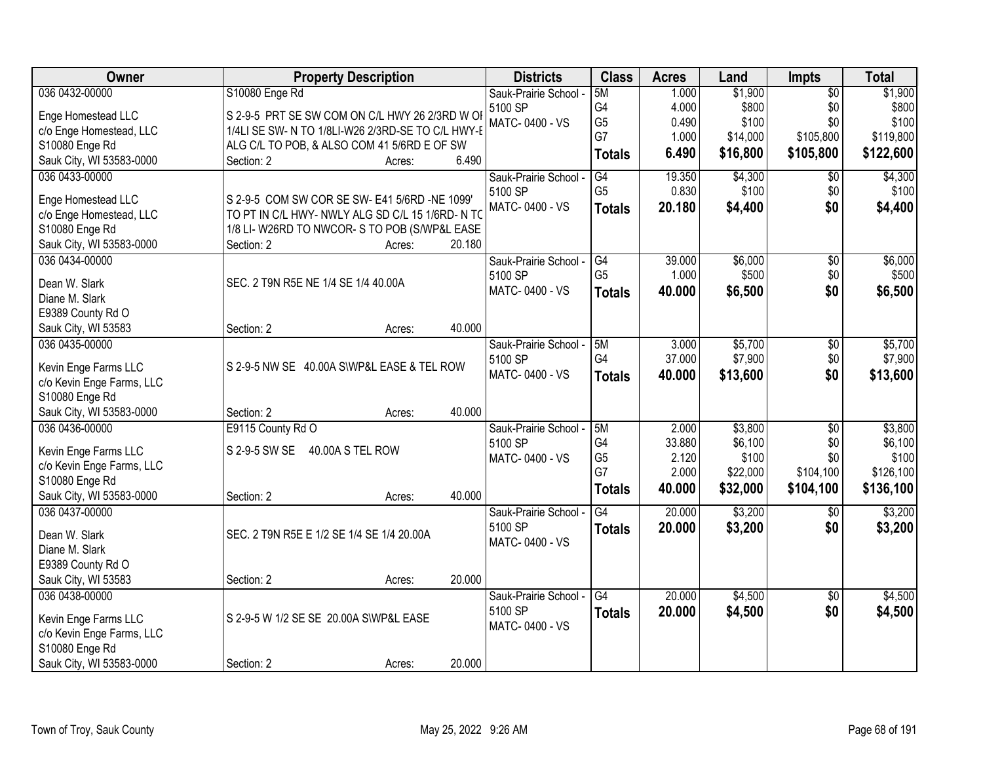| Owner                     | <b>Property Description</b>                       |                  | <b>Districts</b>      | <b>Class</b>    | <b>Acres</b> | Land     | Impts           | <b>Total</b> |
|---------------------------|---------------------------------------------------|------------------|-----------------------|-----------------|--------------|----------|-----------------|--------------|
| 036 0432-00000            | S10080 Enge Rd                                    |                  | Sauk-Prairie School - | 5M              | 1.000        | \$1,900  | $\overline{50}$ | \$1,900      |
| Enge Homestead LLC        | S 2-9-5 PRT SE SW COM ON C/L HWY 26 2/3RD W OI    |                  | 5100 SP               | G4              | 4.000        | \$800    | \$0             | \$800        |
| c/o Enge Homestead, LLC   | 1/4LI SE SW- N TO 1/8LI-W26 2/3RD-SE TO C/L HWY-E |                  | MATC-0400 - VS        | G <sub>5</sub>  | 0.490        | \$100    | \$0             | \$100        |
| S10080 Enge Rd            | ALG C/L TO POB, & ALSO COM 41 5/6RD E OF SW       |                  |                       | G7              | 1.000        | \$14,000 | \$105,800       | \$119,800    |
| Sauk City, WI 53583-0000  | Section: 2                                        | 6.490<br>Acres:  |                       | <b>Totals</b>   | 6.490        | \$16,800 | \$105,800       | \$122,600    |
| 036 0433-00000            |                                                   |                  | Sauk-Prairie School - | G4              | 19.350       | \$4,300  | \$0             | \$4,300      |
|                           |                                                   |                  | 5100 SP               | G <sub>5</sub>  | 0.830        | \$100    | \$0             | \$100        |
| Enge Homestead LLC        | S 2-9-5 COM SW COR SE SW- E41 5/6RD -NE 1099'     |                  | MATC-0400 - VS        | <b>Totals</b>   | 20.180       | \$4,400  | \$0             | \$4,400      |
| c/o Enge Homestead, LLC   | TO PT IN C/L HWY- NWLY ALG SD C/L 15 1/6RD- N TO  |                  |                       |                 |              |          |                 |              |
| S10080 Enge Rd            | 1/8 LI-W26RD TO NWCOR-S TO POB (S/WP&L EASE       |                  |                       |                 |              |          |                 |              |
| Sauk City, WI 53583-0000  | Section: 2                                        | 20.180<br>Acres: |                       |                 |              |          |                 |              |
| 036 0434-00000            |                                                   |                  | Sauk-Prairie School - | G4              | 39.000       | \$6,000  | \$0             | \$6,000      |
| Dean W. Slark             | SEC. 2 T9N R5E NE 1/4 SE 1/4 40.00A               |                  | 5100 SP               | G <sub>5</sub>  | 1.000        | \$500    | \$0             | \$500        |
| Diane M. Slark            |                                                   |                  | MATC-0400 - VS        | <b>Totals</b>   | 40.000       | \$6,500  | \$0             | \$6,500      |
| E9389 County Rd O         |                                                   |                  |                       |                 |              |          |                 |              |
| Sauk City, WI 53583       | Section: 2                                        | 40.000<br>Acres: |                       |                 |              |          |                 |              |
| 036 0435-00000            |                                                   |                  | Sauk-Prairie School - | 5M              | 3.000        | \$5,700  | $\sqrt[6]{3}$   | \$5,700      |
|                           |                                                   |                  | 5100 SP               | G4              | 37.000       | \$7,900  | \$0             | \$7,900      |
| Kevin Enge Farms LLC      | S 2-9-5 NW SE 40.00A S\WP&L EASE & TEL ROW        |                  | MATC-0400 - VS        | <b>Totals</b>   | 40.000       | \$13,600 | \$0             | \$13,600     |
| c/o Kevin Enge Farms, LLC |                                                   |                  |                       |                 |              |          |                 |              |
| S10080 Enge Rd            |                                                   |                  |                       |                 |              |          |                 |              |
| Sauk City, WI 53583-0000  | Section: 2                                        | 40.000<br>Acres: |                       |                 |              |          |                 |              |
| 036 0436-00000            | E9115 County Rd O                                 |                  | Sauk-Prairie School - | 5M              | 2.000        | \$3,800  | $\overline{50}$ | \$3,800      |
| Kevin Enge Farms LLC      | S 2-9-5 SW SE  40.00A S TEL ROW                   |                  | 5100 SP               | G4              | 33.880       | \$6,100  | \$0             | \$6,100      |
| c/o Kevin Enge Farms, LLC |                                                   |                  | MATC-0400 - VS        | G <sub>5</sub>  | 2.120        | \$100    | \$0             | \$100        |
| S10080 Enge Rd            |                                                   |                  |                       | G7              | 2.000        | \$22,000 | \$104,100       | \$126,100    |
| Sauk City, WI 53583-0000  | Section: 2                                        | 40.000<br>Acres: |                       | <b>Totals</b>   | 40.000       | \$32,000 | \$104,100       | \$136,100    |
| 036 0437-00000            |                                                   |                  | Sauk-Prairie School - | G4              | 20.000       | \$3,200  | $\sqrt{6}$      | \$3,200      |
|                           |                                                   |                  | 5100 SP               | <b>Totals</b>   | 20.000       | \$3,200  | \$0             | \$3,200      |
| Dean W. Slark             | SEC. 2 T9N R5E E 1/2 SE 1/4 SE 1/4 20.00A         |                  | MATC-0400 - VS        |                 |              |          |                 |              |
| Diane M. Slark            |                                                   |                  |                       |                 |              |          |                 |              |
| E9389 County Rd O         |                                                   |                  |                       |                 |              |          |                 |              |
| Sauk City, WI 53583       | Section: 2                                        | 20.000<br>Acres: |                       |                 |              |          |                 |              |
| 036 0438-00000            |                                                   |                  | Sauk-Prairie School - | $\overline{G4}$ | 20.000       | \$4,500  | $\overline{30}$ | \$4,500      |
| Kevin Enge Farms LLC      | S 2-9-5 W 1/2 SE SE 20.00A S\WP&L EASE            |                  | 5100 SP               | <b>Totals</b>   | 20.000       | \$4,500  | \$0             | \$4,500      |
| c/o Kevin Enge Farms, LLC |                                                   |                  | MATC-0400 - VS        |                 |              |          |                 |              |
| S10080 Enge Rd            |                                                   |                  |                       |                 |              |          |                 |              |
| Sauk City, WI 53583-0000  | Section: 2                                        | 20.000<br>Acres: |                       |                 |              |          |                 |              |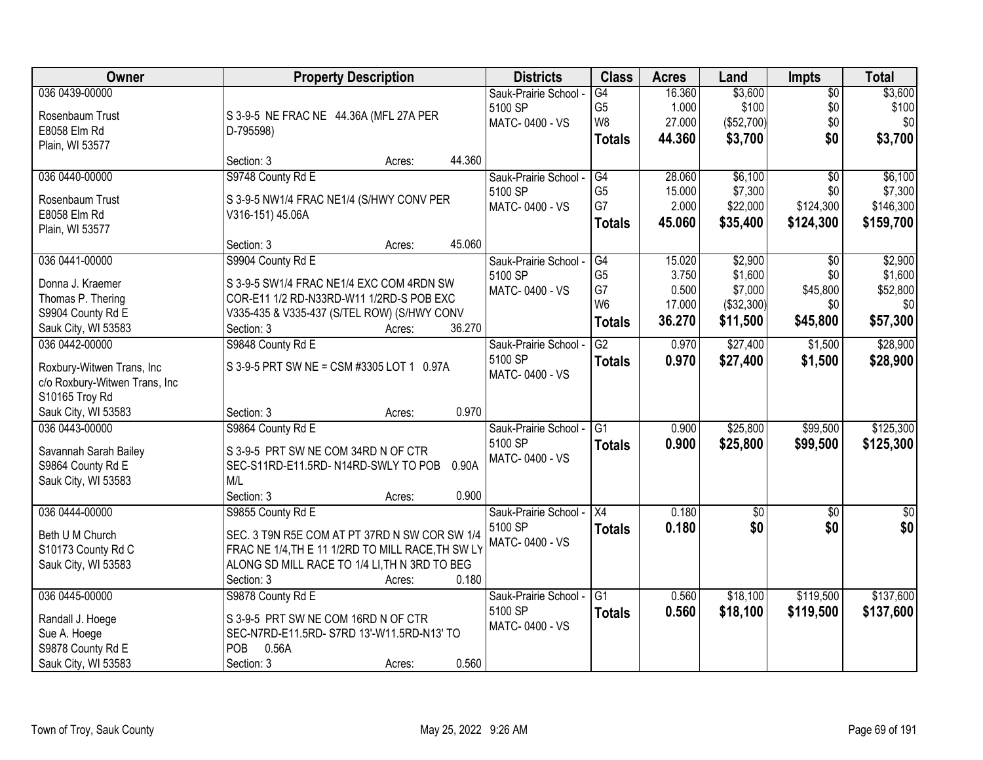| 036 0439-00000<br>16.360<br>\$3,600<br>\$3,600<br>G4<br>$\sqrt{$0}$<br>Sauk-Prairie School -<br>G <sub>5</sub><br>\$100<br>\$100<br>1.000<br>\$0<br>5100 SP<br>S 3-9-5 NE FRAC NE 44.36A (MFL 27A PER<br>Rosenbaum Trust<br>W8<br>27.000<br>(\$52,700)<br>\$0<br>\$0<br>MATC-0400 - VS<br>E8058 Elm Rd<br>D-795598)<br>\$0<br>\$3,700<br>44.360<br>\$3,700<br><b>Totals</b><br>Plain, WI 53577<br>44.360<br>Section: 3<br>Acres:<br>\$6,100<br>S9748 County Rd E<br>28.060<br>036 0440-00000<br>Sauk-Prairie School -<br>G4<br>$\overline{50}$<br>G <sub>5</sub><br>\$7,300<br>5100 SP<br>15.000<br>\$0<br>S 3-9-5 NW1/4 FRAC NE1/4 (S/HWY CONV PER<br>Rosenbaum Trust<br>G7<br>2.000<br>\$22,000<br>\$124,300<br>MATC-0400 - VS<br>E8058 Elm Rd<br>V316-151) 45.06A<br>45.060<br>\$35,400<br>\$124,300<br><b>Totals</b><br>Plain, WI 53577<br>45.060<br>Section: 3<br>Acres:<br>\$2,900<br>036 0441-00000<br>S9904 County Rd E<br>15.020<br>Sauk-Prairie School -<br>G4<br>\$0<br>G <sub>5</sub><br>3.750<br>\$1,600<br>\$0<br>5100 SP<br>S 3-9-5 SW1/4 FRAC NE1/4 EXC COM 4RDN SW<br>Donna J. Kraemer<br>G7<br>0.500<br>\$7,000<br>\$45,800<br>MATC-0400 - VS<br>Thomas P. Thering<br>COR-E11 1/2 RD-N33RD-W11 1/2RD-S POB EXC<br>W <sub>6</sub><br>17.000<br>(\$32,300)<br>\$0<br>\$0<br>S9904 County Rd E<br>V335-435 & V335-437 (S/TEL ROW) (S/HWY CONV<br>\$57,300<br>36.270<br>\$45,800<br>\$11,500<br><b>Totals</b><br>36.270<br>Section: 3<br>Sauk City, WI 53583<br>Acres:<br>036 0442-00000<br>$\overline{G2}$<br>\$27,400<br>S9848 County Rd E<br>0.970<br>\$1,500<br>Sauk-Prairie School -<br>5100 SP<br>0.970<br>\$27,400<br>\$1,500<br>\$28,900<br><b>Totals</b><br>Roxbury-Witwen Trans, Inc<br>S 3-9-5 PRT SW NE = CSM #3305 LOT 1 0.97A<br>MATC-0400 - VS<br>c/o Roxbury-Witwen Trans, Inc<br>S10165 Troy Rd<br>0.970<br>Sauk City, WI 53583<br>Section: 3<br>Acres:<br>\$25,800<br>\$99,500<br>036 0443-00000<br>S9864 County Rd E<br>$\overline{G1}$<br>0.900<br>Sauk-Prairie School -<br>5100 SP<br>0.900<br>\$25,800<br>\$99,500<br>Totals<br>S 3-9-5 PRT SW NE COM 34RD N OF CTR<br>Savannah Sarah Bailey<br>MATC-0400 - VS<br>S9864 County Rd E<br>SEC-S11RD-E11.5RD-N14RD-SWLY TO POB<br>0.90A<br>Sauk City, WI 53583<br>M/L<br>0.900<br>Section: 3<br>Acres:<br>X4<br>036 0444-00000<br>S9855 County Rd E<br>0.180<br>$\sqrt{$0}$<br>Sauk-Prairie School -<br>\$0<br>\$0<br>5100 SP<br>0.180<br>\$0<br>Totals<br>Beth U M Church<br>SEC. 3 T9N R5E COM AT PT 37RD N SW COR SW 1/4<br>MATC-0400 - VS<br>FRAC NE 1/4, TH E 11 1/2RD TO MILL RACE, TH SW LY<br>S10173 County Rd C<br>ALONG SD MILL RACE TO 1/4 LI, TH N 3RD TO BEG<br>Sauk City, WI 53583<br>0.180<br>Section: 3<br>Acres:<br>036 0445-00000<br>S9878 County Rd E<br>\$18,100<br>\$119,500<br>Sauk-Prairie School -<br>G1<br>0.560<br>5100 SP<br>0.560<br>\$18,100<br>\$137,600<br>\$119,500<br><b>Totals</b><br>S 3-9-5 PRT SW NE COM 16RD N OF CTR<br>Randall J. Hoege<br>MATC-0400 - VS<br>Sue A. Hoege<br>SEC-N7RD-E11.5RD-S7RD 13'-W11.5RD-N13' TO | Owner             | <b>Property Description</b> | <b>Districts</b> | <b>Class</b> | <b>Acres</b> | Land | <b>Impts</b> | <b>Total</b> |
|------------------------------------------------------------------------------------------------------------------------------------------------------------------------------------------------------------------------------------------------------------------------------------------------------------------------------------------------------------------------------------------------------------------------------------------------------------------------------------------------------------------------------------------------------------------------------------------------------------------------------------------------------------------------------------------------------------------------------------------------------------------------------------------------------------------------------------------------------------------------------------------------------------------------------------------------------------------------------------------------------------------------------------------------------------------------------------------------------------------------------------------------------------------------------------------------------------------------------------------------------------------------------------------------------------------------------------------------------------------------------------------------------------------------------------------------------------------------------------------------------------------------------------------------------------------------------------------------------------------------------------------------------------------------------------------------------------------------------------------------------------------------------------------------------------------------------------------------------------------------------------------------------------------------------------------------------------------------------------------------------------------------------------------------------------------------------------------------------------------------------------------------------------------------------------------------------------------------------------------------------------------------------------------------------------------------------------------------------------------------------------------------------------------------------------------------------------------------------------------------------------------------------------------------------------------------------------------------------------------------------------------------------------------------------------------------------------------------------------------------------------------------------------------------------------------------------------------------------------------------------------------------------------------------------------------------------------------------------------------------------------------------------------------------|-------------------|-----------------------------|------------------|--------------|--------------|------|--------------|--------------|
|                                                                                                                                                                                                                                                                                                                                                                                                                                                                                                                                                                                                                                                                                                                                                                                                                                                                                                                                                                                                                                                                                                                                                                                                                                                                                                                                                                                                                                                                                                                                                                                                                                                                                                                                                                                                                                                                                                                                                                                                                                                                                                                                                                                                                                                                                                                                                                                                                                                                                                                                                                                                                                                                                                                                                                                                                                                                                                                                                                                                                                                |                   |                             |                  |              |              |      |              |              |
|                                                                                                                                                                                                                                                                                                                                                                                                                                                                                                                                                                                                                                                                                                                                                                                                                                                                                                                                                                                                                                                                                                                                                                                                                                                                                                                                                                                                                                                                                                                                                                                                                                                                                                                                                                                                                                                                                                                                                                                                                                                                                                                                                                                                                                                                                                                                                                                                                                                                                                                                                                                                                                                                                                                                                                                                                                                                                                                                                                                                                                                |                   |                             |                  |              |              |      |              |              |
|                                                                                                                                                                                                                                                                                                                                                                                                                                                                                                                                                                                                                                                                                                                                                                                                                                                                                                                                                                                                                                                                                                                                                                                                                                                                                                                                                                                                                                                                                                                                                                                                                                                                                                                                                                                                                                                                                                                                                                                                                                                                                                                                                                                                                                                                                                                                                                                                                                                                                                                                                                                                                                                                                                                                                                                                                                                                                                                                                                                                                                                |                   |                             |                  |              |              |      |              |              |
|                                                                                                                                                                                                                                                                                                                                                                                                                                                                                                                                                                                                                                                                                                                                                                                                                                                                                                                                                                                                                                                                                                                                                                                                                                                                                                                                                                                                                                                                                                                                                                                                                                                                                                                                                                                                                                                                                                                                                                                                                                                                                                                                                                                                                                                                                                                                                                                                                                                                                                                                                                                                                                                                                                                                                                                                                                                                                                                                                                                                                                                |                   |                             |                  |              |              |      |              |              |
|                                                                                                                                                                                                                                                                                                                                                                                                                                                                                                                                                                                                                                                                                                                                                                                                                                                                                                                                                                                                                                                                                                                                                                                                                                                                                                                                                                                                                                                                                                                                                                                                                                                                                                                                                                                                                                                                                                                                                                                                                                                                                                                                                                                                                                                                                                                                                                                                                                                                                                                                                                                                                                                                                                                                                                                                                                                                                                                                                                                                                                                |                   |                             |                  |              |              |      |              |              |
| \$7,300<br>\$146,300<br>\$159,700<br>\$2,900<br>\$1,600<br>\$52,800<br>\$28,900<br>\$125,300<br>\$125,300<br>\$0<br>\$0 <br>\$137,600                                                                                                                                                                                                                                                                                                                                                                                                                                                                                                                                                                                                                                                                                                                                                                                                                                                                                                                                                                                                                                                                                                                                                                                                                                                                                                                                                                                                                                                                                                                                                                                                                                                                                                                                                                                                                                                                                                                                                                                                                                                                                                                                                                                                                                                                                                                                                                                                                                                                                                                                                                                                                                                                                                                                                                                                                                                                                                          |                   |                             |                  |              |              |      |              | \$6,100      |
|                                                                                                                                                                                                                                                                                                                                                                                                                                                                                                                                                                                                                                                                                                                                                                                                                                                                                                                                                                                                                                                                                                                                                                                                                                                                                                                                                                                                                                                                                                                                                                                                                                                                                                                                                                                                                                                                                                                                                                                                                                                                                                                                                                                                                                                                                                                                                                                                                                                                                                                                                                                                                                                                                                                                                                                                                                                                                                                                                                                                                                                |                   |                             |                  |              |              |      |              |              |
|                                                                                                                                                                                                                                                                                                                                                                                                                                                                                                                                                                                                                                                                                                                                                                                                                                                                                                                                                                                                                                                                                                                                                                                                                                                                                                                                                                                                                                                                                                                                                                                                                                                                                                                                                                                                                                                                                                                                                                                                                                                                                                                                                                                                                                                                                                                                                                                                                                                                                                                                                                                                                                                                                                                                                                                                                                                                                                                                                                                                                                                |                   |                             |                  |              |              |      |              |              |
|                                                                                                                                                                                                                                                                                                                                                                                                                                                                                                                                                                                                                                                                                                                                                                                                                                                                                                                                                                                                                                                                                                                                                                                                                                                                                                                                                                                                                                                                                                                                                                                                                                                                                                                                                                                                                                                                                                                                                                                                                                                                                                                                                                                                                                                                                                                                                                                                                                                                                                                                                                                                                                                                                                                                                                                                                                                                                                                                                                                                                                                |                   |                             |                  |              |              |      |              |              |
|                                                                                                                                                                                                                                                                                                                                                                                                                                                                                                                                                                                                                                                                                                                                                                                                                                                                                                                                                                                                                                                                                                                                                                                                                                                                                                                                                                                                                                                                                                                                                                                                                                                                                                                                                                                                                                                                                                                                                                                                                                                                                                                                                                                                                                                                                                                                                                                                                                                                                                                                                                                                                                                                                                                                                                                                                                                                                                                                                                                                                                                |                   |                             |                  |              |              |      |              |              |
|                                                                                                                                                                                                                                                                                                                                                                                                                                                                                                                                                                                                                                                                                                                                                                                                                                                                                                                                                                                                                                                                                                                                                                                                                                                                                                                                                                                                                                                                                                                                                                                                                                                                                                                                                                                                                                                                                                                                                                                                                                                                                                                                                                                                                                                                                                                                                                                                                                                                                                                                                                                                                                                                                                                                                                                                                                                                                                                                                                                                                                                |                   |                             |                  |              |              |      |              |              |
|                                                                                                                                                                                                                                                                                                                                                                                                                                                                                                                                                                                                                                                                                                                                                                                                                                                                                                                                                                                                                                                                                                                                                                                                                                                                                                                                                                                                                                                                                                                                                                                                                                                                                                                                                                                                                                                                                                                                                                                                                                                                                                                                                                                                                                                                                                                                                                                                                                                                                                                                                                                                                                                                                                                                                                                                                                                                                                                                                                                                                                                |                   |                             |                  |              |              |      |              |              |
|                                                                                                                                                                                                                                                                                                                                                                                                                                                                                                                                                                                                                                                                                                                                                                                                                                                                                                                                                                                                                                                                                                                                                                                                                                                                                                                                                                                                                                                                                                                                                                                                                                                                                                                                                                                                                                                                                                                                                                                                                                                                                                                                                                                                                                                                                                                                                                                                                                                                                                                                                                                                                                                                                                                                                                                                                                                                                                                                                                                                                                                |                   |                             |                  |              |              |      |              |              |
|                                                                                                                                                                                                                                                                                                                                                                                                                                                                                                                                                                                                                                                                                                                                                                                                                                                                                                                                                                                                                                                                                                                                                                                                                                                                                                                                                                                                                                                                                                                                                                                                                                                                                                                                                                                                                                                                                                                                                                                                                                                                                                                                                                                                                                                                                                                                                                                                                                                                                                                                                                                                                                                                                                                                                                                                                                                                                                                                                                                                                                                |                   |                             |                  |              |              |      |              |              |
|                                                                                                                                                                                                                                                                                                                                                                                                                                                                                                                                                                                                                                                                                                                                                                                                                                                                                                                                                                                                                                                                                                                                                                                                                                                                                                                                                                                                                                                                                                                                                                                                                                                                                                                                                                                                                                                                                                                                                                                                                                                                                                                                                                                                                                                                                                                                                                                                                                                                                                                                                                                                                                                                                                                                                                                                                                                                                                                                                                                                                                                |                   |                             |                  |              |              |      |              |              |
|                                                                                                                                                                                                                                                                                                                                                                                                                                                                                                                                                                                                                                                                                                                                                                                                                                                                                                                                                                                                                                                                                                                                                                                                                                                                                                                                                                                                                                                                                                                                                                                                                                                                                                                                                                                                                                                                                                                                                                                                                                                                                                                                                                                                                                                                                                                                                                                                                                                                                                                                                                                                                                                                                                                                                                                                                                                                                                                                                                                                                                                |                   |                             |                  |              |              |      |              |              |
|                                                                                                                                                                                                                                                                                                                                                                                                                                                                                                                                                                                                                                                                                                                                                                                                                                                                                                                                                                                                                                                                                                                                                                                                                                                                                                                                                                                                                                                                                                                                                                                                                                                                                                                                                                                                                                                                                                                                                                                                                                                                                                                                                                                                                                                                                                                                                                                                                                                                                                                                                                                                                                                                                                                                                                                                                                                                                                                                                                                                                                                |                   |                             |                  |              |              |      |              |              |
|                                                                                                                                                                                                                                                                                                                                                                                                                                                                                                                                                                                                                                                                                                                                                                                                                                                                                                                                                                                                                                                                                                                                                                                                                                                                                                                                                                                                                                                                                                                                                                                                                                                                                                                                                                                                                                                                                                                                                                                                                                                                                                                                                                                                                                                                                                                                                                                                                                                                                                                                                                                                                                                                                                                                                                                                                                                                                                                                                                                                                                                |                   |                             |                  |              |              |      |              |              |
|                                                                                                                                                                                                                                                                                                                                                                                                                                                                                                                                                                                                                                                                                                                                                                                                                                                                                                                                                                                                                                                                                                                                                                                                                                                                                                                                                                                                                                                                                                                                                                                                                                                                                                                                                                                                                                                                                                                                                                                                                                                                                                                                                                                                                                                                                                                                                                                                                                                                                                                                                                                                                                                                                                                                                                                                                                                                                                                                                                                                                                                |                   |                             |                  |              |              |      |              |              |
|                                                                                                                                                                                                                                                                                                                                                                                                                                                                                                                                                                                                                                                                                                                                                                                                                                                                                                                                                                                                                                                                                                                                                                                                                                                                                                                                                                                                                                                                                                                                                                                                                                                                                                                                                                                                                                                                                                                                                                                                                                                                                                                                                                                                                                                                                                                                                                                                                                                                                                                                                                                                                                                                                                                                                                                                                                                                                                                                                                                                                                                |                   |                             |                  |              |              |      |              |              |
|                                                                                                                                                                                                                                                                                                                                                                                                                                                                                                                                                                                                                                                                                                                                                                                                                                                                                                                                                                                                                                                                                                                                                                                                                                                                                                                                                                                                                                                                                                                                                                                                                                                                                                                                                                                                                                                                                                                                                                                                                                                                                                                                                                                                                                                                                                                                                                                                                                                                                                                                                                                                                                                                                                                                                                                                                                                                                                                                                                                                                                                |                   |                             |                  |              |              |      |              |              |
|                                                                                                                                                                                                                                                                                                                                                                                                                                                                                                                                                                                                                                                                                                                                                                                                                                                                                                                                                                                                                                                                                                                                                                                                                                                                                                                                                                                                                                                                                                                                                                                                                                                                                                                                                                                                                                                                                                                                                                                                                                                                                                                                                                                                                                                                                                                                                                                                                                                                                                                                                                                                                                                                                                                                                                                                                                                                                                                                                                                                                                                |                   |                             |                  |              |              |      |              |              |
|                                                                                                                                                                                                                                                                                                                                                                                                                                                                                                                                                                                                                                                                                                                                                                                                                                                                                                                                                                                                                                                                                                                                                                                                                                                                                                                                                                                                                                                                                                                                                                                                                                                                                                                                                                                                                                                                                                                                                                                                                                                                                                                                                                                                                                                                                                                                                                                                                                                                                                                                                                                                                                                                                                                                                                                                                                                                                                                                                                                                                                                |                   |                             |                  |              |              |      |              |              |
|                                                                                                                                                                                                                                                                                                                                                                                                                                                                                                                                                                                                                                                                                                                                                                                                                                                                                                                                                                                                                                                                                                                                                                                                                                                                                                                                                                                                                                                                                                                                                                                                                                                                                                                                                                                                                                                                                                                                                                                                                                                                                                                                                                                                                                                                                                                                                                                                                                                                                                                                                                                                                                                                                                                                                                                                                                                                                                                                                                                                                                                |                   |                             |                  |              |              |      |              |              |
|                                                                                                                                                                                                                                                                                                                                                                                                                                                                                                                                                                                                                                                                                                                                                                                                                                                                                                                                                                                                                                                                                                                                                                                                                                                                                                                                                                                                                                                                                                                                                                                                                                                                                                                                                                                                                                                                                                                                                                                                                                                                                                                                                                                                                                                                                                                                                                                                                                                                                                                                                                                                                                                                                                                                                                                                                                                                                                                                                                                                                                                |                   |                             |                  |              |              |      |              |              |
|                                                                                                                                                                                                                                                                                                                                                                                                                                                                                                                                                                                                                                                                                                                                                                                                                                                                                                                                                                                                                                                                                                                                                                                                                                                                                                                                                                                                                                                                                                                                                                                                                                                                                                                                                                                                                                                                                                                                                                                                                                                                                                                                                                                                                                                                                                                                                                                                                                                                                                                                                                                                                                                                                                                                                                                                                                                                                                                                                                                                                                                |                   |                             |                  |              |              |      |              |              |
|                                                                                                                                                                                                                                                                                                                                                                                                                                                                                                                                                                                                                                                                                                                                                                                                                                                                                                                                                                                                                                                                                                                                                                                                                                                                                                                                                                                                                                                                                                                                                                                                                                                                                                                                                                                                                                                                                                                                                                                                                                                                                                                                                                                                                                                                                                                                                                                                                                                                                                                                                                                                                                                                                                                                                                                                                                                                                                                                                                                                                                                |                   |                             |                  |              |              |      |              |              |
|                                                                                                                                                                                                                                                                                                                                                                                                                                                                                                                                                                                                                                                                                                                                                                                                                                                                                                                                                                                                                                                                                                                                                                                                                                                                                                                                                                                                                                                                                                                                                                                                                                                                                                                                                                                                                                                                                                                                                                                                                                                                                                                                                                                                                                                                                                                                                                                                                                                                                                                                                                                                                                                                                                                                                                                                                                                                                                                                                                                                                                                |                   |                             |                  |              |              |      |              |              |
|                                                                                                                                                                                                                                                                                                                                                                                                                                                                                                                                                                                                                                                                                                                                                                                                                                                                                                                                                                                                                                                                                                                                                                                                                                                                                                                                                                                                                                                                                                                                                                                                                                                                                                                                                                                                                                                                                                                                                                                                                                                                                                                                                                                                                                                                                                                                                                                                                                                                                                                                                                                                                                                                                                                                                                                                                                                                                                                                                                                                                                                |                   |                             |                  |              |              |      |              |              |
|                                                                                                                                                                                                                                                                                                                                                                                                                                                                                                                                                                                                                                                                                                                                                                                                                                                                                                                                                                                                                                                                                                                                                                                                                                                                                                                                                                                                                                                                                                                                                                                                                                                                                                                                                                                                                                                                                                                                                                                                                                                                                                                                                                                                                                                                                                                                                                                                                                                                                                                                                                                                                                                                                                                                                                                                                                                                                                                                                                                                                                                |                   |                             |                  |              |              |      |              |              |
|                                                                                                                                                                                                                                                                                                                                                                                                                                                                                                                                                                                                                                                                                                                                                                                                                                                                                                                                                                                                                                                                                                                                                                                                                                                                                                                                                                                                                                                                                                                                                                                                                                                                                                                                                                                                                                                                                                                                                                                                                                                                                                                                                                                                                                                                                                                                                                                                                                                                                                                                                                                                                                                                                                                                                                                                                                                                                                                                                                                                                                                |                   |                             |                  |              |              |      |              |              |
|                                                                                                                                                                                                                                                                                                                                                                                                                                                                                                                                                                                                                                                                                                                                                                                                                                                                                                                                                                                                                                                                                                                                                                                                                                                                                                                                                                                                                                                                                                                                                                                                                                                                                                                                                                                                                                                                                                                                                                                                                                                                                                                                                                                                                                                                                                                                                                                                                                                                                                                                                                                                                                                                                                                                                                                                                                                                                                                                                                                                                                                |                   |                             |                  |              |              |      |              |              |
|                                                                                                                                                                                                                                                                                                                                                                                                                                                                                                                                                                                                                                                                                                                                                                                                                                                                                                                                                                                                                                                                                                                                                                                                                                                                                                                                                                                                                                                                                                                                                                                                                                                                                                                                                                                                                                                                                                                                                                                                                                                                                                                                                                                                                                                                                                                                                                                                                                                                                                                                                                                                                                                                                                                                                                                                                                                                                                                                                                                                                                                |                   |                             |                  |              |              |      |              |              |
|                                                                                                                                                                                                                                                                                                                                                                                                                                                                                                                                                                                                                                                                                                                                                                                                                                                                                                                                                                                                                                                                                                                                                                                                                                                                                                                                                                                                                                                                                                                                                                                                                                                                                                                                                                                                                                                                                                                                                                                                                                                                                                                                                                                                                                                                                                                                                                                                                                                                                                                                                                                                                                                                                                                                                                                                                                                                                                                                                                                                                                                |                   |                             |                  |              |              |      |              |              |
|                                                                                                                                                                                                                                                                                                                                                                                                                                                                                                                                                                                                                                                                                                                                                                                                                                                                                                                                                                                                                                                                                                                                                                                                                                                                                                                                                                                                                                                                                                                                                                                                                                                                                                                                                                                                                                                                                                                                                                                                                                                                                                                                                                                                                                                                                                                                                                                                                                                                                                                                                                                                                                                                                                                                                                                                                                                                                                                                                                                                                                                |                   |                             |                  |              |              |      |              |              |
|                                                                                                                                                                                                                                                                                                                                                                                                                                                                                                                                                                                                                                                                                                                                                                                                                                                                                                                                                                                                                                                                                                                                                                                                                                                                                                                                                                                                                                                                                                                                                                                                                                                                                                                                                                                                                                                                                                                                                                                                                                                                                                                                                                                                                                                                                                                                                                                                                                                                                                                                                                                                                                                                                                                                                                                                                                                                                                                                                                                                                                                | S9878 County Rd E | POB<br>0.56A                |                  |              |              |      |              |              |
| 0.560<br>Sauk City, WI 53583<br>Section: 3<br>Acres:                                                                                                                                                                                                                                                                                                                                                                                                                                                                                                                                                                                                                                                                                                                                                                                                                                                                                                                                                                                                                                                                                                                                                                                                                                                                                                                                                                                                                                                                                                                                                                                                                                                                                                                                                                                                                                                                                                                                                                                                                                                                                                                                                                                                                                                                                                                                                                                                                                                                                                                                                                                                                                                                                                                                                                                                                                                                                                                                                                                           |                   |                             |                  |              |              |      |              |              |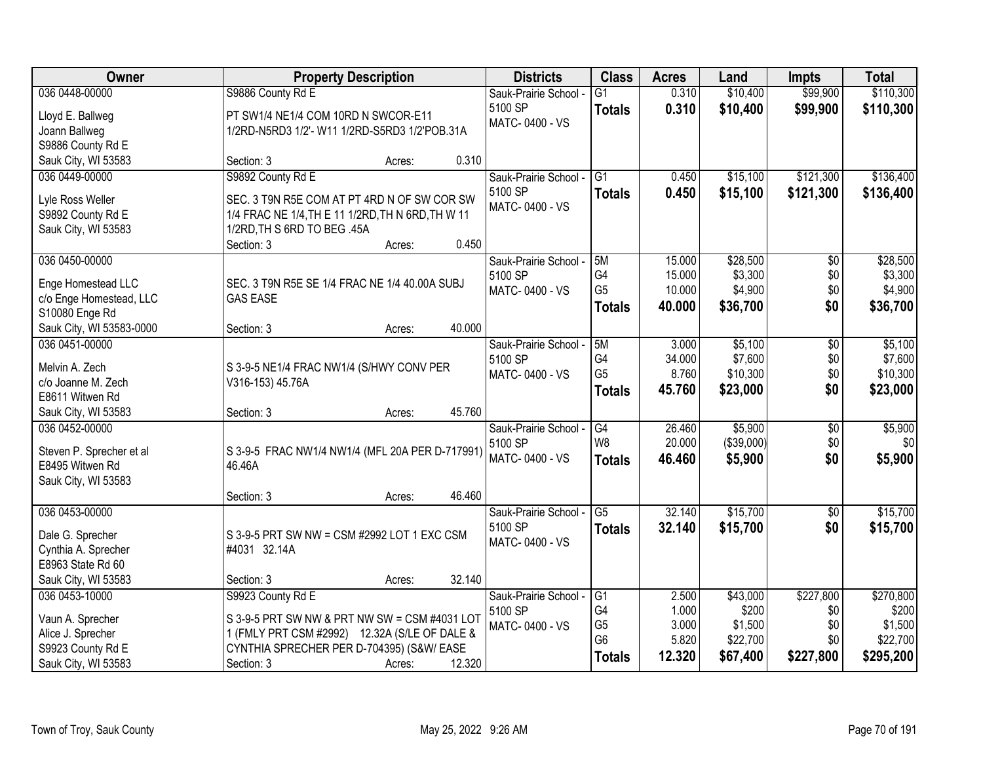| Owner                                 | <b>Property Description</b>                       | <b>Districts</b>                 | <b>Class</b>    | <b>Acres</b>   | Land              | <b>Impts</b> | <b>Total</b>       |
|---------------------------------------|---------------------------------------------------|----------------------------------|-----------------|----------------|-------------------|--------------|--------------------|
| 036 0448-00000                        | S9886 County Rd E                                 | Sauk-Prairie School -            | $\overline{G1}$ | 0.310          | \$10,400          | \$99,900     | \$110,300          |
| Lloyd E. Ballweg                      | PT SW1/4 NE1/4 COM 10RD N SWCOR-E11               | 5100 SP                          | <b>Totals</b>   | 0.310          | \$10,400          | \$99,900     | \$110,300          |
| Joann Ballweg                         | 1/2RD-N5RD3 1/2'- W11 1/2RD-S5RD3 1/2'POB.31A     | MATC-0400 - VS                   |                 |                |                   |              |                    |
| S9886 County Rd E                     |                                                   |                                  |                 |                |                   |              |                    |
| Sauk City, WI 53583                   | 0.310<br>Section: 3<br>Acres:                     |                                  |                 |                |                   |              |                    |
| 036 0449-00000                        | S9892 County Rd E                                 | Sauk-Prairie School -            | $\overline{G1}$ | 0.450          | \$15,100          | \$121,300    | \$136,400          |
| Lyle Ross Weller                      | SEC. 3 T9N R5E COM AT PT 4RD N OF SW COR SW       | 5100 SP                          | <b>Totals</b>   | 0.450          | \$15,100          | \$121,300    | \$136,400          |
| S9892 County Rd E                     | 1/4 FRAC NE 1/4, TH E 11 1/2RD, TH N 6RD, TH W 11 | MATC-0400 - VS                   |                 |                |                   |              |                    |
| Sauk City, WI 53583                   | 1/2RD, TH S 6RD TO BEG .45A                       |                                  |                 |                |                   |              |                    |
|                                       | 0.450<br>Section: 3<br>Acres:                     |                                  |                 |                |                   |              |                    |
| 036 0450-00000                        |                                                   | Sauk-Prairie School -            | 5M              | 15.000         | \$28,500          | \$0          | \$28,500           |
| Enge Homestead LLC                    | SEC. 3 T9N R5E SE 1/4 FRAC NE 1/4 40.00A SUBJ     | 5100 SP                          | G4              | 15.000         | \$3,300           | \$0          | \$3,300            |
| c/o Enge Homestead, LLC               | <b>GAS EASE</b>                                   | MATC-0400 - VS                   | G <sub>5</sub>  | 10.000         | \$4,900           | \$0          | \$4,900            |
| S10080 Enge Rd                        |                                                   |                                  | <b>Totals</b>   | 40.000         | \$36,700          | \$0          | \$36,700           |
| Sauk City, WI 53583-0000              | 40.000<br>Section: 3<br>Acres:                    |                                  |                 |                |                   |              |                    |
| 036 0451-00000                        |                                                   | Sauk-Prairie School -            | 5M              | 3.000          | \$5,100           | \$0          | \$5,100            |
|                                       |                                                   | 5100 SP                          | G4              | 34.000         | \$7,600           | \$0          | \$7,600            |
| Melvin A. Zech<br>c/o Joanne M. Zech  | S 3-9-5 NE1/4 FRAC NW1/4 (S/HWY CONV PER          | MATC-0400 - VS                   | G <sub>5</sub>  | 8.760          | \$10,300          | \$0          | \$10,300           |
| E8611 Witwen Rd                       | V316-153) 45.76A                                  |                                  | <b>Totals</b>   | 45.760         | \$23,000          | \$0          | \$23,000           |
| Sauk City, WI 53583                   | 45.760<br>Section: 3<br>Acres:                    |                                  |                 |                |                   |              |                    |
| 036 0452-00000                        |                                                   | Sauk-Prairie School -            | $\overline{G4}$ | 26.460         | \$5,900           | \$0          | \$5,900            |
|                                       |                                                   | 5100 SP                          | W <sub>8</sub>  | 20.000         | (\$39,000)        | \$0          | \$0                |
| Steven P. Sprecher et al              | S 3-9-5 FRAC NW1/4 NW1/4 (MFL 20A PER D-717991)   | MATC-0400 - VS                   | <b>Totals</b>   | 46.460         | \$5,900           | \$0          | \$5,900            |
| E8495 Witwen Rd                       | 46.46A                                            |                                  |                 |                |                   |              |                    |
| Sauk City, WI 53583                   | 46.460<br>Section: 3<br>Acres:                    |                                  |                 |                |                   |              |                    |
| 036 0453-00000                        |                                                   | Sauk-Prairie School -            | G <sub>5</sub>  | 32.140         | \$15,700          | $\sqrt{$0}$  | \$15,700           |
|                                       |                                                   | 5100 SP                          | <b>Totals</b>   | 32.140         | \$15,700          | \$0          | \$15,700           |
| Dale G. Sprecher                      | S 3-9-5 PRT SW NW = CSM #2992 LOT 1 EXC CSM       | MATC-0400 - VS                   |                 |                |                   |              |                    |
| Cynthia A. Sprecher                   | #4031 32.14A                                      |                                  |                 |                |                   |              |                    |
| E8963 State Rd 60                     |                                                   |                                  |                 |                |                   |              |                    |
| Sauk City, WI 53583<br>036 0453-10000 | 32.140<br>Section: 3<br>Acres:                    |                                  |                 |                |                   | \$227,800    |                    |
|                                       | S9923 County Rd E                                 | Sauk-Prairie School -<br>5100 SP | G1<br>G4        | 2.500<br>1.000 | \$43,000<br>\$200 | \$0          | \$270,800<br>\$200 |
| Vaun A. Sprecher                      | S 3-9-5 PRT SW NW & PRT NW SW = CSM #4031 LOT     | MATC-0400 - VS                   | G <sub>5</sub>  | 3.000          | \$1,500           | \$0          | \$1,500            |
| Alice J. Sprecher                     | 1 (FMLY PRT CSM #2992) 12.32A (S/LE OF DALE &     |                                  | G <sub>6</sub>  | 5.820          | \$22,700          | \$0          | \$22,700           |
| S9923 County Rd E                     | CYNTHIA SPRECHER PER D-704395) (S&W/EASE          |                                  | <b>Totals</b>   | 12.320         | \$67,400          | \$227,800    | \$295,200          |
| Sauk City, WI 53583                   | 12.320<br>Section: 3<br>Acres:                    |                                  |                 |                |                   |              |                    |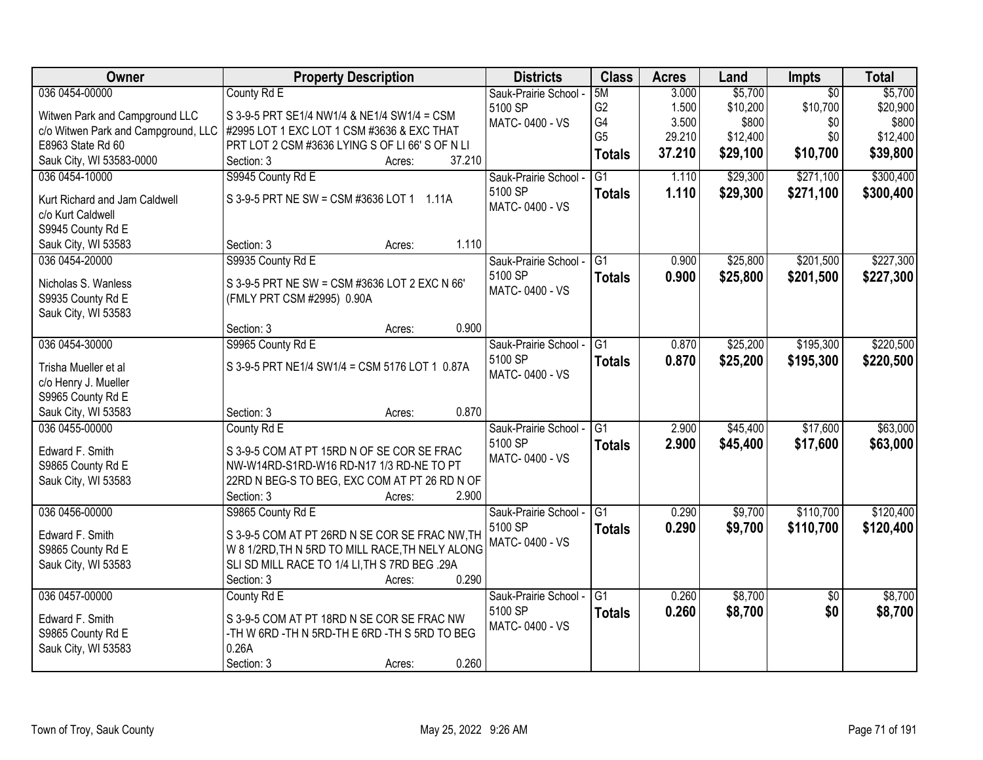| Owner                                  | <b>Property Description</b>                     | <b>Districts</b>         | <b>Class</b>    | <b>Acres</b> | Land     | Impts           | <b>Total</b> |
|----------------------------------------|-------------------------------------------------|--------------------------|-----------------|--------------|----------|-----------------|--------------|
| 036 0454-00000                         | County Rd E                                     | Sauk-Prairie School -    | 5M              | 3.000        | \$5,700  | $\overline{50}$ | \$5,700      |
| Witwen Park and Campground LLC         | S 3-9-5 PRT SE1/4 NW1/4 & NE1/4 SW1/4 = CSM     | 5100 SP                  | G <sub>2</sub>  | 1.500        | \$10,200 | \$10,700        | \$20,900     |
| c/o Witwen Park and Campground, LLC    | #2995 LOT 1 EXC LOT 1 CSM #3636 & EXC THAT      | MATC-0400 - VS           | G4              | 3.500        | \$800    | \$0             | \$800        |
| E8963 State Rd 60                      | PRT LOT 2 CSM #3636 LYING S OF LI 66' S OF N LI |                          | G <sub>5</sub>  | 29.210       | \$12,400 | \$0             | \$12,400     |
| Sauk City, WI 53583-0000               | 37.210<br>Section: 3<br>Acres:                  |                          | <b>Totals</b>   | 37.210       | \$29,100 | \$10,700        | \$39,800     |
| 036 0454-10000                         | S9945 County Rd E                               | Sauk-Prairie School -    | $\overline{G1}$ | 1.110        | \$29,300 | \$271,100       | \$300,400    |
|                                        | S 3-9-5 PRT NE SW = CSM #3636 LOT 1 1.11A       | 5100 SP                  | <b>Totals</b>   | 1.110        | \$29,300 | \$271,100       | \$300,400    |
| Kurt Richard and Jam Caldwell          |                                                 | MATC-0400 - VS           |                 |              |          |                 |              |
| c/o Kurt Caldwell<br>S9945 County Rd E |                                                 |                          |                 |              |          |                 |              |
| Sauk City, WI 53583                    | 1.110<br>Section: 3<br>Acres:                   |                          |                 |              |          |                 |              |
| 036 0454-20000                         | S9935 County Rd E                               | Sauk-Prairie School -    | TG1             | 0.900        | \$25,800 | \$201,500       | \$227,300    |
|                                        |                                                 | 5100 SP                  | <b>Totals</b>   | 0.900        | \$25,800 | \$201,500       | \$227,300    |
| Nicholas S. Wanless                    | S 3-9-5 PRT NE SW = CSM #3636 LOT 2 EXC N 66'   | MATC-0400 - VS           |                 |              |          |                 |              |
| S9935 County Rd E                      | (FMLY PRT CSM #2995) 0.90A                      |                          |                 |              |          |                 |              |
| Sauk City, WI 53583                    |                                                 |                          |                 |              |          |                 |              |
|                                        | 0.900<br>Section: 3<br>Acres:                   |                          |                 |              |          |                 |              |
| 036 0454-30000                         | S9965 County Rd E                               | Sauk-Prairie School -    | G1              | 0.870        | \$25,200 | \$195,300       | \$220,500    |
| Trisha Mueller et al                   | S 3-9-5 PRT NE1/4 SW1/4 = CSM 5176 LOT 1 0.87A  | 5100 SP                  | <b>Totals</b>   | 0.870        | \$25,200 | \$195,300       | \$220,500    |
| c/o Henry J. Mueller                   |                                                 | MATC-0400 - VS           |                 |              |          |                 |              |
| S9965 County Rd E                      |                                                 |                          |                 |              |          |                 |              |
| Sauk City, WI 53583                    | 0.870<br>Section: 3<br>Acres:                   |                          |                 |              |          |                 |              |
| 036 0455-00000                         | County Rd E                                     | Sauk-Prairie School -    | $\overline{G1}$ | 2.900        | \$45,400 | \$17,600        | \$63,000     |
| Edward F. Smith                        | S 3-9-5 COM AT PT 15RD N OF SE COR SE FRAC      | 5100 SP                  | Totals          | 2.900        | \$45,400 | \$17,600        | \$63,000     |
| S9865 County Rd E                      | NW-W14RD-S1RD-W16 RD-N17 1/3 RD-NE TO PT        | MATC-0400 - VS           |                 |              |          |                 |              |
| Sauk City, WI 53583                    | 22RD N BEG-S TO BEG, EXC COM AT PT 26 RD N OF   |                          |                 |              |          |                 |              |
|                                        | Section: 3<br>2.900<br>Acres:                   |                          |                 |              |          |                 |              |
| 036 0456-00000                         | S9865 County Rd E                               | Sauk-Prairie School - G1 |                 | 0.290        | \$9,700  | \$110,700       | \$120,400    |
|                                        |                                                 | 5100 SP                  | <b>Totals</b>   | 0.290        | \$9,700  | \$110,700       | \$120,400    |
| Edward F. Smith                        | S 3-9-5 COM AT PT 26RD N SE COR SE FRAC NW, TH  | MATC-0400 - VS           |                 |              |          |                 |              |
| S9865 County Rd E                      | W 8 1/2RD, TH N 5RD TO MILL RACE, TH NELY ALONG |                          |                 |              |          |                 |              |
| Sauk City, WI 53583                    | SLI SD MILL RACE TO 1/4 LI, TH S 7RD BEG .29A   |                          |                 |              |          |                 |              |
|                                        | 0.290<br>Section: 3<br>Acres:                   |                          |                 |              |          |                 |              |
| 036 0457-00000                         | County Rd E                                     | Sauk-Prairie School -    | G1              | 0.260        | \$8,700  | $\overline{50}$ | \$8,700      |
| Edward F. Smith                        | S 3-9-5 COM AT PT 18RD N SE COR SE FRAC NW      | 5100 SP                  | <b>Totals</b>   | 0.260        | \$8,700  | \$0             | \$8,700      |
| S9865 County Rd E                      | -TH W 6RD -TH N 5RD-TH E 6RD -TH S 5RD TO BEG   | MATC-0400 - VS           |                 |              |          |                 |              |
| Sauk City, WI 53583                    | 0.26A                                           |                          |                 |              |          |                 |              |
|                                        | 0.260<br>Section: 3<br>Acres:                   |                          |                 |              |          |                 |              |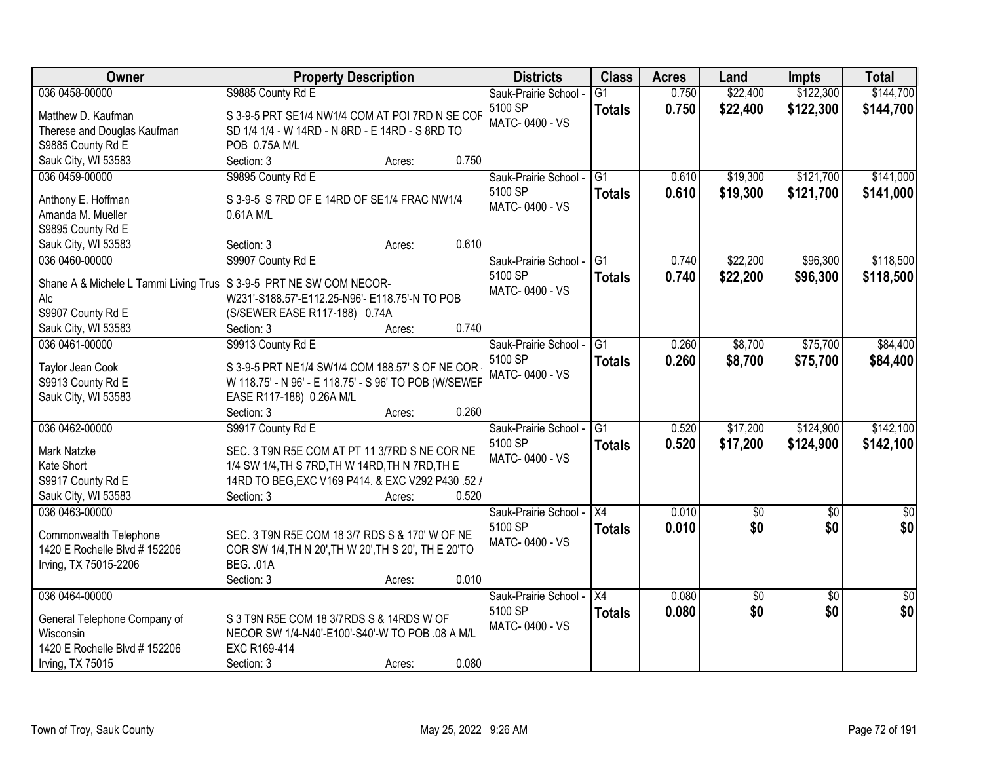| Owner                                                                | <b>Property Description</b>                           | <b>Districts</b>      | <b>Class</b>    | <b>Acres</b> | Land        | <b>Impts</b>    | <b>Total</b>    |
|----------------------------------------------------------------------|-------------------------------------------------------|-----------------------|-----------------|--------------|-------------|-----------------|-----------------|
| 036 0458-00000                                                       | S9885 County Rd E                                     | Sauk-Prairie School - | $\overline{G1}$ | 0.750        | \$22,400    | \$122,300       | \$144,700       |
| Matthew D. Kaufman                                                   | S 3-9-5 PRT SE1/4 NW1/4 COM AT POI 7RD N SE COR       | 5100 SP               | <b>Totals</b>   | 0.750        | \$22,400    | \$122,300       | \$144,700       |
| Therese and Douglas Kaufman                                          | SD 1/4 1/4 - W 14RD - N 8RD - E 14RD - S 8RD TO       | MATC-0400 - VS        |                 |              |             |                 |                 |
| S9885 County Rd E                                                    | POB 0.75A M/L                                         |                       |                 |              |             |                 |                 |
| Sauk City, WI 53583                                                  | 0.750<br>Section: 3<br>Acres:                         |                       |                 |              |             |                 |                 |
| 036 0459-00000                                                       | S9895 County Rd E                                     | Sauk-Prairie School - | $\overline{G1}$ | 0.610        | \$19,300    | \$121,700       | \$141,000       |
|                                                                      |                                                       | 5100 SP               | <b>Totals</b>   | 0.610        | \$19,300    | \$121,700       | \$141,000       |
| Anthony E. Hoffman                                                   | S 3-9-5 S 7RD OF E 14RD OF SE1/4 FRAC NW1/4           | MATC-0400 - VS        |                 |              |             |                 |                 |
| Amanda M. Mueller                                                    | 0.61A M/L                                             |                       |                 |              |             |                 |                 |
| S9895 County Rd E                                                    |                                                       |                       |                 |              |             |                 |                 |
| Sauk City, WI 53583                                                  | 0.610<br>Section: 3<br>Acres:                         |                       |                 |              |             |                 |                 |
| 036 0460-00000                                                       | S9907 County Rd E                                     | Sauk-Prairie School - | $\overline{G1}$ | 0.740        | \$22,200    | \$96,300        | \$118,500       |
| Shane A & Michele L Tammi Living Trus   S 3-9-5 PRT NE SW COM NECOR- |                                                       | 5100 SP               | <b>Totals</b>   | 0.740        | \$22,200    | \$96,300        | \$118,500       |
| Alc                                                                  | W231'-S188.57'-E112.25-N96'- E118.75'-N TO POB        | MATC-0400 - VS        |                 |              |             |                 |                 |
| S9907 County Rd E                                                    | (S/SEWER EASE R117-188) 0.74A                         |                       |                 |              |             |                 |                 |
| Sauk City, WI 53583                                                  | 0.740<br>Section: 3<br>Acres:                         |                       |                 |              |             |                 |                 |
| 036 0461-00000                                                       | S9913 County Rd E                                     | Sauk-Prairie School - | $\overline{G1}$ | 0.260        | \$8,700     | \$75,700        | \$84,400        |
|                                                                      |                                                       | 5100 SP               | <b>Totals</b>   | 0.260        | \$8,700     | \$75,700        | \$84,400        |
| Taylor Jean Cook                                                     | S 3-9-5 PRT NE1/4 SW1/4 COM 188.57' S OF NE COR       | MATC-0400 - VS        |                 |              |             |                 |                 |
| S9913 County Rd E<br>Sauk City, WI 53583                             | W 118.75' - N 96' - E 118.75' - S 96' TO POB (W/SEWEF |                       |                 |              |             |                 |                 |
|                                                                      | EASE R117-188) 0.26A M/L<br>Section: 3<br>0.260       |                       |                 |              |             |                 |                 |
| 036 0462-00000                                                       | Acres:<br>S9917 County Rd E                           | Sauk-Prairie School - | $\overline{G1}$ | 0.520        | \$17,200    | \$124,900       | \$142,100       |
|                                                                      |                                                       | 5100 SP               |                 |              |             |                 |                 |
| Mark Natzke                                                          | SEC. 3 T9N R5E COM AT PT 11 3/7RD S NE COR NE         | MATC-0400 - VS        | <b>Totals</b>   | 0.520        | \$17,200    | \$124,900       | \$142,100       |
| Kate Short                                                           | 1/4 SW 1/4, TH S 7RD, TH W 14RD, TH N 7RD, TH E       |                       |                 |              |             |                 |                 |
| S9917 County Rd E                                                    | 14RD TO BEG, EXC V169 P414. & EXC V292 P430.52 /      |                       |                 |              |             |                 |                 |
| Sauk City, WI 53583                                                  | 0.520<br>Section: 3<br>Acres:                         |                       |                 |              |             |                 |                 |
| 036 0463-00000                                                       |                                                       | Sauk-Prairie School - | X4              | 0.010        | $\sqrt{50}$ | $\overline{50}$ | $\overline{50}$ |
| Commonwealth Telephone                                               | SEC. 3 T9N R5E COM 18 3/7 RDS S & 170' W OF NE        | 5100 SP               | <b>Totals</b>   | 0.010        | \$0         | \$0             | \$0             |
| 1420 E Rochelle Blvd # 152206                                        | COR SW 1/4, TH N 20', TH W 20', TH S 20', TH E 20'TO  | MATC-0400 - VS        |                 |              |             |                 |                 |
| Irving, TX 75015-2206                                                | <b>BEG. .01A</b>                                      |                       |                 |              |             |                 |                 |
|                                                                      | 0.010<br>Section: 3<br>Acres:                         |                       |                 |              |             |                 |                 |
| 036 0464-00000                                                       |                                                       | Sauk-Prairie School - | X4              | 0.080        | \$0         | $\overline{30}$ | $\sqrt{50}$     |
|                                                                      |                                                       | 5100 SP               |                 | 0.080        | \$0         | \$0             | \$0             |
| General Telephone Company of                                         | S 3 T9N R5E COM 18 3/7RDS S & 14RDS W OF              | MATC-0400 - VS        | <b>Totals</b>   |              |             |                 |                 |
| <b>Wisconsin</b>                                                     | NECOR SW 1/4-N40'-E100'-S40'-W TO POB .08 A M/L       |                       |                 |              |             |                 |                 |
| 1420 E Rochelle Blvd # 152206                                        | EXC R169-414                                          |                       |                 |              |             |                 |                 |
| Irving, TX 75015                                                     | 0.080<br>Section: 3<br>Acres:                         |                       |                 |              |             |                 |                 |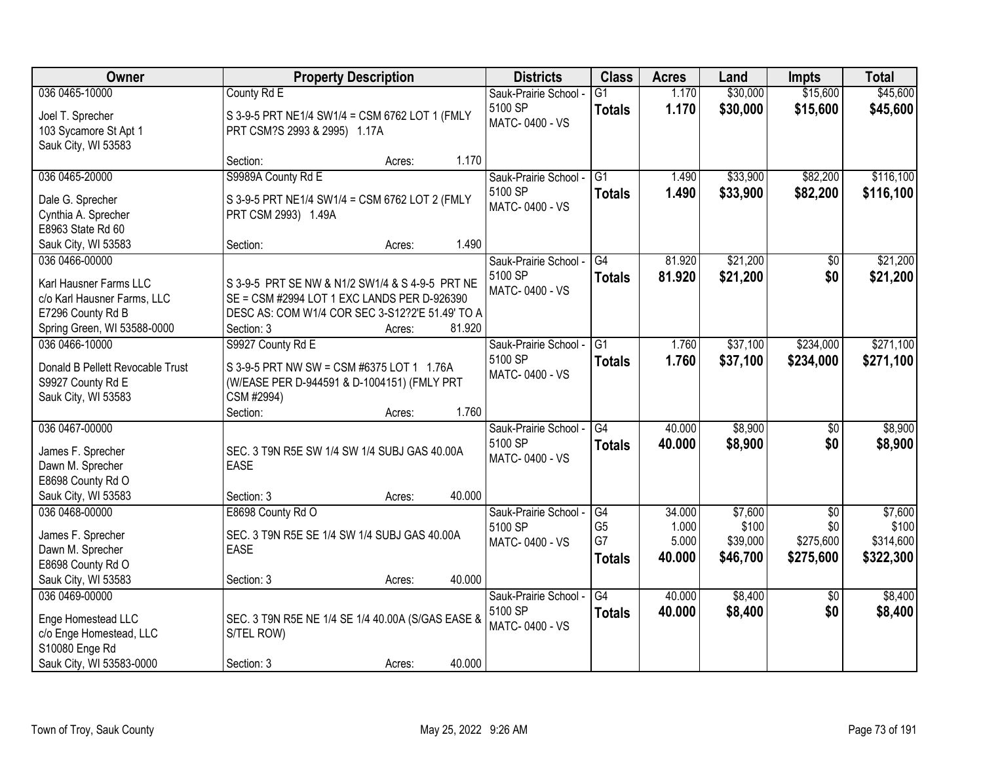| Owner                                    | <b>Property Description</b>                                                              | <b>Districts</b>          | <b>Class</b>    | <b>Acres</b> | Land     | <b>Impts</b>    | <b>Total</b> |
|------------------------------------------|------------------------------------------------------------------------------------------|---------------------------|-----------------|--------------|----------|-----------------|--------------|
| 036 0465-10000                           | County Rd E                                                                              | Sauk-Prairie School -     | $\overline{G1}$ | 1.170        | \$30,000 | \$15,600        | \$45,600     |
| Joel T. Sprecher                         | S 3-9-5 PRT NE1/4 SW1/4 = CSM 6762 LOT 1 (FMLY                                           | 5100 SP                   | <b>Totals</b>   | 1.170        | \$30,000 | \$15,600        | \$45,600     |
| 103 Sycamore St Apt 1                    | PRT CSM?S 2993 & 2995) 1.17A                                                             | MATC-0400 - VS            |                 |              |          |                 |              |
| Sauk City, WI 53583                      |                                                                                          |                           |                 |              |          |                 |              |
|                                          | 1.170<br>Section:<br>Acres:                                                              |                           |                 |              |          |                 |              |
| 036 0465-20000                           | S9989A County Rd E                                                                       | Sauk-Prairie School -     | $\overline{G1}$ | 1.490        | \$33,900 | \$82,200        | \$116,100    |
| Dale G. Sprecher                         | S 3-9-5 PRT NE1/4 SW1/4 = CSM 6762 LOT 2 (FMLY                                           | 5100 SP                   | <b>Totals</b>   | 1.490        | \$33,900 | \$82,200        | \$116,100    |
| Cynthia A. Sprecher                      | PRT CSM 2993) 1.49A                                                                      | MATC-0400 - VS            |                 |              |          |                 |              |
| E8963 State Rd 60                        |                                                                                          |                           |                 |              |          |                 |              |
| Sauk City, WI 53583                      | 1.490<br>Section:<br>Acres:                                                              |                           |                 |              |          |                 |              |
| 036 0466-00000                           |                                                                                          | Sauk-Prairie School -     | G4              | 81.920       | \$21,200 | \$0             | \$21,200     |
| Karl Hausner Farms LLC                   | S 3-9-5 PRT SE NW & N1/2 SW1/4 & S 4-9-5 PRT NE                                          | 5100 SP                   | <b>Totals</b>   | 81.920       | \$21,200 | \$0             | \$21,200     |
| c/o Karl Hausner Farms, LLC              | SE = CSM #2994 LOT 1 EXC LANDS PER D-926390                                              | MATC-0400 - VS            |                 |              |          |                 |              |
| E7296 County Rd B                        | DESC AS: COM W1/4 COR SEC 3-S12?2'E 51.49' TO A                                          |                           |                 |              |          |                 |              |
| Spring Green, WI 53588-0000              | Section: 3<br>81.920<br>Acres:                                                           |                           |                 |              |          |                 |              |
| 036 0466-10000                           | S9927 County Rd E                                                                        | Sauk-Prairie School -     | G1              | 1.760        | \$37,100 | \$234,000       | \$271,100    |
| Donald B Pellett Revocable Trust         |                                                                                          | 5100 SP                   | <b>Totals</b>   | 1.760        | \$37,100 | \$234,000       | \$271,100    |
| S9927 County Rd E                        | S 3-9-5 PRT NW SW = CSM #6375 LOT 1 1.76A<br>(W/EASE PER D-944591 & D-1004151) (FMLY PRT | MATC-0400 - VS            |                 |              |          |                 |              |
| Sauk City, WI 53583                      | CSM #2994)                                                                               |                           |                 |              |          |                 |              |
|                                          | 1.760<br>Section:<br>Acres:                                                              |                           |                 |              |          |                 |              |
| 036 0467-00000                           |                                                                                          | Sauk-Prairie School -     | $\overline{G4}$ | 40.000       | \$8,900  | $\overline{50}$ | \$8,900      |
|                                          |                                                                                          | 5100 SP                   | <b>Totals</b>   | 40.000       | \$8,900  | \$0             | \$8,900      |
| James F. Sprecher                        | SEC. 3 T9N R5E SW 1/4 SW 1/4 SUBJ GAS 40.00A                                             | MATC-0400 - VS            |                 |              |          |                 |              |
| Dawn M. Sprecher                         | <b>EASE</b>                                                                              |                           |                 |              |          |                 |              |
| E8698 County Rd O<br>Sauk City, WI 53583 | 40.000<br>Section: 3                                                                     |                           |                 |              |          |                 |              |
| 036 0468-00000                           | Acres:<br>E8698 County Rd O                                                              | Sauk-Prairie School -     | $\overline{G4}$ | 34.000       | \$7,600  | $\overline{50}$ | \$7,600      |
|                                          |                                                                                          | 5100 SP                   | G <sub>5</sub>  | 1.000        | \$100    | \$0             | \$100        |
| James F. Sprecher                        | SEC. 3 T9N R5E SE 1/4 SW 1/4 SUBJ GAS 40.00A                                             | MATC-0400 - VS            | G7              | 5.000        | \$39,000 | \$275,600       | \$314,600    |
| Dawn M. Sprecher                         | <b>EASE</b>                                                                              |                           | <b>Totals</b>   | 40.000       | \$46,700 | \$275,600       | \$322,300    |
| E8698 County Rd O                        |                                                                                          |                           |                 |              |          |                 |              |
| Sauk City, WI 53583                      | 40.000<br>Section: 3<br>Acres:                                                           |                           |                 |              |          |                 |              |
| 036 0469-00000                           |                                                                                          | Sauk-Prairie School -     | $\overline{G4}$ | 40.000       | \$8,400  | $\overline{50}$ | \$8,400      |
| Enge Homestead LLC                       | SEC. 3 T9N R5E NE 1/4 SE 1/4 40.00A (S/GAS EASE &                                        | 5100 SP<br>MATC-0400 - VS | <b>Totals</b>   | 40.000       | \$8,400  | \$0             | \$8,400      |
| c/o Enge Homestead, LLC                  | S/TEL ROW)                                                                               |                           |                 |              |          |                 |              |
| S10080 Enge Rd                           |                                                                                          |                           |                 |              |          |                 |              |
| Sauk City, WI 53583-0000                 | 40.000<br>Section: 3<br>Acres:                                                           |                           |                 |              |          |                 |              |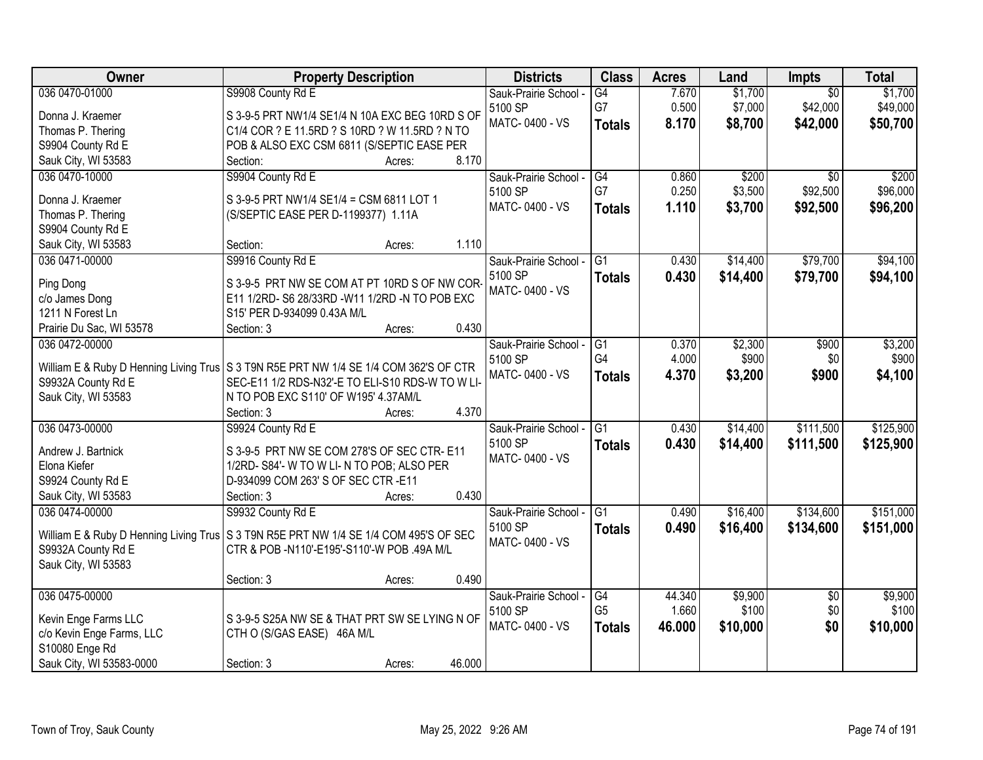| 036 0470-01000<br>S9908 County Rd E<br>7.670<br>\$1,700<br>\$1,700<br>G4<br>Sauk-Prairie School -<br>$\overline{30}$<br>G7<br>\$7,000<br>0.500<br>\$42,000<br>\$49,000<br>5100 SP<br>S 3-9-5 PRT NW1/4 SE1/4 N 10A EXC BEG 10RD S OF<br>Donna J. Kraemer<br>MATC-0400 - VS<br>8.170<br>\$8,700<br>\$42,000<br>\$50,700<br><b>Totals</b><br>C1/4 COR ? E 11.5RD ? S 10RD ? W 11.5RD ? N TO<br>Thomas P. Thering<br>S9904 County Rd E<br>POB & ALSO EXC CSM 6811 (S/SEPTIC EASE PER<br>8.170<br>Sauk City, WI 53583<br>Section:<br>Acres:<br>\$200<br>036 0470-10000<br>S9904 County Rd E<br>Sauk-Prairie School -<br>G4<br>0.860<br>\$200<br>\$0 |
|-------------------------------------------------------------------------------------------------------------------------------------------------------------------------------------------------------------------------------------------------------------------------------------------------------------------------------------------------------------------------------------------------------------------------------------------------------------------------------------------------------------------------------------------------------------------------------------------------------------------------------------------------|
|                                                                                                                                                                                                                                                                                                                                                                                                                                                                                                                                                                                                                                                 |
|                                                                                                                                                                                                                                                                                                                                                                                                                                                                                                                                                                                                                                                 |
|                                                                                                                                                                                                                                                                                                                                                                                                                                                                                                                                                                                                                                                 |
|                                                                                                                                                                                                                                                                                                                                                                                                                                                                                                                                                                                                                                                 |
|                                                                                                                                                                                                                                                                                                                                                                                                                                                                                                                                                                                                                                                 |
|                                                                                                                                                                                                                                                                                                                                                                                                                                                                                                                                                                                                                                                 |
| \$92,500<br>G7<br>0.250<br>\$3,500<br>\$96,000<br>5100 SP                                                                                                                                                                                                                                                                                                                                                                                                                                                                                                                                                                                       |
| Donna J. Kraemer<br>S 3-9-5 PRT NW1/4 SE1/4 = CSM 6811 LOT 1<br>MATC-0400 - VS<br>1.110<br>\$3,700<br>\$92,500<br>\$96,200<br><b>Totals</b>                                                                                                                                                                                                                                                                                                                                                                                                                                                                                                     |
| Thomas P. Thering<br>(S/SEPTIC EASE PER D-1199377) 1.11A                                                                                                                                                                                                                                                                                                                                                                                                                                                                                                                                                                                        |
| S9904 County Rd E                                                                                                                                                                                                                                                                                                                                                                                                                                                                                                                                                                                                                               |
| 1.110<br>Section:<br>Sauk City, WI 53583<br>Acres:                                                                                                                                                                                                                                                                                                                                                                                                                                                                                                                                                                                              |
| \$79,700<br>036 0471-00000<br>S9916 County Rd E<br>\$14,400<br>\$94,100<br>Sauk-Prairie School -<br>IG <sub>1</sub><br>0.430                                                                                                                                                                                                                                                                                                                                                                                                                                                                                                                    |
| 5100 SP<br>\$14,400<br>\$79,700<br>0.430<br>\$94,100<br><b>Totals</b><br>S 3-9-5 PRT NW SE COM AT PT 10RD S OF NW COR-<br>Ping Dong                                                                                                                                                                                                                                                                                                                                                                                                                                                                                                             |
| MATC-0400 - VS<br>E11 1/2RD- S6 28/33RD -W11 1/2RD -N TO POB EXC<br>c/o James Dong                                                                                                                                                                                                                                                                                                                                                                                                                                                                                                                                                              |
| 1211 N Forest Ln<br>S15' PER D-934099 0.43A M/L                                                                                                                                                                                                                                                                                                                                                                                                                                                                                                                                                                                                 |
| 0.430<br>Prairie Du Sac, WI 53578<br>Section: 3<br>Acres:                                                                                                                                                                                                                                                                                                                                                                                                                                                                                                                                                                                       |
| 036 0472-00000<br>\$2,300<br>\$900<br>\$3,200<br>Sauk-Prairie School -<br>G1<br>0.370                                                                                                                                                                                                                                                                                                                                                                                                                                                                                                                                                           |
| G4<br>4.000<br>\$900<br>\$900<br>5100 SP<br>\$0                                                                                                                                                                                                                                                                                                                                                                                                                                                                                                                                                                                                 |
| William E & Ruby D Henning Living Trus S 3 T9N R5E PRT NW 1/4 SE 1/4 COM 362'S OF CTR<br>MATC-0400 - VS<br>\$900<br>4.370<br>\$3,200<br>\$4,100<br><b>Totals</b>                                                                                                                                                                                                                                                                                                                                                                                                                                                                                |
| S9932A County Rd E<br>SEC-E11 1/2 RDS-N32'-E TO ELI-S10 RDS-W TO W LI-                                                                                                                                                                                                                                                                                                                                                                                                                                                                                                                                                                          |
| Sauk City, WI 53583<br>N TO POB EXC S110' OF W195' 4.37AM/L                                                                                                                                                                                                                                                                                                                                                                                                                                                                                                                                                                                     |
| 4.370<br>Section: 3<br>Acres:                                                                                                                                                                                                                                                                                                                                                                                                                                                                                                                                                                                                                   |
| 036 0473-00000<br>$\overline{G1}$<br>\$14,400<br>\$111,500<br>\$125,900<br>S9924 County Rd E<br>0.430<br>Sauk-Prairie School -                                                                                                                                                                                                                                                                                                                                                                                                                                                                                                                  |
| \$125,900<br>5100 SP<br>0.430<br>\$14,400<br>\$111,500<br><b>Totals</b><br>S 3-9-5 PRT NW SE COM 278'S OF SEC CTR-E11<br>Andrew J. Bartnick                                                                                                                                                                                                                                                                                                                                                                                                                                                                                                     |
| MATC-0400 - VS<br>1/2RD- S84'- W TO W LI- N TO POB; ALSO PER<br>Elona Kiefer                                                                                                                                                                                                                                                                                                                                                                                                                                                                                                                                                                    |
| D-934099 COM 263' S OF SEC CTR -E11<br>S9924 County Rd E                                                                                                                                                                                                                                                                                                                                                                                                                                                                                                                                                                                        |
| 0.430<br>Sauk City, WI 53583<br>Section: 3<br>Acres:                                                                                                                                                                                                                                                                                                                                                                                                                                                                                                                                                                                            |
| Sauk-Prairie School - G1<br>\$16,400<br>\$134,600<br>\$151,000<br>036 0474-00000<br>S9932 County Rd E<br>0.490                                                                                                                                                                                                                                                                                                                                                                                                                                                                                                                                  |
| 5100 SP<br>\$16,400<br>\$134,600<br>\$151,000<br>0.490                                                                                                                                                                                                                                                                                                                                                                                                                                                                                                                                                                                          |
| <b>Totals</b><br>William E & Ruby D Henning Living Trus   S 3 T9N R5E PRT NW 1/4 SE 1/4 COM 495'S OF SEC<br>MATC-0400 - VS                                                                                                                                                                                                                                                                                                                                                                                                                                                                                                                      |
| S9932A County Rd E<br>CTR & POB -N110'-E195'-S110'-W POB .49A M/L                                                                                                                                                                                                                                                                                                                                                                                                                                                                                                                                                                               |
| Sauk City, WI 53583                                                                                                                                                                                                                                                                                                                                                                                                                                                                                                                                                                                                                             |
| 0.490<br>Section: 3<br>Acres:                                                                                                                                                                                                                                                                                                                                                                                                                                                                                                                                                                                                                   |
| 036 0475-00000<br>\$9,900<br>\$9,900<br>Sauk-Prairie School -<br>44.340<br>$\overline{50}$<br>G4                                                                                                                                                                                                                                                                                                                                                                                                                                                                                                                                                |
| G <sub>5</sub><br>1.660<br>\$100<br>\$0<br>\$100<br>5100 SP<br>Kevin Enge Farms LLC<br>S 3-9-5 S25A NW SE & THAT PRT SW SE LYING N OF                                                                                                                                                                                                                                                                                                                                                                                                                                                                                                           |
| MATC-0400 - VS<br>\$0<br>46.000<br>\$10,000<br>\$10,000<br><b>Totals</b><br>c/o Kevin Enge Farms, LLC<br>CTH O (S/GAS EASE) 46A M/L                                                                                                                                                                                                                                                                                                                                                                                                                                                                                                             |
| S10080 Enge Rd                                                                                                                                                                                                                                                                                                                                                                                                                                                                                                                                                                                                                                  |
| 46.000<br>Sauk City, WI 53583-0000<br>Section: 3<br>Acres:                                                                                                                                                                                                                                                                                                                                                                                                                                                                                                                                                                                      |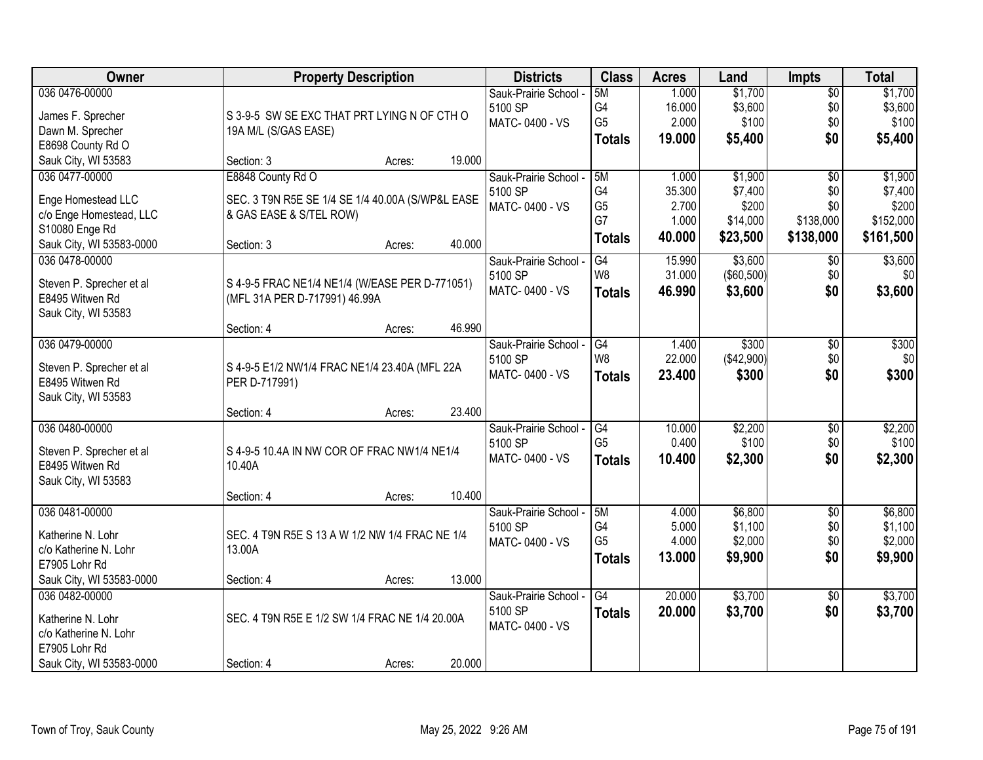| Owner                    | <b>Property Description</b>                      |        |        | <b>Districts</b>      | <b>Class</b>   | <b>Acres</b> | Land       | <b>Impts</b>    | <b>Total</b> |
|--------------------------|--------------------------------------------------|--------|--------|-----------------------|----------------|--------------|------------|-----------------|--------------|
| 036 0476-00000           |                                                  |        |        | Sauk-Prairie School - | 5M             | 1.000        | \$1,700    | \$0             | \$1,700      |
| James F. Sprecher        | S 3-9-5 SW SE EXC THAT PRT LYING N OF CTH O      |        |        | 5100 SP               | G4             | 16.000       | \$3,600    | \$0             | \$3,600      |
| Dawn M. Sprecher         | 19A M/L (S/GAS EASE)                             |        |        | MATC-0400 - VS        | G <sub>5</sub> | 2.000        | \$100      | \$0             | \$100        |
| E8698 County Rd O        |                                                  |        |        |                       | <b>Totals</b>  | 19.000       | \$5,400    | \$0             | \$5,400      |
| Sauk City, WI 53583      | Section: 3                                       | Acres: | 19.000 |                       |                |              |            |                 |              |
| 036 0477-00000           | E8848 County Rd O                                |        |        | Sauk-Prairie School - | 5M             | 1.000        | \$1,900    | $\overline{50}$ | \$1,900      |
| Enge Homestead LLC       | SEC. 3 T9N R5E SE 1/4 SE 1/4 40.00A (S/WP&L EASE |        |        | 5100 SP               | G <sub>4</sub> | 35.300       | \$7,400    | \$0             | \$7,400      |
| c/o Enge Homestead, LLC  | & GAS EASE & S/TEL ROW)                          |        |        | MATC-0400 - VS        | G <sub>5</sub> | 2.700        | \$200      | \$0             | \$200        |
| S10080 Enge Rd           |                                                  |        |        |                       | G7             | 1.000        | \$14,000   | \$138,000       | \$152,000    |
| Sauk City, WI 53583-0000 | Section: 3                                       | Acres: | 40.000 |                       | <b>Totals</b>  | 40.000       | \$23,500   | \$138,000       | \$161,500    |
| 036 0478-00000           |                                                  |        |        | Sauk-Prairie School - | G4             | 15.990       | \$3,600    | \$0             | \$3,600      |
|                          |                                                  |        |        | 5100 SP               | W8             | 31.000       | (\$60,500) | \$0             | \$0          |
| Steven P. Sprecher et al | S 4-9-5 FRAC NE1/4 NE1/4 (W/EASE PER D-771051)   |        |        | MATC-0400 - VS        | <b>Totals</b>  | 46.990       | \$3,600    | \$0             | \$3,600      |
| E8495 Witwen Rd          | (MFL 31A PER D-717991) 46.99A                    |        |        |                       |                |              |            |                 |              |
| Sauk City, WI 53583      | Section: 4                                       | Acres: | 46.990 |                       |                |              |            |                 |              |
| 036 0479-00000           |                                                  |        |        | Sauk-Prairie School - | G4             | 1.400        | \$300      | \$0             | \$300        |
|                          |                                                  |        |        | 5100 SP               | W8             | 22.000       | (\$42,900) | \$0             | \$0          |
| Steven P. Sprecher et al | S 4-9-5 E1/2 NW1/4 FRAC NE1/4 23.40A (MFL 22A    |        |        | MATC-0400 - VS        | <b>Totals</b>  | 23.400       | \$300      | \$0             | \$300        |
| E8495 Witwen Rd          | PER D-717991)                                    |        |        |                       |                |              |            |                 |              |
| Sauk City, WI 53583      |                                                  |        |        |                       |                |              |            |                 |              |
|                          | Section: 4                                       | Acres: | 23.400 |                       |                |              |            |                 |              |
| 036 0480-00000           |                                                  |        |        | Sauk-Prairie School - | G4             | 10.000       | \$2,200    | $\overline{50}$ | \$2,200      |
| Steven P. Sprecher et al | S 4-9-5 10.4A IN NW COR OF FRAC NW1/4 NE1/4      |        |        | 5100 SP               | G <sub>5</sub> | 0.400        | \$100      | \$0             | \$100        |
| E8495 Witwen Rd          | 10.40A                                           |        |        | MATC-0400 - VS        | <b>Totals</b>  | 10.400       | \$2,300    | \$0             | \$2,300      |
| Sauk City, WI 53583      |                                                  |        |        |                       |                |              |            |                 |              |
|                          | Section: 4                                       | Acres: | 10.400 |                       |                |              |            |                 |              |
| 036 0481-00000           |                                                  |        |        | Sauk-Prairie School - | 5M             | 4.000        | \$6,800    | $\sqrt{6}$      | \$6,800      |
| Katherine N. Lohr        | SEC. 4 T9N R5E S 13 A W 1/2 NW 1/4 FRAC NE 1/4   |        |        | 5100 SP               | G4             | 5.000        | \$1,100    | \$0             | \$1,100      |
| c/o Katherine N. Lohr    | 13.00A                                           |        |        | MATC-0400 - VS        | G <sub>5</sub> | 4.000        | \$2,000    | \$0             | \$2,000      |
| E7905 Lohr Rd            |                                                  |        |        |                       | <b>Totals</b>  | 13.000       | \$9,900    | \$0             | \$9,900      |
| Sauk City, WI 53583-0000 | Section: 4                                       | Acres: | 13.000 |                       |                |              |            |                 |              |
| 036 0482-00000           |                                                  |        |        | Sauk-Prairie School - | G4             | 20.000       | \$3,700    | $\overline{30}$ | \$3,700      |
| Katherine N. Lohr        | SEC. 4 T9N R5E E 1/2 SW 1/4 FRAC NE 1/4 20.00A   |        |        | 5100 SP               | <b>Totals</b>  | 20.000       | \$3,700    | \$0             | \$3,700      |
| c/o Katherine N. Lohr    |                                                  |        |        | MATC-0400 - VS        |                |              |            |                 |              |
| E7905 Lohr Rd            |                                                  |        |        |                       |                |              |            |                 |              |
| Sauk City, WI 53583-0000 | Section: 4                                       | Acres: | 20.000 |                       |                |              |            |                 |              |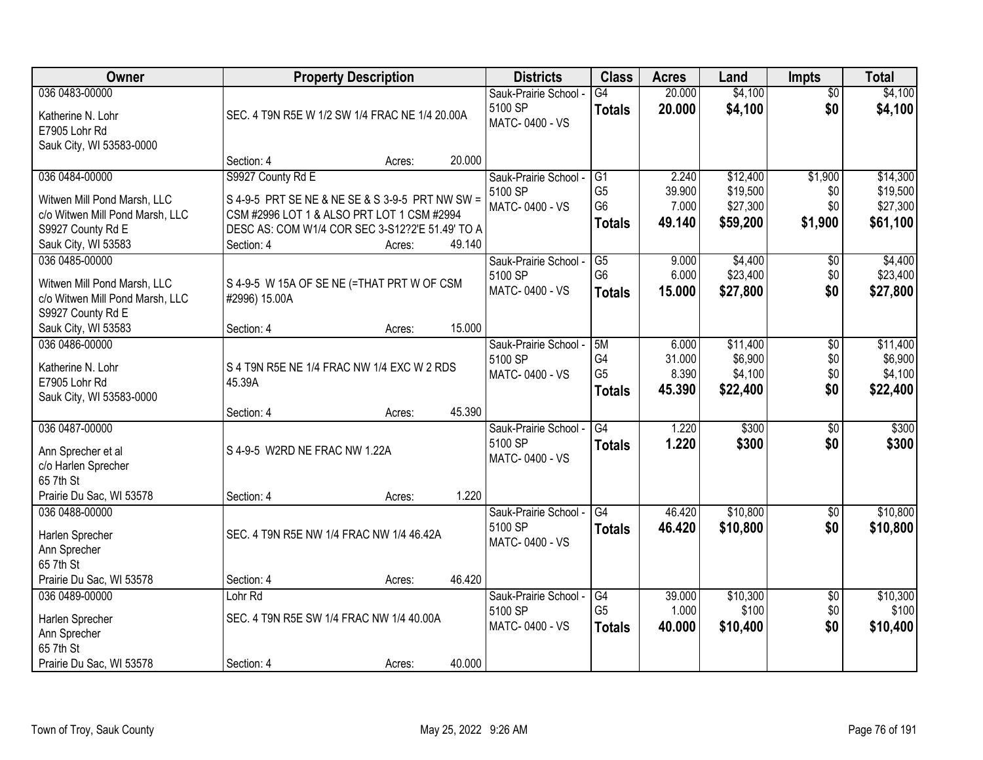| Owner                           |                                                 | <b>Property Description</b> |        | <b>Districts</b>      | <b>Class</b>    | <b>Acres</b> | Land     | <b>Impts</b>    | <b>Total</b> |
|---------------------------------|-------------------------------------------------|-----------------------------|--------|-----------------------|-----------------|--------------|----------|-----------------|--------------|
| 036 0483-00000                  |                                                 |                             |        | Sauk-Prairie School - | G4              | 20.000       | \$4,100  | $\overline{50}$ | \$4,100      |
| Katherine N. Lohr               | SEC. 4 T9N R5E W 1/2 SW 1/4 FRAC NE 1/4 20.00A  |                             |        | 5100 SP               | <b>Totals</b>   | 20.000       | \$4,100  | \$0             | \$4,100      |
| E7905 Lohr Rd                   |                                                 |                             |        | MATC-0400 - VS        |                 |              |          |                 |              |
| Sauk City, WI 53583-0000        |                                                 |                             |        |                       |                 |              |          |                 |              |
|                                 | Section: 4                                      | Acres:                      | 20.000 |                       |                 |              |          |                 |              |
| 036 0484-00000                  | S9927 County Rd E                               |                             |        | Sauk-Prairie School - | G1              | 2.240        | \$12,400 | \$1,900         | \$14,300     |
| Witwen Mill Pond Marsh, LLC     | S 4-9-5 PRT SE NE & NE SE & S 3-9-5 PRT NW SW = |                             |        | 5100 SP               | G <sub>5</sub>  | 39.900       | \$19,500 | \$0             | \$19,500     |
| c/o Witwen Mill Pond Marsh, LLC | CSM #2996 LOT 1 & ALSO PRT LOT 1 CSM #2994      |                             |        | MATC-0400 - VS        | G <sub>6</sub>  | 7.000        | \$27,300 | \$0             | \$27,300     |
| S9927 County Rd E               | DESC AS: COM W1/4 COR SEC 3-S12?2'E 51.49' TO A |                             |        |                       | <b>Totals</b>   | 49.140       | \$59,200 | \$1,900         | \$61,100     |
| Sauk City, WI 53583             | Section: 4                                      | Acres:                      | 49.140 |                       |                 |              |          |                 |              |
| 036 0485-00000                  |                                                 |                             |        | Sauk-Prairie School - | $\overline{G5}$ | 9.000        | \$4,400  | \$0             | \$4,400      |
| Witwen Mill Pond Marsh, LLC     | S 4-9-5 W 15A OF SE NE (=THAT PRT W OF CSM      |                             |        | 5100 SP               | G <sub>6</sub>  | 6.000        | \$23,400 | \$0             | \$23,400     |
| c/o Witwen Mill Pond Marsh, LLC | #2996) 15.00A                                   |                             |        | MATC-0400 - VS        | <b>Totals</b>   | 15.000       | \$27,800 | \$0             | \$27,800     |
| S9927 County Rd E               |                                                 |                             |        |                       |                 |              |          |                 |              |
| Sauk City, WI 53583             | Section: 4                                      | Acres:                      | 15.000 |                       |                 |              |          |                 |              |
| 036 0486-00000                  |                                                 |                             |        | Sauk-Prairie School - | 5M              | 6.000        | \$11,400 | \$0             | \$11,400     |
| Katherine N. Lohr               | S 4 T9N R5E NE 1/4 FRAC NW 1/4 EXC W 2 RDS      |                             |        | 5100 SP               | G4              | 31.000       | \$6,900  | \$0             | \$6,900      |
| E7905 Lohr Rd                   | 45.39A                                          |                             |        | MATC-0400 - VS        | G <sub>5</sub>  | 8.390        | \$4,100  | \$0             | \$4,100      |
| Sauk City, WI 53583-0000        |                                                 |                             |        |                       | <b>Totals</b>   | 45.390       | \$22,400 | \$0             | \$22,400     |
|                                 | Section: 4                                      | Acres:                      | 45.390 |                       |                 |              |          |                 |              |
| 036 0487-00000                  |                                                 |                             |        | Sauk-Prairie School - | G4              | 1.220        | \$300    | $\overline{30}$ | \$300        |
| Ann Sprecher et al              | S 4-9-5 W2RD NE FRAC NW 1.22A                   |                             |        | 5100 SP               | <b>Totals</b>   | 1.220        | \$300    | \$0             | \$300        |
| c/o Harlen Sprecher             |                                                 |                             |        | MATC-0400 - VS        |                 |              |          |                 |              |
| 65 7th St                       |                                                 |                             |        |                       |                 |              |          |                 |              |
| Prairie Du Sac, WI 53578        | Section: 4                                      | Acres:                      | 1.220  |                       |                 |              |          |                 |              |
| 036 0488-00000                  |                                                 |                             |        | Sauk-Prairie School - | G4              | 46.420       | \$10,800 | $\sqrt{$0}$     | \$10,800     |
| Harlen Sprecher                 | SEC. 4 T9N R5E NW 1/4 FRAC NW 1/4 46.42A        |                             |        | 5100 SP               | <b>Totals</b>   | 46.420       | \$10,800 | \$0             | \$10,800     |
| Ann Sprecher                    |                                                 |                             |        | MATC-0400 - VS        |                 |              |          |                 |              |
| 65 7th St                       |                                                 |                             |        |                       |                 |              |          |                 |              |
| Prairie Du Sac, WI 53578        | Section: 4                                      | Acres:                      | 46.420 |                       |                 |              |          |                 |              |
| 036 0489-00000                  | Lohr Rd                                         |                             |        | Sauk-Prairie School - | G4              | 39.000       | \$10,300 | $\overline{50}$ | \$10,300     |
| Harlen Sprecher                 | SEC. 4 T9N R5E SW 1/4 FRAC NW 1/4 40.00A        |                             |        | 5100 SP               | G <sub>5</sub>  | 1.000        | \$100    | \$0             | \$100        |
| Ann Sprecher                    |                                                 |                             |        | MATC-0400 - VS        | <b>Totals</b>   | 40.000       | \$10,400 | \$0             | \$10,400     |
| 65 7th St                       |                                                 |                             |        |                       |                 |              |          |                 |              |
| Prairie Du Sac, WI 53578        | Section: 4                                      | Acres:                      | 40.000 |                       |                 |              |          |                 |              |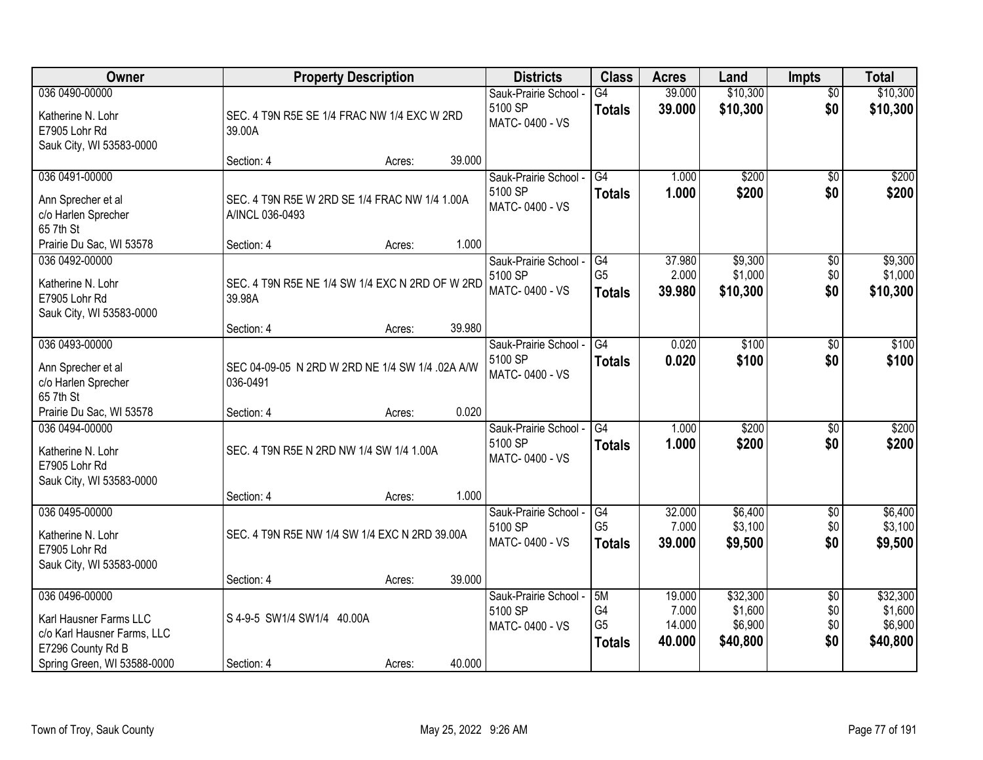| Owner                                                                                        | <b>Property Description</b>                                      |        |        | <b>Districts</b>                                   | <b>Class</b>                                | <b>Acres</b>                        | Land                                       | <b>Impts</b>                         | <b>Total</b>                               |
|----------------------------------------------------------------------------------------------|------------------------------------------------------------------|--------|--------|----------------------------------------------------|---------------------------------------------|-------------------------------------|--------------------------------------------|--------------------------------------|--------------------------------------------|
| 036 0490-00000<br>Katherine N. Lohr<br>E7905 Lohr Rd<br>Sauk City, WI 53583-0000             | SEC. 4 T9N R5E SE 1/4 FRAC NW 1/4 EXC W 2RD<br>39.00A            |        |        | Sauk-Prairie School -<br>5100 SP<br>MATC-0400 - VS | $\overline{G4}$<br><b>Totals</b>            | 39.000<br>39.000                    | \$10,300<br>\$10,300                       | $\overline{50}$<br>\$0               | \$10,300<br>\$10,300                       |
|                                                                                              | Section: 4                                                       | Acres: | 39.000 |                                                    |                                             |                                     |                                            |                                      |                                            |
| 036 0491-00000<br>Ann Sprecher et al<br>c/o Harlen Sprecher<br>65 7th St                     | SEC. 4 T9N R5E W 2RD SE 1/4 FRAC NW 1/4 1.00A<br>A/INCL 036-0493 |        |        | Sauk-Prairie School -<br>5100 SP<br>MATC-0400 - VS | G4<br><b>Totals</b>                         | 1.000<br>1.000                      | \$200<br>\$200                             | $\overline{50}$<br>\$0               | \$200<br>\$200                             |
| Prairie Du Sac, WI 53578                                                                     | Section: 4                                                       | Acres: | 1.000  |                                                    |                                             |                                     |                                            |                                      |                                            |
| 036 0492-00000<br>Katherine N. Lohr<br>E7905 Lohr Rd<br>Sauk City, WI 53583-0000             | SEC. 4 T9N R5E NE 1/4 SW 1/4 EXC N 2RD OF W 2RD<br>39.98A        |        |        | Sauk-Prairie School -<br>5100 SP<br>MATC-0400 - VS | G4<br>G <sub>5</sub><br><b>Totals</b>       | 37.980<br>2.000<br>39.980           | \$9,300<br>\$1,000<br>\$10,300             | $\sqrt[6]{3}$<br>\$0<br>\$0          | \$9,300<br>\$1,000<br>\$10,300             |
|                                                                                              | Section: 4                                                       | Acres: | 39.980 |                                                    |                                             |                                     |                                            |                                      |                                            |
| 036 0493-00000<br>Ann Sprecher et al<br>c/o Harlen Sprecher<br>65 7th St                     | SEC 04-09-05 N 2RD W 2RD NE 1/4 SW 1/4 .02A A/W<br>036-0491      |        |        | Sauk-Prairie School -<br>5100 SP<br>MATC-0400 - VS | G4<br><b>Totals</b>                         | 0.020<br>0.020                      | \$100<br>\$100                             | $\sqrt[6]{3}$<br>\$0                 | \$100<br>\$100                             |
| Prairie Du Sac, WI 53578                                                                     | Section: 4                                                       | Acres: | 0.020  |                                                    |                                             |                                     |                                            |                                      |                                            |
| 036 0494-00000<br>Katherine N. Lohr<br>E7905 Lohr Rd<br>Sauk City, WI 53583-0000             | SEC. 4 T9N R5E N 2RD NW 1/4 SW 1/4 1.00A                         |        |        | Sauk-Prairie School -<br>5100 SP<br>MATC-0400 - VS | $\overline{G4}$<br><b>Totals</b>            | 1.000<br>1.000                      | \$200<br>\$200                             | \$0<br>\$0                           | \$200<br>\$200                             |
| 036 0495-00000                                                                               | Section: 4                                                       | Acres: | 1.000  | Sauk-Prairie School -                              | G4                                          | 32.000                              | \$6,400                                    | \$0                                  | \$6,400                                    |
| Katherine N. Lohr<br>E7905 Lohr Rd<br>Sauk City, WI 53583-0000                               | SEC. 4 T9N R5E NW 1/4 SW 1/4 EXC N 2RD 39.00A                    |        |        | 5100 SP<br>MATC-0400 - VS                          | G <sub>5</sub><br><b>Totals</b>             | 7.000<br>39.000                     | \$3,100<br>\$9,500                         | \$0<br>\$0                           | \$3,100<br>\$9,500                         |
|                                                                                              | Section: 4                                                       | Acres: | 39.000 |                                                    |                                             |                                     |                                            |                                      |                                            |
| 036 0496-00000<br>Karl Hausner Farms LLC<br>c/o Karl Hausner Farms, LLC<br>E7296 County Rd B | S 4-9-5 SW1/4 SW1/4 40.00A                                       |        |        | Sauk-Prairie School -<br>5100 SP<br>MATC-0400 - VS | 5M<br>G4<br>G <sub>5</sub><br><b>Totals</b> | 19.000<br>7.000<br>14.000<br>40.000 | \$32,300<br>\$1,600<br>\$6,900<br>\$40,800 | $\overline{60}$<br>\$0<br>\$0<br>\$0 | \$32,300<br>\$1,600<br>\$6,900<br>\$40,800 |
| Spring Green, WI 53588-0000                                                                  | Section: 4                                                       | Acres: | 40.000 |                                                    |                                             |                                     |                                            |                                      |                                            |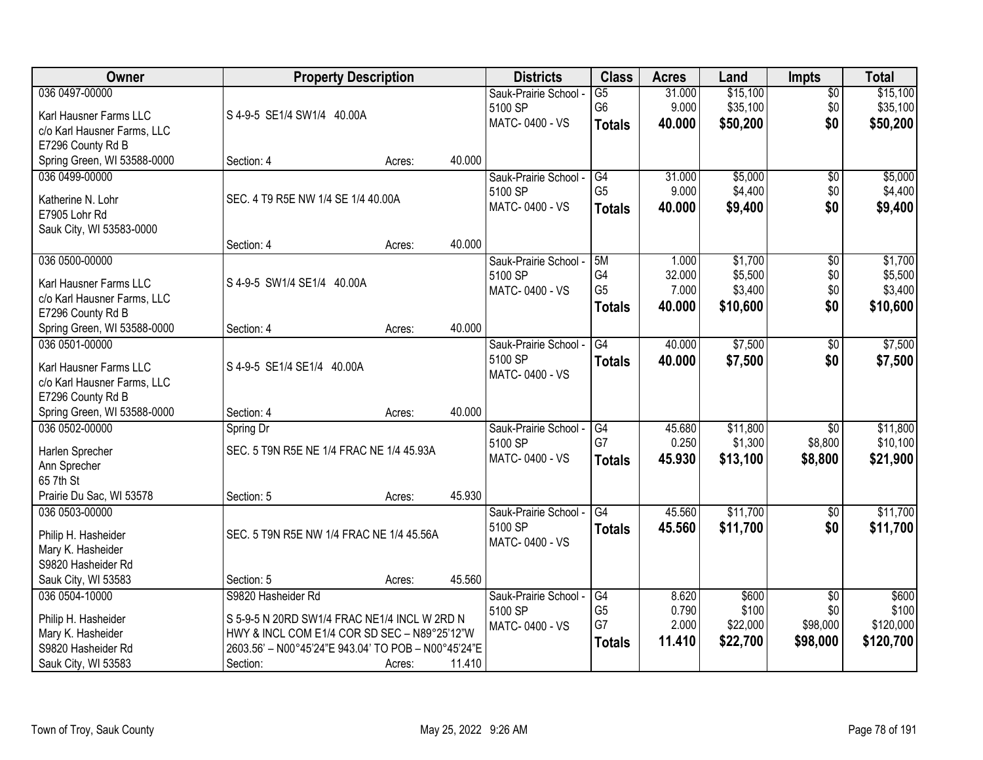| Owner                                         | <b>Property Description</b>                         |        |        | <b>Districts</b>          | <b>Class</b>    | <b>Acres</b> | Land     | <b>Impts</b>    | <b>Total</b> |
|-----------------------------------------------|-----------------------------------------------------|--------|--------|---------------------------|-----------------|--------------|----------|-----------------|--------------|
| 036 0497-00000                                |                                                     |        |        | Sauk-Prairie School -     | $\overline{G5}$ | 31.000       | \$15,100 | $\overline{50}$ | \$15,100     |
| Karl Hausner Farms LLC                        | S 4-9-5 SE1/4 SW1/4 40.00A                          |        |        | 5100 SP                   | G <sub>6</sub>  | 9.000        | \$35,100 | \$0             | \$35,100     |
| c/o Karl Hausner Farms, LLC                   |                                                     |        |        | MATC-0400 - VS            | <b>Totals</b>   | 40.000       | \$50,200 | \$0             | \$50,200     |
| E7296 County Rd B                             |                                                     |        |        |                           |                 |              |          |                 |              |
| Spring Green, WI 53588-0000                   | Section: 4                                          | Acres: | 40.000 |                           |                 |              |          |                 |              |
| 036 0499-00000                                |                                                     |        |        | Sauk-Prairie School -     | G4              | 31.000       | \$5,000  | $\overline{50}$ | \$5,000      |
|                                               | SEC. 4 T9 R5E NW 1/4 SE 1/4 40.00A                  |        |        | 5100 SP                   | G <sub>5</sub>  | 9.000        | \$4,400  | \$0             | \$4,400      |
| Katherine N. Lohr<br>E7905 Lohr Rd            |                                                     |        |        | MATC-0400 - VS            | <b>Totals</b>   | 40.000       | \$9,400  | \$0             | \$9,400      |
| Sauk City, WI 53583-0000                      |                                                     |        |        |                           |                 |              |          |                 |              |
|                                               | Section: 4                                          | Acres: | 40.000 |                           |                 |              |          |                 |              |
| 036 0500-00000                                |                                                     |        |        | Sauk-Prairie School -     | 5M              | 1.000        | \$1,700  | $\overline{50}$ | \$1,700      |
|                                               |                                                     |        |        | 5100 SP                   | G4              | 32.000       | \$5,500  | \$0             | \$5,500      |
| Karl Hausner Farms LLC                        | S 4-9-5 SW1/4 SE1/4 40.00A                          |        |        | MATC-0400 - VS            | G <sub>5</sub>  | 7.000        | \$3,400  | \$0             | \$3,400      |
| c/o Karl Hausner Farms, LLC                   |                                                     |        |        |                           | <b>Totals</b>   | 40.000       | \$10,600 | \$0             | \$10,600     |
| E7296 County Rd B                             |                                                     |        | 40.000 |                           |                 |              |          |                 |              |
| Spring Green, WI 53588-0000<br>036 0501-00000 | Section: 4                                          | Acres: |        |                           |                 |              |          |                 |              |
|                                               |                                                     |        |        | Sauk-Prairie School -     | G4              | 40.000       | \$7,500  | \$0             | \$7,500      |
| Karl Hausner Farms LLC                        | S 4-9-5 SE1/4 SE1/4 40.00A                          |        |        | 5100 SP<br>MATC-0400 - VS | <b>Totals</b>   | 40.000       | \$7,500  | \$0             | \$7,500      |
| c/o Karl Hausner Farms, LLC                   |                                                     |        |        |                           |                 |              |          |                 |              |
| E7296 County Rd B                             |                                                     |        |        |                           |                 |              |          |                 |              |
| Spring Green, WI 53588-0000                   | Section: 4                                          | Acres: | 40.000 |                           |                 |              |          |                 |              |
| 036 0502-00000                                | Spring Dr                                           |        |        | Sauk-Prairie School -     | G4              | 45.680       | \$11,800 | $\overline{30}$ | \$11,800     |
| Harlen Sprecher                               | SEC. 5 T9N R5E NE 1/4 FRAC NE 1/4 45.93A            |        |        | 5100 SP                   | G7              | 0.250        | \$1,300  | \$8,800         | \$10,100     |
| Ann Sprecher                                  |                                                     |        |        | MATC-0400 - VS            | <b>Totals</b>   | 45.930       | \$13,100 | \$8,800         | \$21,900     |
| 65 7th St                                     |                                                     |        |        |                           |                 |              |          |                 |              |
| Prairie Du Sac, WI 53578                      | Section: 5                                          | Acres: | 45.930 |                           |                 |              |          |                 |              |
| 036 0503-00000                                |                                                     |        |        | Sauk-Prairie School -     | G4              | 45.560       | \$11,700 | $\sqrt{6}$      | \$11,700     |
| Philip H. Hasheider                           | SEC. 5 T9N R5E NW 1/4 FRAC NE 1/4 45.56A            |        |        | 5100 SP                   | <b>Totals</b>   | 45.560       | \$11,700 | \$0             | \$11,700     |
| Mary K. Hasheider                             |                                                     |        |        | MATC-0400 - VS            |                 |              |          |                 |              |
| S9820 Hasheider Rd                            |                                                     |        |        |                           |                 |              |          |                 |              |
| Sauk City, WI 53583                           | Section: 5                                          | Acres: | 45.560 |                           |                 |              |          |                 |              |
| 036 0504-10000                                | S9820 Hasheider Rd                                  |        |        | Sauk-Prairie School -     | G4              | 8.620        | \$600    | $\overline{50}$ | \$600        |
|                                               |                                                     |        |        | 5100 SP                   | G <sub>5</sub>  | 0.790        | \$100    | \$0             | \$100        |
| Philip H. Hasheider                           | S 5-9-5 N 20RD SW1/4 FRAC NE1/4 INCL W 2RD N        |        |        | MATC-0400 - VS            | G7              | 2.000        | \$22,000 | \$98,000        | \$120,000    |
| Mary K. Hasheider                             | HWY & INCL COM E1/4 COR SD SEC - N89°25'12"W        |        |        |                           | <b>Totals</b>   | 11.410       | \$22,700 | \$98,000        | \$120,700    |
| S9820 Hasheider Rd                            | 2603.56' - N00°45'24"E 943.04' TO POB - N00°45'24"E |        |        |                           |                 |              |          |                 |              |
| Sauk City, WI 53583                           | Section:                                            | Acres: | 11.410 |                           |                 |              |          |                 |              |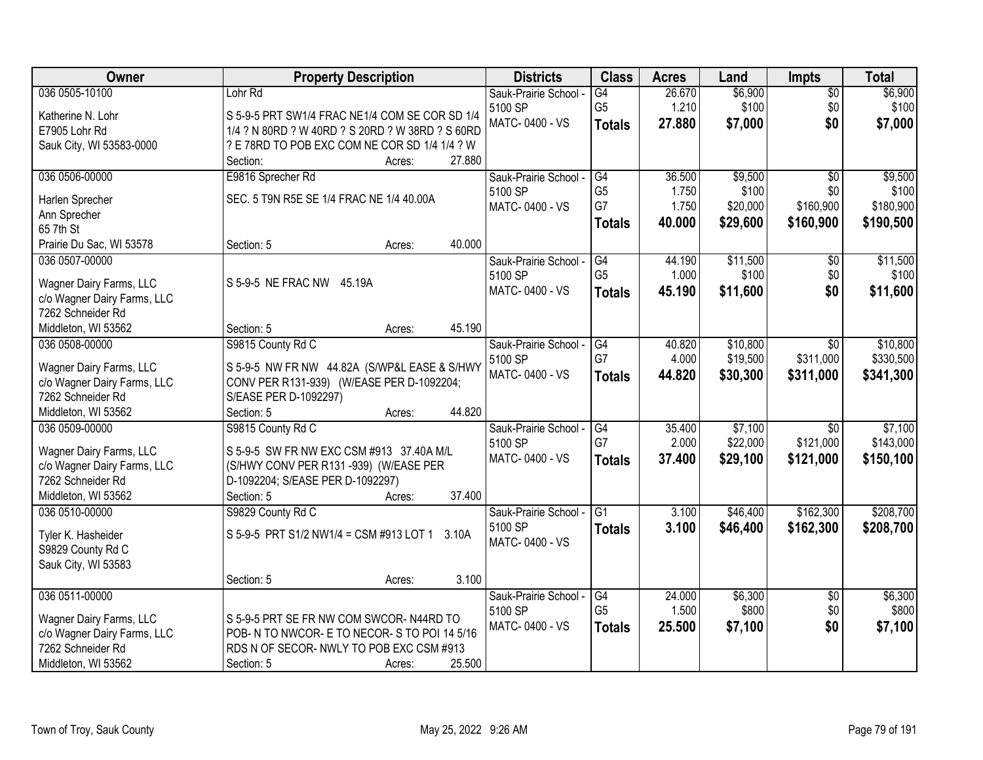| Owner                                            | <b>Property Description</b>                      | <b>Districts</b>      | <b>Class</b>    | <b>Acres</b> | Land     | Impts           | <b>Total</b> |
|--------------------------------------------------|--------------------------------------------------|-----------------------|-----------------|--------------|----------|-----------------|--------------|
| 036 0505-10100                                   | Lohr Rd                                          | Sauk-Prairie School - | G4              | 26.670       | \$6,900  | $\overline{50}$ | \$6,900      |
| Katherine N. Lohr                                | S 5-9-5 PRT SW1/4 FRAC NE1/4 COM SE COR SD 1/4   | 5100 SP               | G <sub>5</sub>  | 1.210        | \$100    | \$0             | \$100        |
| E7905 Lohr Rd                                    | 1/4 ? N 80RD ? W 40RD ? S 20RD ? W 38RD ? S 60RD | MATC-0400 - VS        | <b>Totals</b>   | 27.880       | \$7,000  | \$0             | \$7,000      |
| Sauk City, WI 53583-0000                         | ? E 78RD TO POB EXC COM NE COR SD 1/4 1/4 ? W    |                       |                 |              |          |                 |              |
|                                                  | Section:<br>Acres:                               | 27.880                |                 |              |          |                 |              |
| 036 0506-00000                                   | E9816 Sprecher Rd                                | Sauk-Prairie School - | G4              | 36.500       | \$9,500  | $\overline{50}$ | \$9,500      |
| Harlen Sprecher                                  | SEC. 5 T9N R5E SE 1/4 FRAC NE 1/4 40.00A         | 5100 SP               | G <sub>5</sub>  | 1.750        | \$100    | \$0             | \$100        |
| Ann Sprecher                                     |                                                  | MATC-0400 - VS        | G7              | 1.750        | \$20,000 | \$160,900       | \$180,900    |
| 65 7th St                                        |                                                  |                       | <b>Totals</b>   | 40.000       | \$29,600 | \$160,900       | \$190,500    |
| Prairie Du Sac, WI 53578                         | Section: 5<br>Acres:                             | 40.000                |                 |              |          |                 |              |
| 036 0507-00000                                   |                                                  | Sauk-Prairie School - | G4              | 44.190       | \$11,500 | \$0             | \$11,500     |
|                                                  |                                                  | 5100 SP               | G <sub>5</sub>  | 1.000        | \$100    | \$0             | \$100        |
| Wagner Dairy Farms, LLC                          | S 5-9-5 NE FRAC NW 45.19A                        | MATC-0400 - VS        | <b>Totals</b>   | 45.190       | \$11,600 | \$0             | \$11,600     |
| c/o Wagner Dairy Farms, LLC<br>7262 Schneider Rd |                                                  |                       |                 |              |          |                 |              |
| Middleton, WI 53562                              | Section: 5<br>Acres:                             | 45.190                |                 |              |          |                 |              |
| 036 0508-00000                                   | S9815 County Rd C                                | Sauk-Prairie School - | $\overline{G4}$ | 40.820       | \$10,800 | $\overline{30}$ | \$10,800     |
|                                                  |                                                  | 5100 SP               | G7              | 4.000        | \$19,500 | \$311,000       | \$330,500    |
| Wagner Dairy Farms, LLC                          | S 5-9-5 NW FR NW 44.82A (S/WP&L EASE & S/HWY     | MATC-0400 - VS        | <b>Totals</b>   | 44.820       | \$30,300 | \$311,000       | \$341,300    |
| c/o Wagner Dairy Farms, LLC                      | CONV PER R131-939) (W/EASE PER D-1092204;        |                       |                 |              |          |                 |              |
| 7262 Schneider Rd                                | S/EASE PER D-1092297)                            |                       |                 |              |          |                 |              |
| Middleton, WI 53562                              | Section: 5<br>Acres:                             | 44.820                |                 |              |          |                 |              |
| 036 0509-00000                                   | S9815 County Rd C                                | Sauk-Prairie School - | $\overline{G4}$ | 35.400       | \$7,100  | $\overline{30}$ | \$7,100      |
| Wagner Dairy Farms, LLC                          | S 5-9-5 SW FR NW EXC CSM #913 37.40A M/L         | 5100 SP               | G7              | 2.000        | \$22,000 | \$121,000       | \$143,000    |
| c/o Wagner Dairy Farms, LLC                      | (S/HWY CONV PER R131 -939) (W/EASE PER           | MATC-0400 - VS        | <b>Totals</b>   | 37.400       | \$29,100 | \$121,000       | \$150,100    |
| 7262 Schneider Rd                                | D-1092204; S/EASE PER D-1092297)                 |                       |                 |              |          |                 |              |
| Middleton, WI 53562                              | Section: 5<br>Acres:                             | 37.400                |                 |              |          |                 |              |
| 036 0510-00000                                   | S9829 County Rd C                                | Sauk-Prairie School - | G1              | 3.100        | \$46,400 | \$162,300       | \$208,700    |
| Tyler K. Hasheider                               | S 5-9-5 PRT S1/2 NW1/4 = CSM #913 LOT 1<br>3.10A | 5100 SP               | <b>Totals</b>   | 3.100        | \$46,400 | \$162,300       | \$208,700    |
| S9829 County Rd C                                |                                                  | MATC-0400 - VS        |                 |              |          |                 |              |
| Sauk City, WI 53583                              |                                                  |                       |                 |              |          |                 |              |
|                                                  | Section: 5<br>Acres:                             | 3.100                 |                 |              |          |                 |              |
| 036 0511-00000                                   |                                                  | Sauk-Prairie School - | G4              | 24.000       | \$6,300  | $\overline{50}$ | \$6,300      |
| Wagner Dairy Farms, LLC                          | S 5-9-5 PRT SE FR NW COM SWCOR-N44RD TO          | 5100 SP               | G <sub>5</sub>  | 1.500        | \$800    | \$0             | \$800        |
| c/o Wagner Dairy Farms, LLC                      | POB- N TO NWCOR- E TO NECOR- S TO POI 14 5/16    | MATC-0400 - VS        | <b>Totals</b>   | 25.500       | \$7,100  | \$0             | \$7,100      |
| 7262 Schneider Rd                                | RDS N OF SECOR-NWLY TO POB EXC CSM #913          |                       |                 |              |          |                 |              |
| Middleton, WI 53562                              | Section: 5<br>Acres:                             | 25.500                |                 |              |          |                 |              |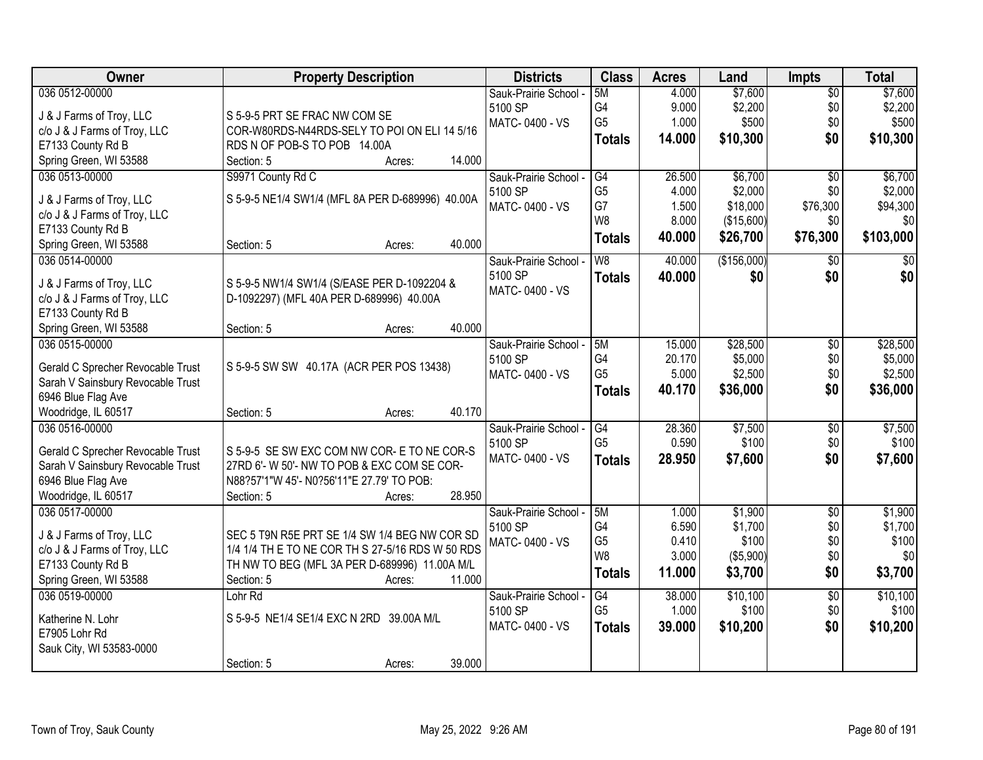| Owner                             | <b>Property Description</b>                      | <b>Districts</b>      | <b>Class</b>    | <b>Acres</b> | Land        | <b>Impts</b>    | <b>Total</b> |
|-----------------------------------|--------------------------------------------------|-----------------------|-----------------|--------------|-------------|-----------------|--------------|
| 036 0512-00000                    |                                                  | Sauk-Prairie School - | 5M              | 4.000        | \$7,600     | $\overline{50}$ | \$7,600      |
| J & J Farms of Troy, LLC          | S 5-9-5 PRT SE FRAC NW COM SE                    | 5100 SP               | G <sub>4</sub>  | 9.000        | \$2,200     | \$0             | \$2,200      |
| c/o J & J Farms of Troy, LLC      | COR-W80RDS-N44RDS-SELY TO POI ON ELI 14 5/16     | MATC-0400 - VS        | G <sub>5</sub>  | 1.000        | \$500       | \$0             | \$500        |
| E7133 County Rd B                 | RDS N OF POB-S TO POB 14.00A                     |                       | <b>Totals</b>   | 14.000       | \$10,300    | \$0             | \$10,300     |
| Spring Green, WI 53588            | 14.000<br>Section: 5<br>Acres:                   |                       |                 |              |             |                 |              |
| 036 0513-00000                    | S9971 County Rd C                                | Sauk-Prairie School - | G4              | 26.500       | \$6,700     | $\overline{50}$ | \$6,700      |
|                                   |                                                  | 5100 SP               | G <sub>5</sub>  | 4.000        | \$2,000     | \$0             | \$2,000      |
| J & J Farms of Troy, LLC          | S 5-9-5 NE1/4 SW1/4 (MFL 8A PER D-689996) 40.00A | MATC-0400 - VS        | G7              | 1.500        | \$18,000    | \$76,300        | \$94,300     |
| c/o J & J Farms of Troy, LLC      |                                                  |                       | W <sub>8</sub>  | 8.000        | (\$15,600)  | \$0             | \$0          |
| E7133 County Rd B                 |                                                  |                       | <b>Totals</b>   | 40.000       | \$26,700    | \$76,300        | \$103,000    |
| Spring Green, WI 53588            | 40.000<br>Section: 5<br>Acres:                   |                       |                 |              |             |                 |              |
| 036 0514-00000                    |                                                  | Sauk-Prairie School - | W8              | 40.000       | (\$156,000) | $\sqrt[6]{}$    | \$0          |
| J & J Farms of Troy, LLC          | S 5-9-5 NW1/4 SW1/4 (S/EASE PER D-1092204 &      | 5100 SP               | <b>Totals</b>   | 40.000       | \$0         | \$0             | \$0          |
| c/o J & J Farms of Troy, LLC      | D-1092297) (MFL 40A PER D-689996) 40.00A         | MATC-0400 - VS        |                 |              |             |                 |              |
| E7133 County Rd B                 |                                                  |                       |                 |              |             |                 |              |
| Spring Green, WI 53588            | 40.000<br>Section: 5<br>Acres:                   |                       |                 |              |             |                 |              |
| 036 0515-00000                    |                                                  | Sauk-Prairie School - | 5M              | 15.000       | \$28,500    | \$0             | \$28,500     |
|                                   |                                                  | 5100 SP               | G4              | 20.170       | \$5,000     | \$0             | \$5,000      |
| Gerald C Sprecher Revocable Trust | S 5-9-5 SW SW 40.17A (ACR PER POS 13438)         | MATC-0400 - VS        | G <sub>5</sub>  | 5.000        | \$2,500     | \$0             | \$2,500      |
| Sarah V Sainsbury Revocable Trust |                                                  |                       | <b>Totals</b>   | 40.170       | \$36,000    | \$0             | \$36,000     |
| 6946 Blue Flag Ave                |                                                  |                       |                 |              |             |                 |              |
| Woodridge, IL 60517               | 40.170<br>Section: 5<br>Acres:                   |                       |                 |              |             |                 |              |
| 036 0516-00000                    |                                                  | Sauk-Prairie School - | G4              | 28.360       | \$7,500     | $\overline{50}$ | \$7,500      |
| Gerald C Sprecher Revocable Trust | S 5-9-5 SE SW EXC COM NW COR- E TO NE COR-S      | 5100 SP               | G <sub>5</sub>  | 0.590        | \$100       | \$0             | \$100        |
| Sarah V Sainsbury Revocable Trust | 27RD 6'- W 50'- NW TO POB & EXC COM SE COR-      | MATC-0400 - VS        | <b>Totals</b>   | 28.950       | \$7,600     | \$0             | \$7,600      |
| 6946 Blue Flag Ave                | N88?57'1"W 45'- N0?56'11"E 27.79' TO POB:        |                       |                 |              |             |                 |              |
| Woodridge, IL 60517               | 28.950<br>Section: 5<br>Acres:                   |                       |                 |              |             |                 |              |
| 036 0517-00000                    |                                                  | Sauk-Prairie School - | 5M              | 1.000        | \$1,900     | $\overline{50}$ | \$1,900      |
|                                   |                                                  | 5100 SP               | G4              | 6.590        | \$1,700     | \$0             | \$1,700      |
| J & J Farms of Troy, LLC          | SEC 5 T9N R5E PRT SE 1/4 SW 1/4 BEG NW COR SD    | MATC-0400 - VS        | G <sub>5</sub>  | 0.410        | \$100       | \$0             | \$100        |
| c/o J & J Farms of Troy, LLC      | 1/4 1/4 TH E TO NE COR TH S 27-5/16 RDS W 50 RDS |                       | W8              | 3.000        | (\$5,900)   | \$0             | \$0          |
| E7133 County Rd B                 | TH NW TO BEG (MFL 3A PER D-689996) 11.00A M/L    |                       | <b>Totals</b>   | 11.000       | \$3,700     | \$0             | \$3,700      |
| Spring Green, WI 53588            | Section: 5<br>11.000<br>Acres:                   |                       |                 |              |             |                 |              |
| 036 0519-00000                    | Lohr <sub>Rd</sub>                               | Sauk-Prairie School - | $\overline{G4}$ | 38.000       | \$10,100    | $\overline{50}$ | \$10,100     |
| Katherine N. Lohr                 | S 5-9-5 NE1/4 SE1/4 EXC N 2RD 39.00A M/L         | 5100 SP               | G <sub>5</sub>  | 1.000        | \$100       | \$0             | \$100        |
| E7905 Lohr Rd                     |                                                  | MATC-0400 - VS        | <b>Totals</b>   | 39.000       | \$10,200    | \$0             | \$10,200     |
| Sauk City, WI 53583-0000          |                                                  |                       |                 |              |             |                 |              |
|                                   | 39.000<br>Section: 5<br>Acres:                   |                       |                 |              |             |                 |              |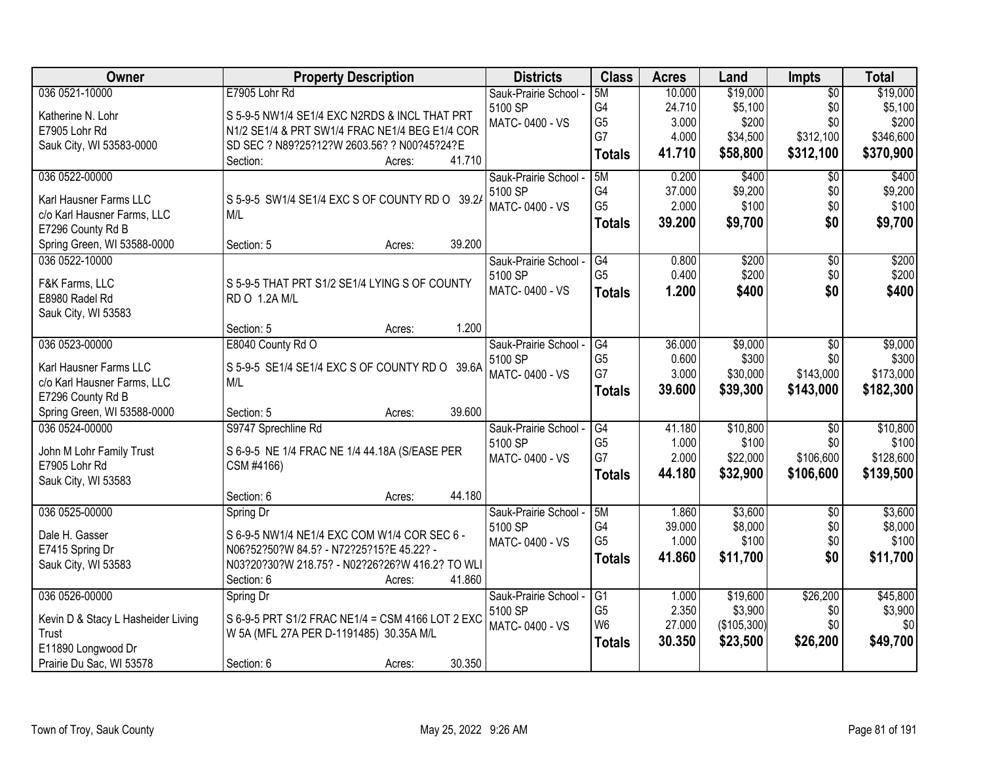| Owner                                            | <b>Property Description</b>                      | <b>Districts</b>      | <b>Class</b>   | <b>Acres</b> | Land        | Impts           | <b>Total</b> |
|--------------------------------------------------|--------------------------------------------------|-----------------------|----------------|--------------|-------------|-----------------|--------------|
| 036 0521-10000                                   | E7905 Lohr Rd                                    | Sauk-Prairie School - | 5M             | 10.000       | \$19,000    | $\overline{50}$ | \$19,000     |
| Katherine N. Lohr                                | S 5-9-5 NW1/4 SE1/4 EXC N2RDS & INCL THAT PRT    | 5100 SP               | G4             | 24.710       | \$5,100     | \$0             | \$5,100      |
| E7905 Lohr Rd                                    | N1/2 SE1/4 & PRT SW1/4 FRAC NE1/4 BEG E1/4 COR   | MATC-0400 - VS        | G <sub>5</sub> | 3.000        | \$200       | \$0             | \$200        |
| Sauk City, WI 53583-0000                         | SD SEC ? N89?25?12?W 2603.56? ? N00?45?24?E      |                       | G7             | 4.000        | \$34,500    | \$312,100       | \$346,600    |
|                                                  | 41.710<br>Section:<br>Acres:                     |                       | <b>Totals</b>  | 41.710       | \$58,800    | \$312,100       | \$370,900    |
| 036 0522-00000                                   |                                                  | Sauk-Prairie School - | 5M             | 0.200        | \$400       | $\overline{50}$ | \$400        |
|                                                  |                                                  | 5100 SP               | G4             | 37.000       | \$9,200     | \$0             | \$9,200      |
| Karl Hausner Farms LLC                           | S 5-9-5 SW1/4 SE1/4 EXC S OF COUNTY RD O 39.2/   | MATC-0400 - VS        | G <sub>5</sub> | 2.000        | \$100       | \$0             | \$100        |
| c/o Karl Hausner Farms, LLC<br>E7296 County Rd B | M/L                                              |                       | <b>Totals</b>  | 39.200       | \$9,700     | \$0             | \$9,700      |
| Spring Green, WI 53588-0000                      | 39.200<br>Section: 5<br>Acres:                   |                       |                |              |             |                 |              |
| 036 0522-10000                                   |                                                  | Sauk-Prairie School - | G4             | 0.800        | \$200       | \$0             | \$200        |
|                                                  |                                                  | 5100 SP               | G <sub>5</sub> | 0.400        | \$200       | \$0             | \$200        |
| F&K Farms, LLC                                   | S 5-9-5 THAT PRT S1/2 SE1/4 LYING S OF COUNTY    | MATC-0400 - VS        |                | 1.200        |             | \$0             | \$400        |
| E8980 Radel Rd                                   | RD O 1.2A M/L                                    |                       | <b>Totals</b>  |              | \$400       |                 |              |
| Sauk City, WI 53583                              |                                                  |                       |                |              |             |                 |              |
|                                                  | 1.200<br>Section: 5<br>Acres:                    |                       |                |              |             |                 |              |
| 036 0523-00000                                   | E8040 County Rd O                                | Sauk-Prairie School - | G4             | 36.000       | \$9,000     | \$0             | \$9,000      |
| Karl Hausner Farms LLC                           | S 5-9-5 SE1/4 SE1/4 EXC S OF COUNTY RD O 39.6A   | 5100 SP               | G <sub>5</sub> | 0.600        | \$300       | \$0             | \$300        |
| c/o Karl Hausner Farms, LLC                      | M/L                                              | MATC-0400 - VS        | G7             | 3.000        | \$30,000    | \$143,000       | \$173,000    |
| E7296 County Rd B                                |                                                  |                       | <b>Totals</b>  | 39.600       | \$39,300    | \$143,000       | \$182,300    |
| Spring Green, WI 53588-0000                      | 39.600<br>Section: 5<br>Acres:                   |                       |                |              |             |                 |              |
| 036 0524-00000                                   | S9747 Sprechline Rd                              | Sauk-Prairie School - | G4             | 41.180       | \$10,800    | $\overline{50}$ | \$10,800     |
|                                                  |                                                  | 5100 SP               | G <sub>5</sub> | 1.000        | \$100       | \$0             | \$100        |
| John M Lohr Family Trust                         | S 6-9-5 NE 1/4 FRAC NE 1/4 44.18A (S/EASE PER    | MATC-0400 - VS        | G7             | 2.000        | \$22,000    | \$106,600       | \$128,600    |
| E7905 Lohr Rd                                    | CSM #4166)                                       |                       | <b>Totals</b>  | 44.180       | \$32,900    | \$106,600       | \$139,500    |
| Sauk City, WI 53583                              |                                                  |                       |                |              |             |                 |              |
|                                                  | 44.180<br>Section: 6<br>Acres:                   |                       |                |              |             |                 |              |
| 036 0525-00000                                   | Spring Dr                                        | Sauk-Prairie School - | 5M             | 1.860        | \$3,600     | $\sqrt{6}$      | \$3,600      |
| Dale H. Gasser                                   | S 6-9-5 NW1/4 NE1/4 EXC COM W1/4 COR SEC 6 -     | 5100 SP               | G4             | 39.000       | \$8,000     | \$0             | \$8,000      |
| E7415 Spring Dr                                  | N06?52?50?W 84.5? - N72?25?15?E 45.22? -         | MATC-0400 - VS        | G <sub>5</sub> | 1.000        | \$100       | \$0             | \$100        |
| Sauk City, WI 53583                              | N03?20?30?W 218.75? - N02?26?26?W 416.2? TO WLI  |                       | <b>Totals</b>  | 41.860       | \$11,700    | \$0             | \$11,700     |
|                                                  | 41.860<br>Section: 6<br>Acres:                   |                       |                |              |             |                 |              |
| 036 0526-00000                                   | Spring Dr                                        | Sauk-Prairie School - | G1             | 1.000        | \$19,600    | \$26,200        | \$45,800     |
|                                                  |                                                  | 5100 SP               | G <sub>5</sub> | 2.350        | \$3,900     | \$0             | \$3,900      |
| Kevin D & Stacy L Hasheider Living               | S 6-9-5 PRT S1/2 FRAC NE1/4 = CSM 4166 LOT 2 EXC | MATC-0400 - VS        | W <sub>6</sub> | 27.000       | (\$105,300) | \$0             | \$0          |
| Trust                                            | W 5A (MFL 27A PER D-1191485) 30.35A M/L          |                       | <b>Totals</b>  | 30.350       | \$23,500    | \$26,200        | \$49,700     |
| E11890 Longwood Dr                               |                                                  |                       |                |              |             |                 |              |
| Prairie Du Sac, WI 53578                         | 30.350<br>Section: 6<br>Acres:                   |                       |                |              |             |                 |              |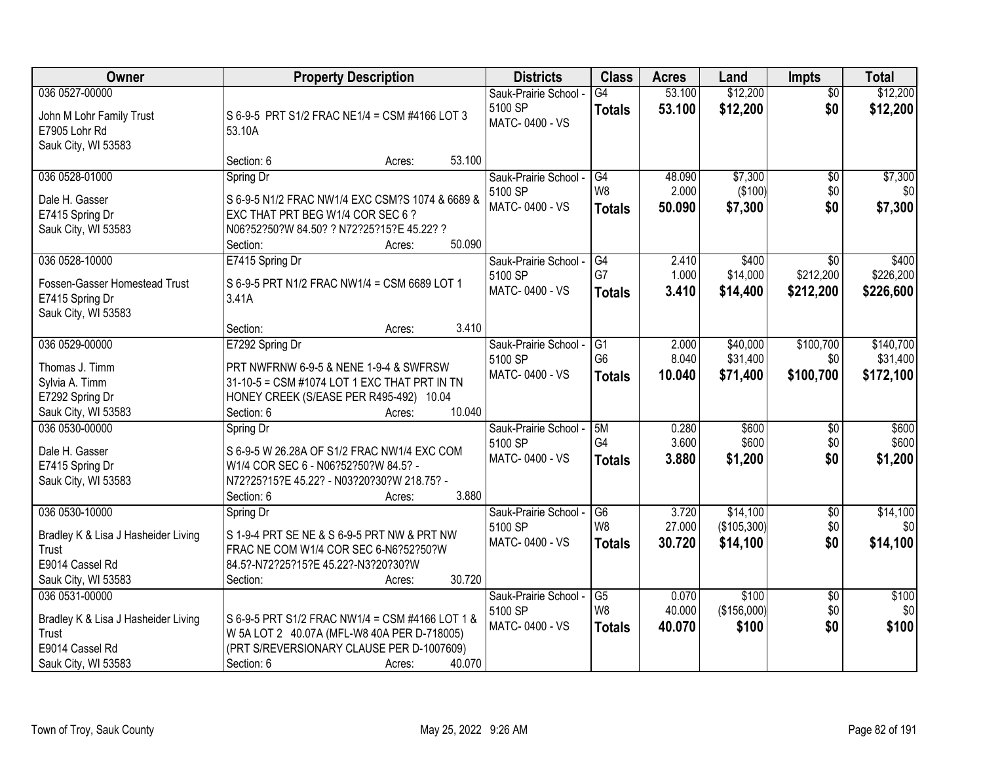| Owner                                                                                                    | <b>Property Description</b>                                                                                                                                                            | <b>Districts</b>                                   | <b>Class</b>                           | <b>Acres</b>              | Land                                | <b>Impts</b>                  | <b>Total</b>                       |
|----------------------------------------------------------------------------------------------------------|----------------------------------------------------------------------------------------------------------------------------------------------------------------------------------------|----------------------------------------------------|----------------------------------------|---------------------------|-------------------------------------|-------------------------------|------------------------------------|
| 036 0527-00000<br>John M Lohr Family Trust<br>E7905 Lohr Rd<br>Sauk City, WI 53583                       | S 6-9-5 PRT S1/2 FRAC NE1/4 = CSM #4166 LOT 3<br>53.10A                                                                                                                                | Sauk-Prairie School -<br>5100 SP<br>MATC-0400 - VS | G4<br><b>Totals</b>                    | 53.100<br>53.100          | \$12,200<br>\$12,200                | $\overline{30}$<br>\$0        | \$12,200<br>\$12,200               |
|                                                                                                          | 53.100<br>Section: 6<br>Acres:                                                                                                                                                         |                                                    |                                        |                           |                                     |                               |                                    |
| 036 0528-01000                                                                                           | Spring Dr                                                                                                                                                                              | Sauk-Prairie School -                              | G4                                     | 48.090                    | \$7,300                             | \$0                           | \$7,300                            |
| Dale H. Gasser<br>E7415 Spring Dr<br>Sauk City, WI 53583                                                 | S 6-9-5 N1/2 FRAC NW1/4 EXC CSM?S 1074 & 6689 &<br>EXC THAT PRT BEG W1/4 COR SEC 6 ?<br>N06?52?50?W 84.50? ? N72?25?15?E 45.22? ?<br>50.090                                            | 5100 SP<br>MATC-0400 - VS                          | W <sub>8</sub><br><b>Totals</b>        | 2.000<br>50.090           | (\$100)<br>\$7,300                  | \$0<br>\$0                    | \$0<br>\$7,300                     |
| 036 0528-10000                                                                                           | Section:<br>Acres:<br>E7415 Spring Dr                                                                                                                                                  | Sauk-Prairie School -                              | G4                                     | 2.410                     | \$400                               | $\overline{50}$               | \$400                              |
| Fossen-Gasser Homestead Trust<br>E7415 Spring Dr<br>Sauk City, WI 53583                                  | S 6-9-5 PRT N1/2 FRAC NW1/4 = CSM 6689 LOT 1<br>3.41A                                                                                                                                  | 5100 SP<br>MATC-0400 - VS                          | G7<br><b>Totals</b>                    | 1.000<br>3.410            | \$14,000<br>\$14,400                | \$212,200<br>\$212,200        | \$226,200<br>\$226,600             |
|                                                                                                          | 3.410<br>Section:<br>Acres:                                                                                                                                                            |                                                    |                                        |                           |                                     |                               |                                    |
| 036 0529-00000<br>Thomas J. Timm<br>Sylvia A. Timm<br>E7292 Spring Dr<br>Sauk City, WI 53583             | E7292 Spring Dr<br>PRT NWFRNW 6-9-5 & NENE 1-9-4 & SWFRSW<br>31-10-5 = CSM #1074 LOT 1 EXC THAT PRT IN TN<br>HONEY CREEK (S/EASE PER R495-492) 10.04<br>10.040<br>Section: 6<br>Acres: | Sauk-Prairie School -<br>5100 SP<br>MATC-0400 - VS | G1<br>G <sub>6</sub><br><b>Totals</b>  | 2.000<br>8.040<br>10.040  | \$40,000<br>\$31,400<br>\$71,400    | \$100,700<br>\$0<br>\$100,700 | \$140,700<br>\$31,400<br>\$172,100 |
| 036 0530-00000<br>Dale H. Gasser<br>E7415 Spring Dr<br>Sauk City, WI 53583                               | Spring Dr<br>S 6-9-5 W 26.28A OF S1/2 FRAC NW1/4 EXC COM<br>W1/4 COR SEC 6 - N06?52?50?W 84.5? -<br>N72?25?15?E 45.22? - N03?20?30?W 218.75? -<br>3.880<br>Section: 6<br>Acres:        | Sauk-Prairie School -<br>5100 SP<br>MATC-0400 - VS | 5M<br>G <sub>4</sub><br><b>Totals</b>  | 0.280<br>3.600<br>3.880   | \$600<br>\$600<br>\$1,200           | $\overline{50}$<br>\$0<br>\$0 | \$600<br>\$600<br>\$1,200          |
| 036 0530-10000<br>Bradley K & Lisa J Hasheider Living<br>Trust<br>E9014 Cassel Rd<br>Sauk City, WI 53583 | Spring Dr<br>S 1-9-4 PRT SE NE & S 6-9-5 PRT NW & PRT NW<br>FRAC NE COM W1/4 COR SEC 6-N6?52?50?W<br>84.5?-N72?25?15?E 45.22?-N3?20?30?W<br>30.720<br>Section:<br>Acres:               | Sauk-Prairie School -<br>5100 SP<br>MATC-0400 - VS | G6<br>W8<br><b>Totals</b>              | 3.720<br>27.000<br>30.720 | \$14,100<br>(\$105,300)<br>\$14,100 | $\sqrt{$0}$<br>\$0<br>\$0     | \$14,100<br>\$0<br>\$14,100        |
| 036 0531-00000<br>Bradley K & Lisa J Hasheider Living<br>Trust<br>E9014 Cassel Rd<br>Sauk City, WI 53583 | S 6-9-5 PRT S1/2 FRAC NW1/4 = CSM #4166 LOT 1 &<br>W 5A LOT 2 40.07A (MFL-W8 40A PER D-718005)<br>(PRT S/REVERSIONARY CLAUSE PER D-1007609)<br>40.070<br>Section: 6<br>Acres:          | Sauk-Prairie School -<br>5100 SP<br>MATC-0400 - VS | $\overline{G5}$<br>W8<br><b>Totals</b> | 0.070<br>40.000<br>40.070 | \$100<br>(\$156,000)<br>\$100       | $\overline{50}$<br>\$0<br>\$0 | \$100<br>\$0<br>\$100              |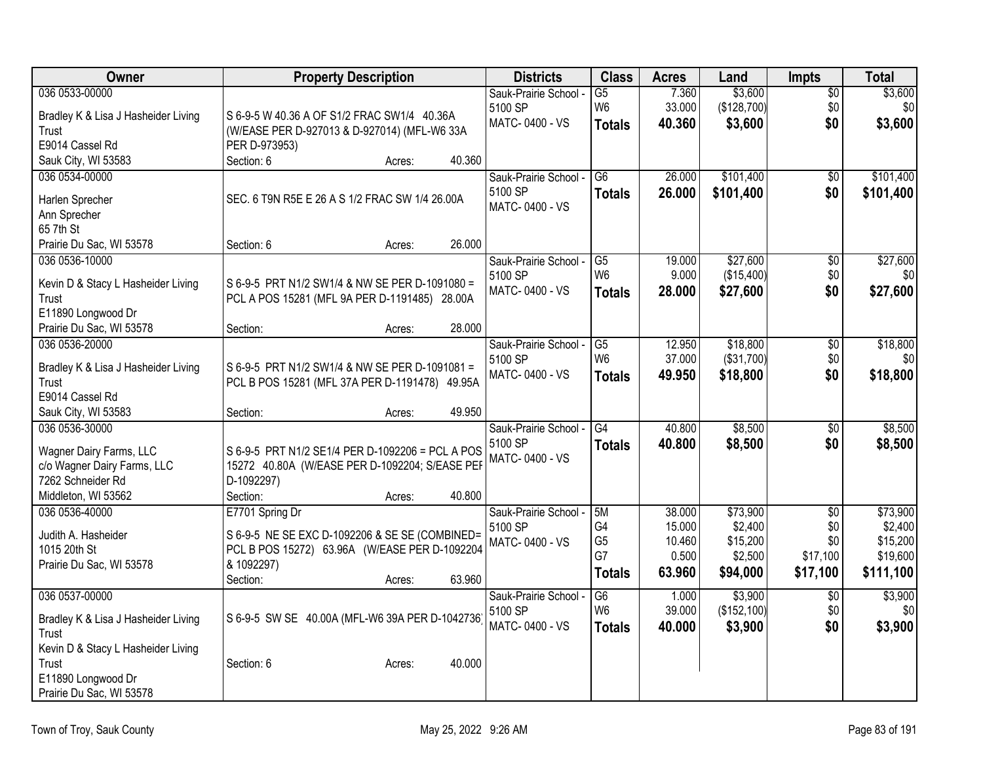| Owner                               | <b>Property Description</b>                      | <b>Districts</b>      | <b>Class</b>    | <b>Acres</b> | Land         | Impts           | <b>Total</b> |
|-------------------------------------|--------------------------------------------------|-----------------------|-----------------|--------------|--------------|-----------------|--------------|
| 036 0533-00000                      |                                                  | Sauk-Prairie School - | $\overline{G5}$ | 7.360        | \$3,600      | \$0             | \$3,600      |
| Bradley K & Lisa J Hasheider Living | S 6-9-5 W 40.36 A OF S1/2 FRAC SW1/4 40.36A      | 5100 SP               | W <sub>6</sub>  | 33.000       | (\$128,700)  | \$0             | \$0          |
| Trust                               | (W/EASE PER D-927013 & D-927014) (MFL-W6 33A     | MATC-0400 - VS        | <b>Totals</b>   | 40.360       | \$3,600      | \$0             | \$3,600      |
| E9014 Cassel Rd                     | PER D-973953)                                    |                       |                 |              |              |                 |              |
| Sauk City, WI 53583                 | Section: 6<br>40.360<br>Acres:                   |                       |                 |              |              |                 |              |
| 036 0534-00000                      |                                                  | Sauk-Prairie School - | G <sub>6</sub>  | 26.000       | \$101,400    | \$0             | \$101,400    |
| Harlen Sprecher                     | SEC. 6 T9N R5E E 26 A S 1/2 FRAC SW 1/4 26.00A   | 5100 SP               | <b>Totals</b>   | 26.000       | \$101,400    | \$0             | \$101,400    |
| Ann Sprecher                        |                                                  | MATC-0400 - VS        |                 |              |              |                 |              |
| 65 7th St                           |                                                  |                       |                 |              |              |                 |              |
| Prairie Du Sac, WI 53578            | 26.000<br>Section: 6<br>Acres:                   |                       |                 |              |              |                 |              |
| 036 0536-10000                      |                                                  | Sauk-Prairie School - | G5              | 19.000       | \$27,600     | \$0             | \$27,600     |
| Kevin D & Stacy L Hasheider Living  | S 6-9-5 PRT N1/2 SW1/4 & NW SE PER D-1091080 =   | 5100 SP               | W <sub>6</sub>  | 9.000        | (\$15,400)   | \$0             | \$0          |
| Trust                               | PCL A POS 15281 (MFL 9A PER D-1191485) 28.00A    | MATC-0400 - VS        | <b>Totals</b>   | 28.000       | \$27,600     | \$0             | \$27,600     |
| E11890 Longwood Dr                  |                                                  |                       |                 |              |              |                 |              |
| Prairie Du Sac, WI 53578            | 28.000<br>Section:<br>Acres:                     |                       |                 |              |              |                 |              |
| 036 0536-20000                      |                                                  | Sauk-Prairie School - | G5              | 12.950       | \$18,800     | \$0             | \$18,800     |
| Bradley K & Lisa J Hasheider Living | S 6-9-5 PRT N1/2 SW1/4 & NW SE PER D-1091081 =   | 5100 SP               | W <sub>6</sub>  | 37.000       | (\$31,700)   | \$0             | \$0          |
| Trust                               | PCL B POS 15281 (MFL 37A PER D-1191478) 49.95A   | MATC-0400 - VS        | <b>Totals</b>   | 49.950       | \$18,800     | \$0             | \$18,800     |
| E9014 Cassel Rd                     |                                                  |                       |                 |              |              |                 |              |
| Sauk City, WI 53583                 | 49.950<br>Section:<br>Acres:                     |                       |                 |              |              |                 |              |
| 036 0536-30000                      |                                                  | Sauk-Prairie School - | $\overline{G4}$ | 40.800       | \$8,500      | \$0             | \$8,500      |
| Wagner Dairy Farms, LLC             | S 6-9-5 PRT N1/2 SE1/4 PER D-1092206 = PCL A POS | 5100 SP               | <b>Totals</b>   | 40.800       | \$8,500      | \$0             | \$8,500      |
| c/o Wagner Dairy Farms, LLC         | 15272 40.80A (W/EASE PER D-1092204; S/EASE PEF   | MATC-0400 - VS        |                 |              |              |                 |              |
| 7262 Schneider Rd                   | D-1092297)                                       |                       |                 |              |              |                 |              |
| Middleton, WI 53562                 | 40.800<br>Section:<br>Acres:                     |                       |                 |              |              |                 |              |
| 036 0536-40000                      | E7701 Spring Dr                                  | Sauk-Prairie School - | 5M              | 38.000       | \$73,900     | $\overline{50}$ | \$73,900     |
| Judith A. Hasheider                 | S 6-9-5 NE SE EXC D-1092206 & SE SE (COMBINED=   | 5100 SP               | G4              | 15.000       | \$2,400      | \$0             | \$2,400      |
| 1015 20th St                        | PCL B POS 15272) 63.96A (W/EASE PER D-1092204    | MATC-0400 - VS        | G <sub>5</sub>  | 10.460       | \$15,200     | \$0             | \$15,200     |
| Prairie Du Sac, WI 53578            | & 1092297)                                       |                       | G7              | 0.500        | \$2,500      | \$17,100        | \$19,600     |
|                                     | 63.960<br>Section:<br>Acres:                     |                       | <b>Totals</b>   | 63.960       | \$94,000     | \$17,100        | \$111,100    |
| 036 0537-00000                      |                                                  | Sauk-Prairie School - | G6              | 1.000        | \$3,900      | $\overline{50}$ | \$3,900      |
| Bradley K & Lisa J Hasheider Living | S 6-9-5 SW SE 40.00A (MFL-W6 39A PER D-1042736)  | 5100 SP               | W <sub>6</sub>  | 39.000       | (\$152, 100) | \$0             | \$0          |
| Trust                               |                                                  | MATC-0400 - VS        | <b>Totals</b>   | 40.000       | \$3,900      | \$0             | \$3,900      |
| Kevin D & Stacy L Hasheider Living  |                                                  |                       |                 |              |              |                 |              |
| Trust                               | 40.000<br>Section: 6<br>Acres:                   |                       |                 |              |              |                 |              |
| E11890 Longwood Dr                  |                                                  |                       |                 |              |              |                 |              |
| Prairie Du Sac, WI 53578            |                                                  |                       |                 |              |              |                 |              |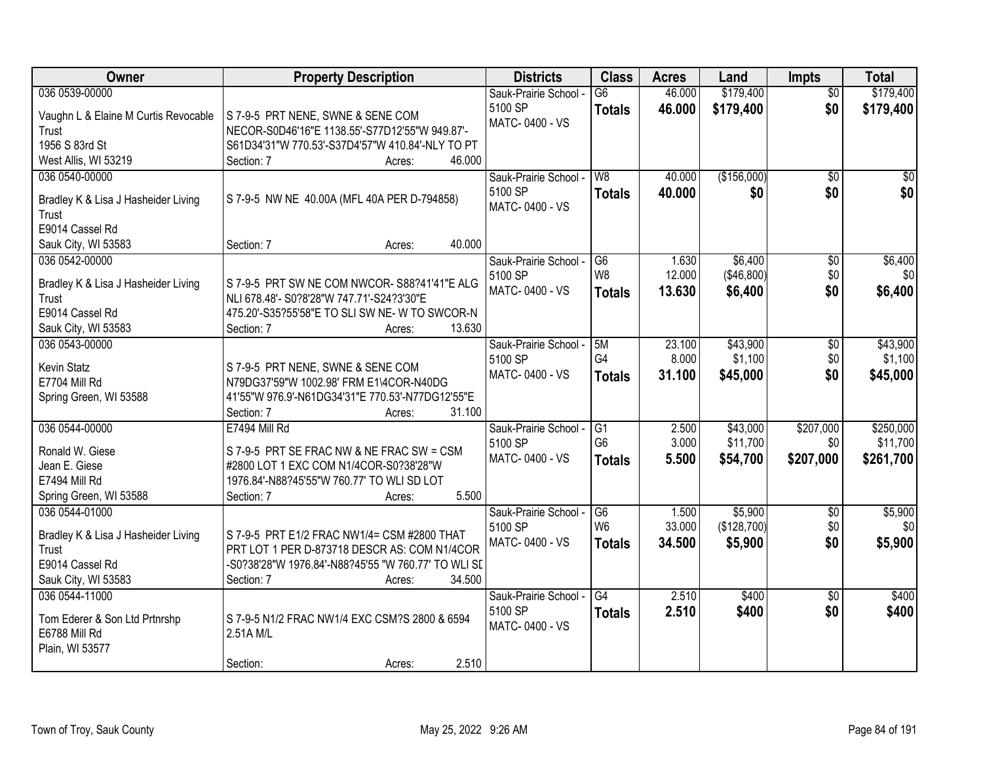| <b>Owner</b>                          | <b>Property Description</b>                         | <b>Districts</b>                 | <b>Class</b>    | <b>Acres</b> | Land        | <b>Impts</b>    | <b>Total</b>    |
|---------------------------------------|-----------------------------------------------------|----------------------------------|-----------------|--------------|-------------|-----------------|-----------------|
| 036 0539-00000                        |                                                     | Sauk-Prairie School -            | $\overline{G6}$ | 46.000       | \$179,400   | $\overline{50}$ | \$179,400       |
| Vaughn L & Elaine M Curtis Revocable  | S 7-9-5 PRT NENE, SWNE & SENE COM                   | 5100 SP                          | <b>Totals</b>   | 46.000       | \$179,400   | \$0             | \$179,400       |
| Trust                                 | NECOR-S0D46'16"E 1138.55'-S77D12'55"W 949.87'-      | MATC-0400 - VS                   |                 |              |             |                 |                 |
| 1956 S 83rd St                        | S61D34'31"W 770.53'-S37D4'57"W 410.84'-NLY TO PT    |                                  |                 |              |             |                 |                 |
| West Allis, WI 53219                  | 46.000<br>Section: 7<br>Acres:                      |                                  |                 |              |             |                 |                 |
| 036 0540-00000                        |                                                     | Sauk-Prairie School -            | W <sub>8</sub>  | 40.000       | (\$156,000) | $\overline{50}$ | $\overline{50}$ |
|                                       |                                                     | 5100 SP                          | <b>Totals</b>   | 40.000       | \$0         | \$0             | \$0             |
| Bradley K & Lisa J Hasheider Living   | S 7-9-5 NW NE 40.00A (MFL 40A PER D-794858)         | MATC-0400 - VS                   |                 |              |             |                 |                 |
| Trust<br>E9014 Cassel Rd              |                                                     |                                  |                 |              |             |                 |                 |
|                                       | 40.000<br>Section: 7<br>Acres:                      |                                  |                 |              |             |                 |                 |
| Sauk City, WI 53583<br>036 0542-00000 |                                                     |                                  | G <sub>6</sub>  | 1.630        | \$6,400     |                 | \$6,400         |
|                                       |                                                     | Sauk-Prairie School -<br>5100 SP | W <sub>8</sub>  | 12.000       | (\$46,800)  | \$0<br>\$0      | \$0             |
| Bradley K & Lisa J Hasheider Living   | S 7-9-5 PRT SW NE COM NWCOR- S88?41'41"E ALG        | MATC-0400 - VS                   |                 | 13.630       | \$6,400     | \$0             | \$6,400         |
| Trust                                 | NLI 678.48'- S0?8'28"W 747.71'-S24?3'30"E           |                                  | <b>Totals</b>   |              |             |                 |                 |
| E9014 Cassel Rd                       | 475.20'-S35?55'58"E TO SLI SW NE- W TO SWCOR-N      |                                  |                 |              |             |                 |                 |
| Sauk City, WI 53583                   | 13.630<br>Section: 7<br>Acres:                      |                                  |                 |              |             |                 |                 |
| 036 0543-00000                        |                                                     | Sauk-Prairie School -            | 5M              | 23.100       | \$43,900    | \$0             | \$43,900        |
| Kevin Statz                           | S 7-9-5 PRT NENE, SWNE & SENE COM                   | 5100 SP                          | G4              | 8.000        | \$1,100     | \$0             | \$1,100         |
| E7704 Mill Rd                         | N79DG37'59"W 1002.98' FRM E1\4COR-N40DG             | MATC-0400 - VS                   | <b>Totals</b>   | 31.100       | \$45,000    | \$0             | \$45,000        |
| Spring Green, WI 53588                | 41'55"W 976.9'-N61DG34'31"E 770.53'-N77DG12'55"E    |                                  |                 |              |             |                 |                 |
|                                       | Section: 7<br>31.100<br>Acres:                      |                                  |                 |              |             |                 |                 |
| 036 0544-00000                        | E7494 Mill Rd                                       | Sauk-Prairie School -            | $\overline{G1}$ | 2.500        | \$43,000    | \$207,000       | \$250,000       |
|                                       |                                                     | 5100 SP                          | G <sub>6</sub>  | 3.000        | \$11,700    | \$0             | \$11,700        |
| Ronald W. Giese                       | S 7-9-5 PRT SE FRAC NW & NE FRAC SW = CSM           | MATC-0400 - VS                   | <b>Totals</b>   | 5.500        | \$54,700    | \$207,000       | \$261,700       |
| Jean E. Giese                         | #2800 LOT 1 EXC COM N1/4COR-S0?38'28"W              |                                  |                 |              |             |                 |                 |
| E7494 Mill Rd                         | 1976.84'-N88?45'55"W 760.77' TO WLI SD LOT          |                                  |                 |              |             |                 |                 |
| Spring Green, WI 53588                | 5.500<br>Section: 7<br>Acres:                       |                                  |                 |              |             |                 |                 |
| 036 0544-01000                        |                                                     | Sauk-Prairie School -            | G <sub>6</sub>  | 1.500        | \$5,900     | $\sqrt{6}$      | \$5,900         |
| Bradley K & Lisa J Hasheider Living   | S 7-9-5 PRT E1/2 FRAC NW1/4= CSM #2800 THAT         | 5100 SP                          | W <sub>6</sub>  | 33.000       | (\$128,700) | \$0             | \$0             |
| Trust                                 | PRT LOT 1 PER D-873718 DESCR AS: COM N1/4COR        | MATC-0400 - VS                   | <b>Totals</b>   | 34.500       | \$5,900     | \$0             | \$5,900         |
| E9014 Cassel Rd                       | -S0?38'28"W 1976.84'-N88?45'55 "W 760.77' TO WLI SI |                                  |                 |              |             |                 |                 |
| Sauk City, WI 53583                   | Section: 7<br>34.500<br>Acres:                      |                                  |                 |              |             |                 |                 |
| 036 0544-11000                        |                                                     | Sauk-Prairie School -            | G4              | 2.510        | \$400       | $\overline{30}$ | \$400           |
|                                       |                                                     | 5100 SP                          | <b>Totals</b>   | 2.510        | \$400       | \$0             | \$400           |
| Tom Ederer & Son Ltd Prtnrshp         | S 7-9-5 N1/2 FRAC NW1/4 EXC CSM?S 2800 & 6594       | MATC-0400 - VS                   |                 |              |             |                 |                 |
| E6788 Mill Rd                         | 2.51A M/L                                           |                                  |                 |              |             |                 |                 |
| Plain, WI 53577                       |                                                     |                                  |                 |              |             |                 |                 |
|                                       | 2.510<br>Section:<br>Acres:                         |                                  |                 |              |             |                 |                 |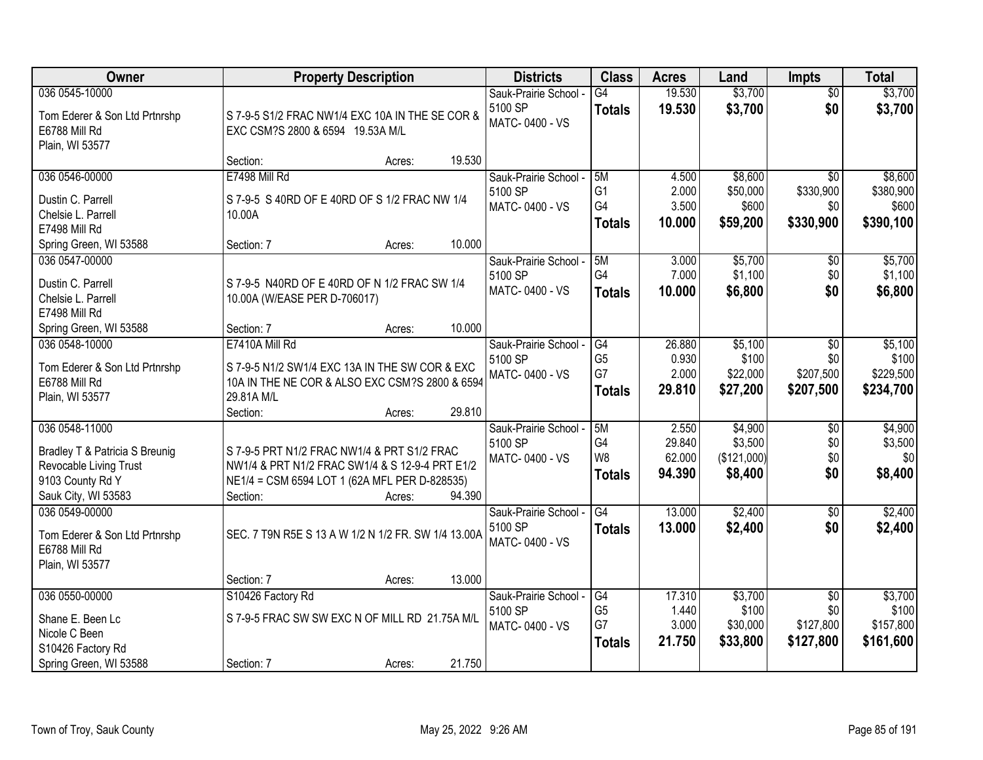| Owner                                          | <b>Property Description</b>                         |        |        | <b>Districts</b>      | <b>Class</b>   | <b>Acres</b> | Land        | <b>Impts</b>    | <b>Total</b> |
|------------------------------------------------|-----------------------------------------------------|--------|--------|-----------------------|----------------|--------------|-------------|-----------------|--------------|
| 036 0545-10000                                 |                                                     |        |        | Sauk-Prairie School - | G4             | 19.530       | \$3,700     | $\overline{30}$ | \$3,700      |
| Tom Ederer & Son Ltd Prtnrshp                  | S 7-9-5 S1/2 FRAC NW1/4 EXC 10A IN THE SE COR &     |        |        | 5100 SP               | <b>Totals</b>  | 19.530       | \$3,700     | \$0             | \$3,700      |
| E6788 Mill Rd                                  | EXC CSM?S 2800 & 6594 19.53A M/L                    |        |        | MATC-0400 - VS        |                |              |             |                 |              |
| Plain, WI 53577                                |                                                     |        |        |                       |                |              |             |                 |              |
|                                                | Section:                                            | Acres: | 19.530 |                       |                |              |             |                 |              |
| 036 0546-00000                                 | E7498 Mill Rd                                       |        |        | Sauk-Prairie School - | 5M             | 4.500        | \$8,600     | $\overline{50}$ | \$8,600      |
| Dustin C. Parrell                              | S 7-9-5 S 40RD OF E 40RD OF S 1/2 FRAC NW 1/4       |        |        | 5100 SP               | G <sub>1</sub> | 2.000        | \$50,000    | \$330,900       | \$380,900    |
| Chelsie L. Parrell                             | 10.00A                                              |        |        | MATC-0400 - VS        | G4             | 3.500        | \$600       | \$0             | \$600        |
| E7498 Mill Rd                                  |                                                     |        |        |                       | <b>Totals</b>  | 10.000       | \$59,200    | \$330,900       | \$390,100    |
| Spring Green, WI 53588                         | Section: 7                                          | Acres: | 10.000 |                       |                |              |             |                 |              |
| 036 0547-00000                                 |                                                     |        |        | Sauk-Prairie School - | 5M             | 3.000        | \$5,700     | \$0             | \$5,700      |
| Dustin C. Parrell                              | S 7-9-5 N40RD OF E 40RD OF N 1/2 FRAC SW 1/4        |        |        | 5100 SP               | G4             | 7.000        | \$1,100     | \$0             | \$1,100      |
| Chelsie L. Parrell                             | 10.00A (W/EASE PER D-706017)                        |        |        | MATC-0400 - VS        | <b>Totals</b>  | 10.000       | \$6,800     | \$0             | \$6,800      |
| E7498 Mill Rd                                  |                                                     |        |        |                       |                |              |             |                 |              |
| Spring Green, WI 53588                         | Section: 7                                          | Acres: | 10.000 |                       |                |              |             |                 |              |
| 036 0548-10000                                 | E7410A Mill Rd                                      |        |        | Sauk-Prairie School - | G4             | 26.880       | \$5,100     | $\sqrt{6}$      | \$5,100      |
| Tom Ederer & Son Ltd Prtnrshp                  | S 7-9-5 N1/2 SW1/4 EXC 13A IN THE SW COR & EXC      |        |        | 5100 SP               | G <sub>5</sub> | 0.930        | \$100       | \$0             | \$100        |
| E6788 Mill Rd                                  | 10A IN THE NE COR & ALSO EXC CSM?S 2800 & 6594      |        |        | MATC-0400 - VS        | G7             | 2.000        | \$22,000    | \$207,500       | \$229,500    |
| Plain, WI 53577                                | 29.81A M/L                                          |        |        |                       | <b>Totals</b>  | 29.810       | \$27,200    | \$207,500       | \$234,700    |
|                                                | Section:                                            | Acres: | 29.810 |                       |                |              |             |                 |              |
| 036 0548-11000                                 |                                                     |        |        | Sauk-Prairie School - | 5M             | 2.550        | \$4,900     | $\overline{50}$ | \$4,900      |
| Bradley T & Patricia S Breunig                 | S 7-9-5 PRT N1/2 FRAC NW1/4 & PRT S1/2 FRAC         |        |        | 5100 SP               | G4             | 29.840       | \$3,500     | \$0             | \$3,500      |
| Revocable Living Trust                         | NW1/4 & PRT N1/2 FRAC SW1/4 & S 12-9-4 PRT E1/2     |        |        | MATC-0400 - VS        | W8             | 62.000       | (\$121,000) | \$0             | \$0          |
| 9103 County Rd Y                               | NE1/4 = CSM 6594 LOT 1 (62A MFL PER D-828535)       |        |        |                       | <b>Totals</b>  | 94.390       | \$8,400     | \$0             | \$8,400      |
| Sauk City, WI 53583                            | Section:                                            | Acres: | 94.390 |                       |                |              |             |                 |              |
| 036 0549-00000                                 |                                                     |        |        | Sauk-Prairie School - | G4             | 13.000       | \$2,400     | $\overline{50}$ | \$2,400      |
|                                                |                                                     |        |        | 5100 SP               | <b>Totals</b>  | 13.000       | \$2,400     | \$0             | \$2,400      |
| Tom Ederer & Son Ltd Prtnrshp<br>E6788 Mill Rd | SEC. 7 T9N R5E S 13 A W 1/2 N 1/2 FR. SW 1/4 13.00A |        |        | MATC-0400 - VS        |                |              |             |                 |              |
| Plain, WI 53577                                |                                                     |        |        |                       |                |              |             |                 |              |
|                                                | Section: 7                                          | Acres: | 13.000 |                       |                |              |             |                 |              |
| 036 0550-00000                                 | S10426 Factory Rd                                   |        |        | Sauk-Prairie School - | G4             | 17.310       | \$3,700     | $\overline{50}$ | \$3,700      |
|                                                |                                                     |        |        | 5100 SP               | G <sub>5</sub> | 1.440        | \$100       | \$0             | \$100        |
| Shane E. Been Lc<br>Nicole C Been              | S 7-9-5 FRAC SW SW EXC N OF MILL RD 21.75A M/L      |        |        | MATC-0400 - VS        | G7             | 3.000        | \$30,000    | \$127,800       | \$157,800    |
| S10426 Factory Rd                              |                                                     |        |        |                       | <b>Totals</b>  | 21.750       | \$33,800    | \$127,800       | \$161,600    |
| Spring Green, WI 53588                         | Section: 7                                          | Acres: | 21.750 |                       |                |              |             |                 |              |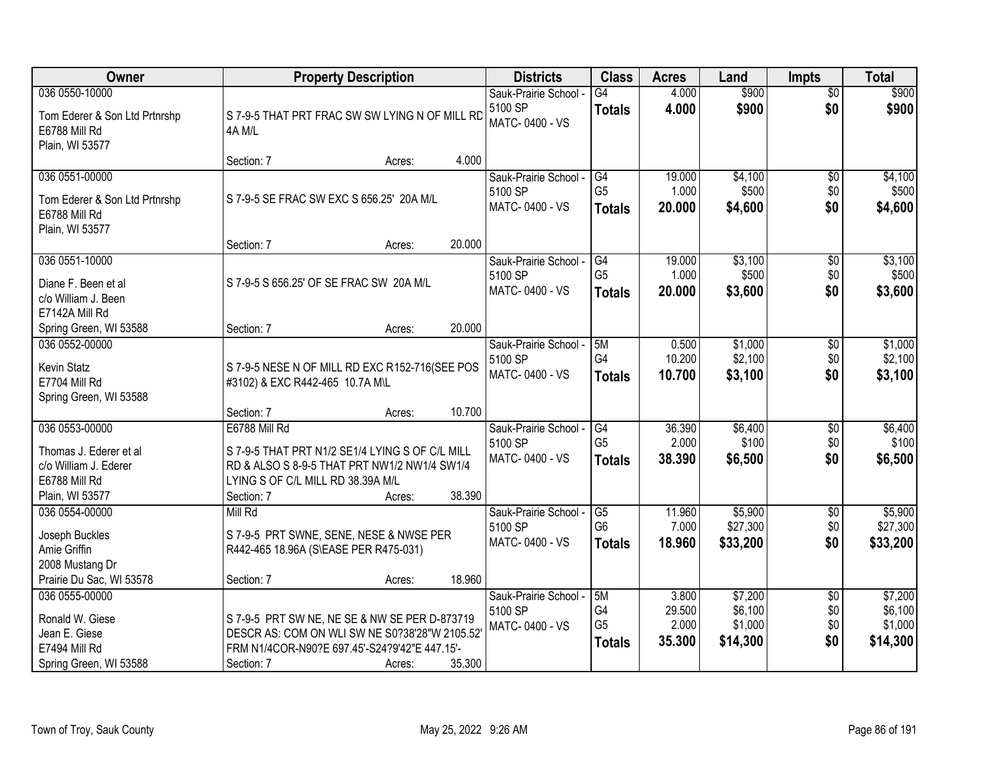| Owner                                                                                                 |                                                                                                                                                                     | <b>Property Description</b> |        | <b>Districts</b>                                   | <b>Class</b>                                | <b>Acres</b>                       | Land                                      | <b>Impts</b>                         | <b>Total</b>                              |
|-------------------------------------------------------------------------------------------------------|---------------------------------------------------------------------------------------------------------------------------------------------------------------------|-----------------------------|--------|----------------------------------------------------|---------------------------------------------|------------------------------------|-------------------------------------------|--------------------------------------|-------------------------------------------|
| 036 0550-10000<br>Tom Ederer & Son Ltd Prtnrshp<br>E6788 Mill Rd<br>Plain, WI 53577                   | S 7-9-5 THAT PRT FRAC SW SW LYING N OF MILL RD<br>4A M/L                                                                                                            |                             |        | Sauk-Prairie School -<br>5100 SP<br>MATC-0400 - VS | $\overline{G4}$<br><b>Totals</b>            | 4.000<br>4.000                     | \$900<br>\$900                            | $\overline{50}$<br>\$0               | \$900<br>\$900                            |
|                                                                                                       | Section: 7                                                                                                                                                          | Acres:                      | 4.000  |                                                    |                                             |                                    |                                           |                                      |                                           |
| 036 0551-00000<br>Tom Ederer & Son Ltd Prtnrshp<br>E6788 Mill Rd<br>Plain, WI 53577                   | S 7-9-5 SE FRAC SW EXC S 656.25' 20A M/L                                                                                                                            |                             |        | Sauk-Prairie School -<br>5100 SP<br>MATC-0400 - VS | G4<br>G <sub>5</sub><br><b>Totals</b>       | 19.000<br>1.000<br>20.000          | \$4,100<br>\$500<br>\$4,600               | $\overline{50}$<br>\$0<br>\$0        | \$4,100<br>\$500<br>\$4,600               |
|                                                                                                       | Section: 7                                                                                                                                                          | Acres:                      | 20.000 |                                                    |                                             |                                    |                                           |                                      |                                           |
| 036 0551-10000<br>Diane F. Been et al<br>c/o William J. Been<br>E7142A Mill Rd                        | S 7-9-5 S 656.25' OF SE FRAC SW 20A M/L                                                                                                                             |                             |        | Sauk-Prairie School -<br>5100 SP<br>MATC-0400 - VS | G4<br>G <sub>5</sub><br><b>Totals</b>       | 19.000<br>1.000<br>20.000          | \$3,100<br>\$500<br>\$3,600               | $\overline{50}$<br>\$0<br>\$0        | \$3,100<br>\$500<br>\$3,600               |
| Spring Green, WI 53588                                                                                | Section: 7                                                                                                                                                          | Acres:                      | 20.000 |                                                    |                                             |                                    |                                           |                                      |                                           |
| 036 0552-00000<br>Kevin Statz<br>E7704 Mill Rd<br>Spring Green, WI 53588                              | S 7-9-5 NESE N OF MILL RD EXC R152-716(SEE POS<br>#3102) & EXC R442-465 10.7A M\L                                                                                   |                             |        | Sauk-Prairie School -<br>5100 SP<br>MATC-0400 - VS | 5M<br>G4<br><b>Totals</b>                   | 0.500<br>10.200<br>10.700          | \$1,000<br>\$2,100<br>\$3,100             | \$0<br>\$0<br>\$0                    | \$1,000<br>\$2,100<br>\$3,100             |
|                                                                                                       | Section: 7                                                                                                                                                          | Acres:                      | 10.700 |                                                    |                                             |                                    |                                           |                                      |                                           |
| 036 0553-00000<br>Thomas J. Ederer et al<br>c/o William J. Ederer<br>E6788 Mill Rd<br>Plain, WI 53577 | E6788 Mill Rd<br>S 7-9-5 THAT PRT N1/2 SE1/4 LYING S OF C/L MILL<br>RD & ALSO S 8-9-5 THAT PRT NW1/2 NW1/4 SW1/4<br>LYING S OF C/L MILL RD 38.39A M/L<br>Section: 7 |                             | 38.390 | Sauk-Prairie School -<br>5100 SP<br>MATC-0400 - VS | G4<br>G <sub>5</sub><br><b>Totals</b>       | 36.390<br>2.000<br>38.390          | \$6,400<br>\$100<br>\$6,500               | \$0<br>\$0<br>\$0                    | \$6,400<br>\$100<br>\$6,500               |
| 036 0554-00000                                                                                        | Mill Rd                                                                                                                                                             | Acres:                      |        | Sauk-Prairie School -                              | G <sub>5</sub>                              | 11.960                             | \$5,900                                   | $\overline{$0}$                      | \$5,900                                   |
| Joseph Buckles<br>Amie Griffin<br>2008 Mustang Dr                                                     | S 7-9-5 PRT SWNE, SENE, NESE & NWSE PER<br>R442-465 18.96A (S\EASE PER R475-031)                                                                                    |                             |        | 5100 SP<br>MATC-0400 - VS                          | G <sub>6</sub><br><b>Totals</b>             | 7.000<br>18.960                    | \$27,300<br>\$33,200                      | \$0<br>\$0                           | \$27,300<br>\$33,200                      |
| Prairie Du Sac, WI 53578                                                                              | Section: 7                                                                                                                                                          | Acres:                      | 18.960 |                                                    |                                             |                                    |                                           |                                      |                                           |
| 036 0555-00000<br>Ronald W. Giese<br>Jean E. Giese<br>E7494 Mill Rd<br>Spring Green, WI 53588         | S 7-9-5 PRT SW NE, NE SE & NW SE PER D-873719<br>DESCR AS: COM ON WLI SW NE S0?38'28"W 2105.52"<br>FRM N1/4COR-N90?E 697.45'-S24?9'42"E 447.15'-<br>Section: 7      | Acres:                      | 35.300 | Sauk-Prairie School -<br>5100 SP<br>MATC-0400 - VS | 5M<br>G4<br>G <sub>5</sub><br><b>Totals</b> | 3.800<br>29.500<br>2.000<br>35.300 | \$7,200<br>\$6,100<br>\$1,000<br>\$14,300 | $\overline{50}$<br>\$0<br>\$0<br>\$0 | \$7,200<br>\$6,100<br>\$1,000<br>\$14,300 |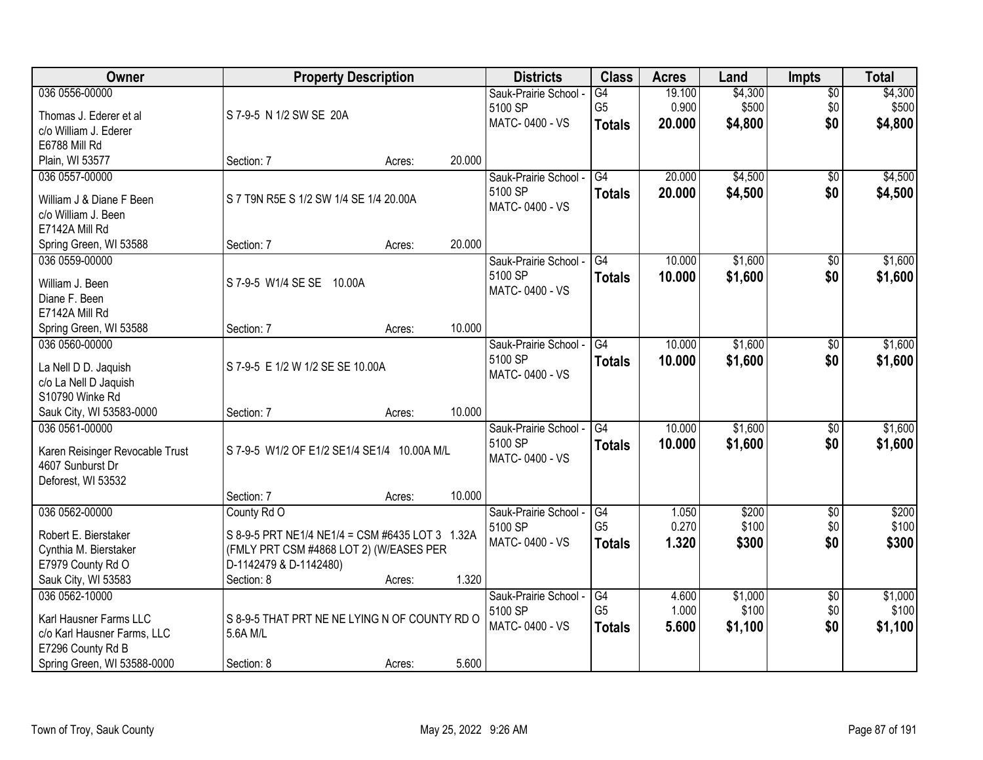| Owner                                         |                                                 | <b>Property Description</b> |        | <b>Districts</b>                 | <b>Class</b>    | <b>Acres</b> | Land    | <b>Impts</b>           | <b>Total</b> |
|-----------------------------------------------|-------------------------------------------------|-----------------------------|--------|----------------------------------|-----------------|--------------|---------|------------------------|--------------|
| 036 0556-00000                                |                                                 |                             |        | Sauk-Prairie School -            | G4              | 19.100       | \$4,300 | $\sqrt{$0}$            | \$4,300      |
| Thomas J. Ederer et al                        | S 7-9-5 N 1/2 SW SE 20A                         |                             |        | 5100 SP                          | G <sub>5</sub>  | 0.900        | \$500   | \$0                    | \$500        |
| c/o William J. Ederer                         |                                                 |                             |        | MATC-0400 - VS                   | <b>Totals</b>   | 20.000       | \$4,800 | \$0                    | \$4,800      |
| E6788 Mill Rd                                 |                                                 |                             |        |                                  |                 |              |         |                        |              |
| Plain, WI 53577                               | Section: 7                                      | Acres:                      | 20.000 |                                  |                 |              |         |                        |              |
| 036 0557-00000                                |                                                 |                             |        | Sauk-Prairie School -            | $\overline{G4}$ | 20.000       | \$4,500 | \$0                    | \$4,500      |
| William J & Diane F Been                      | S 7 T9N R5E S 1/2 SW 1/4 SE 1/4 20.00A          |                             |        | 5100 SP                          | <b>Totals</b>   | 20.000       | \$4,500 | \$0                    | \$4,500      |
| c/o William J. Been                           |                                                 |                             |        | MATC-0400 - VS                   |                 |              |         |                        |              |
| E7142A Mill Rd                                |                                                 |                             |        |                                  |                 |              |         |                        |              |
| Spring Green, WI 53588                        | Section: 7                                      | Acres:                      | 20.000 |                                  |                 |              |         |                        |              |
| 036 0559-00000                                |                                                 |                             |        | Sauk-Prairie School -            | G4              | 10.000       | \$1,600 | \$0                    | \$1,600      |
| William J. Been                               | S 7-9-5 W1/4 SE SE 10.00A                       |                             |        | 5100 SP                          | <b>Totals</b>   | 10.000       | \$1,600 | \$0                    | \$1,600      |
| Diane F. Been                                 |                                                 |                             |        | MATC-0400 - VS                   |                 |              |         |                        |              |
| E7142A Mill Rd                                |                                                 |                             |        |                                  |                 |              |         |                        |              |
| Spring Green, WI 53588                        | Section: 7                                      | Acres:                      | 10.000 |                                  |                 |              |         |                        |              |
| 036 0560-00000                                |                                                 |                             |        | Sauk-Prairie School -            | G4              | 10.000       | \$1,600 | $\sqrt[6]{3}$          | \$1,600      |
|                                               |                                                 |                             |        | 5100 SP                          | <b>Totals</b>   | 10.000       | \$1,600 | \$0                    | \$1,600      |
| La Nell D D. Jaquish<br>c/o La Nell D Jaquish | S 7-9-5 E 1/2 W 1/2 SE SE 10.00A                |                             |        | MATC-0400 - VS                   |                 |              |         |                        |              |
| S10790 Winke Rd                               |                                                 |                             |        |                                  |                 |              |         |                        |              |
| Sauk City, WI 53583-0000                      | Section: 7                                      | Acres:                      | 10.000 |                                  |                 |              |         |                        |              |
| 036 0561-00000                                |                                                 |                             |        | Sauk-Prairie School -            | $\overline{G4}$ | 10.000       | \$1,600 | $\overline{50}$        | \$1,600      |
|                                               |                                                 |                             |        | 5100 SP                          | <b>Totals</b>   | 10,000       | \$1,600 | \$0                    | \$1,600      |
| Karen Reisinger Revocable Trust               | S 7-9-5 W1/2 OF E1/2 SE1/4 SE1/4 10.00A M/L     |                             |        | MATC-0400 - VS                   |                 |              |         |                        |              |
| 4607 Sunburst Dr<br>Deforest, WI 53532        |                                                 |                             |        |                                  |                 |              |         |                        |              |
|                                               | Section: 7                                      | Acres:                      | 10.000 |                                  |                 |              |         |                        |              |
| 036 0562-00000                                | County Rd O                                     |                             |        | Sauk-Prairie School -            | G4              | 1.050        | \$200   | $\sqrt{6}$             | \$200        |
|                                               |                                                 |                             |        | 5100 SP                          | G <sub>5</sub>  | 0.270        | \$100   | \$0                    | \$100        |
| Robert E. Bierstaker                          | S 8-9-5 PRT NE1/4 NE1/4 = CSM #6435 LOT 3 1.32A |                             |        | MATC-0400 - VS                   | <b>Totals</b>   | 1.320        | \$300   | \$0                    | \$300        |
| Cynthia M. Bierstaker                         | (FMLY PRT CSM #4868 LOT 2) (W/EASES PER         |                             |        |                                  |                 |              |         |                        |              |
| E7979 County Rd O                             | D-1142479 & D-1142480)                          |                             | 1.320  |                                  |                 |              |         |                        |              |
| Sauk City, WI 53583<br>036 0562-10000         | Section: 8                                      | Acres:                      |        |                                  | G4              | 4.600        | \$1,000 |                        | \$1,000      |
|                                               |                                                 |                             |        | Sauk-Prairie School -<br>5100 SP | G <sub>5</sub>  | 1.000        | \$100   | $\overline{60}$<br>\$0 | \$100        |
| Karl Hausner Farms LLC                        | S 8-9-5 THAT PRT NE NE LYING N OF COUNTY RD O   |                             |        | MATC-0400 - VS                   | <b>Totals</b>   | 5.600        | \$1,100 | \$0                    | \$1,100      |
| c/o Karl Hausner Farms, LLC                   | 5.6A M/L                                        |                             |        |                                  |                 |              |         |                        |              |
| E7296 County Rd B                             |                                                 |                             |        |                                  |                 |              |         |                        |              |
| Spring Green, WI 53588-0000                   | Section: 8                                      | Acres:                      | 5.600  |                                  |                 |              |         |                        |              |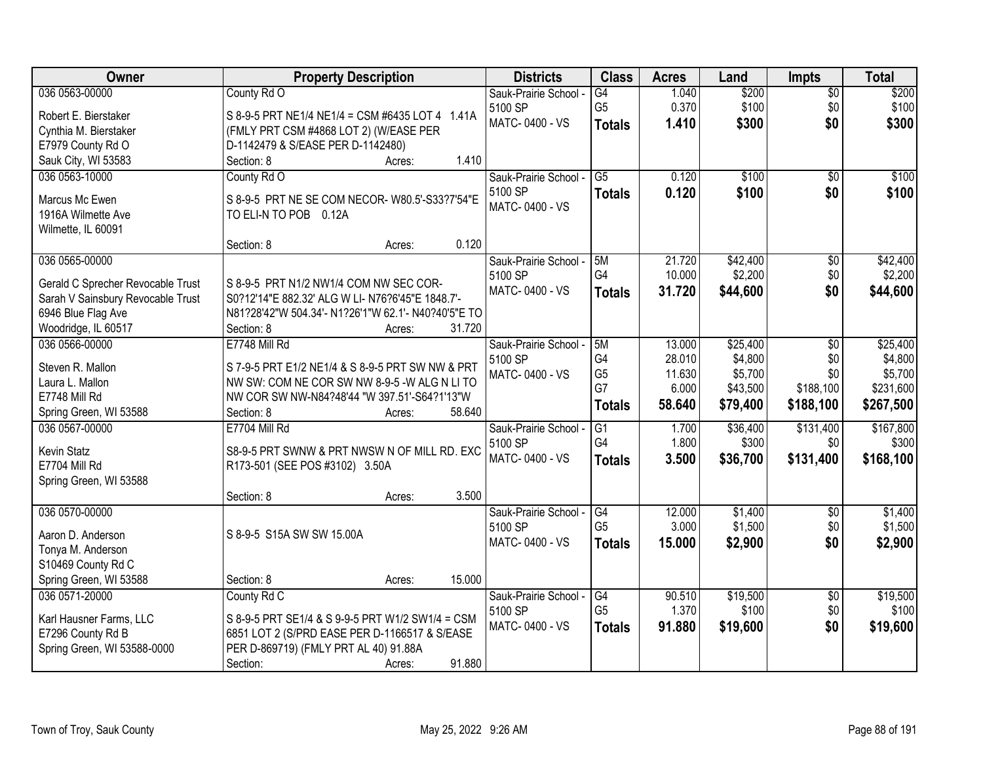| Owner                                        | <b>Property Description</b>                                                                       | <b>Districts</b>      | <b>Class</b>    | <b>Acres</b> | Land     | <b>Impts</b>    | <b>Total</b> |
|----------------------------------------------|---------------------------------------------------------------------------------------------------|-----------------------|-----------------|--------------|----------|-----------------|--------------|
| 036 0563-00000                               | County Rd O                                                                                       | Sauk-Prairie School - | G4              | 1.040        | \$200    | $\overline{60}$ | \$200        |
| Robert E. Bierstaker                         | S 8-9-5 PRT NE1/4 NE1/4 = CSM #6435 LOT 4 1.41A                                                   | 5100 SP               | G <sub>5</sub>  | 0.370        | \$100    | \$0             | \$100        |
| Cynthia M. Bierstaker                        | (FMLY PRT CSM #4868 LOT 2) (W/EASE PER                                                            | MATC-0400 - VS        | <b>Totals</b>   | 1.410        | \$300    | \$0             | \$300        |
| E7979 County Rd O                            | D-1142479 & S/EASE PER D-1142480)                                                                 |                       |                 |              |          |                 |              |
| Sauk City, WI 53583                          | 1.410<br>Section: 8<br>Acres:                                                                     |                       |                 |              |          |                 |              |
| 036 0563-10000                               | County Rd O                                                                                       | Sauk-Prairie School - | $\overline{G5}$ | 0.120        | \$100    | $\overline{50}$ | \$100        |
|                                              |                                                                                                   | 5100 SP               | <b>Totals</b>   | 0.120        | \$100    | \$0             | \$100        |
| Marcus Mc Ewen                               | S 8-9-5 PRT NE SE COM NECOR- W80.5'-S33?7'54"E                                                    | MATC-0400 - VS        |                 |              |          |                 |              |
| 1916A Wilmette Ave                           | TO ELI-N TO POB 0.12A                                                                             |                       |                 |              |          |                 |              |
| Wilmette, IL 60091                           | 0.120<br>Section: 8                                                                               |                       |                 |              |          |                 |              |
| 036 0565-00000                               | Acres:                                                                                            | Sauk-Prairie School - | 5M              | 21.720       | \$42,400 | $\overline{50}$ | \$42,400     |
|                                              |                                                                                                   | 5100 SP               | G4              | 10.000       | \$2,200  | \$0             | \$2,200      |
| Gerald C Sprecher Revocable Trust            | S 8-9-5 PRT N1/2 NW1/4 COM NW SEC COR-                                                            | MATC-0400 - VS        |                 | 31.720       | \$44,600 | \$0             | \$44,600     |
| Sarah V Sainsbury Revocable Trust            | S0?12'14"E 882.32' ALG W LI- N76?6'45"E 1848.7'-                                                  |                       | <b>Totals</b>   |              |          |                 |              |
| 6946 Blue Flag Ave                           | N81?28'42"W 504.34'- N1?26'1"W 62.1'- N40?40'5"E TO                                               |                       |                 |              |          |                 |              |
| Woodridge, IL 60517                          | Section: 8<br>31.720<br>Acres:                                                                    |                       |                 |              |          |                 |              |
| 036 0566-00000                               | E7748 Mill Rd                                                                                     | Sauk-Prairie School - | 5M              | 13.000       | \$25,400 | \$0             | \$25,400     |
| Steven R. Mallon                             | S 7-9-5 PRT E1/2 NE1/4 & S 8-9-5 PRT SW NW & PRT                                                  | 5100 SP               | G4              | 28.010       | \$4,800  | \$0             | \$4,800      |
| Laura L. Mallon                              | NW SW: COM NE COR SW NW 8-9-5 -W ALG N LI TO                                                      | MATC-0400 - VS        | G <sub>5</sub>  | 11.630       | \$5,700  | \$0             | \$5,700      |
| E7748 Mill Rd                                | NW COR SW NW-N84?48'44 "W 397.51'-S64?1'13"W                                                      |                       | G7              | 6.000        | \$43,500 | \$188,100       | \$231,600    |
| Spring Green, WI 53588                       | 58.640<br>Section: 8<br>Acres:                                                                    |                       | <b>Totals</b>   | 58.640       | \$79,400 | \$188,100       | \$267,500    |
| 036 0567-00000                               | E7704 Mill Rd                                                                                     | Sauk-Prairie School - | $\overline{G1}$ | 1.700        | \$36,400 | \$131,400       | \$167,800    |
|                                              |                                                                                                   | 5100 SP               | G4              | 1.800        | \$300    | \$0             | \$300        |
| Kevin Statz                                  | S8-9-5 PRT SWNW & PRT NWSW N OF MILL RD. EXC                                                      | MATC-0400 - VS        | <b>Totals</b>   | 3.500        | \$36,700 | \$131,400       | \$168,100    |
| E7704 Mill Rd                                | R173-501 (SEE POS #3102) 3.50A                                                                    |                       |                 |              |          |                 |              |
| Spring Green, WI 53588                       |                                                                                                   |                       |                 |              |          |                 |              |
|                                              | 3.500<br>Section: 8<br>Acres:                                                                     |                       |                 |              |          |                 |              |
| 036 0570-00000                               |                                                                                                   | Sauk-Prairie School - | G4              | 12.000       | \$1,400  | $\overline{$0}$ | \$1,400      |
| Aaron D. Anderson                            | S 8-9-5 S15A SW SW 15.00A                                                                         | 5100 SP               | G <sub>5</sub>  | 3.000        | \$1,500  | \$0             | \$1,500      |
| Tonya M. Anderson                            |                                                                                                   | MATC-0400 - VS        | <b>Totals</b>   | 15.000       | \$2,900  | \$0             | \$2,900      |
| S10469 County Rd C                           |                                                                                                   |                       |                 |              |          |                 |              |
| Spring Green, WI 53588                       | 15.000<br>Section: 8<br>Acres:                                                                    |                       |                 |              |          |                 |              |
| 036 0571-20000                               | County Rd C                                                                                       | Sauk-Prairie School - | G4              | 90.510       | \$19,500 | $\overline{60}$ | \$19,500     |
|                                              |                                                                                                   | 5100 SP               | G <sub>5</sub>  | 1.370        | \$100    | \$0             | \$100        |
| Karl Hausner Farms, LLC<br>E7296 County Rd B | S 8-9-5 PRT SE1/4 & S 9-9-5 PRT W1/2 SW1/4 = CSM<br>6851 LOT 2 (S/PRD EASE PER D-1166517 & S/EASE | MATC-0400 - VS        | <b>Totals</b>   | 91.880       | \$19,600 | \$0             | \$19,600     |
| Spring Green, WI 53588-0000                  | PER D-869719) (FMLY PRT AL 40) 91.88A                                                             |                       |                 |              |          |                 |              |
|                                              | 91.880<br>Section:<br>Acres:                                                                      |                       |                 |              |          |                 |              |
|                                              |                                                                                                   |                       |                 |              |          |                 |              |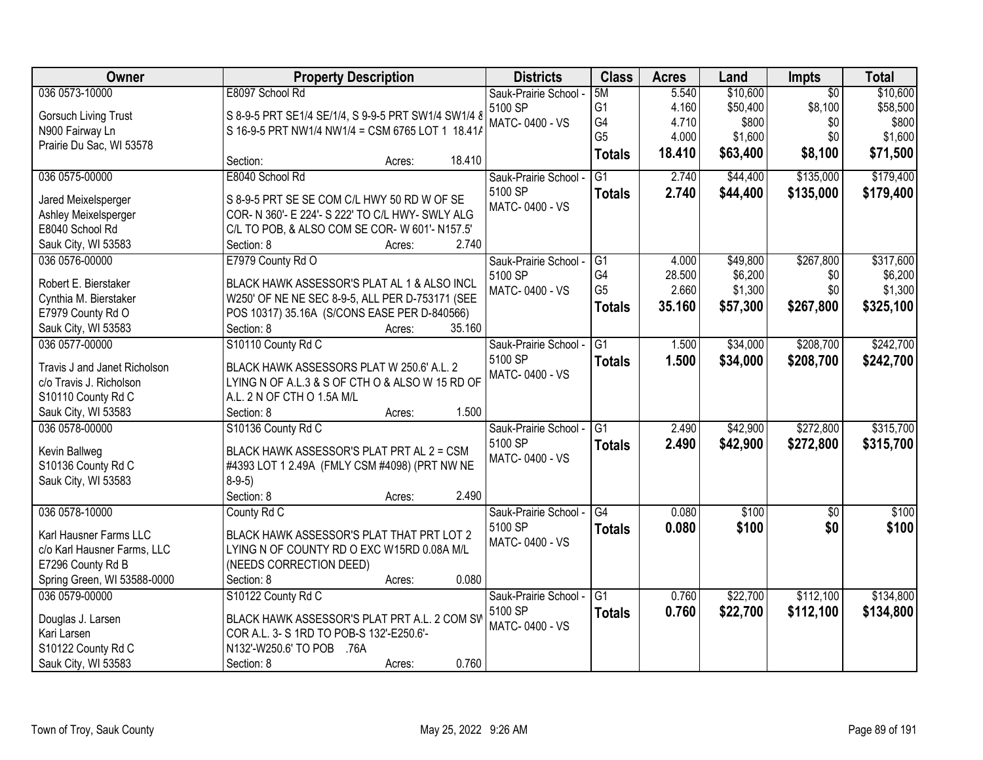| <b>Owner</b>                 | <b>Property Description</b>                         | <b>Districts</b>      | <b>Class</b>    | <b>Acres</b> | Land     | Impts           | <b>Total</b> |
|------------------------------|-----------------------------------------------------|-----------------------|-----------------|--------------|----------|-----------------|--------------|
| 036 0573-10000               | E8097 School Rd                                     | Sauk-Prairie School - | 5M              | 5.540        | \$10,600 | $\overline{50}$ | \$10,600     |
| <b>Gorsuch Living Trust</b>  | S 8-9-5 PRT SE1/4 SE/1/4, S 9-9-5 PRT SW1/4 SW1/4 8 | 5100 SP               | G1              | 4.160        | \$50,400 | \$8,100         | \$58,500     |
| N900 Fairway Ln              | S 16-9-5 PRT NW1/4 NW1/4 = CSM 6765 LOT 1 18.41/    | MATC-0400 - VS        | G4              | 4.710        | \$800    | \$0             | \$800        |
| Prairie Du Sac, WI 53578     |                                                     |                       | G <sub>5</sub>  | 4.000        | \$1,600  | \$0             | \$1,600      |
|                              | 18.410<br>Section:<br>Acres:                        |                       | <b>Totals</b>   | 18.410       | \$63,400 | \$8,100         | \$71,500     |
| 036 0575-00000               | E8040 School Rd                                     | Sauk-Prairie School - | $\overline{G1}$ | 2.740        | \$44,400 | \$135,000       | \$179,400    |
| Jared Meixelsperger          | S 8-9-5 PRT SE SE COM C/L HWY 50 RD W OF SE         | 5100 SP               | <b>Totals</b>   | 2.740        | \$44,400 | \$135,000       | \$179,400    |
| Ashley Meixelsperger         | COR- N 360'- E 224'- S 222' TO C/L HWY- SWLY ALG    | MATC-0400 - VS        |                 |              |          |                 |              |
| E8040 School Rd              | C/L TO POB, & ALSO COM SE COR- W 601'- N157.5'      |                       |                 |              |          |                 |              |
| Sauk City, WI 53583          | 2.740<br>Section: 8<br>Acres:                       |                       |                 |              |          |                 |              |
| 036 0576-00000               | E7979 County Rd O                                   | Sauk-Prairie School - | G1              | 4.000        | \$49,800 | \$267,800       | \$317,600    |
|                              |                                                     | 5100 SP               | G4              | 28.500       | \$6,200  | \$0             | \$6,200      |
| Robert E. Bierstaker         | BLACK HAWK ASSESSOR'S PLAT AL 1 & ALSO INCL         | MATC-0400 - VS        | G <sub>5</sub>  | 2.660        | \$1,300  | \$0             | \$1,300      |
| Cynthia M. Bierstaker        | W250' OF NE NE SEC 8-9-5, ALL PER D-753171 (SEE     |                       | <b>Totals</b>   | 35.160       | \$57,300 | \$267,800       | \$325,100    |
| E7979 County Rd O            | POS 10317) 35.16A (S/CONS EASE PER D-840566)        |                       |                 |              |          |                 |              |
| Sauk City, WI 53583          | 35.160<br>Section: 8<br>Acres:                      |                       |                 |              |          |                 |              |
| 036 0577-00000               | S10110 County Rd C                                  | Sauk-Prairie School - | $\overline{G1}$ | 1.500        | \$34,000 | \$208,700       | \$242,700    |
| Travis J and Janet Richolson | BLACK HAWK ASSESSORS PLAT W 250.6' A.L. 2           | 5100 SP               | <b>Totals</b>   | 1.500        | \$34,000 | \$208,700       | \$242,700    |
| c/o Travis J. Richolson      | LYING N OF A.L.3 & S OF CTH O & ALSO W 15 RD OF     | MATC-0400 - VS        |                 |              |          |                 |              |
| S10110 County Rd C           | A.L. 2 N OF CTH O 1.5A M/L                          |                       |                 |              |          |                 |              |
| Sauk City, WI 53583          | 1.500<br>Section: 8<br>Acres:                       |                       |                 |              |          |                 |              |
| 036 0578-00000               | S10136 County Rd C                                  | Sauk-Prairie School - | $\overline{G1}$ | 2.490        | \$42,900 | \$272,800       | \$315,700    |
|                              |                                                     | 5100 SP               |                 | 2.490        | \$42,900 | \$272,800       | \$315,700    |
| Kevin Ballweg                | BLACK HAWK ASSESSOR'S PLAT PRT AL 2 = CSM           | MATC-0400 - VS        | <b>Totals</b>   |              |          |                 |              |
| S10136 County Rd C           | #4393 LOT 1 2.49A (FMLY CSM #4098) (PRT NW NE       |                       |                 |              |          |                 |              |
| Sauk City, WI 53583          | $8-9-5$ )                                           |                       |                 |              |          |                 |              |
|                              | Section: 8<br>2.490<br>Acres:                       |                       |                 |              |          |                 |              |
| 036 0578-10000               | County Rd C                                         | Sauk-Prairie School - | $\overline{G4}$ | 0.080        | \$100    | $\sqrt{6}$      | \$100        |
| Karl Hausner Farms LLC       | BLACK HAWK ASSESSOR'S PLAT THAT PRT LOT 2           | 5100 SP               | <b>Totals</b>   | 0.080        | \$100    | \$0             | \$100        |
| c/o Karl Hausner Farms, LLC  | LYING N OF COUNTY RD O EXC W15RD 0.08A M/L          | MATC-0400 - VS        |                 |              |          |                 |              |
| E7296 County Rd B            | (NEEDS CORRECTION DEED)                             |                       |                 |              |          |                 |              |
| Spring Green, WI 53588-0000  | 0.080<br>Section: 8<br>Acres:                       |                       |                 |              |          |                 |              |
| 036 0579-00000               | S10122 County Rd C                                  | Sauk-Prairie School   | $\overline{G1}$ | 0.760        | \$22,700 | \$112,100       | \$134,800    |
|                              |                                                     | 5100 SP               | <b>Totals</b>   | 0.760        | \$22,700 | \$112,100       | \$134,800    |
| Douglas J. Larsen            | BLACK HAWK ASSESSOR'S PLAT PRT A.L. 2 COM SV        | MATC-0400 - VS        |                 |              |          |                 |              |
| Kari Larsen                  | COR A.L. 3- S 1RD TO POB-S 132'-E250.6'-            |                       |                 |              |          |                 |              |
| S10122 County Rd C           | N132'-W250.6' TO POB<br>.76A                        |                       |                 |              |          |                 |              |
| Sauk City, WI 53583          | 0.760<br>Section: 8<br>Acres:                       |                       |                 |              |          |                 |              |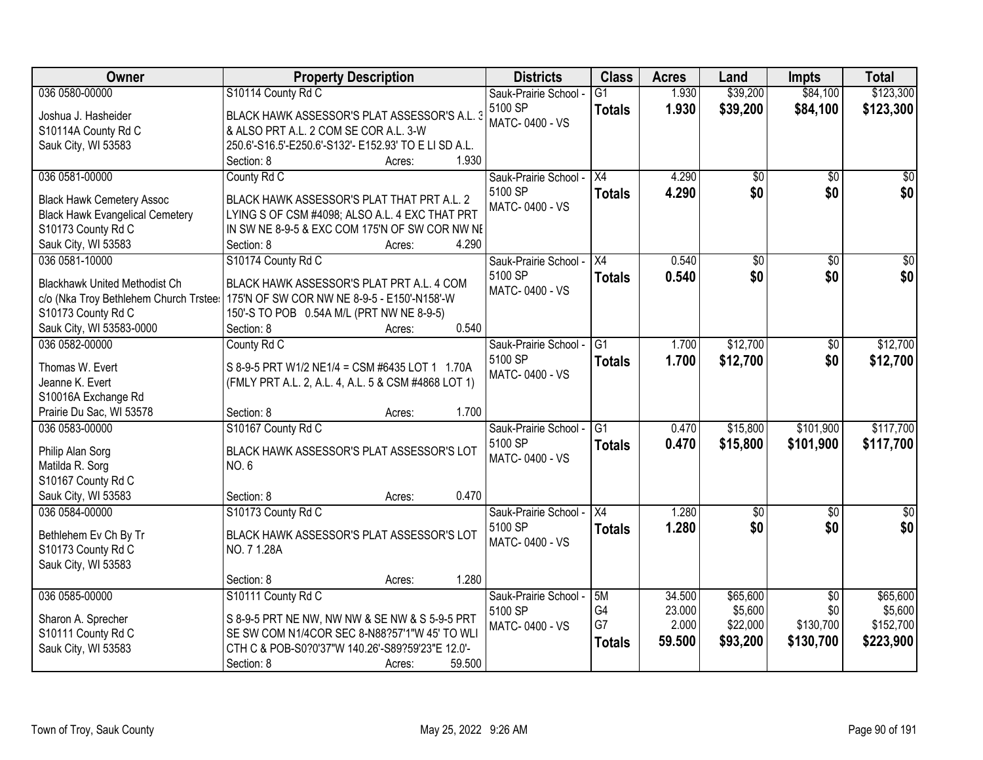| Owner                                                                      | <b>Property Description</b>                                                                  | <b>Districts</b>                 | <b>Class</b>    | <b>Acres</b> | Land               | <b>Impts</b>    | <b>Total</b>         |
|----------------------------------------------------------------------------|----------------------------------------------------------------------------------------------|----------------------------------|-----------------|--------------|--------------------|-----------------|----------------------|
| 036 0580-00000                                                             | S10114 County Rd C                                                                           | Sauk-Prairie School -            | $\overline{G1}$ | 1.930        | \$39,200           | \$84,100        | \$123,300            |
| Joshua J. Hasheider                                                        | BLACK HAWK ASSESSOR'S PLAT ASSESSOR'S A.L. 3                                                 | 5100 SP                          | <b>Totals</b>   | 1.930        | \$39,200           | \$84,100        | \$123,300            |
| S10114A County Rd C                                                        | & ALSO PRT A.L. 2 COM SE COR A.L. 3-W                                                        | MATC-0400 - VS                   |                 |              |                    |                 |                      |
| Sauk City, WI 53583                                                        | 250.6'-S16.5'-E250.6'-S132'- E152.93' TO E LI SD A.L.                                        |                                  |                 |              |                    |                 |                      |
|                                                                            | 1.930<br>Section: 8<br>Acres:                                                                |                                  |                 |              |                    |                 |                      |
| 036 0581-00000                                                             | County Rd C                                                                                  | Sauk-Prairie School -            | $\overline{X4}$ | 4.290        | \$0                | $\overline{50}$ | $\sqrt{50}$          |
|                                                                            |                                                                                              | 5100 SP                          | <b>Totals</b>   | 4.290        | \$0                | \$0             | \$0                  |
| <b>Black Hawk Cemetery Assoc</b><br><b>Black Hawk Evangelical Cemetery</b> | BLACK HAWK ASSESSOR'S PLAT THAT PRT A.L. 2<br>LYING S OF CSM #4098; ALSO A.L. 4 EXC THAT PRT | MATC-0400 - VS                   |                 |              |                    |                 |                      |
| S10173 County Rd C                                                         | IN SW NE 8-9-5 & EXC COM 175'N OF SW COR NW NE                                               |                                  |                 |              |                    |                 |                      |
| Sauk City, WI 53583                                                        | 4.290<br>Section: 8<br>Acres:                                                                |                                  |                 |              |                    |                 |                      |
| 036 0581-10000                                                             | S10174 County Rd C                                                                           | Sauk-Prairie School -            | X4              | 0.540        | $\overline{50}$    | $\overline{50}$ | $\overline{\$0}$     |
|                                                                            |                                                                                              | 5100 SP                          | <b>Totals</b>   | 0.540        | \$0                | \$0             | \$0                  |
| <b>Blackhawk United Methodist Ch</b>                                       | BLACK HAWK ASSESSOR'S PLAT PRT A.L. 4 COM                                                    | MATC-0400 - VS                   |                 |              |                    |                 |                      |
| c/o (Nka Troy Bethlehem Church Trstee:                                     | 175'N OF SW COR NW NE 8-9-5 - E150'-N158'-W                                                  |                                  |                 |              |                    |                 |                      |
| S10173 County Rd C                                                         | 150'-S TO POB 0.54A M/L (PRT NW NE 8-9-5)                                                    |                                  |                 |              |                    |                 |                      |
| Sauk City, WI 53583-0000                                                   | 0.540<br>Section: 8<br>Acres:                                                                |                                  |                 |              |                    |                 |                      |
| 036 0582-00000                                                             | County Rd C                                                                                  | Sauk-Prairie School -            | G1              | 1.700        | \$12,700           | $\sqrt[6]{3}$   | \$12,700             |
| Thomas W. Evert                                                            | S 8-9-5 PRT W1/2 NE1/4 = CSM #6435 LOT 1 1.70A                                               | 5100 SP                          | <b>Totals</b>   | 1.700        | \$12,700           | \$0             | \$12,700             |
| Jeanne K. Evert                                                            | (FMLY PRT A.L. 2, A.L. 4, A.L. 5 & CSM #4868 LOT 1)                                          | MATC-0400 - VS                   |                 |              |                    |                 |                      |
| S10016A Exchange Rd                                                        |                                                                                              |                                  |                 |              |                    |                 |                      |
| Prairie Du Sac, WI 53578                                                   | 1.700<br>Section: 8<br>Acres:                                                                |                                  |                 |              |                    |                 |                      |
| 036 0583-00000                                                             | S10167 County Rd C                                                                           | Sauk-Prairie School -            | $\overline{G1}$ | 0.470        | \$15,800           | \$101,900       | \$117,700            |
|                                                                            |                                                                                              | 5100 SP                          | Totals          | 0.470        | \$15,800           | \$101,900       | \$117,700            |
| Philip Alan Sorg                                                           | BLACK HAWK ASSESSOR'S PLAT ASSESSOR'S LOT                                                    | MATC-0400 - VS                   |                 |              |                    |                 |                      |
| Matilda R. Sorg                                                            | NO.6                                                                                         |                                  |                 |              |                    |                 |                      |
| S10167 County Rd C                                                         | 0.470<br>Section: 8                                                                          |                                  |                 |              |                    |                 |                      |
| Sauk City, WI 53583<br>036 0584-00000                                      | Acres:                                                                                       |                                  | X4              |              |                    |                 |                      |
|                                                                            | S10173 County Rd C                                                                           | Sauk-Prairie School -<br>5100 SP |                 | 1.280        | $\sqrt{$0}$<br>\$0 | \$0             | $\frac{1}{6}$<br>\$0 |
| Bethlehem Ev Ch By Tr                                                      | BLACK HAWK ASSESSOR'S PLAT ASSESSOR'S LOT                                                    | MATC-0400 - VS                   | <b>Totals</b>   | 1.280        |                    | \$0             |                      |
| S10173 County Rd C                                                         | NO. 7 1.28A                                                                                  |                                  |                 |              |                    |                 |                      |
| Sauk City, WI 53583                                                        |                                                                                              |                                  |                 |              |                    |                 |                      |
|                                                                            | 1.280<br>Section: 8<br>Acres:                                                                |                                  |                 |              |                    |                 |                      |
| 036 0585-00000                                                             | S10111 County Rd C                                                                           | Sauk-Prairie School -            | 5M              | 34.500       | \$65,600           | $\overline{30}$ | \$65,600             |
| Sharon A. Sprecher                                                         | S 8-9-5 PRT NE NW, NW NW & SE NW & S 5-9-5 PRT                                               | 5100 SP                          | G4              | 23.000       | \$5,600            | \$0             | \$5,600              |
| S10111 County Rd C                                                         | SE SW COM N1/4COR SEC 8-N88?57'1"W 45' TO WLI                                                | MATC-0400 - VS                   | G7              | 2.000        | \$22,000           | \$130,700       | \$152,700            |
| Sauk City, WI 53583                                                        | CTH C & POB-S0?0'37"W 140.26'-S89?59'23"E 12.0'-                                             |                                  | Totals          | 59.500       | \$93,200           | \$130,700       | \$223,900            |
|                                                                            | 59.500<br>Section: 8<br>Acres:                                                               |                                  |                 |              |                    |                 |                      |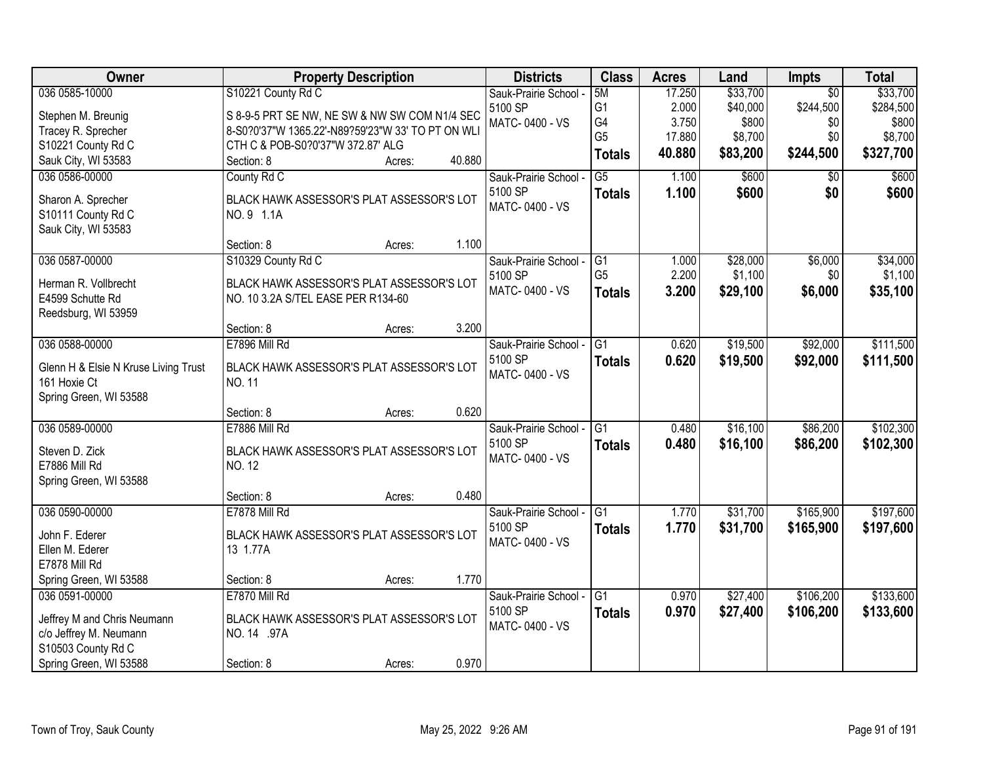| \$33,700<br>5M<br>17.250<br>$\overline{50}$<br>Sauk-Prairie School -<br>G <sub>1</sub><br>2.000<br>\$40,000<br>\$244,500<br>\$284,500<br>5100 SP<br>S 8-9-5 PRT SE NW, NE SW & NW SW COM N1/4 SEC<br>Stephen M. Breunig<br>G4<br>3.750<br>\$800<br>MATC-0400 - VS<br>\$0<br>\$800<br>Tracey R. Sprecher<br>8-S0?0'37"W 1365.22'-N89?59'23"W 33' TO PT ON WLI<br>G <sub>5</sub><br>\$8,700<br>17.880<br>\$8,700<br>\$0<br>S10221 County Rd C<br>CTH C & POB-S0?0'37"W 372.87' ALG<br>40.880<br>\$83,200<br>\$244,500<br>\$327,700<br><b>Totals</b><br>Sauk City, WI 53583<br>40.880<br>Section: 8<br>Acres:<br>\$600<br>036 0586-00000<br>County Rd C<br>$\overline{G5}$<br>1.100<br>\$600<br>Sauk-Prairie School -<br>$\overline{50}$<br>5100 SP<br>1.100<br>\$600<br>\$600<br>\$0<br><b>Totals</b><br>Sharon A. Sprecher<br>BLACK HAWK ASSESSOR'S PLAT ASSESSOR'S LOT<br>MATC-0400 - VS<br>S10111 County Rd C<br>NO. 9 1.1A<br>Sauk City, WI 53583<br>1.100<br>Section: 8<br>Acres:<br>\$28,000<br>\$6,000<br>036 0587-00000<br>S10329 County Rd C<br>IG1<br>\$34,000<br>Sauk-Prairie School -<br>1.000<br>G <sub>5</sub><br>\$1,100<br>2.200<br>\$0<br>\$1,100<br>5100 SP<br>Herman R. Vollbrecht<br>BLACK HAWK ASSESSOR'S PLAT ASSESSOR'S LOT<br>MATC-0400 - VS<br>3.200<br>\$29,100<br>\$6,000<br>\$35,100<br><b>Totals</b><br>E4599 Schutte Rd<br>NO. 10 3.2A S/TEL EASE PER R134-60<br>Reedsburg, WI 53959<br>3.200<br>Section: 8<br>Acres:<br>036 0588-00000<br>E7896 Mill Rd<br>\$19,500<br>\$92,000<br>\$111,500<br>Sauk-Prairie School -<br>G <sub>1</sub><br>0.620<br>5100 SP<br>0.620<br>\$19,500<br>\$92,000<br>\$111,500<br><b>Totals</b><br>BLACK HAWK ASSESSOR'S PLAT ASSESSOR'S LOT<br>Glenn H & Elsie N Kruse Living Trust<br>MATC-0400 - VS<br>161 Hoxie Ct<br>NO. 11<br>Spring Green, WI 53588<br>0.620<br>Section: 8<br>Acres:<br>\$102,300<br>036 0589-00000<br>E7886 Mill Rd<br>$\overline{G1}$<br>\$16,100<br>\$86,200<br>0.480<br>Sauk-Prairie School -<br>5100 SP<br>\$86,200<br>\$102,300<br>0.480<br>\$16,100<br><b>Totals</b><br>Steven D. Zick<br>BLACK HAWK ASSESSOR'S PLAT ASSESSOR'S LOT<br>MATC-0400 - VS<br>E7886 Mill Rd<br><b>NO. 12</b><br>Spring Green, WI 53588<br>0.480<br>Section: 8<br>Acres:<br>\$31,700<br>\$165,900<br>\$197,600<br>036 0590-00000<br>E7878 Mill Rd<br>Sauk-Prairie School - G1<br>1.770<br>5100 SP<br>1.770<br>\$31,700<br>\$165,900<br>\$197,600<br><b>Totals</b><br>John F. Ederer<br>BLACK HAWK ASSESSOR'S PLAT ASSESSOR'S LOT<br>MATC-0400 - VS<br>13 1.77A<br>Ellen M. Ederer<br>E7878 Mill Rd<br>1.770<br>Spring Green, WI 53588<br>Section: 8<br>Acres:<br>036 0591-00000<br>E7870 Mill Rd<br>G <sub>1</sub><br>\$27,400<br>\$106,200<br>\$133,600<br>Sauk-Prairie School -<br>0.970<br>5100 SP<br>0.970<br>\$27,400<br>\$106,200<br>\$133,600<br><b>Totals</b><br>Jeffrey M and Chris Neumann<br>BLACK HAWK ASSESSOR'S PLAT ASSESSOR'S LOT | Owner          | <b>Property Description</b> | <b>Districts</b> | <b>Class</b> | <b>Acres</b> | Land     | <b>Impts</b> | <b>Total</b> |
|-------------------------------------------------------------------------------------------------------------------------------------------------------------------------------------------------------------------------------------------------------------------------------------------------------------------------------------------------------------------------------------------------------------------------------------------------------------------------------------------------------------------------------------------------------------------------------------------------------------------------------------------------------------------------------------------------------------------------------------------------------------------------------------------------------------------------------------------------------------------------------------------------------------------------------------------------------------------------------------------------------------------------------------------------------------------------------------------------------------------------------------------------------------------------------------------------------------------------------------------------------------------------------------------------------------------------------------------------------------------------------------------------------------------------------------------------------------------------------------------------------------------------------------------------------------------------------------------------------------------------------------------------------------------------------------------------------------------------------------------------------------------------------------------------------------------------------------------------------------------------------------------------------------------------------------------------------------------------------------------------------------------------------------------------------------------------------------------------------------------------------------------------------------------------------------------------------------------------------------------------------------------------------------------------------------------------------------------------------------------------------------------------------------------------------------------------------------------------------------------------------------------------------------------------------------------------------------------------------------------------------------------------------------------------------------------------------------------------------------------------------------------------------------------------------------------------------------------------------------------------------------------------------------------|----------------|-----------------------------|------------------|--------------|--------------|----------|--------------|--------------|
|                                                                                                                                                                                                                                                                                                                                                                                                                                                                                                                                                                                                                                                                                                                                                                                                                                                                                                                                                                                                                                                                                                                                                                                                                                                                                                                                                                                                                                                                                                                                                                                                                                                                                                                                                                                                                                                                                                                                                                                                                                                                                                                                                                                                                                                                                                                                                                                                                                                                                                                                                                                                                                                                                                                                                                                                                                                                                                                   | 036 0585-10000 | S10221 County Rd C          |                  |              |              | \$33,700 |              |              |
|                                                                                                                                                                                                                                                                                                                                                                                                                                                                                                                                                                                                                                                                                                                                                                                                                                                                                                                                                                                                                                                                                                                                                                                                                                                                                                                                                                                                                                                                                                                                                                                                                                                                                                                                                                                                                                                                                                                                                                                                                                                                                                                                                                                                                                                                                                                                                                                                                                                                                                                                                                                                                                                                                                                                                                                                                                                                                                                   |                |                             |                  |              |              |          |              |              |
|                                                                                                                                                                                                                                                                                                                                                                                                                                                                                                                                                                                                                                                                                                                                                                                                                                                                                                                                                                                                                                                                                                                                                                                                                                                                                                                                                                                                                                                                                                                                                                                                                                                                                                                                                                                                                                                                                                                                                                                                                                                                                                                                                                                                                                                                                                                                                                                                                                                                                                                                                                                                                                                                                                                                                                                                                                                                                                                   |                |                             |                  |              |              |          |              |              |
|                                                                                                                                                                                                                                                                                                                                                                                                                                                                                                                                                                                                                                                                                                                                                                                                                                                                                                                                                                                                                                                                                                                                                                                                                                                                                                                                                                                                                                                                                                                                                                                                                                                                                                                                                                                                                                                                                                                                                                                                                                                                                                                                                                                                                                                                                                                                                                                                                                                                                                                                                                                                                                                                                                                                                                                                                                                                                                                   |                |                             |                  |              |              |          |              |              |
|                                                                                                                                                                                                                                                                                                                                                                                                                                                                                                                                                                                                                                                                                                                                                                                                                                                                                                                                                                                                                                                                                                                                                                                                                                                                                                                                                                                                                                                                                                                                                                                                                                                                                                                                                                                                                                                                                                                                                                                                                                                                                                                                                                                                                                                                                                                                                                                                                                                                                                                                                                                                                                                                                                                                                                                                                                                                                                                   |                |                             |                  |              |              |          |              |              |
|                                                                                                                                                                                                                                                                                                                                                                                                                                                                                                                                                                                                                                                                                                                                                                                                                                                                                                                                                                                                                                                                                                                                                                                                                                                                                                                                                                                                                                                                                                                                                                                                                                                                                                                                                                                                                                                                                                                                                                                                                                                                                                                                                                                                                                                                                                                                                                                                                                                                                                                                                                                                                                                                                                                                                                                                                                                                                                                   |                |                             |                  |              |              |          |              |              |
|                                                                                                                                                                                                                                                                                                                                                                                                                                                                                                                                                                                                                                                                                                                                                                                                                                                                                                                                                                                                                                                                                                                                                                                                                                                                                                                                                                                                                                                                                                                                                                                                                                                                                                                                                                                                                                                                                                                                                                                                                                                                                                                                                                                                                                                                                                                                                                                                                                                                                                                                                                                                                                                                                                                                                                                                                                                                                                                   |                |                             |                  |              |              |          |              |              |
|                                                                                                                                                                                                                                                                                                                                                                                                                                                                                                                                                                                                                                                                                                                                                                                                                                                                                                                                                                                                                                                                                                                                                                                                                                                                                                                                                                                                                                                                                                                                                                                                                                                                                                                                                                                                                                                                                                                                                                                                                                                                                                                                                                                                                                                                                                                                                                                                                                                                                                                                                                                                                                                                                                                                                                                                                                                                                                                   |                |                             |                  |              |              |          |              |              |
|                                                                                                                                                                                                                                                                                                                                                                                                                                                                                                                                                                                                                                                                                                                                                                                                                                                                                                                                                                                                                                                                                                                                                                                                                                                                                                                                                                                                                                                                                                                                                                                                                                                                                                                                                                                                                                                                                                                                                                                                                                                                                                                                                                                                                                                                                                                                                                                                                                                                                                                                                                                                                                                                                                                                                                                                                                                                                                                   |                |                             |                  |              |              |          |              |              |
|                                                                                                                                                                                                                                                                                                                                                                                                                                                                                                                                                                                                                                                                                                                                                                                                                                                                                                                                                                                                                                                                                                                                                                                                                                                                                                                                                                                                                                                                                                                                                                                                                                                                                                                                                                                                                                                                                                                                                                                                                                                                                                                                                                                                                                                                                                                                                                                                                                                                                                                                                                                                                                                                                                                                                                                                                                                                                                                   |                |                             |                  |              |              |          |              |              |
|                                                                                                                                                                                                                                                                                                                                                                                                                                                                                                                                                                                                                                                                                                                                                                                                                                                                                                                                                                                                                                                                                                                                                                                                                                                                                                                                                                                                                                                                                                                                                                                                                                                                                                                                                                                                                                                                                                                                                                                                                                                                                                                                                                                                                                                                                                                                                                                                                                                                                                                                                                                                                                                                                                                                                                                                                                                                                                                   |                |                             |                  |              |              |          |              |              |
|                                                                                                                                                                                                                                                                                                                                                                                                                                                                                                                                                                                                                                                                                                                                                                                                                                                                                                                                                                                                                                                                                                                                                                                                                                                                                                                                                                                                                                                                                                                                                                                                                                                                                                                                                                                                                                                                                                                                                                                                                                                                                                                                                                                                                                                                                                                                                                                                                                                                                                                                                                                                                                                                                                                                                                                                                                                                                                                   |                |                             |                  |              |              |          |              |              |
|                                                                                                                                                                                                                                                                                                                                                                                                                                                                                                                                                                                                                                                                                                                                                                                                                                                                                                                                                                                                                                                                                                                                                                                                                                                                                                                                                                                                                                                                                                                                                                                                                                                                                                                                                                                                                                                                                                                                                                                                                                                                                                                                                                                                                                                                                                                                                                                                                                                                                                                                                                                                                                                                                                                                                                                                                                                                                                                   |                |                             |                  |              |              |          |              |              |
|                                                                                                                                                                                                                                                                                                                                                                                                                                                                                                                                                                                                                                                                                                                                                                                                                                                                                                                                                                                                                                                                                                                                                                                                                                                                                                                                                                                                                                                                                                                                                                                                                                                                                                                                                                                                                                                                                                                                                                                                                                                                                                                                                                                                                                                                                                                                                                                                                                                                                                                                                                                                                                                                                                                                                                                                                                                                                                                   |                |                             |                  |              |              |          |              |              |
|                                                                                                                                                                                                                                                                                                                                                                                                                                                                                                                                                                                                                                                                                                                                                                                                                                                                                                                                                                                                                                                                                                                                                                                                                                                                                                                                                                                                                                                                                                                                                                                                                                                                                                                                                                                                                                                                                                                                                                                                                                                                                                                                                                                                                                                                                                                                                                                                                                                                                                                                                                                                                                                                                                                                                                                                                                                                                                                   |                |                             |                  |              |              |          |              |              |
|                                                                                                                                                                                                                                                                                                                                                                                                                                                                                                                                                                                                                                                                                                                                                                                                                                                                                                                                                                                                                                                                                                                                                                                                                                                                                                                                                                                                                                                                                                                                                                                                                                                                                                                                                                                                                                                                                                                                                                                                                                                                                                                                                                                                                                                                                                                                                                                                                                                                                                                                                                                                                                                                                                                                                                                                                                                                                                                   |                |                             |                  |              |              |          |              |              |
|                                                                                                                                                                                                                                                                                                                                                                                                                                                                                                                                                                                                                                                                                                                                                                                                                                                                                                                                                                                                                                                                                                                                                                                                                                                                                                                                                                                                                                                                                                                                                                                                                                                                                                                                                                                                                                                                                                                                                                                                                                                                                                                                                                                                                                                                                                                                                                                                                                                                                                                                                                                                                                                                                                                                                                                                                                                                                                                   |                |                             |                  |              |              |          |              |              |
|                                                                                                                                                                                                                                                                                                                                                                                                                                                                                                                                                                                                                                                                                                                                                                                                                                                                                                                                                                                                                                                                                                                                                                                                                                                                                                                                                                                                                                                                                                                                                                                                                                                                                                                                                                                                                                                                                                                                                                                                                                                                                                                                                                                                                                                                                                                                                                                                                                                                                                                                                                                                                                                                                                                                                                                                                                                                                                                   |                |                             |                  |              |              |          |              |              |
|                                                                                                                                                                                                                                                                                                                                                                                                                                                                                                                                                                                                                                                                                                                                                                                                                                                                                                                                                                                                                                                                                                                                                                                                                                                                                                                                                                                                                                                                                                                                                                                                                                                                                                                                                                                                                                                                                                                                                                                                                                                                                                                                                                                                                                                                                                                                                                                                                                                                                                                                                                                                                                                                                                                                                                                                                                                                                                                   |                |                             |                  |              |              |          |              |              |
|                                                                                                                                                                                                                                                                                                                                                                                                                                                                                                                                                                                                                                                                                                                                                                                                                                                                                                                                                                                                                                                                                                                                                                                                                                                                                                                                                                                                                                                                                                                                                                                                                                                                                                                                                                                                                                                                                                                                                                                                                                                                                                                                                                                                                                                                                                                                                                                                                                                                                                                                                                                                                                                                                                                                                                                                                                                                                                                   |                |                             |                  |              |              |          |              |              |
|                                                                                                                                                                                                                                                                                                                                                                                                                                                                                                                                                                                                                                                                                                                                                                                                                                                                                                                                                                                                                                                                                                                                                                                                                                                                                                                                                                                                                                                                                                                                                                                                                                                                                                                                                                                                                                                                                                                                                                                                                                                                                                                                                                                                                                                                                                                                                                                                                                                                                                                                                                                                                                                                                                                                                                                                                                                                                                                   |                |                             |                  |              |              |          |              |              |
|                                                                                                                                                                                                                                                                                                                                                                                                                                                                                                                                                                                                                                                                                                                                                                                                                                                                                                                                                                                                                                                                                                                                                                                                                                                                                                                                                                                                                                                                                                                                                                                                                                                                                                                                                                                                                                                                                                                                                                                                                                                                                                                                                                                                                                                                                                                                                                                                                                                                                                                                                                                                                                                                                                                                                                                                                                                                                                                   |                |                             |                  |              |              |          |              |              |
|                                                                                                                                                                                                                                                                                                                                                                                                                                                                                                                                                                                                                                                                                                                                                                                                                                                                                                                                                                                                                                                                                                                                                                                                                                                                                                                                                                                                                                                                                                                                                                                                                                                                                                                                                                                                                                                                                                                                                                                                                                                                                                                                                                                                                                                                                                                                                                                                                                                                                                                                                                                                                                                                                                                                                                                                                                                                                                                   |                |                             |                  |              |              |          |              |              |
|                                                                                                                                                                                                                                                                                                                                                                                                                                                                                                                                                                                                                                                                                                                                                                                                                                                                                                                                                                                                                                                                                                                                                                                                                                                                                                                                                                                                                                                                                                                                                                                                                                                                                                                                                                                                                                                                                                                                                                                                                                                                                                                                                                                                                                                                                                                                                                                                                                                                                                                                                                                                                                                                                                                                                                                                                                                                                                                   |                |                             |                  |              |              |          |              |              |
|                                                                                                                                                                                                                                                                                                                                                                                                                                                                                                                                                                                                                                                                                                                                                                                                                                                                                                                                                                                                                                                                                                                                                                                                                                                                                                                                                                                                                                                                                                                                                                                                                                                                                                                                                                                                                                                                                                                                                                                                                                                                                                                                                                                                                                                                                                                                                                                                                                                                                                                                                                                                                                                                                                                                                                                                                                                                                                                   |                |                             |                  |              |              |          |              |              |
|                                                                                                                                                                                                                                                                                                                                                                                                                                                                                                                                                                                                                                                                                                                                                                                                                                                                                                                                                                                                                                                                                                                                                                                                                                                                                                                                                                                                                                                                                                                                                                                                                                                                                                                                                                                                                                                                                                                                                                                                                                                                                                                                                                                                                                                                                                                                                                                                                                                                                                                                                                                                                                                                                                                                                                                                                                                                                                                   |                |                             |                  |              |              |          |              |              |
|                                                                                                                                                                                                                                                                                                                                                                                                                                                                                                                                                                                                                                                                                                                                                                                                                                                                                                                                                                                                                                                                                                                                                                                                                                                                                                                                                                                                                                                                                                                                                                                                                                                                                                                                                                                                                                                                                                                                                                                                                                                                                                                                                                                                                                                                                                                                                                                                                                                                                                                                                                                                                                                                                                                                                                                                                                                                                                                   |                |                             |                  |              |              |          |              |              |
|                                                                                                                                                                                                                                                                                                                                                                                                                                                                                                                                                                                                                                                                                                                                                                                                                                                                                                                                                                                                                                                                                                                                                                                                                                                                                                                                                                                                                                                                                                                                                                                                                                                                                                                                                                                                                                                                                                                                                                                                                                                                                                                                                                                                                                                                                                                                                                                                                                                                                                                                                                                                                                                                                                                                                                                                                                                                                                                   |                |                             |                  |              |              |          |              |              |
|                                                                                                                                                                                                                                                                                                                                                                                                                                                                                                                                                                                                                                                                                                                                                                                                                                                                                                                                                                                                                                                                                                                                                                                                                                                                                                                                                                                                                                                                                                                                                                                                                                                                                                                                                                                                                                                                                                                                                                                                                                                                                                                                                                                                                                                                                                                                                                                                                                                                                                                                                                                                                                                                                                                                                                                                                                                                                                                   |                |                             |                  |              |              |          |              |              |
|                                                                                                                                                                                                                                                                                                                                                                                                                                                                                                                                                                                                                                                                                                                                                                                                                                                                                                                                                                                                                                                                                                                                                                                                                                                                                                                                                                                                                                                                                                                                                                                                                                                                                                                                                                                                                                                                                                                                                                                                                                                                                                                                                                                                                                                                                                                                                                                                                                                                                                                                                                                                                                                                                                                                                                                                                                                                                                                   |                |                             |                  |              |              |          |              |              |
|                                                                                                                                                                                                                                                                                                                                                                                                                                                                                                                                                                                                                                                                                                                                                                                                                                                                                                                                                                                                                                                                                                                                                                                                                                                                                                                                                                                                                                                                                                                                                                                                                                                                                                                                                                                                                                                                                                                                                                                                                                                                                                                                                                                                                                                                                                                                                                                                                                                                                                                                                                                                                                                                                                                                                                                                                                                                                                                   |                |                             |                  |              |              |          |              |              |
|                                                                                                                                                                                                                                                                                                                                                                                                                                                                                                                                                                                                                                                                                                                                                                                                                                                                                                                                                                                                                                                                                                                                                                                                                                                                                                                                                                                                                                                                                                                                                                                                                                                                                                                                                                                                                                                                                                                                                                                                                                                                                                                                                                                                                                                                                                                                                                                                                                                                                                                                                                                                                                                                                                                                                                                                                                                                                                                   |                |                             |                  |              |              |          |              |              |
|                                                                                                                                                                                                                                                                                                                                                                                                                                                                                                                                                                                                                                                                                                                                                                                                                                                                                                                                                                                                                                                                                                                                                                                                                                                                                                                                                                                                                                                                                                                                                                                                                                                                                                                                                                                                                                                                                                                                                                                                                                                                                                                                                                                                                                                                                                                                                                                                                                                                                                                                                                                                                                                                                                                                                                                                                                                                                                                   |                |                             |                  |              |              |          |              |              |
|                                                                                                                                                                                                                                                                                                                                                                                                                                                                                                                                                                                                                                                                                                                                                                                                                                                                                                                                                                                                                                                                                                                                                                                                                                                                                                                                                                                                                                                                                                                                                                                                                                                                                                                                                                                                                                                                                                                                                                                                                                                                                                                                                                                                                                                                                                                                                                                                                                                                                                                                                                                                                                                                                                                                                                                                                                                                                                                   |                |                             |                  |              |              |          |              |              |
| c/o Jeffrey M. Neumann<br>NO. 14 .97A                                                                                                                                                                                                                                                                                                                                                                                                                                                                                                                                                                                                                                                                                                                                                                                                                                                                                                                                                                                                                                                                                                                                                                                                                                                                                                                                                                                                                                                                                                                                                                                                                                                                                                                                                                                                                                                                                                                                                                                                                                                                                                                                                                                                                                                                                                                                                                                                                                                                                                                                                                                                                                                                                                                                                                                                                                                                             |                |                             | MATC-0400 - VS   |              |              |          |              |              |
| S10503 County Rd C                                                                                                                                                                                                                                                                                                                                                                                                                                                                                                                                                                                                                                                                                                                                                                                                                                                                                                                                                                                                                                                                                                                                                                                                                                                                                                                                                                                                                                                                                                                                                                                                                                                                                                                                                                                                                                                                                                                                                                                                                                                                                                                                                                                                                                                                                                                                                                                                                                                                                                                                                                                                                                                                                                                                                                                                                                                                                                |                |                             |                  |              |              |          |              |              |
| 0.970<br>Spring Green, WI 53588<br>Section: 8<br>Acres:                                                                                                                                                                                                                                                                                                                                                                                                                                                                                                                                                                                                                                                                                                                                                                                                                                                                                                                                                                                                                                                                                                                                                                                                                                                                                                                                                                                                                                                                                                                                                                                                                                                                                                                                                                                                                                                                                                                                                                                                                                                                                                                                                                                                                                                                                                                                                                                                                                                                                                                                                                                                                                                                                                                                                                                                                                                           |                |                             |                  |              |              |          |              |              |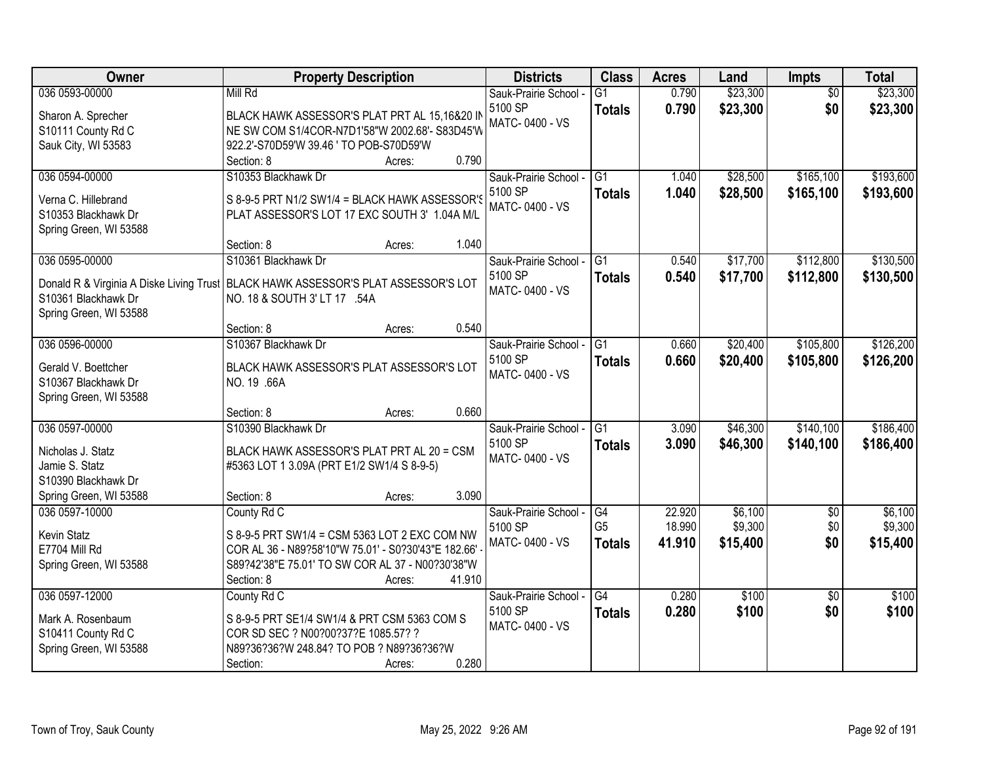| Owner                                      | <b>Property Description</b>                                                          | <b>Districts</b>          | <b>Class</b>    | <b>Acres</b> | Land     | Impts           | <b>Total</b> |
|--------------------------------------------|--------------------------------------------------------------------------------------|---------------------------|-----------------|--------------|----------|-----------------|--------------|
| 036 0593-00000                             | Mill Rd                                                                              | Sauk-Prairie School -     | $\overline{G1}$ | 0.790        | \$23,300 | $\overline{50}$ | \$23,300     |
| Sharon A. Sprecher                         | BLACK HAWK ASSESSOR'S PLAT PRT AL 15,16&20 II                                        | 5100 SP                   | <b>Totals</b>   | 0.790        | \$23,300 | \$0             | \$23,300     |
| S10111 County Rd C                         | NE SW COM S1/4COR-N7D1'58"W 2002.68'- S83D45'W                                       | MATC-0400 - VS            |                 |              |          |                 |              |
| Sauk City, WI 53583                        | 922.2'-S70D59'W 39.46 ' TO POB-S70D59'W                                              |                           |                 |              |          |                 |              |
|                                            | 0.790<br>Section: 8<br>Acres:                                                        |                           |                 |              |          |                 |              |
| 036 0594-00000                             | S10353 Blackhawk Dr                                                                  | Sauk-Prairie School -     | $\overline{G1}$ | 1.040        | \$28,500 | \$165,100       | \$193,600    |
| Verna C. Hillebrand                        | S 8-9-5 PRT N1/2 SW1/4 = BLACK HAWK ASSESSOR'S                                       | 5100 SP                   | <b>Totals</b>   | 1.040        | \$28,500 | \$165,100       | \$193,600    |
| S10353 Blackhawk Dr                        | PLAT ASSESSOR'S LOT 17 EXC SOUTH 3' 1.04A M/L                                        | MATC-0400 - VS            |                 |              |          |                 |              |
| Spring Green, WI 53588                     |                                                                                      |                           |                 |              |          |                 |              |
|                                            | 1.040<br>Section: 8<br>Acres:                                                        |                           |                 |              |          |                 |              |
| 036 0595-00000                             | S10361 Blackhawk Dr                                                                  | Sauk-Prairie School -     | G1              | 0.540        | \$17,700 | \$112,800       | \$130,500    |
|                                            | Donald R & Virginia A Diske Living Trust   BLACK HAWK ASSESSOR'S PLAT ASSESSOR'S LOT | 5100 SP                   | <b>Totals</b>   | 0.540        | \$17,700 | \$112,800       | \$130,500    |
| S10361 Blackhawk Dr                        | NO. 18 & SOUTH 3' LT 17 .54A                                                         | MATC-0400 - VS            |                 |              |          |                 |              |
| Spring Green, WI 53588                     |                                                                                      |                           |                 |              |          |                 |              |
|                                            | 0.540<br>Section: 8<br>Acres:                                                        |                           |                 |              |          |                 |              |
| 036 0596-00000                             | S10367 Blackhawk Dr                                                                  | Sauk-Prairie School -     | G1              | 0.660        | \$20,400 | \$105,800       | \$126,200    |
|                                            |                                                                                      | 5100 SP                   | <b>Totals</b>   | 0.660        | \$20,400 | \$105,800       | \$126,200    |
| Gerald V. Boettcher<br>S10367 Blackhawk Dr | BLACK HAWK ASSESSOR'S PLAT ASSESSOR'S LOT<br>NO. 19 .66A                             | MATC-0400 - VS            |                 |              |          |                 |              |
| Spring Green, WI 53588                     |                                                                                      |                           |                 |              |          |                 |              |
|                                            | 0.660<br>Section: 8<br>Acres:                                                        |                           |                 |              |          |                 |              |
| 036 0597-00000                             | S10390 Blackhawk Dr                                                                  | Sauk-Prairie School -     | $\overline{G1}$ | 3.090        | \$46,300 | \$140,100       | \$186,400    |
|                                            |                                                                                      | 5100 SP                   | <b>Totals</b>   | 3.090        | \$46,300 | \$140,100       | \$186,400    |
| Nicholas J. Statz                          | BLACK HAWK ASSESSOR'S PLAT PRT AL 20 = CSM                                           | MATC-0400 - VS            |                 |              |          |                 |              |
| Jamie S. Statz<br>S10390 Blackhawk Dr      | #5363 LOT 1 3.09A (PRT E1/2 SW1/4 S 8-9-5)                                           |                           |                 |              |          |                 |              |
| Spring Green, WI 53588                     | Section: 8<br>3.090<br>Acres:                                                        |                           |                 |              |          |                 |              |
| 036 0597-10000                             | County Rd C                                                                          | Sauk-Prairie School -     | G4              | 22.920       | \$6,100  | $\overline{50}$ | \$6,100      |
|                                            |                                                                                      | 5100 SP                   | G <sub>5</sub>  | 18.990       | \$9,300  | \$0             | \$9,300      |
| Kevin Statz                                | S 8-9-5 PRT SW1/4 = CSM 5363 LOT 2 EXC COM NW                                        | MATC-0400 - VS            | <b>Totals</b>   | 41.910       | \$15,400 | \$0             | \$15,400     |
| E7704 Mill Rd                              | COR AL 36 - N89?58'10"W 75.01' - S0?30'43"E 182.66'                                  |                           |                 |              |          |                 |              |
| Spring Green, WI 53588                     | S89?42'38"E 75.01' TO SW COR AL 37 - N00?30'38"W                                     |                           |                 |              |          |                 |              |
|                                            | 41.910<br>Section: 8<br>Acres:                                                       |                           |                 |              |          |                 |              |
| 036 0597-12000                             | County Rd C                                                                          | Sauk-Prairie School -     | $\overline{G4}$ | 0.280        | \$100    | $\overline{50}$ | \$100        |
| Mark A. Rosenbaum                          | S 8-9-5 PRT SE1/4 SW1/4 & PRT CSM 5363 COM S                                         | 5100 SP<br>MATC-0400 - VS | <b>Totals</b>   | 0.280        | \$100    | \$0             | \$100        |
| S10411 County Rd C                         | COR SD SEC ? N00?00?37?E 1085.57? ?                                                  |                           |                 |              |          |                 |              |
| Spring Green, WI 53588                     | N89?36?36?W 248.84? TO POB ? N89?36?36?W                                             |                           |                 |              |          |                 |              |
|                                            | 0.280<br>Section:<br>Acres:                                                          |                           |                 |              |          |                 |              |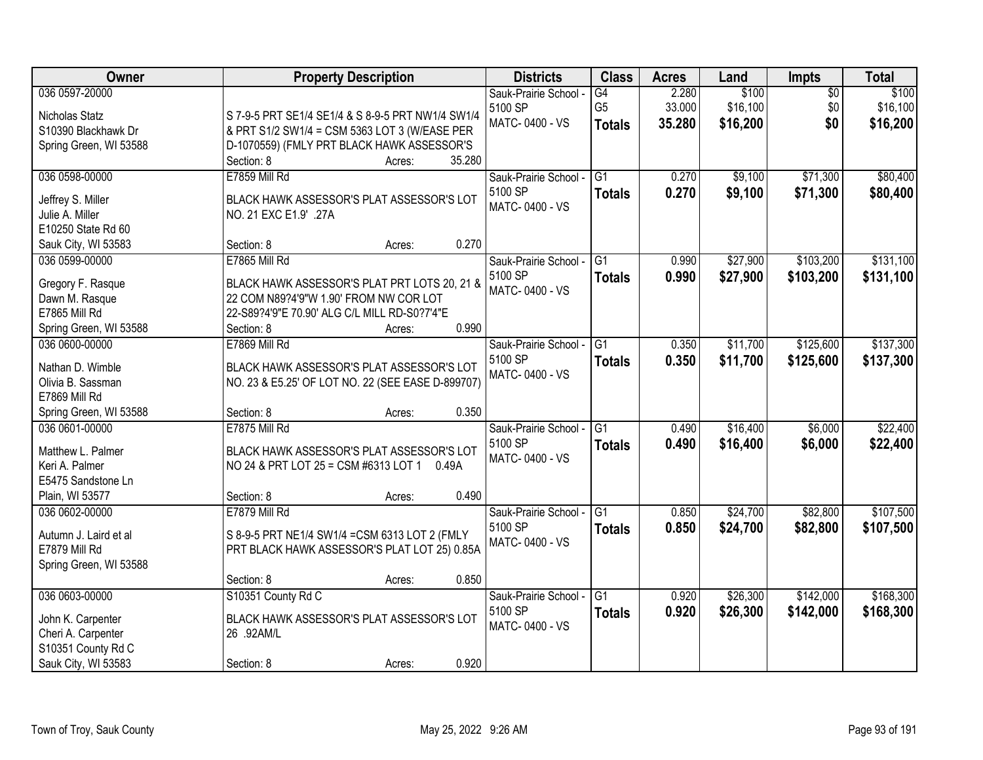| Owner                                                                                                                   | <b>Property Description</b>                                                                                                                                                                                               | <b>Districts</b>                                   | <b>Class</b>                          | <b>Acres</b>              | Land                          | Impts                         | <b>Total</b>                  |
|-------------------------------------------------------------------------------------------------------------------------|---------------------------------------------------------------------------------------------------------------------------------------------------------------------------------------------------------------------------|----------------------------------------------------|---------------------------------------|---------------------------|-------------------------------|-------------------------------|-------------------------------|
| 036 0597-20000<br>Nicholas Statz<br>S10390 Blackhawk Dr<br>Spring Green, WI 53588                                       | S 7-9-5 PRT SE1/4 SE1/4 & S 8-9-5 PRT NW1/4 SW1/4<br>& PRT S1/2 SW1/4 = CSM 5363 LOT 3 (W/EASE PER<br>D-1070559) (FMLY PRT BLACK HAWK ASSESSOR'S<br>35.280<br>Section: 8<br>Acres:                                        | Sauk-Prairie School -<br>5100 SP<br>MATC-0400 - VS | G4<br>G <sub>5</sub><br><b>Totals</b> | 2.280<br>33.000<br>35.280 | \$100<br>\$16,100<br>\$16,200 | $\overline{50}$<br>\$0<br>\$0 | \$100<br>\$16,100<br>\$16,200 |
| 036 0598-00000<br>Jeffrey S. Miller<br>Julie A. Miller<br>E10250 State Rd 60                                            | E7859 Mill Rd<br>BLACK HAWK ASSESSOR'S PLAT ASSESSOR'S LOT<br>NO. 21 EXC E1.9' .27A                                                                                                                                       | Sauk-Prairie School -<br>5100 SP<br>MATC-0400 - VS | $\overline{G1}$<br><b>Totals</b>      | 0.270<br>0.270            | \$9,100<br>\$9,100            | \$71,300<br>\$71,300          | \$80,400<br>\$80,400          |
| Sauk City, WI 53583<br>036 0599-00000<br>Gregory F. Rasque<br>Dawn M. Rasque<br>E7865 Mill Rd<br>Spring Green, WI 53588 | 0.270<br>Section: 8<br>Acres:<br>E7865 Mill Rd<br>BLACK HAWK ASSESSOR'S PLAT PRT LOTS 20, 21 &<br>22 COM N89?4'9"W 1.90' FROM NW COR LOT<br>22-S89?4'9"E 70.90' ALG C/L MILL RD-S0?7'4"E<br>0.990<br>Section: 8<br>Acres: | Sauk-Prairie School -<br>5100 SP<br>MATC-0400 - VS | G1<br><b>Totals</b>                   | 0.990<br>0.990            | \$27,900<br>\$27,900          | \$103,200<br>\$103,200        | \$131,100<br>\$131,100        |
| 036 0600-00000<br>Nathan D. Wimble<br>Olivia B. Sassman<br>E7869 Mill Rd<br>Spring Green, WI 53588                      | E7869 Mill Rd<br>BLACK HAWK ASSESSOR'S PLAT ASSESSOR'S LOT<br>NO. 23 & E5.25' OF LOT NO. 22 (SEE EASE D-899707)<br>0.350<br>Section: 8<br>Acres:                                                                          | Sauk-Prairie School -<br>5100 SP<br>MATC-0400 - VS | G1<br><b>Totals</b>                   | 0.350<br>0.350            | \$11,700<br>\$11,700          | \$125,600<br>\$125,600        | \$137,300<br>\$137,300        |
| 036 0601-00000<br>Matthew L. Palmer<br>Keri A. Palmer<br>E5475 Sandstone Ln<br>Plain, WI 53577                          | E7875 Mill Rd<br>BLACK HAWK ASSESSOR'S PLAT ASSESSOR'S LOT<br>NO 24 & PRT LOT 25 = CSM #6313 LOT 1 0.49A<br>0.490<br>Section: 8<br>Acres:                                                                                 | Sauk-Prairie School -<br>5100 SP<br>MATC-0400 - VS | $\overline{G1}$<br><b>Totals</b>      | 0.490<br>0.490            | \$16,400<br>\$16,400          | \$6,000<br>\$6,000            | \$22,400<br>\$22,400          |
| 036 0602-00000<br>Autumn J. Laird et al<br>E7879 Mill Rd<br>Spring Green, WI 53588                                      | E7879 Mill Rd<br>S 8-9-5 PRT NE1/4 SW1/4 = CSM 6313 LOT 2 (FMLY<br>PRT BLACK HAWK ASSESSOR'S PLAT LOT 25) 0.85A<br>0.850<br>Section: 8<br>Acres:                                                                          | Sauk-Prairie School -<br>5100 SP<br>MATC-0400 - VS | $\overline{G1}$<br><b>Totals</b>      | 0.850<br>0.850            | \$24,700<br>\$24,700          | \$82,800<br>\$82,800          | \$107,500<br>\$107,500        |
| 036 0603-00000<br>John K. Carpenter<br>Cheri A. Carpenter<br>S10351 County Rd C<br>Sauk City, WI 53583                  | S10351 County Rd C<br>BLACK HAWK ASSESSOR'S PLAT ASSESSOR'S LOT<br>26 .92AM/L<br>0.920<br>Section: 8<br>Acres:                                                                                                            | Sauk-Prairie School -<br>5100 SP<br>MATC-0400 - VS | G1<br><b>Totals</b>                   | 0.920<br>0.920            | \$26,300<br>\$26,300          | \$142,000<br>\$142,000        | \$168,300<br>\$168,300        |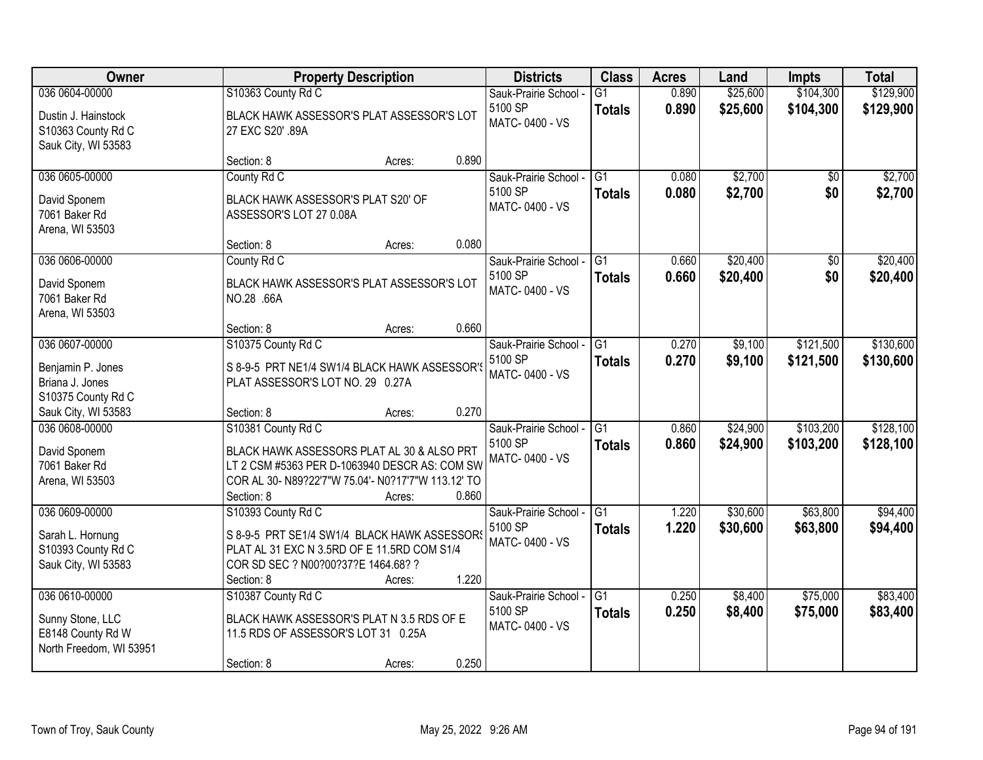| Owner                                                                              |                                                                                                                                                                                       | <b>Property Description</b> |       | <b>Districts</b>                                   | <b>Class</b>                     | <b>Acres</b>   | Land                 | <b>Impts</b>           | <b>Total</b>           |
|------------------------------------------------------------------------------------|---------------------------------------------------------------------------------------------------------------------------------------------------------------------------------------|-----------------------------|-------|----------------------------------------------------|----------------------------------|----------------|----------------------|------------------------|------------------------|
| 036 0604-00000                                                                     | S10363 County Rd C                                                                                                                                                                    |                             |       | Sauk-Prairie School -                              | $\overline{G1}$                  | 0.890          | \$25,600             | \$104,300              | \$129,900              |
| Dustin J. Hainstock<br>S10363 County Rd C<br>Sauk City, WI 53583                   | BLACK HAWK ASSESSOR'S PLAT ASSESSOR'S LOT<br>27 EXC S20' .89A                                                                                                                         |                             |       | 5100 SP<br>MATC-0400 - VS                          | <b>Totals</b>                    | 0.890          | \$25,600             | \$104,300              | \$129,900              |
|                                                                                    | Section: 8                                                                                                                                                                            | Acres:                      | 0.890 |                                                    |                                  |                |                      |                        |                        |
| 036 0605-00000<br>David Sponem<br>7061 Baker Rd<br>Arena, WI 53503                 | County Rd C<br>BLACK HAWK ASSESSOR'S PLAT S20' OF<br>ASSESSOR'S LOT 27 0.08A                                                                                                          |                             |       | Sauk-Prairie School -<br>5100 SP<br>MATC-0400 - VS | $\overline{G1}$<br><b>Totals</b> | 0.080<br>0.080 | \$2,700<br>\$2,700   | $\overline{50}$<br>\$0 | \$2,700<br>\$2,700     |
|                                                                                    | Section: 8                                                                                                                                                                            | Acres:                      | 0.080 |                                                    |                                  |                |                      |                        |                        |
| 036 0606-00000<br>David Sponem<br>7061 Baker Rd<br>Arena, WI 53503                 | County Rd C<br>BLACK HAWK ASSESSOR'S PLAT ASSESSOR'S LOT<br>NO.28 .66A                                                                                                                |                             |       | Sauk-Prairie School -<br>5100 SP<br>MATC-0400 - VS | G1<br><b>Totals</b>              | 0.660<br>0.660 | \$20,400<br>\$20,400 | \$0<br>\$0             | \$20,400<br>\$20,400   |
|                                                                                    | Section: 8                                                                                                                                                                            | Acres:                      | 0.660 |                                                    |                                  |                |                      |                        |                        |
| 036 0607-00000<br>Benjamin P. Jones<br>Briana J. Jones                             | S10375 County Rd C<br>S 8-9-5 PRT NE1/4 SW1/4 BLACK HAWK ASSESSOR'S<br>PLAT ASSESSOR'S LOT NO. 29 0.27A                                                                               |                             |       | Sauk-Prairie School -<br>5100 SP<br>MATC-0400 - VS | $\overline{G1}$<br><b>Totals</b> | 0.270<br>0.270 | \$9,100<br>\$9,100   | \$121,500<br>\$121,500 | \$130,600<br>\$130,600 |
| S10375 County Rd C<br>Sauk City, WI 53583                                          | Section: 8                                                                                                                                                                            | Acres:                      | 0.270 |                                                    |                                  |                |                      |                        |                        |
| 036 0608-00000<br>David Sponem<br>7061 Baker Rd<br>Arena, WI 53503                 | S10381 County Rd C<br>BLACK HAWK ASSESSORS PLAT AL 30 & ALSO PRT<br>LT 2 CSM #5363 PER D-1063940 DESCR AS: COM SW<br>COR AL 30- N89?22'7"W 75.04'- N0?17'7"W 113.12' TO<br>Section: 8 | Acres:                      | 0.860 | Sauk-Prairie School -<br>5100 SP<br>MATC-0400 - VS | $\overline{G1}$<br><b>Totals</b> | 0.860<br>0.860 | \$24,900<br>\$24,900 | \$103,200<br>\$103,200 | \$128,100<br>\$128,100 |
| 036 0609-00000<br>Sarah L. Hornung<br>S10393 County Rd C<br>Sauk City, WI 53583    | S10393 County Rd C<br>S 8-9-5 PRT SE1/4 SW1/4 BLACK HAWK ASSESSORS<br>PLAT AL 31 EXC N 3.5RD OF E 11.5RD COM S1/4<br>COR SD SEC ? N00?00?37?E 1464.68? ?<br>Section: 8                | Acres:                      | 1.220 | Sauk-Prairie School -<br>5100 SP<br>MATC-0400 - VS | G1<br><b>Totals</b>              | 1.220<br>1.220 | \$30,600<br>\$30,600 | \$63,800<br>\$63,800   | \$94,400<br>\$94,400   |
| 036 0610-00000<br>Sunny Stone, LLC<br>E8148 County Rd W<br>North Freedom, WI 53951 | S10387 County Rd C<br>BLACK HAWK ASSESSOR'S PLAT N 3.5 RDS OF E<br>11.5 RDS OF ASSESSOR'S LOT 31 0.25A<br>Section: 8                                                                  | Acres:                      | 0.250 | Sauk-Prairie School -<br>5100 SP<br>MATC-0400 - VS | $\overline{G1}$<br><b>Totals</b> | 0.250<br>0.250 | \$8,400<br>\$8,400   | \$75,000<br>\$75,000   | \$83,400<br>\$83,400   |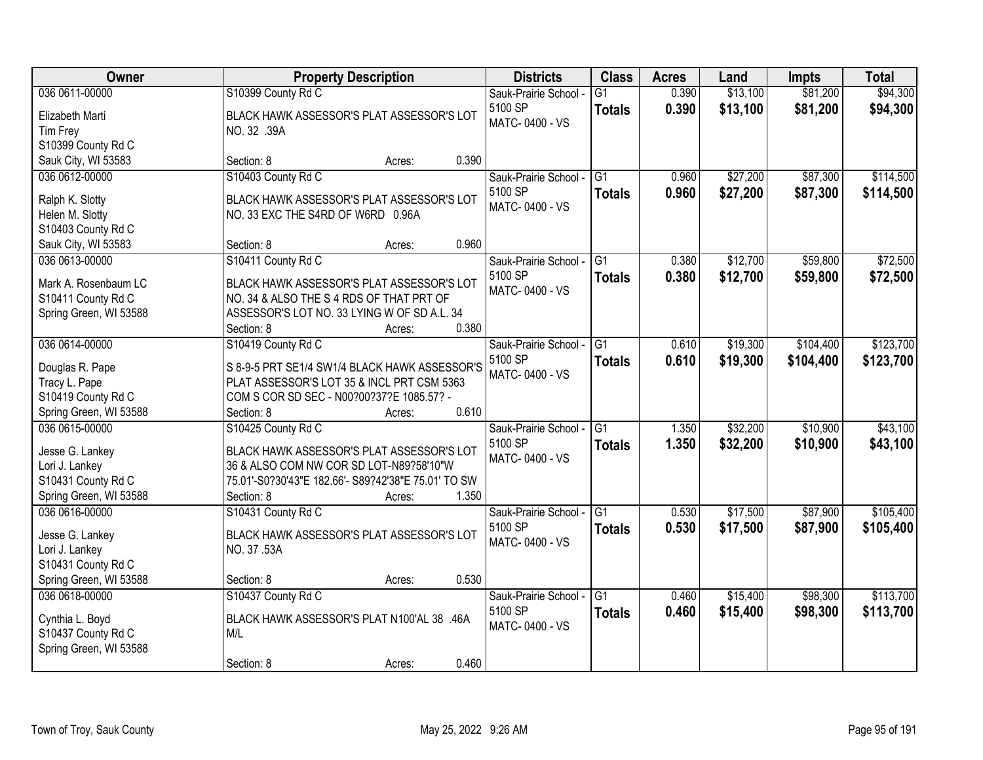| Owner                                                                                               | <b>Property Description</b>                                                                                                                                                               |       | <b>Districts</b>                                   | <b>Class</b>                     | <b>Acres</b>   | Land                 | <b>Impts</b>         | <b>Total</b>           |
|-----------------------------------------------------------------------------------------------------|-------------------------------------------------------------------------------------------------------------------------------------------------------------------------------------------|-------|----------------------------------------------------|----------------------------------|----------------|----------------------|----------------------|------------------------|
| 036 0611-00000                                                                                      | S10399 County Rd C                                                                                                                                                                        |       | Sauk-Prairie School -                              | $\overline{G1}$                  | 0.390          | \$13,100             | \$81,200             | \$94,300               |
| Elizabeth Marti<br>Tim Frey<br>S10399 County Rd C                                                   | BLACK HAWK ASSESSOR'S PLAT ASSESSOR'S LOT<br>NO. 32 .39A                                                                                                                                  |       | 5100 SP<br>MATC-0400 - VS                          | <b>Totals</b>                    | 0.390          | \$13,100             | \$81,200             | \$94,300               |
| Sauk City, WI 53583                                                                                 | Section: 8<br>Acres:                                                                                                                                                                      | 0.390 |                                                    |                                  |                |                      |                      |                        |
| 036 0612-00000<br>Ralph K. Slotty<br>Helen M. Slotty<br>S10403 County Rd C                          | S10403 County Rd C<br>BLACK HAWK ASSESSOR'S PLAT ASSESSOR'S LOT<br>NO. 33 EXC THE S4RD OF W6RD 0.96A                                                                                      |       | Sauk-Prairie School -<br>5100 SP<br>MATC-0400 - VS | $\overline{G1}$<br><b>Totals</b> | 0.960<br>0.960 | \$27,200<br>\$27,200 | \$87,300<br>\$87,300 | \$114,500<br>\$114,500 |
| Sauk City, WI 53583                                                                                 | Section: 8<br>Acres:                                                                                                                                                                      | 0.960 |                                                    |                                  |                |                      |                      |                        |
| 036 0613-00000<br>Mark A. Rosenbaum LC<br>S10411 County Rd C<br>Spring Green, WI 53588              | S10411 County Rd C<br>BLACK HAWK ASSESSOR'S PLAT ASSESSOR'S LOT<br>NO. 34 & ALSO THE S 4 RDS OF THAT PRT OF<br>ASSESSOR'S LOT NO. 33 LYING W OF SD A.L. 34<br>Section: 8<br>Acres:        | 0.380 | Sauk-Prairie School -<br>5100 SP<br>MATC-0400 - VS | G1<br><b>Totals</b>              | 0.380<br>0.380 | \$12,700<br>\$12,700 | \$59,800<br>\$59,800 | \$72,500<br>\$72,500   |
| 036 0614-00000                                                                                      | S10419 County Rd C                                                                                                                                                                        |       | Sauk-Prairie School -                              | G1                               | 0.610          | \$19,300             | \$104,400            | \$123,700              |
| Douglas R. Pape<br>Tracy L. Pape<br>S10419 County Rd C<br>Spring Green, WI 53588                    | S 8-9-5 PRT SE1/4 SW1/4 BLACK HAWK ASSESSOR'S<br>PLAT ASSESSOR'S LOT 35 & INCL PRT CSM 5363<br>COM S COR SD SEC - N00?00?37?E 1085.57? -<br>Section: 8<br>Acres:                          | 0.610 | 5100 SP<br>MATC-0400 - VS                          | <b>Totals</b>                    | 0.610          | \$19,300             | \$104,400            | \$123,700              |
| 036 0615-00000<br>Jesse G. Lankey<br>Lori J. Lankey<br>S10431 County Rd C<br>Spring Green, WI 53588 | S10425 County Rd C<br>BLACK HAWK ASSESSOR'S PLAT ASSESSOR'S LOT<br>36 & ALSO COM NW COR SD LOT-N89?58'10"W<br>75.01'-S0?30'43"E 182.66'- S89?42'38"E 75.01' TO SW<br>Section: 8<br>Acres: | 1.350 | Sauk-Prairie School -<br>5100 SP<br>MATC-0400 - VS | $\overline{G1}$<br><b>Totals</b> | 1.350<br>1.350 | \$32,200<br>\$32,200 | \$10,900<br>\$10,900 | \$43,100<br>\$43,100   |
| 036 0616-00000<br>Jesse G. Lankey<br>Lori J. Lankey<br>S10431 County Rd C<br>Spring Green, WI 53588 | S10431 County Rd C<br>BLACK HAWK ASSESSOR'S PLAT ASSESSOR'S LOT<br>NO. 37 .53A<br>Section: 8<br>Acres:                                                                                    | 0.530 | Sauk-Prairie School -<br>5100 SP<br>MATC-0400 - VS | G1<br><b>Totals</b>              | 0.530<br>0.530 | \$17,500<br>\$17,500 | \$87,900<br>\$87,900 | \$105,400<br>\$105,400 |
| 036 0618-00000<br>Cynthia L. Boyd<br>S10437 County Rd C<br>Spring Green, WI 53588                   | S10437 County Rd C<br>BLACK HAWK ASSESSOR'S PLAT N100'AL 38 .46A<br>M/L<br>Section: 8<br>Acres:                                                                                           | 0.460 | Sauk-Prairie School -<br>5100 SP<br>MATC-0400 - VS | $\overline{G1}$<br><b>Totals</b> | 0.460<br>0.460 | \$15,400<br>\$15,400 | \$98,300<br>\$98,300 | \$113,700<br>\$113,700 |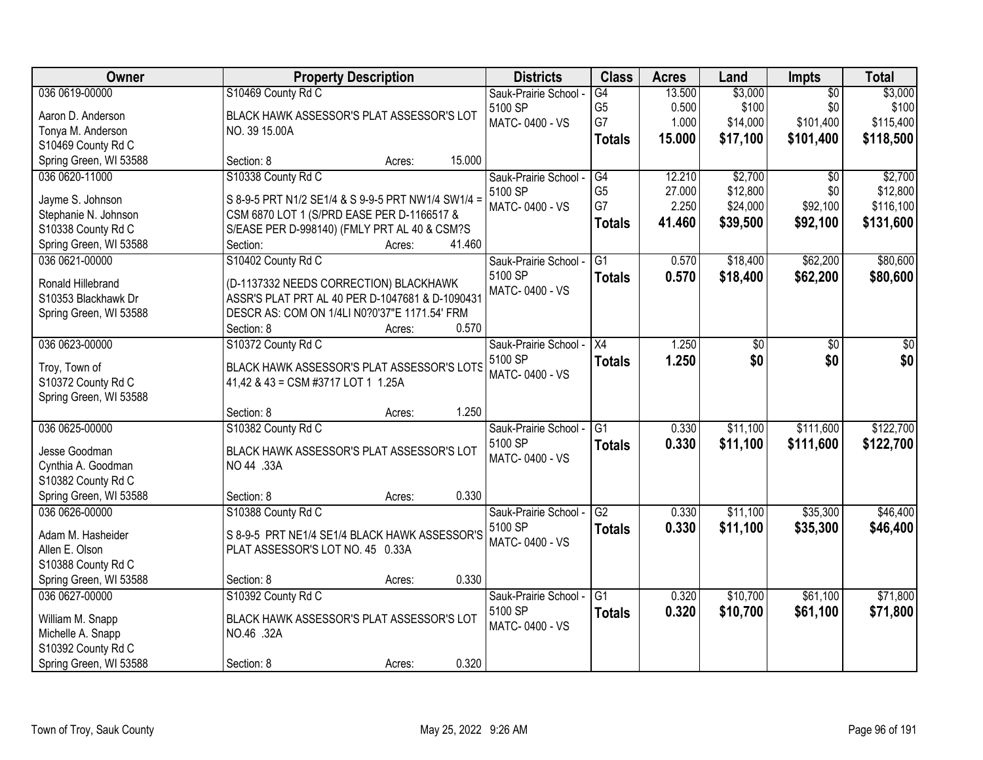| Owner                    | <b>Property Description</b>                        | <b>Districts</b>      | <b>Class</b>    | <b>Acres</b> | Land     | Impts           | <b>Total</b> |
|--------------------------|----------------------------------------------------|-----------------------|-----------------|--------------|----------|-----------------|--------------|
| 036 0619-00000           | S10469 County Rd C                                 | Sauk-Prairie School - | G4              | 13.500       | \$3,000  | $\overline{50}$ | \$3,000      |
| Aaron D. Anderson        | BLACK HAWK ASSESSOR'S PLAT ASSESSOR'S LOT          | 5100 SP               | G <sub>5</sub>  | 0.500        | \$100    | \$0             | \$100        |
| Tonya M. Anderson        | NO. 39 15.00A                                      | MATC-0400 - VS        | G7              | 1.000        | \$14,000 | \$101,400       | \$115,400    |
| S10469 County Rd C       |                                                    |                       | <b>Totals</b>   | 15.000       | \$17,100 | \$101,400       | \$118,500    |
| Spring Green, WI 53588   | 15.000<br>Section: 8<br>Acres:                     |                       |                 |              |          |                 |              |
| 036 0620-11000           | S10338 County Rd C                                 | Sauk-Prairie School - | G4              | 12.210       | \$2,700  | $\overline{50}$ | \$2,700      |
|                          |                                                    | 5100 SP               | G <sub>5</sub>  | 27.000       | \$12,800 | \$0             | \$12,800     |
| Jayme S. Johnson         | S 8-9-5 PRT N1/2 SE1/4 & S 9-9-5 PRT NW1/4 SW1/4 = | MATC-0400 - VS        | G7              | 2.250        | \$24,000 | \$92,100        | \$116,100    |
| Stephanie N. Johnson     | CSM 6870 LOT 1 (S/PRD EASE PER D-1166517 &         |                       | <b>Totals</b>   | 41.460       | \$39,500 | \$92,100        | \$131,600    |
| S10338 County Rd C       | S/EASE PER D-998140) (FMLY PRT AL 40 & CSM?S       |                       |                 |              |          |                 |              |
| Spring Green, WI 53588   | 41.460<br>Section:<br>Acres:                       |                       |                 |              |          |                 |              |
| 036 0621-00000           | S10402 County Rd C                                 | Sauk-Prairie School - | G1              | 0.570        | \$18,400 | \$62,200        | \$80,600     |
| <b>Ronald Hillebrand</b> | (D-1137332 NEEDS CORRECTION) BLACKHAWK             | 5100 SP               | <b>Totals</b>   | 0.570        | \$18,400 | \$62,200        | \$80,600     |
| S10353 Blackhawk Dr      | ASSR'S PLAT PRT AL 40 PER D-1047681 & D-1090431    | MATC-0400 - VS        |                 |              |          |                 |              |
| Spring Green, WI 53588   | DESCR AS: COM ON 1/4LI N0?0'37"E 1171.54' FRM      |                       |                 |              |          |                 |              |
|                          | 0.570<br>Section: 8<br>Acres:                      |                       |                 |              |          |                 |              |
| 036 0623-00000           | S10372 County Rd C                                 | Sauk-Prairie School - | X4              | 1.250        | \$0      | \$0             | \$0          |
|                          |                                                    | 5100 SP               | <b>Totals</b>   | 1.250        | \$0      | \$0             | \$0          |
| Troy, Town of            | BLACK HAWK ASSESSOR'S PLAT ASSESSOR'S LOTS         | MATC-0400 - VS        |                 |              |          |                 |              |
| S10372 County Rd C       | 41,42 & 43 = CSM #3717 LOT 1 1.25A                 |                       |                 |              |          |                 |              |
| Spring Green, WI 53588   |                                                    |                       |                 |              |          |                 |              |
|                          | 1.250<br>Section: 8<br>Acres:                      |                       |                 |              |          |                 |              |
| 036 0625-00000           | S10382 County Rd C                                 | Sauk-Prairie School - | $\overline{G1}$ | 0.330        | \$11,100 | \$111,600       | \$122,700    |
| Jesse Goodman            | BLACK HAWK ASSESSOR'S PLAT ASSESSOR'S LOT          | 5100 SP               | <b>Totals</b>   | 0.330        | \$11,100 | \$111,600       | \$122,700    |
| Cynthia A. Goodman       | NO 44 .33A                                         | MATC-0400 - VS        |                 |              |          |                 |              |
| S10382 County Rd C       |                                                    |                       |                 |              |          |                 |              |
| Spring Green, WI 53588   | 0.330<br>Section: 8<br>Acres:                      |                       |                 |              |          |                 |              |
| 036 0626-00000           | S10388 County Rd C                                 | Sauk-Prairie School - | $\overline{G2}$ | 0.330        | \$11,100 | \$35,300        | \$46,400     |
| Adam M. Hasheider        | S 8-9-5 PRT NE1/4 SE1/4 BLACK HAWK ASSESSOR'S      | 5100 SP               | <b>Totals</b>   | 0.330        | \$11,100 | \$35,300        | \$46,400     |
| Allen E. Olson           | PLAT ASSESSOR'S LOT NO. 45 0.33A                   | MATC-0400 - VS        |                 |              |          |                 |              |
| S10388 County Rd C       |                                                    |                       |                 |              |          |                 |              |
| Spring Green, WI 53588   | 0.330<br>Section: 8<br>Acres:                      |                       |                 |              |          |                 |              |
| 036 0627-00000           | S10392 County Rd C                                 | Sauk-Prairie School   | $\overline{G1}$ | 0.320        | \$10,700 | \$61,100        | \$71,800     |
|                          |                                                    | 5100 SP               |                 | 0.320        | \$10,700 | \$61,100        |              |
| William M. Snapp         | BLACK HAWK ASSESSOR'S PLAT ASSESSOR'S LOT          | MATC-0400 - VS        | <b>Totals</b>   |              |          |                 | \$71,800     |
| Michelle A. Snapp        | NO.46 .32A                                         |                       |                 |              |          |                 |              |
| S10392 County Rd C       |                                                    |                       |                 |              |          |                 |              |
| Spring Green, WI 53588   | 0.320<br>Section: 8<br>Acres:                      |                       |                 |              |          |                 |              |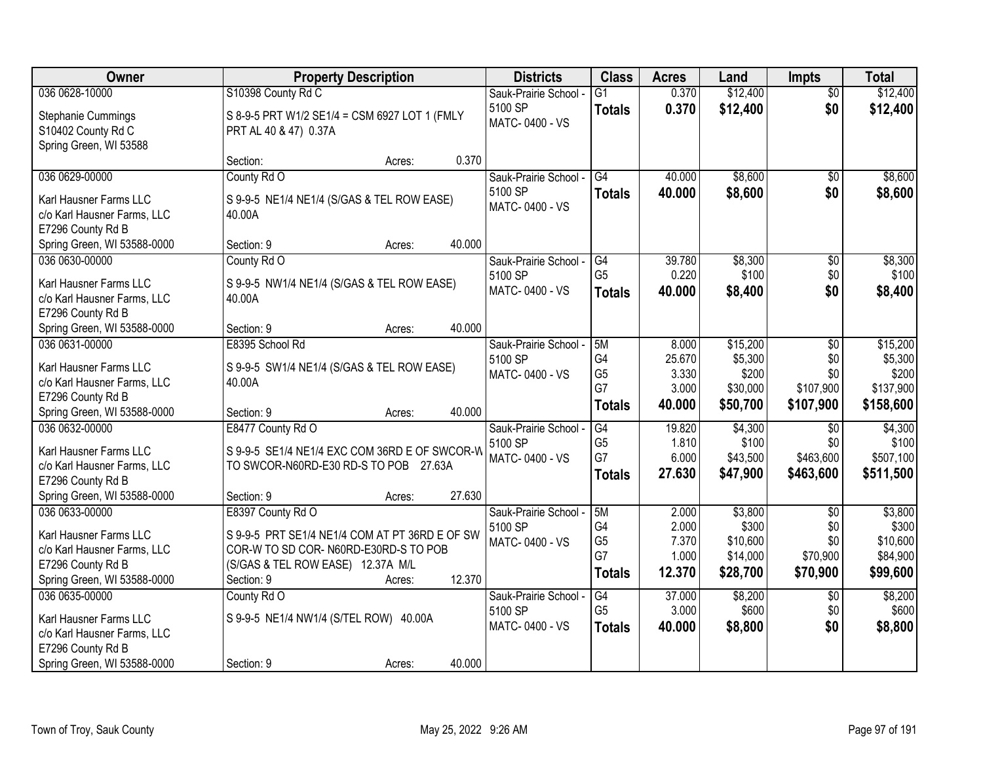| Owner                                                                      | <b>Property Description</b>                                            | <b>Districts</b>          | <b>Class</b>    | <b>Acres</b> | Land     | <b>Impts</b>    | <b>Total</b> |
|----------------------------------------------------------------------------|------------------------------------------------------------------------|---------------------------|-----------------|--------------|----------|-----------------|--------------|
| 036 0628-10000                                                             | S10398 County Rd C                                                     | Sauk-Prairie School -     | $\overline{G1}$ | 0.370        | \$12,400 | $\overline{30}$ | \$12,400     |
| Stephanie Cummings<br>S10402 County Rd C<br>Spring Green, WI 53588         | S 8-9-5 PRT W1/2 SE1/4 = CSM 6927 LOT 1 (FMLY<br>PRT AL 40 & 47) 0.37A | 5100 SP<br>MATC-0400 - VS | <b>Totals</b>   | 0.370        | \$12,400 | \$0             | \$12,400     |
|                                                                            | 0.370<br>Section:<br>Acres:                                            |                           |                 |              |          |                 |              |
| 036 0629-00000                                                             | County Rd O                                                            | Sauk-Prairie School -     | G4              | 40.000       | \$8,600  | $\overline{50}$ | \$8,600      |
| Karl Hausner Farms LLC<br>c/o Karl Hausner Farms, LLC<br>E7296 County Rd B | S 9-9-5 NE1/4 NE1/4 (S/GAS & TEL ROW EASE)<br>40.00A                   | 5100 SP<br>MATC-0400 - VS | <b>Totals</b>   | 40.000       | \$8,600  | \$0             | \$8,600      |
| Spring Green, WI 53588-0000                                                | 40.000<br>Section: 9<br>Acres:                                         |                           |                 |              |          |                 |              |
| 036 0630-00000                                                             | County Rd O                                                            | Sauk-Prairie School -     | G4              | 39.780       | \$8,300  | $\overline{50}$ | \$8,300      |
| Karl Hausner Farms LLC                                                     | S 9-9-5 NW1/4 NE1/4 (S/GAS & TEL ROW EASE)                             | 5100 SP                   | G <sub>5</sub>  | 0.220        | \$100    | \$0             | \$100        |
| c/o Karl Hausner Farms, LLC                                                | 40.00A                                                                 | MATC-0400 - VS            | <b>Totals</b>   | 40.000       | \$8,400  | \$0             | \$8,400      |
| E7296 County Rd B                                                          |                                                                        |                           |                 |              |          |                 |              |
| Spring Green, WI 53588-0000                                                | 40.000<br>Section: 9<br>Acres:                                         |                           |                 |              |          |                 |              |
| 036 0631-00000                                                             | E8395 School Rd                                                        | Sauk-Prairie School -     | 5M              | 8.000        | \$15,200 | \$0             | \$15,200     |
| Karl Hausner Farms LLC                                                     | S 9-9-5 SW1/4 NE1/4 (S/GAS & TEL ROW EASE)                             | 5100 SP                   | G4              | 25.670       | \$5,300  | \$0             | \$5,300      |
| c/o Karl Hausner Farms, LLC                                                | 40.00A                                                                 | MATC-0400 - VS            | G <sub>5</sub>  | 3.330        | \$200    | \$0             | \$200        |
| E7296 County Rd B                                                          |                                                                        |                           | G7              | 3.000        | \$30,000 | \$107,900       | \$137,900    |
| Spring Green, WI 53588-0000                                                | 40.000<br>Section: 9<br>Acres:                                         |                           | <b>Totals</b>   | 40.000       | \$50,700 | \$107,900       | \$158,600    |
| 036 0632-00000                                                             | E8477 County Rd O                                                      | Sauk-Prairie School -     | $\overline{G4}$ | 19.820       | \$4,300  | $\overline{50}$ | \$4,300      |
| Karl Hausner Farms LLC                                                     | S 9-9-5 SE1/4 NE1/4 EXC COM 36RD E OF SWCOR-W                          | 5100 SP                   | G <sub>5</sub>  | 1.810        | \$100    | \$0             | \$100        |
| c/o Karl Hausner Farms, LLC                                                | TO SWCOR-N60RD-E30 RD-S TO POB 27.63A                                  | MATC-0400 - VS            | G7              | 6.000        | \$43,500 | \$463,600       | \$507,100    |
| E7296 County Rd B                                                          |                                                                        |                           | <b>Totals</b>   | 27.630       | \$47,900 | \$463,600       | \$511,500    |
| Spring Green, WI 53588-0000                                                | 27.630<br>Section: 9<br>Acres:                                         |                           |                 |              |          |                 |              |
| 036 0633-00000                                                             | E8397 County Rd O                                                      | Sauk-Prairie School -     | 5M              | 2.000        | \$3,800  | $\overline{50}$ | \$3,800      |
| Karl Hausner Farms LLC                                                     | S 9-9-5 PRT SE1/4 NE1/4 COM AT PT 36RD E OF SW                         | 5100 SP                   | G4              | 2.000        | \$300    | \$0             | \$300        |
| c/o Karl Hausner Farms, LLC                                                | COR-W TO SD COR-N60RD-E30RD-S TO POB                                   | MATC-0400 - VS            | G <sub>5</sub>  | 7.370        | \$10,600 | \$0             | \$10,600     |
| E7296 County Rd B                                                          | (S/GAS & TEL ROW EASE) 12.37A M/L                                      |                           | G7              | 1.000        | \$14,000 | \$70,900        | \$84,900     |
| Spring Green, WI 53588-0000                                                | 12.370<br>Section: 9<br>Acres:                                         |                           | <b>Totals</b>   | 12.370       | \$28,700 | \$70,900        | \$99,600     |
| 036 0635-00000                                                             | County Rd O                                                            | Sauk-Prairie School -     | G4              | 37.000       | \$8,200  | $\overline{30}$ | \$8,200      |
| Karl Hausner Farms LLC                                                     | S 9-9-5 NE1/4 NW1/4 (S/TEL ROW) 40.00A                                 | 5100 SP                   | G <sub>5</sub>  | 3.000        | \$600    | \$0             | \$600        |
| c/o Karl Hausner Farms, LLC                                                |                                                                        | MATC-0400 - VS            | <b>Totals</b>   | 40.000       | \$8,800  | \$0             | \$8,800      |
| E7296 County Rd B                                                          |                                                                        |                           |                 |              |          |                 |              |
| Spring Green, WI 53588-0000                                                | 40.000<br>Section: 9<br>Acres:                                         |                           |                 |              |          |                 |              |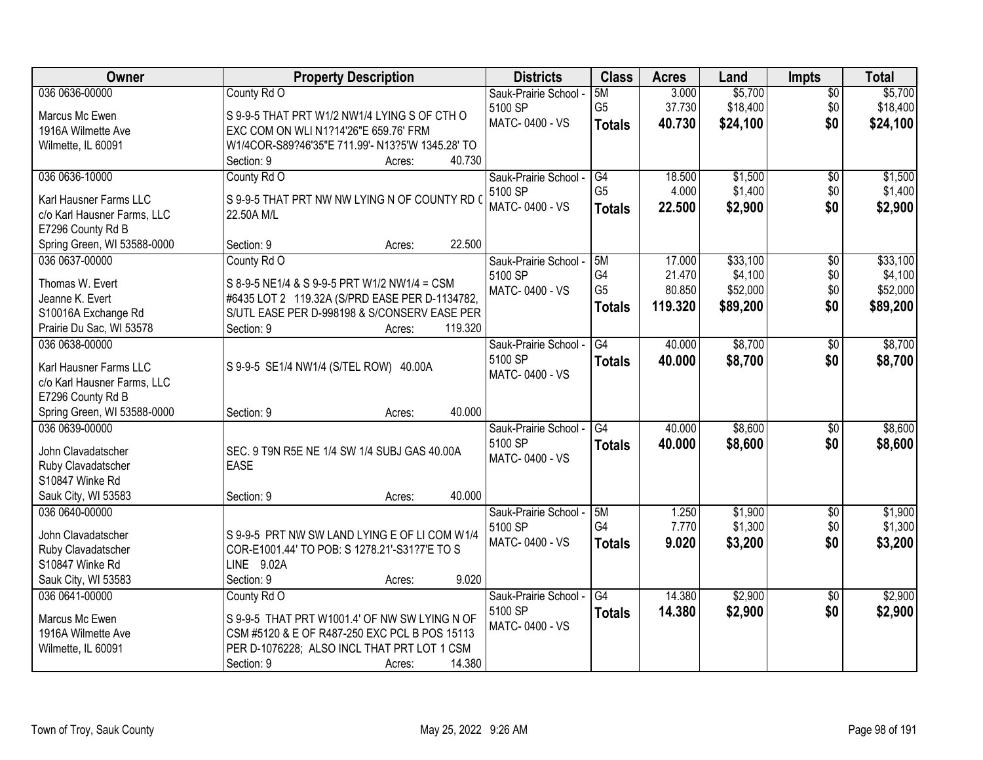| Owner                                            | <b>Property Description</b>                      | <b>Districts</b>      | <b>Class</b>         | <b>Acres</b>     | Land     | Impts           | <b>Total</b> |
|--------------------------------------------------|--------------------------------------------------|-----------------------|----------------------|------------------|----------|-----------------|--------------|
| 036 0636-00000                                   | County Rd O                                      | Sauk-Prairie School - | 5M                   | 3.000            | \$5,700  | $\overline{50}$ | \$5,700      |
| Marcus Mc Ewen                                   | S 9-9-5 THAT PRT W1/2 NW1/4 LYING S OF CTH O     | 5100 SP               | G <sub>5</sub>       | 37.730           | \$18,400 | \$0             | \$18,400     |
| 1916A Wilmette Ave                               | EXC COM ON WLI N1?14'26"E 659.76' FRM            | MATC-0400 - VS        | <b>Totals</b>        | 40.730           | \$24,100 | \$0             | \$24,100     |
| Wilmette, IL 60091                               | W1/4COR-S89?46'35"E 711.99'- N13?5'W 1345.28' TO |                       |                      |                  |          |                 |              |
|                                                  | 40.730<br>Section: 9<br>Acres:                   |                       |                      |                  |          |                 |              |
| 036 0636-10000                                   | County Rd O                                      | Sauk-Prairie School - | G4                   | 18.500           | \$1,500  | $\overline{50}$ | \$1,500      |
|                                                  |                                                  | 5100 SP               | G <sub>5</sub>       | 4.000            | \$1,400  | \$0             | \$1,400      |
| Karl Hausner Farms LLC                           | S 9-9-5 THAT PRT NW NW LYING N OF COUNTY RD (    | MATC-0400 - VS        | <b>Totals</b>        | 22.500           | \$2,900  | \$0             | \$2,900      |
| c/o Karl Hausner Farms, LLC                      | 22.50A M/L                                       |                       |                      |                  |          |                 |              |
| E7296 County Rd B                                | 22.500                                           |                       |                      |                  |          |                 |              |
| Spring Green, WI 53588-0000                      | Section: 9<br>Acres:                             |                       |                      |                  |          |                 |              |
| 036 0637-00000                                   | County Rd O                                      | Sauk-Prairie School - | 5M                   | 17.000           | \$33,100 | $\overline{50}$ | \$33,100     |
| Thomas W. Evert                                  | S 8-9-5 NE1/4 & S 9-9-5 PRT W1/2 NW1/4 = CSM     | 5100 SP               | G4<br>G <sub>5</sub> | 21.470<br>80.850 | \$4,100  | \$0<br>\$0      | \$4,100      |
| Jeanne K. Evert                                  | #6435 LOT 2 119.32A (S/PRD EASE PER D-1134782,   | MATC-0400 - VS        |                      |                  | \$52,000 |                 | \$52,000     |
| S10016A Exchange Rd                              | S/UTL EASE PER D-998198 & S/CONSERV EASE PER     |                       | <b>Totals</b>        | 119.320          | \$89,200 | \$0             | \$89,200     |
| Prairie Du Sac, WI 53578                         | Section: 9<br>119.320<br>Acres:                  |                       |                      |                  |          |                 |              |
| 036 0638-00000                                   |                                                  | Sauk-Prairie School - | G4                   | 40.000           | \$8,700  | \$0             | \$8,700      |
|                                                  |                                                  | 5100 SP               | <b>Totals</b>        | 40.000           | \$8,700  | \$0             | \$8,700      |
| Karl Hausner Farms LLC                           | S 9-9-5 SE1/4 NW1/4 (S/TEL ROW) 40.00A           | MATC-0400 - VS        |                      |                  |          |                 |              |
| c/o Karl Hausner Farms, LLC<br>E7296 County Rd B |                                                  |                       |                      |                  |          |                 |              |
| Spring Green, WI 53588-0000                      | 40.000<br>Section: 9                             |                       |                      |                  |          |                 |              |
| 036 0639-00000                                   | Acres:                                           | Sauk-Prairie School - | $\overline{G4}$      | 40.000           | \$8,600  | $\overline{50}$ | \$8,600      |
|                                                  |                                                  | 5100 SP               |                      | 40.000           |          | \$0             |              |
| John Clavadatscher                               | SEC. 9 T9N R5E NE 1/4 SW 1/4 SUBJ GAS 40.00A     | MATC-0400 - VS        | <b>Totals</b>        |                  | \$8,600  |                 | \$8,600      |
| Ruby Clavadatscher                               | <b>EASE</b>                                      |                       |                      |                  |          |                 |              |
| S10847 Winke Rd                                  |                                                  |                       |                      |                  |          |                 |              |
| Sauk City, WI 53583                              | 40.000<br>Section: 9<br>Acres:                   |                       |                      |                  |          |                 |              |
| 036 0640-00000                                   |                                                  | Sauk-Prairie School - | 5M                   | 1.250            | \$1,900  | $\overline{50}$ | \$1,900      |
| John Clavadatscher                               | S 9-9-5 PRT NW SW LAND LYING E OF LI COM W1/4    | 5100 SP               | G4                   | 7.770            | \$1,300  | \$0             | \$1,300      |
| Ruby Clavadatscher                               | COR-E1001.44' TO POB: S 1278.21'-S31?7'E TO S    | MATC-0400 - VS        | <b>Totals</b>        | 9.020            | \$3,200  | \$0             | \$3,200      |
| S10847 Winke Rd                                  | LINE 9.02A                                       |                       |                      |                  |          |                 |              |
| Sauk City, WI 53583                              | 9.020<br>Section: 9<br>Acres:                    |                       |                      |                  |          |                 |              |
| 036 0641-00000                                   | County Rd O                                      | Sauk-Prairie School - | G4                   | 14.380           | \$2,900  | $\overline{50}$ | \$2,900      |
|                                                  |                                                  | 5100 SP               | <b>Totals</b>        | 14.380           | \$2,900  | \$0             | \$2,900      |
| Marcus Mc Ewen                                   | S 9-9-5 THAT PRT W1001.4' OF NW SW LYING N OF    | MATC-0400 - VS        |                      |                  |          |                 |              |
| 1916A Wilmette Ave                               | CSM #5120 & E OF R487-250 EXC PCL B POS 15113    |                       |                      |                  |          |                 |              |
| Wilmette, IL 60091                               | PER D-1076228; ALSO INCL THAT PRT LOT 1 CSM      |                       |                      |                  |          |                 |              |
|                                                  | Section: 9<br>14.380<br>Acres:                   |                       |                      |                  |          |                 |              |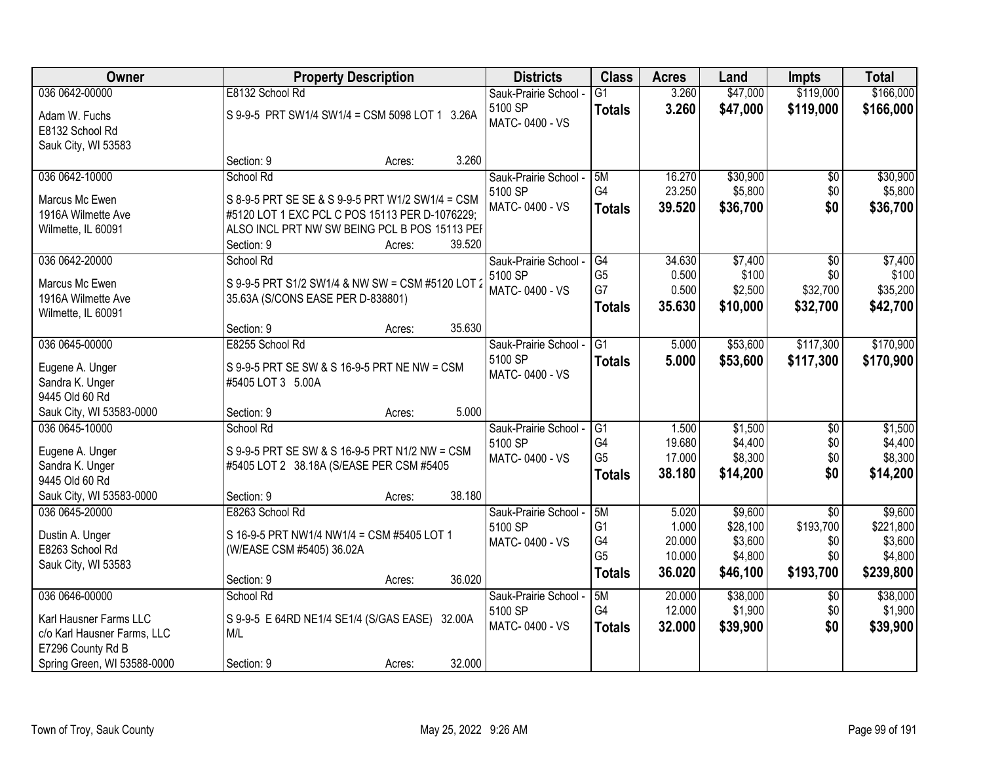| <b>Owner</b>                | <b>Property Description</b>                           | <b>Districts</b>      | <b>Class</b>    | <b>Acres</b> | Land     | <b>Impts</b>    | <b>Total</b> |
|-----------------------------|-------------------------------------------------------|-----------------------|-----------------|--------------|----------|-----------------|--------------|
| 036 0642-00000              | E8132 School Rd                                       | Sauk-Prairie School - | $\overline{G1}$ | 3.260        | \$47,000 | \$119,000       | \$166,000    |
| Adam W. Fuchs               | S 9-9-5 PRT SW1/4 SW1/4 = CSM 5098 LOT 1 3.26A        | 5100 SP               | <b>Totals</b>   | 3.260        | \$47,000 | \$119,000       | \$166,000    |
| E8132 School Rd             |                                                       | MATC-0400 - VS        |                 |              |          |                 |              |
| Sauk City, WI 53583         |                                                       |                       |                 |              |          |                 |              |
|                             | 3.260<br>Section: 9<br>Acres:                         |                       |                 |              |          |                 |              |
| 036 0642-10000              | School Rd                                             | Sauk-Prairie School - | 5M              | 16.270       | \$30,900 | $\overline{50}$ | \$30,900     |
| Marcus Mc Ewen              | S 8-9-5 PRT SE SE & S 9-9-5 PRT W1/2 SW1/4 = CSM      | 5100 SP               | G4              | 23.250       | \$5,800  | \$0             | \$5,800      |
| 1916A Wilmette Ave          | #5120 LOT 1 EXC PCL C POS 15113 PER D-1076229;        | MATC-0400 - VS        | <b>Totals</b>   | 39.520       | \$36,700 | \$0             | \$36,700     |
| Wilmette, IL 60091          | ALSO INCL PRT NW SW BEING PCL B POS 15113 PEF         |                       |                 |              |          |                 |              |
|                             | 39.520<br>Section: 9<br>Acres:                        |                       |                 |              |          |                 |              |
| 036 0642-20000              | School Rd                                             | Sauk-Prairie School - | G4              | 34.630       | \$7,400  | \$0             | \$7,400      |
| Marcus Mc Ewen              | S 9-9-5 PRT S1/2 SW1/4 & NW SW = CSM #5120 LOT 2      | 5100 SP               | G <sub>5</sub>  | 0.500        | \$100    | \$0             | \$100        |
| 1916A Wilmette Ave          | 35.63A (S/CONS EASE PER D-838801)                     | MATC-0400 - VS        | G7              | 0.500        | \$2,500  | \$32,700        | \$35,200     |
| Wilmette, IL 60091          |                                                       |                       | <b>Totals</b>   | 35.630       | \$10,000 | \$32,700        | \$42,700     |
|                             | 35.630<br>Section: 9<br>Acres:                        |                       |                 |              |          |                 |              |
| 036 0645-00000              | E8255 School Rd                                       | Sauk-Prairie School - | G1              | 5.000        | \$53,600 | \$117,300       | \$170,900    |
| Eugene A. Unger             | S 9-9-5 PRT SE SW & S 16-9-5 PRT NE NW = CSM          | 5100 SP               | <b>Totals</b>   | 5.000        | \$53,600 | \$117,300       | \$170,900    |
| Sandra K. Unger             | #5405 LOT 3 5.00A                                     | MATC-0400 - VS        |                 |              |          |                 |              |
| 9445 Old 60 Rd              |                                                       |                       |                 |              |          |                 |              |
| Sauk City, WI 53583-0000    | 5.000<br>Section: 9<br>Acres:                         |                       |                 |              |          |                 |              |
| 036 0645-10000              | School Rd                                             | Sauk-Prairie School - | $\overline{G1}$ | 1.500        | \$1,500  | $\overline{30}$ | \$1,500      |
| Eugene A. Unger             | S 9-9-5 PRT SE SW & S 16-9-5 PRT N1/2 NW = CSM        | 5100 SP               | G <sub>4</sub>  | 19.680       | \$4,400  | \$0             | \$4,400      |
| Sandra K. Unger             | #5405 LOT 2 38.18A (S/EASE PER CSM #5405              | MATC-0400 - VS        | G <sub>5</sub>  | 17.000       | \$8,300  | \$0             | \$8,300      |
| 9445 Old 60 Rd              |                                                       |                       | <b>Totals</b>   | 38.180       | \$14,200 | \$0             | \$14,200     |
| Sauk City, WI 53583-0000    | 38.180<br>Section: 9<br>Acres:                        |                       |                 |              |          |                 |              |
| 036 0645-20000              | E8263 School Rd                                       | Sauk-Prairie School - | 5M              | 5.020        | \$9,600  | $\overline{50}$ | \$9,600      |
| Dustin A. Unger             | S 16-9-5 PRT NW1/4 NW1/4 = CSM #5405 LOT 1            | 5100 SP               | G <sub>1</sub>  | 1.000        | \$28,100 | \$193,700       | \$221,800    |
| E8263 School Rd             | (W/EASE CSM #5405) 36.02A                             | MATC-0400 - VS        | G4              | 20.000       | \$3,600  | \$0             | \$3,600      |
| Sauk City, WI 53583         |                                                       |                       | G <sub>5</sub>  | 10.000       | \$4,800  | \$0             | \$4,800      |
|                             | 36.020<br>Section: 9<br>Acres:                        |                       | Totals          | 36.020       | \$46,100 | \$193,700       | \$239,800    |
| 036 0646-00000              | School Rd                                             | Sauk-Prairie School - | 5M              | 20.000       | \$38,000 | $\overline{50}$ | \$38,000     |
| Karl Hausner Farms LLC      |                                                       | 5100 SP               | G4              | 12.000       | \$1,900  | \$0             | \$1,900      |
| c/o Karl Hausner Farms, LLC | S 9-9-5 E 64RD NE1/4 SE1/4 (S/GAS EASE) 32.00A<br>M/L | MATC-0400 - VS        | <b>Totals</b>   | 32.000       | \$39,900 | \$0             | \$39,900     |
| E7296 County Rd B           |                                                       |                       |                 |              |          |                 |              |
| Spring Green, WI 53588-0000 | 32.000<br>Section: 9<br>Acres:                        |                       |                 |              |          |                 |              |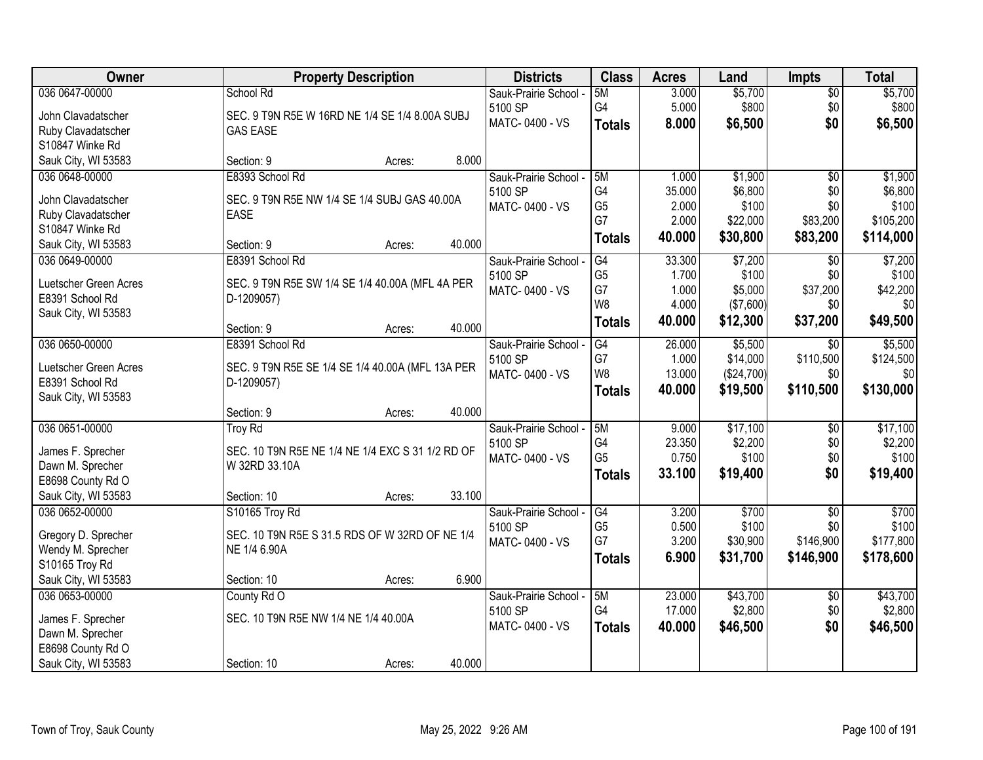| Owner                 | <b>Property Description</b>                      | <b>Districts</b>                 | <b>Class</b>   | <b>Acres</b> | Land       | <b>Impts</b>    | <b>Total</b> |
|-----------------------|--------------------------------------------------|----------------------------------|----------------|--------------|------------|-----------------|--------------|
| 036 0647-00000        | School Rd                                        | Sauk-Prairie School -            | 5M             | 3.000        | \$5,700    | $\sqrt{$0}$     | \$5,700      |
| John Clavadatscher    | SEC. 9 T9N R5E W 16RD NE 1/4 SE 1/4 8.00A SUBJ   | 5100 SP                          | G4             | 5.000        | \$800      | \$0             | \$800        |
| Ruby Clavadatscher    | <b>GAS EASE</b>                                  | MATC-0400 - VS                   | <b>Totals</b>  | 8.000        | \$6,500    | \$0             | \$6,500      |
| S10847 Winke Rd       |                                                  |                                  |                |              |            |                 |              |
| Sauk City, WI 53583   | 8.000<br>Section: 9<br>Acres:                    |                                  |                |              |            |                 |              |
| 036 0648-00000        | E8393 School Rd                                  | Sauk-Prairie School -            | 5M             | 1.000        | \$1,900    | $\overline{50}$ | \$1,900      |
| John Clavadatscher    | SEC. 9 T9N R5E NW 1/4 SE 1/4 SUBJ GAS 40.00A     | 5100 SP                          | G4             | 35.000       | \$6,800    | \$0             | \$6,800      |
| Ruby Clavadatscher    | <b>EASE</b>                                      | MATC-0400 - VS                   | G <sub>5</sub> | 2.000        | \$100      | \$0             | \$100        |
| S10847 Winke Rd       |                                                  |                                  | G7             | 2.000        | \$22,000   | \$83,200        | \$105,200    |
| Sauk City, WI 53583   | 40.000<br>Section: 9<br>Acres:                   |                                  | <b>Totals</b>  | 40.000       | \$30,800   | \$83,200        | \$114,000    |
| 036 0649-00000        | E8391 School Rd                                  | Sauk-Prairie School -            | G4             | 33.300       | \$7,200    | \$0             | \$7,200      |
|                       |                                                  | 5100 SP                          | G <sub>5</sub> | 1.700        | \$100      | \$0             | \$100        |
| Luetscher Green Acres | SEC. 9 T9N R5E SW 1/4 SE 1/4 40.00A (MFL 4A PER  | MATC-0400 - VS                   | G7             | 1.000        | \$5,000    | \$37,200        | \$42,200     |
| E8391 School Rd       | D-1209057)                                       |                                  | W8             | 4.000        | (\$7,600)  | \$0             | \$0          |
| Sauk City, WI 53583   | 40.000<br>Section: 9<br>Acres:                   |                                  | <b>Totals</b>  | 40.000       | \$12,300   | \$37,200        | \$49,500     |
| 036 0650-00000        | E8391 School Rd                                  | Sauk-Prairie School -            | G4             | 26.000       | \$5,500    | $\sqrt[6]{3}$   | \$5,500      |
|                       |                                                  | 5100 SP                          | G7             | 1.000        | \$14,000   | \$110,500       | \$124,500    |
| Luetscher Green Acres | SEC. 9 T9N R5E SE 1/4 SE 1/4 40.00A (MFL 13A PER | MATC-0400 - VS                   | W8             | 13.000       | (\$24,700) | \$0             | \$0          |
| E8391 School Rd       | D-1209057)                                       |                                  | <b>Totals</b>  | 40.000       | \$19,500   | \$110,500       | \$130,000    |
| Sauk City, WI 53583   | 40.000                                           |                                  |                |              |            |                 |              |
| 036 0651-00000        | Section: 9<br>Acres:                             |                                  | 5M             | 9.000        | \$17,100   |                 | \$17,100     |
|                       | <b>Troy Rd</b>                                   | Sauk-Prairie School -<br>5100 SP | G <sub>4</sub> | 23.350       | \$2,200    | \$0<br>\$0      | \$2,200      |
| James F. Sprecher     | SEC. 10 T9N R5E NE 1/4 NE 1/4 EXC S 31 1/2 RD OF | MATC-0400 - VS                   | G <sub>5</sub> | 0.750        | \$100      | \$0             | \$100        |
| Dawn M. Sprecher      | W 32RD 33.10A                                    |                                  | <b>Totals</b>  | 33.100       | \$19,400   | \$0             | \$19,400     |
| E8698 County Rd O     |                                                  |                                  |                |              |            |                 |              |
| Sauk City, WI 53583   | 33.100<br>Section: 10<br>Acres:                  |                                  |                |              |            |                 |              |
| 036 0652-00000        | S10165 Troy Rd                                   | Sauk-Prairie School -            | G4             | 3.200        | \$700      | $\overline{50}$ | \$700        |
| Gregory D. Sprecher   | SEC. 10 T9N R5E S 31.5 RDS OF W 32RD OF NE 1/4   | 5100 SP                          | G <sub>5</sub> | 0.500        | \$100      | \$0             | \$100        |
| Wendy M. Sprecher     | NE 1/4 6.90A                                     | MATC-0400 - VS                   | G7             | 3.200        | \$30,900   | \$146,900       | \$177,800    |
| S10165 Troy Rd        |                                                  |                                  | <b>Totals</b>  | 6.900        | \$31,700   | \$146,900       | \$178,600    |
| Sauk City, WI 53583   | 6.900<br>Section: 10<br>Acres:                   |                                  |                |              |            |                 |              |
| 036 0653-00000        | County Rd O                                      | Sauk-Prairie School -            | 5M             | 23.000       | \$43,700   | $\overline{60}$ | \$43,700     |
| James F. Sprecher     | SEC. 10 T9N R5E NW 1/4 NE 1/4 40.00A             | 5100 SP                          | G4             | 17.000       | \$2,800    | \$0             | \$2,800      |
| Dawn M. Sprecher      |                                                  | MATC-0400 - VS                   | <b>Totals</b>  | 40.000       | \$46,500   | \$0             | \$46,500     |
| E8698 County Rd O     |                                                  |                                  |                |              |            |                 |              |
| Sauk City, WI 53583   | 40.000<br>Section: 10<br>Acres:                  |                                  |                |              |            |                 |              |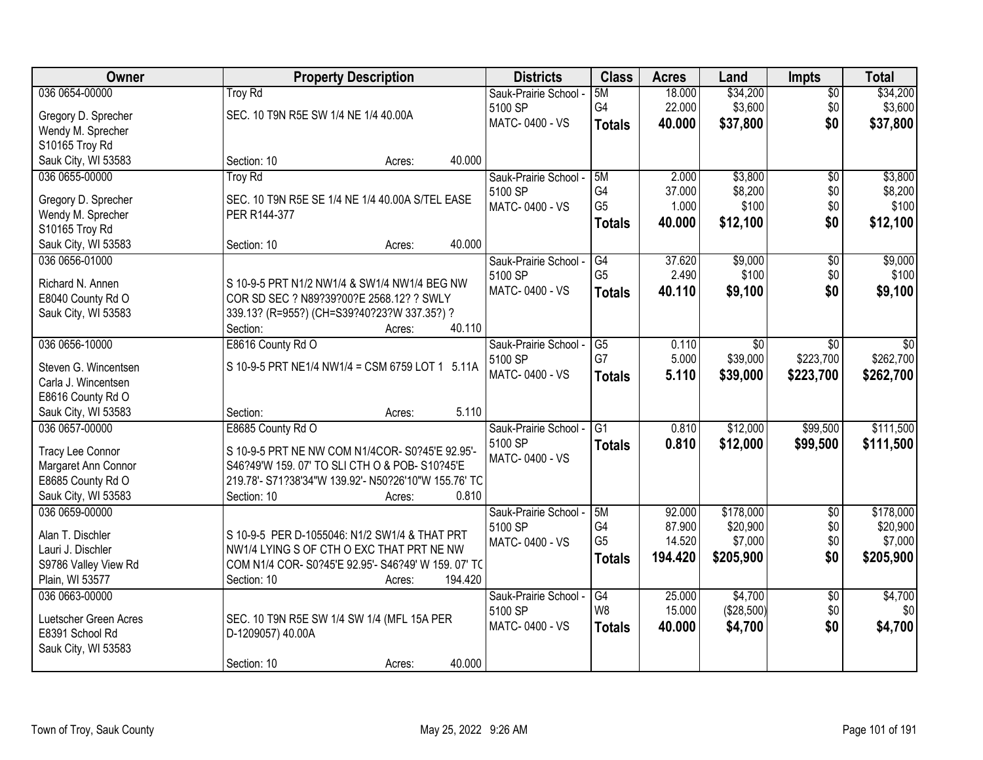| Owner                 | <b>Property Description</b>                                  | <b>Districts</b>      | <b>Class</b>    | <b>Acres</b>     | Land                  | <b>Impts</b>           | <b>Total</b>   |
|-----------------------|--------------------------------------------------------------|-----------------------|-----------------|------------------|-----------------------|------------------------|----------------|
| 036 0654-00000        | <b>Troy Rd</b>                                               | Sauk-Prairie School - | 5M              | 18.000           | \$34,200              | $\sqrt{$0}$            | \$34,200       |
| Gregory D. Sprecher   | SEC. 10 T9N R5E SW 1/4 NE 1/4 40.00A                         | 5100 SP               | G4              | 22.000           | \$3,600               | \$0                    | \$3,600        |
| Wendy M. Sprecher     |                                                              | MATC-0400 - VS        | <b>Totals</b>   | 40.000           | \$37,800              | \$0                    | \$37,800       |
| S10165 Troy Rd        |                                                              |                       |                 |                  |                       |                        |                |
| Sauk City, WI 53583   | 40.000<br>Section: 10<br>Acres:                              |                       |                 |                  |                       |                        |                |
| 036 0655-00000        | <b>Troy Rd</b>                                               | Sauk-Prairie School - | 5M              | 2.000            | \$3,800               | \$0                    | \$3,800        |
|                       |                                                              | 5100 SP               | G4              | 37.000           | \$8,200               | \$0                    | \$8,200        |
| Gregory D. Sprecher   | SEC. 10 T9N R5E SE 1/4 NE 1/4 40.00A S/TEL EASE              | MATC-0400 - VS        | G <sub>5</sub>  | 1.000            | \$100                 | \$0                    | \$100          |
| Wendy M. Sprecher     | PER R144-377                                                 |                       | <b>Totals</b>   | 40.000           | \$12,100              | \$0                    | \$12,100       |
| S10165 Troy Rd        |                                                              |                       |                 |                  |                       |                        |                |
| Sauk City, WI 53583   | 40.000<br>Section: 10<br>Acres:                              |                       |                 |                  |                       |                        |                |
| 036 0656-01000        |                                                              | Sauk-Prairie School - | G4              | 37.620           | \$9,000               | \$0                    | \$9,000        |
| Richard N. Annen      | S 10-9-5 PRT N1/2 NW1/4 & SW1/4 NW1/4 BEG NW                 | 5100 SP               | G <sub>5</sub>  | 2.490            | \$100                 | \$0                    | \$100          |
| E8040 County Rd O     | COR SD SEC ? N89?39?00?E 2568.12? ? SWLY                     | MATC-0400 - VS        | <b>Totals</b>   | 40.110           | \$9,100               | \$0                    | \$9,100        |
| Sauk City, WI 53583   | 339.13? (R=955?) (CH=S39?40?23?W 337.35?) ?                  |                       |                 |                  |                       |                        |                |
|                       | 40.110<br>Section:<br>Acres:                                 |                       |                 |                  |                       |                        |                |
| 036 0656-10000        | E8616 County Rd O                                            | Sauk-Prairie School - | G5              | 0.110            | \$0                   | $\sqrt{6}$             | \$0            |
|                       |                                                              | 5100 SP               | G7              | 5.000            | \$39,000              | \$223,700              | \$262,700      |
| Steven G. Wincentsen  | S 10-9-5 PRT NE1/4 NW1/4 = CSM 6759 LOT 1 5.11A              | MATC-0400 - VS        | <b>Totals</b>   | 5.110            | \$39,000              | \$223,700              | \$262,700      |
| Carla J. Wincentsen   |                                                              |                       |                 |                  |                       |                        |                |
| E8616 County Rd O     |                                                              |                       |                 |                  |                       |                        |                |
| Sauk City, WI 53583   | 5.110<br>Section:<br>Acres:                                  |                       |                 |                  |                       |                        |                |
| 036 0657-00000        | E8685 County Rd O                                            | Sauk-Prairie School - | $\overline{G1}$ | 0.810            | \$12,000              | \$99,500               | \$111,500      |
| Tracy Lee Connor      | S 10-9-5 PRT NE NW COM N1/4COR- S0?45'E 92.95'-              | 5100 SP               | <b>Totals</b>   | 0.810            | \$12,000              | \$99,500               | \$111,500      |
| Margaret Ann Connor   | S46?49'W 159.07' TO SLI CTH O & POB-S10?45'E                 | MATC-0400 - VS        |                 |                  |                       |                        |                |
| E8685 County Rd O     | 219.78'- S71?38'34"W 139.92'- N50?26'10"W 155.76' TC         |                       |                 |                  |                       |                        |                |
| Sauk City, WI 53583   | 0.810<br>Section: 10<br>Acres:                               |                       |                 |                  |                       |                        |                |
| 036 0659-00000        |                                                              | Sauk-Prairie School - | 5M              | 92.000           | \$178,000             | $\sqrt{6}$             | \$178,000      |
| Alan T. Dischler      | S 10-9-5 PER D-1055046: N1/2 SW1/4 & THAT PRT                | 5100 SP               | G4              | 87.900           | \$20,900              | \$0                    | \$20,900       |
|                       |                                                              | MATC-0400 - VS        | G <sub>5</sub>  | 14.520           | \$7,000               | \$0                    | \$7,000        |
| Lauri J. Dischler     | NW1/4 LYING S OF CTH O EXC THAT PRT NE NW                    |                       | <b>Totals</b>   | 194.420          | \$205,900             | \$0                    | \$205,900      |
| S9786 Valley View Rd  | COM N1/4 COR-S0?45'E 92.95'- S46?49' W 159.07' TO<br>194.420 |                       |                 |                  |                       |                        |                |
| Plain, WI 53577       | Section: 10<br>Acres:                                        |                       |                 |                  |                       |                        |                |
| 036 0663-00000        |                                                              | Sauk-Prairie School - | G4<br>W8        | 25.000<br>15.000 | \$4,700<br>(\$28,500) | $\overline{50}$<br>\$0 | \$4,700<br>\$0 |
| Luetscher Green Acres | SEC. 10 T9N R5E SW 1/4 SW 1/4 (MFL 15A PER                   | 5100 SP               |                 |                  |                       |                        |                |
| E8391 School Rd       | D-1209057) 40.00A                                            | MATC-0400 - VS        | <b>Totals</b>   | 40.000           | \$4,700               | \$0                    | \$4,700        |
| Sauk City, WI 53583   |                                                              |                       |                 |                  |                       |                        |                |
|                       | 40.000<br>Section: 10<br>Acres:                              |                       |                 |                  |                       |                        |                |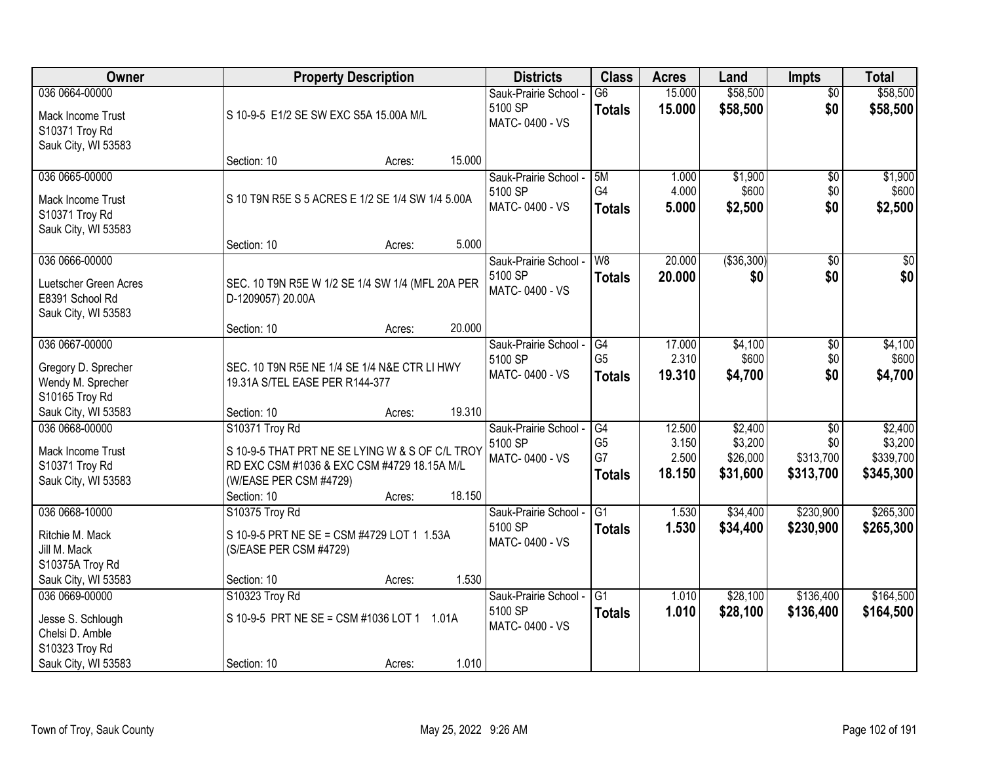| Owner                                                                        | <b>Property Description</b>                                                                                                                                         |        | <b>Districts</b>                                   | <b>Class</b>                                | <b>Acres</b>                       | Land                                       | Impts                                            | <b>Total</b>                                 |
|------------------------------------------------------------------------------|---------------------------------------------------------------------------------------------------------------------------------------------------------------------|--------|----------------------------------------------------|---------------------------------------------|------------------------------------|--------------------------------------------|--------------------------------------------------|----------------------------------------------|
| 036 0664-00000<br>Mack Income Trust<br>S10371 Troy Rd<br>Sauk City, WI 53583 | S 10-9-5 E1/2 SE SW EXC S5A 15.00A M/L                                                                                                                              |        | Sauk-Prairie School -<br>5100 SP<br>MATC-0400 - VS | $\overline{G6}$<br><b>Totals</b>            | 15.000<br>15.000                   | \$58,500<br>\$58,500                       | $\overline{50}$<br>\$0                           | \$58,500<br>\$58,500                         |
|                                                                              | Section: 10<br>Acres:                                                                                                                                               | 15.000 |                                                    |                                             |                                    |                                            |                                                  |                                              |
| 036 0665-00000<br>Mack Income Trust<br>S10371 Troy Rd<br>Sauk City, WI 53583 | S 10 T9N R5E S 5 ACRES E 1/2 SE 1/4 SW 1/4 5.00A                                                                                                                    | 5.000  | Sauk-Prairie School -<br>5100 SP<br>MATC-0400 - VS | 5M<br>G4<br><b>Totals</b>                   | 1.000<br>4.000<br>5.000            | \$1,900<br>\$600<br>\$2,500                | $\overline{50}$<br>\$0<br>\$0                    | \$1,900<br>\$600<br>\$2,500                  |
| 036 0666-00000                                                               | Section: 10<br>Acres:                                                                                                                                               |        | Sauk-Prairie School -                              | W8                                          | 20.000                             | ( \$36, 300)                               | \$0                                              | $\overline{\$0}$                             |
| Luetscher Green Acres<br>E8391 School Rd<br>Sauk City, WI 53583              | SEC. 10 T9N R5E W 1/2 SE 1/4 SW 1/4 (MFL 20A PER<br>D-1209057) 20.00A                                                                                               |        | 5100 SP<br>MATC-0400 - VS                          | <b>Totals</b>                               | 20.000                             | \$0                                        | \$0                                              | \$0                                          |
|                                                                              | Section: 10<br>Acres:                                                                                                                                               | 20.000 |                                                    |                                             |                                    |                                            |                                                  |                                              |
| 036 0667-00000<br>Gregory D. Sprecher<br>Wendy M. Sprecher<br>S10165 Troy Rd | SEC. 10 T9N R5E NE 1/4 SE 1/4 N&E CTR LI HWY<br>19.31A S/TEL EASE PER R144-377                                                                                      |        | Sauk-Prairie School -<br>5100 SP<br>MATC-0400 - VS | G4<br>G <sub>5</sub><br><b>Totals</b>       | 17.000<br>2.310<br>19.310          | \$4,100<br>\$600<br>\$4,700                | $\sqrt[6]{3}$<br>\$0<br>\$0                      | \$4,100<br>\$600<br>\$4,700                  |
| Sauk City, WI 53583                                                          | Section: 10<br>Acres:                                                                                                                                               | 19.310 |                                                    |                                             |                                    |                                            |                                                  |                                              |
| 036 0668-00000<br>Mack Income Trust<br>S10371 Troy Rd<br>Sauk City, WI 53583 | S10371 Troy Rd<br>S 10-9-5 THAT PRT NE SE LYING W & S OF C/L TROY<br>RD EXC CSM #1036 & EXC CSM #4729 18.15A M/L<br>(W/EASE PER CSM #4729)<br>Section: 10<br>Acres: | 18.150 | Sauk-Prairie School -<br>5100 SP<br>MATC-0400 - VS | G4<br>G <sub>5</sub><br>G7<br><b>Totals</b> | 12.500<br>3.150<br>2.500<br>18.150 | \$2,400<br>\$3,200<br>\$26,000<br>\$31,600 | $\overline{50}$<br>\$0<br>\$313,700<br>\$313,700 | \$2,400<br>\$3,200<br>\$339,700<br>\$345,300 |
| 036 0668-10000                                                               | S10375 Troy Rd                                                                                                                                                      |        | Sauk-Prairie School -                              | $\overline{G1}$                             | 1.530                              | \$34,400                                   | \$230,900                                        | \$265,300                                    |
| Ritchie M. Mack<br>Jill M. Mack<br>S10375A Troy Rd                           | S 10-9-5 PRT NE SE = CSM #4729 LOT 1 1.53A<br>(S/EASE PER CSM #4729)                                                                                                |        | 5100 SP<br>MATC-0400 - VS                          | <b>Totals</b>                               | 1.530                              | \$34,400                                   | \$230,900                                        | \$265,300                                    |
| Sauk City, WI 53583                                                          | Section: 10<br>Acres:                                                                                                                                               | 1.530  |                                                    |                                             |                                    |                                            |                                                  |                                              |
| 036 0669-00000<br>Jesse S. Schlough<br>Chelsi D. Amble<br>S10323 Troy Rd     | S10323 Troy Rd<br>S 10-9-5 PRT NE SE = CSM #1036 LOT 1 1.01A                                                                                                        |        | Sauk-Prairie School -<br>5100 SP<br>MATC-0400 - VS | G1<br><b>Totals</b>                         | 1.010<br>1.010                     | \$28,100<br>\$28,100                       | \$136,400<br>\$136,400                           | \$164,500<br>\$164,500                       |
| Sauk City, WI 53583                                                          | Section: 10<br>Acres:                                                                                                                                               | 1.010  |                                                    |                                             |                                    |                                            |                                                  |                                              |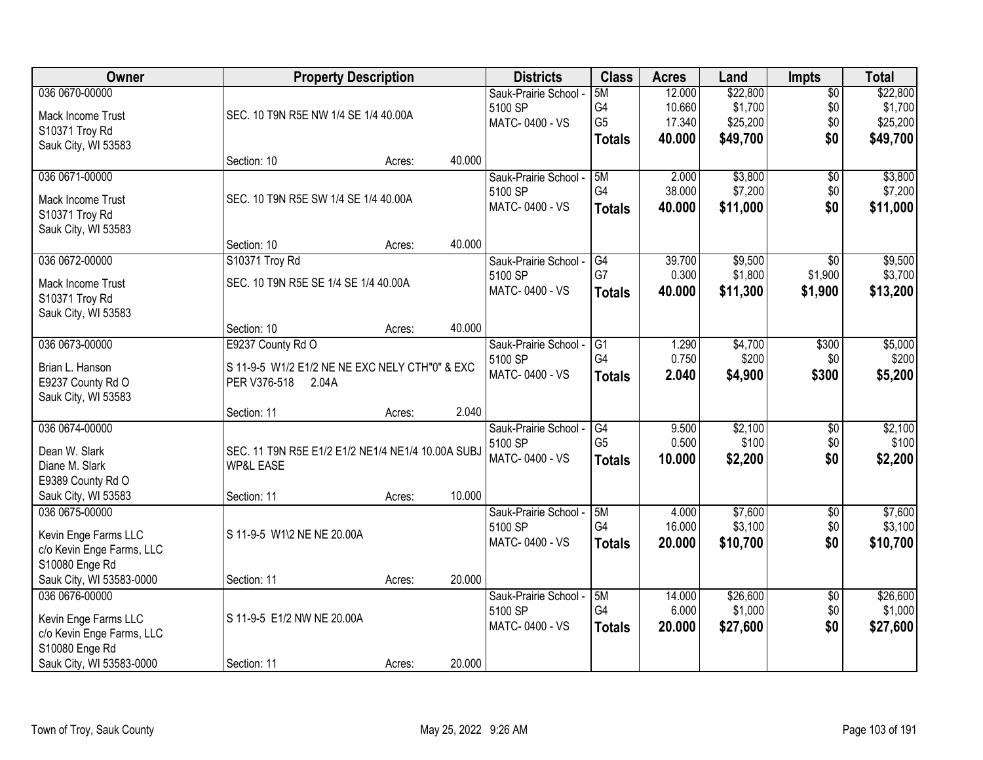| Owner                     |                                                   | <b>Property Description</b> |        | <b>Districts</b>      | <b>Class</b>    | <b>Acres</b> | Land     | <b>Impts</b>    | <b>Total</b> |
|---------------------------|---------------------------------------------------|-----------------------------|--------|-----------------------|-----------------|--------------|----------|-----------------|--------------|
| 036 0670-00000            |                                                   |                             |        | Sauk-Prairie School - | 5M              | 12.000       | \$22,800 | $\overline{50}$ | \$22,800     |
| Mack Income Trust         | SEC. 10 T9N R5E NW 1/4 SE 1/4 40.00A              |                             |        | 5100 SP               | G4              | 10.660       | \$1,700  | \$0             | \$1,700      |
| S10371 Troy Rd            |                                                   |                             |        | MATC-0400 - VS        | G <sub>5</sub>  | 17.340       | \$25,200 | \$0             | \$25,200     |
| Sauk City, WI 53583       |                                                   |                             |        |                       | <b>Totals</b>   | 40.000       | \$49,700 | \$0             | \$49,700     |
|                           | Section: 10                                       | Acres:                      | 40.000 |                       |                 |              |          |                 |              |
| 036 0671-00000            |                                                   |                             |        | Sauk-Prairie School - | 5M              | 2.000        | \$3,800  | \$0             | \$3,800      |
| Mack Income Trust         | SEC. 10 T9N R5E SW 1/4 SE 1/4 40.00A              |                             |        | 5100 SP               | G4              | 38.000       | \$7,200  | \$0             | \$7,200      |
| S10371 Troy Rd            |                                                   |                             |        | MATC-0400 - VS        | <b>Totals</b>   | 40.000       | \$11,000 | \$0             | \$11,000     |
| Sauk City, WI 53583       |                                                   |                             |        |                       |                 |              |          |                 |              |
|                           | Section: 10                                       | Acres:                      | 40.000 |                       |                 |              |          |                 |              |
| 036 0672-00000            | S10371 Troy Rd                                    |                             |        | Sauk-Prairie School - | G4              | 39.700       | \$9,500  | $\overline{50}$ | \$9,500      |
| Mack Income Trust         | SEC. 10 T9N R5E SE 1/4 SE 1/4 40.00A              |                             |        | 5100 SP               | G7              | 0.300        | \$1,800  | \$1,900         | \$3,700      |
| S10371 Troy Rd            |                                                   |                             |        | MATC-0400 - VS        | <b>Totals</b>   | 40.000       | \$11,300 | \$1,900         | \$13,200     |
| Sauk City, WI 53583       |                                                   |                             |        |                       |                 |              |          |                 |              |
|                           | Section: 10                                       | Acres:                      | 40.000 |                       |                 |              |          |                 |              |
| 036 0673-00000            | E9237 County Rd O                                 |                             |        | Sauk-Prairie School - | G1              | 1.290        | \$4,700  | \$300           | \$5,000      |
| Brian L. Hanson           | S 11-9-5 W1/2 E1/2 NE NE EXC NELY CTH"0" & EXC    |                             |        | 5100 SP               | G4              | 0.750        | \$200    | \$0             | \$200        |
| E9237 County Rd O         | PER V376-518<br>2.04A                             |                             |        | MATC-0400 - VS        | <b>Totals</b>   | 2.040        | \$4,900  | \$300           | \$5,200      |
| Sauk City, WI 53583       |                                                   |                             |        |                       |                 |              |          |                 |              |
|                           | Section: 11                                       | Acres:                      | 2.040  |                       |                 |              |          |                 |              |
| 036 0674-00000            |                                                   |                             |        | Sauk-Prairie School - | $\overline{G4}$ | 9.500        | \$2,100  | $\overline{50}$ | \$2,100      |
| Dean W. Slark             | SEC. 11 T9N R5E E1/2 E1/2 NE1/4 NE1/4 10.00A SUBJ |                             |        | 5100 SP               | G <sub>5</sub>  | 0.500        | \$100    | \$0             | \$100        |
| Diane M. Slark            | <b>WP&amp;L EASE</b>                              |                             |        | MATC-0400 - VS        | <b>Totals</b>   | 10.000       | \$2,200  | \$0             | \$2,200      |
| E9389 County Rd O         |                                                   |                             |        |                       |                 |              |          |                 |              |
| Sauk City, WI 53583       | Section: 11                                       | Acres:                      | 10.000 |                       |                 |              |          |                 |              |
| 036 0675-00000            |                                                   |                             |        | Sauk-Prairie School - | 5M              | 4.000        | \$7,600  | $\sqrt{$0}$     | \$7,600      |
| Kevin Enge Farms LLC      | S 11-9-5 W1\2 NE NE 20.00A                        |                             |        | 5100 SP               | G4              | 16.000       | \$3,100  | \$0             | \$3,100      |
| c/o Kevin Enge Farms, LLC |                                                   |                             |        | MATC-0400 - VS        | <b>Totals</b>   | 20.000       | \$10,700 | \$0             | \$10,700     |
| S10080 Enge Rd            |                                                   |                             |        |                       |                 |              |          |                 |              |
| Sauk City, WI 53583-0000  | Section: 11                                       | Acres:                      | 20.000 |                       |                 |              |          |                 |              |
| 036 0676-00000            |                                                   |                             |        | Sauk-Prairie School - | 5M              | 14.000       | \$26,600 | $\overline{30}$ | \$26,600     |
| Kevin Enge Farms LLC      | S 11-9-5 E1/2 NW NE 20.00A                        |                             |        | 5100 SP               | G4              | 6.000        | \$1,000  | \$0             | \$1,000      |
| c/o Kevin Enge Farms, LLC |                                                   |                             |        | MATC-0400 - VS        | <b>Totals</b>   | 20.000       | \$27,600 | \$0             | \$27,600     |
| S10080 Enge Rd            |                                                   |                             |        |                       |                 |              |          |                 |              |
| Sauk City, WI 53583-0000  | Section: 11                                       | Acres:                      | 20.000 |                       |                 |              |          |                 |              |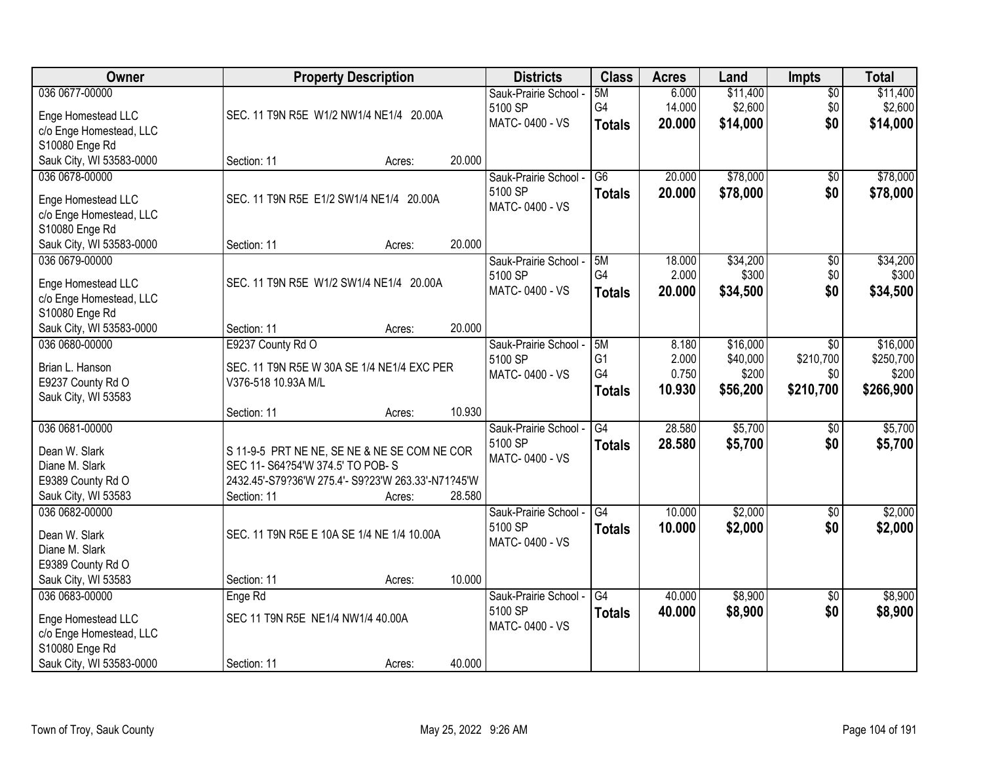| Owner                    |                                                    | <b>Property Description</b> |        | <b>Districts</b>      | <b>Class</b>    | <b>Acres</b> | Land     | <b>Impts</b>    | <b>Total</b> |
|--------------------------|----------------------------------------------------|-----------------------------|--------|-----------------------|-----------------|--------------|----------|-----------------|--------------|
| 036 0677-00000           |                                                    |                             |        | Sauk-Prairie School - | 5M              | 6.000        | \$11,400 | $\overline{50}$ | \$11,400     |
| Enge Homestead LLC       | SEC. 11 T9N R5E W1/2 NW1/4 NE1/4 20.00A            |                             |        | 5100 SP               | G4              | 14.000       | \$2,600  | \$0             | \$2,600      |
| c/o Enge Homestead, LLC  |                                                    |                             |        | MATC-0400 - VS        | <b>Totals</b>   | 20.000       | \$14,000 | \$0             | \$14,000     |
| S10080 Enge Rd           |                                                    |                             |        |                       |                 |              |          |                 |              |
| Sauk City, WI 53583-0000 | Section: 11                                        | Acres:                      | 20.000 |                       |                 |              |          |                 |              |
| 036 0678-00000           |                                                    |                             |        | Sauk-Prairie School - | $\overline{G6}$ | 20.000       | \$78,000 | \$0             | \$78,000     |
| Enge Homestead LLC       | SEC. 11 T9N R5E E1/2 SW1/4 NE1/4 20.00A            |                             |        | 5100 SP               | <b>Totals</b>   | 20.000       | \$78,000 | \$0             | \$78,000     |
| c/o Enge Homestead, LLC  |                                                    |                             |        | MATC-0400 - VS        |                 |              |          |                 |              |
| S10080 Enge Rd           |                                                    |                             |        |                       |                 |              |          |                 |              |
| Sauk City, WI 53583-0000 | Section: 11                                        | Acres:                      | 20.000 |                       |                 |              |          |                 |              |
| 036 0679-00000           |                                                    |                             |        | Sauk-Prairie School - | 5M              | 18.000       | \$34,200 | $\overline{50}$ | \$34,200     |
| Enge Homestead LLC       | SEC. 11 T9N R5E W1/2 SW1/4 NE1/4 20.00A            |                             |        | 5100 SP               | G4              | 2.000        | \$300    | \$0             | \$300        |
| c/o Enge Homestead, LLC  |                                                    |                             |        | MATC-0400 - VS        | <b>Totals</b>   | 20,000       | \$34,500 | \$0             | \$34,500     |
| S10080 Enge Rd           |                                                    |                             |        |                       |                 |              |          |                 |              |
| Sauk City, WI 53583-0000 | Section: 11                                        | Acres:                      | 20.000 |                       |                 |              |          |                 |              |
| 036 0680-00000           | E9237 County Rd O                                  |                             |        | Sauk-Prairie School - | 5M              | 8.180        | \$16,000 | \$0             | \$16,000     |
| Brian L. Hanson          | SEC. 11 T9N R5E W 30A SE 1/4 NE1/4 EXC PER         |                             |        | 5100 SP               | G <sub>1</sub>  | 2.000        | \$40,000 | \$210,700       | \$250,700    |
| E9237 County Rd O        | V376-518 10.93A M/L                                |                             |        | MATC-0400 - VS        | G4              | 0.750        | \$200    | \$0             | \$200        |
| Sauk City, WI 53583      |                                                    |                             |        |                       | <b>Totals</b>   | 10.930       | \$56,200 | \$210,700       | \$266,900    |
|                          | Section: 11                                        | Acres:                      | 10.930 |                       |                 |              |          |                 |              |
| 036 0681-00000           |                                                    |                             |        | Sauk-Prairie School - | G4              | 28.580       | \$5,700  | $\overline{50}$ | \$5,700      |
| Dean W. Slark            | S 11-9-5 PRT NE NE, SE NE & NE SE COM NE COR       |                             |        | 5100 SP               | <b>Totals</b>   | 28.580       | \$5,700  | \$0             | \$5,700      |
| Diane M. Slark           | SEC 11- S64?54'W 374.5' TO POB-S                   |                             |        | MATC-0400 - VS        |                 |              |          |                 |              |
| E9389 County Rd O        | 2432.45'-S79?36'W 275.4'- S9?23'W 263.33'-N71?45'W |                             |        |                       |                 |              |          |                 |              |
| Sauk City, WI 53583      | Section: 11                                        | Acres:                      | 28.580 |                       |                 |              |          |                 |              |
| 036 0682-00000           |                                                    |                             |        | Sauk-Prairie School - | G4              | 10.000       | \$2,000  | $\sqrt{6}$      | \$2,000      |
| Dean W. Slark            | SEC. 11 T9N R5E E 10A SE 1/4 NE 1/4 10.00A         |                             |        | 5100 SP               | <b>Totals</b>   | 10.000       | \$2,000  | \$0             | \$2,000      |
| Diane M. Slark           |                                                    |                             |        | MATC-0400 - VS        |                 |              |          |                 |              |
| E9389 County Rd O        |                                                    |                             |        |                       |                 |              |          |                 |              |
| Sauk City, WI 53583      | Section: 11                                        | Acres:                      | 10.000 |                       |                 |              |          |                 |              |
| 036 0683-00000           | Enge Rd                                            |                             |        | Sauk-Prairie School - | G4              | 40.000       | \$8,900  | $\overline{30}$ | \$8,900      |
| Enge Homestead LLC       | SEC 11 T9N R5E NE1/4 NW1/4 40.00A                  |                             |        | 5100 SP               | <b>Totals</b>   | 40.000       | \$8,900  | \$0             | \$8,900      |
| c/o Enge Homestead, LLC  |                                                    |                             |        | MATC-0400 - VS        |                 |              |          |                 |              |
| S10080 Enge Rd           |                                                    |                             |        |                       |                 |              |          |                 |              |
| Sauk City, WI 53583-0000 | Section: 11                                        | Acres:                      | 40.000 |                       |                 |              |          |                 |              |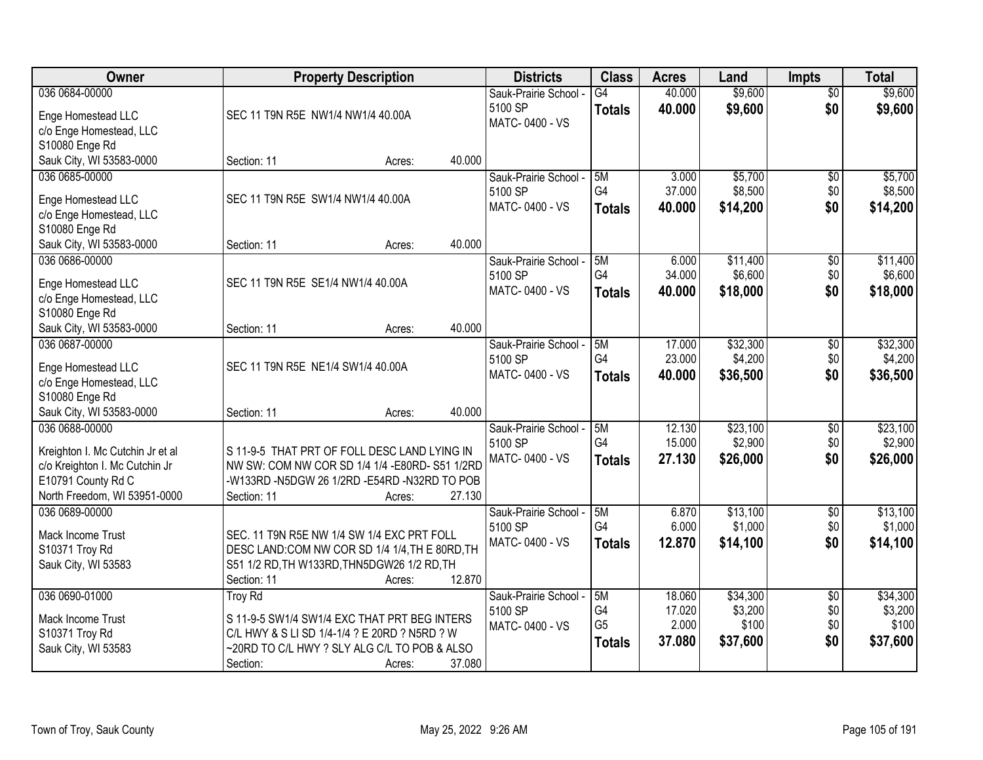| Owner                                                                                                                                      | <b>Property Description</b>                                                                                                                                                                     | <b>Districts</b>                                   | <b>Class</b>                                | <b>Acres</b>                        | Land                                     | <b>Impts</b>                         | <b>Total</b>                             |
|--------------------------------------------------------------------------------------------------------------------------------------------|-------------------------------------------------------------------------------------------------------------------------------------------------------------------------------------------------|----------------------------------------------------|---------------------------------------------|-------------------------------------|------------------------------------------|--------------------------------------|------------------------------------------|
| 036 0684-00000<br>Enge Homestead LLC<br>c/o Enge Homestead, LLC<br>S10080 Enge Rd                                                          | SEC 11 T9N R5E NW1/4 NW1/4 40.00A                                                                                                                                                               | Sauk-Prairie School -<br>5100 SP<br>MATC-0400 - VS | G4<br><b>Totals</b>                         | 40.000<br>40.000                    | \$9,600<br>\$9,600                       | $\overline{50}$<br>\$0               | \$9,600<br>\$9,600                       |
| Sauk City, WI 53583-0000                                                                                                                   | 40.000<br>Section: 11<br>Acres:                                                                                                                                                                 |                                                    |                                             |                                     |                                          |                                      |                                          |
| 036 0685-00000<br>Enge Homestead LLC<br>c/o Enge Homestead, LLC<br>S10080 Enge Rd                                                          | SEC 11 T9N R5E SW1/4 NW1/4 40.00A                                                                                                                                                               | Sauk-Prairie School -<br>5100 SP<br>MATC-0400 - VS | 5M<br>G4<br><b>Totals</b>                   | 3.000<br>37.000<br>40.000           | \$5,700<br>\$8,500<br>\$14,200           | \$0<br>\$0<br>\$0                    | \$5,700<br>\$8,500<br>\$14,200           |
| Sauk City, WI 53583-0000                                                                                                                   | 40.000<br>Section: 11<br>Acres:                                                                                                                                                                 |                                                    |                                             |                                     |                                          |                                      |                                          |
| 036 0686-00000<br>Enge Homestead LLC<br>c/o Enge Homestead, LLC<br>S10080 Enge Rd                                                          | SEC 11 T9N R5E SE1/4 NW1/4 40.00A                                                                                                                                                               | Sauk-Prairie School -<br>5100 SP<br>MATC-0400 - VS | 5M<br>G4<br><b>Totals</b>                   | 6.000<br>34.000<br>40.000           | \$11,400<br>\$6,600<br>\$18,000          | $\sqrt[6]{}$<br>\$0<br>\$0           | \$11,400<br>\$6,600<br>\$18,000          |
| Sauk City, WI 53583-0000                                                                                                                   | 40.000<br>Section: 11<br>Acres:                                                                                                                                                                 |                                                    |                                             |                                     |                                          |                                      |                                          |
| 036 0687-00000<br>Enge Homestead LLC<br>c/o Enge Homestead, LLC<br>S10080 Enge Rd                                                          | SEC 11 T9N R5E NE1/4 SW1/4 40.00A                                                                                                                                                               | Sauk-Prairie School -<br>5100 SP<br>MATC-0400 - VS | 5M<br>G4<br><b>Totals</b>                   | 17.000<br>23.000<br>40.000          | \$32,300<br>\$4,200<br>\$36,500          | \$0<br>\$0<br>\$0                    | \$32,300<br>\$4,200<br>\$36,500          |
| Sauk City, WI 53583-0000                                                                                                                   | 40.000<br>Section: 11<br>Acres:                                                                                                                                                                 |                                                    |                                             |                                     |                                          |                                      |                                          |
| 036 0688-00000<br>Kreighton I. Mc Cutchin Jr et al<br>c/o Kreighton I. Mc Cutchin Jr<br>E10791 County Rd C<br>North Freedom, WI 53951-0000 | S 11-9-5 THAT PRT OF FOLL DESC LAND LYING IN<br>NW SW: COM NW COR SD 1/4 1/4 - E80RD- S51 1/2RD<br>-W133RD -N5DGW 26 1/2RD -E54RD -N32RD TO POB<br>27.130<br>Section: 11<br>Acres:              | Sauk-Prairie School -<br>5100 SP<br>MATC-0400 - VS | 5M<br>G4<br><b>Totals</b>                   | 12.130<br>15.000<br>27.130          | \$23,100<br>\$2,900<br>\$26,000          | \$0<br>\$0<br>\$0                    | \$23,100<br>\$2,900<br>\$26,000          |
| 036 0689-00000<br>Mack Income Trust<br>S10371 Troy Rd<br>Sauk City, WI 53583                                                               | SEC. 11 T9N R5E NW 1/4 SW 1/4 EXC PRT FOLL<br>DESC LAND:COM NW COR SD 1/4 1/4, TH E 80RD, TH<br>S51 1/2 RD, TH W133RD, THN5DGW26 1/2 RD, TH<br>12.870<br>Section: 11<br>Acres:                  | Sauk-Prairie School -<br>5100 SP<br>MATC-0400 - VS | 5M<br>G4<br><b>Totals</b>                   | 6.870<br>6.000<br>12.870            | \$13,100<br>\$1,000<br>\$14,100          | $\overline{$0}$<br>\$0<br>\$0        | \$13,100<br>\$1,000<br>\$14,100          |
| 036 0690-01000<br>Mack Income Trust<br>S10371 Troy Rd<br>Sauk City, WI 53583                                                               | <b>Troy Rd</b><br>S 11-9-5 SW1/4 SW1/4 EXC THAT PRT BEG INTERS<br>C/L HWY & S LI SD 1/4-1/4 ? E 20RD ? N5RD ? W<br>~20RD TO C/L HWY ? SLY ALG C/L TO POB & ALSO<br>37.080<br>Section:<br>Acres: | Sauk-Prairie School -<br>5100 SP<br>MATC-0400 - VS | 5M<br>G4<br>G <sub>5</sub><br><b>Totals</b> | 18.060<br>17.020<br>2.000<br>37.080 | \$34,300<br>\$3,200<br>\$100<br>\$37,600 | $\overline{50}$<br>\$0<br>\$0<br>\$0 | \$34,300<br>\$3,200<br>\$100<br>\$37,600 |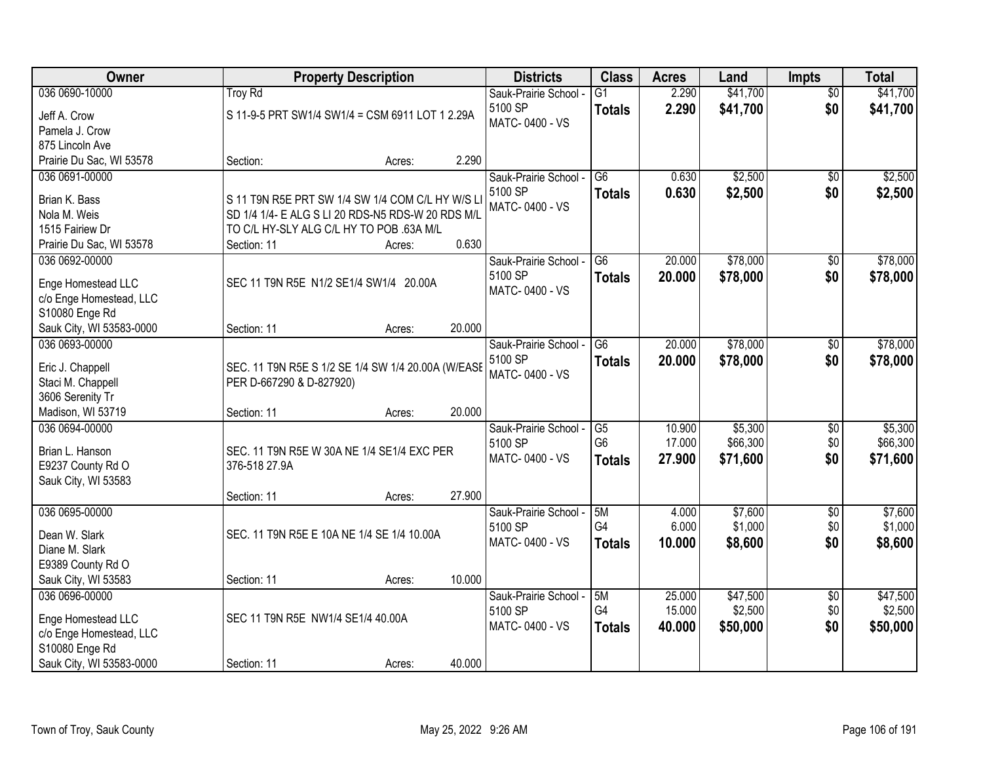| Owner                                         | <b>Property Description</b>                        |                  | <b>Districts</b>                 | <b>Class</b>    | <b>Acres</b> | Land     | <b>Impts</b>    | <b>Total</b> |
|-----------------------------------------------|----------------------------------------------------|------------------|----------------------------------|-----------------|--------------|----------|-----------------|--------------|
| 036 0690-10000                                | Troy Rd                                            |                  | Sauk-Prairie School -            | $\overline{G1}$ | 2.290        | \$41,700 | $\overline{50}$ | \$41,700     |
| Jeff A. Crow                                  | S 11-9-5 PRT SW1/4 SW1/4 = CSM 6911 LOT 1 2.29A    |                  | 5100 SP                          | <b>Totals</b>   | 2.290        | \$41,700 | \$0             | \$41,700     |
| Pamela J. Crow                                |                                                    |                  | MATC-0400 - VS                   |                 |              |          |                 |              |
| 875 Lincoln Ave                               |                                                    |                  |                                  |                 |              |          |                 |              |
| Prairie Du Sac, WI 53578                      | Section:                                           | 2.290<br>Acres:  |                                  |                 |              |          |                 |              |
| 036 0691-00000                                |                                                    |                  | Sauk-Prairie School -            | $\overline{G6}$ | 0.630        | \$2,500  | $\overline{50}$ | \$2,500      |
| Brian K. Bass                                 | S 11 T9N R5E PRT SW 1/4 SW 1/4 COM C/L HY W/S LI   |                  | 5100 SP                          | <b>Totals</b>   | 0.630        | \$2,500  | \$0             | \$2,500      |
| Nola M. Weis                                  | SD 1/4 1/4- E ALG S LI 20 RDS-N5 RDS-W 20 RDS M/L  |                  | MATC-0400 - VS                   |                 |              |          |                 |              |
| 1515 Fairiew Dr                               | TO C/L HY-SLY ALG C/L HY TO POB .63A M/L           |                  |                                  |                 |              |          |                 |              |
| Prairie Du Sac, WI 53578                      | Section: 11                                        | 0.630<br>Acres:  |                                  |                 |              |          |                 |              |
| 036 0692-00000                                |                                                    |                  | Sauk-Prairie School -            | G <sub>6</sub>  | 20.000       | \$78,000 | \$0             | \$78,000     |
|                                               |                                                    |                  | 5100 SP                          | <b>Totals</b>   | 20.000       | \$78,000 | \$0             | \$78,000     |
| Enge Homestead LLC<br>c/o Enge Homestead, LLC | SEC 11 T9N R5E N1/2 SE1/4 SW1/4 20.00A             |                  | MATC-0400 - VS                   |                 |              |          |                 |              |
| S10080 Enge Rd                                |                                                    |                  |                                  |                 |              |          |                 |              |
| Sauk City, WI 53583-0000                      | Section: 11                                        | 20.000<br>Acres: |                                  |                 |              |          |                 |              |
| 036 0693-00000                                |                                                    |                  | Sauk-Prairie School -            | $\overline{G6}$ | 20.000       | \$78,000 | \$0             | \$78,000     |
|                                               |                                                    |                  | 5100 SP                          | <b>Totals</b>   | 20.000       | \$78,000 | \$0             | \$78,000     |
| Eric J. Chappell                              | SEC. 11 T9N R5E S 1/2 SE 1/4 SW 1/4 20.00A (W/EASE |                  | MATC-0400 - VS                   |                 |              |          |                 |              |
| Staci M. Chappell                             | PER D-667290 & D-827920)                           |                  |                                  |                 |              |          |                 |              |
| 3606 Serenity Tr                              | Section: 11                                        | 20.000           |                                  |                 |              |          |                 |              |
| Madison, WI 53719<br>036 0694-00000           |                                                    | Acres:           |                                  | G5              | 10.900       | \$5,300  | \$0             | \$5,300      |
|                                               |                                                    |                  | Sauk-Prairie School -<br>5100 SP | G <sub>6</sub>  | 17.000       | \$66,300 | \$0             | \$66,300     |
| Brian L. Hanson                               | SEC. 11 T9N R5E W 30A NE 1/4 SE1/4 EXC PER         |                  | MATC-0400 - VS                   | <b>Totals</b>   | 27.900       | \$71,600 | \$0             | \$71,600     |
| E9237 County Rd O                             | 376-518 27.9A                                      |                  |                                  |                 |              |          |                 |              |
| Sauk City, WI 53583                           |                                                    |                  |                                  |                 |              |          |                 |              |
|                                               | Section: 11                                        | 27.900<br>Acres: |                                  |                 |              |          |                 |              |
| 036 0695-00000                                |                                                    |                  | Sauk-Prairie School -            | 5M              | 4.000        | \$7,600  | $\sqrt{6}$      | \$7,600      |
| Dean W. Slark                                 | SEC. 11 T9N R5E E 10A NE 1/4 SE 1/4 10.00A         |                  | 5100 SP                          | G4              | 6.000        | \$1,000  | \$0             | \$1,000      |
| Diane M. Slark                                |                                                    |                  | MATC-0400 - VS                   | <b>Totals</b>   | 10.000       | \$8,600  | \$0             | \$8,600      |
| E9389 County Rd O                             |                                                    |                  |                                  |                 |              |          |                 |              |
| Sauk City, WI 53583                           | Section: 11                                        | 10.000<br>Acres: |                                  |                 |              |          |                 |              |
| 036 0696-00000                                |                                                    |                  | Sauk-Prairie School -            | 5M              | 25.000       | \$47,500 | $\overline{50}$ | \$47,500     |
| Enge Homestead LLC                            | SEC 11 T9N R5E NW1/4 SE1/4 40.00A                  |                  | 5100 SP                          | G4              | 15.000       | \$2,500  | \$0             | \$2,500      |
| c/o Enge Homestead, LLC                       |                                                    |                  | MATC-0400 - VS                   | <b>Totals</b>   | 40.000       | \$50,000 | \$0             | \$50,000     |
| S10080 Enge Rd                                |                                                    |                  |                                  |                 |              |          |                 |              |
| Sauk City, WI 53583-0000                      | Section: 11                                        | 40.000<br>Acres: |                                  |                 |              |          |                 |              |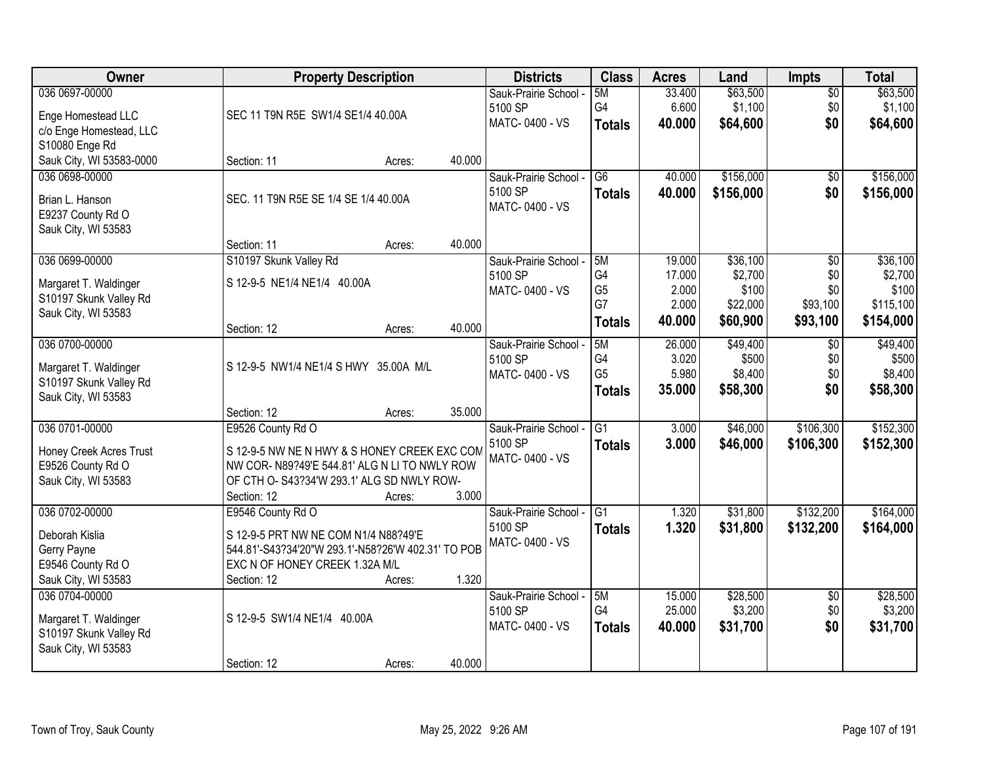| 036 0697-00000<br>\$63,500<br>5M<br>33.400<br>$\overline{50}$<br>Sauk-Prairie School -<br>G4<br>\$1,100<br>6.600<br>\$0<br>\$1,100<br>5100 SP<br>SEC 11 T9N R5E SW1/4 SE1/4 40.00A<br>Enge Homestead LLC<br>MATC-0400 - VS<br>\$0<br>40.000<br>\$64,600<br>\$64,600<br><b>Totals</b><br>c/o Enge Homestead, LLC<br>S10080 Enge Rd<br>Sauk City, WI 53583-0000<br>40.000<br>Section: 11<br>Acres:<br>\$156,000<br>$\overline{G6}$<br>40.000<br>036 0698-00000<br>Sauk-Prairie School -<br>\$0<br>5100 SP<br>\$156,000<br>\$0<br>40.000<br>\$156,000<br><b>Totals</b><br>SEC. 11 T9N R5E SE 1/4 SE 1/4 40.00A<br>Brian L. Hanson<br>MATC-0400 - VS<br>E9237 County Rd O<br>Sauk City, WI 53583<br>40.000<br>Section: 11<br>Acres:<br>036 0699-00000<br>S10197 Skunk Valley Rd<br>\$36,100<br>5M<br>19.000<br>\$0<br>Sauk-Prairie School -<br>G4<br>\$2,700<br>\$0<br>5100 SP<br>17.000<br>S 12-9-5 NE1/4 NE1/4 40.00A<br>Margaret T. Waldinger<br>G <sub>5</sub><br>\$100<br>2.000<br>\$0<br>MATC-0400 - VS<br>S10197 Skunk Valley Rd<br>G7<br>2.000<br>\$93,100<br>\$22,000<br>Sauk City, WI 53583<br>40.000<br>\$60,900<br>\$93,100<br>\$154,000<br>Totals<br>40.000<br>Section: 12<br>Acres:<br>036 0700-00000<br>\$49,400<br>5M<br>\$49,400<br>Sauk-Prairie School -<br>26.000<br>\$0<br>G4<br>3.020<br>\$500<br>\$0<br>\$500<br>5100 SP<br>S 12-9-5 NW1/4 NE1/4 S HWY 35.00A M/L<br>Margaret T. Waldinger<br>G <sub>5</sub><br>5.980<br>\$8,400<br>\$0<br>MATC-0400 - VS<br>S10197 Skunk Valley Rd<br>\$0<br>35.000<br>\$58,300<br><b>Totals</b><br>Sauk City, WI 53583<br>35.000<br>Section: 12<br>Acres:<br>036 0701-00000<br>$\overline{G1}$<br>\$46,000<br>\$106,300<br>E9526 County Rd O<br>3.000<br>Sauk-Prairie School -<br>5100 SP<br>\$152,300<br>3.000<br>\$46,000<br>\$106,300<br><b>Totals</b><br>Honey Creek Acres Trust<br>S 12-9-5 NW NE N HWY & S HONEY CREEK EXC COM<br>MATC-0400 - VS<br>E9526 County Rd O<br>NW COR- N89?49'E 544.81' ALG N LI TO NWLY ROW<br>Sauk City, WI 53583<br>OF CTH O- S43?34'W 293.1' ALG SD NWLY ROW-<br>3.000<br>Section: 12<br>Acres:<br>\$132,200<br>036 0702-00000<br>G <sub>1</sub><br>1.320<br>\$31,800<br>E9546 County Rd O<br>Sauk-Prairie School -<br>5100 SP<br>1.320<br>\$31,800<br>\$132,200<br><b>Totals</b><br>Deborah Kislia<br>S 12-9-5 PRT NW NE COM N1/4 N88?49'E<br>MATC-0400 - VS<br>544.81'-S43?34'20"W 293.1'-N58?26'W 402.31' TO POB<br>Gerry Payne<br>E9546 County Rd O<br>EXC N OF HONEY CREEK 1.32A M/L<br>1.320<br>Sauk City, WI 53583<br>Section: 12<br>Acres: | Owner | <b>Property Description</b> | <b>Districts</b> | <b>Class</b> | <b>Acres</b> | Land | <b>Impts</b> | <b>Total</b> |
|--------------------------------------------------------------------------------------------------------------------------------------------------------------------------------------------------------------------------------------------------------------------------------------------------------------------------------------------------------------------------------------------------------------------------------------------------------------------------------------------------------------------------------------------------------------------------------------------------------------------------------------------------------------------------------------------------------------------------------------------------------------------------------------------------------------------------------------------------------------------------------------------------------------------------------------------------------------------------------------------------------------------------------------------------------------------------------------------------------------------------------------------------------------------------------------------------------------------------------------------------------------------------------------------------------------------------------------------------------------------------------------------------------------------------------------------------------------------------------------------------------------------------------------------------------------------------------------------------------------------------------------------------------------------------------------------------------------------------------------------------------------------------------------------------------------------------------------------------------------------------------------------------------------------------------------------------------------------------------------------------------------------------------------------------------------------------------------------------------------------------------------------------------------------------------------------------------------------------------------------------------------------------------------------------------------------------------------------------------------------------------------------------------------------------------------------------------------------------------------------------------------------------------------------|-------|-----------------------------|------------------|--------------|--------------|------|--------------|--------------|
| \$58,300                                                                                                                                                                                                                                                                                                                                                                                                                                                                                                                                                                                                                                                                                                                                                                                                                                                                                                                                                                                                                                                                                                                                                                                                                                                                                                                                                                                                                                                                                                                                                                                                                                                                                                                                                                                                                                                                                                                                                                                                                                                                                                                                                                                                                                                                                                                                                                                                                                                                                                                                   |       |                             |                  |              |              |      |              | \$63,500     |
| \$156,000<br>\$36,100<br>\$2,700<br>\$100<br>\$115,100                                                                                                                                                                                                                                                                                                                                                                                                                                                                                                                                                                                                                                                                                                                                                                                                                                                                                                                                                                                                                                                                                                                                                                                                                                                                                                                                                                                                                                                                                                                                                                                                                                                                                                                                                                                                                                                                                                                                                                                                                                                                                                                                                                                                                                                                                                                                                                                                                                                                                     |       |                             |                  |              |              |      |              |              |
|                                                                                                                                                                                                                                                                                                                                                                                                                                                                                                                                                                                                                                                                                                                                                                                                                                                                                                                                                                                                                                                                                                                                                                                                                                                                                                                                                                                                                                                                                                                                                                                                                                                                                                                                                                                                                                                                                                                                                                                                                                                                                                                                                                                                                                                                                                                                                                                                                                                                                                                                            |       |                             |                  |              |              |      |              |              |
|                                                                                                                                                                                                                                                                                                                                                                                                                                                                                                                                                                                                                                                                                                                                                                                                                                                                                                                                                                                                                                                                                                                                                                                                                                                                                                                                                                                                                                                                                                                                                                                                                                                                                                                                                                                                                                                                                                                                                                                                                                                                                                                                                                                                                                                                                                                                                                                                                                                                                                                                            |       |                             |                  |              |              |      |              |              |
|                                                                                                                                                                                                                                                                                                                                                                                                                                                                                                                                                                                                                                                                                                                                                                                                                                                                                                                                                                                                                                                                                                                                                                                                                                                                                                                                                                                                                                                                                                                                                                                                                                                                                                                                                                                                                                                                                                                                                                                                                                                                                                                                                                                                                                                                                                                                                                                                                                                                                                                                            |       |                             |                  |              |              |      |              |              |
|                                                                                                                                                                                                                                                                                                                                                                                                                                                                                                                                                                                                                                                                                                                                                                                                                                                                                                                                                                                                                                                                                                                                                                                                                                                                                                                                                                                                                                                                                                                                                                                                                                                                                                                                                                                                                                                                                                                                                                                                                                                                                                                                                                                                                                                                                                                                                                                                                                                                                                                                            |       |                             |                  |              |              |      |              |              |
|                                                                                                                                                                                                                                                                                                                                                                                                                                                                                                                                                                                                                                                                                                                                                                                                                                                                                                                                                                                                                                                                                                                                                                                                                                                                                                                                                                                                                                                                                                                                                                                                                                                                                                                                                                                                                                                                                                                                                                                                                                                                                                                                                                                                                                                                                                                                                                                                                                                                                                                                            |       |                             |                  |              |              |      |              |              |
|                                                                                                                                                                                                                                                                                                                                                                                                                                                                                                                                                                                                                                                                                                                                                                                                                                                                                                                                                                                                                                                                                                                                                                                                                                                                                                                                                                                                                                                                                                                                                                                                                                                                                                                                                                                                                                                                                                                                                                                                                                                                                                                                                                                                                                                                                                                                                                                                                                                                                                                                            |       |                             |                  |              |              |      |              |              |
|                                                                                                                                                                                                                                                                                                                                                                                                                                                                                                                                                                                                                                                                                                                                                                                                                                                                                                                                                                                                                                                                                                                                                                                                                                                                                                                                                                                                                                                                                                                                                                                                                                                                                                                                                                                                                                                                                                                                                                                                                                                                                                                                                                                                                                                                                                                                                                                                                                                                                                                                            |       |                             |                  |              |              |      |              |              |
|                                                                                                                                                                                                                                                                                                                                                                                                                                                                                                                                                                                                                                                                                                                                                                                                                                                                                                                                                                                                                                                                                                                                                                                                                                                                                                                                                                                                                                                                                                                                                                                                                                                                                                                                                                                                                                                                                                                                                                                                                                                                                                                                                                                                                                                                                                                                                                                                                                                                                                                                            |       |                             |                  |              |              |      |              |              |
|                                                                                                                                                                                                                                                                                                                                                                                                                                                                                                                                                                                                                                                                                                                                                                                                                                                                                                                                                                                                                                                                                                                                                                                                                                                                                                                                                                                                                                                                                                                                                                                                                                                                                                                                                                                                                                                                                                                                                                                                                                                                                                                                                                                                                                                                                                                                                                                                                                                                                                                                            |       |                             |                  |              |              |      |              |              |
|                                                                                                                                                                                                                                                                                                                                                                                                                                                                                                                                                                                                                                                                                                                                                                                                                                                                                                                                                                                                                                                                                                                                                                                                                                                                                                                                                                                                                                                                                                                                                                                                                                                                                                                                                                                                                                                                                                                                                                                                                                                                                                                                                                                                                                                                                                                                                                                                                                                                                                                                            |       |                             |                  |              |              |      |              |              |
|                                                                                                                                                                                                                                                                                                                                                                                                                                                                                                                                                                                                                                                                                                                                                                                                                                                                                                                                                                                                                                                                                                                                                                                                                                                                                                                                                                                                                                                                                                                                                                                                                                                                                                                                                                                                                                                                                                                                                                                                                                                                                                                                                                                                                                                                                                                                                                                                                                                                                                                                            |       |                             |                  |              |              |      |              |              |
|                                                                                                                                                                                                                                                                                                                                                                                                                                                                                                                                                                                                                                                                                                                                                                                                                                                                                                                                                                                                                                                                                                                                                                                                                                                                                                                                                                                                                                                                                                                                                                                                                                                                                                                                                                                                                                                                                                                                                                                                                                                                                                                                                                                                                                                                                                                                                                                                                                                                                                                                            |       |                             |                  |              |              |      |              |              |
| \$8,400<br>\$152,300<br>\$164,000<br>\$164,000                                                                                                                                                                                                                                                                                                                                                                                                                                                                                                                                                                                                                                                                                                                                                                                                                                                                                                                                                                                                                                                                                                                                                                                                                                                                                                                                                                                                                                                                                                                                                                                                                                                                                                                                                                                                                                                                                                                                                                                                                                                                                                                                                                                                                                                                                                                                                                                                                                                                                             |       |                             |                  |              |              |      |              |              |
|                                                                                                                                                                                                                                                                                                                                                                                                                                                                                                                                                                                                                                                                                                                                                                                                                                                                                                                                                                                                                                                                                                                                                                                                                                                                                                                                                                                                                                                                                                                                                                                                                                                                                                                                                                                                                                                                                                                                                                                                                                                                                                                                                                                                                                                                                                                                                                                                                                                                                                                                            |       |                             |                  |              |              |      |              |              |
|                                                                                                                                                                                                                                                                                                                                                                                                                                                                                                                                                                                                                                                                                                                                                                                                                                                                                                                                                                                                                                                                                                                                                                                                                                                                                                                                                                                                                                                                                                                                                                                                                                                                                                                                                                                                                                                                                                                                                                                                                                                                                                                                                                                                                                                                                                                                                                                                                                                                                                                                            |       |                             |                  |              |              |      |              |              |
|                                                                                                                                                                                                                                                                                                                                                                                                                                                                                                                                                                                                                                                                                                                                                                                                                                                                                                                                                                                                                                                                                                                                                                                                                                                                                                                                                                                                                                                                                                                                                                                                                                                                                                                                                                                                                                                                                                                                                                                                                                                                                                                                                                                                                                                                                                                                                                                                                                                                                                                                            |       |                             |                  |              |              |      |              |              |
|                                                                                                                                                                                                                                                                                                                                                                                                                                                                                                                                                                                                                                                                                                                                                                                                                                                                                                                                                                                                                                                                                                                                                                                                                                                                                                                                                                                                                                                                                                                                                                                                                                                                                                                                                                                                                                                                                                                                                                                                                                                                                                                                                                                                                                                                                                                                                                                                                                                                                                                                            |       |                             |                  |              |              |      |              |              |
|                                                                                                                                                                                                                                                                                                                                                                                                                                                                                                                                                                                                                                                                                                                                                                                                                                                                                                                                                                                                                                                                                                                                                                                                                                                                                                                                                                                                                                                                                                                                                                                                                                                                                                                                                                                                                                                                                                                                                                                                                                                                                                                                                                                                                                                                                                                                                                                                                                                                                                                                            |       |                             |                  |              |              |      |              |              |
|                                                                                                                                                                                                                                                                                                                                                                                                                                                                                                                                                                                                                                                                                                                                                                                                                                                                                                                                                                                                                                                                                                                                                                                                                                                                                                                                                                                                                                                                                                                                                                                                                                                                                                                                                                                                                                                                                                                                                                                                                                                                                                                                                                                                                                                                                                                                                                                                                                                                                                                                            |       |                             |                  |              |              |      |              |              |
|                                                                                                                                                                                                                                                                                                                                                                                                                                                                                                                                                                                                                                                                                                                                                                                                                                                                                                                                                                                                                                                                                                                                                                                                                                                                                                                                                                                                                                                                                                                                                                                                                                                                                                                                                                                                                                                                                                                                                                                                                                                                                                                                                                                                                                                                                                                                                                                                                                                                                                                                            |       |                             |                  |              |              |      |              |              |
|                                                                                                                                                                                                                                                                                                                                                                                                                                                                                                                                                                                                                                                                                                                                                                                                                                                                                                                                                                                                                                                                                                                                                                                                                                                                                                                                                                                                                                                                                                                                                                                                                                                                                                                                                                                                                                                                                                                                                                                                                                                                                                                                                                                                                                                                                                                                                                                                                                                                                                                                            |       |                             |                  |              |              |      |              |              |
|                                                                                                                                                                                                                                                                                                                                                                                                                                                                                                                                                                                                                                                                                                                                                                                                                                                                                                                                                                                                                                                                                                                                                                                                                                                                                                                                                                                                                                                                                                                                                                                                                                                                                                                                                                                                                                                                                                                                                                                                                                                                                                                                                                                                                                                                                                                                                                                                                                                                                                                                            |       |                             |                  |              |              |      |              |              |
|                                                                                                                                                                                                                                                                                                                                                                                                                                                                                                                                                                                                                                                                                                                                                                                                                                                                                                                                                                                                                                                                                                                                                                                                                                                                                                                                                                                                                                                                                                                                                                                                                                                                                                                                                                                                                                                                                                                                                                                                                                                                                                                                                                                                                                                                                                                                                                                                                                                                                                                                            |       |                             |                  |              |              |      |              |              |
|                                                                                                                                                                                                                                                                                                                                                                                                                                                                                                                                                                                                                                                                                                                                                                                                                                                                                                                                                                                                                                                                                                                                                                                                                                                                                                                                                                                                                                                                                                                                                                                                                                                                                                                                                                                                                                                                                                                                                                                                                                                                                                                                                                                                                                                                                                                                                                                                                                                                                                                                            |       |                             |                  |              |              |      |              |              |
|                                                                                                                                                                                                                                                                                                                                                                                                                                                                                                                                                                                                                                                                                                                                                                                                                                                                                                                                                                                                                                                                                                                                                                                                                                                                                                                                                                                                                                                                                                                                                                                                                                                                                                                                                                                                                                                                                                                                                                                                                                                                                                                                                                                                                                                                                                                                                                                                                                                                                                                                            |       |                             |                  |              |              |      |              |              |
|                                                                                                                                                                                                                                                                                                                                                                                                                                                                                                                                                                                                                                                                                                                                                                                                                                                                                                                                                                                                                                                                                                                                                                                                                                                                                                                                                                                                                                                                                                                                                                                                                                                                                                                                                                                                                                                                                                                                                                                                                                                                                                                                                                                                                                                                                                                                                                                                                                                                                                                                            |       |                             |                  |              |              |      |              |              |
|                                                                                                                                                                                                                                                                                                                                                                                                                                                                                                                                                                                                                                                                                                                                                                                                                                                                                                                                                                                                                                                                                                                                                                                                                                                                                                                                                                                                                                                                                                                                                                                                                                                                                                                                                                                                                                                                                                                                                                                                                                                                                                                                                                                                                                                                                                                                                                                                                                                                                                                                            |       |                             |                  |              |              |      |              |              |
|                                                                                                                                                                                                                                                                                                                                                                                                                                                                                                                                                                                                                                                                                                                                                                                                                                                                                                                                                                                                                                                                                                                                                                                                                                                                                                                                                                                                                                                                                                                                                                                                                                                                                                                                                                                                                                                                                                                                                                                                                                                                                                                                                                                                                                                                                                                                                                                                                                                                                                                                            |       |                             |                  |              |              |      |              |              |
| \$28,500<br>\$28,500<br>036 0704-00000<br>15.000<br>Sauk-Prairie School -<br>5M<br>$\overline{50}$                                                                                                                                                                                                                                                                                                                                                                                                                                                                                                                                                                                                                                                                                                                                                                                                                                                                                                                                                                                                                                                                                                                                                                                                                                                                                                                                                                                                                                                                                                                                                                                                                                                                                                                                                                                                                                                                                                                                                                                                                                                                                                                                                                                                                                                                                                                                                                                                                                         |       |                             |                  |              |              |      |              |              |
| G4<br>25.000<br>\$3,200<br>\$0<br>\$3,200<br>5100 SP                                                                                                                                                                                                                                                                                                                                                                                                                                                                                                                                                                                                                                                                                                                                                                                                                                                                                                                                                                                                                                                                                                                                                                                                                                                                                                                                                                                                                                                                                                                                                                                                                                                                                                                                                                                                                                                                                                                                                                                                                                                                                                                                                                                                                                                                                                                                                                                                                                                                                       |       |                             |                  |              |              |      |              |              |
| S 12-9-5 SW1/4 NE1/4 40.00A<br>Margaret T. Waldinger<br>\$0<br>MATC-0400 - VS<br>40.000<br>\$31,700<br>\$31,700<br><b>Totals</b>                                                                                                                                                                                                                                                                                                                                                                                                                                                                                                                                                                                                                                                                                                                                                                                                                                                                                                                                                                                                                                                                                                                                                                                                                                                                                                                                                                                                                                                                                                                                                                                                                                                                                                                                                                                                                                                                                                                                                                                                                                                                                                                                                                                                                                                                                                                                                                                                           |       |                             |                  |              |              |      |              |              |
| S10197 Skunk Valley Rd<br>Sauk City, WI 53583                                                                                                                                                                                                                                                                                                                                                                                                                                                                                                                                                                                                                                                                                                                                                                                                                                                                                                                                                                                                                                                                                                                                                                                                                                                                                                                                                                                                                                                                                                                                                                                                                                                                                                                                                                                                                                                                                                                                                                                                                                                                                                                                                                                                                                                                                                                                                                                                                                                                                              |       |                             |                  |              |              |      |              |              |
| 40.000<br>Section: 12<br>Acres:                                                                                                                                                                                                                                                                                                                                                                                                                                                                                                                                                                                                                                                                                                                                                                                                                                                                                                                                                                                                                                                                                                                                                                                                                                                                                                                                                                                                                                                                                                                                                                                                                                                                                                                                                                                                                                                                                                                                                                                                                                                                                                                                                                                                                                                                                                                                                                                                                                                                                                            |       |                             |                  |              |              |      |              |              |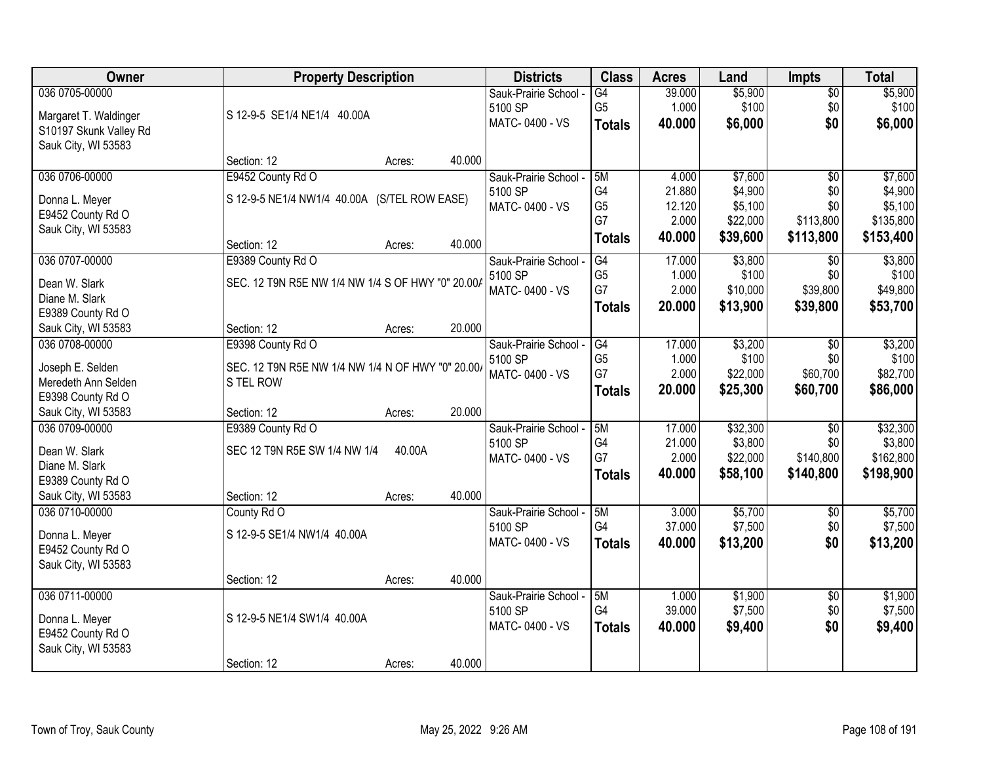| <b>Owner</b>           | <b>Property Description</b>                       |                  | <b>Districts</b>      | <b>Class</b>    | <b>Acres</b> | Land     | <b>Impts</b>    | <b>Total</b> |
|------------------------|---------------------------------------------------|------------------|-----------------------|-----------------|--------------|----------|-----------------|--------------|
| 036 0705-00000         |                                                   |                  | Sauk-Prairie School - | $\overline{G4}$ | 39.000       | \$5,900  | $\sqrt{$0}$     | \$5,900      |
| Margaret T. Waldinger  | S 12-9-5 SE1/4 NE1/4 40.00A                       |                  | 5100 SP               | G <sub>5</sub>  | 1.000        | \$100    | \$0             | \$100        |
| S10197 Skunk Valley Rd |                                                   |                  | MATC-0400 - VS        | <b>Totals</b>   | 40.000       | \$6,000  | \$0             | \$6,000      |
| Sauk City, WI 53583    |                                                   |                  |                       |                 |              |          |                 |              |
|                        | Section: 12                                       | 40.000<br>Acres: |                       |                 |              |          |                 |              |
| 036 0706-00000         | E9452 County Rd O                                 |                  | Sauk-Prairie School - | 5M              | 4.000        | \$7,600  | $\overline{50}$ | \$7,600      |
| Donna L. Meyer         | S 12-9-5 NE1/4 NW1/4 40.00A (S/TEL ROW EASE)      |                  | 5100 SP               | G <sub>4</sub>  | 21.880       | \$4,900  | \$0             | \$4,900      |
| E9452 County Rd O      |                                                   |                  | MATC-0400 - VS        | G <sub>5</sub>  | 12.120       | \$5,100  | \$0             | \$5,100      |
| Sauk City, WI 53583    |                                                   |                  |                       | G7              | 2.000        | \$22,000 | \$113,800       | \$135,800    |
|                        | Section: 12                                       | 40.000<br>Acres: |                       | <b>Totals</b>   | 40.000       | \$39,600 | \$113,800       | \$153,400    |
| 036 0707-00000         | E9389 County Rd O                                 |                  | Sauk-Prairie School - | G4              | 17.000       | \$3,800  | $\sqrt{6}$      | \$3,800      |
| Dean W. Slark          | SEC. 12 T9N R5E NW 1/4 NW 1/4 S OF HWY "0" 20.00/ |                  | 5100 SP               | G <sub>5</sub>  | 1.000        | \$100    | \$0             | \$100        |
| Diane M. Slark         |                                                   |                  | MATC-0400 - VS        | G7              | 2.000        | \$10,000 | \$39,800        | \$49,800     |
| E9389 County Rd O      |                                                   |                  |                       | <b>Totals</b>   | 20,000       | \$13,900 | \$39,800        | \$53,700     |
| Sauk City, WI 53583    | Section: 12                                       | 20.000<br>Acres: |                       |                 |              |          |                 |              |
| 036 0708-00000         | E9398 County Rd O                                 |                  | Sauk-Prairie School - | G4              | 17.000       | \$3,200  | $\sqrt[6]{3}$   | \$3,200      |
| Joseph E. Selden       | SEC. 12 T9N R5E NW 1/4 NW 1/4 N OF HWY "0" 20.00/ |                  | 5100 SP               | G <sub>5</sub>  | 1.000        | \$100    | \$0             | \$100        |
| Meredeth Ann Selden    | S TEL ROW                                         |                  | MATC-0400 - VS        | G7              | 2.000        | \$22,000 | \$60,700        | \$82,700     |
| E9398 County Rd O      |                                                   |                  |                       | <b>Totals</b>   | 20.000       | \$25,300 | \$60,700        | \$86,000     |
| Sauk City, WI 53583    | Section: 12                                       | 20.000<br>Acres: |                       |                 |              |          |                 |              |
| 036 0709-00000         | E9389 County Rd O                                 |                  | Sauk-Prairie School - | 5M              | 17.000       | \$32,300 | $\overline{50}$ | \$32,300     |
| Dean W. Slark          | SEC 12 T9N R5E SW 1/4 NW 1/4                      | 40.00A           | 5100 SP               | G <sub>4</sub>  | 21.000       | \$3,800  | \$0             | \$3,800      |
| Diane M. Slark         |                                                   |                  | MATC-0400 - VS        | G7              | 2.000        | \$22,000 | \$140,800       | \$162,800    |
| E9389 County Rd O      |                                                   |                  |                       | <b>Totals</b>   | 40.000       | \$58,100 | \$140,800       | \$198,900    |
| Sauk City, WI 53583    | Section: 12                                       | 40.000<br>Acres: |                       |                 |              |          |                 |              |
| 036 0710-00000         | County Rd O                                       |                  | Sauk-Prairie School - | 5M              | 3.000        | \$5,700  | \$0             | \$5,700      |
| Donna L. Meyer         | S 12-9-5 SE1/4 NW1/4 40.00A                       |                  | 5100 SP               | G4              | 37.000       | \$7,500  | \$0             | \$7,500      |
| E9452 County Rd O      |                                                   |                  | MATC-0400 - VS        | <b>Totals</b>   | 40,000       | \$13,200 | \$0             | \$13,200     |
| Sauk City, WI 53583    |                                                   |                  |                       |                 |              |          |                 |              |
|                        | Section: 12                                       | 40.000<br>Acres: |                       |                 |              |          |                 |              |
| 036 0711-00000         |                                                   |                  | Sauk-Prairie School - | 5M              | 1.000        | \$1,900  | $\overline{50}$ | \$1,900      |
| Donna L. Meyer         | S 12-9-5 NE1/4 SW1/4 40.00A                       |                  | 5100 SP               | G4              | 39.000       | \$7,500  | \$0             | \$7,500      |
| E9452 County Rd O      |                                                   |                  | MATC-0400 - VS        | <b>Totals</b>   | 40.000       | \$9,400  | \$0             | \$9,400      |
| Sauk City, WI 53583    |                                                   |                  |                       |                 |              |          |                 |              |
|                        | Section: 12                                       | 40.000<br>Acres: |                       |                 |              |          |                 |              |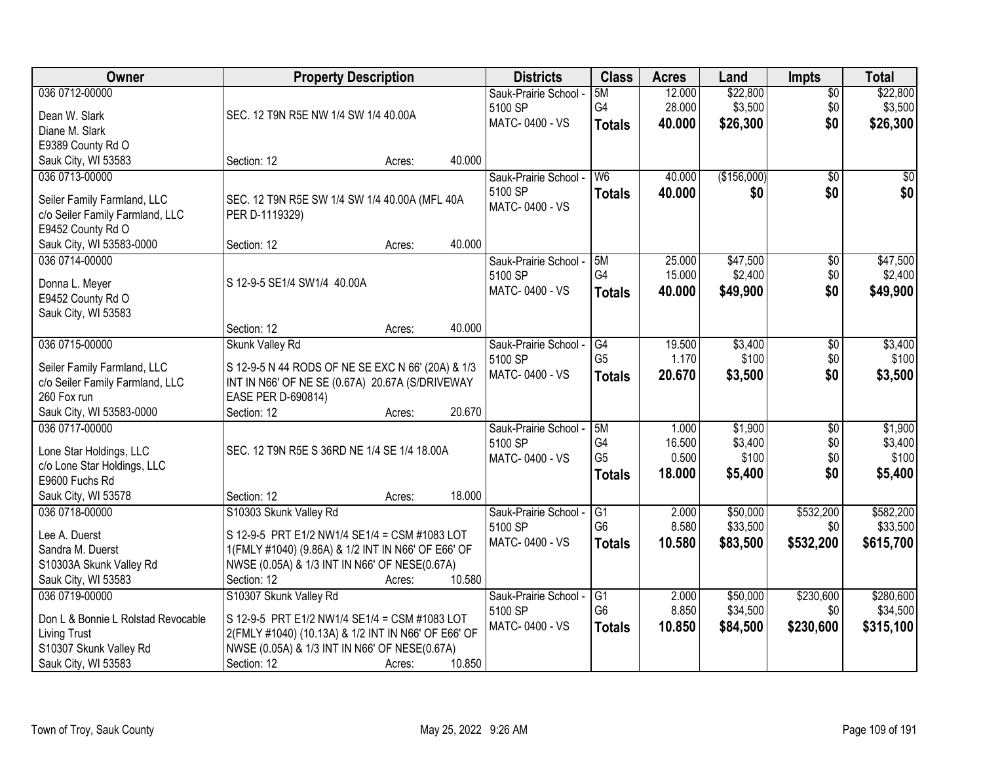| Owner                              | <b>Property Description</b>                         |        |        | <b>Districts</b>      | <b>Class</b>   | <b>Acres</b> | Land        | <b>Impts</b>    | <b>Total</b> |
|------------------------------------|-----------------------------------------------------|--------|--------|-----------------------|----------------|--------------|-------------|-----------------|--------------|
| 036 0712-00000                     |                                                     |        |        | Sauk-Prairie School - | 5M             | 12.000       | \$22,800    | $\overline{30}$ | \$22,800     |
| Dean W. Slark                      | SEC. 12 T9N R5E NW 1/4 SW 1/4 40.00A                |        |        | 5100 SP               | G4             | 28.000       | \$3,500     | \$0             | \$3,500      |
| Diane M. Slark                     |                                                     |        |        | MATC-0400 - VS        | <b>Totals</b>  | 40.000       | \$26,300    | \$0             | \$26,300     |
| E9389 County Rd O                  |                                                     |        |        |                       |                |              |             |                 |              |
| Sauk City, WI 53583                | Section: 12                                         | Acres: | 40.000 |                       |                |              |             |                 |              |
| 036 0713-00000                     |                                                     |        |        | Sauk-Prairie School - | W <sub>6</sub> | 40.000       | (\$156,000) | $\overline{50}$ | $\sqrt{50}$  |
|                                    |                                                     |        |        | 5100 SP               | <b>Totals</b>  | 40.000       | \$0         | \$0             | \$0          |
| Seiler Family Farmland, LLC        | SEC. 12 T9N R5E SW 1/4 SW 1/4 40.00A (MFL 40A       |        |        | MATC-0400 - VS        |                |              |             |                 |              |
| c/o Seiler Family Farmland, LLC    | PER D-1119329)                                      |        |        |                       |                |              |             |                 |              |
| E9452 County Rd O                  |                                                     |        |        |                       |                |              |             |                 |              |
| Sauk City, WI 53583-0000           | Section: 12                                         | Acres: | 40.000 |                       |                |              |             |                 |              |
| 036 0714-00000                     |                                                     |        |        | Sauk-Prairie School - | 5M             | 25.000       | \$47,500    | $\overline{50}$ | \$47,500     |
| Donna L. Meyer                     | S 12-9-5 SE1/4 SW1/4 40.00A                         |        |        | 5100 SP               | G4             | 15.000       | \$2,400     | \$0             | \$2,400      |
| E9452 County Rd O                  |                                                     |        |        | MATC-0400 - VS        | <b>Totals</b>  | 40.000       | \$49,900    | \$0             | \$49,900     |
| Sauk City, WI 53583                |                                                     |        |        |                       |                |              |             |                 |              |
|                                    | Section: 12                                         | Acres: | 40.000 |                       |                |              |             |                 |              |
| 036 0715-00000                     | Skunk Valley Rd                                     |        |        | Sauk-Prairie School - | G4             | 19.500       | \$3,400     | \$0             | \$3,400      |
|                                    |                                                     |        |        | 5100 SP               | G <sub>5</sub> | 1.170        | \$100       | \$0             | \$100        |
| Seiler Family Farmland, LLC        | S 12-9-5 N 44 RODS OF NE SE EXC N 66' (20A) & 1/3   |        |        | MATC-0400 - VS        | <b>Totals</b>  | 20.670       | \$3,500     | \$0             | \$3,500      |
| c/o Seiler Family Farmland, LLC    | INT IN N66' OF NE SE (0.67A) 20.67A (S/DRIVEWAY     |        |        |                       |                |              |             |                 |              |
| 260 Fox run                        | EASE PER D-690814)                                  |        |        |                       |                |              |             |                 |              |
| Sauk City, WI 53583-0000           | Section: 12                                         | Acres: | 20.670 |                       |                |              |             |                 |              |
| 036 0717-00000                     |                                                     |        |        | Sauk-Prairie School - | 5M             | 1.000        | \$1,900     | $\overline{50}$ | \$1,900      |
| Lone Star Holdings, LLC            | SEC. 12 T9N R5E S 36RD NE 1/4 SE 1/4 18.00A         |        |        | 5100 SP               | G <sub>4</sub> | 16.500       | \$3,400     | \$0             | \$3,400      |
| c/o Lone Star Holdings, LLC        |                                                     |        |        | MATC-0400 - VS        | G <sub>5</sub> | 0.500        | \$100       | \$0             | \$100        |
| E9600 Fuchs Rd                     |                                                     |        |        |                       | <b>Totals</b>  | 18.000       | \$5,400     | \$0             | \$5,400      |
| Sauk City, WI 53578                | Section: 12                                         | Acres: | 18.000 |                       |                |              |             |                 |              |
| 036 0718-00000                     | S10303 Skunk Valley Rd                              |        |        | Sauk-Prairie School - | G1             | 2.000        | \$50,000    | \$532,200       | \$582,200    |
|                                    |                                                     |        |        | 5100 SP               | G <sub>6</sub> | 8.580        | \$33,500    | \$0             | \$33,500     |
| Lee A. Duerst                      | S 12-9-5 PRT E1/2 NW1/4 SE1/4 = CSM #1083 LOT       |        |        | MATC-0400 - VS        | <b>Totals</b>  | 10.580       | \$83,500    | \$532,200       | \$615,700    |
| Sandra M. Duerst                   | 1(FMLY #1040) (9.86A) & 1/2 INT IN N66' OF E66' OF  |        |        |                       |                |              |             |                 |              |
| S10303A Skunk Valley Rd            | NWSE (0.05A) & 1/3 INT IN N66' OF NESE(0.67A)       |        |        |                       |                |              |             |                 |              |
| Sauk City, WI 53583                | Section: 12                                         | Acres: | 10.580 |                       |                |              |             |                 |              |
| 036 0719-00000                     | S10307 Skunk Valley Rd                              |        |        | Sauk-Prairie School - | G1             | 2.000        | \$50,000    | \$230,600       | \$280,600    |
| Don L & Bonnie L Rolstad Revocable | S 12-9-5 PRT E1/2 NW1/4 SE1/4 = CSM #1083 LOT       |        |        | 5100 SP               | G <sub>6</sub> | 8.850        | \$34,500    | \$0             | \$34,500     |
| <b>Living Trust</b>                | 2(FMLY #1040) (10.13A) & 1/2 INT IN N66' OF E66' OF |        |        | MATC-0400 - VS        | <b>Totals</b>  | 10.850       | \$84,500    | \$230,600       | \$315,100    |
| S10307 Skunk Valley Rd             | NWSE (0.05A) & 1/3 INT IN N66' OF NESE(0.67A)       |        |        |                       |                |              |             |                 |              |
| Sauk City, WI 53583                | Section: 12                                         | Acres: | 10.850 |                       |                |              |             |                 |              |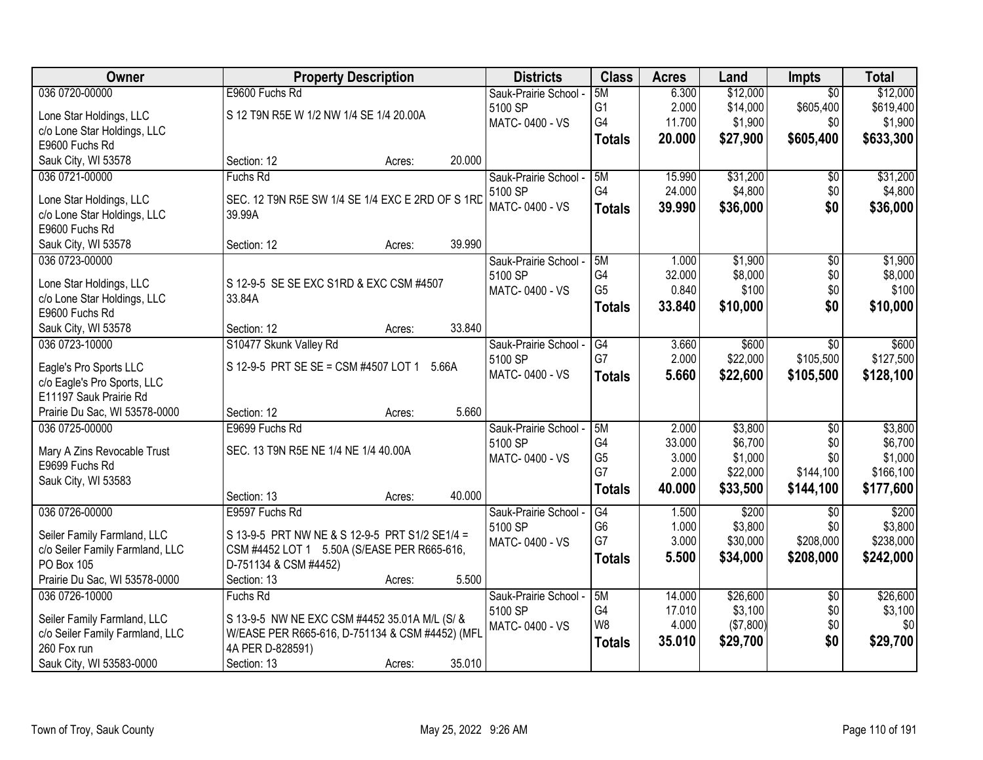| Owner                                          | <b>Property Description</b>                      | <b>Districts</b>      | <b>Class</b>   | <b>Acres</b>    | Land               | Impts           | <b>Total</b>     |
|------------------------------------------------|--------------------------------------------------|-----------------------|----------------|-----------------|--------------------|-----------------|------------------|
| 036 0720-00000                                 | E9600 Fuchs Rd                                   | Sauk-Prairie School - | 5M             | 6.300           | \$12,000           | $\overline{50}$ | \$12,000         |
| Lone Star Holdings, LLC                        | S 12 T9N R5E W 1/2 NW 1/4 SE 1/4 20.00A          | 5100 SP               | G <sub>1</sub> | 2.000           | \$14,000           | \$605,400       | \$619,400        |
| c/o Lone Star Holdings, LLC                    |                                                  | MATC-0400 - VS        | G4             | 11.700          | \$1,900            | \$0             | \$1,900          |
| E9600 Fuchs Rd                                 |                                                  |                       | <b>Totals</b>  | 20.000          | \$27,900           | \$605,400       | \$633,300        |
| Sauk City, WI 53578                            | Section: 12<br>20.000<br>Acres:                  |                       |                |                 |                    |                 |                  |
| 036 0721-00000                                 | <b>Fuchs Rd</b>                                  | Sauk-Prairie School - | 5M             | 15.990          | \$31,200           | \$0             | \$31,200         |
|                                                |                                                  | 5100 SP               | G4             | 24.000          | \$4,800            | \$0             | \$4,800          |
| Lone Star Holdings, LLC                        | SEC. 12 T9N R5E SW 1/4 SE 1/4 EXC E 2RD OF S 1RD | MATC-0400 - VS        | <b>Totals</b>  | 39.990          | \$36,000           | \$0             | \$36,000         |
| c/o Lone Star Holdings, LLC                    | 39.99A                                           |                       |                |                 |                    |                 |                  |
| E9600 Fuchs Rd                                 | 39.990                                           |                       |                |                 |                    |                 |                  |
| Sauk City, WI 53578                            | Section: 12<br>Acres:                            |                       |                |                 |                    |                 |                  |
| 036 0723-00000                                 |                                                  | Sauk-Prairie School - | 5M<br>G4       | 1.000           | \$1,900<br>\$8,000 | $\overline{50}$ | \$1,900          |
| Lone Star Holdings, LLC                        | S 12-9-5 SE SE EXC S1RD & EXC CSM #4507          | 5100 SP               | G <sub>5</sub> | 32.000<br>0.840 | \$100              | \$0<br>\$0      | \$8,000<br>\$100 |
| c/o Lone Star Holdings, LLC                    | 33.84A                                           | MATC-0400 - VS        |                |                 |                    |                 |                  |
| E9600 Fuchs Rd                                 |                                                  |                       | <b>Totals</b>  | 33.840          | \$10,000           | \$0             | \$10,000         |
| Sauk City, WI 53578                            | 33.840<br>Section: 12<br>Acres:                  |                       |                |                 |                    |                 |                  |
| 036 0723-10000                                 | S10477 Skunk Valley Rd                           | Sauk-Prairie School - | G4             | 3.660           | \$600              | \$0             | \$600            |
| Eagle's Pro Sports LLC                         | S 12-9-5 PRT SE SE = CSM #4507 LOT 1 5.66A       | 5100 SP               | G7             | 2.000           | \$22,000           | \$105,500       | \$127,500        |
| c/o Eagle's Pro Sports, LLC                    |                                                  | MATC-0400 - VS        | <b>Totals</b>  | 5.660           | \$22,600           | \$105,500       | \$128,100        |
| E11197 Sauk Prairie Rd                         |                                                  |                       |                |                 |                    |                 |                  |
| Prairie Du Sac, WI 53578-0000                  | Section: 12<br>Acres:                            | 5.660                 |                |                 |                    |                 |                  |
| 036 0725-00000                                 | E9699 Fuchs Rd                                   | Sauk-Prairie School - | 5M             | 2.000           | \$3,800            | $\overline{50}$ | \$3,800          |
|                                                |                                                  | 5100 SP               | G4             | 33.000          | \$6,700            | \$0             | \$6,700          |
| Mary A Zins Revocable Trust                    | SEC. 13 T9N R5E NE 1/4 NE 1/4 40.00A             | MATC-0400 - VS        | G <sub>5</sub> | 3.000           | \$1,000            | \$0             | \$1,000          |
| E9699 Fuchs Rd                                 |                                                  |                       | G7             | 2.000           | \$22,000           | \$144,100       | \$166, 100       |
| Sauk City, WI 53583                            |                                                  |                       | <b>Totals</b>  | 40.000          | \$33,500           | \$144,100       | \$177,600        |
|                                                | 40.000<br>Section: 13<br>Acres:                  |                       |                |                 |                    |                 |                  |
| 036 0726-00000                                 | E9597 Fuchs Rd                                   | Sauk-Prairie School - | G4             | 1.500           | \$200              | $\overline{50}$ | \$200            |
| Seiler Family Farmland, LLC                    | S 13-9-5 PRT NW NE & S 12-9-5 PRT S1/2 SE1/4 =   | 5100 SP               | G <sub>6</sub> | 1.000           | \$3,800            | \$0             | \$3,800          |
| c/o Seiler Family Farmland, LLC                | CSM #4452 LOT 1 5.50A (S/EASE PER R665-616,      | MATC-0400 - VS        | G7             | 3.000           | \$30,000           | \$208,000       | \$238,000        |
| <b>PO Box 105</b>                              | D-751134 & CSM #4452)                            |                       | <b>Totals</b>  | 5.500           | \$34,000           | \$208,000       | \$242,000        |
| Prairie Du Sac, WI 53578-0000                  | Section: 13<br>Acres:                            | 5.500                 |                |                 |                    |                 |                  |
| 036 0726-10000                                 | Fuchs Rd                                         | Sauk-Prairie School - | 5M             | 14.000          | \$26,600           | $\overline{30}$ | \$26,600         |
| Seiler Family Farmland, LLC                    | S 13-9-5 NW NE EXC CSM #4452 35.01A M/L (S/ &    | 5100 SP               | G4             | 17.010          | \$3,100            | \$0             | \$3,100          |
|                                                | W/EASE PER R665-616, D-751134 & CSM #4452) (MFL  | MATC-0400 - VS        | W <sub>8</sub> | 4.000           | (\$7,800)          | \$0             | \$0              |
| c/o Seiler Family Farmland, LLC<br>260 Fox run | 4A PER D-828591)                                 |                       | <b>Totals</b>  | 35.010          | \$29,700           | \$0             | \$29,700         |
|                                                |                                                  |                       |                |                 |                    |                 |                  |
| Sauk City, WI 53583-0000                       | 35.010<br>Section: 13<br>Acres:                  |                       |                |                 |                    |                 |                  |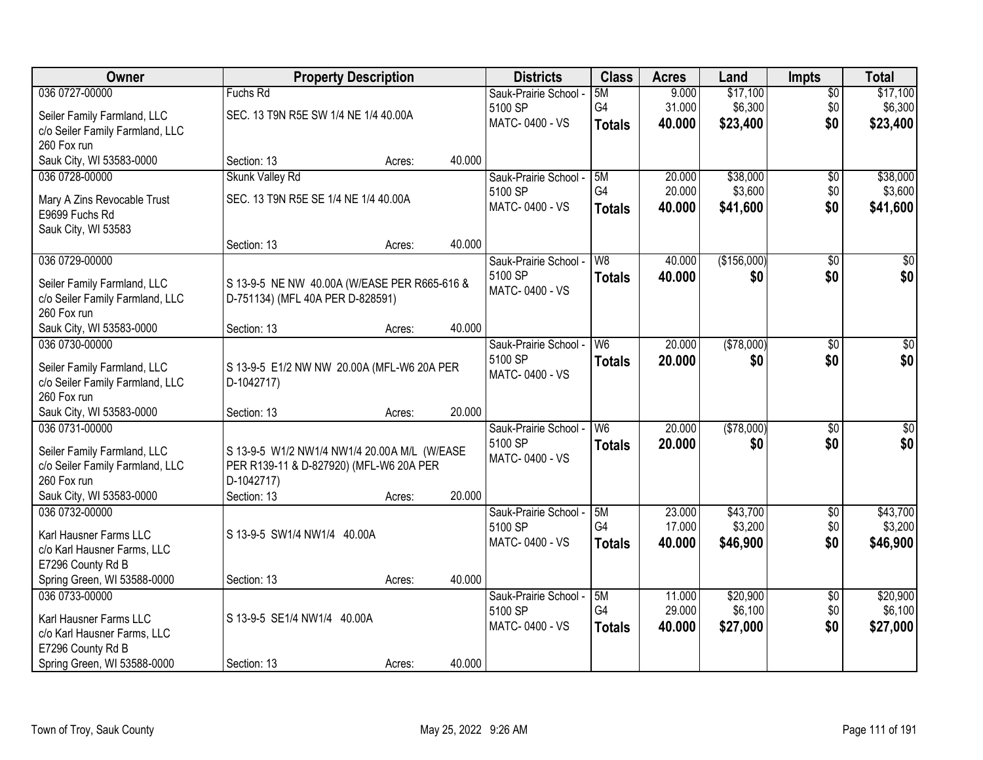| 036 0727-00000<br>\$17,100<br>5M<br>\$17,100<br>Fuchs Rd<br>Sauk-Prairie School -<br>9.000<br>$\sqrt{$0}$<br>G4<br>\$6,300<br>31.000<br>\$0<br>\$6,300<br>5100 SP<br>SEC. 13 T9N R5E SW 1/4 NE 1/4 40.00A<br>Seiler Family Farmland, LLC<br>MATC-0400 - VS<br>\$23,400<br>\$0<br>40.000<br>\$23,400<br><b>Totals</b><br>c/o Seiler Family Farmland, LLC<br>260 Fox run<br>Sauk City, WI 53583-0000<br>40.000<br>Section: 13<br>Acres:<br>\$38,000<br><b>Skunk Valley Rd</b><br>20.000<br>\$38,000<br>036 0728-00000<br>Sauk-Prairie School -<br>5M<br>$\overline{50}$<br>G4<br>20.000<br>\$3,600<br>\$3,600<br>5100 SP<br>\$0<br>SEC. 13 T9N R5E SE 1/4 NE 1/4 40.00A<br>Mary A Zins Revocable Trust<br>\$0<br>MATC-0400 - VS<br>40.000<br>\$41,600<br>\$41,600<br><b>Totals</b><br>E9699 Fuchs Rd<br>Sauk City, WI 53583<br>40.000<br>Section: 13<br>Acres:<br>(\$156,000)<br>036 0729-00000<br>W <sub>8</sub><br>40.000<br>\$0<br>Sauk-Prairie School -<br>\$0<br>\$0 <br>\$0<br>5100 SP<br>\$0<br>40.000<br><b>Totals</b><br>Seiler Family Farmland, LLC<br>S 13-9-5 NE NW 40.00A (W/EASE PER R665-616 &<br>MATC-0400 - VS<br>c/o Seiler Family Farmland, LLC<br>D-751134) (MFL 40A PER D-828591)<br>260 Fox run<br>40.000<br>Sauk City, WI 53583-0000<br>Section: 13<br>Acres: |
|------------------------------------------------------------------------------------------------------------------------------------------------------------------------------------------------------------------------------------------------------------------------------------------------------------------------------------------------------------------------------------------------------------------------------------------------------------------------------------------------------------------------------------------------------------------------------------------------------------------------------------------------------------------------------------------------------------------------------------------------------------------------------------------------------------------------------------------------------------------------------------------------------------------------------------------------------------------------------------------------------------------------------------------------------------------------------------------------------------------------------------------------------------------------------------------------------------------------------------------------------------------------------------|
|                                                                                                                                                                                                                                                                                                                                                                                                                                                                                                                                                                                                                                                                                                                                                                                                                                                                                                                                                                                                                                                                                                                                                                                                                                                                                    |
|                                                                                                                                                                                                                                                                                                                                                                                                                                                                                                                                                                                                                                                                                                                                                                                                                                                                                                                                                                                                                                                                                                                                                                                                                                                                                    |
|                                                                                                                                                                                                                                                                                                                                                                                                                                                                                                                                                                                                                                                                                                                                                                                                                                                                                                                                                                                                                                                                                                                                                                                                                                                                                    |
|                                                                                                                                                                                                                                                                                                                                                                                                                                                                                                                                                                                                                                                                                                                                                                                                                                                                                                                                                                                                                                                                                                                                                                                                                                                                                    |
|                                                                                                                                                                                                                                                                                                                                                                                                                                                                                                                                                                                                                                                                                                                                                                                                                                                                                                                                                                                                                                                                                                                                                                                                                                                                                    |
|                                                                                                                                                                                                                                                                                                                                                                                                                                                                                                                                                                                                                                                                                                                                                                                                                                                                                                                                                                                                                                                                                                                                                                                                                                                                                    |
|                                                                                                                                                                                                                                                                                                                                                                                                                                                                                                                                                                                                                                                                                                                                                                                                                                                                                                                                                                                                                                                                                                                                                                                                                                                                                    |
|                                                                                                                                                                                                                                                                                                                                                                                                                                                                                                                                                                                                                                                                                                                                                                                                                                                                                                                                                                                                                                                                                                                                                                                                                                                                                    |
|                                                                                                                                                                                                                                                                                                                                                                                                                                                                                                                                                                                                                                                                                                                                                                                                                                                                                                                                                                                                                                                                                                                                                                                                                                                                                    |
|                                                                                                                                                                                                                                                                                                                                                                                                                                                                                                                                                                                                                                                                                                                                                                                                                                                                                                                                                                                                                                                                                                                                                                                                                                                                                    |
|                                                                                                                                                                                                                                                                                                                                                                                                                                                                                                                                                                                                                                                                                                                                                                                                                                                                                                                                                                                                                                                                                                                                                                                                                                                                                    |
|                                                                                                                                                                                                                                                                                                                                                                                                                                                                                                                                                                                                                                                                                                                                                                                                                                                                                                                                                                                                                                                                                                                                                                                                                                                                                    |
|                                                                                                                                                                                                                                                                                                                                                                                                                                                                                                                                                                                                                                                                                                                                                                                                                                                                                                                                                                                                                                                                                                                                                                                                                                                                                    |
|                                                                                                                                                                                                                                                                                                                                                                                                                                                                                                                                                                                                                                                                                                                                                                                                                                                                                                                                                                                                                                                                                                                                                                                                                                                                                    |
|                                                                                                                                                                                                                                                                                                                                                                                                                                                                                                                                                                                                                                                                                                                                                                                                                                                                                                                                                                                                                                                                                                                                                                                                                                                                                    |
| 20.000<br>(\$78,000)<br>036 0730-00000<br>$\sqrt{50}$<br>W <sub>6</sub><br>Sauk-Prairie School -<br>$\sqrt[6]{3}$                                                                                                                                                                                                                                                                                                                                                                                                                                                                                                                                                                                                                                                                                                                                                                                                                                                                                                                                                                                                                                                                                                                                                                  |
| \$0<br>\$0<br>5100 SP<br>20.000<br>\$0<br><b>Totals</b>                                                                                                                                                                                                                                                                                                                                                                                                                                                                                                                                                                                                                                                                                                                                                                                                                                                                                                                                                                                                                                                                                                                                                                                                                            |
| Seiler Family Farmland, LLC<br>S 13-9-5 E1/2 NW NW 20.00A (MFL-W6 20A PER<br>MATC-0400 - VS<br>c/o Seiler Family Farmland, LLC<br>D-1042717)                                                                                                                                                                                                                                                                                                                                                                                                                                                                                                                                                                                                                                                                                                                                                                                                                                                                                                                                                                                                                                                                                                                                       |
| 260 Fox run                                                                                                                                                                                                                                                                                                                                                                                                                                                                                                                                                                                                                                                                                                                                                                                                                                                                                                                                                                                                                                                                                                                                                                                                                                                                        |
| 20.000<br>Sauk City, WI 53583-0000<br>Section: 13<br>Acres:                                                                                                                                                                                                                                                                                                                                                                                                                                                                                                                                                                                                                                                                                                                                                                                                                                                                                                                                                                                                                                                                                                                                                                                                                        |
| 20.000<br>(\$78,000)<br>$\overline{W6}$<br>$\overline{50}$<br>$\sqrt{50}$<br>036 0731-00000<br>Sauk-Prairie School -                                                                                                                                                                                                                                                                                                                                                                                                                                                                                                                                                                                                                                                                                                                                                                                                                                                                                                                                                                                                                                                                                                                                                               |
| \$0<br>5100 SP<br>20.000<br>\$0<br>\$0<br><b>Totals</b>                                                                                                                                                                                                                                                                                                                                                                                                                                                                                                                                                                                                                                                                                                                                                                                                                                                                                                                                                                                                                                                                                                                                                                                                                            |
| Seiler Family Farmland, LLC<br>S 13-9-5 W1/2 NW1/4 NW1/4 20.00A M/L (W/EASE<br>MATC-0400 - VS<br>c/o Seiler Family Farmland, LLC<br>PER R139-11 & D-827920) (MFL-W6 20A PER                                                                                                                                                                                                                                                                                                                                                                                                                                                                                                                                                                                                                                                                                                                                                                                                                                                                                                                                                                                                                                                                                                        |
| 260 Fox run<br>D-1042717)                                                                                                                                                                                                                                                                                                                                                                                                                                                                                                                                                                                                                                                                                                                                                                                                                                                                                                                                                                                                                                                                                                                                                                                                                                                          |
| Sauk City, WI 53583-0000<br>20.000<br>Section: 13<br>Acres:                                                                                                                                                                                                                                                                                                                                                                                                                                                                                                                                                                                                                                                                                                                                                                                                                                                                                                                                                                                                                                                                                                                                                                                                                        |
| 036 0732-00000<br>5M<br>23.000<br>\$43,700<br>$\overline{$0}$<br>\$43,700<br>Sauk-Prairie School -                                                                                                                                                                                                                                                                                                                                                                                                                                                                                                                                                                                                                                                                                                                                                                                                                                                                                                                                                                                                                                                                                                                                                                                 |
| G <sub>4</sub><br>\$3,200<br>5100 SP<br>17.000<br>\$0<br>\$3,200                                                                                                                                                                                                                                                                                                                                                                                                                                                                                                                                                                                                                                                                                                                                                                                                                                                                                                                                                                                                                                                                                                                                                                                                                   |
| Karl Hausner Farms LLC<br>S 13-9-5 SW1/4 NW1/4 40.00A<br>MATC-0400 - VS<br>\$46,900<br>\$0<br>40.000<br>\$46,900<br><b>Totals</b>                                                                                                                                                                                                                                                                                                                                                                                                                                                                                                                                                                                                                                                                                                                                                                                                                                                                                                                                                                                                                                                                                                                                                  |
| c/o Karl Hausner Farms, LLC<br>E7296 County Rd B                                                                                                                                                                                                                                                                                                                                                                                                                                                                                                                                                                                                                                                                                                                                                                                                                                                                                                                                                                                                                                                                                                                                                                                                                                   |
| Spring Green, WI 53588-0000<br>40.000<br>Section: 13<br>Acres:                                                                                                                                                                                                                                                                                                                                                                                                                                                                                                                                                                                                                                                                                                                                                                                                                                                                                                                                                                                                                                                                                                                                                                                                                     |
| 036 0733-00000<br>\$20,900<br>\$20,900<br>5M<br>11.000<br>Sauk-Prairie School -<br>$\overline{60}$                                                                                                                                                                                                                                                                                                                                                                                                                                                                                                                                                                                                                                                                                                                                                                                                                                                                                                                                                                                                                                                                                                                                                                                 |
| G4<br>29.000<br>\$6,100<br>\$0<br>\$6,100<br>5100 SP                                                                                                                                                                                                                                                                                                                                                                                                                                                                                                                                                                                                                                                                                                                                                                                                                                                                                                                                                                                                                                                                                                                                                                                                                               |
| S 13-9-5 SE1/4 NW1/4 40.00A<br>Karl Hausner Farms LLC<br>\$27,000<br>\$0<br>MATC-0400 - VS<br>40.000<br>\$27,000<br><b>Totals</b>                                                                                                                                                                                                                                                                                                                                                                                                                                                                                                                                                                                                                                                                                                                                                                                                                                                                                                                                                                                                                                                                                                                                                  |
| c/o Karl Hausner Farms, LLC<br>E7296 County Rd B                                                                                                                                                                                                                                                                                                                                                                                                                                                                                                                                                                                                                                                                                                                                                                                                                                                                                                                                                                                                                                                                                                                                                                                                                                   |
| 40.000<br>Spring Green, WI 53588-0000<br>Section: 13<br>Acres:                                                                                                                                                                                                                                                                                                                                                                                                                                                                                                                                                                                                                                                                                                                                                                                                                                                                                                                                                                                                                                                                                                                                                                                                                     |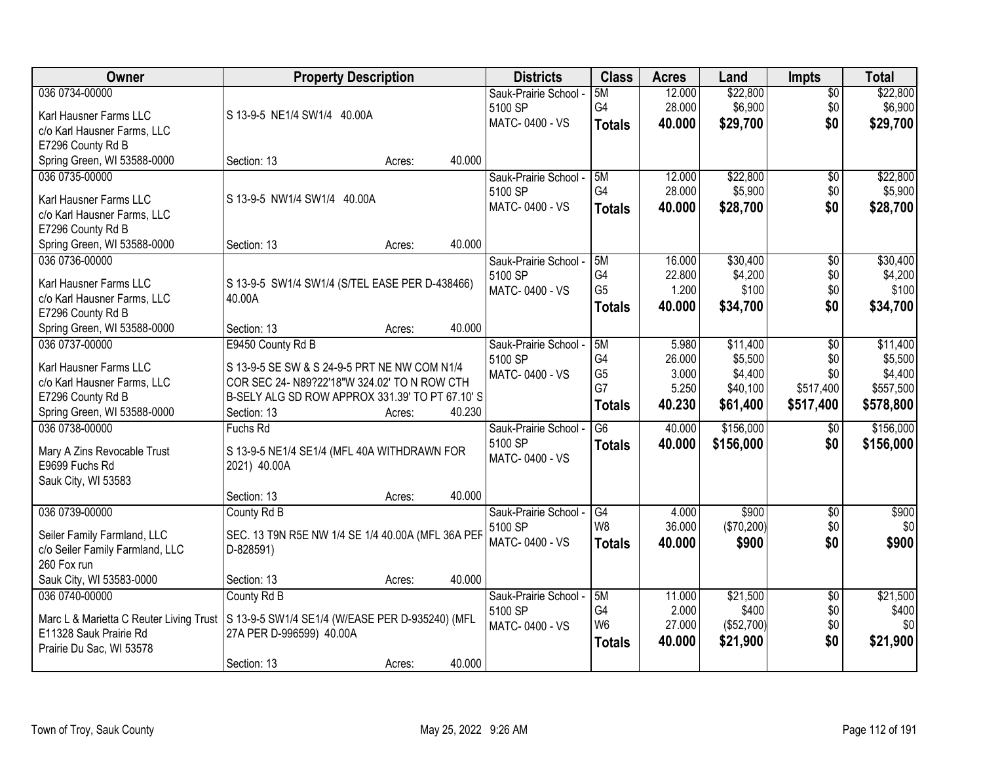| Owner                                            | <b>Property Description</b>                                 |        |        | <b>Districts</b>      | <b>Class</b>    | <b>Acres</b>    | Land              | <b>Impts</b>    | <b>Total</b> |
|--------------------------------------------------|-------------------------------------------------------------|--------|--------|-----------------------|-----------------|-----------------|-------------------|-----------------|--------------|
| 036 0734-00000                                   |                                                             |        |        | Sauk-Prairie School - | 5M              | 12.000          | \$22,800          | $\overline{50}$ | \$22,800     |
| Karl Hausner Farms LLC                           | S 13-9-5 NE1/4 SW1/4 40.00A                                 |        |        | 5100 SP               | G4              | 28.000          | \$6,900           | \$0             | \$6,900      |
| c/o Karl Hausner Farms, LLC                      |                                                             |        |        | MATC-0400 - VS        | <b>Totals</b>   | 40.000          | \$29,700          | \$0             | \$29,700     |
| E7296 County Rd B                                |                                                             |        |        |                       |                 |                 |                   |                 |              |
| Spring Green, WI 53588-0000                      | Section: 13                                                 | Acres: | 40.000 |                       |                 |                 |                   |                 |              |
| 036 0735-00000                                   |                                                             |        |        | Sauk-Prairie School - | 5M              | 12.000          | \$22,800          | \$0             | \$22,800     |
|                                                  | S 13-9-5 NW1/4 SW1/4 40.00A                                 |        |        | 5100 SP               | G4              | 28.000          | \$5,900           | \$0             | \$5,900      |
| Karl Hausner Farms LLC                           |                                                             |        |        | MATC-0400 - VS        | <b>Totals</b>   | 40.000          | \$28,700          | \$0             | \$28,700     |
| c/o Karl Hausner Farms, LLC<br>E7296 County Rd B |                                                             |        |        |                       |                 |                 |                   |                 |              |
| Spring Green, WI 53588-0000                      | Section: 13                                                 | Acres: | 40.000 |                       |                 |                 |                   |                 |              |
| 036 0736-00000                                   |                                                             |        |        | Sauk-Prairie School - | 5M              | 16.000          | \$30,400          | $\overline{50}$ | \$30,400     |
|                                                  |                                                             |        |        | 5100 SP               | G4              | 22.800          | \$4,200           | \$0             | \$4,200      |
| Karl Hausner Farms LLC                           | S 13-9-5 SW1/4 SW1/4 (S/TEL EASE PER D-438466)              |        |        | MATC-0400 - VS        | G <sub>5</sub>  | 1.200           | \$100             | \$0             | \$100        |
| c/o Karl Hausner Farms, LLC                      | 40.00A                                                      |        |        |                       | <b>Totals</b>   | 40.000          | \$34,700          | \$0             | \$34,700     |
| E7296 County Rd B                                |                                                             |        |        |                       |                 |                 |                   |                 |              |
| Spring Green, WI 53588-0000                      | Section: 13                                                 | Acres: | 40.000 |                       |                 |                 |                   |                 |              |
| 036 0737-00000                                   | E9450 County Rd B                                           |        |        | Sauk-Prairie School - | 5M              | 5.980           | \$11,400          | \$0             | \$11,400     |
| Karl Hausner Farms LLC                           | S 13-9-5 SE SW & S 24-9-5 PRT NE NW COM N1/4                |        |        | 5100 SP               | G4              | 26.000          | \$5,500           | \$0             | \$5,500      |
| c/o Karl Hausner Farms, LLC                      | COR SEC 24- N89?22'18"W 324.02' TO N ROW CTH                |        |        | MATC-0400 - VS        | G <sub>5</sub>  | 3.000           | \$4,400           | \$0             | \$4,400      |
| E7296 County Rd B                                | B-SELY ALG SD ROW APPROX 331.39' TO PT 67.10' S             |        |        |                       | G7              | 5.250           | \$40,100          | \$517,400       | \$557,500    |
| Spring Green, WI 53588-0000                      | Section: 13                                                 | Acres: | 40.230 |                       | <b>Totals</b>   | 40.230          | \$61,400          | \$517,400       | \$578,800    |
| 036 0738-00000                                   | Fuchs Rd                                                    |        |        | Sauk-Prairie School - | $\overline{G6}$ | 40.000          | \$156,000         | $\sqrt[6]{}$    | \$156,000    |
|                                                  |                                                             |        |        | 5100 SP               | <b>Totals</b>   | 40,000          | \$156,000         | \$0             | \$156,000    |
| Mary A Zins Revocable Trust<br>E9699 Fuchs Rd    | S 13-9-5 NE1/4 SE1/4 (MFL 40A WITHDRAWN FOR<br>2021) 40.00A |        |        | MATC-0400 - VS        |                 |                 |                   |                 |              |
| Sauk City, WI 53583                              |                                                             |        |        |                       |                 |                 |                   |                 |              |
|                                                  | Section: 13                                                 | Acres: | 40.000 |                       |                 |                 |                   |                 |              |
| 036 0739-00000                                   | County Rd B                                                 |        |        | Sauk-Prairie School - | G4              | 4.000           | \$900             | $\overline{$0}$ | \$900        |
|                                                  |                                                             |        |        | 5100 SP               | W8              | 36.000          | (\$70,200)        | \$0             | \$0          |
| Seiler Family Farmland, LLC                      | SEC. 13 T9N R5E NW 1/4 SE 1/4 40.00A (MFL 36A PEF           |        |        | MATC-0400 - VS        | <b>Totals</b>   | 40.000          | \$900             | \$0             | \$900        |
| c/o Seiler Family Farmland, LLC                  | D-828591)                                                   |        |        |                       |                 |                 |                   |                 |              |
| 260 Fox run                                      |                                                             |        |        |                       |                 |                 |                   |                 |              |
| Sauk City, WI 53583-0000                         | Section: 13                                                 | Acres: | 40.000 |                       |                 |                 |                   |                 |              |
| 036 0740-00000                                   | County Rd B                                                 |        |        | Sauk-Prairie School - | 5M<br>G4        | 11.000          | \$21,500<br>\$400 | $\overline{50}$ | \$21,500     |
| Marc L & Marietta C Reuter Living Trust          | S 13-9-5 SW1/4 SE1/4 (W/EASE PER D-935240) (MFL             |        |        | 5100 SP               | W <sub>6</sub>  | 2.000<br>27.000 | (\$52,700)        | \$0<br>\$0      | \$400<br>\$0 |
| E11328 Sauk Prairie Rd                           | 27A PER D-996599) 40.00A                                    |        |        | MATC-0400 - VS        |                 |                 |                   | \$0             |              |
| Prairie Du Sac, WI 53578                         |                                                             |        |        |                       | <b>Totals</b>   | 40.000          | \$21,900          |                 | \$21,900     |
|                                                  | Section: 13                                                 | Acres: | 40.000 |                       |                 |                 |                   |                 |              |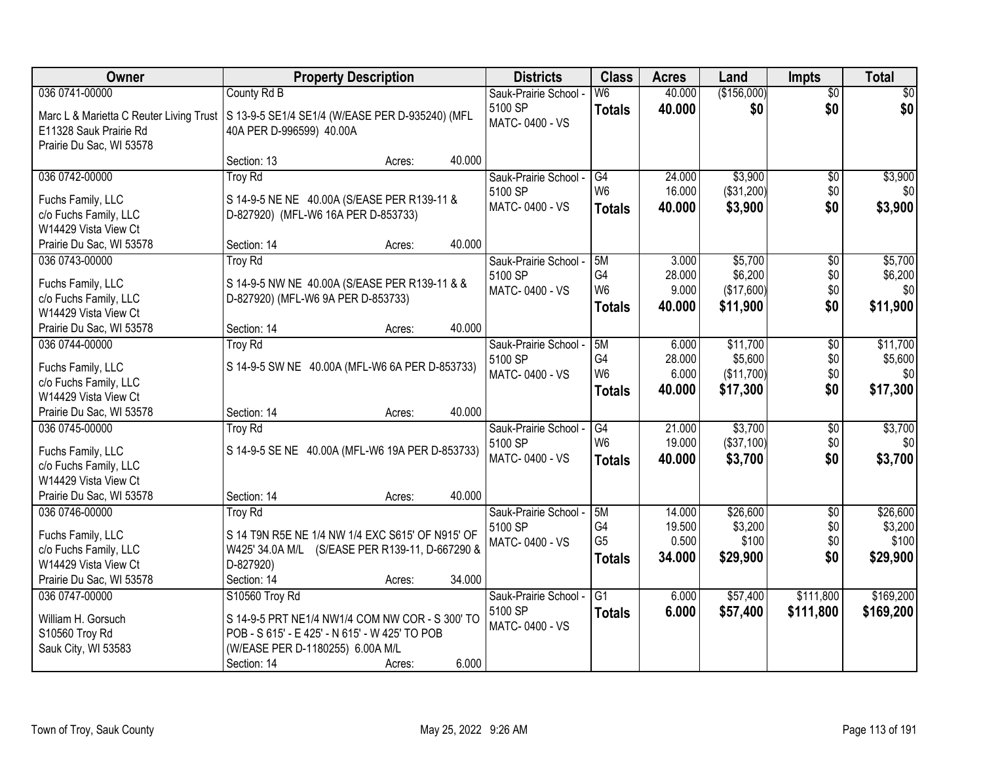| Owner                                   | <b>Property Description</b>                      |        |        | <b>Districts</b>      | <b>Class</b>    | <b>Acres</b> | Land        | <b>Impts</b>    | <b>Total</b> |
|-----------------------------------------|--------------------------------------------------|--------|--------|-----------------------|-----------------|--------------|-------------|-----------------|--------------|
| 036 0741-00000                          | County Rd B                                      |        |        | Sauk-Prairie School - | W6              | 40.000       | (\$156,000) | $\overline{50}$ | \$0          |
| Marc L & Marietta C Reuter Living Trust | S 13-9-5 SE1/4 SE1/4 (W/EASE PER D-935240) (MFL  |        |        | 5100 SP               | <b>Totals</b>   | 40.000       | \$0         | \$0             | \$0          |
| E11328 Sauk Prairie Rd                  | 40A PER D-996599) 40.00A                         |        |        | MATC-0400 - VS        |                 |              |             |                 |              |
| Prairie Du Sac, WI 53578                |                                                  |        |        |                       |                 |              |             |                 |              |
|                                         | Section: 13                                      | Acres: | 40.000 |                       |                 |              |             |                 |              |
| 036 0742-00000                          | <b>Troy Rd</b>                                   |        |        | Sauk-Prairie School - | G4              | 24,000       | \$3,900     | \$0             | \$3,900      |
| Fuchs Family, LLC                       | S 14-9-5 NE NE 40.00A (S/EASE PER R139-11 &      |        |        | 5100 SP               | W <sub>6</sub>  | 16.000       | (\$31,200)  | \$0             | \$0          |
| c/o Fuchs Family, LLC                   | D-827920) (MFL-W6 16A PER D-853733)              |        |        | MATC-0400 - VS        | <b>Totals</b>   | 40.000       | \$3,900     | \$0             | \$3,900      |
| W14429 Vista View Ct                    |                                                  |        |        |                       |                 |              |             |                 |              |
| Prairie Du Sac, WI 53578                | Section: 14                                      | Acres: | 40.000 |                       |                 |              |             |                 |              |
| 036 0743-00000                          | <b>Troy Rd</b>                                   |        |        | Sauk-Prairie School - | 15M             | 3.000        | \$5,700     | \$0             | \$5,700      |
| Fuchs Family, LLC                       | S 14-9-5 NW NE 40.00A (S/EASE PER R139-11 & &    |        |        | 5100 SP               | G <sub>4</sub>  | 28.000       | \$6,200     | \$0             | \$6,200      |
| c/o Fuchs Family, LLC                   | D-827920) (MFL-W6 9A PER D-853733)               |        |        | MATC-0400 - VS        | W <sub>6</sub>  | 9.000        | (\$17,600)  | \$0             | \$0          |
| W14429 Vista View Ct                    |                                                  |        |        |                       | <b>Totals</b>   | 40.000       | \$11,900    | \$0             | \$11,900     |
| Prairie Du Sac, WI 53578                | Section: 14                                      | Acres: | 40.000 |                       |                 |              |             |                 |              |
| 036 0744-00000                          | <b>Troy Rd</b>                                   |        |        | Sauk-Prairie School - | 5M              | 6.000        | \$11,700    | \$0             | \$11,700     |
| Fuchs Family, LLC                       | S 14-9-5 SW NE 40.00A (MFL-W6 6A PER D-853733)   |        |        | 5100 SP               | G4              | 28.000       | \$5,600     | \$0             | \$5,600      |
| c/o Fuchs Family, LLC                   |                                                  |        |        | MATC-0400 - VS        | W <sub>6</sub>  | 6.000        | (\$11,700)  | \$0             | \$0          |
| W14429 Vista View Ct                    |                                                  |        |        |                       | <b>Totals</b>   | 40.000       | \$17,300    | \$0             | \$17,300     |
| Prairie Du Sac, WI 53578                | Section: 14                                      | Acres: | 40.000 |                       |                 |              |             |                 |              |
| 036 0745-00000                          | <b>Troy Rd</b>                                   |        |        | Sauk-Prairie School - | $\overline{G4}$ | 21.000       | \$3,700     | $\overline{50}$ | \$3,700      |
| Fuchs Family, LLC                       | S 14-9-5 SE NE 40.00A (MFL-W6 19A PER D-853733)  |        |        | 5100 SP               | W <sub>6</sub>  | 19.000       | (\$37,100)  | \$0             | \$0          |
| c/o Fuchs Family, LLC                   |                                                  |        |        | MATC-0400 - VS        | <b>Totals</b>   | 40.000       | \$3,700     | \$0             | \$3,700      |
| W14429 Vista View Ct                    |                                                  |        |        |                       |                 |              |             |                 |              |
| Prairie Du Sac, WI 53578                | Section: 14                                      | Acres: | 40.000 |                       |                 |              |             |                 |              |
| 036 0746-00000                          | <b>Troy Rd</b>                                   |        |        | Sauk-Prairie School - | 5M              | 14.000       | \$26,600    | $\overline{50}$ | \$26,600     |
| Fuchs Family, LLC                       | S 14 T9N R5E NE 1/4 NW 1/4 EXC S615' OF N915' OF |        |        | 5100 SP               | G <sub>4</sub>  | 19.500       | \$3,200     | \$0             | \$3,200      |
| c/o Fuchs Family, LLC                   | W425' 34.0A M/L (S/EASE PER R139-11, D-667290 &  |        |        | MATC-0400 - VS        | G <sub>5</sub>  | 0.500        | \$100       | \$0             | \$100        |
| W14429 Vista View Ct                    | D-827920)                                        |        |        |                       | <b>Totals</b>   | 34,000       | \$29,900    | \$0             | \$29,900     |
| Prairie Du Sac, WI 53578                | Section: 14                                      | Acres: | 34.000 |                       |                 |              |             |                 |              |
| 036 0747-00000                          | S10560 Troy Rd                                   |        |        | Sauk-Prairie School - | G1              | 6.000        | \$57,400    | \$111,800       | \$169,200    |
| William H. Gorsuch                      | S 14-9-5 PRT NE1/4 NW1/4 COM NW COR - S 300' TO  |        |        | 5100 SP               | <b>Totals</b>   | 6.000        | \$57,400    | \$111,800       | \$169,200    |
| S10560 Troy Rd                          | POB - S 615' - E 425' - N 615' - W 425' TO POB   |        |        | MATC-0400 - VS        |                 |              |             |                 |              |
| Sauk City, WI 53583                     | (W/EASE PER D-1180255) 6.00A M/L                 |        |        |                       |                 |              |             |                 |              |
|                                         | Section: 14                                      | Acres: | 6.000  |                       |                 |              |             |                 |              |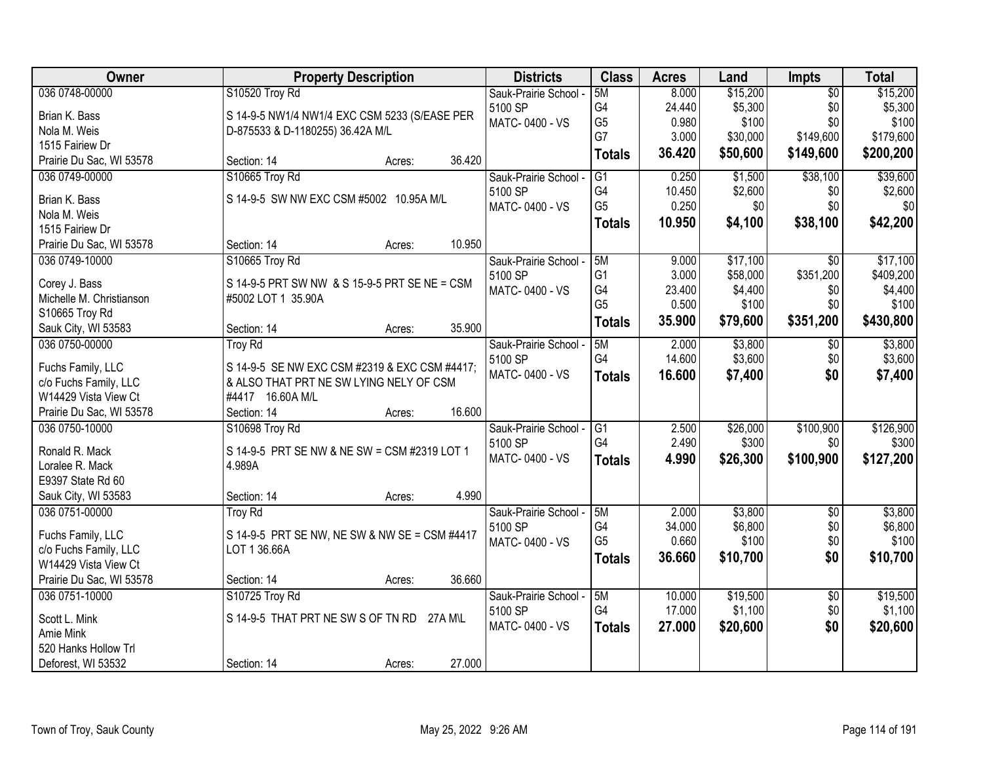| Owner                         | <b>Property Description</b>                   | <b>Districts</b>      | <b>Class</b>    | <b>Acres</b> | Land     | Impts           | <b>Total</b> |
|-------------------------------|-----------------------------------------------|-----------------------|-----------------|--------------|----------|-----------------|--------------|
| 036 0748-00000                | S10520 Troy Rd                                | Sauk-Prairie School - | 5M              | 8.000        | \$15,200 | $\overline{50}$ | \$15,200     |
| Brian K. Bass                 | S 14-9-5 NW1/4 NW1/4 EXC CSM 5233 (S/EASE PER | 5100 SP               | G4              | 24.440       | \$5,300  | \$0             | \$5,300      |
| Nola M. Weis                  | D-875533 & D-1180255) 36.42A M/L              | MATC-0400 - VS        | G <sub>5</sub>  | 0.980        | \$100    | \$0             | \$100        |
| 1515 Fairiew Dr               |                                               |                       | G7              | 3.000        | \$30,000 | \$149,600       | \$179,600    |
| Prairie Du Sac, WI 53578      | 36.420<br>Section: 14<br>Acres:               |                       | <b>Totals</b>   | 36.420       | \$50,600 | \$149,600       | \$200,200    |
| 036 0749-00000                | S10665 Troy Rd                                | Sauk-Prairie School - | $\overline{G1}$ | 0.250        | \$1,500  | \$38,100        | \$39,600     |
|                               | S 14-9-5 SW NW EXC CSM #5002 10.95A M/L       | 5100 SP               | G4              | 10.450       | \$2,600  | \$0             | \$2,600      |
| Brian K. Bass<br>Nola M. Weis |                                               | MATC-0400 - VS        | G <sub>5</sub>  | 0.250        | \$0      | \$0             | \$0          |
| 1515 Fairiew Dr               |                                               |                       | <b>Totals</b>   | 10.950       | \$4,100  | \$38,100        | \$42,200     |
| Prairie Du Sac, WI 53578      | 10.950<br>Section: 14<br>Acres:               |                       |                 |              |          |                 |              |
| 036 0749-10000                | S10665 Troy Rd                                | Sauk-Prairie School - | 5M              | 9.000        | \$17,100 | \$0             | \$17,100     |
|                               |                                               | 5100 SP               | G <sub>1</sub>  | 3.000        | \$58,000 | \$351,200       | \$409,200    |
| Corey J. Bass                 | S 14-9-5 PRT SW NW & S 15-9-5 PRT SE NE = CSM | MATC-0400 - VS        | G4              | 23.400       | \$4,400  | \$0             | \$4,400      |
| Michelle M. Christianson      | #5002 LOT 1 35.90A                            |                       | G <sub>5</sub>  | 0.500        | \$100    | \$0             | \$100        |
| S10665 Troy Rd                |                                               |                       |                 | 35.900       | \$79,600 | \$351,200       | \$430,800    |
| Sauk City, WI 53583           | 35.900<br>Section: 14<br>Acres:               |                       | <b>Totals</b>   |              |          |                 |              |
| 036 0750-00000                | <b>Troy Rd</b>                                | Sauk-Prairie School - | 5M              | 2.000        | \$3,800  | \$0             | \$3,800      |
| Fuchs Family, LLC             | S 14-9-5 SE NW EXC CSM #2319 & EXC CSM #4417; | 5100 SP               | G4              | 14.600       | \$3,600  | \$0             | \$3,600      |
| c/o Fuchs Family, LLC         | & ALSO THAT PRT NE SW LYING NELY OF CSM       | MATC-0400 - VS        | <b>Totals</b>   | 16.600       | \$7,400  | \$0             | \$7,400      |
| W14429 Vista View Ct          | #4417 16.60A M/L                              |                       |                 |              |          |                 |              |
| Prairie Du Sac, WI 53578      | 16.600<br>Section: 14<br>Acres:               |                       |                 |              |          |                 |              |
| 036 0750-10000                | S10698 Troy Rd                                | Sauk-Prairie School - | G1              | 2.500        | \$26,000 | \$100,900       | \$126,900    |
|                               |                                               | 5100 SP               | G4              | 2.490        | \$300    | \$0             | \$300        |
| Ronald R. Mack                | S 14-9-5 PRT SE NW & NE SW = CSM #2319 LOT 1  | MATC-0400 - VS        |                 | 4.990        |          | \$100,900       | \$127,200    |
| Loralee R. Mack               | 4.989A                                        |                       | <b>Totals</b>   |              | \$26,300 |                 |              |
| E9397 State Rd 60             |                                               |                       |                 |              |          |                 |              |
| Sauk City, WI 53583           | 4.990<br>Section: 14<br>Acres:                |                       |                 |              |          |                 |              |
| 036 0751-00000                | <b>Troy Rd</b>                                | Sauk-Prairie School - | 5M              | 2.000        | \$3,800  | $\overline{50}$ | \$3,800      |
| Fuchs Family, LLC             | S 14-9-5 PRT SE NW, NE SW & NW SE = CSM #4417 | 5100 SP               | G4              | 34.000       | \$6,800  | \$0             | \$6,800      |
| c/o Fuchs Family, LLC         | LOT 1 36.66A                                  | MATC-0400 - VS        | G <sub>5</sub>  | 0.660        | \$100    | \$0             | \$100        |
| W14429 Vista View Ct          |                                               |                       | <b>Totals</b>   | 36.660       | \$10,700 | \$0             | \$10,700     |
| Prairie Du Sac, WI 53578      | 36.660<br>Section: 14<br>Acres:               |                       |                 |              |          |                 |              |
| 036 0751-10000                | S10725 Troy Rd                                | Sauk-Prairie School - | 5M              | 10.000       | \$19,500 | $\overline{50}$ | \$19,500     |
|                               |                                               | 5100 SP               | G4              | 17.000       | \$1,100  | \$0             | \$1,100      |
| Scott L. Mink                 | S 14-9-5 THAT PRT NE SW S OF TN RD<br>27A M\L | MATC-0400 - VS        |                 | 27.000       | \$20,600 | \$0             |              |
| Amie Mink                     |                                               |                       | <b>Totals</b>   |              |          |                 | \$20,600     |
| 520 Hanks Hollow Trl          |                                               |                       |                 |              |          |                 |              |
| Deforest, WI 53532            | 27.000<br>Section: 14<br>Acres:               |                       |                 |              |          |                 |              |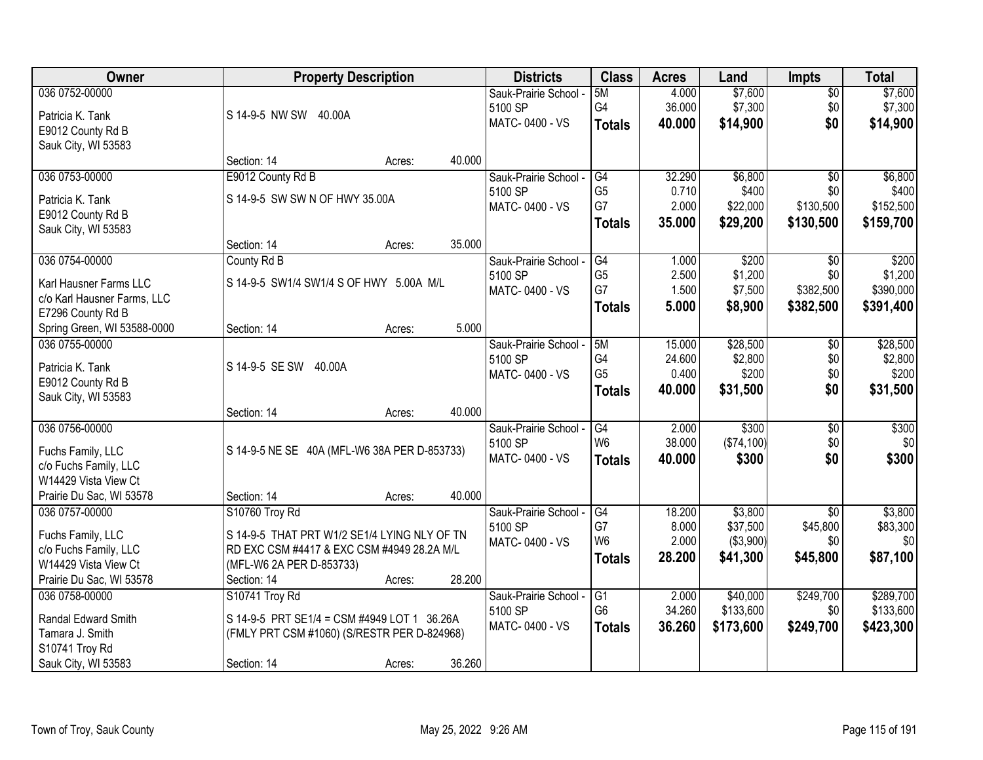| 036 0752-00000<br>\$7,600<br>5M<br>4.000<br>\$0<br>Sauk-Prairie School -<br>G4<br>\$7,300<br>36.000<br>\$0<br>\$7,300<br>5100 SP<br>S 14-9-5 NW SW 40.00A<br>Patricia K. Tank<br>MATC-0400 - VS<br>\$0<br>40.000<br>\$14,900<br>\$14,900<br><b>Totals</b><br>E9012 County Rd B<br>Sauk City, WI 53583<br>40.000<br>Section: 14<br>Acres:<br>036 0753-00000<br>E9012 County Rd B<br>32.290<br>\$6,800<br>Sauk-Prairie School -<br>G4<br>$\overline{50}$<br>G <sub>5</sub><br>0.710<br>5100 SP<br>\$400<br>\$0<br>S 14-9-5 SW SW N OF HWY 35.00A<br>Patricia K. Tank<br>G7<br>2.000<br>\$22,000<br>\$130,500<br>MATC-0400 - VS<br>E9012 County Rd B<br>35.000<br>\$29,200<br>\$130,500<br>\$159,700<br><b>Totals</b><br>Sauk City, WI 53583<br>35.000<br>Section: 14<br>Acres:<br>036 0754-00000<br>\$200<br>\$200<br>County Rd B<br>Sauk-Prairie School -<br>G4<br>1.000<br>\$0<br>G <sub>5</sub><br>2.500<br>\$1,200<br>\$0<br>5100 SP<br>S 14-9-5 SW1/4 SW1/4 S OF HWY 5.00A M/L<br>Karl Hausner Farms LLC<br>G7<br>\$382,500<br>1.500<br>\$7,500<br>MATC-0400 - VS<br>c/o Karl Hausner Farms, LLC<br>5.000<br>\$8,900<br>\$382,500<br><b>Totals</b><br>E7296 County Rd B<br>5.000<br>Spring Green, WI 53588-0000<br>Section: 14<br>Acres:<br>036 0755-00000<br>\$28,500<br>5M<br>15.000<br>Sauk-Prairie School -<br>\$0<br>G4<br>\$2,800<br>5100 SP<br>24.600<br>\$0<br>S 14-9-5 SE SW 40.00A<br>Patricia K. Tank<br>G <sub>5</sub><br>\$200<br>0.400<br>\$0<br>MATC-0400 - VS<br>E9012 County Rd B<br>\$0<br>40.000<br>\$31,500<br><b>Totals</b><br>Sauk City, WI 53583<br>40.000<br>Section: 14<br>Acres:<br>\$300<br>036 0756-00000<br>$\overline{G4}$<br>2.000<br>$\overline{50}$<br>Sauk-Prairie School -<br>W <sub>6</sub><br>38.000<br>(\$74,100)<br>\$0<br>5100 SP<br>S 14-9-5 NE SE 40A (MFL-W6 38A PER D-853733)<br>Fuchs Family, LLC<br>\$0<br>40.000<br>\$300<br>MATC-0400 - VS<br><b>Totals</b><br>c/o Fuchs Family, LLC<br>W14429 Vista View Ct<br>Prairie Du Sac, WI 53578<br>40.000<br>Section: 14<br>Acres:<br>036 0757-00000<br>G4<br>18.200<br>\$3,800<br>$\sqrt{6}$<br>S10760 Troy Rd<br>Sauk-Prairie School - | Owner | <b>Property Description</b> |  | <b>Districts</b> | <b>Class</b> | <b>Acres</b> | Land    | <b>Impts</b> | <b>Total</b> |
|--------------------------------------------------------------------------------------------------------------------------------------------------------------------------------------------------------------------------------------------------------------------------------------------------------------------------------------------------------------------------------------------------------------------------------------------------------------------------------------------------------------------------------------------------------------------------------------------------------------------------------------------------------------------------------------------------------------------------------------------------------------------------------------------------------------------------------------------------------------------------------------------------------------------------------------------------------------------------------------------------------------------------------------------------------------------------------------------------------------------------------------------------------------------------------------------------------------------------------------------------------------------------------------------------------------------------------------------------------------------------------------------------------------------------------------------------------------------------------------------------------------------------------------------------------------------------------------------------------------------------------------------------------------------------------------------------------------------------------------------------------------------------------------------------------------------------------------------------------------------------------------------------------------------------------------------------------------------------------------------------------------------------------------------------------------------------------------------------------------------------------------|-------|-----------------------------|--|------------------|--------------|--------------|---------|--------------|--------------|
|                                                                                                                                                                                                                                                                                                                                                                                                                                                                                                                                                                                                                                                                                                                                                                                                                                                                                                                                                                                                                                                                                                                                                                                                                                                                                                                                                                                                                                                                                                                                                                                                                                                                                                                                                                                                                                                                                                                                                                                                                                                                                                                                      |       |                             |  |                  |              |              | \$7,600 |              |              |
|                                                                                                                                                                                                                                                                                                                                                                                                                                                                                                                                                                                                                                                                                                                                                                                                                                                                                                                                                                                                                                                                                                                                                                                                                                                                                                                                                                                                                                                                                                                                                                                                                                                                                                                                                                                                                                                                                                                                                                                                                                                                                                                                      |       |                             |  |                  |              |              |         |              |              |
|                                                                                                                                                                                                                                                                                                                                                                                                                                                                                                                                                                                                                                                                                                                                                                                                                                                                                                                                                                                                                                                                                                                                                                                                                                                                                                                                                                                                                                                                                                                                                                                                                                                                                                                                                                                                                                                                                                                                                                                                                                                                                                                                      |       |                             |  |                  |              |              |         |              |              |
|                                                                                                                                                                                                                                                                                                                                                                                                                                                                                                                                                                                                                                                                                                                                                                                                                                                                                                                                                                                                                                                                                                                                                                                                                                                                                                                                                                                                                                                                                                                                                                                                                                                                                                                                                                                                                                                                                                                                                                                                                                                                                                                                      |       |                             |  |                  |              |              |         |              |              |
| \$6,800<br>\$400<br>\$152,500<br>\$1,200<br>\$390,000<br>\$391,400<br>\$28,500<br>\$2,800<br>\$200<br>\$31,500<br>\$300<br>\$0<br>\$300<br>\$3,800                                                                                                                                                                                                                                                                                                                                                                                                                                                                                                                                                                                                                                                                                                                                                                                                                                                                                                                                                                                                                                                                                                                                                                                                                                                                                                                                                                                                                                                                                                                                                                                                                                                                                                                                                                                                                                                                                                                                                                                   |       |                             |  |                  |              |              |         |              |              |
|                                                                                                                                                                                                                                                                                                                                                                                                                                                                                                                                                                                                                                                                                                                                                                                                                                                                                                                                                                                                                                                                                                                                                                                                                                                                                                                                                                                                                                                                                                                                                                                                                                                                                                                                                                                                                                                                                                                                                                                                                                                                                                                                      |       |                             |  |                  |              |              |         |              |              |
|                                                                                                                                                                                                                                                                                                                                                                                                                                                                                                                                                                                                                                                                                                                                                                                                                                                                                                                                                                                                                                                                                                                                                                                                                                                                                                                                                                                                                                                                                                                                                                                                                                                                                                                                                                                                                                                                                                                                                                                                                                                                                                                                      |       |                             |  |                  |              |              |         |              |              |
|                                                                                                                                                                                                                                                                                                                                                                                                                                                                                                                                                                                                                                                                                                                                                                                                                                                                                                                                                                                                                                                                                                                                                                                                                                                                                                                                                                                                                                                                                                                                                                                                                                                                                                                                                                                                                                                                                                                                                                                                                                                                                                                                      |       |                             |  |                  |              |              |         |              |              |
|                                                                                                                                                                                                                                                                                                                                                                                                                                                                                                                                                                                                                                                                                                                                                                                                                                                                                                                                                                                                                                                                                                                                                                                                                                                                                                                                                                                                                                                                                                                                                                                                                                                                                                                                                                                                                                                                                                                                                                                                                                                                                                                                      |       |                             |  |                  |              |              |         |              |              |
|                                                                                                                                                                                                                                                                                                                                                                                                                                                                                                                                                                                                                                                                                                                                                                                                                                                                                                                                                                                                                                                                                                                                                                                                                                                                                                                                                                                                                                                                                                                                                                                                                                                                                                                                                                                                                                                                                                                                                                                                                                                                                                                                      |       |                             |  |                  |              |              |         |              |              |
|                                                                                                                                                                                                                                                                                                                                                                                                                                                                                                                                                                                                                                                                                                                                                                                                                                                                                                                                                                                                                                                                                                                                                                                                                                                                                                                                                                                                                                                                                                                                                                                                                                                                                                                                                                                                                                                                                                                                                                                                                                                                                                                                      |       |                             |  |                  |              |              |         |              |              |
|                                                                                                                                                                                                                                                                                                                                                                                                                                                                                                                                                                                                                                                                                                                                                                                                                                                                                                                                                                                                                                                                                                                                                                                                                                                                                                                                                                                                                                                                                                                                                                                                                                                                                                                                                                                                                                                                                                                                                                                                                                                                                                                                      |       |                             |  |                  |              |              |         |              |              |
|                                                                                                                                                                                                                                                                                                                                                                                                                                                                                                                                                                                                                                                                                                                                                                                                                                                                                                                                                                                                                                                                                                                                                                                                                                                                                                                                                                                                                                                                                                                                                                                                                                                                                                                                                                                                                                                                                                                                                                                                                                                                                                                                      |       |                             |  |                  |              |              |         |              |              |
|                                                                                                                                                                                                                                                                                                                                                                                                                                                                                                                                                                                                                                                                                                                                                                                                                                                                                                                                                                                                                                                                                                                                                                                                                                                                                                                                                                                                                                                                                                                                                                                                                                                                                                                                                                                                                                                                                                                                                                                                                                                                                                                                      |       |                             |  |                  |              |              |         |              |              |
|                                                                                                                                                                                                                                                                                                                                                                                                                                                                                                                                                                                                                                                                                                                                                                                                                                                                                                                                                                                                                                                                                                                                                                                                                                                                                                                                                                                                                                                                                                                                                                                                                                                                                                                                                                                                                                                                                                                                                                                                                                                                                                                                      |       |                             |  |                  |              |              |         |              |              |
|                                                                                                                                                                                                                                                                                                                                                                                                                                                                                                                                                                                                                                                                                                                                                                                                                                                                                                                                                                                                                                                                                                                                                                                                                                                                                                                                                                                                                                                                                                                                                                                                                                                                                                                                                                                                                                                                                                                                                                                                                                                                                                                                      |       |                             |  |                  |              |              |         |              |              |
|                                                                                                                                                                                                                                                                                                                                                                                                                                                                                                                                                                                                                                                                                                                                                                                                                                                                                                                                                                                                                                                                                                                                                                                                                                                                                                                                                                                                                                                                                                                                                                                                                                                                                                                                                                                                                                                                                                                                                                                                                                                                                                                                      |       |                             |  |                  |              |              |         |              |              |
|                                                                                                                                                                                                                                                                                                                                                                                                                                                                                                                                                                                                                                                                                                                                                                                                                                                                                                                                                                                                                                                                                                                                                                                                                                                                                                                                                                                                                                                                                                                                                                                                                                                                                                                                                                                                                                                                                                                                                                                                                                                                                                                                      |       |                             |  |                  |              |              |         |              |              |
|                                                                                                                                                                                                                                                                                                                                                                                                                                                                                                                                                                                                                                                                                                                                                                                                                                                                                                                                                                                                                                                                                                                                                                                                                                                                                                                                                                                                                                                                                                                                                                                                                                                                                                                                                                                                                                                                                                                                                                                                                                                                                                                                      |       |                             |  |                  |              |              |         |              |              |
|                                                                                                                                                                                                                                                                                                                                                                                                                                                                                                                                                                                                                                                                                                                                                                                                                                                                                                                                                                                                                                                                                                                                                                                                                                                                                                                                                                                                                                                                                                                                                                                                                                                                                                                                                                                                                                                                                                                                                                                                                                                                                                                                      |       |                             |  |                  |              |              |         |              |              |
|                                                                                                                                                                                                                                                                                                                                                                                                                                                                                                                                                                                                                                                                                                                                                                                                                                                                                                                                                                                                                                                                                                                                                                                                                                                                                                                                                                                                                                                                                                                                                                                                                                                                                                                                                                                                                                                                                                                                                                                                                                                                                                                                      |       |                             |  |                  |              |              |         |              |              |
|                                                                                                                                                                                                                                                                                                                                                                                                                                                                                                                                                                                                                                                                                                                                                                                                                                                                                                                                                                                                                                                                                                                                                                                                                                                                                                                                                                                                                                                                                                                                                                                                                                                                                                                                                                                                                                                                                                                                                                                                                                                                                                                                      |       |                             |  |                  |              |              |         |              |              |
|                                                                                                                                                                                                                                                                                                                                                                                                                                                                                                                                                                                                                                                                                                                                                                                                                                                                                                                                                                                                                                                                                                                                                                                                                                                                                                                                                                                                                                                                                                                                                                                                                                                                                                                                                                                                                                                                                                                                                                                                                                                                                                                                      |       |                             |  |                  |              |              |         |              |              |
|                                                                                                                                                                                                                                                                                                                                                                                                                                                                                                                                                                                                                                                                                                                                                                                                                                                                                                                                                                                                                                                                                                                                                                                                                                                                                                                                                                                                                                                                                                                                                                                                                                                                                                                                                                                                                                                                                                                                                                                                                                                                                                                                      |       |                             |  |                  |              |              |         |              |              |
|                                                                                                                                                                                                                                                                                                                                                                                                                                                                                                                                                                                                                                                                                                                                                                                                                                                                                                                                                                                                                                                                                                                                                                                                                                                                                                                                                                                                                                                                                                                                                                                                                                                                                                                                                                                                                                                                                                                                                                                                                                                                                                                                      |       |                             |  |                  |              |              |         |              |              |
|                                                                                                                                                                                                                                                                                                                                                                                                                                                                                                                                                                                                                                                                                                                                                                                                                                                                                                                                                                                                                                                                                                                                                                                                                                                                                                                                                                                                                                                                                                                                                                                                                                                                                                                                                                                                                                                                                                                                                                                                                                                                                                                                      |       |                             |  |                  |              |              |         |              |              |
|                                                                                                                                                                                                                                                                                                                                                                                                                                                                                                                                                                                                                                                                                                                                                                                                                                                                                                                                                                                                                                                                                                                                                                                                                                                                                                                                                                                                                                                                                                                                                                                                                                                                                                                                                                                                                                                                                                                                                                                                                                                                                                                                      |       |                             |  |                  |              |              |         |              |              |
| G7<br>\$45,800<br>8.000<br>\$37,500<br>\$83,300<br>5100 SP<br>S 14-9-5 THAT PRT W1/2 SE1/4 LYING NLY OF TN<br>Fuchs Family, LLC                                                                                                                                                                                                                                                                                                                                                                                                                                                                                                                                                                                                                                                                                                                                                                                                                                                                                                                                                                                                                                                                                                                                                                                                                                                                                                                                                                                                                                                                                                                                                                                                                                                                                                                                                                                                                                                                                                                                                                                                      |       |                             |  |                  |              |              |         |              |              |
| W <sub>6</sub><br>2.000<br>( \$3,900)<br>\$0<br>\$0<br>MATC-0400 - VS<br>RD EXC CSM #4417 & EXC CSM #4949 28.2A M/L<br>c/o Fuchs Family, LLC                                                                                                                                                                                                                                                                                                                                                                                                                                                                                                                                                                                                                                                                                                                                                                                                                                                                                                                                                                                                                                                                                                                                                                                                                                                                                                                                                                                                                                                                                                                                                                                                                                                                                                                                                                                                                                                                                                                                                                                         |       |                             |  |                  |              |              |         |              |              |
| \$87,100<br>28.200<br>\$41,300<br>\$45,800<br><b>Totals</b><br>(MFL-W6 2A PER D-853733)<br>W14429 Vista View Ct                                                                                                                                                                                                                                                                                                                                                                                                                                                                                                                                                                                                                                                                                                                                                                                                                                                                                                                                                                                                                                                                                                                                                                                                                                                                                                                                                                                                                                                                                                                                                                                                                                                                                                                                                                                                                                                                                                                                                                                                                      |       |                             |  |                  |              |              |         |              |              |
| 28.200<br>Prairie Du Sac, WI 53578<br>Section: 14<br>Acres:                                                                                                                                                                                                                                                                                                                                                                                                                                                                                                                                                                                                                                                                                                                                                                                                                                                                                                                                                                                                                                                                                                                                                                                                                                                                                                                                                                                                                                                                                                                                                                                                                                                                                                                                                                                                                                                                                                                                                                                                                                                                          |       |                             |  |                  |              |              |         |              |              |
| \$249,700<br>\$40,000<br>\$289,700<br>036 0758-00000<br>S10741 Troy Rd<br>Sauk-Prairie School -<br>G1<br>2.000                                                                                                                                                                                                                                                                                                                                                                                                                                                                                                                                                                                                                                                                                                                                                                                                                                                                                                                                                                                                                                                                                                                                                                                                                                                                                                                                                                                                                                                                                                                                                                                                                                                                                                                                                                                                                                                                                                                                                                                                                       |       |                             |  |                  |              |              |         |              |              |
| G <sub>6</sub><br>34.260<br>\$133,600<br>\$133,600<br>\$0<br>5100 SP                                                                                                                                                                                                                                                                                                                                                                                                                                                                                                                                                                                                                                                                                                                                                                                                                                                                                                                                                                                                                                                                                                                                                                                                                                                                                                                                                                                                                                                                                                                                                                                                                                                                                                                                                                                                                                                                                                                                                                                                                                                                 |       |                             |  |                  |              |              |         |              |              |
| S 14-9-5 PRT SE1/4 = CSM #4949 LOT 1 36.26A<br>Randal Edward Smith<br>MATC-0400 - VS<br>36.260<br>\$173,600<br>\$249,700<br>\$423,300<br><b>Totals</b><br>Tamara J. Smith                                                                                                                                                                                                                                                                                                                                                                                                                                                                                                                                                                                                                                                                                                                                                                                                                                                                                                                                                                                                                                                                                                                                                                                                                                                                                                                                                                                                                                                                                                                                                                                                                                                                                                                                                                                                                                                                                                                                                            |       |                             |  |                  |              |              |         |              |              |
| (FMLY PRT CSM #1060) (S/RESTR PER D-824968)<br>S10741 Troy Rd                                                                                                                                                                                                                                                                                                                                                                                                                                                                                                                                                                                                                                                                                                                                                                                                                                                                                                                                                                                                                                                                                                                                                                                                                                                                                                                                                                                                                                                                                                                                                                                                                                                                                                                                                                                                                                                                                                                                                                                                                                                                        |       |                             |  |                  |              |              |         |              |              |
| 36.260<br>Sauk City, WI 53583<br>Section: 14<br>Acres:                                                                                                                                                                                                                                                                                                                                                                                                                                                                                                                                                                                                                                                                                                                                                                                                                                                                                                                                                                                                                                                                                                                                                                                                                                                                                                                                                                                                                                                                                                                                                                                                                                                                                                                                                                                                                                                                                                                                                                                                                                                                               |       |                             |  |                  |              |              |         |              |              |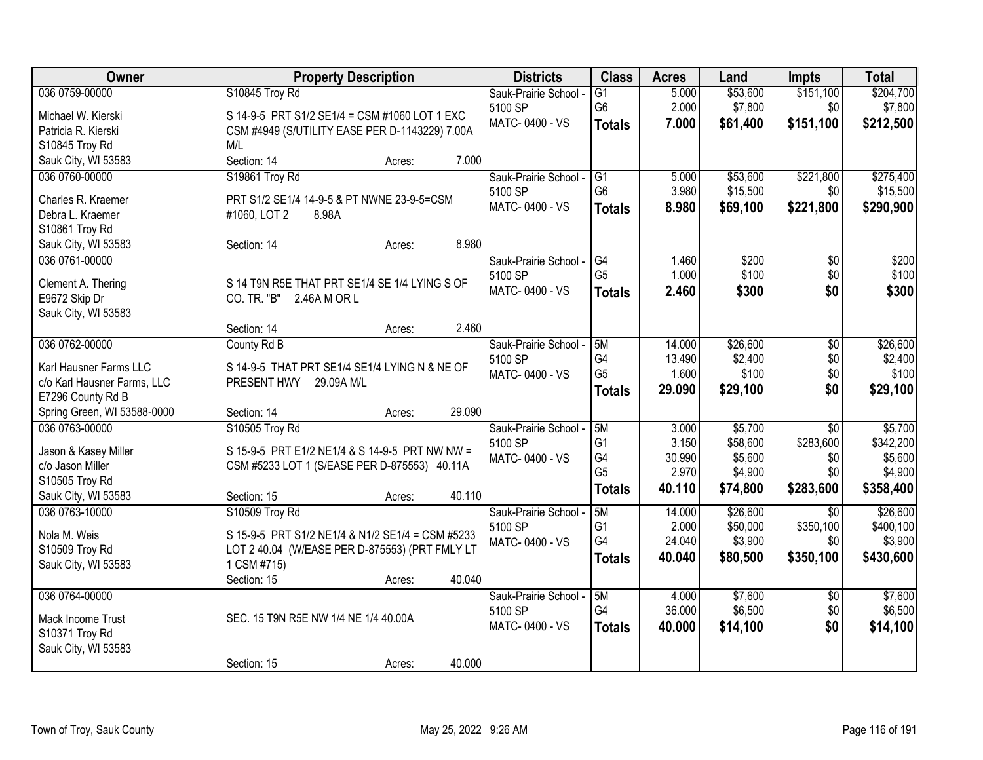| Owner                                 | <b>Property Description</b>                      | <b>Districts</b>                 | <b>Class</b>    | <b>Acres</b> | Land     | <b>Impts</b>    | <b>Total</b> |
|---------------------------------------|--------------------------------------------------|----------------------------------|-----------------|--------------|----------|-----------------|--------------|
| 036 0759-00000                        | S10845 Troy Rd                                   | Sauk-Prairie School -            | $\overline{G1}$ | 5.000        | \$53,600 | \$151,100       | \$204,700    |
| Michael W. Kierski                    | S 14-9-5 PRT S1/2 SE1/4 = CSM #1060 LOT 1 EXC    | 5100 SP                          | G <sub>6</sub>  | 2.000        | \$7,800  | \$0             | \$7,800      |
| Patricia R. Kierski                   | CSM #4949 (S/UTILITY EASE PER D-1143229) 7.00A   | MATC-0400 - VS                   | <b>Totals</b>   | 7.000        | \$61,400 | \$151,100       | \$212,500    |
| S10845 Troy Rd                        | M/L                                              |                                  |                 |              |          |                 |              |
| Sauk City, WI 53583                   | Section: 14<br>7.000<br>Acres:                   |                                  |                 |              |          |                 |              |
| 036 0760-00000                        | S19861 Troy Rd                                   | Sauk-Prairie School -            | G1              | 5.000        | \$53,600 | \$221,800       | \$275,400    |
|                                       |                                                  | 5100 SP                          | G <sub>6</sub>  | 3.980        | \$15,500 | \$0             | \$15,500     |
| Charles R. Kraemer                    | PRT S1/2 SE1/4 14-9-5 & PT NWNE 23-9-5=CSM       | MATC-0400 - VS                   | <b>Totals</b>   | 8.980        | \$69,100 | \$221,800       | \$290,900    |
| Debra L. Kraemer<br>S10861 Troy Rd    | #1060, LOT 2<br>8.98A                            |                                  |                 |              |          |                 |              |
| Sauk City, WI 53583                   | 8.980<br>Section: 14<br>Acres:                   |                                  |                 |              |          |                 |              |
| 036 0761-00000                        |                                                  | Sauk-Prairie School -            | $\overline{G4}$ | 1.460        | \$200    | $\overline{50}$ | \$200        |
|                                       |                                                  | 5100 SP                          | G <sub>5</sub>  | 1.000        | \$100    | \$0             | \$100        |
| Clement A. Thering                    | S 14 T9N R5E THAT PRT SE1/4 SE 1/4 LYING S OF    | MATC-0400 - VS                   |                 | 2.460        | \$300    | \$0             | \$300        |
| E9672 Skip Dr                         | CO. TR. "B"<br>2.46A M OR L                      |                                  | <b>Totals</b>   |              |          |                 |              |
| Sauk City, WI 53583                   |                                                  |                                  |                 |              |          |                 |              |
|                                       | 2.460<br>Section: 14<br>Acres:                   |                                  |                 |              |          |                 |              |
| 036 0762-00000                        | County Rd B                                      | Sauk-Prairie School -            | 5M              | 14.000       | \$26,600 | \$0             | \$26,600     |
| Karl Hausner Farms LLC                | S 14-9-5 THAT PRT SE1/4 SE1/4 LYING N & NE OF    | 5100 SP                          | G4              | 13.490       | \$2,400  | \$0             | \$2,400      |
| c/o Karl Hausner Farms, LLC           | PRESENT HWY 29.09A M/L                           | MATC-0400 - VS                   | G <sub>5</sub>  | 1.600        | \$100    | \$0             | \$100        |
| E7296 County Rd B                     |                                                  |                                  | <b>Totals</b>   | 29.090       | \$29,100 | \$0             | \$29,100     |
| Spring Green, WI 53588-0000           | 29.090<br>Section: 14<br>Acres:                  |                                  |                 |              |          |                 |              |
| 036 0763-00000                        | S10505 Troy Rd                                   | Sauk-Prairie School -            | 5M              | 3.000        | \$5,700  | $\overline{30}$ | \$5,700      |
|                                       |                                                  | 5100 SP                          | G <sub>1</sub>  | 3.150        | \$58,600 | \$283,600       | \$342,200    |
| Jason & Kasey Miller                  | S 15-9-5 PRT E1/2 NE1/4 & S 14-9-5 PRT NW NW =   | MATC-0400 - VS                   | G4              | 30.990       | \$5,600  | \$0             | \$5,600      |
| c/o Jason Miller                      | CSM #5233 LOT 1 (S/EASE PER D-875553) 40.11A     |                                  | G <sub>5</sub>  | 2.970        | \$4,900  | \$0             | \$4,900      |
| S10505 Troy Rd                        | 40.110                                           |                                  | <b>Totals</b>   | 40.110       | \$74,800 | \$283,600       | \$358,400    |
| Sauk City, WI 53583<br>036 0763-10000 | Section: 15<br>Acres:                            |                                  | 5M              | 14.000       | \$26,600 | $\overline{50}$ | \$26,600     |
|                                       | S10509 Troy Rd                                   | Sauk-Prairie School -<br>5100 SP | G1              | 2.000        | \$50,000 | \$350,100       | \$400,100    |
| Nola M. Weis                          | S 15-9-5 PRT S1/2 NE1/4 & N1/2 SE1/4 = CSM #5233 | MATC-0400 - VS                   | G4              | 24.040       | \$3,900  | \$0             | \$3,900      |
| S10509 Troy Rd                        | LOT 2 40.04 (W/EASE PER D-875553) (PRT FMLY LT   |                                  | <b>Totals</b>   | 40,040       | \$80,500 | \$350,100       | \$430,600    |
| Sauk City, WI 53583                   | 1 CSM #715)                                      |                                  |                 |              |          |                 |              |
|                                       | 40.040<br>Section: 15<br>Acres:                  |                                  |                 |              |          |                 |              |
| 036 0764-00000                        |                                                  | Sauk-Prairie School -            | 5M              | 4.000        | \$7,600  | $\overline{50}$ | \$7,600      |
| Mack Income Trust                     | SEC. 15 T9N R5E NW 1/4 NE 1/4 40.00A             | 5100 SP                          | G4              | 36.000       | \$6,500  | \$0             | \$6,500      |
| S10371 Troy Rd                        |                                                  | MATC-0400 - VS                   | <b>Totals</b>   | 40.000       | \$14,100 | \$0             | \$14,100     |
| Sauk City, WI 53583                   |                                                  |                                  |                 |              |          |                 |              |
|                                       | 40.000<br>Section: 15<br>Acres:                  |                                  |                 |              |          |                 |              |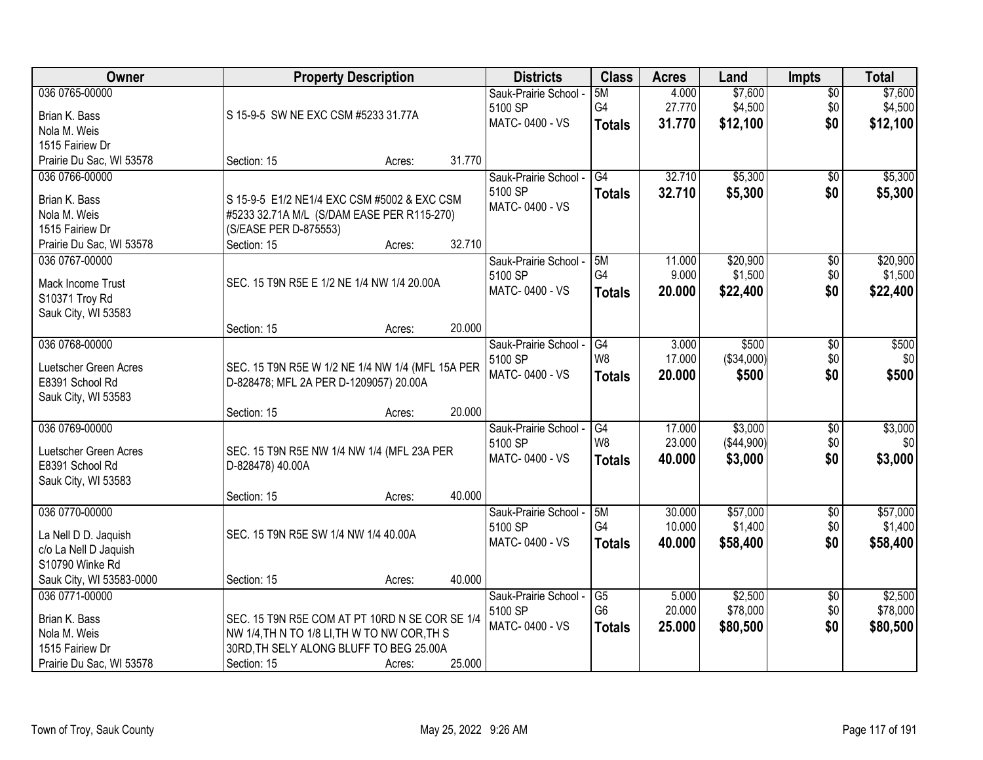| Owner                    |                                                  | <b>Property Description</b> |        | <b>Districts</b>      | <b>Class</b>    | <b>Acres</b> | Land       | <b>Impts</b>    | <b>Total</b> |
|--------------------------|--------------------------------------------------|-----------------------------|--------|-----------------------|-----------------|--------------|------------|-----------------|--------------|
| 036 0765-00000           |                                                  |                             |        | Sauk-Prairie School - | 5M              | 4.000        | \$7,600    | $\overline{50}$ | \$7,600      |
| Brian K. Bass            | S 15-9-5 SW NE EXC CSM #5233 31.77A              |                             |        | 5100 SP               | G4              | 27.770       | \$4,500    | \$0             | \$4,500      |
| Nola M. Weis             |                                                  |                             |        | MATC-0400 - VS        | <b>Totals</b>   | 31.770       | \$12,100   | \$0             | \$12,100     |
| 1515 Fairiew Dr          |                                                  |                             |        |                       |                 |              |            |                 |              |
| Prairie Du Sac, WI 53578 | Section: 15                                      | Acres:                      | 31.770 |                       |                 |              |            |                 |              |
| 036 0766-00000           |                                                  |                             |        | Sauk-Prairie School - | G4              | 32.710       | \$5,300    | $\overline{50}$ | \$5,300      |
| Brian K. Bass            | S 15-9-5 E1/2 NE1/4 EXC CSM #5002 & EXC CSM      |                             |        | 5100 SP               | <b>Totals</b>   | 32.710       | \$5,300    | \$0             | \$5,300      |
| Nola M. Weis             | #5233 32.71A M/L (S/DAM EASE PER R115-270)       |                             |        | MATC-0400 - VS        |                 |              |            |                 |              |
| 1515 Fairiew Dr          | (S/EASE PER D-875553)                            |                             |        |                       |                 |              |            |                 |              |
| Prairie Du Sac, WI 53578 | Section: 15                                      | Acres:                      | 32.710 |                       |                 |              |            |                 |              |
| 036 0767-00000           |                                                  |                             |        | Sauk-Prairie School - | 5M              | 11.000       | \$20,900   | $\overline{50}$ | \$20,900     |
| Mack Income Trust        | SEC. 15 T9N R5E E 1/2 NE 1/4 NW 1/4 20.00A       |                             |        | 5100 SP               | G4              | 9.000        | \$1,500    | \$0             | \$1,500      |
| S10371 Troy Rd           |                                                  |                             |        | MATC-0400 - VS        | <b>Totals</b>   | 20,000       | \$22,400   | \$0             | \$22,400     |
| Sauk City, WI 53583      |                                                  |                             |        |                       |                 |              |            |                 |              |
|                          | Section: 15                                      | Acres:                      | 20.000 |                       |                 |              |            |                 |              |
| 036 0768-00000           |                                                  |                             |        | Sauk-Prairie School - | G4              | 3.000        | \$500      | \$0             | \$500        |
| Luetscher Green Acres    | SEC. 15 T9N R5E W 1/2 NE 1/4 NW 1/4 (MFL 15A PER |                             |        | 5100 SP               | W <sub>8</sub>  | 17.000       | (\$34,000) | \$0             | \$0          |
| E8391 School Rd          | D-828478; MFL 2A PER D-1209057) 20.00A           |                             |        | MATC-0400 - VS        | <b>Totals</b>   | 20.000       | \$500      | \$0             | \$500        |
| Sauk City, WI 53583      |                                                  |                             |        |                       |                 |              |            |                 |              |
|                          | Section: 15                                      | Acres:                      | 20.000 |                       |                 |              |            |                 |              |
| 036 0769-00000           |                                                  |                             |        | Sauk-Prairie School - | G4              | 17.000       | \$3,000    | $\overline{30}$ | \$3,000      |
| Luetscher Green Acres    | SEC. 15 T9N R5E NW 1/4 NW 1/4 (MFL 23A PER       |                             |        | 5100 SP               | W <sub>8</sub>  | 23.000       | (\$44,900) | \$0             | \$0          |
| E8391 School Rd          | D-828478) 40.00A                                 |                             |        | MATC-0400 - VS        | <b>Totals</b>   | 40.000       | \$3,000    | \$0             | \$3,000      |
| Sauk City, WI 53583      |                                                  |                             |        |                       |                 |              |            |                 |              |
|                          | Section: 15                                      | Acres:                      | 40.000 |                       |                 |              |            |                 |              |
| 036 0770-00000           |                                                  |                             |        | Sauk-Prairie School - | 5M              | 30.000       | \$57,000   | $\sqrt{$0}$     | \$57,000     |
| La Nell D D. Jaquish     | SEC. 15 T9N R5E SW 1/4 NW 1/4 40.00A             |                             |        | 5100 SP               | G4              | 10.000       | \$1,400    | \$0             | \$1,400      |
| c/o La Nell D Jaquish    |                                                  |                             |        | MATC-0400 - VS        | <b>Totals</b>   | 40.000       | \$58,400   | \$0             | \$58,400     |
| S10790 Winke Rd          |                                                  |                             |        |                       |                 |              |            |                 |              |
| Sauk City, WI 53583-0000 | Section: 15                                      | Acres:                      | 40.000 |                       |                 |              |            |                 |              |
| 036 0771-00000           |                                                  |                             |        | Sauk-Prairie School - | $\overline{G5}$ | 5.000        | \$2,500    | $\overline{30}$ | \$2,500      |
| Brian K. Bass            | SEC. 15 T9N R5E COM AT PT 10RD N SE COR SE 1/4   |                             |        | 5100 SP               | G <sub>6</sub>  | 20.000       | \$78,000   | \$0             | \$78,000     |
| Nola M. Weis             | NW 1/4, TH N TO 1/8 LI, TH W TO NW COR, TH S     |                             |        | MATC-0400 - VS        | <b>Totals</b>   | 25.000       | \$80,500   | \$0             | \$80,500     |
| 1515 Fairiew Dr          | 30RD, TH SELY ALONG BLUFF TO BEG 25.00A          |                             |        |                       |                 |              |            |                 |              |
| Prairie Du Sac, WI 53578 | Section: 15                                      | Acres:                      | 25.000 |                       |                 |              |            |                 |              |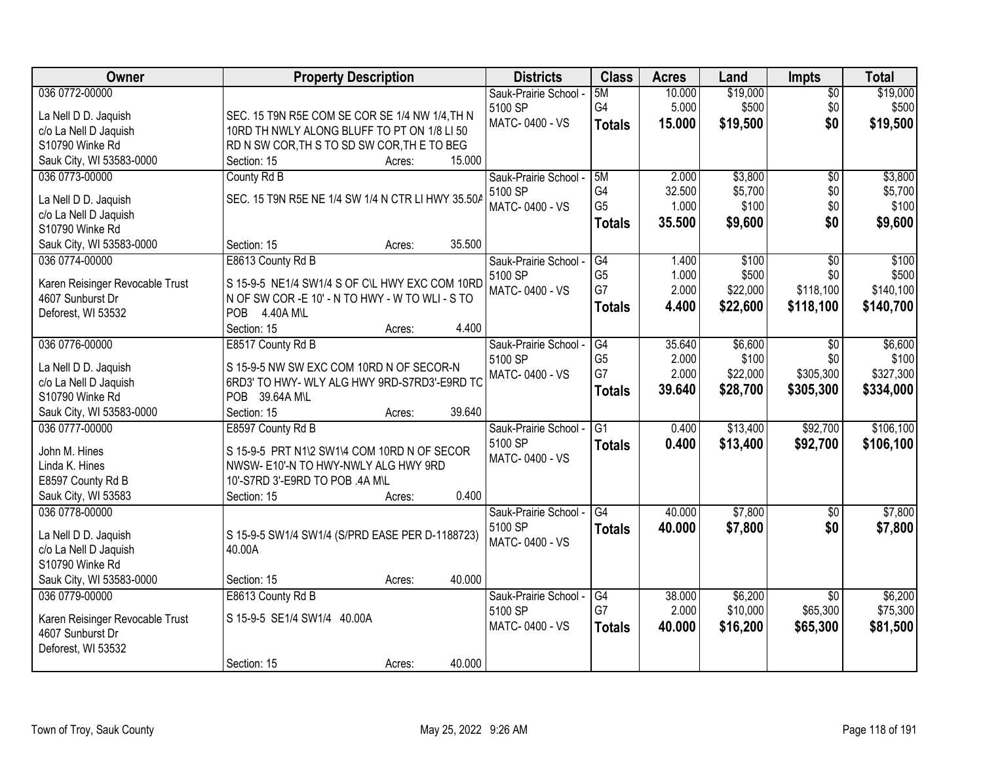| Owner                           | <b>Property Description</b>                       | <b>Districts</b>      | <b>Class</b>    | <b>Acres</b> | Land     | <b>Impts</b>    | <b>Total</b> |
|---------------------------------|---------------------------------------------------|-----------------------|-----------------|--------------|----------|-----------------|--------------|
| 036 0772-00000                  |                                                   | Sauk-Prairie School - | 5M              | 10.000       | \$19,000 | $\overline{50}$ | \$19,000     |
| La Nell D D. Jaquish            | SEC. 15 T9N R5E COM SE COR SE 1/4 NW 1/4, TH N    | 5100 SP               | G4              | 5.000        | \$500    | \$0             | \$500        |
| c/o La Nell D Jaquish           | 10RD TH NWLY ALONG BLUFF TO PT ON 1/8 LI 50       | MATC-0400 - VS        | <b>Totals</b>   | 15.000       | \$19,500 | \$0             | \$19,500     |
| S10790 Winke Rd                 | RD N SW COR, TH S TO SD SW COR, TH E TO BEG       |                       |                 |              |          |                 |              |
| Sauk City, WI 53583-0000        | 15.000<br>Section: 15<br>Acres:                   |                       |                 |              |          |                 |              |
| 036 0773-00000                  | County Rd B                                       | Sauk-Prairie School - | 5M              | 2.000        | \$3,800  | \$0             | \$3,800      |
| La Nell D D. Jaquish            | SEC. 15 T9N R5E NE 1/4 SW 1/4 N CTR LI HWY 35.50A | 5100 SP               | G4              | 32.500       | \$5,700  | \$0             | \$5,700      |
| c/o La Nell D Jaquish           |                                                   | MATC-0400 - VS        | G <sub>5</sub>  | 1.000        | \$100    | \$0             | \$100        |
| S10790 Winke Rd                 |                                                   |                       | <b>Totals</b>   | 35.500       | \$9,600  | \$0             | \$9,600      |
| Sauk City, WI 53583-0000        | 35.500<br>Section: 15<br>Acres:                   |                       |                 |              |          |                 |              |
| 036 0774-00000                  | E8613 County Rd B                                 | Sauk-Prairie School - | G4              | 1.400        | \$100    | $\overline{50}$ | \$100        |
|                                 |                                                   | 5100 SP               | G <sub>5</sub>  | 1.000        | \$500    | \$0             | \$500        |
| Karen Reisinger Revocable Trust | S 15-9-5 NE1/4 SW1/4 S OF C\L HWY EXC COM 10RD    | MATC-0400 - VS        | G7              | 2.000        | \$22,000 | \$118,100       | \$140,100    |
| 4607 Sunburst Dr                | N OF SW COR - E 10' - N TO HWY - W TO WLI - S TO  |                       | <b>Totals</b>   | 4.400        | \$22,600 | \$118,100       | \$140,700    |
| Deforest, WI 53532              | POB 4.40A M\L<br>4.400<br>Section: 15             |                       |                 |              |          |                 |              |
| 036 0776-00000                  | Acres:<br>E8517 County Rd B                       | Sauk-Prairie School - | G4              | 35.640       | \$6,600  | $\sqrt{6}$      | \$6,600      |
|                                 |                                                   | 5100 SP               | G <sub>5</sub>  | 2.000        | \$100    | \$0             | \$100        |
| La Nell D D. Jaquish            | S 15-9-5 NW SW EXC COM 10RD N OF SECOR-N          | MATC-0400 - VS        | G7              | 2.000        | \$22,000 | \$305,300       | \$327,300    |
| c/o La Nell D Jaquish           | 6RD3' TO HWY- WLY ALG HWY 9RD-S7RD3'-E9RD TC      |                       | <b>Totals</b>   | 39.640       | \$28,700 | \$305,300       | \$334,000    |
| S10790 Winke Rd                 | POB 39.64A M\L                                    |                       |                 |              |          |                 |              |
| Sauk City, WI 53583-0000        | 39.640<br>Section: 15<br>Acres:                   |                       |                 |              |          |                 |              |
| 036 0777-00000                  | E8597 County Rd B                                 | Sauk-Prairie School - | $\overline{G1}$ | 0.400        | \$13,400 | \$92,700        | \$106,100    |
| John M. Hines                   | S 15-9-5 PRT N1\2 SW1\4 COM 10RD N OF SECOR       | 5100 SP               | <b>Totals</b>   | 0.400        | \$13,400 | \$92,700        | \$106,100    |
| Linda K. Hines                  | NWSW- E10'-N TO HWY-NWLY ALG HWY 9RD              | MATC-0400 - VS        |                 |              |          |                 |              |
| E8597 County Rd B               | 10'-S7RD 3'-E9RD TO POB .4A M\L                   |                       |                 |              |          |                 |              |
| Sauk City, WI 53583             | 0.400<br>Section: 15<br>Acres:                    |                       |                 |              |          |                 |              |
| 036 0778-00000                  |                                                   | Sauk-Prairie School - | G4              | 40.000       | \$7,800  | \$0             | \$7,800      |
| La Nell D D. Jaquish            | S 15-9-5 SW1/4 SW1/4 (S/PRD EASE PER D-1188723)   | 5100 SP               | <b>Totals</b>   | 40.000       | \$7,800  | \$0             | \$7,800      |
| c/o La Nell D Jaquish           | 40.00A                                            | MATC-0400 - VS        |                 |              |          |                 |              |
| S10790 Winke Rd                 |                                                   |                       |                 |              |          |                 |              |
| Sauk City, WI 53583-0000        | 40.000<br>Section: 15<br>Acres:                   |                       |                 |              |          |                 |              |
| 036 0779-00000                  | E8613 County Rd B                                 | Sauk-Prairie School - | G4              | 38.000       | \$6,200  | $\overline{30}$ | \$6,200      |
|                                 |                                                   | 5100 SP               | G7              | 2.000        | \$10,000 | \$65,300        | \$75,300     |
| Karen Reisinger Revocable Trust | S 15-9-5 SE1/4 SW1/4 40.00A                       | MATC-0400 - VS        | <b>Totals</b>   | 40.000       | \$16,200 | \$65,300        | \$81,500     |
| 4607 Sunburst Dr                |                                                   |                       |                 |              |          |                 |              |
| Deforest, WI 53532              |                                                   |                       |                 |              |          |                 |              |
|                                 | 40.000<br>Section: 15<br>Acres:                   |                       |                 |              |          |                 |              |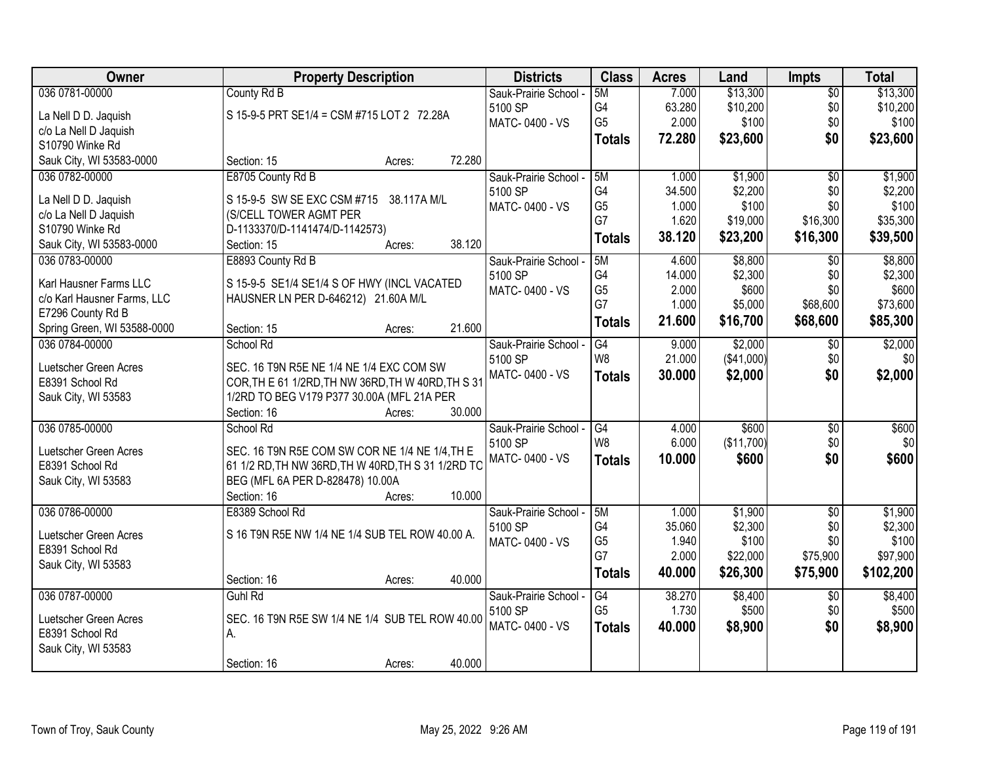| Owner                       | <b>Property Description</b>                        |        | <b>Districts</b>          | <b>Class</b>                      | <b>Acres</b> | Land       | <b>Impts</b>    | <b>Total</b> |
|-----------------------------|----------------------------------------------------|--------|---------------------------|-----------------------------------|--------------|------------|-----------------|--------------|
| 036 0781-00000              | County Rd B                                        |        | Sauk-Prairie School -     | 5M                                | 7.000        | \$13,300   | $\overline{50}$ | \$13,300     |
| La Nell D D. Jaquish        | S 15-9-5 PRT SE1/4 = CSM #715 LOT 2 72.28A         |        | 5100 SP                   | G4                                | 63.280       | \$10,200   | \$0             | \$10,200     |
| c/o La Nell D Jaquish       |                                                    |        | MATC-0400 - VS            | G <sub>5</sub>                    | 2.000        | \$100      | \$0             | \$100        |
| S10790 Winke Rd             |                                                    |        |                           | <b>Totals</b>                     | 72.280       | \$23,600   | \$0             | \$23,600     |
| Sauk City, WI 53583-0000    | Section: 15<br>Acres:                              | 72.280 |                           |                                   |              |            |                 |              |
| 036 0782-00000              | E8705 County Rd B                                  |        | Sauk-Prairie School -     | 5M                                | 1.000        | \$1,900    | $\overline{50}$ | \$1,900      |
| La Nell D D. Jaquish        | S 15-9-5 SW SE EXC CSM #715 38.117A M/L            |        | 5100 SP                   | G <sub>4</sub>                    | 34.500       | \$2,200    | \$0             | \$2,200      |
| c/o La Nell D Jaquish       | (S/CELL TOWER AGMT PER                             |        | MATC-0400 - VS            | G <sub>5</sub>                    | 1.000        | \$100      | \$0             | \$100        |
| S10790 Winke Rd             | D-1133370/D-1141474/D-1142573)                     |        |                           | G7                                | 1.620        | \$19,000   | \$16,300        | \$35,300     |
| Sauk City, WI 53583-0000    | Section: 15<br>Acres:                              | 38.120 |                           | <b>Totals</b>                     | 38.120       | \$23,200   | \$16,300        | \$39,500     |
| 036 0783-00000              | E8893 County Rd B                                  |        | Sauk-Prairie School -     | 5M                                | 4.600        | \$8,800    | \$0             | \$8,800      |
| Karl Hausner Farms LLC      | S 15-9-5 SE1/4 SE1/4 S OF HWY (INCL VACATED        |        | 5100 SP                   | G4                                | 14.000       | \$2,300    | \$0             | \$2,300      |
| c/o Karl Hausner Farms, LLC | HAUSNER LN PER D-646212) 21.60A M/L                |        | MATC-0400 - VS            | G <sub>5</sub>                    | 2.000        | \$600      | \$0             | \$600        |
| E7296 County Rd B           |                                                    |        |                           | G7                                | 1.000        | \$5,000    | \$68,600        | \$73,600     |
| Spring Green, WI 53588-0000 | Section: 15<br>Acres:                              | 21.600 |                           | Totals                            | 21.600       | \$16,700   | \$68,600        | \$85,300     |
| 036 0784-00000              | School Rd                                          |        | Sauk-Prairie School -     | G4                                | 9.000        | \$2,000    | \$0             | \$2,000      |
|                             |                                                    |        | 5100 SP                   | W8                                | 21.000       | (\$41,000) | \$0             | \$0          |
| Luetscher Green Acres       | SEC. 16 T9N R5E NE 1/4 NE 1/4 EXC COM SW           |        | MATC-0400 - VS            | <b>Totals</b>                     | 30.000       | \$2,000    | \$0             | \$2,000      |
| E8391 School Rd             | COR, TH E 61 1/2RD, TH NW 36RD, TH W 40RD, TH S 31 |        |                           |                                   |              |            |                 |              |
| Sauk City, WI 53583         | 1/2RD TO BEG V179 P377 30.00A (MFL 21A PER         |        |                           |                                   |              |            |                 |              |
|                             | Section: 16<br>Acres:                              | 30.000 |                           |                                   |              |            |                 |              |
| 036 0785-00000              | School Rd                                          |        | Sauk-Prairie School -     | $\overline{G4}$<br>W <sub>8</sub> | 4.000        | \$600      | $\overline{30}$ | \$600        |
| Luetscher Green Acres       | SEC. 16 T9N R5E COM SW COR NE 1/4 NE 1/4, TH E     |        | 5100 SP<br>MATC-0400 - VS |                                   | 6.000        | (\$11,700) | \$0             | \$0          |
| E8391 School Rd             | 61 1/2 RD, TH NW 36RD, TH W 40RD, TH S 31 1/2RD TO |        |                           | <b>Totals</b>                     | 10.000       | \$600      | \$0             | \$600        |
| Sauk City, WI 53583         | BEG (MFL 6A PER D-828478) 10.00A                   |        |                           |                                   |              |            |                 |              |
|                             | Section: 16<br>Acres:                              | 10.000 |                           |                                   |              |            |                 |              |
| 036 0786-00000              | E8389 School Rd                                    |        | Sauk-Prairie School -     | 5M                                | 1.000        | \$1,900    | $\overline{50}$ | \$1,900      |
| Luetscher Green Acres       | S 16 T9N R5E NW 1/4 NE 1/4 SUB TEL ROW 40.00 A.    |        | 5100 SP                   | G4                                | 35.060       | \$2,300    | \$0             | \$2,300      |
| E8391 School Rd             |                                                    |        | MATC-0400 - VS            | G <sub>5</sub>                    | 1.940        | \$100      | \$0             | \$100        |
| Sauk City, WI 53583         |                                                    |        |                           | G7                                | 2.000        | \$22,000   | \$75,900        | \$97,900     |
|                             | Section: 16<br>Acres:                              | 40.000 |                           | <b>Totals</b>                     | 40.000       | \$26,300   | \$75,900        | \$102,200    |
| 036 0787-00000              | Guhl Rd                                            |        | Sauk-Prairie School -     | G4                                | 38.270       | \$8,400    | $\overline{30}$ | \$8,400      |
| Luetscher Green Acres       | SEC. 16 T9N R5E SW 1/4 NE 1/4 SUB TEL ROW 40.00    |        | 5100 SP                   | G <sub>5</sub>                    | 1.730        | \$500      | \$0             | \$500        |
| E8391 School Rd             | А.                                                 |        | MATC-0400 - VS            | <b>Totals</b>                     | 40.000       | \$8,900    | \$0             | \$8,900      |
| Sauk City, WI 53583         |                                                    |        |                           |                                   |              |            |                 |              |
|                             | Section: 16<br>Acres:                              | 40.000 |                           |                                   |              |            |                 |              |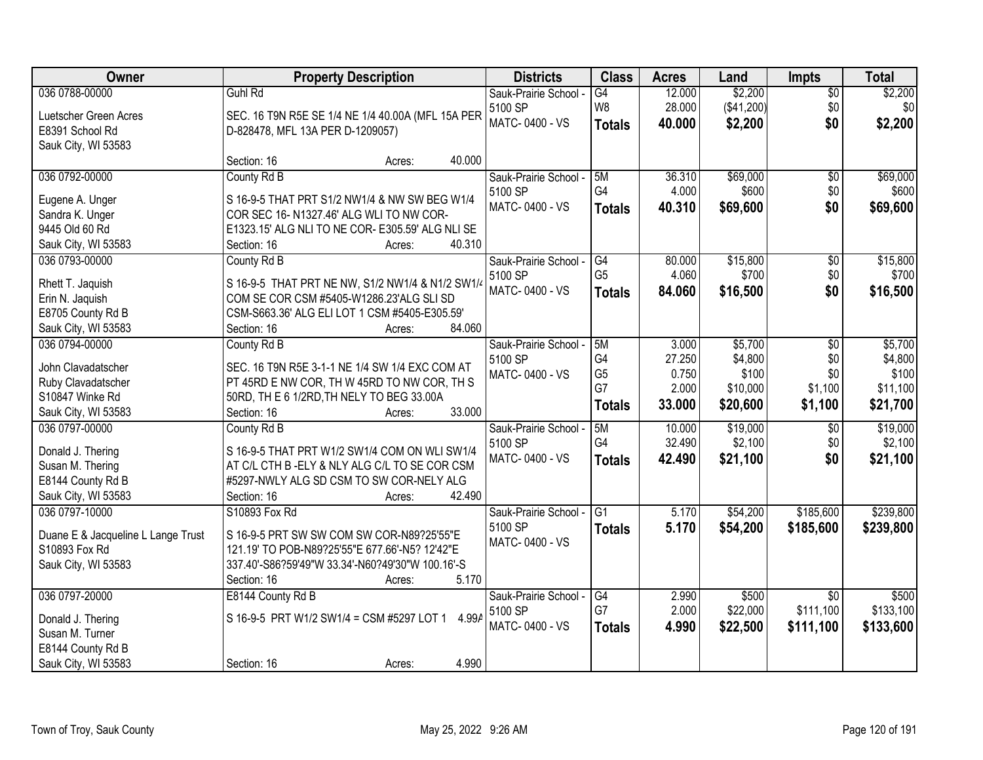| Owner                              | <b>Property Description</b>                        | <b>Districts</b>      | <b>Class</b>   | <b>Acres</b> | Land       | Impts           | <b>Total</b>     |
|------------------------------------|----------------------------------------------------|-----------------------|----------------|--------------|------------|-----------------|------------------|
| 036 0788-00000                     | Guhl Rd                                            | Sauk-Prairie School - | G4             | 12.000       | \$2,200    | $\overline{50}$ | \$2,200          |
| Luetscher Green Acres              | SEC. 16 T9N R5E SE 1/4 NE 1/4 40.00A (MFL 15A PER  | 5100 SP               | W <sub>8</sub> | 28.000       | (\$41,200) | \$0             | \$0 <sub>1</sub> |
| E8391 School Rd                    | D-828478, MFL 13A PER D-1209057)                   | MATC-0400 - VS        | <b>Totals</b>  | 40.000       | \$2,200    | \$0             | \$2,200          |
| Sauk City, WI 53583                |                                                    |                       |                |              |            |                 |                  |
|                                    | 40.000<br>Section: 16<br>Acres:                    |                       |                |              |            |                 |                  |
| 036 0792-00000                     | County Rd B                                        | Sauk-Prairie School - | 5M             | 36.310       | \$69,000   | $\overline{50}$ | \$69,000         |
|                                    |                                                    | 5100 SP               | G4             | 4.000        | \$600      | \$0             | \$600            |
| Eugene A. Unger                    | S 16-9-5 THAT PRT S1/2 NW1/4 & NW SW BEG W1/4      | MATC-0400 - VS        | <b>Totals</b>  | 40.310       | \$69,600   | \$0             | \$69,600         |
| Sandra K. Unger                    | COR SEC 16-N1327.46' ALG WLI TO NW COR-            |                       |                |              |            |                 |                  |
| 9445 Old 60 Rd                     | E1323.15' ALG NLI TO NE COR- E305.59' ALG NLI SE   |                       |                |              |            |                 |                  |
| Sauk City, WI 53583                | 40.310<br>Section: 16<br>Acres:                    |                       |                |              |            |                 |                  |
| 036 0793-00000                     | County Rd B                                        | Sauk-Prairie School - | G4             | 80.000       | \$15,800   | \$0             | \$15,800         |
| Rhett T. Jaquish                   | S 16-9-5 THAT PRT NE NW, S1/2 NW1/4 & N1/2 SW1/4   | 5100 SP               | G <sub>5</sub> | 4.060        | \$700      | \$0             | \$700            |
| Erin N. Jaquish                    | COM SE COR CSM #5405-W1286.23'ALG SLI SD           | MATC-0400 - VS        | <b>Totals</b>  | 84.060       | \$16,500   | \$0             | \$16,500         |
| E8705 County Rd B                  | CSM-S663.36' ALG ELI LOT 1 CSM #5405-E305.59'      |                       |                |              |            |                 |                  |
| Sauk City, WI 53583                | 84.060<br>Section: 16<br>Acres:                    |                       |                |              |            |                 |                  |
| 036 0794-00000                     | County Rd B                                        | Sauk-Prairie School - | 5M             | 3.000        | \$5,700    | \$0             | \$5,700          |
|                                    |                                                    | 5100 SP               | G4             | 27.250       | \$4,800    | \$0             | \$4,800          |
| John Clavadatscher                 | SEC. 16 T9N R5E 3-1-1 NE 1/4 SW 1/4 EXC COM AT     | MATC-0400 - VS        | G <sub>5</sub> | 0.750        | \$100      | \$0             | \$100            |
| Ruby Clavadatscher                 | PT 45RD E NW COR, TH W 45RD TO NW COR, TH S        |                       | G7             | 2.000        | \$10,000   | \$1,100         | \$11,100         |
| S10847 Winke Rd                    | 50RD, TH E 6 1/2RD, TH NELY TO BEG 33.00A          |                       |                | 33.000       |            |                 |                  |
| Sauk City, WI 53583                | 33.000<br>Section: 16<br>Acres:                    |                       | <b>Totals</b>  |              | \$20,600   | \$1,100         | \$21,700         |
| 036 0797-00000                     | County Rd B                                        | Sauk-Prairie School - | 5M             | 10.000       | \$19,000   | $\overline{30}$ | \$19,000         |
|                                    |                                                    | 5100 SP               | G4             | 32.490       | \$2,100    | \$0             | \$2,100          |
| Donald J. Thering                  | S 16-9-5 THAT PRT W1/2 SW1/4 COM ON WLI SW1/4      | MATC-0400 - VS        | <b>Totals</b>  | 42.490       | \$21,100   | \$0             | \$21,100         |
| Susan M. Thering                   | AT C/L CTH B-ELY & NLY ALG C/L TO SE COR CSM       |                       |                |              |            |                 |                  |
| E8144 County Rd B                  | #5297-NWLY ALG SD CSM TO SW COR-NELY ALG           |                       |                |              |            |                 |                  |
| Sauk City, WI 53583                | Section: 16<br>42.490<br>Acres:                    |                       |                |              |            |                 |                  |
| 036 0797-10000                     | S10893 Fox Rd                                      | Sauk-Prairie School - | G1             | 5.170        | \$54,200   | \$185,600       | \$239,800        |
| Duane E & Jacqueline L Lange Trust | S 16-9-5 PRT SW SW COM SW COR-N89?25'55"E          | 5100 SP               | <b>Totals</b>  | 5.170        | \$54,200   | \$185,600       | \$239,800        |
| S10893 Fox Rd                      | 121.19' TO POB-N89?25'55"E 677.66'-N5? 12'42"E     | MATC-0400 - VS        |                |              |            |                 |                  |
| Sauk City, WI 53583                | 337.40'-S86?59'49"W 33.34'-N60?49'30"W 100.16'-S   |                       |                |              |            |                 |                  |
|                                    | 5.170<br>Section: 16<br>Acres:                     |                       |                |              |            |                 |                  |
| 036 0797-20000                     | E8144 County Rd B                                  | Sauk-Prairie School - | G4             | 2.990        | \$500      | $\overline{30}$ | \$500            |
|                                    |                                                    | 5100 SP               | G7             | 2.000        | \$22,000   | \$111,100       | \$133,100        |
| Donald J. Thering                  | S 16-9-5 PRT W1/2 SW1/4 = CSM #5297 LOT 1<br>4.99A | MATC-0400 - VS        | <b>Totals</b>  | 4.990        | \$22,500   | \$111,100       | \$133,600        |
| Susan M. Turner                    |                                                    |                       |                |              |            |                 |                  |
| E8144 County Rd B                  |                                                    |                       |                |              |            |                 |                  |
| Sauk City, WI 53583                | 4.990<br>Section: 16<br>Acres:                     |                       |                |              |            |                 |                  |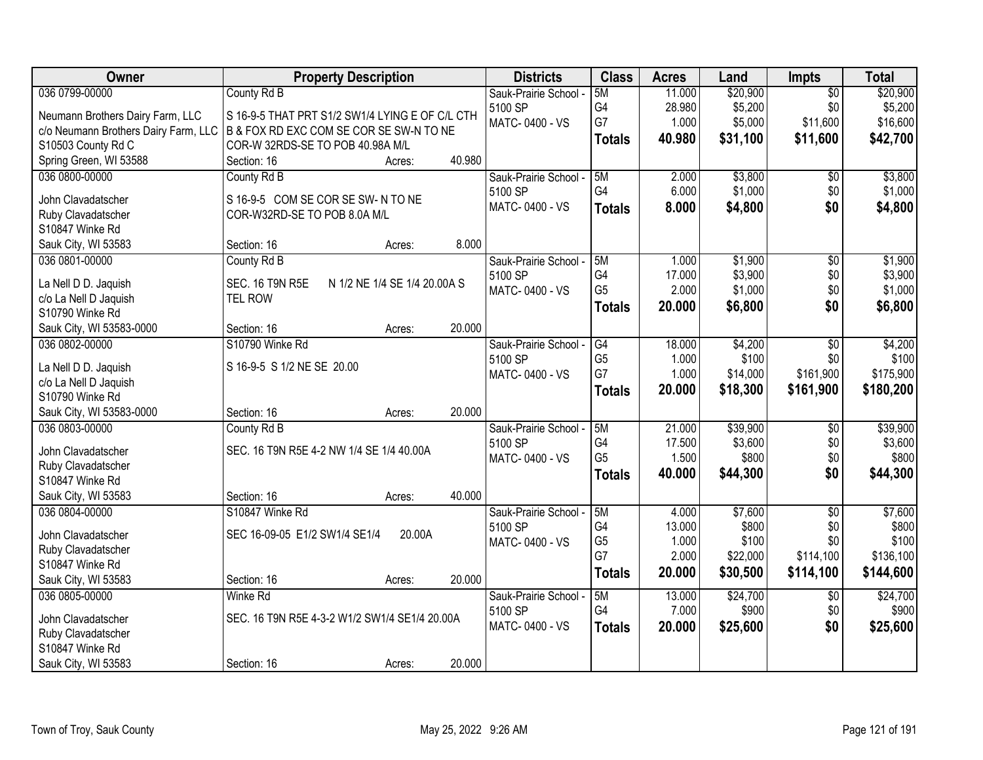| Owner                                    | <b>Property Description</b>                     |                              |        | <b>Districts</b>      | <b>Class</b>         | <b>Acres</b>    | Land               | <b>Impts</b>    | <b>Total</b>       |
|------------------------------------------|-------------------------------------------------|------------------------------|--------|-----------------------|----------------------|-----------------|--------------------|-----------------|--------------------|
| 036 0799-00000                           | County Rd B                                     |                              |        | Sauk-Prairie School - | 5M                   | 11.000          | \$20,900           | $\overline{50}$ | \$20,900           |
| Neumann Brothers Dairy Farm, LLC         | S 16-9-5 THAT PRT S1/2 SW1/4 LYING E OF C/L CTH |                              |        | 5100 SP               | G4                   | 28.980          | \$5,200            | \$0             | \$5,200            |
| c/o Neumann Brothers Dairy Farm, LLC     | B & FOX RD EXC COM SE COR SE SW-N TO NE         |                              |        | MATC-0400 - VS        | G7                   | 1.000           | \$5,000            | \$11,600        | \$16,600           |
| S10503 County Rd C                       | COR-W 32RDS-SE TO POB 40.98A M/L                |                              |        |                       | <b>Totals</b>        | 40.980          | \$31,100           | \$11,600        | \$42,700           |
| Spring Green, WI 53588                   | Section: 16                                     | Acres:                       | 40.980 |                       |                      |                 |                    |                 |                    |
| 036 0800-00000                           | County Rd B                                     |                              |        | Sauk-Prairie School - | 5M                   | 2.000           | \$3,800            | \$0             | \$3,800            |
|                                          |                                                 |                              |        | 5100 SP               | G4                   | 6.000           | \$1,000            | \$0             | \$1,000            |
| John Clavadatscher                       | S 16-9-5 COM SE COR SE SW-N TO NE               |                              |        | MATC-0400 - VS        | <b>Totals</b>        | 8.000           | \$4,800            | \$0             | \$4,800            |
| Ruby Clavadatscher                       | COR-W32RD-SE TO POB 8.0A M/L                    |                              |        |                       |                      |                 |                    |                 |                    |
| S10847 Winke Rd                          |                                                 |                              | 8.000  |                       |                      |                 |                    |                 |                    |
| Sauk City, WI 53583                      | Section: 16                                     | Acres:                       |        |                       |                      |                 |                    |                 |                    |
| 036 0801-00000                           | County Rd B                                     |                              |        | Sauk-Prairie School - | 5M                   | 1.000           | \$1,900            | $\overline{50}$ | \$1,900            |
| La Nell D D. Jaquish                     | SEC. 16 T9N R5E                                 | N 1/2 NE 1/4 SE 1/4 20.00A S |        | 5100 SP               | G4<br>G <sub>5</sub> | 17.000<br>2.000 | \$3,900<br>\$1,000 | \$0<br>\$0      | \$3,900<br>\$1,000 |
| c/o La Nell D Jaquish                    | <b>TEL ROW</b>                                  |                              |        | MATC-0400 - VS        |                      |                 |                    |                 |                    |
| S10790 Winke Rd                          |                                                 |                              |        |                       | <b>Totals</b>        | 20.000          | \$6,800            | \$0             | \$6,800            |
| Sauk City, WI 53583-0000                 | Section: 16                                     | Acres:                       | 20.000 |                       |                      |                 |                    |                 |                    |
| 036 0802-00000                           | S10790 Winke Rd                                 |                              |        | Sauk-Prairie School - | G4                   | 18.000          | \$4,200            | \$0             | \$4,200            |
|                                          |                                                 |                              |        | 5100 SP               | G <sub>5</sub>       | 1.000           | \$100              | \$0             | \$100              |
| La Nell D D. Jaquish                     | S 16-9-5 S 1/2 NE SE 20.00                      |                              |        | MATC-0400 - VS        | G7                   | 1.000           | \$14,000           | \$161,900       | \$175,900          |
| c/o La Nell D Jaquish<br>S10790 Winke Rd |                                                 |                              |        |                       | <b>Totals</b>        | 20.000          | \$18,300           | \$161,900       | \$180,200          |
| Sauk City, WI 53583-0000                 | Section: 16                                     |                              | 20.000 |                       |                      |                 |                    |                 |                    |
| 036 0803-00000                           | County Rd B                                     | Acres:                       |        | Sauk-Prairie School - | 5M                   | 21.000          | \$39,900           | $\overline{50}$ | \$39,900           |
|                                          |                                                 |                              |        | 5100 SP               | G <sub>4</sub>       | 17.500          | \$3,600            | \$0             | \$3,600            |
| John Clavadatscher                       | SEC. 16 T9N R5E 4-2 NW 1/4 SE 1/4 40.00A        |                              |        | MATC-0400 - VS        | G <sub>5</sub>       | 1.500           | \$800              | \$0             | \$800              |
| Ruby Clavadatscher                       |                                                 |                              |        |                       |                      | 40.000          | \$44,300           | \$0             | \$44,300           |
| S10847 Winke Rd                          |                                                 |                              |        |                       | <b>Totals</b>        |                 |                    |                 |                    |
| Sauk City, WI 53583                      | Section: 16                                     | Acres:                       | 40.000 |                       |                      |                 |                    |                 |                    |
| 036 0804-00000                           | S10847 Winke Rd                                 |                              |        | Sauk-Prairie School - | 5M                   | 4.000           | \$7,600            | $\overline{50}$ | \$7,600            |
| John Clavadatscher                       | SEC 16-09-05 E1/2 SW1/4 SE1/4                   | 20.00A                       |        | 5100 SP               | G4                   | 13.000          | \$800              | \$0             | \$800              |
| Ruby Clavadatscher                       |                                                 |                              |        | MATC-0400 - VS        | G <sub>5</sub>       | 1.000           | \$100              | \$0             | \$100              |
| S10847 Winke Rd                          |                                                 |                              |        |                       | G7                   | 2.000           | \$22,000           | \$114,100       | \$136,100          |
| Sauk City, WI 53583                      | Section: 16                                     | Acres:                       | 20.000 |                       | <b>Totals</b>        | 20.000          | \$30,500           | \$114,100       | \$144,600          |
| 036 0805-00000                           | <b>Winke Rd</b>                                 |                              |        | Sauk-Prairie School - | 5M                   | 13.000          | \$24,700           | $\overline{30}$ | \$24,700           |
|                                          |                                                 |                              |        | 5100 SP               | G4                   | 7.000           | \$900              | \$0             | \$900              |
| John Clavadatscher                       | SEC. 16 T9N R5E 4-3-2 W1/2 SW1/4 SE1/4 20.00A   |                              |        | MATC-0400 - VS        | <b>Totals</b>        | 20.000          | \$25,600           | \$0             | \$25,600           |
| Ruby Clavadatscher                       |                                                 |                              |        |                       |                      |                 |                    |                 |                    |
| S10847 Winke Rd                          |                                                 |                              |        |                       |                      |                 |                    |                 |                    |
| Sauk City, WI 53583                      | Section: 16                                     | Acres:                       | 20.000 |                       |                      |                 |                    |                 |                    |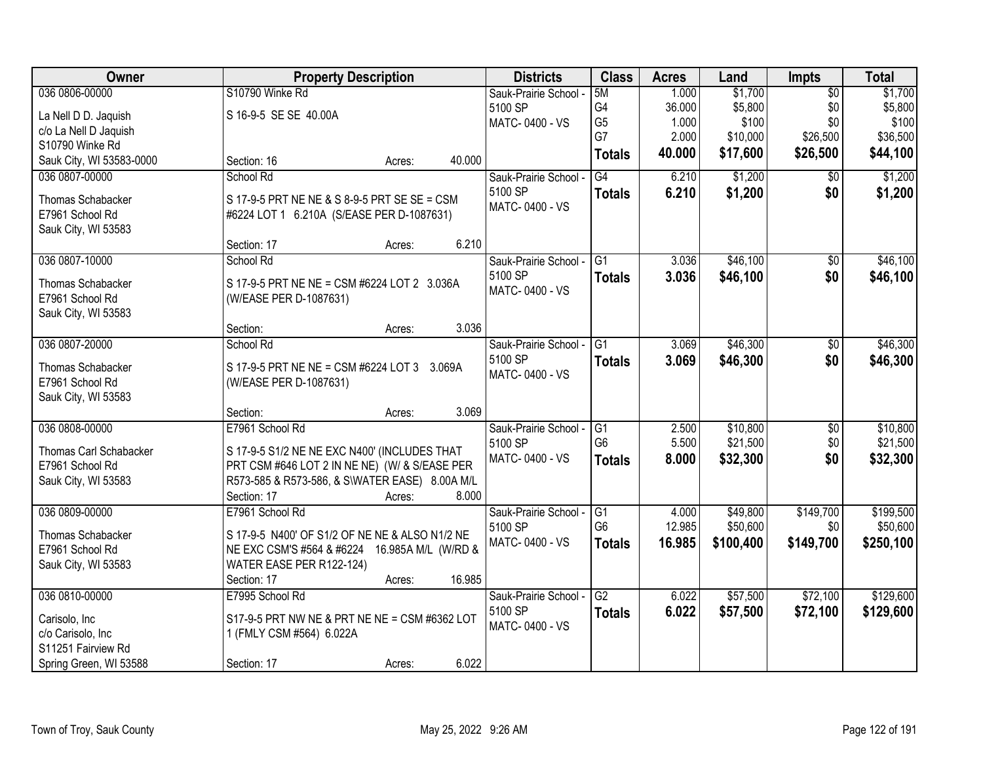| Owner                                   | <b>Property Description</b>                    |                  | <b>Districts</b>      | <b>Class</b>                      | <b>Acres</b> | Land      | <b>Impts</b>    | <b>Total</b> |
|-----------------------------------------|------------------------------------------------|------------------|-----------------------|-----------------------------------|--------------|-----------|-----------------|--------------|
| 036 0806-00000                          | S10790 Winke Rd                                |                  | Sauk-Prairie School - | 5M                                | 1.000        | \$1,700   | $\overline{50}$ | \$1,700      |
| La Nell D D. Jaquish                    | S 16-9-5 SE SE 40.00A                          |                  | 5100 SP               | G4                                | 36.000       | \$5,800   | \$0             | \$5,800      |
| c/o La Nell D Jaquish                   |                                                |                  | MATC-0400 - VS        | G <sub>5</sub>                    | 1.000        | \$100     | \$0             | \$100        |
| S10790 Winke Rd                         |                                                |                  |                       | G7                                | 2.000        | \$10,000  | \$26,500        | \$36,500     |
| Sauk City, WI 53583-0000                | Section: 16                                    | 40.000<br>Acres: |                       | <b>Totals</b>                     | 40.000       | \$17,600  | \$26,500        | \$44,100     |
| 036 0807-00000                          | School Rd                                      |                  | Sauk-Prairie School - | $\overline{G4}$                   | 6.210        | \$1,200   | $\overline{50}$ | \$1,200      |
| Thomas Schabacker                       | S 17-9-5 PRT NE NE & S 8-9-5 PRT SE SE = CSM   |                  | 5100 SP               | <b>Totals</b>                     | 6.210        | \$1,200   | \$0             | \$1,200      |
| E7961 School Rd                         | #6224 LOT 1 6.210A (S/EASE PER D-1087631)      |                  | MATC-0400 - VS        |                                   |              |           |                 |              |
| Sauk City, WI 53583                     |                                                |                  |                       |                                   |              |           |                 |              |
|                                         | Section: 17                                    | 6.210<br>Acres:  |                       |                                   |              |           |                 |              |
| 036 0807-10000                          | School Rd                                      |                  | Sauk-Prairie School - | G1                                | 3.036        | \$46,100  | \$0             | \$46,100     |
| Thomas Schabacker                       | S 17-9-5 PRT NE NE = CSM #6224 LOT 2 3.036A    |                  | 5100 SP               | <b>Totals</b>                     | 3.036        | \$46,100  | \$0             | \$46,100     |
| E7961 School Rd                         | (W/EASE PER D-1087631)                         |                  | MATC-0400 - VS        |                                   |              |           |                 |              |
| Sauk City, WI 53583                     |                                                |                  |                       |                                   |              |           |                 |              |
|                                         | Section:                                       | 3.036<br>Acres:  |                       |                                   |              |           |                 |              |
| 036 0807-20000                          | School Rd                                      |                  | Sauk-Prairie School - | G1                                | 3.069        | \$46,300  | $\sqrt[6]{3}$   | \$46,300     |
|                                         |                                                |                  | 5100 SP               | <b>Totals</b>                     | 3.069        | \$46,300  | \$0             | \$46,300     |
| Thomas Schabacker                       | S 17-9-5 PRT NE NE = CSM #6224 LOT 3 3.069A    |                  | MATC-0400 - VS        |                                   |              |           |                 |              |
| E7961 School Rd                         | (W/EASE PER D-1087631)                         |                  |                       |                                   |              |           |                 |              |
| Sauk City, WI 53583                     |                                                | 3.069            |                       |                                   |              |           |                 |              |
|                                         | Section:                                       | Acres:           |                       |                                   |              |           |                 |              |
| 036 0808-00000                          | E7961 School Rd                                |                  | Sauk-Prairie School - | $\overline{G1}$<br>G <sub>6</sub> | 2.500        | \$10,800  | $\overline{50}$ | \$10,800     |
| Thomas Carl Schabacker                  | S 17-9-5 S1/2 NE NE EXC N400' (INCLUDES THAT   |                  | 5100 SP               |                                   | 5.500        | \$21,500  | \$0             | \$21,500     |
| E7961 School Rd                         | PRT CSM #646 LOT 2 IN NE NE) (W/ & S/EASE PER  |                  | MATC-0400 - VS        | <b>Totals</b>                     | 8.000        | \$32,300  | \$0             | \$32,300     |
| Sauk City, WI 53583                     | R573-585 & R573-586, & S\WATER EASE) 8.00A M/L |                  |                       |                                   |              |           |                 |              |
|                                         | Section: 17                                    | 8.000<br>Acres:  |                       |                                   |              |           |                 |              |
| 036 0809-00000                          | E7961 School Rd                                |                  | Sauk-Prairie School - | $\overline{G1}$                   | 4.000        | \$49,800  | \$149,700       | \$199,500    |
| Thomas Schabacker                       | S 17-9-5 N400' OF S1/2 OF NE NE & ALSO N1/2 NE |                  | 5100 SP               | G <sub>6</sub>                    | 12.985       | \$50,600  | \$0             | \$50,600     |
| E7961 School Rd                         | NE EXC CSM'S #564 & #6224 16.985A M/L (W/RD &  |                  | MATC-0400 - VS        | <b>Totals</b>                     | 16.985       | \$100,400 | \$149,700       | \$250,100    |
| Sauk City, WI 53583                     | WATER EASE PER R122-124)                       |                  |                       |                                   |              |           |                 |              |
|                                         | Section: 17                                    | 16.985<br>Acres: |                       |                                   |              |           |                 |              |
| 036 0810-00000                          | E7995 School Rd                                |                  | Sauk-Prairie School - | $\overline{G2}$                   | 6.022        | \$57,500  | \$72,100        | \$129,600    |
|                                         |                                                |                  | 5100 SP               | <b>Totals</b>                     | 6.022        | \$57,500  | \$72,100        | \$129,600    |
| Carisolo, Inc                           | S17-9-5 PRT NW NE & PRT NE NE = CSM #6362 LOT  |                  | MATC-0400 - VS        |                                   |              |           |                 |              |
| c/o Carisolo, Inc<br>S11251 Fairview Rd | 1 (FMLY CSM #564) 6.022A                       |                  |                       |                                   |              |           |                 |              |
|                                         |                                                |                  |                       |                                   |              |           |                 |              |
| Spring Green, WI 53588                  | Section: 17                                    | 6.022<br>Acres:  |                       |                                   |              |           |                 |              |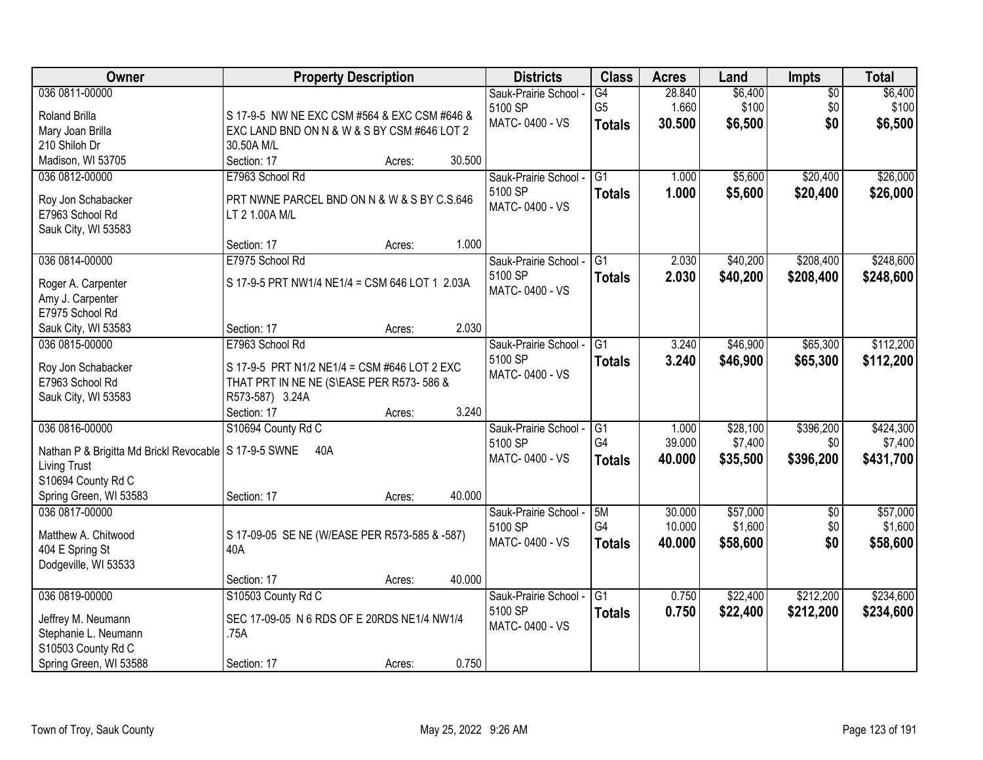| Owner                                                   | <b>Property Description</b>                    |                  | <b>Districts</b>      | <b>Class</b>    | <b>Acres</b> | Land     | Impts           | <b>Total</b> |
|---------------------------------------------------------|------------------------------------------------|------------------|-----------------------|-----------------|--------------|----------|-----------------|--------------|
| 036 0811-00000                                          |                                                |                  | Sauk-Prairie School - | G4              | 28.840       | \$6,400  | $\overline{50}$ | \$6,400      |
| Roland Brilla                                           | S 17-9-5 NW NE EXC CSM #564 & EXC CSM #646 &   |                  | 5100 SP               | G <sub>5</sub>  | 1.660        | \$100    | \$0             | \$100        |
| Mary Joan Brilla                                        | EXC LAND BND ON N & W & S BY CSM #646 LOT 2    |                  | MATC-0400 - VS        | <b>Totals</b>   | 30.500       | \$6,500  | \$0             | \$6,500      |
| 210 Shiloh Dr                                           | 30.50A M/L                                     |                  |                       |                 |              |          |                 |              |
| Madison, WI 53705                                       | Section: 17                                    | 30.500<br>Acres: |                       |                 |              |          |                 |              |
| 036 0812-00000                                          | E7963 School Rd                                |                  | Sauk-Prairie School - | $\overline{G1}$ | 1.000        | \$5,600  | \$20,400        | \$26,000     |
|                                                         |                                                |                  | 5100 SP               | <b>Totals</b>   | 1.000        | \$5,600  | \$20,400        | \$26,000     |
| Roy Jon Schabacker                                      | PRT NWNE PARCEL BND ON N & W & S BY C.S.646    |                  | MATC-0400 - VS        |                 |              |          |                 |              |
| E7963 School Rd                                         | LT 2 1.00A M/L                                 |                  |                       |                 |              |          |                 |              |
| Sauk City, WI 53583                                     | Section: 17                                    | 1.000<br>Acres:  |                       |                 |              |          |                 |              |
| 036 0814-00000                                          | E7975 School Rd                                |                  | Sauk-Prairie School - | $\overline{G1}$ | 2.030        | \$40,200 | \$208,400       | \$248,600    |
|                                                         |                                                |                  | 5100 SP               |                 |              |          |                 |              |
| Roger A. Carpenter                                      | S 17-9-5 PRT NW1/4 NE1/4 = CSM 646 LOT 1 2.03A |                  | MATC-0400 - VS        | <b>Totals</b>   | 2.030        | \$40,200 | \$208,400       | \$248,600    |
| Amy J. Carpenter                                        |                                                |                  |                       |                 |              |          |                 |              |
| E7975 School Rd                                         |                                                |                  |                       |                 |              |          |                 |              |
| Sauk City, WI 53583                                     | Section: 17                                    | 2.030<br>Acres:  |                       |                 |              |          |                 |              |
| 036 0815-00000                                          | E7963 School Rd                                |                  | Sauk-Prairie School - | G1              | 3.240        | \$46,900 | \$65,300        | \$112,200    |
| Roy Jon Schabacker                                      | S 17-9-5 PRT N1/2 NE1/4 = CSM #646 LOT 2 EXC   |                  | 5100 SP               | <b>Totals</b>   | 3.240        | \$46,900 | \$65,300        | \$112,200    |
| E7963 School Rd                                         | THAT PRT IN NE NE (S\EASE PER R573-586 &       |                  | MATC-0400 - VS        |                 |              |          |                 |              |
| Sauk City, WI 53583                                     | R573-587) 3.24A                                |                  |                       |                 |              |          |                 |              |
|                                                         | Section: 17                                    | 3.240<br>Acres:  |                       |                 |              |          |                 |              |
| 036 0816-00000                                          | S10694 County Rd C                             |                  | Sauk-Prairie School - | G1              | 1.000        | \$28,100 | \$396,200       | \$424,300    |
|                                                         |                                                |                  | 5100 SP               | G4              | 39.000       | \$7,400  | \$0             | \$7,400      |
| Nathan P & Brigitta Md Brickl Revocable   S 17-9-5 SWNE | 40A                                            |                  | MATC-0400 - VS        | <b>Totals</b>   | 40.000       | \$35,500 | \$396,200       | \$431,700    |
| <b>Living Trust</b>                                     |                                                |                  |                       |                 |              |          |                 |              |
| S10694 County Rd C                                      |                                                |                  |                       |                 |              |          |                 |              |
| Spring Green, WI 53583                                  | Section: 17                                    | 40.000<br>Acres: |                       |                 |              |          |                 |              |
| 036 0817-00000                                          |                                                |                  | Sauk-Prairie School - | 5M              | 30.000       | \$57,000 | $\overline{50}$ | \$57,000     |
| Matthew A. Chitwood                                     | S 17-09-05 SE NE (W/EASE PER R573-585 & -587)  |                  | 5100 SP               | G4              | 10.000       | \$1,600  | \$0             | \$1,600      |
| 404 E Spring St                                         | 40A                                            |                  | MATC-0400 - VS        | <b>Totals</b>   | 40.000       | \$58,600 | \$0             | \$58,600     |
| Dodgeville, WI 53533                                    |                                                |                  |                       |                 |              |          |                 |              |
|                                                         | Section: 17                                    | 40.000<br>Acres: |                       |                 |              |          |                 |              |
| 036 0819-00000                                          | S10503 County Rd C                             |                  | Sauk-Prairie School - | $\overline{G1}$ | 0.750        | \$22,400 | \$212,200       | \$234,600    |
|                                                         |                                                |                  | 5100 SP               | <b>Totals</b>   | 0.750        | \$22,400 | \$212,200       | \$234,600    |
| Jeffrey M. Neumann                                      | SEC 17-09-05 N 6 RDS OF E 20RDS NE1/4 NW1/4    |                  | MATC-0400 - VS        |                 |              |          |                 |              |
| Stephanie L. Neumann                                    | .75A                                           |                  |                       |                 |              |          |                 |              |
| S10503 County Rd C                                      |                                                |                  |                       |                 |              |          |                 |              |
| Spring Green, WI 53588                                  | Section: 17                                    | 0.750<br>Acres:  |                       |                 |              |          |                 |              |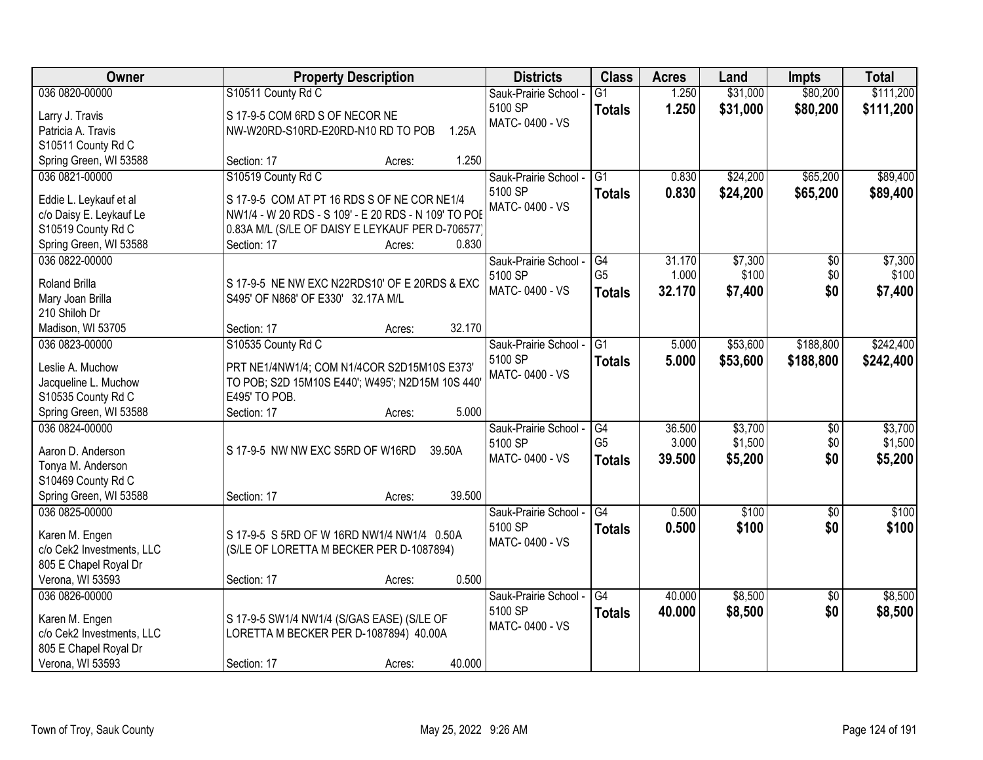| Owner                                    | <b>Property Description</b>                                              | <b>Districts</b>      | <b>Class</b>    | <b>Acres</b> | Land     | <b>Impts</b>    | <b>Total</b> |
|------------------------------------------|--------------------------------------------------------------------------|-----------------------|-----------------|--------------|----------|-----------------|--------------|
| 036 0820-00000                           | S10511 County Rd C                                                       | Sauk-Prairie School - | $\overline{G1}$ | 1.250        | \$31,000 | \$80,200        | \$111,200    |
| Larry J. Travis                          | S 17-9-5 COM 6RD S OF NECOR NE                                           | 5100 SP               | <b>Totals</b>   | 1.250        | \$31,000 | \$80,200        | \$111,200    |
| Patricia A. Travis                       | NW-W20RD-S10RD-E20RD-N10 RD TO POB<br>1.25A                              | MATC-0400 - VS        |                 |              |          |                 |              |
| S10511 County Rd C                       |                                                                          |                       |                 |              |          |                 |              |
| Spring Green, WI 53588                   | 1.250<br>Section: 17<br>Acres:                                           |                       |                 |              |          |                 |              |
| 036 0821-00000                           | S10519 County Rd C                                                       | Sauk-Prairie School - | $\overline{G1}$ | 0.830        | \$24,200 | \$65,200        | \$89,400     |
|                                          |                                                                          | 5100 SP               | <b>Totals</b>   | 0.830        | \$24,200 | \$65,200        | \$89,400     |
| Eddie L. Leykauf et al                   | S 17-9-5 COM AT PT 16 RDS S OF NE COR NE1/4                              | MATC-0400 - VS        |                 |              |          |                 |              |
| c/o Daisy E. Leykauf Le                  | NW1/4 - W 20 RDS - S 109' - E 20 RDS - N 109' TO POE                     |                       |                 |              |          |                 |              |
| S10519 County Rd C                       | 0.83A M/L (S/LE OF DAISY E LEYKAUF PER D-706577)<br>0.830<br>Section: 17 |                       |                 |              |          |                 |              |
| Spring Green, WI 53588<br>036 0822-00000 | Acres:                                                                   | Sauk-Prairie School - | G4              | 31.170       | \$7,300  | $\overline{50}$ | \$7,300      |
|                                          |                                                                          | 5100 SP               | G <sub>5</sub>  | 1.000        | \$100    | \$0             | \$100        |
| <b>Roland Brilla</b>                     | S 17-9-5 NE NW EXC N22RDS10' OF E 20RDS & EXC                            | MATC-0400 - VS        |                 | 32.170       |          | \$0             |              |
| Mary Joan Brilla                         | S495' OF N868' OF E330' 32.17A M/L                                       |                       | <b>Totals</b>   |              | \$7,400  |                 | \$7,400      |
| 210 Shiloh Dr                            |                                                                          |                       |                 |              |          |                 |              |
| Madison, WI 53705                        | 32.170<br>Section: 17<br>Acres:                                          |                       |                 |              |          |                 |              |
| 036 0823-00000                           | S10535 County Rd C                                                       | Sauk-Prairie School - | $\overline{G1}$ | 5.000        | \$53,600 | \$188,800       | \$242,400    |
| Leslie A. Muchow                         | PRT NE1/4NW1/4; COM N1/4COR S2D15M10S E373'                              | 5100 SP               | <b>Totals</b>   | 5.000        | \$53,600 | \$188,800       | \$242,400    |
| Jacqueline L. Muchow                     | TO POB; S2D 15M10S E440'; W495'; N2D15M 10S 440'                         | MATC-0400 - VS        |                 |              |          |                 |              |
| S10535 County Rd C                       | E495' TO POB.                                                            |                       |                 |              |          |                 |              |
| Spring Green, WI 53588                   | 5.000<br>Section: 17<br>Acres:                                           |                       |                 |              |          |                 |              |
| 036 0824-00000                           |                                                                          | Sauk-Prairie School - | G4              | 36.500       | \$3,700  | $\overline{50}$ | \$3,700      |
|                                          |                                                                          | 5100 SP               | G <sub>5</sub>  | 3.000        | \$1,500  | \$0             | \$1,500      |
| Aaron D. Anderson                        | S 17-9-5 NW NW EXC S5RD OF W16RD<br>39.50A                               | MATC-0400 - VS        | <b>Totals</b>   | 39.500       | \$5,200  | \$0             | \$5,200      |
| Tonya M. Anderson                        |                                                                          |                       |                 |              |          |                 |              |
| S10469 County Rd C                       |                                                                          |                       |                 |              |          |                 |              |
| Spring Green, WI 53588                   | 39.500<br>Section: 17<br>Acres:                                          |                       |                 |              |          |                 |              |
| 036 0825-00000                           |                                                                          | Sauk-Prairie School - | G4              | 0.500        | \$100    | $\overline{50}$ | \$100        |
| Karen M. Engen                           | S 17-9-5 S 5RD OF W 16RD NW1/4 NW1/4 0.50A                               | 5100 SP               | <b>Totals</b>   | 0.500        | \$100    | \$0             | \$100        |
| c/o Cek2 Investments, LLC                | (S/LE OF LORETTA M BECKER PER D-1087894)                                 | MATC-0400 - VS        |                 |              |          |                 |              |
| 805 E Chapel Royal Dr                    |                                                                          |                       |                 |              |          |                 |              |
| Verona, WI 53593                         | 0.500<br>Section: 17<br>Acres:                                           |                       |                 |              |          |                 |              |
| 036 0826-00000                           |                                                                          | Sauk-Prairie School - | $\overline{G4}$ | 40.000       | \$8,500  | $\overline{30}$ | \$8,500      |
|                                          |                                                                          | 5100 SP               | <b>Totals</b>   | 40.000       | \$8,500  | \$0             | \$8,500      |
| Karen M. Engen                           | S 17-9-5 SW1/4 NW1/4 (S/GAS EASE) (S/LE OF                               | MATC-0400 - VS        |                 |              |          |                 |              |
| c/o Cek2 Investments, LLC                | LORETTA M BECKER PER D-1087894) 40.00A                                   |                       |                 |              |          |                 |              |
| 805 E Chapel Royal Dr                    |                                                                          |                       |                 |              |          |                 |              |
| Verona, WI 53593                         | 40.000<br>Section: 17<br>Acres:                                          |                       |                 |              |          |                 |              |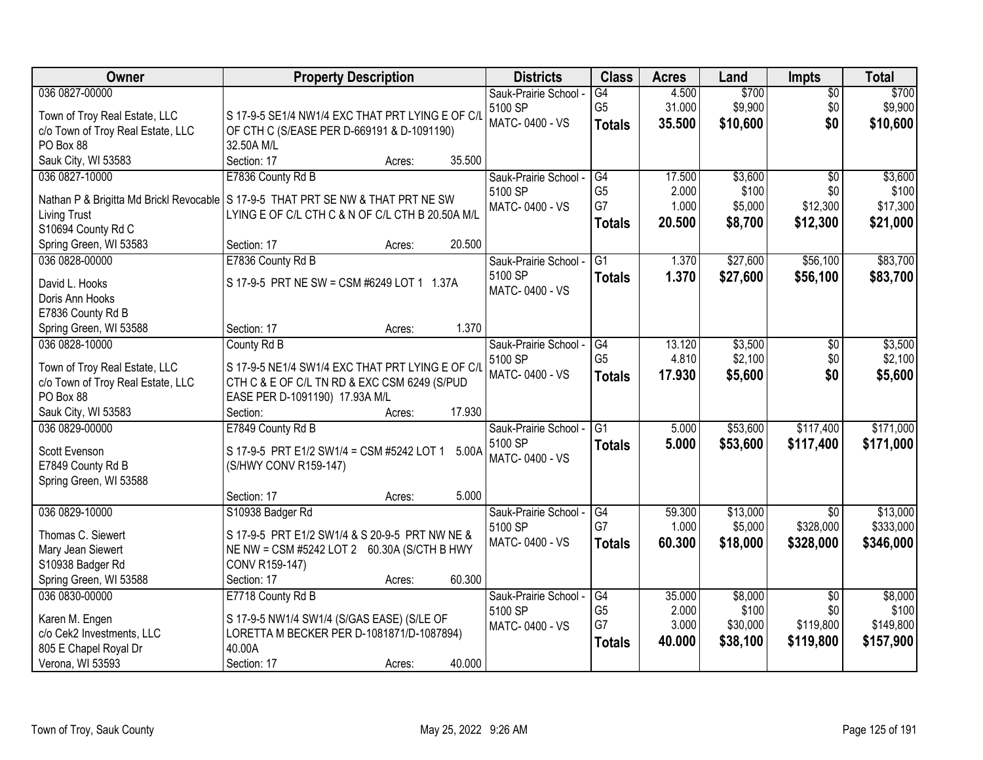| Owner                                     | <b>Property Description</b>                                                      | <b>Districts</b>                 | <b>Class</b>    | <b>Acres</b> | Land               | <b>Impts</b>    | <b>Total</b> |
|-------------------------------------------|----------------------------------------------------------------------------------|----------------------------------|-----------------|--------------|--------------------|-----------------|--------------|
| 036 0827-00000                            |                                                                                  | Sauk-Prairie School -            | G4              | 4.500        | \$700              | $\overline{30}$ | \$700        |
| Town of Troy Real Estate, LLC             | S 17-9-5 SE1/4 NW1/4 EXC THAT PRT LYING E OF C/L                                 | 5100 SP                          | G <sub>5</sub>  | 31.000       | \$9,900            | \$0             | \$9,900      |
| c/o Town of Troy Real Estate, LLC         | OF CTH C (S/EASE PER D-669191 & D-1091190)                                       | MATC-0400 - VS                   | <b>Totals</b>   | 35.500       | \$10,600           | \$0             | \$10,600     |
| PO Box 88                                 | 32.50A M/L                                                                       |                                  |                 |              |                    |                 |              |
| Sauk City, WI 53583                       | Section: 17<br>35.500<br>Acres:                                                  |                                  |                 |              |                    |                 |              |
| 036 0827-10000                            | E7836 County Rd B                                                                | Sauk-Prairie School -            | G4              | 17.500       | \$3,600            | $\overline{50}$ | \$3,600      |
|                                           | Nathan P & Brigitta Md Brickl Revocable S 17-9-5 THAT PRT SE NW & THAT PRT NE SW | 5100 SP                          | G <sub>5</sub>  | 2.000        | \$100              | \$0             | \$100        |
| <b>Living Trust</b>                       | LYING E OF C/L CTH C & N OF C/L CTH B 20.50A M/L                                 | MATC-0400 - VS                   | G7              | 1.000        | \$5,000            | \$12,300        | \$17,300     |
| S10694 County Rd C                        |                                                                                  |                                  | <b>Totals</b>   | 20.500       | \$8,700            | \$12,300        | \$21,000     |
| Spring Green, WI 53583                    | 20.500<br>Section: 17<br>Acres:                                                  |                                  |                 |              |                    |                 |              |
| 036 0828-00000                            | E7836 County Rd B                                                                | Sauk-Prairie School -            | $\overline{G1}$ | 1.370        | \$27,600           | \$56,100        | \$83,700     |
|                                           |                                                                                  | 5100 SP                          | <b>Totals</b>   | 1.370        | \$27,600           | \$56,100        | \$83,700     |
| David L. Hooks                            | S 17-9-5 PRT NE SW = CSM #6249 LOT 1 1.37A                                       | MATC-0400 - VS                   |                 |              |                    |                 |              |
| Doris Ann Hooks                           |                                                                                  |                                  |                 |              |                    |                 |              |
| E7836 County Rd B                         | 1.370                                                                            |                                  |                 |              |                    |                 |              |
| Spring Green, WI 53588<br>036 0828-10000  | Section: 17<br>Acres:                                                            |                                  | G4              | 13.120       |                    |                 | \$3,500      |
|                                           | County Rd B                                                                      | Sauk-Prairie School -<br>5100 SP | G <sub>5</sub>  | 4.810        | \$3,500<br>\$2,100 | \$0<br>\$0      | \$2,100      |
| Town of Troy Real Estate, LLC             | S 17-9-5 NE1/4 SW1/4 EXC THAT PRT LYING E OF C/L                                 | MATC-0400 - VS                   |                 | 17.930       | \$5,600            | \$0             | \$5,600      |
| c/o Town of Troy Real Estate, LLC         | CTH C & E OF C/L TN RD & EXC CSM 6249 (S/PUD                                     |                                  | <b>Totals</b>   |              |                    |                 |              |
| PO Box 88                                 | EASE PER D-1091190) 17.93A M/L                                                   |                                  |                 |              |                    |                 |              |
| Sauk City, WI 53583                       | Section:<br>17.930<br>Acres:                                                     |                                  |                 |              |                    |                 |              |
| 036 0829-00000                            | E7849 County Rd B                                                                | Sauk-Prairie School -            | $\overline{G1}$ | 5.000        | \$53,600           | \$117,400       | \$171,000    |
| Scott Evenson                             | S 17-9-5 PRT E1/2 SW1/4 = CSM #5242 LOT 1<br>5.00A                               | 5100 SP                          | <b>Totals</b>   | 5.000        | \$53,600           | \$117,400       | \$171,000    |
| E7849 County Rd B                         | (S/HWY CONV R159-147)                                                            | MATC-0400 - VS                   |                 |              |                    |                 |              |
| Spring Green, WI 53588                    |                                                                                  |                                  |                 |              |                    |                 |              |
|                                           | 5.000<br>Section: 17<br>Acres:                                                   |                                  |                 |              |                    |                 |              |
| 036 0829-10000                            | S10938 Badger Rd                                                                 | Sauk-Prairie School -            | G4              | 59.300       | \$13,000           | $\overline{50}$ | \$13,000     |
| Thomas C. Siewert                         | S 17-9-5 PRT E1/2 SW1/4 & S 20-9-5 PRT NW NE &                                   | 5100 SP                          | G7              | 1.000        | \$5,000            | \$328,000       | \$333,000    |
| Mary Jean Siewert                         | NE NW = CSM #5242 LOT 2 60.30A (S/CTH B HWY                                      | MATC-0400 - VS                   | <b>Totals</b>   | 60.300       | \$18,000           | \$328,000       | \$346,000    |
| S10938 Badger Rd                          | CONV R159-147)                                                                   |                                  |                 |              |                    |                 |              |
| Spring Green, WI 53588                    | 60.300<br>Section: 17<br>Acres:                                                  |                                  |                 |              |                    |                 |              |
| 036 0830-00000                            | E7718 County Rd B                                                                | Sauk-Prairie School -            | G4              | 35.000       | \$8,000            | $\overline{30}$ | \$8,000      |
|                                           |                                                                                  | 5100 SP                          | G <sub>5</sub>  | 2.000        | \$100              | \$0             | \$100        |
| Karen M. Engen                            | S 17-9-5 NW1/4 SW1/4 (S/GAS EASE) (S/LE OF                                       | MATC-0400 - VS                   | G7              | 3.000        | \$30,000           | \$119,800       | \$149,800    |
| c/o Cek2 Investments, LLC                 | LORETTA M BECKER PER D-1081871/D-1087894)<br>40.00A                              |                                  | <b>Totals</b>   | 40.000       | \$38,100           | \$119,800       | \$157,900    |
| 805 E Chapel Royal Dr<br>Verona, WI 53593 | 40.000<br>Section: 17                                                            |                                  |                 |              |                    |                 |              |
|                                           | Acres:                                                                           |                                  |                 |              |                    |                 |              |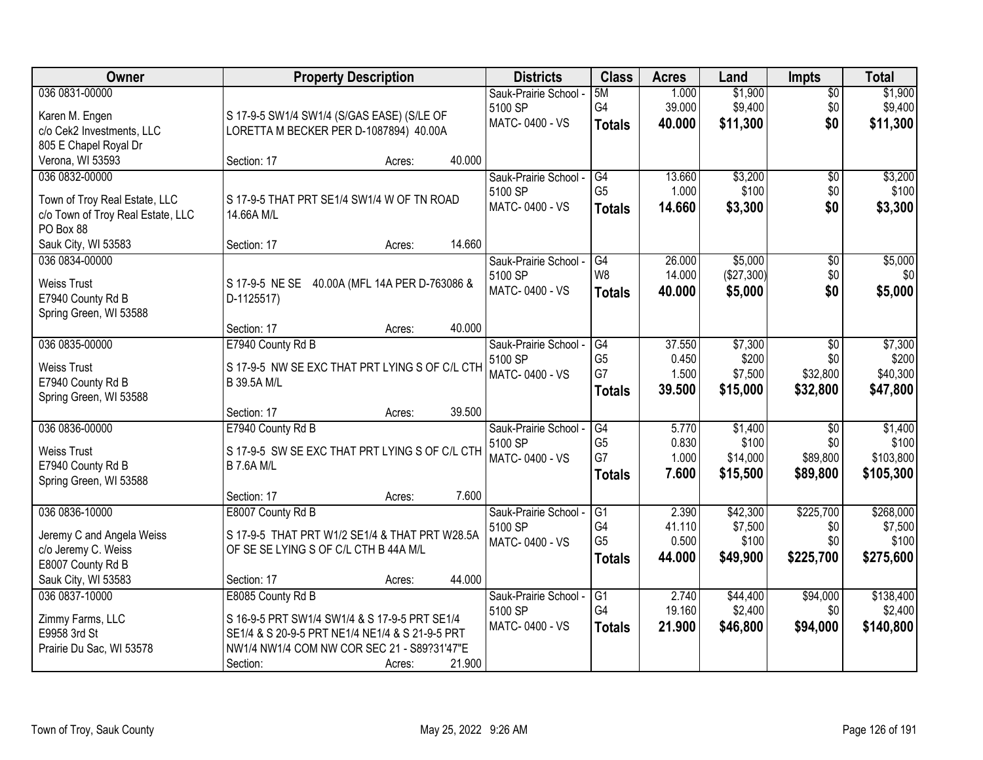| Owner                             | <b>Property Description</b>                     |        |        | <b>Districts</b>      | <b>Class</b>    | <b>Acres</b> | Land       | <b>Impts</b>    | <b>Total</b> |
|-----------------------------------|-------------------------------------------------|--------|--------|-----------------------|-----------------|--------------|------------|-----------------|--------------|
| 036 0831-00000                    |                                                 |        |        | Sauk-Prairie School - | 5M              | 1.000        | \$1,900    | $\overline{30}$ | \$1,900      |
| Karen M. Engen                    | S 17-9-5 SW1/4 SW1/4 (S/GAS EASE) (S/LE OF      |        |        | 5100 SP               | G4              | 39.000       | \$9,400    | \$0             | \$9,400      |
| c/o Cek2 Investments, LLC         | LORETTA M BECKER PER D-1087894) 40.00A          |        |        | MATC-0400 - VS        | <b>Totals</b>   | 40.000       | \$11,300   | \$0             | \$11,300     |
| 805 E Chapel Royal Dr             |                                                 |        |        |                       |                 |              |            |                 |              |
| Verona, WI 53593                  | Section: 17                                     | Acres: | 40.000 |                       |                 |              |            |                 |              |
| 036 0832-00000                    |                                                 |        |        | Sauk-Prairie School - | G4              | 13.660       | \$3,200    | \$0             | \$3,200      |
| Town of Troy Real Estate, LLC     | S 17-9-5 THAT PRT SE1/4 SW1/4 W OF TN ROAD      |        |        | 5100 SP               | G <sub>5</sub>  | 1.000        | \$100      | \$0             | \$100        |
| c/o Town of Troy Real Estate, LLC | 14.66A M/L                                      |        |        | MATC-0400 - VS        | <b>Totals</b>   | 14.660       | \$3,300    | \$0             | \$3,300      |
| PO Box 88                         |                                                 |        |        |                       |                 |              |            |                 |              |
| Sauk City, WI 53583               | Section: 17                                     | Acres: | 14.660 |                       |                 |              |            |                 |              |
| 036 0834-00000                    |                                                 |        |        | Sauk-Prairie School - | G4              | 26.000       | \$5,000    | $\overline{50}$ | \$5,000      |
| <b>Weiss Trust</b>                | S 17-9-5 NE SE 40.00A (MFL 14A PER D-763086 &   |        |        | 5100 SP               | W <sub>8</sub>  | 14.000       | (\$27,300) | \$0             | \$0          |
| E7940 County Rd B                 | D-1125517)                                      |        |        | MATC-0400 - VS        | <b>Totals</b>   | 40.000       | \$5,000    | \$0             | \$5,000      |
| Spring Green, WI 53588            |                                                 |        |        |                       |                 |              |            |                 |              |
|                                   | Section: 17                                     | Acres: | 40.000 |                       |                 |              |            |                 |              |
| 036 0835-00000                    | E7940 County Rd B                               |        |        | Sauk-Prairie School - | G4              | 37.550       | \$7,300    | \$0             | \$7,300      |
| <b>Weiss Trust</b>                | S 17-9-5 NW SE EXC THAT PRT LYING S OF C/L CTH  |        |        | 5100 SP               | G <sub>5</sub>  | 0.450        | \$200      | \$0             | \$200        |
| E7940 County Rd B                 | <b>B 39.5A M/L</b>                              |        |        | MATC-0400 - VS        | G7              | 1.500        | \$7,500    | \$32,800        | \$40,300     |
| Spring Green, WI 53588            |                                                 |        |        |                       | <b>Totals</b>   | 39.500       | \$15,000   | \$32,800        | \$47,800     |
|                                   | Section: 17                                     | Acres: | 39.500 |                       |                 |              |            |                 |              |
| 036 0836-00000                    | E7940 County Rd B                               |        |        | Sauk-Prairie School - | $\overline{G4}$ | 5.770        | \$1,400    | $\overline{50}$ | \$1,400      |
| <b>Weiss Trust</b>                | S 17-9-5 SW SE EXC THAT PRT LYING S OF C/L CTH  |        |        | 5100 SP               | G <sub>5</sub>  | 0.830        | \$100      | \$0             | \$100        |
| E7940 County Rd B                 | <b>B 7.6A M/L</b>                               |        |        | MATC-0400 - VS        | G7              | 1.000        | \$14,000   | \$89,800        | \$103,800    |
| Spring Green, WI 53588            |                                                 |        |        |                       | <b>Totals</b>   | 7.600        | \$15,500   | \$89,800        | \$105,300    |
|                                   | Section: 17                                     | Acres: | 7.600  |                       |                 |              |            |                 |              |
| 036 0836-10000                    | E8007 County Rd B                               |        |        | Sauk-Prairie School - | $\overline{G1}$ | 2.390        | \$42,300   | \$225,700       | \$268,000    |
| Jeremy C and Angela Weiss         | S 17-9-5 THAT PRT W1/2 SE1/4 & THAT PRT W28.5A  |        |        | 5100 SP               | G4              | 41.110       | \$7,500    | \$0             | \$7,500      |
| c/o Jeremy C. Weiss               | OF SE SE LYING S OF C/L CTH B 44A M/L           |        |        | MATC-0400 - VS        | G <sub>5</sub>  | 0.500        | \$100      | \$0             | \$100        |
| E8007 County Rd B                 |                                                 |        |        |                       | <b>Totals</b>   | 44.000       | \$49,900   | \$225,700       | \$275,600    |
| Sauk City, WI 53583               | Section: 17                                     | Acres: | 44.000 |                       |                 |              |            |                 |              |
| 036 0837-10000                    | E8085 County Rd B                               |        |        | Sauk-Prairie School - | $\overline{G1}$ | 2.740        | \$44,400   | \$94,000        | \$138,400    |
| Zimmy Farms, LLC                  | S 16-9-5 PRT SW1/4 SW1/4 & S 17-9-5 PRT SE1/4   |        |        | 5100 SP               | G4              | 19.160       | \$2,400    | \$0             | \$2,400      |
| E9958 3rd St                      | SE1/4 & S 20-9-5 PRT NE1/4 NE1/4 & S 21-9-5 PRT |        |        | MATC-0400 - VS        | <b>Totals</b>   | 21.900       | \$46,800   | \$94,000        | \$140,800    |
| Prairie Du Sac, WI 53578          | NW1/4 NW1/4 COM NW COR SEC 21 - S89?31'47"E     |        |        |                       |                 |              |            |                 |              |
|                                   | Section:                                        | Acres: | 21.900 |                       |                 |              |            |                 |              |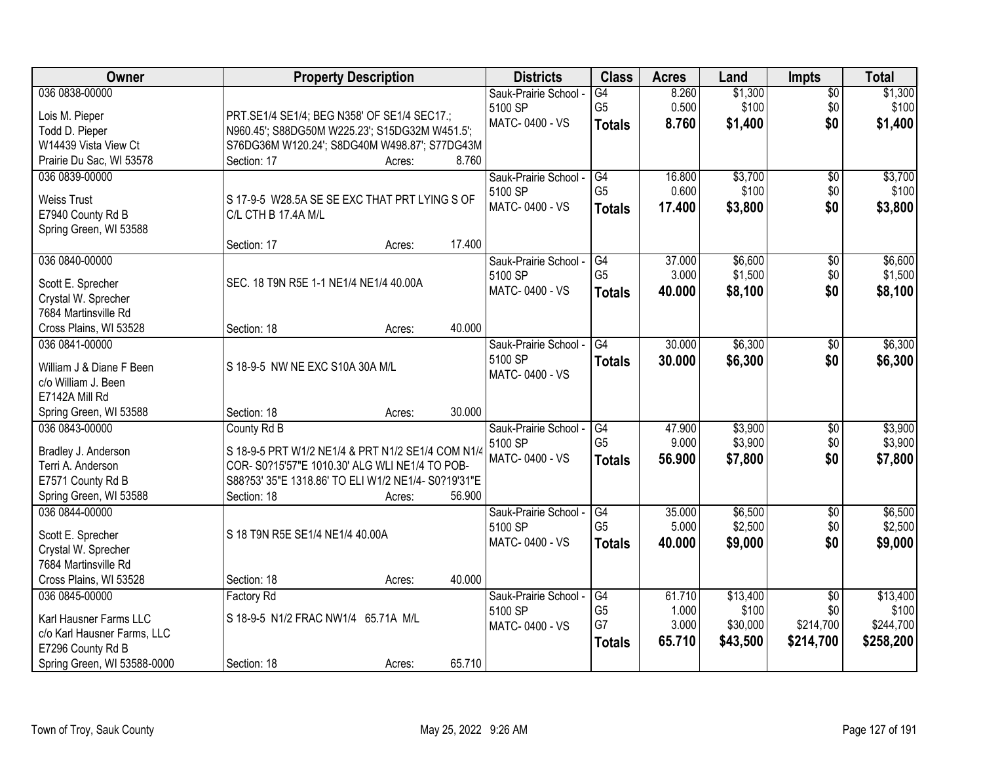| Owner                       |                                                     | <b>Property Description</b> |        | <b>Districts</b>      | <b>Class</b>    | <b>Acres</b> | Land     | <b>Impts</b>    | <b>Total</b> |
|-----------------------------|-----------------------------------------------------|-----------------------------|--------|-----------------------|-----------------|--------------|----------|-----------------|--------------|
| 036 0838-00000              |                                                     |                             |        | Sauk-Prairie School - | $\overline{G4}$ | 8.260        | \$1,300  | $\overline{50}$ | \$1,300      |
| Lois M. Pieper              | PRT.SE1/4 SE1/4; BEG N358' OF SE1/4 SEC17.;         |                             |        | 5100 SP               | G <sub>5</sub>  | 0.500        | \$100    | \$0             | \$100        |
| Todd D. Pieper              | N960.45'; S88DG50M W225.23'; S15DG32M W451.5';      |                             |        | MATC-0400 - VS        | <b>Totals</b>   | 8.760        | \$1,400  | \$0             | \$1,400      |
| W14439 Vista View Ct        | S76DG36M W120.24'; S8DG40M W498.87'; S77DG43M       |                             |        |                       |                 |              |          |                 |              |
| Prairie Du Sac, WI 53578    | Section: 17                                         | Acres:                      | 8.760  |                       |                 |              |          |                 |              |
| 036 0839-00000              |                                                     |                             |        | Sauk-Prairie School - | G4              | 16.800       | \$3,700  | \$0             | \$3,700      |
| <b>Weiss Trust</b>          | S 17-9-5 W28.5A SE SE EXC THAT PRT LYING S OF       |                             |        | 5100 SP               | G <sub>5</sub>  | 0.600        | \$100    | \$0             | \$100        |
| E7940 County Rd B           | C/L CTH B 17.4A M/L                                 |                             |        | MATC-0400 - VS        | <b>Totals</b>   | 17.400       | \$3,800  | \$0             | \$3,800      |
| Spring Green, WI 53588      |                                                     |                             |        |                       |                 |              |          |                 |              |
|                             | Section: 17                                         | Acres:                      | 17.400 |                       |                 |              |          |                 |              |
| 036 0840-00000              |                                                     |                             |        | Sauk-Prairie School - | G4              | 37.000       | \$6,600  | \$0             | \$6,600      |
| Scott E. Sprecher           | SEC. 18 T9N R5E 1-1 NE1/4 NE1/4 40.00A              |                             |        | 5100 SP               | G <sub>5</sub>  | 3.000        | \$1,500  | \$0             | \$1,500      |
| Crystal W. Sprecher         |                                                     |                             |        | MATC-0400 - VS        | <b>Totals</b>   | 40.000       | \$8,100  | \$0             | \$8,100      |
| 7684 Martinsville Rd        |                                                     |                             |        |                       |                 |              |          |                 |              |
| Cross Plains, WI 53528      | Section: 18                                         | Acres:                      | 40.000 |                       |                 |              |          |                 |              |
| 036 0841-00000              |                                                     |                             |        | Sauk-Prairie School - | G4              | 30.000       | \$6,300  | \$0             | \$6,300      |
|                             |                                                     |                             |        | 5100 SP               | <b>Totals</b>   | 30.000       | \$6,300  | \$0             | \$6,300      |
| William J & Diane F Been    | S 18-9-5 NW NE EXC S10A 30A M/L                     |                             |        | MATC-0400 - VS        |                 |              |          |                 |              |
| c/o William J. Been         |                                                     |                             |        |                       |                 |              |          |                 |              |
| E7142A Mill Rd              |                                                     |                             |        |                       |                 |              |          |                 |              |
| Spring Green, WI 53588      | Section: 18                                         | Acres:                      | 30.000 |                       |                 |              |          |                 |              |
| 036 0843-00000              | County Rd B                                         |                             |        | Sauk-Prairie School - | $\overline{G4}$ | 47.900       | \$3,900  | $\overline{50}$ | \$3,900      |
| Bradley J. Anderson         | S 18-9-5 PRT W1/2 NE1/4 & PRT N1/2 SE1/4 COM N1/4   |                             |        | 5100 SP               | G <sub>5</sub>  | 9.000        | \$3,900  | \$0             | \$3,900      |
| Terri A. Anderson           | COR-S0?15'57"E 1010.30' ALG WLI NE1/4 TO POB-       |                             |        | MATC-0400 - VS        | <b>Totals</b>   | 56.900       | \$7,800  | \$0             | \$7,800      |
| E7571 County Rd B           | S88?53' 35"E 1318.86' TO ELI W1/2 NE1/4- S0?19'31"E |                             |        |                       |                 |              |          |                 |              |
| Spring Green, WI 53588      | Section: 18                                         | Acres:                      | 56.900 |                       |                 |              |          |                 |              |
| 036 0844-00000              |                                                     |                             |        | Sauk-Prairie School - | G4              | 35.000       | \$6,500  | $\sqrt{6}$      | \$6,500      |
| Scott E. Sprecher           | S 18 T9N R5E SE1/4 NE1/4 40.00A                     |                             |        | 5100 SP               | G <sub>5</sub>  | 5.000        | \$2,500  | \$0             | \$2,500      |
| Crystal W. Sprecher         |                                                     |                             |        | MATC-0400 - VS        | <b>Totals</b>   | 40.000       | \$9,000  | \$0             | \$9,000      |
| 7684 Martinsville Rd        |                                                     |                             |        |                       |                 |              |          |                 |              |
| Cross Plains, WI 53528      | Section: 18                                         | Acres:                      | 40.000 |                       |                 |              |          |                 |              |
| 036 0845-00000              | <b>Factory Rd</b>                                   |                             |        | Sauk-Prairie School - | G4              | 61.710       | \$13,400 | $\overline{50}$ | \$13,400     |
| Karl Hausner Farms LLC      | S 18-9-5 N1/2 FRAC NW1/4 65.71A M/L                 |                             |        | 5100 SP               | G <sub>5</sub>  | 1.000        | \$100    | \$0             | \$100        |
| c/o Karl Hausner Farms, LLC |                                                     |                             |        | MATC-0400 - VS        | G7              | 3.000        | \$30,000 | \$214,700       | \$244,700    |
| E7296 County Rd B           |                                                     |                             |        |                       | <b>Totals</b>   | 65.710       | \$43,500 | \$214,700       | \$258,200    |
| Spring Green, WI 53588-0000 | Section: 18                                         | Acres:                      | 65.710 |                       |                 |              |          |                 |              |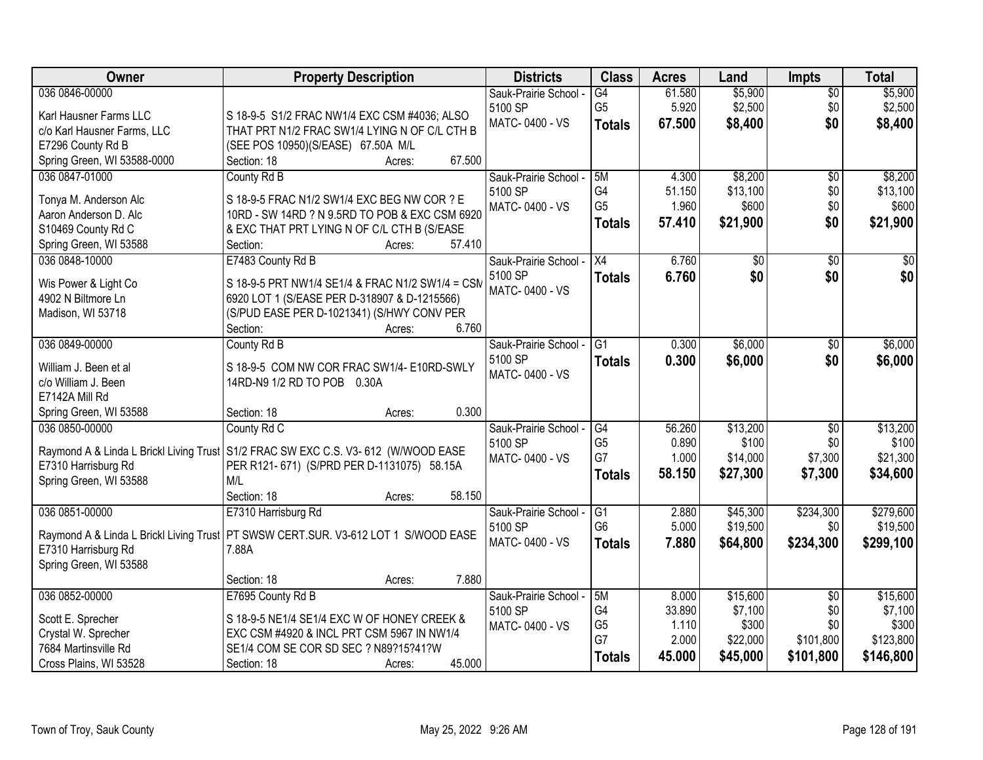| Owner                       | <b>Property Description</b>                                                          | <b>Districts</b>      | <b>Class</b>         | <b>Acres</b> | Land     | Impts           | <b>Total</b> |
|-----------------------------|--------------------------------------------------------------------------------------|-----------------------|----------------------|--------------|----------|-----------------|--------------|
| 036 0846-00000              |                                                                                      | Sauk-Prairie School - | G4                   | 61.580       | \$5,900  | $\overline{50}$ | \$5,900      |
| Karl Hausner Farms LLC      | S 18-9-5 S1/2 FRAC NW1/4 EXC CSM #4036; ALSO                                         | 5100 SP               | G <sub>5</sub>       | 5.920        | \$2,500  | \$0             | \$2,500      |
| c/o Karl Hausner Farms, LLC | THAT PRT N1/2 FRAC SW1/4 LYING N OF C/L CTH B                                        | MATC-0400 - VS        | <b>Totals</b>        | 67.500       | \$8,400  | \$0             | \$8,400      |
| E7296 County Rd B           | (SEE POS 10950)(S/EASE) 67.50A M/L                                                   |                       |                      |              |          |                 |              |
| Spring Green, WI 53588-0000 | 67.500<br>Section: 18<br>Acres:                                                      |                       |                      |              |          |                 |              |
| 036 0847-01000              | County Rd B                                                                          | Sauk-Prairie School - | 5M                   | 4.300        | \$8,200  | \$0             | \$8,200      |
|                             |                                                                                      | 5100 SP               | G4                   | 51.150       | \$13,100 | \$0             | \$13,100     |
| Tonya M. Anderson Alc       | S 18-9-5 FRAC N1/2 SW1/4 EXC BEG NW COR ? E                                          | MATC-0400 - VS        | G <sub>5</sub>       | 1.960        | \$600    | \$0             | \$600        |
| Aaron Anderson D. Alc       | 10RD - SW 14RD ? N 9.5RD TO POB & EXC CSM 6920                                       |                       | <b>Totals</b>        | 57.410       | \$21,900 | \$0             | \$21,900     |
| S10469 County Rd C          | & EXC THAT PRT LYING N OF C/L CTH B (S/EASE                                          |                       |                      |              |          |                 |              |
| Spring Green, WI 53588      | 57.410<br>Section:<br>Acres:                                                         |                       |                      |              |          |                 |              |
| 036 0848-10000              | E7483 County Rd B                                                                    | Sauk-Prairie School - | X4                   | 6.760        | \$0      | $\sqrt{6}$      | $\sqrt{50}$  |
| Wis Power & Light Co        | S 18-9-5 PRT NW1/4 SE1/4 & FRAC N1/2 SW1/4 = CSM                                     | 5100 SP               | <b>Totals</b>        | 6.760        | \$0      | \$0             | \$0          |
| 4902 N Biltmore Ln          | 6920 LOT 1 (S/EASE PER D-318907 & D-1215566)                                         | MATC-0400 - VS        |                      |              |          |                 |              |
| Madison, WI 53718           | (S/PUD EASE PER D-1021341) (S/HWY CONV PER                                           |                       |                      |              |          |                 |              |
|                             | 6.760<br>Section:<br>Acres:                                                          |                       |                      |              |          |                 |              |
| 036 0849-00000              | County Rd B                                                                          | Sauk-Prairie School - | $\overline{G1}$      | 0.300        | \$6,000  | \$0             | \$6,000      |
|                             |                                                                                      | 5100 SP               | <b>Totals</b>        | 0.300        | \$6,000  | \$0             | \$6,000      |
| William J. Been et al       | S 18-9-5 COM NW COR FRAC SW1/4- E10RD-SWLY                                           | MATC-0400 - VS        |                      |              |          |                 |              |
| c/o William J. Been         | 14RD-N9 1/2 RD TO POB 0.30A                                                          |                       |                      |              |          |                 |              |
| E7142A Mill Rd              |                                                                                      |                       |                      |              |          |                 |              |
| Spring Green, WI 53588      | 0.300<br>Section: 18<br>Acres:                                                       |                       |                      |              |          |                 |              |
| 036 0850-00000              | County Rd C                                                                          | Sauk-Prairie School - | G4                   | 56.260       | \$13,200 | $\overline{30}$ | \$13,200     |
|                             | Raymond A & Linda L Brickl Living Trust S1/2 FRAC SW EXC C.S. V3-612 (W/WOOD EASE    | 5100 SP               | G <sub>5</sub>       | 0.890        | \$100    | \$0             | \$100        |
| E7310 Harrisburg Rd         | PER R121-671) (S/PRD PER D-1131075) 58.15A                                           | MATC-0400 - VS        | G7                   | 1.000        | \$14,000 | \$7,300         | \$21,300     |
| Spring Green, WI 53588      | M/L                                                                                  |                       | <b>Totals</b>        | 58.150       | \$27,300 | \$7,300         | \$34,600     |
|                             | Section: 18<br>58.150<br>Acres:                                                      |                       |                      |              |          |                 |              |
| 036 0851-00000              | E7310 Harrisburg Rd                                                                  | Sauk-Prairie School - | G1                   | 2.880        | \$45,300 | \$234,300       | \$279,600    |
|                             |                                                                                      | 5100 SP               | G <sub>6</sub>       | 5.000        | \$19,500 | \$0             | \$19,500     |
|                             | Raymond A & Linda L Brickl Living Trust   PT SWSW CERT.SUR. V3-612 LOT 1 S/WOOD EASE | MATC-0400 - VS        | <b>Totals</b>        | 7.880        | \$64,800 | \$234,300       | \$299,100    |
| E7310 Harrisburg Rd         | 7.88A                                                                                |                       |                      |              |          |                 |              |
| Spring Green, WI 53588      |                                                                                      |                       |                      |              |          |                 |              |
|                             | 7.880<br>Section: 18<br>Acres:                                                       |                       |                      |              |          |                 |              |
| 036 0852-00000              | E7695 County Rd B                                                                    | Sauk-Prairie School - | 5M                   | 8.000        | \$15,600 | $\overline{50}$ | \$15,600     |
| Scott E. Sprecher           | S 18-9-5 NE1/4 SE1/4 EXC W OF HONEY CREEK &                                          | 5100 SP               | G <sub>4</sub>       | 33.890       | \$7,100  | \$0             | \$7,100      |
| Crystal W. Sprecher         | EXC CSM #4920 & INCL PRT CSM 5967 IN NW1/4                                           | MATC-0400 - VS        | G <sub>5</sub><br>G7 | 1.110        | \$300    | \$0             | \$300        |
| 7684 Martinsville Rd        | SE1/4 COM SE COR SD SEC ? N89?15?41?W                                                |                       |                      | 2.000        | \$22,000 | \$101,800       | \$123,800    |
| Cross Plains, WI 53528      | 45.000<br>Section: 18<br>Acres:                                                      |                       | <b>Totals</b>        | 45.000       | \$45,000 | \$101,800       | \$146,800    |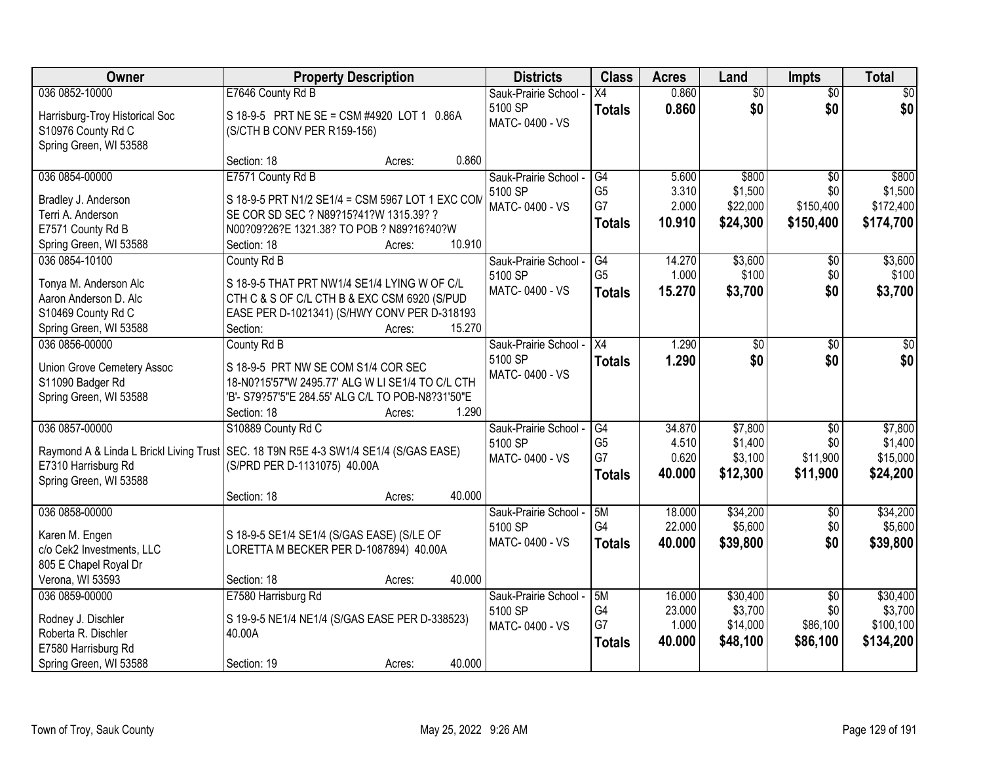| Owner                          | <b>Property Description</b>                                                            | <b>Districts</b>      | <b>Class</b>         | <b>Acres</b> | Land            | Impts           | <b>Total</b> |
|--------------------------------|----------------------------------------------------------------------------------------|-----------------------|----------------------|--------------|-----------------|-----------------|--------------|
| 036 0852-10000                 | E7646 County Rd B                                                                      | Sauk-Prairie School - | X4                   | 0.860        | $\overline{60}$ | $\overline{30}$ | \$0          |
| Harrisburg-Troy Historical Soc | S 18-9-5 PRT NE SE = CSM #4920 LOT 1 0.86A                                             | 5100 SP               | <b>Totals</b>        | 0.860        | \$0             | \$0             | \$0          |
| S10976 County Rd C             | (S/CTH B CONV PER R159-156)                                                            | MATC-0400 - VS        |                      |              |                 |                 |              |
| Spring Green, WI 53588         |                                                                                        |                       |                      |              |                 |                 |              |
|                                | 0.860<br>Section: 18<br>Acres:                                                         |                       |                      |              |                 |                 |              |
| 036 0854-00000                 | E7571 County Rd B                                                                      | Sauk-Prairie School - | G4                   | 5.600        | \$800           | $\overline{50}$ | \$800        |
| Bradley J. Anderson            | S 18-9-5 PRT N1/2 SE1/4 = CSM 5967 LOT 1 EXC COM                                       | 5100 SP               | G <sub>5</sub>       | 3.310        | \$1,500         | \$0             | \$1,500      |
| Terri A. Anderson              | SE COR SD SEC ? N89?15?41?W 1315.39? ?                                                 | MATC-0400 - VS        | G7                   | 2.000        | \$22,000        | \$150,400       | \$172,400    |
| E7571 County Rd B              | N00?09?26?E 1321.38? TO POB ? N89?16?40?W                                              |                       | <b>Totals</b>        | 10.910       | \$24,300        | \$150,400       | \$174,700    |
| Spring Green, WI 53588         | 10.910<br>Section: 18<br>Acres:                                                        |                       |                      |              |                 |                 |              |
| 036 0854-10100                 | County Rd B                                                                            | Sauk-Prairie School - | G4                   | 14.270       | \$3,600         | $\overline{50}$ | \$3,600      |
| Tonya M. Anderson Alc          | S 18-9-5 THAT PRT NW1/4 SE1/4 LYING W OF C/L                                           | 5100 SP               | G <sub>5</sub>       | 1.000        | \$100           | \$0             | \$100        |
| Aaron Anderson D. Alc          | CTH C & S OF C/L CTH B & EXC CSM 6920 (S/PUD                                           | MATC-0400 - VS        | <b>Totals</b>        | 15.270       | \$3,700         | \$0             | \$3,700      |
| S10469 County Rd C             | EASE PER D-1021341) (S/HWY CONV PER D-318193                                           |                       |                      |              |                 |                 |              |
| Spring Green, WI 53588         | 15.270<br>Section:<br>Acres:                                                           |                       |                      |              |                 |                 |              |
| 036 0856-00000                 | County Rd B                                                                            | Sauk-Prairie School - | X4                   | 1.290        | \$0             | \$0             | \$0          |
|                                |                                                                                        | 5100 SP               | <b>Totals</b>        | 1.290        | \$0             | \$0             | \$0          |
| Union Grove Cemetery Assoc     | S 18-9-5 PRT NW SE COM S1/4 COR SEC                                                    | MATC-0400 - VS        |                      |              |                 |                 |              |
| S11090 Badger Rd               | 18-N0?15'57"W 2495.77' ALG W LI SE1/4 TO C/L CTH                                       |                       |                      |              |                 |                 |              |
| Spring Green, WI 53588         | 'B'- S79?57'5"E 284.55' ALG C/L TO POB-N8?31'50"E                                      |                       |                      |              |                 |                 |              |
|                                | 1.290<br>Section: 18<br>Acres:                                                         |                       |                      |              |                 |                 |              |
| 036 0857-00000                 | S10889 County Rd C                                                                     | Sauk-Prairie School - | G4                   | 34.870       | \$7,800         | $\overline{50}$ | \$7,800      |
|                                | Raymond A & Linda L Brickl Living Trust   SEC. 18 T9N R5E 4-3 SW1/4 SE1/4 (S/GAS EASE) | 5100 SP               | G <sub>5</sub><br>G7 | 4.510        | \$1,400         | \$0             | \$1,400      |
| E7310 Harrisburg Rd            | (S/PRD PER D-1131075) 40.00A                                                           | MATC-0400 - VS        |                      | 0.620        | \$3,100         | \$11,900        | \$15,000     |
| Spring Green, WI 53588         |                                                                                        |                       | <b>Totals</b>        | 40.000       | \$12,300        | \$11,900        | \$24,200     |
|                                | 40.000<br>Section: 18<br>Acres:                                                        |                       |                      |              |                 |                 |              |
| 036 0858-00000                 |                                                                                        | Sauk-Prairie School - | 5M                   | 18.000       | \$34,200        | $\overline{50}$ | \$34,200     |
| Karen M. Engen                 | S 18-9-5 SE1/4 SE1/4 (S/GAS EASE) (S/LE OF                                             | 5100 SP               | G4                   | 22.000       | \$5,600         | \$0             | \$5,600      |
| c/o Cek2 Investments, LLC      | LORETTA M BECKER PER D-1087894) 40.00A                                                 | MATC-0400 - VS        | <b>Totals</b>        | 40.000       | \$39,800        | \$0             | \$39,800     |
| 805 E Chapel Royal Dr          |                                                                                        |                       |                      |              |                 |                 |              |
| Verona, WI 53593               | 40.000<br>Section: 18<br>Acres:                                                        |                       |                      |              |                 |                 |              |
| 036 0859-00000                 | E7580 Harrisburg Rd                                                                    | Sauk-Prairie School - | 5M                   | 16.000       | \$30,400        | $\overline{50}$ | \$30,400     |
| Rodney J. Dischler             | S 19-9-5 NE1/4 NE1/4 (S/GAS EASE PER D-338523)                                         | 5100 SP               | G4                   | 23.000       | \$3,700         | \$0             | \$3,700      |
| Roberta R. Dischler            | 40.00A                                                                                 | MATC-0400 - VS        | G7                   | 1.000        | \$14,000        | \$86,100        | \$100,100    |
| E7580 Harrisburg Rd            |                                                                                        |                       | <b>Totals</b>        | 40.000       | \$48,100        | \$86,100        | \$134,200    |
| Spring Green, WI 53588         | 40.000<br>Section: 19<br>Acres:                                                        |                       |                      |              |                 |                 |              |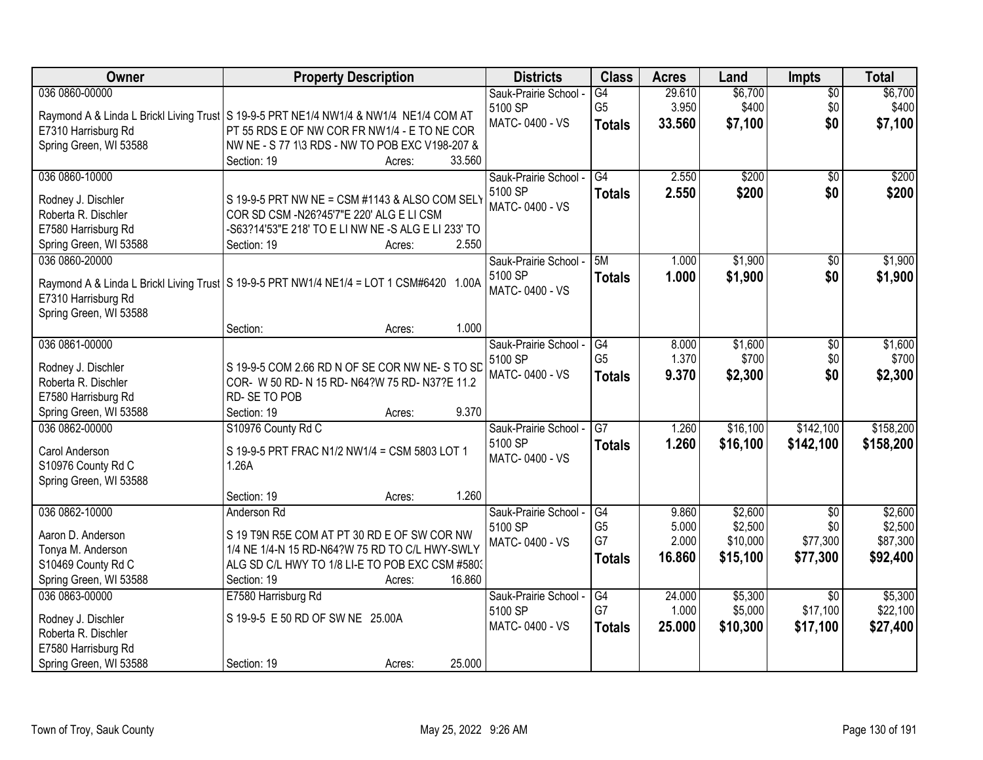| <b>Owner</b>                              | <b>Property Description</b>                                                                      | <b>Districts</b>                 | <b>Class</b>                    | <b>Acres</b>    | Land               | <b>Impts</b>           | <b>Total</b>       |
|-------------------------------------------|--------------------------------------------------------------------------------------------------|----------------------------------|---------------------------------|-----------------|--------------------|------------------------|--------------------|
| 036 0860-00000                            |                                                                                                  | Sauk-Prairie School -            | $\overline{G4}$                 | 29.610          | \$6,700            | $\sqrt{$0}$            | \$6,700            |
|                                           | Raymond A & Linda L Brickl Living Trust   S 19-9-5 PRT NE1/4 NW1/4 & NW1/4 NE1/4 COM AT          | 5100 SP<br>MATC-0400 - VS        | G <sub>5</sub><br><b>Totals</b> | 3.950<br>33.560 | \$400<br>\$7,100   | \$0<br>\$0             | \$400<br>\$7,100   |
| E7310 Harrisburg Rd                       | PT 55 RDS E OF NW COR FR NW1/4 - E TO NE COR                                                     |                                  |                                 |                 |                    |                        |                    |
| Spring Green, WI 53588                    | NW NE - S 77 1\3 RDS - NW TO POB EXC V198-207 &                                                  |                                  |                                 |                 |                    |                        |                    |
|                                           | 33.560<br>Section: 19<br>Acres:                                                                  |                                  |                                 |                 |                    |                        |                    |
| 036 0860-10000                            |                                                                                                  | Sauk-Prairie School -            | $\overline{G4}$                 | 2.550           | \$200              | \$0                    | \$200              |
| Rodney J. Dischler                        | S 19-9-5 PRT NW NE = CSM #1143 & ALSO COM SELY                                                   | 5100 SP                          | <b>Totals</b>                   | 2.550           | \$200              | \$0                    | \$200              |
| Roberta R. Dischler                       | COR SD CSM -N26?45'7"E 220' ALG E LI CSM                                                         | MATC-0400 - VS                   |                                 |                 |                    |                        |                    |
| E7580 Harrisburg Rd                       | -S63?14'53"E 218' TO E LI NW NE -S ALG E LI 233' TO                                              |                                  |                                 |                 |                    |                        |                    |
| Spring Green, WI 53588                    | 2.550<br>Section: 19<br>Acres:                                                                   |                                  |                                 |                 |                    |                        |                    |
| 036 0860-20000                            |                                                                                                  | Sauk-Prairie School -            | 5M                              | 1.000           | \$1,900            | \$0                    | \$1,900            |
|                                           | Raymond A & Linda L Brickl Living Trust   S 19-9-5 PRT NW1/4 NE1/4 = LOT 1 CSM#6420 1.00A        | 5100 SP                          | <b>Totals</b>                   | 1.000           | \$1,900            | \$0                    | \$1,900            |
| E7310 Harrisburg Rd                       |                                                                                                  | MATC-0400 - VS                   |                                 |                 |                    |                        |                    |
| Spring Green, WI 53588                    |                                                                                                  |                                  |                                 |                 |                    |                        |                    |
|                                           | 1.000<br>Section:<br>Acres:                                                                      |                                  |                                 |                 |                    |                        |                    |
| 036 0861-00000                            |                                                                                                  | Sauk-Prairie School -            | G4                              | 8.000           | \$1,600            | $\sqrt[6]{3}$          | \$1,600            |
|                                           |                                                                                                  | 5100 SP                          | G <sub>5</sub>                  | 1.370           | \$700              | \$0                    | \$700              |
| Rodney J. Dischler<br>Roberta R. Dischler | S 19-9-5 COM 2.66 RD N OF SE COR NW NE-S TO SD<br>COR- W 50 RD- N 15 RD- N64?W 75 RD- N37?E 11.2 | MATC-0400 - VS                   | <b>Totals</b>                   | 9.370           | \$2,300            | \$0                    | \$2,300            |
| E7580 Harrisburg Rd                       | RD-SE TO POB                                                                                     |                                  |                                 |                 |                    |                        |                    |
| Spring Green, WI 53588                    | 9.370<br>Section: 19<br>Acres:                                                                   |                                  |                                 |                 |                    |                        |                    |
| 036 0862-00000                            | S10976 County Rd C                                                                               | Sauk-Prairie School -            | $\overline{G7}$                 | 1.260           | \$16,100           | \$142,100              | \$158,200          |
|                                           |                                                                                                  | 5100 SP                          | <b>Totals</b>                   | 1.260           | \$16,100           | \$142,100              | \$158,200          |
| Carol Anderson                            | S 19-9-5 PRT FRAC N1/2 NW1/4 = CSM 5803 LOT 1                                                    | MATC-0400 - VS                   |                                 |                 |                    |                        |                    |
| S10976 County Rd C                        | 1.26A                                                                                            |                                  |                                 |                 |                    |                        |                    |
| Spring Green, WI 53588                    |                                                                                                  |                                  |                                 |                 |                    |                        |                    |
|                                           | 1.260<br>Section: 19<br>Acres:                                                                   |                                  |                                 |                 |                    |                        |                    |
| 036 0862-10000                            | Anderson Rd                                                                                      | Sauk-Prairie School -<br>5100 SP | G4<br>G <sub>5</sub>            | 9.860<br>5.000  | \$2,600<br>\$2,500 | $\overline{50}$<br>\$0 | \$2,600<br>\$2,500 |
| Aaron D. Anderson                         | S 19 T9N R5E COM AT PT 30 RD E OF SW COR NW                                                      | MATC-0400 - VS                   | G7                              | 2.000           | \$10,000           | \$77,300               | \$87,300           |
| Tonya M. Anderson                         | 1/4 NE 1/4-N 15 RD-N64?W 75 RD TO C/L HWY-SWLY                                                   |                                  | <b>Totals</b>                   | 16.860          | \$15,100           | \$77,300               | \$92,400           |
| S10469 County Rd C                        | ALG SD C/L HWY TO 1/8 LI-E TO POB EXC CSM #580.                                                  |                                  |                                 |                 |                    |                        |                    |
| Spring Green, WI 53588                    | 16.860<br>Section: 19<br>Acres:                                                                  |                                  |                                 |                 |                    |                        |                    |
| 036 0863-00000                            | E7580 Harrisburg Rd                                                                              | Sauk-Prairie School -            | G4                              | 24.000          | \$5,300            | $\overline{30}$        | \$5,300            |
| Rodney J. Dischler                        | S 19-9-5 E 50 RD OF SW NE 25.00A                                                                 | 5100 SP                          | G7                              | 1.000           | \$5,000            | \$17,100               | \$22,100           |
| Roberta R. Dischler                       |                                                                                                  | MATC-0400 - VS                   | <b>Totals</b>                   | 25.000          | \$10,300           | \$17,100               | \$27,400           |
| E7580 Harrisburg Rd                       |                                                                                                  |                                  |                                 |                 |                    |                        |                    |
| Spring Green, WI 53588                    | 25.000<br>Section: 19<br>Acres:                                                                  |                                  |                                 |                 |                    |                        |                    |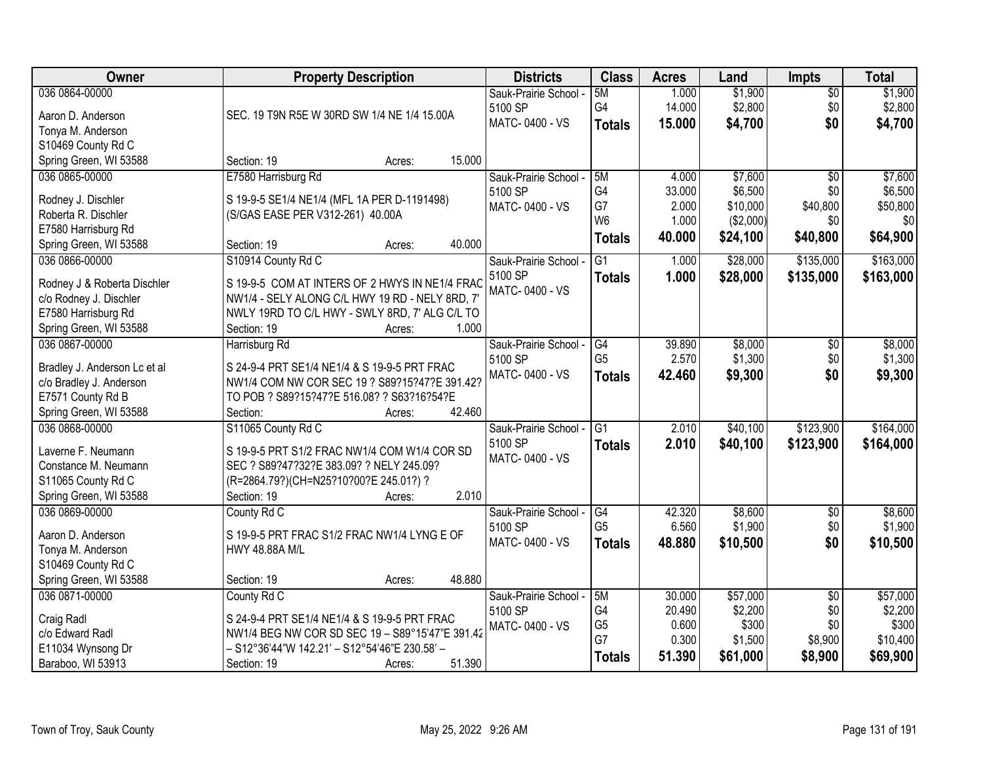| Owner                                         | <b>Property Description</b>                                                                       | <b>Districts</b>      | <b>Class</b>    | <b>Acres</b> | Land      | <b>Impts</b>    | <b>Total</b> |
|-----------------------------------------------|---------------------------------------------------------------------------------------------------|-----------------------|-----------------|--------------|-----------|-----------------|--------------|
| 036 0864-00000                                |                                                                                                   | Sauk-Prairie School - | 5M              | 1.000        | \$1,900   | $\sqrt{$0}$     | \$1,900      |
| Aaron D. Anderson                             | SEC. 19 T9N R5E W 30RD SW 1/4 NE 1/4 15.00A                                                       | 5100 SP               | G4              | 14.000       | \$2,800   | \$0             | \$2,800      |
| Tonya M. Anderson                             |                                                                                                   | MATC-0400 - VS        | <b>Totals</b>   | 15.000       | \$4,700   | \$0             | \$4,700      |
| S10469 County Rd C                            |                                                                                                   |                       |                 |              |           |                 |              |
| Spring Green, WI 53588                        | Section: 19<br>15.000<br>Acres:                                                                   |                       |                 |              |           |                 |              |
| 036 0865-00000                                | E7580 Harrisburg Rd                                                                               | Sauk-Prairie School - | 5M              | 4.000        | \$7,600   | $\overline{50}$ | \$7,600      |
| Rodney J. Dischler                            | S 19-9-5 SE1/4 NE1/4 (MFL 1A PER D-1191498)                                                       | 5100 SP               | G4              | 33.000       | \$6,500   | \$0             | \$6,500      |
| Roberta R. Dischler                           | (S/GAS EASE PER V312-261) 40.00A                                                                  | MATC-0400 - VS        | G7              | 2.000        | \$10,000  | \$40,800        | \$50,800     |
| E7580 Harrisburg Rd                           |                                                                                                   |                       | W <sub>6</sub>  | 1.000        | (\$2,000) | \$0             | \$0          |
| Spring Green, WI 53588                        | 40.000<br>Section: 19<br>Acres:                                                                   |                       | <b>Totals</b>   | 40.000       | \$24,100  | \$40,800        | \$64,900     |
| 036 0866-00000                                | S10914 County Rd C                                                                                | Sauk-Prairie School - | $\overline{G1}$ | 1.000        | \$28,000  | \$135,000       | \$163,000    |
|                                               |                                                                                                   | 5100 SP               | <b>Totals</b>   | 1.000        | \$28,000  | \$135,000       | \$163,000    |
| Rodney J & Roberta Dischler                   | S 19-9-5 COM AT INTERS OF 2 HWYS IN NE1/4 FRAC<br>NW1/4 - SELY ALONG C/L HWY 19 RD - NELY 8RD, 7' | MATC-0400 - VS        |                 |              |           |                 |              |
| c/o Rodney J. Dischler<br>E7580 Harrisburg Rd | NWLY 19RD TO C/L HWY - SWLY 8RD, 7' ALG C/L TO                                                    |                       |                 |              |           |                 |              |
| Spring Green, WI 53588                        | 1.000<br>Section: 19<br>Acres:                                                                    |                       |                 |              |           |                 |              |
| 036 0867-00000                                | Harrisburg Rd                                                                                     | Sauk-Prairie School - | G4              | 39.890       | \$8,000   | $\sqrt[6]{3}$   | \$8,000      |
|                                               |                                                                                                   | 5100 SP               | G <sub>5</sub>  | 2.570        | \$1,300   | \$0             | \$1,300      |
| Bradley J. Anderson Lc et al                  | S 24-9-4 PRT SE1/4 NE1/4 & S 19-9-5 PRT FRAC                                                      | MATC-0400 - VS        | <b>Totals</b>   | 42.460       | \$9,300   | \$0             | \$9,300      |
| c/o Bradley J. Anderson                       | NW1/4 COM NW COR SEC 19 ? S89?15?47?E 391.42?                                                     |                       |                 |              |           |                 |              |
| E7571 County Rd B                             | TO POB ? S89?15?47?E 516.08? ? S63?16?54?E                                                        |                       |                 |              |           |                 |              |
| Spring Green, WI 53588                        | 42.460<br>Section:<br>Acres:                                                                      |                       |                 |              |           |                 |              |
| 036 0868-00000                                | S11065 County Rd C                                                                                | Sauk-Prairie School - | $\overline{G1}$ | 2.010        | \$40,100  | \$123,900       | \$164,000    |
| Laverne F. Neumann                            | S 19-9-5 PRT S1/2 FRAC NW1/4 COM W1/4 COR SD                                                      | 5100 SP               | <b>Totals</b>   | 2.010        | \$40,100  | \$123,900       | \$164,000    |
| Constance M. Neumann                          | SEC ? S89?47?32?E 383.09? ? NELY 245.09?                                                          | MATC-0400 - VS        |                 |              |           |                 |              |
| S11065 County Rd C                            | (R=2864.79?)(CH=N25?10?00?E 245.01?) ?                                                            |                       |                 |              |           |                 |              |
| Spring Green, WI 53588                        | 2.010<br>Section: 19<br>Acres:                                                                    |                       |                 |              |           |                 |              |
| 036 0869-00000                                | County Rd C                                                                                       | Sauk-Prairie School - | G4              | 42.320       | \$8,600   | $\overline{$0}$ | \$8,600      |
| Aaron D. Anderson                             | S 19-9-5 PRT FRAC S1/2 FRAC NW1/4 LYNG E OF                                                       | 5100 SP               | G <sub>5</sub>  | 6.560        | \$1,900   | \$0             | \$1,900      |
| Tonya M. Anderson                             | HWY 48.88A M/L                                                                                    | MATC-0400 - VS        | <b>Totals</b>   | 48.880       | \$10,500  | \$0             | \$10,500     |
| S10469 County Rd C                            |                                                                                                   |                       |                 |              |           |                 |              |
| Spring Green, WI 53588                        | 48.880<br>Section: 19<br>Acres:                                                                   |                       |                 |              |           |                 |              |
| 036 0871-00000                                | County Rd C                                                                                       | Sauk-Prairie School - | 5M              | 30.000       | \$57,000  | $\overline{50}$ | \$57,000     |
| Craig Radl                                    | S 24-9-4 PRT SE1/4 NE1/4 & S 19-9-5 PRT FRAC                                                      | 5100 SP               | G4              | 20.490       | \$2,200   | \$0             | \$2,200      |
| c/o Edward Radl                               | NW1/4 BEG NW COR SD SEC 19 - S89°15'47"E 391.42                                                   | MATC-0400 - VS        | G <sub>5</sub>  | 0.600        | \$300     | \$0             | \$300        |
| E11034 Wynsong Dr                             | - S12°36'44"W 142.21' - S12°54'46"E 230.58' -                                                     |                       | G7              | 0.300        | \$1,500   | \$8,900         | \$10,400     |
| Baraboo, WI 53913                             | 51.390<br>Section: 19<br>Acres:                                                                   |                       | <b>Totals</b>   | 51.390       | \$61,000  | \$8,900         | \$69,900     |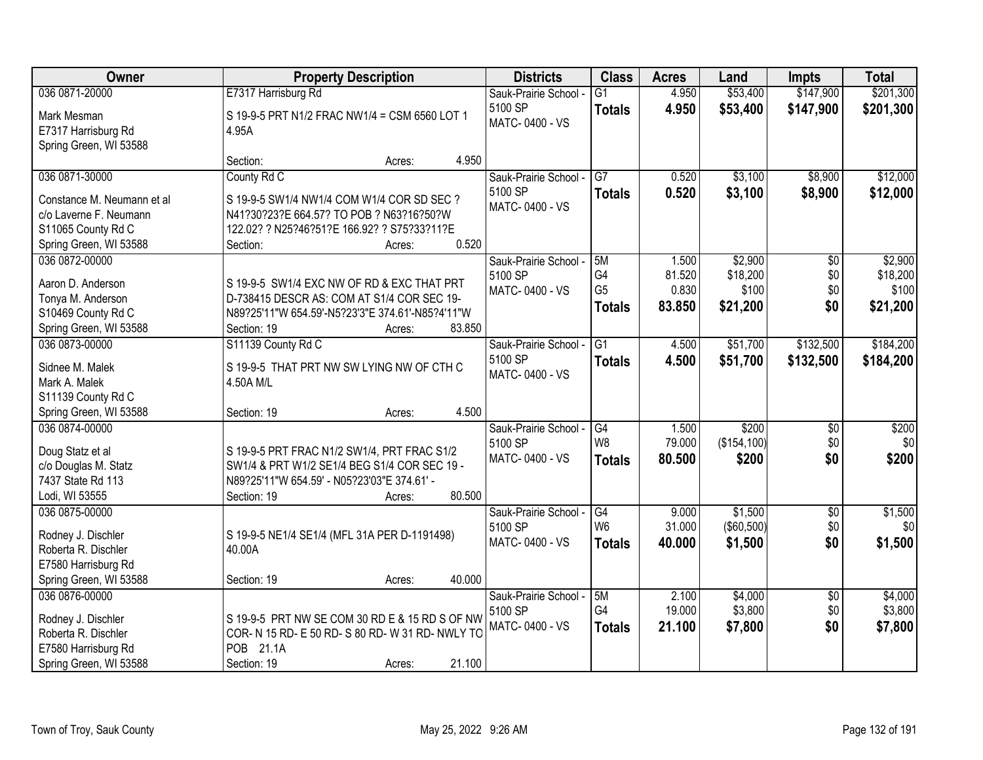| Owner                                                                                                        | <b>Property Description</b>                                                                                                                                                     | <b>Districts</b>                                   | <b>Class</b>                                | <b>Acres</b>                       | Land                                     | <b>Impts</b>                         | <b>Total</b>                             |
|--------------------------------------------------------------------------------------------------------------|---------------------------------------------------------------------------------------------------------------------------------------------------------------------------------|----------------------------------------------------|---------------------------------------------|------------------------------------|------------------------------------------|--------------------------------------|------------------------------------------|
| 036 0871-20000                                                                                               | E7317 Harrisburg Rd                                                                                                                                                             | Sauk-Prairie School -                              | $\overline{G1}$                             | 4.950                              | \$53,400                                 | \$147,900                            | \$201,300                                |
| Mark Mesman<br>E7317 Harrisburg Rd<br>Spring Green, WI 53588                                                 | S 19-9-5 PRT N1/2 FRAC NW1/4 = CSM 6560 LOT 1<br>4.95A                                                                                                                          | 5100 SP<br>MATC-0400 - VS                          | <b>Totals</b>                               | 4.950                              | \$53,400                                 | \$147,900                            | \$201,300                                |
|                                                                                                              | 4.950<br>Section:<br>Acres:                                                                                                                                                     |                                                    |                                             |                                    |                                          |                                      |                                          |
| 036 0871-30000<br>Constance M. Neumann et al<br>c/o Laverne F. Neumann                                       | County Rd C<br>S 19-9-5 SW1/4 NW1/4 COM W1/4 COR SD SEC ?<br>N41?30?23?E 664.57? TO POB ? N63?16?50?W                                                                           | Sauk-Prairie School -<br>5100 SP<br>MATC-0400 - VS | $\overline{G7}$<br><b>Totals</b>            | 0.520<br>0.520                     | \$3,100<br>\$3,100                       | \$8,900<br>\$8,900                   | \$12,000<br>\$12,000                     |
| S11065 County Rd C<br>Spring Green, WI 53588                                                                 | 122.02? ? N25?46?51?E 166.92? ? S75?33?11?E<br>0.520<br>Section:<br>Acres:                                                                                                      |                                                    |                                             |                                    |                                          |                                      |                                          |
| 036 0872-00000<br>Aaron D. Anderson<br>Tonya M. Anderson<br>S10469 County Rd C<br>Spring Green, WI 53588     | S 19-9-5 SW1/4 EXC NW OF RD & EXC THAT PRT<br>D-738415 DESCR AS: COM AT S1/4 COR SEC 19-<br>N89?25'11"W 654.59'-N5?23'3"E 374.61'-N85?4'11"W<br>83.850<br>Section: 19<br>Acres: | Sauk-Prairie School -<br>5100 SP<br>MATC-0400 - VS | 5M<br>G4<br>G <sub>5</sub><br><b>Totals</b> | 1.500<br>81.520<br>0.830<br>83.850 | \$2,900<br>\$18,200<br>\$100<br>\$21,200 | $\overline{50}$<br>\$0<br>\$0<br>\$0 | \$2,900<br>\$18,200<br>\$100<br>\$21,200 |
| 036 0873-00000                                                                                               | S11139 County Rd C                                                                                                                                                              | Sauk-Prairie School -                              | $\overline{G1}$                             | 4.500                              | \$51,700                                 | \$132,500                            | \$184,200                                |
| Sidnee M. Malek<br>Mark A. Malek<br>S11139 County Rd C                                                       | S 19-9-5 THAT PRT NW SW LYING NW OF CTH C<br>4.50A M/L                                                                                                                          | 5100 SP<br>MATC-0400 - VS                          | <b>Totals</b>                               | 4.500                              | \$51,700                                 | \$132,500                            | \$184,200                                |
| Spring Green, WI 53588                                                                                       | 4.500<br>Section: 19<br>Acres:                                                                                                                                                  |                                                    |                                             |                                    |                                          |                                      |                                          |
| 036 0874-00000<br>Doug Statz et al<br>c/o Douglas M. Statz<br>7437 State Rd 113<br>Lodi, WI 53555            | S 19-9-5 PRT FRAC N1/2 SW1/4, PRT FRAC S1/2<br>SW1/4 & PRT W1/2 SE1/4 BEG S1/4 COR SEC 19 -<br>N89?25'11"W 654.59' - N05?23'03"E 374.61' -<br>80.500<br>Section: 19<br>Acres:   | Sauk-Prairie School -<br>5100 SP<br>MATC-0400 - VS | G4<br>W <sub>8</sub><br><b>Totals</b>       | 1.500<br>79.000<br>80.500          | \$200<br>(\$154, 100)<br>\$200           | \$0<br>\$0<br>\$0                    | \$200<br>\$0<br>\$200                    |
| 036 0875-00000                                                                                               |                                                                                                                                                                                 | Sauk-Prairie School -                              | G4                                          | 9.000                              | \$1,500                                  | $\overline{50}$                      | \$1,500                                  |
| Rodney J. Dischler<br>Roberta R. Dischler<br>E7580 Harrisburg Rd                                             | S 19-9-5 NE1/4 SE1/4 (MFL 31A PER D-1191498)<br>40.00A                                                                                                                          | 5100 SP<br>MATC-0400 - VS                          | W <sub>6</sub><br><b>Totals</b>             | 31.000<br>40.000                   | ( \$60,500)<br>\$1,500                   | \$0<br>\$0                           | \$0<br>\$1,500                           |
| Spring Green, WI 53588                                                                                       | 40.000<br>Section: 19<br>Acres:                                                                                                                                                 |                                                    |                                             |                                    |                                          |                                      |                                          |
| 036 0876-00000<br>Rodney J. Dischler<br>Roberta R. Dischler<br>E7580 Harrisburg Rd<br>Spring Green, WI 53588 | S 19-9-5 PRT NW SE COM 30 RD E & 15 RD S OF NW<br>COR- N 15 RD- E 50 RD- S 80 RD- W 31 RD- NWLY TO<br>POB 21.1A<br>21.100<br>Section: 19<br>Acres:                              | Sauk-Prairie School -<br>5100 SP<br>MATC-0400 - VS | 5M<br>G4<br><b>Totals</b>                   | 2.100<br>19.000<br>21.100          | \$4,000<br>\$3,800<br>\$7,800            | $\overline{50}$<br>\$0<br>\$0        | \$4,000<br>\$3,800<br>\$7,800            |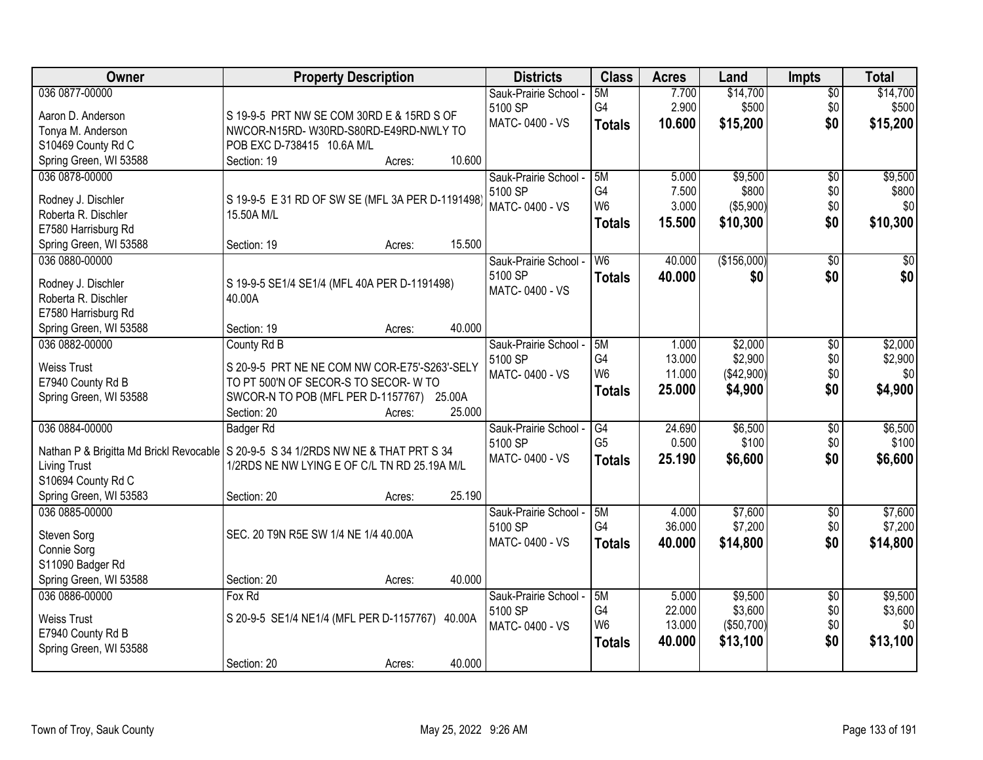| Owner                                    | <b>Property Description</b>                                                          | <b>Districts</b>          | <b>Class</b>   | <b>Acres</b>    | Land               | <b>Impts</b>    | <b>Total</b>       |
|------------------------------------------|--------------------------------------------------------------------------------------|---------------------------|----------------|-----------------|--------------------|-----------------|--------------------|
| 036 0877-00000                           |                                                                                      | Sauk-Prairie School -     | 5M             | 7.700           | \$14,700           | $\overline{50}$ | \$14,700           |
| Aaron D. Anderson                        | S 19-9-5 PRT NW SE COM 30RD E & 15RD S OF                                            | 5100 SP                   | G4             | 2.900           | \$500              | \$0             | \$500              |
| Tonya M. Anderson                        | NWCOR-N15RD-W30RD-S80RD-E49RD-NWLY TO                                                | MATC-0400 - VS            | <b>Totals</b>  | 10.600          | \$15,200           | \$0             | \$15,200           |
| S10469 County Rd C                       | POB EXC D-738415 10.6A M/L                                                           |                           |                |                 |                    |                 |                    |
| Spring Green, WI 53588                   | 10.600<br>Section: 19<br>Acres:                                                      |                           |                |                 |                    |                 |                    |
| 036 0878-00000                           |                                                                                      | Sauk-Prairie School -     | 5M             | 5.000           | \$9,500            | $\overline{50}$ | \$9,500            |
|                                          |                                                                                      | 5100 SP                   | G <sub>4</sub> | 7.500           | \$800              | \$0             | \$800              |
| Rodney J. Dischler                       | S 19-9-5 E 31 RD OF SW SE (MFL 3A PER D-1191498)                                     | MATC-0400 - VS            | W <sub>6</sub> | 3.000           | (\$5,900)          | \$0             | \$0                |
| Roberta R. Dischler                      | 15.50A M/L                                                                           |                           | <b>Totals</b>  | 15.500          | \$10,300           | \$0             | \$10,300           |
| E7580 Harrisburg Rd                      | 15.500<br>Section: 19<br>Acres:                                                      |                           |                |                 |                    |                 |                    |
| Spring Green, WI 53588<br>036 0880-00000 |                                                                                      | Sauk-Prairie School -     | W <sub>6</sub> | 40.000          | (\$156,000)        | $\overline{50}$ | \$0                |
|                                          |                                                                                      | 5100 SP                   |                |                 |                    |                 | \$0                |
| Rodney J. Dischler                       | S 19-9-5 SE1/4 SE1/4 (MFL 40A PER D-1191498)                                         | MATC-0400 - VS            | <b>Totals</b>  | 40.000          | \$0                | \$0             |                    |
| Roberta R. Dischler                      | 40.00A                                                                               |                           |                |                 |                    |                 |                    |
| E7580 Harrisburg Rd                      |                                                                                      |                           |                |                 |                    |                 |                    |
| Spring Green, WI 53588                   | 40.000<br>Section: 19<br>Acres:                                                      |                           |                |                 |                    |                 |                    |
| 036 0882-00000                           | County Rd B                                                                          | Sauk-Prairie School -     | 5M             | 1.000           | \$2,000            | \$0             | \$2,000            |
| <b>Weiss Trust</b>                       | S 20-9-5 PRT NE NE COM NW COR-E75'-S263'-SELY                                        | 5100 SP                   | G4             | 13.000          | \$2,900            | \$0             | \$2,900            |
| E7940 County Rd B                        | TO PT 500'N OF SECOR-S TO SECOR-W TO                                                 | MATC-0400 - VS            | W <sub>6</sub> | 11.000          | (\$42,900)         | \$0             | \$0                |
| Spring Green, WI 53588                   | SWCOR-N TO POB (MFL PER D-1157767) 25.00A                                            |                           | <b>Totals</b>  | 25.000          | \$4,900            | \$0             | \$4,900            |
|                                          | 25.000<br>Section: 20<br>Acres:                                                      |                           |                |                 |                    |                 |                    |
| 036 0884-00000                           | <b>Badger Rd</b>                                                                     | Sauk-Prairie School -     | G4             | 24.690          | \$6,500            | \$0             | \$6,500            |
|                                          |                                                                                      | 5100 SP                   | G <sub>5</sub> | 0.500           | \$100              | \$0             | \$100              |
|                                          | Nathan P & Brigitta Md Brickl Revocable   S 20-9-5 S 34 1/2RDS NW NE & THAT PRT S 34 | MATC-0400 - VS            | <b>Totals</b>  | 25.190          | \$6,600            | \$0             | \$6,600            |
| <b>Living Trust</b>                      | 1/2RDS NE NW LYING E OF C/L TN RD 25.19A M/L                                         |                           |                |                 |                    |                 |                    |
| S10694 County Rd C                       |                                                                                      |                           |                |                 |                    |                 |                    |
| Spring Green, WI 53583                   | 25.190<br>Section: 20<br>Acres:                                                      |                           |                |                 |                    |                 |                    |
| 036 0885-00000                           |                                                                                      | Sauk-Prairie School -     | 5M<br>G4       | 4.000<br>36.000 | \$7,600<br>\$7,200 | $\sqrt{6}$      | \$7,600<br>\$7,200 |
| Steven Sorg                              | SEC. 20 T9N R5E SW 1/4 NE 1/4 40.00A                                                 | 5100 SP<br>MATC-0400 - VS |                |                 |                    | \$0             |                    |
| Connie Sorg                              |                                                                                      |                           | <b>Totals</b>  | 40.000          | \$14,800           | \$0             | \$14,800           |
| S11090 Badger Rd                         |                                                                                      |                           |                |                 |                    |                 |                    |
| Spring Green, WI 53588                   | 40.000<br>Section: 20<br>Acres:                                                      |                           |                |                 |                    |                 |                    |
| 036 0886-00000                           | Fox Rd                                                                               | Sauk-Prairie School -     | 5M             | 5.000           | \$9,500            | $\overline{50}$ | \$9,500            |
| <b>Weiss Trust</b>                       | S 20-9-5 SE1/4 NE1/4 (MFL PER D-1157767) 40.00A                                      | 5100 SP                   | G4             | 22.000          | \$3,600            | \$0             | \$3,600            |
| E7940 County Rd B                        |                                                                                      | MATC-0400 - VS            | W <sub>6</sub> | 13.000          | (\$50,700)         | \$0             | \$0                |
| Spring Green, WI 53588                   |                                                                                      |                           | <b>Totals</b>  | 40.000          | \$13,100           | \$0             | \$13,100           |
|                                          | 40.000<br>Section: 20<br>Acres:                                                      |                           |                |                 |                    |                 |                    |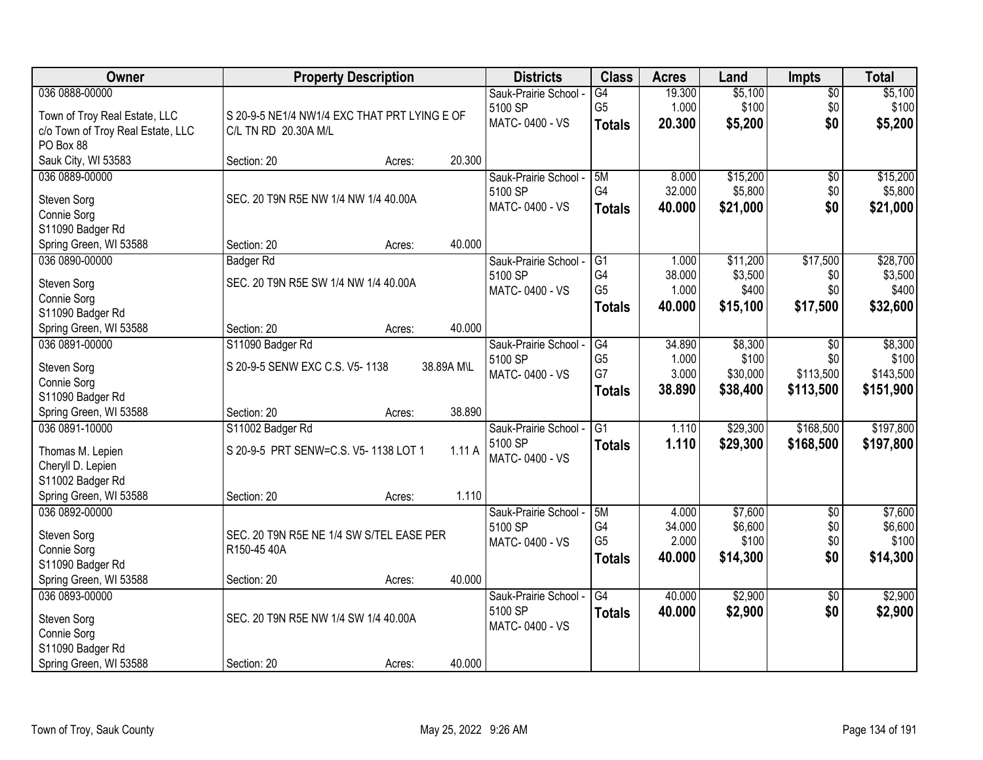| Owner                             |                                              | <b>Property Description</b> |            | <b>Districts</b>      | <b>Class</b>    | <b>Acres</b> | Land     | <b>Impts</b>    | <b>Total</b> |
|-----------------------------------|----------------------------------------------|-----------------------------|------------|-----------------------|-----------------|--------------|----------|-----------------|--------------|
| 036 0888-00000                    |                                              |                             |            | Sauk-Prairie School - | G4              | 19.300       | \$5,100  | $\overline{50}$ | \$5,100      |
| Town of Troy Real Estate, LLC     | S 20-9-5 NE1/4 NW1/4 EXC THAT PRT LYING E OF |                             |            | 5100 SP               | G <sub>5</sub>  | 1.000        | \$100    | \$0             | \$100        |
| c/o Town of Troy Real Estate, LLC | C/L TN RD 20.30A M/L                         |                             |            | MATC-0400 - VS        | <b>Totals</b>   | 20.300       | \$5,200  | \$0             | \$5,200      |
| PO Box 88                         |                                              |                             |            |                       |                 |              |          |                 |              |
| Sauk City, WI 53583               | Section: 20                                  | Acres:                      | 20.300     |                       |                 |              |          |                 |              |
| 036 0889-00000                    |                                              |                             |            | Sauk-Prairie School - | 5M              | 8.000        | \$15,200 | $\overline{50}$ | \$15,200     |
| Steven Sorg                       | SEC. 20 T9N R5E NW 1/4 NW 1/4 40.00A         |                             |            | 5100 SP               | G4              | 32.000       | \$5,800  | \$0             | \$5,800      |
| Connie Sorg                       |                                              |                             |            | MATC-0400 - VS        | <b>Totals</b>   | 40.000       | \$21,000 | \$0             | \$21,000     |
| S11090 Badger Rd                  |                                              |                             |            |                       |                 |              |          |                 |              |
| Spring Green, WI 53588            | Section: 20                                  | Acres:                      | 40.000     |                       |                 |              |          |                 |              |
| 036 0890-00000                    | <b>Badger Rd</b>                             |                             |            | Sauk-Prairie School - | G1              | 1.000        | \$11,200 | \$17,500        | \$28,700     |
|                                   |                                              |                             |            | 5100 SP               | G4              | 38.000       | \$3,500  | \$0             | \$3,500      |
| Steven Sorg                       | SEC. 20 T9N R5E SW 1/4 NW 1/4 40.00A         |                             |            | MATC-0400 - VS        | G <sub>5</sub>  | 1.000        | \$400    | \$0             | \$400        |
| Connie Sorg<br>S11090 Badger Rd   |                                              |                             |            |                       | <b>Totals</b>   | 40.000       | \$15,100 | \$17,500        | \$32,600     |
| Spring Green, WI 53588            | Section: 20                                  | Acres:                      | 40.000     |                       |                 |              |          |                 |              |
| 036 0891-00000                    | S11090 Badger Rd                             |                             |            | Sauk-Prairie School - | G4              | 34.890       | \$8,300  | \$0             | \$8,300      |
|                                   |                                              |                             |            | 5100 SP               | G <sub>5</sub>  | 1.000        | \$100    | \$0             | \$100        |
| Steven Sorg                       | S 20-9-5 SENW EXC C.S. V5-1138               |                             | 38.89A M\L | MATC-0400 - VS        | G7              | 3.000        | \$30,000 | \$113,500       | \$143,500    |
| Connie Sorg                       |                                              |                             |            |                       | <b>Totals</b>   | 38.890       | \$38,400 | \$113,500       | \$151,900    |
| S11090 Badger Rd                  |                                              |                             |            |                       |                 |              |          |                 |              |
| Spring Green, WI 53588            | Section: 20                                  | Acres:                      | 38.890     |                       |                 |              |          |                 |              |
| 036 0891-10000                    | S11002 Badger Rd                             |                             |            | Sauk-Prairie School - | $\overline{G1}$ | 1.110        | \$29,300 | \$168,500       | \$197,800    |
| Thomas M. Lepien                  | S 20-9-5 PRT SENW=C.S. V5-1138 LOT 1         |                             | 1.11A      | 5100 SP               | <b>Totals</b>   | 1.110        | \$29,300 | \$168,500       | \$197,800    |
| Cheryll D. Lepien                 |                                              |                             |            | MATC-0400 - VS        |                 |              |          |                 |              |
| S11002 Badger Rd                  |                                              |                             |            |                       |                 |              |          |                 |              |
| Spring Green, WI 53588            | Section: 20                                  | Acres:                      | 1.110      |                       |                 |              |          |                 |              |
| 036 0892-00000                    |                                              |                             |            | Sauk-Prairie School - | 5M              | 4.000        | \$7,600  | $\sqrt{6}$      | \$7,600      |
| Steven Sorg                       | SEC. 20 T9N R5E NE 1/4 SW S/TEL EASE PER     |                             |            | 5100 SP               | G4              | 34.000       | \$6,600  | \$0             | \$6,600      |
| Connie Sorg                       | R150-45 40A                                  |                             |            | MATC-0400 - VS        | G <sub>5</sub>  | 2.000        | \$100    | \$0             | \$100        |
| S11090 Badger Rd                  |                                              |                             |            |                       | <b>Totals</b>   | 40.000       | \$14,300 | \$0             | \$14,300     |
| Spring Green, WI 53588            | Section: 20                                  | Acres:                      | 40.000     |                       |                 |              |          |                 |              |
| 036 0893-00000                    |                                              |                             |            | Sauk-Prairie School - | $\overline{G4}$ | 40.000       | \$2,900  | $\overline{50}$ | \$2,900      |
|                                   | SEC. 20 T9N R5E NW 1/4 SW 1/4 40.00A         |                             |            | 5100 SP               | <b>Totals</b>   | 40.000       | \$2,900  | \$0             | \$2,900      |
| Steven Sorg<br>Connie Sorg        |                                              |                             |            | MATC-0400 - VS        |                 |              |          |                 |              |
| S11090 Badger Rd                  |                                              |                             |            |                       |                 |              |          |                 |              |
| Spring Green, WI 53588            | Section: 20                                  | Acres:                      | 40.000     |                       |                 |              |          |                 |              |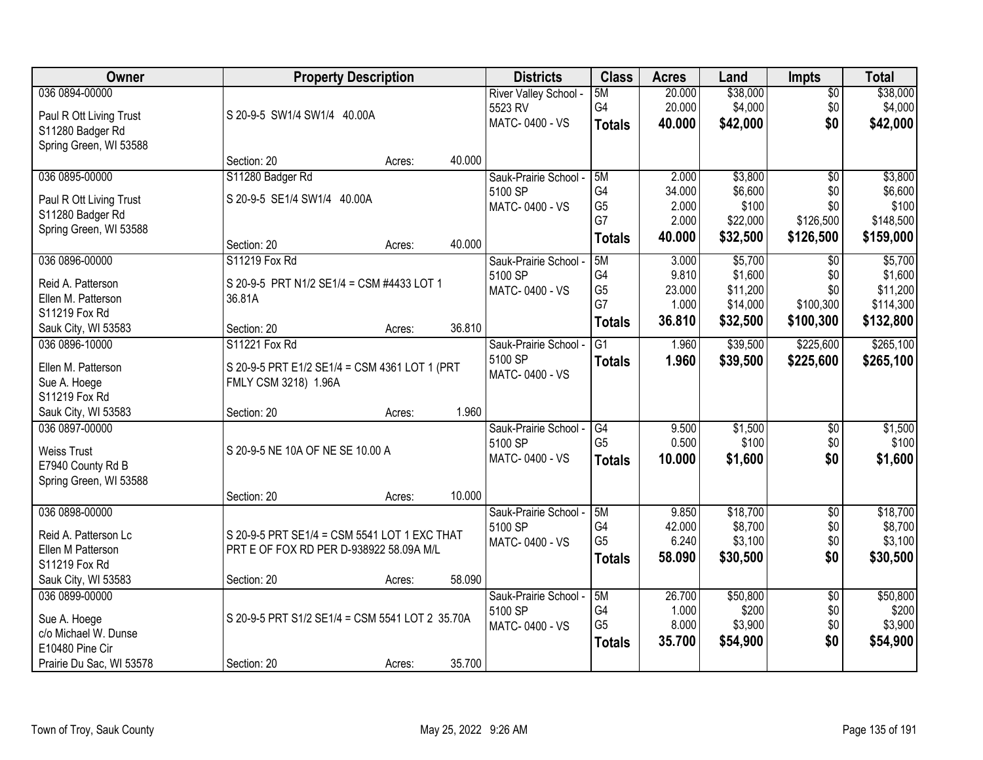| Owner                    | <b>Property Description</b>                     |        |        | <b>Districts</b>      | <b>Class</b>   | <b>Acres</b> | Land     | <b>Impts</b>    | <b>Total</b> |
|--------------------------|-------------------------------------------------|--------|--------|-----------------------|----------------|--------------|----------|-----------------|--------------|
| 036 0894-00000           |                                                 |        |        | River Valley School - | 5M             | 20.000       | \$38,000 | $\overline{50}$ | \$38,000     |
| Paul R Ott Living Trust  | S 20-9-5 SW1/4 SW1/4 40.00A                     |        |        | 5523 RV               | G4             | 20.000       | \$4,000  | \$0             | \$4,000      |
| S11280 Badger Rd         |                                                 |        |        | MATC-0400 - VS        | <b>Totals</b>  | 40.000       | \$42,000 | \$0             | \$42,000     |
| Spring Green, WI 53588   |                                                 |        |        |                       |                |              |          |                 |              |
|                          | Section: 20                                     | Acres: | 40.000 |                       |                |              |          |                 |              |
| 036 0895-00000           | S11280 Badger Rd                                |        |        | Sauk-Prairie School - | 5M             | 2.000        | \$3,800  | $\overline{50}$ | \$3,800      |
| Paul R Ott Living Trust  | S 20-9-5 SE1/4 SW1/4 40.00A                     |        |        | 5100 SP               | G4             | 34.000       | \$6,600  | \$0             | \$6,600      |
| S11280 Badger Rd         |                                                 |        |        | MATC-0400 - VS        | G <sub>5</sub> | 2.000        | \$100    | \$0             | \$100        |
| Spring Green, WI 53588   |                                                 |        |        |                       | G7             | 2.000        | \$22,000 | \$126,500       | \$148,500    |
|                          | Section: 20                                     | Acres: | 40.000 |                       | <b>Totals</b>  | 40.000       | \$32,500 | \$126,500       | \$159,000    |
| 036 0896-00000           | S11219 Fox Rd                                   |        |        | Sauk-Prairie School - | 5M             | 3.000        | \$5,700  | $\sqrt[6]{}$    | \$5,700      |
| Reid A. Patterson        | S 20-9-5 PRT N1/2 SE1/4 = CSM #4433 LOT 1       |        |        | 5100 SP               | G4             | 9.810        | \$1,600  | \$0             | \$1,600      |
| Ellen M. Patterson       | 36.81A                                          |        |        | MATC-0400 - VS        | G <sub>5</sub> | 23.000       | \$11,200 | \$0             | \$11,200     |
| S11219 Fox Rd            |                                                 |        |        |                       | G7             | 1.000        | \$14,000 | \$100,300       | \$114,300    |
| Sauk City, WI 53583      | Section: 20                                     | Acres: | 36.810 |                       | <b>Totals</b>  | 36.810       | \$32,500 | \$100,300       | \$132,800    |
| 036 0896-10000           | S11221 Fox Rd                                   |        |        | Sauk-Prairie School - | G1             | 1.960        | \$39,500 | \$225,600       | \$265,100    |
|                          |                                                 |        |        | 5100 SP               | <b>Totals</b>  | 1.960        | \$39,500 | \$225,600       | \$265,100    |
| Ellen M. Patterson       | S 20-9-5 PRT E1/2 SE1/4 = CSM 4361 LOT 1 (PRT   |        |        | MATC-0400 - VS        |                |              |          |                 |              |
| Sue A. Hoege             | FMLY CSM 3218) 1.96A                            |        |        |                       |                |              |          |                 |              |
| S11219 Fox Rd            |                                                 |        |        |                       |                |              |          |                 |              |
| Sauk City, WI 53583      | Section: 20                                     | Acres: | 1.960  |                       |                |              |          |                 |              |
| 036 0897-00000           |                                                 |        |        | Sauk-Prairie School - | G4             | 9.500        | \$1,500  | \$0             | \$1,500      |
| <b>Weiss Trust</b>       | S 20-9-5 NE 10A OF NE SE 10.00 A                |        |        | 5100 SP               | G <sub>5</sub> | 0.500        | \$100    | \$0             | \$100        |
| E7940 County Rd B        |                                                 |        |        | MATC-0400 - VS        | <b>Totals</b>  | 10.000       | \$1,600  | \$0             | \$1,600      |
| Spring Green, WI 53588   |                                                 |        |        |                       |                |              |          |                 |              |
|                          | Section: 20                                     | Acres: | 10.000 |                       |                |              |          |                 |              |
| 036 0898-00000           |                                                 |        |        | Sauk-Prairie School - | 5M             | 9.850        | \$18,700 | $\overline{50}$ | \$18,700     |
| Reid A. Patterson Lc     | S 20-9-5 PRT SE1/4 = CSM 5541 LOT 1 EXC THAT    |        |        | 5100 SP               | G4             | 42.000       | \$8,700  | \$0             | \$8,700      |
| Ellen M Patterson        | PRT E OF FOX RD PER D-938922 58.09A M/L         |        |        | MATC-0400 - VS        | G <sub>5</sub> | 6.240        | \$3,100  | \$0             | \$3,100      |
| S11219 Fox Rd            |                                                 |        |        |                       | <b>Totals</b>  | 58.090       | \$30,500 | \$0             | \$30,500     |
| Sauk City, WI 53583      | Section: 20                                     | Acres: | 58.090 |                       |                |              |          |                 |              |
| 036 0899-00000           |                                                 |        |        | Sauk-Prairie School - | 5M             | 26.700       | \$50,800 | $\overline{50}$ | \$50,800     |
| Sue A. Hoege             | S 20-9-5 PRT S1/2 SE1/4 = CSM 5541 LOT 2 35.70A |        |        | 5100 SP               | G4             | 1.000        | \$200    | \$0             | \$200        |
| c/o Michael W. Dunse     |                                                 |        |        | MATC-0400 - VS        | G <sub>5</sub> | 8.000        | \$3,900  | \$0             | \$3,900      |
| E10480 Pine Cir          |                                                 |        |        |                       | <b>Totals</b>  | 35.700       | \$54,900 | \$0             | \$54,900     |
| Prairie Du Sac, WI 53578 | Section: 20                                     | Acres: | 35.700 |                       |                |              |          |                 |              |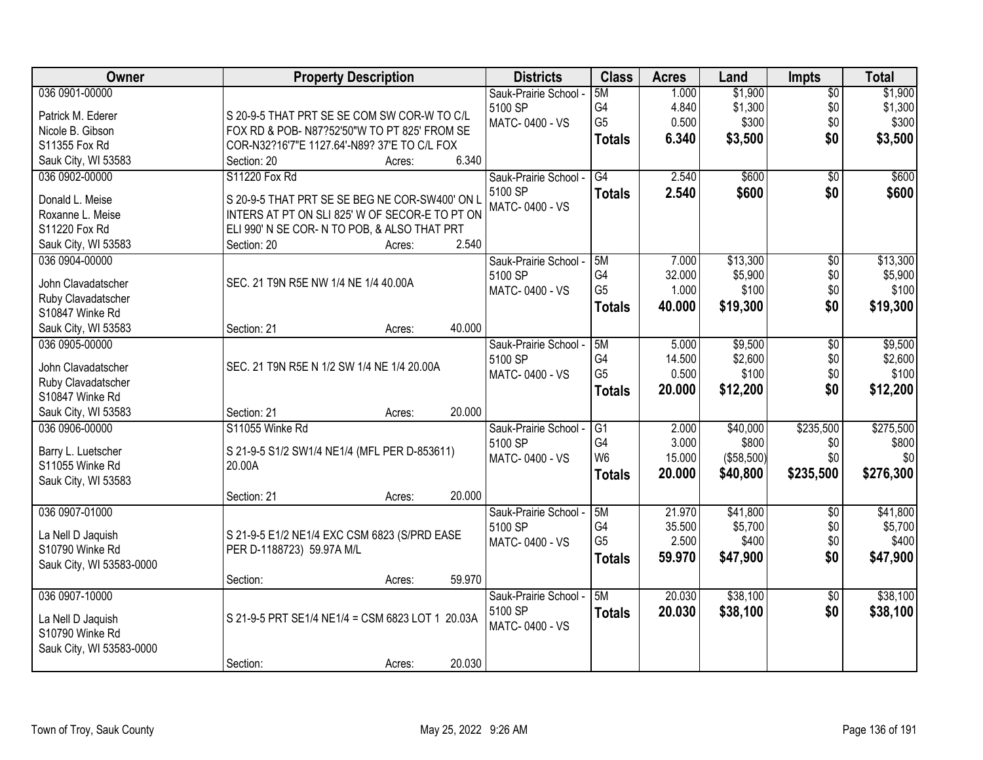| Owner                    | <b>Property Description</b>                      | <b>Districts</b>      | <b>Class</b>    | <b>Acres</b> | Land       | <b>Impts</b>    | <b>Total</b> |
|--------------------------|--------------------------------------------------|-----------------------|-----------------|--------------|------------|-----------------|--------------|
| 036 0901-00000           |                                                  | Sauk-Prairie School - | 5M              | 1.000        | \$1,900    | $\overline{50}$ | \$1,900      |
| Patrick M. Ederer        | S 20-9-5 THAT PRT SE SE COM SW COR-W TO C/L      | 5100 SP               | G4              | 4.840        | \$1,300    | \$0             | \$1,300      |
| Nicole B. Gibson         | FOX RD & POB- N87?52'50"W TO PT 825' FROM SE     | MATC-0400 - VS        | G <sub>5</sub>  | 0.500        | \$300      | \$0             | \$300        |
| S11355 Fox Rd            | COR-N32?16'7"E 1127.64'-N89? 37'E TO C/L FOX     |                       | <b>Totals</b>   | 6.340        | \$3,500    | \$0             | \$3,500      |
| Sauk City, WI 53583      | 6.340<br>Section: 20<br>Acres:                   |                       |                 |              |            |                 |              |
| 036 0902-00000           | S11220 Fox Rd                                    | Sauk-Prairie School - | G4              | 2.540        | \$600      | $\overline{30}$ | \$600        |
|                          |                                                  | 5100 SP               | <b>Totals</b>   | 2.540        | \$600      | \$0             | \$600        |
| Donald L. Meise          | S 20-9-5 THAT PRT SE SE BEG NE COR-SW400' ON L   | MATC-0400 - VS        |                 |              |            |                 |              |
| Roxanne L. Meise         | INTERS AT PT ON SLI 825' W OF SECOR-E TO PT ON   |                       |                 |              |            |                 |              |
| S11220 Fox Rd            | ELI 990' N SE COR- N TO POB, & ALSO THAT PRT     |                       |                 |              |            |                 |              |
| Sauk City, WI 53583      | 2.540<br>Section: 20<br>Acres:                   |                       |                 |              |            |                 |              |
| 036 0904-00000           |                                                  | Sauk-Prairie School - | 5M              | 7.000        | \$13,300   | \$0             | \$13,300     |
| John Clavadatscher       | SEC. 21 T9N R5E NW 1/4 NE 1/4 40.00A             | 5100 SP               | G4              | 32.000       | \$5,900    | \$0             | \$5,900      |
| Ruby Clavadatscher       |                                                  | MATC-0400 - VS        | G <sub>5</sub>  | 1.000        | \$100      | \$0             | \$100        |
| S10847 Winke Rd          |                                                  |                       | <b>Totals</b>   | 40.000       | \$19,300   | \$0             | \$19,300     |
| Sauk City, WI 53583      | 40.000<br>Section: 21<br>Acres:                  |                       |                 |              |            |                 |              |
| 036 0905-00000           |                                                  | Sauk-Prairie School - | 5M              | 5.000        | \$9,500    | \$0             | \$9,500      |
|                          |                                                  | 5100 SP               | G4              | 14.500       | \$2,600    | \$0             | \$2,600      |
| John Clavadatscher       | SEC. 21 T9N R5E N 1/2 SW 1/4 NE 1/4 20.00A       | MATC-0400 - VS        | G <sub>5</sub>  | 0.500        | \$100      | \$0             | \$100        |
| Ruby Clavadatscher       |                                                  |                       | <b>Totals</b>   | 20.000       | \$12,200   | \$0             | \$12,200     |
| S10847 Winke Rd          |                                                  |                       |                 |              |            |                 |              |
| Sauk City, WI 53583      | 20.000<br>Section: 21<br>Acres:                  |                       |                 |              |            |                 |              |
| 036 0906-00000           | S11055 Winke Rd                                  | Sauk-Prairie School - | $\overline{G1}$ | 2.000        | \$40,000   | \$235,500       | \$275,500    |
| Barry L. Luetscher       | S 21-9-5 S1/2 SW1/4 NE1/4 (MFL PER D-853611)     | 5100 SP               | G4              | 3.000        | \$800      | \$0             | \$800        |
| S11055 Winke Rd          | 20.00A                                           | MATC-0400 - VS        | W <sub>6</sub>  | 15.000       | (\$58,500) | \$0             | \$0          |
| Sauk City, WI 53583      |                                                  |                       | <b>Totals</b>   | 20.000       | \$40,800   | \$235,500       | \$276,300    |
|                          | 20.000<br>Section: 21<br>Acres:                  |                       |                 |              |            |                 |              |
| 036 0907-01000           |                                                  | Sauk-Prairie School - | 5M              | 21.970       | \$41,800   | $\overline{50}$ | \$41,800     |
|                          |                                                  | 5100 SP               | G4              | 35.500       | \$5,700    | \$0             | \$5,700      |
| La Nell D Jaquish        | S 21-9-5 E1/2 NE1/4 EXC CSM 6823 (S/PRD EASE     | MATC-0400 - VS        | G <sub>5</sub>  | 2.500        | \$400      | \$0             | \$400        |
| S10790 Winke Rd          | PER D-1188723) 59.97A M/L                        |                       | <b>Totals</b>   | 59.970       | \$47,900   | \$0             | \$47,900     |
| Sauk City, WI 53583-0000 |                                                  |                       |                 |              |            |                 |              |
|                          | 59.970<br>Section:<br>Acres:                     |                       |                 |              |            |                 |              |
| 036 0907-10000           |                                                  | Sauk-Prairie School - | 5M              | 20.030       | \$38,100   | $\overline{30}$ | \$38,100     |
| La Nell D Jaquish        | S 21-9-5 PRT SE1/4 NE1/4 = CSM 6823 LOT 1 20.03A | 5100 SP               | <b>Totals</b>   | 20.030       | \$38,100   | \$0             | \$38,100     |
| S10790 Winke Rd          |                                                  | MATC-0400 - VS        |                 |              |            |                 |              |
| Sauk City, WI 53583-0000 |                                                  |                       |                 |              |            |                 |              |
|                          | 20.030<br>Section:<br>Acres:                     |                       |                 |              |            |                 |              |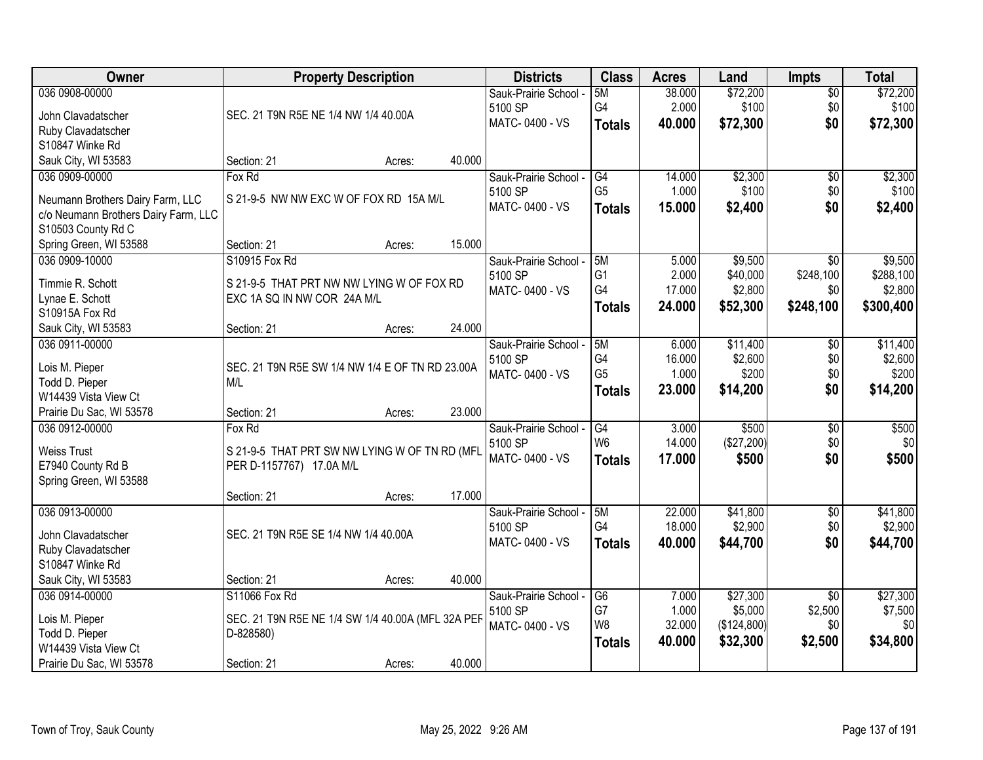| Owner                                                      | <b>Property Description</b>                       | <b>Districts</b>                 | <b>Class</b>         | <b>Acres</b>   | Land                | <b>Impts</b>               | <b>Total</b>        |
|------------------------------------------------------------|---------------------------------------------------|----------------------------------|----------------------|----------------|---------------------|----------------------------|---------------------|
| 036 0908-00000                                             |                                                   | Sauk-Prairie School -            | 5M                   | 38.000         | \$72,200            | $\overline{50}$            | \$72,200            |
| John Clavadatscher                                         | SEC. 21 T9N R5E NE 1/4 NW 1/4 40.00A              | 5100 SP                          | G <sub>4</sub>       | 2.000          | \$100               | \$0                        | \$100               |
| Ruby Clavadatscher                                         |                                                   | MATC-0400 - VS                   | <b>Totals</b>        | 40.000         | \$72,300            | \$0                        | \$72,300            |
| S10847 Winke Rd                                            |                                                   |                                  |                      |                |                     |                            |                     |
| Sauk City, WI 53583                                        | 40.000<br>Section: 21<br>Acres:                   |                                  |                      |                |                     |                            |                     |
| 036 0909-00000                                             | Fox Rd                                            | Sauk-Prairie School -            | G4                   | 14.000         | \$2,300             | \$0                        | \$2,300             |
|                                                            | S 21-9-5 NW NW EXC W OF FOX RD 15A M/L            | 5100 SP                          | G <sub>5</sub>       | 1.000          | \$100               | \$0                        | \$100               |
| Neumann Brothers Dairy Farm, LLC                           |                                                   | MATC-0400 - VS                   | <b>Totals</b>        | 15.000         | \$2,400             | \$0                        | \$2,400             |
| c/o Neumann Brothers Dairy Farm, LLC<br>S10503 County Rd C |                                                   |                                  |                      |                |                     |                            |                     |
| Spring Green, WI 53588                                     | 15.000<br>Section: 21<br>Acres:                   |                                  |                      |                |                     |                            |                     |
| 036 0909-10000                                             | S10915 Fox Rd                                     | Sauk-Prairie School -            | 5M                   | 5.000          | \$9,500             | \$0                        | \$9,500             |
|                                                            |                                                   | 5100 SP                          | G <sub>1</sub>       | 2.000          | \$40,000            | \$248,100                  | \$288,100           |
| Timmie R. Schott                                           | S 21-9-5 THAT PRT NW NW LYING W OF FOX RD         | MATC-0400 - VS                   | G4                   | 17.000         | \$2,800             | \$0                        | \$2,800             |
| Lynae E. Schott                                            | EXC 1A SQ IN NW COR 24A M/L                       |                                  | <b>Totals</b>        | 24.000         | \$52,300            | \$248,100                  | \$300,400           |
| S10915A Fox Rd                                             |                                                   |                                  |                      |                |                     |                            |                     |
| Sauk City, WI 53583                                        | 24.000<br>Section: 21<br>Acres:                   |                                  |                      |                |                     |                            |                     |
| 036 0911-00000                                             |                                                   | Sauk-Prairie School -            | 5M                   | 6.000          | \$11,400            | $\sqrt[6]{3}$              | \$11,400            |
| Lois M. Pieper                                             | SEC. 21 T9N R5E SW 1/4 NW 1/4 E OF TN RD 23.00A   | 5100 SP                          | G4                   | 16.000         | \$2,600             | \$0                        | \$2,600             |
| Todd D. Pieper                                             | M/L                                               | MATC-0400 - VS                   | G <sub>5</sub>       | 1.000          | \$200               | \$0                        | \$200               |
| W14439 Vista View Ct                                       |                                                   |                                  | <b>Totals</b>        | 23.000         | \$14,200            | \$0                        | \$14,200            |
| Prairie Du Sac, WI 53578                                   | 23.000<br>Section: 21<br>Acres:                   |                                  |                      |                |                     |                            |                     |
| 036 0912-00000                                             | Fox Rd                                            | Sauk-Prairie School -            | $\overline{G4}$      | 3.000          | \$500               | $\overline{50}$            | \$500               |
| <b>Weiss Trust</b>                                         | S 21-9-5 THAT PRT SW NW LYING W OF TN RD (MFL     | 5100 SP                          | W <sub>6</sub>       | 14.000         | (\$27,200)          | \$0                        | \$0                 |
| E7940 County Rd B                                          | PER D-1157767) 17.0A M/L                          | MATC-0400 - VS                   | <b>Totals</b>        | 17,000         | \$500               | \$0                        | \$500               |
| Spring Green, WI 53588                                     |                                                   |                                  |                      |                |                     |                            |                     |
|                                                            | 17.000<br>Section: 21<br>Acres:                   |                                  |                      |                |                     |                            |                     |
| 036 0913-00000                                             |                                                   | Sauk-Prairie School -            | 5M                   | 22.000         | \$41,800            | $\sqrt{6}$                 | \$41,800            |
|                                                            |                                                   | 5100 SP                          | G <sub>4</sub>       | 18.000         | \$2,900             | \$0                        | \$2,900             |
| John Clavadatscher                                         | SEC. 21 T9N R5E SE 1/4 NW 1/4 40.00A              | MATC-0400 - VS                   | <b>Totals</b>        | 40.000         | \$44,700            | \$0                        | \$44,700            |
| Ruby Clavadatscher<br>S10847 Winke Rd                      |                                                   |                                  |                      |                |                     |                            |                     |
|                                                            | 40.000<br>Section: 21                             |                                  |                      |                |                     |                            |                     |
| Sauk City, WI 53583                                        | Acres:<br>S11066 Fox Rd                           |                                  |                      |                |                     |                            |                     |
| 036 0914-00000                                             |                                                   | Sauk-Prairie School -<br>5100 SP | G <sub>6</sub><br>G7 | 7.000<br>1.000 | \$27,300<br>\$5,000 | $\overline{50}$<br>\$2,500 | \$27,300<br>\$7,500 |
| Lois M. Pieper                                             | SEC. 21 T9N R5E NE 1/4 SW 1/4 40.00A (MFL 32A PEF | MATC-0400 - VS                   | W <sub>8</sub>       | 32.000         | (\$124,800)         | \$0                        | \$0                 |
| Todd D. Pieper                                             | D-828580)                                         |                                  | <b>Totals</b>        | 40.000         | \$32,300            | \$2,500                    | \$34,800            |
| W14439 Vista View Ct                                       |                                                   |                                  |                      |                |                     |                            |                     |
| Prairie Du Sac, WI 53578                                   | 40.000<br>Section: 21<br>Acres:                   |                                  |                      |                |                     |                            |                     |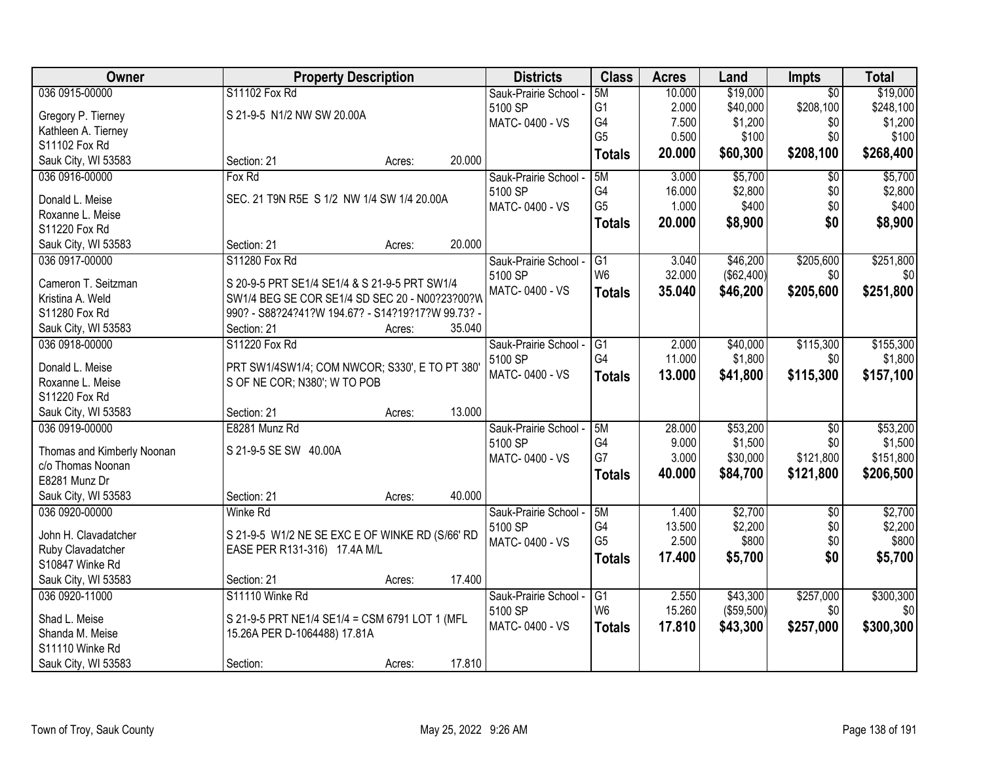| Owner                      |                                                   | <b>Property Description</b> |        | <b>Districts</b>      | <b>Class</b>   | <b>Acres</b> | Land       | Impts           | <b>Total</b> |
|----------------------------|---------------------------------------------------|-----------------------------|--------|-----------------------|----------------|--------------|------------|-----------------|--------------|
| 036 0915-00000             | S11102 Fox Rd                                     |                             |        | Sauk-Prairie School - | 5M             | 10.000       | \$19,000   | $\overline{50}$ | \$19,000     |
| Gregory P. Tierney         | S 21-9-5 N1/2 NW SW 20.00A                        |                             |        | 5100 SP               | G1             | 2.000        | \$40,000   | \$208,100       | \$248,100    |
| Kathleen A. Tierney        |                                                   |                             |        | MATC-0400 - VS        | G4             | 7.500        | \$1,200    | \$0             | \$1,200      |
| S11102 Fox Rd              |                                                   |                             |        |                       | G <sub>5</sub> | 0.500        | \$100      | \$0             | \$100        |
| Sauk City, WI 53583        | Section: 21                                       | Acres:                      | 20.000 |                       | <b>Totals</b>  | 20.000       | \$60,300   | \$208,100       | \$268,400    |
| 036 0916-00000             | Fox Rd                                            |                             |        | Sauk-Prairie School - | 5M             | 3.000        | \$5,700    | $\overline{30}$ | \$5,700      |
|                            |                                                   |                             |        | 5100 SP               | G4             | 16.000       | \$2,800    | \$0             | \$2,800      |
| Donald L. Meise            | SEC. 21 T9N R5E S 1/2 NW 1/4 SW 1/4 20.00A        |                             |        | MATC-0400 - VS        | G <sub>5</sub> | 1.000        | \$400      | \$0             | \$400        |
| Roxanne L. Meise           |                                                   |                             |        |                       | <b>Totals</b>  | 20.000       | \$8,900    | \$0             | \$8,900      |
| S11220 Fox Rd              |                                                   |                             |        |                       |                |              |            |                 |              |
| Sauk City, WI 53583        | Section: 21                                       | Acres:                      | 20.000 |                       |                |              |            |                 |              |
| 036 0917-00000             | S11280 Fox Rd                                     |                             |        | Sauk-Prairie School - | G1             | 3.040        | \$46,200   | \$205,600       | \$251,800    |
| Cameron T. Seitzman        | S 20-9-5 PRT SE1/4 SE1/4 & S 21-9-5 PRT SW1/4     |                             |        | 5100 SP               | W <sub>6</sub> | 32.000       | (\$62,400) | \$0             | \$0          |
| Kristina A. Weld           |                                                   |                             |        | MATC-0400 - VS        | <b>Totals</b>  | 35.040       | \$46,200   | \$205,600       | \$251,800    |
| S11280 Fox Rd              | SW1/4 BEG SE COR SE1/4 SD SEC 20 - N00?23?00?W    |                             |        |                       |                |              |            |                 |              |
|                            | 990? - S88?24?41?W 194.67? - S14?19?17?W 99.73? - |                             |        |                       |                |              |            |                 |              |
| Sauk City, WI 53583        | Section: 21                                       | Acres:                      | 35.040 |                       |                |              |            |                 |              |
| 036 0918-00000             | S11220 Fox Rd                                     |                             |        | Sauk-Prairie School - | G1             | 2.000        | \$40,000   | \$115,300       | \$155,300    |
| Donald L. Meise            | PRT SW1/4SW1/4; COM NWCOR; S330', E TO PT 380'    |                             |        | 5100 SP               | G4             | 11.000       | \$1,800    | \$0             | \$1,800      |
| Roxanne L. Meise           | S OF NE COR; N380'; W TO POB                      |                             |        | MATC-0400 - VS        | <b>Totals</b>  | 13.000       | \$41,800   | \$115,300       | \$157,100    |
| S11220 Fox Rd              |                                                   |                             |        |                       |                |              |            |                 |              |
| Sauk City, WI 53583        | Section: 21                                       | Acres:                      | 13.000 |                       |                |              |            |                 |              |
| 036 0919-00000             | E8281 Munz Rd                                     |                             |        | Sauk-Prairie School - | 5M             | 28.000       | \$53,200   | $\overline{60}$ | \$53,200     |
|                            |                                                   |                             |        | 5100 SP               | G4             | 9.000        | \$1,500    | \$0             | \$1,500      |
| Thomas and Kimberly Noonan | S 21-9-5 SE SW 40.00A                             |                             |        | MATC-0400 - VS        | G7             | 3.000        | \$30,000   | \$121,800       | \$151,800    |
| c/o Thomas Noonan          |                                                   |                             |        |                       | <b>Totals</b>  | 40.000       | \$84,700   | \$121,800       | \$206,500    |
| E8281 Munz Dr              |                                                   |                             |        |                       |                |              |            |                 |              |
| Sauk City, WI 53583        | Section: 21                                       | Acres:                      | 40.000 |                       |                |              |            |                 |              |
| 036 0920-00000             | <b>Winke Rd</b>                                   |                             |        | Sauk-Prairie School - | 5M             | 1.400        | \$2,700    | $\sqrt{6}$      | \$2,700      |
| John H. Clavadatcher       | S 21-9-5 W1/2 NE SE EXC E OF WINKE RD (S/66' RD   |                             |        | 5100 SP               | G4             | 13.500       | \$2,200    | \$0             | \$2,200      |
| Ruby Clavadatcher          | EASE PER R131-316) 17.4A M/L                      |                             |        | MATC-0400 - VS        | G <sub>5</sub> | 2.500        | \$800      | \$0             | \$800        |
| S10847 Winke Rd            |                                                   |                             |        |                       | <b>Totals</b>  | 17.400       | \$5,700    | \$0             | \$5,700      |
| Sauk City, WI 53583        | Section: 21                                       | Acres:                      | 17.400 |                       |                |              |            |                 |              |
| 036 0920-11000             | S11110 Winke Rd                                   |                             |        | Sauk-Prairie School - | G1             | 2.550        | \$43,300   | \$257,000       | \$300,300    |
|                            |                                                   |                             |        | 5100 SP               | W <sub>6</sub> | 15.260       | (\$59,500) | \$0             | \$0          |
| Shad L. Meise              | S 21-9-5 PRT NE1/4 SE1/4 = CSM 6791 LOT 1 (MFL    |                             |        | MATC-0400 - VS        | <b>Totals</b>  | 17.810       | \$43,300   | \$257,000       | \$300,300    |
| Shanda M. Meise            | 15.26A PER D-1064488) 17.81A                      |                             |        |                       |                |              |            |                 |              |
| S11110 Winke Rd            |                                                   |                             |        |                       |                |              |            |                 |              |
| Sauk City, WI 53583        | Section:                                          | Acres:                      | 17.810 |                       |                |              |            |                 |              |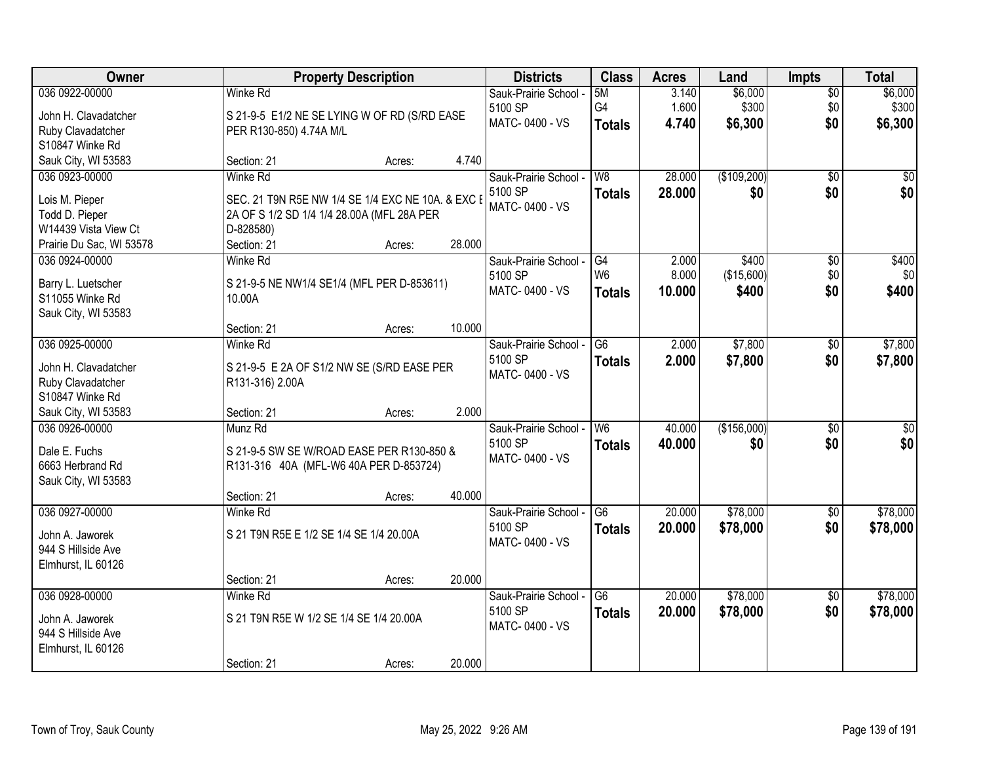| Owner                                    | <b>Property Description</b>                                                         |                  | <b>Districts</b>      | <b>Class</b>    | <b>Acres</b> | Land        | <b>Impts</b>    | <b>Total</b>    |
|------------------------------------------|-------------------------------------------------------------------------------------|------------------|-----------------------|-----------------|--------------|-------------|-----------------|-----------------|
| 036 0922-00000                           | Winke Rd                                                                            |                  | Sauk-Prairie School - | 5M              | 3.140        | \$6,000     | $\sqrt{$0}$     | \$6,000         |
| John H. Clavadatcher                     | S 21-9-5 E1/2 NE SE LYING W OF RD (S/RD EASE                                        |                  | 5100 SP               | G4              | 1.600        | \$300       | \$0             | \$300           |
| Ruby Clavadatcher                        | PER R130-850) 4.74A M/L                                                             |                  | MATC-0400 - VS        | <b>Totals</b>   | 4.740        | \$6,300     | \$0             | \$6,300         |
| S10847 Winke Rd                          |                                                                                     |                  |                       |                 |              |             |                 |                 |
| Sauk City, WI 53583                      | Section: 21                                                                         | 4.740<br>Acres:  |                       |                 |              |             |                 |                 |
| 036 0923-00000                           | <b>Winke Rd</b>                                                                     |                  | Sauk-Prairie School - | W8              | 28.000       | (\$109,200) | $\overline{50}$ | $\overline{30}$ |
| Lois M. Pieper                           | SEC. 21 T9N R5E NW 1/4 SE 1/4 EXC NE 10A. & EXC E                                   |                  | 5100 SP               | <b>Totals</b>   | 28.000       | \$0         | \$0             | \$0             |
| Todd D. Pieper                           | 2A OF S 1/2 SD 1/4 1/4 28.00A (MFL 28A PER                                          |                  | MATC-0400 - VS        |                 |              |             |                 |                 |
| W14439 Vista View Ct                     | D-828580)                                                                           |                  |                       |                 |              |             |                 |                 |
| Prairie Du Sac, WI 53578                 | Section: 21                                                                         | 28.000<br>Acres: |                       |                 |              |             |                 |                 |
| 036 0924-00000                           | <b>Winke Rd</b>                                                                     |                  | Sauk-Prairie School - | G4              | 2.000        | \$400       | \$0             | \$400           |
| Barry L. Luetscher                       | S 21-9-5 NE NW1/4 SE1/4 (MFL PER D-853611)                                          |                  | 5100 SP               | W <sub>6</sub>  | 8.000        | (\$15,600)  | \$0             | \$0             |
| S11055 Winke Rd                          | 10.00A                                                                              |                  | MATC-0400 - VS        | <b>Totals</b>   | 10.000       | \$400       | \$0             | \$400           |
| Sauk City, WI 53583                      |                                                                                     |                  |                       |                 |              |             |                 |                 |
|                                          | Section: 21                                                                         | 10.000<br>Acres: |                       |                 |              |             |                 |                 |
| 036 0925-00000                           | <b>Winke Rd</b>                                                                     |                  | Sauk-Prairie School - | G <sub>6</sub>  | 2.000        | \$7,800     | $\sqrt[6]{3}$   | \$7,800         |
| John H. Clavadatcher                     |                                                                                     |                  | 5100 SP               | <b>Totals</b>   | 2.000        | \$7,800     | \$0             | \$7,800         |
| Ruby Clavadatcher                        | S 21-9-5 E 2A OF S1/2 NW SE (S/RD EASE PER<br>R131-316) 2.00A                       |                  | MATC-0400 - VS        |                 |              |             |                 |                 |
| S10847 Winke Rd                          |                                                                                     |                  |                       |                 |              |             |                 |                 |
| Sauk City, WI 53583                      | Section: 21                                                                         | 2.000<br>Acres:  |                       |                 |              |             |                 |                 |
| 036 0926-00000                           | Munz Rd                                                                             |                  | Sauk-Prairie School - | W6              | 40.000       | (\$156,000) | $\overline{50}$ | $\sqrt{50}$     |
|                                          |                                                                                     |                  | 5100 SP               | <b>Totals</b>   | 40.000       | \$0         | \$0             | \$0             |
| Dale E. Fuchs<br>6663 Herbrand Rd        | S 21-9-5 SW SE W/ROAD EASE PER R130-850 &<br>R131-316 40A (MFL-W6 40A PER D-853724) |                  | MATC-0400 - VS        |                 |              |             |                 |                 |
| Sauk City, WI 53583                      |                                                                                     |                  |                       |                 |              |             |                 |                 |
|                                          | Section: 21                                                                         | 40.000<br>Acres: |                       |                 |              |             |                 |                 |
| 036 0927-00000                           | <b>Winke Rd</b>                                                                     |                  | Sauk-Prairie School - | G <sub>6</sub>  | 20.000       | \$78,000    | \$0             | \$78,000        |
|                                          |                                                                                     |                  | 5100 SP               | <b>Totals</b>   | 20.000       | \$78,000    | \$0             | \$78,000        |
| John A. Jaworek                          | S 21 T9N R5E E 1/2 SE 1/4 SE 1/4 20.00A                                             |                  | MATC-0400 - VS        |                 |              |             |                 |                 |
| 944 S Hillside Ave<br>Elmhurst, IL 60126 |                                                                                     |                  |                       |                 |              |             |                 |                 |
|                                          | Section: 21                                                                         | 20.000<br>Acres: |                       |                 |              |             |                 |                 |
| 036 0928-00000                           | Winke Rd                                                                            |                  | Sauk-Prairie School - | $\overline{G6}$ | 20.000       | \$78,000    | $\overline{50}$ | \$78,000        |
|                                          |                                                                                     |                  | 5100 SP               | <b>Totals</b>   | 20.000       | \$78,000    | \$0             | \$78,000        |
| John A. Jaworek                          | S 21 T9N R5E W 1/2 SE 1/4 SE 1/4 20.00A                                             |                  | MATC-0400 - VS        |                 |              |             |                 |                 |
| 944 S Hillside Ave                       |                                                                                     |                  |                       |                 |              |             |                 |                 |
| Elmhurst, IL 60126                       | Section: 21                                                                         | 20.000<br>Acres: |                       |                 |              |             |                 |                 |
|                                          |                                                                                     |                  |                       |                 |              |             |                 |                 |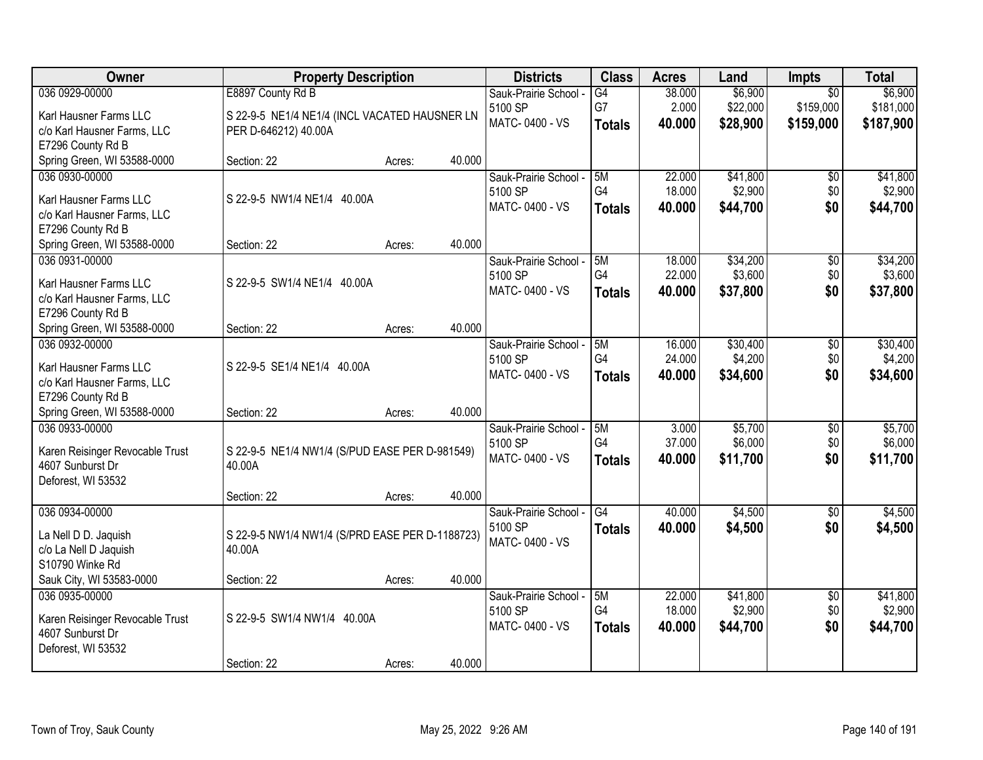| 036 0929-00000<br>E8897 County Rd B<br>\$6,900<br>\$6,900<br>$\overline{G4}$<br>38.000<br>$\overline{50}$<br>Sauk-Prairie School -<br>G7<br>\$22,000<br>2.000<br>\$159,000<br>\$181,000<br>5100 SP<br>Karl Hausner Farms LLC<br>S 22-9-5 NE1/4 NE1/4 (INCL VACATED HAUSNER LN<br>MATC-0400 - VS<br>40,000<br>\$28,900<br>\$159,000<br>\$187,900<br><b>Totals</b><br>PER D-646212) 40.00A<br>c/o Karl Hausner Farms, LLC<br>E7296 County Rd B<br>Spring Green, WI 53588-0000<br>40.000<br>Section: 22<br>Acres:<br>036 0930-00000<br>22.000<br>\$41,800<br>\$41,800<br>Sauk-Prairie School -<br>5M<br>\$0<br>G4<br>18.000<br>\$2,900<br>\$0<br>5100 SP<br>S 22-9-5 NW1/4 NE1/4 40.00A<br>Karl Hausner Farms LLC<br>\$0<br>MATC-0400 - VS<br>\$44,700<br>40.000<br>\$44,700<br><b>Totals</b><br>c/o Karl Hausner Farms, LLC<br>E7296 County Rd B<br>40.000<br>Spring Green, WI 53588-0000<br>Section: 22<br>Acres:<br>036 0931-00000<br>\$34,200<br>18.000<br>$\overline{50}$<br>Sauk-Prairie School -<br>5M<br>G4<br>\$3,600<br>\$0<br>22.000<br>5100 SP<br>S 22-9-5 SW1/4 NE1/4 40.00A<br>Karl Hausner Farms LLC<br>MATC-0400 - VS<br>\$37,800<br>\$0<br>\$37,800<br>40.000<br><b>Totals</b><br>c/o Karl Hausner Farms, LLC<br>E7296 County Rd B<br>40.000<br>Spring Green, WI 53588-0000<br>Section: 22<br>Acres:<br>036 0932-00000<br>\$30,400<br>\$30,400<br>Sauk-Prairie School -<br>5M<br>16.000<br>\$0<br>G4<br>\$4,200<br>\$0<br>5100 SP<br>24.000<br>Karl Hausner Farms LLC<br>S 22-9-5 SE1/4 NE1/4 40.00A<br>\$0<br>MATC-0400 - VS<br>\$34,600<br>\$34,600<br>40.000<br><b>Totals</b><br>c/o Karl Hausner Farms, LLC<br>E7296 County Rd B<br>40.000<br>Spring Green, WI 53588-0000<br>Section: 22<br>Acres:<br>\$5,700<br>\$5,700<br>036 0933-00000<br>5M<br>3.000<br>$\overline{50}$<br>Sauk-Prairie School -<br>G <sub>4</sub><br>\$6,000<br>37,000<br>\$0<br>5100 SP<br>Karen Reisinger Revocable Trust<br>S 22-9-5 NE1/4 NW1/4 (S/PUD EASE PER D-981549)<br>\$0<br>MATC-0400 - VS<br>40.000<br>\$11,700<br>\$11,700<br><b>Totals</b><br>4607 Sunburst Dr<br>40.00A<br>Deforest, WI 53532<br>40.000<br>Section: 22<br>Acres:<br>G4<br>\$4,500<br>036 0934-00000<br>40.000<br>$\overline{50}$<br>Sauk-Prairie School -<br>5100 SP<br>40.000<br>\$4,500<br>\$0<br><b>Totals</b><br>La Nell D D. Jaquish<br>S 22-9-5 NW1/4 NW1/4 (S/PRD EASE PER D-1188723)<br>MATC-0400 - VS<br>c/o La Nell D Jaquish<br>40.00A<br>S10790 Winke Rd<br>Sauk City, WI 53583-0000<br>40.000<br>Section: 22<br>Acres:<br>\$41,800<br>\$41,800<br>036 0935-00000<br>Sauk-Prairie School -<br>5M<br>22.000<br>$\sqrt{6}$<br>G4<br>18.000<br>\$2,900<br>\$0<br>5100 SP<br>S 22-9-5 SW1/4 NW1/4 40.00A<br>Karen Reisinger Revocable Trust<br>\$44,700<br>\$0<br>MATC-0400 - VS<br>40.000<br>\$44,700<br><b>Totals</b><br>4607 Sunburst Dr<br>Deforest, WI 53532 | Owner | <b>Property Description</b> |        |        | <b>Districts</b> | <b>Class</b> | <b>Acres</b> | Land | Impts | <b>Total</b> |
|---------------------------------------------------------------------------------------------------------------------------------------------------------------------------------------------------------------------------------------------------------------------------------------------------------------------------------------------------------------------------------------------------------------------------------------------------------------------------------------------------------------------------------------------------------------------------------------------------------------------------------------------------------------------------------------------------------------------------------------------------------------------------------------------------------------------------------------------------------------------------------------------------------------------------------------------------------------------------------------------------------------------------------------------------------------------------------------------------------------------------------------------------------------------------------------------------------------------------------------------------------------------------------------------------------------------------------------------------------------------------------------------------------------------------------------------------------------------------------------------------------------------------------------------------------------------------------------------------------------------------------------------------------------------------------------------------------------------------------------------------------------------------------------------------------------------------------------------------------------------------------------------------------------------------------------------------------------------------------------------------------------------------------------------------------------------------------------------------------------------------------------------------------------------------------------------------------------------------------------------------------------------------------------------------------------------------------------------------------------------------------------------------------------------------------------------------------------------------------------------------------------------------------------------------------------------------------------------------------------------------------------------------------------------------------------------------------------------------------------------------------------------------------------------------------------------------------------------------|-------|-----------------------------|--------|--------|------------------|--------------|--------------|------|-------|--------------|
|                                                                                                                                                                                                                                                                                                                                                                                                                                                                                                                                                                                                                                                                                                                                                                                                                                                                                                                                                                                                                                                                                                                                                                                                                                                                                                                                                                                                                                                                                                                                                                                                                                                                                                                                                                                                                                                                                                                                                                                                                                                                                                                                                                                                                                                                                                                                                                                                                                                                                                                                                                                                                                                                                                                                                                                                                                                   |       |                             |        |        |                  |              |              |      |       |              |
|                                                                                                                                                                                                                                                                                                                                                                                                                                                                                                                                                                                                                                                                                                                                                                                                                                                                                                                                                                                                                                                                                                                                                                                                                                                                                                                                                                                                                                                                                                                                                                                                                                                                                                                                                                                                                                                                                                                                                                                                                                                                                                                                                                                                                                                                                                                                                                                                                                                                                                                                                                                                                                                                                                                                                                                                                                                   |       |                             |        |        |                  |              |              |      |       |              |
|                                                                                                                                                                                                                                                                                                                                                                                                                                                                                                                                                                                                                                                                                                                                                                                                                                                                                                                                                                                                                                                                                                                                                                                                                                                                                                                                                                                                                                                                                                                                                                                                                                                                                                                                                                                                                                                                                                                                                                                                                                                                                                                                                                                                                                                                                                                                                                                                                                                                                                                                                                                                                                                                                                                                                                                                                                                   |       |                             |        |        |                  |              |              |      |       |              |
|                                                                                                                                                                                                                                                                                                                                                                                                                                                                                                                                                                                                                                                                                                                                                                                                                                                                                                                                                                                                                                                                                                                                                                                                                                                                                                                                                                                                                                                                                                                                                                                                                                                                                                                                                                                                                                                                                                                                                                                                                                                                                                                                                                                                                                                                                                                                                                                                                                                                                                                                                                                                                                                                                                                                                                                                                                                   |       |                             |        |        |                  |              |              |      |       |              |
| \$2,900<br>\$34,200<br>\$3,600<br>\$4,200<br>\$6,000<br>\$4,500<br>\$4,500<br>\$2,900                                                                                                                                                                                                                                                                                                                                                                                                                                                                                                                                                                                                                                                                                                                                                                                                                                                                                                                                                                                                                                                                                                                                                                                                                                                                                                                                                                                                                                                                                                                                                                                                                                                                                                                                                                                                                                                                                                                                                                                                                                                                                                                                                                                                                                                                                                                                                                                                                                                                                                                                                                                                                                                                                                                                                             |       |                             |        |        |                  |              |              |      |       |              |
|                                                                                                                                                                                                                                                                                                                                                                                                                                                                                                                                                                                                                                                                                                                                                                                                                                                                                                                                                                                                                                                                                                                                                                                                                                                                                                                                                                                                                                                                                                                                                                                                                                                                                                                                                                                                                                                                                                                                                                                                                                                                                                                                                                                                                                                                                                                                                                                                                                                                                                                                                                                                                                                                                                                                                                                                                                                   |       |                             |        |        |                  |              |              |      |       |              |
|                                                                                                                                                                                                                                                                                                                                                                                                                                                                                                                                                                                                                                                                                                                                                                                                                                                                                                                                                                                                                                                                                                                                                                                                                                                                                                                                                                                                                                                                                                                                                                                                                                                                                                                                                                                                                                                                                                                                                                                                                                                                                                                                                                                                                                                                                                                                                                                                                                                                                                                                                                                                                                                                                                                                                                                                                                                   |       |                             |        |        |                  |              |              |      |       |              |
|                                                                                                                                                                                                                                                                                                                                                                                                                                                                                                                                                                                                                                                                                                                                                                                                                                                                                                                                                                                                                                                                                                                                                                                                                                                                                                                                                                                                                                                                                                                                                                                                                                                                                                                                                                                                                                                                                                                                                                                                                                                                                                                                                                                                                                                                                                                                                                                                                                                                                                                                                                                                                                                                                                                                                                                                                                                   |       |                             |        |        |                  |              |              |      |       |              |
|                                                                                                                                                                                                                                                                                                                                                                                                                                                                                                                                                                                                                                                                                                                                                                                                                                                                                                                                                                                                                                                                                                                                                                                                                                                                                                                                                                                                                                                                                                                                                                                                                                                                                                                                                                                                                                                                                                                                                                                                                                                                                                                                                                                                                                                                                                                                                                                                                                                                                                                                                                                                                                                                                                                                                                                                                                                   |       |                             |        |        |                  |              |              |      |       |              |
|                                                                                                                                                                                                                                                                                                                                                                                                                                                                                                                                                                                                                                                                                                                                                                                                                                                                                                                                                                                                                                                                                                                                                                                                                                                                                                                                                                                                                                                                                                                                                                                                                                                                                                                                                                                                                                                                                                                                                                                                                                                                                                                                                                                                                                                                                                                                                                                                                                                                                                                                                                                                                                                                                                                                                                                                                                                   |       |                             |        |        |                  |              |              |      |       |              |
|                                                                                                                                                                                                                                                                                                                                                                                                                                                                                                                                                                                                                                                                                                                                                                                                                                                                                                                                                                                                                                                                                                                                                                                                                                                                                                                                                                                                                                                                                                                                                                                                                                                                                                                                                                                                                                                                                                                                                                                                                                                                                                                                                                                                                                                                                                                                                                                                                                                                                                                                                                                                                                                                                                                                                                                                                                                   |       |                             |        |        |                  |              |              |      |       |              |
|                                                                                                                                                                                                                                                                                                                                                                                                                                                                                                                                                                                                                                                                                                                                                                                                                                                                                                                                                                                                                                                                                                                                                                                                                                                                                                                                                                                                                                                                                                                                                                                                                                                                                                                                                                                                                                                                                                                                                                                                                                                                                                                                                                                                                                                                                                                                                                                                                                                                                                                                                                                                                                                                                                                                                                                                                                                   |       |                             |        |        |                  |              |              |      |       |              |
|                                                                                                                                                                                                                                                                                                                                                                                                                                                                                                                                                                                                                                                                                                                                                                                                                                                                                                                                                                                                                                                                                                                                                                                                                                                                                                                                                                                                                                                                                                                                                                                                                                                                                                                                                                                                                                                                                                                                                                                                                                                                                                                                                                                                                                                                                                                                                                                                                                                                                                                                                                                                                                                                                                                                                                                                                                                   |       |                             |        |        |                  |              |              |      |       |              |
|                                                                                                                                                                                                                                                                                                                                                                                                                                                                                                                                                                                                                                                                                                                                                                                                                                                                                                                                                                                                                                                                                                                                                                                                                                                                                                                                                                                                                                                                                                                                                                                                                                                                                                                                                                                                                                                                                                                                                                                                                                                                                                                                                                                                                                                                                                                                                                                                                                                                                                                                                                                                                                                                                                                                                                                                                                                   |       |                             |        |        |                  |              |              |      |       |              |
|                                                                                                                                                                                                                                                                                                                                                                                                                                                                                                                                                                                                                                                                                                                                                                                                                                                                                                                                                                                                                                                                                                                                                                                                                                                                                                                                                                                                                                                                                                                                                                                                                                                                                                                                                                                                                                                                                                                                                                                                                                                                                                                                                                                                                                                                                                                                                                                                                                                                                                                                                                                                                                                                                                                                                                                                                                                   |       |                             |        |        |                  |              |              |      |       |              |
|                                                                                                                                                                                                                                                                                                                                                                                                                                                                                                                                                                                                                                                                                                                                                                                                                                                                                                                                                                                                                                                                                                                                                                                                                                                                                                                                                                                                                                                                                                                                                                                                                                                                                                                                                                                                                                                                                                                                                                                                                                                                                                                                                                                                                                                                                                                                                                                                                                                                                                                                                                                                                                                                                                                                                                                                                                                   |       |                             |        |        |                  |              |              |      |       |              |
|                                                                                                                                                                                                                                                                                                                                                                                                                                                                                                                                                                                                                                                                                                                                                                                                                                                                                                                                                                                                                                                                                                                                                                                                                                                                                                                                                                                                                                                                                                                                                                                                                                                                                                                                                                                                                                                                                                                                                                                                                                                                                                                                                                                                                                                                                                                                                                                                                                                                                                                                                                                                                                                                                                                                                                                                                                                   |       |                             |        |        |                  |              |              |      |       |              |
|                                                                                                                                                                                                                                                                                                                                                                                                                                                                                                                                                                                                                                                                                                                                                                                                                                                                                                                                                                                                                                                                                                                                                                                                                                                                                                                                                                                                                                                                                                                                                                                                                                                                                                                                                                                                                                                                                                                                                                                                                                                                                                                                                                                                                                                                                                                                                                                                                                                                                                                                                                                                                                                                                                                                                                                                                                                   |       |                             |        |        |                  |              |              |      |       |              |
|                                                                                                                                                                                                                                                                                                                                                                                                                                                                                                                                                                                                                                                                                                                                                                                                                                                                                                                                                                                                                                                                                                                                                                                                                                                                                                                                                                                                                                                                                                                                                                                                                                                                                                                                                                                                                                                                                                                                                                                                                                                                                                                                                                                                                                                                                                                                                                                                                                                                                                                                                                                                                                                                                                                                                                                                                                                   |       |                             |        |        |                  |              |              |      |       |              |
|                                                                                                                                                                                                                                                                                                                                                                                                                                                                                                                                                                                                                                                                                                                                                                                                                                                                                                                                                                                                                                                                                                                                                                                                                                                                                                                                                                                                                                                                                                                                                                                                                                                                                                                                                                                                                                                                                                                                                                                                                                                                                                                                                                                                                                                                                                                                                                                                                                                                                                                                                                                                                                                                                                                                                                                                                                                   |       |                             |        |        |                  |              |              |      |       |              |
|                                                                                                                                                                                                                                                                                                                                                                                                                                                                                                                                                                                                                                                                                                                                                                                                                                                                                                                                                                                                                                                                                                                                                                                                                                                                                                                                                                                                                                                                                                                                                                                                                                                                                                                                                                                                                                                                                                                                                                                                                                                                                                                                                                                                                                                                                                                                                                                                                                                                                                                                                                                                                                                                                                                                                                                                                                                   |       |                             |        |        |                  |              |              |      |       |              |
|                                                                                                                                                                                                                                                                                                                                                                                                                                                                                                                                                                                                                                                                                                                                                                                                                                                                                                                                                                                                                                                                                                                                                                                                                                                                                                                                                                                                                                                                                                                                                                                                                                                                                                                                                                                                                                                                                                                                                                                                                                                                                                                                                                                                                                                                                                                                                                                                                                                                                                                                                                                                                                                                                                                                                                                                                                                   |       |                             |        |        |                  |              |              |      |       |              |
|                                                                                                                                                                                                                                                                                                                                                                                                                                                                                                                                                                                                                                                                                                                                                                                                                                                                                                                                                                                                                                                                                                                                                                                                                                                                                                                                                                                                                                                                                                                                                                                                                                                                                                                                                                                                                                                                                                                                                                                                                                                                                                                                                                                                                                                                                                                                                                                                                                                                                                                                                                                                                                                                                                                                                                                                                                                   |       |                             |        |        |                  |              |              |      |       |              |
|                                                                                                                                                                                                                                                                                                                                                                                                                                                                                                                                                                                                                                                                                                                                                                                                                                                                                                                                                                                                                                                                                                                                                                                                                                                                                                                                                                                                                                                                                                                                                                                                                                                                                                                                                                                                                                                                                                                                                                                                                                                                                                                                                                                                                                                                                                                                                                                                                                                                                                                                                                                                                                                                                                                                                                                                                                                   |       |                             |        |        |                  |              |              |      |       |              |
|                                                                                                                                                                                                                                                                                                                                                                                                                                                                                                                                                                                                                                                                                                                                                                                                                                                                                                                                                                                                                                                                                                                                                                                                                                                                                                                                                                                                                                                                                                                                                                                                                                                                                                                                                                                                                                                                                                                                                                                                                                                                                                                                                                                                                                                                                                                                                                                                                                                                                                                                                                                                                                                                                                                                                                                                                                                   |       |                             |        |        |                  |              |              |      |       |              |
|                                                                                                                                                                                                                                                                                                                                                                                                                                                                                                                                                                                                                                                                                                                                                                                                                                                                                                                                                                                                                                                                                                                                                                                                                                                                                                                                                                                                                                                                                                                                                                                                                                                                                                                                                                                                                                                                                                                                                                                                                                                                                                                                                                                                                                                                                                                                                                                                                                                                                                                                                                                                                                                                                                                                                                                                                                                   |       |                             |        |        |                  |              |              |      |       |              |
|                                                                                                                                                                                                                                                                                                                                                                                                                                                                                                                                                                                                                                                                                                                                                                                                                                                                                                                                                                                                                                                                                                                                                                                                                                                                                                                                                                                                                                                                                                                                                                                                                                                                                                                                                                                                                                                                                                                                                                                                                                                                                                                                                                                                                                                                                                                                                                                                                                                                                                                                                                                                                                                                                                                                                                                                                                                   |       |                             |        |        |                  |              |              |      |       |              |
|                                                                                                                                                                                                                                                                                                                                                                                                                                                                                                                                                                                                                                                                                                                                                                                                                                                                                                                                                                                                                                                                                                                                                                                                                                                                                                                                                                                                                                                                                                                                                                                                                                                                                                                                                                                                                                                                                                                                                                                                                                                                                                                                                                                                                                                                                                                                                                                                                                                                                                                                                                                                                                                                                                                                                                                                                                                   |       |                             |        |        |                  |              |              |      |       |              |
|                                                                                                                                                                                                                                                                                                                                                                                                                                                                                                                                                                                                                                                                                                                                                                                                                                                                                                                                                                                                                                                                                                                                                                                                                                                                                                                                                                                                                                                                                                                                                                                                                                                                                                                                                                                                                                                                                                                                                                                                                                                                                                                                                                                                                                                                                                                                                                                                                                                                                                                                                                                                                                                                                                                                                                                                                                                   |       |                             |        |        |                  |              |              |      |       |              |
|                                                                                                                                                                                                                                                                                                                                                                                                                                                                                                                                                                                                                                                                                                                                                                                                                                                                                                                                                                                                                                                                                                                                                                                                                                                                                                                                                                                                                                                                                                                                                                                                                                                                                                                                                                                                                                                                                                                                                                                                                                                                                                                                                                                                                                                                                                                                                                                                                                                                                                                                                                                                                                                                                                                                                                                                                                                   |       |                             |        |        |                  |              |              |      |       |              |
|                                                                                                                                                                                                                                                                                                                                                                                                                                                                                                                                                                                                                                                                                                                                                                                                                                                                                                                                                                                                                                                                                                                                                                                                                                                                                                                                                                                                                                                                                                                                                                                                                                                                                                                                                                                                                                                                                                                                                                                                                                                                                                                                                                                                                                                                                                                                                                                                                                                                                                                                                                                                                                                                                                                                                                                                                                                   |       |                             |        |        |                  |              |              |      |       |              |
|                                                                                                                                                                                                                                                                                                                                                                                                                                                                                                                                                                                                                                                                                                                                                                                                                                                                                                                                                                                                                                                                                                                                                                                                                                                                                                                                                                                                                                                                                                                                                                                                                                                                                                                                                                                                                                                                                                                                                                                                                                                                                                                                                                                                                                                                                                                                                                                                                                                                                                                                                                                                                                                                                                                                                                                                                                                   |       |                             |        |        |                  |              |              |      |       |              |
|                                                                                                                                                                                                                                                                                                                                                                                                                                                                                                                                                                                                                                                                                                                                                                                                                                                                                                                                                                                                                                                                                                                                                                                                                                                                                                                                                                                                                                                                                                                                                                                                                                                                                                                                                                                                                                                                                                                                                                                                                                                                                                                                                                                                                                                                                                                                                                                                                                                                                                                                                                                                                                                                                                                                                                                                                                                   |       |                             |        |        |                  |              |              |      |       |              |
|                                                                                                                                                                                                                                                                                                                                                                                                                                                                                                                                                                                                                                                                                                                                                                                                                                                                                                                                                                                                                                                                                                                                                                                                                                                                                                                                                                                                                                                                                                                                                                                                                                                                                                                                                                                                                                                                                                                                                                                                                                                                                                                                                                                                                                                                                                                                                                                                                                                                                                                                                                                                                                                                                                                                                                                                                                                   |       | Section: 22                 | Acres: | 40.000 |                  |              |              |      |       |              |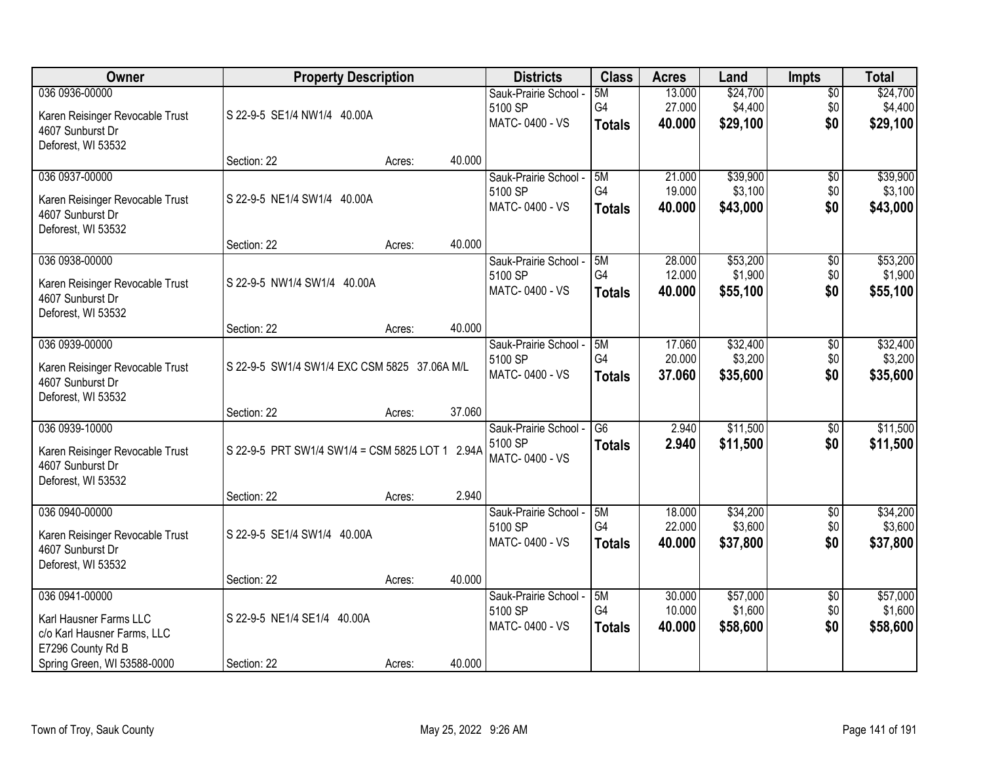| Owner                                                                                        | <b>Property Description</b>                     |        |        | <b>Districts</b>                                   | <b>Class</b>                     | <b>Acres</b>               | Land                            | <b>Impts</b>                  | <b>Total</b>                    |
|----------------------------------------------------------------------------------------------|-------------------------------------------------|--------|--------|----------------------------------------------------|----------------------------------|----------------------------|---------------------------------|-------------------------------|---------------------------------|
| 036 0936-00000<br>Karen Reisinger Revocable Trust<br>4607 Sunburst Dr<br>Deforest, WI 53532  | S 22-9-5 SE1/4 NW1/4 40.00A                     |        |        | Sauk-Prairie School -<br>5100 SP<br>MATC-0400 - VS | 5M<br>G4<br><b>Totals</b>        | 13.000<br>27.000<br>40.000 | \$24,700<br>\$4,400<br>\$29,100 | $\overline{50}$<br>\$0<br>\$0 | \$24,700<br>\$4,400<br>\$29,100 |
|                                                                                              | Section: 22                                     | Acres: | 40.000 |                                                    |                                  |                            |                                 |                               |                                 |
| 036 0937-00000<br>Karen Reisinger Revocable Trust<br>4607 Sunburst Dr<br>Deforest, WI 53532  | S 22-9-5 NE1/4 SW1/4 40.00A                     |        |        | Sauk-Prairie School -<br>5100 SP<br>MATC-0400 - VS | 5M<br>G4<br><b>Totals</b>        | 21.000<br>19.000<br>40.000 | \$39,900<br>\$3,100<br>\$43,000 | \$0<br>\$0<br>\$0             | \$39,900<br>\$3,100<br>\$43,000 |
|                                                                                              | Section: 22                                     | Acres: | 40.000 |                                                    |                                  |                            |                                 |                               |                                 |
| 036 0938-00000<br>Karen Reisinger Revocable Trust<br>4607 Sunburst Dr<br>Deforest, WI 53532  | S 22-9-5 NW1/4 SW1/4 40.00A                     |        |        | Sauk-Prairie School -<br>5100 SP<br>MATC-0400 - VS | 5M<br>G4<br><b>Totals</b>        | 28.000<br>12.000<br>40.000 | \$53,200<br>\$1,900<br>\$55,100 | \$0<br>\$0<br>\$0             | \$53,200<br>\$1,900<br>\$55,100 |
|                                                                                              | Section: 22                                     | Acres: | 40.000 |                                                    |                                  |                            |                                 |                               |                                 |
| 036 0939-00000<br>Karen Reisinger Revocable Trust<br>4607 Sunburst Dr<br>Deforest, WI 53532  | S 22-9-5 SW1/4 SW1/4 EXC CSM 5825 37.06A M/L    |        |        | Sauk-Prairie School -<br>5100 SP<br>MATC-0400 - VS | 5M<br>G4<br><b>Totals</b>        | 17.060<br>20.000<br>37.060 | \$32,400<br>\$3,200<br>\$35,600 | \$0<br>\$0<br>\$0             | \$32,400<br>\$3,200<br>\$35,600 |
|                                                                                              | Section: 22                                     | Acres: | 37.060 |                                                    |                                  |                            |                                 |                               |                                 |
| 036 0939-10000<br>Karen Reisinger Revocable Trust<br>4607 Sunburst Dr<br>Deforest, WI 53532  | S 22-9-5 PRT SW1/4 SW1/4 = CSM 5825 LOT 1 2.94A |        |        | Sauk-Prairie School -<br>5100 SP<br>MATC-0400 - VS | $\overline{G6}$<br><b>Totals</b> | 2.940<br>2.940             | \$11,500<br>\$11,500            | $\overline{50}$<br>\$0        | \$11,500<br>\$11,500            |
|                                                                                              | Section: 22                                     | Acres: | 2.940  |                                                    |                                  |                            |                                 |                               |                                 |
| 036 0940-00000<br>Karen Reisinger Revocable Trust<br>4607 Sunburst Dr<br>Deforest, WI 53532  | S 22-9-5 SE1/4 SW1/4 40.00A                     |        |        | Sauk-Prairie School -<br>5100 SP<br>MATC-0400 - VS | 5M<br>G4<br><b>Totals</b>        | 18.000<br>22.000<br>40.000 | \$34,200<br>\$3,600<br>\$37,800 | $\sqrt{6}$<br>\$0<br>\$0      | \$34,200<br>\$3,600<br>\$37,800 |
|                                                                                              | Section: 22                                     | Acres: | 40.000 |                                                    |                                  |                            |                                 |                               |                                 |
| 036 0941-00000<br>Karl Hausner Farms LLC<br>c/o Karl Hausner Farms, LLC<br>E7296 County Rd B | S 22-9-5 NE1/4 SE1/4 40.00A                     |        |        | Sauk-Prairie School -<br>5100 SP<br>MATC-0400 - VS | 5M<br>G4<br><b>Totals</b>        | 30.000<br>10.000<br>40.000 | \$57,000<br>\$1,600<br>\$58,600 | $\overline{30}$<br>\$0<br>\$0 | \$57,000<br>\$1,600<br>\$58,600 |
| Spring Green, WI 53588-0000                                                                  | Section: 22                                     | Acres: | 40.000 |                                                    |                                  |                            |                                 |                               |                                 |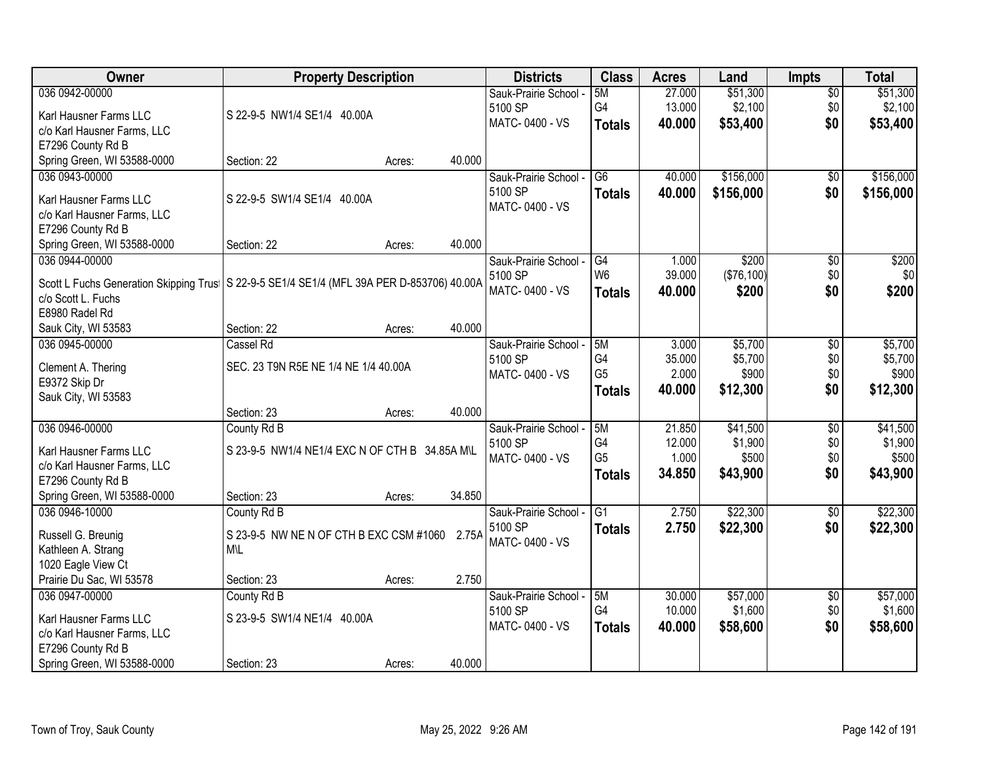| \$51,300<br>5M<br>27.000<br>\$0<br>Sauk-Prairie School -<br>G4<br>\$2,100<br>13.000<br>\$0<br>\$2,100<br>5100 SP<br>S 22-9-5 NW1/4 SE1/4 40.00A<br>Karl Hausner Farms LLC<br>MATC-0400 - VS<br>\$0<br>40.000<br>\$53,400<br>\$53,400<br><b>Totals</b><br>c/o Karl Hausner Farms, LLC<br>E7296 County Rd B<br>Spring Green, WI 53588-0000<br>40.000<br>Section: 22<br>Acres:<br>\$156,000<br>\$156,000<br>036 0943-00000<br>40.000<br>$\overline{G6}$<br>\$0<br>Sauk-Prairie School -<br>5100 SP<br>40.000<br>\$156,000<br>\$0<br><b>Totals</b><br>S 22-9-5 SW1/4 SE1/4 40.00A<br>Karl Hausner Farms LLC<br>MATC-0400 - VS<br>c/o Karl Hausner Farms, LLC<br>E7296 County Rd B<br>40.000<br>Spring Green, WI 53588-0000<br>Section: 22<br>Acres:<br>\$200<br>036 0944-00000<br>G4<br>\$200<br>Sauk-Prairie School -<br>1.000<br>\$0<br>W <sub>6</sub><br>39.000<br>(\$76,100)<br>\$0<br>5100 SP<br>Scott L Fuchs Generation Skipping Trus   S 22-9-5 SE1/4 SE1/4 (MFL 39A PER D-853706) 40.00A<br>MATC-0400 - VS<br>40.000<br>\$200<br>\$0<br><b>Totals</b><br>c/o Scott L. Fuchs<br>E8980 Radel Rd<br>40.000<br>Section: 22<br>Sauk City, WI 53583<br>Acres:<br>\$5,700<br>036 0945-00000<br>Cassel Rd<br>5M<br>3.000<br>\$0<br>Sauk-Prairie School -<br>G4<br>\$5,700<br>\$0<br>5100 SP<br>35.000<br>SEC. 23 T9N R5E NE 1/4 NE 1/4 40.00A<br>Clement A. Thering<br>G <sub>5</sub><br>\$900<br>2.000<br>\$0<br>MATC-0400 - VS<br>E9372 Skip Dr<br>\$0<br>40.000<br>\$12,300<br><b>Totals</b><br>Sauk City, WI 53583<br>40.000<br>Section: 23<br>Acres:<br>\$41,500<br>036 0946-00000<br>5M<br>21.850<br>$\overline{50}$<br>County Rd B<br>Sauk-Prairie School -<br>G <sub>4</sub><br>12.000<br>\$1,900<br>\$0<br>5100 SP<br>Karl Hausner Farms LLC<br>S 23-9-5 NW1/4 NE1/4 EXC N OF CTH B 34.85A M\L<br>G <sub>5</sub><br>\$0<br>1.000<br>\$500<br>MATC-0400 - VS<br>c/o Karl Hausner Farms, LLC<br>\$0<br>34.850<br>\$43,900<br>\$43,900<br><b>Totals</b><br>E7296 County Rd B<br>Spring Green, WI 53588-0000<br>34.850<br>Section: 23<br>Acres:<br>036 0946-10000<br>G1<br>\$22,300<br>2.750<br>$\sqrt{$0}$<br>County Rd B<br>Sauk-Prairie School -<br>5100 SP<br>\$22,300<br>\$0<br>2.750<br><b>Totals</b><br>Russell G. Breunig<br>S 23-9-5 NW NE N OF CTH B EXC CSM #1060 2.75A<br>MATC-0400 - VS<br>Kathleen A. Strang<br><b>M\L</b><br>1020 Eagle View Ct<br>Prairie Du Sac, WI 53578<br>2.750<br>Section: 23<br>Acres:<br>036 0947-00000<br>30.000<br>\$57,000<br>County Rd B<br>5M<br>Sauk-Prairie School -<br>$\overline{60}$<br>G4<br>10.000<br>\$1,600<br>\$0<br>5100 SP<br>Karl Hausner Farms LLC<br>S 23-9-5 SW1/4 NE1/4 40.00A | Owner          | <b>Property Description</b> |  | <b>Districts</b> | <b>Class</b> | <b>Acres</b> | Land     | <b>Impts</b> | <b>Total</b> |
|-----------------------------------------------------------------------------------------------------------------------------------------------------------------------------------------------------------------------------------------------------------------------------------------------------------------------------------------------------------------------------------------------------------------------------------------------------------------------------------------------------------------------------------------------------------------------------------------------------------------------------------------------------------------------------------------------------------------------------------------------------------------------------------------------------------------------------------------------------------------------------------------------------------------------------------------------------------------------------------------------------------------------------------------------------------------------------------------------------------------------------------------------------------------------------------------------------------------------------------------------------------------------------------------------------------------------------------------------------------------------------------------------------------------------------------------------------------------------------------------------------------------------------------------------------------------------------------------------------------------------------------------------------------------------------------------------------------------------------------------------------------------------------------------------------------------------------------------------------------------------------------------------------------------------------------------------------------------------------------------------------------------------------------------------------------------------------------------------------------------------------------------------------------------------------------------------------------------------------------------------------------------------------------------------------------------------------------------------------------------------------------------------------------------------------------------------------------------------------------------------------------------------------------------------------------------------------------------------------------------------------------------------|----------------|-----------------------------|--|------------------|--------------|--------------|----------|--------------|--------------|
|                                                                                                                                                                                                                                                                                                                                                                                                                                                                                                                                                                                                                                                                                                                                                                                                                                                                                                                                                                                                                                                                                                                                                                                                                                                                                                                                                                                                                                                                                                                                                                                                                                                                                                                                                                                                                                                                                                                                                                                                                                                                                                                                                                                                                                                                                                                                                                                                                                                                                                                                                                                                                                               | 036 0942-00000 |                             |  |                  |              |              | \$51,300 |              |              |
|                                                                                                                                                                                                                                                                                                                                                                                                                                                                                                                                                                                                                                                                                                                                                                                                                                                                                                                                                                                                                                                                                                                                                                                                                                                                                                                                                                                                                                                                                                                                                                                                                                                                                                                                                                                                                                                                                                                                                                                                                                                                                                                                                                                                                                                                                                                                                                                                                                                                                                                                                                                                                                               |                |                             |  |                  |              |              |          |              |              |
|                                                                                                                                                                                                                                                                                                                                                                                                                                                                                                                                                                                                                                                                                                                                                                                                                                                                                                                                                                                                                                                                                                                                                                                                                                                                                                                                                                                                                                                                                                                                                                                                                                                                                                                                                                                                                                                                                                                                                                                                                                                                                                                                                                                                                                                                                                                                                                                                                                                                                                                                                                                                                                               |                |                             |  |                  |              |              |          |              |              |
|                                                                                                                                                                                                                                                                                                                                                                                                                                                                                                                                                                                                                                                                                                                                                                                                                                                                                                                                                                                                                                                                                                                                                                                                                                                                                                                                                                                                                                                                                                                                                                                                                                                                                                                                                                                                                                                                                                                                                                                                                                                                                                                                                                                                                                                                                                                                                                                                                                                                                                                                                                                                                                               |                |                             |  |                  |              |              |          |              |              |
|                                                                                                                                                                                                                                                                                                                                                                                                                                                                                                                                                                                                                                                                                                                                                                                                                                                                                                                                                                                                                                                                                                                                                                                                                                                                                                                                                                                                                                                                                                                                                                                                                                                                                                                                                                                                                                                                                                                                                                                                                                                                                                                                                                                                                                                                                                                                                                                                                                                                                                                                                                                                                                               |                |                             |  |                  |              |              |          |              |              |
| \$156,000<br>\$0<br>\$200<br>\$5,700<br>\$5,700<br>\$900<br>\$12,300<br>\$41,500<br>\$1,900<br>\$500<br>\$22,300<br>\$22,300<br>\$57,000                                                                                                                                                                                                                                                                                                                                                                                                                                                                                                                                                                                                                                                                                                                                                                                                                                                                                                                                                                                                                                                                                                                                                                                                                                                                                                                                                                                                                                                                                                                                                                                                                                                                                                                                                                                                                                                                                                                                                                                                                                                                                                                                                                                                                                                                                                                                                                                                                                                                                                      |                |                             |  |                  |              |              |          |              |              |
|                                                                                                                                                                                                                                                                                                                                                                                                                                                                                                                                                                                                                                                                                                                                                                                                                                                                                                                                                                                                                                                                                                                                                                                                                                                                                                                                                                                                                                                                                                                                                                                                                                                                                                                                                                                                                                                                                                                                                                                                                                                                                                                                                                                                                                                                                                                                                                                                                                                                                                                                                                                                                                               |                |                             |  |                  |              |              |          |              |              |
|                                                                                                                                                                                                                                                                                                                                                                                                                                                                                                                                                                                                                                                                                                                                                                                                                                                                                                                                                                                                                                                                                                                                                                                                                                                                                                                                                                                                                                                                                                                                                                                                                                                                                                                                                                                                                                                                                                                                                                                                                                                                                                                                                                                                                                                                                                                                                                                                                                                                                                                                                                                                                                               |                |                             |  |                  |              |              |          |              |              |
|                                                                                                                                                                                                                                                                                                                                                                                                                                                                                                                                                                                                                                                                                                                                                                                                                                                                                                                                                                                                                                                                                                                                                                                                                                                                                                                                                                                                                                                                                                                                                                                                                                                                                                                                                                                                                                                                                                                                                                                                                                                                                                                                                                                                                                                                                                                                                                                                                                                                                                                                                                                                                                               |                |                             |  |                  |              |              |          |              |              |
|                                                                                                                                                                                                                                                                                                                                                                                                                                                                                                                                                                                                                                                                                                                                                                                                                                                                                                                                                                                                                                                                                                                                                                                                                                                                                                                                                                                                                                                                                                                                                                                                                                                                                                                                                                                                                                                                                                                                                                                                                                                                                                                                                                                                                                                                                                                                                                                                                                                                                                                                                                                                                                               |                |                             |  |                  |              |              |          |              |              |
|                                                                                                                                                                                                                                                                                                                                                                                                                                                                                                                                                                                                                                                                                                                                                                                                                                                                                                                                                                                                                                                                                                                                                                                                                                                                                                                                                                                                                                                                                                                                                                                                                                                                                                                                                                                                                                                                                                                                                                                                                                                                                                                                                                                                                                                                                                                                                                                                                                                                                                                                                                                                                                               |                |                             |  |                  |              |              |          |              |              |
|                                                                                                                                                                                                                                                                                                                                                                                                                                                                                                                                                                                                                                                                                                                                                                                                                                                                                                                                                                                                                                                                                                                                                                                                                                                                                                                                                                                                                                                                                                                                                                                                                                                                                                                                                                                                                                                                                                                                                                                                                                                                                                                                                                                                                                                                                                                                                                                                                                                                                                                                                                                                                                               |                |                             |  |                  |              |              |          |              |              |
|                                                                                                                                                                                                                                                                                                                                                                                                                                                                                                                                                                                                                                                                                                                                                                                                                                                                                                                                                                                                                                                                                                                                                                                                                                                                                                                                                                                                                                                                                                                                                                                                                                                                                                                                                                                                                                                                                                                                                                                                                                                                                                                                                                                                                                                                                                                                                                                                                                                                                                                                                                                                                                               |                |                             |  |                  |              |              |          |              |              |
|                                                                                                                                                                                                                                                                                                                                                                                                                                                                                                                                                                                                                                                                                                                                                                                                                                                                                                                                                                                                                                                                                                                                                                                                                                                                                                                                                                                                                                                                                                                                                                                                                                                                                                                                                                                                                                                                                                                                                                                                                                                                                                                                                                                                                                                                                                                                                                                                                                                                                                                                                                                                                                               |                |                             |  |                  |              |              |          |              |              |
|                                                                                                                                                                                                                                                                                                                                                                                                                                                                                                                                                                                                                                                                                                                                                                                                                                                                                                                                                                                                                                                                                                                                                                                                                                                                                                                                                                                                                                                                                                                                                                                                                                                                                                                                                                                                                                                                                                                                                                                                                                                                                                                                                                                                                                                                                                                                                                                                                                                                                                                                                                                                                                               |                |                             |  |                  |              |              |          |              |              |
|                                                                                                                                                                                                                                                                                                                                                                                                                                                                                                                                                                                                                                                                                                                                                                                                                                                                                                                                                                                                                                                                                                                                                                                                                                                                                                                                                                                                                                                                                                                                                                                                                                                                                                                                                                                                                                                                                                                                                                                                                                                                                                                                                                                                                                                                                                                                                                                                                                                                                                                                                                                                                                               |                |                             |  |                  |              |              |          |              |              |
|                                                                                                                                                                                                                                                                                                                                                                                                                                                                                                                                                                                                                                                                                                                                                                                                                                                                                                                                                                                                                                                                                                                                                                                                                                                                                                                                                                                                                                                                                                                                                                                                                                                                                                                                                                                                                                                                                                                                                                                                                                                                                                                                                                                                                                                                                                                                                                                                                                                                                                                                                                                                                                               |                |                             |  |                  |              |              |          |              |              |
|                                                                                                                                                                                                                                                                                                                                                                                                                                                                                                                                                                                                                                                                                                                                                                                                                                                                                                                                                                                                                                                                                                                                                                                                                                                                                                                                                                                                                                                                                                                                                                                                                                                                                                                                                                                                                                                                                                                                                                                                                                                                                                                                                                                                                                                                                                                                                                                                                                                                                                                                                                                                                                               |                |                             |  |                  |              |              |          |              |              |
|                                                                                                                                                                                                                                                                                                                                                                                                                                                                                                                                                                                                                                                                                                                                                                                                                                                                                                                                                                                                                                                                                                                                                                                                                                                                                                                                                                                                                                                                                                                                                                                                                                                                                                                                                                                                                                                                                                                                                                                                                                                                                                                                                                                                                                                                                                                                                                                                                                                                                                                                                                                                                                               |                |                             |  |                  |              |              |          |              |              |
|                                                                                                                                                                                                                                                                                                                                                                                                                                                                                                                                                                                                                                                                                                                                                                                                                                                                                                                                                                                                                                                                                                                                                                                                                                                                                                                                                                                                                                                                                                                                                                                                                                                                                                                                                                                                                                                                                                                                                                                                                                                                                                                                                                                                                                                                                                                                                                                                                                                                                                                                                                                                                                               |                |                             |  |                  |              |              |          |              |              |
|                                                                                                                                                                                                                                                                                                                                                                                                                                                                                                                                                                                                                                                                                                                                                                                                                                                                                                                                                                                                                                                                                                                                                                                                                                                                                                                                                                                                                                                                                                                                                                                                                                                                                                                                                                                                                                                                                                                                                                                                                                                                                                                                                                                                                                                                                                                                                                                                                                                                                                                                                                                                                                               |                |                             |  |                  |              |              |          |              |              |
|                                                                                                                                                                                                                                                                                                                                                                                                                                                                                                                                                                                                                                                                                                                                                                                                                                                                                                                                                                                                                                                                                                                                                                                                                                                                                                                                                                                                                                                                                                                                                                                                                                                                                                                                                                                                                                                                                                                                                                                                                                                                                                                                                                                                                                                                                                                                                                                                                                                                                                                                                                                                                                               |                |                             |  |                  |              |              |          |              |              |
|                                                                                                                                                                                                                                                                                                                                                                                                                                                                                                                                                                                                                                                                                                                                                                                                                                                                                                                                                                                                                                                                                                                                                                                                                                                                                                                                                                                                                                                                                                                                                                                                                                                                                                                                                                                                                                                                                                                                                                                                                                                                                                                                                                                                                                                                                                                                                                                                                                                                                                                                                                                                                                               |                |                             |  |                  |              |              |          |              |              |
|                                                                                                                                                                                                                                                                                                                                                                                                                                                                                                                                                                                                                                                                                                                                                                                                                                                                                                                                                                                                                                                                                                                                                                                                                                                                                                                                                                                                                                                                                                                                                                                                                                                                                                                                                                                                                                                                                                                                                                                                                                                                                                                                                                                                                                                                                                                                                                                                                                                                                                                                                                                                                                               |                |                             |  |                  |              |              |          |              |              |
|                                                                                                                                                                                                                                                                                                                                                                                                                                                                                                                                                                                                                                                                                                                                                                                                                                                                                                                                                                                                                                                                                                                                                                                                                                                                                                                                                                                                                                                                                                                                                                                                                                                                                                                                                                                                                                                                                                                                                                                                                                                                                                                                                                                                                                                                                                                                                                                                                                                                                                                                                                                                                                               |                |                             |  |                  |              |              |          |              |              |
|                                                                                                                                                                                                                                                                                                                                                                                                                                                                                                                                                                                                                                                                                                                                                                                                                                                                                                                                                                                                                                                                                                                                                                                                                                                                                                                                                                                                                                                                                                                                                                                                                                                                                                                                                                                                                                                                                                                                                                                                                                                                                                                                                                                                                                                                                                                                                                                                                                                                                                                                                                                                                                               |                |                             |  |                  |              |              |          |              |              |
|                                                                                                                                                                                                                                                                                                                                                                                                                                                                                                                                                                                                                                                                                                                                                                                                                                                                                                                                                                                                                                                                                                                                                                                                                                                                                                                                                                                                                                                                                                                                                                                                                                                                                                                                                                                                                                                                                                                                                                                                                                                                                                                                                                                                                                                                                                                                                                                                                                                                                                                                                                                                                                               |                |                             |  |                  |              |              |          |              |              |
|                                                                                                                                                                                                                                                                                                                                                                                                                                                                                                                                                                                                                                                                                                                                                                                                                                                                                                                                                                                                                                                                                                                                                                                                                                                                                                                                                                                                                                                                                                                                                                                                                                                                                                                                                                                                                                                                                                                                                                                                                                                                                                                                                                                                                                                                                                                                                                                                                                                                                                                                                                                                                                               |                |                             |  |                  |              |              |          |              |              |
|                                                                                                                                                                                                                                                                                                                                                                                                                                                                                                                                                                                                                                                                                                                                                                                                                                                                                                                                                                                                                                                                                                                                                                                                                                                                                                                                                                                                                                                                                                                                                                                                                                                                                                                                                                                                                                                                                                                                                                                                                                                                                                                                                                                                                                                                                                                                                                                                                                                                                                                                                                                                                                               |                |                             |  |                  |              |              |          |              |              |
| \$1,600                                                                                                                                                                                                                                                                                                                                                                                                                                                                                                                                                                                                                                                                                                                                                                                                                                                                                                                                                                                                                                                                                                                                                                                                                                                                                                                                                                                                                                                                                                                                                                                                                                                                                                                                                                                                                                                                                                                                                                                                                                                                                                                                                                                                                                                                                                                                                                                                                                                                                                                                                                                                                                       |                |                             |  |                  |              |              |          |              |              |
|                                                                                                                                                                                                                                                                                                                                                                                                                                                                                                                                                                                                                                                                                                                                                                                                                                                                                                                                                                                                                                                                                                                                                                                                                                                                                                                                                                                                                                                                                                                                                                                                                                                                                                                                                                                                                                                                                                                                                                                                                                                                                                                                                                                                                                                                                                                                                                                                                                                                                                                                                                                                                                               |                |                             |  |                  |              |              |          |              |              |
|                                                                                                                                                                                                                                                                                                                                                                                                                                                                                                                                                                                                                                                                                                                                                                                                                                                                                                                                                                                                                                                                                                                                                                                                                                                                                                                                                                                                                                                                                                                                                                                                                                                                                                                                                                                                                                                                                                                                                                                                                                                                                                                                                                                                                                                                                                                                                                                                                                                                                                                                                                                                                                               |                |                             |  |                  |              |              |          |              |              |
|                                                                                                                                                                                                                                                                                                                                                                                                                                                                                                                                                                                                                                                                                                                                                                                                                                                                                                                                                                                                                                                                                                                                                                                                                                                                                                                                                                                                                                                                                                                                                                                                                                                                                                                                                                                                                                                                                                                                                                                                                                                                                                                                                                                                                                                                                                                                                                                                                                                                                                                                                                                                                                               |                |                             |  |                  |              |              |          |              |              |
| <b>Totals</b>                                                                                                                                                                                                                                                                                                                                                                                                                                                                                                                                                                                                                                                                                                                                                                                                                                                                                                                                                                                                                                                                                                                                                                                                                                                                                                                                                                                                                                                                                                                                                                                                                                                                                                                                                                                                                                                                                                                                                                                                                                                                                                                                                                                                                                                                                                                                                                                                                                                                                                                                                                                                                                 |                |                             |  | MATC-0400 - VS   |              | 40.000       | \$58,600 | \$0          | \$58,600     |
| c/o Karl Hausner Farms, LLC<br>E7296 County Rd B                                                                                                                                                                                                                                                                                                                                                                                                                                                                                                                                                                                                                                                                                                                                                                                                                                                                                                                                                                                                                                                                                                                                                                                                                                                                                                                                                                                                                                                                                                                                                                                                                                                                                                                                                                                                                                                                                                                                                                                                                                                                                                                                                                                                                                                                                                                                                                                                                                                                                                                                                                                              |                |                             |  |                  |              |              |          |              |              |
| 40.000<br>Spring Green, WI 53588-0000<br>Section: 23<br>Acres:                                                                                                                                                                                                                                                                                                                                                                                                                                                                                                                                                                                                                                                                                                                                                                                                                                                                                                                                                                                                                                                                                                                                                                                                                                                                                                                                                                                                                                                                                                                                                                                                                                                                                                                                                                                                                                                                                                                                                                                                                                                                                                                                                                                                                                                                                                                                                                                                                                                                                                                                                                                |                |                             |  |                  |              |              |          |              |              |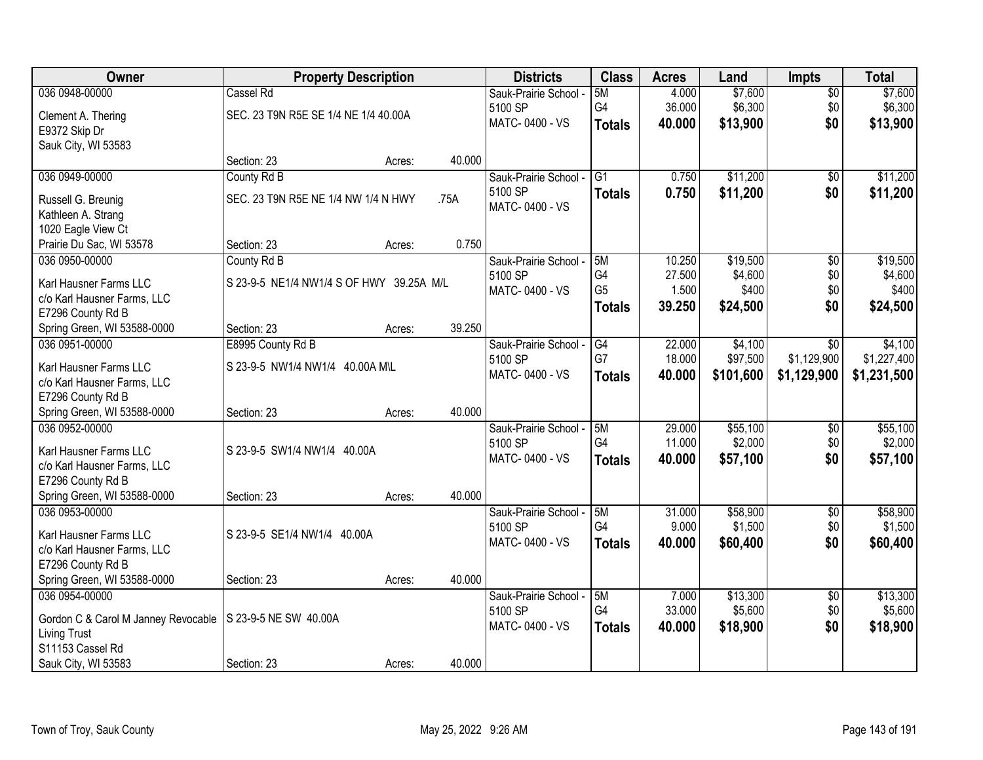| Owner                                                       | <b>Property Description</b>              |        |        | <b>Districts</b>      | <b>Class</b>    | <b>Acres</b> | Land      | <b>Impts</b>    | <b>Total</b> |
|-------------------------------------------------------------|------------------------------------------|--------|--------|-----------------------|-----------------|--------------|-----------|-----------------|--------------|
| 036 0948-00000                                              | Cassel Rd                                |        |        | Sauk-Prairie School - | 5M              | 4.000        | \$7,600   | \$0             | \$7,600      |
| Clement A. Thering                                          | SEC. 23 T9N R5E SE 1/4 NE 1/4 40.00A     |        |        | 5100 SP               | G4              | 36.000       | \$6,300   | \$0             | \$6,300      |
| E9372 Skip Dr                                               |                                          |        |        | MATC-0400 - VS        | <b>Totals</b>   | 40.000       | \$13,900  | \$0             | \$13,900     |
| Sauk City, WI 53583                                         |                                          |        |        |                       |                 |              |           |                 |              |
|                                                             | Section: 23                              | Acres: | 40.000 |                       |                 |              |           |                 |              |
| 036 0949-00000                                              | County Rd B                              |        |        | Sauk-Prairie School - | $\overline{G1}$ | 0.750        | \$11,200  | \$0             | \$11,200     |
| Russell G. Breunig                                          | SEC. 23 T9N R5E NE 1/4 NW 1/4 N HWY      |        | .75A   | 5100 SP               | <b>Totals</b>   | 0.750        | \$11,200  | \$0             | \$11,200     |
| Kathleen A. Strang                                          |                                          |        |        | MATC-0400 - VS        |                 |              |           |                 |              |
| 1020 Eagle View Ct                                          |                                          |        |        |                       |                 |              |           |                 |              |
| Prairie Du Sac, WI 53578                                    | Section: 23                              | Acres: | 0.750  |                       |                 |              |           |                 |              |
| 036 0950-00000                                              | County Rd B                              |        |        | Sauk-Prairie School - | 5M              | 10.250       | \$19,500  | $\overline{50}$ | \$19,500     |
| Karl Hausner Farms LLC                                      | S 23-9-5 NE1/4 NW1/4 S OF HWY 39.25A M/L |        |        | 5100 SP               | G4              | 27.500       | \$4,600   | \$0             | \$4,600      |
| c/o Karl Hausner Farms, LLC                                 |                                          |        |        | MATC-0400 - VS        | G <sub>5</sub>  | 1.500        | \$400     | \$0             | \$400        |
| E7296 County Rd B                                           |                                          |        |        |                       | <b>Totals</b>   | 39.250       | \$24,500  | \$0             | \$24,500     |
| Spring Green, WI 53588-0000                                 | Section: 23                              | Acres: | 39.250 |                       |                 |              |           |                 |              |
| 036 0951-00000                                              | E8995 County Rd B                        |        |        | Sauk-Prairie School - | G4              | 22.000       | \$4,100   | \$0             | \$4,100      |
| Karl Hausner Farms LLC                                      | S 23-9-5 NW1/4 NW1/4 40.00A M\L          |        |        | 5100 SP               | G7              | 18.000       | \$97,500  | \$1,129,900     | \$1,227,400  |
| c/o Karl Hausner Farms, LLC                                 |                                          |        |        | MATC-0400 - VS        | <b>Totals</b>   | 40.000       | \$101,600 | \$1,129,900     | \$1,231,500  |
| E7296 County Rd B                                           |                                          |        |        |                       |                 |              |           |                 |              |
| Spring Green, WI 53588-0000                                 | Section: 23                              | Acres: | 40.000 |                       |                 |              |           |                 |              |
| 036 0952-00000                                              |                                          |        |        | Sauk-Prairie School - | 5M              | 29.000       | \$55,100  | \$0             | \$55,100     |
| Karl Hausner Farms LLC                                      | S 23-9-5 SW1/4 NW1/4 40.00A              |        |        | 5100 SP               | G4              | 11.000       | \$2,000   | \$0             | \$2,000      |
| c/o Karl Hausner Farms, LLC                                 |                                          |        |        | MATC-0400 - VS        | <b>Totals</b>   | 40.000       | \$57,100  | \$0             | \$57,100     |
| E7296 County Rd B                                           |                                          |        |        |                       |                 |              |           |                 |              |
| Spring Green, WI 53588-0000                                 | Section: 23                              | Acres: | 40.000 |                       |                 |              |           |                 |              |
| 036 0953-00000                                              |                                          |        |        | Sauk-Prairie School - | 5M              | 31.000       | \$58,900  | $\overline{$0}$ | \$58,900     |
| Karl Hausner Farms LLC                                      | S 23-9-5 SE1/4 NW1/4 40.00A              |        |        | 5100 SP               | G4              | 9.000        | \$1,500   | \$0             | \$1,500      |
| c/o Karl Hausner Farms, LLC                                 |                                          |        |        | MATC-0400 - VS        | <b>Totals</b>   | 40.000       | \$60,400  | \$0             | \$60,400     |
| E7296 County Rd B                                           |                                          |        |        |                       |                 |              |           |                 |              |
| Spring Green, WI 53588-0000                                 | Section: 23                              | Acres: | 40.000 |                       |                 |              |           |                 |              |
| 036 0954-00000                                              |                                          |        |        | Sauk-Prairie School - | 5M              | 7.000        | \$13,300  | $\overline{60}$ | \$13,300     |
| Gordon C & Carol M Janney Revocable   S 23-9-5 NE SW 40.00A |                                          |        |        | 5100 SP               | G4              | 33.000       | \$5,600   | \$0             | \$5,600      |
| <b>Living Trust</b>                                         |                                          |        |        | MATC-0400 - VS        | <b>Totals</b>   | 40.000       | \$18,900  | \$0             | \$18,900     |
| S11153 Cassel Rd                                            |                                          |        |        |                       |                 |              |           |                 |              |
| Sauk City, WI 53583                                         | Section: 23                              | Acres: | 40.000 |                       |                 |              |           |                 |              |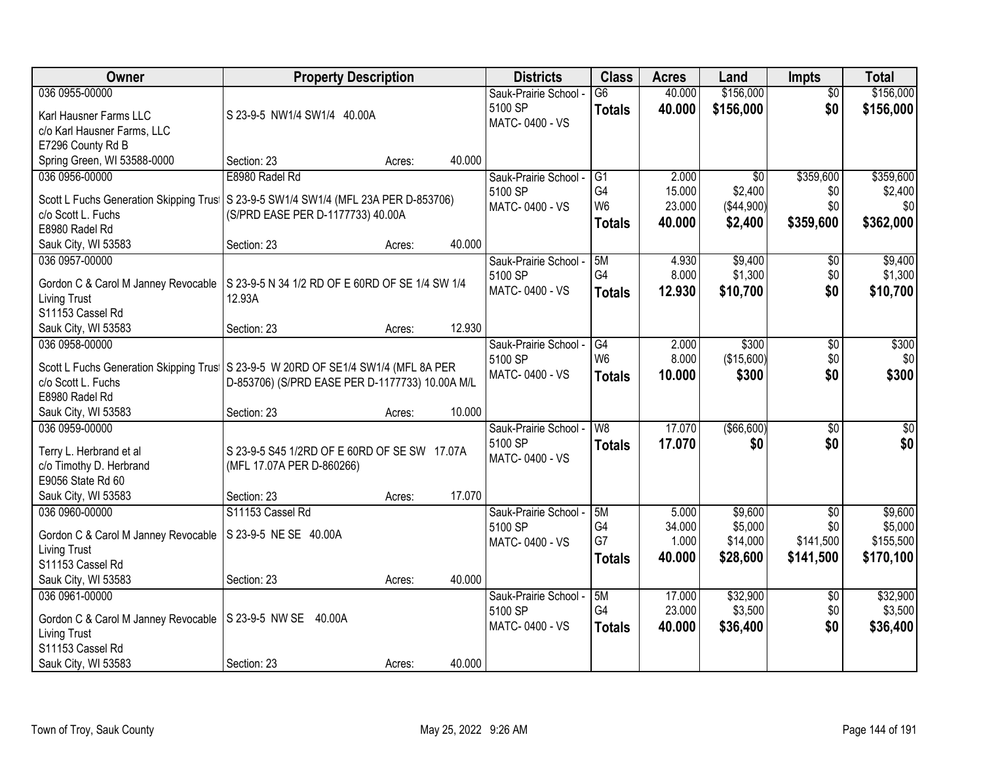| Owner                                                                               | <b>Property Description</b>                     |        |        | <b>Districts</b>                 | <b>Class</b>             | <b>Acres</b>   | Land            | <b>Impts</b>    | <b>Total</b>       |
|-------------------------------------------------------------------------------------|-------------------------------------------------|--------|--------|----------------------------------|--------------------------|----------------|-----------------|-----------------|--------------------|
| 036 0955-00000                                                                      |                                                 |        |        | Sauk-Prairie School -            | $\overline{G6}$          | 40.000         | \$156,000       | $\overline{50}$ | \$156,000          |
| Karl Hausner Farms LLC                                                              | S 23-9-5 NW1/4 SW1/4 40.00A                     |        |        | 5100 SP                          | <b>Totals</b>            | 40.000         | \$156,000       | \$0             | \$156,000          |
| c/o Karl Hausner Farms, LLC                                                         |                                                 |        |        | MATC-0400 - VS                   |                          |                |                 |                 |                    |
| E7296 County Rd B                                                                   |                                                 |        |        |                                  |                          |                |                 |                 |                    |
| Spring Green, WI 53588-0000                                                         | Section: 23                                     | Acres: | 40.000 |                                  |                          |                |                 |                 |                    |
| 036 0956-00000                                                                      | E8980 Radel Rd                                  |        |        | Sauk-Prairie School -            | G1                       | 2.000          | $\overline{50}$ | \$359,600       | \$359,600          |
|                                                                                     |                                                 |        |        | 5100 SP                          | G4                       | 15.000         | \$2,400         | \$0             | \$2,400            |
| Scott L Fuchs Generation Skipping Trust                                             | S 23-9-5 SW1/4 SW1/4 (MFL 23A PER D-853706)     |        |        | MATC-0400 - VS                   | W <sub>6</sub>           | 23.000         | (\$44,900)      | \$0             | \$0                |
| c/o Scott L. Fuchs                                                                  | (S/PRD EASE PER D-1177733) 40.00A               |        |        |                                  | <b>Totals</b>            | 40.000         | \$2,400         | \$359,600       | \$362,000          |
| E8980 Radel Rd                                                                      |                                                 |        | 40.000 |                                  |                          |                |                 |                 |                    |
| Sauk City, WI 53583<br>036 0957-00000                                               | Section: 23                                     | Acres: |        |                                  | 5M                       |                | \$9,400         |                 |                    |
|                                                                                     |                                                 |        |        | Sauk-Prairie School -<br>5100 SP | G <sub>4</sub>           | 4.930<br>8.000 | \$1,300         | \$0<br>\$0      | \$9,400<br>\$1,300 |
| Gordon C & Carol M Janney Revocable                                                 | S 23-9-5 N 34 1/2 RD OF E 60RD OF SE 1/4 SW 1/4 |        |        | MATC-0400 - VS                   |                          | 12.930         | \$10,700        | \$0             |                    |
| <b>Living Trust</b>                                                                 | 12.93A                                          |        |        |                                  | <b>Totals</b>            |                |                 |                 | \$10,700           |
| S11153 Cassel Rd                                                                    |                                                 |        |        |                                  |                          |                |                 |                 |                    |
| Sauk City, WI 53583                                                                 | Section: 23                                     | Acres: | 12.930 |                                  |                          |                |                 |                 |                    |
| 036 0958-00000                                                                      |                                                 |        |        | Sauk-Prairie School -            | G4                       | 2.000          | \$300           | \$0             | \$300              |
| Scott L Fuchs Generation Skipping Trus   S 23-9-5 W 20RD OF SE1/4 SW1/4 (MFL 8A PER |                                                 |        |        | 5100 SP                          | W <sub>6</sub>           | 8.000          | (\$15,600)      | \$0             | \$0                |
| c/o Scott L. Fuchs                                                                  | D-853706) (S/PRD EASE PER D-1177733) 10.00A M/L |        |        | MATC-0400 - VS                   | <b>Totals</b>            | 10.000         | \$300           | \$0             | \$300              |
| E8980 Radel Rd                                                                      |                                                 |        |        |                                  |                          |                |                 |                 |                    |
| Sauk City, WI 53583                                                                 | Section: 23                                     | Acres: | 10.000 |                                  |                          |                |                 |                 |                    |
| 036 0959-00000                                                                      |                                                 |        |        | Sauk-Prairie School -            | $\overline{\mathsf{W}8}$ | 17.070         | ( \$66, 600)    | $\overline{30}$ | $\sqrt{50}$        |
|                                                                                     |                                                 |        |        | 5100 SP                          | <b>Totals</b>            | 17.070         | \$0             | \$0             | \$0                |
| Terry L. Herbrand et al                                                             | S 23-9-5 S45 1/2RD OF E 60RD OF SE SW 17.07A    |        |        | MATC-0400 - VS                   |                          |                |                 |                 |                    |
| c/o Timothy D. Herbrand                                                             | (MFL 17.07A PER D-860266)                       |        |        |                                  |                          |                |                 |                 |                    |
| E9056 State Rd 60                                                                   |                                                 |        |        |                                  |                          |                |                 |                 |                    |
| Sauk City, WI 53583                                                                 | Section: 23                                     | Acres: | 17.070 |                                  |                          |                |                 |                 |                    |
| 036 0960-00000                                                                      | S11153 Cassel Rd                                |        |        | Sauk-Prairie School -            | 5M                       | 5.000          | \$9,600         | $\overline{50}$ | \$9,600            |
| Gordon C & Carol M Janney Revocable                                                 | S 23-9-5 NE SE 40.00A                           |        |        | 5100 SP                          | G4<br>G7                 | 34.000         | \$5,000         | \$0             | \$5,000            |
| Living Trust                                                                        |                                                 |        |        | MATC-0400 - VS                   |                          | 1.000          | \$14,000        | \$141,500       | \$155,500          |
| S11153 Cassel Rd                                                                    |                                                 |        |        |                                  | <b>Totals</b>            | 40.000         | \$28,600        | \$141,500       | \$170,100          |
| Sauk City, WI 53583                                                                 | Section: 23                                     | Acres: | 40.000 |                                  |                          |                |                 |                 |                    |
| 036 0961-00000                                                                      |                                                 |        |        | Sauk-Prairie School -            | 5M                       | 17.000         | \$32,900        | $\overline{50}$ | \$32,900           |
| Gordon C & Carol M Janney Revocable                                                 | S 23-9-5 NW SE 40.00A                           |        |        | 5100 SP                          | G4                       | 23.000         | \$3,500         | \$0             | \$3,500            |
| <b>Living Trust</b>                                                                 |                                                 |        |        | MATC-0400 - VS                   | <b>Totals</b>            | 40.000         | \$36,400        | \$0             | \$36,400           |
| S11153 Cassel Rd                                                                    |                                                 |        |        |                                  |                          |                |                 |                 |                    |
| Sauk City, WI 53583                                                                 | Section: 23                                     | Acres: | 40.000 |                                  |                          |                |                 |                 |                    |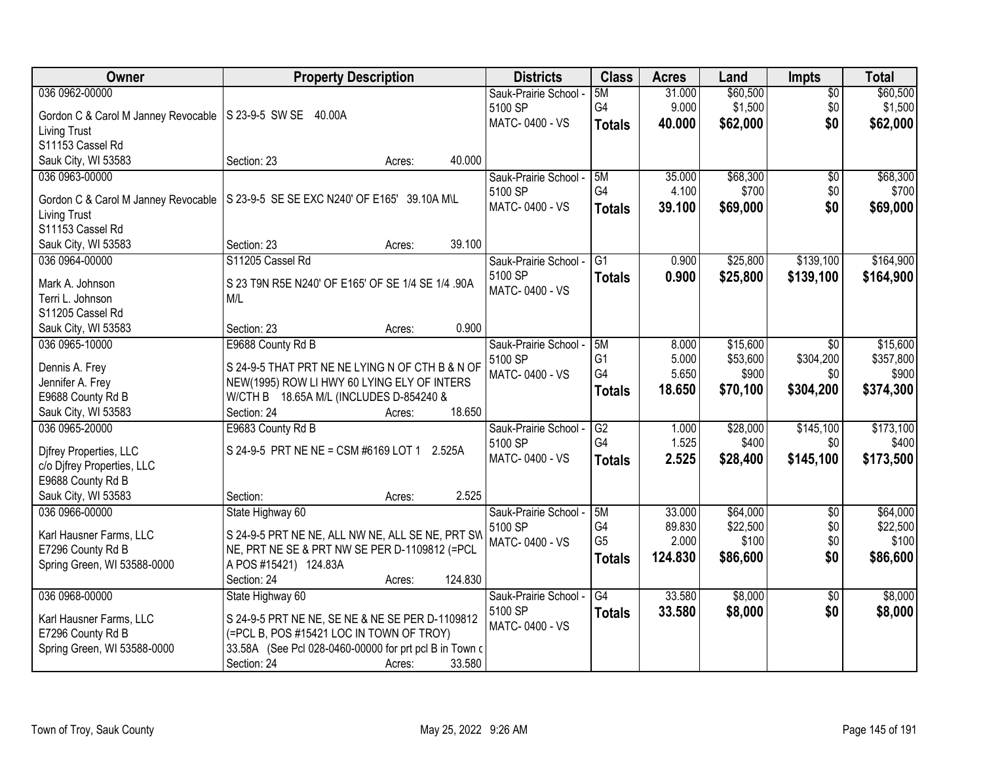| Owner                                                       | <b>Property Description</b>                             | <b>Districts</b>      | <b>Class</b>   | <b>Acres</b> | Land     | <b>Impts</b>    | <b>Total</b> |
|-------------------------------------------------------------|---------------------------------------------------------|-----------------------|----------------|--------------|----------|-----------------|--------------|
| 036 0962-00000                                              |                                                         | Sauk-Prairie School - | 5M             | 31.000       | \$60,500 | $\overline{50}$ | \$60,500     |
| Gordon C & Carol M Janney Revocable   S 23-9-5 SW SE 40.00A |                                                         | 5100 SP               | G4             | 9.000        | \$1,500  | \$0             | \$1,500      |
| <b>Living Trust</b>                                         |                                                         | MATC-0400 - VS        | <b>Totals</b>  | 40.000       | \$62,000 | \$0             | \$62,000     |
| S11153 Cassel Rd                                            |                                                         |                       |                |              |          |                 |              |
| Sauk City, WI 53583                                         | 40.000<br>Section: 23<br>Acres:                         |                       |                |              |          |                 |              |
| 036 0963-00000                                              |                                                         | Sauk-Prairie School - | 5M             | 35.000       | \$68,300 | $\overline{50}$ | \$68,300     |
|                                                             |                                                         | 5100 SP               | G4             | 4.100        | \$700    | \$0             | \$700        |
| Gordon C & Carol M Janney Revocable                         | S 23-9-5 SE SE EXC N240' OF E165' 39.10A M\L            | MATC-0400 - VS        | <b>Totals</b>  | 39.100       | \$69,000 | \$0             | \$69,000     |
| <b>Living Trust</b>                                         |                                                         |                       |                |              |          |                 |              |
| S11153 Cassel Rd                                            |                                                         |                       |                |              |          |                 |              |
| Sauk City, WI 53583                                         | 39.100<br>Section: 23<br>Acres:                         |                       |                |              |          |                 |              |
| 036 0964-00000                                              | S11205 Cassel Rd                                        | Sauk-Prairie School - | G <sub>1</sub> | 0.900        | \$25,800 | \$139,100       | \$164,900    |
| Mark A. Johnson                                             | S 23 T9N R5E N240' OF E165' OF SE 1/4 SE 1/4 .90A       | 5100 SP               | <b>Totals</b>  | 0.900        | \$25,800 | \$139,100       | \$164,900    |
| Terri L. Johnson                                            | M/L                                                     | MATC-0400 - VS        |                |              |          |                 |              |
| S11205 Cassel Rd                                            |                                                         |                       |                |              |          |                 |              |
| Sauk City, WI 53583                                         | 0.900<br>Section: 23<br>Acres:                          |                       |                |              |          |                 |              |
| 036 0965-10000                                              | E9688 County Rd B                                       | Sauk-Prairie School - | 5M             | 8.000        | \$15,600 | $\sqrt{6}$      | \$15,600     |
|                                                             |                                                         | 5100 SP               | G <sub>1</sub> | 5.000        | \$53,600 | \$304,200       | \$357,800    |
| Dennis A. Frey                                              | S 24-9-5 THAT PRT NE NE LYING N OF CTH B & N OF         | MATC-0400 - VS        | G4             | 5.650        | \$900    | \$0             | \$900        |
| Jennifer A. Frey                                            | NEW(1995) ROW LI HWY 60 LYING ELY OF INTERS             |                       | <b>Totals</b>  | 18.650       | \$70,100 | \$304,200       | \$374,300    |
| E9688 County Rd B                                           | W/CTH B 18.65A M/L (INCLUDES D-854240 &                 |                       |                |              |          |                 |              |
| Sauk City, WI 53583                                         | 18.650<br>Section: 24<br>Acres:                         |                       |                |              |          |                 |              |
| 036 0965-20000                                              | E9683 County Rd B                                       | Sauk-Prairie School - | G2             | 1.000        | \$28,000 | \$145,100       | \$173,100    |
| Difrey Properties, LLC                                      | S 24-9-5 PRT NE NE = CSM #6169 LOT 1 2.525A             | 5100 SP               | G4             | 1.525        | \$400    | \$0             | \$400        |
| c/o Djfrey Properties, LLC                                  |                                                         | MATC-0400 - VS        | <b>Totals</b>  | 2.525        | \$28,400 | \$145,100       | \$173,500    |
| E9688 County Rd B                                           |                                                         |                       |                |              |          |                 |              |
| Sauk City, WI 53583                                         | 2.525<br>Section:<br>Acres:                             |                       |                |              |          |                 |              |
| 036 0966-00000                                              | State Highway 60                                        | Sauk-Prairie School - | 5M             | 33.000       | \$64,000 | $\sqrt{6}$      | \$64,000     |
|                                                             |                                                         | 5100 SP               | G4             | 89.830       | \$22,500 | \$0             | \$22,500     |
| Karl Hausner Farms, LLC                                     | S 24-9-5 PRT NE NE, ALL NW NE, ALL SE NE, PRT SW        | MATC-0400 - VS        | G <sub>5</sub> | 2.000        | \$100    | \$0             | \$100        |
| E7296 County Rd B                                           | NE, PRT NE SE & PRT NW SE PER D-1109812 (=PCL           |                       | <b>Totals</b>  | 124.830      | \$86,600 | \$0             | \$86,600     |
| Spring Green, WI 53588-0000                                 | A POS #15421) 124.83A                                   |                       |                |              |          |                 |              |
|                                                             | 124.830<br>Section: 24<br>Acres:                        |                       |                |              |          |                 |              |
| 036 0968-00000                                              | State Highway 60                                        | Sauk-Prairie School - | G4             | 33.580       | \$8,000  | $\overline{50}$ | \$8,000      |
| Karl Hausner Farms, LLC                                     | S 24-9-5 PRT NE NE, SE NE & NE SE PER D-1109812         | 5100 SP               | <b>Totals</b>  | 33.580       | \$8,000  | \$0             | \$8,000      |
| E7296 County Rd B                                           | (=PCL B, POS #15421 LOC IN TOWN OF TROY)                | MATC-0400 - VS        |                |              |          |                 |              |
| Spring Green, WI 53588-0000                                 | 33.58A (See Pcl 028-0460-00000 for prt pcl B in Town of |                       |                |              |          |                 |              |
|                                                             | 33.580<br>Section: 24<br>Acres:                         |                       |                |              |          |                 |              |
|                                                             |                                                         |                       |                |              |          |                 |              |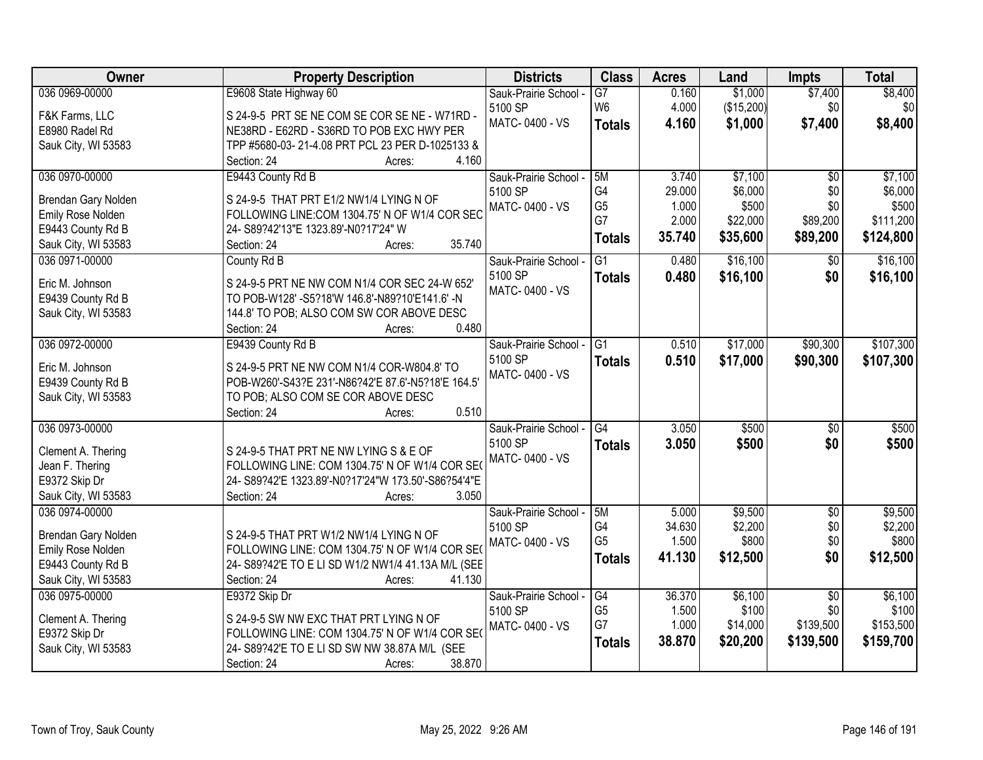| Owner               | <b>Property Description</b>                                                              | <b>Districts</b>      | <b>Class</b>    | <b>Acres</b> | Land       | <b>Impts</b>    | <b>Total</b> |
|---------------------|------------------------------------------------------------------------------------------|-----------------------|-----------------|--------------|------------|-----------------|--------------|
| 036 0969-00000      | E9608 State Highway 60                                                                   | Sauk-Prairie School - | $\overline{G7}$ | 0.160        | \$1,000    | \$7,400         | \$8,400      |
| F&K Farms, LLC      | S 24-9-5 PRT SE NE COM SE COR SE NE - W71RD -                                            | 5100 SP               | W <sub>6</sub>  | 4.000        | (\$15,200) | \$0             | \$0          |
| E8980 Radel Rd      | NE38RD - E62RD - S36RD TO POB EXC HWY PER                                                | MATC-0400 - VS        | <b>Totals</b>   | 4.160        | \$1,000    | \$7,400         | \$8,400      |
| Sauk City, WI 53583 | TPP #5680-03-21-4.08 PRT PCL 23 PER D-1025133 &                                          |                       |                 |              |            |                 |              |
|                     | 4.160<br>Section: 24<br>Acres:                                                           |                       |                 |              |            |                 |              |
| 036 0970-00000      | E9443 County Rd B                                                                        | Sauk-Prairie School - | 5M              | 3.740        | \$7,100    | $\overline{50}$ | \$7,100      |
|                     |                                                                                          | 5100 SP               | G4              | 29.000       | \$6,000    | \$0             | \$6,000      |
| Brendan Gary Nolden | S 24-9-5 THAT PRT E1/2 NW1/4 LYING N OF<br>FOLLOWING LINE:COM 1304.75' N OF W1/4 COR SEC | MATC-0400 - VS        | G <sub>5</sub>  | 1.000        | \$500      | \$0             | \$500        |
| Emily Rose Nolden   |                                                                                          |                       | G7              | 2.000        | \$22,000   | \$89,200        | \$111,200    |
| E9443 County Rd B   | 24- S89?42'13"E 1323.89'-N0?17'24" W<br>35.740<br>Section: 24                            |                       | <b>Totals</b>   | 35.740       | \$35,600   | \$89,200        | \$124,800    |
| Sauk City, WI 53583 | Acres:                                                                                   |                       |                 |              |            |                 |              |
| 036 0971-00000      | County Rd B                                                                              | Sauk-Prairie School - | $\overline{G1}$ | 0.480        | \$16,100   | \$0             | \$16,100     |
| Eric M. Johnson     | S 24-9-5 PRT NE NW COM N1/4 COR SEC 24-W 652'                                            | 5100 SP               | <b>Totals</b>   | 0.480        | \$16,100   | \$0             | \$16,100     |
| E9439 County Rd B   | TO POB-W128' -S5?18'W 146.8'-N89?10'E141.6' -N                                           | MATC-0400 - VS        |                 |              |            |                 |              |
| Sauk City, WI 53583 | 144.8' TO POB; ALSO COM SW COR ABOVE DESC                                                |                       |                 |              |            |                 |              |
|                     | 0.480<br>Section: 24<br>Acres:                                                           |                       |                 |              |            |                 |              |
| 036 0972-00000      | E9439 County Rd B                                                                        | Sauk-Prairie School - | G1              | 0.510        | \$17,000   | \$90,300        | \$107,300    |
|                     |                                                                                          | 5100 SP               | <b>Totals</b>   | 0.510        | \$17,000   | \$90,300        | \$107,300    |
| Eric M. Johnson     | S 24-9-5 PRT NE NW COM N1/4 COR-W804.8' TO                                               | MATC-0400 - VS        |                 |              |            |                 |              |
| E9439 County Rd B   | POB-W260'-S43?E 231'-N86?42'E 87.6'-N5?18'E 164.5'                                       |                       |                 |              |            |                 |              |
| Sauk City, WI 53583 | TO POB; ALSO COM SE COR ABOVE DESC                                                       |                       |                 |              |            |                 |              |
|                     | 0.510<br>Section: 24<br>Acres:                                                           |                       |                 |              |            |                 |              |
| 036 0973-00000      |                                                                                          | Sauk-Prairie School - | $\overline{G4}$ | 3.050        | \$500      | $\overline{50}$ | \$500        |
| Clement A. Thering  | S 24-9-5 THAT PRT NE NW LYING S & E OF                                                   | 5100 SP               | <b>Totals</b>   | 3.050        | \$500      | \$0             | \$500        |
| Jean F. Thering     | FOLLOWING LINE: COM 1304.75' N OF W1/4 COR SE                                            | MATC-0400 - VS        |                 |              |            |                 |              |
| E9372 Skip Dr       | 24- S89?42'E 1323.89'-N0?17'24"W 173.50'-S86?54'4"E                                      |                       |                 |              |            |                 |              |
| Sauk City, WI 53583 | 3.050<br>Section: 24<br>Acres:                                                           |                       |                 |              |            |                 |              |
| 036 0974-00000      |                                                                                          | Sauk-Prairie School - | 5M              | 5.000        | \$9,500    | $\overline{50}$ | \$9,500      |
|                     |                                                                                          | 5100 SP               | G4              | 34.630       | \$2,200    | \$0             | \$2,200      |
| Brendan Gary Nolden | S 24-9-5 THAT PRT W1/2 NW1/4 LYING N OF                                                  | MATC-0400 - VS        | G <sub>5</sub>  | 1.500        | \$800      | \$0             | \$800        |
| Emily Rose Nolden   | FOLLOWING LINE: COM 1304.75' N OF W1/4 COR SE                                            |                       | <b>Totals</b>   | 41.130       | \$12,500   | \$0             | \$12,500     |
| E9443 County Rd B   | 24- S89?42'E TO E LI SD W1/2 NW1/4 41.13A M/L (SEE                                       |                       |                 |              |            |                 |              |
| Sauk City, WI 53583 | Section: 24<br>41.130<br>Acres:                                                          |                       |                 |              |            |                 |              |
| 036 0975-00000      | E9372 Skip Dr                                                                            | Sauk-Prairie School - | G4              | 36.370       | \$6,100    | $\overline{50}$ | \$6,100      |
| Clement A. Thering  | S 24-9-5 SW NW EXC THAT PRT LYING N OF                                                   | 5100 SP               | G <sub>5</sub>  | 1.500        | \$100      | \$0             | \$100        |
| E9372 Skip Dr       | FOLLOWING LINE: COM 1304.75' N OF W1/4 COR SEO                                           | MATC-0400 - VS        | G7              | 1.000        | \$14,000   | \$139,500       | \$153,500    |
| Sauk City, WI 53583 | 24- S89?42'E TO E LI SD SW NW 38.87A M/L (SEE                                            |                       | <b>Totals</b>   | 38.870       | \$20,200   | \$139,500       | \$159,700    |
|                     | 38.870<br>Section: 24<br>Acres:                                                          |                       |                 |              |            |                 |              |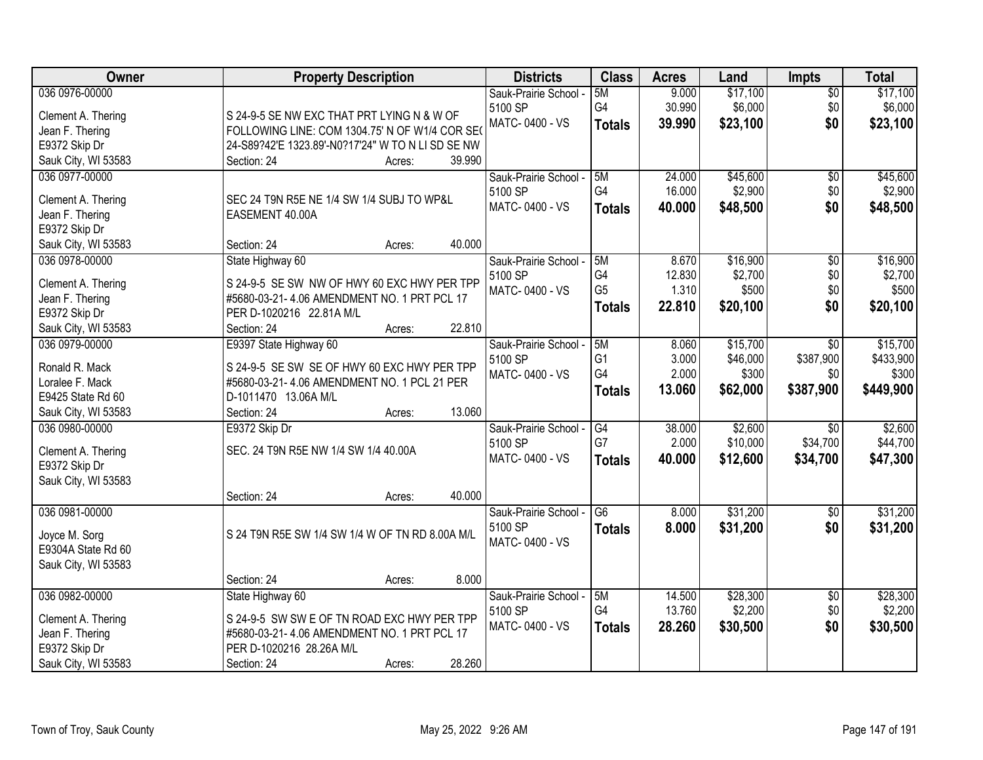| Owner                            | <b>Property Description</b>                       | <b>Districts</b>      | <b>Class</b>    | <b>Acres</b> | Land     | <b>Impts</b>    | <b>Total</b> |
|----------------------------------|---------------------------------------------------|-----------------------|-----------------|--------------|----------|-----------------|--------------|
| 036 0976-00000                   |                                                   | Sauk-Prairie School - | 5M              | 9.000        | \$17,100 | $\overline{50}$ | \$17,100     |
| Clement A. Thering               | S 24-9-5 SE NW EXC THAT PRT LYING N & W OF        | 5100 SP               | G4              | 30.990       | \$6,000  | \$0             | \$6,000      |
| Jean F. Thering                  | FOLLOWING LINE: COM 1304.75' N OF W1/4 COR SEO    | MATC-0400 - VS        | <b>Totals</b>   | 39.990       | \$23,100 | \$0             | \$23,100     |
| E9372 Skip Dr                    | 24-S89?42'E 1323.89'-N0?17'24" W TO N LI SD SE NW |                       |                 |              |          |                 |              |
| Sauk City, WI 53583              | 39.990<br>Section: 24<br>Acres:                   |                       |                 |              |          |                 |              |
| 036 0977-00000                   |                                                   | Sauk-Prairie School - | 5M              | 24.000       | \$45,600 | $\overline{50}$ | \$45,600     |
|                                  |                                                   | 5100 SP               | G4              | 16.000       | \$2,900  | \$0             | \$2,900      |
| Clement A. Thering               | SEC 24 T9N R5E NE 1/4 SW 1/4 SUBJ TO WP&L         | MATC-0400 - VS        | <b>Totals</b>   | 40.000       | \$48,500 | \$0             | \$48,500     |
| Jean F. Thering<br>E9372 Skip Dr | EASEMENT 40.00A                                   |                       |                 |              |          |                 |              |
| Sauk City, WI 53583              | Section: 24<br>40.000<br>Acres:                   |                       |                 |              |          |                 |              |
| 036 0978-00000                   | State Highway 60                                  | Sauk-Prairie School - | 5M              | 8.670        | \$16,900 | $\overline{50}$ | \$16,900     |
|                                  |                                                   | 5100 SP               | G4              | 12.830       | \$2,700  | \$0             | \$2,700      |
| Clement A. Thering               | S 24-9-5 SE SW NW OF HWY 60 EXC HWY PER TPP       | MATC-0400 - VS        | G <sub>5</sub>  | 1.310        | \$500    | \$0             | \$500        |
| Jean F. Thering                  | #5680-03-21-4.06 AMENDMENT NO. 1 PRT PCL 17       |                       |                 | 22.810       | \$20,100 | \$0             | \$20,100     |
| E9372 Skip Dr                    | PER D-1020216 22.81A M/L                          |                       | <b>Totals</b>   |              |          |                 |              |
| Sauk City, WI 53583              | 22.810<br>Section: 24<br>Acres:                   |                       |                 |              |          |                 |              |
| 036 0979-00000                   | E9397 State Highway 60                            | Sauk-Prairie School - | 5M              | 8.060        | \$15,700 | \$0             | \$15,700     |
| Ronald R. Mack                   | S 24-9-5 SE SW SE OF HWY 60 EXC HWY PER TPP       | 5100 SP               | G <sub>1</sub>  | 3.000        | \$46,000 | \$387,900       | \$433,900    |
| Loralee F. Mack                  | #5680-03-21- 4.06 AMENDMENT NO. 1 PCL 21 PER      | MATC-0400 - VS        | G4              | 2.000        | \$300    | \$0             | \$300        |
| E9425 State Rd 60                | D-1011470 13.06A M/L                              |                       | <b>Totals</b>   | 13.060       | \$62,000 | \$387,900       | \$449,900    |
| Sauk City, WI 53583              | 13.060<br>Section: 24<br>Acres:                   |                       |                 |              |          |                 |              |
| 036 0980-00000                   | E9372 Skip Dr                                     | Sauk-Prairie School - | $\overline{G4}$ | 38.000       | \$2,600  | $\overline{30}$ | \$2,600      |
|                                  |                                                   | 5100 SP               | G7              | 2.000        | \$10,000 | \$34,700        | \$44,700     |
| Clement A. Thering               | SEC. 24 T9N R5E NW 1/4 SW 1/4 40.00A              | MATC-0400 - VS        | <b>Totals</b>   | 40.000       | \$12,600 | \$34,700        | \$47,300     |
| E9372 Skip Dr                    |                                                   |                       |                 |              |          |                 |              |
| Sauk City, WI 53583              |                                                   |                       |                 |              |          |                 |              |
|                                  | 40.000<br>Section: 24<br>Acres:                   |                       |                 |              |          |                 |              |
| 036 0981-00000                   |                                                   | Sauk-Prairie School - | $\overline{G6}$ | 8.000        | \$31,200 | $\overline{60}$ | \$31,200     |
| Joyce M. Sorg                    | S 24 T9N R5E SW 1/4 SW 1/4 W OF TN RD 8.00A M/L   | 5100 SP               | <b>Totals</b>   | 8.000        | \$31,200 | \$0             | \$31,200     |
| E9304A State Rd 60               |                                                   | MATC-0400 - VS        |                 |              |          |                 |              |
| Sauk City, WI 53583              |                                                   |                       |                 |              |          |                 |              |
|                                  | 8.000<br>Section: 24<br>Acres:                    |                       |                 |              |          |                 |              |
| 036 0982-00000                   | State Highway 60                                  | Sauk-Prairie School - | 5M              | 14.500       | \$28,300 | $\overline{50}$ | \$28,300     |
| Clement A. Thering               | S 24-9-5 SW SW E OF TN ROAD EXC HWY PER TPP       | 5100 SP               | G4              | 13.760       | \$2,200  | \$0             | \$2,200      |
| Jean F. Thering                  | #5680-03-21-4.06 AMENDMENT NO. 1 PRT PCL 17       | MATC-0400 - VS        | <b>Totals</b>   | 28.260       | \$30,500 | \$0             | \$30,500     |
| E9372 Skip Dr                    | PER D-1020216 28.26A M/L                          |                       |                 |              |          |                 |              |
| Sauk City, WI 53583              | 28.260<br>Section: 24<br>Acres:                   |                       |                 |              |          |                 |              |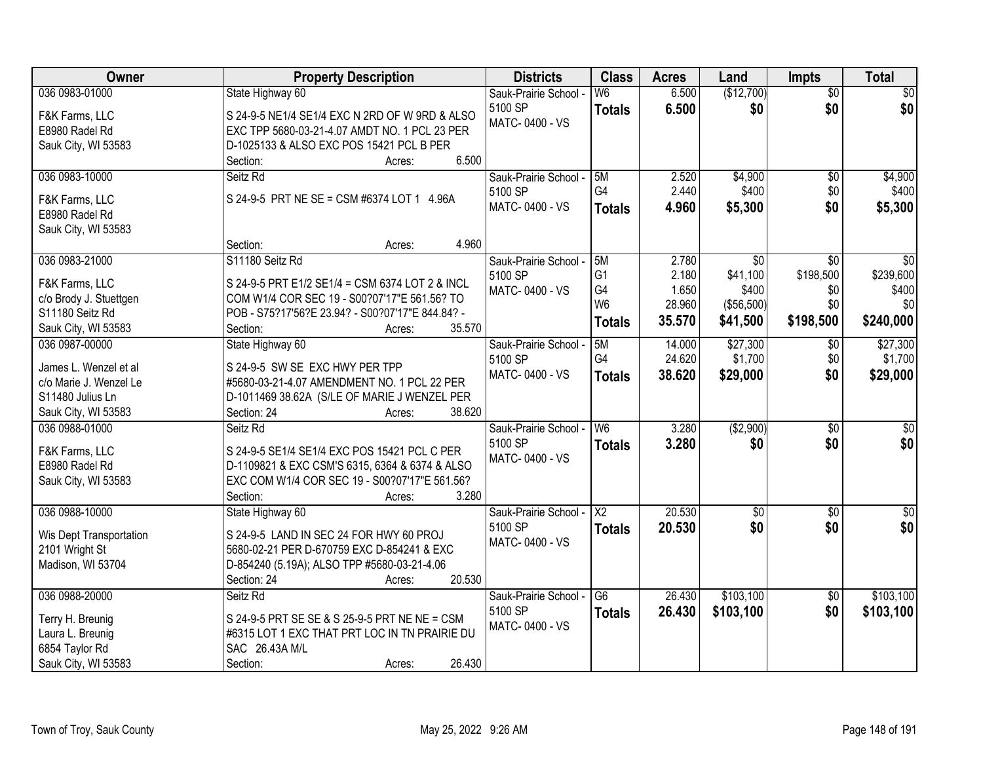| Owner                   | <b>Property Description</b>                      | <b>Districts</b>                 | <b>Class</b>             | <b>Acres</b> | Land            | <b>Impts</b>           | <b>Total</b>     |
|-------------------------|--------------------------------------------------|----------------------------------|--------------------------|--------------|-----------------|------------------------|------------------|
| 036 0983-01000          | State Highway 60                                 | Sauk-Prairie School -            | $\overline{\mathsf{W6}}$ | 6.500        | (\$12,700)      | $\overline{50}$        | $\sqrt{30}$      |
| F&K Farms, LLC          | S 24-9-5 NE1/4 SE1/4 EXC N 2RD OF W 9RD & ALSO   | 5100 SP                          | <b>Totals</b>            | 6.500        | \$0             | \$0                    | \$0              |
| E8980 Radel Rd          | EXC TPP 5680-03-21-4.07 AMDT NO. 1 PCL 23 PER    | MATC-0400 - VS                   |                          |              |                 |                        |                  |
| Sauk City, WI 53583     | D-1025133 & ALSO EXC POS 15421 PCL B PER         |                                  |                          |              |                 |                        |                  |
|                         | 6.500<br>Section:<br>Acres:                      |                                  |                          |              |                 |                        |                  |
| 036 0983-10000          | Seitz Rd                                         | Sauk-Prairie School -            | 5M                       | 2.520        | \$4,900         | \$0                    | \$4,900          |
|                         |                                                  | 5100 SP                          | G4                       | 2.440        | \$400           | \$0                    | \$400            |
| F&K Farms, LLC          | S 24-9-5 PRT NE SE = CSM #6374 LOT 1 4.96A       | MATC-0400 - VS                   | <b>Totals</b>            | 4.960        | \$5,300         | \$0                    | \$5,300          |
| E8980 Radel Rd          |                                                  |                                  |                          |              |                 |                        |                  |
| Sauk City, WI 53583     |                                                  |                                  |                          |              |                 |                        |                  |
|                         | 4.960<br>Section:<br>Acres:                      |                                  |                          |              |                 |                        |                  |
| 036 0983-21000          | S11180 Seitz Rd                                  | Sauk-Prairie School -            | 5M                       | 2.780        | $\overline{50}$ | $\overline{30}$        | \$0              |
| F&K Farms, LLC          | S 24-9-5 PRT E1/2 SE1/4 = CSM 6374 LOT 2 & INCL  | 5100 SP                          | G <sub>1</sub>           | 2.180        | \$41,100        | \$198,500              | \$239,600        |
| c/o Brody J. Stuettgen  | COM W1/4 COR SEC 19 - S00?07'17"E 561.56? TO     | MATC-0400 - VS                   | G4                       | 1.650        | \$400           | \$0                    | \$400            |
| S11180 Seitz Rd         | POB - S75?17'56?E 23.94? - S00?07'17"E 844.84? - |                                  | W <sub>6</sub>           | 28.960       | (\$56,500)      | \$0                    | \$0              |
| Sauk City, WI 53583     | 35.570<br>Section:<br>Acres:                     |                                  | <b>Totals</b>            | 35.570       | \$41,500        | \$198,500              | \$240,000        |
| 036 0987-00000          | State Highway 60                                 | Sauk-Prairie School -            | 5M                       | 14.000       | \$27,300        | \$0                    | \$27,300         |
|                         |                                                  | 5100 SP                          | G4                       | 24.620       | \$1,700         | \$0                    | \$1,700          |
| James L. Wenzel et al   | S 24-9-5 SW SE EXC HWY PER TPP                   | MATC-0400 - VS                   | <b>Totals</b>            | 38.620       | \$29,000        | \$0                    | \$29,000         |
| c/o Marie J. Wenzel Le  | #5680-03-21-4.07 AMENDMENT NO. 1 PCL 22 PER      |                                  |                          |              |                 |                        |                  |
| S11480 Julius Ln        | D-1011469 38.62A (S/LE OF MARIE J WENZEL PER     |                                  |                          |              |                 |                        |                  |
| Sauk City, WI 53583     | Section: 24<br>38.620<br>Acres:                  |                                  |                          |              |                 |                        |                  |
| 036 0988-01000          | Seitz Rd                                         | Sauk-Prairie School -            | W6                       | 3.280        | (\$2,900)       | $\overline{30}$        | $\overline{\$0}$ |
| F&K Farms, LLC          | S 24-9-5 SE1/4 SE1/4 EXC POS 15421 PCL C PER     | 5100 SP                          | <b>Totals</b>            | 3.280        | \$0             | \$0                    | \$0              |
| E8980 Radel Rd          | D-1109821 & EXC CSM'S 6315, 6364 & 6374 & ALSO   | MATC-0400 - VS                   |                          |              |                 |                        |                  |
| Sauk City, WI 53583     | EXC COM W1/4 COR SEC 19 - S00?07'17"E 561.56?    |                                  |                          |              |                 |                        |                  |
|                         | 3.280<br>Section:<br>Acres:                      |                                  |                          |              |                 |                        |                  |
| 036 0988-10000          | State Highway 60                                 | Sauk-Prairie School -            | $\overline{\mathsf{X2}}$ | 20.530       | $\sqrt{$0}$     | \$0                    | $\frac{1}{6}$    |
| Wis Dept Transportation | S 24-9-5 LAND IN SEC 24 FOR HWY 60 PROJ          | 5100 SP                          | <b>Totals</b>            | 20.530       | \$0             | \$0                    | \$0              |
| 2101 Wright St          | 5680-02-21 PER D-670759 EXC D-854241 & EXC       | MATC-0400 - VS                   |                          |              |                 |                        |                  |
| Madison, WI 53704       | D-854240 (5.19A); ALSO TPP #5680-03-21-4.06      |                                  |                          |              |                 |                        |                  |
|                         | 20.530<br>Section: 24<br>Acres:                  |                                  |                          |              |                 |                        |                  |
| 036 0988-20000          | Seitz Rd                                         |                                  | $\overline{G6}$          | 26.430       | \$103,100       |                        | \$103,100        |
|                         |                                                  | Sauk-Prairie School -<br>5100 SP |                          |              |                 | $\overline{30}$<br>\$0 |                  |
| Terry H. Breunig        | S 24-9-5 PRT SE SE & S 25-9-5 PRT NE NE = CSM    | MATC-0400 - VS                   | <b>Totals</b>            | 26.430       | \$103,100       |                        | \$103,100        |
| Laura L. Breunig        | #6315 LOT 1 EXC THAT PRT LOC IN TN PRAIRIE DU    |                                  |                          |              |                 |                        |                  |
| 6854 Taylor Rd          | SAC 26.43A M/L                                   |                                  |                          |              |                 |                        |                  |
| Sauk City, WI 53583     | 26.430<br>Section:<br>Acres:                     |                                  |                          |              |                 |                        |                  |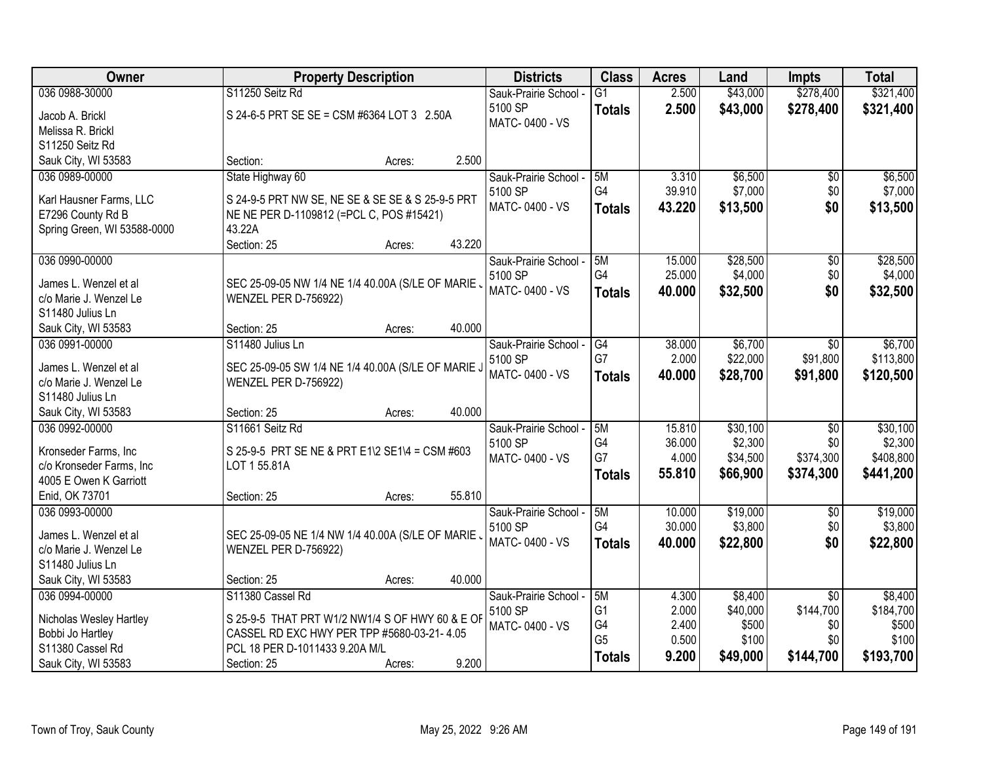| Owner                                           | <b>Property Description</b>                        | <b>Districts</b>      | <b>Class</b>         | <b>Acres</b>    | Land                | Impts            | <b>Total</b>         |
|-------------------------------------------------|----------------------------------------------------|-----------------------|----------------------|-----------------|---------------------|------------------|----------------------|
| 036 0988-30000                                  | S11250 Seitz Rd                                    | Sauk-Prairie School - | $\overline{G1}$      | 2.500           | \$43,000            | \$278,400        | \$321,400            |
| Jacob A. Brickl                                 | S 24-6-5 PRT SE SE = CSM #6364 LOT 3 2.50A         | 5100 SP               | <b>Totals</b>        | 2.500           | \$43,000            | \$278,400        | \$321,400            |
| Melissa R. Brickl                               |                                                    | MATC-0400 - VS        |                      |                 |                     |                  |                      |
| S11250 Seitz Rd                                 |                                                    |                       |                      |                 |                     |                  |                      |
| Sauk City, WI 53583                             | 2.500<br>Section:<br>Acres:                        |                       |                      |                 |                     |                  |                      |
| 036 0989-00000                                  | State Highway 60                                   | Sauk-Prairie School - | 5M                   | 3.310           | \$6,500             | \$0              | \$6,500              |
|                                                 |                                                    | 5100 SP               | G4                   | 39.910          | \$7,000             | \$0              | \$7,000              |
| Karl Hausner Farms, LLC                         | S 24-9-5 PRT NW SE, NE SE & SE SE & S 25-9-5 PRT   | MATC-0400 - VS        | <b>Totals</b>        | 43.220          | \$13,500            | \$0              | \$13,500             |
| E7296 County Rd B                               | NE NE PER D-1109812 (=PCL C, POS #15421)           |                       |                      |                 |                     |                  |                      |
| Spring Green, WI 53588-0000                     | 43.22A                                             |                       |                      |                 |                     |                  |                      |
|                                                 | Section: 25<br>43.220<br>Acres:                    |                       |                      |                 |                     |                  |                      |
| 036 0990-00000                                  |                                                    | Sauk-Prairie School - | 5M<br>G4             | 15.000          | \$28,500            | \$0              | \$28,500             |
| James L. Wenzel et al                           | SEC 25-09-05 NW 1/4 NE 1/4 40.00A (S/LE OF MARIE . | 5100 SP               |                      | 25.000          | \$4,000             | \$0              | \$4,000              |
| c/o Marie J. Wenzel Le                          | WENZEL PER D-756922)                               | MATC-0400 - VS        | <b>Totals</b>        | 40.000          | \$32,500            | \$0              | \$32,500             |
| S11480 Julius Ln                                |                                                    |                       |                      |                 |                     |                  |                      |
| Sauk City, WI 53583                             | 40.000<br>Section: 25<br>Acres:                    |                       |                      |                 |                     |                  |                      |
| 036 0991-00000                                  | S11480 Julius Ln                                   | Sauk-Prairie School - | G4                   | 38.000          | \$6,700             | \$0              | \$6,700              |
|                                                 |                                                    | 5100 SP               | G7                   | 2.000           | \$22,000            | \$91,800         | \$113,800            |
| James L. Wenzel et al<br>c/o Marie J. Wenzel Le | SEC 25-09-05 SW 1/4 NE 1/4 40.00A (S/LE OF MARIE J | MATC-0400 - VS        | <b>Totals</b>        | 40.000          | \$28,700            | \$91,800         | \$120,500            |
|                                                 | WENZEL PER D-756922)                               |                       |                      |                 |                     |                  |                      |
| S11480 Julius Ln                                | 40.000                                             |                       |                      |                 |                     |                  |                      |
| Sauk City, WI 53583                             | Section: 25<br>Acres:                              |                       |                      |                 |                     |                  |                      |
| 036 0992-00000                                  | S11661 Seitz Rd                                    | Sauk-Prairie School - | 5M<br>G <sub>4</sub> | 15.810          | \$30,100            | $\overline{50}$  | \$30,100             |
| Kronseder Farms, Inc                            | S 25-9-5 PRT SE NE & PRT E1\2 SE1\4 = CSM #603     | 5100 SP               | G7                   | 36.000<br>4.000 | \$2,300<br>\$34,500 | \$0<br>\$374,300 | \$2,300<br>\$408,800 |
| c/o Kronseder Farms, Inc                        | LOT 1 55.81A                                       | MATC-0400 - VS        |                      |                 |                     |                  |                      |
| 4005 E Owen K Garriott                          |                                                    |                       | <b>Totals</b>        | 55.810          | \$66,900            | \$374,300        | \$441,200            |
| Enid, OK 73701                                  | 55.810<br>Section: 25<br>Acres:                    |                       |                      |                 |                     |                  |                      |
| 036 0993-00000                                  |                                                    | Sauk-Prairie School - | 5M                   | 10.000          | \$19,000            | \$0              | \$19,000             |
| James L. Wenzel et al                           | SEC 25-09-05 NE 1/4 NW 1/4 40.00A (S/LE OF MARIE,  | 5100 SP               | G4                   | 30.000          | \$3,800             | \$0              | \$3,800              |
| c/o Marie J. Wenzel Le                          | WENZEL PER D-756922)                               | MATC-0400 - VS        | <b>Totals</b>        | 40.000          | \$22,800            | \$0              | \$22,800             |
| S11480 Julius Ln                                |                                                    |                       |                      |                 |                     |                  |                      |
| Sauk City, WI 53583                             | 40.000<br>Section: 25<br>Acres:                    |                       |                      |                 |                     |                  |                      |
| 036 0994-00000                                  | S11380 Cassel Rd                                   | Sauk-Prairie School - | 5M                   | 4.300           | \$8,400             | $\overline{50}$  | \$8,400              |
|                                                 |                                                    | 5100 SP               | G <sub>1</sub>       | 2.000           | \$40,000            | \$144,700        | \$184,700            |
| Nicholas Wesley Hartley                         | S 25-9-5 THAT PRT W1/2 NW1/4 S OF HWY 60 & E OF    | MATC-0400 - VS        | G4                   | 2.400           | \$500               | \$0              | \$500                |
| Bobbi Jo Hartley                                | CASSEL RD EXC HWY PER TPP #5680-03-21-4.05         |                       | G <sub>5</sub>       | 0.500           | \$100               | \$0              | \$100                |
| S11380 Cassel Rd                                | PCL 18 PER D-1011433 9.20A M/L                     |                       | <b>Totals</b>        | 9.200           | \$49,000            | \$144,700        | \$193,700            |
| Sauk City, WI 53583                             | 9.200<br>Section: 25<br>Acres:                     |                       |                      |                 |                     |                  |                      |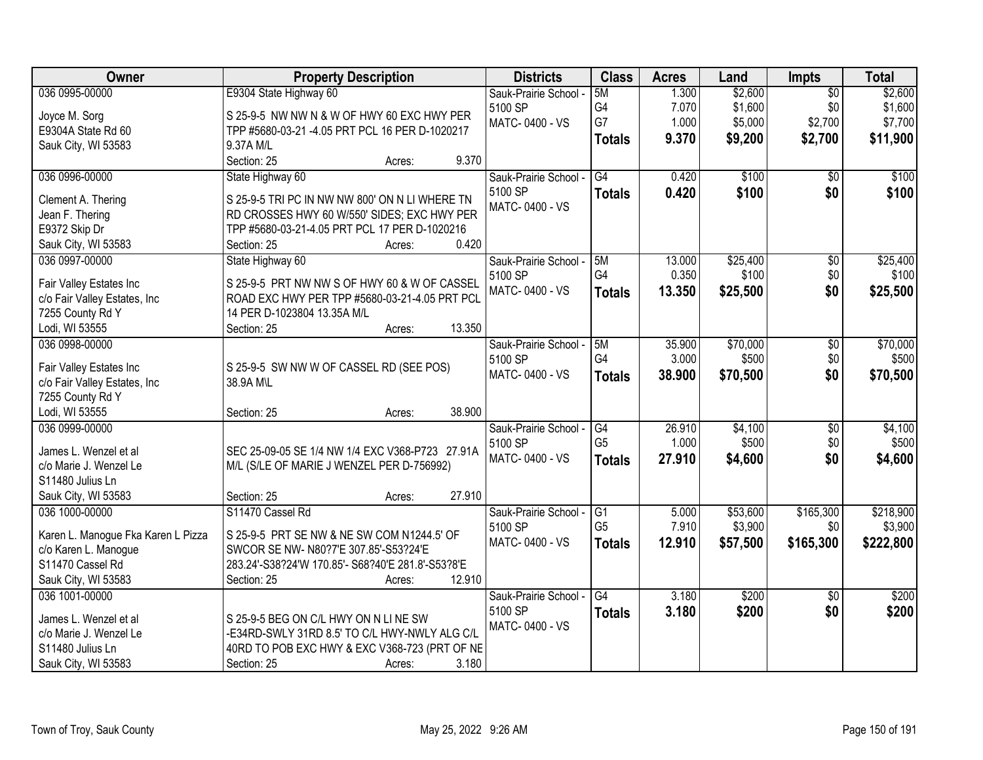| Owner                                            | <b>Property Description</b>                          | <b>Districts</b>      | <b>Class</b>    | <b>Acres</b> | Land     | Impts           | <b>Total</b> |
|--------------------------------------------------|------------------------------------------------------|-----------------------|-----------------|--------------|----------|-----------------|--------------|
| 036 0995-00000                                   | E9304 State Highway 60                               | Sauk-Prairie School - | 5M              | 1.300        | \$2,600  | $\overline{50}$ | \$2,600      |
| Joyce M. Sorg                                    | S 25-9-5 NW NW N & W OF HWY 60 EXC HWY PER           | 5100 SP               | G4              | 7.070        | \$1,600  | \$0             | \$1,600      |
| E9304A State Rd 60                               | TPP #5680-03-21 -4.05 PRT PCL 16 PER D-1020217       | MATC-0400 - VS        | G7              | 1.000        | \$5,000  | \$2,700         | \$7,700      |
| Sauk City, WI 53583                              | 9.37A M/L                                            |                       | <b>Totals</b>   | 9.370        | \$9,200  | \$2,700         | \$11,900     |
|                                                  | 9.370<br>Section: 25<br>Acres:                       |                       |                 |              |          |                 |              |
| 036 0996-00000                                   | State Highway 60                                     | Sauk-Prairie School - | G4              | 0.420        | \$100    | \$0             | \$100        |
| Clement A. Thering                               | S 25-9-5 TRI PC IN NW NW 800' ON N LI WHERE TN       | 5100 SP               | <b>Totals</b>   | 0.420        | \$100    | \$0             | \$100        |
| Jean F. Thering                                  | RD CROSSES HWY 60 W/550' SIDES; EXC HWY PER          | MATC-0400 - VS        |                 |              |          |                 |              |
| E9372 Skip Dr                                    | TPP #5680-03-21-4.05 PRT PCL 17 PER D-1020216        |                       |                 |              |          |                 |              |
| Sauk City, WI 53583                              | 0.420<br>Section: 25<br>Acres:                       |                       |                 |              |          |                 |              |
| 036 0997-00000                                   | State Highway 60                                     | Sauk-Prairie School - | 5M              | 13.000       | \$25,400 | $\overline{50}$ | \$25,400     |
|                                                  |                                                      | 5100 SP               | G4              | 0.350        | \$100    | \$0             | \$100        |
| Fair Valley Estates Inc                          | S 25-9-5 PRT NW NW S OF HWY 60 & W OF CASSEL         | MATC-0400 - VS        |                 | 13.350       | \$25,500 | \$0             | \$25,500     |
| c/o Fair Valley Estates, Inc                     | ROAD EXC HWY PER TPP #5680-03-21-4.05 PRT PCL        |                       | <b>Totals</b>   |              |          |                 |              |
| 7255 County Rd Y                                 | 14 PER D-1023804 13.35A M/L                          |                       |                 |              |          |                 |              |
| Lodi, WI 53555                                   | 13.350<br>Section: 25<br>Acres:                      |                       |                 |              |          |                 |              |
| 036 0998-00000                                   |                                                      | Sauk-Prairie School - | 5M              | 35.900       | \$70,000 | $\overline{50}$ | \$70,000     |
|                                                  |                                                      | 5100 SP               | G4              | 3.000        | \$500    | \$0             | \$500        |
| Fair Valley Estates Inc                          | S 25-9-5 SW NW W OF CASSEL RD (SEE POS)<br>38.9A M\L | MATC-0400 - VS        | <b>Totals</b>   | 38.900       | \$70,500 | \$0             | \$70,500     |
| c/o Fair Valley Estates, Inc<br>7255 County Rd Y |                                                      |                       |                 |              |          |                 |              |
| Lodi, WI 53555                                   | 38.900<br>Section: 25<br>Acres:                      |                       |                 |              |          |                 |              |
| 036 0999-00000                                   |                                                      | Sauk-Prairie School - | G4              | 26.910       | \$4,100  | $\overline{50}$ | \$4,100      |
|                                                  |                                                      | 5100 SP               | G <sub>5</sub>  | 1.000        | \$500    | \$0             | \$500        |
| James L. Wenzel et al                            | SEC 25-09-05 SE 1/4 NW 1/4 EXC V368-P723 27.91A      | MATC-0400 - VS        |                 | 27.910       |          | \$0             | \$4,600      |
| c/o Marie J. Wenzel Le                           | M/L (S/LE OF MARIE J WENZEL PER D-756992)            |                       | <b>Totals</b>   |              | \$4,600  |                 |              |
| S11480 Julius Ln                                 |                                                      |                       |                 |              |          |                 |              |
| Sauk City, WI 53583                              | 27.910<br>Section: 25<br>Acres:                      |                       |                 |              |          |                 |              |
| 036 1000-00000                                   | S11470 Cassel Rd                                     | Sauk-Prairie School - | $\overline{G1}$ | 5.000        | \$53,600 | \$165,300       | \$218,900    |
| Karen L. Manogue Fka Karen L Pizza               | S 25-9-5 PRT SE NW & NE SW COM N1244.5' OF           | 5100 SP               | G <sub>5</sub>  | 7.910        | \$3,900  | \$0             | \$3,900      |
| c/o Karen L. Manogue                             | SWCOR SE NW- N80?7'E 307.85'-S53?24'E                | MATC-0400 - VS        | <b>Totals</b>   | 12.910       | \$57,500 | \$165,300       | \$222,800    |
| S11470 Cassel Rd                                 | 283.24'-S38?24'W 170.85'- S68?40'E 281.8'-S53?8'E    |                       |                 |              |          |                 |              |
| Sauk City, WI 53583                              | Section: 25<br>12.910<br>Acres:                      |                       |                 |              |          |                 |              |
| 036 1001-00000                                   |                                                      | Sauk-Prairie School - | G4              | 3.180        | \$200    | $\overline{30}$ | \$200        |
|                                                  |                                                      | 5100 SP               | <b>Totals</b>   | 3.180        | \$200    | \$0             | \$200        |
| James L. Wenzel et al                            | S 25-9-5 BEG ON C/L HWY ON N LINE SW                 | MATC-0400 - VS        |                 |              |          |                 |              |
| c/o Marie J. Wenzel Le                           | -E34RD-SWLY 31RD 8.5' TO C/L HWY-NWLY ALG C/L        |                       |                 |              |          |                 |              |
| S11480 Julius Ln                                 | 40RD TO POB EXC HWY & EXC V368-723 (PRT OF NE        |                       |                 |              |          |                 |              |
| Sauk City, WI 53583                              | 3.180<br>Section: 25<br>Acres:                       |                       |                 |              |          |                 |              |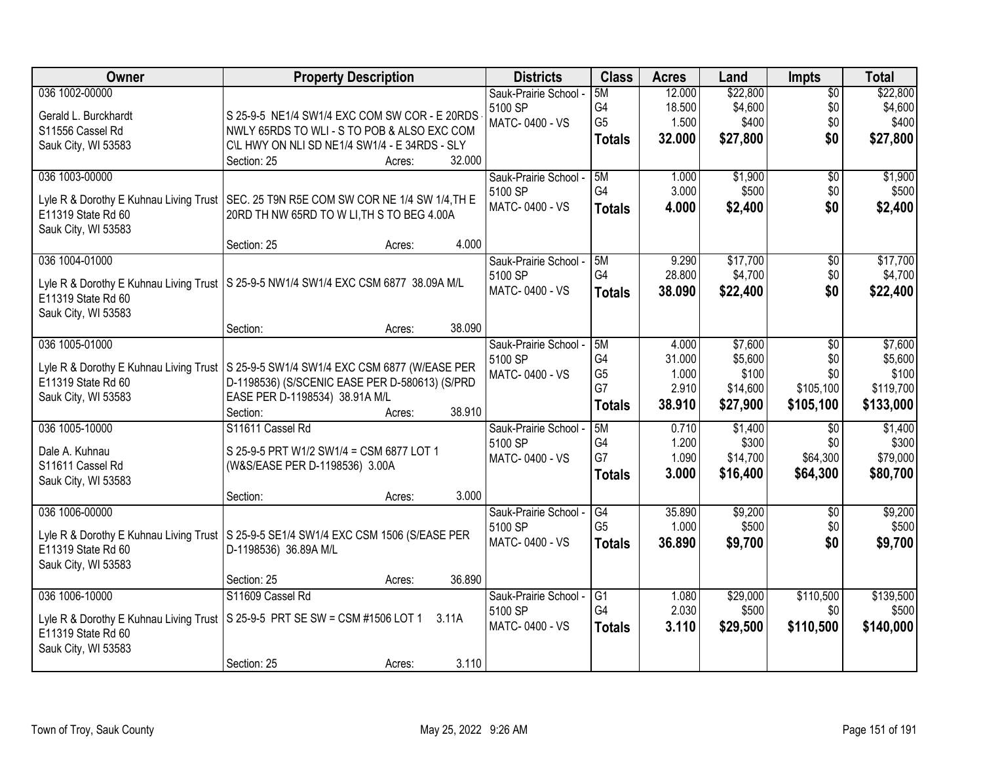| Owner                                  | <b>Property Description</b>                                                            | <b>Districts</b>      | <b>Class</b>         | <b>Acres</b>    | Land             | <b>Impts</b>           | <b>Total</b>     |
|----------------------------------------|----------------------------------------------------------------------------------------|-----------------------|----------------------|-----------------|------------------|------------------------|------------------|
| 036 1002-00000                         |                                                                                        | Sauk-Prairie School - | 5M                   | 12.000          | \$22,800         | $\overline{30}$        | \$22,800         |
| Gerald L. Burckhardt                   | S 25-9-5 NE1/4 SW1/4 EXC COM SW COR - E 20RDS                                          | 5100 SP               | G4                   | 18.500          | \$4,600          | \$0                    | \$4,600          |
| S11556 Cassel Rd                       | NWLY 65RDS TO WLI - S TO POB & ALSO EXC COM                                            | MATC-0400 - VS        | G <sub>5</sub>       | 1.500           | \$400            | \$0                    | \$400            |
| Sauk City, WI 53583                    | C\L HWY ON NLI SD NE1/4 SW1/4 - E 34RDS - SLY                                          |                       | <b>Totals</b>        | 32.000          | \$27,800         | \$0                    | \$27,800         |
|                                        | 32.000<br>Section: 25<br>Acres:                                                        |                       |                      |                 |                  |                        |                  |
| 036 1003-00000                         |                                                                                        | Sauk-Prairie School - | 5M                   | 1.000           | \$1,900          | $\overline{50}$        | \$1,900          |
|                                        |                                                                                        | 5100 SP               | G4                   | 3.000           | \$500            | \$0                    | \$500            |
| Lyle R & Dorothy E Kuhnau Living Trust | SEC. 25 T9N R5E COM SW COR NE 1/4 SW 1/4, TH E                                         | MATC-0400 - VS        | <b>Totals</b>        | 4.000           | \$2,400          | \$0                    | \$2,400          |
| E11319 State Rd 60                     | 20RD TH NW 65RD TO W LI, TH S TO BEG 4.00A                                             |                       |                      |                 |                  |                        |                  |
| Sauk City, WI 53583                    | 4.000<br>Section: 25<br>Acres:                                                         |                       |                      |                 |                  |                        |                  |
| 036 1004-01000                         |                                                                                        | Sauk-Prairie School - | 5M                   | 9.290           | \$17,700         | \$0                    | \$17,700         |
|                                        |                                                                                        | 5100 SP               | G4                   | 28.800          | \$4,700          | \$0                    | \$4,700          |
|                                        | Lyle R & Dorothy E Kuhnau Living Trust   S 25-9-5 NW1/4 SW1/4 EXC CSM 6877 38.09A M/L  | MATC-0400 - VS        | <b>Totals</b>        | 38.090          | \$22,400         | \$0                    | \$22,400         |
| E11319 State Rd 60                     |                                                                                        |                       |                      |                 |                  |                        |                  |
| Sauk City, WI 53583                    |                                                                                        |                       |                      |                 |                  |                        |                  |
|                                        | 38.090<br>Section:<br>Acres:                                                           |                       |                      |                 |                  |                        |                  |
| 036 1005-01000                         |                                                                                        | Sauk-Prairie School - | 5M                   | 4.000           | \$7,600          | \$0                    | \$7,600          |
|                                        | Lyle R & Dorothy E Kuhnau Living Trust   S 25-9-5 SW1/4 SW1/4 EXC CSM 6877 (W/EASE PER | 5100 SP               | G4                   | 31.000          | \$5,600          | \$0                    | \$5,600          |
| E11319 State Rd 60                     | D-1198536) (S/SCENIC EASE PER D-580613) (S/PRD                                         | MATC-0400 - VS        | G <sub>5</sub>       | 1.000           | \$100            | \$0                    | \$100            |
| Sauk City, WI 53583                    | EASE PER D-1198534) 38.91A M/L                                                         |                       | G7                   | 2.910           | \$14,600         | \$105,100              | \$119,700        |
|                                        | 38.910<br>Section:<br>Acres:                                                           |                       | <b>Totals</b>        | 38.910          | \$27,900         | \$105,100              | \$133,000        |
| 036 1005-10000                         | S11611 Cassel Rd                                                                       | Sauk-Prairie School - | 5M                   | 0.710           | \$1,400          | $\overline{50}$        | \$1,400          |
|                                        |                                                                                        | 5100 SP               | G <sub>4</sub>       | 1.200           | \$300            | \$0                    | \$300            |
| Dale A. Kuhnau                         | S 25-9-5 PRT W1/2 SW1/4 = CSM 6877 LOT 1                                               | MATC-0400 - VS        | G7                   | 1.090           | \$14,700         | \$64,300               | \$79,000         |
| S11611 Cassel Rd                       | (W&S/EASE PER D-1198536) 3.00A                                                         |                       | <b>Totals</b>        | 3.000           | \$16,400         | \$64,300               | \$80,700         |
| Sauk City, WI 53583                    |                                                                                        |                       |                      |                 |                  |                        |                  |
|                                        | 3.000<br>Section:<br>Acres:                                                            |                       |                      |                 |                  |                        |                  |
| 036 1006-00000                         |                                                                                        | Sauk-Prairie School - | G4<br>G <sub>5</sub> | 35.890<br>1.000 | \$9,200<br>\$500 | $\overline{50}$<br>\$0 | \$9,200<br>\$500 |
|                                        | Lyle R & Dorothy E Kuhnau Living Trust   S 25-9-5 SE1/4 SW1/4 EXC CSM 1506 (S/EASE PER | 5100 SP               |                      |                 |                  |                        |                  |
| E11319 State Rd 60                     | D-1198536) 36.89A M/L                                                                  | MATC-0400 - VS        | <b>Totals</b>        | 36.890          | \$9,700          | \$0                    | \$9,700          |
| Sauk City, WI 53583                    |                                                                                        |                       |                      |                 |                  |                        |                  |
|                                        | 36.890<br>Section: 25<br>Acres:                                                        |                       |                      |                 |                  |                        |                  |
| 036 1006-10000                         | S11609 Cassel Rd                                                                       | Sauk-Prairie School - | $\overline{G1}$      | 1.080           | \$29,000         | \$110,500              | \$139,500        |
|                                        | Lyle R & Dorothy E Kuhnau Living Trust   S 25-9-5 PRT SE SW = CSM #1506 LOT 1 3.11A    | 5100 SP               | G4                   | 2.030           | \$500            | \$0                    | \$500            |
| E11319 State Rd 60                     |                                                                                        | MATC-0400 - VS        | <b>Totals</b>        | 3.110           | \$29,500         | \$110,500              | \$140,000        |
| Sauk City, WI 53583                    |                                                                                        |                       |                      |                 |                  |                        |                  |
|                                        | 3.110<br>Section: 25<br>Acres:                                                         |                       |                      |                 |                  |                        |                  |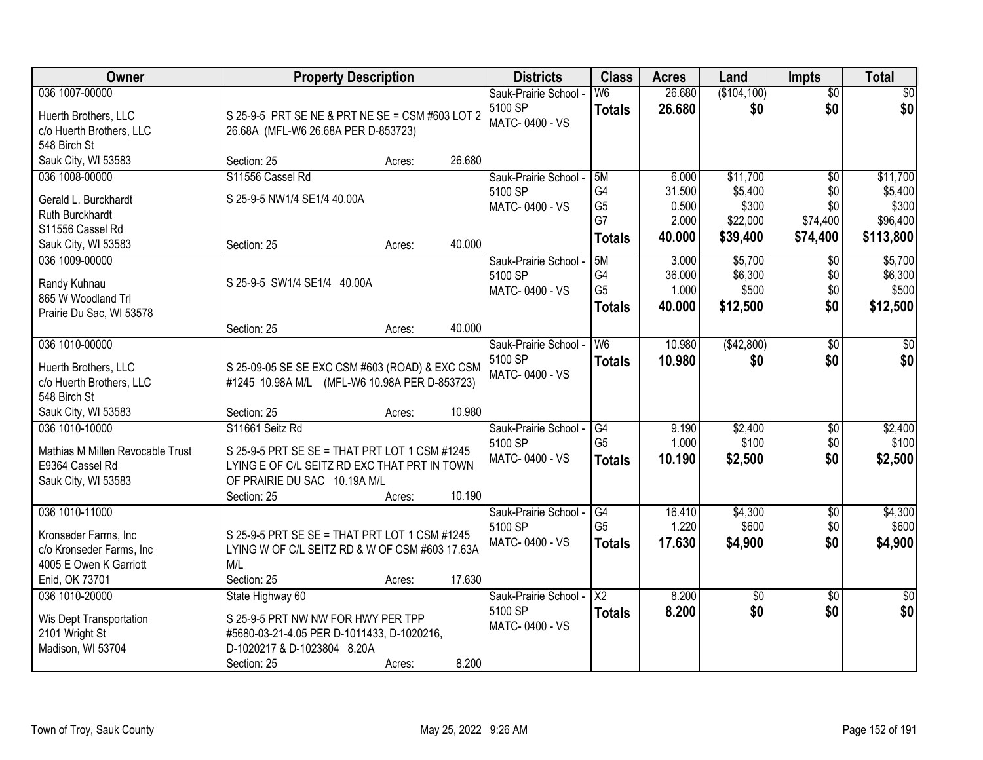| Owner                            | <b>Property Description</b>                     |        |        | <b>Districts</b>                 | <b>Class</b>         | <b>Acres</b>    | Land                | <b>Impts</b>           | <b>Total</b>        |
|----------------------------------|-------------------------------------------------|--------|--------|----------------------------------|----------------------|-----------------|---------------------|------------------------|---------------------|
| 036 1007-00000                   |                                                 |        |        | Sauk-Prairie School -            | W6                   | 26.680          | (\$104,100)         | $\overline{50}$        | \$0                 |
| Huerth Brothers, LLC             | S 25-9-5 PRT SE NE & PRT NE SE = CSM #603 LOT 2 |        |        | 5100 SP<br>MATC-0400 - VS        | <b>Totals</b>        | 26.680          | \$0                 | \$0                    | \$0                 |
| c/o Huerth Brothers, LLC         | 26.68A (MFL-W6 26.68A PER D-853723)             |        |        |                                  |                      |                 |                     |                        |                     |
| 548 Birch St                     |                                                 |        |        |                                  |                      |                 |                     |                        |                     |
| Sauk City, WI 53583              | Section: 25                                     | Acres: | 26.680 |                                  |                      |                 |                     |                        |                     |
| 036 1008-00000                   | S11556 Cassel Rd                                |        |        | Sauk-Prairie School -<br>5100 SP | 5M<br>G4             | 6.000<br>31.500 | \$11,700<br>\$5,400 | $\overline{50}$<br>\$0 | \$11,700<br>\$5,400 |
| Gerald L. Burckhardt             | S 25-9-5 NW1/4 SE1/4 40.00A                     |        |        | MATC-0400 - VS                   | G <sub>5</sub>       | 0.500           | \$300               | \$0                    | \$300               |
| Ruth Burckhardt                  |                                                 |        |        |                                  | G7                   | 2.000           | \$22,000            | \$74,400               | \$96,400            |
| S11556 Cassel Rd                 |                                                 |        |        |                                  | <b>Totals</b>        | 40.000          | \$39,400            | \$74,400               | \$113,800           |
| Sauk City, WI 53583              | Section: 25                                     | Acres: | 40.000 |                                  |                      |                 |                     |                        |                     |
| 036 1009-00000                   |                                                 |        |        | Sauk-Prairie School -<br>5100 SP | 5M<br>G4             | 3.000<br>36.000 | \$5,700<br>\$6,300  | $\sqrt[6]{}$<br>\$0    | \$5,700<br>\$6,300  |
| Randy Kuhnau                     | S 25-9-5 SW1/4 SE1/4 40.00A                     |        |        | MATC-0400 - VS                   | G <sub>5</sub>       | 1.000           | \$500               | \$0                    | \$500               |
| 865 W Woodland Trl               |                                                 |        |        |                                  | <b>Totals</b>        | 40.000          | \$12,500            | \$0                    | \$12,500            |
| Prairie Du Sac, WI 53578         |                                                 |        |        |                                  |                      |                 |                     |                        |                     |
|                                  | Section: 25                                     | Acres: | 40.000 |                                  |                      |                 |                     |                        |                     |
| 036 1010-00000                   |                                                 |        |        | Sauk-Prairie School -<br>5100 SP | W <sub>6</sub>       | 10.980          | (\$42,800)          | \$0<br>\$0             | $\sqrt{50}$         |
| Huerth Brothers, LLC             | S 25-09-05 SE SE EXC CSM #603 (ROAD) & EXC CSM  |        |        | MATC-0400 - VS                   | <b>Totals</b>        | 10.980          | \$0                 |                        | \$0                 |
| c/o Huerth Brothers, LLC         | #1245 10.98A M/L (MFL-W6 10.98A PER D-853723)   |        |        |                                  |                      |                 |                     |                        |                     |
| 548 Birch St                     |                                                 |        |        |                                  |                      |                 |                     |                        |                     |
| Sauk City, WI 53583              | Section: 25                                     | Acres: | 10.980 |                                  |                      |                 |                     |                        |                     |
| 036 1010-10000                   | S11661 Seitz Rd                                 |        |        | Sauk-Prairie School -<br>5100 SP | G4<br>G <sub>5</sub> | 9.190<br>1.000  | \$2,400<br>\$100    | \$0<br>\$0             | \$2,400<br>\$100    |
| Mathias M Millen Revocable Trust | S 25-9-5 PRT SE SE = THAT PRT LOT 1 CSM #1245   |        |        | MATC-0400 - VS                   | <b>Totals</b>        | 10.190          | \$2,500             | \$0                    | \$2,500             |
| E9364 Cassel Rd                  | LYING E OF C/L SEITZ RD EXC THAT PRT IN TOWN    |        |        |                                  |                      |                 |                     |                        |                     |
| Sauk City, WI 53583              | OF PRAIRIE DU SAC 10.19A M/L                    |        |        |                                  |                      |                 |                     |                        |                     |
|                                  | Section: 25                                     | Acres: | 10.190 |                                  |                      |                 |                     |                        |                     |
| 036 1010-11000                   |                                                 |        |        | Sauk-Prairie School -<br>5100 SP | G4<br>G <sub>5</sub> | 16.410<br>1.220 | \$4,300<br>\$600    | $\overline{50}$<br>\$0 | \$4,300<br>\$600    |
| Kronseder Farms, Inc             | S 25-9-5 PRT SE SE = THAT PRT LOT 1 CSM #1245   |        |        | MATC-0400 - VS                   | <b>Totals</b>        | 17.630          | \$4,900             | \$0                    | \$4,900             |
| c/o Kronseder Farms, Inc         | LYING W OF C/L SEITZ RD & W OF CSM #603 17.63A  |        |        |                                  |                      |                 |                     |                        |                     |
| 4005 E Owen K Garriott           | M/L                                             |        |        |                                  |                      |                 |                     |                        |                     |
| Enid, OK 73701                   | Section: 25                                     | Acres: | 17.630 |                                  |                      |                 |                     |                        |                     |
| 036 1010-20000                   | State Highway 60                                |        |        | Sauk-Prairie School -            | $\overline{X2}$      | 8.200           | $\overline{50}$     | $\overline{30}$        | $\overline{50}$     |
| Wis Dept Transportation          | S 25-9-5 PRT NW NW FOR HWY PER TPP              |        |        | 5100 SP<br>MATC-0400 - VS        | <b>Totals</b>        | 8.200           | \$0                 | \$0                    | \$0                 |
| 2101 Wright St                   | #5680-03-21-4.05 PER D-1011433, D-1020216,      |        |        |                                  |                      |                 |                     |                        |                     |
| Madison, WI 53704                | D-1020217 & D-1023804 8.20A                     |        |        |                                  |                      |                 |                     |                        |                     |
|                                  | Section: 25                                     | Acres: | 8.200  |                                  |                      |                 |                     |                        |                     |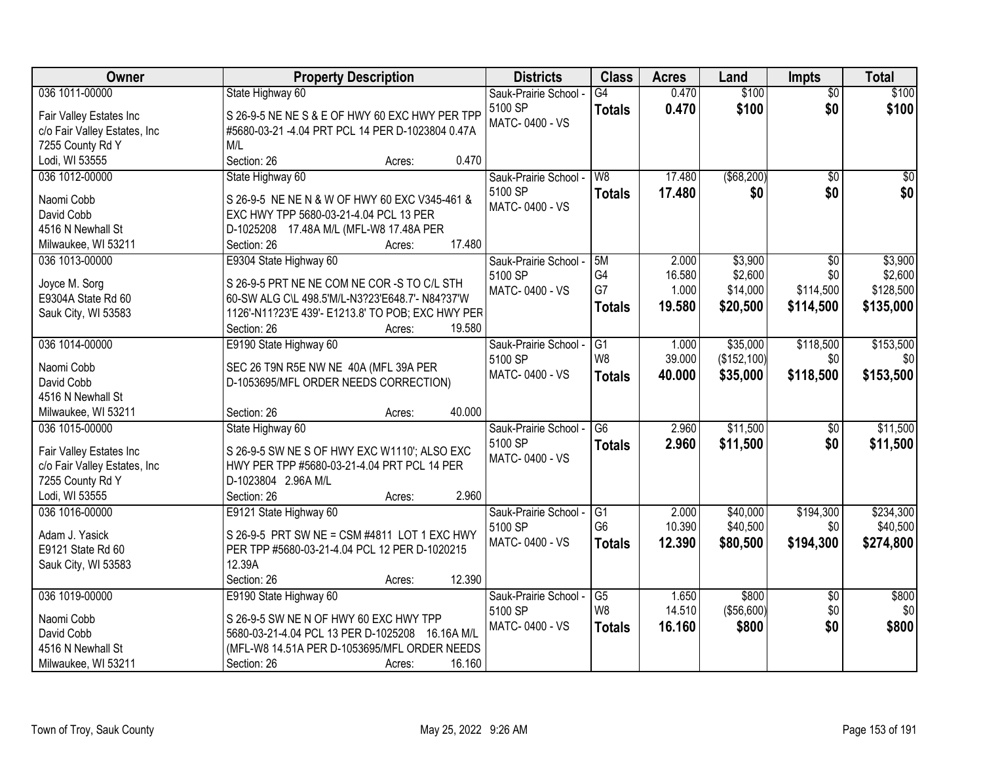| Owner                        | <b>Property Description</b>                       | <b>Districts</b>      | <b>Class</b>    | <b>Acres</b> | Land         | <b>Impts</b>    | <b>Total</b> |
|------------------------------|---------------------------------------------------|-----------------------|-----------------|--------------|--------------|-----------------|--------------|
| 036 1011-00000               | State Highway 60                                  | Sauk-Prairie School - | $\overline{G4}$ | 0.470        | \$100        | $\overline{50}$ | \$100        |
| Fair Valley Estates Inc      | S 26-9-5 NE NE S & E OF HWY 60 EXC HWY PER TPP    | 5100 SP               | <b>Totals</b>   | 0.470        | \$100        | \$0             | \$100        |
| c/o Fair Valley Estates, Inc | #5680-03-21 -4.04 PRT PCL 14 PER D-1023804 0.47A  | MATC-0400 - VS        |                 |              |              |                 |              |
| 7255 County Rd Y             | M/L                                               |                       |                 |              |              |                 |              |
| Lodi, WI 53555               | 0.470<br>Section: 26<br>Acres:                    |                       |                 |              |              |                 |              |
| 036 1012-00000               | State Highway 60                                  | Sauk-Prairie School - | W8              | 17.480       | ( \$68, 200) | $\overline{50}$ | $\sqrt{50}$  |
|                              |                                                   | 5100 SP               | <b>Totals</b>   | 17.480       | \$0          | \$0             | \$0          |
| Naomi Cobb                   | S 26-9-5 NE NE N & W OF HWY 60 EXC V345-461 &     | MATC-0400 - VS        |                 |              |              |                 |              |
| David Cobb                   | EXC HWY TPP 5680-03-21-4.04 PCL 13 PER            |                       |                 |              |              |                 |              |
| 4516 N Newhall St            | D-1025208 17.48A M/L (MFL-W8 17.48A PER           |                       |                 |              |              |                 |              |
| Milwaukee, WI 53211          | 17.480<br>Section: 26<br>Acres:                   |                       |                 |              |              |                 |              |
| 036 1013-00000               | E9304 State Highway 60                            | Sauk-Prairie School - | 5M              | 2.000        | \$3,900      | \$0             | \$3,900      |
| Joyce M. Sorg                | S 26-9-5 PRT NE NE COM NE COR -S TO C/L STH       | 5100 SP               | G4              | 16.580       | \$2,600      | \$0             | \$2,600      |
| E9304A State Rd 60           | 60-SW ALG C\L 498.5'M/L-N3?23'E648.7'- N84?37'W   | MATC-0400 - VS        | G7              | 1.000        | \$14,000     | \$114,500       | \$128,500    |
| Sauk City, WI 53583          | 1126'-N11?23'E 439'- E1213.8' TO POB; EXC HWY PER |                       | <b>Totals</b>   | 19.580       | \$20,500     | \$114,500       | \$135,000    |
|                              | Section: 26<br>19.580<br>Acres:                   |                       |                 |              |              |                 |              |
| 036 1014-00000               | E9190 State Highway 60                            | Sauk-Prairie School - | G1              | 1.000        | \$35,000     | \$118,500       | \$153,500    |
|                              |                                                   | 5100 SP               | W8              | 39.000       | (\$152, 100) | \$0             | \$0          |
| Naomi Cobb                   | SEC 26 T9N R5E NW NE 40A (MFL 39A PER             | MATC-0400 - VS        | <b>Totals</b>   | 40.000       | \$35,000     | \$118,500       | \$153,500    |
| David Cobb                   | D-1053695/MFL ORDER NEEDS CORRECTION)             |                       |                 |              |              |                 |              |
| 4516 N Newhall St            |                                                   |                       |                 |              |              |                 |              |
| Milwaukee, WI 53211          | 40.000<br>Section: 26<br>Acres:                   |                       |                 |              |              |                 |              |
| 036 1015-00000               | State Highway 60                                  | Sauk-Prairie School - | $\overline{G6}$ | 2.960        | \$11,500     | \$0             | \$11,500     |
| Fair Valley Estates Inc      | S 26-9-5 SW NE S OF HWY EXC W1110'; ALSO EXC      | 5100 SP               | Totals          | 2.960        | \$11,500     | \$0             | \$11,500     |
| c/o Fair Valley Estates, Inc | HWY PER TPP #5680-03-21-4.04 PRT PCL 14 PER       | MATC-0400 - VS        |                 |              |              |                 |              |
| 7255 County Rd Y             | D-1023804 2.96A M/L                               |                       |                 |              |              |                 |              |
| Lodi, WI 53555               | 2.960<br>Section: 26<br>Acres:                    |                       |                 |              |              |                 |              |
| 036 1016-00000               | E9121 State Highway 60                            | Sauk-Prairie School - | $\overline{G1}$ | 2.000        | \$40,000     | \$194,300       | \$234,300    |
|                              |                                                   | 5100 SP               | G <sub>6</sub>  | 10.390       | \$40,500     | \$0             | \$40,500     |
| Adam J. Yasick               | S 26-9-5 PRT SW NE = CSM #4811 LOT 1 EXC HWY      | MATC-0400 - VS        | <b>Totals</b>   | 12.390       | \$80,500     | \$194,300       | \$274,800    |
| E9121 State Rd 60            | PER TPP #5680-03-21-4.04 PCL 12 PER D-1020215     |                       |                 |              |              |                 |              |
| Sauk City, WI 53583          | 12.39A                                            |                       |                 |              |              |                 |              |
|                              | Section: 26<br>12.390<br>Acres:                   |                       |                 |              |              |                 |              |
| 036 1019-00000               | E9190 State Highway 60                            | Sauk-Prairie School - | $\overline{G5}$ | 1.650        | \$800        | $\overline{50}$ | \$800        |
| Naomi Cobb                   | S 26-9-5 SW NE N OF HWY 60 EXC HWY TPP            | 5100 SP               | W8              | 14.510       | (\$56,600)   | \$0             | \$0          |
| David Cobb                   | 5680-03-21-4.04 PCL 13 PER D-1025208 16.16A M/L   | MATC-0400 - VS        | <b>Totals</b>   | 16.160       | \$800        | \$0             | \$800        |
| 4516 N Newhall St            | (MFL-W8 14.51A PER D-1053695/MFL ORDER NEEDS      |                       |                 |              |              |                 |              |
| Milwaukee, WI 53211          | 16.160<br>Section: 26<br>Acres:                   |                       |                 |              |              |                 |              |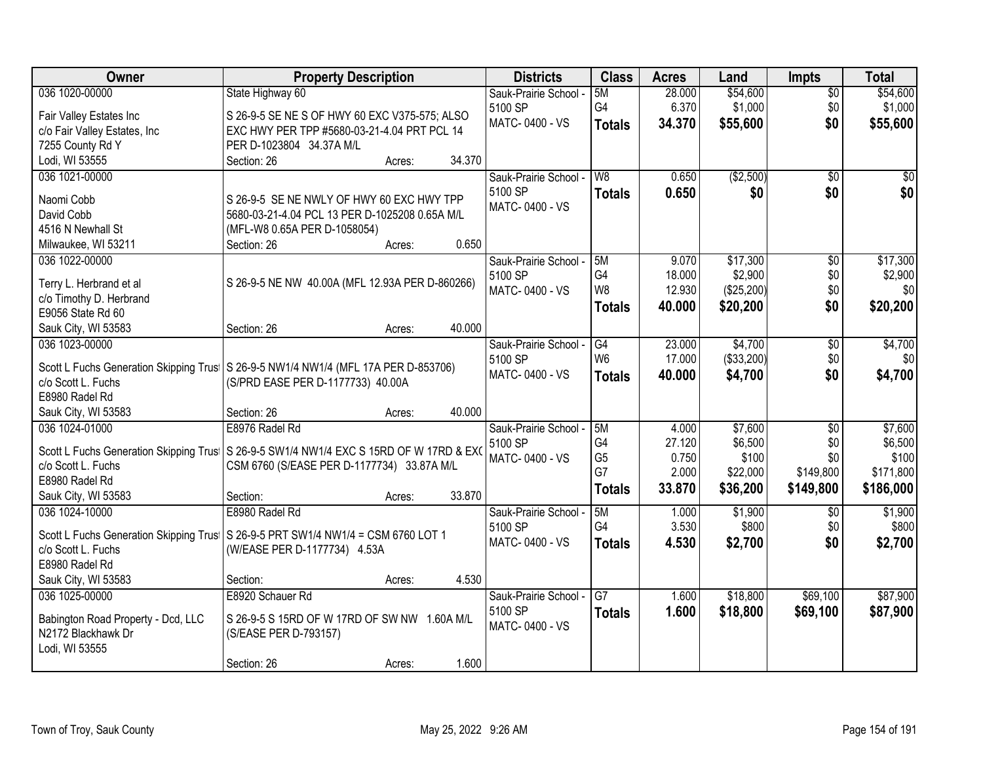| Owner                                  | <b>Property Description</b>                                                          |        | <b>Districts</b>      | <b>Class</b>   | <b>Acres</b> | Land       | <b>Impts</b>    | <b>Total</b> |
|----------------------------------------|--------------------------------------------------------------------------------------|--------|-----------------------|----------------|--------------|------------|-----------------|--------------|
| 036 1020-00000                         | State Highway 60                                                                     |        | Sauk-Prairie School - | 5M             | 28.000       | \$54,600   | \$0             | \$54,600     |
| Fair Valley Estates Inc                | S 26-9-5 SE NE S OF HWY 60 EXC V375-575; ALSO                                        |        | 5100 SP               | G4             | 6.370        | \$1,000    | \$0             | \$1,000      |
| c/o Fair Valley Estates, Inc           | EXC HWY PER TPP #5680-03-21-4.04 PRT PCL 14                                          |        | MATC-0400 - VS        | <b>Totals</b>  | 34.370       | \$55,600   | \$0             | \$55,600     |
| 7255 County Rd Y                       | PER D-1023804 34.37A M/L                                                             |        |                       |                |              |            |                 |              |
| Lodi, WI 53555                         | Section: 26<br>Acres:                                                                | 34.370 |                       |                |              |            |                 |              |
| 036 1021-00000                         |                                                                                      |        | Sauk-Prairie School - | W8             | 0.650        | (\$2,500)  | $\overline{50}$ | \$0          |
|                                        |                                                                                      |        | 5100 SP               | <b>Totals</b>  | 0.650        | \$0        | \$0             | \$0          |
| Naomi Cobb                             | S 26-9-5 SE NE NWLY OF HWY 60 EXC HWY TPP                                            |        | MATC-0400 - VS        |                |              |            |                 |              |
| David Cobb                             | 5680-03-21-4.04 PCL 13 PER D-1025208 0.65A M/L                                       |        |                       |                |              |            |                 |              |
| 4516 N Newhall St                      | (MFL-W8 0.65A PER D-1058054)                                                         |        |                       |                |              |            |                 |              |
| Milwaukee, WI 53211                    | Section: 26<br>Acres:                                                                | 0.650  |                       |                |              |            |                 |              |
| 036 1022-00000                         |                                                                                      |        | Sauk-Prairie School - | 5M             | 9.070        | \$17,300   | \$0             | \$17,300     |
| Terry L. Herbrand et al                | S 26-9-5 NE NW 40.00A (MFL 12.93A PER D-860266)                                      |        | 5100 SP               | G4             | 18.000       | \$2,900    | \$0             | \$2,900      |
| c/o Timothy D. Herbrand                |                                                                                      |        | MATC-0400 - VS        | W8             | 12.930       | (\$25,200) | \$0             | \$0          |
| E9056 State Rd 60                      |                                                                                      |        |                       | <b>Totals</b>  | 40.000       | \$20,200   | \$0             | \$20,200     |
| Sauk City, WI 53583                    | Section: 26<br>Acres:                                                                | 40.000 |                       |                |              |            |                 |              |
| 036 1023-00000                         |                                                                                      |        | Sauk-Prairie School - | G4             | 23.000       | \$4,700    | \$0             | \$4,700      |
|                                        |                                                                                      |        | 5100 SP               | W <sub>6</sub> | 17.000       | (\$33,200) | \$0             | \$0          |
|                                        | Scott L Fuchs Generation Skipping Trus   S 26-9-5 NW1/4 NW1/4 (MFL 17A PER D-853706) |        | MATC-0400 - VS        | <b>Totals</b>  | 40.000       | \$4,700    | \$0             | \$4,700      |
| c/o Scott L. Fuchs                     | (S/PRD EASE PER D-1177733) 40.00A                                                    |        |                       |                |              |            |                 |              |
| E8980 Radel Rd                         |                                                                                      |        |                       |                |              |            |                 |              |
| Sauk City, WI 53583                    | Section: 26<br>Acres:                                                                | 40.000 |                       |                |              |            |                 |              |
| 036 1024-01000                         | E8976 Radel Rd                                                                       |        | Sauk-Prairie School - | 5M             | 4.000        | \$7,600    | $\overline{50}$ | \$7,600      |
| Scott L Fuchs Generation Skipping Trus | S 26-9-5 SW1/4 NW1/4 EXC S 15RD OF W 17RD & EXO                                      |        | 5100 SP               | G <sub>4</sub> | 27.120       | \$6,500    | \$0             | \$6,500      |
| c/o Scott L. Fuchs                     | CSM 6760 (S/EASE PER D-1177734) 33.87A M/L                                           |        | MATC-0400 - VS        | G <sub>5</sub> | 0.750        | \$100      | \$0             | \$100        |
| E8980 Radel Rd                         |                                                                                      |        |                       | G7             | 2.000        | \$22,000   | \$149,800       | \$171,800    |
| Sauk City, WI 53583                    | Section:<br>Acres:                                                                   | 33.870 |                       | <b>Totals</b>  | 33.870       | \$36,200   | \$149,800       | \$186,000    |
| 036 1024-10000                         | E8980 Radel Rd                                                                       |        | Sauk-Prairie School - | 5M             | 1.000        | \$1,900    | \$0             | \$1,900      |
|                                        |                                                                                      |        | 5100 SP               | G4             | 3.530        | \$800      | \$0             | \$800        |
|                                        | Scott L Fuchs Generation Skipping Trus   S 26-9-5 PRT SW1/4 NW1/4 = CSM 6760 LOT 1   |        | MATC-0400 - VS        | <b>Totals</b>  | 4.530        | \$2,700    | \$0             | \$2,700      |
| c/o Scott L. Fuchs                     | (W/EASE PER D-1177734) 4.53A                                                         |        |                       |                |              |            |                 |              |
| E8980 Radel Rd                         |                                                                                      |        |                       |                |              |            |                 |              |
| Sauk City, WI 53583                    | Section:<br>Acres:                                                                   | 4.530  |                       |                |              |            |                 |              |
| 036 1025-00000                         | E8920 Schauer Rd                                                                     |        | Sauk-Prairie School - | G7             | 1.600        | \$18,800   | \$69,100        | \$87,900     |
| Babington Road Property - Dcd, LLC     | S 26-9-5 S 15RD OF W 17RD OF SW NW 1.60A M/L                                         |        | 5100 SP               | <b>Totals</b>  | 1.600        | \$18,800   | \$69,100        | \$87,900     |
| N2172 Blackhawk Dr                     | (S/EASE PER D-793157)                                                                |        | MATC-0400 - VS        |                |              |            |                 |              |
| Lodi, WI 53555                         |                                                                                      |        |                       |                |              |            |                 |              |
|                                        | Section: 26<br>Acres:                                                                | 1.600  |                       |                |              |            |                 |              |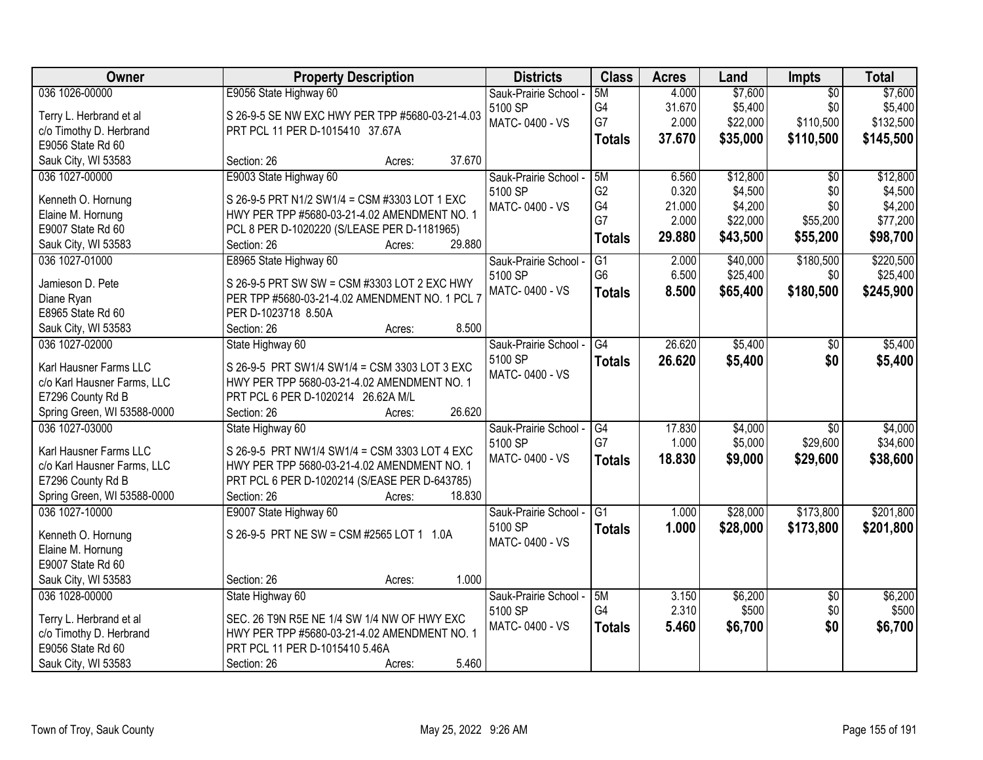| Owner                       | <b>Property Description</b>                                                                  | <b>Districts</b>          | <b>Class</b>         | <b>Acres</b> | Land     | Impts           | <b>Total</b> |
|-----------------------------|----------------------------------------------------------------------------------------------|---------------------------|----------------------|--------------|----------|-----------------|--------------|
| 036 1026-00000              | E9056 State Highway 60                                                                       | Sauk-Prairie School -     | 5M                   | 4.000        | \$7,600  | $\overline{50}$ | \$7,600      |
| Terry L. Herbrand et al     | S 26-9-5 SE NW EXC HWY PER TPP #5680-03-21-4.03                                              | 5100 SP                   | G4                   | 31.670       | \$5,400  | \$0             | \$5,400      |
| c/o Timothy D. Herbrand     | PRT PCL 11 PER D-1015410 37.67A                                                              | MATC-0400 - VS            | G7                   | 2.000        | \$22,000 | \$110,500       | \$132,500    |
| E9056 State Rd 60           |                                                                                              |                           | <b>Totals</b>        | 37.670       | \$35,000 | \$110,500       | \$145,500    |
| Sauk City, WI 53583         | 37.670<br>Section: 26<br>Acres:                                                              |                           |                      |              |          |                 |              |
| 036 1027-00000              | E9003 State Highway 60                                                                       | Sauk-Prairie School -     | 5M                   | 6.560        | \$12,800 | $\overline{50}$ | \$12,800     |
|                             |                                                                                              | 5100 SP                   | G <sub>2</sub>       | 0.320        | \$4,500  | \$0             | \$4,500      |
| Kenneth O. Hornung          | S 26-9-5 PRT N1/2 SW1/4 = CSM #3303 LOT 1 EXC                                                | MATC-0400 - VS            | G4                   | 21.000       | \$4,200  | \$0             | \$4,200      |
| Elaine M. Hornung           | HWY PER TPP #5680-03-21-4.02 AMENDMENT NO. 1                                                 |                           | G7                   | 2.000        | \$22,000 | \$55,200        | \$77,200     |
| E9007 State Rd 60           | PCL 8 PER D-1020220 (S/LEASE PER D-1181965)<br>29.880                                        |                           | <b>Totals</b>        | 29.880       | \$43,500 | \$55,200        | \$98,700     |
| Sauk City, WI 53583         | Section: 26<br>Acres:                                                                        |                           |                      |              |          |                 | \$220,500    |
| 036 1027-01000              | E8965 State Highway 60                                                                       | Sauk-Prairie School -     | G1<br>G <sub>6</sub> | 2.000        | \$40,000 | \$180,500       |              |
| Jamieson D. Pete            | S 26-9-5 PRT SW SW = CSM #3303 LOT 2 EXC HWY                                                 | 5100 SP<br>MATC-0400 - VS |                      | 6.500        | \$25,400 | \$0             | \$25,400     |
| Diane Ryan                  | PER TPP #5680-03-21-4.02 AMENDMENT NO. 1 PCL 7                                               |                           | <b>Totals</b>        | 8.500        | \$65,400 | \$180,500       | \$245,900    |
| E8965 State Rd 60           | PER D-1023718 8.50A                                                                          |                           |                      |              |          |                 |              |
| Sauk City, WI 53583         | 8.500<br>Section: 26<br>Acres:                                                               |                           |                      |              |          |                 |              |
| 036 1027-02000              | State Highway 60                                                                             | Sauk-Prairie School -     | G4                   | 26.620       | \$5,400  | $\frac{1}{20}$  | \$5,400      |
| Karl Hausner Farms LLC      |                                                                                              | 5100 SP                   | <b>Totals</b>        | 26.620       | \$5,400  | \$0             | \$5,400      |
| c/o Karl Hausner Farms, LLC | S 26-9-5 PRT SW1/4 SW1/4 = CSM 3303 LOT 3 EXC<br>HWY PER TPP 5680-03-21-4.02 AMENDMENT NO. 1 | MATC-0400 - VS            |                      |              |          |                 |              |
| E7296 County Rd B           | PRT PCL 6 PER D-1020214 26.62A M/L                                                           |                           |                      |              |          |                 |              |
| Spring Green, WI 53588-0000 | 26.620<br>Section: 26<br>Acres:                                                              |                           |                      |              |          |                 |              |
| 036 1027-03000              | State Highway 60                                                                             | Sauk-Prairie School -     | G4                   | 17.830       | \$4,000  | $\overline{30}$ | \$4,000      |
|                             |                                                                                              | 5100 SP                   | G7                   | 1.000        | \$5,000  | \$29,600        | \$34,600     |
| Karl Hausner Farms LLC      | S 26-9-5 PRT NW1/4 SW1/4 = CSM 3303 LOT 4 EXC                                                | MATC-0400 - VS            |                      | 18.830       | \$9,000  | \$29,600        | \$38,600     |
| c/o Karl Hausner Farms, LLC | HWY PER TPP 5680-03-21-4.02 AMENDMENT NO. 1                                                  |                           | <b>Totals</b>        |              |          |                 |              |
| E7296 County Rd B           | PRT PCL 6 PER D-1020214 (S/EASE PER D-643785)                                                |                           |                      |              |          |                 |              |
| Spring Green, WI 53588-0000 | 18.830<br>Section: 26<br>Acres:                                                              |                           |                      |              |          |                 |              |
| 036 1027-10000              | E9007 State Highway 60                                                                       | Sauk-Prairie School -     | G1                   | 1.000        | \$28,000 | \$173,800       | \$201,800    |
| Kenneth O. Hornung          | S 26-9-5 PRT NE SW = CSM #2565 LOT 1 1.0A                                                    | 5100 SP                   | <b>Totals</b>        | 1.000        | \$28,000 | \$173,800       | \$201,800    |
| Elaine M. Hornung           |                                                                                              | MATC-0400 - VS            |                      |              |          |                 |              |
| E9007 State Rd 60           |                                                                                              |                           |                      |              |          |                 |              |
| Sauk City, WI 53583         | 1.000<br>Section: 26<br>Acres:                                                               |                           |                      |              |          |                 |              |
| 036 1028-00000              | State Highway 60                                                                             | Sauk-Prairie School -     | 5M                   | 3.150        | \$6,200  | $\overline{30}$ | \$6,200      |
|                             |                                                                                              | 5100 SP                   | G4                   | 2.310        | \$500    | \$0             | \$500        |
| Terry L. Herbrand et al     | SEC. 26 T9N R5E NE 1/4 SW 1/4 NW OF HWY EXC                                                  | MATC-0400 - VS            | <b>Totals</b>        | 5.460        | \$6,700  | \$0             | \$6,700      |
| c/o Timothy D. Herbrand     | HWY PER TPP #5680-03-21-4.02 AMENDMENT NO. 1                                                 |                           |                      |              |          |                 |              |
| E9056 State Rd 60           | PRT PCL 11 PER D-1015410 5.46A                                                               |                           |                      |              |          |                 |              |
| Sauk City, WI 53583         | 5.460<br>Section: 26<br>Acres:                                                               |                           |                      |              |          |                 |              |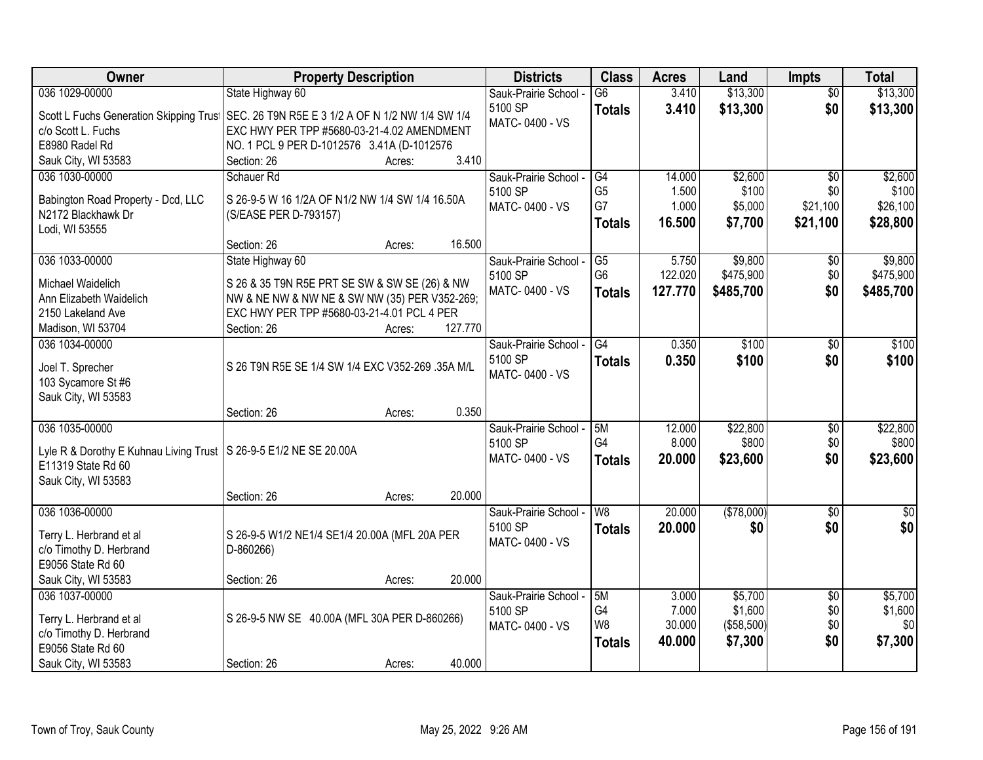| Owner                                                               | <b>Property Description</b>                      | <b>Districts</b>                 | <b>Class</b>   | <b>Acres</b> | Land       | <b>Impts</b>    | <b>Total</b> |
|---------------------------------------------------------------------|--------------------------------------------------|----------------------------------|----------------|--------------|------------|-----------------|--------------|
| 036 1029-00000                                                      | State Highway 60                                 | Sauk-Prairie School -            | G6             | 3.410        | \$13,300   | $\overline{30}$ | \$13,300     |
| Scott L Fuchs Generation Skipping Trust                             | SEC. 26 T9N R5E E 3 1/2 A OF N 1/2 NW 1/4 SW 1/4 | 5100 SP                          | <b>Totals</b>  | 3.410        | \$13,300   | \$0             | \$13,300     |
| c/o Scott L. Fuchs                                                  | EXC HWY PER TPP #5680-03-21-4.02 AMENDMENT       | MATC-0400 - VS                   |                |              |            |                 |              |
| E8980 Radel Rd                                                      | NO. 1 PCL 9 PER D-1012576 3.41A (D-1012576       |                                  |                |              |            |                 |              |
| Sauk City, WI 53583                                                 | 3.410<br>Section: 26<br>Acres:                   |                                  |                |              |            |                 |              |
| 036 1030-00000                                                      | Schauer Rd                                       | Sauk-Prairie School -            | G4             | 14.000       | \$2,600    | $\overline{50}$ | \$2,600      |
|                                                                     | S 26-9-5 W 16 1/2A OF N1/2 NW 1/4 SW 1/4 16.50A  | 5100 SP                          | G <sub>5</sub> | 1.500        | \$100      | \$0             | \$100        |
| Babington Road Property - Dcd, LLC<br>N2172 Blackhawk Dr            | (S/EASE PER D-793157)                            | MATC-0400 - VS                   | G7             | 1.000        | \$5,000    | \$21,100        | \$26,100     |
| Lodi, WI 53555                                                      |                                                  |                                  | <b>Totals</b>  | 16.500       | \$7,700    | \$21,100        | \$28,800     |
|                                                                     | 16.500<br>Section: 26<br>Acres:                  |                                  |                |              |            |                 |              |
| 036 1033-00000                                                      | State Highway 60                                 | Sauk-Prairie School -            | G5             | 5.750        | \$9,800    | $\sqrt[6]{30}$  | \$9,800      |
| Michael Waidelich                                                   | S 26 & 35 T9N R5E PRT SE SW & SW SE (26) & NW    | 5100 SP                          | G <sub>6</sub> | 122.020      | \$475,900  | \$0             | \$475,900    |
| Ann Elizabeth Waidelich                                             | NW & NE NW & NW NE & SW NW (35) PER V352-269;    | MATC-0400 - VS                   | <b>Totals</b>  | 127.770      | \$485,700  | \$0             | \$485,700    |
| 2150 Lakeland Ave                                                   | EXC HWY PER TPP #5680-03-21-4.01 PCL 4 PER       |                                  |                |              |            |                 |              |
| Madison, WI 53704                                                   | 127.770<br>Section: 26<br>Acres:                 |                                  |                |              |            |                 |              |
| 036 1034-00000                                                      |                                                  | Sauk-Prairie School -            | G4             | 0.350        | \$100      | \$0             | \$100        |
|                                                                     |                                                  | 5100 SP                          | <b>Totals</b>  | 0.350        | \$100      | \$0             | \$100        |
| Joel T. Sprecher                                                    | S 26 T9N R5E SE 1/4 SW 1/4 EXC V352-269 .35A M/L | MATC-0400 - VS                   |                |              |            |                 |              |
| 103 Sycamore St #6                                                  |                                                  |                                  |                |              |            |                 |              |
| Sauk City, WI 53583                                                 | 0.350                                            |                                  |                |              |            |                 |              |
| 036 1035-00000                                                      | Section: 26<br>Acres:                            |                                  | 5M             | 12.000       | \$22,800   | $\overline{30}$ | \$22,800     |
|                                                                     |                                                  | Sauk-Prairie School -<br>5100 SP | G <sub>4</sub> | 8.000        | \$800      | \$0             | \$800        |
| Lyle R & Dorothy E Kuhnau Living Trust   S 26-9-5 E1/2 NE SE 20.00A |                                                  | MATC-0400 - VS                   | <b>Totals</b>  | 20.000       | \$23,600   | \$0             | \$23,600     |
| E11319 State Rd 60                                                  |                                                  |                                  |                |              |            |                 |              |
| Sauk City, WI 53583                                                 |                                                  |                                  |                |              |            |                 |              |
|                                                                     | 20.000<br>Section: 26<br>Acres:                  |                                  |                |              |            |                 |              |
| 036 1036-00000                                                      |                                                  | Sauk-Prairie School -            | W <sub>8</sub> | 20.000       | (\$78,000) | $\sqrt{6}$      | $\sqrt{50}$  |
| Terry L. Herbrand et al                                             | S 26-9-5 W1/2 NE1/4 SE1/4 20.00A (MFL 20A PER    | 5100 SP                          | <b>Totals</b>  | 20.000       | \$0        | \$0             | \$0          |
| c/o Timothy D. Herbrand                                             | D-860266)                                        | MATC-0400 - VS                   |                |              |            |                 |              |
| E9056 State Rd 60                                                   |                                                  |                                  |                |              |            |                 |              |
| Sauk City, WI 53583                                                 | 20.000<br>Section: 26<br>Acres:                  |                                  |                |              |            |                 |              |
| 036 1037-00000                                                      |                                                  | Sauk-Prairie School -            | 5M             | 3.000        | \$5,700    | $\overline{50}$ | \$5,700      |
| Terry L. Herbrand et al                                             | S 26-9-5 NW SE 40.00A (MFL 30A PER D-860266)     | 5100 SP                          | G4             | 7.000        | \$1,600    | \$0             | \$1,600      |
| c/o Timothy D. Herbrand                                             |                                                  | MATC-0400 - VS                   | W8             | 30.000       | (\$58,500) | \$0             | \$0          |
| E9056 State Rd 60                                                   |                                                  |                                  | <b>Totals</b>  | 40.000       | \$7,300    | \$0             | \$7,300      |
| Sauk City, WI 53583                                                 | 40.000<br>Section: 26<br>Acres:                  |                                  |                |              |            |                 |              |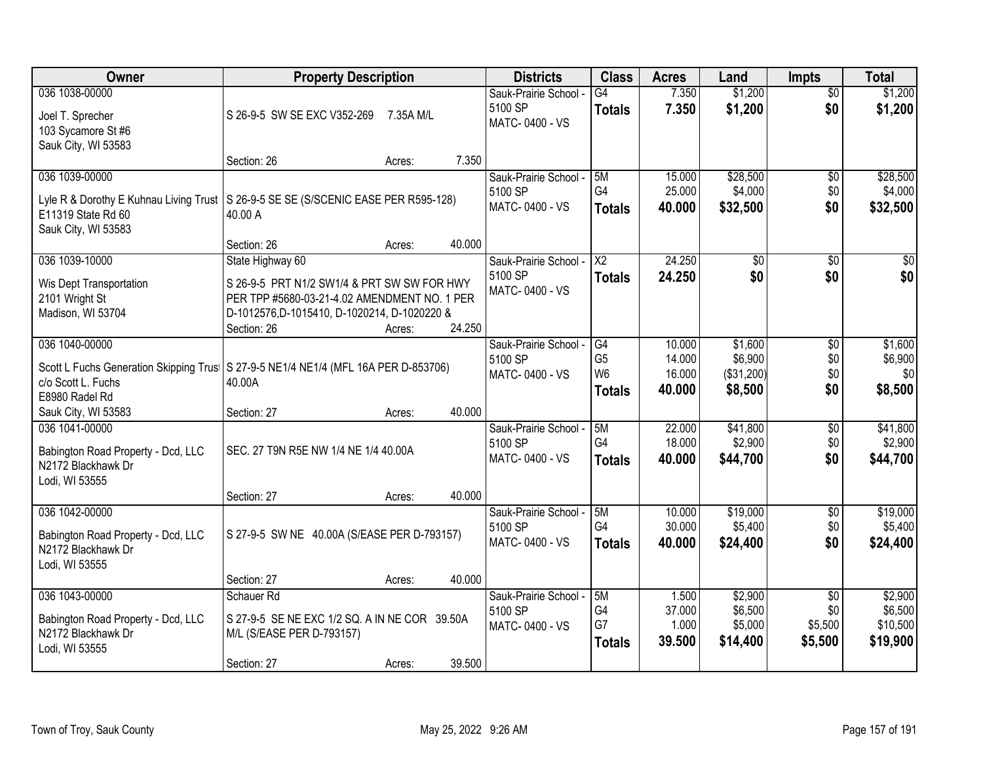| Owner                                                                                                                                             | <b>Property Description</b>                                                                                                                                |           |        | <b>Districts</b>                                   | <b>Class</b>                                            | <b>Acres</b>                         | Land                                        | <b>Impts</b>                                 | <b>Total</b>                               |
|---------------------------------------------------------------------------------------------------------------------------------------------------|------------------------------------------------------------------------------------------------------------------------------------------------------------|-----------|--------|----------------------------------------------------|---------------------------------------------------------|--------------------------------------|---------------------------------------------|----------------------------------------------|--------------------------------------------|
| 036 1038-00000<br>Joel T. Sprecher<br>103 Sycamore St #6<br>Sauk City, WI 53583                                                                   | S 26-9-5 SW SE EXC V352-269                                                                                                                                | 7.35A M/L |        | Sauk-Prairie School -<br>5100 SP<br>MATC-0400 - VS | $\overline{G4}$<br><b>Totals</b>                        | 7.350<br>7.350                       | \$1,200<br>\$1,200                          | $\overline{30}$<br>\$0                       | \$1,200<br>\$1,200                         |
|                                                                                                                                                   | Section: 26                                                                                                                                                | Acres:    | 7.350  |                                                    |                                                         |                                      |                                             |                                              |                                            |
| 036 1039-00000<br>Lyle R & Dorothy E Kuhnau Living Trust S 26-9-5 SE SE (S/SCENIC EASE PER R595-128)<br>E11319 State Rd 60<br>Sauk City, WI 53583 | 40.00 A                                                                                                                                                    |           |        | Sauk-Prairie School -<br>5100 SP<br>MATC-0400 - VS | 5M<br>G4<br><b>Totals</b>                               | 15.000<br>25.000<br>40.000           | \$28,500<br>\$4,000<br>\$32,500             | \$0<br>\$0<br>\$0                            | \$28,500<br>\$4,000<br>\$32,500            |
| 036 1039-10000                                                                                                                                    | Section: 26<br>State Highway 60                                                                                                                            | Acres:    | 40.000 | Sauk-Prairie School -                              | $\overline{\mathsf{X2}}$                                | 24.250                               | $\overline{50}$                             | \$0                                          | $\overline{30}$                            |
| Wis Dept Transportation<br>2101 Wright St<br>Madison, WI 53704                                                                                    | S 26-9-5 PRT N1/2 SW1/4 & PRT SW SW FOR HWY<br>PER TPP #5680-03-21-4.02 AMENDMENT NO. 1 PER<br>D-1012576, D-1015410, D-1020214, D-1020220 &<br>Section: 26 | Acres:    | 24.250 | 5100 SP<br>MATC-0400 - VS                          | <b>Totals</b>                                           | 24.250                               | \$0                                         | \$0                                          | \$0                                        |
| 036 1040-00000<br>Scott L Fuchs Generation Skipping Trus   S 27-9-5 NE1/4 NE1/4 (MFL 16A PER D-853706)<br>c/o Scott L. Fuchs<br>E8980 Radel Rd    | 40.00A                                                                                                                                                     |           |        | Sauk-Prairie School -<br>5100 SP<br>MATC-0400 - VS | G4<br>G <sub>5</sub><br>W <sub>6</sub><br><b>Totals</b> | 10.000<br>14.000<br>16.000<br>40.000 | \$1,600<br>\$6,900<br>(\$31,200)<br>\$8,500 | \$0<br>\$0<br>\$0<br>\$0                     | \$1,600<br>\$6,900<br>\$0<br>\$8,500       |
| Sauk City, WI 53583                                                                                                                               | Section: 27                                                                                                                                                | Acres:    | 40.000 |                                                    |                                                         |                                      |                                             |                                              |                                            |
| 036 1041-00000<br>Babington Road Property - Dcd, LLC<br>N2172 Blackhawk Dr<br>Lodi, WI 53555                                                      | SEC. 27 T9N R5E NW 1/4 NE 1/4 40.00A                                                                                                                       |           |        | Sauk-Prairie School -<br>5100 SP<br>MATC-0400 - VS | 5M<br>G4<br><b>Totals</b>                               | 22.000<br>18.000<br>40.000           | \$41,800<br>\$2,900<br>\$44,700             | $\overline{30}$<br>\$0<br>\$0                | \$41,800<br>\$2,900<br>\$44,700            |
|                                                                                                                                                   | Section: 27                                                                                                                                                | Acres:    | 40.000 |                                                    |                                                         |                                      |                                             |                                              |                                            |
| 036 1042-00000<br>Babington Road Property - Dcd, LLC<br>N2172 Blackhawk Dr<br>Lodi, WI 53555                                                      | S 27-9-5 SW NE 40.00A (S/EASE PER D-793157)                                                                                                                |           |        | Sauk-Prairie School -<br>5100 SP<br>MATC-0400 - VS | 5M<br>G4<br><b>Totals</b>                               | 10.000<br>30.000<br>40.000           | \$19,000<br>\$5,400<br>\$24,400             | $\sqrt{6}$<br>\$0<br>\$0                     | \$19,000<br>\$5,400<br>\$24,400            |
|                                                                                                                                                   | Section: 27                                                                                                                                                | Acres:    | 40.000 |                                                    |                                                         |                                      |                                             |                                              |                                            |
| 036 1043-00000<br>Babington Road Property - Dcd, LLC<br>N2172 Blackhawk Dr<br>Lodi, WI 53555                                                      | Schauer Rd<br>S 27-9-5 SE NE EXC 1/2 SQ. A IN NE COR 39.50A<br>M/L (S/EASE PER D-793157)<br>Section: 27                                                    | Acres:    | 39.500 | Sauk-Prairie School -<br>5100 SP<br>MATC-0400 - VS | 5M<br>G4<br>G7<br><b>Totals</b>                         | 1.500<br>37.000<br>1.000<br>39.500   | \$2,900<br>\$6,500<br>\$5,000<br>\$14,400   | $\overline{30}$<br>\$0<br>\$5,500<br>\$5,500 | \$2,900<br>\$6,500<br>\$10,500<br>\$19,900 |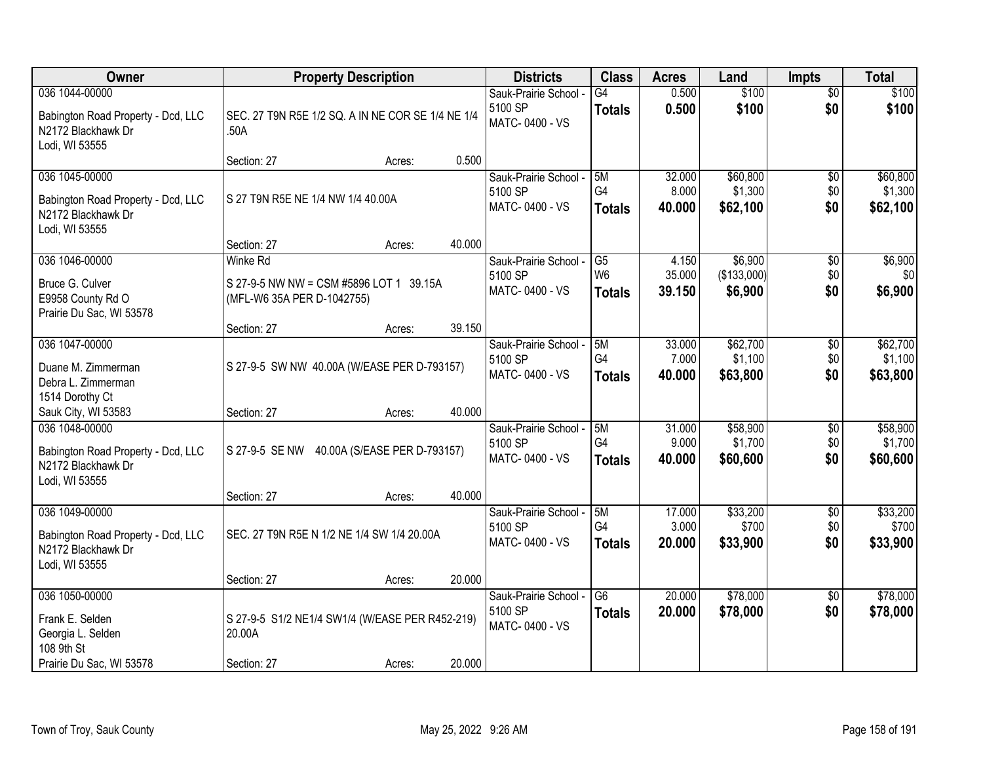| <b>Owner</b>                                                               | <b>Property Description</b>                               |        |        | <b>Districts</b>                 | <b>Class</b>         | <b>Acres</b>     | Land                   | <b>Impts</b>    | <b>Total</b>   |
|----------------------------------------------------------------------------|-----------------------------------------------------------|--------|--------|----------------------------------|----------------------|------------------|------------------------|-----------------|----------------|
| 036 1044-00000                                                             |                                                           |        |        | Sauk-Prairie School -<br>5100 SP | G4                   | 0.500<br>0.500   | \$100<br>\$100         | \$0<br>\$0      | \$100<br>\$100 |
| Babington Road Property - Dcd, LLC<br>N2172 Blackhawk Dr<br>Lodi, WI 53555 | SEC. 27 T9N R5E 1/2 SQ. A IN NE COR SE 1/4 NE 1/4<br>.50A |        |        | MATC-0400 - VS                   | <b>Totals</b>        |                  |                        |                 |                |
|                                                                            | Section: 27                                               | Acres: | 0.500  |                                  |                      |                  |                        |                 |                |
| 036 1045-00000                                                             |                                                           |        |        | Sauk-Prairie School -            | 5M                   | 32.000           | \$60,800               | $\overline{50}$ | \$60,800       |
| Babington Road Property - Dcd, LLC                                         | S 27 T9N R5E NE 1/4 NW 1/4 40.00A                         |        |        | 5100 SP<br>MATC-0400 - VS        | G4                   | 8.000<br>40.000  | \$1,300<br>\$62,100    | \$0<br>\$0      | \$1,300        |
| N2172 Blackhawk Dr<br>Lodi, WI 53555                                       |                                                           |        |        |                                  | <b>Totals</b>        |                  |                        |                 | \$62,100       |
|                                                                            | Section: 27                                               | Acres: | 40.000 |                                  |                      |                  |                        |                 |                |
| 036 1046-00000                                                             | <b>Winke Rd</b>                                           |        |        | Sauk-Prairie School -            | G5<br>W <sub>6</sub> | 4.150            | \$6,900                | $\sqrt[6]{3}$   | \$6,900        |
| Bruce G. Culver                                                            | S 27-9-5 NW NW = CSM #5896 LOT 1 39.15A                   |        |        | 5100 SP<br>MATC-0400 - VS        | <b>Totals</b>        | 35.000<br>39.150 | (\$133,000)<br>\$6,900 | \$0<br>\$0      | \$0<br>\$6,900 |
| E9958 County Rd O                                                          | (MFL-W6 35A PER D-1042755)                                |        |        |                                  |                      |                  |                        |                 |                |
| Prairie Du Sac, WI 53578                                                   | Section: 27                                               | Acres: | 39.150 |                                  |                      |                  |                        |                 |                |
| 036 1047-00000                                                             |                                                           |        |        | Sauk-Prairie School -            | 5M                   | 33.000           | \$62,700               | \$0             | \$62,700       |
|                                                                            |                                                           |        |        | 5100 SP                          | G4                   | 7.000            | \$1,100                | \$0             | \$1,100        |
| Duane M. Zimmerman<br>Debra L. Zimmerman                                   | S 27-9-5 SW NW 40.00A (W/EASE PER D-793157)               |        |        | MATC-0400 - VS                   | <b>Totals</b>        | 40.000           | \$63,800               | \$0             | \$63,800       |
| 1514 Dorothy Ct                                                            |                                                           |        |        |                                  |                      |                  |                        |                 |                |
| Sauk City, WI 53583                                                        | Section: 27                                               | Acres: | 40.000 |                                  |                      |                  |                        |                 |                |
| 036 1048-00000                                                             |                                                           |        |        | Sauk-Prairie School -            | 5M                   | 31.000           | \$58,900               | \$0             | \$58,900       |
| Babington Road Property - Dcd, LLC                                         | S 27-9-5 SE NW 40.00A (S/EASE PER D-793157)               |        |        | 5100 SP<br>MATC-0400 - VS        | G <sub>4</sub>       | 9.000            | \$1,700                | \$0             | \$1,700        |
| N2172 Blackhawk Dr                                                         |                                                           |        |        |                                  | <b>Totals</b>        | 40.000           | \$60,600               | \$0             | \$60,600       |
| Lodi, WI 53555                                                             |                                                           |        |        |                                  |                      |                  |                        |                 |                |
| 036 1049-00000                                                             | Section: 27                                               | Acres: | 40.000 | Sauk-Prairie School -            | 5M                   | 17.000           | \$33,200               | $\overline{$0}$ | \$33,200       |
|                                                                            |                                                           |        |        | 5100 SP                          | G4                   | 3.000            | \$700                  | \$0             | \$700          |
| Babington Road Property - Dcd, LLC<br>N2172 Blackhawk Dr                   | SEC. 27 T9N R5E N 1/2 NE 1/4 SW 1/4 20.00A                |        |        | MATC-0400 - VS                   | <b>Totals</b>        | 20.000           | \$33,900               | \$0             | \$33,900       |
| Lodi, WI 53555                                                             |                                                           |        |        |                                  |                      |                  |                        |                 |                |
|                                                                            | Section: 27                                               | Acres: | 20.000 |                                  |                      |                  |                        |                 |                |
| 036 1050-00000                                                             |                                                           |        |        | Sauk-Prairie School -            | $\overline{G6}$      | 20.000           | \$78,000               | $\overline{50}$ | \$78,000       |
| Frank E. Selden                                                            | S 27-9-5 S1/2 NE1/4 SW1/4 (W/EASE PER R452-219)           |        |        | 5100 SP                          | <b>Totals</b>        | 20.000           | \$78,000               | \$0             | \$78,000       |
| Georgia L. Selden                                                          | 20.00A                                                    |        |        | MATC-0400 - VS                   |                      |                  |                        |                 |                |
| 108 9th St                                                                 |                                                           |        |        |                                  |                      |                  |                        |                 |                |
| Prairie Du Sac, WI 53578                                                   | Section: 27                                               | Acres: | 20.000 |                                  |                      |                  |                        |                 |                |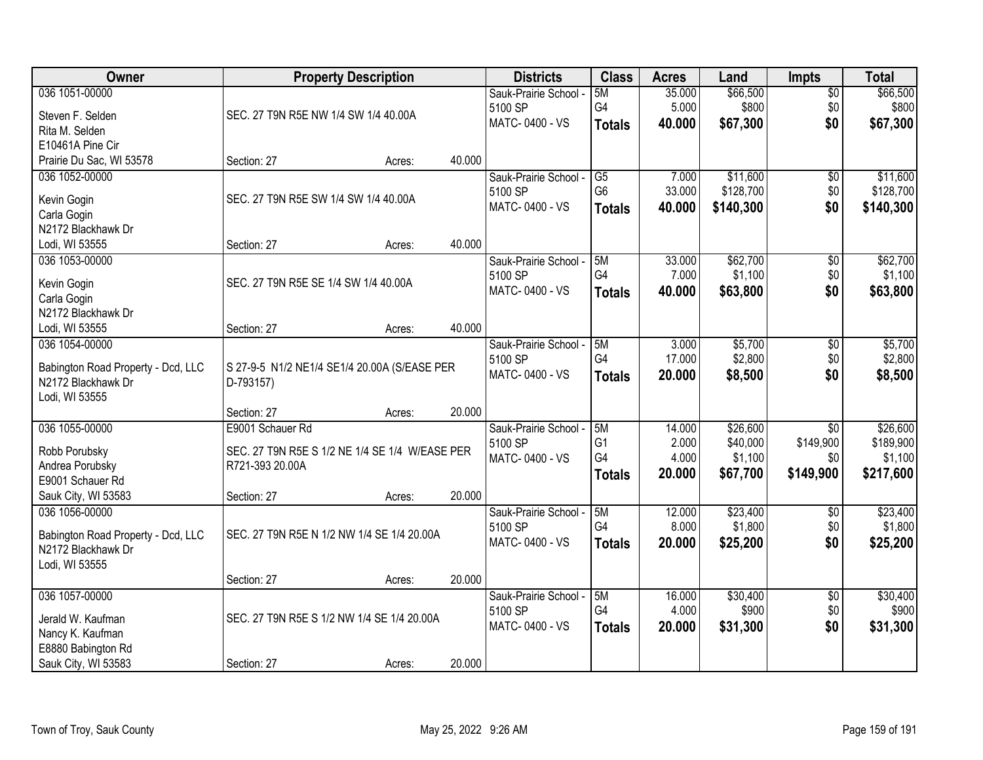| Owner                                                    | <b>Property Description</b>                    |        |        | <b>Districts</b>      | <b>Class</b>         | <b>Acres</b>    | Land                | Impts           | <b>Total</b>         |
|----------------------------------------------------------|------------------------------------------------|--------|--------|-----------------------|----------------------|-----------------|---------------------|-----------------|----------------------|
| 036 1051-00000                                           |                                                |        |        | Sauk-Prairie School - | 5M                   | 35.000          | \$66,500            | $\overline{50}$ | \$66,500             |
| Steven F. Selden                                         | SEC. 27 T9N R5E NW 1/4 SW 1/4 40.00A           |        |        | 5100 SP               | G4                   | 5.000           | \$800               | \$0             | \$800                |
| Rita M. Selden                                           |                                                |        |        | MATC-0400 - VS        | <b>Totals</b>        | 40.000          | \$67,300            | \$0             | \$67,300             |
| E10461A Pine Cir                                         |                                                |        |        |                       |                      |                 |                     |                 |                      |
| Prairie Du Sac, WI 53578                                 | Section: 27                                    | Acres: | 40.000 |                       |                      |                 |                     |                 |                      |
| 036 1052-00000                                           |                                                |        |        | Sauk-Prairie School - | G5                   | 7.000           | \$11,600            | $\overline{50}$ | \$11,600             |
|                                                          |                                                |        |        | 5100 SP               | G <sub>6</sub>       | 33.000          | \$128,700           | \$0             | \$128,700            |
| Kevin Gogin                                              | SEC. 27 T9N R5E SW 1/4 SW 1/4 40.00A           |        |        | MATC-0400 - VS        | <b>Totals</b>        | 40.000          | \$140,300           | \$0             | \$140,300            |
| Carla Gogin                                              |                                                |        |        |                       |                      |                 |                     |                 |                      |
| N2172 Blackhawk Dr                                       |                                                |        |        |                       |                      |                 |                     |                 |                      |
| Lodi, WI 53555                                           | Section: 27                                    | Acres: | 40.000 |                       |                      |                 |                     |                 |                      |
| 036 1053-00000                                           |                                                |        |        | Sauk-Prairie School - | 5M                   | 33.000          | \$62,700            | $\overline{50}$ | \$62,700             |
| Kevin Gogin                                              | SEC. 27 T9N R5E SE 1/4 SW 1/4 40.00A           |        |        | 5100 SP               | G4                   | 7.000           | \$1,100             | \$0             | \$1,100              |
| Carla Gogin                                              |                                                |        |        | MATC-0400 - VS        | <b>Totals</b>        | 40.000          | \$63,800            | \$0             | \$63,800             |
| N2172 Blackhawk Dr                                       |                                                |        |        |                       |                      |                 |                     |                 |                      |
| Lodi, WI 53555                                           | Section: 27                                    | Acres: | 40.000 |                       |                      |                 |                     |                 |                      |
| 036 1054-00000                                           |                                                |        |        | Sauk-Prairie School - | 5M                   | 3.000           | \$5,700             | \$0             | \$5,700              |
|                                                          |                                                |        |        | 5100 SP               | G4                   | 17.000          | \$2,800             | \$0             | \$2,800              |
| Babington Road Property - Dcd, LLC                       | S 27-9-5 N1/2 NE1/4 SE1/4 20.00A (S/EASE PER   |        |        | MATC-0400 - VS        | <b>Totals</b>        | 20.000          | \$8,500             | \$0             | \$8,500              |
| N2172 Blackhawk Dr                                       | D-793157)                                      |        |        |                       |                      |                 |                     |                 |                      |
| Lodi, WI 53555                                           |                                                |        | 20.000 |                       |                      |                 |                     |                 |                      |
|                                                          | Section: 27                                    | Acres: |        |                       |                      |                 |                     |                 |                      |
| 036 1055-00000                                           | E9001 Schauer Rd                               |        |        | Sauk-Prairie School - | 5M<br>G <sub>1</sub> | 14.000<br>2.000 | \$26,600            | $\overline{50}$ | \$26,600             |
| Robb Porubsky                                            | SEC. 27 T9N R5E S 1/2 NE 1/4 SE 1/4 W/EASE PER |        |        | 5100 SP               | G4                   | 4.000           | \$40,000<br>\$1,100 | \$149,900       | \$189,900<br>\$1,100 |
| Andrea Porubsky                                          | R721-393 20.00A                                |        |        | MATC-0400 - VS        |                      |                 |                     | \$0             |                      |
| E9001 Schauer Rd                                         |                                                |        |        |                       | <b>Totals</b>        | 20.000          | \$67,700            | \$149,900       | \$217,600            |
| Sauk City, WI 53583                                      | Section: 27                                    | Acres: | 20.000 |                       |                      |                 |                     |                 |                      |
| 036 1056-00000                                           |                                                |        |        | Sauk-Prairie School - | 5M                   | 12.000          | \$23,400            | $\sqrt{6}$      | \$23,400             |
|                                                          | SEC. 27 T9N R5E N 1/2 NW 1/4 SE 1/4 20.00A     |        |        | 5100 SP               | G4                   | 8.000           | \$1,800             | \$0             | \$1,800              |
| Babington Road Property - Dcd, LLC<br>N2172 Blackhawk Dr |                                                |        |        | MATC-0400 - VS        | <b>Totals</b>        | 20.000          | \$25,200            | \$0             | \$25,200             |
| Lodi, WI 53555                                           |                                                |        |        |                       |                      |                 |                     |                 |                      |
|                                                          | Section: 27                                    | Acres: | 20.000 |                       |                      |                 |                     |                 |                      |
| 036 1057-00000                                           |                                                |        |        | Sauk-Prairie School - | 5M                   | 16.000          | \$30,400            | $\overline{50}$ | \$30,400             |
|                                                          |                                                |        |        | 5100 SP               | G4                   | 4.000           | \$900               | \$0             | \$900                |
| Jerald W. Kaufman                                        | SEC. 27 T9N R5E S 1/2 NW 1/4 SE 1/4 20.00A     |        |        | MATC-0400 - VS        |                      | 20.000          |                     | \$0             |                      |
| Nancy K. Kaufman                                         |                                                |        |        |                       | <b>Totals</b>        |                 | \$31,300            |                 | \$31,300             |
| E8880 Babington Rd                                       |                                                |        |        |                       |                      |                 |                     |                 |                      |
| Sauk City, WI 53583                                      | Section: 27                                    | Acres: | 20.000 |                       |                      |                 |                     |                 |                      |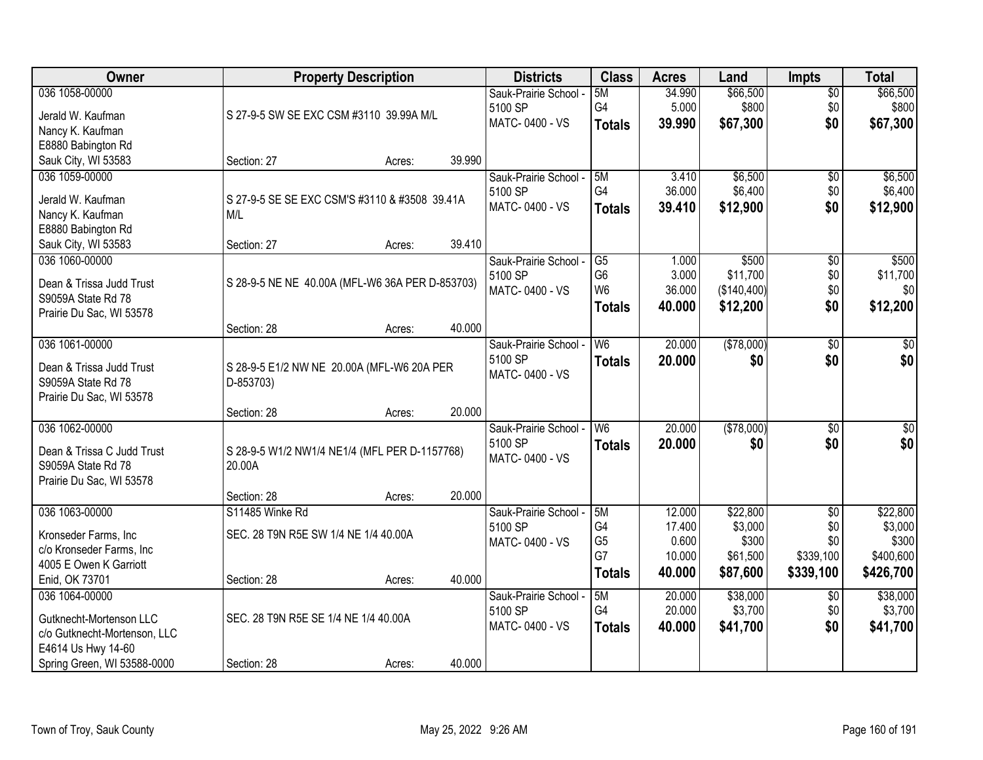| Owner                        |                                                 | <b>Property Description</b> |        | <b>Districts</b>      | <b>Class</b>   | <b>Acres</b> | Land        | <b>Impts</b>    | <b>Total</b> |
|------------------------------|-------------------------------------------------|-----------------------------|--------|-----------------------|----------------|--------------|-------------|-----------------|--------------|
| 036 1058-00000               |                                                 |                             |        | Sauk-Prairie School - | 5M             | 34.990       | \$66,500    | $\sqrt{$0}$     | \$66,500     |
| Jerald W. Kaufman            | S 27-9-5 SW SE EXC CSM #3110 39.99A M/L         |                             |        | 5100 SP               | G4             | 5.000        | \$800       | \$0             | \$800        |
| Nancy K. Kaufman             |                                                 |                             |        | MATC-0400 - VS        | <b>Totals</b>  | 39.990       | \$67,300    | \$0             | \$67,300     |
| E8880 Babington Rd           |                                                 |                             |        |                       |                |              |             |                 |              |
| Sauk City, WI 53583          | Section: 27                                     | Acres:                      | 39.990 |                       |                |              |             |                 |              |
| 036 1059-00000               |                                                 |                             |        | Sauk-Prairie School - | 5M             | 3.410        | \$6,500     | \$0             | \$6,500      |
| Jerald W. Kaufman            | S 27-9-5 SE SE EXC CSM'S #3110 & #3508 39.41A   |                             |        | 5100 SP               | G4             | 36.000       | \$6,400     | \$0             | \$6,400      |
| Nancy K. Kaufman             | M/L                                             |                             |        | MATC-0400 - VS        | <b>Totals</b>  | 39.410       | \$12,900    | \$0             | \$12,900     |
| E8880 Babington Rd           |                                                 |                             |        |                       |                |              |             |                 |              |
| Sauk City, WI 53583          | Section: 27                                     | Acres:                      | 39.410 |                       |                |              |             |                 |              |
| 036 1060-00000               |                                                 |                             |        | Sauk-Prairie School - | G5             | 1.000        | \$500       | \$0             | \$500        |
| Dean & Trissa Judd Trust     | S 28-9-5 NE NE 40.00A (MFL-W6 36A PER D-853703) |                             |        | 5100 SP               | G <sub>6</sub> | 3.000        | \$11,700    | \$0             | \$11,700     |
| S9059A State Rd 78           |                                                 |                             |        | MATC-0400 - VS        | W <sub>6</sub> | 36.000       | (\$140,400) | \$0             | \$0          |
| Prairie Du Sac, WI 53578     |                                                 |                             |        |                       | <b>Totals</b>  | 40.000       | \$12,200    | \$0             | \$12,200     |
|                              | Section: 28                                     | Acres:                      | 40.000 |                       |                |              |             |                 |              |
| 036 1061-00000               |                                                 |                             |        | Sauk-Prairie School - | W <sub>6</sub> | 20.000       | (\$78,000)  | $\frac{1}{20}$  | \$0          |
| Dean & Trissa Judd Trust     | S 28-9-5 E1/2 NW NE 20.00A (MFL-W6 20A PER      |                             |        | 5100 SP               | <b>Totals</b>  | 20.000       | \$0         | \$0             | \$0          |
| S9059A State Rd 78           | D-853703)                                       |                             |        | MATC-0400 - VS        |                |              |             |                 |              |
| Prairie Du Sac, WI 53578     |                                                 |                             |        |                       |                |              |             |                 |              |
|                              | Section: 28                                     | Acres:                      | 20.000 |                       |                |              |             |                 |              |
| 036 1062-00000               |                                                 |                             |        | Sauk-Prairie School - | W <sub>6</sub> | 20.000       | (\$78,000)  | $\overline{50}$ | $\sqrt{50}$  |
| Dean & Trissa C Judd Trust   | S 28-9-5 W1/2 NW1/4 NE1/4 (MFL PER D-1157768)   |                             |        | 5100 SP               | Totals         | 20,000       | \$0         | \$0             | \$0          |
| S9059A State Rd 78           | 20.00A                                          |                             |        | MATC-0400 - VS        |                |              |             |                 |              |
| Prairie Du Sac, WI 53578     |                                                 |                             |        |                       |                |              |             |                 |              |
|                              | Section: 28                                     | Acres:                      | 20.000 |                       |                |              |             |                 |              |
| 036 1063-00000               | S11485 Winke Rd                                 |                             |        | Sauk-Prairie School - | 5M             | 12.000       | \$22,800    | $\overline{50}$ | \$22,800     |
| Kronseder Farms, Inc         | SEC. 28 T9N R5E SW 1/4 NE 1/4 40.00A            |                             |        | 5100 SP               | G4             | 17.400       | \$3,000     | \$0             | \$3,000      |
| c/o Kronseder Farms, Inc     |                                                 |                             |        | MATC-0400 - VS        | G <sub>5</sub> | 0.600        | \$300       | \$0             | \$300        |
| 4005 E Owen K Garriott       |                                                 |                             |        |                       | G7             | 10.000       | \$61,500    | \$339,100       | \$400,600    |
| Enid, OK 73701               | Section: 28                                     | Acres:                      | 40.000 |                       | <b>Totals</b>  | 40.000       | \$87,600    | \$339,100       | \$426,700    |
| 036 1064-00000               |                                                 |                             |        | Sauk-Prairie School - | 5M             | 20.000       | \$38,000    | $\overline{50}$ | \$38,000     |
| Gutknecht-Mortenson LLC      | SEC. 28 T9N R5E SE 1/4 NE 1/4 40.00A            |                             |        | 5100 SP               | G4             | 20.000       | \$3,700     | \$0             | \$3,700      |
| c/o Gutknecht-Mortenson, LLC |                                                 |                             |        | MATC-0400 - VS        | <b>Totals</b>  | 40.000       | \$41,700    | \$0             | \$41,700     |
| E4614 Us Hwy 14-60           |                                                 |                             |        |                       |                |              |             |                 |              |
| Spring Green, WI 53588-0000  | Section: 28                                     | Acres:                      | 40.000 |                       |                |              |             |                 |              |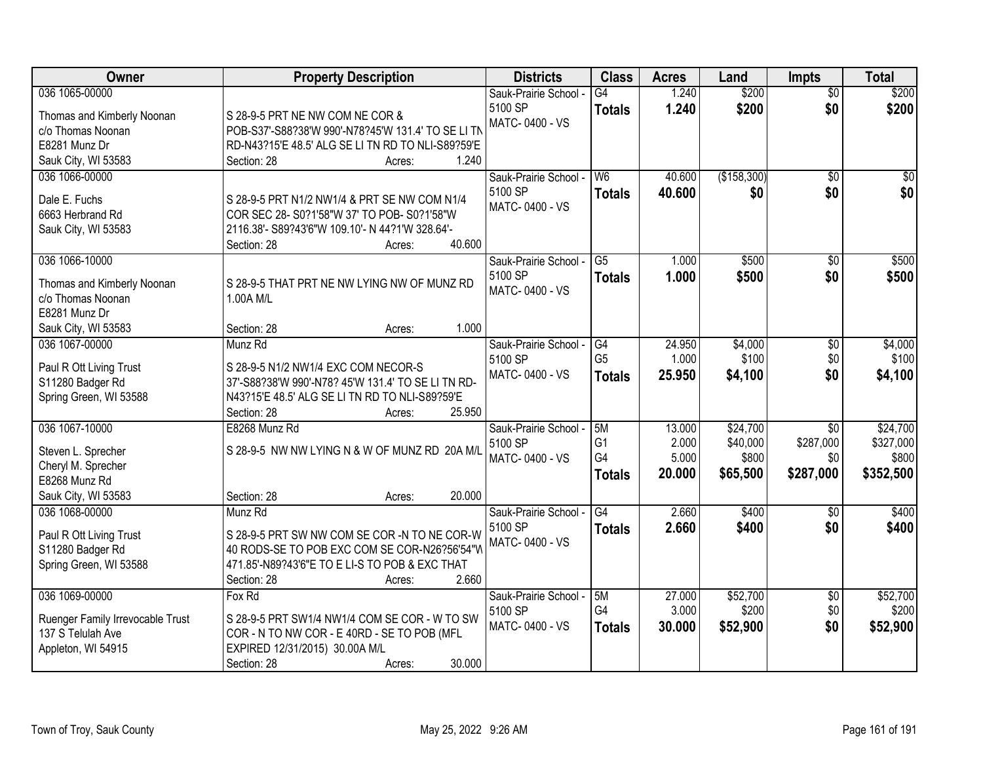| Owner                                       | <b>Property Description</b>                        | <b>Districts</b>      | <b>Class</b>           | <b>Acres</b> | Land        | Impts           | <b>Total</b> |
|---------------------------------------------|----------------------------------------------------|-----------------------|------------------------|--------------|-------------|-----------------|--------------|
| 036 1065-00000                              |                                                    | Sauk-Prairie School - | $\overline{G4}$        | 1.240        | \$200       | $\overline{50}$ | \$200        |
| Thomas and Kimberly Noonan                  | S 28-9-5 PRT NE NW COM NE COR &                    | 5100 SP               | <b>Totals</b>          | 1.240        | \$200       | \$0             | \$200        |
| c/o Thomas Noonan                           | POB-S37'-S88?38'W 990'-N78?45'W 131.4' TO SE LI TN | MATC-0400 - VS        |                        |              |             |                 |              |
| E8281 Munz Dr                               | RD-N43?15'E 48.5' ALG SE LI TN RD TO NLI-S89?59'E  |                       |                        |              |             |                 |              |
| Sauk City, WI 53583                         | 1.240<br>Section: 28<br>Acres:                     |                       |                        |              |             |                 |              |
| 036 1066-00000                              |                                                    | Sauk-Prairie School - | W6                     | 40.600       | (\$158,300) | $\overline{50}$ | \$0          |
|                                             |                                                    | 5100 SP               | <b>Totals</b>          | 40.600       | \$0         | \$0             | \$0          |
| Dale E. Fuchs                               | S 28-9-5 PRT N1/2 NW1/4 & PRT SE NW COM N1/4       | MATC-0400 - VS        |                        |              |             |                 |              |
| 6663 Herbrand Rd                            | COR SEC 28- S0?1'58"W 37' TO POB- S0?1'58"W        |                       |                        |              |             |                 |              |
| Sauk City, WI 53583                         | 2116.38'- S89?43'6"W 109.10'- N 44?1'W 328.64'-    |                       |                        |              |             |                 |              |
|                                             | 40.600<br>Section: 28<br>Acres:                    |                       |                        |              |             |                 |              |
| 036 1066-10000                              |                                                    | Sauk-Prairie School - | $\overline{\text{G5}}$ | 1.000        | \$500       | $\sqrt[6]{}$    | \$500        |
| Thomas and Kimberly Noonan                  | S 28-9-5 THAT PRT NE NW LYING NW OF MUNZ RD        | 5100 SP               | <b>Totals</b>          | 1.000        | \$500       | \$0             | \$500        |
| c/o Thomas Noonan                           | 1.00A M/L                                          | MATC-0400 - VS        |                        |              |             |                 |              |
| E8281 Munz Dr                               |                                                    |                       |                        |              |             |                 |              |
| Sauk City, WI 53583                         | 1.000<br>Section: 28<br>Acres:                     |                       |                        |              |             |                 |              |
| 036 1067-00000                              | Munz Rd                                            | Sauk-Prairie School - | G4                     | 24.950       | \$4,000     | \$0             | \$4,000      |
|                                             | S 28-9-5 N1/2 NW1/4 EXC COM NECOR-S                | 5100 SP               | G <sub>5</sub>         | 1.000        | \$100       | \$0             | \$100        |
| Paul R Ott Living Trust<br>S11280 Badger Rd | 37'-S88?38'W 990'-N78? 45'W 131.4' TO SE LI TN RD- | MATC-0400 - VS        | <b>Totals</b>          | 25.950       | \$4,100     | \$0             | \$4,100      |
| Spring Green, WI 53588                      | N43?15'E 48.5' ALG SE LI TN RD TO NLI-S89?59'E     |                       |                        |              |             |                 |              |
|                                             | 25.950<br>Section: 28<br>Acres:                    |                       |                        |              |             |                 |              |
| 036 1067-10000                              | E8268 Munz Rd                                      | Sauk-Prairie School - | 5M                     | 13.000       | \$24,700    | $\overline{30}$ | \$24,700     |
|                                             |                                                    | 5100 SP               | G <sub>1</sub>         | 2.000        | \$40,000    | \$287,000       | \$327,000    |
| Steven L. Sprecher                          | S 28-9-5 NW NW LYING N & W OF MUNZ RD 20A M/L      | MATC-0400 - VS        | G4                     | 5.000        | \$800       | \$0             | \$800        |
| Cheryl M. Sprecher                          |                                                    |                       | <b>Totals</b>          | 20.000       | \$65,500    | \$287,000       | \$352,500    |
| E8268 Munz Rd                               |                                                    |                       |                        |              |             |                 |              |
| Sauk City, WI 53583                         | 20.000<br>Section: 28<br>Acres:                    |                       |                        |              |             |                 |              |
| 036 1068-00000                              | Munz Rd                                            | Sauk-Prairie School - | G4                     | 2.660        | \$400       | \$0             | \$400        |
| Paul R Ott Living Trust                     | S 28-9-5 PRT SW NW COM SE COR -N TO NE COR-W       | 5100 SP               | <b>Totals</b>          | 2.660        | \$400       | \$0             | \$400        |
| S11280 Badger Rd                            | 40 RODS-SE TO POB EXC COM SE COR-N26?56'54"W       | MATC-0400 - VS        |                        |              |             |                 |              |
| Spring Green, WI 53588                      | 471.85'-N89?43'6"E TO E LI-S TO POB & EXC THAT     |                       |                        |              |             |                 |              |
|                                             | 2.660<br>Section: 28<br>Acres:                     |                       |                        |              |             |                 |              |
| 036 1069-00000                              | Fox Rd                                             | Sauk-Prairie School - | 5M                     | 27.000       | \$52,700    | $\overline{50}$ | \$52,700     |
|                                             |                                                    | 5100 SP               | G4                     | 3.000        | \$200       | \$0             | \$200        |
| Ruenger Family Irrevocable Trust            | S 28-9-5 PRT SW1/4 NW1/4 COM SE COR - W TO SW      | MATC-0400 - VS        | <b>Totals</b>          | 30.000       | \$52,900    | \$0             | \$52,900     |
| 137 S Telulah Ave                           | COR - N TO NW COR - E 40RD - SE TO POB (MFL        |                       |                        |              |             |                 |              |
| Appleton, WI 54915                          | EXPIRED 12/31/2015) 30.00A M/L                     |                       |                        |              |             |                 |              |
|                                             | 30.000<br>Section: 28<br>Acres:                    |                       |                        |              |             |                 |              |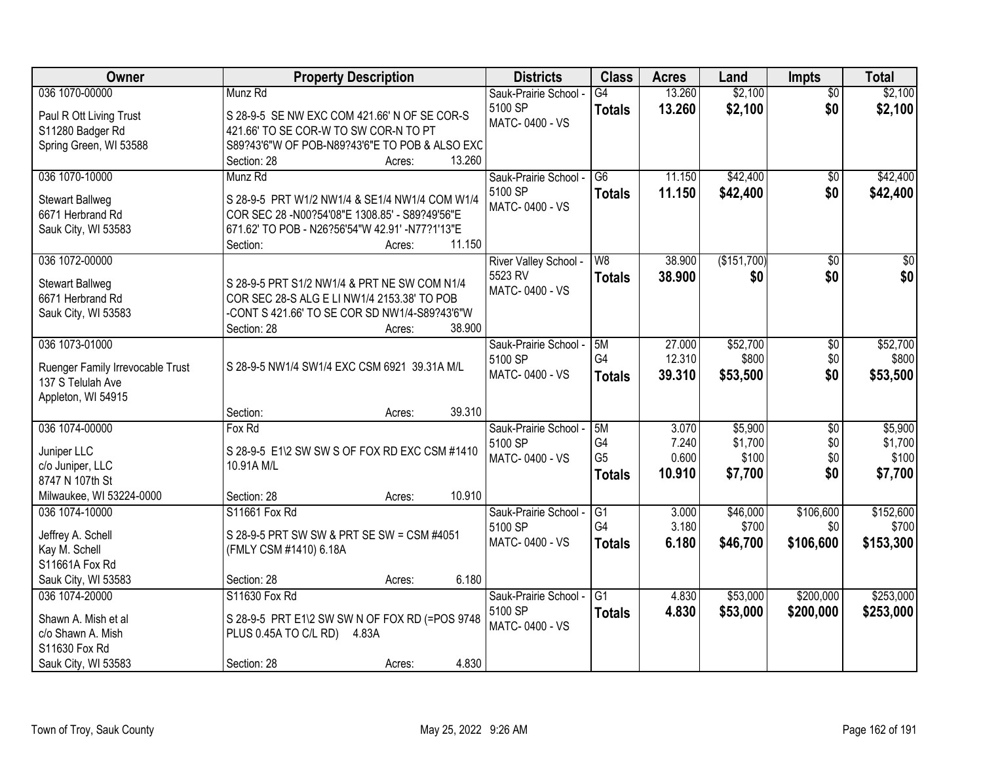| Owner                                                 | <b>Property Description</b>                     |        | <b>Districts</b>                 | <b>Class</b>    | <b>Acres</b> | Land        | <b>Impts</b>    | <b>Total</b>     |
|-------------------------------------------------------|-------------------------------------------------|--------|----------------------------------|-----------------|--------------|-------------|-----------------|------------------|
| 036 1070-00000                                        | Munz Rd                                         |        | Sauk-Prairie School -            | $\overline{G4}$ | 13.260       | \$2,100     | $\overline{50}$ | \$2,100          |
| Paul R Ott Living Trust                               | S 28-9-5 SE NW EXC COM 421.66' N OF SE COR-S    |        | 5100 SP                          | <b>Totals</b>   | 13.260       | \$2,100     | \$0             | \$2,100          |
| S11280 Badger Rd                                      | 421.66' TO SE COR-W TO SW COR-N TO PT           |        | MATC-0400 - VS                   |                 |              |             |                 |                  |
| Spring Green, WI 53588                                | S89?43'6"W OF POB-N89?43'6"E TO POB & ALSO EXC  |        |                                  |                 |              |             |                 |                  |
|                                                       | Section: 28<br>Acres:                           | 13.260 |                                  |                 |              |             |                 |                  |
| 036 1070-10000                                        | Munz Rd                                         |        | Sauk-Prairie School -            | $\overline{G6}$ | 11.150       | \$42,400    | $\overline{30}$ | \$42,400         |
| <b>Stewart Ballweg</b>                                | S 28-9-5 PRT W1/2 NW1/4 & SE1/4 NW1/4 COM W1/4  |        | 5100 SP                          | Totals          | 11.150       | \$42,400    | \$0             | \$42,400         |
| 6671 Herbrand Rd                                      | COR SEC 28 -N00?54'08"E 1308.85' - S89?49'56"E  |        | MATC-0400 - VS                   |                 |              |             |                 |                  |
| Sauk City, WI 53583                                   | 671.62' TO POB - N26?56'54"W 42.91' -N77?1'13"E |        |                                  |                 |              |             |                 |                  |
|                                                       | Section:<br>Acres:                              | 11.150 |                                  |                 |              |             |                 |                  |
| 036 1072-00000                                        |                                                 |        | River Valley School -            | W <sub>8</sub>  | 38.900       | (\$151,700) | \$0             | $\overline{\$0}$ |
| <b>Stewart Ballweg</b>                                | S 28-9-5 PRT S1/2 NW1/4 & PRT NE SW COM N1/4    |        | 5523 RV                          | <b>Totals</b>   | 38.900       | \$0         | \$0             | \$0              |
| 6671 Herbrand Rd                                      | COR SEC 28-S ALG E LI NW1/4 2153.38' TO POB     |        | MATC-0400 - VS                   |                 |              |             |                 |                  |
| Sauk City, WI 53583                                   | -CONT S 421.66' TO SE COR SD NW1/4-S89?43'6"W   |        |                                  |                 |              |             |                 |                  |
|                                                       | Section: 28<br>Acres:                           | 38.900 |                                  |                 |              |             |                 |                  |
| 036 1073-01000                                        |                                                 |        | Sauk-Prairie School -            | 5M              | 27.000       | \$52,700    | \$0             | \$52,700         |
|                                                       | S 28-9-5 NW1/4 SW1/4 EXC CSM 6921 39.31A M/L    |        | 5100 SP                          | G4              | 12.310       | \$800       | \$0             | \$800            |
| Ruenger Family Irrevocable Trust<br>137 S Telulah Ave |                                                 |        | MATC-0400 - VS                   | <b>Totals</b>   | 39.310       | \$53,500    | \$0             | \$53,500         |
| Appleton, WI 54915                                    |                                                 |        |                                  |                 |              |             |                 |                  |
|                                                       | Section:<br>Acres:                              | 39.310 |                                  |                 |              |             |                 |                  |
| 036 1074-00000                                        | Fox Rd                                          |        | Sauk-Prairie School -            | 5M              | 3.070        | \$5,900     | \$0             | \$5,900          |
|                                                       |                                                 |        | 5100 SP                          | G <sub>4</sub>  | 7.240        | \$1,700     | \$0             | \$1,700          |
| Juniper LLC                                           | S 28-9-5 E1\2 SW SW S OF FOX RD EXC CSM #1410   |        | MATC-0400 - VS                   | G <sub>5</sub>  | 0.600        | \$100       | \$0             | \$100            |
| c/o Juniper, LLC<br>8747 N 107th St                   | 10.91A M/L                                      |        |                                  | <b>Totals</b>   | 10.910       | \$7,700     | \$0             | \$7,700          |
| Milwaukee, WI 53224-0000                              | Section: 28<br>Acres:                           | 10.910 |                                  |                 |              |             |                 |                  |
| 036 1074-10000                                        | S11661 Fox Rd                                   |        | Sauk-Prairie School -            | G1              | 3.000        | \$46,000    | \$106,600       | \$152,600        |
|                                                       |                                                 |        | 5100 SP                          | G4              | 3.180        | \$700       | \$0             | \$700            |
| Jeffrey A. Schell                                     | S 28-9-5 PRT SW SW & PRT SE SW = CSM #4051      |        | MATC-0400 - VS                   | <b>Totals</b>   | 6.180        | \$46,700    | \$106,600       | \$153,300        |
| Kay M. Schell                                         | (FMLY CSM #1410) 6.18A                          |        |                                  |                 |              |             |                 |                  |
| S11661A Fox Rd                                        |                                                 |        |                                  |                 |              |             |                 |                  |
| Sauk City, WI 53583                                   | Section: 28<br>Acres:                           | 6.180  |                                  |                 |              |             |                 |                  |
| 036 1074-20000                                        | S11630 Fox Rd                                   |        | Sauk-Prairie School -<br>5100 SP | $\overline{G1}$ | 4.830        | \$53,000    | \$200,000       | \$253,000        |
| Shawn A. Mish et al                                   | S 28-9-5 PRT E1\2 SW SW N OF FOX RD (=POS 9748  |        | MATC-0400 - VS                   | <b>Totals</b>   | 4.830        | \$53,000    | \$200,000       | \$253,000        |
| c/o Shawn A. Mish                                     | PLUS 0.45A TO C/L RD) 4.83A                     |        |                                  |                 |              |             |                 |                  |
| S11630 Fox Rd                                         |                                                 |        |                                  |                 |              |             |                 |                  |
| Sauk City, WI 53583                                   | Section: 28<br>Acres:                           | 4.830  |                                  |                 |              |             |                 |                  |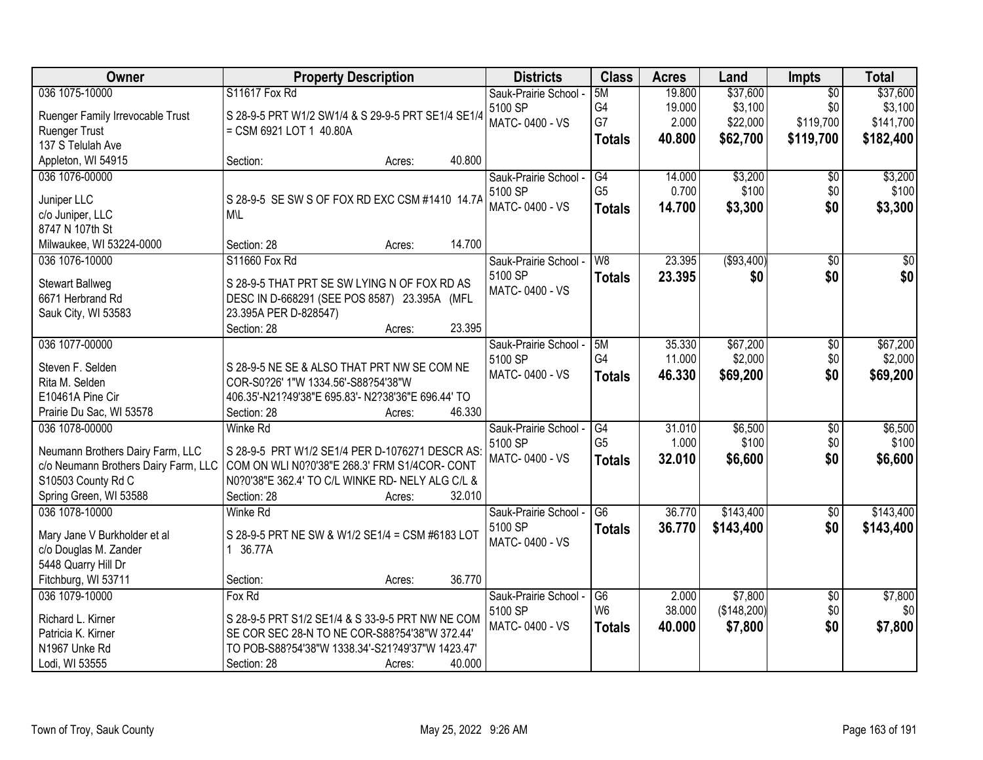| Owner<br><b>Districts</b><br><b>Class</b><br><b>Property Description</b><br><b>Acres</b><br>Impts<br>Land                                            | <b>Total</b>    |
|------------------------------------------------------------------------------------------------------------------------------------------------------|-----------------|
| 036 1075-10000<br>\$37,600<br>S11617 Fox Rd<br>19.800<br>5M<br>$\overline{50}$<br>Sauk-Prairie School -                                              | \$37,600        |
| G4<br>19.000<br>\$3,100<br>\$0<br>5100 SP<br>Ruenger Family Irrevocable Trust<br>S 28-9-5 PRT W1/2 SW1/4 & S 29-9-5 PRT SE1/4 SE1/4                  | \$3,100         |
| G7<br>\$119,700<br>2.000<br>\$22,000<br>MATC-0400 - VS<br>Ruenger Trust<br>= CSM 6921 LOT 1 40.80A                                                   | \$141,700       |
| 40.800<br>\$62,700<br>\$119,700<br><b>Totals</b><br>137 S Telulah Ave                                                                                | \$182,400       |
| 40.800<br>Appleton, WI 54915<br>Section:<br>Acres:                                                                                                   |                 |
| \$3,200<br>036 1076-00000<br>Sauk-Prairie School -<br>G4<br>14.000<br>\$0                                                                            | \$3,200         |
| G <sub>5</sub><br>0.700<br>\$100<br>\$0<br>5100 SP                                                                                                   | \$100           |
| Juniper LLC<br>S 28-9-5 SE SW S OF FOX RD EXC CSM #1410 14.7A<br>MATC-0400 - VS<br>\$0<br>14.700<br>\$3,300<br><b>Totals</b>                         | \$3,300         |
| c/o Juniper, LLC<br>M\L                                                                                                                              |                 |
| 8747 N 107th St                                                                                                                                      |                 |
| 14.700<br>Milwaukee, WI 53224-0000<br>Section: 28<br>Acres:                                                                                          |                 |
| ( \$93,400)<br>S11660 Fox Rd<br>W8<br>23.395<br>$\overline{50}$<br>036 1076-10000<br>Sauk-Prairie School -                                           | $\overline{50}$ |
| 5100 SP<br>23.395<br>\$0<br>\$0<br><b>Totals</b><br>S 28-9-5 THAT PRT SE SW LYING N OF FOX RD AS<br><b>Stewart Ballweg</b>                           | \$0             |
| MATC-0400 - VS<br>6671 Herbrand Rd<br>DESC IN D-668291 (SEE POS 8587) 23.395A (MFL                                                                   |                 |
| Sauk City, WI 53583<br>23.395A PER D-828547)                                                                                                         |                 |
| 23.395<br>Section: 28<br>Acres:                                                                                                                      |                 |
| 036 1077-00000<br>35.330<br>\$67,200<br>$\overline{50}$<br>5M<br>Sauk-Prairie School -                                                               | \$67,200        |
| G4<br>\$2,000<br>\$0<br>11.000<br>5100 SP                                                                                                            | \$2,000         |
| Steven F. Selden<br>S 28-9-5 NE SE & ALSO THAT PRT NW SE COM NE<br>MATC-0400 - VS<br>\$0<br>46.330<br>\$69,200<br><b>Totals</b>                      | \$69,200        |
| Rita M. Selden<br>COR-S0?26' 1"W 1334.56'-S88?54'38"W                                                                                                |                 |
| E10461A Pine Cir<br>406.35'-N21?49'38"E 695.83'- N2?38'36"E 696.44' TO                                                                               |                 |
| Prairie Du Sac, WI 53578<br>Section: 28<br>46.330<br>Acres:                                                                                          |                 |
| $\overline{G4}$<br>31.010<br>\$6,500<br>$\overline{50}$<br>036 1078-00000<br><b>Winke Rd</b><br>Sauk-Prairie School -                                | \$6,500         |
| G <sub>5</sub><br>\$100<br>\$0<br>1.000<br>5100 SP<br>Neumann Brothers Dairy Farm, LLC<br>S 28-9-5 PRT W1/2 SE1/4 PER D-1076271 DESCR AS:            | \$100           |
| \$0<br>MATC-0400 - VS<br>32.010<br>\$6,600<br><b>Totals</b><br>c/o Neumann Brothers Dairy Farm, LLC<br>COM ON WLI N0?0'38"E 268.3' FRM S1/4COR- CONT | \$6,600         |
| S10503 County Rd C<br>N0?0'38"E 362.4' TO C/L WINKE RD- NELY ALG C/L &                                                                               |                 |
| Spring Green, WI 53588<br>32.010<br>Section: 28<br>Acres:                                                                                            |                 |
| $\overline{G6}$<br>\$143,400<br>036 1078-10000<br>36.770<br>$\overline{60}$<br><b>Winke Rd</b><br>Sauk-Prairie School -                              | \$143,400       |
| 5100 SP<br>36.770<br>\$143,400<br>\$0<br><b>Totals</b>                                                                                               | \$143,400       |
| S 28-9-5 PRT NE SW & W1/2 SE1/4 = CSM #6183 LOT<br>Mary Jane V Burkholder et al<br>MATC-0400 - VS                                                    |                 |
| 1 36.77A<br>c/o Douglas M. Zander                                                                                                                    |                 |
| 5448 Quarry Hill Dr                                                                                                                                  |                 |
| Fitchburg, WI 53711<br>36.770<br>Section:<br>Acres:                                                                                                  |                 |
| 036 1079-10000<br>\$7,800<br>Fox Rd<br>Sauk-Prairie School -<br>$\overline{G6}$<br>2.000<br>$\overline{50}$                                          | \$7,800         |
| W <sub>6</sub><br>(\$148,200)<br>\$0<br>38.000<br>5100 SP<br>Richard L. Kirner<br>S 28-9-5 PRT S1/2 SE1/4 & S 33-9-5 PRT NW NE COM                   | \$0             |
| MATC-0400 - VS<br>\$0<br>40.000<br>\$7,800<br><b>Totals</b><br>Patricia K. Kirner<br>SE COR SEC 28-N TO NE COR-S88?54'38"W 372.44'                   | \$7,800         |
| TO POB-S88?54'38"W 1338.34'-S21?49'37"W 1423.47'<br>N1967 Unke Rd                                                                                    |                 |
| Lodi, WI 53555<br>Section: 28<br>40.000<br>Acres:                                                                                                    |                 |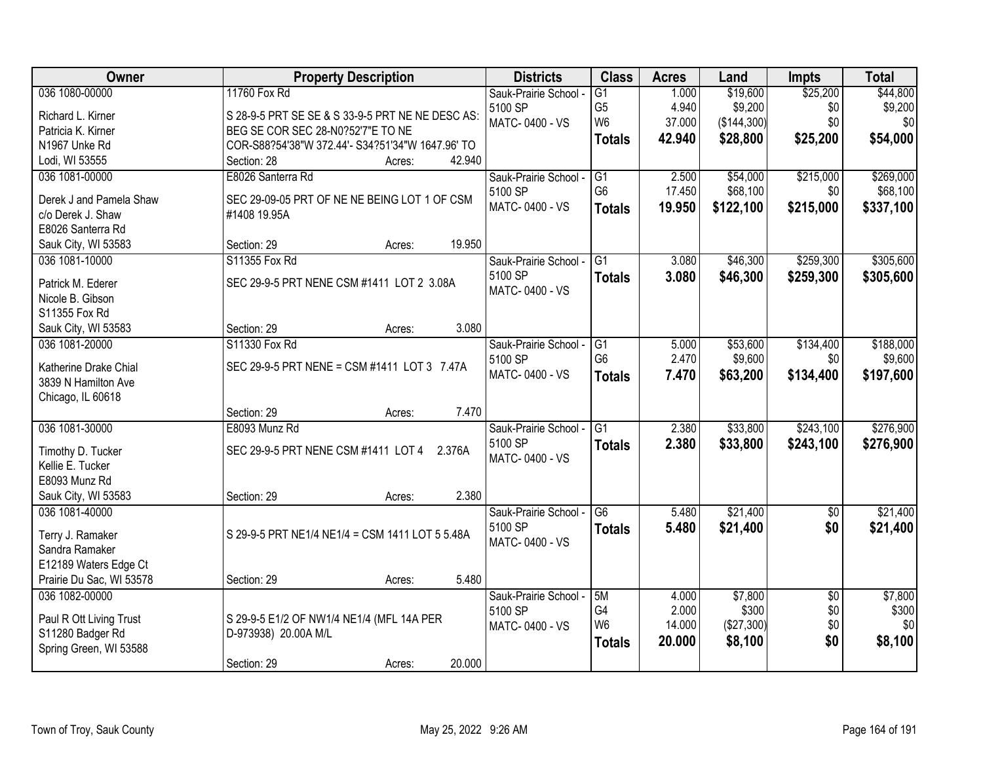| <b>Owner</b>             | <b>Property Description</b>                      | <b>Districts</b>                 | <b>Class</b>    | <b>Acres</b> | Land        | <b>Impts</b>    | <b>Total</b> |
|--------------------------|--------------------------------------------------|----------------------------------|-----------------|--------------|-------------|-----------------|--------------|
| 036 1080-00000           | 11760 Fox Rd                                     | Sauk-Prairie School -            | $\overline{G1}$ | 1.000        | \$19,600    | \$25,200        | \$44,800     |
| Richard L. Kirner        | S 28-9-5 PRT SE SE & S 33-9-5 PRT NE NE DESC AS: | 5100 SP                          | G <sub>5</sub>  | 4.940        | \$9,200     | \$0             | \$9,200      |
| Patricia K. Kirner       | BEG SE COR SEC 28-N0?52'7"E TO NE                | MATC-0400 - VS                   | W <sub>6</sub>  | 37.000       | (\$144,300) | \$0             | \$0          |
| N1967 Unke Rd            | COR-S88?54'38"W 372.44'- S34?51'34"W 1647.96' TO |                                  | <b>Totals</b>   | 42.940       | \$28,800    | \$25,200        | \$54,000     |
| Lodi, WI 53555           | 42.940<br>Section: 28<br>Acres:                  |                                  |                 |              |             |                 |              |
| 036 1081-00000           | E8026 Santerra Rd                                | Sauk-Prairie School -            | G1              | 2.500        | \$54,000    | \$215,000       | \$269,000    |
|                          |                                                  | 5100 SP                          | G <sub>6</sub>  | 17.450       | \$68,100    | \$0             | \$68,100     |
| Derek J and Pamela Shaw  | SEC 29-09-05 PRT OF NE NE BEING LOT 1 OF CSM     | MATC-0400 - VS                   | <b>Totals</b>   | 19.950       | \$122,100   | \$215,000       | \$337,100    |
| c/o Derek J. Shaw        | #1408 19.95A                                     |                                  |                 |              |             |                 |              |
| E8026 Santerra Rd        | 19.950                                           |                                  |                 |              |             |                 |              |
| Sauk City, WI 53583      | Section: 29<br>Acres:                            |                                  |                 |              |             |                 |              |
| 036 1081-10000           | S11355 Fox Rd                                    | Sauk-Prairie School -            | $\overline{G1}$ | 3.080        | \$46,300    | \$259,300       | \$305,600    |
| Patrick M. Ederer        | SEC 29-9-5 PRT NENE CSM #1411 LOT 2 3.08A        | 5100 SP                          | <b>Totals</b>   | 3.080        | \$46,300    | \$259,300       | \$305,600    |
| Nicole B. Gibson         |                                                  | MATC-0400 - VS                   |                 |              |             |                 |              |
| S11355 Fox Rd            |                                                  |                                  |                 |              |             |                 |              |
| Sauk City, WI 53583      | 3.080<br>Section: 29<br>Acres:                   |                                  |                 |              |             |                 |              |
| 036 1081-20000           | S11330 Fox Rd                                    | Sauk-Prairie School -            | G1              | 5.000        | \$53,600    | \$134,400       | \$188,000    |
|                          |                                                  | 5100 SP                          | G <sub>6</sub>  | 2.470        | \$9,600     | \$0             | \$9,600      |
| Katherine Drake Chial    | SEC 29-9-5 PRT NENE = CSM #1411 LOT 3 7.47A      | MATC-0400 - VS                   | <b>Totals</b>   | 7.470        | \$63,200    | \$134,400       | \$197,600    |
| 3839 N Hamilton Ave      |                                                  |                                  |                 |              |             |                 |              |
| Chicago, IL 60618        | 7.470<br>Section: 29                             |                                  |                 |              |             |                 |              |
| 036 1081-30000           | Acres:<br>E8093 Munz Rd                          |                                  | $\overline{G1}$ | 2.380        |             |                 | \$276,900    |
|                          |                                                  | Sauk-Prairie School -<br>5100 SP |                 |              | \$33,800    | \$243,100       |              |
| Timothy D. Tucker        | SEC 29-9-5 PRT NENE CSM #1411 LOT 4 2.376A       | MATC-0400 - VS                   | <b>Totals</b>   | 2.380        | \$33,800    | \$243,100       | \$276,900    |
| Kellie E. Tucker         |                                                  |                                  |                 |              |             |                 |              |
| E8093 Munz Rd            |                                                  |                                  |                 |              |             |                 |              |
| Sauk City, WI 53583      | 2.380<br>Section: 29<br>Acres:                   |                                  |                 |              |             |                 |              |
| 036 1081-40000           |                                                  | Sauk-Prairie School -            | G <sub>6</sub>  | 5.480        | \$21,400    | $\overline{60}$ | \$21,400     |
| Terry J. Ramaker         | S 29-9-5 PRT NE1/4 NE1/4 = CSM 1411 LOT 5 5.48A  | 5100 SP                          | <b>Totals</b>   | 5.480        | \$21,400    | \$0             | \$21,400     |
| Sandra Ramaker           |                                                  | MATC-0400 - VS                   |                 |              |             |                 |              |
| E12189 Waters Edge Ct    |                                                  |                                  |                 |              |             |                 |              |
| Prairie Du Sac, WI 53578 | 5.480<br>Section: 29<br>Acres:                   |                                  |                 |              |             |                 |              |
| 036 1082-00000           |                                                  | Sauk-Prairie School -            | 5M              | 4.000        | \$7,800     | $\overline{30}$ | \$7,800      |
|                          |                                                  | 5100 SP                          | G4              | 2.000        | \$300       | \$0             | \$300        |
| Paul R Ott Living Trust  | S 29-9-5 E1/2 OF NW1/4 NE1/4 (MFL 14A PER        | MATC-0400 - VS                   | W <sub>6</sub>  | 14.000       | (\$27,300)  | \$0             | \$0          |
| S11280 Badger Rd         | D-973938) 20.00A M/L                             |                                  | <b>Totals</b>   | 20.000       | \$8,100     | \$0             | \$8,100      |
| Spring Green, WI 53588   |                                                  |                                  |                 |              |             |                 |              |
|                          | 20.000<br>Section: 29<br>Acres:                  |                                  |                 |              |             |                 |              |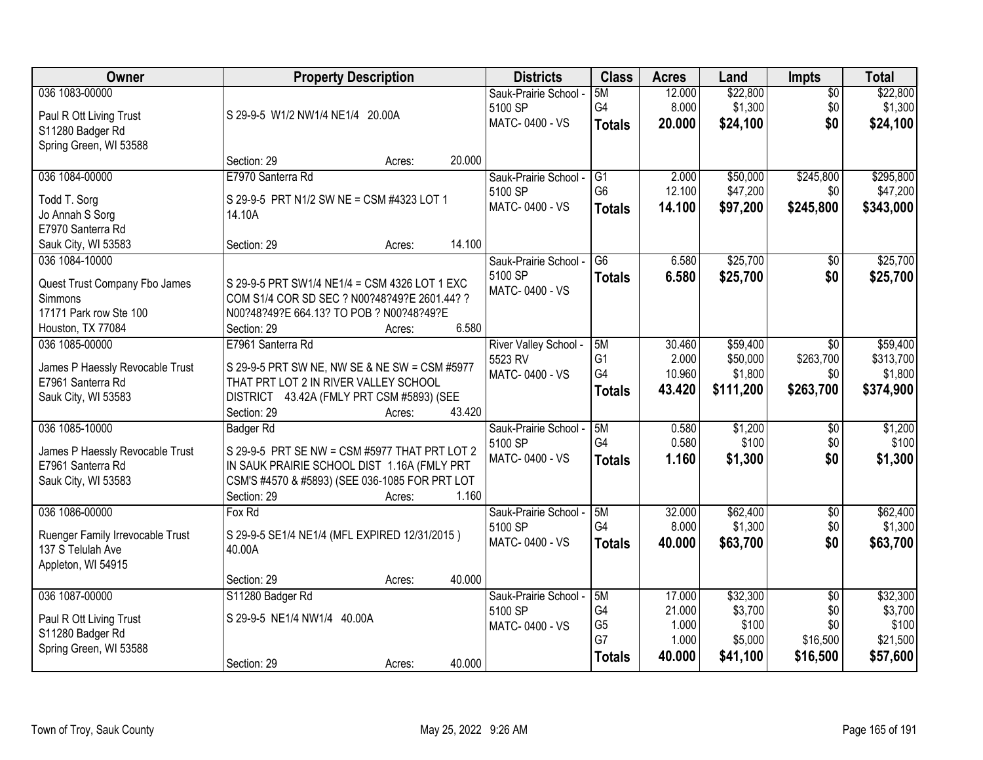| <b>Owner</b>                     | <b>Property Description</b>                    | <b>Districts</b>      | <b>Class</b>    | <b>Acres</b> | Land      | <b>Impts</b>    | <b>Total</b> |
|----------------------------------|------------------------------------------------|-----------------------|-----------------|--------------|-----------|-----------------|--------------|
| 036 1083-00000                   |                                                | Sauk-Prairie School - | 5M              | 12.000       | \$22,800  | $\overline{30}$ | \$22,800     |
| Paul R Ott Living Trust          | S 29-9-5 W1/2 NW1/4 NE1/4 20.00A               | 5100 SP               | G4              | 8.000        | \$1,300   | \$0             | \$1,300      |
| S11280 Badger Rd                 |                                                | MATC-0400 - VS        | <b>Totals</b>   | 20.000       | \$24,100  | \$0             | \$24,100     |
| Spring Green, WI 53588           |                                                |                       |                 |              |           |                 |              |
|                                  | Section: 29<br>20.000<br>Acres:                |                       |                 |              |           |                 |              |
| 036 1084-00000                   | E7970 Santerra Rd                              | Sauk-Prairie School - | $\overline{G1}$ | 2.000        | \$50,000  | \$245,800       | \$295,800    |
| Todd T. Sorg                     | S 29-9-5 PRT N1/2 SW NE = CSM #4323 LOT 1      | 5100 SP               | G <sub>6</sub>  | 12.100       | \$47,200  | \$0             | \$47,200     |
| Jo Annah S Sorg                  | 14.10A                                         | MATC-0400 - VS        | <b>Totals</b>   | 14.100       | \$97,200  | \$245,800       | \$343,000    |
| E7970 Santerra Rd                |                                                |                       |                 |              |           |                 |              |
| Sauk City, WI 53583              | 14.100<br>Section: 29<br>Acres:                |                       |                 |              |           |                 |              |
| 036 1084-10000                   |                                                | Sauk-Prairie School - | G6              | 6.580        | \$25,700  | $\sqrt{6}$      | \$25,700     |
| Quest Trust Company Fbo James    | S 29-9-5 PRT SW1/4 NE1/4 = CSM 4326 LOT 1 EXC  | 5100 SP               | <b>Totals</b>   | 6.580        | \$25,700  | \$0             | \$25,700     |
| Simmons                          | COM S1/4 COR SD SEC ? N00?48?49?E 2601.44? ?   | MATC-0400 - VS        |                 |              |           |                 |              |
| 17171 Park row Ste 100           | N00?48?49?E 664.13? TO POB ? N00?48?49?E       |                       |                 |              |           |                 |              |
| Houston, TX 77084                | 6.580<br>Section: 29<br>Acres:                 |                       |                 |              |           |                 |              |
| 036 1085-00000                   | E7961 Santerra Rd                              | River Valley School - | 5M              | 30.460       | \$59,400  | $\overline{50}$ | \$59,400     |
| James P Haessly Revocable Trust  | S 29-9-5 PRT SW NE, NW SE & NE SW = CSM #5977  | 5523 RV               | G <sub>1</sub>  | 2.000        | \$50,000  | \$263,700       | \$313,700    |
| E7961 Santerra Rd                | THAT PRT LOT 2 IN RIVER VALLEY SCHOOL          | MATC-0400 - VS        | G4              | 10.960       | \$1,800   | \$0             | \$1,800      |
| Sauk City, WI 53583              | DISTRICT 43.42A (FMLY PRT CSM #5893) (SEE      |                       | <b>Totals</b>   | 43.420       | \$111,200 | \$263,700       | \$374,900    |
|                                  | 43.420<br>Section: 29<br>Acres:                |                       |                 |              |           |                 |              |
| 036 1085-10000                   | <b>Badger Rd</b>                               | Sauk-Prairie School - | 5M              | 0.580        | \$1,200   | $\overline{50}$ | \$1,200      |
| James P Haessly Revocable Trust  | S 29-9-5 PRT SE NW = CSM #5977 THAT PRT LOT 2  | 5100 SP               | G4              | 0.580        | \$100     | \$0             | \$100        |
| E7961 Santerra Rd                | IN SAUK PRAIRIE SCHOOL DIST 1.16A (FMLY PRT    | MATC-0400 - VS        | <b>Totals</b>   | 1.160        | \$1,300   | \$0             | \$1,300      |
| Sauk City, WI 53583              | CSM'S #4570 & #5893) (SEE 036-1085 FOR PRT LOT |                       |                 |              |           |                 |              |
|                                  | Section: 29<br>1.160<br>Acres:                 |                       |                 |              |           |                 |              |
| 036 1086-00000                   | Fox Rd                                         | Sauk-Prairie School - | 5M              | 32.000       | \$62,400  | $\overline{50}$ | \$62,400     |
| Ruenger Family Irrevocable Trust | S 29-9-5 SE1/4 NE1/4 (MFL EXPIRED 12/31/2015)  | 5100 SP               | G4              | 8.000        | \$1,300   | \$0             | \$1,300      |
| 137 S Telulah Ave                | 40.00A                                         | MATC-0400 - VS        | <b>Totals</b>   | 40.000       | \$63,700  | \$0             | \$63,700     |
| Appleton, WI 54915               |                                                |                       |                 |              |           |                 |              |
|                                  | 40.000<br>Section: 29<br>Acres:                |                       |                 |              |           |                 |              |
| 036 1087-00000                   | S11280 Badger Rd                               | Sauk-Prairie School - | 5M              | 17,000       | \$32,300  | \$0             | \$32,300     |
| Paul R Ott Living Trust          | S 29-9-5 NE1/4 NW1/4 40.00A                    | 5100 SP               | G4              | 21.000       | \$3,700   | \$0             | \$3,700      |
| S11280 Badger Rd                 |                                                | MATC-0400 - VS        | G <sub>5</sub>  | 1.000        | \$100     | \$0             | \$100        |
| Spring Green, WI 53588           |                                                |                       | G7              | 1.000        | \$5,000   | \$16,500        | \$21,500     |
|                                  | 40.000<br>Section: 29<br>Acres:                |                       | <b>Totals</b>   | 40.000       | \$41,100  | \$16,500        | \$57,600     |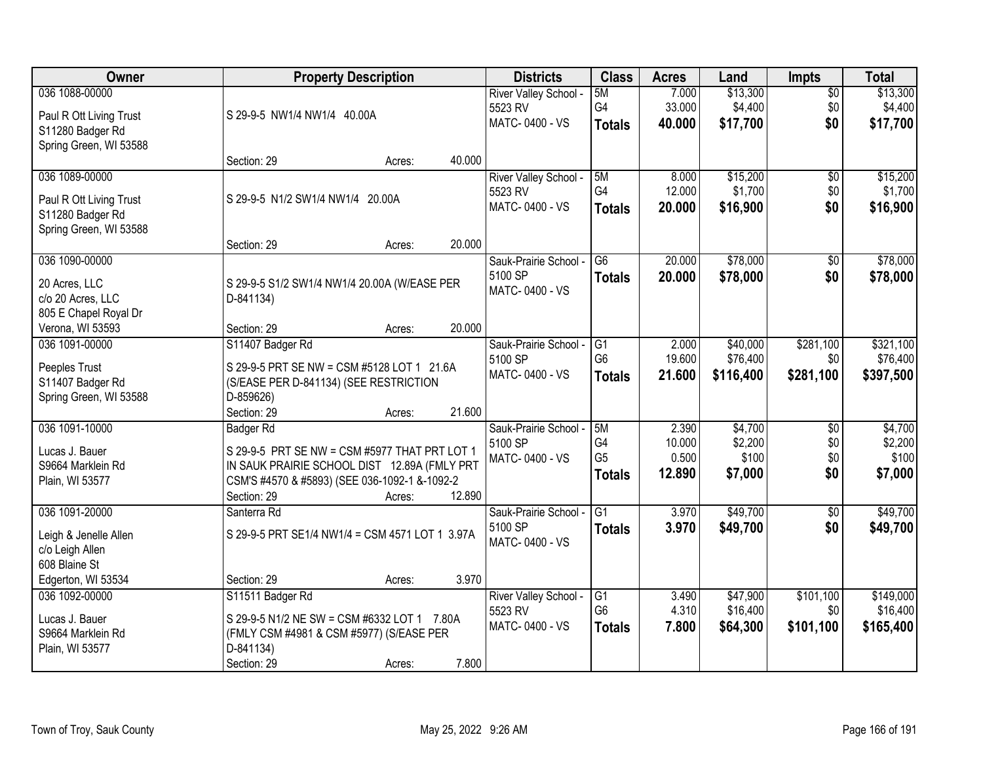| Owner                   | <b>Property Description</b>                     |                  | <b>Districts</b>      | <b>Class</b>    | <b>Acres</b> | Land      | <b>Impts</b>    | <b>Total</b> |
|-------------------------|-------------------------------------------------|------------------|-----------------------|-----------------|--------------|-----------|-----------------|--------------|
| 036 1088-00000          |                                                 |                  | River Valley School - | 5M              | 7.000        | \$13,300  | $\overline{50}$ | \$13,300     |
| Paul R Ott Living Trust | S 29-9-5 NW1/4 NW1/4 40.00A                     |                  | 5523 RV               | G4              | 33.000       | \$4,400   | \$0             | \$4,400      |
| S11280 Badger Rd        |                                                 |                  | MATC-0400 - VS        | <b>Totals</b>   | 40.000       | \$17,700  | \$0             | \$17,700     |
| Spring Green, WI 53588  |                                                 |                  |                       |                 |              |           |                 |              |
|                         | Section: 29                                     | 40.000<br>Acres: |                       |                 |              |           |                 |              |
| 036 1089-00000          |                                                 |                  | River Valley School - | 5M              | 8.000        | \$15,200  | $\overline{50}$ | \$15,200     |
| Paul R Ott Living Trust | S 29-9-5 N1/2 SW1/4 NW1/4 20.00A                |                  | 5523 RV               | G4              | 12.000       | \$1,700   | \$0             | \$1,700      |
| S11280 Badger Rd        |                                                 |                  | MATC-0400 - VS        | <b>Totals</b>   | 20,000       | \$16,900  | \$0             | \$16,900     |
| Spring Green, WI 53588  |                                                 |                  |                       |                 |              |           |                 |              |
|                         | Section: 29                                     | 20.000<br>Acres: |                       |                 |              |           |                 |              |
| 036 1090-00000          |                                                 |                  | Sauk-Prairie School - | G <sub>6</sub>  | 20.000       | \$78,000  | \$0             | \$78,000     |
| 20 Acres, LLC           | S 29-9-5 S1/2 SW1/4 NW1/4 20.00A (W/EASE PER    |                  | 5100 SP               | <b>Totals</b>   | 20.000       | \$78,000  | \$0             | \$78,000     |
| c/o 20 Acres, LLC       | D-841134)                                       |                  | MATC-0400 - VS        |                 |              |           |                 |              |
| 805 E Chapel Royal Dr   |                                                 |                  |                       |                 |              |           |                 |              |
| Verona, WI 53593        | Section: 29                                     | 20.000<br>Acres: |                       |                 |              |           |                 |              |
| 036 1091-00000          | S11407 Badger Rd                                |                  | Sauk-Prairie School - | G1              | 2.000        | \$40,000  | \$281,100       | \$321,100    |
| Peeples Trust           | S 29-9-5 PRT SE NW = CSM #5128 LOT 1 21.6A      |                  | 5100 SP               | G <sub>6</sub>  | 19.600       | \$76,400  | \$0             | \$76,400     |
| S11407 Badger Rd        | (S/EASE PER D-841134) (SEE RESTRICTION          |                  | MATC-0400 - VS        | <b>Totals</b>   | 21.600       | \$116,400 | \$281,100       | \$397,500    |
| Spring Green, WI 53588  | D-859626)                                       |                  |                       |                 |              |           |                 |              |
|                         | Section: 29                                     | 21.600<br>Acres: |                       |                 |              |           |                 |              |
| 036 1091-10000          | <b>Badger Rd</b>                                |                  | Sauk-Prairie School - | 5M              | 2.390        | \$4,700   | $\overline{50}$ | \$4,700      |
| Lucas J. Bauer          | S 29-9-5 PRT SE NW = CSM #5977 THAT PRT LOT 1   |                  | 5100 SP               | G4              | 10.000       | \$2,200   | \$0             | \$2,200      |
| S9664 Marklein Rd       | IN SAUK PRAIRIE SCHOOL DIST 12.89A (FMLY PRT    |                  | MATC-0400 - VS        | G <sub>5</sub>  | 0.500        | \$100     | \$0             | \$100        |
| Plain, WI 53577         | CSM'S #4570 & #5893) (SEE 036-1092-1 &-1092-2   |                  |                       | <b>Totals</b>   | 12.890       | \$7,000   | \$0             | \$7,000      |
|                         | Section: 29                                     | 12.890<br>Acres: |                       |                 |              |           |                 |              |
| 036 1091-20000          | Santerra Rd                                     |                  | Sauk-Prairie School - | $\overline{G1}$ | 3.970        | \$49,700  | $\overline{50}$ | \$49,700     |
| Leigh & Jenelle Allen   | S 29-9-5 PRT SE1/4 NW1/4 = CSM 4571 LOT 1 3.97A |                  | 5100 SP               | <b>Totals</b>   | 3.970        | \$49,700  | \$0             | \$49,700     |
| c/o Leigh Allen         |                                                 |                  | MATC-0400 - VS        |                 |              |           |                 |              |
| 608 Blaine St           |                                                 |                  |                       |                 |              |           |                 |              |
| Edgerton, WI 53534      | Section: 29                                     | 3.970<br>Acres:  |                       |                 |              |           |                 |              |
| 036 1092-00000          | S11511 Badger Rd                                |                  | River Valley School - | G1              | 3.490        | \$47,900  | \$101,100       | \$149,000    |
| Lucas J. Bauer          | S 29-9-5 N1/2 NE SW = CSM #6332 LOT 1 7.80A     |                  | 5523 RV               | G <sub>6</sub>  | 4.310        | \$16,400  | \$0             | \$16,400     |
| S9664 Marklein Rd       | (FMLY CSM #4981 & CSM #5977) (S/EASE PER        |                  | MATC-0400 - VS        | <b>Totals</b>   | 7.800        | \$64,300  | \$101,100       | \$165,400    |
| Plain, WI 53577         | D-841134)                                       |                  |                       |                 |              |           |                 |              |
|                         | Section: 29                                     | 7.800<br>Acres:  |                       |                 |              |           |                 |              |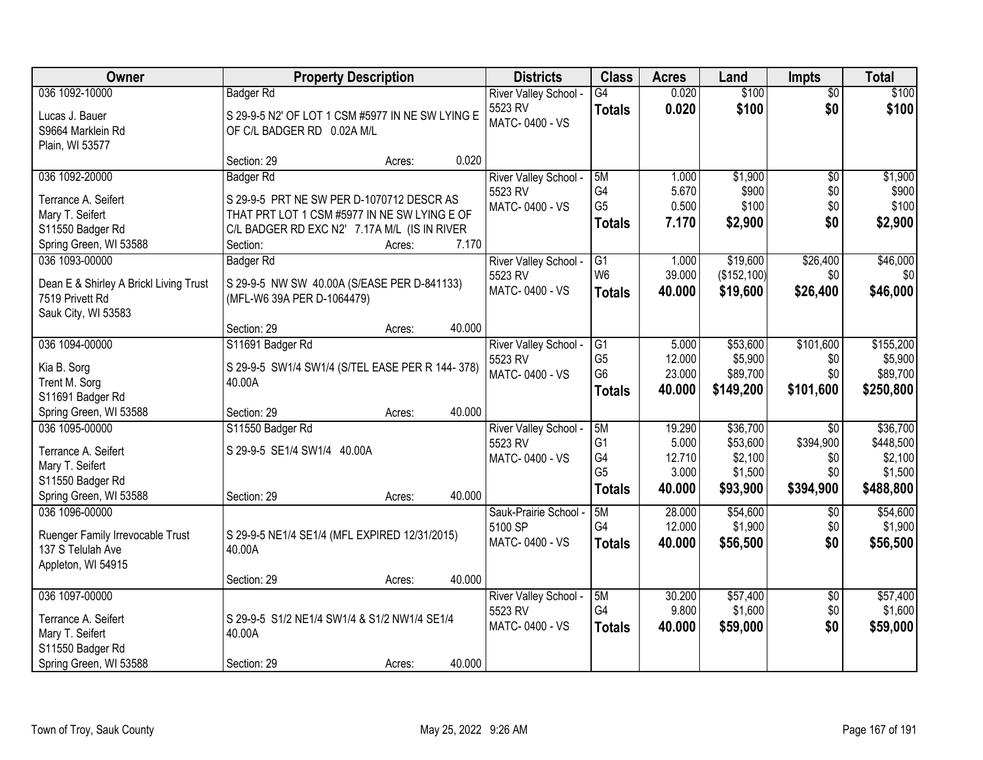| Owner                                  |                                                  | <b>Property Description</b> |        | <b>Districts</b>      | <b>Class</b>   | <b>Acres</b> | Land         | <b>Impts</b>    | <b>Total</b> |
|----------------------------------------|--------------------------------------------------|-----------------------------|--------|-----------------------|----------------|--------------|--------------|-----------------|--------------|
| 036 1092-10000                         | <b>Badger Rd</b>                                 |                             |        | River Valley School - | G4             | 0.020        | \$100        | $\overline{50}$ | \$100        |
| Lucas J. Bauer                         | S 29-9-5 N2' OF LOT 1 CSM #5977 IN NE SW LYING E |                             |        | 5523 RV               | <b>Totals</b>  | 0.020        | \$100        | \$0             | \$100        |
| S9664 Marklein Rd                      | OF C/L BADGER RD 0.02A M/L                       |                             |        | MATC-0400 - VS        |                |              |              |                 |              |
| Plain, WI 53577                        |                                                  |                             |        |                       |                |              |              |                 |              |
|                                        | Section: 29                                      | Acres:                      | 0.020  |                       |                |              |              |                 |              |
| 036 1092-20000                         | <b>Badger Rd</b>                                 |                             |        | River Valley School - | 5M             | 1.000        | \$1,900      | $\overline{50}$ | \$1,900      |
| Terrance A. Seifert                    | S 29-9-5 PRT NE SW PER D-1070712 DESCR AS        |                             |        | 5523 RV               | G <sub>4</sub> | 5.670        | \$900        | \$0             | \$900        |
| Mary T. Seifert                        | THAT PRT LOT 1 CSM #5977 IN NE SW LYING E OF     |                             |        | MATC-0400 - VS        | G <sub>5</sub> | 0.500        | \$100        | \$0             | \$100        |
| S11550 Badger Rd                       | C/L BADGER RD EXC N2' 7.17A M/L (IS IN RIVER     |                             |        |                       | <b>Totals</b>  | 7.170        | \$2,900      | \$0             | \$2,900      |
| Spring Green, WI 53588                 | Section:                                         | Acres:                      | 7.170  |                       |                |              |              |                 |              |
| 036 1093-00000                         | <b>Badger Rd</b>                                 |                             |        | River Valley School - | G1             | 1.000        | \$19,600     | \$26,400        | \$46,000     |
| Dean E & Shirley A Brickl Living Trust | S 29-9-5 NW SW 40.00A (S/EASE PER D-841133)      |                             |        | 5523 RV               | W <sub>6</sub> | 39.000       | (\$152, 100) | \$0             | \$0          |
| 7519 Privett Rd                        | (MFL-W6 39A PER D-1064479)                       |                             |        | MATC-0400 - VS        | <b>Totals</b>  | 40.000       | \$19,600     | \$26,400        | \$46,000     |
| Sauk City, WI 53583                    |                                                  |                             |        |                       |                |              |              |                 |              |
|                                        | Section: 29                                      | Acres:                      | 40.000 |                       |                |              |              |                 |              |
| 036 1094-00000                         | S11691 Badger Rd                                 |                             |        | River Valley School - | G <sub>1</sub> | 5.000        | \$53,600     | \$101,600       | \$155,200    |
| Kia B. Sorg                            | S 29-9-5 SW1/4 SW1/4 (S/TEL EASE PER R 144-378)  |                             |        | 5523 RV               | G <sub>5</sub> | 12.000       | \$5,900      | \$0             | \$5,900      |
| Trent M. Sorg                          | 40.00A                                           |                             |        | MATC-0400 - VS        | G <sub>6</sub> | 23.000       | \$89,700     | \$0             | \$89,700     |
| S11691 Badger Rd                       |                                                  |                             |        |                       | <b>Totals</b>  | 40.000       | \$149,200    | \$101,600       | \$250,800    |
| Spring Green, WI 53588                 | Section: 29                                      | Acres:                      | 40.000 |                       |                |              |              |                 |              |
| 036 1095-00000                         | S11550 Badger Rd                                 |                             |        | River Valley School - | 5M             | 19.290       | \$36,700     | $\overline{50}$ | \$36,700     |
| Terrance A. Seifert                    | S 29-9-5 SE1/4 SW1/4 40.00A                      |                             |        | 5523 RV               | G <sub>1</sub> | 5.000        | \$53,600     | \$394,900       | \$448,500    |
| Mary T. Seifert                        |                                                  |                             |        | MATC-0400 - VS        | G4             | 12.710       | \$2,100      | \$0             | \$2,100      |
| S11550 Badger Rd                       |                                                  |                             |        |                       | G <sub>5</sub> | 3.000        | \$1,500      | \$0             | \$1,500      |
| Spring Green, WI 53588                 | Section: 29                                      | Acres:                      | 40.000 |                       | <b>Totals</b>  | 40.000       | \$93,900     | \$394,900       | \$488,800    |
| 036 1096-00000                         |                                                  |                             |        | Sauk-Prairie School - | 5M             | 28.000       | \$54,600     | $\overline{50}$ | \$54,600     |
| Ruenger Family Irrevocable Trust       | S 29-9-5 NE1/4 SE1/4 (MFL EXPIRED 12/31/2015)    |                             |        | 5100 SP               | G <sub>4</sub> | 12.000       | \$1,900      | \$0             | \$1,900      |
| 137 S Telulah Ave                      | 40.00A                                           |                             |        | MATC-0400 - VS        | <b>Totals</b>  | 40.000       | \$56,500     | \$0             | \$56,500     |
| Appleton, WI 54915                     |                                                  |                             |        |                       |                |              |              |                 |              |
|                                        | Section: 29                                      | Acres:                      | 40.000 |                       |                |              |              |                 |              |
| 036 1097-00000                         |                                                  |                             |        | River Valley School - | 5M             | 30.200       | \$57,400     | $\overline{50}$ | \$57,400     |
| Terrance A. Seifert                    | S 29-9-5 S1/2 NE1/4 SW1/4 & S1/2 NW1/4 SE1/4     |                             |        | 5523 RV               | G4             | 9.800        | \$1,600      | \$0             | \$1,600      |
| Mary T. Seifert                        | 40.00A                                           |                             |        | MATC-0400 - VS        | <b>Totals</b>  | 40.000       | \$59,000     | \$0             | \$59,000     |
| S11550 Badger Rd                       |                                                  |                             |        |                       |                |              |              |                 |              |
| Spring Green, WI 53588                 | Section: 29                                      | Acres:                      | 40.000 |                       |                |              |              |                 |              |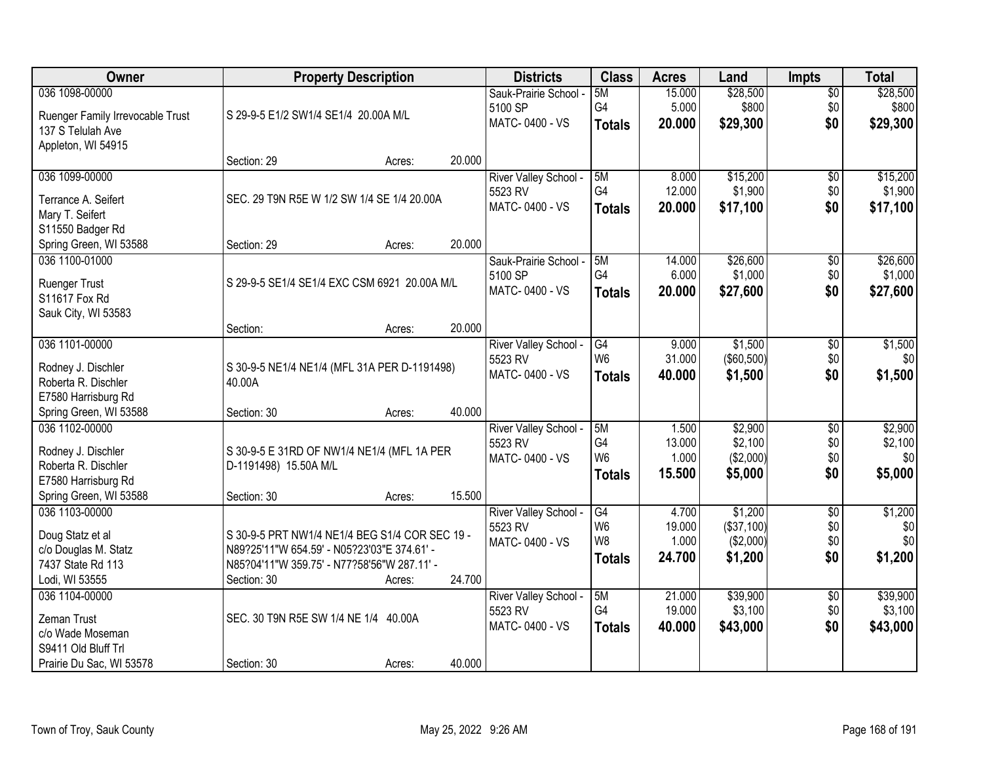| Owner                                    | <b>Property Description</b>                            | <b>Districts</b>                 | <b>Class</b>    | <b>Acres</b> | Land       | <b>Impts</b>    | <b>Total</b> |
|------------------------------------------|--------------------------------------------------------|----------------------------------|-----------------|--------------|------------|-----------------|--------------|
| 036 1098-00000                           |                                                        | Sauk-Prairie School -            | 5M              | 15.000       | \$28,500   | $\overline{50}$ | \$28,500     |
| Ruenger Family Irrevocable Trust         | S 29-9-5 E1/2 SW1/4 SE1/4 20.00A M/L                   | 5100 SP                          | G4              | 5.000        | \$800      | \$0             | \$800        |
| 137 S Telulah Ave                        |                                                        | MATC-0400 - VS                   | <b>Totals</b>   | 20.000       | \$29,300   | \$0             | \$29,300     |
| Appleton, WI 54915                       |                                                        |                                  |                 |              |            |                 |              |
|                                          | 20.000<br>Section: 29<br>Acres:                        |                                  |                 |              |            |                 |              |
| 036 1099-00000                           |                                                        | River Valley School -            | 5M              | 8.000        | \$15,200   | $\overline{50}$ | \$15,200     |
|                                          |                                                        | 5523 RV                          | G4              | 12.000       | \$1,900    | \$0             | \$1,900      |
| Terrance A. Seifert                      | SEC. 29 T9N R5E W 1/2 SW 1/4 SE 1/4 20.00A             | MATC-0400 - VS                   | <b>Totals</b>   | 20.000       | \$17,100   | \$0             | \$17,100     |
| Mary T. Seifert                          |                                                        |                                  |                 |              |            |                 |              |
| S11550 Badger Rd                         |                                                        |                                  |                 |              |            |                 |              |
| Spring Green, WI 53588                   | 20.000<br>Section: 29<br>Acres:                        |                                  |                 |              |            |                 |              |
| 036 1100-01000                           |                                                        | Sauk-Prairie School -            | 5M<br>G4        | 14.000       | \$26,600   | \$0             | \$26,600     |
| <b>Ruenger Trust</b>                     | S 29-9-5 SE1/4 SE1/4 EXC CSM 6921 20.00A M/L           | 5100 SP                          |                 | 6.000        | \$1,000    | \$0             | \$1,000      |
| S11617 Fox Rd                            |                                                        | MATC-0400 - VS                   | <b>Totals</b>   | 20.000       | \$27,600   | \$0             | \$27,600     |
| Sauk City, WI 53583                      |                                                        |                                  |                 |              |            |                 |              |
|                                          | 20.000<br>Section:<br>Acres:                           |                                  |                 |              |            |                 |              |
| 036 1101-00000                           |                                                        | River Valley School -            | G4              | 9.000        | \$1,500    | $\sqrt[6]{3}$   | \$1,500      |
|                                          |                                                        | 5523 RV                          | W <sub>6</sub>  | 31.000       | (\$60,500) | \$0             | \$0          |
| Rodney J. Dischler                       | S 30-9-5 NE1/4 NE1/4 (MFL 31A PER D-1191498)<br>40.00A | MATC-0400 - VS                   | <b>Totals</b>   | 40.000       | \$1,500    | \$0             | \$1,500      |
| Roberta R. Dischler                      |                                                        |                                  |                 |              |            |                 |              |
| E7580 Harrisburg Rd                      | 40.000<br>Section: 30                                  |                                  |                 |              |            |                 |              |
| Spring Green, WI 53588<br>036 1102-00000 | Acres:                                                 |                                  | 5M              | 1.500        | \$2,900    | $\overline{30}$ | \$2,900      |
|                                          |                                                        | River Valley School -<br>5523 RV | G4              | 13.000       | \$2,100    | \$0             | \$2,100      |
| Rodney J. Dischler                       | S 30-9-5 E 31RD OF NW1/4 NE1/4 (MFL 1A PER             | MATC-0400 - VS                   | W <sub>6</sub>  | 1.000        | (\$2,000)  | \$0             | \$0          |
| Roberta R. Dischler                      | D-1191498) 15.50A M/L                                  |                                  |                 | 15.500       |            | \$0             | \$5,000      |
| E7580 Harrisburg Rd                      |                                                        |                                  | <b>Totals</b>   |              | \$5,000    |                 |              |
| Spring Green, WI 53588                   | 15.500<br>Section: 30<br>Acres:                        |                                  |                 |              |            |                 |              |
| 036 1103-00000                           |                                                        | River Valley School -            | $\overline{G4}$ | 4.700        | \$1,200    | $\overline{60}$ | \$1,200      |
| Doug Statz et al                         | S 30-9-5 PRT NW1/4 NE1/4 BEG S1/4 COR SEC 19 -         | 5523 RV                          | W <sub>6</sub>  | 19.000       | (\$37,100) | \$0             | \$0          |
| c/o Douglas M. Statz                     | N89?25'11"W 654.59' - N05?23'03"E 374.61' -            | MATC-0400 - VS                   | W8              | 1.000        | (\$2,000)  | \$0             | \$0          |
| 7437 State Rd 113                        | N85?04'11"W 359.75' - N77?58'56"W 287.11' -            |                                  | <b>Totals</b>   | 24.700       | \$1,200    | \$0             | \$1,200      |
| Lodi, WI 53555                           | 24.700<br>Section: 30<br>Acres:                        |                                  |                 |              |            |                 |              |
| 036 1104-00000                           |                                                        | River Valley School -            | 5M              | 21.000       | \$39,900   | $\overline{30}$ | \$39,900     |
|                                          |                                                        | 5523 RV                          | G4              | 19.000       | \$3,100    | \$0             | \$3,100      |
| Zeman Trust                              | SEC. 30 T9N R5E SW 1/4 NE 1/4 40.00A                   | MATC-0400 - VS                   | <b>Totals</b>   | 40.000       | \$43,000   | \$0             | \$43,000     |
| c/o Wade Moseman                         |                                                        |                                  |                 |              |            |                 |              |
| S9411 Old Bluff Trl                      |                                                        |                                  |                 |              |            |                 |              |
| Prairie Du Sac, WI 53578                 | 40.000<br>Section: 30<br>Acres:                        |                                  |                 |              |            |                 |              |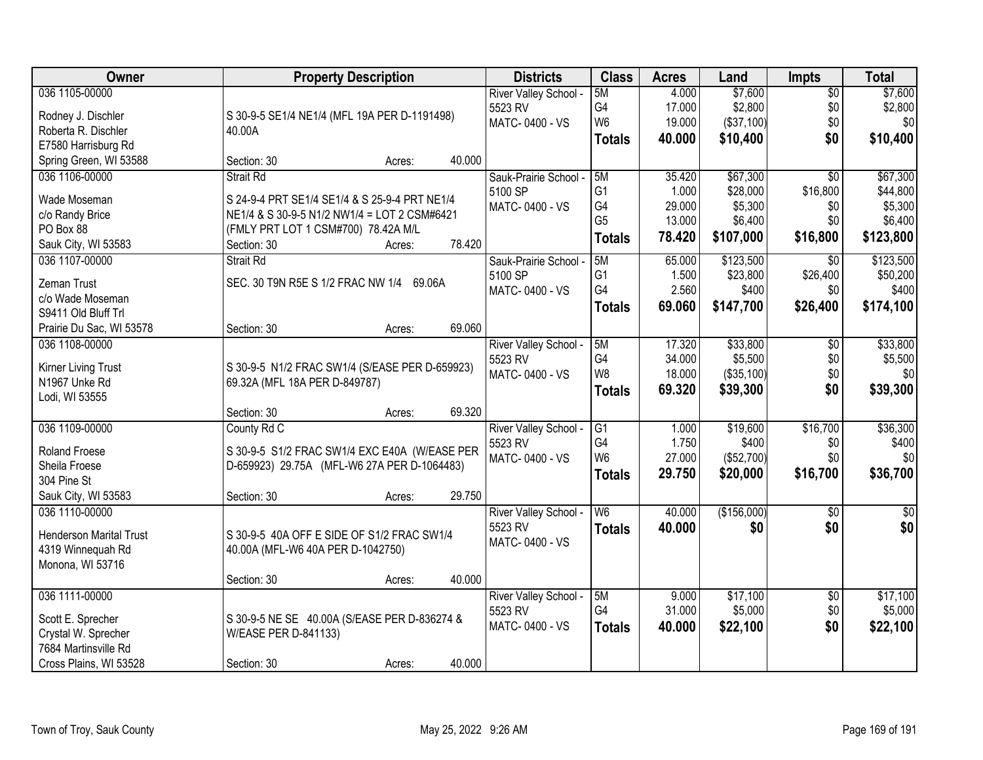| Owner                          | <b>Property Description</b>                    | <b>Districts</b>           | <b>Class</b>    | <b>Acres</b> | Land        | <b>Impts</b>    | <b>Total</b> |
|--------------------------------|------------------------------------------------|----------------------------|-----------------|--------------|-------------|-----------------|--------------|
| 036 1105-00000                 |                                                | River Valley School -      | 5M              | 4.000        | \$7,600     | $\sqrt{$0}$     | \$7,600      |
| Rodney J. Dischler             | S 30-9-5 SE1/4 NE1/4 (MFL 19A PER D-1191498)   | 5523 RV                    | G4              | 17.000       | \$2,800     | \$0             | \$2,800      |
| Roberta R. Dischler            | 40.00A                                         | MATC-0400 - VS             | W <sub>6</sub>  | 19.000       | (\$37,100)  | \$0             | \$0          |
| E7580 Harrisburg Rd            |                                                |                            | <b>Totals</b>   | 40.000       | \$10,400    | \$0             | \$10,400     |
| Spring Green, WI 53588         | 40.000<br>Section: 30<br>Acres:                |                            |                 |              |             |                 |              |
| 036 1106-00000                 | <b>Strait Rd</b>                               | Sauk-Prairie School -      | 5M              | 35.420       | \$67,300    | $\overline{30}$ | \$67,300     |
|                                |                                                | 5100 SP                    | G <sub>1</sub>  | 1.000        | \$28,000    | \$16,800        | \$44,800     |
| Wade Moseman                   | S 24-9-4 PRT SE1/4 SE1/4 & S 25-9-4 PRT NE1/4  | MATC-0400 - VS             | G4              | 29.000       | \$5,300     | \$0             | \$5,300      |
| c/o Randy Brice                | NE1/4 & S 30-9-5 N1/2 NW1/4 = LOT 2 CSM#6421   |                            | G <sub>5</sub>  | 13.000       | \$6,400     | \$0             | \$6,400      |
| PO Box 88                      | (FMLY PRT LOT 1 CSM#700) 78.42A M/L            |                            | <b>Totals</b>   | 78.420       | \$107,000   | \$16,800        | \$123,800    |
| Sauk City, WI 53583            | 78.420<br>Section: 30<br>Acres:                |                            |                 |              |             |                 |              |
| 036 1107-00000                 | <b>Strait Rd</b>                               | Sauk-Prairie School -      | 5M              | 65.000       | \$123,500   | \$0             | \$123,500    |
| Zeman Trust                    | SEC. 30 T9N R5E S 1/2 FRAC NW 1/4<br>69.06A    | 5100 SP                    | G <sub>1</sub>  | 1.500        | \$23,800    | \$26,400        | \$50,200     |
| c/o Wade Moseman               |                                                | MATC-0400 - VS             | G4              | 2.560        | \$400       | \$0             | \$400        |
| S9411 Old Bluff Trl            |                                                |                            | <b>Totals</b>   | 69.060       | \$147,700   | \$26,400        | \$174,100    |
| Prairie Du Sac, WI 53578       | 69.060<br>Section: 30<br>Acres:                |                            |                 |              |             |                 |              |
| 036 1108-00000                 |                                                | River Valley School -      | 5M              | 17.320       | \$33,800    | \$0             | \$33,800     |
|                                |                                                | 5523 RV                    | G4              | 34.000       | \$5,500     | \$0             | \$5,500      |
| Kirner Living Trust            | S 30-9-5 N1/2 FRAC SW1/4 (S/EASE PER D-659923) | MATC-0400 - VS             | W8              | 18.000       | (\$35,100)  | \$0             | \$0          |
| N1967 Unke Rd                  | 69.32A (MFL 18A PER D-849787)                  |                            | <b>Totals</b>   | 69.320       | \$39,300    | \$0             | \$39,300     |
| Lodi, WI 53555                 |                                                |                            |                 |              |             |                 |              |
|                                | 69.320<br>Section: 30<br>Acres:                |                            |                 |              |             |                 |              |
| 036 1109-00000                 | County Rd C                                    | River Valley School -      | $\overline{G1}$ | 1.000        | \$19,600    | \$16,700        | \$36,300     |
| Roland Froese                  | S 30-9-5 S1/2 FRAC SW1/4 EXC E40A (W/EASE PER  | 5523 RV                    | G4              | 1.750        | \$400       | \$0             | \$400        |
| Sheila Froese                  | D-659923) 29.75A (MFL-W6 27A PER D-1064483)    | MATC-0400 - VS             | W <sub>6</sub>  | 27.000       | (\$52,700)  | \$0             | \$0          |
| 304 Pine St                    |                                                |                            | <b>Totals</b>   | 29.750       | \$20,000    | \$16,700        | \$36,700     |
| Sauk City, WI 53583            | 29.750<br>Section: 30<br>Acres:                |                            |                 |              |             |                 |              |
| 036 1110-00000                 |                                                | River Valley School -      | W <sub>6</sub>  | 40.000       | (\$156,000) | \$0             | \$0          |
|                                |                                                | 5523 RV                    | <b>Totals</b>   | 40.000       | \$0         | \$0             | \$0          |
| <b>Henderson Marital Trust</b> | S 30-9-5 40A OFF E SIDE OF S1/2 FRAC SW1/4     | MATC-0400 - VS             |                 |              |             |                 |              |
| 4319 Winnequah Rd              | 40.00A (MFL-W6 40A PER D-1042750)              |                            |                 |              |             |                 |              |
| Monona, WI 53716               |                                                |                            |                 |              |             |                 |              |
|                                | 40.000<br>Section: 30<br>Acres:                |                            |                 |              |             |                 |              |
| 036 1111-00000                 |                                                | <b>River Valley School</b> | 5M              | 9.000        | \$17,100    | $\overline{60}$ | \$17,100     |
| Scott E. Sprecher              | S 30-9-5 NE SE 40.00A (S/EASE PER D-836274 &   | 5523 RV                    | G4              | 31.000       | \$5,000     | \$0             | \$5,000      |
| Crystal W. Sprecher            | W/EASE PER D-841133)                           | MATC-0400 - VS             | <b>Totals</b>   | 40.000       | \$22,100    | \$0             | \$22,100     |
| 7684 Martinsville Rd           |                                                |                            |                 |              |             |                 |              |
| Cross Plains, WI 53528         | 40.000<br>Section: 30<br>Acres:                |                            |                 |              |             |                 |              |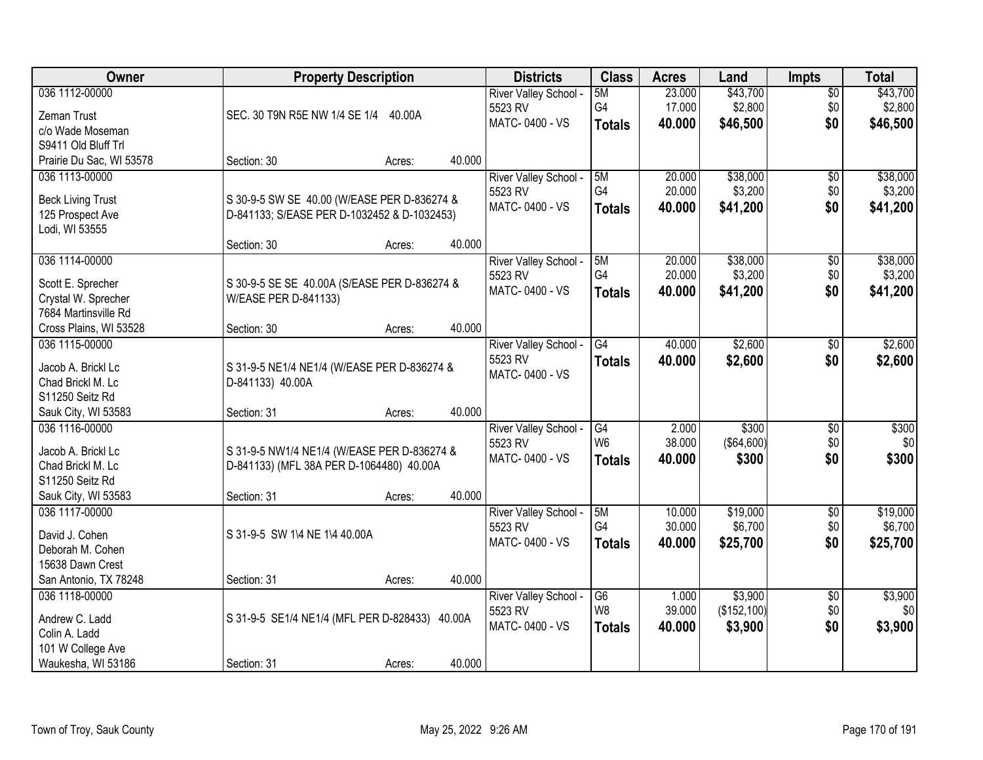| Owner                    | <b>Property Description</b>                                     |        |        | <b>Districts</b>          | <b>Class</b>    | <b>Acres</b> | Land         | <b>Impts</b>    | <b>Total</b> |
|--------------------------|-----------------------------------------------------------------|--------|--------|---------------------------|-----------------|--------------|--------------|-----------------|--------------|
| 036 1112-00000           |                                                                 |        |        | River Valley School -     | 5M              | 23.000       | \$43,700     | $\overline{50}$ | \$43,700     |
| Zeman Trust              | SEC. 30 T9N R5E NW 1/4 SE 1/4 40.00A                            |        |        | 5523 RV                   | G4              | 17.000       | \$2,800      | \$0             | \$2,800      |
| c/o Wade Moseman         |                                                                 |        |        | MATC-0400 - VS            | <b>Totals</b>   | 40.000       | \$46,500     | \$0             | \$46,500     |
| S9411 Old Bluff Trl      |                                                                 |        |        |                           |                 |              |              |                 |              |
| Prairie Du Sac, WI 53578 | Section: 30                                                     | Acres: | 40.000 |                           |                 |              |              |                 |              |
| 036 1113-00000           |                                                                 |        |        | River Valley School -     | 5M              | 20.000       | \$38,000     | \$0             | \$38,000     |
|                          |                                                                 |        |        | 5523 RV                   | G4              | 20.000       | \$3,200      | \$0             | \$3,200      |
| <b>Beck Living Trust</b> | S 30-9-5 SW SE 40.00 (W/EASE PER D-836274 &                     |        |        | MATC-0400 - VS            | <b>Totals</b>   | 40.000       | \$41,200     | \$0             | \$41,200     |
| 125 Prospect Ave         | D-841133; S/EASE PER D-1032452 & D-1032453)                     |        |        |                           |                 |              |              |                 |              |
| Lodi, WI 53555           |                                                                 |        | 40.000 |                           |                 |              |              |                 |              |
|                          | Section: 30                                                     | Acres: |        |                           |                 |              |              |                 |              |
| 036 1114-00000           |                                                                 |        |        | River Valley School -     | 5M<br>G4        | 20.000       | \$38,000     | \$0             | \$38,000     |
| Scott E. Sprecher        | S 30-9-5 SE SE 40.00A (S/EASE PER D-836274 &                    |        |        | 5523 RV<br>MATC-0400 - VS |                 | 20.000       | \$3,200      | \$0             | \$3,200      |
| Crystal W. Sprecher      | W/EASE PER D-841133)                                            |        |        |                           | <b>Totals</b>   | 40.000       | \$41,200     | \$0             | \$41,200     |
| 7684 Martinsville Rd     |                                                                 |        |        |                           |                 |              |              |                 |              |
| Cross Plains, WI 53528   | Section: 30                                                     | Acres: | 40.000 |                           |                 |              |              |                 |              |
| 036 1115-00000           |                                                                 |        |        | River Valley School -     | $\overline{G4}$ | 40.000       | \$2,600      | $\sqrt[6]{3}$   | \$2,600      |
| Jacob A. Brickl Lc       |                                                                 |        |        | 5523 RV                   | <b>Totals</b>   | 40.000       | \$2,600      | \$0             | \$2,600      |
| Chad Brickl M. Lc        | S 31-9-5 NE1/4 NE1/4 (W/EASE PER D-836274 &<br>D-841133) 40.00A |        |        | MATC-0400 - VS            |                 |              |              |                 |              |
| S11250 Seitz Rd          |                                                                 |        |        |                           |                 |              |              |                 |              |
| Sauk City, WI 53583      | Section: 31                                                     | Acres: | 40.000 |                           |                 |              |              |                 |              |
| 036 1116-00000           |                                                                 |        |        | River Valley School -     | $\overline{G4}$ | 2.000        | \$300        | $\overline{30}$ | \$300        |
|                          |                                                                 |        |        | 5523 RV                   | W <sub>6</sub>  | 38.000       | (\$64,600)   | \$0             | \$0          |
| Jacob A. Brickl Lc       | S 31-9-5 NW1/4 NE1/4 (W/EASE PER D-836274 &                     |        |        | MATC-0400 - VS            | <b>Totals</b>   | 40.000       | \$300        | \$0             | \$300        |
| Chad Brickl M. Lc        | D-841133) (MFL 38A PER D-1064480) 40.00A                        |        |        |                           |                 |              |              |                 |              |
| S11250 Seitz Rd          |                                                                 |        |        |                           |                 |              |              |                 |              |
| Sauk City, WI 53583      | Section: 31                                                     | Acres: | 40.000 |                           |                 |              |              |                 |              |
| 036 1117-00000           |                                                                 |        |        | River Valley School -     | 5M              | 10.000       | \$19,000     | $\sqrt{6}$      | \$19,000     |
| David J. Cohen           | S 31-9-5 SW 1\4 NE 1\4 40.00A                                   |        |        | 5523 RV                   | G4              | 30.000       | \$6,700      | \$0             | \$6,700      |
| Deborah M. Cohen         |                                                                 |        |        | MATC-0400 - VS            | <b>Totals</b>   | 40.000       | \$25,700     | \$0             | \$25,700     |
| 15638 Dawn Crest         |                                                                 |        |        |                           |                 |              |              |                 |              |
| San Antonio, TX 78248    | Section: 31                                                     | Acres: | 40.000 |                           |                 |              |              |                 |              |
| 036 1118-00000           |                                                                 |        |        | River Valley School -     | G6              | 1.000        | \$3,900      | $\overline{50}$ | \$3,900      |
|                          |                                                                 |        |        | 5523 RV                   | W8              | 39.000       | (\$152, 100) | \$0             | \$0          |
| Andrew C. Ladd           | S 31-9-5 SE1/4 NE1/4 (MFL PER D-828433)                         |        | 40.00A | MATC-0400 - VS            | <b>Totals</b>   | 40.000       | \$3,900      | \$0             | \$3,900      |
| Colin A. Ladd            |                                                                 |        |        |                           |                 |              |              |                 |              |
| 101 W College Ave        |                                                                 |        |        |                           |                 |              |              |                 |              |
| Waukesha, WI 53186       | Section: 31                                                     | Acres: | 40.000 |                           |                 |              |              |                 |              |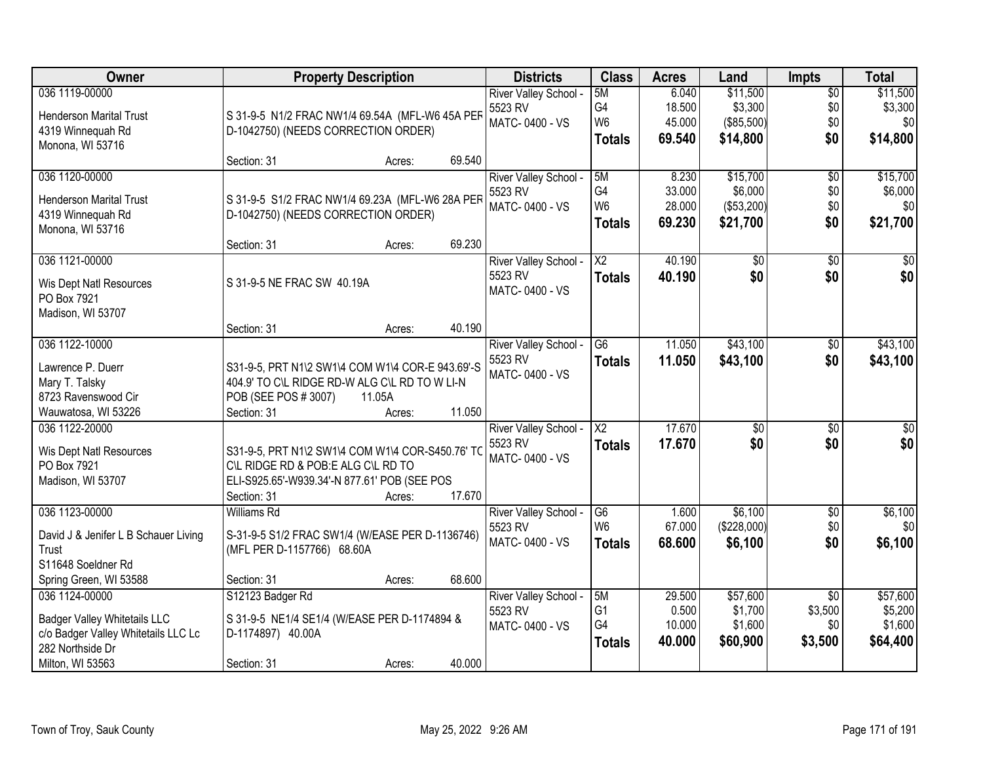| <b>Owner</b>                         |                                                  | <b>Property Description</b> |        | <b>Districts</b>                 | <b>Class</b>                     | <b>Acres</b>     | Land                   | <b>Impts</b>               | <b>Total</b>           |
|--------------------------------------|--------------------------------------------------|-----------------------------|--------|----------------------------------|----------------------------------|------------------|------------------------|----------------------------|------------------------|
| 036 1119-00000                       |                                                  |                             |        | River Valley School -            | 5M                               | 6.040            | \$11,500               | $\overline{50}$            | \$11,500               |
| <b>Henderson Marital Trust</b>       | S 31-9-5 N1/2 FRAC NW1/4 69.54A (MFL-W6 45A PEF  |                             |        | 5523 RV<br>MATC-0400 - VS        | G4<br>W <sub>6</sub>             | 18.500<br>45.000 | \$3,300<br>(\$85,500)  | \$0<br>\$0                 | \$3,300<br>\$0         |
| 4319 Winnequah Rd                    | D-1042750) (NEEDS CORRECTION ORDER)              |                             |        |                                  | <b>Totals</b>                    | 69.540           | \$14,800               | \$0                        | \$14,800               |
| Monona, WI 53716                     |                                                  |                             |        |                                  |                                  |                  |                        |                            |                        |
|                                      | Section: 31                                      | Acres:                      | 69.540 |                                  |                                  |                  |                        |                            |                        |
| 036 1120-00000                       |                                                  |                             |        | River Valley School -            | 5M<br>G4                         | 8.230<br>33.000  | \$15,700<br>\$6,000    | \$0                        | \$15,700               |
| <b>Henderson Marital Trust</b>       | S 31-9-5 S1/2 FRAC NW1/4 69.23A (MFL-W6 28A PER  |                             |        | 5523 RV<br>MATC-0400 - VS        | W <sub>6</sub>                   | 28.000           | (\$53,200)             | \$0<br>\$0                 | \$6,000<br>\$0         |
| 4319 Winnequah Rd                    | D-1042750) (NEEDS CORRECTION ORDER)              |                             |        |                                  | <b>Totals</b>                    | 69.230           | \$21,700               | \$0                        | \$21,700               |
| Monona, WI 53716                     |                                                  |                             |        |                                  |                                  |                  |                        |                            |                        |
|                                      | Section: 31                                      | Acres:                      | 69.230 |                                  |                                  |                  |                        |                            |                        |
| 036 1121-00000                       |                                                  |                             |        | River Valley School -<br>5523 RV | $\overline{\text{X2}}$           | 40.190           | $\overline{50}$        | $\sqrt[6]{3}$<br>\$0       | $\overline{30}$<br>\$0 |
| Wis Dept Natl Resources              | S 31-9-5 NE FRAC SW 40.19A                       |                             |        | MATC-0400 - VS                   | <b>Totals</b>                    | 40.190           | \$0                    |                            |                        |
| PO Box 7921                          |                                                  |                             |        |                                  |                                  |                  |                        |                            |                        |
| Madison, WI 53707                    |                                                  |                             |        |                                  |                                  |                  |                        |                            |                        |
| 036 1122-10000                       | Section: 31                                      | Acres:                      | 40.190 |                                  | $\overline{G6}$                  | 11.050           | \$43,100               |                            | \$43,100               |
|                                      |                                                  |                             |        | River Valley School -<br>5523 RV |                                  | 11.050           |                        | $\frac{1}{20}$<br>\$0      |                        |
| Lawrence P. Duerr                    | S31-9-5, PRT N1\2 SW1\4 COM W1\4 COR-E 943.69'-S |                             |        | MATC-0400 - VS                   | <b>Totals</b>                    |                  | \$43,100               |                            | \$43,100               |
| Mary T. Talsky                       | 404.9' TO C\L RIDGE RD-W ALG C\L RD TO W LI-N    |                             |        |                                  |                                  |                  |                        |                            |                        |
| 8723 Ravenswood Cir                  | POB (SEE POS # 3007)                             | 11.05A                      |        |                                  |                                  |                  |                        |                            |                        |
| Wauwatosa, WI 53226                  | Section: 31                                      | Acres:                      | 11.050 |                                  | $\overline{\text{X2}}$           | 17.670           |                        |                            |                        |
| 036 1122-20000                       |                                                  |                             |        | River Valley School -<br>5523 RV |                                  | 17.670           | $\overline{50}$<br>\$0 | \$0<br>\$0                 | $\sqrt{50}$<br>\$0     |
| Wis Dept Natl Resources              | S31-9-5, PRT N1\2 SW1\4 COM W1\4 COR-S450.76' TC |                             |        | MATC-0400 - VS                   | <b>Totals</b>                    |                  |                        |                            |                        |
| PO Box 7921                          | C\L RIDGE RD & POB:E ALG C\L RD TO               |                             |        |                                  |                                  |                  |                        |                            |                        |
| Madison, WI 53707                    | ELI-S925.65'-W939.34'-N 877.61' POB (SEE POS     |                             |        |                                  |                                  |                  |                        |                            |                        |
|                                      | Section: 31                                      | Acres:                      | 17.670 |                                  |                                  |                  |                        |                            |                        |
| 036 1123-00000                       | <b>Williams Rd</b>                               |                             |        | River Valley School -<br>5523 RV | G <sub>6</sub><br>W <sub>6</sub> | 1.600<br>67.000  | \$6,100<br>(\$228,000) | $\overline{$0}$<br>\$0     | \$6,100<br>\$0         |
| David J & Jenifer L B Schauer Living | S-31-9-5 S1/2 FRAC SW1/4 (W/EASE PER D-1136746)  |                             |        | MATC-0400 - VS                   | Totals                           | 68.600           | \$6,100                | \$0                        | \$6,100                |
| Trust                                | (MFL PER D-1157766) 68.60A                       |                             |        |                                  |                                  |                  |                        |                            |                        |
| S11648 Soeldner Rd                   |                                                  |                             |        |                                  |                                  |                  |                        |                            |                        |
| Spring Green, WI 53588               | Section: 31                                      | Acres:                      | 68.600 |                                  |                                  |                  |                        |                            |                        |
| 036 1124-00000                       | S12123 Badger Rd                                 |                             |        | River Valley School -<br>5523 RV | 5M<br>G1                         | 29.500<br>0.500  | \$57,600<br>\$1,700    | $\overline{30}$<br>\$3,500 | \$57,600<br>\$5,200    |
| <b>Badger Valley Whitetails LLC</b>  | S 31-9-5 NE1/4 SE1/4 (W/EASE PER D-1174894 &     |                             |        | MATC-0400 - VS                   | G4                               | 10.000           | \$1,600                | \$0                        | \$1,600                |
| c/o Badger Valley Whitetails LLC Lc  | D-1174897) 40.00A                                |                             |        |                                  | <b>Totals</b>                    | 40.000           | \$60,900               | \$3,500                    | \$64,400               |
| 282 Northside Dr                     |                                                  |                             |        |                                  |                                  |                  |                        |                            |                        |
| Milton, WI 53563                     | Section: 31                                      | Acres:                      | 40.000 |                                  |                                  |                  |                        |                            |                        |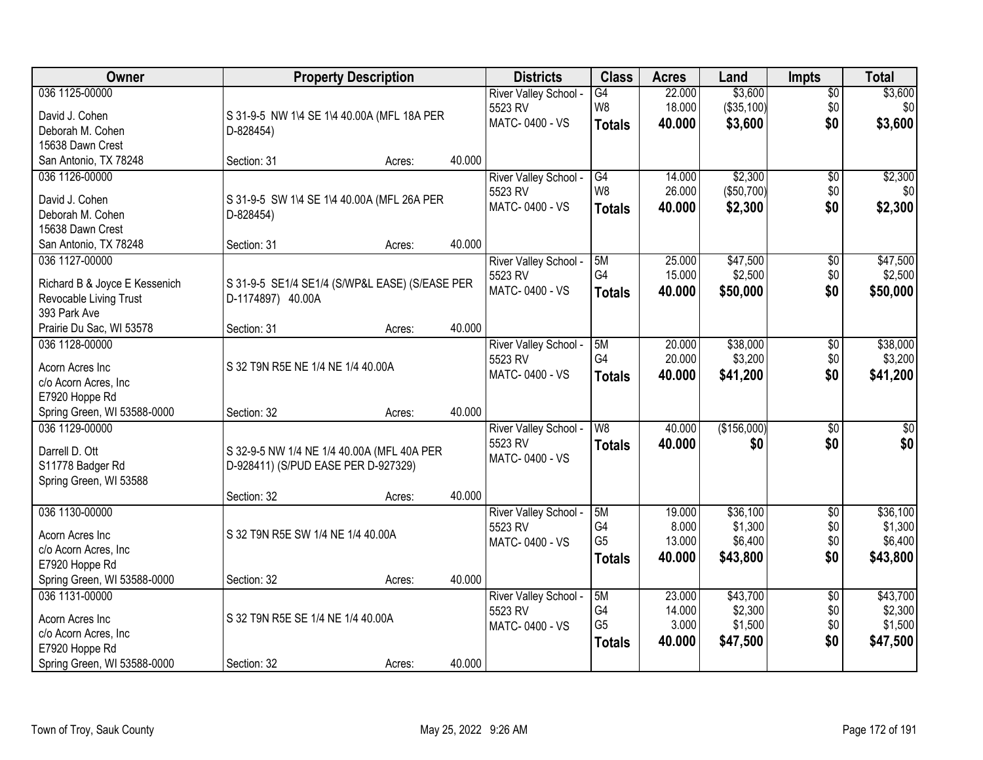| Owner                              | <b>Property Description</b>                    |        |        | <b>Districts</b>           | <b>Class</b>         | <b>Acres</b> | Land        | <b>Impts</b>    | <b>Total</b> |
|------------------------------------|------------------------------------------------|--------|--------|----------------------------|----------------------|--------------|-------------|-----------------|--------------|
| 036 1125-00000                     |                                                |        |        | River Valley School -      | G4                   | 22.000       | \$3,600     | $\sqrt{$0}$     | \$3,600      |
| David J. Cohen                     | S 31-9-5 NW 1\4 SE 1\4 40.00A (MFL 18A PER     |        |        | 5523 RV                    | W8                   | 18.000       | (\$35,100)  | \$0             | \$0          |
| Deborah M. Cohen                   | D-828454)                                      |        |        | MATC-0400 - VS             | <b>Totals</b>        | 40.000       | \$3,600     | \$0             | \$3,600      |
| 15638 Dawn Crest                   |                                                |        |        |                            |                      |              |             |                 |              |
| San Antonio, TX 78248              | Section: 31                                    | Acres: | 40.000 |                            |                      |              |             |                 |              |
| 036 1126-00000                     |                                                |        |        | River Valley School -      | G4                   | 14.000       | \$2,300     | \$0             | \$2,300      |
|                                    |                                                |        |        | 5523 RV                    | W <sub>8</sub>       | 26.000       | (\$50,700)  | \$0             | \$0          |
| David J. Cohen<br>Deborah M. Cohen | S 31-9-5 SW 1\4 SE 1\4 40.00A (MFL 26A PER     |        |        | MATC-0400 - VS             | <b>Totals</b>        | 40.000       | \$2,300     | \$0             | \$2,300      |
| 15638 Dawn Crest                   | D-828454)                                      |        |        |                            |                      |              |             |                 |              |
| San Antonio, TX 78248              | Section: 31                                    | Acres: | 40.000 |                            |                      |              |             |                 |              |
| 036 1127-00000                     |                                                |        |        | River Valley School -      | 5M                   | 25.000       | \$47,500    | \$0             | \$47,500     |
|                                    |                                                |        |        | 5523 RV                    | G4                   | 15.000       | \$2,500     | \$0             | \$2,500      |
| Richard B & Joyce E Kessenich      | S 31-9-5 SE1/4 SE1/4 (S/WP&L EASE) (S/EASE PER |        |        | MATC-0400 - VS             | <b>Totals</b>        | 40.000       | \$50,000    | \$0             | \$50,000     |
| Revocable Living Trust             | D-1174897) 40.00A                              |        |        |                            |                      |              |             |                 |              |
| 393 Park Ave                       |                                                |        |        |                            |                      |              |             |                 |              |
| Prairie Du Sac, WI 53578           | Section: 31                                    | Acres: | 40.000 |                            |                      |              |             |                 |              |
| 036 1128-00000                     |                                                |        |        | River Valley School -      | 5M                   | 20.000       | \$38,000    | \$0             | \$38,000     |
| Acorn Acres Inc                    | S 32 T9N R5E NE 1/4 NE 1/4 40.00A              |        |        | 5523 RV                    | G4                   | 20.000       | \$3,200     | \$0             | \$3,200      |
| c/o Acorn Acres, Inc               |                                                |        |        | MATC-0400 - VS             | <b>Totals</b>        | 40.000       | \$41,200    | \$0             | \$41,200     |
| E7920 Hoppe Rd                     |                                                |        |        |                            |                      |              |             |                 |              |
| Spring Green, WI 53588-0000        | Section: 32                                    | Acres: | 40.000 |                            |                      |              |             |                 |              |
| 036 1129-00000                     |                                                |        |        | River Valley School -      | $\overline{W8}$      | 40.000       | (\$156,000) | $\overline{50}$ | $\sqrt{50}$  |
| Darrell D. Ott                     | S 32-9-5 NW 1/4 NE 1/4 40.00A (MFL 40A PER     |        |        | 5523 RV                    | <b>Totals</b>        | 40.000       | \$0         | \$0             | \$0          |
| S11778 Badger Rd                   | D-928411) (S/PUD EASE PER D-927329)            |        |        | MATC-0400 - VS             |                      |              |             |                 |              |
| Spring Green, WI 53588             |                                                |        |        |                            |                      |              |             |                 |              |
|                                    | Section: 32                                    | Acres: | 40.000 |                            |                      |              |             |                 |              |
| 036 1130-00000                     |                                                |        |        | River Valley School -      | 5M                   | 19.000       | \$36,100    | $\sqrt{6}$      | \$36,100     |
|                                    |                                                |        |        | 5523 RV                    | G4                   | 8.000        | \$1,300     | \$0             | \$1,300      |
| Acorn Acres Inc                    | S 32 T9N R5E SW 1/4 NE 1/4 40.00A              |        |        | MATC-0400 - VS             | G <sub>5</sub>       | 13.000       | \$6,400     | \$0             | \$6,400      |
| c/o Acorn Acres, Inc               |                                                |        |        |                            | <b>Totals</b>        | 40,000       | \$43,800    | \$0             | \$43,800     |
| E7920 Hoppe Rd                     |                                                |        |        |                            |                      |              |             |                 |              |
| Spring Green, WI 53588-0000        | Section: 32                                    | Acres: | 40.000 |                            |                      |              |             |                 |              |
| 036 1131-00000                     |                                                |        |        | <b>River Valley School</b> | 5M                   | 23.000       | \$43,700    | $\overline{50}$ | \$43,700     |
| Acorn Acres Inc                    | S 32 T9N R5E SE 1/4 NE 1/4 40.00A              |        |        | 5523 RV                    | G4<br>G <sub>5</sub> | 14.000       | \$2,300     | \$0             | \$2,300      |
| c/o Acorn Acres, Inc               |                                                |        |        | MATC-0400 - VS             |                      | 3.000        | \$1,500     | \$0             | \$1,500      |
| E7920 Hoppe Rd                     |                                                |        |        |                            | <b>Totals</b>        | 40.000       | \$47,500    | \$0             | \$47,500     |
| Spring Green, WI 53588-0000        | Section: 32                                    | Acres: | 40.000 |                            |                      |              |             |                 |              |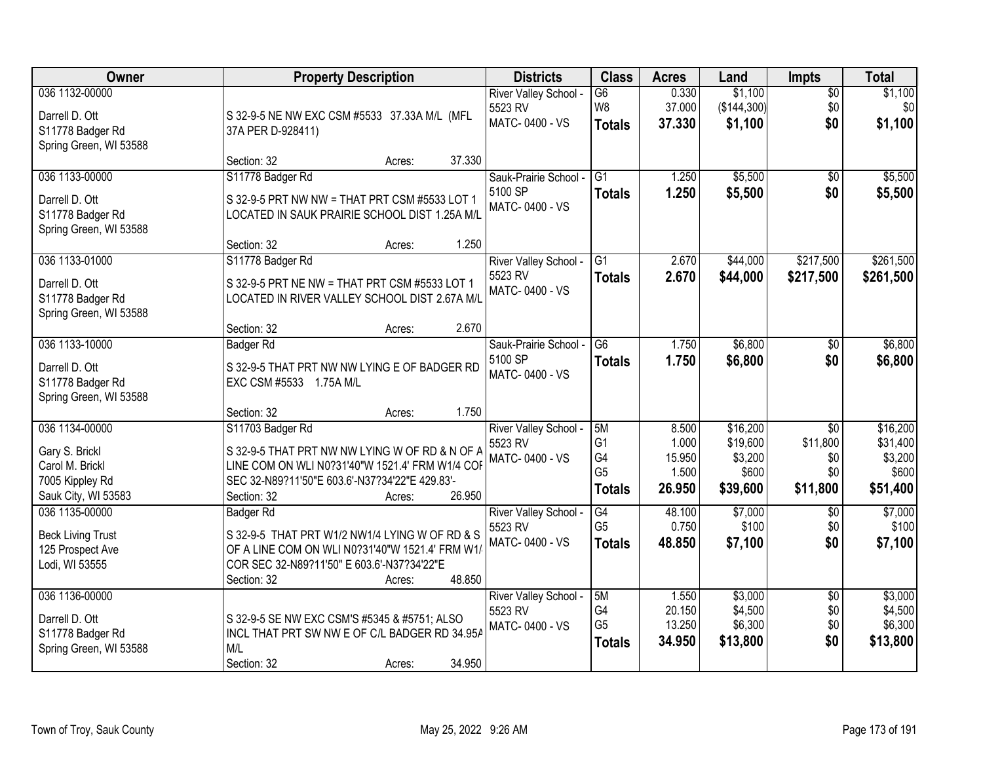| Owner                                                                                         | <b>Property Description</b>                                                                                                                                                                                | <b>Districts</b>                                   | <b>Class</b>                                                  | <b>Acres</b>                                | Land                                                 | Impts                                                 | <b>Total</b>                                         |
|-----------------------------------------------------------------------------------------------|------------------------------------------------------------------------------------------------------------------------------------------------------------------------------------------------------------|----------------------------------------------------|---------------------------------------------------------------|---------------------------------------------|------------------------------------------------------|-------------------------------------------------------|------------------------------------------------------|
| 036 1132-00000<br>Darrell D. Ott<br>S11778 Badger Rd<br>Spring Green, WI 53588                | S 32-9-5 NE NW EXC CSM #5533 37.33A M/L (MFL<br>37A PER D-928411)                                                                                                                                          | River Valley School -<br>5523 RV<br>MATC-0400 - VS | $\overline{G6}$<br>W8<br><b>Totals</b>                        | 0.330<br>37.000<br>37.330                   | \$1,100<br>( \$144, 300]<br>\$1,100                  | $\overline{50}$<br>\$0<br>\$0                         | \$1,100<br>\$0<br>\$1,100                            |
|                                                                                               | 37.330<br>Section: 32<br>Acres:                                                                                                                                                                            |                                                    |                                                               |                                             |                                                      |                                                       |                                                      |
| 036 1133-00000<br>Darrell D. Ott<br>S11778 Badger Rd<br>Spring Green, WI 53588                | S11778 Badger Rd<br>S 32-9-5 PRT NW NW = THAT PRT CSM #5533 LOT 1<br>LOCATED IN SAUK PRAIRIE SCHOOL DIST 1.25A M/L<br>1.250<br>Section: 32<br>Acres:                                                       | Sauk-Prairie School -<br>5100 SP<br>MATC-0400 - VS | $\overline{G1}$<br><b>Totals</b>                              | 1.250<br>1.250                              | \$5,500<br>\$5,500                                   | $\overline{50}$<br>\$0                                | \$5,500<br>\$5,500                                   |
| 036 1133-01000<br>Darrell D. Ott<br>S11778 Badger Rd<br>Spring Green, WI 53588                | S11778 Badger Rd<br>S 32-9-5 PRT NE NW = THAT PRT CSM #5533 LOT 1<br>LOCATED IN RIVER VALLEY SCHOOL DIST 2.67A M/L<br>2.670<br>Section: 32<br>Acres:                                                       | River Valley School -<br>5523 RV<br>MATC-0400 - VS | $\overline{G1}$<br><b>Totals</b>                              | 2.670<br>2.670                              | \$44,000<br>\$44,000                                 | \$217,500<br>\$217,500                                | \$261,500<br>\$261,500                               |
| 036 1133-10000<br>Darrell D. Ott<br>S11778 Badger Rd<br>Spring Green, WI 53588                | <b>Badger Rd</b><br>S 32-9-5 THAT PRT NW NW LYING E OF BADGER RD<br>EXC CSM #5533 1.75A M/L<br>1.750<br>Section: 32<br>Acres:                                                                              | Sauk-Prairie School -<br>5100 SP<br>MATC-0400 - VS | G6<br><b>Totals</b>                                           | 1.750<br>1.750                              | \$6,800<br>\$6,800                                   | \$0<br>\$0                                            | \$6,800<br>\$6,800                                   |
| 036 1134-00000<br>Gary S. Brickl<br>Carol M. Brickl<br>7005 Kippley Rd<br>Sauk City, WI 53583 | S11703 Badger Rd<br>S 32-9-5 THAT PRT NW NW LYING W OF RD & N OF A<br>LINE COM ON WLI N0?31'40"W 1521.4' FRM W1/4 COF<br>SEC 32-N89?11'50"E 603.6'-N37?34'22"E 429.83'-<br>26.950<br>Section: 32<br>Acres: | River Valley School -<br>5523 RV<br>MATC-0400 - VS | 5M<br>G <sub>1</sub><br>G4<br>G <sub>5</sub><br><b>Totals</b> | 8.500<br>1.000<br>15.950<br>1.500<br>26.950 | \$16,200<br>\$19,600<br>\$3,200<br>\$600<br>\$39,600 | $\overline{30}$<br>\$11,800<br>\$0<br>\$0<br>\$11,800 | \$16,200<br>\$31,400<br>\$3,200<br>\$600<br>\$51,400 |
| 036 1135-00000<br><b>Beck Living Trust</b><br>125 Prospect Ave<br>Lodi, WI 53555              | Badger Rd<br>S 32-9-5 THAT PRT W1/2 NW1/4 LYING W OF RD & S<br>OF A LINE COM ON WLI N0?31'40"W 1521.4' FRM W1/<br>COR SEC 32-N89?11'50" E 603.6'-N37?34'22"E<br>48.850<br>Section: 32<br>Acres:            | River Valley School -<br>5523 RV<br>MATC-0400 - VS | G4<br>G <sub>5</sub><br><b>Totals</b>                         | 48.100<br>0.750<br>48.850                   | \$7,000<br>\$100<br>\$7,100                          | $\sqrt{6}$<br>\$0<br>\$0                              | \$7,000<br>\$100<br>\$7,100                          |
| 036 1136-00000<br>Darrell D. Ott<br>S11778 Badger Rd<br>Spring Green, WI 53588                | S 32-9-5 SE NW EXC CSM'S #5345 & #5751; ALSO<br>INCL THAT PRT SW NW E OF C/L BADGER RD 34.95A<br>M/L<br>34.950<br>Section: 32<br>Acres:                                                                    | River Valley School -<br>5523 RV<br>MATC-0400 - VS | 5M<br>G4<br>G <sub>5</sub><br><b>Totals</b>                   | 1.550<br>20.150<br>13.250<br>34.950         | \$3,000<br>\$4,500<br>\$6,300<br>\$13,800            | $\overline{50}$<br>\$0<br>\$0<br>\$0                  | \$3,000<br>\$4,500<br>\$6,300<br>\$13,800            |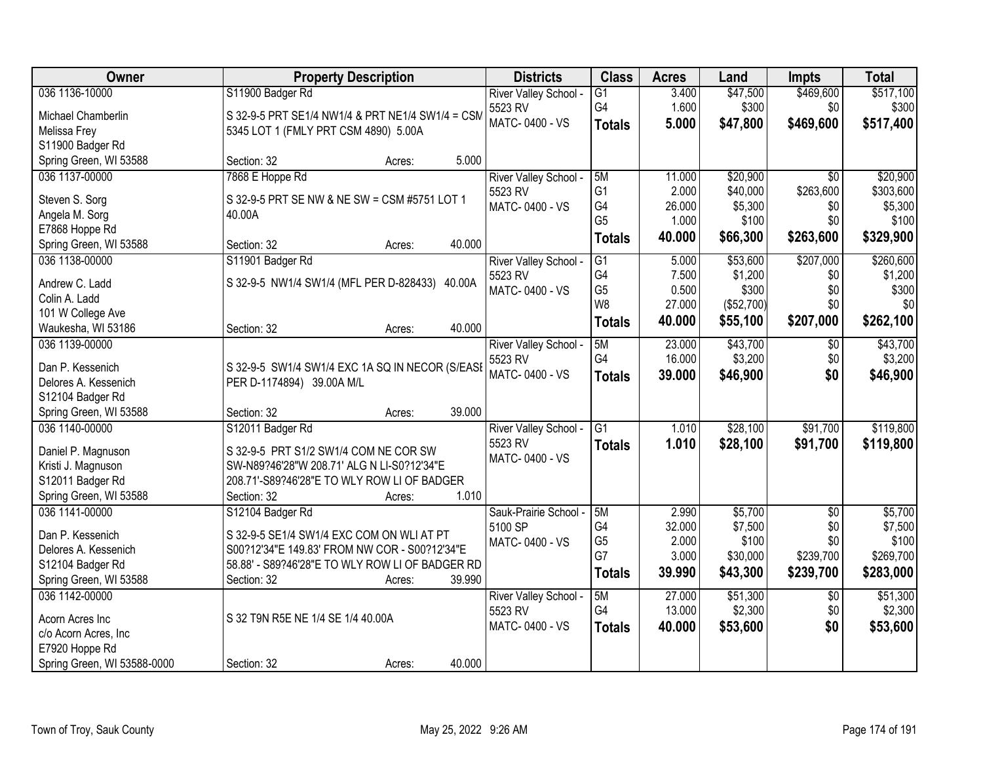| Owner                                  | <b>Property Description</b>                                                         | <b>Districts</b>      | <b>Class</b>    | <b>Acres</b> | Land       | <b>Impts</b>    | <b>Total</b> |
|----------------------------------------|-------------------------------------------------------------------------------------|-----------------------|-----------------|--------------|------------|-----------------|--------------|
| 036 1136-10000                         | S11900 Badger Rd                                                                    | River Valley School - | $\overline{G1}$ | 3.400        | \$47,500   | \$469,600       | \$517,100    |
| Michael Chamberlin                     | S 32-9-5 PRT SE1/4 NW1/4 & PRT NE1/4 SW1/4 = CSM                                    | 5523 RV               | G4              | 1.600        | \$300      | \$0             | \$300        |
| Melissa Frey                           | 5345 LOT 1 (FMLY PRT CSM 4890) 5.00A                                                | MATC-0400 - VS        | <b>Totals</b>   | 5.000        | \$47,800   | \$469,600       | \$517,400    |
| S11900 Badger Rd                       |                                                                                     |                       |                 |              |            |                 |              |
| Spring Green, WI 53588                 | 5.000<br>Section: 32<br>Acres:                                                      |                       |                 |              |            |                 |              |
| 036 1137-00000                         | 7868 E Hoppe Rd                                                                     | River Valley School - | 5M              | 11.000       | \$20,900   | $\overline{50}$ | \$20,900     |
|                                        |                                                                                     | 5523 RV               | G <sub>1</sub>  | 2.000        | \$40,000   | \$263,600       | \$303,600    |
| Steven S. Sorg                         | S 32-9-5 PRT SE NW & NE SW = CSM #5751 LOT 1<br>40.00A                              | MATC-0400 - VS        | G4              | 26.000       | \$5,300    | \$0             | \$5,300      |
| Angela M. Sorg<br>E7868 Hoppe Rd       |                                                                                     |                       | G <sub>5</sub>  | 1.000        | \$100      | \$0             | \$100        |
| Spring Green, WI 53588                 | 40.000<br>Section: 32<br>Acres:                                                     |                       | <b>Totals</b>   | 40.000       | \$66,300   | \$263,600       | \$329,900    |
| 036 1138-00000                         | S11901 Badger Rd                                                                    | River Valley School - | $\overline{G1}$ | 5.000        | \$53,600   | \$207,000       | \$260,600    |
|                                        |                                                                                     | 5523 RV               | G4              | 7.500        | \$1,200    | \$0             | \$1,200      |
| Andrew C. Ladd                         | S 32-9-5 NW1/4 SW1/4 (MFL PER D-828433) 40.00A                                      | MATC-0400 - VS        | G <sub>5</sub>  | 0.500        | \$300      | \$0             | \$300        |
| Colin A. Ladd                          |                                                                                     |                       | W <sub>8</sub>  | 27.000       | (\$52,700) | \$0             | \$0          |
| 101 W College Ave                      |                                                                                     |                       | <b>Totals</b>   | 40.000       | \$55,100   | \$207,000       | \$262,100    |
| Waukesha, WI 53186                     | 40.000<br>Section: 32<br>Acres:                                                     |                       |                 |              |            |                 |              |
| 036 1139-00000                         |                                                                                     | River Valley School - | 5M              | 23.000       | \$43,700   | \$0             | \$43,700     |
| Dan P. Kessenich                       | S 32-9-5 SW1/4 SW1/4 EXC 1A SQ IN NECOR (S/EASE                                     | 5523 RV               | G4              | 16.000       | \$3,200    | \$0             | \$3,200      |
| Delores A. Kessenich                   | PER D-1174894) 39.00A M/L                                                           | MATC-0400 - VS        | <b>Totals</b>   | 39.000       | \$46,900   | \$0             | \$46,900     |
| S12104 Badger Rd                       |                                                                                     |                       |                 |              |            |                 |              |
| Spring Green, WI 53588                 | 39.000<br>Section: 32<br>Acres:                                                     |                       |                 |              |            |                 |              |
| 036 1140-00000                         | S12011 Badger Rd                                                                    | River Valley School - | $\overline{G1}$ | 1.010        | \$28,100   | \$91,700        | \$119,800    |
|                                        |                                                                                     | 5523 RV               | <b>Totals</b>   | 1.010        | \$28,100   | \$91,700        | \$119,800    |
| Daniel P. Magnuson                     | S 32-9-5 PRT S1/2 SW1/4 COM NE COR SW<br>SW-N89?46'28"W 208.71' ALG N LI-S0?12'34"E | MATC-0400 - VS        |                 |              |            |                 |              |
| Kristi J. Magnuson<br>S12011 Badger Rd | 208.71'-S89?46'28"E TO WLY ROW LI OF BADGER                                         |                       |                 |              |            |                 |              |
| Spring Green, WI 53588                 | 1.010<br>Section: 32<br>Acres:                                                      |                       |                 |              |            |                 |              |
| 036 1141-00000                         | S12104 Badger Rd                                                                    | Sauk-Prairie School - | 5M              | 2.990        | \$5,700    | $\overline{50}$ | \$5,700      |
|                                        |                                                                                     | 5100 SP               | G4              | 32.000       | \$7,500    | \$0             | \$7,500      |
| Dan P. Kessenich                       | S 32-9-5 SE1/4 SW1/4 EXC COM ON WLI AT PT                                           | MATC-0400 - VS        | G <sub>5</sub>  | 2.000        | \$100      | \$0             | \$100        |
| Delores A. Kessenich                   | S00?12'34"E 149.83' FROM NW COR - S00?12'34"E                                       |                       | G7              | 3.000        | \$30,000   | \$239,700       | \$269,700    |
| S12104 Badger Rd                       | 58.88' - S89?46'28"E TO WLY ROW LI OF BADGER RD                                     |                       | Totals          | 39.990       | \$43,300   | \$239,700       | \$283,000    |
| Spring Green, WI 53588                 | Section: 32<br>39.990<br>Acres:                                                     |                       |                 |              |            |                 |              |
| 036 1142-00000                         |                                                                                     | River Valley School - | 5M              | 27,000       | \$51,300   | $\overline{30}$ | \$51,300     |
| Acorn Acres Inc                        | S 32 T9N R5E NE 1/4 SE 1/4 40.00A                                                   | 5523 RV               | G4              | 13.000       | \$2,300    | \$0             | \$2,300      |
| c/o Acorn Acres, Inc                   |                                                                                     | MATC-0400 - VS        | <b>Totals</b>   | 40.000       | \$53,600   | \$0             | \$53,600     |
| E7920 Hoppe Rd                         |                                                                                     |                       |                 |              |            |                 |              |
| Spring Green, WI 53588-0000            | 40.000<br>Section: 32<br>Acres:                                                     |                       |                 |              |            |                 |              |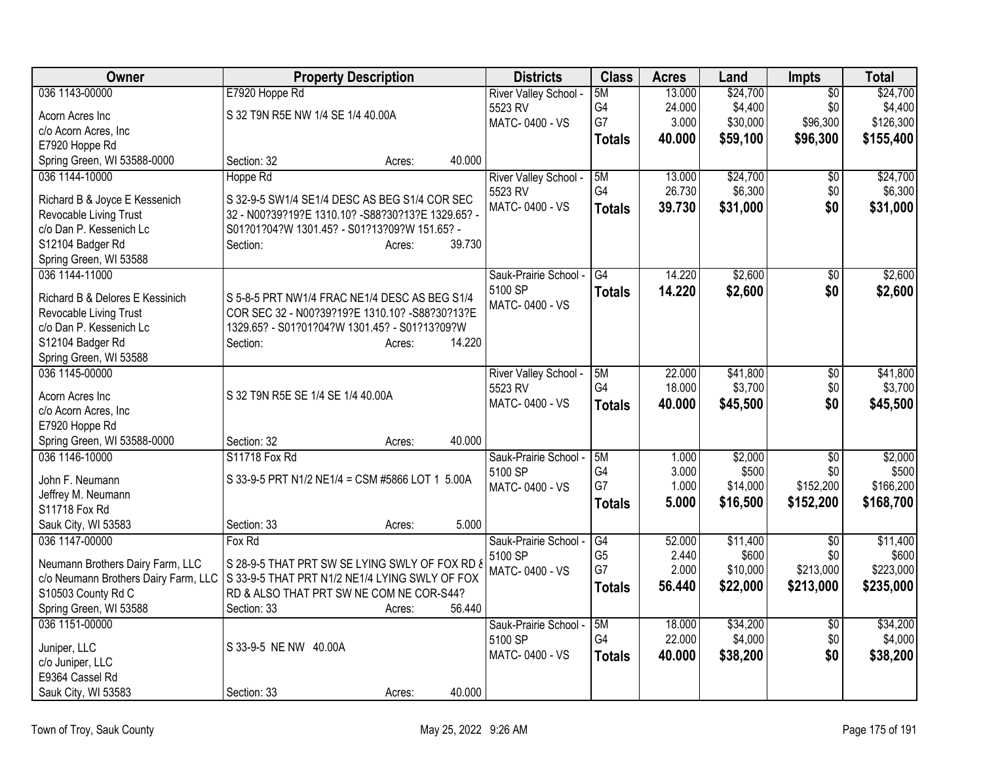| Owner                                                   | <b>Property Description</b>                        |        | <b>Districts</b>                 | <b>Class</b>   | <b>Acres</b>     | Land                | <b>Impts</b>    | <b>Total</b>        |
|---------------------------------------------------------|----------------------------------------------------|--------|----------------------------------|----------------|------------------|---------------------|-----------------|---------------------|
| 036 1143-00000                                          | E7920 Hoppe Rd                                     |        | River Valley School -            | 5M             | 13.000           | \$24,700            | \$0             | \$24,700            |
| Acorn Acres Inc.                                        | S 32 T9N R5E NW 1/4 SE 1/4 40.00A                  |        | 5523 RV                          | G4             | 24.000           | \$4,400             | \$0             | \$4,400             |
| c/o Acorn Acres, Inc                                    |                                                    |        | MATC-0400 - VS                   | G7             | 3.000            | \$30,000            | \$96,300        | \$126,300           |
| E7920 Hoppe Rd                                          |                                                    |        |                                  | <b>Totals</b>  | 40.000           | \$59,100            | \$96,300        | \$155,400           |
| Spring Green, WI 53588-0000                             | Section: 32<br>Acres:                              | 40.000 |                                  |                |                  |                     |                 |                     |
| 036 1144-10000                                          | Hoppe Rd                                           |        | River Valley School -            | 5M             | 13.000           | \$24,700            | $\overline{50}$ | \$24,700            |
|                                                         | S 32-9-5 SW1/4 SE1/4 DESC AS BEG S1/4 COR SEC      |        | 5523 RV                          | G4             | 26.730           | \$6,300             | \$0             | \$6,300             |
| Richard B & Joyce E Kessenich<br>Revocable Living Trust | 32 - N00?39?19?E 1310.10? - S88?30?13?E 1329.65? - |        | MATC-0400 - VS                   | <b>Totals</b>  | 39.730           | \$31,000            | \$0             | \$31,000            |
| c/o Dan P. Kessenich Lc                                 | S01?01?04?W 1301.45? - S01?13?09?W 151.65? -       |        |                                  |                |                  |                     |                 |                     |
| S12104 Badger Rd                                        | Section:<br>Acres:                                 | 39.730 |                                  |                |                  |                     |                 |                     |
| Spring Green, WI 53588                                  |                                                    |        |                                  |                |                  |                     |                 |                     |
| 036 1144-11000                                          |                                                    |        | Sauk-Prairie School -            | G4             | 14.220           | \$2,600             | $\overline{50}$ | \$2,600             |
|                                                         |                                                    |        | 5100 SP                          | <b>Totals</b>  | 14.220           | \$2,600             | \$0             | \$2,600             |
| Richard B & Delores E Kessinich                         | S 5-8-5 PRT NW1/4 FRAC NE1/4 DESC AS BEG S1/4      |        | MATC-0400 - VS                   |                |                  |                     |                 |                     |
| Revocable Living Trust                                  | COR SEC 32 - N00?39?19?E 1310.10? - S88?30?13?E    |        |                                  |                |                  |                     |                 |                     |
| c/o Dan P. Kessenich Lc                                 | 1329.65? - S01?01?04?W 1301.45? - S01?13?09?W      |        |                                  |                |                  |                     |                 |                     |
| S12104 Badger Rd                                        | Section:<br>Acres:                                 | 14.220 |                                  |                |                  |                     |                 |                     |
| Spring Green, WI 53588                                  |                                                    |        |                                  | 5M             |                  |                     |                 |                     |
| 036 1145-00000                                          |                                                    |        | River Valley School -<br>5523 RV | G4             | 22.000<br>18.000 | \$41,800<br>\$3,700 | \$0<br>\$0      | \$41,800<br>\$3,700 |
| Acorn Acres Inc                                         | S 32 T9N R5E SE 1/4 SE 1/4 40.00A                  |        | MATC-0400 - VS                   | <b>Totals</b>  | 40.000           | \$45,500            | \$0             | \$45,500            |
| c/o Acorn Acres, Inc                                    |                                                    |        |                                  |                |                  |                     |                 |                     |
| E7920 Hoppe Rd                                          |                                                    |        |                                  |                |                  |                     |                 |                     |
| Spring Green, WI 53588-0000                             | Section: 32<br>Acres:                              | 40.000 |                                  |                |                  |                     |                 |                     |
| 036 1146-10000                                          | S11718 Fox Rd                                      |        | Sauk-Prairie School -            | 5M             | 1.000            | \$2,000             | \$0             | \$2,000             |
| John F. Neumann                                         | S 33-9-5 PRT N1/2 NE1/4 = CSM #5866 LOT 1 5.00A    |        | 5100 SP                          | G4             | 3.000            | \$500               | \$0             | \$500               |
| Jeffrey M. Neumann                                      |                                                    |        | MATC-0400 - VS                   | G7             | 1.000            | \$14,000            | \$152,200       | \$166,200           |
| S11718 Fox Rd                                           |                                                    |        |                                  | <b>Totals</b>  | 5.000            | \$16,500            | \$152,200       | \$168,700           |
| Sauk City, WI 53583                                     | Section: 33<br>Acres:                              | 5.000  |                                  |                |                  |                     |                 |                     |
| 036 1147-00000                                          | Fox Rd                                             |        | Sauk-Prairie School -            | G4             | 52.000           | \$11,400            | \$0             | \$11,400            |
| Neumann Brothers Dairy Farm, LLC                        | S 28-9-5 THAT PRT SW SE LYING SWLY OF FOX RD &     |        | 5100 SP                          | G <sub>5</sub> | 2.440            | \$600               | \$0             | \$600               |
| c/o Neumann Brothers Dairy Farm, LLC                    | S 33-9-5 THAT PRT N1/2 NE1/4 LYING SWLY OF FOX     |        | MATC-0400 - VS                   | G7             | 2.000            | \$10,000            | \$213,000       | \$223,000           |
| S10503 County Rd C                                      | RD & ALSO THAT PRT SW NE COM NE COR-S44?           |        |                                  | <b>Totals</b>  | 56.440           | \$22,000            | \$213,000       | \$235,000           |
| Spring Green, WI 53588                                  | Section: 33<br>Acres:                              | 56.440 |                                  |                |                  |                     |                 |                     |
| 036 1151-00000                                          |                                                    |        | Sauk-Prairie School -            | 5M             | 18,000           | \$34,200            | $\sqrt{$0}$     | \$34,200            |
|                                                         |                                                    |        | 5100 SP                          | G4             | 22.000           | \$4,000             | \$0             | \$4,000             |
| Juniper, LLC                                            | S 33-9-5 NE NW 40.00A                              |        | MATC-0400 - VS                   | <b>Totals</b>  | 40.000           | \$38,200            | \$0             | \$38,200            |
| c/o Juniper, LLC                                        |                                                    |        |                                  |                |                  |                     |                 |                     |
| E9364 Cassel Rd                                         |                                                    |        |                                  |                |                  |                     |                 |                     |
| Sauk City, WI 53583                                     | Section: 33<br>Acres:                              | 40.000 |                                  |                |                  |                     |                 |                     |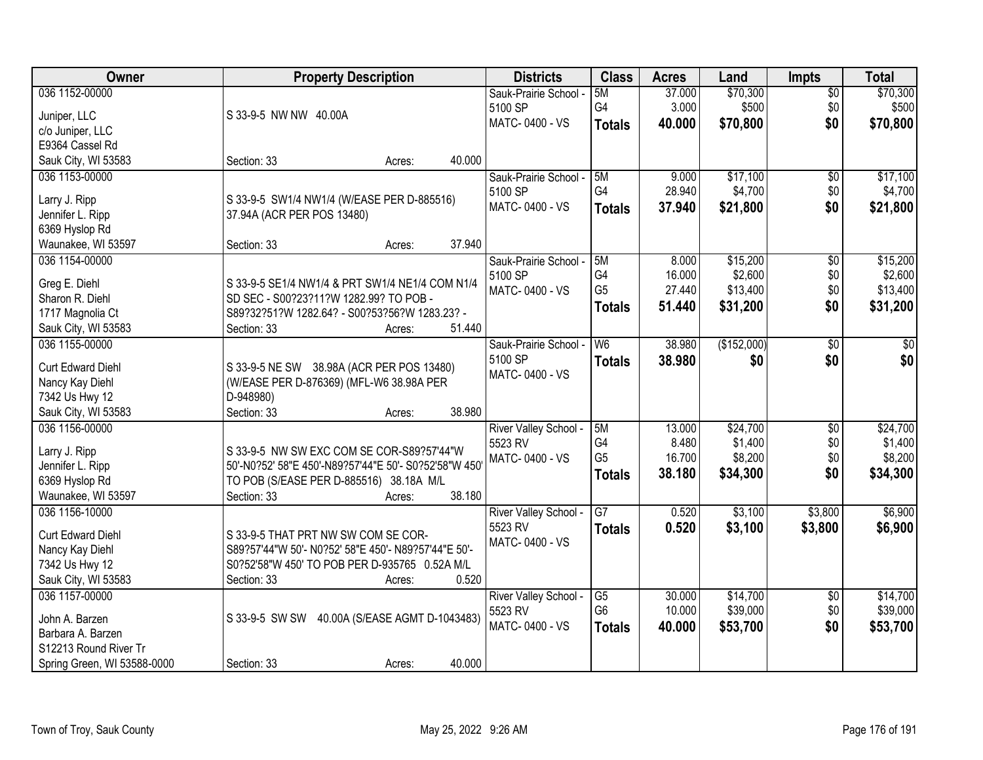| Owner                       | <b>Property Description</b>                             | <b>Districts</b>      | <b>Class</b>    | <b>Acres</b> | Land        | Impts           | <b>Total</b> |
|-----------------------------|---------------------------------------------------------|-----------------------|-----------------|--------------|-------------|-----------------|--------------|
| 036 1152-00000              |                                                         | Sauk-Prairie School - | 5M              | 37.000       | \$70,300    | $\overline{50}$ | \$70,300     |
| Juniper, LLC                | S 33-9-5 NW NW 40.00A                                   | 5100 SP               | G4              | 3.000        | \$500       | \$0             | \$500        |
| c/o Juniper, LLC            |                                                         | MATC-0400 - VS        | <b>Totals</b>   | 40.000       | \$70,800    | \$0             | \$70,800     |
| E9364 Cassel Rd             |                                                         |                       |                 |              |             |                 |              |
| Sauk City, WI 53583         | 40.000<br>Section: 33<br>Acres:                         |                       |                 |              |             |                 |              |
| 036 1153-00000              |                                                         | Sauk-Prairie School - | 5M              | 9.000        | \$17,100    | $\overline{50}$ | \$17,100     |
|                             |                                                         | 5100 SP               | G4              | 28.940       | \$4,700     | \$0             | \$4,700      |
| Larry J. Ripp               | S 33-9-5 SW1/4 NW1/4 (W/EASE PER D-885516)              | MATC-0400 - VS        |                 | 37.940       | \$21,800    | \$0             |              |
| Jennifer L. Ripp            | 37.94A (ACR PER POS 13480)                              |                       | <b>Totals</b>   |              |             |                 | \$21,800     |
| 6369 Hyslop Rd              |                                                         |                       |                 |              |             |                 |              |
| Waunakee, WI 53597          | 37.940<br>Section: 33<br>Acres:                         |                       |                 |              |             |                 |              |
| 036 1154-00000              |                                                         | Sauk-Prairie School - | 5M              | 8.000        | \$15,200    | \$0             | \$15,200     |
|                             |                                                         | 5100 SP               | G4              | 16.000       | \$2,600     | \$0             | \$2,600      |
| Greg E. Diehl               | S 33-9-5 SE1/4 NW1/4 & PRT SW1/4 NE1/4 COM N1/4         | MATC-0400 - VS        | G <sub>5</sub>  | 27.440       | \$13,400    | \$0             | \$13,400     |
| Sharon R. Diehl             | SD SEC - S00?23?11?W 1282.99? TO POB -                  |                       | <b>Totals</b>   | 51.440       | \$31,200    | \$0             | \$31,200     |
| 1717 Magnolia Ct            | S89?32?51?W 1282.64? - S00?53?56?W 1283.23? -<br>51.440 |                       |                 |              |             |                 |              |
| Sauk City, WI 53583         | Section: 33<br>Acres:                                   |                       |                 |              |             |                 |              |
| 036 1155-00000              |                                                         | Sauk-Prairie School - | W <sub>6</sub>  | 38.980       | (\$152,000) | \$0             | $\sqrt{50}$  |
| <b>Curt Edward Diehl</b>    | S 33-9-5 NE SW 38.98A (ACR PER POS 13480)               | 5100 SP               | <b>Totals</b>   | 38.980       | \$0         | \$0             | \$0          |
| Nancy Kay Diehl             | (W/EASE PER D-876369) (MFL-W6 38.98A PER                | MATC-0400 - VS        |                 |              |             |                 |              |
| 7342 Us Hwy 12              | D-948980)                                               |                       |                 |              |             |                 |              |
| Sauk City, WI 53583         | 38.980<br>Section: 33<br>Acres:                         |                       |                 |              |             |                 |              |
| 036 1156-00000              |                                                         | River Valley School - | 5M              | 13.000       | \$24,700    | $\overline{50}$ | \$24,700     |
|                             |                                                         | 5523 RV               | G <sub>4</sub>  | 8.480        | \$1,400     | \$0             | \$1,400      |
| Larry J. Ripp               | S 33-9-5 NW SW EXC COM SE COR-S89?57'44"W               | MATC-0400 - VS        | G <sub>5</sub>  | 16.700       | \$8,200     | \$0             | \$8,200      |
| Jennifer L. Ripp            | 50'-N0?52' 58"E 450'-N89?57'44"E 50'- S0?52'58"W 450    |                       | <b>Totals</b>   | 38.180       | \$34,300    | \$0             | \$34,300     |
| 6369 Hyslop Rd              | TO POB (S/EASE PER D-885516) 38.18A M/L                 |                       |                 |              |             |                 |              |
| Waunakee, WI 53597          | 38.180<br>Section: 33<br>Acres:                         |                       |                 |              |             |                 |              |
| 036 1156-10000              |                                                         | River Valley School - | $\overline{G7}$ | 0.520        | \$3,100     | \$3,800         | \$6,900      |
| <b>Curt Edward Diehl</b>    | S 33-9-5 THAT PRT NW SW COM SE COR-                     | 5523 RV               | <b>Totals</b>   | 0.520        | \$3,100     | \$3,800         | \$6,900      |
| Nancy Kay Diehl             | S89?57'44"W 50'- N0?52' 58"E 450'- N89?57'44"E 50'-     | MATC-0400 - VS        |                 |              |             |                 |              |
| 7342 Us Hwy 12              | S0?52'58"W 450' TO POB PER D-935765 0.52A M/L           |                       |                 |              |             |                 |              |
| Sauk City, WI 53583         | 0.520<br>Section: 33<br>Acres:                          |                       |                 |              |             |                 |              |
| 036 1157-00000              |                                                         | River Valley School - | $\overline{G5}$ | 30.000       | \$14,700    | $\overline{50}$ | \$14,700     |
|                             |                                                         | 5523 RV               | G <sub>6</sub>  | 10.000       | \$39,000    | \$0             | \$39,000     |
| John A. Barzen              | S 33-9-5 SW SW 40.00A (S/EASE AGMT D-1043483)           | MATC-0400 - VS        | <b>Totals</b>   | 40.000       | \$53,700    | \$0             | \$53,700     |
| Barbara A. Barzen           |                                                         |                       |                 |              |             |                 |              |
| S12213 Round River Tr       |                                                         |                       |                 |              |             |                 |              |
| Spring Green, WI 53588-0000 | 40.000<br>Section: 33<br>Acres:                         |                       |                 |              |             |                 |              |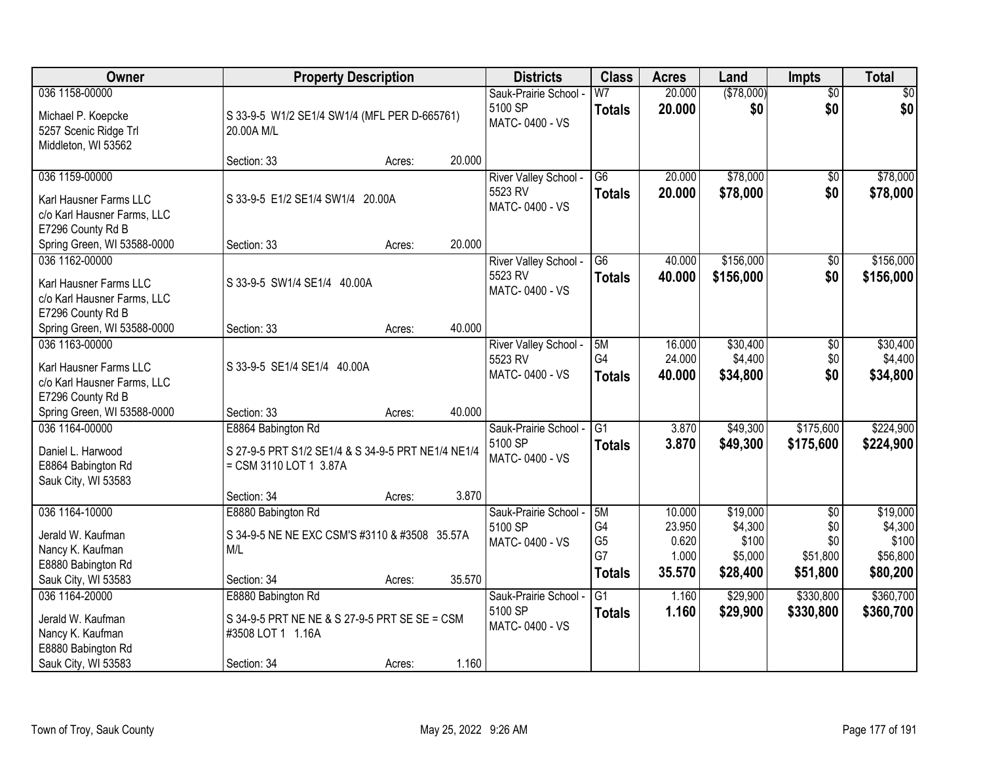| Owner                                                                                                | <b>Property Description</b>                                                                             |        |        | <b>Districts</b>                                   | <b>Class</b>                                      | <b>Acres</b>                                 | Land                                                | <b>Impts</b>                                          | <b>Total</b>                                         |
|------------------------------------------------------------------------------------------------------|---------------------------------------------------------------------------------------------------------|--------|--------|----------------------------------------------------|---------------------------------------------------|----------------------------------------------|-----------------------------------------------------|-------------------------------------------------------|------------------------------------------------------|
| 036 1158-00000<br>Michael P. Koepcke<br>5257 Scenic Ridge Trl<br>Middleton, WI 53562                 | S 33-9-5 W1/2 SE1/4 SW1/4 (MFL PER D-665761)<br>20.00A M/L                                              |        |        | Sauk-Prairie School -<br>5100 SP<br>MATC-0400 - VS | W <sub>7</sub><br><b>Totals</b>                   | 20.000<br>20.000                             | (\$78,000)<br>\$0                                   | $\overline{50}$<br>\$0                                | \$0<br>\$0                                           |
|                                                                                                      | Section: 33                                                                                             | Acres: | 20.000 |                                                    |                                                   |                                              |                                                     |                                                       |                                                      |
| 036 1159-00000<br>Karl Hausner Farms LLC<br>c/o Karl Hausner Farms, LLC<br>E7296 County Rd B         | S 33-9-5 E1/2 SE1/4 SW1/4 20.00A                                                                        |        |        | River Valley School -<br>5523 RV<br>MATC-0400 - VS | $\overline{G6}$<br><b>Totals</b>                  | 20.000<br>20.000                             | \$78,000<br>\$78,000                                | \$0<br>\$0                                            | \$78,000<br>\$78,000                                 |
| Spring Green, WI 53588-0000                                                                          | Section: 33                                                                                             | Acres: | 20.000 |                                                    |                                                   |                                              |                                                     |                                                       |                                                      |
| 036 1162-00000<br>Karl Hausner Farms LLC<br>c/o Karl Hausner Farms, LLC<br>E7296 County Rd B         | S 33-9-5 SW1/4 SE1/4 40.00A                                                                             |        |        | River Valley School -<br>5523 RV<br>MATC-0400 - VS | G <sub>6</sub><br><b>Totals</b>                   | 40.000<br>40.000                             | \$156,000<br>\$156,000                              | $\sqrt[6]{3}$<br>\$0                                  | \$156,000<br>\$156,000                               |
| Spring Green, WI 53588-0000                                                                          | Section: 33                                                                                             | Acres: | 40.000 |                                                    |                                                   |                                              |                                                     |                                                       |                                                      |
| 036 1163-00000<br>Karl Hausner Farms LLC<br>c/o Karl Hausner Farms, LLC<br>E7296 County Rd B         | S 33-9-5 SE1/4 SE1/4 40.00A                                                                             |        |        | River Valley School -<br>5523 RV<br>MATC-0400 - VS | 5M<br>G4<br><b>Totals</b>                         | 16.000<br>24.000<br>40.000                   | \$30,400<br>\$4,400<br>\$34,800                     | \$0<br>\$0<br>\$0                                     | \$30,400<br>\$4,400<br>\$34,800                      |
| Spring Green, WI 53588-0000                                                                          | Section: 33                                                                                             | Acres: | 40.000 |                                                    |                                                   |                                              |                                                     |                                                       |                                                      |
| 036 1164-00000<br>Daniel L. Harwood<br>E8864 Babington Rd<br>Sauk City, WI 53583                     | E8864 Babington Rd<br>S 27-9-5 PRT S1/2 SE1/4 & S 34-9-5 PRT NE1/4 NE1/4<br>= CSM 3110 LOT 1 3.87A      |        |        | Sauk-Prairie School -<br>5100 SP<br>MATC-0400 - VS | $\overline{G1}$<br><b>Totals</b>                  | 3.870<br>3.870                               | \$49,300<br>\$49,300                                | \$175,600<br>\$175,600                                | \$224,900<br>\$224,900                               |
|                                                                                                      | Section: 34                                                                                             | Acres: | 3.870  |                                                    |                                                   |                                              |                                                     |                                                       |                                                      |
| 036 1164-10000<br>Jerald W. Kaufman<br>Nancy K. Kaufman<br>E8880 Babington Rd<br>Sauk City, WI 53583 | E8880 Babington Rd<br>S 34-9-5 NE NE EXC CSM'S #3110 & #3508 35.57A<br>M/L<br>Section: 34               | Acres: | 35.570 | Sauk-Prairie School -<br>5100 SP<br>MATC-0400 - VS | 5M<br>G4<br>G <sub>5</sub><br>G7<br><b>Totals</b> | 10.000<br>23.950<br>0.620<br>1.000<br>35.570 | \$19,000<br>\$4,300<br>\$100<br>\$5,000<br>\$28,400 | $\overline{50}$<br>\$0<br>\$0<br>\$51,800<br>\$51,800 | \$19,000<br>\$4,300<br>\$100<br>\$56,800<br>\$80,200 |
| 036 1164-20000<br>Jerald W. Kaufman<br>Nancy K. Kaufman<br>E8880 Babington Rd<br>Sauk City, WI 53583 | E8880 Babington Rd<br>S 34-9-5 PRT NE NE & S 27-9-5 PRT SE SE = CSM<br>#3508 LOT 1 1.16A<br>Section: 34 | Acres: | 1.160  | Sauk-Prairie School -<br>5100 SP<br>MATC-0400 - VS | $\overline{G1}$<br><b>Totals</b>                  | 1.160<br>1.160                               | \$29,900<br>\$29,900                                | \$330,800<br>\$330,800                                | \$360,700<br>\$360,700                               |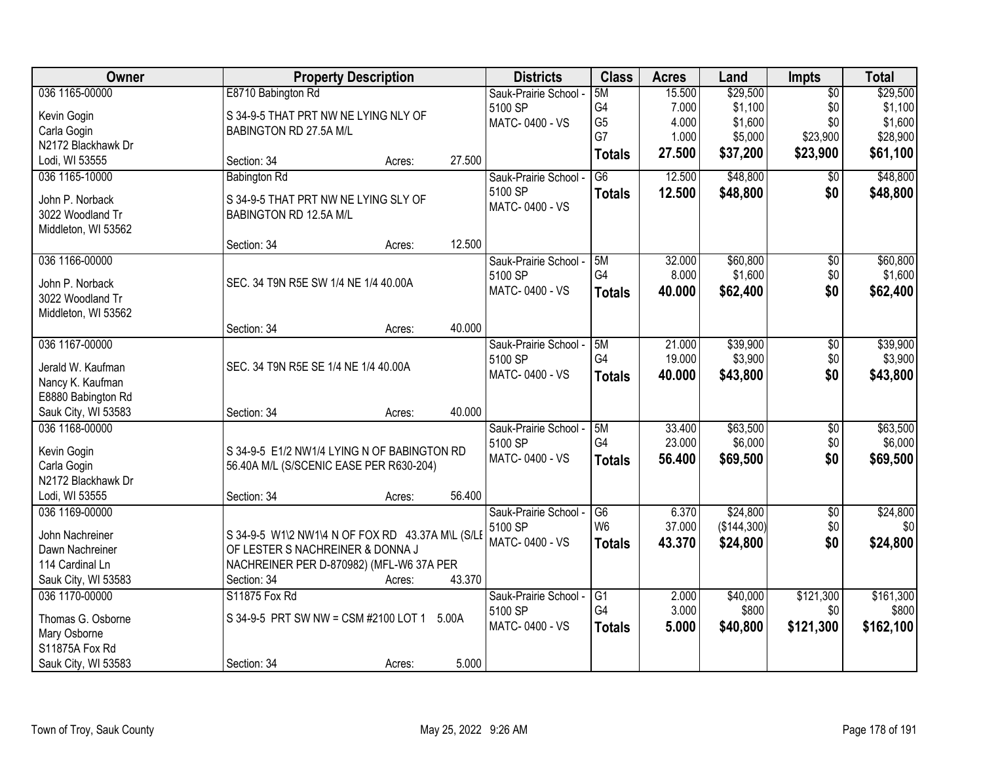| Owner               | <b>Property Description</b>                      |                  | <b>Districts</b>      | <b>Class</b>    | <b>Acres</b> | Land        | Impts           | <b>Total</b> |
|---------------------|--------------------------------------------------|------------------|-----------------------|-----------------|--------------|-------------|-----------------|--------------|
| 036 1165-00000      | E8710 Babington Rd                               |                  | Sauk-Prairie School - | 5M              | 15.500       | \$29,500    | $\overline{50}$ | \$29,500     |
| Kevin Gogin         | S 34-9-5 THAT PRT NW NE LYING NLY OF             |                  | 5100 SP               | G4              | 7.000        | \$1,100     | \$0             | \$1,100      |
| Carla Gogin         | BABINGTON RD 27.5A M/L                           |                  | MATC-0400 - VS        | G <sub>5</sub>  | 4.000        | \$1,600     | \$0             | \$1,600      |
| N2172 Blackhawk Dr  |                                                  |                  |                       | G7              | 1.000        | \$5,000     | \$23,900        | \$28,900     |
| Lodi, WI 53555      | Section: 34                                      | 27.500<br>Acres: |                       | <b>Totals</b>   | 27.500       | \$37,200    | \$23,900        | \$61,100     |
| 036 1165-10000      | <b>Babington Rd</b>                              |                  | Sauk-Prairie School - | $\overline{G6}$ | 12.500       | \$48,800    | $\overline{50}$ | \$48,800     |
|                     |                                                  |                  | 5100 SP               | <b>Totals</b>   | 12.500       | \$48,800    | \$0             | \$48,800     |
| John P. Norback     | S 34-9-5 THAT PRT NW NE LYING SLY OF             |                  | MATC-0400 - VS        |                 |              |             |                 |              |
| 3022 Woodland Tr    | BABINGTON RD 12.5A M/L                           |                  |                       |                 |              |             |                 |              |
| Middleton, WI 53562 |                                                  |                  |                       |                 |              |             |                 |              |
|                     | Section: 34                                      | 12.500<br>Acres: |                       |                 |              |             |                 |              |
| 036 1166-00000      |                                                  |                  | Sauk-Prairie School - | 5M              | 32.000       | \$60,800    | $\overline{50}$ | \$60,800     |
| John P. Norback     | SEC. 34 T9N R5E SW 1/4 NE 1/4 40.00A             |                  | 5100 SP               | G4              | 8.000        | \$1,600     | \$0             | \$1,600      |
| 3022 Woodland Tr    |                                                  |                  | MATC-0400 - VS        | <b>Totals</b>   | 40.000       | \$62,400    | \$0             | \$62,400     |
| Middleton, WI 53562 |                                                  |                  |                       |                 |              |             |                 |              |
|                     | Section: 34                                      | 40.000<br>Acres: |                       |                 |              |             |                 |              |
| 036 1167-00000      |                                                  |                  | Sauk-Prairie School - | 5M              | 21.000       | \$39,900    | $\overline{50}$ | \$39,900     |
|                     |                                                  |                  | 5100 SP               | G4              | 19.000       | \$3,900     | \$0             | \$3,900      |
| Jerald W. Kaufman   | SEC. 34 T9N R5E SE 1/4 NE 1/4 40.00A             |                  | MATC-0400 - VS        | <b>Totals</b>   | 40.000       | \$43,800    | \$0             | \$43,800     |
| Nancy K. Kaufman    |                                                  |                  |                       |                 |              |             |                 |              |
| E8880 Babington Rd  |                                                  |                  |                       |                 |              |             |                 |              |
| Sauk City, WI 53583 | Section: 34                                      | 40.000<br>Acres: |                       |                 |              |             |                 |              |
| 036 1168-00000      |                                                  |                  | Sauk-Prairie School - | 5M              | 33.400       | \$63,500    | $\overline{50}$ | \$63,500     |
| Kevin Gogin         | S 34-9-5 E1/2 NW1/4 LYING N OF BABINGTON RD      |                  | 5100 SP               | G4              | 23.000       | \$6,000     | \$0             | \$6,000      |
| Carla Gogin         | 56.40A M/L (S/SCENIC EASE PER R630-204)          |                  | MATC-0400 - VS        | <b>Totals</b>   | 56.400       | \$69,500    | \$0             | \$69,500     |
| N2172 Blackhawk Dr  |                                                  |                  |                       |                 |              |             |                 |              |
| Lodi, WI 53555      | Section: 34                                      | 56.400<br>Acres: |                       |                 |              |             |                 |              |
| 036 1169-00000      |                                                  |                  | Sauk-Prairie School - | G6              | 6.370        | \$24,800    | $\overline{50}$ | \$24,800     |
|                     |                                                  |                  | 5100 SP               | W <sub>6</sub>  | 37.000       | (\$144,300) | \$0             | \$0          |
| John Nachreiner     | S 34-9-5 W1\2 NW1\4 N OF FOX RD 43.37A M\L (S/LE |                  | MATC-0400 - VS        | <b>Totals</b>   | 43.370       | \$24,800    | \$0             | \$24,800     |
| Dawn Nachreiner     | OF LESTER S NACHREINER & DONNA J                 |                  |                       |                 |              |             |                 |              |
| 114 Cardinal Ln     | NACHREINER PER D-870982) (MFL-W6 37A PER         |                  |                       |                 |              |             |                 |              |
| Sauk City, WI 53583 | Section: 34                                      | 43.370<br>Acres: |                       |                 |              |             |                 |              |
| 036 1170-00000      | S11875 Fox Rd                                    |                  | Sauk-Prairie School - | $\overline{G1}$ | 2.000        | \$40,000    | \$121,300       | \$161,300    |
| Thomas G. Osborne   | S 34-9-5 PRT SW NW = CSM #2100 LOT 1             | 5.00A            | 5100 SP               | G4              | 3.000        | \$800       | \$0             | \$800        |
| Mary Osborne        |                                                  |                  | MATC-0400 - VS        | <b>Totals</b>   | 5.000        | \$40,800    | \$121,300       | \$162,100    |
| S11875A Fox Rd      |                                                  |                  |                       |                 |              |             |                 |              |
| Sauk City, WI 53583 | Section: 34                                      | 5.000<br>Acres:  |                       |                 |              |             |                 |              |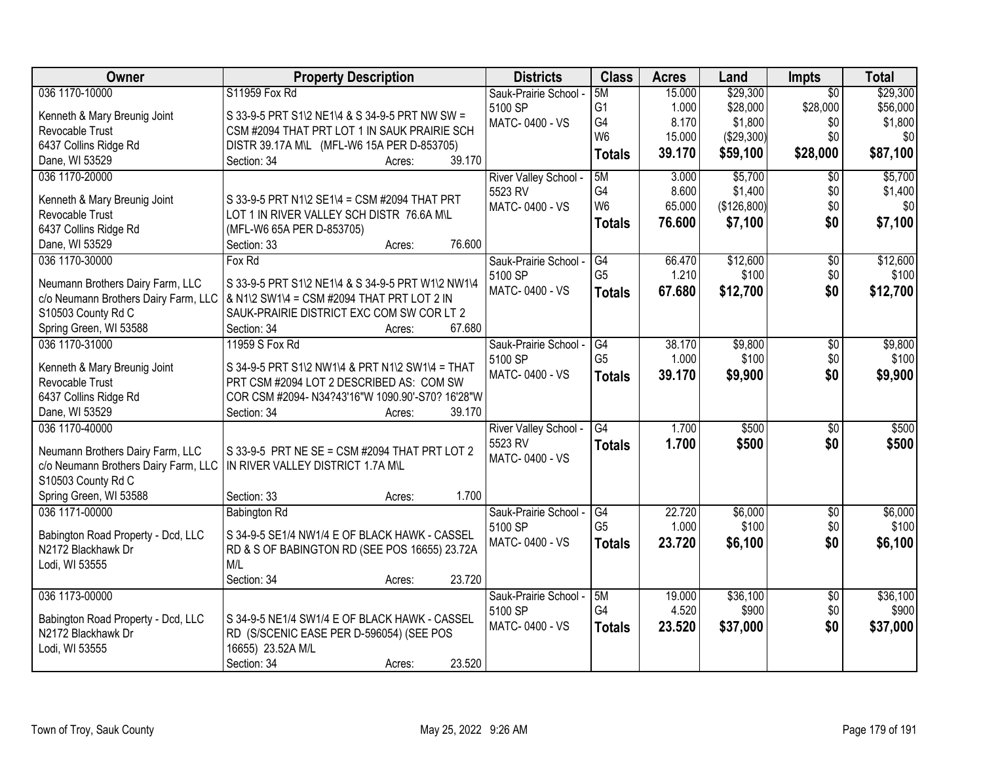| Owner                                | <b>Property Description</b>                       | <b>Districts</b>      | <b>Class</b>    | <b>Acres</b> | Land        | <b>Impts</b>    | <b>Total</b> |
|--------------------------------------|---------------------------------------------------|-----------------------|-----------------|--------------|-------------|-----------------|--------------|
| 036 1170-10000                       | S11959 Fox Rd                                     | Sauk-Prairie School - | 5M              | 15.000       | \$29,300    | $\overline{50}$ | \$29,300     |
| Kenneth & Mary Breunig Joint         | S 33-9-5 PRT S1\2 NE1\4 & S 34-9-5 PRT NW SW =    | 5100 SP               | G <sub>1</sub>  | 1.000        | \$28,000    | \$28,000        | \$56,000     |
| Revocable Trust                      | CSM #2094 THAT PRT LOT 1 IN SAUK PRAIRIE SCH      | MATC-0400 - VS        | G4              | 8.170        | \$1,800     | \$0             | \$1,800      |
| 6437 Collins Ridge Rd                | DISTR 39.17A M\L (MFL-W6 15A PER D-853705)        |                       | W <sub>6</sub>  | 15.000       | (\$29,300)  | \$0             | \$0          |
| Dane, WI 53529                       | Section: 34<br>39.170<br>Acres:                   |                       | <b>Totals</b>   | 39.170       | \$59,100    | \$28,000        | \$87,100     |
| 036 1170-20000                       |                                                   | River Valley School - | 5M              | 3.000        | \$5,700     | $\overline{50}$ | \$5,700      |
|                                      |                                                   | 5523 RV               | G4              | 8.600        | \$1,400     | \$0             | \$1,400      |
| Kenneth & Mary Breunig Joint         | S 33-9-5 PRT N1\2 SE1\4 = CSM #2094 THAT PRT      | MATC-0400 - VS        | W <sub>6</sub>  | 65.000       | (\$126,800) | \$0             | \$0          |
| Revocable Trust                      | LOT 1 IN RIVER VALLEY SCH DISTR 76.6A M\L         |                       | <b>Totals</b>   | 76.600       | \$7,100     | \$0             | \$7,100      |
| 6437 Collins Ridge Rd                | (MFL-W6 65A PER D-853705)                         |                       |                 |              |             |                 |              |
| Dane, WI 53529                       | 76.600<br>Section: 33<br>Acres:                   |                       |                 |              |             |                 |              |
| 036 1170-30000                       | Fox Rd                                            | Sauk-Prairie School - | G4              | 66.470       | \$12,600    | $\overline{50}$ | \$12,600     |
| Neumann Brothers Dairy Farm, LLC     | S 33-9-5 PRT S1\2 NE1\4 & S 34-9-5 PRT W1\2 NW1\4 | 5100 SP               | G <sub>5</sub>  | 1.210        | \$100       | \$0             | \$100        |
| c/o Neumann Brothers Dairy Farm, LLC | & N1\2 SW1\4 = CSM #2094 THAT PRT LOT 2 IN        | MATC-0400 - VS        | <b>Totals</b>   | 67.680       | \$12,700    | \$0             | \$12,700     |
| S10503 County Rd C                   | SAUK-PRAIRIE DISTRICT EXC COM SW COR LT 2         |                       |                 |              |             |                 |              |
| Spring Green, WI 53588               | 67.680<br>Section: 34<br>Acres:                   |                       |                 |              |             |                 |              |
| 036 1170-31000                       | 11959 S Fox Rd                                    | Sauk-Prairie School - | G4              | 38.170       | \$9,800     | \$0             | \$9,800      |
|                                      |                                                   | 5100 SP               | G <sub>5</sub>  | 1.000        | \$100       | \$0             | \$100        |
| Kenneth & Mary Breunig Joint         | S 34-9-5 PRT S1\2 NW1\4 & PRT N1\2 SW1\4 = THAT   | MATC-0400 - VS        | <b>Totals</b>   | 39.170       | \$9,900     | \$0             | \$9,900      |
| Revocable Trust                      | PRT CSM #2094 LOT 2 DESCRIBED AS: COM SW          |                       |                 |              |             |                 |              |
| 6437 Collins Ridge Rd                | COR CSM #2094- N34?43'16"W 1090.90'-S70? 16'28"W  |                       |                 |              |             |                 |              |
| Dane, WI 53529                       | 39.170<br>Section: 34<br>Acres:                   |                       |                 |              |             |                 |              |
| 036 1170-40000                       |                                                   | River Valley School - | $\overline{G4}$ | 1.700        | \$500       | \$0             | \$500        |
| Neumann Brothers Dairy Farm, LLC     | S 33-9-5 PRT NE SE = CSM #2094 THAT PRT LOT 2     | 5523 RV               | <b>Totals</b>   | 1.700        | \$500       | \$0             | \$500        |
| c/o Neumann Brothers Dairy Farm, LLC | IN RIVER VALLEY DISTRICT 1.7A M\L                 | MATC-0400 - VS        |                 |              |             |                 |              |
| S10503 County Rd C                   |                                                   |                       |                 |              |             |                 |              |
| Spring Green, WI 53588               | 1.700<br>Section: 33<br>Acres:                    |                       |                 |              |             |                 |              |
| 036 1171-00000                       | <b>Babington Rd</b>                               | Sauk-Prairie School - | G4              | 22.720       | \$6,000     | $\overline{60}$ | \$6,000      |
|                                      |                                                   | 5100 SP               | G <sub>5</sub>  | 1.000        | \$100       | \$0             | \$100        |
| Babington Road Property - Dcd, LLC   | S 34-9-5 SE1/4 NW1/4 E OF BLACK HAWK - CASSEL     | <b>MATC-0400 - VS</b> | <b>Totals</b>   | 23.720       | \$6,100     | \$0             | \$6,100      |
| N2172 Blackhawk Dr                   | RD & S OF BABINGTON RD (SEE POS 16655) 23.72A     |                       |                 |              |             |                 |              |
| Lodi, WI 53555                       | M/L                                               |                       |                 |              |             |                 |              |
|                                      | 23.720<br>Section: 34<br>Acres:                   |                       |                 |              |             |                 |              |
| 036 1173-00000                       |                                                   | Sauk-Prairie School - | 5M              | 19.000       | \$36,100    | $\overline{50}$ | \$36,100     |
| Babington Road Property - Dcd, LLC   | S 34-9-5 NE1/4 SW1/4 E OF BLACK HAWK - CASSEL     | 5100 SP               | G4              | 4.520        | \$900       | \$0             | \$900        |
| N2172 Blackhawk Dr                   | RD (S/SCENIC EASE PER D-596054) (SEE POS          | MATC-0400 - VS        | <b>Totals</b>   | 23.520       | \$37,000    | \$0             | \$37,000     |
| Lodi, WI 53555                       | 16655) 23.52A M/L                                 |                       |                 |              |             |                 |              |
|                                      | 23.520<br>Section: 34<br>Acres:                   |                       |                 |              |             |                 |              |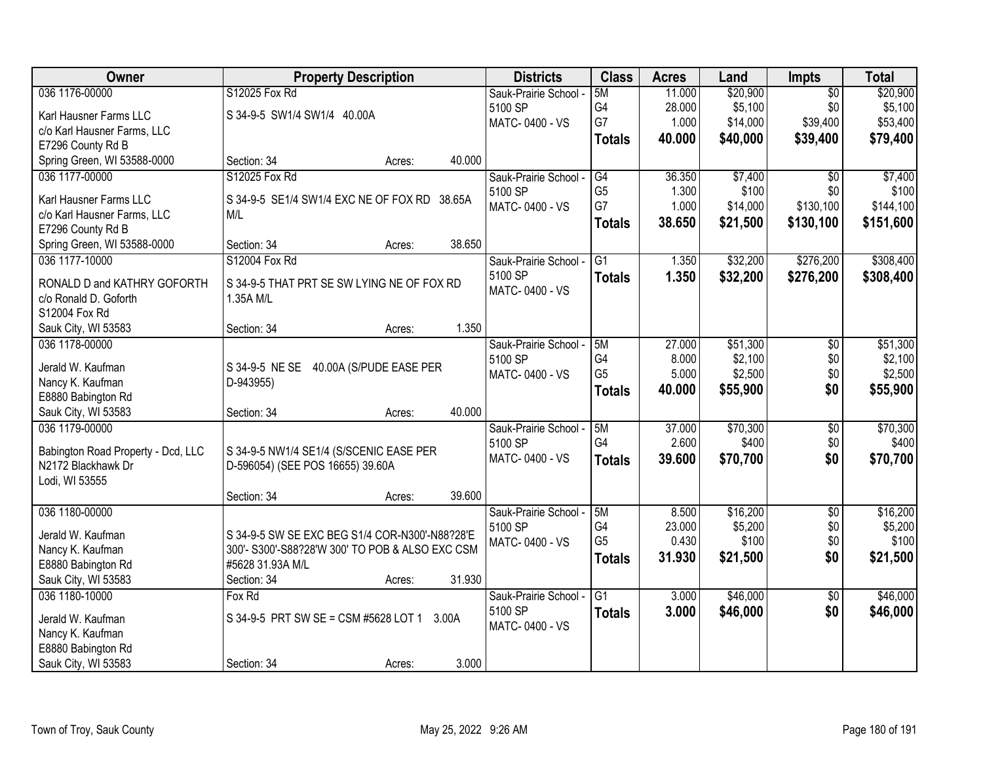| Owner                              | <b>Property Description</b>                     | <b>Districts</b>                 | <b>Class</b>         | <b>Acres</b> | Land     | <b>Impts</b>           | <b>Total</b>     |
|------------------------------------|-------------------------------------------------|----------------------------------|----------------------|--------------|----------|------------------------|------------------|
| 036 1176-00000                     | S12025 Fox Rd                                   | Sauk-Prairie School -            | 5M                   | 11.000       | \$20,900 | $\overline{50}$        | \$20,900         |
| Karl Hausner Farms LLC             | S 34-9-5 SW1/4 SW1/4 40.00A                     | 5100 SP                          | G4                   | 28.000       | \$5,100  | \$0                    | \$5,100          |
| c/o Karl Hausner Farms, LLC        |                                                 | MATC-0400 - VS                   | G7                   | 1.000        | \$14,000 | \$39,400               | \$53,400         |
| E7296 County Rd B                  |                                                 |                                  | <b>Totals</b>        | 40.000       | \$40,000 | \$39,400               | \$79,400         |
| Spring Green, WI 53588-0000        | 40.000<br>Section: 34<br>Acres:                 |                                  |                      |              |          |                        |                  |
| 036 1177-00000                     | S12025 Fox Rd                                   |                                  |                      | 36.350       | \$7,400  |                        |                  |
|                                    |                                                 | Sauk-Prairie School -<br>5100 SP | G4<br>G <sub>5</sub> | 1.300        | \$100    | $\overline{50}$<br>\$0 | \$7,400<br>\$100 |
| Karl Hausner Farms LLC             | S 34-9-5 SE1/4 SW1/4 EXC NE OF FOX RD<br>38.65A |                                  | G7                   | 1.000        | \$14,000 | \$130,100              | \$144,100        |
| c/o Karl Hausner Farms, LLC        | M/L                                             | MATC-0400 - VS                   |                      |              |          |                        |                  |
| E7296 County Rd B                  |                                                 |                                  | <b>Totals</b>        | 38.650       | \$21,500 | \$130,100              | \$151,600        |
| Spring Green, WI 53588-0000        | 38.650<br>Section: 34<br>Acres:                 |                                  |                      |              |          |                        |                  |
| 036 1177-10000                     | S12004 Fox Rd                                   | Sauk-Prairie School -            | G1                   | 1.350        | \$32,200 | \$276,200              | \$308,400        |
| RONALD D and KATHRY GOFORTH        | S 34-9-5 THAT PRT SE SW LYING NE OF FOX RD      | 5100 SP                          | <b>Totals</b>        | 1.350        | \$32,200 | \$276,200              | \$308,400        |
| c/o Ronald D. Goforth              | 1.35A M/L                                       | MATC-0400 - VS                   |                      |              |          |                        |                  |
| S12004 Fox Rd                      |                                                 |                                  |                      |              |          |                        |                  |
| Sauk City, WI 53583                | 1.350<br>Section: 34<br>Acres:                  |                                  |                      |              |          |                        |                  |
| 036 1178-00000                     |                                                 |                                  | 5M                   | 27.000       | \$51,300 |                        | \$51,300         |
|                                    |                                                 | Sauk-Prairie School -<br>5100 SP | G4                   | 8.000        | \$2,100  | \$0<br>\$0             | \$2,100          |
| Jerald W. Kaufman                  | S 34-9-5 NE SE<br>40.00A (S/PUDE EASE PER       |                                  | G <sub>5</sub>       | 5.000        | \$2,500  | \$0                    | \$2,500          |
| Nancy K. Kaufman                   | D-943955)                                       | MATC-0400 - VS                   |                      |              |          |                        |                  |
| E8880 Babington Rd                 |                                                 |                                  | <b>Totals</b>        | 40.000       | \$55,900 | \$0                    | \$55,900         |
| Sauk City, WI 53583                | 40.000<br>Section: 34<br>Acres:                 |                                  |                      |              |          |                        |                  |
| 036 1179-00000                     |                                                 | Sauk-Prairie School -            | 5M                   | 37.000       | \$70,300 | $\overline{30}$        | \$70,300         |
|                                    |                                                 | 5100 SP                          | G <sub>4</sub>       | 2.600        | \$400    | \$0                    | \$400            |
| Babington Road Property - Dcd, LLC | S 34-9-5 NW1/4 SE1/4 (S/SCENIC EASE PER         | MATC-0400 - VS                   | <b>Totals</b>        | 39.600       | \$70,700 | \$0                    | \$70,700         |
| N2172 Blackhawk Dr                 | D-596054) (SEE POS 16655) 39.60A                |                                  |                      |              |          |                        |                  |
| Lodi, WI 53555                     |                                                 |                                  |                      |              |          |                        |                  |
|                                    | 39.600<br>Section: 34<br>Acres:                 |                                  |                      |              |          |                        |                  |
| 036 1180-00000                     |                                                 | Sauk-Prairie School -            | 5M                   | 8.500        | \$16,200 | $\sqrt{6}$             | \$16,200         |
| Jerald W. Kaufman                  | S 34-9-5 SW SE EXC BEG S1/4 COR-N300'-N88?28'E  | 5100 SP                          | G4                   | 23.000       | \$5,200  | \$0                    | \$5,200          |
| Nancy K. Kaufman                   | 300'- S300'-S88?28'W 300' TO POB & ALSO EXC CSM | MATC-0400 - VS                   | G <sub>5</sub>       | 0.430        | \$100    | \$0                    | \$100            |
| E8880 Babington Rd                 | #5628 31.93A M/L                                |                                  | <b>Totals</b>        | 31.930       | \$21,500 | \$0                    | \$21,500         |
| Sauk City, WI 53583                | 31.930<br>Section: 34<br>Acres:                 |                                  |                      |              |          |                        |                  |
| 036 1180-10000                     | Fox Rd                                          | Sauk-Prairie School -            | $\overline{G1}$      | 3.000        | \$46,000 | $\overline{50}$        | \$46,000         |
|                                    |                                                 | 5100 SP                          | <b>Totals</b>        | 3.000        | \$46,000 | \$0                    | \$46,000         |
| Jerald W. Kaufman                  | S 34-9-5 PRT SW SE = CSM #5628 LOT 1<br>3.00A   | MATC-0400 - VS                   |                      |              |          |                        |                  |
| Nancy K. Kaufman                   |                                                 |                                  |                      |              |          |                        |                  |
| E8880 Babington Rd                 |                                                 |                                  |                      |              |          |                        |                  |
| Sauk City, WI 53583                | 3.000<br>Section: 34<br>Acres:                  |                                  |                      |              |          |                        |                  |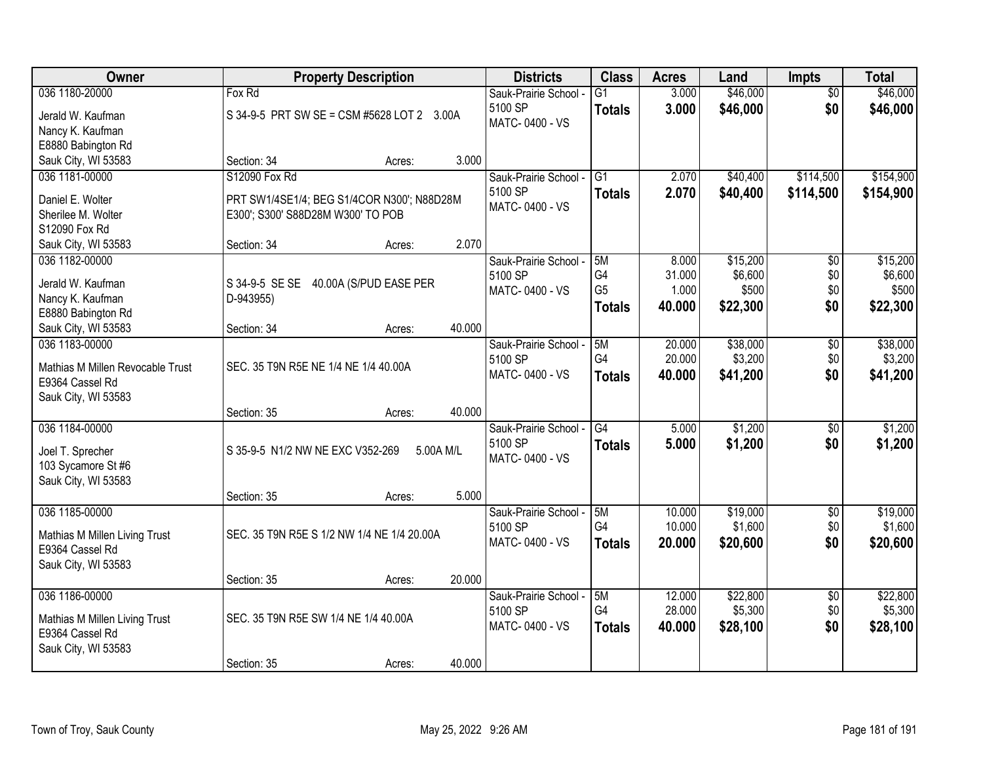| Owner                            |                                            | <b>Property Description</b> |           | <b>Districts</b>      | <b>Class</b>    | <b>Acres</b> | Land     | <b>Impts</b>    | <b>Total</b> |
|----------------------------------|--------------------------------------------|-----------------------------|-----------|-----------------------|-----------------|--------------|----------|-----------------|--------------|
| 036 1180-20000                   | Fox Rd                                     |                             |           | Sauk-Prairie School - | $\overline{G1}$ | 3.000        | \$46,000 | $\overline{50}$ | \$46,000     |
| Jerald W. Kaufman                | S 34-9-5 PRT SW SE = CSM #5628 LOT 2 3.00A |                             |           | 5100 SP               | <b>Totals</b>   | 3.000        | \$46,000 | \$0             | \$46,000     |
| Nancy K. Kaufman                 |                                            |                             |           | MATC-0400 - VS        |                 |              |          |                 |              |
| E8880 Babington Rd               |                                            |                             |           |                       |                 |              |          |                 |              |
| Sauk City, WI 53583              | Section: 34                                | Acres:                      | 3.000     |                       |                 |              |          |                 |              |
| 036 1181-00000                   | S12090 Fox Rd                              |                             |           | Sauk-Prairie School - | $\overline{G1}$ | 2.070        | \$40,400 | \$114,500       | \$154,900    |
| Daniel E. Wolter                 | PRT SW1/4SE1/4; BEG S1/4COR N300'; N88D28M |                             |           | 5100 SP               | <b>Totals</b>   | 2.070        | \$40,400 | \$114,500       | \$154,900    |
| Sherilee M. Wolter               | E300'; S300' S88D28M W300' TO POB          |                             |           | MATC-0400 - VS        |                 |              |          |                 |              |
| S12090 Fox Rd                    |                                            |                             |           |                       |                 |              |          |                 |              |
| Sauk City, WI 53583              | Section: 34                                | Acres:                      | 2.070     |                       |                 |              |          |                 |              |
| 036 1182-00000                   |                                            |                             |           | Sauk-Prairie School - | 5M              | 8.000        | \$15,200 | $\overline{50}$ | \$15,200     |
| Jerald W. Kaufman                | S 34-9-5 SE SE 40.00A (S/PUD EASE PER      |                             |           | 5100 SP               | G4              | 31.000       | \$6,600  | \$0             | \$6,600      |
| Nancy K. Kaufman                 | D-943955)                                  |                             |           | MATC-0400 - VS        | G <sub>5</sub>  | 1.000        | \$500    | \$0             | \$500        |
| E8880 Babington Rd               |                                            |                             |           |                       | <b>Totals</b>   | 40.000       | \$22,300 | \$0             | \$22,300     |
| Sauk City, WI 53583              | Section: 34                                | Acres:                      | 40.000    |                       |                 |              |          |                 |              |
| 036 1183-00000                   |                                            |                             |           | Sauk-Prairie School - | 5M              | 20.000       | \$38,000 | \$0             | \$38,000     |
| Mathias M Millen Revocable Trust | SEC. 35 T9N R5E NE 1/4 NE 1/4 40.00A       |                             |           | 5100 SP               | G4              | 20.000       | \$3,200  | \$0             | \$3,200      |
| E9364 Cassel Rd                  |                                            |                             |           | MATC-0400 - VS        | <b>Totals</b>   | 40.000       | \$41,200 | \$0             | \$41,200     |
| Sauk City, WI 53583              |                                            |                             |           |                       |                 |              |          |                 |              |
|                                  | Section: 35                                | Acres:                      | 40.000    |                       |                 |              |          |                 |              |
| 036 1184-00000                   |                                            |                             |           | Sauk-Prairie School - | $\overline{G4}$ | 5.000        | \$1,200  | $\overline{50}$ | \$1,200      |
| Joel T. Sprecher                 | S 35-9-5 N1/2 NW NE EXC V352-269           |                             | 5.00A M/L | 5100 SP               | Totals          | 5.000        | \$1,200  | \$0             | \$1,200      |
| 103 Sycamore St #6               |                                            |                             |           | MATC-0400 - VS        |                 |              |          |                 |              |
| Sauk City, WI 53583              |                                            |                             |           |                       |                 |              |          |                 |              |
|                                  | Section: 35                                | Acres:                      | 5.000     |                       |                 |              |          |                 |              |
| 036 1185-00000                   |                                            |                             |           | Sauk-Prairie School - | 5M              | 10.000       | \$19,000 | $\sqrt{6}$      | \$19,000     |
| Mathias M Millen Living Trust    | SEC. 35 T9N R5E S 1/2 NW 1/4 NE 1/4 20.00A |                             |           | 5100 SP               | G4              | 10.000       | \$1,600  | \$0             | \$1,600      |
| E9364 Cassel Rd                  |                                            |                             |           | MATC-0400 - VS        | <b>Totals</b>   | 20.000       | \$20,600 | \$0             | \$20,600     |
| Sauk City, WI 53583              |                                            |                             |           |                       |                 |              |          |                 |              |
|                                  | Section: 35                                | Acres:                      | 20.000    |                       |                 |              |          |                 |              |
| 036 1186-00000                   |                                            |                             |           | Sauk-Prairie School - | 5M              | 12.000       | \$22,800 | $\overline{30}$ | \$22,800     |
| Mathias M Millen Living Trust    | SEC. 35 T9N R5E SW 1/4 NE 1/4 40.00A       |                             |           | 5100 SP               | G4              | 28.000       | \$5,300  | \$0             | \$5,300      |
| E9364 Cassel Rd                  |                                            |                             |           | MATC-0400 - VS        | <b>Totals</b>   | 40.000       | \$28,100 | \$0             | \$28,100     |
| Sauk City, WI 53583              |                                            |                             |           |                       |                 |              |          |                 |              |
|                                  | Section: 35                                | Acres:                      | 40.000    |                       |                 |              |          |                 |              |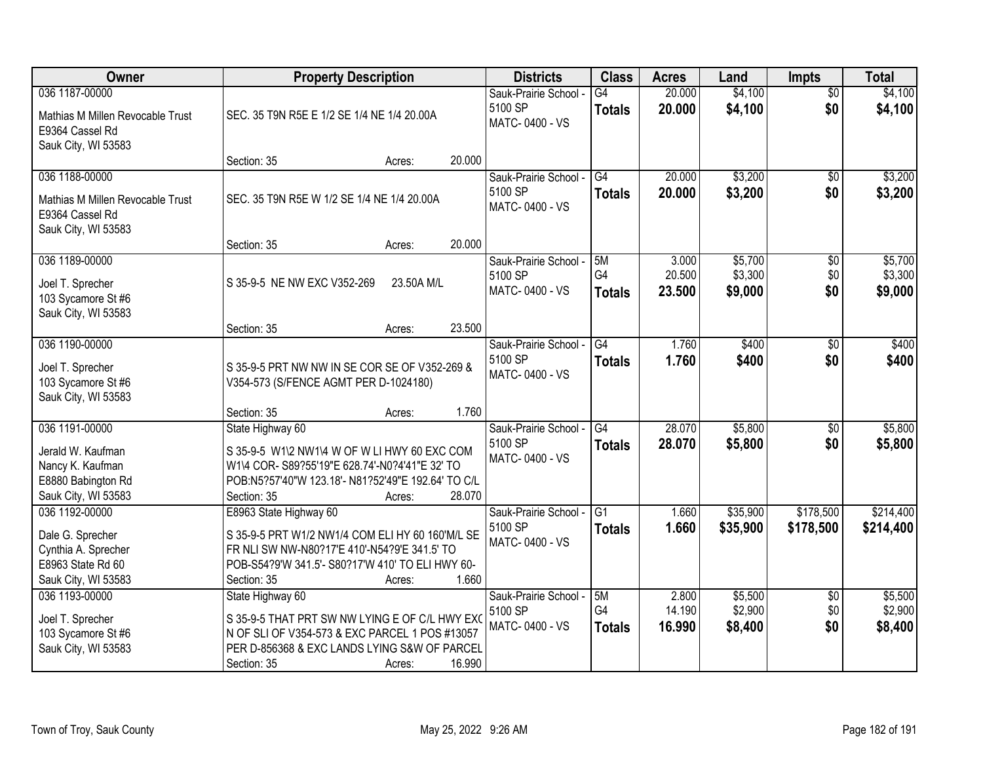| Owner                                                                                                 | <b>Property Description</b>                                                                                                                                                                                      | <b>Districts</b>                                   | <b>Class</b>                     | <b>Acres</b>              | Land                          | <b>Impts</b>                  | <b>Total</b>                  |
|-------------------------------------------------------------------------------------------------------|------------------------------------------------------------------------------------------------------------------------------------------------------------------------------------------------------------------|----------------------------------------------------|----------------------------------|---------------------------|-------------------------------|-------------------------------|-------------------------------|
| 036 1187-00000<br>Mathias M Millen Revocable Trust<br>E9364 Cassel Rd<br>Sauk City, WI 53583          | SEC. 35 T9N R5E E 1/2 SE 1/4 NE 1/4 20.00A                                                                                                                                                                       | Sauk-Prairie School -<br>5100 SP<br>MATC-0400 - VS | $\overline{G4}$<br><b>Totals</b> | 20.000<br>20.000          | \$4,100<br>\$4,100            | $\overline{50}$<br>\$0        | \$4,100<br>\$4,100            |
|                                                                                                       | 20.000<br>Section: 35<br>Acres:                                                                                                                                                                                  |                                                    |                                  |                           |                               |                               |                               |
| 036 1188-00000<br>Mathias M Millen Revocable Trust<br>E9364 Cassel Rd<br>Sauk City, WI 53583          | SEC. 35 T9N R5E W 1/2 SE 1/4 NE 1/4 20.00A                                                                                                                                                                       | Sauk-Prairie School -<br>5100 SP<br>MATC-0400 - VS | G4<br><b>Totals</b>              | 20.000<br>20.000          | \$3,200<br>\$3,200            | $\overline{50}$<br>\$0        | \$3,200<br>\$3,200            |
|                                                                                                       | 20.000<br>Section: 35<br>Acres:                                                                                                                                                                                  |                                                    |                                  |                           |                               |                               |                               |
| 036 1189-00000<br>Joel T. Sprecher<br>103 Sycamore St #6<br>Sauk City, WI 53583                       | S 35-9-5 NE NW EXC V352-269<br>23.50A M/L                                                                                                                                                                        | Sauk-Prairie School -<br>5100 SP<br>MATC-0400 - VS | 5M<br>G4<br><b>Totals</b>        | 3.000<br>20.500<br>23.500 | \$5,700<br>\$3,300<br>\$9,000 | $\overline{50}$<br>\$0<br>\$0 | \$5,700<br>\$3,300<br>\$9,000 |
|                                                                                                       | 23.500<br>Section: 35<br>Acres:                                                                                                                                                                                  |                                                    |                                  |                           |                               |                               |                               |
| 036 1190-00000<br>Joel T. Sprecher<br>103 Sycamore St #6<br>Sauk City, WI 53583                       | S 35-9-5 PRT NW NW IN SE COR SE OF V352-269 &<br>V354-573 (S/FENCE AGMT PER D-1024180)                                                                                                                           | Sauk-Prairie School -<br>5100 SP<br>MATC-0400 - VS | $\overline{G4}$<br><b>Totals</b> | 1.760<br>1.760            | \$400<br>\$400                | \$0<br>\$0                    | \$400<br>\$400                |
|                                                                                                       | 1.760<br>Section: 35<br>Acres:                                                                                                                                                                                   |                                                    |                                  |                           |                               |                               |                               |
| 036 1191-00000<br>Jerald W. Kaufman<br>Nancy K. Kaufman<br>E8880 Babington Rd<br>Sauk City, WI 53583  | State Highway 60<br>S 35-9-5 W1\2 NW1\4 W OF W LI HWY 60 EXC COM<br>W1\4 COR- S89?55'19"E 628.74'-N0?4'41"E 32' TO<br>POB:N5?57'40"W 123.18'- N81?52'49"E 192.64' TO C/L<br>28.070<br>Section: 35<br>Acres:      | Sauk-Prairie School -<br>5100 SP<br>MATC-0400 - VS | $\overline{G4}$<br><b>Totals</b> | 28.070<br>28.070          | \$5,800<br>\$5,800            | $\overline{50}$<br>\$0        | \$5,800<br>\$5,800            |
| 036 1192-00000<br>Dale G. Sprecher<br>Cynthia A. Sprecher<br>E8963 State Rd 60<br>Sauk City, WI 53583 | E8963 State Highway 60<br>S 35-9-5 PRT W1/2 NW1/4 COM ELI HY 60 160'M/L SE<br>FR NLI SW NW-N80?17'E 410'-N54?9'E 341.5' TO<br>POB-S54?9'W 341.5'- S80?17'W 410' TO ELI HWY 60-<br>1.660<br>Section: 35<br>Acres: | Sauk-Prairie School -<br>5100 SP<br>MATC-0400 - VS | G <sub>1</sub><br><b>Totals</b>  | 1.660<br>1.660            | \$35,900<br>\$35,900          | \$178,500<br>\$178,500        | \$214,400<br>\$214,400        |
| 036 1193-00000<br>Joel T. Sprecher<br>103 Sycamore St #6<br>Sauk City, WI 53583                       | State Highway 60<br>S 35-9-5 THAT PRT SW NW LYING E OF C/L HWY EXO<br>N OF SLI OF V354-573 & EXC PARCEL 1 POS #13057<br>PER D-856368 & EXC LANDS LYING S&W OF PARCEL<br>16.990<br>Section: 35<br>Acres:          | Sauk-Prairie School -<br>5100 SP<br>MATC-0400 - VS | 5M<br>G4<br><b>Totals</b>        | 2.800<br>14.190<br>16.990 | \$5,500<br>\$2,900<br>\$8,400 | $\overline{30}$<br>\$0<br>\$0 | \$5,500<br>\$2,900<br>\$8,400 |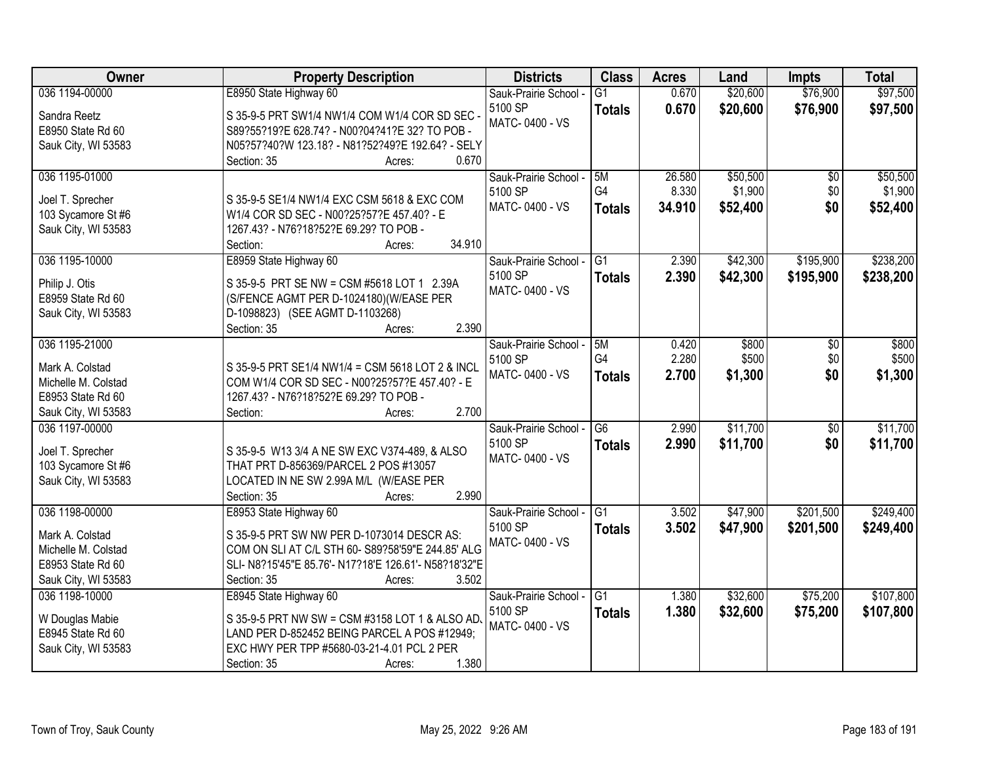| Owner                               | <b>Property Description</b>                                                | <b>Districts</b>      | <b>Class</b>    | <b>Acres</b> | Land     | <b>Impts</b>    | <b>Total</b> |
|-------------------------------------|----------------------------------------------------------------------------|-----------------------|-----------------|--------------|----------|-----------------|--------------|
| 036 1194-00000                      | E8950 State Highway 60                                                     | Sauk-Prairie School - | $\overline{G1}$ | 0.670        | \$20,600 | \$76,900        | \$97,500     |
| Sandra Reetz                        | S 35-9-5 PRT SW1/4 NW1/4 COM W1/4 COR SD SEC -                             | 5100 SP               | <b>Totals</b>   | 0.670        | \$20,600 | \$76,900        | \$97,500     |
| E8950 State Rd 60                   | S89?55?19?E 628.74? - N00?04?41?E 32? TO POB -                             | MATC-0400 - VS        |                 |              |          |                 |              |
| Sauk City, WI 53583                 | N05?57?40?W 123.18? - N81?52?49?E 192.64? - SELY                           |                       |                 |              |          |                 |              |
|                                     | 0.670<br>Section: 35<br>Acres:                                             |                       |                 |              |          |                 |              |
| 036 1195-01000                      |                                                                            | Sauk-Prairie School - | 5M              | 26.580       | \$50,500 | \$0             | \$50,500     |
| Joel T. Sprecher                    | S 35-9-5 SE1/4 NW1/4 EXC CSM 5618 & EXC COM                                | 5100 SP               | G4              | 8.330        | \$1,900  | \$0             | \$1,900      |
| 103 Sycamore St #6                  | W1/4 COR SD SEC - N00?25?57?E 457.40? - E                                  | MATC-0400 - VS        | <b>Totals</b>   | 34.910       | \$52,400 | \$0             | \$52,400     |
| Sauk City, WI 53583                 | 1267.43? - N76?18?52?E 69.29? TO POB -                                     |                       |                 |              |          |                 |              |
|                                     | 34.910<br>Section:<br>Acres:                                               |                       |                 |              |          |                 |              |
| 036 1195-10000                      | E8959 State Highway 60                                                     | Sauk-Prairie School - | $\overline{G1}$ | 2.390        | \$42,300 | \$195,900       | \$238,200    |
|                                     |                                                                            | 5100 SP               | <b>Totals</b>   | 2.390        | \$42,300 | \$195,900       | \$238,200    |
| Philip J. Otis<br>E8959 State Rd 60 | S 35-9-5 PRT SE NW = CSM #5618 LOT 1 2.39A                                 | MATC-0400 - VS        |                 |              |          |                 |              |
| Sauk City, WI 53583                 | (S/FENCE AGMT PER D-1024180)(W/EASE PER<br>D-1098823) (SEE AGMT D-1103268) |                       |                 |              |          |                 |              |
|                                     | 2.390<br>Section: 35<br>Acres:                                             |                       |                 |              |          |                 |              |
| 036 1195-21000                      |                                                                            | Sauk-Prairie School - | 5M              | 0.420        | \$800    | \$0             | \$800        |
|                                     |                                                                            | 5100 SP               | G4              | 2.280        | \$500    | \$0             | \$500        |
| Mark A. Colstad                     | S 35-9-5 PRT SE1/4 NW1/4 = CSM 5618 LOT 2 & INCL                           | MATC-0400 - VS        | <b>Totals</b>   | 2.700        | \$1,300  | \$0             | \$1,300      |
| Michelle M. Colstad                 | COM W1/4 COR SD SEC - N00?25?57?E 457.40? - E                              |                       |                 |              |          |                 |              |
| E8953 State Rd 60                   | 1267.43? - N76?18?52?E 69.29? TO POB -                                     |                       |                 |              |          |                 |              |
| Sauk City, WI 53583                 | 2.700<br>Section:<br>Acres:                                                |                       |                 |              |          |                 |              |
| 036 1197-00000                      |                                                                            | Sauk-Prairie School - | $\overline{G6}$ | 2.990        | \$11,700 | $\overline{50}$ | \$11,700     |
| Joel T. Sprecher                    | S 35-9-5 W13 3/4 A NE SW EXC V374-489, & ALSO                              | 5100 SP               | <b>Totals</b>   | 2.990        | \$11,700 | \$0             | \$11,700     |
| 103 Sycamore St #6                  | THAT PRT D-856369/PARCEL 2 POS #13057                                      | MATC-0400 - VS        |                 |              |          |                 |              |
| Sauk City, WI 53583                 | LOCATED IN NE SW 2.99A M/L (W/EASE PER                                     |                       |                 |              |          |                 |              |
|                                     | 2.990<br>Section: 35<br>Acres:                                             |                       |                 |              |          |                 |              |
| 036 1198-00000                      | E8953 State Highway 60                                                     | Sauk-Prairie School - | G1              | 3.502        | \$47,900 | \$201,500       | \$249,400    |
| Mark A. Colstad                     | S 35-9-5 PRT SW NW PER D-1073014 DESCR AS:                                 | 5100 SP               | <b>Totals</b>   | 3.502        | \$47,900 | \$201,500       | \$249,400    |
| Michelle M. Colstad                 | COM ON SLI AT C/L STH 60- S89?58'59"E 244.85' ALG                          | MATC-0400 - VS        |                 |              |          |                 |              |
| E8953 State Rd 60                   | SLI- N8?15'45"E 85.76'- N17?18'E 126.61'- N58?18'32"E                      |                       |                 |              |          |                 |              |
| Sauk City, WI 53583                 | 3.502<br>Section: 35<br>Acres:                                             |                       |                 |              |          |                 |              |
| 036 1198-10000                      | E8945 State Highway 60                                                     | Sauk-Prairie School - | G1              | 1.380        | \$32,600 | \$75,200        | \$107,800    |
| W Douglas Mabie                     | S 35-9-5 PRT NW SW = CSM #3158 LOT 1 & ALSO AD.                            | 5100 SP               | <b>Totals</b>   | 1.380        | \$32,600 | \$75,200        | \$107,800    |
| E8945 State Rd 60                   | LAND PER D-852452 BEING PARCEL A POS #12949;                               | MATC-0400 - VS        |                 |              |          |                 |              |
| Sauk City, WI 53583                 | EXC HWY PER TPP #5680-03-21-4.01 PCL 2 PER                                 |                       |                 |              |          |                 |              |
|                                     | 1.380<br>Section: 35<br>Acres:                                             |                       |                 |              |          |                 |              |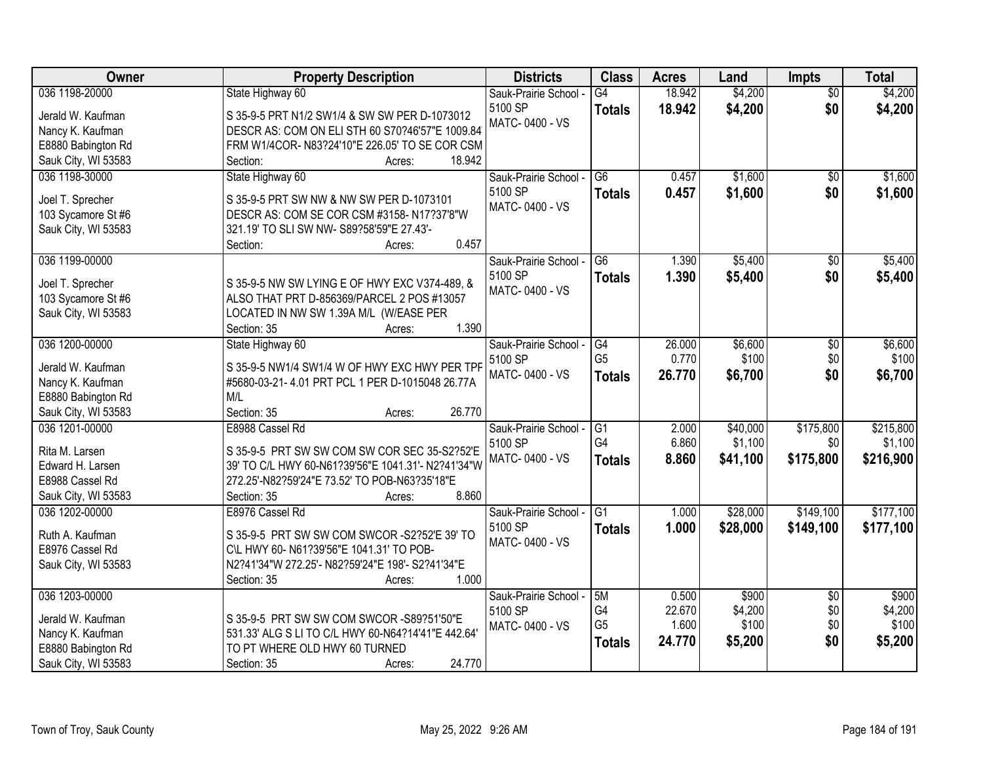| Owner                              | <b>Property Description</b>                                              | <b>Districts</b>          | <b>Class</b>    | <b>Acres</b> | Land     | Impts                  | <b>Total</b> |
|------------------------------------|--------------------------------------------------------------------------|---------------------------|-----------------|--------------|----------|------------------------|--------------|
| 036 1198-20000                     | State Highway 60                                                         | Sauk-Prairie School -     | G4              | 18.942       | \$4,200  | $\overline{50}$        | \$4,200      |
| Jerald W. Kaufman                  | S 35-9-5 PRT N1/2 SW1/4 & SW SW PER D-1073012                            | 5100 SP                   | <b>Totals</b>   | 18.942       | \$4,200  | \$0                    | \$4,200      |
| Nancy K. Kaufman                   | DESCR AS: COM ON ELI STH 60 S70?46'57"E 1009.84                          | MATC-0400 - VS            |                 |              |          |                        |              |
| E8880 Babington Rd                 | FRM W1/4COR- N83?24'10"E 226.05' TO SE COR CSM                           |                           |                 |              |          |                        |              |
| Sauk City, WI 53583                | 18.942<br>Section:<br>Acres:                                             |                           |                 |              |          |                        |              |
| 036 1198-30000                     | State Highway 60                                                         | Sauk-Prairie School -     | $\overline{G6}$ | 0.457        | \$1,600  | \$0                    | \$1,600      |
|                                    |                                                                          | 5100 SP                   | <b>Totals</b>   | 0.457        | \$1,600  | \$0                    | \$1,600      |
| Joel T. Sprecher                   | S 35-9-5 PRT SW NW & NW SW PER D-1073101                                 | MATC-0400 - VS            |                 |              |          |                        |              |
| 103 Sycamore St #6                 | DESCR AS: COM SE COR CSM #3158-N17?37'8"W                                |                           |                 |              |          |                        |              |
| Sauk City, WI 53583                | 321.19' TO SLI SW NW- S89?58'59"E 27.43'-                                |                           |                 |              |          |                        |              |
|                                    | 0.457<br>Section:<br>Acres:                                              |                           |                 |              |          |                        |              |
| 036 1199-00000                     |                                                                          | Sauk-Prairie School -     | $\overline{G6}$ | 1.390        | \$5,400  | \$0                    | \$5,400      |
| Joel T. Sprecher                   | S 35-9-5 NW SW LYING E OF HWY EXC V374-489, &                            | 5100 SP                   | <b>Totals</b>   | 1.390        | \$5,400  | \$0                    | \$5,400      |
| 103 Sycamore St #6                 | ALSO THAT PRT D-856369/PARCEL 2 POS #13057                               | MATC-0400 - VS            |                 |              |          |                        |              |
| Sauk City, WI 53583                | LOCATED IN NW SW 1.39A M/L (W/EASE PER                                   |                           |                 |              |          |                        |              |
|                                    | 1.390<br>Section: 35<br>Acres:                                           |                           |                 |              |          |                        |              |
| 036 1200-00000                     | State Highway 60                                                         | Sauk-Prairie School -     | G4              | 26.000       | \$6,600  | $\sqrt[6]{3}$          | \$6,600      |
|                                    |                                                                          | 5100 SP                   | G <sub>5</sub>  | 0.770        | \$100    | \$0                    | \$100        |
| Jerald W. Kaufman                  | S 35-9-5 NW1/4 SW1/4 W OF HWY EXC HWY PER TPP                            | MATC-0400 - VS            | <b>Totals</b>   | 26.770       | \$6,700  | \$0                    | \$6,700      |
| Nancy K. Kaufman                   | #5680-03-21-4.01 PRT PCL 1 PER D-1015048 26.77A                          |                           |                 |              |          |                        |              |
| E8880 Babington Rd                 | M/L                                                                      |                           |                 |              |          |                        |              |
| Sauk City, WI 53583                | Section: 35<br>26.770<br>Acres:                                          |                           |                 |              |          |                        |              |
| 036 1201-00000                     | E8988 Cassel Rd                                                          | Sauk-Prairie School -     | $\overline{G1}$ | 2.000        | \$40,000 | \$175,800              | \$215,800    |
| Rita M. Larsen                     | S 35-9-5 PRT SW SW COM SW COR SEC 35-S2?52'E                             | 5100 SP                   | G4              | 6.860        | \$1,100  | \$0                    | \$1,100      |
| Edward H. Larsen                   | 39' TO C/L HWY 60-N61?39'56"E 1041.31'- N2?41'34"W                       | MATC-0400 - VS            | <b>Totals</b>   | 8.860        | \$41,100 | \$175,800              | \$216,900    |
| E8988 Cassel Rd                    | 272.25'-N82?59'24"E 73.52' TO POB-N63?35'18"E                            |                           |                 |              |          |                        |              |
| Sauk City, WI 53583                | 8.860<br>Section: 35<br>Acres:                                           |                           |                 |              |          |                        |              |
| 036 1202-00000                     | E8976 Cassel Rd                                                          | Sauk-Prairie School -     | G1              | 1.000        | \$28,000 | \$149,100              | \$177,100    |
|                                    |                                                                          | 5100 SP                   | <b>Totals</b>   | 1.000        | \$28,000 | \$149,100              | \$177,100    |
| Ruth A. Kaufman<br>E8976 Cassel Rd | S 35-9-5 PRT SW SW COM SWCOR - S2?52'E 39' TO                            | MATC-0400 - VS            |                 |              |          |                        |              |
|                                    | C\L HWY 60- N61?39'56"E 1041.31' TO POB-                                 |                           |                 |              |          |                        |              |
| Sauk City, WI 53583                | N2?41'34"W 272.25'- N82?59'24"E 198'- S2?41'34"E<br>Section: 35<br>1.000 |                           |                 |              |          |                        |              |
| 036 1203-00000                     | Acres:                                                                   |                           | 5M              | 0.500        | \$900    |                        | \$900        |
|                                    |                                                                          | Sauk-Prairie School -     | G4              | 22.670       | \$4,200  | $\overline{50}$<br>\$0 | \$4,200      |
| Jerald W. Kaufman                  | S 35-9-5 PRT SW SW COM SWCOR -S89?51'50"E                                | 5100 SP<br>MATC-0400 - VS | G <sub>5</sub>  | 1.600        | \$100    | \$0                    | \$100        |
| Nancy K. Kaufman                   | 531.33' ALG S LI TO C/L HWY 60-N64?14'41"E 442.64'                       |                           |                 | 24.770       |          | \$0                    |              |
| E8880 Babington Rd                 | TO PT WHERE OLD HWY 60 TURNED                                            |                           | <b>Totals</b>   |              | \$5,200  |                        | \$5,200      |
| Sauk City, WI 53583                | 24.770<br>Section: 35<br>Acres:                                          |                           |                 |              |          |                        |              |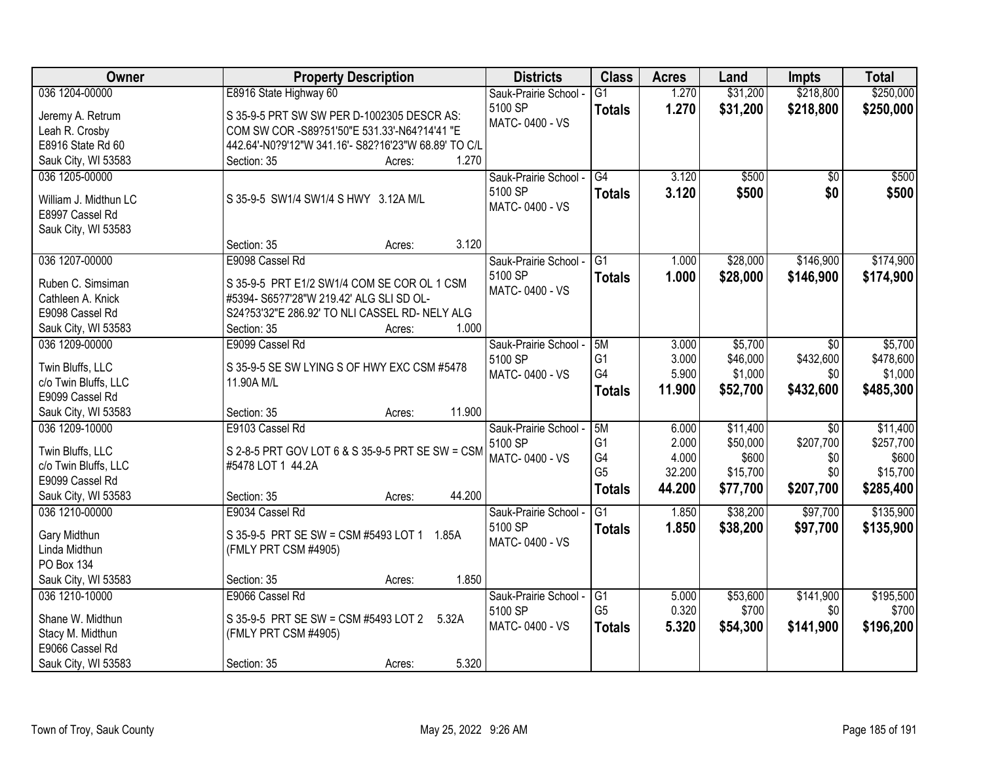| 036 1204-00000<br>\$218,800<br>\$250,000<br>E8916 State Highway 60<br>\$31,200<br>Sauk-Prairie School -<br>$\overline{G1}$<br>1.270<br>5100 SP<br>1.270<br>\$31,200<br>\$218,800<br>\$250,000<br><b>Totals</b><br>Jeremy A. Retrum<br>S 35-9-5 PRT SW SW PER D-1002305 DESCR AS:<br>MATC-0400 - VS<br>COM SW COR -S89?51'50"E 531.33'-N64?14'41 "E |                |
|----------------------------------------------------------------------------------------------------------------------------------------------------------------------------------------------------------------------------------------------------------------------------------------------------------------------------------------------------|----------------|
|                                                                                                                                                                                                                                                                                                                                                    |                |
|                                                                                                                                                                                                                                                                                                                                                    |                |
|                                                                                                                                                                                                                                                                                                                                                    | Leah R. Crosby |
| E8916 State Rd 60<br>442.64'-N0?9'12"W 341.16'- S82?16'23"W 68.89' TO C/L                                                                                                                                                                                                                                                                          |                |
| 1.270<br>Sauk City, WI 53583<br>Section: 35<br>Acres:                                                                                                                                                                                                                                                                                              |                |
| \$500<br>036 1205-00000<br>G4<br>3.120<br>$\overline{50}$<br>\$500<br>Sauk-Prairie School -                                                                                                                                                                                                                                                        |                |
| 5100 SP<br>3.120<br>\$500<br>\$0<br>\$500<br><b>Totals</b>                                                                                                                                                                                                                                                                                         |                |
| S 35-9-5 SW1/4 SW1/4 S HWY 3.12A M/L<br>William J. Midthun LC<br>MATC-0400 - VS                                                                                                                                                                                                                                                                    |                |
| E8997 Cassel Rd                                                                                                                                                                                                                                                                                                                                    |                |
| Sauk City, WI 53583<br>3.120<br>Section: 35                                                                                                                                                                                                                                                                                                        |                |
| Acres:<br>\$28,000<br>\$146,900<br>\$174,900<br>036 1207-00000<br>E9098 Cassel Rd<br>G1<br>1.000                                                                                                                                                                                                                                                   |                |
| Sauk-Prairie School -<br>5100 SP                                                                                                                                                                                                                                                                                                                   |                |
| 1.000<br>\$28,000<br>\$146,900<br>\$174,900<br><b>Totals</b><br>Ruben C. Simsiman<br>S 35-9-5 PRT E1/2 SW1/4 COM SE COR OL 1 CSM<br>MATC-0400 - VS                                                                                                                                                                                                 |                |
| #5394- S65?7'28"W 219.42' ALG SLI SD OL-<br>Cathleen A. Knick                                                                                                                                                                                                                                                                                      |                |
| S24?53'32"E 286.92' TO NLI CASSEL RD- NELY ALG<br>E9098 Cassel Rd                                                                                                                                                                                                                                                                                  |                |
| 1.000<br>Section: 35<br>Sauk City, WI 53583<br>Acres:                                                                                                                                                                                                                                                                                              |                |
| 036 1209-00000<br>E9099 Cassel Rd<br>\$5,700<br>\$5,700<br>Sauk-Prairie School -<br>5M<br>3.000<br>$\sqrt{6}$                                                                                                                                                                                                                                      |                |
| G1<br>\$432,600<br>\$478,600<br>3.000<br>\$46,000<br>5100 SP<br>Twin Bluffs, LLC<br>S 35-9-5 SE SW LYING S OF HWY EXC CSM #5478                                                                                                                                                                                                                    |                |
| G4<br>5.900<br>\$1,000<br>MATC-0400 - VS<br>\$0<br>\$1,000<br>11.90A M/L<br>c/o Twin Bluffs, LLC                                                                                                                                                                                                                                                   |                |
| \$432,600<br>11.900<br>\$52,700<br>\$485,300<br><b>Totals</b><br>E9099 Cassel Rd                                                                                                                                                                                                                                                                   |                |
| 11.900<br>Sauk City, WI 53583<br>Section: 35<br>Acres:                                                                                                                                                                                                                                                                                             |                |
| E9103 Cassel Rd<br>5M<br>\$11,400<br>\$11,400<br>036 1209-10000<br>6.000<br>$\overline{50}$<br>Sauk-Prairie School -                                                                                                                                                                                                                               |                |
| G <sub>1</sub><br>2.000<br>\$50,000<br>\$207,700<br>\$257,700<br>5100 SP                                                                                                                                                                                                                                                                           |                |
| Twin Bluffs, LLC<br>S 2-8-5 PRT GOV LOT 6 & S 35-9-5 PRT SE SW = CSM<br>G4<br>4.000<br>\$600<br>\$0<br>\$600<br>MATC-0400 - VS                                                                                                                                                                                                                     |                |
| c/o Twin Bluffs, LLC<br>#5478 LOT 1 44.2A<br>G <sub>5</sub><br>32.200<br>\$0<br>\$15,700<br>\$15,700                                                                                                                                                                                                                                               |                |
| E9099 Cassel Rd<br>\$207,700<br>44.200<br>\$77,700<br>\$285,400<br><b>Totals</b>                                                                                                                                                                                                                                                                   |                |
| 44.200<br>Sauk City, WI 53583<br>Section: 35<br>Acres:                                                                                                                                                                                                                                                                                             |                |
| \$38,200<br>\$97,700<br>\$135,900<br>036 1210-00000<br>E9034 Cassel Rd<br>$\overline{G1}$<br>1.850<br>Sauk-Prairie School -                                                                                                                                                                                                                        |                |
| 5100 SP<br>1.850<br>\$38,200<br>\$135,900<br>\$97,700<br><b>Totals</b><br>Gary Midthun<br>S 35-9-5 PRT SE SW = CSM #5493 LOT 1 1.85A                                                                                                                                                                                                               |                |
| MATC-0400 - VS<br>(FMLY PRT CSM #4905)<br>Linda Midthun                                                                                                                                                                                                                                                                                            |                |
| PO Box 134                                                                                                                                                                                                                                                                                                                                         |                |
| 1.850<br>Sauk City, WI 53583<br>Section: 35<br>Acres:                                                                                                                                                                                                                                                                                              |                |
| 036 1210-10000<br>E9066 Cassel Rd<br>\$53,600<br>\$141,900<br>\$195,500<br>Sauk-Prairie School -<br>G1<br>5.000                                                                                                                                                                                                                                    |                |
| G <sub>5</sub><br>0.320<br>\$700<br>\$0<br>\$700<br>5100 SP<br>Shane W. Midthun<br>S 35-9-5 PRT SE SW = CSM #5493 LOT 2<br>5.32A                                                                                                                                                                                                                   |                |
| \$196,200<br>MATC-0400 - VS<br>5.320<br>\$54,300<br>\$141,900<br><b>Totals</b><br>Stacy M. Midthun<br>(FMLY PRT CSM #4905)                                                                                                                                                                                                                         |                |
| E9066 Cassel Rd                                                                                                                                                                                                                                                                                                                                    |                |
| 5.320<br>Sauk City, WI 53583<br>Section: 35<br>Acres:                                                                                                                                                                                                                                                                                              |                |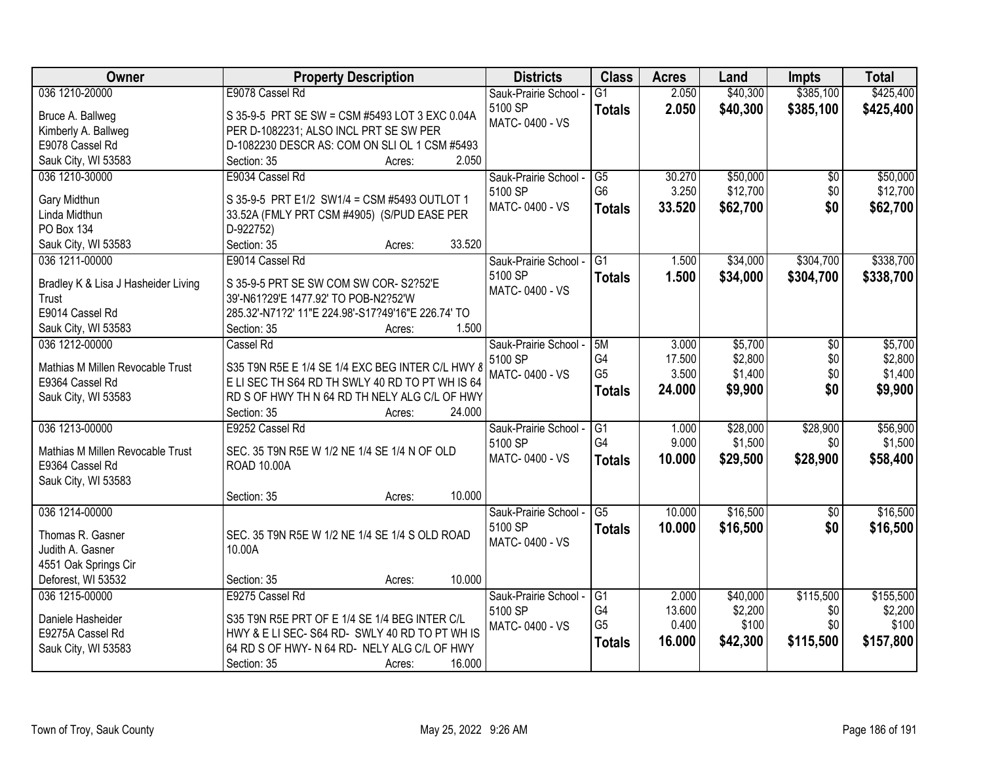| Owner                               | <b>Property Description</b>                        | <b>Districts</b>      | <b>Class</b>           | <b>Acres</b> | Land     | <b>Impts</b>    | <b>Total</b> |
|-------------------------------------|----------------------------------------------------|-----------------------|------------------------|--------------|----------|-----------------|--------------|
| 036 1210-20000                      | E9078 Cassel Rd                                    | Sauk-Prairie School - | $\overline{G1}$        | 2.050        | \$40,300 | \$385,100       | \$425,400    |
| Bruce A. Ballweg                    | S 35-9-5 PRT SE SW = CSM #5493 LOT 3 EXC 0.04A     | 5100 SP               | <b>Totals</b>          | 2.050        | \$40,300 | \$385,100       | \$425,400    |
| Kimberly A. Ballweg                 | PER D-1082231; ALSO INCL PRT SE SW PER             | MATC-0400 - VS        |                        |              |          |                 |              |
| E9078 Cassel Rd                     | D-1082230 DESCR AS: COM ON SLI OL 1 CSM #5493      |                       |                        |              |          |                 |              |
| Sauk City, WI 53583                 | 2.050<br>Section: 35<br>Acres:                     |                       |                        |              |          |                 |              |
| 036 1210-30000                      | E9034 Cassel Rd                                    | Sauk-Prairie School - | G5                     | 30.270       | \$50,000 | \$0             | \$50,000     |
|                                     |                                                    | 5100 SP               | G <sub>6</sub>         | 3.250        | \$12,700 | \$0             | \$12,700     |
| Gary Midthun                        | S 35-9-5 PRT E1/2 SW1/4 = CSM #5493 OUTLOT 1       | MATC-0400 - VS        | <b>Totals</b>          | 33.520       | \$62,700 | \$0             | \$62,700     |
| Linda Midthun                       | 33.52A (FMLY PRT CSM #4905) (S/PUD EASE PER        |                       |                        |              |          |                 |              |
| PO Box 134                          | D-922752)                                          |                       |                        |              |          |                 |              |
| Sauk City, WI 53583                 | Section: 35<br>33.520<br>Acres:                    |                       |                        |              |          |                 |              |
| 036 1211-00000                      | E9014 Cassel Rd                                    | Sauk-Prairie School - | $\overline{G1}$        | 1.500        | \$34,000 | \$304,700       | \$338,700    |
| Bradley K & Lisa J Hasheider Living | S 35-9-5 PRT SE SW COM SW COR-S2?52'E              | 5100 SP               | <b>Totals</b>          | 1.500        | \$34,000 | \$304,700       | \$338,700    |
| Trust                               | 39'-N61?29'E 1477.92' TO POB-N2?52'W               | MATC-0400 - VS        |                        |              |          |                 |              |
| E9014 Cassel Rd                     | 285.32'-N71?2' 11"E 224.98'-S17?49'16"E 226.74' TO |                       |                        |              |          |                 |              |
| Sauk City, WI 53583                 | 1.500<br>Section: 35<br>Acres:                     |                       |                        |              |          |                 |              |
| 036 1212-00000                      | Cassel Rd                                          | Sauk-Prairie School - | 5M                     | 3.000        | \$5,700  | \$0             | \$5,700      |
|                                     |                                                    | 5100 SP               | G4                     | 17.500       | \$2,800  | \$0             | \$2,800      |
| Mathias M Millen Revocable Trust    | S35 T9N R5E E 1/4 SE 1/4 EXC BEG INTER C/L HWY 8   | MATC-0400 - VS        | G <sub>5</sub>         | 3.500        | \$1,400  | \$0             | \$1,400      |
| E9364 Cassel Rd                     | E LI SEC TH S64 RD TH SWLY 40 RD TO PT WH IS 64    |                       | <b>Totals</b>          | 24.000       | \$9,900  | \$0             | \$9,900      |
| Sauk City, WI 53583                 | RD S OF HWY TH N 64 RD TH NELY ALG C/L OF HWY      |                       |                        |              |          |                 |              |
|                                     | 24.000<br>Section: 35<br>Acres:                    |                       |                        |              |          |                 |              |
| 036 1213-00000                      | E9252 Cassel Rd                                    | Sauk-Prairie School - | $\overline{G1}$        | 1.000        | \$28,000 | \$28,900        | \$56,900     |
| Mathias M Millen Revocable Trust    | SEC. 35 T9N R5E W 1/2 NE 1/4 SE 1/4 N OF OLD       | 5100 SP               | G4                     | 9.000        | \$1,500  | \$0             | \$1,500      |
| E9364 Cassel Rd                     | ROAD 10.00A                                        | MATC-0400 - VS        | <b>Totals</b>          | 10.000       | \$29,500 | \$28,900        | \$58,400     |
| Sauk City, WI 53583                 |                                                    |                       |                        |              |          |                 |              |
|                                     | 10.000<br>Section: 35<br>Acres:                    |                       |                        |              |          |                 |              |
| 036 1214-00000                      |                                                    | Sauk-Prairie School - | $\overline{\text{G5}}$ | 10.000       | \$16,500 | $\overline{50}$ | \$16,500     |
|                                     |                                                    | 5100 SP               | <b>Totals</b>          | 10.000       | \$16,500 | \$0             | \$16,500     |
| Thomas R. Gasner                    | SEC. 35 T9N R5E W 1/2 NE 1/4 SE 1/4 S OLD ROAD     | MATC-0400 - VS        |                        |              |          |                 |              |
| Judith A. Gasner                    | 10.00A                                             |                       |                        |              |          |                 |              |
| 4551 Oak Springs Cir                |                                                    |                       |                        |              |          |                 |              |
| Deforest, WI 53532                  | 10.000<br>Section: 35<br>Acres:                    |                       |                        |              |          |                 |              |
| 036 1215-00000                      | E9275 Cassel Rd                                    | Sauk-Prairie School - | G1                     | 2.000        | \$40,000 | \$115,500       | \$155,500    |
| Daniele Hasheider                   | S35 T9N R5E PRT OF E 1/4 SE 1/4 BEG INTER C/L      | 5100 SP               | G4                     | 13.600       | \$2,200  | \$0             | \$2,200      |
| E9275A Cassel Rd                    | HWY & E LI SEC-S64 RD-SWLY 40 RD TO PT WHIS        | MATC-0400 - VS        | G <sub>5</sub>         | 0.400        | \$100    | \$0             | \$100        |
| Sauk City, WI 53583                 | 64 RD S OF HWY- N 64 RD- NELY ALG C/L OF HWY       |                       | <b>Totals</b>          | 16.000       | \$42,300 | \$115,500       | \$157,800    |
|                                     | 16.000<br>Section: 35<br>Acres:                    |                       |                        |              |          |                 |              |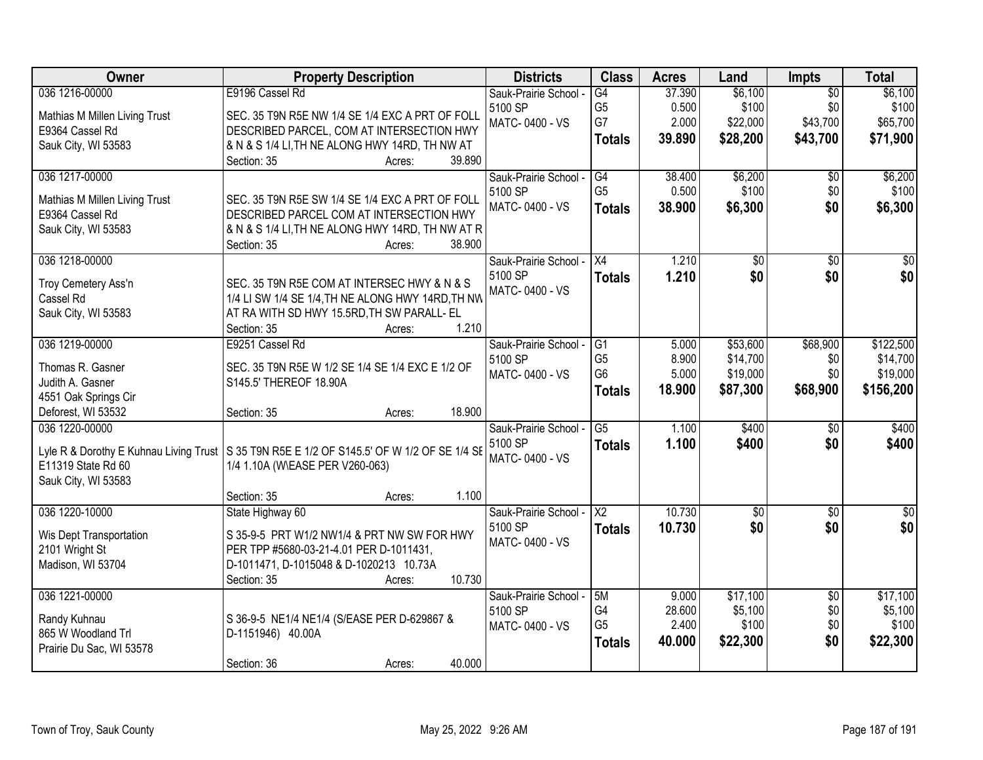| Owner                                            | <b>Property Description</b>                                                                  | <b>Districts</b>      | <b>Class</b>                     | <b>Acres</b> | Land            | <b>Impts</b>    | <b>Total</b>    |
|--------------------------------------------------|----------------------------------------------------------------------------------------------|-----------------------|----------------------------------|--------------|-----------------|-----------------|-----------------|
| 036 1216-00000                                   | E9196 Cassel Rd                                                                              | Sauk-Prairie School - | $\overline{G4}$                  | 37.390       | \$6,100         | $\overline{50}$ | \$6,100         |
| Mathias M Millen Living Trust                    | SEC. 35 T9N R5E NW 1/4 SE 1/4 EXC A PRT OF FOLL                                              | 5100 SP               | G <sub>5</sub>                   | 0.500        | \$100           | \$0             | \$100           |
| E9364 Cassel Rd                                  | DESCRIBED PARCEL, COM AT INTERSECTION HWY                                                    | MATC-0400 - VS        | G7                               | 2.000        | \$22,000        | \$43,700        | \$65,700        |
| Sauk City, WI 53583                              | & N & S 1/4 LI, TH NE ALONG HWY 14RD, TH NW AT                                               |                       | <b>Totals</b>                    | 39.890       | \$28,200        | \$43,700        | \$71,900        |
|                                                  | 39.890<br>Section: 35<br>Acres:                                                              |                       |                                  |              |                 |                 |                 |
| 036 1217-00000                                   |                                                                                              | Sauk-Prairie School - | G4                               | 38.400       | \$6,200         | $\overline{50}$ | \$6,200         |
|                                                  |                                                                                              | 5100 SP               | G <sub>5</sub>                   | 0.500        | \$100           | \$0             | \$100           |
| Mathias M Millen Living Trust<br>E9364 Cassel Rd | SEC. 35 T9N R5E SW 1/4 SE 1/4 EXC A PRT OF FOLL<br>DESCRIBED PARCEL COM AT INTERSECTION HWY  | MATC-0400 - VS        | <b>Totals</b>                    | 38.900       | \$6,300         | \$0             | \$6,300         |
| Sauk City, WI 53583                              | & N & S 1/4 LI, TH NE ALONG HWY 14RD, TH NW AT R                                             |                       |                                  |              |                 |                 |                 |
|                                                  | 38.900<br>Section: 35<br>Acres:                                                              |                       |                                  |              |                 |                 |                 |
| 036 1218-00000                                   |                                                                                              | Sauk-Prairie School - | $\overline{X4}$                  | 1.210        | $\overline{50}$ | $\overline{50}$ | $\overline{30}$ |
|                                                  |                                                                                              | 5100 SP               | <b>Totals</b>                    | 1.210        | \$0             | \$0             | \$0             |
| Troy Cemetery Ass'n                              | SEC. 35 T9N R5E COM AT INTERSEC HWY & N & S                                                  | MATC-0400 - VS        |                                  |              |                 |                 |                 |
| Cassel Rd                                        | 1/4 LI SW 1/4 SE 1/4, TH NE ALONG HWY 14RD, TH NW                                            |                       |                                  |              |                 |                 |                 |
| Sauk City, WI 53583                              | AT RA WITH SD HWY 15.5RD, TH SW PARALL- EL                                                   |                       |                                  |              |                 |                 |                 |
|                                                  | 1.210<br>Section: 35<br>Acres:                                                               |                       |                                  |              |                 |                 |                 |
| 036 1219-00000                                   | E9251 Cassel Rd                                                                              | Sauk-Prairie School - | G1                               | 5.000        | \$53,600        | \$68,900        | \$122,500       |
| Thomas R. Gasner                                 | SEC. 35 T9N R5E W 1/2 SE 1/4 SE 1/4 EXC E 1/2 OF                                             | 5100 SP               | G <sub>5</sub><br>G <sub>6</sub> | 8.900        | \$14,700        | \$0             | \$14,700        |
| Judith A. Gasner                                 | S145.5' THEREOF 18.90A                                                                       | MATC-0400 - VS        |                                  | 5.000        | \$19,000        | \$0             | \$19,000        |
| 4551 Oak Springs Cir                             |                                                                                              |                       | <b>Totals</b>                    | 18.900       | \$87,300        | \$68,900        | \$156,200       |
| Deforest, WI 53532                               | 18.900<br>Section: 35<br>Acres:                                                              |                       |                                  |              |                 |                 |                 |
| 036 1220-00000                                   |                                                                                              | Sauk-Prairie School - | $\overline{G5}$                  | 1.100        | \$400           | $\overline{50}$ | \$400           |
|                                                  | Lyle R & Dorothy E Kuhnau Living Trust   S 35 T9N R5E E 1/2 OF S145.5' OF W 1/2 OF SE 1/4 SE | 5100 SP               | <b>Totals</b>                    | 1.100        | \$400           | \$0             | \$400           |
| E11319 State Rd 60                               | 1/4 1.10A (W\EASE PER V260-063)                                                              | MATC-0400 - VS        |                                  |              |                 |                 |                 |
| Sauk City, WI 53583                              |                                                                                              |                       |                                  |              |                 |                 |                 |
|                                                  | 1.100<br>Section: 35<br>Acres:                                                               |                       |                                  |              |                 |                 |                 |
| 036 1220-10000                                   | State Highway 60                                                                             | Sauk-Prairie School - | $\overline{\mathsf{X2}}$         | 10.730       | $\overline{60}$ | $\overline{50}$ | $\sqrt{50}$     |
|                                                  | S 35-9-5 PRT W1/2 NW1/4 & PRT NW SW FOR HWY                                                  | 5100 SP               | <b>Totals</b>                    | 10.730       | \$0             | \$0             | \$0             |
| Wis Dept Transportation<br>2101 Wright St        | PER TPP #5680-03-21-4.01 PER D-1011431,                                                      | MATC-0400 - VS        |                                  |              |                 |                 |                 |
| Madison, WI 53704                                | D-1011471, D-1015048 & D-1020213 10.73A                                                      |                       |                                  |              |                 |                 |                 |
|                                                  | 10.730<br>Section: 35<br>Acres:                                                              |                       |                                  |              |                 |                 |                 |
| 036 1221-00000                                   |                                                                                              | Sauk-Prairie School - | 5M                               | 9.000        | \$17,100        | $\overline{50}$ | \$17,100        |
|                                                  |                                                                                              | 5100 SP               | G4                               | 28.600       | \$5,100         | \$0             | \$5,100         |
| Randy Kuhnau                                     | S 36-9-5 NE1/4 NE1/4 (S/EASE PER D-629867 &                                                  | MATC-0400 - VS        | G <sub>5</sub>                   | 2.400        | \$100           | \$0             | \$100           |
| 865 W Woodland Trl                               | D-1151946) 40.00A                                                                            |                       | <b>Totals</b>                    | 40.000       | \$22,300        | \$0             | \$22,300        |
| Prairie Du Sac, WI 53578                         |                                                                                              |                       |                                  |              |                 |                 |                 |
|                                                  | 40.000<br>Section: 36<br>Acres:                                                              |                       |                                  |              |                 |                 |                 |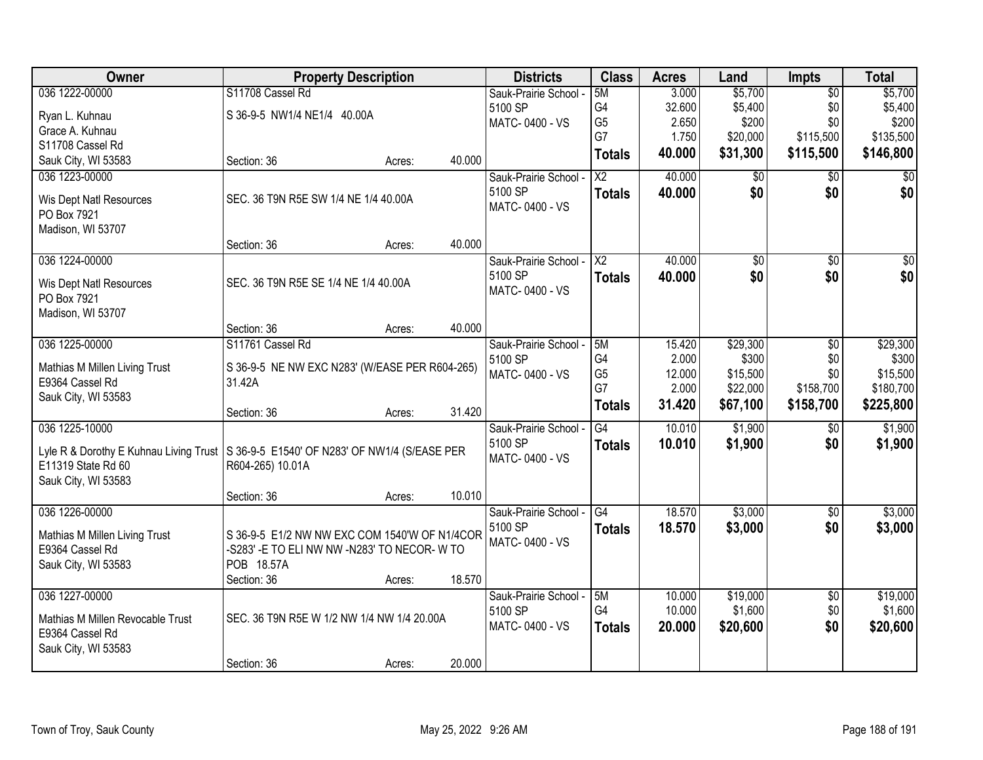| Owner                                                                                  | <b>Property Description</b>                    |        |        | <b>Districts</b>      | <b>Class</b>           | <b>Acres</b> | Land        | <b>Impts</b>    | <b>Total</b> |
|----------------------------------------------------------------------------------------|------------------------------------------------|--------|--------|-----------------------|------------------------|--------------|-------------|-----------------|--------------|
| 036 1222-00000                                                                         | S11708 Cassel Rd                               |        |        | Sauk-Prairie School - | 5M                     | 3.000        | \$5,700     | $\overline{50}$ | \$5,700      |
| Ryan L. Kuhnau                                                                         | S 36-9-5 NW1/4 NE1/4 40.00A                    |        |        | 5100 SP               | G4                     | 32.600       | \$5,400     | \$0             | \$5,400      |
| Grace A. Kuhnau                                                                        |                                                |        |        | MATC-0400 - VS        | G <sub>5</sub>         | 2.650        | \$200       | \$0             | \$200        |
| S11708 Cassel Rd                                                                       |                                                |        |        |                       | G7                     | 1.750        | \$20,000    | \$115,500       | \$135,500    |
| Sauk City, WI 53583                                                                    | Section: 36                                    | Acres: | 40.000 |                       | <b>Totals</b>          | 40.000       | \$31,300    | \$115,500       | \$146,800    |
| 036 1223-00000                                                                         |                                                |        |        | Sauk-Prairie School - | $\overline{\text{X2}}$ | 40.000       | $\sqrt{$0}$ | \$0             | \$0          |
| Wis Dept Natl Resources                                                                | SEC. 36 T9N R5E SW 1/4 NE 1/4 40.00A           |        |        | 5100 SP               | <b>Totals</b>          | 40.000       | \$0         | \$0             | \$0          |
| PO Box 7921                                                                            |                                                |        |        | MATC-0400 - VS        |                        |              |             |                 |              |
| Madison, WI 53707                                                                      |                                                |        |        |                       |                        |              |             |                 |              |
|                                                                                        | Section: 36                                    | Acres: | 40.000 |                       |                        |              |             |                 |              |
| 036 1224-00000                                                                         |                                                |        |        | Sauk-Prairie School - | X <sub>2</sub>         | 40.000       | \$0         | \$0             | \$0          |
| Wis Dept Natl Resources                                                                | SEC. 36 T9N R5E SE 1/4 NE 1/4 40.00A           |        |        | 5100 SP               | <b>Totals</b>          | 40.000       | \$0         | \$0             | \$0          |
| PO Box 7921                                                                            |                                                |        |        | MATC-0400 - VS        |                        |              |             |                 |              |
| Madison, WI 53707                                                                      |                                                |        |        |                       |                        |              |             |                 |              |
|                                                                                        | Section: 36                                    | Acres: | 40.000 |                       |                        |              |             |                 |              |
| 036 1225-00000                                                                         | S11761 Cassel Rd                               |        |        | Sauk-Prairie School - | 5M                     | 15.420       | \$29,300    | $\overline{50}$ | \$29,300     |
| Mathias M Millen Living Trust                                                          | S 36-9-5 NE NW EXC N283' (W/EASE PER R604-265) |        |        | 5100 SP               | G4                     | 2.000        | \$300       | \$0             | \$300        |
| E9364 Cassel Rd                                                                        | 31.42A                                         |        |        | MATC-0400 - VS        | G <sub>5</sub>         | 12.000       | \$15,500    | \$0             | \$15,500     |
| Sauk City, WI 53583                                                                    |                                                |        |        |                       | G7                     | 2.000        | \$22,000    | \$158,700       | \$180,700    |
|                                                                                        | Section: 36                                    | Acres: | 31.420 |                       | <b>Totals</b>          | 31.420       | \$67,100    | \$158,700       | \$225,800    |
| 036 1225-10000                                                                         |                                                |        |        | Sauk-Prairie School - | $\overline{G4}$        | 10.010       | \$1,900     | $\overline{50}$ | \$1,900      |
| Lyle R & Dorothy E Kuhnau Living Trust   S 36-9-5 E1540' OF N283' OF NW1/4 (S/EASE PER |                                                |        |        | 5100 SP               | <b>Totals</b>          | 10.010       | \$1,900     | \$0             | \$1,900      |
| E11319 State Rd 60                                                                     | R604-265) 10.01A                               |        |        | MATC-0400 - VS        |                        |              |             |                 |              |
| Sauk City, WI 53583                                                                    |                                                |        |        |                       |                        |              |             |                 |              |
|                                                                                        | Section: 36                                    | Acres: | 10.010 |                       |                        |              |             |                 |              |
| 036 1226-00000                                                                         |                                                |        |        | Sauk-Prairie School - | $\overline{G4}$        | 18.570       | \$3,000     | $\overline{60}$ | \$3,000      |
| Mathias M Millen Living Trust                                                          | S 36-9-5 E1/2 NW NW EXC COM 1540'W OF N1/4COR  |        |        | 5100 SP               | <b>Totals</b>          | 18.570       | \$3,000     | \$0             | \$3,000      |
| E9364 Cassel Rd                                                                        | -S283' - E TO ELI NW NW -N283' TO NECOR- W TO  |        |        | MATC-0400 - VS        |                        |              |             |                 |              |
| Sauk City, WI 53583                                                                    | POB 18.57A                                     |        |        |                       |                        |              |             |                 |              |
|                                                                                        | Section: 36                                    | Acres: | 18.570 |                       |                        |              |             |                 |              |
| 036 1227-00000                                                                         |                                                |        |        | Sauk-Prairie School - | 5M                     | 10.000       | \$19,000    | $\overline{50}$ | \$19,000     |
| Mathias M Millen Revocable Trust                                                       | SEC. 36 T9N R5E W 1/2 NW 1/4 NW 1/4 20.00A     |        |        | 5100 SP               | G4                     | 10.000       | \$1,600     | \$0             | \$1,600      |
| E9364 Cassel Rd                                                                        |                                                |        |        | MATC-0400 - VS        | <b>Totals</b>          | 20.000       | \$20,600    | \$0             | \$20,600     |
| Sauk City, WI 53583                                                                    |                                                |        |        |                       |                        |              |             |                 |              |
|                                                                                        | Section: 36                                    | Acres: | 20.000 |                       |                        |              |             |                 |              |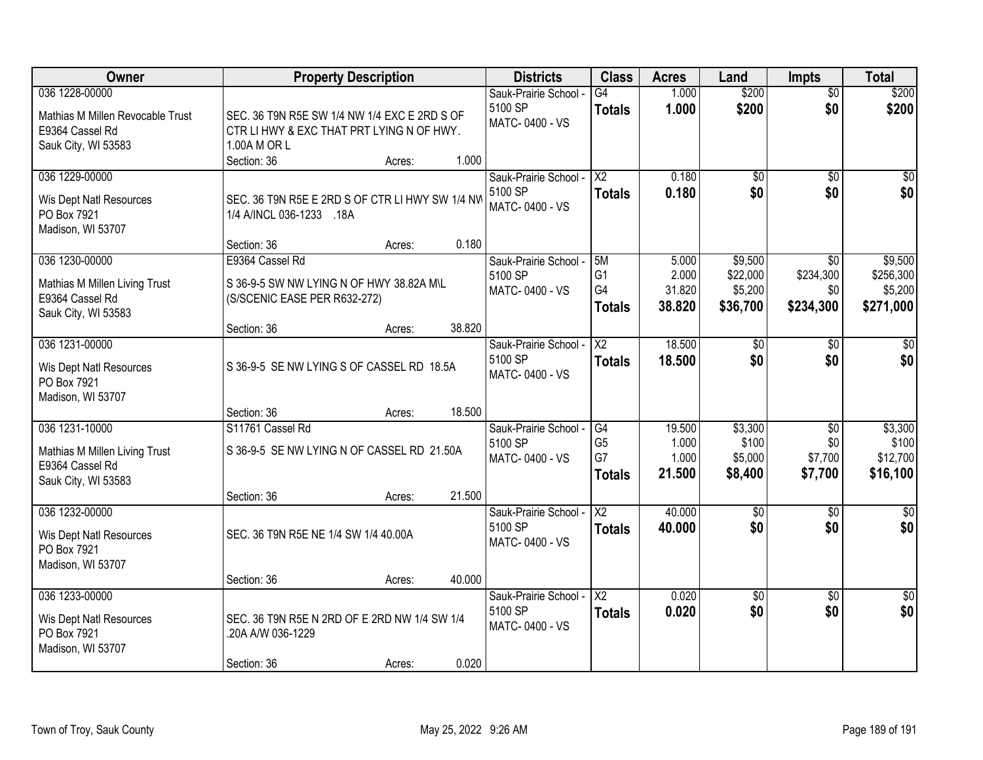| Owner                                                                                        | <b>Property Description</b>                                                                                                                             | <b>Districts</b>                                   | <b>Class</b>                                | <b>Acres</b>                       | Land                                       | <b>Impts</b>                                 | <b>Total</b>                                 |
|----------------------------------------------------------------------------------------------|---------------------------------------------------------------------------------------------------------------------------------------------------------|----------------------------------------------------|---------------------------------------------|------------------------------------|--------------------------------------------|----------------------------------------------|----------------------------------------------|
| 036 1228-00000<br>Mathias M Millen Revocable Trust<br>E9364 Cassel Rd<br>Sauk City, WI 53583 | SEC. 36 T9N R5E SW 1/4 NW 1/4 EXC E 2RD S OF<br>CTR LI HWY & EXC THAT PRT LYING N OF HWY.<br>1.00A M OR L<br>1.000<br>Section: 36<br>Acres:             | Sauk-Prairie School -<br>5100 SP<br>MATC-0400 - VS | $\overline{G4}$<br><b>Totals</b>            | 1.000<br>1.000                     | \$200<br>\$200                             | $\overline{50}$<br>\$0                       | \$200<br>\$200                               |
| 036 1229-00000<br>Wis Dept Natl Resources<br>PO Box 7921<br>Madison, WI 53707                | SEC. 36 T9N R5E E 2RD S OF CTR LI HWY SW 1/4 NW<br>1/4 A/INCL 036-1233 .18A<br>0.180                                                                    | Sauk-Prairie School -<br>5100 SP<br>MATC-0400 - VS | $\overline{X2}$<br><b>Totals</b>            | 0.180<br>0.180                     | \$0<br>\$0                                 | \$0<br>\$0                                   | \$0<br>\$0                                   |
| 036 1230-00000<br>Mathias M Millen Living Trust<br>E9364 Cassel Rd<br>Sauk City, WI 53583    | Section: 36<br>Acres:<br>E9364 Cassel Rd<br>S 36-9-5 SW NW LYING N OF HWY 38.82A M\L<br>(S/SCENIC EASE PER R632-272)<br>38.820<br>Section: 36<br>Acres: | Sauk-Prairie School -<br>5100 SP<br>MATC-0400 - VS | 5M<br>G <sub>1</sub><br>G4<br><b>Totals</b> | 5.000<br>2.000<br>31.820<br>38.820 | \$9,500<br>\$22,000<br>\$5,200<br>\$36,700 | \$0<br>\$234,300<br>\$0<br>\$234,300         | \$9,500<br>\$256,300<br>\$5,200<br>\$271,000 |
| 036 1231-00000<br>Wis Dept Natl Resources<br>PO Box 7921<br>Madison, WI 53707                | S 36-9-5 SE NW LYING S OF CASSEL RD 18.5A<br>18.500<br>Section: 36<br>Acres:                                                                            | Sauk-Prairie School -<br>5100 SP<br>MATC-0400 - VS | X2<br><b>Totals</b>                         | 18.500<br>18.500                   | \$0<br>\$0                                 | \$0<br>\$0                                   | \$0<br>\$0                                   |
| 036 1231-10000<br>Mathias M Millen Living Trust<br>E9364 Cassel Rd<br>Sauk City, WI 53583    | S11761 Cassel Rd<br>S 36-9-5 SE NW LYING N OF CASSEL RD 21.50A<br>21.500<br>Section: 36<br>Acres:                                                       | Sauk-Prairie School -<br>5100 SP<br>MATC-0400 - VS | G4<br>G <sub>5</sub><br>G7<br><b>Totals</b> | 19.500<br>1.000<br>1.000<br>21.500 | \$3,300<br>\$100<br>\$5,000<br>\$8,400     | $\overline{50}$<br>\$0<br>\$7,700<br>\$7,700 | \$3,300<br>\$100<br>\$12,700<br>\$16,100     |
| 036 1232-00000<br>Wis Dept Natl Resources<br>PO Box 7921<br>Madison, WI 53707                | SEC. 36 T9N R5E NE 1/4 SW 1/4 40.00A<br>40.000<br>Section: 36<br>Acres:                                                                                 | Sauk-Prairie School -<br>5100 SP<br>MATC-0400 - VS | $\overline{X2}$<br><b>Totals</b>            | 40.000<br>40.000                   | $\sqrt{6}$<br>\$0                          | \$0<br>\$0                                   | $\overline{\$0}$<br>\$0                      |
| 036 1233-00000<br>Wis Dept Natl Resources<br>PO Box 7921<br>Madison, WI 53707                | SEC. 36 T9N R5E N 2RD OF E 2RD NW 1/4 SW 1/4<br>.20A A/W 036-1229<br>0.020<br>Section: 36<br>Acres:                                                     | Sauk-Prairie School -<br>5100 SP<br>MATC-0400 - VS | $\overline{X2}$<br><b>Totals</b>            | 0.020<br>0.020                     | $\overline{50}$<br>\$0                     | $\overline{30}$<br>\$0                       | $\sqrt{30}$<br>\$0                           |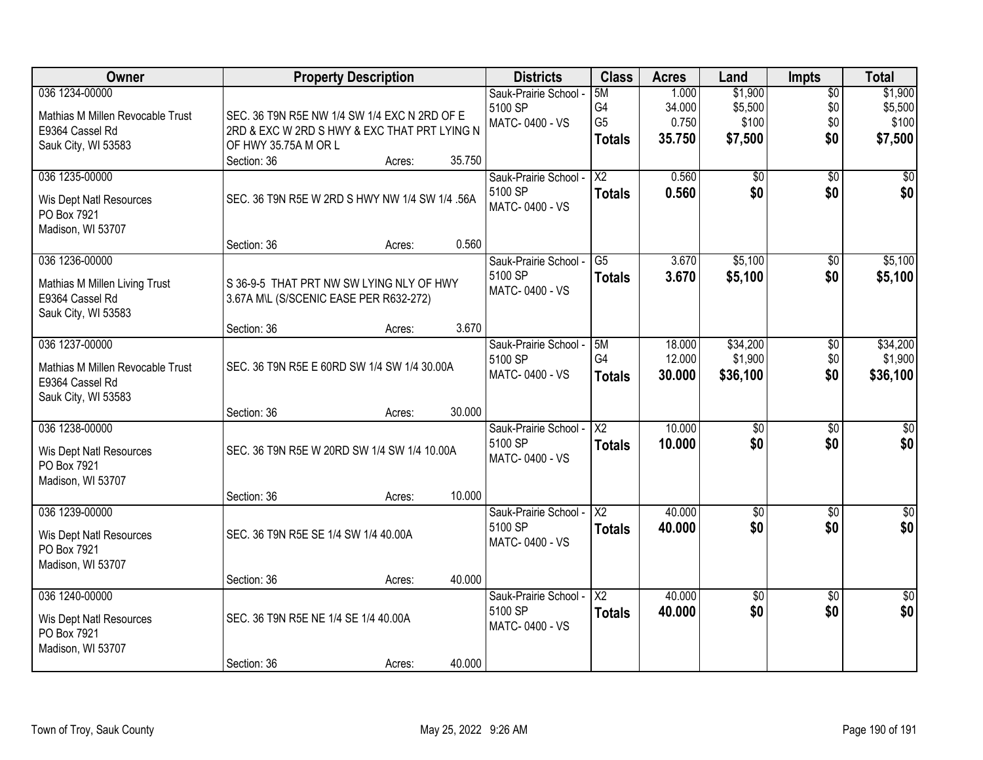| Owner                                                                                        | <b>Property Description</b>                                                                                                    | <b>Districts</b>                                   | <b>Class</b>                                | <b>Acres</b>                       | Land                                   | <b>Impts</b>                         | <b>Total</b>                           |
|----------------------------------------------------------------------------------------------|--------------------------------------------------------------------------------------------------------------------------------|----------------------------------------------------|---------------------------------------------|------------------------------------|----------------------------------------|--------------------------------------|----------------------------------------|
| 036 1234-00000<br>Mathias M Millen Revocable Trust<br>E9364 Cassel Rd<br>Sauk City, WI 53583 | SEC. 36 T9N R5E NW 1/4 SW 1/4 EXC N 2RD OF E<br>2RD & EXC W 2RD S HWY & EXC THAT PRT LYING N<br>OF HWY 35.75A M OR L<br>35.750 | Sauk-Prairie School -<br>5100 SP<br>MATC-0400 - VS | 5M<br>G4<br>G <sub>5</sub><br><b>Totals</b> | 1.000<br>34.000<br>0.750<br>35.750 | \$1,900<br>\$5,500<br>\$100<br>\$7,500 | $\overline{50}$<br>\$0<br>\$0<br>\$0 | \$1,900<br>\$5,500<br>\$100<br>\$7,500 |
| 036 1235-00000<br>Wis Dept Natl Resources<br>PO Box 7921<br>Madison, WI 53707                | Section: 36<br>Acres:<br>SEC. 36 T9N R5E W 2RD S HWY NW 1/4 SW 1/4 .56A<br>0.560<br>Section: 36<br>Acres:                      | Sauk-Prairie School -<br>5100 SP<br>MATC-0400 - VS | $\overline{\text{X2}}$<br><b>Totals</b>     | 0.560<br>0.560                     | \$0<br>\$0                             | $\overline{50}$<br>\$0               | \$0<br>\$0                             |
| 036 1236-00000<br>Mathias M Millen Living Trust<br>E9364 Cassel Rd<br>Sauk City, WI 53583    | S 36-9-5 THAT PRT NW SW LYING NLY OF HWY<br>3.67A M\L (S/SCENIC EASE PER R632-272)<br>3.670                                    | Sauk-Prairie School -<br>5100 SP<br>MATC-0400 - VS | G <sub>5</sub><br><b>Totals</b>             | 3.670<br>3.670                     | \$5,100<br>\$5,100                     | \$0<br>\$0                           | \$5,100<br>\$5,100                     |
| 036 1237-00000<br>Mathias M Millen Revocable Trust<br>E9364 Cassel Rd<br>Sauk City, WI 53583 | Section: 36<br>Acres:<br>SEC. 36 T9N R5E E 60RD SW 1/4 SW 1/4 30.00A<br>30.000<br>Section: 36<br>Acres:                        | Sauk-Prairie School -<br>5100 SP<br>MATC-0400 - VS | 5M<br>G4<br><b>Totals</b>                   | 18.000<br>12.000<br>30.000         | \$34,200<br>\$1,900<br>\$36,100        | \$0<br>\$0<br>\$0                    | \$34,200<br>\$1,900<br>\$36,100        |
| 036 1238-00000<br>Wis Dept Natl Resources<br>PO Box 7921<br>Madison, WI 53707                | SEC. 36 T9N R5E W 20RD SW 1/4 SW 1/4 10.00A<br>10.000<br>Section: 36<br>Acres:                                                 | Sauk-Prairie School -<br>5100 SP<br>MATC-0400 - VS | $\overline{\text{X2}}$<br><b>Totals</b>     | 10.000<br>10.000                   | $\overline{50}$<br>\$0                 | $\overline{50}$<br>\$0               | \$0<br>\$0                             |
| 036 1239-00000<br>Wis Dept Natl Resources<br>PO Box 7921<br>Madison, WI 53707                | SEC. 36 T9N R5E SE 1/4 SW 1/4 40.00A<br>40.000<br>Section: 36<br>Acres:                                                        | Sauk-Prairie School -<br>5100 SP<br>MATC-0400 - VS | $\overline{X2}$<br><b>Totals</b>            | 40.000<br>40.000                   | $\overline{60}$<br>\$0                 | $\overline{60}$<br>\$0               | $\sqrt{60}$<br>\$0                     |
| 036 1240-00000<br>Wis Dept Natl Resources<br>PO Box 7921<br>Madison, WI 53707                | SEC. 36 T9N R5E NE 1/4 SE 1/4 40.00A<br>40.000<br>Section: 36<br>Acres:                                                        | Sauk-Prairie School -<br>5100 SP<br>MATC-0400 - VS | $\overline{\mathsf{X2}}$<br><b>Totals</b>   | 40.000<br>40.000                   | $\sqrt{6}$<br>\$0                      | $\overline{50}$<br>\$0               | $\sqrt{50}$<br>\$0                     |